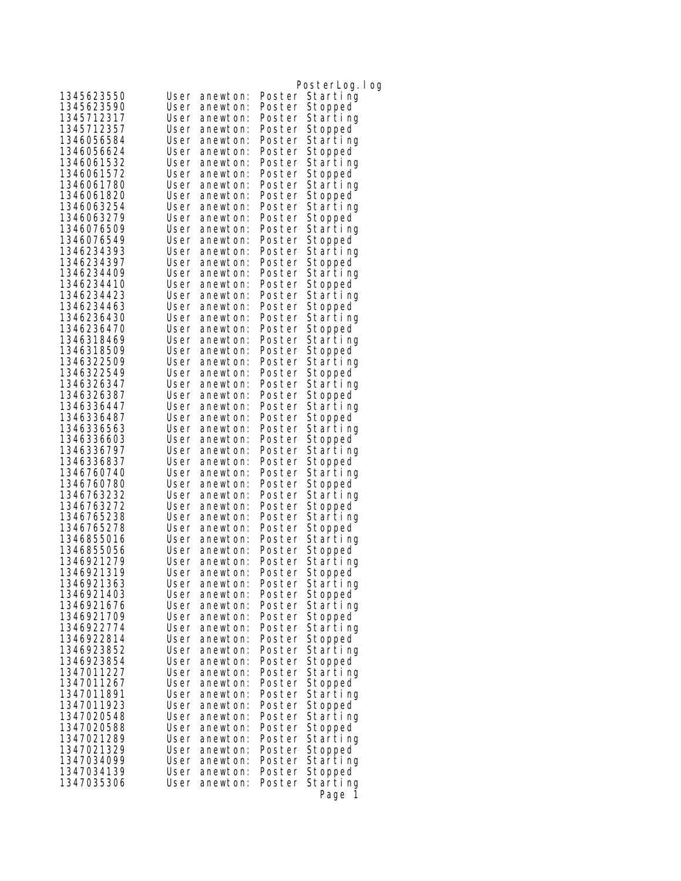| 1345623550               | User         | anewton:             | Poster           | PosterLog.log<br>Starting |
|--------------------------|--------------|----------------------|------------------|---------------------------|
| 1345623590               | User         | anewton:             | Poster           | Stopped                   |
| 1345712317               | User         | anewton:             | Poster           | Starting                  |
| 1345712357               | User         | anewton:             | Poster           | Stopped                   |
| 1346056584               | User         | anewton:             | Poster           | Starting                  |
| 1346056624               | User         | anewton:             | Poster           | Stopped                   |
| 1346061532               | User         | anewton:             | Poster           | Starting                  |
| 1346061572               | User         | anewton:             | Poster           | Stopped                   |
| 1346061780               | User         | anewton:             | Poster           | Starting                  |
| 1346061820               | User         | anewton:             | Poster           | Stopped                   |
| 1346063254               | User         | anewton:             | Poster           | Starting                  |
| 1346063279               | User         | anewton:             | Poster           | Stopped                   |
| 1346076509               | User         | anewton:             | Poster           | Starting                  |
| 1346076549               | User         | anewton:             | Poster           | Stopped                   |
| 1346234393               | User         | anewton:             | Poster           | Starting                  |
| 1346234397               | User         | anewton:             | Poster           | Stopped                   |
| 1346234409               | User         | anewton:             | Poster           | Starting                  |
| 1346234410               | User         | anewton:             | Poster           | Stopped                   |
| 1346234423               | User         | anewton:             | Poster           | Starting                  |
| 1346234463               | User         | anewton:             | Poster           | Stopped                   |
| 1346236430               | User         | anewton:             | Poster           | Starting                  |
| 1346236470               | User         | anewton:             | Poster           | Stopped                   |
| 1346318469               | User         | anewton:             | Poster           | Starting                  |
| 1346318509               | User         | anewton:             | Poster           | Stopped                   |
| 1346322509               | User         | anewton:             | Poster           | Starting                  |
| 1346322549               | User         | anewton:             | Poster           | Stopped                   |
| 1346326347               | User         | anewton:             | Poster           | Starting                  |
| 1346326387               | User         | anewton:             | Poster           | Stopped                   |
| 1346336447               | User         | anewton:             | Poster           | Starting                  |
| 1346336487               | User         | anewton:             | Poster           | Stopped                   |
| 1346336563               | User         | anewton:             | Poster           | Starting                  |
| 1346336603               | User         | anewton:             | Poster           | Stopped                   |
| 1346336797<br>1346336837 | User<br>User | anewton:             | Poster           | Starting                  |
| 1346760740               | User         | anewton:<br>anewton: | Poster<br>Poster | Stopped<br>Starting       |
| 1346760780               | User         | anewton:             | Poster           | Stopped                   |
| 1346763232               | User         | anewton:             | Poster           | Starting                  |
| 1346763272               | User         | anewton:             | Poster           | Stopped                   |
| 1346765238               | User         | anewton:             | Poster           | Starting                  |
| 1346765278               | User         | anewton:             | Poster           | Stopped                   |
| 1346855016               | User         | anewton:             | Poster           | Starting                  |
| 1346855056               | User         | anewton:             | Poster           | Stopped                   |
| 1346921279               | User         | anewton:             | Poster           | Starting                  |
| 1346921319               | User         | anewton:             | Poster           | Stopped                   |
| 1346921363               | User         | anewton:             |                  | Poster Starting           |
| 1346921403               | User         | anewton:             |                  | Poster Stopped            |
| 1346921676               | User         | anewton:             | Poster           | Starting                  |
| 1346921709               | User         | anewton:             | Poster           | Stopped                   |
| 1346922774               | User         | anewton:             |                  | Poster Starting           |
| 1346922814               | User         | anewton:             | Poster           | Stopped                   |
| 1346923852               | User         | anewton:             | Poster           | Starting                  |
| 1346923854               | User         | anewton:             |                  | Poster Stopped            |
| 1347011227               | User         | anewton:             | Poster           | Starting                  |
| 1347011267               | User         | anewton:             | Poster           | Stopped                   |
| 1347011891               | User         | anewton:             |                  | Poster Starting           |
| 1347011923               | User         | anewton:             | Poster           | Stopped                   |
| 1347020548               | User         | anewton:             | Poster           | Starting                  |
| 1347020588<br>1347021289 | User<br>User | anewton:<br>anewton: | Poster           | Stopped                   |
| 1347021329               | User         | anewton:             | Poster           | Starting<br>Stopped       |
| 1347034099               | User         | anewton:             | Poster<br>Poster | Starting                  |
| 1347034139               | User         | anewton:             | Poster           | Stopped                   |
| 1347035306               | User         | anewton:             | Poster           | Starting                  |
|                          |              |                      |                  | Page<br>-1                |
|                          |              |                      |                  |                           |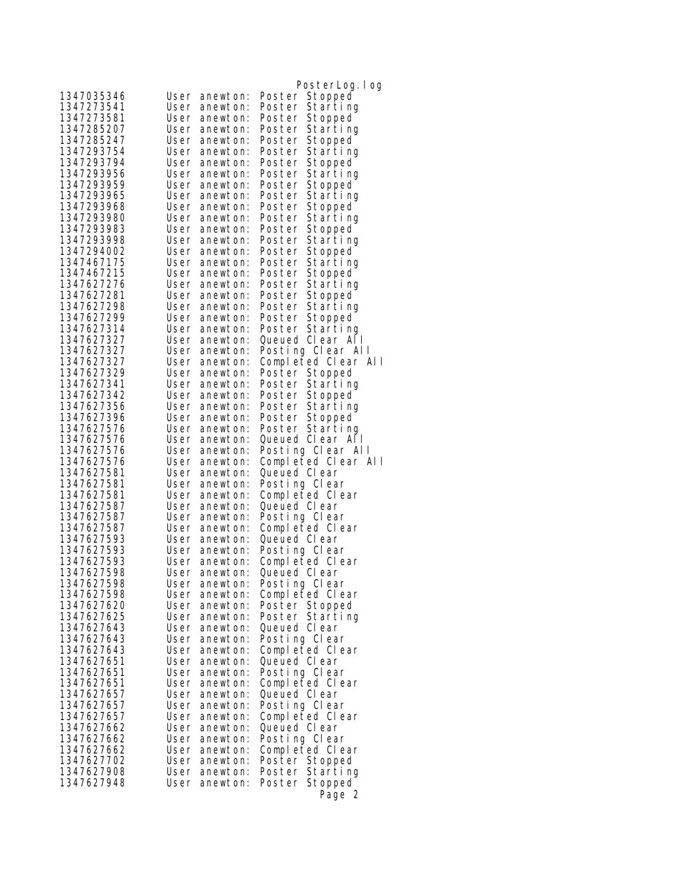|                          |                                      | PosterLog.log                     |
|--------------------------|--------------------------------------|-----------------------------------|
| 1347035346               | User<br>anewton:                     | Poster Stopped                    |
| 1347273541               | User<br>anewton:                     | Starting<br>Poster                |
| 1347273581               | User<br>anewton:                     | Poster<br>Stopped                 |
| 1347285207               | User<br>anewton:                     | Poster Starting                   |
| 1347285247               | User<br>anewton:                     | Poster Stopped                    |
| 1347293754               | User<br>anewton:                     | Poster<br>Starting                |
| 1347293794               | User<br>anewton:                     | Poster<br>Stopped                 |
| 1347293956               | User<br>anewton:                     | Starting<br>Poster                |
| 1347293959               | User<br>anewton:                     | Stopped<br>Poster                 |
| 1347293965               | User<br>anewton:                     | Poster<br>Starting                |
| 1347293968               | User<br>anewton:                     | Poster Stopped                    |
| 1347293980               | User<br>anewton:                     | Poster<br>Starting                |
| 1347293983               | User<br>anewton:                     | Poster<br>Stopped                 |
| 1347293998               | User<br>anewton:                     | Starting<br>Poster                |
| 1347294002               | User<br>anewton:                     | Poster<br>Stopped                 |
| 1347467175               | User<br>anewton:                     | Poster Starting                   |
| 1347467215               | User<br>anewton:                     | Poster Stopped                    |
| 1347627276               | User<br>anewton:                     | Poster Starting                   |
| 1347627281               | User<br>anewton:                     | Poster Stopped                    |
| 1347627298               | User<br>anewton:                     | Starting<br>Poster                |
| 1347627299               | User<br>anewton:                     | Poster<br>Stopped                 |
| 1347627314               | User<br>anewton:                     | Poster Starting                   |
| 1347627327               | User<br>anewton:                     | Queued Clear All                  |
| 1347627327               | User<br>anewton:                     | Posting Clear All                 |
| 1347627327               | User<br>anewton:                     | Completed Clear All               |
| 1347627329               | anewton:<br>User                     | Poster Stopped                    |
| 1347627341               | User<br>anewton:                     | Poster Starting                   |
| 1347627342               | User<br>anewton:                     | Poster Stopped                    |
| 1347627356               | User<br>anewton:                     | Poster Starting                   |
| 1347627396               | User<br>anewton:                     | Poster Stopped                    |
| 1347627576               | User<br>anewton:                     | Poster Starting                   |
| 1347627576               | User<br>anewton:                     | Queued Clear All                  |
| 1347627576               | User<br>anewton:                     | Posting Clear All                 |
| 1347627576               | User<br>anewton:                     | Completed Clear All               |
| 1347627581<br>1347627581 | User<br>anewton:                     | Queued Clear                      |
| 1347627581               | User<br>anewton:<br>User<br>anewton: | Posting Clear<br>Completed Clear  |
| 1347627587               | User<br>anewton:                     | Queued CI ear                     |
| 1347627587               | User<br>anewton:                     | Posting Clear                     |
| 1347627587               | User anewton:                        | Completed Clear                   |
| 1347627593               | User<br>anewton:                     | Queued CI ear                     |
| 1347627593               | User<br>anewton:                     | Posting Clear                     |
| 1347627593               | User<br>anewton:                     | Completed Clear                   |
| 1347627598               | User anewton:                        | Queued Clear                      |
| 1347627598               | User<br>anewton:                     | Posting Clear                     |
| 1347627598               | User anewton:                        | Completed Clear                   |
| 1347627620               | User anewton:                        | Poster Stopped                    |
| 1347627625               | User<br>anewton:                     | Poster Starting                   |
| 1347627643               | User anewton:                        | Queued CI ear                     |
| 1347627643               | User<br>anewton:                     | Posting Clear                     |
| 1347627643               | anewton:<br>User                     | Completed Clear                   |
| 1347627651               | User<br>anewton:                     | Queued Clear                      |
| 1347627651               | User<br>anewton:                     | Posting Clear                     |
| 1347627651               | User<br>anewton:                     | Completed Clear                   |
| 1347627657               | User<br>anewton:                     | Queued Clear                      |
| 1347627657               | User<br>anewton:                     | Posting Clear                     |
| 1347627657               | User<br>anewton:                     | Completed Clear                   |
| 1347627662               | User<br>anewton:                     | Queued Clear                      |
| 1347627662               | User<br>anewton:                     | Posting Clear                     |
| 1347627662               | User<br>anewton:                     | Completed Clear                   |
| 1347627702               | User<br>anewton:                     | Poster Stopped<br>Poster Starting |
| 1347627908<br>1347627948 | User<br>anewton:<br>User<br>anewton: | Poster Stopped                    |
|                          |                                      |                                   |
|                          |                                      | Page 2                            |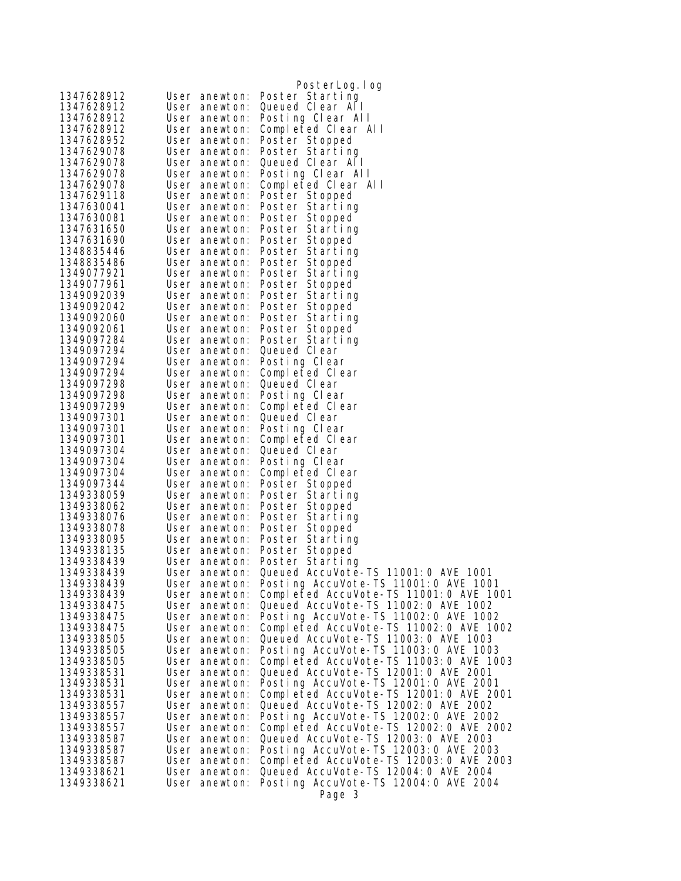|                          |                                | PosterLog. I og                                        |
|--------------------------|--------------------------------|--------------------------------------------------------|
| 1347628912               | User anewton:                  | Poster Starting                                        |
| 1347628912               | User anewton:                  | Queued Clear All                                       |
| 1347628912               | User anewton:                  | Posting Clear All                                      |
| 1347628912               | User anewton:                  | Completed Clear All                                    |
| 1347628952               | User anewton:                  | Poster Stopped                                         |
| 1347629078               | User anewton:                  | Poster Starting                                        |
| 1347629078               | User anewton:                  | Queued Clear All                                       |
| 1347629078               | User anewton:                  | Posting Clear All                                      |
| 1347629078               | User anewton:                  | Completed Clear All                                    |
| 1347629118               | User anewton:                  | Poster Stopped                                         |
| 1347630041               | User anewton:                  | Poster Starting                                        |
| 1347630081               | User anewton:                  | Poster Stopped                                         |
| 1347631650               | User anewton:                  | Poster Starting                                        |
| 1347631690               | User anewton:                  | Poster Stopped                                         |
| 1348835446               | User anewton:                  | Poster Starting                                        |
| 1348835486<br>1349077921 | User anewton:<br>User anewton: | Poster Stopped<br>Poster Starting                      |
| 1349077961               | User anewton:                  | Poster Stopped                                         |
| 1349092039               | User anewton:                  | Poster Starting                                        |
| 1349092042               | User anewton:                  | Poster Stopped                                         |
| 1349092060               | User anewton:                  | Poster Starting                                        |
| 1349092061               | User anewton:                  | Poster Stopped                                         |
| 1349097284               | User anewton:                  | Poster Starting                                        |
| 1349097294               | User anewton:                  | Queued Clear                                           |
| 1349097294               | User anewton:                  | Posting Clear                                          |
| 1349097294               | User anewton:                  | Completed Clear                                        |
| 1349097298               | User anewton:                  | Queued Clear                                           |
| 1349097298               | User anewton:                  | Posting Clear                                          |
| 1349097299               | User anewton:                  | Completed Clear                                        |
| 1349097301               | User anewton:                  | Queued Clear                                           |
| 1349097301               | User anewton:                  | Posting Clear                                          |
| 1349097301               | User anewton:                  | Completed Clear                                        |
| 1349097304               | User anewton:                  | Queued Clear                                           |
| 1349097304               | User anewton:                  | Posting Clear                                          |
| 1349097304               | User anewton:                  | Completed Clear                                        |
| 1349097344               | User anewton:                  | Poster Stopped                                         |
| 1349338059               | User anewton:                  | Poster Starting                                        |
| 1349338062               | User anewton:                  | Poster Stopped                                         |
| 1349338076               | User anewton:                  | Poster Starting                                        |
| 1349338078               | User anewton:                  | Poster Stopped                                         |
| 1349338095               | User anewton:                  | Poster Starting                                        |
| 1349338135<br>1349338439 | User anewton:                  | Poster Stopped                                         |
| 1349338439               | User anewton:                  | Poster Starting<br>Queued AccuVote-TS 11001:0 AVE 1001 |
| 1349338439               | User anewton:<br>User anewton: | Posting AccuVote-TS 11001:0 AVE 1001                   |
| 1349338439               | User anewton:                  | Completed AccuVote-TS 11001:0 AVE 1001                 |
| 1349338475               | User anewton:                  | Queued AccuVote-TS 11002: 0 AVE 1002                   |
| 1349338475               | User anewton:                  | Posting AccuVote-TS 11002:0 AVE 1002                   |
| 1349338475               | User anewton:                  | Completed AccuVote-TS 11002:0 AVE 1002                 |
| 1349338505               | User anewton:                  | Queued AccuVote-TS 11003:0 AVE 1003                    |
| 1349338505               | User anewton:                  | Posting AccuVote-TS 11003:0 AVE 1003                   |
| 1349338505               | User anewton:                  | Completed AccuVote-TS 11003:0 AVE 1003                 |
| 1349338531               | User anewton:                  | Queued AccuVote-TS 12001: 0 AVE 2001                   |
| 1349338531               | User anewton:                  | Posting AccuVote-TS 12001:0 AVE 2001                   |
| 1349338531               | User anewton:                  | Completed AccuVote-TS 12001:0 AVE 2001                 |
| 1349338557               | User anewton:                  | Queued AccuVote-TS 12002: 0 AVE 2002                   |
| 1349338557               | User anewton:                  | Posting AccuVote-TS 12002: 0 AVE 2002                  |
| 1349338557               | User anewton:                  | Completed AccuVote-TS 12002: 0 AVE 2002                |
| 1349338587               | User anewton:                  | Queued AccuVote-TS 12003:0 AVE 2003                    |
| 1349338587               | User anewton:                  | Posting AccuVote-TS 12003:0 AVE 2003                   |
| 1349338587               | User anewton:                  | Completed AccuVote-TS 12003:0 AVE 2003                 |
| 1349338621               | User anewton:                  | Queued AccuVote-TS 12004: 0 AVE 2004                   |
| 1349338621               | User anewton:                  | Posting AccuVote-TS 12004:0 AVE 2004                   |
|                          |                                | Page 3                                                 |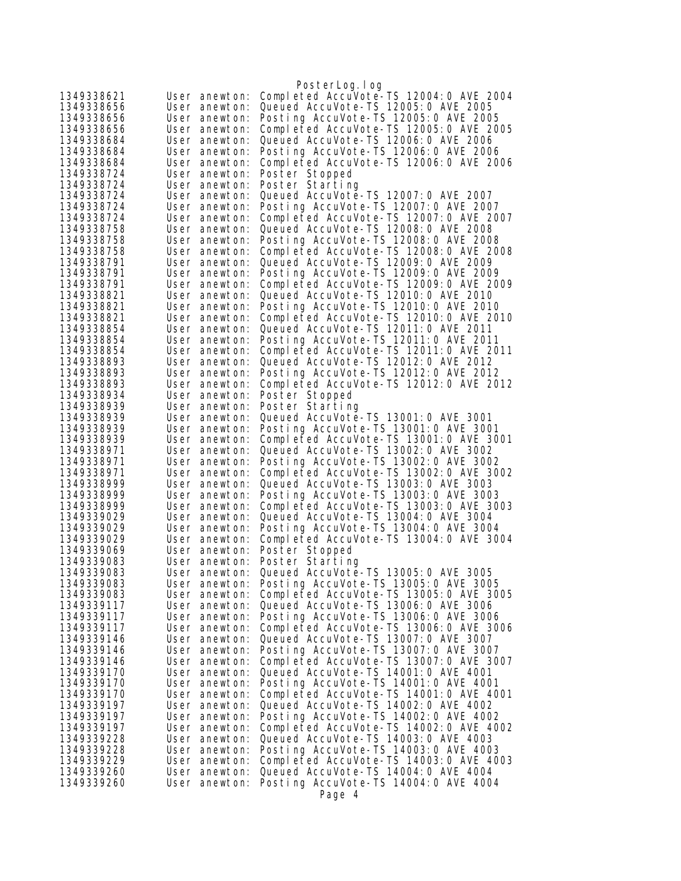|                          |                                | PosterLog.log                                                                  |
|--------------------------|--------------------------------|--------------------------------------------------------------------------------|
| 1349338621               | User anewton:                  | Completed AccuVote-TS 12004:0 AVE 2004                                         |
| 1349338656               | User anewton:                  | Queued AccuVote-TS 12005: 0 AVE 2005                                           |
| 1349338656               | User anewton:                  | Posting AccuVote-TS 12005:0 AVE 2005                                           |
| 1349338656               | User anewton:                  | Completed AccuVote-TS 12005:0 AVE 2005                                         |
| 1349338684               | User anewton:                  | Queued AccuVote-TS 12006: 0 AVE 2006                                           |
| 1349338684               | User anewton:                  | Posting AccuVote-TS 12006:0 AVE 2006                                           |
| 1349338684               | User anewton:                  | Completed AccuVote-TS 12006:0 AVE 2006                                         |
| 1349338724               | User anewton:                  | Poster Stopped                                                                 |
| 1349338724               | User anewton:                  | Poster Starting                                                                |
| 1349338724               | User anewton:                  | Queued AccuVote-TS 12007: 0 AVE 2007                                           |
| 1349338724               | User anewton:                  | Posting AccuVote-TS 12007: 0 AVE 2007                                          |
| 1349338724               | User anewton:                  | Completed AccuVote-TS 12007:0 AVE 2007                                         |
| 1349338758               | User anewton:                  | Queued AccuVote-TS 12008:0 AVE 2008<br>Posting AccuVote-TS 12008:0 AVE 2008    |
| 1349338758<br>1349338758 | User anewton:<br>User anewton: | Completed AccuVote-TS 12008:0 AVE 2008                                         |
| 1349338791               | User anewton:                  | Queued AccuVote-TS 12009: 0 AVE 2009                                           |
| 1349338791               | User anewton:                  | Posting AccuVote-TS 12009: 0 AVE 2009                                          |
| 1349338791               | User anewton:                  | Completed AccuVote-TS 12009:0 AVE 2009                                         |
| 1349338821               | User anewton:                  | Queued AccuVote-TS 12010: 0 AVE 2010                                           |
| 1349338821               | User anewton:                  | Posting AccuVote-TS 12010: 0 AVE 2010                                          |
| 1349338821               | User anewton:                  | Completed AccuVote-TS 12010:0 AVE 2010                                         |
| 1349338854               | User anewton:                  | Queued AccuVote-TS 12011: 0 AVE 2011                                           |
| 1349338854               | User anewton:                  | Posting AccuVote-TS 12011:0 AVE 2011                                           |
| 1349338854               | User anewton:                  | Completed AccuVote-TS 12011:0 AVE 2011                                         |
| 1349338893               | User anewton:                  | Queued AccuVote-TS 12012: 0 AVE 2012                                           |
| 1349338893               | User anewton:                  | Posting AccuVote-TS 12012:0 AVE 2012                                           |
| 1349338893               | User anewton:                  | Completed AccuVote-TS 12012:0 AVE 2012                                         |
| 1349338934               | User anewton:                  | Poster Stopped                                                                 |
| 1349338939               | User anewton:                  | Poster Starting                                                                |
| 1349338939               | User anewton:                  | Queued AccuVote-TS 13001:0 AVE 3001                                            |
| 1349338939               | User anewton:                  | Posting AccuVote-TS 13001:0 AVE 3001                                           |
| 1349338939               | User anewton:                  | Completed AccuVote-TS 13001:0 AVE 3001                                         |
| 1349338971               | User anewton:                  | Queued AccuVote-TS 13002:0 AVE 3002                                            |
| 1349338971<br>1349338971 | User anewton:<br>User anewton: | Posting AccuVote-TS 13002:0 AVE 3002<br>Completed AccuVote-TS 13002:0 AVE 3002 |
| 1349338999               | User anewton:                  | Queued AccuVote-TS 13003:0 AVE 3003                                            |
| 1349338999               | User anewton:                  | Posting AccuVote-TS 13003:0 AVE 3003                                           |
| 1349338999               | User anewton:                  | Completed AccuVote-TS 13003:0 AVE 3003                                         |
| 1349339029               | User anewton:                  | Queued AccuVote-TS 13004: 0 AVE 3004                                           |
| 1349339029               | User anewton:                  | Posting AccuVote-TS 13004:0 AVE 3004                                           |
| 1349339029               | User anewton:                  | Completed AccuVote-TS 13004:0 AVE 3004                                         |
| 1349339069               | User anewton:                  | Poster Stopped                                                                 |
| 1349339083               | User anewton:                  | Poster Starting                                                                |
| 1349339083               | User anewton:                  | Queued AccuVote-TS 13005:0 AVE 3005                                            |
| 1349339083               | User anewton:                  | Posting AccuVote-TS 13005:0 AVE 3005                                           |
| 1349339083               | User anewton:                  | Completed AccuVote-TS 13005:0 AVE 3005                                         |
| 1349339117               | User anewton:                  | Queued AccuVote-TS 13006: 0 AVE 3006                                           |
| 1349339117               | User anewton:                  | Posting AccuVote-TS 13006:0 AVE 3006                                           |
| 1349339117               | User anewton:                  | Completed AccuVote-TS 13006:0 AVE 3006                                         |
| 1349339146               | User anewton:                  | Queued AccuVote-TS 13007:0 AVE 3007                                            |
| 1349339146<br>1349339146 | User anewton:                  | Posting AccuVote-TS 13007:0 AVE 3007                                           |
| 1349339170               | User anewton:                  | Completed AccuVote-TS 13007:0 AVE 3007<br>Queued AccuVote-TS 14001:0 AVE 4001  |
| 1349339170               | User anewton:<br>User anewton: | Posting AccuVote-TS 14001:0 AVE 4001                                           |
| 1349339170               | User anewton:                  | Completed AccuVote-TS 14001:0 AVE 4001                                         |
| 1349339197               | User anewton:                  | Queued AccuVote-TS 14002:0 AVE 4002                                            |
| 1349339197               | User anewton:                  | Posting AccuVote-TS 14002:0 AVE 4002                                           |
| 1349339197               | User anewton:                  | Completed AccuVote-TS 14002:0 AVE 4002                                         |
| 1349339228               | User anewton:                  | Queued AccuVote-TS 14003:0 AVE 4003                                            |
| 1349339228               | User anewton:                  | Posting AccuVote-TS 14003:0 AVE 4003                                           |
| 1349339229               | User anewton:                  | Completed AccuVote-TS 14003:0 AVE 4003                                         |
| 1349339260               | User anewton:                  | Queued AccuVote-TS 14004: 0 AVE 4004                                           |
| 1349339260               | User anewton:                  | Posting AccuVote-TS 14004:0 AVE 4004                                           |
|                          |                                | Page 4                                                                         |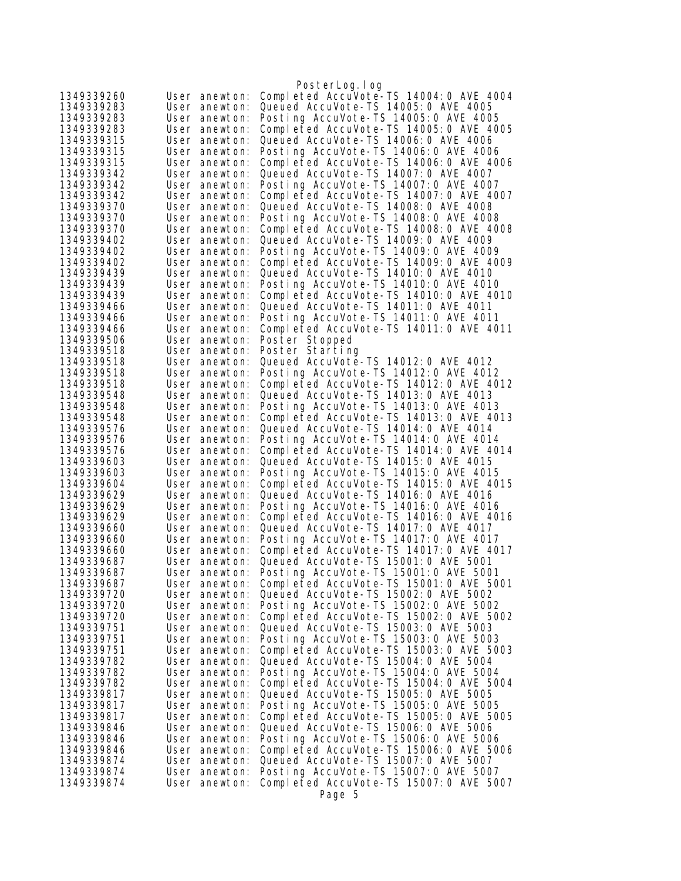|                          |                                | PosterLog.log                                                                   |
|--------------------------|--------------------------------|---------------------------------------------------------------------------------|
| 1349339260               | User anewton:                  | Completed AccuVote-TS 14004:0 AVE 4004                                          |
| 1349339283               | User anewton:                  | Queued AccuVote-TS 14005: 0 AVE 4005                                            |
| 1349339283               | User anewton:                  | Posting AccuVote-TS 14005:0 AVE 4005                                            |
| 1349339283               | User anewton:                  | Completed AccuVote-TS 14005:0 AVE 4005                                          |
| 1349339315               | User anewton:                  | Queued AccuVote-TS 14006: 0 AVE 4006                                            |
| 1349339315               | User anewton:                  | Posting AccuVote-TS 14006: 0 AVE 4006                                           |
| 1349339315               | User anewton:                  | Completed AccuVote-TS 14006:0 AVE 4006                                          |
| 1349339342               | User anewton:                  | Queued AccuVote-TS 14007: 0 AVE 4007                                            |
| 1349339342               | User anewton:                  | Posting AccuVote-TS 14007:0 AVE 4007                                            |
| 1349339342               | User anewton:                  | Completed AccuVote-TS 14007:0 AVE 4007                                          |
| 1349339370               | User anewton:                  | Queued AccuVote-TS 14008: 0 AVE 4008                                            |
| 1349339370               | User anewton:                  | Posting AccuVote-TS 14008:0 AVE 4008                                            |
| 1349339370               | User anewton:                  | Completed AccuVote-TS 14008:0 AVE 4008<br>Queued AccuVote-TS 14009: 0 AVE 4009  |
| 1349339402<br>1349339402 | User anewton:<br>User anewton: | Posting AccuVote-TS 14009: 0 AVE 4009                                           |
| 1349339402               | User anewton:                  | Completed AccuVote-TS 14009:0 AVE 4009                                          |
| 1349339439               | User anewton:                  | Queued AccuVote-TS 14010: 0 AVE 4010                                            |
| 1349339439               | User anewton:                  | Posting AccuVote-TS 14010: 0 AVE 4010                                           |
| 1349339439               | User anewton:                  | Completed AccuVote-TS 14010:0 AVE 4010                                          |
| 1349339466               | User anewton:                  | Queued AccuVote-TS 14011:0 AVE 4011                                             |
| 1349339466               | User anewton:                  | Posting AccuVote-TS 14011:0 AVE 4011                                            |
| 1349339466               | User anewton:                  | Completed AccuVote-TS 14011:0 AVE 4011                                          |
| 1349339506               | User anewton:                  | Poster Stopped                                                                  |
| 1349339518               | User anewton:                  | Poster Starting                                                                 |
| 1349339518               | User anewton:                  | Queued AccuVote-TS 14012: 0 AVE 4012                                            |
| 1349339518               | User anewton:                  | Posting AccuVote-TS 14012:0 AVE 4012                                            |
| 1349339518               | User anewton:                  | Completed AccuVote-TS 14012:0 AVE 4012                                          |
| 1349339548               | User anewton:                  | Queued AccuVote-TS 14013:0 AVE 4013                                             |
| 1349339548               | User anewton:                  | Posting AccuVote-TS 14013:0 AVE 4013                                            |
| 1349339548               | User anewton:                  | Completed AccuVote-TS 14013:0 AVE 4013                                          |
| 1349339576               | User anewton:                  | Queued AccuVote-TS 14014: 0 AVE 4014                                            |
| 1349339576<br>1349339576 | User anewton:                  | Posting AccuVote-TS 14014: 0 AVE 4014<br>Completed AccuVote-TS 14014:0 AVE 4014 |
| 1349339603               | User anewton:<br>User anewton: | Queued AccuVote-TS 14015: 0 AVE 4015                                            |
| 1349339603               | User anewton:                  | Posting AccuVote-TS 14015:0 AVE 4015                                            |
| 1349339604               | User anewton:                  | Completed AccuVote-TS 14015:0 AVE 4015                                          |
| 1349339629               | User anewton:                  | Queued AccuVote-TS 14016: 0 AVE 4016                                            |
| 1349339629               | User anewton:                  | Posting AccuVote-TS 14016:0 AVE 4016                                            |
| 1349339629               | User anewton:                  | Completed AccuVote-TS 14016:0 AVE 4016                                          |
| 1349339660               | User anewton:                  | Queued AccuVote-TS 14017: 0 AVE 4017                                            |
| 1349339660               | User anewton:                  | Posting AccuVote-TS 14017:0 AVE 4017                                            |
| 1349339660               | User anewton:                  | Completed AccuVote-TS 14017:0 AVE 4017                                          |
| 1349339687               | User anewton:                  | Queued AccuVote-TS 15001:0 AVE 5001                                             |
| 1349339687               | User anewton:                  | Posting AccuVote-TS 15001:0 AVE 5001                                            |
| 1349339687               | User anewton:                  | Completed AccuVote-TS 15001:0 AVE 5001                                          |
| 1349339720               | User anewton:                  | Queued AccuVote-TS 15002: 0 AVE 5002                                            |
| 1349339720               | User anewton:                  | Posting AccuVote-TS 15002:0 AVE 5002                                            |
| 1349339720<br>1349339751 | User anewton:                  | Completed AccuVote-TS 15002:0 AVE 5002<br>Queued AccuVote-TS 15003: 0 AVE 5003  |
| 1349339751               | User anewton:<br>User anewton: | Posting AccuVote-TS 15003:0 AVE 5003                                            |
| 1349339751               | User anewton:                  | Completed AccuVote-TS 15003:0 AVE 5003                                          |
| 1349339782               | User anewton:                  | Queued AccuVote-TS 15004: 0 AVE 5004                                            |
| 1349339782               | User anewton:                  | Posting AccuVote-TS 15004:0 AVE 5004                                            |
| 1349339782               | User anewton:                  | Completed AccuVote-TS 15004:0 AVE 5004                                          |
| 1349339817               | User anewton:                  | Queued AccuVote-TS 15005: 0 AVE 5005                                            |
| 1349339817               | User anewton:                  | Posting AccuVote-TS 15005:0 AVE 5005                                            |
| 1349339817               | User anewton:                  | Completed AccuVote-TS 15005:0 AVE 5005                                          |
| 1349339846               | User anewton:                  | Queued AccuVote-TS 15006: 0 AVE 5006                                            |
| 1349339846               | User anewton:                  | Posting AccuVote-TS 15006: 0 AVE 5006                                           |
| 1349339846               | User anewton:                  | Completed AccuVote-TS 15006:0 AVE 5006                                          |
| 1349339874               | User anewton:                  | Queued AccuVote-TS 15007:0 AVE 5007                                             |
| 1349339874               | User anewton:                  | Posting AccuVote-TS 15007:0 AVE 5007                                            |
| 1349339874               | User anewton:                  | Completed AccuVote-TS 15007:0 AVE 5007                                          |
|                          |                                | Page 5                                                                          |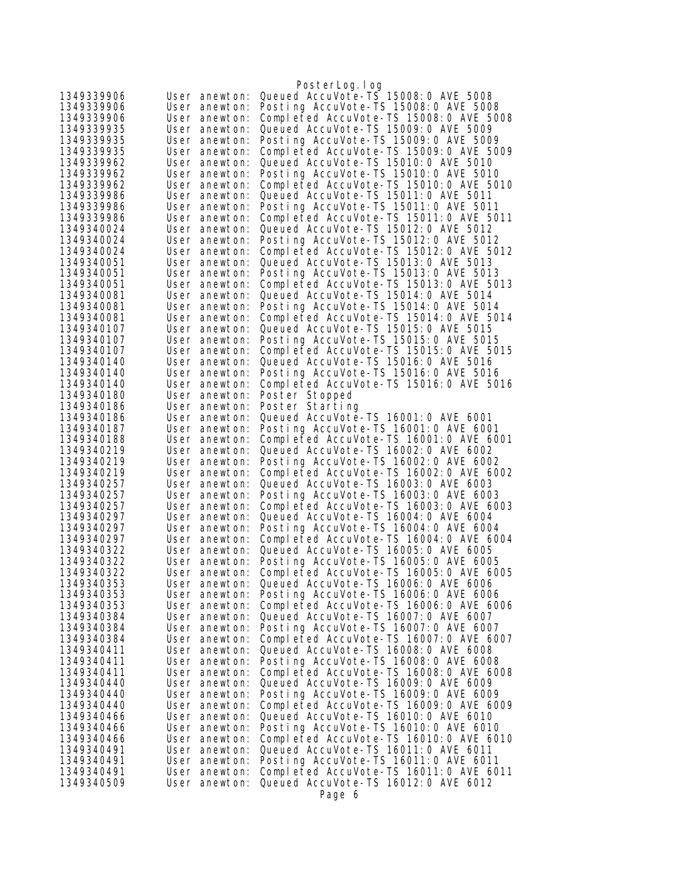|                          |                                | PosterLog.log                                                                  |
|--------------------------|--------------------------------|--------------------------------------------------------------------------------|
| 1349339906               | User anewton:                  | Queued AccuVote-TS 15008: 0 AVE 5008                                           |
| 1349339906               | User anewton:                  | Posting AccuVote-TS 15008:0 AVE 5008                                           |
| 1349339906               | User anewton:                  | Completed AccuVote-TS 15008:0 AVE 5008                                         |
| 1349339935               | User anewton:                  | Queued AccuVote-TS 15009: 0 AVE 5009                                           |
| 1349339935               | User anewton:                  | Posting AccuVote-TS 15009: 0 AVE 5009                                          |
| 1349339935               | User anewton:                  | Completed AccuVote-TS 15009:0 AVE 5009                                         |
| 1349339962               | User anewton:                  | Queued AccuVote-TS 15010: 0 AVE 5010                                           |
| 1349339962               | User anewton:                  | Posting AccuVote-TS 15010:0 AVE 5010                                           |
| 1349339962               | User anewton:                  | Completed AccuVote-TS 15010: 0 AVE 5010                                        |
| 1349339986               | User anewton:                  | Queued AccuVote-TS 15011:0 AVE 5011                                            |
| 1349339986               | User anewton:                  | Posting AccuVote-TS 15011:0 AVE 5011                                           |
| 1349339986               | User anewton:                  | Completed AccuVote-TS 15011:0 AVE 5011                                         |
| 1349340024               | User anewton:                  | Queued AccuVote-TS 15012: 0 AVE 5012                                           |
| 1349340024               | User anewton:                  | Posting AccuVote-TS 15012:0 AVE 5012                                           |
| 1349340024               | User anewton:                  | Completed AccuVote-TS 15012:0 AVE 5012                                         |
| 1349340051<br>1349340051 | User anewton:                  | Queued AccuVote-TS 15013:0 AVE 5013<br>Posting AccuVote-TS 15013:0 AVE 5013    |
| 1349340051               | User anewton:                  | Completed AccuVote-TS 15013:0 AVE 5013                                         |
| 1349340081               | User anewton:<br>User anewton: | Queued AccuVote-TS 15014: 0 AVE 5014                                           |
| 1349340081               | User anewton:                  | Posting AccuVote-TS 15014: 0 AVE 5014                                          |
| 1349340081               | User anewton:                  | Completed AccuVote-TS 15014:0 AVE 5014                                         |
| 1349340107               | User anewton:                  | Queued AccuVote-TS 15015: 0 AVE 5015                                           |
| 1349340107               | User anewton:                  | Posting AccuVote-TS 15015: 0 AVE 5015                                          |
| 1349340107               | User anewton:                  | Completed AccuVote-TS 15015:0 AVE 5015                                         |
| 1349340140               | User anewton:                  | Queued AccuVote-TS 15016: 0 AVE 5016                                           |
| 1349340140               | User anewton:                  | Posting AccuVote-TS 15016:0 AVE 5016                                           |
| 1349340140               | User anewton:                  | Completed AccuVote-TS 15016:0 AVE 5016                                         |
| 1349340180               | User anewton:                  | Poster Stopped                                                                 |
| 1349340186               | User anewton:                  | Poster Starting                                                                |
| 1349340186               | User anewton:                  | Queued AccuVote-TS 16001:0 AVE 6001                                            |
| 1349340187               | User anewton:                  | Posting AccuVote-TS 16001:0 AVE 6001                                           |
| 1349340188               | User anewton:                  | Completed AccuVote-TS 16001:0 AVE 6001                                         |
| 1349340219               | User anewton:                  | Queued AccuVote-TS 16002:0 AVE 6002                                            |
| 1349340219               | User anewton:                  | Posting AccuVote-TS 16002:0 AVE 6002                                           |
| 1349340219               | User anewton:                  | Completed AccuVote-TS 16002:0 AVE 6002                                         |
| 1349340257               | User anewton:                  | Queued AccuVote-TS 16003: 0 AVE 6003                                           |
| 1349340257<br>1349340257 | User anewton:<br>User anewton: | Posting AccuVote-TS 16003:0 AVE 6003<br>Completed AccuVote-TS 16003:0 AVE 6003 |
| 1349340297               | User anewton:                  | Queued AccuVote-TS 16004: 0 AVE 6004                                           |
| 1349340297               | User anewton:                  | Posting AccuVote-TS 16004:0 AVE 6004                                           |
| 1349340297               | User anewton:                  | Completed AccuVote-TS 16004:0 AVE 6004                                         |
| 1349340322               | User anewton:                  | Queued AccuVote-TS 16005: 0 AVE 6005                                           |
| 1349340322               | User anewton:                  | Posting AccuVote-TS 16005:0 AVE 6005                                           |
| 1349340322               | User anewton:                  | Completed AccuVote-TS 16005:0 AVE 6005                                         |
| 1349340353               | User anewton:                  | Queued AccuVote-TS 16006: 0 AVE 6006                                           |
| 1349340353               | User anewton:                  | Posting AccuVote-TS 16006: 0 AVE 6006                                          |
| 1349340353               | User anewton:                  | Completed AccuVote-TS 16006:0 AVE 6006                                         |
| 1349340384               | User anewton:                  | Queued AccuVote-TS 16007: 0 AVE 6007                                           |
| 1349340384               | User anewton:                  | Posting AccuVote-TS 16007:0 AVE 6007                                           |
| 1349340384               | User anewton:                  | Completed AccuVote-TS 16007:0 AVE 6007                                         |
| 1349340411               | User anewton:                  | Queued AccuVote-TS 16008: 0 AVE 6008                                           |
| 1349340411               | User anewton:                  | Posting AccuVote-TS 16008:0 AVE 6008                                           |
| 1349340411               | User anewton:                  | Completed AccuVote-TS 16008:0 AVE 6008                                         |
| 1349340440               | User anewton:                  | Queued AccuVote-TS 16009: 0 AVE 6009                                           |
| 1349340440               | User anewton:                  | Posting AccuVote-TS 16009: 0 AVE 6009                                          |
| 1349340440               | User anewton:                  | Completed AccuVote-TS 16009:0 AVE 6009                                         |
| 1349340466<br>1349340466 | User anewton:<br>User anewton: | Queued AccuVote-TS 16010: 0 AVE 6010<br>Posting AccuVote-TS 16010: 0 AVE 6010  |
| 1349340466               | User anewton:                  | Completed AccuVote-TS 16010: 0 AVE 6010                                        |
| 1349340491               | User anewton:                  | Queued AccuVote-TS 16011:0 AVE 6011                                            |
| 1349340491               | User anewton:                  | Posting AccuVote-TS 16011:0 AVE 6011                                           |
| 1349340491               | User anewton:                  | Completed AccuVote-TS 16011:0 AVE 6011                                         |
| 1349340509               | User anewton:                  | Queued AccuVote-TS 16012:0 AVE 6012                                            |
|                          |                                | Page 6                                                                         |
|                          |                                |                                                                                |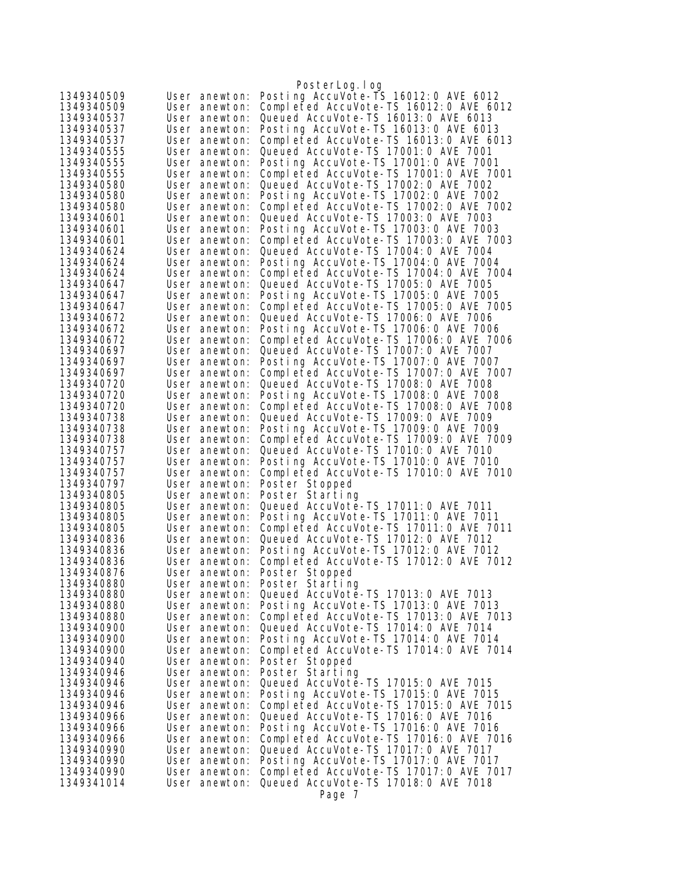|                          |                                | PosterLog.log                                                                  |
|--------------------------|--------------------------------|--------------------------------------------------------------------------------|
| 1349340509               | User anewton:                  | Posting AccuVote-TS 16012:0 AVE 6012                                           |
| 1349340509               | User anewton:                  | Completed AccuVote-TS 16012:0 AVE 6012                                         |
| 1349340537               | User anewton:                  | Queued AccuVote-TS 16013: 0 AVE 6013                                           |
| 1349340537               | User anewton:                  | Posting AccuVote-TS 16013:0 AVE 6013                                           |
| 1349340537               | User anewton:                  | Completed AccuVote-TS 16013:0 AVE 6013                                         |
| 1349340555               | User anewton:                  | Queued AccuVote-TS 17001:0 AVE 7001                                            |
| 1349340555               | User anewton:                  | Posting AccuVote-TS 17001:0 AVE 7001                                           |
| 1349340555               | User anewton:                  | Completed AccuVote-TS 17001:0 AVE 7001                                         |
| 1349340580               | User anewton:                  | Queued AccuVote-TS 17002: 0 AVE 7002                                           |
| 1349340580               | User anewton:                  | Posting AccuVote-TS 17002:0 AVE 7002                                           |
| 1349340580               | User anewton:                  | Completed AccuVote-TS 17002:0 AVE 7002                                         |
| 1349340601               | User anewton:                  | Queued AccuVote-TS 17003: 0 AVE 7003                                           |
| 1349340601               | User anewton:                  | Posting AccuVote-TS 17003:0 AVE 7003                                           |
| 1349340601               | User anewton:                  | Completed AccuVote-TS 17003:0 AVE 7003                                         |
| 1349340624               | User anewton:                  | Queued AccuVote-TS 17004: 0 AVE 7004                                           |
| 1349340624               | User anewton:                  | Posting AccuVote-TS 17004: 0 AVE 7004                                          |
| 1349340624               | User anewton:                  | Completed AccuVote-TS 17004:0 AVE 7004                                         |
| 1349340647               | User anewton:                  | Queued AccuVote-TS 17005: 0 AVE 7005                                           |
| 1349340647<br>1349340647 | User anewton:                  | Posting AccuVote-TS 17005:0 AVE 7005<br>Completed AccuVote-TS 17005:0 AVE 7005 |
| 1349340672               | User anewton:                  | Queued AccuVote-TS 17006: 0 AVE 7006                                           |
| 1349340672               | User anewton:<br>User anewton: | Posting AccuVote-TS 17006: 0 AVE 7006                                          |
| 1349340672               | User anewton:                  | Completed AccuVote-TS 17006:0 AVE 7006                                         |
| 1349340697               | User anewton:                  | Queued AccuVote-TS 17007: 0 AVE 7007                                           |
| 1349340697               | User anewton:                  | Posting AccuVote-TS 17007:0 AVE 7007                                           |
| 1349340697               | User anewton:                  | Completed AccuVote-TS 17007:0 AVE 7007                                         |
| 1349340720               | User anewton:                  | Queued AccuVote-TS 17008: 0 AVE 7008                                           |
| 1349340720               | User anewton:                  | Posting AccuVote-TS 17008: 0 AVE 7008                                          |
| 1349340720               | User anewton:                  | Completed AccuVote-TS 17008:0 AVE 7008                                         |
| 1349340738               | User anewton:                  | Queued AccuVote-TS 17009: 0 AVE 7009                                           |
| 1349340738               | User anewton:                  | Posting AccuVote-TS 17009: 0 AVE 7009                                          |
| 1349340738               | User anewton:                  | Completed AccuVote-TS 17009:0 AVE 7009                                         |
| 1349340757               | User anewton:                  | Queued AccuVote-TS 17010: 0 AVE 7010                                           |
| 1349340757               | User anewton:                  | Posting AccuVote-TS 17010:0 AVE 7010                                           |
| 1349340757               | User anewton:                  | Completed AccuVote-TS 17010:0 AVE 7010                                         |
| 1349340797               | User anewton:                  | Poster Stopped                                                                 |
| 1349340805               | User anewton:                  | Poster Starting                                                                |
| 1349340805               | User anewton:                  | Queued AccuVote-TS 17011:0 AVE 7011<br>Posting AccuVote-TS 17011:0 AVE 7011    |
| 1349340805<br>1349340805 | User anewton:<br>User anewton: | Completed AccuVote-TS 17011:0 AVE 7011                                         |
| 1349340836               | User anewton:                  | Queued AccuVote-TS 17012: 0 AVE 7012                                           |
| 1349340836               | User anewton:                  | Posting AccuVote-TS 17012:0 AVE 7012                                           |
| 1349340836               | User anewton:                  | Completed AccuVote-TS 17012:0 AVE 7012                                         |
| 1349340876               | User anewton:                  | Poster Stopped                                                                 |
| 1349340880               | User anewton:                  | Poster Starting                                                                |
| 1349340880               | User anewton:                  | Queued AccuVote-TS 17013: 0 AVE 7013                                           |
| 1349340880               | User anewton:                  | Posting AccuVote-TS 17013:0 AVE 7013                                           |
| 1349340880               | User anewton:                  | Completed AccuVote-TS 17013:0 AVE 7013                                         |
| 1349340900               | User anewton:                  | Queued AccuVote-TS 17014: 0 AVE 7014                                           |
| 1349340900               | User anewton:                  | Posting AccuVote-TS 17014:0 AVE 7014                                           |
| 1349340900               | User anewton:                  | Completed AccuVote-TS 17014:0 AVE 7014                                         |
| 1349340940               | User anewton:                  | Poster Stopped                                                                 |
| 1349340946               | User anewton:                  | Poster Starting                                                                |
| 1349340946               | User anewton:                  | Queued AccuVote-TS 17015:0 AVE 7015                                            |
| 1349340946               | User anewton:                  | Posting AccuVote-TS 17015:0 AVE 7015                                           |
| 1349340946               | User anewton:                  | Completed AccuVote-TS 17015:0 AVE 7015                                         |
| 1349340966               | User anewton:                  | Queued AccuVote-TS 17016: 0 AVE 7016                                           |
| 1349340966<br>1349340966 | User anewton:<br>User anewton: | Posting AccuVote-TS 17016:0 AVE 7016<br>Completed AccuVote-TS 17016:0 AVE 7016 |
| 1349340990               | User anewton:                  | Queued AccuVote-TS 17017:0 AVE 7017                                            |
| 1349340990               | User anewton:                  | Posting AccuVote-TS 17017:0 AVE 7017                                           |
| 1349340990               | User anewton:                  | Completed AccuVote-TS 17017:0 AVE 7017                                         |
| 1349341014               | User anewton:                  | Queued AccuVote-TS 17018: 0 AVE 7018                                           |
|                          |                                | Page 7                                                                         |
|                          |                                |                                                                                |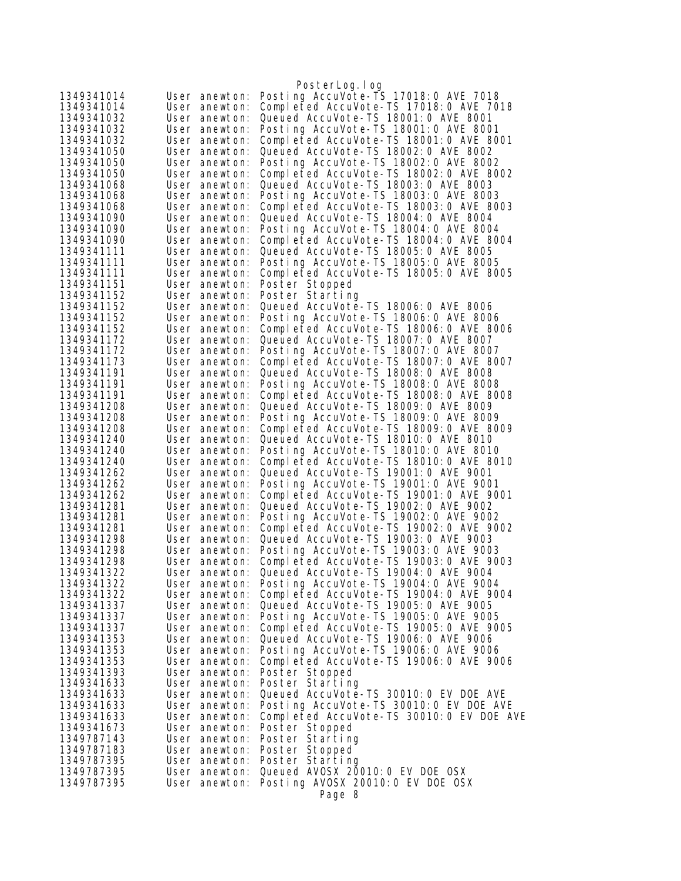| 1349341014               | User anewton:                  | PosterLog.log<br>Posting AccuVote-TS 17018:0 AVE 7018                           |
|--------------------------|--------------------------------|---------------------------------------------------------------------------------|
| 1349341014               | User anewton:                  | Completed AccuVote-TS 17018:0 AVE 7018                                          |
| 1349341032               | User anewton:                  | Queued AccuVote-TS 18001: 0 AVE 8001                                            |
| 1349341032               | User anewton:                  | Posting AccuVote-TS 18001:0 AVE 8001                                            |
| 1349341032               | User anewton:                  | Completed AccuVote-TS 18001:0 AVE 8001                                          |
| 1349341050               | User anewton:                  | Queued AccuVote-TS 18002: 0 AVE 8002                                            |
| 1349341050               | User anewton:                  | Posting AccuVote-TS 18002:0 AVE 8002                                            |
| 1349341050               | User anewton:                  | Completed AccuVote-TS 18002:0 AVE 8002                                          |
| 1349341068               | User anewton:                  | Queued AccuVote-TS 18003: 0 AVE 8003                                            |
| 1349341068               | User anewton:                  | Posting AccuVote-TS 18003:0 AVE 8003                                            |
| 1349341068               | User anewton:                  | Completed AccuVote-TS 18003:0 AVE 8003                                          |
| 1349341090               | User anewton:                  | Queued AccuVote-TS 18004: 0 AVE 8004                                            |
| 1349341090               | User anewton:                  | Posting AccuVote-TS 18004: 0 AVE 8004                                           |
| 1349341090               | User anewton:                  | Completed AccuVote-TS 18004: 0 AVE 8004                                         |
| 1349341111               | User anewton:                  | Queued AccuVote-TS 18005: 0 AVE 8005                                            |
| 1349341111               | User anewton:                  | Posting AccuVote-TS 18005: 0 AVE 8005                                           |
| 1349341111               | User anewton:                  | Completed AccuVote-TS 18005:0 AVE 8005                                          |
| 1349341151               | User anewton:                  | Poster Stopped                                                                  |
| 1349341152               | User anewton:                  | Poster Starting                                                                 |
| 1349341152               | User anewton:                  | Queued AccuVote-TS 18006: 0 AVE 8006                                            |
| 1349341152               | User anewton:                  | Posting AccuVote-TS 18006: 0 AVE 8006                                           |
| 1349341152               | User anewton:                  | Completed AccuVote-TS 18006: 0 AVE 8006                                         |
| 1349341172               | User anewton:                  | Queued AccuVote-TS 18007: 0 AVE 8007                                            |
| 1349341172               | User anewton:                  | Posting AccuVote-TS 18007:0 AVE 8007                                            |
| 1349341173               | User anewton:                  | Completed AccuVote-TS 18007:0 AVE 8007                                          |
| 1349341191<br>1349341191 | User anewton:                  | Queued AccuVote-TS 18008: 0 AVE 8008                                            |
| 1349341191               | User anewton:                  | Posting AccuVote-TS 18008: 0 AVE 8008                                           |
| 1349341208               | User anewton:<br>User anewton: | Completed AccuVote-TS 18008:0 AVE 8008<br>Queued AccuVote-TS 18009: 0 AVE 8009  |
| 1349341208               | User anewton:                  | Posting AccuVote-TS 18009: 0 AVE 8009                                           |
| 1349341208               | User anewton:                  | Completed AccuVote-TS 18009:0 AVE 8009                                          |
| 1349341240               | User anewton:                  | Queued AccuVote-TS 18010: 0 AVE 8010                                            |
| 1349341240               | User anewton:                  | Posting AccuVote-TS 18010: 0 AVE 8010                                           |
| 1349341240               | User anewton:                  | Completed AccuVote-TS 18010: 0 AVE 8010                                         |
| 1349341262               | User anewton:                  | Queued AccuVote-TS 19001:0 AVE 9001                                             |
| 1349341262               | User anewton:                  | Posting AccuVote-TS 19001:0 AVE 9001                                            |
| 1349341262               | User anewton:                  | Completed AccuVote-TS 19001:0 AVE 9001                                          |
| 1349341281               | User anewton:                  | Queued AccuVote-TS 19002: 0 AVE 9002                                            |
| 1349341281               | User anewton:                  | Posting AccuVote-TS 19002:0 AVE 9002                                            |
| 1349341281               | User anewton:                  | Completed AccuVote-TS 19002:0 AVE 9002                                          |
| 1349341298               | User anewton:                  | Queued AccuVote-TS 19003: 0 AVE 9003                                            |
| 1349341298               | User anewton:                  | Posting AccuVote-TS 19003:0 AVE 9003                                            |
| 1349341298               | User anewton:                  | Completed AccuVote-TS 19003:0 AVE 9003                                          |
| 1349341322               | User anewton:                  | Queued AccuVote-TS 19004: 0 AVE 9004                                            |
| 1349341322               | User anewton:                  | Posting AccuVote-TS 19004: 0 AVE 9004                                           |
| 1349341322<br>1349341337 | User anewton:<br>User anewton: | Completed AccuVote-TS 19004: 0 AVE 9004<br>Queued AccuVote-TS 19005: 0 AVE 9005 |
| 1349341337               | User anewton:                  | Posting AccuVote-TS 19005: 0 AVE 9005                                           |
| 1349341337               | User anewton:                  | Completed AccuVote-TS 19005:0 AVE 9005                                          |
| 1349341353               | User anewton:                  | Queued AccuVote-TS 19006: 0 AVE 9006                                            |
| 1349341353               | User anewton:                  | Posting AccuVote-TS 19006: 0 AVE 9006                                           |
| 1349341353               | User anewton:                  | Completed AccuVote-TS 19006:0 AVE 9006                                          |
| 1349341393               | User anewton:                  | Poster Stopped                                                                  |
| 1349341633               | User anewton:                  | Poster Starting                                                                 |
| 1349341633               | User anewton:                  | Queued AccuVote-TS 30010: 0 EV DOE AVE                                          |
| 1349341633               | User anewton:                  | Posting AccuVote-TS 30010:0 EV DOE AVE                                          |
| 1349341633               | User anewton:                  | Completed AccuVote-TS 30010:0 EV DOE AVE                                        |
| 1349341673               | User anewton:                  | Poster Stopped                                                                  |
| 1349787143               | User anewton:                  | Poster Starting                                                                 |
| 1349787183               | User anewton:                  | Poster Stopped                                                                  |
| 1349787395               | User anewton:                  | Poster Starting                                                                 |
| 1349787395               | User anewton:                  | Queued AVOSX 20010: 0 EV DOE OSX                                                |
| 1349787395               | User anewton:                  | Posting AVOSX 20010:0 EV DOE OSX                                                |
|                          |                                | Page 8                                                                          |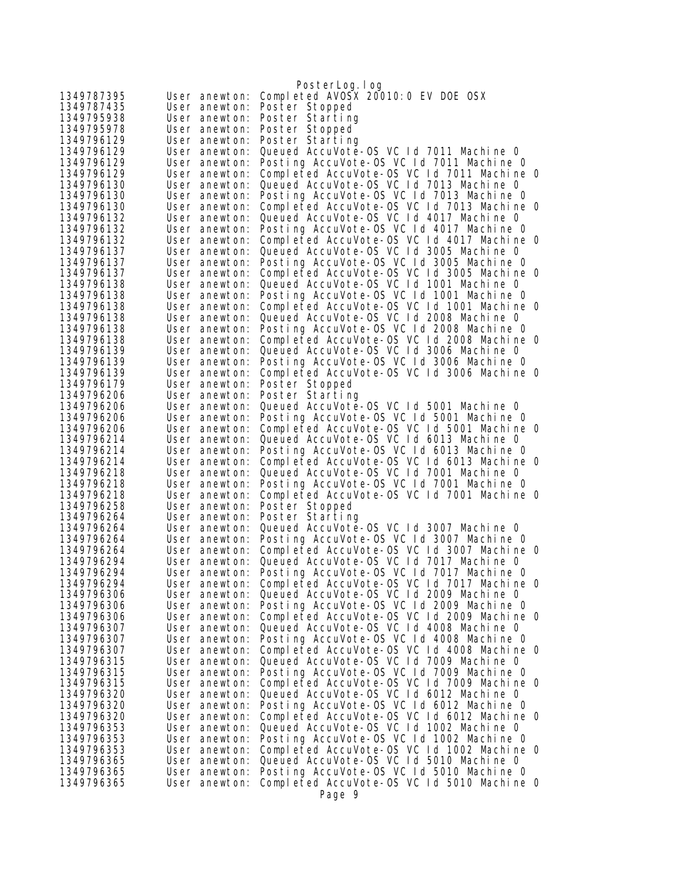|                          |                                | PosterLog.log                                                                          |
|--------------------------|--------------------------------|----------------------------------------------------------------------------------------|
| 1349787395               | User anewton:                  | Completed AVOSX 20010:0 EV DOE OSX                                                     |
| 1349787435               | User anewton:                  | Poster Stopped                                                                         |
| 1349795938               | User anewton:                  | Poster Starting                                                                        |
| 1349795978               | User anewton:                  | Poster Stopped                                                                         |
| 1349796129               | User anewton:                  | Poster Starting                                                                        |
| 1349796129               | User anewton:                  | Queued AccuVote-OS VC Id 7011 Machine 0                                                |
| 1349796129               | User anewton:                  | Posting AccuVote-OS VC Id 7011 Machine O<br>Completed AccuVote-OS VC Id 7011 Machine O |
| 1349796129<br>1349796130 | User anewton:<br>User anewton: | Queued AccuVote-OS VC Id 7013 Machine 0                                                |
| 1349796130               | User anewton:                  | Posting AccuVote-OS VC Id 7013 Machine 0                                               |
| 1349796130               | User anewton:                  | Completed AccuVote-OS VC 1d 7013 Machine 0                                             |
| 1349796132               | User anewton:                  | Queued AccuVote-OS VC Id 4017 Machine 0                                                |
| 1349796132               | User anewton:                  | Posting AccuVote-OS VC 1d 4017 Machine O                                               |
| 1349796132               | User anewton:                  | Completed AccuVote-OS VC Id 4017 Machine O                                             |
| 1349796137               | User anewton:                  | Queued AccuVote-OS VC 1d 3005 Machine 0                                                |
| 1349796137               | User anewton:                  | Posting AccuVote-OS VC Id 3005 Machine 0                                               |
| 1349796137               | User anewton:                  | Completed AccuVote-OS VC 1d 3005 Machine 0                                             |
| 1349796138               | User anewton:                  | Queued AccuVote-OS VC Id 1001 Machine 0                                                |
| 1349796138               | User anewton:                  | Posting AccuVote-OS VC Id 1001 Machine 0                                               |
| 1349796138               | User anewton:                  | Completed AccuVote-OS VC Id 1001 Machine 0                                             |
| 1349796138               | User anewton:                  | Queued AccuVote-OS VC Id 2008 Machine 0                                                |
| 1349796138               | User anewton:                  | Posting AccuVote-OS VC Id 2008 Machine O                                               |
| 1349796138               | User anewton:                  | Completed AccuVote-OS VC 1d 2008 Machine 0                                             |
| 1349796139               | User anewton:                  | Queued AccuVote-OS VC Id 3006 Machine 0                                                |
| 1349796139               | User anewton:                  | Posting AccuVote-OS VC Id 3006 Machine O                                               |
| 1349796139<br>1349796179 | User anewton:                  | Completed AccuVote-OS VC 1d 3006 Machine 0                                             |
| 1349796206               | User anewton:<br>User anewton: | Poster Stopped<br>Poster Starting                                                      |
| 1349796206               | User anewton:                  | Queued AccuVote-OS VC Id 5001 Machine 0                                                |
| 1349796206               | User anewton:                  | Posting AccuVote-OS VC 1d 5001 Machine 0                                               |
| 1349796206               | User anewton:                  | Completed AccuVote-OS VC Id 5001 Machine 0                                             |
| 1349796214               | User anewton:                  | Queued AccuVote-OS VC Id 6013 Machine O                                                |
| 1349796214               | User anewton:                  | Posting AccuVote-OS VC 1d 6013 Machine 0                                               |
| 1349796214               | User anewton:                  | Completed AccuVote-OS VC Id 6013 Machine O                                             |
| 1349796218               | User anewton:                  | Queued AccuVote-OS VC Id 7001 Machine 0                                                |
| 1349796218               | User anewton:                  | Posting AccuVote-OS VC Id 7001 Machine O                                               |
| 1349796218               | User anewton:                  | Completed AccuVote-OS VC Id 7001 Machine O                                             |
| 1349796258               | User anewton:                  | Poster Stopped                                                                         |
| 1349796264               | User anewton:                  | Poster Starting                                                                        |
| 1349796264<br>1349796264 | User anewton:                  | Queued AccuVote-OS VC Id 3007 Machine 0<br>Posting AccuVote-OS VC Id 3007 Machine O    |
| 1349796264               | User anewton:<br>User anewton: | Completed AccuVote-OS VC 1d 3007 Machine 0                                             |
| 1349796294               | User anewton:                  | Queued AccuVote-OS VC Id 7017 Machine O                                                |
| 1349796294               | User anewton:                  | Posting AccuVote-OS VC Id 7017 Machine 0                                               |
| 1349796294               | User anewton:                  | Completed AccuVote-OS VC 1d 7017 Machine 0                                             |
| 1349796306               | User anewton:                  | Queued AccuVote-OS VC Id 2009 Machine 0                                                |
| 1349796306               | User anewton:                  | Posting AccuVote-OS VC Id 2009 Machine 0                                               |
| 1349796306               | User anewton:                  | Completed AccuVote-OS VC 1d 2009 Machine 0                                             |
| 1349796307               | User anewton:                  | Queued AccuVote-OS VC Id 4008 Machine 0                                                |
| 1349796307               | User anewton:                  | Posting AccuVote-OS VC Id 4008 Machine 0                                               |
| 1349796307               | User anewton:                  | Completed AccuVote-OS VC 1d 4008 Machine 0                                             |
| 1349796315               | User anewton:                  | Queued AccuVote-OS VC 1d 7009 Machine 0                                                |
| 1349796315               | User anewton:                  | Posting AccuVote-OS VC Id 7009 Machine 0                                               |
| 1349796315               | User anewton:                  | Completed AccuVote-OS VC Id 7009 Machine 0                                             |
| 1349796320               | User anewton:                  | Queued AccuVote-OS VC Id 6012 Machine O                                                |
| 1349796320<br>1349796320 | User anewton:                  | Posting AccuVote-OS VC 1d 6012 Machine 0                                               |
| 1349796353               | User anewton:<br>User anewton: | Completed AccuVote-OS VC 1d 6012 Machine 0<br>Queued AccuVote-OS VC Id 1002 Machine O  |
| 1349796353               | User anewton:                  | Posting AccuVote-OS VC 1d 1002 Machine 0                                               |
| 1349796353               | User anewton:                  | Completed AccuVote-OS VC 1d 1002 Machine 0                                             |
| 1349796365               | User anewton:                  | Queued AccuVote-OS VC 1d 5010 Machine 0                                                |
| 1349796365               | User anewton:                  | Posting AccuVote-OS VC Id 5010 Machine 0                                               |
| 1349796365               | User anewton:                  | Completed AccuVote-OS VC Id 5010 Machine 0                                             |
|                          |                                | Page 9                                                                                 |
|                          |                                |                                                                                        |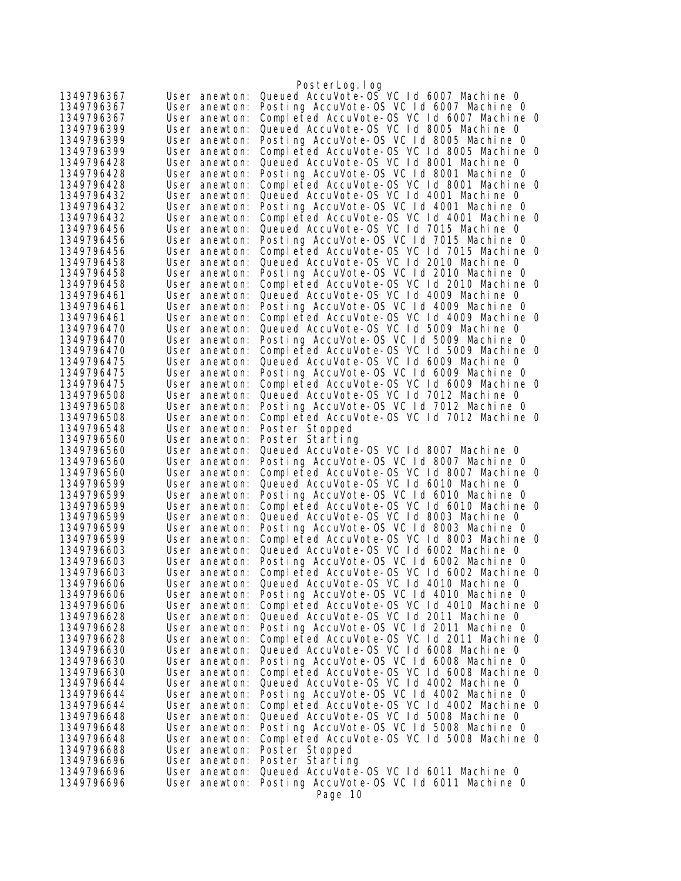|                          |                                | PosterLog.log                                                                          |
|--------------------------|--------------------------------|----------------------------------------------------------------------------------------|
| 1349796367               | User anewton:                  | Queued AccuVote-0S VC 1d 6007 Machine 0                                                |
| 1349796367               | User anewton:                  | Posting AccuVote-OS VC 1d 6007 Machine 0                                               |
| 1349796367               | User anewton:                  | Completed AccuVote-OS VC 1d 6007 Machine 0                                             |
| 1349796399               | User anewton:                  | Queued AccuVote-OS VC 1d 8005 Machine 0                                                |
| 1349796399               | User anewton:                  | Posting AccuVote-OS VC Id 8005 Machine O                                               |
| 1349796399               | User anewton:                  | Completed AccuVote-OS VC 1d 8005 Machine 0                                             |
| 1349796428               | User anewton:                  | Queued AccuVote-OS VC 1d 8001 Machine 0                                                |
| 1349796428               | User anewton:                  | Posting AccuVote-OS VC 1d 8001 Machine 0                                               |
| 1349796428               | User anewton:                  | Completed AccuVote-OS VC 1d 8001 Machine 0                                             |
| 1349796432               | User anewton:                  | Queued AccuVote-OS VC Id 4001 Machine 0                                                |
| 1349796432               | User anewton:                  | Posting AccuVote-OS VC Id 4001 Machine O                                               |
| 1349796432               | User anewton:                  | Completed AccuVote-OS VC 1d 4001 Machine 0                                             |
| 1349796456               | User anewton:                  | Queued AccuVote-OS VC 1d 7015 Machine 0                                                |
| 1349796456               | User anewton:                  | Posting AccuVote-OS VC 1d 7015 Machine 0<br>Completed AccuVote-OS VC 1d 7015 Machine 0 |
| 1349796456<br>1349796458 | User anewton:<br>User anewton: | Queued AccuVote-OS VC Id 2010 Machine 0                                                |
| 1349796458               | User anewton:                  | Posting AccuVote-OS VC Id 2010 Machine O                                               |
| 1349796458               | User anewton:                  | Completed AccuVote-OS VC 1d 2010 Machine 0                                             |
| 1349796461               | User anewton:                  | Queued AccuVote-OS VC 1d 4009 Machine 0                                                |
| 1349796461               | User anewton:                  | Posting AccuVote-OS VC Id 4009 Machine 0                                               |
| 1349796461               | User anewton:                  | Completed AccuVote-OS VC 1d 4009 Machine 0                                             |
| 1349796470               | User anewton:                  | Queued AccuVote-OS VC 1d 5009 Machine 0                                                |
| 1349796470               | User anewton:                  | Posting AccuVote-OS VC 1d 5009 Machine 0                                               |
| 1349796470               | User anewton:                  | Completed AccuVote-OS VC 1d 5009 Machine 0                                             |
| 1349796475               | User anewton:                  | Queued AccuVote-OS VC 1d 6009 Machine 0                                                |
| 1349796475               | User anewton:                  | Posting AccuVote-OS VC 1d 6009 Machine 0                                               |
| 1349796475               | User anewton:                  | Completed AccuVote-OS VC 1d 6009 Machine 0                                             |
| 1349796508               | User anewton:                  | Queued AccuVote-OS VC 1d 7012 Machine 0                                                |
| 1349796508               | User anewton:                  | Posting AccuVote-OS VC Id 7012 Machine 0                                               |
| 1349796508               | User anewton:                  | Completed AccuVote-OS VC 1d 7012 Machine 0                                             |
| 1349796548               | User anewton:                  | Poster Stopped                                                                         |
| 1349796560               | User anewton:                  | Poster Starting                                                                        |
| 1349796560               | User anewton:                  | Queued AccuVote-0S VC Id 8007 Machine 0                                                |
| 1349796560               | User anewton:                  | Posting AccuVote-OS VC 1d 8007 Machine 0                                               |
| 1349796560               | User anewton:                  | Completed AccuVote-OS VC Id 8007 Machine 0                                             |
|                          |                                |                                                                                        |
| 1349796599               | User anewton:                  | Queued AccuVote-OS VC 1d 6010 Machine 0                                                |
| 1349796599               | User anewton:                  | Posting AccuVote-OS VC Id 6010 Machine O                                               |
| 1349796599               | User anewton:                  | Completed AccuVote-OS VC 1d 6010 Machine 0                                             |
| 1349796599               | User anewton:                  | Queued AccuVote-OS VC Id 8003 Machine 0                                                |
| 1349796599               | User anewton:                  | Posting AccuVote-OS VC 1d 8003 Machine 0                                               |
| 1349796599               | User anewton:                  | Completed AccuVote-OS VC 1d 8003 Machine 0                                             |
| 1349796603               | User anewton:                  | Queued AccuVote-OS VC Id 6002 Machine 0                                                |
| 1349796603               | User anewton:                  | Posting AccuVote-OS VC Id 6002 Machine 0                                               |
| 1349796603               | User anewton:                  | Completed AccuVote-OS VC 1d 6002 Machine 0                                             |
| 1349796606               | User anewton:                  | Queued AccuVote-OS VC 1d 4010 Machine 0                                                |
| 1349796606<br>1349796606 | User anewton:<br>User anewton: | Posting AccuVote-OS VC Id 4010 Machine O                                               |
| 1349796628               | User anewton:                  | Completed AccuVote-OS VC Id 4010 Machine 0                                             |
| 1349796628               | User anewton:                  | Queued AccuVote-OS VC Id 2011 Machine O<br>Posting AccuVote-OS VC Id 2011 Machine O    |
| 1349796628               | User anewton:                  | Completed AccuVote-OS VC 1d 2011 Machine 0                                             |
| 1349796630               | User anewton:                  | Queued AccuVote-OS VC 1d 6008 Machine 0                                                |
| 1349796630               | User anewton:                  | Posting AccuVote-OS VC 1d 6008 Machine 0                                               |
| 1349796630               | User anewton:                  | Completed AccuVote-OS VC 1d 6008 Machine 0                                             |
| 1349796644               | User anewton:                  | Queued AccuVote-OS VC 1d 4002 Machine 0                                                |
| 1349796644               | User anewton:                  | Posting AccuVote-OS VC 1d 4002 Machine 0                                               |
| 1349796644               | User anewton:                  | Completed AccuVote-OS VC 1d 4002 Machine 0                                             |
| 1349796648               | User anewton:                  | Queued AccuVote-OS VC Id 5008 Machine 0                                                |
| 1349796648               | User anewton:                  | Posting AccuVote-OS VC 1d 5008 Machine 0                                               |
| 1349796648               | User anewton:                  | Completed AccuVote-OS VC 1d 5008 Machine 0                                             |
| 1349796688               | User anewton:                  | Poster Stopped                                                                         |
| 1349796696               | User anewton:                  | Poster Starting                                                                        |
| 1349796696               | User anewton:                  | Queued AccuVote-OS VC Id 6011 Machine 0                                                |
| 1349796696               | User anewton:                  | Posting AccuVote-OS VC 1d 6011 Machine 0<br>Page 10                                    |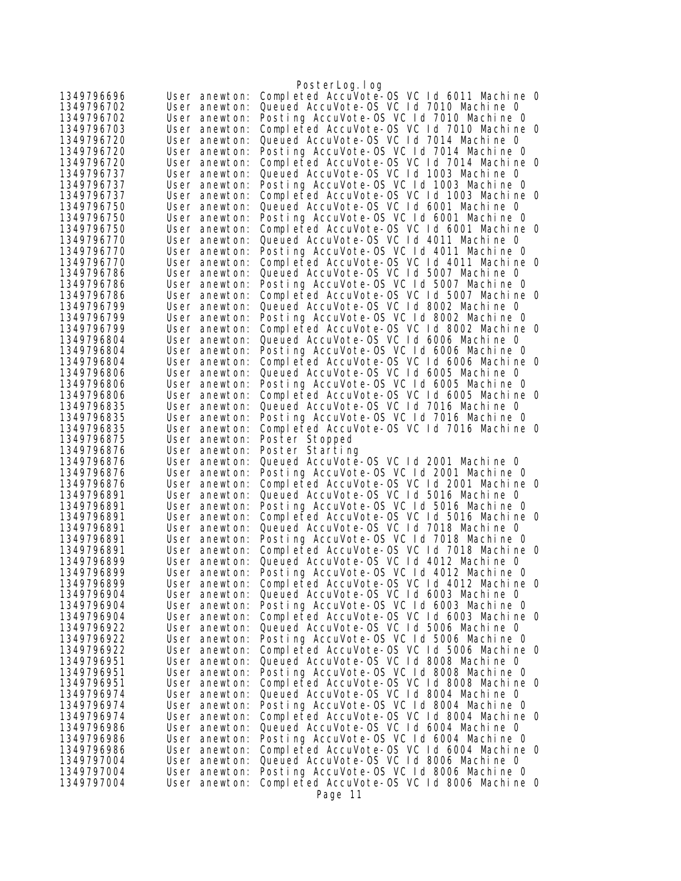|                          |                                | PosterLog.log                                                                         |
|--------------------------|--------------------------------|---------------------------------------------------------------------------------------|
| 1349796696               | User anewton:                  | Completed AccuVote-0S VC 1d 6011 Machine 0                                            |
| 1349796702               | User anewton:                  | Queued AccuVote-OS VC Id 7010 Machine 0                                               |
| 1349796702               | User anewton:                  | Posting AccuVote-OS VC 1d 7010 Machine 0                                              |
| 1349796703               | User anewton:                  | Completed AccuVote-OS VC Id 7010 Machine 0                                            |
| 1349796720               | User anewton:                  | Queued AccuVote-OS VC 1d 7014 Machine 0                                               |
| 1349796720               | User anewton:                  | Posting AccuVote-OS VC Id 7014 Machine O                                              |
| 1349796720               | User anewton:                  | Completed AccuVote-OS VC 1d 7014 Machine 0                                            |
| 1349796737               | User anewton:                  | Queued AccuVote-OS VC Id 1003 Machine 0                                               |
| 1349796737               | User anewton:                  | Posting AccuVote-OS VC Id 1003 Machine O                                              |
| 1349796737               | User anewton:                  | Completed AccuVote-OS VC 1d 1003 Machine 0                                            |
| 1349796750               | User anewton:                  | Queued AccuVote-OS VC Id 6001 Machine 0                                               |
| 1349796750               | User anewton:                  | Posting AccuVote-OS VC 1d 6001 Machine 0                                              |
| 1349796750<br>1349796770 | User anewton:<br>User anewton: | Completed AccuVote-OS VC 1d 6001 Machine 0<br>Queued AccuVote-OS VC 1d 4011 Machine 0 |
| 1349796770               | User anewton:                  | Posting AccuVote-OS VC 1d 4011 Machine 0                                              |
| 1349796770               | User anewton:                  | Completed AccuVote-OS VC 1d 4011 Machine 0                                            |
| 1349796786               | User anewton:                  | Queued AccuVote-OS VC Id 5007 Machine 0                                               |
| 1349796786               | User anewton:                  | Posting AccuVote-OS VC Id 5007 Machine O                                              |
| 1349796786               | User anewton:                  | Completed AccuVote-OS VC 1d 5007 Machine 0                                            |
| 1349796799               | User anewton:                  | Queued AccuVote-OS VC Id 8002 Machine 0                                               |
| 1349796799               | User anewton:                  | Posting AccuVote-OS VC Id 8002 Machine O                                              |
| 1349796799               | User anewton:                  | Completed AccuVote-OS VC 1d 8002 Machine 0                                            |
| 1349796804               | User anewton:                  | Queued AccuVote-OS VC 1d 6006 Machine 0                                               |
| 1349796804               | User anewton:                  | Posting AccuVote-OS VC 1d 6006 Machine 0                                              |
| 1349796804               | User anewton:                  | Completed AccuVote-OS VC 1d 6006 Machine 0                                            |
| 1349796806               | User anewton:                  | Queued AccuVote-OS VC Id 6005 Machine 0                                               |
| 1349796806               | User anewton:                  | Posting AccuVote-OS VC 1d 6005 Machine 0                                              |
| 1349796806               | User anewton:                  | Completed AccuVote-OS VC 1d 6005 Machine 0                                            |
| 1349796835               | User anewton:                  | Queued AccuVote-OS VC 1d 7016 Machine 0                                               |
| 1349796835<br>1349796835 | User anewton:                  | Posting AccuVote-OS VC 1d 7016 Machine 0                                              |
|                          | User anewton:                  | Completed AccuVote-OS VC 1d 7016 Machine 0                                            |
|                          |                                |                                                                                       |
| 1349796875               | User anewton:                  | Poster Stopped                                                                        |
| 1349796876               | User anewton:                  | Poster Starting                                                                       |
| 1349796876               | User anewton:                  | Queued AccuVote-OS VC 1d 2001 Machine 0                                               |
| 1349796876<br>1349796876 | User anewton:<br>User anewton: | Posting AccuVote-OS VC Id 2001 Machine O                                              |
| 1349796891               | User anewton:                  | Completed AccuVote-OS VC 1d 2001 Machine 0<br>Queued AccuVote-OS VC 1d 5016 Machine 0 |
| 1349796891               | User anewton:                  | Posting AccuVote-OS VC 1d 5016 Machine 0                                              |
| 1349796891               | User anewton:                  | Completed AccuVote-OS VC Id 5016 Machine O                                            |
| 1349796891               | User anewton:                  | Queued AccuVote-OS VC 1d 7018 Machine 0                                               |
| 1349796891               | User anewton:                  | Posting AccuVote-OS VC 1d 7018 Machine 0                                              |
| 1349796891               | User anewton:                  | Completed AccuVote-OS VC 1d 7018 Machine 0                                            |
| 1349796899               | User anewton:                  | Queued AccuVote-OS VC 1d 4012 Machine 0                                               |
| 1349796899               | User anewton:                  | Posting AccuVote-OS VC Id 4012 Machine O                                              |
| 1349796899               | User anewton:                  | Completed AccuVote-OS VC 1d 4012 Machine 0                                            |
| 1349796904               | User anewton:                  | Queued AccuVote-OS VC 1d 6003 Machine 0                                               |
| 1349796904               | User anewton:                  | Posting AccuVote-OS VC 1d 6003 Machine 0                                              |
| 1349796904               | User anewton:                  | Completed AccuVote-OS VC 1d 6003 Machine 0                                            |
| 1349796922               | User anewton:                  | Queued AccuVote-OS VC 1d 5006 Machine 0                                               |
| 1349796922<br>1349796922 | User anewton:<br>User anewton: | Posting AccuVote-OS VC 1d 5006 Machine 0                                              |
| 1349796951               | User anewton:                  | Completed AccuVote-OS VC 1d 5006 Machine 0<br>Queued AccuVote-OS VC Id 8008 Machine 0 |
| 1349796951               | User anewton:                  | Posting AccuVote-OS VC Id 8008 Machine O                                              |
| 1349796951               | User anewton:                  | Completed AccuVote-OS VC 1d 8008 Machine 0                                            |
| 1349796974               | User anewton:                  | Queued AccuVote-OS VC Id 8004 Machine 0                                               |
| 1349796974               | User anewton:                  | Posting AccuVote-OS VC 1d 8004 Machine 0                                              |
| 1349796974               | User anewton:                  | Completed AccuVote-OS VC 1d 8004 Machine 0                                            |
| 1349796986               | User anewton:                  | Queued AccuVote-OS VC Id 6004 Machine 0                                               |
| 1349796986               | User anewton:                  | Posting AccuVote-OS VC 1d 6004 Machine 0                                              |
| 1349796986               | User anewton:                  | Completed AccuVote-OS VC 1d 6004 Machine 0                                            |
| 1349797004               | User anewton:                  | Queued AccuVote-OS VC Id 8006 Machine O                                               |
| 1349797004               | User anewton:                  | Posting AccuVote-OS VC Id 8006 Machine O                                              |
| 1349797004               | User anewton:                  | Completed AccuVote-OS VC 1d 8006 Machine 0<br>Page 11                                 |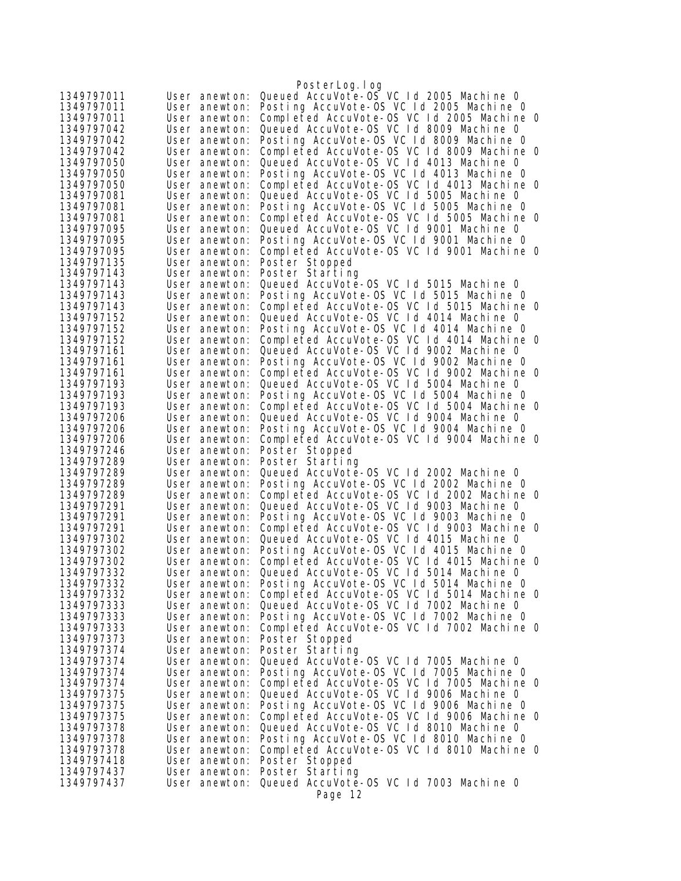| Queued AccuVote-0S VC 1d 2005 Machine 0<br>1349797011<br>User anewton:<br>Posting AccuVote-OS VC 1d 2005 Machine 0<br>User anewton:<br>Completed AccuVote-OS VC 1d 2005 Machine 0<br>1349797011<br>User anewton:<br>Queued AccuVote-OS VC 1d 8009 Machine 0<br>1349797042<br>User anewton:<br>Posting AccuVote-OS VC Id 8009 Machine 0<br>1349797042<br>User anewton:<br>Completed AccuVote-OS VC 1d 8009 Machine 0<br>1349797042<br>User anewton:<br>Queued AccuVote-OS VC 1d 4013 Machine 0<br>1349797050<br>User anewton:<br>Posting AccuVote-OS VC 1d 4013 Machine 0<br>1349797050<br>User anewton:<br>Completed AccuVote-OS VC 1d 4013 Machine 0<br>1349797050<br>User anewton:<br>Queued AccuVote-OS VC 1d 5005 Machine 0<br>1349797081<br>User anewton:<br>Posting AccuVote-OS VC Id 5005 Machine O<br>1349797081<br>User anewton:<br>Completed AccuVote-OS VC Id 5005 Machine O<br>1349797081<br>User anewton:<br>Queued AccuVote-OS VC Id 9001 Machine O<br>1349797095<br>User anewton:<br>Posting AccuVote-OS VC 1d 9001 Machine 0<br>1349797095<br>User anewton:<br>Completed AccuVote-OS VC 1d 9001 Machine 0<br>1349797095<br>User anewton:<br>1349797135<br>User anewton:<br>Poster Stopped<br>1349797143<br>Poster Starting<br>User anewton:<br>Queued AccuVote-OS VC 1d 5015 Machine 0<br>1349797143<br>User anewton:<br>Posting AccuVote-OS VC 1d 5015 Machine 0<br>1349797143<br>User anewton:<br>Completed AccuVote-OS VC 1d 5015 Machine 0<br>1349797143<br>User anewton:<br>Queued AccuVote-OS VC 1d 4014 Machine 0<br>1349797152<br>User anewton:<br>Posting AccuVote-OS VC Id 4014 Machine 0<br>User anewton:<br>Completed AccuVote-OS VC 1d 4014 Machine 0<br>1349797152<br>User anewton:<br>Queued AccuVote-OS VC 1d 9002 Machine 0<br>1349797161<br>User anewton:<br>Posting AccuVote-OS VC Id 9002 Machine 0<br>1349797161<br>User anewton:<br>Completed AccuVote-OS VC Id 9002 Machine 0<br>1349797161<br>User anewton:<br>Queued AccuVote-OS VC 1d 5004 Machine 0<br>1349797193<br>User anewton:<br>Posting AccuVote-OS VC Id 5004 Machine 0<br>1349797193<br>User anewton:<br>Completed AccuVote-OS VC 1d 5004 Machine 0<br>1349797193<br>User anewton:<br>Queued AccuVote-OS VC 1d 9004 Machine 0<br>1349797206<br>User anewton:<br>Posting AccuVote-OS VC Id 9004 Machine 0<br>1349797206<br>User anewton:<br>Completed AccuVote-OS VC 1d 9004 Machine 0<br>1349797206<br>User anewton:<br>Poster Stopped<br>User anewton:<br>Poster Starting<br>User anewton:<br>Queued AccuVote-OS VC 1d 2002 Machine 0<br>1349797289<br>User anewton:<br>Posting AccuVote-OS VC 1d 2002 Machine 0<br>1349797289<br>User anewton:<br>Completed AccuVote-OS VC 1d 2002 Machine 0<br>1349797289<br>User anewton:<br>Queued AccuVote-OS VC 1d 9003 Machine 0<br>1349797291<br>User anewton:<br>Posting AccuVote-OS VC Id 9003 Machine O<br>1349797291<br>User anewton:<br>Completed AccuVote-OS VC 1d 9003 Machine 0<br>1349797291<br>User anewton:<br>Queued AccuVote-OS VC 1d 4015 Machine 0<br>1349797302<br>User anewton:<br>Posting AccuVote-OS VC Id 4015 Machine O<br>1349797302<br>User anewton:<br>Completed AccuVote-OS VC Id 4015 Machine O<br>1349797302<br>User anewton:<br>Queued AccuVote-OS VC 1d 5014 Machine 0<br>1349797332<br>User anewton:<br>Posting AccuVote-OS VC 1d 5014 Machine 0<br>User anewton:<br>Completed AccuVote-OS VC 1d 5014 Machine 0<br>User anewton:<br>Queued AccuVote-OS VC 1d 7002 Machine 0<br>User anewton:<br>Posting AccuVote-OS VC Id 7002 Machine 0<br>User anewton:<br>Completed AccuVote-OS VC 1d 7002 Machine 0<br>1349797333<br>User anewton:<br>Poster Stopped<br>1349797373<br>User anewton:<br>Poster Starting<br>1349797374<br>User anewton:<br>Queued AccuVote-0S VC 1d 7005 Machine 0<br>1349797374<br>User anewton:<br>Posting AccuVote-OS VC 1d 7005 Machine 0<br>1349797374<br>User anewton:<br>Completed AccuVote-OS VC Id 7005 Machine O<br>1349797374<br>User anewton:<br>Queued AccuVote-OS VC Id 9006 Machine 0<br>1349797375<br>User anewton:<br>Posting AccuVote-OS VC Id 9006 Machine O<br>1349797375<br>User anewton:<br>Completed AccuVote-OS VC 1d 9006 Machine 0<br>1349797375<br>User anewton:<br>Queued AccuVote-OS VC Id 8010 Machine 0<br>User anewton:<br>Posting AccuVote-OS VC Id 8010 Machine O<br>User anewton:<br>Completed AccuVote-OS VC 1d 8010 Machine 0<br>User anewton:<br>User anewton:<br>Poster Stopped<br>Poster Starting<br>User anewton:<br>Queued AccuVote-0S VC 1d 7003 Machine 0<br>1349797437<br>User anewton:<br>Page 12 |            | PosterLog.log |
|---------------------------------------------------------------------------------------------------------------------------------------------------------------------------------------------------------------------------------------------------------------------------------------------------------------------------------------------------------------------------------------------------------------------------------------------------------------------------------------------------------------------------------------------------------------------------------------------------------------------------------------------------------------------------------------------------------------------------------------------------------------------------------------------------------------------------------------------------------------------------------------------------------------------------------------------------------------------------------------------------------------------------------------------------------------------------------------------------------------------------------------------------------------------------------------------------------------------------------------------------------------------------------------------------------------------------------------------------------------------------------------------------------------------------------------------------------------------------------------------------------------------------------------------------------------------------------------------------------------------------------------------------------------------------------------------------------------------------------------------------------------------------------------------------------------------------------------------------------------------------------------------------------------------------------------------------------------------------------------------------------------------------------------------------------------------------------------------------------------------------------------------------------------------------------------------------------------------------------------------------------------------------------------------------------------------------------------------------------------------------------------------------------------------------------------------------------------------------------------------------------------------------------------------------------------------------------------------------------------------------------------------------------------------------------------------------------------------------------------------------------------------------------------------------------------------------------------------------------------------------------------------------------------------------------------------------------------------------------------------------------------------------------------------------------------------------------------------------------------------------------------------------------------------------------------------------------------------------------------------------------------------------------------------------------------------------------------------------------------------------------------------------------------------------------------------------------------------------------------------------------------------------------------------------------------------------------------------------------------------------------------------------------------------------------------------------------------------------------------------------------------------------------------------------------------------------------------------------------------------------------------------------------------------------------------------------------------------------------------------------------------------------------------------------------------------------------------------------------------------------------------------------------------------------------------------------------------------------------------------------------------------------------------------------------------------------------------------------------------------------------------------------------------------------------------------------------------------------------------------------------------------------------------------|------------|---------------|
|                                                                                                                                                                                                                                                                                                                                                                                                                                                                                                                                                                                                                                                                                                                                                                                                                                                                                                                                                                                                                                                                                                                                                                                                                                                                                                                                                                                                                                                                                                                                                                                                                                                                                                                                                                                                                                                                                                                                                                                                                                                                                                                                                                                                                                                                                                                                                                                                                                                                                                                                                                                                                                                                                                                                                                                                                                                                                                                                                                                                                                                                                                                                                                                                                                                                                                                                                                                                                                                                                                                                                                                                                                                                                                                                                                                                                                                                                                                                                                                                                                                                                                                                                                                                                                                                                                                                                                                                                                                                                                                                             |            |               |
|                                                                                                                                                                                                                                                                                                                                                                                                                                                                                                                                                                                                                                                                                                                                                                                                                                                                                                                                                                                                                                                                                                                                                                                                                                                                                                                                                                                                                                                                                                                                                                                                                                                                                                                                                                                                                                                                                                                                                                                                                                                                                                                                                                                                                                                                                                                                                                                                                                                                                                                                                                                                                                                                                                                                                                                                                                                                                                                                                                                                                                                                                                                                                                                                                                                                                                                                                                                                                                                                                                                                                                                                                                                                                                                                                                                                                                                                                                                                                                                                                                                                                                                                                                                                                                                                                                                                                                                                                                                                                                                                             | 1349797011 |               |
|                                                                                                                                                                                                                                                                                                                                                                                                                                                                                                                                                                                                                                                                                                                                                                                                                                                                                                                                                                                                                                                                                                                                                                                                                                                                                                                                                                                                                                                                                                                                                                                                                                                                                                                                                                                                                                                                                                                                                                                                                                                                                                                                                                                                                                                                                                                                                                                                                                                                                                                                                                                                                                                                                                                                                                                                                                                                                                                                                                                                                                                                                                                                                                                                                                                                                                                                                                                                                                                                                                                                                                                                                                                                                                                                                                                                                                                                                                                                                                                                                                                                                                                                                                                                                                                                                                                                                                                                                                                                                                                                             |            |               |
|                                                                                                                                                                                                                                                                                                                                                                                                                                                                                                                                                                                                                                                                                                                                                                                                                                                                                                                                                                                                                                                                                                                                                                                                                                                                                                                                                                                                                                                                                                                                                                                                                                                                                                                                                                                                                                                                                                                                                                                                                                                                                                                                                                                                                                                                                                                                                                                                                                                                                                                                                                                                                                                                                                                                                                                                                                                                                                                                                                                                                                                                                                                                                                                                                                                                                                                                                                                                                                                                                                                                                                                                                                                                                                                                                                                                                                                                                                                                                                                                                                                                                                                                                                                                                                                                                                                                                                                                                                                                                                                                             |            |               |
|                                                                                                                                                                                                                                                                                                                                                                                                                                                                                                                                                                                                                                                                                                                                                                                                                                                                                                                                                                                                                                                                                                                                                                                                                                                                                                                                                                                                                                                                                                                                                                                                                                                                                                                                                                                                                                                                                                                                                                                                                                                                                                                                                                                                                                                                                                                                                                                                                                                                                                                                                                                                                                                                                                                                                                                                                                                                                                                                                                                                                                                                                                                                                                                                                                                                                                                                                                                                                                                                                                                                                                                                                                                                                                                                                                                                                                                                                                                                                                                                                                                                                                                                                                                                                                                                                                                                                                                                                                                                                                                                             |            |               |
|                                                                                                                                                                                                                                                                                                                                                                                                                                                                                                                                                                                                                                                                                                                                                                                                                                                                                                                                                                                                                                                                                                                                                                                                                                                                                                                                                                                                                                                                                                                                                                                                                                                                                                                                                                                                                                                                                                                                                                                                                                                                                                                                                                                                                                                                                                                                                                                                                                                                                                                                                                                                                                                                                                                                                                                                                                                                                                                                                                                                                                                                                                                                                                                                                                                                                                                                                                                                                                                                                                                                                                                                                                                                                                                                                                                                                                                                                                                                                                                                                                                                                                                                                                                                                                                                                                                                                                                                                                                                                                                                             |            |               |
|                                                                                                                                                                                                                                                                                                                                                                                                                                                                                                                                                                                                                                                                                                                                                                                                                                                                                                                                                                                                                                                                                                                                                                                                                                                                                                                                                                                                                                                                                                                                                                                                                                                                                                                                                                                                                                                                                                                                                                                                                                                                                                                                                                                                                                                                                                                                                                                                                                                                                                                                                                                                                                                                                                                                                                                                                                                                                                                                                                                                                                                                                                                                                                                                                                                                                                                                                                                                                                                                                                                                                                                                                                                                                                                                                                                                                                                                                                                                                                                                                                                                                                                                                                                                                                                                                                                                                                                                                                                                                                                                             |            |               |
|                                                                                                                                                                                                                                                                                                                                                                                                                                                                                                                                                                                                                                                                                                                                                                                                                                                                                                                                                                                                                                                                                                                                                                                                                                                                                                                                                                                                                                                                                                                                                                                                                                                                                                                                                                                                                                                                                                                                                                                                                                                                                                                                                                                                                                                                                                                                                                                                                                                                                                                                                                                                                                                                                                                                                                                                                                                                                                                                                                                                                                                                                                                                                                                                                                                                                                                                                                                                                                                                                                                                                                                                                                                                                                                                                                                                                                                                                                                                                                                                                                                                                                                                                                                                                                                                                                                                                                                                                                                                                                                                             |            |               |
|                                                                                                                                                                                                                                                                                                                                                                                                                                                                                                                                                                                                                                                                                                                                                                                                                                                                                                                                                                                                                                                                                                                                                                                                                                                                                                                                                                                                                                                                                                                                                                                                                                                                                                                                                                                                                                                                                                                                                                                                                                                                                                                                                                                                                                                                                                                                                                                                                                                                                                                                                                                                                                                                                                                                                                                                                                                                                                                                                                                                                                                                                                                                                                                                                                                                                                                                                                                                                                                                                                                                                                                                                                                                                                                                                                                                                                                                                                                                                                                                                                                                                                                                                                                                                                                                                                                                                                                                                                                                                                                                             |            |               |
|                                                                                                                                                                                                                                                                                                                                                                                                                                                                                                                                                                                                                                                                                                                                                                                                                                                                                                                                                                                                                                                                                                                                                                                                                                                                                                                                                                                                                                                                                                                                                                                                                                                                                                                                                                                                                                                                                                                                                                                                                                                                                                                                                                                                                                                                                                                                                                                                                                                                                                                                                                                                                                                                                                                                                                                                                                                                                                                                                                                                                                                                                                                                                                                                                                                                                                                                                                                                                                                                                                                                                                                                                                                                                                                                                                                                                                                                                                                                                                                                                                                                                                                                                                                                                                                                                                                                                                                                                                                                                                                                             |            |               |
|                                                                                                                                                                                                                                                                                                                                                                                                                                                                                                                                                                                                                                                                                                                                                                                                                                                                                                                                                                                                                                                                                                                                                                                                                                                                                                                                                                                                                                                                                                                                                                                                                                                                                                                                                                                                                                                                                                                                                                                                                                                                                                                                                                                                                                                                                                                                                                                                                                                                                                                                                                                                                                                                                                                                                                                                                                                                                                                                                                                                                                                                                                                                                                                                                                                                                                                                                                                                                                                                                                                                                                                                                                                                                                                                                                                                                                                                                                                                                                                                                                                                                                                                                                                                                                                                                                                                                                                                                                                                                                                                             |            |               |
|                                                                                                                                                                                                                                                                                                                                                                                                                                                                                                                                                                                                                                                                                                                                                                                                                                                                                                                                                                                                                                                                                                                                                                                                                                                                                                                                                                                                                                                                                                                                                                                                                                                                                                                                                                                                                                                                                                                                                                                                                                                                                                                                                                                                                                                                                                                                                                                                                                                                                                                                                                                                                                                                                                                                                                                                                                                                                                                                                                                                                                                                                                                                                                                                                                                                                                                                                                                                                                                                                                                                                                                                                                                                                                                                                                                                                                                                                                                                                                                                                                                                                                                                                                                                                                                                                                                                                                                                                                                                                                                                             |            |               |
|                                                                                                                                                                                                                                                                                                                                                                                                                                                                                                                                                                                                                                                                                                                                                                                                                                                                                                                                                                                                                                                                                                                                                                                                                                                                                                                                                                                                                                                                                                                                                                                                                                                                                                                                                                                                                                                                                                                                                                                                                                                                                                                                                                                                                                                                                                                                                                                                                                                                                                                                                                                                                                                                                                                                                                                                                                                                                                                                                                                                                                                                                                                                                                                                                                                                                                                                                                                                                                                                                                                                                                                                                                                                                                                                                                                                                                                                                                                                                                                                                                                                                                                                                                                                                                                                                                                                                                                                                                                                                                                                             |            |               |
|                                                                                                                                                                                                                                                                                                                                                                                                                                                                                                                                                                                                                                                                                                                                                                                                                                                                                                                                                                                                                                                                                                                                                                                                                                                                                                                                                                                                                                                                                                                                                                                                                                                                                                                                                                                                                                                                                                                                                                                                                                                                                                                                                                                                                                                                                                                                                                                                                                                                                                                                                                                                                                                                                                                                                                                                                                                                                                                                                                                                                                                                                                                                                                                                                                                                                                                                                                                                                                                                                                                                                                                                                                                                                                                                                                                                                                                                                                                                                                                                                                                                                                                                                                                                                                                                                                                                                                                                                                                                                                                                             |            |               |
|                                                                                                                                                                                                                                                                                                                                                                                                                                                                                                                                                                                                                                                                                                                                                                                                                                                                                                                                                                                                                                                                                                                                                                                                                                                                                                                                                                                                                                                                                                                                                                                                                                                                                                                                                                                                                                                                                                                                                                                                                                                                                                                                                                                                                                                                                                                                                                                                                                                                                                                                                                                                                                                                                                                                                                                                                                                                                                                                                                                                                                                                                                                                                                                                                                                                                                                                                                                                                                                                                                                                                                                                                                                                                                                                                                                                                                                                                                                                                                                                                                                                                                                                                                                                                                                                                                                                                                                                                                                                                                                                             |            |               |
|                                                                                                                                                                                                                                                                                                                                                                                                                                                                                                                                                                                                                                                                                                                                                                                                                                                                                                                                                                                                                                                                                                                                                                                                                                                                                                                                                                                                                                                                                                                                                                                                                                                                                                                                                                                                                                                                                                                                                                                                                                                                                                                                                                                                                                                                                                                                                                                                                                                                                                                                                                                                                                                                                                                                                                                                                                                                                                                                                                                                                                                                                                                                                                                                                                                                                                                                                                                                                                                                                                                                                                                                                                                                                                                                                                                                                                                                                                                                                                                                                                                                                                                                                                                                                                                                                                                                                                                                                                                                                                                                             |            |               |
|                                                                                                                                                                                                                                                                                                                                                                                                                                                                                                                                                                                                                                                                                                                                                                                                                                                                                                                                                                                                                                                                                                                                                                                                                                                                                                                                                                                                                                                                                                                                                                                                                                                                                                                                                                                                                                                                                                                                                                                                                                                                                                                                                                                                                                                                                                                                                                                                                                                                                                                                                                                                                                                                                                                                                                                                                                                                                                                                                                                                                                                                                                                                                                                                                                                                                                                                                                                                                                                                                                                                                                                                                                                                                                                                                                                                                                                                                                                                                                                                                                                                                                                                                                                                                                                                                                                                                                                                                                                                                                                                             |            |               |
|                                                                                                                                                                                                                                                                                                                                                                                                                                                                                                                                                                                                                                                                                                                                                                                                                                                                                                                                                                                                                                                                                                                                                                                                                                                                                                                                                                                                                                                                                                                                                                                                                                                                                                                                                                                                                                                                                                                                                                                                                                                                                                                                                                                                                                                                                                                                                                                                                                                                                                                                                                                                                                                                                                                                                                                                                                                                                                                                                                                                                                                                                                                                                                                                                                                                                                                                                                                                                                                                                                                                                                                                                                                                                                                                                                                                                                                                                                                                                                                                                                                                                                                                                                                                                                                                                                                                                                                                                                                                                                                                             |            |               |
|                                                                                                                                                                                                                                                                                                                                                                                                                                                                                                                                                                                                                                                                                                                                                                                                                                                                                                                                                                                                                                                                                                                                                                                                                                                                                                                                                                                                                                                                                                                                                                                                                                                                                                                                                                                                                                                                                                                                                                                                                                                                                                                                                                                                                                                                                                                                                                                                                                                                                                                                                                                                                                                                                                                                                                                                                                                                                                                                                                                                                                                                                                                                                                                                                                                                                                                                                                                                                                                                                                                                                                                                                                                                                                                                                                                                                                                                                                                                                                                                                                                                                                                                                                                                                                                                                                                                                                                                                                                                                                                                             |            |               |
|                                                                                                                                                                                                                                                                                                                                                                                                                                                                                                                                                                                                                                                                                                                                                                                                                                                                                                                                                                                                                                                                                                                                                                                                                                                                                                                                                                                                                                                                                                                                                                                                                                                                                                                                                                                                                                                                                                                                                                                                                                                                                                                                                                                                                                                                                                                                                                                                                                                                                                                                                                                                                                                                                                                                                                                                                                                                                                                                                                                                                                                                                                                                                                                                                                                                                                                                                                                                                                                                                                                                                                                                                                                                                                                                                                                                                                                                                                                                                                                                                                                                                                                                                                                                                                                                                                                                                                                                                                                                                                                                             |            |               |
|                                                                                                                                                                                                                                                                                                                                                                                                                                                                                                                                                                                                                                                                                                                                                                                                                                                                                                                                                                                                                                                                                                                                                                                                                                                                                                                                                                                                                                                                                                                                                                                                                                                                                                                                                                                                                                                                                                                                                                                                                                                                                                                                                                                                                                                                                                                                                                                                                                                                                                                                                                                                                                                                                                                                                                                                                                                                                                                                                                                                                                                                                                                                                                                                                                                                                                                                                                                                                                                                                                                                                                                                                                                                                                                                                                                                                                                                                                                                                                                                                                                                                                                                                                                                                                                                                                                                                                                                                                                                                                                                             | 1349797152 |               |
|                                                                                                                                                                                                                                                                                                                                                                                                                                                                                                                                                                                                                                                                                                                                                                                                                                                                                                                                                                                                                                                                                                                                                                                                                                                                                                                                                                                                                                                                                                                                                                                                                                                                                                                                                                                                                                                                                                                                                                                                                                                                                                                                                                                                                                                                                                                                                                                                                                                                                                                                                                                                                                                                                                                                                                                                                                                                                                                                                                                                                                                                                                                                                                                                                                                                                                                                                                                                                                                                                                                                                                                                                                                                                                                                                                                                                                                                                                                                                                                                                                                                                                                                                                                                                                                                                                                                                                                                                                                                                                                                             |            |               |
|                                                                                                                                                                                                                                                                                                                                                                                                                                                                                                                                                                                                                                                                                                                                                                                                                                                                                                                                                                                                                                                                                                                                                                                                                                                                                                                                                                                                                                                                                                                                                                                                                                                                                                                                                                                                                                                                                                                                                                                                                                                                                                                                                                                                                                                                                                                                                                                                                                                                                                                                                                                                                                                                                                                                                                                                                                                                                                                                                                                                                                                                                                                                                                                                                                                                                                                                                                                                                                                                                                                                                                                                                                                                                                                                                                                                                                                                                                                                                                                                                                                                                                                                                                                                                                                                                                                                                                                                                                                                                                                                             |            |               |
|                                                                                                                                                                                                                                                                                                                                                                                                                                                                                                                                                                                                                                                                                                                                                                                                                                                                                                                                                                                                                                                                                                                                                                                                                                                                                                                                                                                                                                                                                                                                                                                                                                                                                                                                                                                                                                                                                                                                                                                                                                                                                                                                                                                                                                                                                                                                                                                                                                                                                                                                                                                                                                                                                                                                                                                                                                                                                                                                                                                                                                                                                                                                                                                                                                                                                                                                                                                                                                                                                                                                                                                                                                                                                                                                                                                                                                                                                                                                                                                                                                                                                                                                                                                                                                                                                                                                                                                                                                                                                                                                             |            |               |
|                                                                                                                                                                                                                                                                                                                                                                                                                                                                                                                                                                                                                                                                                                                                                                                                                                                                                                                                                                                                                                                                                                                                                                                                                                                                                                                                                                                                                                                                                                                                                                                                                                                                                                                                                                                                                                                                                                                                                                                                                                                                                                                                                                                                                                                                                                                                                                                                                                                                                                                                                                                                                                                                                                                                                                                                                                                                                                                                                                                                                                                                                                                                                                                                                                                                                                                                                                                                                                                                                                                                                                                                                                                                                                                                                                                                                                                                                                                                                                                                                                                                                                                                                                                                                                                                                                                                                                                                                                                                                                                                             |            |               |
|                                                                                                                                                                                                                                                                                                                                                                                                                                                                                                                                                                                                                                                                                                                                                                                                                                                                                                                                                                                                                                                                                                                                                                                                                                                                                                                                                                                                                                                                                                                                                                                                                                                                                                                                                                                                                                                                                                                                                                                                                                                                                                                                                                                                                                                                                                                                                                                                                                                                                                                                                                                                                                                                                                                                                                                                                                                                                                                                                                                                                                                                                                                                                                                                                                                                                                                                                                                                                                                                                                                                                                                                                                                                                                                                                                                                                                                                                                                                                                                                                                                                                                                                                                                                                                                                                                                                                                                                                                                                                                                                             |            |               |
|                                                                                                                                                                                                                                                                                                                                                                                                                                                                                                                                                                                                                                                                                                                                                                                                                                                                                                                                                                                                                                                                                                                                                                                                                                                                                                                                                                                                                                                                                                                                                                                                                                                                                                                                                                                                                                                                                                                                                                                                                                                                                                                                                                                                                                                                                                                                                                                                                                                                                                                                                                                                                                                                                                                                                                                                                                                                                                                                                                                                                                                                                                                                                                                                                                                                                                                                                                                                                                                                                                                                                                                                                                                                                                                                                                                                                                                                                                                                                                                                                                                                                                                                                                                                                                                                                                                                                                                                                                                                                                                                             |            |               |
|                                                                                                                                                                                                                                                                                                                                                                                                                                                                                                                                                                                                                                                                                                                                                                                                                                                                                                                                                                                                                                                                                                                                                                                                                                                                                                                                                                                                                                                                                                                                                                                                                                                                                                                                                                                                                                                                                                                                                                                                                                                                                                                                                                                                                                                                                                                                                                                                                                                                                                                                                                                                                                                                                                                                                                                                                                                                                                                                                                                                                                                                                                                                                                                                                                                                                                                                                                                                                                                                                                                                                                                                                                                                                                                                                                                                                                                                                                                                                                                                                                                                                                                                                                                                                                                                                                                                                                                                                                                                                                                                             |            |               |
|                                                                                                                                                                                                                                                                                                                                                                                                                                                                                                                                                                                                                                                                                                                                                                                                                                                                                                                                                                                                                                                                                                                                                                                                                                                                                                                                                                                                                                                                                                                                                                                                                                                                                                                                                                                                                                                                                                                                                                                                                                                                                                                                                                                                                                                                                                                                                                                                                                                                                                                                                                                                                                                                                                                                                                                                                                                                                                                                                                                                                                                                                                                                                                                                                                                                                                                                                                                                                                                                                                                                                                                                                                                                                                                                                                                                                                                                                                                                                                                                                                                                                                                                                                                                                                                                                                                                                                                                                                                                                                                                             |            |               |
|                                                                                                                                                                                                                                                                                                                                                                                                                                                                                                                                                                                                                                                                                                                                                                                                                                                                                                                                                                                                                                                                                                                                                                                                                                                                                                                                                                                                                                                                                                                                                                                                                                                                                                                                                                                                                                                                                                                                                                                                                                                                                                                                                                                                                                                                                                                                                                                                                                                                                                                                                                                                                                                                                                                                                                                                                                                                                                                                                                                                                                                                                                                                                                                                                                                                                                                                                                                                                                                                                                                                                                                                                                                                                                                                                                                                                                                                                                                                                                                                                                                                                                                                                                                                                                                                                                                                                                                                                                                                                                                                             |            |               |
|                                                                                                                                                                                                                                                                                                                                                                                                                                                                                                                                                                                                                                                                                                                                                                                                                                                                                                                                                                                                                                                                                                                                                                                                                                                                                                                                                                                                                                                                                                                                                                                                                                                                                                                                                                                                                                                                                                                                                                                                                                                                                                                                                                                                                                                                                                                                                                                                                                                                                                                                                                                                                                                                                                                                                                                                                                                                                                                                                                                                                                                                                                                                                                                                                                                                                                                                                                                                                                                                                                                                                                                                                                                                                                                                                                                                                                                                                                                                                                                                                                                                                                                                                                                                                                                                                                                                                                                                                                                                                                                                             | 1349797246 |               |
|                                                                                                                                                                                                                                                                                                                                                                                                                                                                                                                                                                                                                                                                                                                                                                                                                                                                                                                                                                                                                                                                                                                                                                                                                                                                                                                                                                                                                                                                                                                                                                                                                                                                                                                                                                                                                                                                                                                                                                                                                                                                                                                                                                                                                                                                                                                                                                                                                                                                                                                                                                                                                                                                                                                                                                                                                                                                                                                                                                                                                                                                                                                                                                                                                                                                                                                                                                                                                                                                                                                                                                                                                                                                                                                                                                                                                                                                                                                                                                                                                                                                                                                                                                                                                                                                                                                                                                                                                                                                                                                                             | 1349797289 |               |
|                                                                                                                                                                                                                                                                                                                                                                                                                                                                                                                                                                                                                                                                                                                                                                                                                                                                                                                                                                                                                                                                                                                                                                                                                                                                                                                                                                                                                                                                                                                                                                                                                                                                                                                                                                                                                                                                                                                                                                                                                                                                                                                                                                                                                                                                                                                                                                                                                                                                                                                                                                                                                                                                                                                                                                                                                                                                                                                                                                                                                                                                                                                                                                                                                                                                                                                                                                                                                                                                                                                                                                                                                                                                                                                                                                                                                                                                                                                                                                                                                                                                                                                                                                                                                                                                                                                                                                                                                                                                                                                                             |            |               |
|                                                                                                                                                                                                                                                                                                                                                                                                                                                                                                                                                                                                                                                                                                                                                                                                                                                                                                                                                                                                                                                                                                                                                                                                                                                                                                                                                                                                                                                                                                                                                                                                                                                                                                                                                                                                                                                                                                                                                                                                                                                                                                                                                                                                                                                                                                                                                                                                                                                                                                                                                                                                                                                                                                                                                                                                                                                                                                                                                                                                                                                                                                                                                                                                                                                                                                                                                                                                                                                                                                                                                                                                                                                                                                                                                                                                                                                                                                                                                                                                                                                                                                                                                                                                                                                                                                                                                                                                                                                                                                                                             |            |               |
|                                                                                                                                                                                                                                                                                                                                                                                                                                                                                                                                                                                                                                                                                                                                                                                                                                                                                                                                                                                                                                                                                                                                                                                                                                                                                                                                                                                                                                                                                                                                                                                                                                                                                                                                                                                                                                                                                                                                                                                                                                                                                                                                                                                                                                                                                                                                                                                                                                                                                                                                                                                                                                                                                                                                                                                                                                                                                                                                                                                                                                                                                                                                                                                                                                                                                                                                                                                                                                                                                                                                                                                                                                                                                                                                                                                                                                                                                                                                                                                                                                                                                                                                                                                                                                                                                                                                                                                                                                                                                                                                             |            |               |
|                                                                                                                                                                                                                                                                                                                                                                                                                                                                                                                                                                                                                                                                                                                                                                                                                                                                                                                                                                                                                                                                                                                                                                                                                                                                                                                                                                                                                                                                                                                                                                                                                                                                                                                                                                                                                                                                                                                                                                                                                                                                                                                                                                                                                                                                                                                                                                                                                                                                                                                                                                                                                                                                                                                                                                                                                                                                                                                                                                                                                                                                                                                                                                                                                                                                                                                                                                                                                                                                                                                                                                                                                                                                                                                                                                                                                                                                                                                                                                                                                                                                                                                                                                                                                                                                                                                                                                                                                                                                                                                                             |            |               |
|                                                                                                                                                                                                                                                                                                                                                                                                                                                                                                                                                                                                                                                                                                                                                                                                                                                                                                                                                                                                                                                                                                                                                                                                                                                                                                                                                                                                                                                                                                                                                                                                                                                                                                                                                                                                                                                                                                                                                                                                                                                                                                                                                                                                                                                                                                                                                                                                                                                                                                                                                                                                                                                                                                                                                                                                                                                                                                                                                                                                                                                                                                                                                                                                                                                                                                                                                                                                                                                                                                                                                                                                                                                                                                                                                                                                                                                                                                                                                                                                                                                                                                                                                                                                                                                                                                                                                                                                                                                                                                                                             |            |               |
|                                                                                                                                                                                                                                                                                                                                                                                                                                                                                                                                                                                                                                                                                                                                                                                                                                                                                                                                                                                                                                                                                                                                                                                                                                                                                                                                                                                                                                                                                                                                                                                                                                                                                                                                                                                                                                                                                                                                                                                                                                                                                                                                                                                                                                                                                                                                                                                                                                                                                                                                                                                                                                                                                                                                                                                                                                                                                                                                                                                                                                                                                                                                                                                                                                                                                                                                                                                                                                                                                                                                                                                                                                                                                                                                                                                                                                                                                                                                                                                                                                                                                                                                                                                                                                                                                                                                                                                                                                                                                                                                             |            |               |
|                                                                                                                                                                                                                                                                                                                                                                                                                                                                                                                                                                                                                                                                                                                                                                                                                                                                                                                                                                                                                                                                                                                                                                                                                                                                                                                                                                                                                                                                                                                                                                                                                                                                                                                                                                                                                                                                                                                                                                                                                                                                                                                                                                                                                                                                                                                                                                                                                                                                                                                                                                                                                                                                                                                                                                                                                                                                                                                                                                                                                                                                                                                                                                                                                                                                                                                                                                                                                                                                                                                                                                                                                                                                                                                                                                                                                                                                                                                                                                                                                                                                                                                                                                                                                                                                                                                                                                                                                                                                                                                                             |            |               |
|                                                                                                                                                                                                                                                                                                                                                                                                                                                                                                                                                                                                                                                                                                                                                                                                                                                                                                                                                                                                                                                                                                                                                                                                                                                                                                                                                                                                                                                                                                                                                                                                                                                                                                                                                                                                                                                                                                                                                                                                                                                                                                                                                                                                                                                                                                                                                                                                                                                                                                                                                                                                                                                                                                                                                                                                                                                                                                                                                                                                                                                                                                                                                                                                                                                                                                                                                                                                                                                                                                                                                                                                                                                                                                                                                                                                                                                                                                                                                                                                                                                                                                                                                                                                                                                                                                                                                                                                                                                                                                                                             |            |               |
|                                                                                                                                                                                                                                                                                                                                                                                                                                                                                                                                                                                                                                                                                                                                                                                                                                                                                                                                                                                                                                                                                                                                                                                                                                                                                                                                                                                                                                                                                                                                                                                                                                                                                                                                                                                                                                                                                                                                                                                                                                                                                                                                                                                                                                                                                                                                                                                                                                                                                                                                                                                                                                                                                                                                                                                                                                                                                                                                                                                                                                                                                                                                                                                                                                                                                                                                                                                                                                                                                                                                                                                                                                                                                                                                                                                                                                                                                                                                                                                                                                                                                                                                                                                                                                                                                                                                                                                                                                                                                                                                             |            |               |
|                                                                                                                                                                                                                                                                                                                                                                                                                                                                                                                                                                                                                                                                                                                                                                                                                                                                                                                                                                                                                                                                                                                                                                                                                                                                                                                                                                                                                                                                                                                                                                                                                                                                                                                                                                                                                                                                                                                                                                                                                                                                                                                                                                                                                                                                                                                                                                                                                                                                                                                                                                                                                                                                                                                                                                                                                                                                                                                                                                                                                                                                                                                                                                                                                                                                                                                                                                                                                                                                                                                                                                                                                                                                                                                                                                                                                                                                                                                                                                                                                                                                                                                                                                                                                                                                                                                                                                                                                                                                                                                                             | 1349797332 |               |
|                                                                                                                                                                                                                                                                                                                                                                                                                                                                                                                                                                                                                                                                                                                                                                                                                                                                                                                                                                                                                                                                                                                                                                                                                                                                                                                                                                                                                                                                                                                                                                                                                                                                                                                                                                                                                                                                                                                                                                                                                                                                                                                                                                                                                                                                                                                                                                                                                                                                                                                                                                                                                                                                                                                                                                                                                                                                                                                                                                                                                                                                                                                                                                                                                                                                                                                                                                                                                                                                                                                                                                                                                                                                                                                                                                                                                                                                                                                                                                                                                                                                                                                                                                                                                                                                                                                                                                                                                                                                                                                                             | 1349797332 |               |
|                                                                                                                                                                                                                                                                                                                                                                                                                                                                                                                                                                                                                                                                                                                                                                                                                                                                                                                                                                                                                                                                                                                                                                                                                                                                                                                                                                                                                                                                                                                                                                                                                                                                                                                                                                                                                                                                                                                                                                                                                                                                                                                                                                                                                                                                                                                                                                                                                                                                                                                                                                                                                                                                                                                                                                                                                                                                                                                                                                                                                                                                                                                                                                                                                                                                                                                                                                                                                                                                                                                                                                                                                                                                                                                                                                                                                                                                                                                                                                                                                                                                                                                                                                                                                                                                                                                                                                                                                                                                                                                                             | 1349797333 |               |
|                                                                                                                                                                                                                                                                                                                                                                                                                                                                                                                                                                                                                                                                                                                                                                                                                                                                                                                                                                                                                                                                                                                                                                                                                                                                                                                                                                                                                                                                                                                                                                                                                                                                                                                                                                                                                                                                                                                                                                                                                                                                                                                                                                                                                                                                                                                                                                                                                                                                                                                                                                                                                                                                                                                                                                                                                                                                                                                                                                                                                                                                                                                                                                                                                                                                                                                                                                                                                                                                                                                                                                                                                                                                                                                                                                                                                                                                                                                                                                                                                                                                                                                                                                                                                                                                                                                                                                                                                                                                                                                                             | 1349797333 |               |
|                                                                                                                                                                                                                                                                                                                                                                                                                                                                                                                                                                                                                                                                                                                                                                                                                                                                                                                                                                                                                                                                                                                                                                                                                                                                                                                                                                                                                                                                                                                                                                                                                                                                                                                                                                                                                                                                                                                                                                                                                                                                                                                                                                                                                                                                                                                                                                                                                                                                                                                                                                                                                                                                                                                                                                                                                                                                                                                                                                                                                                                                                                                                                                                                                                                                                                                                                                                                                                                                                                                                                                                                                                                                                                                                                                                                                                                                                                                                                                                                                                                                                                                                                                                                                                                                                                                                                                                                                                                                                                                                             |            |               |
|                                                                                                                                                                                                                                                                                                                                                                                                                                                                                                                                                                                                                                                                                                                                                                                                                                                                                                                                                                                                                                                                                                                                                                                                                                                                                                                                                                                                                                                                                                                                                                                                                                                                                                                                                                                                                                                                                                                                                                                                                                                                                                                                                                                                                                                                                                                                                                                                                                                                                                                                                                                                                                                                                                                                                                                                                                                                                                                                                                                                                                                                                                                                                                                                                                                                                                                                                                                                                                                                                                                                                                                                                                                                                                                                                                                                                                                                                                                                                                                                                                                                                                                                                                                                                                                                                                                                                                                                                                                                                                                                             |            |               |
|                                                                                                                                                                                                                                                                                                                                                                                                                                                                                                                                                                                                                                                                                                                                                                                                                                                                                                                                                                                                                                                                                                                                                                                                                                                                                                                                                                                                                                                                                                                                                                                                                                                                                                                                                                                                                                                                                                                                                                                                                                                                                                                                                                                                                                                                                                                                                                                                                                                                                                                                                                                                                                                                                                                                                                                                                                                                                                                                                                                                                                                                                                                                                                                                                                                                                                                                                                                                                                                                                                                                                                                                                                                                                                                                                                                                                                                                                                                                                                                                                                                                                                                                                                                                                                                                                                                                                                                                                                                                                                                                             |            |               |
|                                                                                                                                                                                                                                                                                                                                                                                                                                                                                                                                                                                                                                                                                                                                                                                                                                                                                                                                                                                                                                                                                                                                                                                                                                                                                                                                                                                                                                                                                                                                                                                                                                                                                                                                                                                                                                                                                                                                                                                                                                                                                                                                                                                                                                                                                                                                                                                                                                                                                                                                                                                                                                                                                                                                                                                                                                                                                                                                                                                                                                                                                                                                                                                                                                                                                                                                                                                                                                                                                                                                                                                                                                                                                                                                                                                                                                                                                                                                                                                                                                                                                                                                                                                                                                                                                                                                                                                                                                                                                                                                             |            |               |
|                                                                                                                                                                                                                                                                                                                                                                                                                                                                                                                                                                                                                                                                                                                                                                                                                                                                                                                                                                                                                                                                                                                                                                                                                                                                                                                                                                                                                                                                                                                                                                                                                                                                                                                                                                                                                                                                                                                                                                                                                                                                                                                                                                                                                                                                                                                                                                                                                                                                                                                                                                                                                                                                                                                                                                                                                                                                                                                                                                                                                                                                                                                                                                                                                                                                                                                                                                                                                                                                                                                                                                                                                                                                                                                                                                                                                                                                                                                                                                                                                                                                                                                                                                                                                                                                                                                                                                                                                                                                                                                                             |            |               |
|                                                                                                                                                                                                                                                                                                                                                                                                                                                                                                                                                                                                                                                                                                                                                                                                                                                                                                                                                                                                                                                                                                                                                                                                                                                                                                                                                                                                                                                                                                                                                                                                                                                                                                                                                                                                                                                                                                                                                                                                                                                                                                                                                                                                                                                                                                                                                                                                                                                                                                                                                                                                                                                                                                                                                                                                                                                                                                                                                                                                                                                                                                                                                                                                                                                                                                                                                                                                                                                                                                                                                                                                                                                                                                                                                                                                                                                                                                                                                                                                                                                                                                                                                                                                                                                                                                                                                                                                                                                                                                                                             |            |               |
|                                                                                                                                                                                                                                                                                                                                                                                                                                                                                                                                                                                                                                                                                                                                                                                                                                                                                                                                                                                                                                                                                                                                                                                                                                                                                                                                                                                                                                                                                                                                                                                                                                                                                                                                                                                                                                                                                                                                                                                                                                                                                                                                                                                                                                                                                                                                                                                                                                                                                                                                                                                                                                                                                                                                                                                                                                                                                                                                                                                                                                                                                                                                                                                                                                                                                                                                                                                                                                                                                                                                                                                                                                                                                                                                                                                                                                                                                                                                                                                                                                                                                                                                                                                                                                                                                                                                                                                                                                                                                                                                             |            |               |
|                                                                                                                                                                                                                                                                                                                                                                                                                                                                                                                                                                                                                                                                                                                                                                                                                                                                                                                                                                                                                                                                                                                                                                                                                                                                                                                                                                                                                                                                                                                                                                                                                                                                                                                                                                                                                                                                                                                                                                                                                                                                                                                                                                                                                                                                                                                                                                                                                                                                                                                                                                                                                                                                                                                                                                                                                                                                                                                                                                                                                                                                                                                                                                                                                                                                                                                                                                                                                                                                                                                                                                                                                                                                                                                                                                                                                                                                                                                                                                                                                                                                                                                                                                                                                                                                                                                                                                                                                                                                                                                                             |            |               |
|                                                                                                                                                                                                                                                                                                                                                                                                                                                                                                                                                                                                                                                                                                                                                                                                                                                                                                                                                                                                                                                                                                                                                                                                                                                                                                                                                                                                                                                                                                                                                                                                                                                                                                                                                                                                                                                                                                                                                                                                                                                                                                                                                                                                                                                                                                                                                                                                                                                                                                                                                                                                                                                                                                                                                                                                                                                                                                                                                                                                                                                                                                                                                                                                                                                                                                                                                                                                                                                                                                                                                                                                                                                                                                                                                                                                                                                                                                                                                                                                                                                                                                                                                                                                                                                                                                                                                                                                                                                                                                                                             | 1349797378 |               |
|                                                                                                                                                                                                                                                                                                                                                                                                                                                                                                                                                                                                                                                                                                                                                                                                                                                                                                                                                                                                                                                                                                                                                                                                                                                                                                                                                                                                                                                                                                                                                                                                                                                                                                                                                                                                                                                                                                                                                                                                                                                                                                                                                                                                                                                                                                                                                                                                                                                                                                                                                                                                                                                                                                                                                                                                                                                                                                                                                                                                                                                                                                                                                                                                                                                                                                                                                                                                                                                                                                                                                                                                                                                                                                                                                                                                                                                                                                                                                                                                                                                                                                                                                                                                                                                                                                                                                                                                                                                                                                                                             | 1349797378 |               |
|                                                                                                                                                                                                                                                                                                                                                                                                                                                                                                                                                                                                                                                                                                                                                                                                                                                                                                                                                                                                                                                                                                                                                                                                                                                                                                                                                                                                                                                                                                                                                                                                                                                                                                                                                                                                                                                                                                                                                                                                                                                                                                                                                                                                                                                                                                                                                                                                                                                                                                                                                                                                                                                                                                                                                                                                                                                                                                                                                                                                                                                                                                                                                                                                                                                                                                                                                                                                                                                                                                                                                                                                                                                                                                                                                                                                                                                                                                                                                                                                                                                                                                                                                                                                                                                                                                                                                                                                                                                                                                                                             | 1349797378 |               |
|                                                                                                                                                                                                                                                                                                                                                                                                                                                                                                                                                                                                                                                                                                                                                                                                                                                                                                                                                                                                                                                                                                                                                                                                                                                                                                                                                                                                                                                                                                                                                                                                                                                                                                                                                                                                                                                                                                                                                                                                                                                                                                                                                                                                                                                                                                                                                                                                                                                                                                                                                                                                                                                                                                                                                                                                                                                                                                                                                                                                                                                                                                                                                                                                                                                                                                                                                                                                                                                                                                                                                                                                                                                                                                                                                                                                                                                                                                                                                                                                                                                                                                                                                                                                                                                                                                                                                                                                                                                                                                                                             | 1349797418 |               |
|                                                                                                                                                                                                                                                                                                                                                                                                                                                                                                                                                                                                                                                                                                                                                                                                                                                                                                                                                                                                                                                                                                                                                                                                                                                                                                                                                                                                                                                                                                                                                                                                                                                                                                                                                                                                                                                                                                                                                                                                                                                                                                                                                                                                                                                                                                                                                                                                                                                                                                                                                                                                                                                                                                                                                                                                                                                                                                                                                                                                                                                                                                                                                                                                                                                                                                                                                                                                                                                                                                                                                                                                                                                                                                                                                                                                                                                                                                                                                                                                                                                                                                                                                                                                                                                                                                                                                                                                                                                                                                                                             | 1349797437 |               |
|                                                                                                                                                                                                                                                                                                                                                                                                                                                                                                                                                                                                                                                                                                                                                                                                                                                                                                                                                                                                                                                                                                                                                                                                                                                                                                                                                                                                                                                                                                                                                                                                                                                                                                                                                                                                                                                                                                                                                                                                                                                                                                                                                                                                                                                                                                                                                                                                                                                                                                                                                                                                                                                                                                                                                                                                                                                                                                                                                                                                                                                                                                                                                                                                                                                                                                                                                                                                                                                                                                                                                                                                                                                                                                                                                                                                                                                                                                                                                                                                                                                                                                                                                                                                                                                                                                                                                                                                                                                                                                                                             |            |               |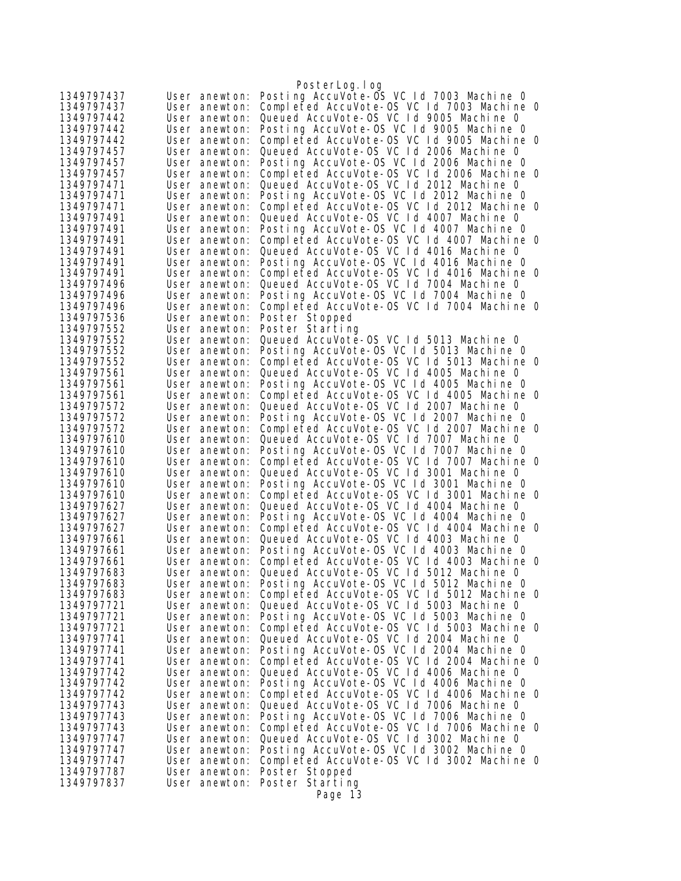|                          |                                | PosterLog.log                                                                          |
|--------------------------|--------------------------------|----------------------------------------------------------------------------------------|
| 1349797437               | User anewton:                  | Posting AccuVote-OS VC 1d 7003 Machine 0                                               |
| 1349797437               | User anewton:                  | Completed AccuVote-OS VC 1d 7003 Machine 0                                             |
| 1349797442               | User anewton:                  | Queued AccuVote-OS VC Id 9005 Machine 0                                                |
| 1349797442               | User anewton:                  | Posting AccuVote-OS VC Id 9005 Machine O                                               |
| 1349797442               | User anewton:                  | Completed AccuVote-OS VC 1d 9005 Machine 0                                             |
| 1349797457               | User anewton:                  | Queued AccuVote-OS VC Id 2006 Machine O                                                |
| 1349797457               | User anewton:                  | Posting AccuVote-OS VC 1d 2006 Machine 0                                               |
| 1349797457               | User anewton:                  | Completed AccuVote-OS VC 1d 2006 Machine 0                                             |
| 1349797471               | User anewton:                  | Queued AccuVote-OS VC 1d 2012 Machine 0                                                |
| 1349797471               | User anewton:                  | Posting AccuVote-OS VC Id 2012 Machine O                                               |
| 1349797471               | User anewton:                  | Completed AccuVote-OS VC 1d 2012 Machine 0                                             |
| 1349797491               | User anewton:                  | Queued AccuVote-OS VC Id 4007 Machine 0                                                |
| 1349797491               | User anewton:                  | Posting AccuVote-OS VC 1d 4007 Machine 0                                               |
| 1349797491               | User anewton:                  | Completed AccuVote-OS VC 1d 4007 Machine 0<br>Queued AccuVote-OS VC 1d 4016 Machine 0  |
| 1349797491               | User anewton:                  | Posting AccuVote-OS VC 1d 4016 Machine O                                               |
| 1349797491<br>1349797491 | User anewton:<br>User anewton: | Completed AccuVote-OS VC 1d 4016 Machine 0                                             |
| 1349797496               | User anewton:                  | Queued AccuVote-OS VC Id 7004 Machine 0                                                |
| 1349797496               | User anewton:                  | Posting AccuVote-OS VC 1d 7004 Machine 0                                               |
| 1349797496               | User anewton:                  | Completed AccuVote-OS VC 1d 7004 Machine 0                                             |
| 1349797536               | User anewton:                  | Poster Stopped                                                                         |
| 1349797552               | User anewton:                  | Poster Starting                                                                        |
| 1349797552               | User anewton:                  | Queued AccuVote-OS VC 1d 5013 Machine 0                                                |
| 1349797552               | User anewton:                  | Posting AccuVote-OS VC 1d 5013 Machine 0                                               |
| 1349797552               | User anewton:                  | Completed AccuVote-OS VC 1d 5013 Machine 0                                             |
| 1349797561               | User anewton:                  | Queued AccuVote-OS VC 1d 4005 Machine 0                                                |
| 1349797561               | User anewton:                  | Posting AccuVote-OS VC 1d 4005 Machine 0                                               |
| 1349797561               | User anewton:                  | Completed AccuVote-OS VC 1d 4005 Machine 0                                             |
| 1349797572               | User anewton:                  | Queued AccuVote-OS VC 1d 2007 Machine 0                                                |
| 1349797572               | User anewton:                  | Posting AccuVote-OS VC Id 2007 Machine 0                                               |
| 1349797572               | User anewton:                  | Completed AccuVote-OS VC 1d 2007 Machine 0                                             |
| 1349797610               | User anewton:                  | Queued AccuVote-OS VC 1d 7007 Machine 0                                                |
| 1349797610               | User anewton:                  | Posting AccuVote-OS VC 1d 7007 Machine 0                                               |
| 1349797610               | User anewton:                  | Completed AccuVote-OS VC 1d 7007 Machine 0                                             |
| 1349797610               | User anewton:                  | Queued AccuVote-OS VC Id 3001 Machine 0                                                |
| 1349797610               | User anewton:                  | Posting AccuVote-OS VC Id 3001 Machine 0                                               |
| 1349797610               | User anewton:                  | Completed AccuVote-OS VC Id 3001 Machine 0                                             |
| 1349797627               | User anewton:                  | Queued AccuVote-OS VC Id 4004 Machine 0                                                |
| 1349797627<br>1349797627 | User anewton:                  | Posting AccuVote-OS VC 1d 4004 Machine 0<br>Completed AccuVote-OS VC 1d 4004 Machine 0 |
| 1349797661               | User anewton:<br>User anewton: | Queued AccuVote-OS VC 1d 4003 Machine 0                                                |
| 1349797661               | User anewton:                  | Posting AccuVote-OS VC Id 4003 Machine 0                                               |
| 1349797661               | User anewton:                  | Completed AccuVote-OS VC 1d 4003 Machine 0                                             |
| 1349797683               | User anewton:                  | Queued AccuVote-OS VC 1d 5012 Machine 0                                                |
| 1349797683               | User anewton:                  | Posting AccuVote-OS VC 1d 5012 Machine 0                                               |
| 1349797683               | User anewton:                  | Completed AccuVote-OS VC 1d 5012 Machine 0                                             |
| 1349797721               | User anewton:                  | Queued AccuVote-OS VC 1d 5003 Machine 0                                                |
| 1349797721               | User anewton:                  | Posting AccuVote-OS VC Id 5003 Machine 0                                               |
| 1349797721               | User anewton:                  | Completed AccuVote-OS VC 1d 5003 Machine 0                                             |
| 1349797741               | User anewton:                  | Queued AccuVote-OS VC Id 2004 Machine 0                                                |
| 1349797741               | User anewton:                  | Posting AccuVote-OS VC Id 2004 Machine O                                               |
| 1349797741               | User anewton:                  | Completed AccuVote-OS VC Id 2004 Machine O                                             |
| 1349797742               | User anewton:                  | Queued AccuVote-OS VC Id 4006 Machine 0                                                |
| 1349797742               | User anewton:                  | Posting AccuVote-OS VC Id 4006 Machine O                                               |
| 1349797742               | User anewton:                  | Completed AccuVote-OS VC 1d 4006 Machine 0                                             |
| 1349797743               | User anewton:                  | Queued AccuVote-OS VC 1d 7006 Machine 0                                                |
| 1349797743               | User anewton:                  | Posting AccuVote-OS VC Id 7006 Machine O                                               |
| 1349797743               | User anewton:                  | Completed AccuVote-OS VC 1d 7006 Machine 0                                             |
| 1349797747               | User anewton:                  | Queued AccuVote-OS VC Id 3002 Machine 0                                                |
| 1349797747               | User anewton:                  | Posting AccuVote-OS VC 1d 3002 Machine 0                                               |
| 1349797747               | User anewton:                  | Completed AccuVote-OS VC Id 3002 Machine 0                                             |
| 1349797787               | User anewton:                  | Poster Stopped                                                                         |
| 1349797837               | User anewton:                  | Poster Starting                                                                        |
|                          |                                | Page 13                                                                                |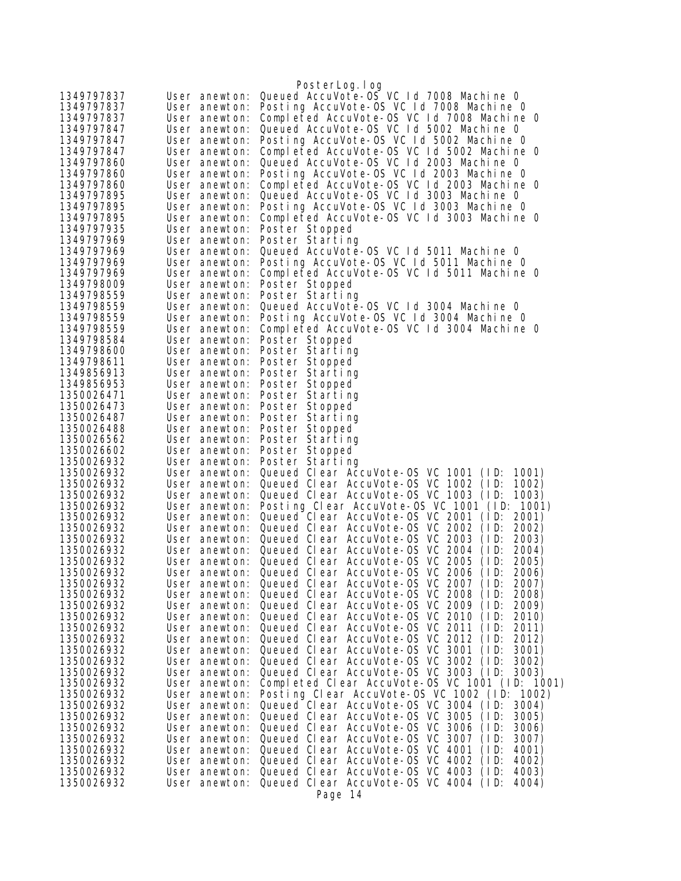|                          |                                | PosterLog.log                                                                                          |
|--------------------------|--------------------------------|--------------------------------------------------------------------------------------------------------|
| 1349797837               | User anewton:                  | Queued AccuVote-0S VC 1d 7008 Machine 0                                                                |
| 1349797837               | User anewton:                  | Posting AccuVote-OS VC 1d 7008 Machine 0                                                               |
| 1349797837               | User anewton:                  | Completed AccuVote-OS VC Id 7008 Machine O                                                             |
| 1349797847               | User anewton:                  | Queued AccuVote-OS VC 1d 5002 Machine 0                                                                |
| 1349797847               | User anewton:                  | Posting AccuVote-OS VC 1d 5002 Machine 0                                                               |
| 1349797847               | User anewton:                  | Completed AccuVote-OS VC Id 5002 Machine 0                                                             |
| 1349797860               | User anewton:                  | Queued AccuVote-OS VC Id 2003 Machine 0                                                                |
| 1349797860               | User anewton:                  | Posting AccuVote-OS VC 1d 2003 Machine 0                                                               |
| 1349797860               | User anewton:                  | Completed AccuVote-OS VC 1d 2003 Machine 0                                                             |
| 1349797895               | User anewton:                  | Queued AccuVote-OS VC 1d 3003 Machine 0                                                                |
| 1349797895               | User anewton:                  | Posting AccuVote-OS VC 1d 3003 Machine 0                                                               |
| 1349797895               | User anewton:                  | Completed AccuVote-OS VC 1d 3003 Machine 0                                                             |
| 1349797935               | User anewton:                  | Poster Stopped                                                                                         |
| 1349797969<br>1349797969 | User anewton:                  | Poster Starting<br>Queued AccuVote-OS VC 1d 5011 Machine 0                                             |
| 1349797969               | User anewton:<br>User anewton: | Posting AccuVote-OS VC 1d 5011 Machine 0                                                               |
| 1349797969               | User anewton:                  | Completed AccuVote-OS VC Id 5011 Machine O                                                             |
| 1349798009               | User anewton:                  | Poster Stopped                                                                                         |
| 1349798559               | User anewton:                  | Poster Starting                                                                                        |
| 1349798559               | User anewton:                  | Queued AccuVote-0S VC 1d 3004 Machine 0                                                                |
| 1349798559               | User anewton:                  | Posting AccuVote-OS VC 1d 3004 Machine 0                                                               |
| 1349798559               | User anewton:                  | Completed AccuVote-OS VC 1d 3004 Machine 0                                                             |
| 1349798584               | User anewton:                  | Poster Stopped                                                                                         |
| 1349798600               | User anewton:                  | Poster Starting                                                                                        |
| 1349798611               | User anewton:                  | Poster Stopped                                                                                         |
| 1349856913               | User anewton:                  | Poster Starting                                                                                        |
| 1349856953               | User anewton:                  | Poster Stopped                                                                                         |
| 1350026471               | User anewton:                  | Poster Starting                                                                                        |
| 1350026473               | User anewton:                  | Poster Stopped                                                                                         |
| 1350026487               | User anewton:                  | Poster Starting                                                                                        |
| 1350026488               | User anewton:                  | Poster Stopped                                                                                         |
| 1350026562               | User anewton:                  | Poster Starting                                                                                        |
| 1350026602               | User anewton:                  | Poster Stopped                                                                                         |
| 1350026932               | User anewton:                  | Poster Starting                                                                                        |
| 1350026932               | User anewton:                  | Queued Clear AccuVote-OS VC 1001 (ID:<br>1001)                                                         |
| 1350026932               | User anewton:                  | Queued Clear AccuVote-OS VC 1002 (ID:<br>1002)                                                         |
| 1350026932               | User anewton:                  | Queued Clear AccuVote-OS VC 1003 (ID:<br>1003)<br>Posting Clear AccuVote-OS VC 1001 (ID:               |
| 1350026932<br>1350026932 | User anewton:<br>User anewton: | 1001)<br>Queued Clear AccuVote-OS VC 2001 (ID:<br>2001)                                                |
| 1350026932               | User anewton:                  | Queued Clear AccuVote-OS VC 2002<br>2002)<br>(1D)                                                      |
| 1350026932               | User anewton:                  | Queued Clear AccuVote-OS VC 2003<br>(1D)<br>2003)                                                      |
| 1350026932               | User anewton:                  | Queued Clear AccuVote-OS VC 2004<br>(1D)<br>2004)                                                      |
| 1350026932               | User anewton:                  | Queued Clear AccuVote-0S VC 2005<br>(1D)<br>2005)                                                      |
| 1350026932               | User anewton:                  | Queued Clear AccuVote-OS VC 2006 (ID:<br>2006)                                                         |
| 1350026932               | User anewton:                  | Queued Clear AccuVote-OS VC 2007 (ID:<br>2007)                                                         |
| 1350026932               | User anewton:                  | Queued Clear AccuVote-OS VC 2008<br>2008)<br>(1D)                                                      |
| 1350026932               | User anewton:                  | Queued Clear AccuVote-OS VC 2009 (ID:<br>2009)                                                         |
| 1350026932               | User anewton:                  | Queued Clear AccuVote-OS VC 2010 (ID:<br>2010)                                                         |
| 1350026932               | User anewton:                  | Queued Clear AccuVote-OS VC 2011<br>(1D)<br>2011)                                                      |
| 1350026932               | User anewton:                  | Queued Clear AccuVote-OS VC 2012<br>(1D)<br>2012)                                                      |
| 1350026932               | User anewton:                  | Queued Clear AccuVote-OS VC 3001<br>(1D)<br>3001)                                                      |
| 1350026932               | User anewton:                  | Queued Clear AccuVote-0S VC 3002<br>(1D)<br>3002)                                                      |
| 1350026932               | User anewton:                  | Queued Clear AccuVote-OS VC 3003 (ID:<br>3003)                                                         |
| 1350026932               | User anewton:                  | Completed Clear AccuVote-OS VC 1001 (ID: 1001)                                                         |
| 1350026932               | User anewton:                  | Posting Clear AccuVote-OS VC 1002 (ID: 1002)                                                           |
| 1350026932               | User anewton:                  | Queued Clear AccuVote-OS VC 3004 (ID:<br>3004)                                                         |
| 1350026932               | User anewton:                  | Queued Clear AccuVote-OS VC 3005<br>(1D)<br>3005)                                                      |
| 1350026932               | User anewton:                  | Queued Clear AccuVote-OS VC 3006<br>(1D)<br>3006)                                                      |
| 1350026932               | User anewton:                  | Queued Clear AccuVote-OS VC 3007<br>(1D)<br>3007)                                                      |
| 1350026932<br>1350026932 | User anewton:<br>User anewton: | Queued Clear AccuVote-OS VC 4001<br>4001)<br>(1D)<br>Queued Clear AccuVote-OS VC 4002<br>(1D)<br>4002) |
| 1350026932               | User anewton:                  | Queued Clear AccuVote-OS VC 4003 (ID:<br>4003)                                                         |
| 1350026932               | User anewton:                  | Queued Clear AccuVote-OS VC 4004 (ID:<br>4004)                                                         |
|                          |                                | Page 14                                                                                                |
|                          |                                |                                                                                                        |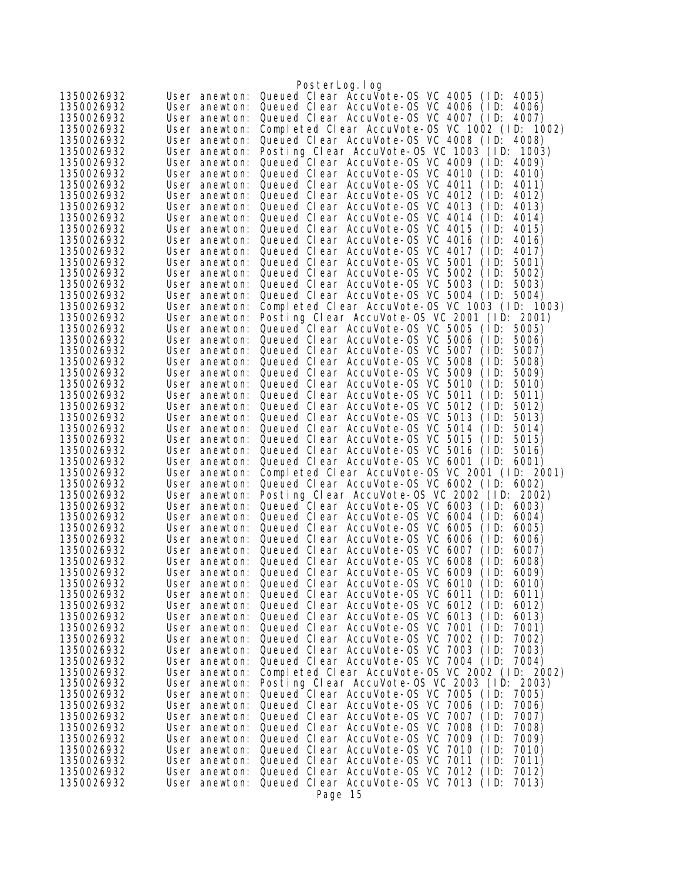|                          |                                | PosterLog.log                                                                                          |
|--------------------------|--------------------------------|--------------------------------------------------------------------------------------------------------|
| 1350026932               | User anewton:                  | Queued Clear AccuVote-OS VC 4005<br>(1D)<br>4005)                                                      |
| 1350026932               | User anewton:                  | Queued Clear AccuVote-OS VC 4006<br>(1D)<br>4006)                                                      |
| 1350026932               | User anewton:                  | Queued Clear AccuVote-OS VC 4007 (ID:<br>4007)                                                         |
| 1350026932               | User anewton:                  | Completed Clear AccuVote-OS VC 1002 (ID: 1002)                                                         |
| 1350026932               | User anewton:                  | Queued Clear AccuVote-OS VC 4008 (ID:<br>4008)                                                         |
| 1350026932               | User anewton:                  | Posting Clear AccuVote-OS VC 1003 (ID:<br>1003)                                                        |
| 1350026932               | User anewton:                  | Queued Clear AccuVote-OS VC 4009 (ID:<br>4009)                                                         |
| 1350026932               | User anewton:                  | Queued Clear AccuVote-OS VC 4010<br>4010)<br>(1D)                                                      |
| 1350026932               | User anewton:                  | Queued Clear AccuVote-OS VC 4011<br>4011)<br>(1D)                                                      |
| 1350026932               | User anewton:                  | Queued Clear AccuVote-OS VC 4012<br>4012)<br>(1D)                                                      |
| 1350026932               | User anewton:                  | Queued Clear AccuVote-OS VC 4013<br>(1D)<br>4013)                                                      |
| 1350026932               | User anewton:                  | Queued Clear AccuVote-OS VC 4014<br>4014)<br>( I D:                                                    |
| 1350026932               | User anewton:                  | Queued Clear AccuVote-OS VC 4015<br>(1D)<br>4015)                                                      |
| 1350026932               | User anewton:                  | Queued Clear AccuVote-OS VC 4016<br>(1D)<br>4016)                                                      |
| 1350026932               | User anewton:                  | Queued Clear AccuVote-OS VC 4017<br>4017)<br>(ID:                                                      |
| 1350026932<br>1350026932 | User anewton:<br>User anewton: | Queued Clear AccuVote-0S VC 5001<br>(ID:<br>5001)<br>Queued Clear AccuVote-0S VC 5002<br>5002)<br>(ID: |
| 1350026932               | User anewton:                  | Queued Clear AccuVote-OS VC 5003<br>5003)<br>(1D)                                                      |
| 1350026932               | User anewton:                  | Queued Clear AccuVote-OS VC 5004 (ID:<br>5004)                                                         |
| 1350026932               | User anewton:                  | Completed Clear AccuVote-OS VC 1003 (ID: 1003)                                                         |
| 1350026932               | User anewton:                  | Posting Clear AccuVote-OS VC 2001 (ID:<br>2001)                                                        |
| 1350026932               | User anewton:                  | Queued Clear AccuVote-0S VC 5005<br>(1D)<br>5005)                                                      |
| 1350026932               | User anewton:                  | Queued Clear AccuVote-OS VC 5006<br>(1D)<br>5006)                                                      |
| 1350026932               | User anewton:                  | Queued Clear AccuVote-OS VC 5007<br>5007)<br>(1D)                                                      |
| 1350026932               | User anewton:                  | Queued Clear AccuVote-0S VC 5008<br>(1D)<br>5008)                                                      |
| 1350026932               | User anewton:                  | Queued Clear AccuVote-0S VC 5009<br>5009)<br>(1D)                                                      |
| 1350026932               | User anewton:                  | Queued Clear AccuVote-OS VC<br>5010<br>(1D)<br>5010)                                                   |
| 1350026932               | User anewton:                  | Queued Clear AccuVote-0S VC 5011<br>(ID:<br>5011)                                                      |
| 1350026932               | User anewton:                  | Queued Clear AccuVote-OS VC 5012<br>5012)<br>(1D)                                                      |
| 1350026932               | User anewton:                  | Queued Clear AccuVote-OS VC 5013<br>(ID:<br>5013)                                                      |
| 1350026932               | User anewton:                  | Queued Clear AccuVote-OS VC 5014<br>5014)<br>(ID:                                                      |
| 1350026932               | User anewton:                  | Queued Clear AccuVote-OS VC 5015<br>5015)<br>(1D)                                                      |
| 1350026932               | User anewton:                  | Queued Clear AccuVote-OS VC 5016<br>5016)<br>(1D)                                                      |
| 1350026932               | User anewton:                  | Queued Clear AccuVote-OS VC 6001 (ID:<br>6001)                                                         |
| 1350026932               | User anewton:                  | Completed Clear AccuVote-0S VC 2001 (ID: 2001)                                                         |
| 1350026932               | User anewton:                  | Queued Clear AccuVote-OS VC 6002 (ID:<br>6002)                                                         |
| 1350026932               | User anewton:                  | Posting Clear AccuVote-OS VC 2002 (ID:<br>2002)                                                        |
| 1350026932               | User anewton:                  | Queued Clear AccuVote-0S VC 6003 (ID:<br>6003)                                                         |
| 1350026932               | User anewton:                  | Queued Clear AccuVote-OS VC 6004<br>(1D)<br>6004)                                                      |
| 1350026932               | User anewton:<br>User anewton: | Queued Clear AccuVote-OS VC 6005<br>6005)<br>(ID:<br>Queued Clear AccuVote-OS VC 6006<br>(ID:<br>6006) |
| 1350026932<br>1350026932 | User anewton:                  | Queued Clear AccuVote-0S VC 6007<br>(ID:<br>6007)                                                      |
| 1350026932               | User anewton:                  | Queued Clear AccuVote-OS VC 6008<br>(1D)<br>6008)                                                      |
| 1350026932               |                                | User anewton: Queued Clear AccuVote-OS VC 6009<br>6009)<br>(1D)                                        |
| 1350026932               | User anewton:                  | Queued Clear AccuVote-OS VC 6010 (ID:<br>6010)                                                         |
| 1350026932               | User anewton:                  | Queued Clear AccuVote-0S VC 6011<br>(1D)<br>6011)                                                      |
| 1350026932               | User anewton:                  | Queued Clear AccuVote-0S VC 6012<br>(1D)<br>6012)                                                      |
| 1350026932               | User anewton:                  | Queued Clear AccuVote-OS VC 6013<br>(1D)<br>6013)                                                      |
| 1350026932               | User anewton:                  | Queued Clear AccuVote-0S VC 7001<br>(1D)<br>7001)                                                      |
| 1350026932               | User anewton:                  | Queued Clear AccuVote-OS VC 7002<br>(1D)<br>7002)                                                      |
| 1350026932               | User anewton:                  | Queued Clear AccuVote-OS VC 7003<br>7003)<br>(1D)                                                      |
| 1350026932               | User anewton:                  | Queued Clear AccuVote-OS VC 7004 (ID:<br>7004)                                                         |
| 1350026932               | User anewton:                  | Completed Clear AccuVote-0S VC 2002 (ID: 2002)                                                         |
| 1350026932               | User anewton:                  | Posting Clear AccuVote-OS VC 2003 (ID: 2003)                                                           |
| 1350026932               | User anewton:                  | Queued Clear AccuVote-OS VC 7005 (ID:<br>7005)                                                         |
| 1350026932               | User anewton:                  | Queued Clear AccuVote-0S VC 7006<br>7006)<br>(1D)                                                      |
| 1350026932               | User anewton:                  | Queued Clear AccuVote-0S VC 7007<br>(1D)<br>7007)                                                      |
| 1350026932               | User anewton:                  | Queued Clear AccuVote-OS VC 7008<br>(1D)<br>7008)                                                      |
| 1350026932               | User anewton:                  | Queued Clear AccuVote-0S VC 7009<br>(1D)<br>7009)                                                      |
| 1350026932               | User anewton:                  | Queued Clear AccuVote-OS VC 7010<br>(1D)<br>7010)                                                      |
| 1350026932               | User anewton:                  | Queued Clear AccuVote-OS VC 7011<br>(1D)<br>7011)<br>Queued Clear AccuVote-0S VC 7012                  |
| 1350026932<br>1350026932 | User anewton:<br>User anewton: | 7012)<br>(1D)<br>Queued Clear AccuVote-OS VC 7013 (ID:<br>7013)                                        |
|                          |                                | Page 15                                                                                                |
|                          |                                |                                                                                                        |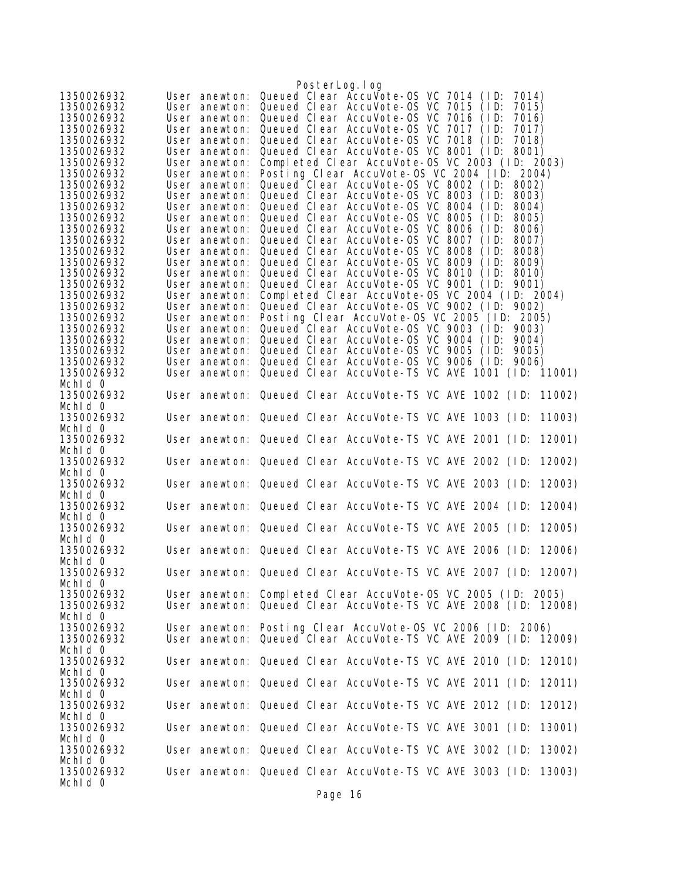|                          |                                | PosterLog.log                                                                                                                  |
|--------------------------|--------------------------------|--------------------------------------------------------------------------------------------------------------------------------|
| 1350026932               | User anewton:                  | Queued Clear AccuVote-0S VC 7014<br>(1D)<br>7014)                                                                              |
| 1350026932               | User anewton:                  | Queued Clear AccuVote-0S VC 7015<br>(1D)<br>7015)                                                                              |
| 1350026932               | User anewton:                  | Queued Clear AccuVote-0S VC 7016<br>7016)<br>(1D)                                                                              |
| 1350026932               | User anewton:                  | Queued Clear AccuVote-0S VC 7017<br>7017)<br>(1D)                                                                              |
| 1350026932               | User anewton:                  | Queued Clear AccuVote-0S VC 7018<br>(1D)<br>7018)                                                                              |
| 1350026932               | User anewton:                  | Queued Clear AccuVote-OS VC 8001 (ID:<br>8001)                                                                                 |
| 1350026932               | User anewton:                  | Completed Clear AccuVote-OS VC 2003 (ID: 2003)                                                                                 |
| 1350026932               | User anewton:                  | Posting Clear AccuVote-OS VC 2004 (ID: 2004)                                                                                   |
| 1350026932               | User anewton:                  | Queued Clear AccuVote-OS VC 8002 (ID:<br>8002)                                                                                 |
| 1350026932               | User anewton:                  | Queued Clear AccuVote-OS VC 8003<br>8003)<br>(1D)                                                                              |
| 1350026932               | User anewton:                  | Queued Clear AccuVote-OS VC 8004<br>(1D)<br>8004)                                                                              |
| 1350026932               | User anewton:                  | Queued Clear AccuVote-OS VC 8005<br>(1D)<br>8005)                                                                              |
| 1350026932<br>1350026932 | User anewton:<br>User anewton: | Queued Clear AccuVote-OS VC 8006<br>8006)<br>(1D)<br>Queued Clear AccuVote-OS VC 8007<br>(1D)<br>8007)                         |
| 1350026932               | User anewton:                  | Queued Clear AccuVote-OS VC 8008<br>8008)<br>(1D)                                                                              |
| 1350026932               | User anewton:                  | Queued Clear AccuVote-OS VC 8009<br>(1D)<br>8009)                                                                              |
| 1350026932               | User anewton:                  | Queued Clear AccuVote-OS VC 8010<br>8010)<br>(1D)                                                                              |
| 1350026932               | User anewton:                  | Queued Clear AccuVote-OS VC 9001 (ID:<br>9001)                                                                                 |
| 1350026932               | User anewton:                  | Completed Clear AccuVote-OS VC 2004 (ID: 2004)                                                                                 |
| 1350026932               | User anewton:                  | Queued Clear AccuVote-OS VC 9002 (ID: 9002)                                                                                    |
| 1350026932               | User anewton:                  | Posting Clear AccuVote-OS VC 2005 (ID: 2005)                                                                                   |
| 1350026932               | User anewton:                  | Queued Clear AccuVote-OS VC 9003 (ID:<br>9003)                                                                                 |
| 1350026932               | User anewton:                  | Queued Clear AccuVote-OS VC 9004<br>(1D)<br>9004)                                                                              |
| 1350026932               | User anewton:                  | Queued Clear AccuVote-0S VC 9005<br>(1D)<br>9005)                                                                              |
| 1350026932               | User anewton:                  | Queued Clear AccuVote-OS VC 9006 (ID:<br>9006)                                                                                 |
| 1350026932               | User anewton:                  | Queued Clear AccuVote-TS VC AVE 1001 (ID: 11001)                                                                               |
| Mchid 0                  |                                |                                                                                                                                |
| 1350026932               |                                | User anewton: Queued Clear AccuVote-TS VC AVE 1002 (ID:<br>11002)                                                              |
| Mchid 0                  |                                |                                                                                                                                |
| 1350026932               |                                | User anewton: Queued Clear AccuVote-TS VC AVE 1003 (ID:<br>11003)                                                              |
| Mchid 0                  |                                |                                                                                                                                |
| 1350026932<br>Mchld 0    |                                | User anewton: Queued Clear AccuVote-TS VC AVE 2001 (ID:<br>12001)                                                              |
| 1350026932               |                                | User anewton: Queued Clear AccuVote-TS VC AVE 2002 (ID:<br>12002)                                                              |
| Mchid O                  |                                |                                                                                                                                |
| 1350026932               |                                | User anewton: Queued Clear AccuVote-TS VC AVE 2003 (ID:<br>12003)                                                              |
| Mchld 0                  |                                |                                                                                                                                |
| 1350026932               |                                | User anewton: Queued Clear AccuVote-TS VC AVE 2004 (ID:<br>12004)                                                              |
| Mchid 0                  |                                |                                                                                                                                |
| 1350026932               |                                | User anewton: Queued Clear AccuVote-TS VC AVE 2005 (ID:<br>12005)                                                              |
| Mchid 0                  |                                |                                                                                                                                |
| 1350026932               |                                | User anewton: Queued Clear AccuVote-TS VC AVE 2006 (ID:<br>12006)                                                              |
| Mchid 0                  |                                |                                                                                                                                |
| 1350026932               |                                | User anewton: Queued Clear AccuVote-TS VC AVE 2007 (ID: 12007)                                                                 |
| Mchid 0                  |                                |                                                                                                                                |
| 1350026932<br>1350026932 |                                | User anewton: Completed Clear AccuVote-OS VC 2005 (ID: 2005)<br>User anewton: Queued Clear AccuVote-TS VC AVE 2008 (ID: 12008) |
| Mchid 0                  |                                |                                                                                                                                |
| 1350026932               |                                | User anewton: Posting Clear AccuVote-OS VC 2006 (ID: 2006)                                                                     |
| 1350026932               |                                | User anewton: Queued Clear AccuVote-TS VC AVE 2009 (ID: 12009)                                                                 |
| Mchid 0                  |                                |                                                                                                                                |
| 1350026932               |                                | User anewton: Queued Clear AccuVote-TS VC AVE 2010 (ID: 12010)                                                                 |
| Mchid 0                  |                                |                                                                                                                                |
| 1350026932               |                                | User anewton: Queued Clear AccuVote-TS VC AVE 2011 (ID:<br>12011)                                                              |
| Mchid 0                  |                                |                                                                                                                                |
| 1350026932               |                                | User anewton: Queued Clear AccuVote-TS VC AVE 2012 (ID:<br>12012)                                                              |
| Mchid 0                  |                                |                                                                                                                                |
| 1350026932               |                                | User anewton: Queued Clear AccuVote-TS VC AVE 3001 (ID:<br>13001)                                                              |
| Mchid 0                  |                                |                                                                                                                                |
| 1350026932               |                                | User anewton: Queued Clear AccuVote-TS VC AVE 3002 (ID:<br>13002)                                                              |
| Mchld 0                  |                                |                                                                                                                                |
| 1350026932<br>Mchid 0    |                                | User anewton: Queued Clear AccuVote-TS VC AVE 3003 (ID: 13003)                                                                 |
|                          |                                |                                                                                                                                |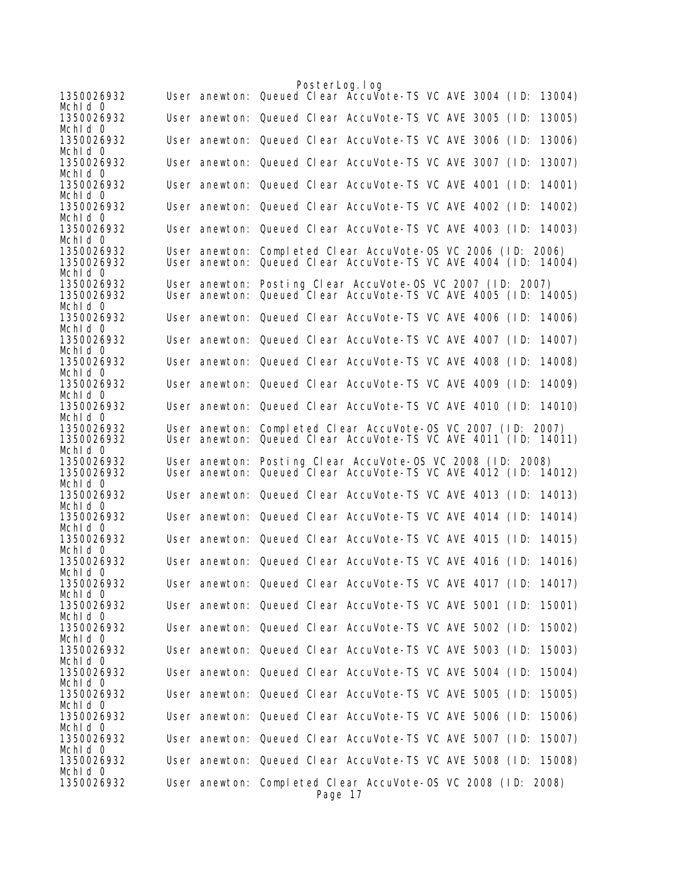|                                     |  | PosterLog. I og                                                                                                                |        |
|-------------------------------------|--|--------------------------------------------------------------------------------------------------------------------------------|--------|
| 1350026932                          |  | User anewton: Queued Clear Accuvote-TS VC AVE 3004 (ID:                                                                        | 13004) |
| Mchid 0<br>1350026932               |  | User anewton: Queued Clear AccuVote-TS VC AVE 3005 (ID:                                                                        | 13005) |
| Mchid 0<br>1350026932               |  | User anewton: Queued Clear AccuVote-TS VC AVE 3006 (ID:                                                                        | 13006) |
| Mchid 0<br>1350026932               |  | User anewton: Queued Clear AccuVote-TS VC AVE 3007 (ID:                                                                        | 13007) |
| Mchid 0<br>1350026932               |  | User anewton: Queued Clear AccuVote-TS VC AVE 4001 (ID:                                                                        | 14001) |
| Mchid 0                             |  |                                                                                                                                |        |
| 1350026932<br>Mchid 0               |  | User anewton: Queued Clear AccuVote-TS VC AVE 4002 (ID:                                                                        | 14002) |
| 1350026932<br>Mchid 0               |  | User anewton: Queued Clear AccuVote-TS VC AVE 4003 (ID:                                                                        | 14003) |
| 1350026932<br>1350026932            |  | User anewton: Completed Clear AccuVote-OS VC 2006 (ID: 2006)<br>User anewton: Queued Clear AccuVote-TS VC AVE 4004 (ID: 14004) |        |
| Mchid 0<br>1350026932               |  | User anewton: Posting Clear AccuVote-OS VC 2007 (ID: 2007)                                                                     |        |
| 1350026932<br>Mchid 0               |  | User anewton: Queued Clear AccuVote-TS VC AVE 4005 (ID: 14005)                                                                 |        |
| 1350026932                          |  | User anewton: Queued Clear AccuVote-TS VC AVE 4006 (ID:                                                                        | 14006) |
| Mchid 0<br>1350026932               |  | User anewton: Queued Clear AccuVote-TS VC AVE 4007 (ID:                                                                        | 14007) |
| Mchid 0<br>1350026932               |  | User anewton: Queued Clear AccuVote-TS VC AVE 4008 (ID:                                                                        | 14008) |
| Mchid 0<br>1350026932               |  | User anewton: Queued Clear AccuVote-TS VC AVE 4009 (ID:                                                                        | 14009) |
| Mchid 0<br>1350026932               |  | User anewton: Queued Clear AccuVote-TS VC AVE 4010 (ID: 14010)                                                                 |        |
| Mchid 0<br>1350026932<br>1350026932 |  | User anewton: Completed Clear AccuVote-OS VC 2007 (ID: 2007)<br>User anewton: Queued Clear AccuVote-TS VC AVE 4011 (ID: 14011) |        |
| Mchid 0<br>1350026932               |  | User anewton: Posting Clear AccuVote-OS VC 2008 (ID: 2008)                                                                     |        |
| 1350026932<br>Mchid 0               |  | User anewton: Queued Clear AccuVote-TS VC AVE 4012 (ID: 14012)                                                                 |        |
| 1350026932<br>Mchid 0               |  | User anewton: Queued Clear AccuVote-TS VC AVE 4013 (ID:                                                                        | 14013) |
| 1350026932                          |  | User anewton: Queued Clear AccuVote-TS VC AVE 4014 (ID:                                                                        | 14014) |
| Mchid 0<br>1350026932               |  | User anewton: Queued Clear AccuVote-TS VC AVE 4015 (ID:                                                                        | 14015) |
| Mchid 0<br>1350026932               |  | User anewton: Queued Clear AccuVote-TS VC AVE 4016 (ID:                                                                        | 14016) |
| Mchid 0<br>1350026932               |  | User anewton: Queued Clear AccuVote-TS VC AVE 4017 (ID:                                                                        | 14017) |
| Mchid 0<br>1350026932               |  | User anewton: Queued Clear AccuVote-TS VC AVE 5001 (ID:                                                                        | 15001) |
| Mchid 0<br>1350026932               |  | User anewton: Queued Clear AccuVote-TS VC AVE 5002 (ID:                                                                        | 15002) |
| Mchid 0<br>1350026932               |  | User anewton: Queued Clear AccuVote-TS VC AVE 5003 (ID:                                                                        | 15003) |
| Mchid 0<br>1350026932               |  | User anewton: Queued Clear AccuVote-TS VC AVE 5004 (ID:                                                                        | 15004) |
| Mchid 0<br>1350026932               |  | User anewton: Queued Clear AccuVote-TS VC AVE 5005 (ID:                                                                        | 15005) |
| Mchid 0                             |  |                                                                                                                                |        |
| 1350026932<br>Mchid 0               |  | User anewton: Queued Clear AccuVote-TS VC AVE 5006 (ID:                                                                        | 15006) |
| 1350026932<br>Mchid 0               |  | User anewton: Queued Clear AccuVote-TS VC AVE 5007 (ID:                                                                        | 15007) |
| 1350026932<br>Mchid 0               |  | User anewton: Queued Clear AccuVote-TS VC AVE 5008 (ID: 15008)                                                                 |        |
| 1350026932                          |  | User anewton: Completed Clear AccuVote-OS VC 2008 (ID: 2008)<br>Page 17                                                        |        |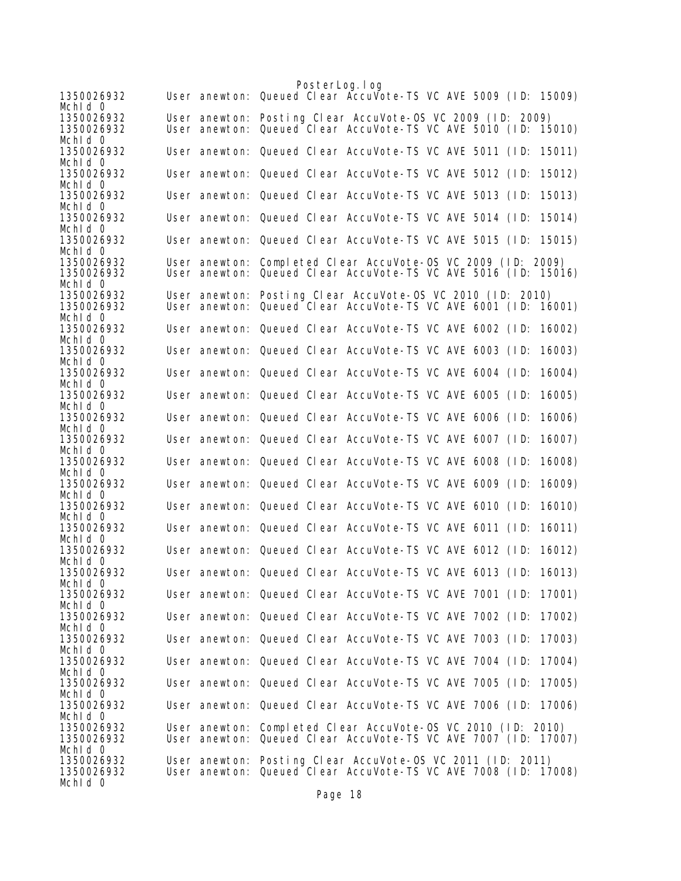PosterLog.log 1350026932 User anewton: Queued Clear AccuVote-TS VC AVE 5009 (ID: 15009) MchId 0<br>1350026932 1350026932 User anewton: Posting Clear AccuVote-OS VC 2009 (ID: 2009) User anewton: Queued Clear AccuVote-TS VC AVE 5010 (ID: 15010) Mchld 0<br>1350026932 User anewton: Queued Clear AccuVote-TS VC AVE 5011 (ID: 15011) Mchld 0<br>1350026932 User anewton: Queued Clear AccuVote-TS VC AVE 5012 (ID: 15012) MchId 0 1350026932 User anewton: Queued Clear AccuVote-TS VC AVE 5013 (ID: 15013) MchId 0<br>1350026932 User anewton: Queued Clear AccuVote-TS VC AVE 5014 (ID: 15014) MchId 0 1350026932 User anewton: Queued Clear AccuVote-TS VC AVE 5015 (ID: 15015) MchId 0<br>1350026932 1350026932 User anewton: Completed Clear AccuVote-OS VC 2009 (ID: 2009) User anewton: Queued Clear AccuVote-TS VC AVE 5016 (ID: 15016) MchId 0 1350026932 User anewton: Posting Clear AccuVote-OS VC 2010 (ID: 2010) User anewton: Queued Clear AccuVote-TS VC AVE 6001 (ID: 16001) Mchld 0<br>1350026932 User anewton: Queued Clear AccuVote-TS VC AVE 6002 (ID: 16002) MchId 0<br>1350026932 User anewton: Queued Clear AccuVote-TS VC AVE 6003 (ID: 16003) Mchld 0<br>1350026932 User anewton: Queued Clear AccuVote-TS VC AVE 6004 (ID: 16004) Mch<sub>Id</sub> 0 1350026932 User anewton: Queued Clear AccuVote-TS VC AVE 6005 (ID: 16005) Mchld 0<br>1350026932 User anewton: Queued Clear AccuVote-TS VC AVE 6006 (ID: 16006) Mch<sub>Id</sub> 0 1350026932 User anewton: Queued Clear AccuVote-TS VC AVE 6007 (ID: 16007) Mchld 0<br>1350026932 User anewton: Queued Clear AccuVote-TS VC AVE 6008 (ID: 16008) Mchld 0<br>1350026932 User anewton: Queued Clear AccuVote-TS VC AVE 6009 (ID: 16009) MchId 0<br>1350026932 User anewton: Queued Clear AccuVote-TS VC AVE 6010 (ID: 16010) Mchld 0<br>1350026932 User anewton: Queued Clear AccuVote-TS VC AVE 6011 (ID: 16011) MchId 0<br>1350026932 User anewton: Queued Clear AccuVote-TS VC AVE 6012 (ID: 16012) Mchld 0<br>1350026932 User anewton: Queued Clear AccuVote-TS VC AVE 6013 (ID: 16013) MchId 0 1350026932 User anewton: Queued Clear AccuVote-TS VC AVE 7001 (ID: 17001) MchId 0<br>1350026932 User anewton: Queued Clear AccuVote-TS VC AVE 7002 (ID: 17002) MchId 0 1350026932 User anewton: Queued Clear AccuVote-TS VC AVE 7003 (ID: 17003) Mchld 0<br>1350026932 User anewton: Queued Clear AccuVote-TS VC AVE 7004 (ID: 17004) Mchld 0<br>1350026932 User anewton: Queued Clear AccuVote-TS VC AVE 7005 (ID: 17005) MchId 0<br>1350026932 User anewton: Queued Clear AccuVote-TS VC AVE 7006 (ID: 17006) Mchld 0<br>1350026932 1350026932 User anewton: Completed Clear AccuVote-OS VC 2010 (ID: 2010) 1350026932 User anewton: Queued Clear AccuVote-TS VC AVE 7007 (ID: 17007) Mchld 0<br>1350026932 1350026932 User anewton: Posting Clear AccuVote-OS VC 2011 (ID: 2011) User anewton: Queued Clear AccuVote-TS VC AVE 7008 (ID: 17008) Mch<sub>Id</sub> 0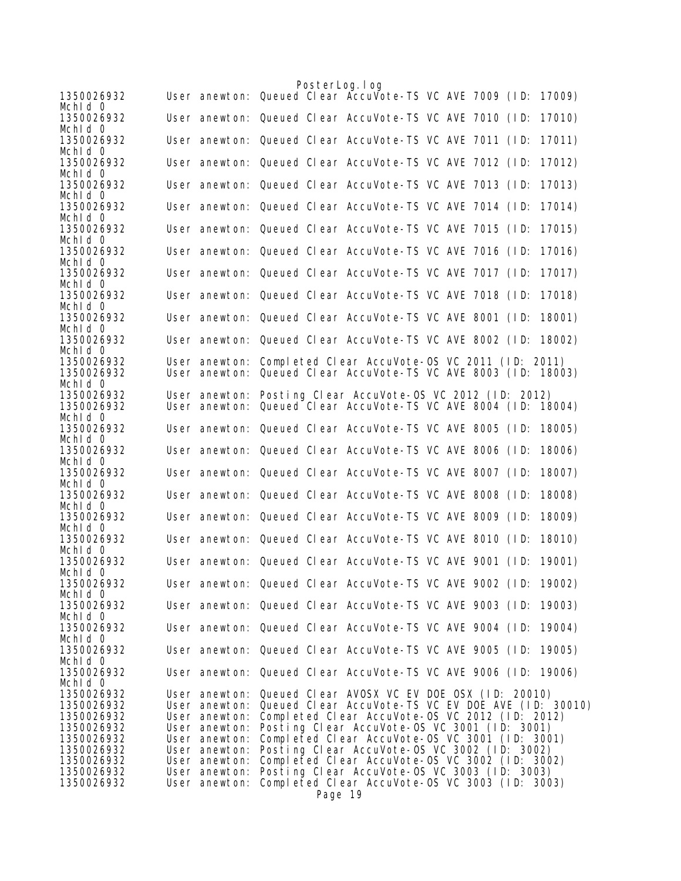| 1350026932                                           |                                                                  | PosterLog. I og<br>User anewton: Queued Clear AccuVote-TS VC AVE 7009 (ID: 17009)                                                                                                                                  |        |
|------------------------------------------------------|------------------------------------------------------------------|--------------------------------------------------------------------------------------------------------------------------------------------------------------------------------------------------------------------|--------|
| Mchid 0<br>1350026932                                |                                                                  | User anewton: Queued Clear AccuVote-TS VC AVE 7010 (ID:                                                                                                                                                            | 17010) |
| Mchid 0<br>1350026932                                |                                                                  | User anewton: Queued Clear AccuVote-TS VC AVE 7011 (ID:                                                                                                                                                            | 17011) |
| Mchid 0<br>1350026932                                |                                                                  | User anewton: Queued Clear AccuVote-TS VC AVE 7012 (ID:                                                                                                                                                            | 17012) |
| Mchid 0<br>1350026932<br>Mchid 0                     |                                                                  | User anewton: Queued Clear AccuVote-TS VC AVE 7013 (ID:                                                                                                                                                            | 17013) |
| 1350026932<br>Mchid 0                                |                                                                  | User anewton: Queued Clear AccuVote-TS VC AVE 7014 (ID:                                                                                                                                                            | 17014) |
| 1350026932<br>Mchid 0                                |                                                                  | User anewton: Queued Clear AccuVote-TS VC AVE 7015 (ID:                                                                                                                                                            | 17015) |
| 1350026932<br>Mchid 0                                |                                                                  | User anewton: Queued Clear AccuVote-TS VC AVE 7016 (ID:                                                                                                                                                            | 17016) |
| 1350026932<br>Mchid 0                                |                                                                  | User anewton: Queued Clear AccuVote-TS VC AVE 7017 (ID:                                                                                                                                                            | 17017) |
| 1350026932<br>Mchid 0                                |                                                                  | User anewton: Queued Clear AccuVote-TS VC AVE 7018 (ID:                                                                                                                                                            | 17018) |
| 1350026932<br>Mchid 0                                |                                                                  | User anewton: Queued Clear AccuVote-TS VC AVE 8001 (ID:                                                                                                                                                            | 18001) |
| 1350026932<br>Mchid 0                                |                                                                  | User anewton: Queued Clear AccuVote-TS VC AVE 8002 (ID:                                                                                                                                                            | 18002) |
| 1350026932<br>1350026932<br>Mchid 0                  |                                                                  | User anewton: Completed Clear AccuVote-OS VC 2011 (ID: 2011)<br>User anewton: Queued Clear AccuVote-TS VC AVE 8003 (ID: 18003)                                                                                     |        |
| 1350026932<br>1350026932                             |                                                                  | User anewton: Posting Clear AccuVote-OS VC 2012 (ID: 2012)<br>User anewton: Queued Clear AccuVote-TS VC AVE 8004 (ID:                                                                                              | 18004) |
| Mchid 0<br>1350026932                                |                                                                  | User anewton: Queued Clear AccuVote-TS VC AVE 8005 (ID:                                                                                                                                                            | 18005) |
| Mchid 0<br>1350026932<br>Mchid 0                     |                                                                  | User anewton: Queued Clear AccuVote-TS VC AVE 8006 (ID:                                                                                                                                                            | 18006) |
| 1350026932<br>Mchid 0                                |                                                                  | User anewton: Queued Clear AccuVote-TS VC AVE 8007 (ID:                                                                                                                                                            | 18007) |
| 1350026932<br>Mchid 0                                |                                                                  | User anewton: Queued Clear AccuVote-TS VC AVE 8008 (ID:                                                                                                                                                            | 18008) |
| 1350026932<br>Mchid 0                                |                                                                  | User anewton: Queued Clear AccuVote-TS VC AVE 8009 (ID:                                                                                                                                                            | 18009) |
| 1350026932<br>Mchid 0                                |                                                                  | User anewton: Queued Clear AccuVote-TS VC AVE 8010 (ID:                                                                                                                                                            | 18010) |
| 1350026932<br>Mchid 0                                |                                                                  | User anewton: Queued Clear AccuVote-TS VC AVE 9001 (ID:                                                                                                                                                            | 19001) |
| 1350026932<br>Mchld O                                |                                                                  | User anewton: Queued Clear AccuVote-TS VC AVE 9002 (ID: 19002)                                                                                                                                                     |        |
| 1350026932<br>Mchid 0                                |                                                                  | User anewton: Queued Clear AccuVote-TS VC AVE 9003 (ID: 19003)                                                                                                                                                     |        |
| 1350026932<br>Mchid 0                                |                                                                  | User anewton: Queued Clear AccuVote-TS VC AVE 9004 (ID:                                                                                                                                                            | 19004) |
| 1350026932<br>Mchid 0                                |                                                                  | User anewton: Queued Clear AccuVote-TS VC AVE 9005 (ID: 19005)                                                                                                                                                     |        |
| 1350026932<br>Mchid 0                                |                                                                  | User anewton: Queued Clear AccuVote-TS VC AVE 9006 (ID: 19006)                                                                                                                                                     |        |
| 1350026932<br>1350026932<br>1350026932<br>1350026932 | User anewton:<br>User anewton:<br>User anewton:                  | User anewton: Queued Clear AVOSX VC EV DOE OSX (ID: 20010)<br>Queued Clear AccuVote-TS VC EV DOE AVE (ID: 30010)<br>Completed Clear AccuVote-0S VC 2012 (ID: 2012)<br>Posting Clear AccuVote-OS VC 3001 (ID: 3001) |        |
| 1350026932<br>1350026932<br>1350026932<br>1350026932 | User anewton:<br>User anewton:<br>User anewton:<br>User anewton: | Completed Clear AccuVote-OS VC 3001 (ID: 3001)<br>Posting Clear AccuVote-OS VC 3002 (ID: 3002)<br>Completed Clear AccuVote-OS VC 3002 (ID: 3002)<br>Posting Clear AccuVote-OS VC 3003 (ID: 3003)                   |        |
| 1350026932                                           | User anewton:                                                    | Completed Clear AccuVote-OS VC 3003 (ID: 3003)<br>Page 19                                                                                                                                                          |        |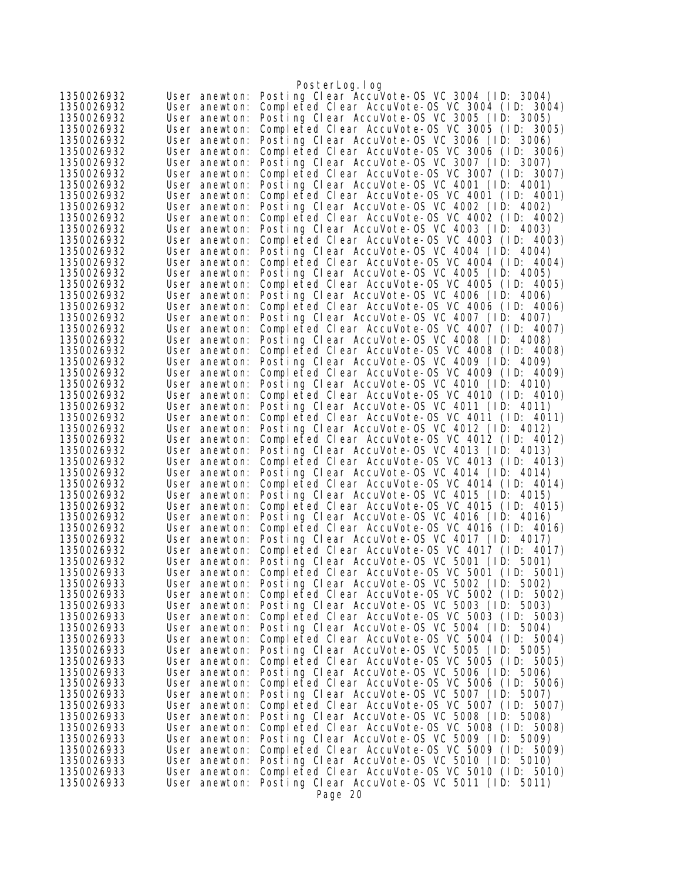|                          |                                | PosterLog.log                                                                                  |
|--------------------------|--------------------------------|------------------------------------------------------------------------------------------------|
| 1350026932               | User anewton:                  | Posting Clear AccuVote-OS VC 3004 (ID: 3004)                                                   |
| 1350026932               | User anewton:                  | Completed Clear AccuVote-OS VC 3004 (ID: 3004)                                                 |
| 1350026932               | User anewton:                  | Posting Clear AccuVote-OS VC 3005 (ID: 3005)                                                   |
| 1350026932               | User anewton:                  | Completed Clear AccuVote-OS VC 3005 (ID: 3005)                                                 |
| 1350026932               | User anewton:                  | Posting Clear AccuVote-OS VC 3006 (ID: 3006)                                                   |
| 1350026932               | User anewton:                  | Completed Clear AccuVote-OS VC 3006 (ID: 3006)                                                 |
| 1350026932               | User anewton:                  | Posting Clear AccuVote-OS VC 3007 (ID: 3007)                                                   |
| 1350026932               | User anewton:                  | Completed Clear AccuVote-OS VC 3007 (ID: 3007)                                                 |
| 1350026932               | User anewton:                  | Posting Clear AccuVote-OS VC 4001 (ID: 4001)                                                   |
| 1350026932               | User anewton:                  | Completed Clear AccuVote-OS VC 4001 (ID: 4001)                                                 |
| 1350026932               | User anewton:                  | Posting Clear AccuVote-OS VC 4002 (ID: 4002)                                                   |
| 1350026932               | User anewton:                  | Completed Clear AccuVote-OS VC 4002 (ID: 4002)                                                 |
| 1350026932               | User anewton:                  | Posting Clear AccuVote-OS VC 4003 (ID: 4003)<br>Completed Clear AccuVote-0S VC 4003 (ID: 4003) |
| 1350026932<br>1350026932 | User anewton:                  | Posting Clear AccuVote-OS VC 4004 (ID: 4004)                                                   |
| 1350026932               | User anewton:<br>User anewton: | Completed Clear AccuVote-OS VC 4004 (ID: 4004)                                                 |
| 1350026932               | User anewton:                  | Posting Clear AccuVote-OS VC 4005 (ID: 4005)                                                   |
| 1350026932               | User anewton:                  | Completed Clear AccuVote-OS VC 4005 (ID: 4005)                                                 |
| 1350026932               | User anewton:                  | Posting Clear AccuVote-OS VC 4006 (ID: 4006)                                                   |
| 1350026932               | User anewton:                  | Completed Clear AccuVote-OS VC 4006 (ID: 4006)                                                 |
| 1350026932               | User anewton:                  | Posting Clear AccuVote-OS VC 4007 (ID: 4007)                                                   |
| 1350026932               | User anewton:                  | Completed Clear AccuVote-OS VC 4007 (ID: 4007)                                                 |
| 1350026932               | User anewton:                  | Posting Clear AccuVote-OS VC 4008 (ID: 4008)                                                   |
| 1350026932               | User anewton:                  | Completed Clear AccuVote-OS VC 4008 (ID: 4008)                                                 |
| 1350026932               | User anewton:                  | Posting Clear AccuVote-OS VC 4009 (ID: 4009)                                                   |
| 1350026932               | User anewton:                  | Completed Clear AccuVote-0S VC 4009 (ID: 4009)                                                 |
| 1350026932               | User anewton:                  | Posting Clear AccuVote-OS VC 4010 (ID: 4010)                                                   |
| 1350026932               | User anewton:                  | Completed Clear AccuVote-OS VC 4010 (ID: 4010)                                                 |
| 1350026932               | User anewton:                  | Posting Clear AccuVote-OS VC 4011 (ID: 4011)                                                   |
| 1350026932               | User anewton:                  | Completed Clear AccuVote-OS VC 4011 (ID: 4011)                                                 |
| 1350026932               | User anewton:                  | Posting Clear AccuVote-OS VC 4012 (ID: 4012)                                                   |
| 1350026932               | User anewton:                  | Completed Clear AccuVote-OS VC 4012 (ID: 4012)                                                 |
| 1350026932               | User anewton:                  | Posting Clear AccuVote-OS VC 4013 (ID: 4013)                                                   |
| 1350026932               | User anewton:                  | Completed Clear AccuVote-OS VC 4013 (ID: 4013)                                                 |
| 1350026932               | User anewton:                  | Posting Clear AccuVote-OS VC 4014 (ID: 4014)                                                   |
| 1350026932               | User anewton:                  | Completed Clear AccuVote-OS VC 4014 (ID: 4014)                                                 |
| 1350026932<br>1350026932 | User anewton:                  | Posting Clear AccuVote-OS VC 4015 (ID: 4015)<br>Completed Clear AccuVote-OS VC 4015 (ID: 4015) |
| 1350026932               | User anewton:<br>User anewton: | Posting Clear AccuVote-OS VC 4016 (ID: 4016)                                                   |
| 1350026932               | User anewton:                  | Completed Clear AccuVote-OS VC 4016 (ID: 4016)                                                 |
| 1350026932               | User anewton:                  | Posting Clear AccuVote-OS VC 4017 (ID: 4017)                                                   |
| 1350026932               | User anewton:                  | Completed Clear AccuVote-OS VC 4017 (ID: 4017)                                                 |
| 1350026932               | User anewton:                  | Posting Clear AccuVote-OS VC 5001 (ID: 5001)                                                   |
| 1350026933               | User anewton:                  | Completed Clear AccuVote-OS VC 5001 (ID: 5001)                                                 |
| 1350026933               | User anewton:                  | Posting Clear AccuVote-OS VC 5002 (ID: 5002)                                                   |
| 1350026933               | User anewton:                  | Completed Clear AccuVote-0S VC 5002 (ID: 5002)                                                 |
| 1350026933               | User anewton:                  | Posting Clear AccuVote-OS VC 5003 (ID: 5003)                                                   |
| 1350026933               | User anewton:                  | Completed Clear AccuVote-OS VC 5003 (ID: 5003)                                                 |
| 1350026933               | User anewton:                  | Posting Clear AccuVote-OS VC 5004 (ID: 5004)                                                   |
| 1350026933               | User anewton:                  | Completed Clear AccuVote-OS VC 5004 (ID: 5004)                                                 |
| 1350026933               | User anewton:                  | Posting Clear AccuVote-OS VC 5005 (ID: 5005)                                                   |
| 1350026933               | User anewton:                  | Completed Clear AccuVote-OS VC 5005 (ID: 5005)                                                 |
| 1350026933               | User anewton:                  | Posting Clear AccuVote-OS VC 5006 (ID: 5006)                                                   |
| 1350026933               | User anewton:                  | Completed Clear AccuVote-OS VC 5006 (ID: 5006)                                                 |
| 1350026933               | User anewton:                  | Posting Clear AccuVote-OS VC 5007 (ID: 5007)                                                   |
| 1350026933               | User anewton:                  | Completed Clear AccuVote-OS VC 5007 (ID: 5007)                                                 |
| 1350026933               | User anewton:                  | Posting Clear AccuVote-OS VC 5008 (ID: 5008)                                                   |
| 1350026933               | User anewton:                  | Completed Clear AccuVote-OS VC 5008 (ID: 5008)<br>Posting Clear AccuVote-OS VC 5009 (ID: 5009) |
| 1350026933<br>1350026933 | User anewton:<br>User anewton: | Completed Clear AccuVote-OS VC 5009 (ID: 5009)                                                 |
| 1350026933               | User anewton:                  | Posting Clear AccuVote-OS VC 5010 (ID: 5010)                                                   |
| 1350026933               | User anewton:                  | Completed Clear AccuVote-0S VC 5010 (ID: 5010)                                                 |
| 1350026933               | User anewton:                  | Posting Clear AccuVote-OS VC 5011 (ID: 5011)                                                   |
|                          |                                | Page 20                                                                                        |
|                          |                                |                                                                                                |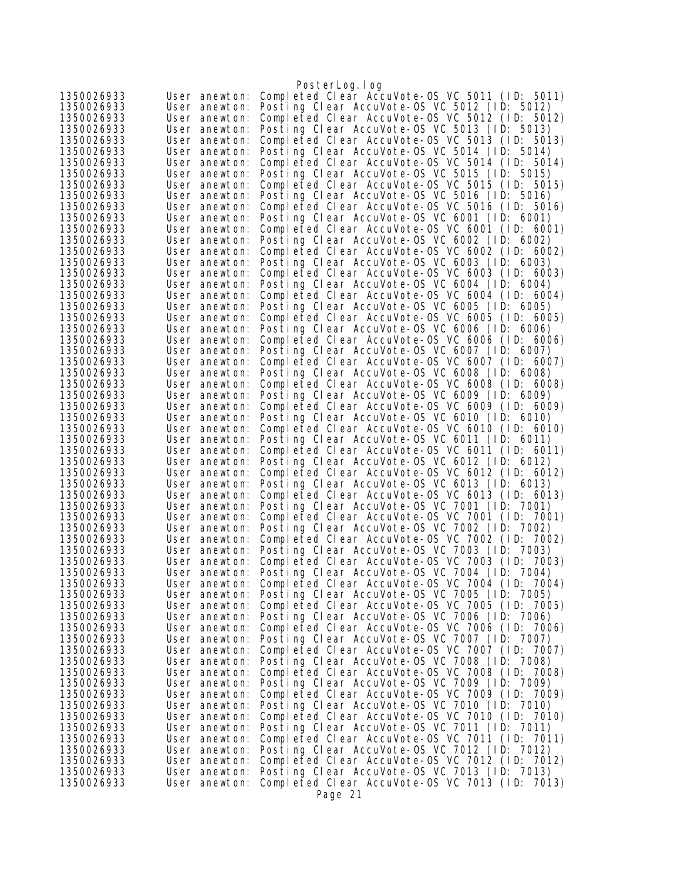| Completed Clear AccuVote-0S VC 5011 (ID: 5011)<br>1350026933<br>User anewton:<br>Posting Clear AccuVote-OS VC 5012 (ID: 5012)<br>1350026933<br>User anewton:<br>Completed Clear AccuVote-0S VC 5012 (ID: 5012)<br>1350026933<br>User anewton:<br>Posting Clear AccuVote-OS VC 5013 (ID: 5013)<br>1350026933<br>User anewton:<br>Completed Clear AccuVote-OS VC 5013 (ID: 5013)<br>1350026933<br>User anewton:<br>Posting Clear AccuVote-OS VC 5014 (ID: 5014)<br>1350026933<br>User anewton:<br>Completed Clear AccuVote-OS VC 5014 (ID: 5014)<br>1350026933<br>User anewton:<br>Posting Clear AccuVote-OS VC 5015 (ID: 5015)<br>1350026933<br>User anewton:<br>Completed Clear AccuVote-OS VC 5015 (ID: 5015)<br>1350026933<br>User anewton:<br>Posting Clear AccuVote-OS VC 5016 (ID: 5016)<br>1350026933<br>User anewton:<br>Completed Clear AccuVote-OS VC 5016 (ID: 5016)<br>1350026933<br>User anewton:<br>Posting Clear AccuVote-OS VC 6001 (ID: 6001)<br>1350026933<br>User anewton:<br>Completed Clear AccuVote-OS VC 6001 (ID: 6001)<br>1350026933<br>User anewton:<br>Posting Clear AccuVote-OS VC 6002 (ID: 6002)<br>1350026933<br>User anewton:<br>Completed Clear AccuVote-OS VC 6002 (ID: 6002)<br>1350026933<br>User anewton:<br>Posting Clear AccuVote-OS VC 6003 (ID: 6003)<br>1350026933<br>User anewton:<br>Completed Clear AccuVote-OS VC 6003 (ID: 6003)<br>1350026933<br>User anewton:<br>Posting Clear AccuVote-OS VC 6004 (ID: 6004)<br>1350026933<br>User anewton:<br>Completed Clear AccuVote-OS VC 6004 (ID: 6004)<br>1350026933<br>User anewton:<br>Posting Clear AccuVote-OS VC 6005 (ID: 6005)<br>1350026933<br>User anewton:<br>Completed Clear AccuVote-OS VC 6005 (ID: 6005)<br>1350026933<br>User anewton:<br>Posting Clear AccuVote-OS VC 6006 (ID: 6006)<br>1350026933<br>User anewton:<br>Completed Clear AccuVote-0S VC 6006 (ID: 6006)<br>1350026933<br>User anewton:<br>Posting Clear AccuVote-OS VC 6007 (ID: 6007)<br>1350026933<br>User anewton:<br>Completed Clear AccuVote-OS VC 6007 (ID: 6007)<br>1350026933<br>User anewton:<br>Posting Clear AccuVote-OS VC 6008 (ID: 6008)<br>1350026933<br>User anewton:<br>Completed Clear AccuVote-OS VC 6008 (ID: 6008)<br>User anewton:<br>Posting Clear AccuVote-OS VC 6009 (ID: 6009)<br>1350026933<br>User anewton:<br>Completed Clear AccuVote-OS VC 6009 (ID: 6009)<br>1350026933<br>User anewton:<br>Posting Clear AccuVote-OS VC 6010 (ID: 6010)<br>1350026933<br>User anewton:<br>Completed Clear AccuVote-OS VC 6010 (ID: 6010)<br>1350026933<br>User anewton:<br>1350026933<br>Posting Clear AccuVote-OS VC 6011 (ID: 6011)<br>User anewton:<br>Completed Clear AccuVote-OS VC 6011 (ID: 6011)<br>1350026933<br>User anewton:<br>Posting Clear AccuVote-OS VC 6012 (ID: 6012)<br>1350026933<br>User anewton:<br>1350026933<br>Completed Clear AccuVote-OS VC 6012 (ID: 6012)<br>User anewton:<br>Posting Clear AccuVote-OS VC 6013 (ID: 6013)<br>1350026933<br>User anewton:<br>Completed Clear AccuVote-OS VC 6013 (ID: 6013)<br>1350026933<br>User anewton:<br>Posting Clear AccuVote-OS VC 7001 (ID: 7001)<br>1350026933<br>User anewton:<br>Completed Clear AccuVote-OS VC 7001 (ID: 7001)<br>1350026933<br>User anewton:<br>Posting Clear AccuVote-OS VC 7002 (ID:<br>1350026933<br>User anewton:<br>7002)<br>Completed Clear AccuVote-OS VC 7002 (ID: 7002)<br>1350026933<br>User anewton:<br>Posting Clear AccuVote-OS VC 7003 (ID: 7003)<br>1350026933<br>User anewton:<br>Completed Clear AccuVote-OS VC 7003 (ID: 7003)<br>1350026933<br>User anewton:<br>Posting Clear AccuVote-OS VC 7004 (ID: 7004)<br>1350026933<br>User anewton:<br>Completed Clear AccuVote-OS VC 7004 (ID: 7004)<br>1350026933<br>User anewton:<br>Posting Clear AccuVote-OS VC 7005 (ID: 7005)<br>1350026933<br>User anewton:<br>Completed Clear AccuVote-OS VC 7005 (ID: 7005)<br>1350026933<br>User anewton:<br>Posting Clear AccuVote-OS VC 7006 (ID: 7006)<br>1350026933<br>User anewton:<br>Completed Clear AccuVote-OS VC 7006 (ID: 7006)<br>1350026933<br>User anewton:<br>Posting Clear AccuVote-OS VC 7007 (ID: 7007)<br>1350026933<br>User anewton:<br>Completed Clear AccuVote-0S VC 7007 (ID: 7007)<br>1350026933<br>User anewton:<br>Posting Clear AccuVote-OS VC 7008 (ID: 7008)<br>1350026933<br>User anewton:<br>Completed Clear AccuVote-0S VC 7008 (ID: 7008)<br>1350026933<br>User anewton:<br>Posting Clear AccuVote-OS VC 7009 (ID: 7009)<br>1350026933<br>User anewton:<br>Completed Clear AccuVote-0S VC 7009 (ID: 7009)<br>1350026933<br>User anewton:<br>Posting Clear AccuVote-OS VC 7010 (ID: 7010)<br>1350026933<br>User anewton:<br>Completed Clear AccuVote-0S VC 7010 (ID: 7010)<br>1350026933<br>User anewton:<br>Posting Clear AccuVote-OS VC 7011 (ID: 7011)<br>1350026933<br>User anewton:<br>Completed Clear AccuVote-OS VC 7011 (ID: 7011)<br>1350026933<br>User anewton:<br>Posting Clear AccuVote-OS VC 7012 (ID: 7012)<br>1350026933<br>User anewton:<br>Completed Clear AccuVote-OS VC 7012 (ID: 7012)<br>1350026933<br>User anewton:<br>Posting Clear AccuVote-OS VC 7013 (ID: 7013)<br>1350026933<br>User anewton:<br>Completed Clear AccuVote-OS VC 7013 (ID: 7013)<br>1350026933<br>User anewton:<br>Page 21 |            | PosterLog.log |
|-----------------------------------------------------------------------------------------------------------------------------------------------------------------------------------------------------------------------------------------------------------------------------------------------------------------------------------------------------------------------------------------------------------------------------------------------------------------------------------------------------------------------------------------------------------------------------------------------------------------------------------------------------------------------------------------------------------------------------------------------------------------------------------------------------------------------------------------------------------------------------------------------------------------------------------------------------------------------------------------------------------------------------------------------------------------------------------------------------------------------------------------------------------------------------------------------------------------------------------------------------------------------------------------------------------------------------------------------------------------------------------------------------------------------------------------------------------------------------------------------------------------------------------------------------------------------------------------------------------------------------------------------------------------------------------------------------------------------------------------------------------------------------------------------------------------------------------------------------------------------------------------------------------------------------------------------------------------------------------------------------------------------------------------------------------------------------------------------------------------------------------------------------------------------------------------------------------------------------------------------------------------------------------------------------------------------------------------------------------------------------------------------------------------------------------------------------------------------------------------------------------------------------------------------------------------------------------------------------------------------------------------------------------------------------------------------------------------------------------------------------------------------------------------------------------------------------------------------------------------------------------------------------------------------------------------------------------------------------------------------------------------------------------------------------------------------------------------------------------------------------------------------------------------------------------------------------------------------------------------------------------------------------------------------------------------------------------------------------------------------------------------------------------------------------------------------------------------------------------------------------------------------------------------------------------------------------------------------------------------------------------------------------------------------------------------------------------------------------------------------------------------------------------------------------------------------------------------------------------------------------------------------------------------------------------------------------------------------------------------------------------------------------------------------------------------------------------------------------------------------------------------------------------------------------------------------------------------------------------------------------------------------------------------------------------------------------------------------------------------------------------------------------------------------------------------------------------------------------------------------------------------------------------------------------------------------------------------------------------------------------------------------------------------------------------------------------------------------------------------------------------------------------------------------------------------------------------------------------------------------------------------------------------------------------------------------------------------------------------------------------------------------------------------------------------------------------------------------------------------------------------------------------------------------------------------------------------------------------------------------|------------|---------------|
|                                                                                                                                                                                                                                                                                                                                                                                                                                                                                                                                                                                                                                                                                                                                                                                                                                                                                                                                                                                                                                                                                                                                                                                                                                                                                                                                                                                                                                                                                                                                                                                                                                                                                                                                                                                                                                                                                                                                                                                                                                                                                                                                                                                                                                                                                                                                                                                                                                                                                                                                                                                                                                                                                                                                                                                                                                                                                                                                                                                                                                                                                                                                                                                                                                                                                                                                                                                                                                                                                                                                                                                                                                                                                                                                                                                                                                                                                                                                                                                                                                                                                                                                                                                                                                                                                                                                                                                                                                                                                                                                                                                                                                                                                                                                                                                                                                                                                                                                                                                                                                                                                                                                                                                                                                               |            |               |
|                                                                                                                                                                                                                                                                                                                                                                                                                                                                                                                                                                                                                                                                                                                                                                                                                                                                                                                                                                                                                                                                                                                                                                                                                                                                                                                                                                                                                                                                                                                                                                                                                                                                                                                                                                                                                                                                                                                                                                                                                                                                                                                                                                                                                                                                                                                                                                                                                                                                                                                                                                                                                                                                                                                                                                                                                                                                                                                                                                                                                                                                                                                                                                                                                                                                                                                                                                                                                                                                                                                                                                                                                                                                                                                                                                                                                                                                                                                                                                                                                                                                                                                                                                                                                                                                                                                                                                                                                                                                                                                                                                                                                                                                                                                                                                                                                                                                                                                                                                                                                                                                                                                                                                                                                                               |            |               |
|                                                                                                                                                                                                                                                                                                                                                                                                                                                                                                                                                                                                                                                                                                                                                                                                                                                                                                                                                                                                                                                                                                                                                                                                                                                                                                                                                                                                                                                                                                                                                                                                                                                                                                                                                                                                                                                                                                                                                                                                                                                                                                                                                                                                                                                                                                                                                                                                                                                                                                                                                                                                                                                                                                                                                                                                                                                                                                                                                                                                                                                                                                                                                                                                                                                                                                                                                                                                                                                                                                                                                                                                                                                                                                                                                                                                                                                                                                                                                                                                                                                                                                                                                                                                                                                                                                                                                                                                                                                                                                                                                                                                                                                                                                                                                                                                                                                                                                                                                                                                                                                                                                                                                                                                                                               |            |               |
|                                                                                                                                                                                                                                                                                                                                                                                                                                                                                                                                                                                                                                                                                                                                                                                                                                                                                                                                                                                                                                                                                                                                                                                                                                                                                                                                                                                                                                                                                                                                                                                                                                                                                                                                                                                                                                                                                                                                                                                                                                                                                                                                                                                                                                                                                                                                                                                                                                                                                                                                                                                                                                                                                                                                                                                                                                                                                                                                                                                                                                                                                                                                                                                                                                                                                                                                                                                                                                                                                                                                                                                                                                                                                                                                                                                                                                                                                                                                                                                                                                                                                                                                                                                                                                                                                                                                                                                                                                                                                                                                                                                                                                                                                                                                                                                                                                                                                                                                                                                                                                                                                                                                                                                                                                               |            |               |
|                                                                                                                                                                                                                                                                                                                                                                                                                                                                                                                                                                                                                                                                                                                                                                                                                                                                                                                                                                                                                                                                                                                                                                                                                                                                                                                                                                                                                                                                                                                                                                                                                                                                                                                                                                                                                                                                                                                                                                                                                                                                                                                                                                                                                                                                                                                                                                                                                                                                                                                                                                                                                                                                                                                                                                                                                                                                                                                                                                                                                                                                                                                                                                                                                                                                                                                                                                                                                                                                                                                                                                                                                                                                                                                                                                                                                                                                                                                                                                                                                                                                                                                                                                                                                                                                                                                                                                                                                                                                                                                                                                                                                                                                                                                                                                                                                                                                                                                                                                                                                                                                                                                                                                                                                                               |            |               |
|                                                                                                                                                                                                                                                                                                                                                                                                                                                                                                                                                                                                                                                                                                                                                                                                                                                                                                                                                                                                                                                                                                                                                                                                                                                                                                                                                                                                                                                                                                                                                                                                                                                                                                                                                                                                                                                                                                                                                                                                                                                                                                                                                                                                                                                                                                                                                                                                                                                                                                                                                                                                                                                                                                                                                                                                                                                                                                                                                                                                                                                                                                                                                                                                                                                                                                                                                                                                                                                                                                                                                                                                                                                                                                                                                                                                                                                                                                                                                                                                                                                                                                                                                                                                                                                                                                                                                                                                                                                                                                                                                                                                                                                                                                                                                                                                                                                                                                                                                                                                                                                                                                                                                                                                                                               |            |               |
|                                                                                                                                                                                                                                                                                                                                                                                                                                                                                                                                                                                                                                                                                                                                                                                                                                                                                                                                                                                                                                                                                                                                                                                                                                                                                                                                                                                                                                                                                                                                                                                                                                                                                                                                                                                                                                                                                                                                                                                                                                                                                                                                                                                                                                                                                                                                                                                                                                                                                                                                                                                                                                                                                                                                                                                                                                                                                                                                                                                                                                                                                                                                                                                                                                                                                                                                                                                                                                                                                                                                                                                                                                                                                                                                                                                                                                                                                                                                                                                                                                                                                                                                                                                                                                                                                                                                                                                                                                                                                                                                                                                                                                                                                                                                                                                                                                                                                                                                                                                                                                                                                                                                                                                                                                               |            |               |
|                                                                                                                                                                                                                                                                                                                                                                                                                                                                                                                                                                                                                                                                                                                                                                                                                                                                                                                                                                                                                                                                                                                                                                                                                                                                                                                                                                                                                                                                                                                                                                                                                                                                                                                                                                                                                                                                                                                                                                                                                                                                                                                                                                                                                                                                                                                                                                                                                                                                                                                                                                                                                                                                                                                                                                                                                                                                                                                                                                                                                                                                                                                                                                                                                                                                                                                                                                                                                                                                                                                                                                                                                                                                                                                                                                                                                                                                                                                                                                                                                                                                                                                                                                                                                                                                                                                                                                                                                                                                                                                                                                                                                                                                                                                                                                                                                                                                                                                                                                                                                                                                                                                                                                                                                                               |            |               |
|                                                                                                                                                                                                                                                                                                                                                                                                                                                                                                                                                                                                                                                                                                                                                                                                                                                                                                                                                                                                                                                                                                                                                                                                                                                                                                                                                                                                                                                                                                                                                                                                                                                                                                                                                                                                                                                                                                                                                                                                                                                                                                                                                                                                                                                                                                                                                                                                                                                                                                                                                                                                                                                                                                                                                                                                                                                                                                                                                                                                                                                                                                                                                                                                                                                                                                                                                                                                                                                                                                                                                                                                                                                                                                                                                                                                                                                                                                                                                                                                                                                                                                                                                                                                                                                                                                                                                                                                                                                                                                                                                                                                                                                                                                                                                                                                                                                                                                                                                                                                                                                                                                                                                                                                                                               |            |               |
|                                                                                                                                                                                                                                                                                                                                                                                                                                                                                                                                                                                                                                                                                                                                                                                                                                                                                                                                                                                                                                                                                                                                                                                                                                                                                                                                                                                                                                                                                                                                                                                                                                                                                                                                                                                                                                                                                                                                                                                                                                                                                                                                                                                                                                                                                                                                                                                                                                                                                                                                                                                                                                                                                                                                                                                                                                                                                                                                                                                                                                                                                                                                                                                                                                                                                                                                                                                                                                                                                                                                                                                                                                                                                                                                                                                                                                                                                                                                                                                                                                                                                                                                                                                                                                                                                                                                                                                                                                                                                                                                                                                                                                                                                                                                                                                                                                                                                                                                                                                                                                                                                                                                                                                                                                               |            |               |
|                                                                                                                                                                                                                                                                                                                                                                                                                                                                                                                                                                                                                                                                                                                                                                                                                                                                                                                                                                                                                                                                                                                                                                                                                                                                                                                                                                                                                                                                                                                                                                                                                                                                                                                                                                                                                                                                                                                                                                                                                                                                                                                                                                                                                                                                                                                                                                                                                                                                                                                                                                                                                                                                                                                                                                                                                                                                                                                                                                                                                                                                                                                                                                                                                                                                                                                                                                                                                                                                                                                                                                                                                                                                                                                                                                                                                                                                                                                                                                                                                                                                                                                                                                                                                                                                                                                                                                                                                                                                                                                                                                                                                                                                                                                                                                                                                                                                                                                                                                                                                                                                                                                                                                                                                                               |            |               |
|                                                                                                                                                                                                                                                                                                                                                                                                                                                                                                                                                                                                                                                                                                                                                                                                                                                                                                                                                                                                                                                                                                                                                                                                                                                                                                                                                                                                                                                                                                                                                                                                                                                                                                                                                                                                                                                                                                                                                                                                                                                                                                                                                                                                                                                                                                                                                                                                                                                                                                                                                                                                                                                                                                                                                                                                                                                                                                                                                                                                                                                                                                                                                                                                                                                                                                                                                                                                                                                                                                                                                                                                                                                                                                                                                                                                                                                                                                                                                                                                                                                                                                                                                                                                                                                                                                                                                                                                                                                                                                                                                                                                                                                                                                                                                                                                                                                                                                                                                                                                                                                                                                                                                                                                                                               |            |               |
|                                                                                                                                                                                                                                                                                                                                                                                                                                                                                                                                                                                                                                                                                                                                                                                                                                                                                                                                                                                                                                                                                                                                                                                                                                                                                                                                                                                                                                                                                                                                                                                                                                                                                                                                                                                                                                                                                                                                                                                                                                                                                                                                                                                                                                                                                                                                                                                                                                                                                                                                                                                                                                                                                                                                                                                                                                                                                                                                                                                                                                                                                                                                                                                                                                                                                                                                                                                                                                                                                                                                                                                                                                                                                                                                                                                                                                                                                                                                                                                                                                                                                                                                                                                                                                                                                                                                                                                                                                                                                                                                                                                                                                                                                                                                                                                                                                                                                                                                                                                                                                                                                                                                                                                                                                               |            |               |
|                                                                                                                                                                                                                                                                                                                                                                                                                                                                                                                                                                                                                                                                                                                                                                                                                                                                                                                                                                                                                                                                                                                                                                                                                                                                                                                                                                                                                                                                                                                                                                                                                                                                                                                                                                                                                                                                                                                                                                                                                                                                                                                                                                                                                                                                                                                                                                                                                                                                                                                                                                                                                                                                                                                                                                                                                                                                                                                                                                                                                                                                                                                                                                                                                                                                                                                                                                                                                                                                                                                                                                                                                                                                                                                                                                                                                                                                                                                                                                                                                                                                                                                                                                                                                                                                                                                                                                                                                                                                                                                                                                                                                                                                                                                                                                                                                                                                                                                                                                                                                                                                                                                                                                                                                                               |            |               |
|                                                                                                                                                                                                                                                                                                                                                                                                                                                                                                                                                                                                                                                                                                                                                                                                                                                                                                                                                                                                                                                                                                                                                                                                                                                                                                                                                                                                                                                                                                                                                                                                                                                                                                                                                                                                                                                                                                                                                                                                                                                                                                                                                                                                                                                                                                                                                                                                                                                                                                                                                                                                                                                                                                                                                                                                                                                                                                                                                                                                                                                                                                                                                                                                                                                                                                                                                                                                                                                                                                                                                                                                                                                                                                                                                                                                                                                                                                                                                                                                                                                                                                                                                                                                                                                                                                                                                                                                                                                                                                                                                                                                                                                                                                                                                                                                                                                                                                                                                                                                                                                                                                                                                                                                                                               |            |               |
|                                                                                                                                                                                                                                                                                                                                                                                                                                                                                                                                                                                                                                                                                                                                                                                                                                                                                                                                                                                                                                                                                                                                                                                                                                                                                                                                                                                                                                                                                                                                                                                                                                                                                                                                                                                                                                                                                                                                                                                                                                                                                                                                                                                                                                                                                                                                                                                                                                                                                                                                                                                                                                                                                                                                                                                                                                                                                                                                                                                                                                                                                                                                                                                                                                                                                                                                                                                                                                                                                                                                                                                                                                                                                                                                                                                                                                                                                                                                                                                                                                                                                                                                                                                                                                                                                                                                                                                                                                                                                                                                                                                                                                                                                                                                                                                                                                                                                                                                                                                                                                                                                                                                                                                                                                               |            |               |
|                                                                                                                                                                                                                                                                                                                                                                                                                                                                                                                                                                                                                                                                                                                                                                                                                                                                                                                                                                                                                                                                                                                                                                                                                                                                                                                                                                                                                                                                                                                                                                                                                                                                                                                                                                                                                                                                                                                                                                                                                                                                                                                                                                                                                                                                                                                                                                                                                                                                                                                                                                                                                                                                                                                                                                                                                                                                                                                                                                                                                                                                                                                                                                                                                                                                                                                                                                                                                                                                                                                                                                                                                                                                                                                                                                                                                                                                                                                                                                                                                                                                                                                                                                                                                                                                                                                                                                                                                                                                                                                                                                                                                                                                                                                                                                                                                                                                                                                                                                                                                                                                                                                                                                                                                                               |            |               |
|                                                                                                                                                                                                                                                                                                                                                                                                                                                                                                                                                                                                                                                                                                                                                                                                                                                                                                                                                                                                                                                                                                                                                                                                                                                                                                                                                                                                                                                                                                                                                                                                                                                                                                                                                                                                                                                                                                                                                                                                                                                                                                                                                                                                                                                                                                                                                                                                                                                                                                                                                                                                                                                                                                                                                                                                                                                                                                                                                                                                                                                                                                                                                                                                                                                                                                                                                                                                                                                                                                                                                                                                                                                                                                                                                                                                                                                                                                                                                                                                                                                                                                                                                                                                                                                                                                                                                                                                                                                                                                                                                                                                                                                                                                                                                                                                                                                                                                                                                                                                                                                                                                                                                                                                                                               |            |               |
|                                                                                                                                                                                                                                                                                                                                                                                                                                                                                                                                                                                                                                                                                                                                                                                                                                                                                                                                                                                                                                                                                                                                                                                                                                                                                                                                                                                                                                                                                                                                                                                                                                                                                                                                                                                                                                                                                                                                                                                                                                                                                                                                                                                                                                                                                                                                                                                                                                                                                                                                                                                                                                                                                                                                                                                                                                                                                                                                                                                                                                                                                                                                                                                                                                                                                                                                                                                                                                                                                                                                                                                                                                                                                                                                                                                                                                                                                                                                                                                                                                                                                                                                                                                                                                                                                                                                                                                                                                                                                                                                                                                                                                                                                                                                                                                                                                                                                                                                                                                                                                                                                                                                                                                                                                               |            |               |
|                                                                                                                                                                                                                                                                                                                                                                                                                                                                                                                                                                                                                                                                                                                                                                                                                                                                                                                                                                                                                                                                                                                                                                                                                                                                                                                                                                                                                                                                                                                                                                                                                                                                                                                                                                                                                                                                                                                                                                                                                                                                                                                                                                                                                                                                                                                                                                                                                                                                                                                                                                                                                                                                                                                                                                                                                                                                                                                                                                                                                                                                                                                                                                                                                                                                                                                                                                                                                                                                                                                                                                                                                                                                                                                                                                                                                                                                                                                                                                                                                                                                                                                                                                                                                                                                                                                                                                                                                                                                                                                                                                                                                                                                                                                                                                                                                                                                                                                                                                                                                                                                                                                                                                                                                                               |            |               |
|                                                                                                                                                                                                                                                                                                                                                                                                                                                                                                                                                                                                                                                                                                                                                                                                                                                                                                                                                                                                                                                                                                                                                                                                                                                                                                                                                                                                                                                                                                                                                                                                                                                                                                                                                                                                                                                                                                                                                                                                                                                                                                                                                                                                                                                                                                                                                                                                                                                                                                                                                                                                                                                                                                                                                                                                                                                                                                                                                                                                                                                                                                                                                                                                                                                                                                                                                                                                                                                                                                                                                                                                                                                                                                                                                                                                                                                                                                                                                                                                                                                                                                                                                                                                                                                                                                                                                                                                                                                                                                                                                                                                                                                                                                                                                                                                                                                                                                                                                                                                                                                                                                                                                                                                                                               |            |               |
|                                                                                                                                                                                                                                                                                                                                                                                                                                                                                                                                                                                                                                                                                                                                                                                                                                                                                                                                                                                                                                                                                                                                                                                                                                                                                                                                                                                                                                                                                                                                                                                                                                                                                                                                                                                                                                                                                                                                                                                                                                                                                                                                                                                                                                                                                                                                                                                                                                                                                                                                                                                                                                                                                                                                                                                                                                                                                                                                                                                                                                                                                                                                                                                                                                                                                                                                                                                                                                                                                                                                                                                                                                                                                                                                                                                                                                                                                                                                                                                                                                                                                                                                                                                                                                                                                                                                                                                                                                                                                                                                                                                                                                                                                                                                                                                                                                                                                                                                                                                                                                                                                                                                                                                                                                               |            |               |
|                                                                                                                                                                                                                                                                                                                                                                                                                                                                                                                                                                                                                                                                                                                                                                                                                                                                                                                                                                                                                                                                                                                                                                                                                                                                                                                                                                                                                                                                                                                                                                                                                                                                                                                                                                                                                                                                                                                                                                                                                                                                                                                                                                                                                                                                                                                                                                                                                                                                                                                                                                                                                                                                                                                                                                                                                                                                                                                                                                                                                                                                                                                                                                                                                                                                                                                                                                                                                                                                                                                                                                                                                                                                                                                                                                                                                                                                                                                                                                                                                                                                                                                                                                                                                                                                                                                                                                                                                                                                                                                                                                                                                                                                                                                                                                                                                                                                                                                                                                                                                                                                                                                                                                                                                                               |            |               |
|                                                                                                                                                                                                                                                                                                                                                                                                                                                                                                                                                                                                                                                                                                                                                                                                                                                                                                                                                                                                                                                                                                                                                                                                                                                                                                                                                                                                                                                                                                                                                                                                                                                                                                                                                                                                                                                                                                                                                                                                                                                                                                                                                                                                                                                                                                                                                                                                                                                                                                                                                                                                                                                                                                                                                                                                                                                                                                                                                                                                                                                                                                                                                                                                                                                                                                                                                                                                                                                                                                                                                                                                                                                                                                                                                                                                                                                                                                                                                                                                                                                                                                                                                                                                                                                                                                                                                                                                                                                                                                                                                                                                                                                                                                                                                                                                                                                                                                                                                                                                                                                                                                                                                                                                                                               |            |               |
|                                                                                                                                                                                                                                                                                                                                                                                                                                                                                                                                                                                                                                                                                                                                                                                                                                                                                                                                                                                                                                                                                                                                                                                                                                                                                                                                                                                                                                                                                                                                                                                                                                                                                                                                                                                                                                                                                                                                                                                                                                                                                                                                                                                                                                                                                                                                                                                                                                                                                                                                                                                                                                                                                                                                                                                                                                                                                                                                                                                                                                                                                                                                                                                                                                                                                                                                                                                                                                                                                                                                                                                                                                                                                                                                                                                                                                                                                                                                                                                                                                                                                                                                                                                                                                                                                                                                                                                                                                                                                                                                                                                                                                                                                                                                                                                                                                                                                                                                                                                                                                                                                                                                                                                                                                               |            |               |
|                                                                                                                                                                                                                                                                                                                                                                                                                                                                                                                                                                                                                                                                                                                                                                                                                                                                                                                                                                                                                                                                                                                                                                                                                                                                                                                                                                                                                                                                                                                                                                                                                                                                                                                                                                                                                                                                                                                                                                                                                                                                                                                                                                                                                                                                                                                                                                                                                                                                                                                                                                                                                                                                                                                                                                                                                                                                                                                                                                                                                                                                                                                                                                                                                                                                                                                                                                                                                                                                                                                                                                                                                                                                                                                                                                                                                                                                                                                                                                                                                                                                                                                                                                                                                                                                                                                                                                                                                                                                                                                                                                                                                                                                                                                                                                                                                                                                                                                                                                                                                                                                                                                                                                                                                                               | 1350026933 |               |
|                                                                                                                                                                                                                                                                                                                                                                                                                                                                                                                                                                                                                                                                                                                                                                                                                                                                                                                                                                                                                                                                                                                                                                                                                                                                                                                                                                                                                                                                                                                                                                                                                                                                                                                                                                                                                                                                                                                                                                                                                                                                                                                                                                                                                                                                                                                                                                                                                                                                                                                                                                                                                                                                                                                                                                                                                                                                                                                                                                                                                                                                                                                                                                                                                                                                                                                                                                                                                                                                                                                                                                                                                                                                                                                                                                                                                                                                                                                                                                                                                                                                                                                                                                                                                                                                                                                                                                                                                                                                                                                                                                                                                                                                                                                                                                                                                                                                                                                                                                                                                                                                                                                                                                                                                                               |            |               |
|                                                                                                                                                                                                                                                                                                                                                                                                                                                                                                                                                                                                                                                                                                                                                                                                                                                                                                                                                                                                                                                                                                                                                                                                                                                                                                                                                                                                                                                                                                                                                                                                                                                                                                                                                                                                                                                                                                                                                                                                                                                                                                                                                                                                                                                                                                                                                                                                                                                                                                                                                                                                                                                                                                                                                                                                                                                                                                                                                                                                                                                                                                                                                                                                                                                                                                                                                                                                                                                                                                                                                                                                                                                                                                                                                                                                                                                                                                                                                                                                                                                                                                                                                                                                                                                                                                                                                                                                                                                                                                                                                                                                                                                                                                                                                                                                                                                                                                                                                                                                                                                                                                                                                                                                                                               |            |               |
|                                                                                                                                                                                                                                                                                                                                                                                                                                                                                                                                                                                                                                                                                                                                                                                                                                                                                                                                                                                                                                                                                                                                                                                                                                                                                                                                                                                                                                                                                                                                                                                                                                                                                                                                                                                                                                                                                                                                                                                                                                                                                                                                                                                                                                                                                                                                                                                                                                                                                                                                                                                                                                                                                                                                                                                                                                                                                                                                                                                                                                                                                                                                                                                                                                                                                                                                                                                                                                                                                                                                                                                                                                                                                                                                                                                                                                                                                                                                                                                                                                                                                                                                                                                                                                                                                                                                                                                                                                                                                                                                                                                                                                                                                                                                                                                                                                                                                                                                                                                                                                                                                                                                                                                                                                               |            |               |
|                                                                                                                                                                                                                                                                                                                                                                                                                                                                                                                                                                                                                                                                                                                                                                                                                                                                                                                                                                                                                                                                                                                                                                                                                                                                                                                                                                                                                                                                                                                                                                                                                                                                                                                                                                                                                                                                                                                                                                                                                                                                                                                                                                                                                                                                                                                                                                                                                                                                                                                                                                                                                                                                                                                                                                                                                                                                                                                                                                                                                                                                                                                                                                                                                                                                                                                                                                                                                                                                                                                                                                                                                                                                                                                                                                                                                                                                                                                                                                                                                                                                                                                                                                                                                                                                                                                                                                                                                                                                                                                                                                                                                                                                                                                                                                                                                                                                                                                                                                                                                                                                                                                                                                                                                                               |            |               |
|                                                                                                                                                                                                                                                                                                                                                                                                                                                                                                                                                                                                                                                                                                                                                                                                                                                                                                                                                                                                                                                                                                                                                                                                                                                                                                                                                                                                                                                                                                                                                                                                                                                                                                                                                                                                                                                                                                                                                                                                                                                                                                                                                                                                                                                                                                                                                                                                                                                                                                                                                                                                                                                                                                                                                                                                                                                                                                                                                                                                                                                                                                                                                                                                                                                                                                                                                                                                                                                                                                                                                                                                                                                                                                                                                                                                                                                                                                                                                                                                                                                                                                                                                                                                                                                                                                                                                                                                                                                                                                                                                                                                                                                                                                                                                                                                                                                                                                                                                                                                                                                                                                                                                                                                                                               |            |               |
|                                                                                                                                                                                                                                                                                                                                                                                                                                                                                                                                                                                                                                                                                                                                                                                                                                                                                                                                                                                                                                                                                                                                                                                                                                                                                                                                                                                                                                                                                                                                                                                                                                                                                                                                                                                                                                                                                                                                                                                                                                                                                                                                                                                                                                                                                                                                                                                                                                                                                                                                                                                                                                                                                                                                                                                                                                                                                                                                                                                                                                                                                                                                                                                                                                                                                                                                                                                                                                                                                                                                                                                                                                                                                                                                                                                                                                                                                                                                                                                                                                                                                                                                                                                                                                                                                                                                                                                                                                                                                                                                                                                                                                                                                                                                                                                                                                                                                                                                                                                                                                                                                                                                                                                                                                               |            |               |
|                                                                                                                                                                                                                                                                                                                                                                                                                                                                                                                                                                                                                                                                                                                                                                                                                                                                                                                                                                                                                                                                                                                                                                                                                                                                                                                                                                                                                                                                                                                                                                                                                                                                                                                                                                                                                                                                                                                                                                                                                                                                                                                                                                                                                                                                                                                                                                                                                                                                                                                                                                                                                                                                                                                                                                                                                                                                                                                                                                                                                                                                                                                                                                                                                                                                                                                                                                                                                                                                                                                                                                                                                                                                                                                                                                                                                                                                                                                                                                                                                                                                                                                                                                                                                                                                                                                                                                                                                                                                                                                                                                                                                                                                                                                                                                                                                                                                                                                                                                                                                                                                                                                                                                                                                                               |            |               |
|                                                                                                                                                                                                                                                                                                                                                                                                                                                                                                                                                                                                                                                                                                                                                                                                                                                                                                                                                                                                                                                                                                                                                                                                                                                                                                                                                                                                                                                                                                                                                                                                                                                                                                                                                                                                                                                                                                                                                                                                                                                                                                                                                                                                                                                                                                                                                                                                                                                                                                                                                                                                                                                                                                                                                                                                                                                                                                                                                                                                                                                                                                                                                                                                                                                                                                                                                                                                                                                                                                                                                                                                                                                                                                                                                                                                                                                                                                                                                                                                                                                                                                                                                                                                                                                                                                                                                                                                                                                                                                                                                                                                                                                                                                                                                                                                                                                                                                                                                                                                                                                                                                                                                                                                                                               |            |               |
|                                                                                                                                                                                                                                                                                                                                                                                                                                                                                                                                                                                                                                                                                                                                                                                                                                                                                                                                                                                                                                                                                                                                                                                                                                                                                                                                                                                                                                                                                                                                                                                                                                                                                                                                                                                                                                                                                                                                                                                                                                                                                                                                                                                                                                                                                                                                                                                                                                                                                                                                                                                                                                                                                                                                                                                                                                                                                                                                                                                                                                                                                                                                                                                                                                                                                                                                                                                                                                                                                                                                                                                                                                                                                                                                                                                                                                                                                                                                                                                                                                                                                                                                                                                                                                                                                                                                                                                                                                                                                                                                                                                                                                                                                                                                                                                                                                                                                                                                                                                                                                                                                                                                                                                                                                               |            |               |
|                                                                                                                                                                                                                                                                                                                                                                                                                                                                                                                                                                                                                                                                                                                                                                                                                                                                                                                                                                                                                                                                                                                                                                                                                                                                                                                                                                                                                                                                                                                                                                                                                                                                                                                                                                                                                                                                                                                                                                                                                                                                                                                                                                                                                                                                                                                                                                                                                                                                                                                                                                                                                                                                                                                                                                                                                                                                                                                                                                                                                                                                                                                                                                                                                                                                                                                                                                                                                                                                                                                                                                                                                                                                                                                                                                                                                                                                                                                                                                                                                                                                                                                                                                                                                                                                                                                                                                                                                                                                                                                                                                                                                                                                                                                                                                                                                                                                                                                                                                                                                                                                                                                                                                                                                                               |            |               |
|                                                                                                                                                                                                                                                                                                                                                                                                                                                                                                                                                                                                                                                                                                                                                                                                                                                                                                                                                                                                                                                                                                                                                                                                                                                                                                                                                                                                                                                                                                                                                                                                                                                                                                                                                                                                                                                                                                                                                                                                                                                                                                                                                                                                                                                                                                                                                                                                                                                                                                                                                                                                                                                                                                                                                                                                                                                                                                                                                                                                                                                                                                                                                                                                                                                                                                                                                                                                                                                                                                                                                                                                                                                                                                                                                                                                                                                                                                                                                                                                                                                                                                                                                                                                                                                                                                                                                                                                                                                                                                                                                                                                                                                                                                                                                                                                                                                                                                                                                                                                                                                                                                                                                                                                                                               |            |               |
|                                                                                                                                                                                                                                                                                                                                                                                                                                                                                                                                                                                                                                                                                                                                                                                                                                                                                                                                                                                                                                                                                                                                                                                                                                                                                                                                                                                                                                                                                                                                                                                                                                                                                                                                                                                                                                                                                                                                                                                                                                                                                                                                                                                                                                                                                                                                                                                                                                                                                                                                                                                                                                                                                                                                                                                                                                                                                                                                                                                                                                                                                                                                                                                                                                                                                                                                                                                                                                                                                                                                                                                                                                                                                                                                                                                                                                                                                                                                                                                                                                                                                                                                                                                                                                                                                                                                                                                                                                                                                                                                                                                                                                                                                                                                                                                                                                                                                                                                                                                                                                                                                                                                                                                                                                               |            |               |
|                                                                                                                                                                                                                                                                                                                                                                                                                                                                                                                                                                                                                                                                                                                                                                                                                                                                                                                                                                                                                                                                                                                                                                                                                                                                                                                                                                                                                                                                                                                                                                                                                                                                                                                                                                                                                                                                                                                                                                                                                                                                                                                                                                                                                                                                                                                                                                                                                                                                                                                                                                                                                                                                                                                                                                                                                                                                                                                                                                                                                                                                                                                                                                                                                                                                                                                                                                                                                                                                                                                                                                                                                                                                                                                                                                                                                                                                                                                                                                                                                                                                                                                                                                                                                                                                                                                                                                                                                                                                                                                                                                                                                                                                                                                                                                                                                                                                                                                                                                                                                                                                                                                                                                                                                                               |            |               |
|                                                                                                                                                                                                                                                                                                                                                                                                                                                                                                                                                                                                                                                                                                                                                                                                                                                                                                                                                                                                                                                                                                                                                                                                                                                                                                                                                                                                                                                                                                                                                                                                                                                                                                                                                                                                                                                                                                                                                                                                                                                                                                                                                                                                                                                                                                                                                                                                                                                                                                                                                                                                                                                                                                                                                                                                                                                                                                                                                                                                                                                                                                                                                                                                                                                                                                                                                                                                                                                                                                                                                                                                                                                                                                                                                                                                                                                                                                                                                                                                                                                                                                                                                                                                                                                                                                                                                                                                                                                                                                                                                                                                                                                                                                                                                                                                                                                                                                                                                                                                                                                                                                                                                                                                                                               |            |               |
|                                                                                                                                                                                                                                                                                                                                                                                                                                                                                                                                                                                                                                                                                                                                                                                                                                                                                                                                                                                                                                                                                                                                                                                                                                                                                                                                                                                                                                                                                                                                                                                                                                                                                                                                                                                                                                                                                                                                                                                                                                                                                                                                                                                                                                                                                                                                                                                                                                                                                                                                                                                                                                                                                                                                                                                                                                                                                                                                                                                                                                                                                                                                                                                                                                                                                                                                                                                                                                                                                                                                                                                                                                                                                                                                                                                                                                                                                                                                                                                                                                                                                                                                                                                                                                                                                                                                                                                                                                                                                                                                                                                                                                                                                                                                                                                                                                                                                                                                                                                                                                                                                                                                                                                                                                               |            |               |
|                                                                                                                                                                                                                                                                                                                                                                                                                                                                                                                                                                                                                                                                                                                                                                                                                                                                                                                                                                                                                                                                                                                                                                                                                                                                                                                                                                                                                                                                                                                                                                                                                                                                                                                                                                                                                                                                                                                                                                                                                                                                                                                                                                                                                                                                                                                                                                                                                                                                                                                                                                                                                                                                                                                                                                                                                                                                                                                                                                                                                                                                                                                                                                                                                                                                                                                                                                                                                                                                                                                                                                                                                                                                                                                                                                                                                                                                                                                                                                                                                                                                                                                                                                                                                                                                                                                                                                                                                                                                                                                                                                                                                                                                                                                                                                                                                                                                                                                                                                                                                                                                                                                                                                                                                                               |            |               |
|                                                                                                                                                                                                                                                                                                                                                                                                                                                                                                                                                                                                                                                                                                                                                                                                                                                                                                                                                                                                                                                                                                                                                                                                                                                                                                                                                                                                                                                                                                                                                                                                                                                                                                                                                                                                                                                                                                                                                                                                                                                                                                                                                                                                                                                                                                                                                                                                                                                                                                                                                                                                                                                                                                                                                                                                                                                                                                                                                                                                                                                                                                                                                                                                                                                                                                                                                                                                                                                                                                                                                                                                                                                                                                                                                                                                                                                                                                                                                                                                                                                                                                                                                                                                                                                                                                                                                                                                                                                                                                                                                                                                                                                                                                                                                                                                                                                                                                                                                                                                                                                                                                                                                                                                                                               |            |               |
|                                                                                                                                                                                                                                                                                                                                                                                                                                                                                                                                                                                                                                                                                                                                                                                                                                                                                                                                                                                                                                                                                                                                                                                                                                                                                                                                                                                                                                                                                                                                                                                                                                                                                                                                                                                                                                                                                                                                                                                                                                                                                                                                                                                                                                                                                                                                                                                                                                                                                                                                                                                                                                                                                                                                                                                                                                                                                                                                                                                                                                                                                                                                                                                                                                                                                                                                                                                                                                                                                                                                                                                                                                                                                                                                                                                                                                                                                                                                                                                                                                                                                                                                                                                                                                                                                                                                                                                                                                                                                                                                                                                                                                                                                                                                                                                                                                                                                                                                                                                                                                                                                                                                                                                                                                               |            |               |
|                                                                                                                                                                                                                                                                                                                                                                                                                                                                                                                                                                                                                                                                                                                                                                                                                                                                                                                                                                                                                                                                                                                                                                                                                                                                                                                                                                                                                                                                                                                                                                                                                                                                                                                                                                                                                                                                                                                                                                                                                                                                                                                                                                                                                                                                                                                                                                                                                                                                                                                                                                                                                                                                                                                                                                                                                                                                                                                                                                                                                                                                                                                                                                                                                                                                                                                                                                                                                                                                                                                                                                                                                                                                                                                                                                                                                                                                                                                                                                                                                                                                                                                                                                                                                                                                                                                                                                                                                                                                                                                                                                                                                                                                                                                                                                                                                                                                                                                                                                                                                                                                                                                                                                                                                                               |            |               |
|                                                                                                                                                                                                                                                                                                                                                                                                                                                                                                                                                                                                                                                                                                                                                                                                                                                                                                                                                                                                                                                                                                                                                                                                                                                                                                                                                                                                                                                                                                                                                                                                                                                                                                                                                                                                                                                                                                                                                                                                                                                                                                                                                                                                                                                                                                                                                                                                                                                                                                                                                                                                                                                                                                                                                                                                                                                                                                                                                                                                                                                                                                                                                                                                                                                                                                                                                                                                                                                                                                                                                                                                                                                                                                                                                                                                                                                                                                                                                                                                                                                                                                                                                                                                                                                                                                                                                                                                                                                                                                                                                                                                                                                                                                                                                                                                                                                                                                                                                                                                                                                                                                                                                                                                                                               |            |               |
|                                                                                                                                                                                                                                                                                                                                                                                                                                                                                                                                                                                                                                                                                                                                                                                                                                                                                                                                                                                                                                                                                                                                                                                                                                                                                                                                                                                                                                                                                                                                                                                                                                                                                                                                                                                                                                                                                                                                                                                                                                                                                                                                                                                                                                                                                                                                                                                                                                                                                                                                                                                                                                                                                                                                                                                                                                                                                                                                                                                                                                                                                                                                                                                                                                                                                                                                                                                                                                                                                                                                                                                                                                                                                                                                                                                                                                                                                                                                                                                                                                                                                                                                                                                                                                                                                                                                                                                                                                                                                                                                                                                                                                                                                                                                                                                                                                                                                                                                                                                                                                                                                                                                                                                                                                               |            |               |
|                                                                                                                                                                                                                                                                                                                                                                                                                                                                                                                                                                                                                                                                                                                                                                                                                                                                                                                                                                                                                                                                                                                                                                                                                                                                                                                                                                                                                                                                                                                                                                                                                                                                                                                                                                                                                                                                                                                                                                                                                                                                                                                                                                                                                                                                                                                                                                                                                                                                                                                                                                                                                                                                                                                                                                                                                                                                                                                                                                                                                                                                                                                                                                                                                                                                                                                                                                                                                                                                                                                                                                                                                                                                                                                                                                                                                                                                                                                                                                                                                                                                                                                                                                                                                                                                                                                                                                                                                                                                                                                                                                                                                                                                                                                                                                                                                                                                                                                                                                                                                                                                                                                                                                                                                                               |            |               |
|                                                                                                                                                                                                                                                                                                                                                                                                                                                                                                                                                                                                                                                                                                                                                                                                                                                                                                                                                                                                                                                                                                                                                                                                                                                                                                                                                                                                                                                                                                                                                                                                                                                                                                                                                                                                                                                                                                                                                                                                                                                                                                                                                                                                                                                                                                                                                                                                                                                                                                                                                                                                                                                                                                                                                                                                                                                                                                                                                                                                                                                                                                                                                                                                                                                                                                                                                                                                                                                                                                                                                                                                                                                                                                                                                                                                                                                                                                                                                                                                                                                                                                                                                                                                                                                                                                                                                                                                                                                                                                                                                                                                                                                                                                                                                                                                                                                                                                                                                                                                                                                                                                                                                                                                                                               |            |               |
|                                                                                                                                                                                                                                                                                                                                                                                                                                                                                                                                                                                                                                                                                                                                                                                                                                                                                                                                                                                                                                                                                                                                                                                                                                                                                                                                                                                                                                                                                                                                                                                                                                                                                                                                                                                                                                                                                                                                                                                                                                                                                                                                                                                                                                                                                                                                                                                                                                                                                                                                                                                                                                                                                                                                                                                                                                                                                                                                                                                                                                                                                                                                                                                                                                                                                                                                                                                                                                                                                                                                                                                                                                                                                                                                                                                                                                                                                                                                                                                                                                                                                                                                                                                                                                                                                                                                                                                                                                                                                                                                                                                                                                                                                                                                                                                                                                                                                                                                                                                                                                                                                                                                                                                                                                               |            |               |
|                                                                                                                                                                                                                                                                                                                                                                                                                                                                                                                                                                                                                                                                                                                                                                                                                                                                                                                                                                                                                                                                                                                                                                                                                                                                                                                                                                                                                                                                                                                                                                                                                                                                                                                                                                                                                                                                                                                                                                                                                                                                                                                                                                                                                                                                                                                                                                                                                                                                                                                                                                                                                                                                                                                                                                                                                                                                                                                                                                                                                                                                                                                                                                                                                                                                                                                                                                                                                                                                                                                                                                                                                                                                                                                                                                                                                                                                                                                                                                                                                                                                                                                                                                                                                                                                                                                                                                                                                                                                                                                                                                                                                                                                                                                                                                                                                                                                                                                                                                                                                                                                                                                                                                                                                                               |            |               |
|                                                                                                                                                                                                                                                                                                                                                                                                                                                                                                                                                                                                                                                                                                                                                                                                                                                                                                                                                                                                                                                                                                                                                                                                                                                                                                                                                                                                                                                                                                                                                                                                                                                                                                                                                                                                                                                                                                                                                                                                                                                                                                                                                                                                                                                                                                                                                                                                                                                                                                                                                                                                                                                                                                                                                                                                                                                                                                                                                                                                                                                                                                                                                                                                                                                                                                                                                                                                                                                                                                                                                                                                                                                                                                                                                                                                                                                                                                                                                                                                                                                                                                                                                                                                                                                                                                                                                                                                                                                                                                                                                                                                                                                                                                                                                                                                                                                                                                                                                                                                                                                                                                                                                                                                                                               |            |               |
|                                                                                                                                                                                                                                                                                                                                                                                                                                                                                                                                                                                                                                                                                                                                                                                                                                                                                                                                                                                                                                                                                                                                                                                                                                                                                                                                                                                                                                                                                                                                                                                                                                                                                                                                                                                                                                                                                                                                                                                                                                                                                                                                                                                                                                                                                                                                                                                                                                                                                                                                                                                                                                                                                                                                                                                                                                                                                                                                                                                                                                                                                                                                                                                                                                                                                                                                                                                                                                                                                                                                                                                                                                                                                                                                                                                                                                                                                                                                                                                                                                                                                                                                                                                                                                                                                                                                                                                                                                                                                                                                                                                                                                                                                                                                                                                                                                                                                                                                                                                                                                                                                                                                                                                                                                               |            |               |
|                                                                                                                                                                                                                                                                                                                                                                                                                                                                                                                                                                                                                                                                                                                                                                                                                                                                                                                                                                                                                                                                                                                                                                                                                                                                                                                                                                                                                                                                                                                                                                                                                                                                                                                                                                                                                                                                                                                                                                                                                                                                                                                                                                                                                                                                                                                                                                                                                                                                                                                                                                                                                                                                                                                                                                                                                                                                                                                                                                                                                                                                                                                                                                                                                                                                                                                                                                                                                                                                                                                                                                                                                                                                                                                                                                                                                                                                                                                                                                                                                                                                                                                                                                                                                                                                                                                                                                                                                                                                                                                                                                                                                                                                                                                                                                                                                                                                                                                                                                                                                                                                                                                                                                                                                                               |            |               |
|                                                                                                                                                                                                                                                                                                                                                                                                                                                                                                                                                                                                                                                                                                                                                                                                                                                                                                                                                                                                                                                                                                                                                                                                                                                                                                                                                                                                                                                                                                                                                                                                                                                                                                                                                                                                                                                                                                                                                                                                                                                                                                                                                                                                                                                                                                                                                                                                                                                                                                                                                                                                                                                                                                                                                                                                                                                                                                                                                                                                                                                                                                                                                                                                                                                                                                                                                                                                                                                                                                                                                                                                                                                                                                                                                                                                                                                                                                                                                                                                                                                                                                                                                                                                                                                                                                                                                                                                                                                                                                                                                                                                                                                                                                                                                                                                                                                                                                                                                                                                                                                                                                                                                                                                                                               |            |               |
|                                                                                                                                                                                                                                                                                                                                                                                                                                                                                                                                                                                                                                                                                                                                                                                                                                                                                                                                                                                                                                                                                                                                                                                                                                                                                                                                                                                                                                                                                                                                                                                                                                                                                                                                                                                                                                                                                                                                                                                                                                                                                                                                                                                                                                                                                                                                                                                                                                                                                                                                                                                                                                                                                                                                                                                                                                                                                                                                                                                                                                                                                                                                                                                                                                                                                                                                                                                                                                                                                                                                                                                                                                                                                                                                                                                                                                                                                                                                                                                                                                                                                                                                                                                                                                                                                                                                                                                                                                                                                                                                                                                                                                                                                                                                                                                                                                                                                                                                                                                                                                                                                                                                                                                                                                               |            |               |
|                                                                                                                                                                                                                                                                                                                                                                                                                                                                                                                                                                                                                                                                                                                                                                                                                                                                                                                                                                                                                                                                                                                                                                                                                                                                                                                                                                                                                                                                                                                                                                                                                                                                                                                                                                                                                                                                                                                                                                                                                                                                                                                                                                                                                                                                                                                                                                                                                                                                                                                                                                                                                                                                                                                                                                                                                                                                                                                                                                                                                                                                                                                                                                                                                                                                                                                                                                                                                                                                                                                                                                                                                                                                                                                                                                                                                                                                                                                                                                                                                                                                                                                                                                                                                                                                                                                                                                                                                                                                                                                                                                                                                                                                                                                                                                                                                                                                                                                                                                                                                                                                                                                                                                                                                                               |            |               |
|                                                                                                                                                                                                                                                                                                                                                                                                                                                                                                                                                                                                                                                                                                                                                                                                                                                                                                                                                                                                                                                                                                                                                                                                                                                                                                                                                                                                                                                                                                                                                                                                                                                                                                                                                                                                                                                                                                                                                                                                                                                                                                                                                                                                                                                                                                                                                                                                                                                                                                                                                                                                                                                                                                                                                                                                                                                                                                                                                                                                                                                                                                                                                                                                                                                                                                                                                                                                                                                                                                                                                                                                                                                                                                                                                                                                                                                                                                                                                                                                                                                                                                                                                                                                                                                                                                                                                                                                                                                                                                                                                                                                                                                                                                                                                                                                                                                                                                                                                                                                                                                                                                                                                                                                                                               |            |               |
|                                                                                                                                                                                                                                                                                                                                                                                                                                                                                                                                                                                                                                                                                                                                                                                                                                                                                                                                                                                                                                                                                                                                                                                                                                                                                                                                                                                                                                                                                                                                                                                                                                                                                                                                                                                                                                                                                                                                                                                                                                                                                                                                                                                                                                                                                                                                                                                                                                                                                                                                                                                                                                                                                                                                                                                                                                                                                                                                                                                                                                                                                                                                                                                                                                                                                                                                                                                                                                                                                                                                                                                                                                                                                                                                                                                                                                                                                                                                                                                                                                                                                                                                                                                                                                                                                                                                                                                                                                                                                                                                                                                                                                                                                                                                                                                                                                                                                                                                                                                                                                                                                                                                                                                                                                               |            |               |
|                                                                                                                                                                                                                                                                                                                                                                                                                                                                                                                                                                                                                                                                                                                                                                                                                                                                                                                                                                                                                                                                                                                                                                                                                                                                                                                                                                                                                                                                                                                                                                                                                                                                                                                                                                                                                                                                                                                                                                                                                                                                                                                                                                                                                                                                                                                                                                                                                                                                                                                                                                                                                                                                                                                                                                                                                                                                                                                                                                                                                                                                                                                                                                                                                                                                                                                                                                                                                                                                                                                                                                                                                                                                                                                                                                                                                                                                                                                                                                                                                                                                                                                                                                                                                                                                                                                                                                                                                                                                                                                                                                                                                                                                                                                                                                                                                                                                                                                                                                                                                                                                                                                                                                                                                                               |            |               |
|                                                                                                                                                                                                                                                                                                                                                                                                                                                                                                                                                                                                                                                                                                                                                                                                                                                                                                                                                                                                                                                                                                                                                                                                                                                                                                                                                                                                                                                                                                                                                                                                                                                                                                                                                                                                                                                                                                                                                                                                                                                                                                                                                                                                                                                                                                                                                                                                                                                                                                                                                                                                                                                                                                                                                                                                                                                                                                                                                                                                                                                                                                                                                                                                                                                                                                                                                                                                                                                                                                                                                                                                                                                                                                                                                                                                                                                                                                                                                                                                                                                                                                                                                                                                                                                                                                                                                                                                                                                                                                                                                                                                                                                                                                                                                                                                                                                                                                                                                                                                                                                                                                                                                                                                                                               |            |               |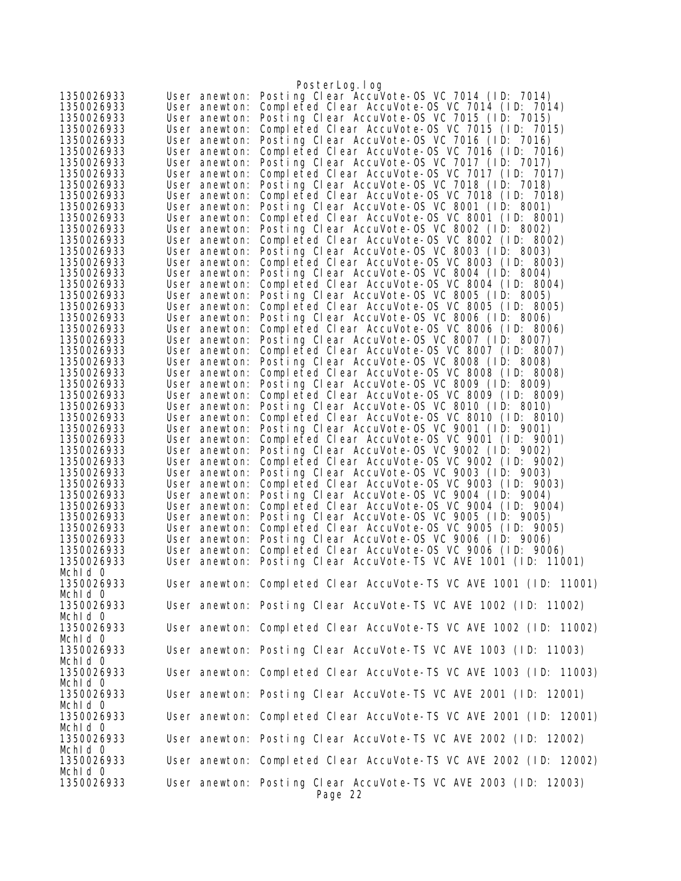|                          |                                | PosterLog.log                                                                                  |
|--------------------------|--------------------------------|------------------------------------------------------------------------------------------------|
| 1350026933               | User anewton:                  | Posting Clear AccuVote-OS VC 7014 (ID: 7014)                                                   |
| 1350026933               | User anewton:                  | Completed Clear AccuVote-OS VC 7014 (ID: 7014)                                                 |
| 1350026933               | User anewton:                  | Posting Clear AccuVote-OS VC 7015 (ID: 7015)                                                   |
| 1350026933               | User anewton:                  | Completed Clear AccuVote-OS VC 7015 (ID: 7015)                                                 |
| 1350026933               | User anewton:                  | Posting Clear AccuVote-OS VC 7016 (ID: 7016)                                                   |
| 1350026933               | User anewton:                  | Completed Clear AccuVote-OS VC 7016 (ID: 7016)                                                 |
| 1350026933               | User anewton:                  | Posting Clear AccuVote-OS VC 7017 (ID: 7017)                                                   |
| 1350026933               | User anewton:                  | Completed Clear AccuVote-OS VC 7017 (ID: 7017)                                                 |
| 1350026933               | User anewton:                  | Posting Clear AccuVote-OS VC 7018 (ID: 7018)                                                   |
| 1350026933               | User anewton:                  | Completed Clear AccuVote-OS VC 7018 (ID: 7018)                                                 |
| 1350026933               | User anewton:                  | Posting Clear AccuVote-OS VC 8001 (ID: 8001)                                                   |
| 1350026933               | User anewton:                  | Completed Clear AccuVote-0S VC 8001 (ID: 8001)                                                 |
| 1350026933               | User anewton:                  | Posting Clear AccuVote-OS VC 8002 (ID: 8002)                                                   |
| 1350026933               | User anewton:                  | Completed Clear AccuVote-OS VC 8002 (ID: 8002)                                                 |
| 1350026933               | User anewton:                  | Posting Clear AccuVote-OS VC 8003 (ID: 8003)                                                   |
| 1350026933               | User anewton:                  | Completed Clear AccuVote-OS VC 8003 (ID: 8003)                                                 |
| 1350026933<br>1350026933 | User anewton:                  | Posting Clear AccuVote-OS VC 8004 (ID: 8004)<br>Completed Clear AccuVote-OS VC 8004 (ID: 8004) |
| 1350026933               | User anewton:<br>User anewton: | Posting Clear AccuVote-OS VC 8005 (ID: 8005)                                                   |
| 1350026933               | User anewton:                  | Completed Clear AccuVote-OS VC 8005 (ID: 8005)                                                 |
| 1350026933               | User anewton:                  | Posting Clear AccuVote-OS VC 8006 (ID: 8006)                                                   |
| 1350026933               | User anewton:                  | Completed Clear AccuVote-OS VC 8006 (ID: 8006)                                                 |
| 1350026933               | User anewton:                  | Posting Clear AccuVote-OS VC 8007 (ID: 8007)                                                   |
| 1350026933               | User anewton:                  | Completed Clear AccuVote-OS VC 8007 (ID: 8007)                                                 |
| 1350026933               | User anewton:                  | Posting Clear AccuVote-OS VC 8008 (ID: 8008)                                                   |
| 1350026933               | User anewton:                  | Completed Clear AccuVote-OS VC 8008 (ID: 8008)                                                 |
| 1350026933               | User anewton:                  | Posting Clear AccuVote-OS VC 8009 (ID: 8009)                                                   |
| 1350026933               | User anewton:                  | Completed Clear AccuVote-OS VC 8009 (ID: 8009)                                                 |
| 1350026933               | User anewton:                  | Posting Clear AccuVote-OS VC 8010 (ID: 8010)                                                   |
| 1350026933               | User anewton:                  | Completed Clear AccuVote-OS VC 8010 (ID: 8010)                                                 |
| 1350026933               | User anewton:                  | Posting Clear AccuVote-OS VC 9001 (ID: 9001)                                                   |
| 1350026933               | User anewton:                  | Completed Clear AccuVote-OS VC 9001 (ID: 9001)                                                 |
| 1350026933               | User anewton:                  | Posting Clear AccuVote-OS VC 9002 (ID: 9002)                                                   |
| 1350026933<br>1350026933 | User anewton:<br>User anewton: | Completed Clear AccuVote-OS VC 9002 (ID: 9002)<br>Posting Clear AccuVote-OS VC 9003 (ID: 9003) |
| 1350026933               | User anewton:                  | Completed Clear AccuVote-OS VC 9003 (ID: 9003)                                                 |
| 1350026933               | User anewton:                  | Posting Clear AccuVote-OS VC 9004 (ID: 9004)                                                   |
| 1350026933               | User anewton:                  | Completed Clear AccuVote-OS VC 9004 (ID: 9004)                                                 |
| 1350026933               | User anewton:                  | Posting Clear AccuVote-OS VC 9005 (ID: 9005)                                                   |
| 1350026933               | User anewton:                  | Completed Clear AccuVote-OS VC 9005 (ID: 9005)                                                 |
| 1350026933               | User anewton:                  | Posting Clear AccuVote-OS VC 9006 (ID: 9006)                                                   |
| 1350026933               | User anewton:                  | Completed Clear AccuVote-OS VC 9006 (ID: 9006)                                                 |
| 1350026933               | User anewton:                  | Posting Clear AccuVote-TS VC AVE 1001 (ID: 11001)                                              |
| Mchld O                  |                                |                                                                                                |
| 1350026933               |                                | User anewton: Completed Clear AccuVote-TS VC AVE 1001 (ID: 11001)                              |
| Mchld O                  |                                |                                                                                                |
| 1350026933               |                                | User anewton: Posting Clear AccuVote-TS VC AVE 1002 (ID: 11002)                                |
| Mchld O                  |                                |                                                                                                |
| 1350026933<br>Mchid 0    |                                | User anewton: Completed Clear AccuVote-TS VC AVE 1002 (ID: 11002)                              |
| 1350026933               |                                | User anewton: Posting Clear AccuVote-TS VC AVE 1003 (ID: 11003)                                |
| Mchld O                  |                                |                                                                                                |
| 1350026933               |                                | User anewton: Completed Clear AccuVote-TS VC AVE 1003 (ID: 11003)                              |
| Mchld O                  |                                |                                                                                                |
| 1350026933               |                                | User anewton: Posting Clear AccuVote-TS VC AVE 2001 (ID: 12001)                                |
| Mchld 0                  |                                |                                                                                                |
| 1350026933               |                                | User anewton: Completed Clear AccuVote-TS VC AVE 2001 (ID: 12001)                              |
| Mchld O                  |                                |                                                                                                |
| 1350026933               |                                | User anewton: Posting Clear AccuVote-TS VC AVE 2002 (ID: 12002)                                |
| Mchld O                  |                                |                                                                                                |
| 1350026933               |                                | User anewton: Completed Clear AccuVote-TS VC AVE 2002 (ID: 12002)                              |
| Mchld O                  |                                |                                                                                                |
| 1350026933               |                                | User anewton: Posting Clear AccuVote-TS VC AVE 2003 (ID: 12003)                                |
|                          |                                | Page 22                                                                                        |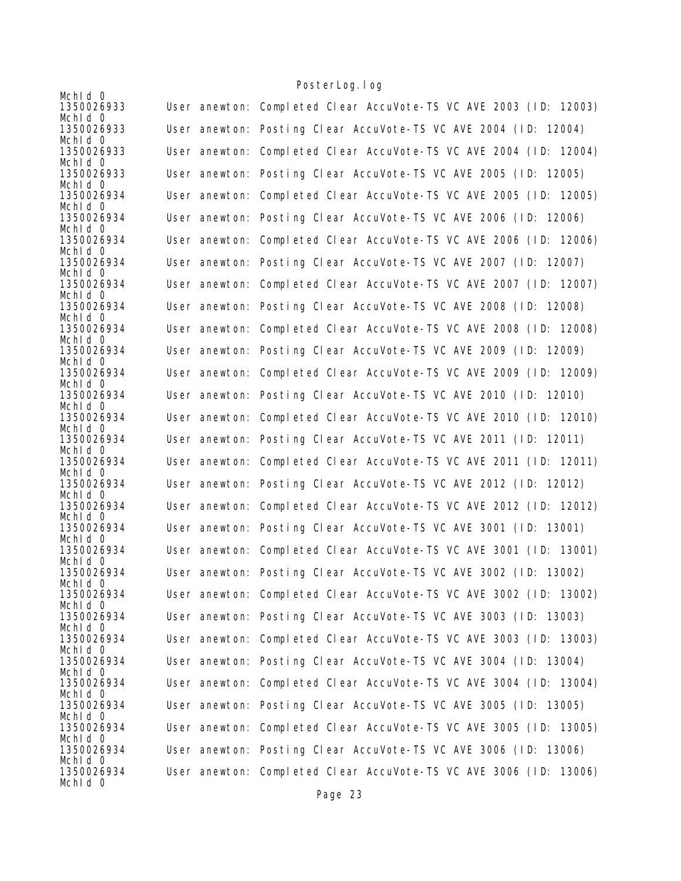| Mchid 0               |                                                                   |
|-----------------------|-------------------------------------------------------------------|
| 1350026933<br>Mchid 0 | User anewton: Completed Clear AccuVote-TS VC AVE 2003 (ID: 12003) |
| 1350026933<br>Mchid 0 | User anewton: Posting Clear AccuVote-TS VC AVE 2004 (ID: 12004)   |
| 1350026933<br>Mchid 0 | User anewton: Completed Clear AccuVote-TS VC AVE 2004 (ID: 12004) |
| 1350026933<br>Mchld 0 | User anewton: Posting Clear AccuVote-TS VC AVE 2005 (ID: 12005)   |
| 1350026934<br>Mchid 0 | User anewton: Completed Clear AccuVote-TS VC AVE 2005 (ID: 12005) |
| 1350026934<br>Mchid 0 | User anewton: Posting Clear AccuVote-TS VC AVE 2006 (ID: 12006)   |
| 1350026934<br>Mchid 0 | User anewton: Completed Clear AccuVote-TS VC AVE 2006 (ID: 12006) |
| 1350026934<br>Mchid 0 | User anewton: Posting Clear AccuVote-TS VC AVE 2007 (ID: 12007)   |
| 1350026934<br>Mchid 0 | User anewton: Completed Clear AccuVote-TS VC AVE 2007 (ID: 12007) |
| 1350026934<br>Mchid 0 | User anewton: Posting Clear AccuVote-TS VC AVE 2008 (ID: 12008)   |
| 1350026934<br>Mchid 0 | User anewton: Completed Clear AccuVote-TS VC AVE 2008 (ID: 12008) |
| 1350026934<br>Mchid 0 | User anewton: Posting Clear AccuVote-TS VC AVE 2009 (ID: 12009)   |
| 1350026934<br>Mchid 0 | User anewton: Completed Clear AccuVote-TS VC AVE 2009 (ID: 12009) |
| 1350026934<br>Mchid 0 | User anewton: Posting Clear AccuVote-TS VC AVE 2010 (ID: 12010)   |
| 1350026934<br>Mchid 0 | User anewton: Completed Clear AccuVote-TS VC AVE 2010 (ID: 12010) |
| 1350026934<br>Mchid 0 | User anewton: Posting Clear AccuVote-TS VC AVE 2011 (ID: 12011)   |
| 1350026934<br>Mchid 0 | User anewton: Completed Clear AccuVote-TS VC AVE 2011 (ID: 12011) |
| 1350026934<br>Mchid 0 | User anewton: Posting Clear AccuVote-TS VC AVE 2012 (ID: 12012)   |
| 1350026934<br>Mchid 0 | User anewton: Completed Clear AccuVote-TS VC AVE 2012 (ID: 12012) |
| 1350026934<br>Mchid 0 | User anewton: Posting Clear AccuVote-TS VC AVE 3001 (ID: 13001)   |
| 1350026934<br>Mchid 0 | User anewton: Completed Clear AccuVote-TS VC AVE 3001 (ID: 13001) |
| 1350026934<br>Mchid 0 | User anewton: Posting Clear AccuVote-TS VC AVE 3002 (ID: 13002)   |
| 1350026934<br>Mchid 0 | User anewton: Completed Clear AccuVote-TS VC AVE 3002 (ID: 13002) |
| 1350026934<br>Mchid 0 | User anewton: Posting Clear AccuVote-TS VC AVE 3003 (ID: 13003)   |
| 1350026934<br>Mchid 0 | User anewton: Completed Clear AccuVote-TS VC AVE 3003 (ID: 13003) |
| 1350026934<br>Mchid 0 | User anewton: Posting Clear AccuVote-TS VC AVE 3004 (ID: 13004)   |
| 1350026934<br>Mchid 0 | User anewton: Completed Clear AccuVote-TS VC AVE 3004 (ID: 13004) |
| 1350026934<br>Mchld 0 | User anewton: Posting Clear AccuVote-TS VC AVE 3005 (ID: 13005)   |
| 1350026934<br>Mchid 0 | User anewton: Completed Clear AccuVote-TS VC AVE 3005 (ID: 13005) |
| 1350026934<br>Mchid 0 | User anewton: Posting Clear AccuVote-TS VC AVE 3006 (ID: 13006)   |
| 1350026934<br>Mchid 0 | User anewton: Completed Clear AccuVote-TS VC AVE 3006 (ID: 13006) |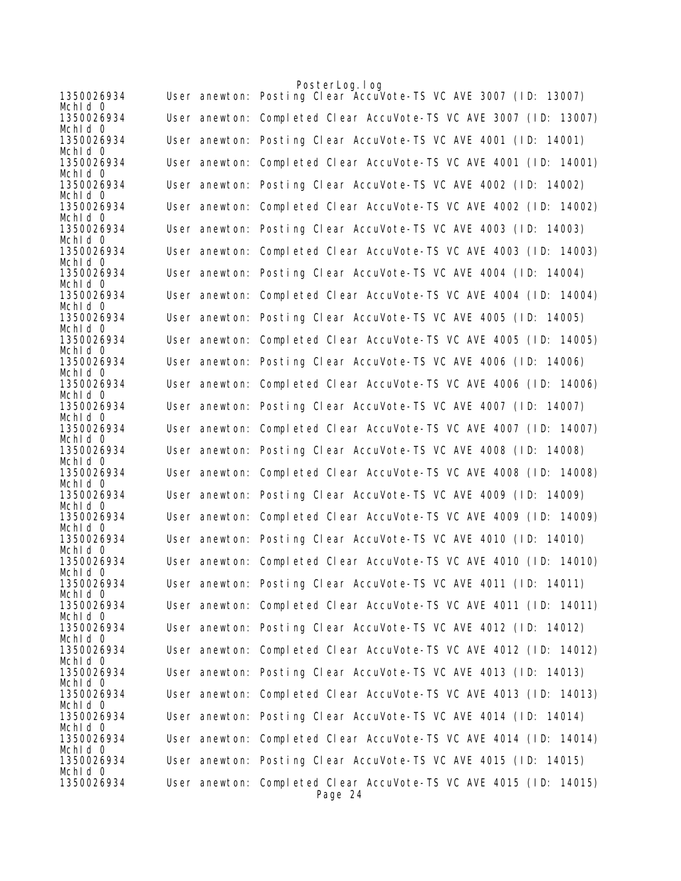|                       | PosterLog.log                                                                |
|-----------------------|------------------------------------------------------------------------------|
| 1350026934<br>Mchid 0 | User anewton: Posting Clear AccuVote-TS VC AVE 3007 (ID: 13007)              |
| 1350026934<br>Mchid 0 | User anewton: Completed Clear AccuVote-TS VC AVE 3007 (ID: 13007)            |
| 1350026934<br>Mchid 0 | User anewton: Posting Clear AccuVote-TS VC AVE 4001 (ID: 14001)              |
| 1350026934<br>Mchid 0 | User anewton: Completed Clear AccuVote-TS VC AVE 4001 (ID: 14001)            |
| 1350026934<br>Mchid 0 | User anewton: Posting Clear AccuVote-TS VC AVE 4002 (ID: 14002)              |
| 1350026934<br>Mchid 0 | User anewton: Completed Clear AccuVote-TS VC AVE 4002 (ID: 14002)            |
| 1350026934<br>Mchid 0 | User anewton: Posting Clear AccuVote-TS VC AVE 4003 (ID: 14003)              |
| 1350026934<br>Mchid 0 | User anewton: Completed Clear AccuVote-TS VC AVE 4003 (ID: 14003)            |
| 1350026934<br>Mchid 0 | User anewton: Posting Clear AccuVote-TS VC AVE 4004 (ID: 14004)              |
| 1350026934<br>Mchid 0 | User anewton: Completed Clear AccuVote-TS VC AVE 4004 (ID: 14004)            |
| 1350026934<br>Mchid 0 | User anewton: Posting Clear AccuVote-TS VC AVE 4005 (ID: 14005)              |
| 1350026934<br>Mchld 0 | User anewton: Completed Clear AccuVote-TS VC AVE 4005 (ID: 14005)            |
| 1350026934<br>Mchid 0 | User anewton: Posting Clear AccuVote-TS VC AVE 4006 (ID: 14006)              |
| 1350026934<br>Mchid 0 | User anewton: Completed Clear AccuVote-TS VC AVE 4006 (ID: 14006)            |
| 1350026934<br>Mchid 0 | User anewton: Posting Clear AccuVote-TS VC AVE 4007 (ID: 14007)              |
| 1350026934<br>Mchid 0 | User anewton: Completed Clear AccuVote-TS VC AVE 4007 (ID: 14007)            |
| 1350026934<br>Mchid 0 | User anewton: Posting Clear AccuVote-TS VC AVE 4008 (ID: 14008)              |
| 1350026934<br>Mchid 0 | User anewton: Completed Clear AccuVote-TS VC AVE 4008 (ID: 14008)            |
| 1350026934<br>Mchid 0 | User anewton: Posting Clear AccuVote-TS VC AVE 4009 (ID: 14009)              |
| 1350026934<br>Mchid 0 | User anewton: Completed Clear AccuVote-TS VC AVE 4009 (ID: 14009)            |
| 1350026934<br>Mchid 0 | User anewton: Posting Clear AccuVote-TS VC AVE 4010 (ID: 14010)              |
| 1350026934<br>Mchid 0 | User anewton: Completed Clear AccuVote-TS VC AVE 4010 (ID: 14010)            |
| 1350026934<br>Mchid 0 | User anewton: Posting Clear AccuVote-TS VC AVE 4011 (ID: 14011)              |
| 1350026934<br>Mchid 0 | User anewton: Completed Clear AccuVote-TS VC AVE 4011 (ID: 14011)            |
| 1350026934<br>Mchid 0 | User anewton: Posting Clear AccuVote-TS VC AVE 4012 (ID: 14012)              |
| 1350026934<br>Mchid 0 | User anewton: Completed Clear AccuVote-TS VC AVE 4012 (ID: 14012)            |
| 1350026934<br>Mchid 0 | User anewton: Posting Clear AccuVote-TS VC AVE 4013 (ID: 14013)              |
| 1350026934<br>Mchid 0 | User anewton: Completed Clear AccuVote-TS VC AVE 4013 (ID: 14013)            |
| 1350026934<br>Mchid 0 | User anewton: Posting Clear AccuVote-TS VC AVE 4014 (ID: 14014)              |
| 1350026934<br>Mchid 0 | User anewton: Completed Clear AccuVote-TS VC AVE 4014 (ID: 14014)            |
| 1350026934<br>Mchid 0 | User anewton: Posting Clear AccuVote-TS VC AVE 4015 (ID: 14015)              |
| 1350026934            | User anewton: Completed Clear AccuVote-TS VC AVE 4015 (ID: 14015)<br>Page 24 |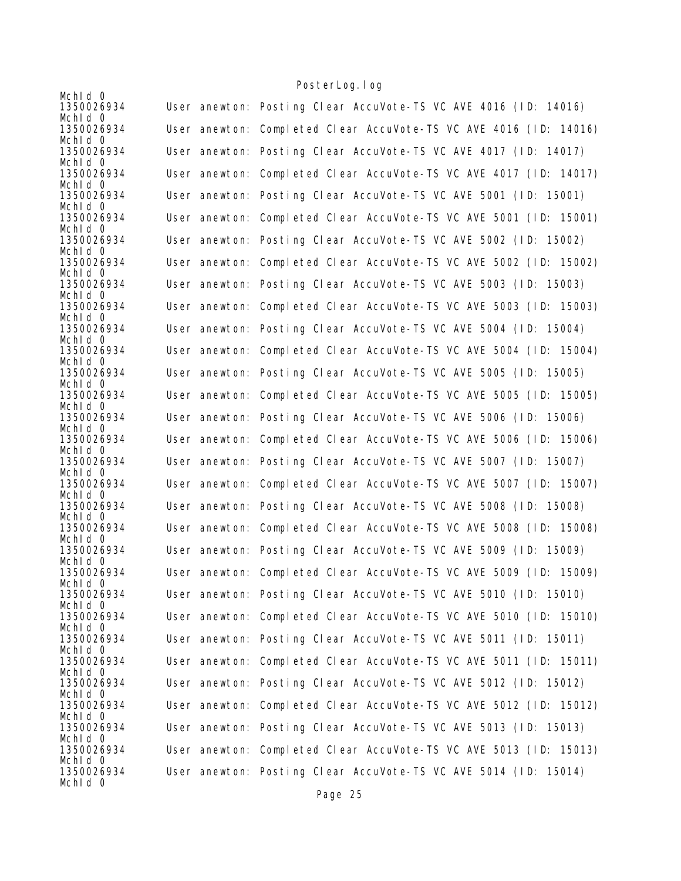| Mchid 0                          |                                                                   |
|----------------------------------|-------------------------------------------------------------------|
| 1350026934                       | User anewton: Posting Clear AccuVote-TS VC AVE 4016 (ID: 14016)   |
| Mchid 0<br>1350026934            | User anewton: Completed Clear AccuVote-TS VC AVE 4016 (ID: 14016) |
| Mchid 0<br>1350026934            | User anewton: Posting Clear AccuVote-TS VC AVE 4017 (ID: 14017)   |
| Mchid 0<br>1350026934<br>Mchld 0 | User anewton: Completed Clear AccuVote-TS VC AVE 4017 (ID: 14017) |
| 1350026934<br>Mchid 0            | User anewton: Posting Clear AccuVote-TS VC AVE 5001 (ID: 15001)   |
| 1350026934<br>Mchid 0            | User anewton: Completed Clear AccuVote-TS VC AVE 5001 (ID: 15001) |
| 1350026934<br>Mchid 0            | User anewton: Posting Clear AccuVote-TS VC AVE 5002 (ID: 15002)   |
| 1350026934<br>Mchid 0            | User anewton: Completed Clear AccuVote-TS VC AVE 5002 (ID: 15002) |
| 1350026934<br>Mchid 0            | User anewton: Posting Clear AccuVote-TS VC AVE 5003 (ID: 15003)   |
| 1350026934<br>Mchid 0            | User anewton: Completed Clear AccuVote-TS VC AVE 5003 (ID: 15003) |
| 1350026934<br>Mchid 0            | User anewton: Posting Clear AccuVote-TS VC AVE 5004 (ID: 15004)   |
| 1350026934<br>Mchid 0            | User anewton: Completed Clear AccuVote-TS VC AVE 5004 (ID: 15004) |
| 1350026934<br>Mchid 0            | User anewton: Posting Clear AccuVote-TS VC AVE 5005 (ID: 15005)   |
| 1350026934<br>Mchid 0            | User anewton: Completed Clear AccuVote-TS VC AVE 5005 (ID: 15005) |
| 1350026934<br>Mchid 0            | User anewton: Posting Clear AccuVote-TS VC AVE 5006 (ID: 15006)   |
| 1350026934<br>Mchid 0            | User anewton: Completed Clear AccuVote-TS VC AVE 5006 (ID: 15006) |
| 1350026934<br>Mchid 0            | User anewton: Posting Clear AccuVote-TS VC AVE 5007 (ID: 15007)   |
| 1350026934<br>Mchid 0            | User anewton: Completed Clear AccuVote-TS VC AVE 5007 (ID: 15007) |
| 1350026934<br>Mchid 0            | User anewton: Posting Clear AccuVote-TS VC AVE 5008 (ID: 15008)   |
| 1350026934<br>Mchid 0            | User anewton: Completed Clear AccuVote-TS VC AVE 5008 (ID: 15008) |
| 1350026934<br>Mchld 0            | User anewton: Posting Clear AccuVote-TS VC AVE 5009 (ID: 15009)   |
| 1350026934<br>Mchid 0            | User anewton: Completed Clear AccuVote-TS VC AVE 5009 (ID: 15009) |
| 1350026934<br>Mchid 0            | User anewton: Posting Clear AccuVote-TS VC AVE 5010 (ID: 15010)   |
| 1350026934<br>Mchid 0            | User anewton: Completed Clear AccuVote-TS VC AVE 5010 (ID: 15010) |
| 1350026934<br>Mchid 0            | User anewton: Posting Clear AccuVote-TS VC AVE 5011 (ID: 15011)   |
| 1350026934<br>Mchid 0            | User anewton: Completed Clear AccuVote-TS VC AVE 5011 (ID: 15011) |
| 1350026934<br>Mchid 0            | User anewton: Posting Clear AccuVote-TS VC AVE 5012 (ID: 15012)   |
| 1350026934<br>Mchid 0            | User anewton: Completed Clear AccuVote-TS VC AVE 5012 (ID: 15012) |
| 1350026934<br>Mchid 0            | User anewton: Posting Clear AccuVote-TS VC AVE 5013 (ID: 15013)   |
| 1350026934<br>Mchid 0            | User anewton: Completed Clear AccuVote-TS VC AVE 5013 (ID: 15013) |
| 1350026934<br>Mchid 0            | User anewton: Posting Clear AccuVote-TS VC AVE 5014 (ID: 15014)   |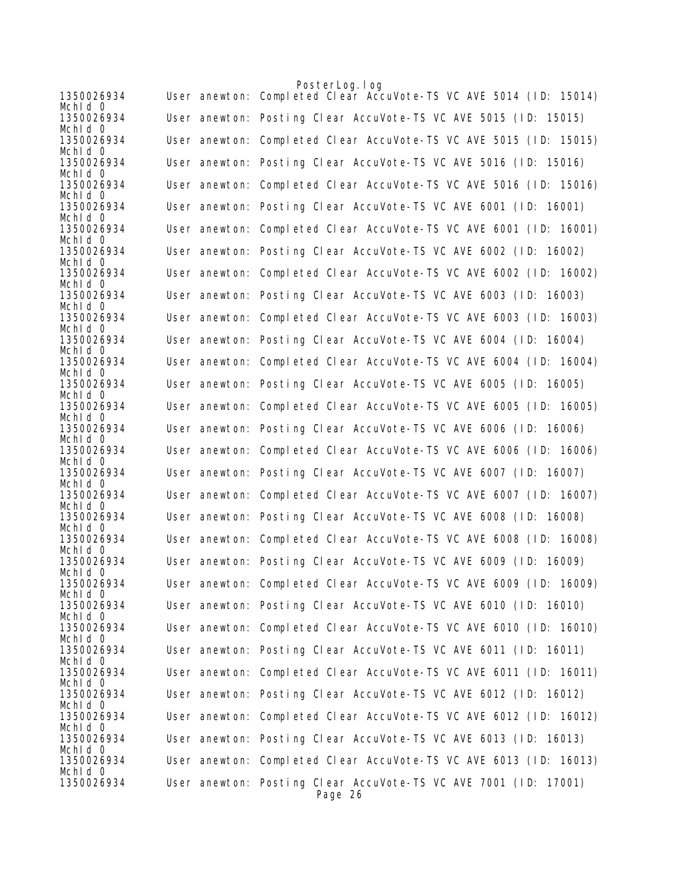|                       |  | PosterLog.log                                                              |
|-----------------------|--|----------------------------------------------------------------------------|
| 1350026934<br>Mchid 0 |  | User anewton: Completed Clear AccuVote-TS VC AVE 5014 (ID: 15014)          |
| 1350026934<br>Mchid 0 |  | User anewton: Posting Clear AccuVote-TS VC AVE 5015 (ID: 15015)            |
| 1350026934<br>Mchid 0 |  | User anewton: Completed Clear AccuVote-TS VC AVE 5015 (ID: 15015)          |
| 1350026934            |  | User anewton: Posting Clear AccuVote-TS VC AVE 5016 (ID: 15016)            |
| Mchid 0<br>1350026934 |  | User anewton: Completed Clear AccuVote-TS VC AVE 5016 (ID: 15016)          |
| Mchid 0<br>1350026934 |  | User anewton: Posting Clear AccuVote-TS VC AVE 6001 (ID: 16001)            |
| Mchid 0<br>1350026934 |  | User anewton: Completed Clear AccuVote-TS VC AVE 6001 (ID: 16001)          |
| Mchid 0<br>1350026934 |  | User anewton: Posting Clear AccuVote-TS VC AVE 6002 (ID: 16002)            |
| Mchid 0<br>1350026934 |  | User anewton: Completed Clear AccuVote-TS VC AVE 6002 (ID: 16002)          |
| Mchid 0               |  |                                                                            |
| 1350026934<br>Mchid 0 |  | User anewton: Posting Clear AccuVote-TS VC AVE 6003 (ID: 16003)            |
| 1350026934<br>Mchid 0 |  | User anewton: Completed Clear AccuVote-TS VC AVE 6003 (ID: 16003)          |
| 1350026934<br>Mchid 0 |  | User anewton: Posting Clear AccuVote-TS VC AVE 6004 (ID: 16004)            |
| 1350026934<br>Mchid 0 |  | User anewton: Completed Clear AccuVote-TS VC AVE 6004 (ID: 16004)          |
| 1350026934            |  | User anewton: Posting Clear AccuVote-TS VC AVE 6005 (ID: 16005)            |
| Mchid 0<br>1350026934 |  | User anewton: Completed Clear AccuVote-TS VC AVE 6005 (ID: 16005)          |
| Mchid 0<br>1350026934 |  | User anewton: Posting Clear AccuVote-TS VC AVE 6006 (ID: 16006)            |
| Mchid 0<br>1350026934 |  | User anewton: Completed Clear AccuVote-TS VC AVE 6006 (ID: 16006)          |
| Mchid 0<br>1350026934 |  | User anewton: Posting Clear AccuVote-TS VC AVE 6007 (ID: 16007)            |
| Mchid O<br>1350026934 |  | User anewton: Completed Clear AccuVote-TS VC AVE 6007 (ID: 16007)          |
| Mchid 0<br>1350026934 |  | User anewton: Posting Clear AccuVote-TS VC AVE 6008 (ID: 16008)            |
| Mchid 0               |  |                                                                            |
| 1350026934<br>Mchid 0 |  | User anewton: Completed Clear AccuVote-TS VC AVE 6008 (ID: 16008)          |
| 1350026934<br>Mchid O |  | User anewton: Posting Clear AccuVote-TS VC AVE 6009 (ID: 16009)            |
| 1350026934<br>Mchid 0 |  | User anewton: Completed Clear AccuVote-TS VC AVE 6009 (ID: 16009)          |
| 1350026934<br>Mchid 0 |  | User anewton: Posting Clear AccuVote-TS VC AVE 6010 (ID: 16010)            |
| 1350026934            |  | User anewton: Completed Clear AccuVote-TS VC AVE 6010 (ID: 16010)          |
| Mchid 0<br>1350026934 |  | User anewton: Posting Clear AccuVote-TS VC AVE 6011 (ID: 16011)            |
| Mchld 0<br>1350026934 |  | User anewton: Completed Clear AccuVote-TS VC AVE 6011 (ID: 16011)          |
| Mchid 0<br>1350026934 |  | User anewton: Posting Clear AccuVote-TS VC AVE 6012 (ID: 16012)            |
| Mchld 0<br>1350026934 |  | User anewton: Completed Clear AccuVote-TS VC AVE 6012 (ID: 16012)          |
| Mchid 0<br>1350026934 |  | User anewton: Posting Clear AccuVote-TS VC AVE 6013 (ID: 16013)            |
| Mchid 0<br>1350026934 |  | User anewton: Completed Clear AccuVote-TS VC AVE 6013 (ID: 16013)          |
| Mchid 0               |  |                                                                            |
| 1350026934            |  | User anewton: Posting Clear AccuVote-TS VC AVE 7001 (ID: 17001)<br>Page 26 |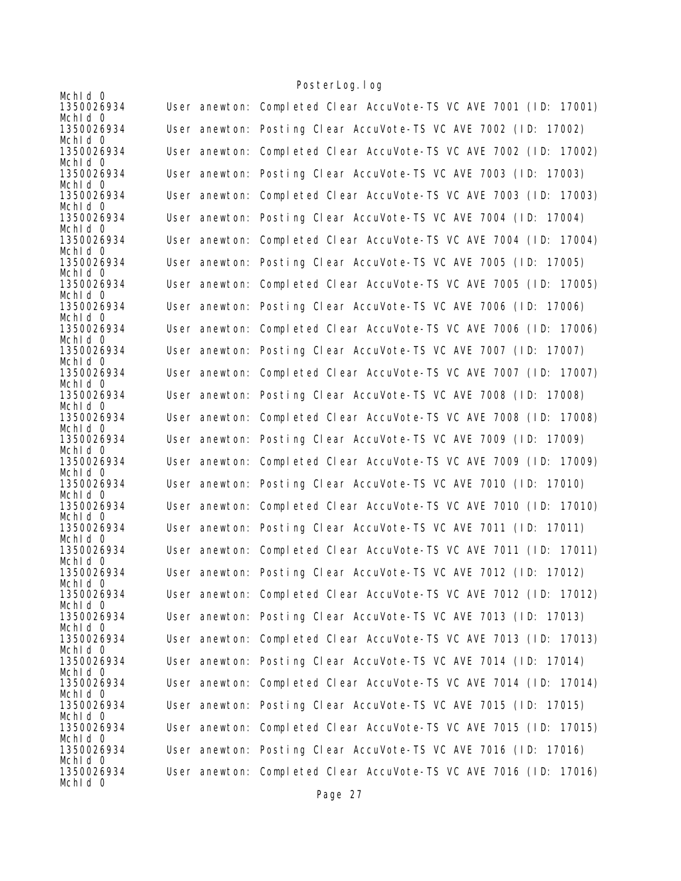| Mchid 0                          |                                                                   |
|----------------------------------|-------------------------------------------------------------------|
| 1350026934                       | User anewton: Completed Clear AccuVote-TS VC AVE 7001 (ID: 17001) |
| Mchid 0<br>1350026934            | User anewton: Posting Clear AccuVote-TS VC AVE 7002 (ID: 17002)   |
| Mchid 0<br>1350026934            | User anewton: Completed Clear AccuVote-TS VC AVE 7002 (ID: 17002) |
| Mchid 0<br>1350026934            | User anewton: Posting Clear AccuVote-TS VC AVE 7003 (ID: 17003)   |
| Mchld 0<br>1350026934            | User anewton: Completed Clear AccuVote-TS VC AVE 7003 (ID: 17003) |
| Mchid 0<br>1350026934            | User anewton: Posting Clear AccuVote-TS VC AVE 7004 (ID: 17004)   |
| Mchid 0<br>1350026934            | User anewton: Completed Clear AccuVote-TS VC AVE 7004 (ID: 17004) |
| Mchid 0<br>1350026934            | User anewton: Posting Clear AccuVote-TS VC AVE 7005 (ID: 17005)   |
| Mchid 0<br>1350026934            | User anewton: Completed Clear AccuVote-TS VC AVE 7005 (ID: 17005) |
| Mchid 0<br>1350026934            | User anewton: Posting Clear AccuVote-TS VC AVE 7006 (ID: 17006)   |
| Mchld 0<br>1350026934            | User anewton: Completed Clear AccuVote-TS VC AVE 7006 (ID: 17006) |
| Mchid 0<br>1350026934            | User anewton: Posting Clear AccuVote-TS VC AVE 7007 (ID: 17007)   |
| Mchid 0<br>1350026934<br>Mchid 0 | User anewton: Completed Clear AccuVote-TS VC AVE 7007 (ID: 17007) |
| 1350026934<br>Mchid 0            | User anewton: Posting Clear AccuVote-TS VC AVE 7008 (ID: 17008)   |
| 1350026934<br>Mchid 0            | User anewton: Completed Clear AccuVote-TS VC AVE 7008 (ID: 17008) |
| 1350026934<br>Mchid 0            | User anewton: Posting Clear AccuVote-TS VC AVE 7009 (ID: 17009)   |
| 1350026934<br>Mchid 0            | User anewton: Completed Clear AccuVote-TS VC AVE 7009 (ID: 17009) |
| 1350026934<br>Mchid 0            | User anewton: Posting Clear AccuVote-TS VC AVE 7010 (ID: 17010)   |
| 1350026934<br>Mchid 0            | User anewton: Completed Clear AccuVote-TS VC AVE 7010 (ID: 17010) |
| 1350026934<br>Mchid 0            | User anewton: Posting Clear AccuVote-TS VC AVE 7011 (ID: 17011)   |
| 1350026934<br>Mchld 0            | User anewton: Completed Clear AccuVote-TS VC AVE 7011 (ID: 17011) |
| 1350026934<br>Mchid 0            | User anewton: Posting Clear AccuVote-TS VC AVE 7012 (ID: 17012)   |
| 1350026934<br>Mchid 0            | User anewton: Completed Clear AccuVote-TS VC AVE 7012 (ID: 17012) |
| 1350026934<br>Mchid 0            | User anewton: Posting Clear AccuVote-TS VC AVE 7013 (ID: 17013)   |
| 1350026934<br>Mchid 0            | User anewton: Completed Clear AccuVote-TS VC AVE 7013 (ID: 17013) |
| 1350026934<br>Mchid 0            | User anewton: Posting Clear AccuVote-TS VC AVE 7014 (ID: 17014)   |
| 1350026934<br>Mchid 0            | User anewton: Completed Clear AccuVote-TS VC AVE 7014 (ID: 17014) |
| 1350026934<br>Mchid 0            | User anewton: Posting Clear AccuVote-TS VC AVE 7015 (ID: 17015)   |
| 1350026934<br>Mchid 0            | User anewton: Completed Clear AccuVote-TS VC AVE 7015 (ID: 17015) |
| 1350026934<br>Mchid 0            | User anewton: Posting Clear AccuVote-TS VC AVE 7016 (ID: 17016)   |
| 1350026934<br>Mchid 0            | User anewton: Completed Clear AccuVote-TS VC AVE 7016 (ID: 17016) |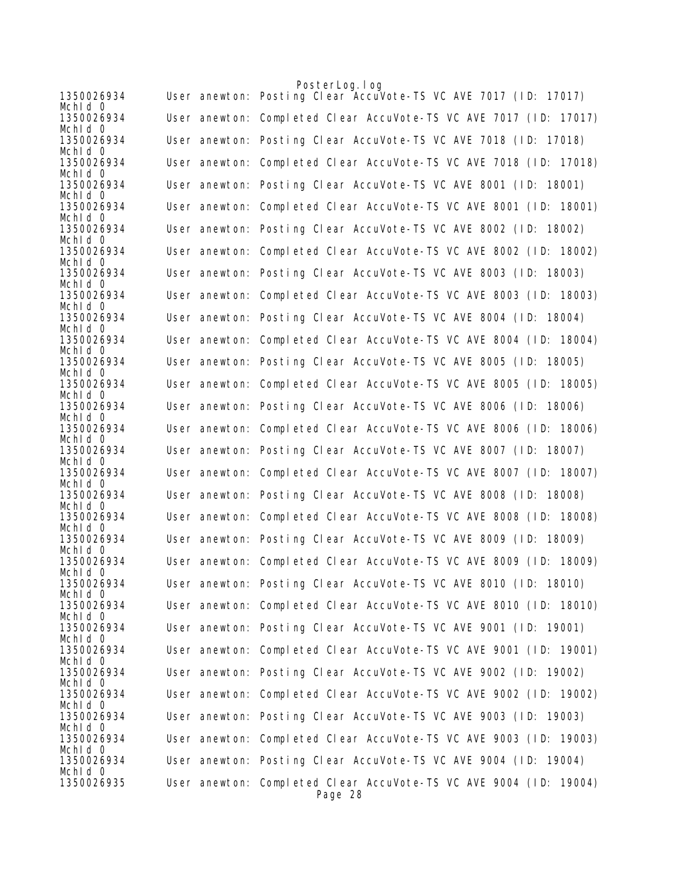|                       | PosterLog.log                                                                |
|-----------------------|------------------------------------------------------------------------------|
| 1350026934<br>Mchid 0 | User anewton: Posting Clear AccuVote-TS VC AVE 7017 (ID: 17017)              |
| 1350026934<br>Mchid 0 | User anewton: Completed Clear AccuVote-TS VC AVE 7017 (ID: 17017)            |
| 1350026934<br>Mchid 0 | User anewton: Posting Clear AccuVote-TS VC AVE 7018 (ID: 17018)              |
| 1350026934<br>Mchid 0 | User anewton: Completed Clear AccuVote-TS VC AVE 7018 (ID: 17018)            |
| 1350026934<br>Mchid 0 | User anewton: Posting Clear AccuVote-TS VC AVE 8001 (ID: 18001)              |
| 1350026934<br>Mchid 0 | User anewton: Completed Clear AccuVote-TS VC AVE 8001 (ID: 18001)            |
| 1350026934<br>Mchid 0 | User anewton: Posting Clear AccuVote-TS VC AVE 8002 (ID: 18002)              |
| 1350026934<br>Mchid 0 | User anewton: Completed Clear AccuVote-TS VC AVE 8002 (ID: 18002)            |
| 1350026934<br>Mchid 0 | User anewton: Posting Clear AccuVote-TS VC AVE 8003 (ID: 18003)              |
| 1350026934<br>Mchid 0 | User anewton: Completed Clear AccuVote-TS VC AVE 8003 (ID: 18003)            |
| 1350026934<br>Mchid 0 | User anewton: Posting Clear AccuVote-TS VC AVE 8004 (ID: 18004)              |
| 1350026934<br>Mchid 0 | User anewton: Completed Clear AccuVote-TS VC AVE 8004 (ID: 18004)            |
| 1350026934<br>Mchid 0 | User anewton: Posting Clear AccuVote-TS VC AVE 8005 (ID: 18005)              |
| 1350026934<br>Mchid 0 | User anewton: Completed Clear AccuVote-TS VC AVE 8005 (ID: 18005)            |
| 1350026934<br>Mchid 0 | User anewton: Posting Clear AccuVote-TS VC AVE 8006 (ID: 18006)              |
| 1350026934<br>Mchid 0 | User anewton: Completed Clear AccuVote-TS VC AVE 8006 (ID: 18006)            |
| 1350026934<br>Mchid 0 | User anewton: Posting Clear AccuVote-TS VC AVE 8007 (ID: 18007)              |
| 1350026934<br>Mchid 0 | User anewton: Completed Clear AccuVote-TS VC AVE 8007 (ID: 18007)            |
| 1350026934<br>Mchid 0 | User anewton: Posting Clear AccuVote-TS VC AVE 8008 (ID: 18008)              |
| 1350026934<br>Mchid 0 | User anewton: Completed Clear AccuVote-TS VC AVE 8008 (ID: 18008)            |
| 1350026934<br>Mchid 0 | User anewton: Posting Clear AccuVote-TS VC AVE 8009 (ID: 18009)              |
| 1350026934<br>Mchid 0 | User anewton: Completed Clear AccuVote-TS VC AVE 8009 (ID: 18009)            |
| 1350026934<br>Mchid 0 | User anewton: Posting Clear AccuVote-TS VC AVE 8010 (ID: 18010)              |
| 1350026934<br>Mchid O | User anewton: Completed Clear AccuVote-TS VC AVE 8010 (ID: 18010)            |
| 1350026934<br>Mchid 0 | User anewton: Posting Clear AccuVote-TS VC AVE 9001 (ID: 19001)              |
| 1350026934<br>Mchid 0 | User anewton: Completed Clear AccuVote-TS VC AVE 9001 (ID: 19001)            |
| 1350026934<br>Mchid 0 | User anewton: Posting Clear AccuVote-TS VC AVE 9002 (ID: 19002)              |
| 1350026934<br>Mchid 0 | User anewton: Completed Clear AccuVote-TS VC AVE 9002 (ID: 19002)            |
| 1350026934<br>Mchid 0 | User anewton: Posting Clear AccuVote-TS VC AVE 9003 (ID: 19003)              |
| 1350026934<br>Mchid 0 | User anewton: Completed Clear AccuVote-TS VC AVE 9003 (ID: 19003)            |
| 1350026934<br>Mchid 0 | User anewton: Posting Clear AccuVote-TS VC AVE 9004 (ID: 19004)              |
| 1350026935            | User anewton: Completed Clear AccuVote-TS VC AVE 9004 (ID: 19004)<br>Page 28 |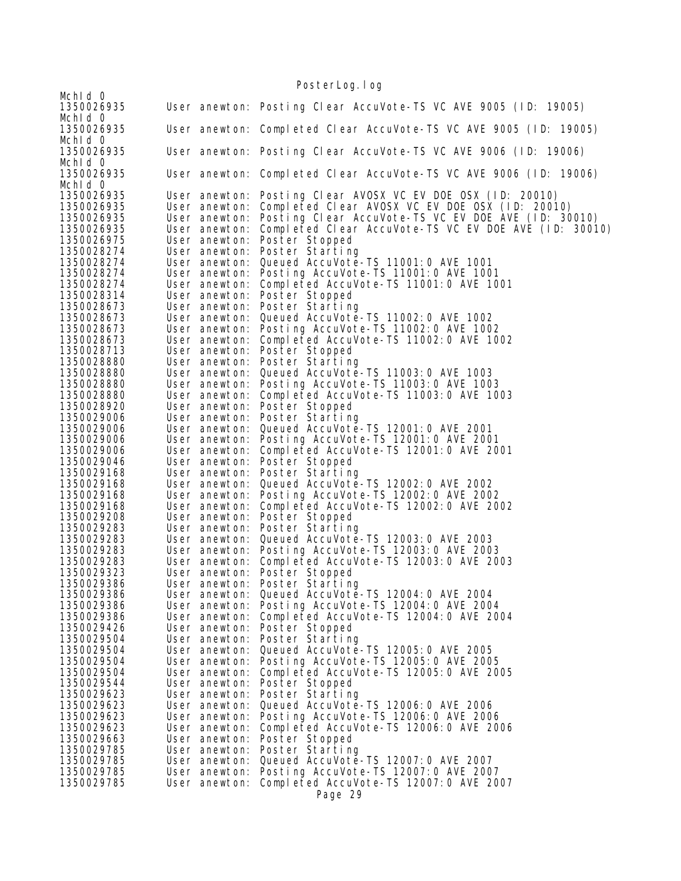Mchld 0<br>1350026935 User anewton: Posting Clear AccuVote-TS VC AVE 9005 (ID: 19005) Mchld 0<br>1350026935 User anewton: Completed Clear AccuVote-TS VC AVE 9005 (ID: 19005) Mchld 0<br>1350026935 User anewton: Posting Clear AccuVote-TS VC AVE 9006 (ID: 19006) Mchld 0<br>1350026935 User anewton: Completed Clear AccuVote-TS VC AVE 9006 (ID: 19006) Mch<sub>Id</sub> 0 1350026935 User anewton: Posting Clear AVOSX VC EV DOE OSX (ID: 20010) 1350026935 User anewton: Completed Clear AVOSX VC EV DOE OSX (ID: 20010) 1350026935 User anewton: Posting Clear AccuVote-TS VC EV DOE AVE (ID: 30010)<br>1350026935 User anewton: Completed Clear AccuVote-TS VC EV DOE AVE (ID: 3001<br>1350026975 User anewton: Poster Stopped Completed Clear AccuVote-TS VC EV DOE AVE (ID: 30010) 1350026975 User anewton: Poster Stopped 1350028274 User anewton: Poster Starting 1350028274 User anewton: Queued AccuVote-TS 11001:0 AVE 1001 User anewton: Posting AccuVote-TS 11001:0 AVE 1001 1350028274 User anewton: Completed AccuVote-TS 11001:0 AVE 1001 1350028314 User anewton: Poster Stopped 1350028673 User anewton: Poster Starting 1350028673 User anewton: Queued AccuVote-TS 11002:0 AVE 1002 1350028673 User anewton: Posting AccuVote-TS 11002:0 AVE 1002 1350028673 User anewton: Completed AccuVote-TS 11002:0 AVE 1002 1350028713 User anewton: Poster Stopped 1350028880 User anewton: Poster Starting 1350028880 User anewton: Queued AccuVote-TS 11003:0 AVE 1003 User anewton: Posting AccuVote-TS 11003:0 AVE 1003 1350028880 User anewton: Completed AccuVote-TS 11003:0 AVE 1003 1350028920 User anewton: Poster Stopped 1350029006 User anewton: Poster Starting 1350029006 User anewton: Queued AccuVote-TS 12001:0 AVE 2001 1350029006 User anewton: Posting AccuVote-TS 12001:0 AVE 2001 1350029006 User anewton: Completed AccuVote-TS 12001:0 AVE 2001 1350029046 User anewton: Poster Stopped 1350029168 User anewton: Poster Starting 1350029168 User anewton: Queued AccuVote-TS 12002:0 AVE 2002 1350029168 User anewton: Posting AccuVote-TS 12002:0 AVE 2002 1350029168 User anewton: Completed AccuVote-TS 12002:0 AVE 2002 1350029208 User anewton: Poster Stopped 1350029283 User anewton: Poster Starting 1350029283 User anewton: Queued AccuVote-TS 12003:0 AVE 2003 1350029283 User anewton: Posting AccuVote-TS 12003:0 AVE 2003 1350029283 User anewton: Completed AccuVote-TS 12003:0 AVE 2003 1350029323 User anewton: Poster Stopped User anewton: Poster Starting 1350029386 User anewton: Queued AccuVote-TS 12004:0 AVE 2004 1350029386 User anewton: Posting AccuVote-TS 12004:0 AVE 2004 1350029386 User anewton: Completed AccuVote-TS 12004:0 AVE 2004 1350029426 User anewton: Poster Stopped 1350029504 User anewton: Poster Starting 1350029504 User anewton: Queued AccuVote-TS 12005:0 AVE 2005 1350029504 User anewton: Posting AccuVote-TS 12005:0 AVE 2005 1350029504 User anewton: Completed AccuVote-TS 12005:0 AVE 2005 User anewton: Poster Stopped 1350029623 User anewton: Poster Starting 1350029623 User anewton: Queued AccuVote-TS 12006:0 AVE 2006 1350029623 User anewton: Posting AccuVote-TS 12006:0 AVE 2006 1350029623 User anewton: Completed AccuVote-TS 12006:0 AVE 2006 1350029663 User anewton: Poster Stopped 1350029785 User anewton: Poster Starting 1350029785 User anewton: Queued AccuVote-TS 12007:0 AVE 2007 1350029785 User anewton: Posting AccuVote-TS 12007:0 AVE 2007 User anewton: Completed AccuVote-TS 12007:0 AVE 2007 Page 29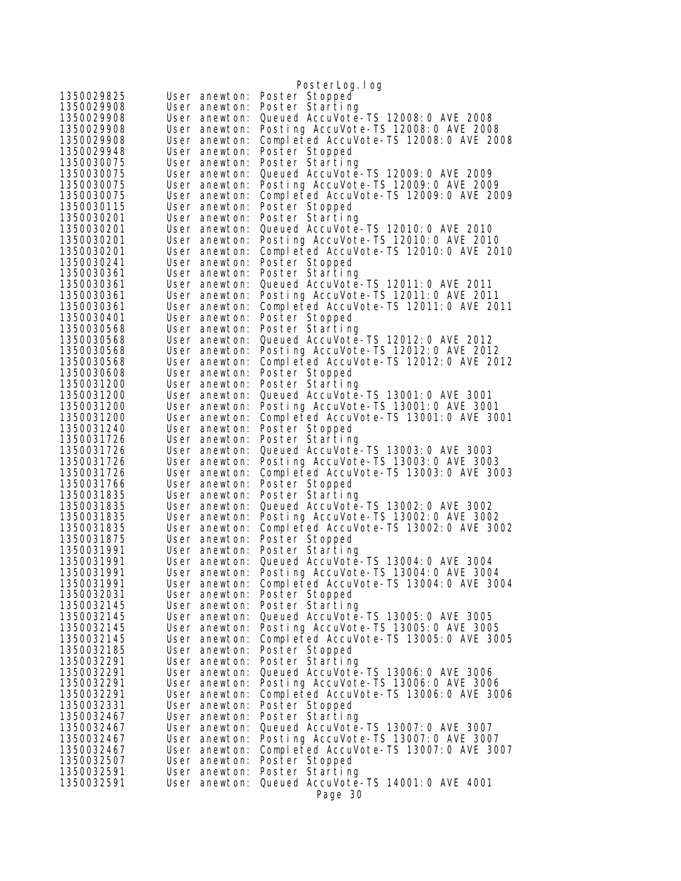|                          |                                | PosterLog. I og                                                                 |
|--------------------------|--------------------------------|---------------------------------------------------------------------------------|
| 1350029825               | User anewton:                  | Poster Stopped                                                                  |
| 1350029908               | User anewton:                  | Poster Starting                                                                 |
| 1350029908               | User anewton:                  | Queued AccuVote-TS 12008: 0 AVE 2008                                            |
| 1350029908               | User anewton:                  | Posting AccuVote-TS 12008: 0 AVE 2008                                           |
| 1350029908               | User anewton:                  | Completed AccuVote-TS 12008:0 AVE 2008                                          |
| 1350029948               | User anewton:                  | Poster Stopped                                                                  |
| 1350030075               | User anewton:                  | Poster Starting                                                                 |
| 1350030075               | User anewton:                  | Queued AccuVote-TS 12009: 0 AVE 2009                                            |
| 1350030075<br>1350030075 | User anewton:<br>User anewton: | Posting AccuVote-TS 12009: 0 AVE 2009<br>Completed AccuVote-TS 12009:0 AVE 2009 |
| 1350030115               | User anewton:                  | Poster Stopped                                                                  |
| 1350030201               | User anewton:                  | Poster Starting                                                                 |
| 1350030201               | User anewton:                  | Queued AccuVote-TS 12010: 0 AVE 2010                                            |
| 1350030201               | User anewton:                  | Posting AccuVote-TS 12010: 0 AVE 2010                                           |
| 1350030201               | User anewton:                  | Completed AccuVote-TS 12010:0 AVE 2010                                          |
| 1350030241               | User anewton:                  | Poster Stopped                                                                  |
| 1350030361               | User anewton:                  | Poster Starting<br>Queued AccuVote-TS 12011: 0 AVE 2011                         |
| 1350030361<br>1350030361 | User anewton:<br>User anewton: | Posting AccuVote-TS 12011:0 AVE 2011                                            |
| 1350030361               | User anewton:                  | Completed AccuVote-TS 12011:0 AVE 2011                                          |
| 1350030401               | User anewton:                  | Poster Stopped                                                                  |
| 1350030568               | User anewton:                  | Poster Starting                                                                 |
| 1350030568               | User anewton:                  | Queued AccuVote-TS 12012:0 AVE 2012                                             |
| 1350030568               | User anewton:                  | Posting AccuVote-TS 12012: 0 AVE 2012                                           |
| 1350030568               | User anewton:                  | Completed AccuVote-TS 12012:0 AVE 2012                                          |
| 1350030608<br>1350031200 | User anewton:                  | Poster Stopped                                                                  |
| 1350031200               | User anewton:<br>User anewton: | Poster Starting<br>Queued AccuVote-TS 13001:0 AVE 3001                          |
| 1350031200               | User anewton:                  | Posting AccuVote-TS 13001:0 AVE 3001                                            |
| 1350031200               | User anewton:                  | Completed AccuVote-TS 13001:0 AVE 3001                                          |
| 1350031240               | User anewton:                  | Poster Stopped                                                                  |
| 1350031726               | User anewton:                  | Poster Starting                                                                 |
| 1350031726               | User anewton:                  | Queued AccuVote-TS 13003: 0 AVE 3003                                            |
| 1350031726               | User anewton:                  | Posting AccuVote-TS 13003:0 AVE 3003                                            |
| 1350031726<br>1350031766 | User anewton:<br>User anewton: | Completed AccuVote-TS 13003:0 AVE 3003<br>Poster Stopped                        |
| 1350031835               | User anewton:                  | Poster Starting                                                                 |
| 1350031835               | User anewton:                  | Queued AccuVote-TS 13002: 0 AVE 3002                                            |
| 1350031835               | User anewton:                  | Posting AccuVote-TS 13002:0 AVE 3002                                            |
| 1350031835               | User anewton:                  | Completed AccuVote-TS 13002:0 AVE 3002                                          |
| 1350031875               | User anewton:                  | Poster Stopped                                                                  |
| 1350031991               | User anewton:                  | Poster Starting                                                                 |
| 1350031991               | User anewton:                  | Queued AccuVote-TS 13004: 0 AVE 3004                                            |
| 1350031991<br>1350031991 | User anewton:<br>User anewton: | Posting AccuVote-TS 13004:0 AVE 3004<br>Completed AccuVote-TS 13004:0 AVE 3004  |
| 1350032031               | User anewton:                  | Poster Stopped                                                                  |
| 1350032145               | User anewton:                  | Poster Starting                                                                 |
| 1350032145               | User anewton:                  | Queued AccuVote-TS 13005:0 AVE 3005                                             |
| 1350032145               | User anewton:                  | Posting AccuVote-TS 13005:0 AVE 3005                                            |
| 1350032145               | User anewton:                  | Completed AccuVote-TS 13005:0 AVE 3005                                          |
| 1350032185               | User anewton:                  | Poster Stopped                                                                  |
| 1350032291<br>1350032291 | User anewton:<br>User anewton: | Poster Starting<br>Queued AccuVote-TS 13006: 0 AVE 3006                         |
| 1350032291               | User anewton:                  | Posting AccuVote-TS 13006:0 AVE 3006                                            |
| 1350032291               | User anewton:                  | Completed AccuVote-TS 13006:0 AVE 3006                                          |
| 1350032331               | User anewton:                  | Poster Stopped                                                                  |
| 1350032467               | User anewton:                  | Poster Starting                                                                 |
| 1350032467               | User anewton:                  | Queued AccuVote-TS 13007: 0 AVE 3007                                            |
| 1350032467               | User anewton:                  | Posting AccuVote-TS 13007:0 AVE 3007                                            |
| 1350032467               | User anewton:                  | Completed AccuVote-TS 13007:0 AVE 3007                                          |
| 1350032507<br>1350032591 | User anewton:<br>User anewton: | Poster Stopped<br>Poster Starting                                               |
| 1350032591               | User anewton:                  | Queued AccuVote-TS 14001:0 AVE 4001                                             |
|                          |                                | Page 30                                                                         |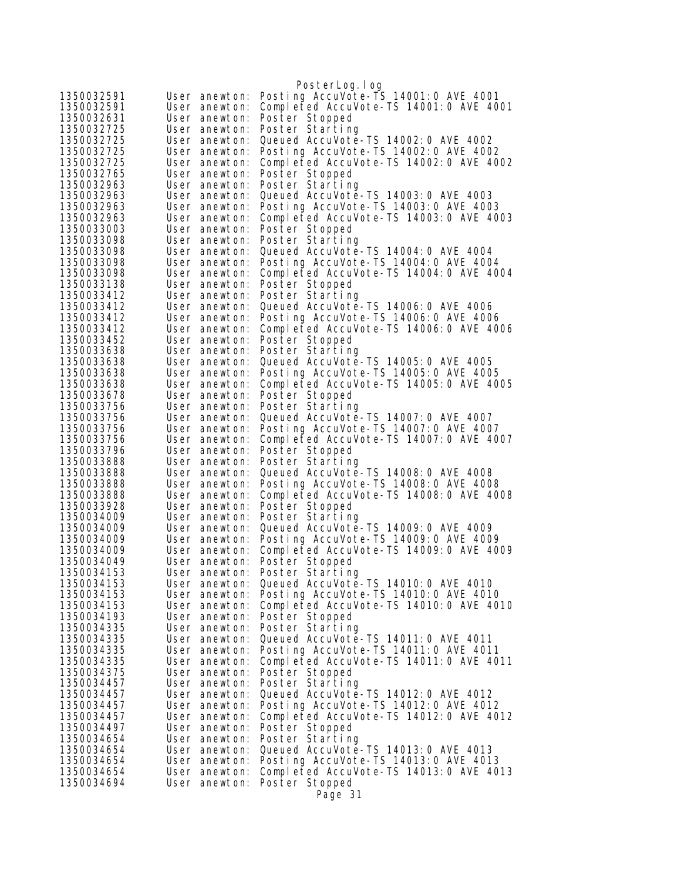|                          |                                | PosterLog. I og                                                                |
|--------------------------|--------------------------------|--------------------------------------------------------------------------------|
| 1350032591               | User anewton:                  | Posting AccuVote-TS 14001:0 AVE 4001                                           |
| 1350032591               | User anewton:                  | Completed AccuVote-TS 14001:0 AVE 4001                                         |
| 1350032631               | User anewton:                  | Poster Stopped                                                                 |
| 1350032725               | User anewton:                  | Poster Starting                                                                |
| 1350032725               | User anewton:                  | Queued AccuVote-TS 14002:0 AVE 4002                                            |
| 1350032725               | User anewton:                  | Posting AccuVote-TS 14002:0 AVE 4002                                           |
| 1350032725               | User anewton:                  | Completed AccuVote-TS 14002:0 AVE 4002                                         |
| 1350032765               | User anewton:                  | Poster Stopped                                                                 |
| 1350032963               | User anewton:                  | Poster Starting                                                                |
| 1350032963               | User anewton:                  | Queued AccuVote-TS 14003:0 AVE 4003                                            |
| 1350032963               | User anewton:                  | Posting AccuVote-TS 14003:0 AVE 4003                                           |
| 1350032963               | User anewton:                  | Completed AccuVote-TS 14003:0 AVE 4003                                         |
| 1350033003<br>1350033098 | User anewton:<br>User anewton: | Poster Stopped<br>Poster Starting                                              |
| 1350033098               | User anewton:                  | Queued AccuVote-TS 14004: 0 AVE 4004                                           |
| 1350033098               | User anewton:                  | Posting AccuVote-TS 14004: 0 AVE 4004                                          |
| 1350033098               | User anewton:                  | Completed AccuVote-TS 14004:0 AVE 4004                                         |
| 1350033138               | User anewton:                  | Poster Stopped                                                                 |
| 1350033412               | User anewton:                  | Poster Starting                                                                |
| 1350033412               | User anewton:                  | Queued AccuVote-TS 14006: 0 AVE 4006                                           |
| 1350033412               | User anewton:                  | Posting AccuVote-TS 14006:0 AVE 4006                                           |
| 1350033412               | User anewton:                  | Completed AccuVote-TS 14006:0 AVE 4006                                         |
| 1350033452               | User anewton:                  | Poster Stopped                                                                 |
| 1350033638               | User anewton:                  | Poster Starting                                                                |
| 1350033638               | User anewton:                  | Queued AccuVote-TS 14005: 0 AVE 4005                                           |
| 1350033638               | User anewton:                  | Posting AccuVote-TS 14005:0 AVE 4005                                           |
| 1350033638               | User anewton:                  | Completed AccuVote-TS 14005:0 AVE 4005                                         |
| 1350033678               | User anewton:                  | Poster Stopped                                                                 |
| 1350033756               | User anewton:                  | Poster Starting                                                                |
| 1350033756               | User anewton:                  | Queued AccuVote-TS 14007: 0 AVE 4007                                           |
| 1350033756<br>1350033756 | User anewton:<br>User anewton: | Posting AccuVote-TS 14007:0 AVE 4007<br>Completed AccuVote-TS 14007:0 AVE 4007 |
| 1350033796               | User anewton:                  | Poster Stopped                                                                 |
| 1350033888               | User anewton:                  | Poster Starting                                                                |
| 1350033888               | User anewton:                  | Queued AccuVote-TS 14008: 0 AVE 4008                                           |
| 1350033888               | User anewton:                  | Posting AccuVote-TS 14008:0 AVE 4008                                           |
| 1350033888               | User anewton:                  | Completed AccuVote-TS 14008:0 AVE 4008                                         |
| 1350033928               | User anewton:                  | Poster Stopped                                                                 |
| 1350034009               | User anewton:                  | Poster Starting                                                                |
| 1350034009               | User anewton:                  | Queued AccuVote-TS 14009: 0 AVE 4009                                           |
| 1350034009               | User anewton:                  | Posting AccuVote-TS 14009:0 AVE 4009                                           |
| 1350034009               | User anewton:                  | Completed AccuVote-TS 14009:0 AVE 4009                                         |
| 1350034049               | User anewton:                  | Poster Stopped                                                                 |
| 1350034153               | User anewton:                  | Poster Starting                                                                |
| 1350034153               | User anewton:                  | Queued AccuVote-TS 14010: 0 AVE 4010                                           |
| 1350034153               | User anewton:                  | Posting AccuVote-TS 14010:0 AVE 4010                                           |
| 1350034153               | User anewton:                  | Completed AccuVote-TS 14010:0 AVE 4010                                         |
| 1350034193<br>1350034335 | User anewton:<br>User anewton: | Poster Stopped<br>Poster Starting                                              |
| 1350034335               | User anewton:                  | Queued AccuVote-TS 14011:0 AVE 4011                                            |
| 1350034335               | User anewton:                  | Posting AccuVote-TS 14011:0 AVE 4011                                           |
| 1350034335               | User anewton:                  | Completed AccuVote-TS 14011:0 AVE 4011                                         |
| 1350034375               | User anewton:                  | Poster Stopped                                                                 |
| 1350034457               | User anewton:                  | Poster Starting                                                                |
| 1350034457               | User anewton:                  | Queued AccuVote-TS 14012: 0 AVE 4012                                           |
| 1350034457               | User anewton:                  | Posting AccuVote-TS 14012:0 AVE 4012                                           |
| 1350034457               | User anewton:                  | Completed AccuVote-TS 14012:0 AVE 4012                                         |
| 1350034497               | User anewton:                  | Poster Stopped                                                                 |
| 1350034654               | User anewton:                  | Poster Starting                                                                |
| 1350034654               | User anewton:                  | Queued AccuVote-TS 14013:0 AVE 4013                                            |
| 1350034654               | User anewton:                  | Posting AccuVote-TS 14013:0 AVE 4013                                           |
| 1350034654               | User anewton:                  | Completed AccuVote-TS 14013:0 AVE 4013                                         |
| 1350034694               | User anewton:                  | Poster Stopped                                                                 |
|                          |                                | Page 31                                                                        |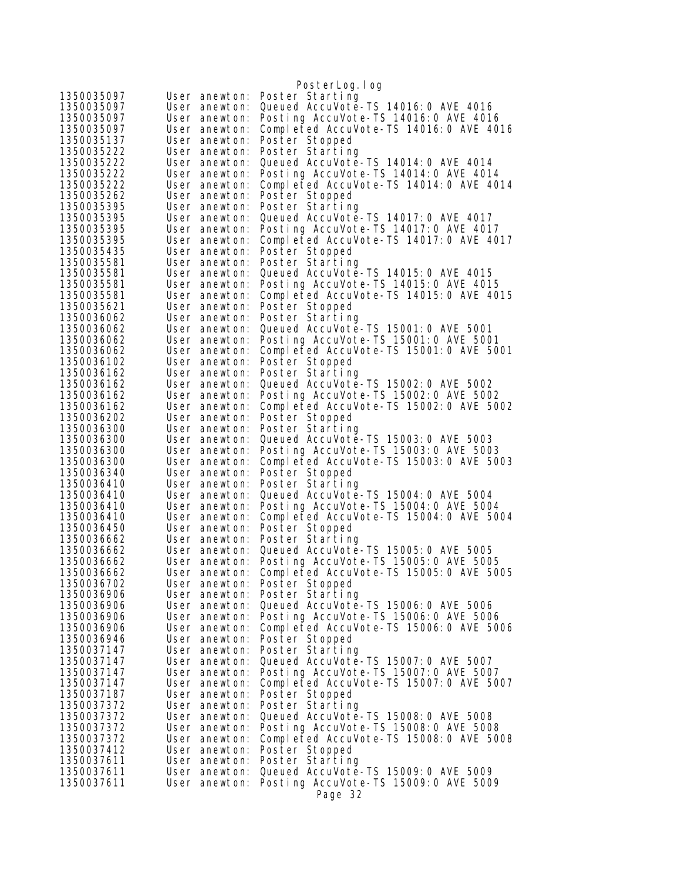|                          |                                | PosterLog.log                                                                    |
|--------------------------|--------------------------------|----------------------------------------------------------------------------------|
| 1350035097               | User anewton:                  | Poster Starting                                                                  |
| 1350035097               | User anewton:                  | Queued AccuVote-TS 14016: 0 AVE 4016                                             |
| 1350035097               | User anewton:                  | Posting AccuVote-TS 14016:0 AVE 4016                                             |
| 1350035097               | User anewton:                  | Completed AccuVote-TS 14016:0 AVE 4016                                           |
| 1350035137               | User anewton:                  | Poster Stopped                                                                   |
| 1350035222               | User anewton:                  | Poster Starting                                                                  |
| 1350035222               | User anewton:                  | Queued AccuVote-TS 14014: 0 AVE 4014                                             |
| 1350035222<br>1350035222 | User anewton:<br>User anewton: | Posting AccuVote-TS 14014: 0 AVE 4014<br>Completed AccuVote-TS 14014: 0 AVE 4014 |
| 1350035262               | User anewton:                  | Poster Stopped                                                                   |
| 1350035395               | User anewton:                  | Poster Starting                                                                  |
| 1350035395               | User anewton:                  | Queued AccuVote-TS 14017: 0 AVE 4017                                             |
| 1350035395               | User anewton:                  | Posting AccuVote-TS 14017:0 AVE 4017                                             |
| 1350035395               | User anewton:                  | Completed AccuVote-TS 14017:0 AVE 4017                                           |
| 1350035435               | User anewton:                  | Poster Stopped                                                                   |
| 1350035581               | User anewton:                  | Poster Starting                                                                  |
| 1350035581               | User anewton:                  | Queued AccuVote-TS 14015: 0 AVE 4015                                             |
| 1350035581<br>1350035581 | User anewton:<br>User anewton: | Posting AccuVote-TS 14015:0 AVE 4015<br>Completed AccuVote-TS 14015:0 AVE 4015   |
| 1350035621               | User anewton:                  | Poster Stopped                                                                   |
| 1350036062               | User anewton:                  | Poster Starting                                                                  |
| 1350036062               | User anewton:                  | Queued AccuVote-TS 15001:0 AVE 5001                                              |
| 1350036062               | User anewton:                  | Posting AccuVote-TS 15001:0 AVE 5001                                             |
| 1350036062               | User anewton:                  | Completed AccuVote-TS 15001:0 AVE 5001                                           |
| 1350036102               | User anewton:                  | Poster Stopped                                                                   |
| 1350036162               | User anewton:                  | Poster Starting                                                                  |
| 1350036162               | User anewton:                  | Queued AccuVote-TS 15002: 0 AVE 5002                                             |
| 1350036162               | User anewton:                  | Posting AccuVote-TS 15002:0 AVE 5002                                             |
| 1350036162<br>1350036202 | User anewton:<br>User anewton: | Completed AccuVote-TS 15002:0 AVE 5002<br>Poster Stopped                         |
| 1350036300               | User anewton:                  | Poster Starting                                                                  |
| 1350036300               | User anewton:                  | Queued AccuVote-TS 15003: 0 AVE 5003                                             |
| 1350036300               | User anewton:                  | Posting AccuVote-TS 15003:0 AVE 5003                                             |
| 1350036300               | User anewton:                  | Completed AccuVote-TS 15003:0 AVE 5003                                           |
| 1350036340               | User anewton:                  | Poster Stopped                                                                   |
| 1350036410               | User anewton:                  | Poster Starting                                                                  |
| 1350036410               | User anewton:                  | Queued AccuVote-TS 15004: 0 AVE 5004<br>Posting AccuVote-TS 15004: 0 AVE 5004    |
| 1350036410<br>1350036410 | User anewton:<br>User anewton: | Completed AccuVote-TS 15004:0 AVE 5004                                           |
| 1350036450               | User anewton:                  | Poster Stopped                                                                   |
| 1350036662               | User anewton:                  | Poster Starting                                                                  |
| 1350036662               | User anewton:                  | Queued AccuVote-TS 15005: 0 AVE 5005                                             |
| 1350036662               | User anewton:                  | Posting AccuVote-TS 15005:0 AVE 5005                                             |
| 1350036662               | User anewton:                  | Completed AccuVote-TS 15005:0 AVE 5005                                           |
| 1350036702               | User anewton:                  | Poster Stopped                                                                   |
| 1350036906<br>1350036906 | User anewton:                  | Poster Starting                                                                  |
| 1350036906               | User anewton:<br>User anewton: | Queued AccuVote-TS 15006: 0 AVE 5006<br>Posting AccuVote-TS 15006:0 AVE 5006     |
| 1350036906               | User anewton:                  | Completed AccuVote-TS 15006:0 AVE 5006                                           |
| 1350036946               | User anewton:                  | Poster Stopped                                                                   |
| 1350037147               | User anewton:                  | Poster Starting                                                                  |
| 1350037147               | User anewton:                  | Queued AccuVote-TS 15007: 0 AVE 5007                                             |
| 1350037147               | User anewton:                  | Posting AccuVote-TS 15007:0 AVE 5007                                             |
| 1350037147               | User anewton:                  | Completed AccuVote-TS 15007:0 AVE 5007                                           |
| 1350037187               | User anewton:                  | Poster Stopped                                                                   |
| 1350037372<br>1350037372 | User anewton:<br>User anewton: | Poster Starting                                                                  |
| 1350037372               | User anewton:                  | Queued AccuVote-TS 15008:0 AVE 5008<br>Posting AccuVote-TS 15008:0 AVE 5008      |
| 1350037372               | User anewton:                  | Completed AccuVote-TS 15008:0 AVE 5008                                           |
| 1350037412               | User anewton:                  | Poster Stopped                                                                   |
| 1350037611               | User anewton:                  | Poster Starting                                                                  |
| 1350037611               | User anewton:                  | Queued AccuVote-TS 15009: 0 AVE 5009                                             |
| 1350037611               | User anewton:                  | Posting AccuVote-TS 15009: 0 AVE 5009                                            |
|                          |                                | Page 32                                                                          |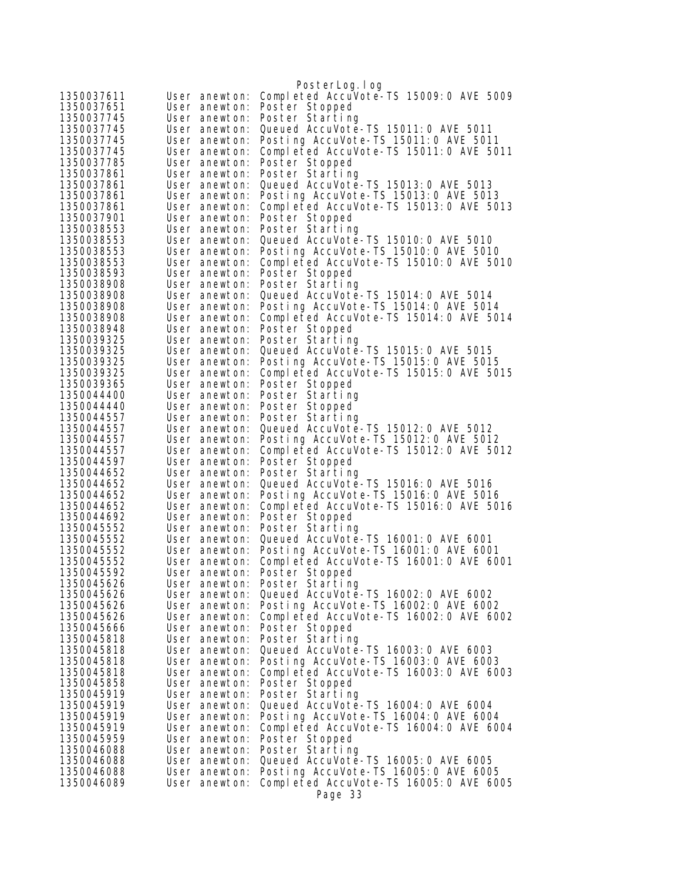|                          |                                | PosterLog.log                                                                  |
|--------------------------|--------------------------------|--------------------------------------------------------------------------------|
| 1350037611               | User anewton:                  | Completed AccuVote-TS 15009:0 AVE 5009                                         |
| 1350037651               | User anewton:                  | Poster Stopped                                                                 |
| 1350037745               | User anewton:                  | Poster Starting                                                                |
| 1350037745               | User anewton:                  | Queued AccuVote-TS 15011:0 AVE 5011                                            |
| 1350037745               | User anewton:                  | Posting AccuVote-TS 15011:0 AVE 5011                                           |
| 1350037745               | User anewton:                  | Completed AccuVote-TS 15011:0 AVE 5011                                         |
| 1350037785               | User anewton:                  | Poster Stopped                                                                 |
| 1350037861               | User anewton:                  | Poster Starting                                                                |
| 1350037861               | User anewton:                  | Queued AccuVote-TS 15013:0 AVE 5013                                            |
| 1350037861<br>1350037861 | User anewton:<br>User anewton: | Posting AccuVote-TS 15013:0 AVE 5013<br>Completed AccuVote-TS 15013:0 AVE 5013 |
| 1350037901               | User anewton:                  | Poster Stopped                                                                 |
| 1350038553               | User anewton:                  | Poster Starting                                                                |
| 1350038553               | User anewton:                  | Queued AccuVote-TS 15010: 0 AVE 5010                                           |
| 1350038553               | User anewton:                  | Posting AccuVote-TS 15010: 0 AVE 5010                                          |
| 1350038553               | User anewton:                  | Completed AccuVote-TS 15010:0 AVE 5010                                         |
| 1350038593               | User anewton:                  | Poster Stopped                                                                 |
| 1350038908               | User anewton:                  | Poster Starting                                                                |
| 1350038908               | User anewton:                  | Queued AccuVote-TS 15014: 0 AVE 5014                                           |
| 1350038908               | User anewton:                  | Posting AccuVote-TS 15014:0 AVE 5014                                           |
| 1350038908               | User anewton:                  | Completed AccuVote-TS 15014: 0 AVE 5014                                        |
| 1350038948               | User anewton:                  | Poster Stopped                                                                 |
| 1350039325<br>1350039325 | User anewton:                  | Poster Starting<br>Queued AccuVote-TS 15015: 0 AVE 5015                        |
| 1350039325               | User anewton:<br>User anewton: | Posting AccuVote-TS 15015:0 AVE 5015                                           |
| 1350039325               | User anewton:                  | Completed AccuVote-TS 15015:0 AVE 5015                                         |
| 1350039365               | User anewton:                  | Poster Stopped                                                                 |
| 1350044400               | User anewton:                  | Poster Starting                                                                |
| 1350044440               | User anewton:                  | Poster Stopped                                                                 |
| 1350044557               | User anewton:                  | Poster Starting                                                                |
| 1350044557               | User anewton:                  | Queued AccuVote-TS 15012: 0 AVE 5012                                           |
| 1350044557               | User anewton:                  | Posting AccuVote-TS 15012: 0 AVE 5012                                          |
| 1350044557               | User anewton:                  | Completed AccuVote-TS 15012:0 AVE 5012                                         |
| 1350044597<br>1350044652 | User anewton:<br>User anewton: | Poster Stopped<br>Poster Starting                                              |
| 1350044652               | User anewton:                  | Queued AccuVote-TS 15016:0 AVE 5016                                            |
| 1350044652               | User anewton:                  | Posting AccuVote-TS 15016:0 AVE 5016                                           |
| 1350044652               | User anewton:                  | Completed AccuVote-TS 15016:0 AVE 5016                                         |
| 1350044692               | User anewton:                  | Poster Stopped                                                                 |
| 1350045552               | User anewton:                  | Poster Starting                                                                |
| 1350045552               | User anewton:                  | Queued AccuVote-TS 16001: 0 AVE 6001                                           |
| 1350045552               | User anewton:                  | Posting AccuVote-TS 16001:0 AVE 6001                                           |
| 1350045552               | User anewton:                  | Completed AccuVote-TS 16001:0 AVE 6001                                         |
| 1350045592<br>1350045626 | User anewton:                  | User anewton: Poster Stopped<br>Poster Starting                                |
| 1350045626               | User anewton:                  | Queued AccuVote-TS 16002: 0 AVE 6002                                           |
| 1350045626               | User anewton:                  | Posting AccuVote-TS 16002:0 AVE 6002                                           |
| 1350045626               | User anewton:                  | Completed AccuVote-TS 16002:0 AVE 6002                                         |
| 1350045666               | User anewton:                  | Poster Stopped                                                                 |
| 1350045818               | User anewton:                  | Poster Starting                                                                |
| 1350045818               | User anewton:                  | Queued AccuVote-TS 16003: 0 AVE 6003                                           |
| 1350045818               | User anewton:                  | Posting AccuVote-TS 16003:0 AVE 6003                                           |
| 1350045818               | User anewton:                  | Completed AccuVote-TS 16003:0 AVE 6003                                         |
| 1350045858               | User anewton:                  | Poster Stopped                                                                 |
| 1350045919<br>1350045919 | User anewton:<br>User anewton: | Poster Starting<br>Queued AccuVote-TS 16004: 0 AVE 6004                        |
| 1350045919               | User anewton:                  | Posting AccuVote-TS 16004: 0 AVE 6004                                          |
| 1350045919               | User anewton:                  | Completed AccuVote-TS 16004:0 AVE 6004                                         |
| 1350045959               | User anewton:                  | Poster Stopped                                                                 |
| 1350046088               | User anewton:                  | Poster Starting                                                                |
| 1350046088               | User anewton:                  | Queued AccuVote-TS 16005: 0 AVE 6005                                           |
| 1350046088               | User anewton:                  | Posting AccuVote-TS 16005: 0 AVE 6005                                          |
| 1350046089               | User anewton:                  | Completed AccuVote-TS 16005:0 AVE 6005                                         |
|                          |                                | Page 33                                                                        |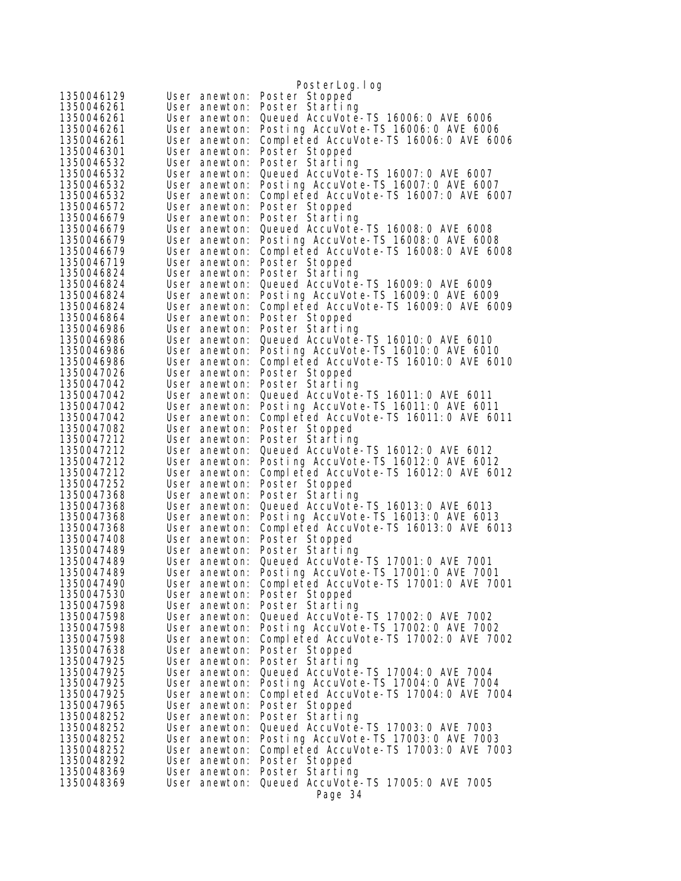|                          |                                | PosterLog.log                                                                |
|--------------------------|--------------------------------|------------------------------------------------------------------------------|
| 1350046129               | User anewton:                  | Poster Stopped                                                               |
| 1350046261               | User anewton:                  | Poster Starting                                                              |
| 1350046261               | User anewton:                  | Queued AccuVote-TS 16006: 0 AVE 6006                                         |
| 1350046261               | User anewton:                  | Posting AccuVote-TS 16006: 0 AVE 6006                                        |
| 1350046261               | User anewton:                  | Completed AccuVote-TS 16006:0 AVE 6006                                       |
| 1350046301               | User anewton:                  | Poster Stopped                                                               |
| 1350046532               | User anewton:                  | Poster Starting                                                              |
| 1350046532               | User anewton:                  | Queued AccuVote-TS 16007: 0 AVE 6007                                         |
| 1350046532               | User anewton:                  | Posting AccuVote-TS 16007:0 AVE 6007                                         |
| 1350046532               | User anewton:                  | Completed AccuVote-TS 16007:0 AVE 6007                                       |
| 1350046572               | User anewton:                  | Poster Stopped                                                               |
| 1350046679               | User anewton:                  | Poster Starting                                                              |
| 1350046679               | User anewton:                  | Queued AccuVote-TS 16008: 0 AVE 6008                                         |
| 1350046679               | User anewton:                  | Posting AccuVote-TS 16008: 0 AVE 6008                                        |
| 1350046679               | User anewton:                  | Completed AccuVote-TS 16008:0 AVE 6008                                       |
| 1350046719<br>1350046824 | User anewton:<br>User anewton: | Poster Stopped                                                               |
| 1350046824               | User anewton:                  | Poster Starting<br>Queued AccuVote-TS 16009: 0 AVE 6009                      |
| 1350046824               | User anewton:                  | Posting AccuVote-TS 16009: 0 AVE 6009                                        |
| 1350046824               | User anewton:                  | Completed AccuVote-TS 16009:0 AVE 6009                                       |
| 1350046864               | User anewton:                  | Poster Stopped                                                               |
| 1350046986               | User anewton:                  | Poster Starting                                                              |
| 1350046986               | User anewton:                  | Queued AccuVote-TS 16010: 0 AVE 6010                                         |
| 1350046986               | User anewton:                  | Posting AccuVote-TS 16010: 0 AVE 6010                                        |
| 1350046986               | User anewton:                  | Completed AccuVote-TS 16010: 0 AVE 6010                                      |
| 1350047026               | User anewton:                  | Poster Stopped                                                               |
| 1350047042               | User anewton:                  | Poster Starting                                                              |
| 1350047042               | User anewton:                  | Queued AccuVote-TS 16011:0 AVE 6011                                          |
| 1350047042               | User anewton:                  | Posting AccuVote-TS 16011:0 AVE 6011                                         |
| 1350047042               | User anewton:                  | Completed AccuVote-TS 16011:0 AVE 6011                                       |
| 1350047082               | User anewton:                  | Poster Stopped                                                               |
| 1350047212               | User anewton:                  | Poster Starting                                                              |
| 1350047212               | User anewton:                  | Queued AccuVote-TS 16012: 0 AVE 6012                                         |
| 1350047212               | User anewton:                  | Posting AccuVote-TS 16012:0 AVE 6012                                         |
| 1350047212<br>1350047252 | User anewton:<br>User anewton: | Completed AccuVote-TS 16012:0 AVE 6012<br>Poster Stopped                     |
| 1350047368               | User anewton:                  | Poster Starting                                                              |
| 1350047368               | User anewton:                  | Queued AccuVote-TS 16013: 0 AVE 6013                                         |
| 1350047368               | User anewton:                  | Posting AccuVote-TS 16013:0 AVE 6013                                         |
| 1350047368               | User anewton:                  | Completed AccuVote-TS 16013:0 AVE 6013                                       |
| 1350047408               | User anewton:                  | Poster Stopped                                                               |
| 1350047489               | User anewton:                  | Poster Starting                                                              |
| 1350047489               | User anewton:                  | Queued AccuVote-TS 17001:0 AVE 7001                                          |
| 1350047489               | User anewton:                  | Posting AccuVote-TS 17001:0 AVE 7001                                         |
| 1350047490               | User anewton:                  | Completed AccuVote-TS 17001:0 AVE 7001                                       |
| 1350047530               | User anewton:                  | Poster Stopped                                                               |
| 1350047598               | User anewton:                  | Poster Starting                                                              |
| 1350047598               | User anewton:                  | Queued AccuVote-TS 17002: 0 AVE 7002                                         |
| 1350047598               | User anewton:                  | Posting AccuVote-TS 17002:0 AVE 7002                                         |
| 1350047598               | User anewton:                  | Completed AccuVote-TS 17002:0 AVE 7002                                       |
| 1350047638               | User anewton:                  | Poster Stopped                                                               |
| 1350047925               | User anewton:                  | Poster Starting                                                              |
| 1350047925<br>1350047925 | User anewton:<br>User anewton: | Queued AccuVote-TS 17004: 0 AVE 7004<br>Posting AccuVote-TS 17004:0 AVE 7004 |
| 1350047925               | User anewton:                  | Completed AccuVote-TS 17004:0 AVE 7004                                       |
| 1350047965               | User anewton:                  | Poster Stopped                                                               |
| 1350048252               | User anewton:                  | Poster Starting                                                              |
| 1350048252               | User anewton:                  | Queued AccuVote-TS 17003: 0 AVE 7003                                         |
| 1350048252               | User anewton:                  | Posting AccuVote-TS 17003:0 AVE 7003                                         |
| 1350048252               | User anewton:                  | Completed AccuVote-TS 17003:0 AVE 7003                                       |
| 1350048292               | User anewton:                  | Poster Stopped                                                               |
| 1350048369               | User anewton:                  | Poster Starting                                                              |
| 1350048369               | User anewton:                  | Queued AccuVote-TS 17005:0 AVE 7005                                          |
|                          |                                | Page 34                                                                      |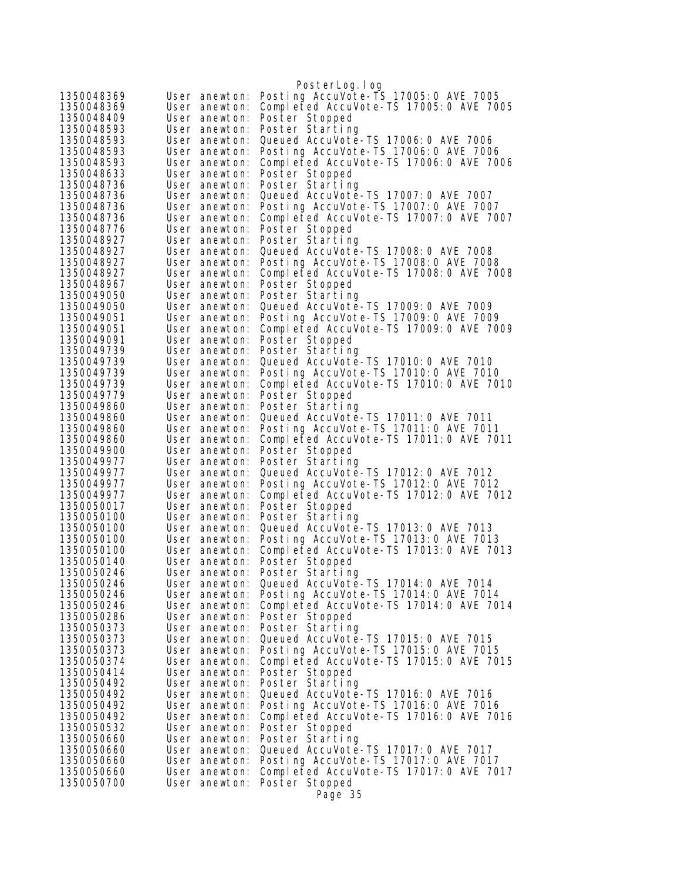|                          |                                | PosterLog.log                                                                  |
|--------------------------|--------------------------------|--------------------------------------------------------------------------------|
| 1350048369               | User anewton:                  | Posting AccuVote-TS 17005:0 AVE 7005                                           |
| 1350048369               | User anewton:                  | Completed AccuVote-TS 17005:0 AVE 7005                                         |
| 1350048409               | User anewton:                  | Poster Stopped                                                                 |
| 1350048593               | User anewton:                  | Poster Starting                                                                |
| 1350048593               | User anewton:                  | Queued AccuVote-TS 17006: 0 AVE 7006                                           |
| 1350048593               | User anewton:                  | Posting AccuVote-TS 17006: 0 AVE 7006                                          |
| 1350048593               | User anewton:                  | Completed AccuVote-TS 17006:0 AVE 7006                                         |
| 1350048633               | User anewton:                  | Poster Stopped                                                                 |
| 1350048736<br>1350048736 | User anewton:<br>User anewton: | Poster Starting<br>Queued AccuVote-TS 17007: 0 AVE 7007                        |
| 1350048736               | User anewton:                  | Posting AccuVote-TS 17007:0 AVE 7007                                           |
| 1350048736               | User anewton:                  | Completed AccuVote-TS 17007:0 AVE 7007                                         |
| 1350048776               | User anewton:                  | Poster Stopped                                                                 |
| 1350048927               | User anewton:                  | Poster Starting                                                                |
| 1350048927               | User anewton:                  | Queued AccuVote-TS 17008: 0 AVE 7008                                           |
| 1350048927               | User anewton:                  | Posting AccuVote-TS 17008:0 AVE 7008                                           |
| 1350048927               | User anewton:                  | Completed AccuVote-TS 17008:0 AVE 7008                                         |
| 1350048967               | User anewton:                  | Poster Stopped                                                                 |
| 1350049050               | User anewton:                  | Poster Starting                                                                |
| 1350049050               | User anewton:                  | Queued AccuVote-TS 17009: 0 AVE 7009                                           |
| 1350049051               | User anewton:                  | Posting AccuVote-TS 17009: 0 AVE 7009                                          |
| 1350049051               | User anewton:                  | Completed AccuVote-TS 17009:0 AVE 7009                                         |
| 1350049091               | User anewton:                  | Poster Stopped                                                                 |
| 1350049739<br>1350049739 | User anewton:<br>User anewton: | Poster Starting<br>Queued AccuVote-TS 17010: 0 AVE 7010                        |
| 1350049739               | User anewton:                  | Posting AccuVote-TS 17010:0 AVE 7010                                           |
| 1350049739               | User anewton:                  | Completed AccuVote-TS 17010: 0 AVE 7010                                        |
| 1350049779               | User anewton:                  | Poster Stopped                                                                 |
| 1350049860               | User anewton:                  | Poster Starting                                                                |
| 1350049860               | User anewton:                  | Queued AccuVote-TS 17011:0 AVE 7011                                            |
| 1350049860               | User anewton:                  | Posting AccuVote-TS 17011:0 AVE 7011                                           |
| 1350049860               | User anewton:                  | Completed AccuVote-TS 17011:0 AVE 7011                                         |
| 1350049900               | User anewton:                  | Poster Stopped                                                                 |
| 1350049977               | User anewton:                  | Poster Starting                                                                |
| 1350049977               | User anewton:                  | Queued AccuVote-TS 17012: 0 AVE 7012                                           |
| 1350049977               | User anewton:                  | Posting AccuVote-TS 17012:0 AVE 7012                                           |
| 1350049977<br>1350050017 | User anewton:<br>User anewton: | Completed AccuVote-TS 17012:0 AVE 7012                                         |
| 1350050100               | User anewton:                  | Poster Stopped<br>Poster Starting                                              |
| 1350050100               | User anewton:                  | Queued AccuVote-TS 17013:0 AVE 7013                                            |
| 1350050100               | User anewton:                  | Posting AccuVote-TS 17013:0 AVE 7013                                           |
| 1350050100               | User anewton:                  | Completed AccuVote-TS 17013:0 AVE 7013                                         |
| 1350050140               | User anewton:                  | Poster Stopped                                                                 |
| 1350050246               | User anewton:                  | Poster Starting                                                                |
| 1350050246               | User anewton:                  | Queued AccuVote-TS 17014: 0 AVE 7014                                           |
| 1350050246               | User anewton:                  | Posting AccuVote-TS 17014:0 AVE 7014                                           |
| 1350050246               | User anewton:                  | Completed AccuVote-TS 17014:0 AVE 7014                                         |
| 1350050286               | User anewton:                  | Poster Stopped                                                                 |
| 1350050373               | User anewton:                  | Poster Starting                                                                |
| 1350050373               | User anewton:                  | Queued AccuVote-TS 17015: 0 AVE 7015                                           |
| 1350050373<br>1350050374 | User anewton:                  | Posting AccuVote-TS 17015:0 AVE 7015<br>Completed AccuVote-TS 17015:0 AVE 7015 |
| 1350050414               | User anewton:<br>User anewton: | Poster Stopped                                                                 |
| 1350050492               | User anewton:                  | Poster Starting                                                                |
| 1350050492               | User anewton:                  | Queued AccuVote-TS 17016: 0 AVE 7016                                           |
| 1350050492               | User anewton:                  | Posting AccuVote-TS 17016: 0 AVE 7016                                          |
| 1350050492               | User anewton:                  | Completed AccuVote-TS 17016:0 AVE 7016                                         |
| 1350050532               | User anewton:                  | Poster Stopped                                                                 |
| 1350050660               | User anewton:                  | Poster Starting                                                                |
| 1350050660               | User anewton:                  | Queued AccuVote-TS 17017:0 AVE 7017                                            |
| 1350050660               | User anewton:                  | Posting AccuVote-TS 17017:0 AVE 7017                                           |
| 1350050660               | User anewton:                  | Completed AccuVote-TS 17017:0 AVE 7017                                         |
| 1350050700               | User anewton:                  | Poster Stopped                                                                 |
|                          |                                | Page 35                                                                        |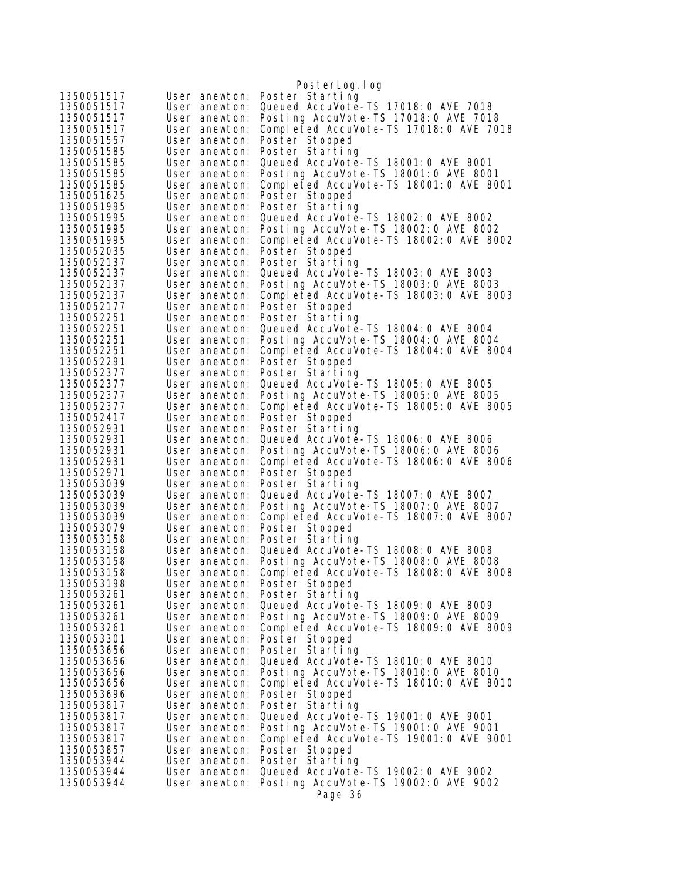|                          |                                | PosterLog.log                                                                  |
|--------------------------|--------------------------------|--------------------------------------------------------------------------------|
| 1350051517               | User anewton:                  | Poster Starting                                                                |
| 1350051517               | User anewton:                  | Queued AccuVote-TS 17018: 0 AVE 7018                                           |
| 1350051517               | User anewton:                  | Posting AccuVote-TS 17018: 0 AVE 7018                                          |
| 1350051517               | User anewton:                  | Completed AccuVote-TS 17018:0 AVE 7018                                         |
| 1350051557               | User anewton:                  | Poster Stopped                                                                 |
| 1350051585               | User anewton:                  | Poster Starting                                                                |
| 1350051585               | User anewton:                  | Queued AccuVote-TS 18001:0 AVE 8001                                            |
| 1350051585               | User anewton:                  | Posting AccuVote-TS 18001:0 AVE 8001                                           |
| 1350051585               | User anewton:                  | Completed AccuVote-TS 18001:0 AVE 8001                                         |
| 1350051625               | User anewton:                  | Poster Stopped                                                                 |
| 1350051995               | User anewton:                  | Poster Starting                                                                |
| 1350051995               | User anewton:                  | Queued AccuVote-TS 18002: 0 AVE 8002                                           |
| 1350051995<br>1350051995 | User anewton:<br>User anewton: | Posting AccuVote-TS 18002:0 AVE 8002<br>Completed AccuVote-TS 18002:0 AVE 8002 |
| 1350052035               | User anewton:                  | Poster Stopped                                                                 |
| 1350052137               | User anewton:                  | Poster Starting                                                                |
| 1350052137               | User anewton:                  | Queued AccuVote-TS 18003:0 AVE 8003                                            |
| 1350052137               | User anewton:                  | Posting AccuVote-TS 18003:0 AVE 8003                                           |
| 1350052137               | User anewton:                  | Completed AccuVote-TS 18003:0 AVE 8003                                         |
| 1350052177               | User anewton:                  | Poster Stopped                                                                 |
| 1350052251               | User anewton:                  | Poster Starting                                                                |
| 1350052251               | User anewton:                  | Queued AccuVote-TS 18004: 0 AVE 8004                                           |
| 1350052251               | User anewton:                  | Posting AccuVote-TS 18004: 0 AVE 8004                                          |
| 1350052251               | User anewton:                  | Completed AccuVote-TS 18004: 0 AVE 8004                                        |
| 1350052291               | User anewton:                  | Poster Stopped                                                                 |
| 1350052377               | User anewton:                  | Poster Starting                                                                |
| 1350052377               | User anewton:                  | Queued AccuVote-TS 18005: 0 AVE 8005                                           |
| 1350052377<br>1350052377 | User anewton:                  | Posting AccuVote-TS 18005:0 AVE 8005<br>Completed AccuVote-TS 18005:0 AVE 8005 |
| 1350052417               | User anewton:<br>User anewton: | Poster Stopped                                                                 |
| 1350052931               | User anewton:                  | Poster Starting                                                                |
| 1350052931               | User anewton:                  | Queued AccuVote-TS 18006: 0 AVE 8006                                           |
| 1350052931               | User anewton:                  | Posting AccuVote-TS 18006: 0 AVE 8006                                          |
| 1350052931               | User anewton:                  | Completed AccuVote-TS 18006:0 AVE 8006                                         |
| 1350052971               | User anewton:                  | Poster Stopped                                                                 |
| 1350053039               | User anewton:                  | Poster Starting                                                                |
| 1350053039               | User anewton:                  | Queued AccuVote-TS 18007: 0 AVE 8007                                           |
| 1350053039               | User anewton:                  | Posting AccuVote-TS 18007:0 AVE 8007                                           |
| 1350053039               | User anewton:                  | Completed AccuVote-TS 18007:0 AVE 8007                                         |
| 1350053079               | User anewton:                  | Poster Stopped                                                                 |
| 1350053158               | User anewton:                  | Poster Starting<br>Queued AccuVote-TS 18008: 0 AVE 8008                        |
| 1350053158<br>1350053158 | User anewton:<br>User anewton: | Posting AccuVote-TS 18008:0 AVE 8008                                           |
| 1350053158               | User anewton:                  | Completed AccuVote-TS 18008:0 AVE 8008                                         |
| 1350053198               | User anewton:                  | Poster Stopped                                                                 |
| 1350053261               | User anewton:                  | Poster Starting                                                                |
| 1350053261               | User anewton:                  | Queued AccuVote-TS 18009: 0 AVE 8009                                           |
| 1350053261               | User anewton:                  | Posting AccuVote-TS 18009: 0 AVE 8009                                          |
| 1350053261               | User anewton:                  | Completed AccuVote-TS 18009:0 AVE 8009                                         |
| 1350053301               | User anewton:                  | Poster Stopped                                                                 |
| 1350053656               | User anewton:                  | Poster Starting                                                                |
| 1350053656               | User anewton:                  | Queued AccuVote-TS 18010: 0 AVE 8010                                           |
| 1350053656               | User anewton:                  | Posting AccuVote-TS 18010: 0 AVE 8010                                          |
| 1350053656               | User anewton:                  | Completed AccuVote-TS 18010:0 AVE 8010                                         |
| 1350053696<br>1350053817 | User anewton:                  | Poster Stopped                                                                 |
| 1350053817               | User anewton:<br>User anewton: | Poster Starting<br>Queued AccuVote-TS 19001:0 AVE 9001                         |
| 1350053817               | User anewton:                  | Posting AccuVote-TS 19001:0 AVE 9001                                           |
| 1350053817               | User anewton:                  | Completed AccuVote-TS 19001:0 AVE 9001                                         |
| 1350053857               | User anewton:                  | Poster Stopped                                                                 |
| 1350053944               | User anewton:                  | Poster Starting                                                                |
| 1350053944               | User anewton:                  | Queued AccuVote-TS 19002: 0 AVE 9002                                           |
| 1350053944               | User anewton:                  | Posting AccuVote-TS 19002: 0 AVE 9002                                          |
|                          |                                | Page 36                                                                        |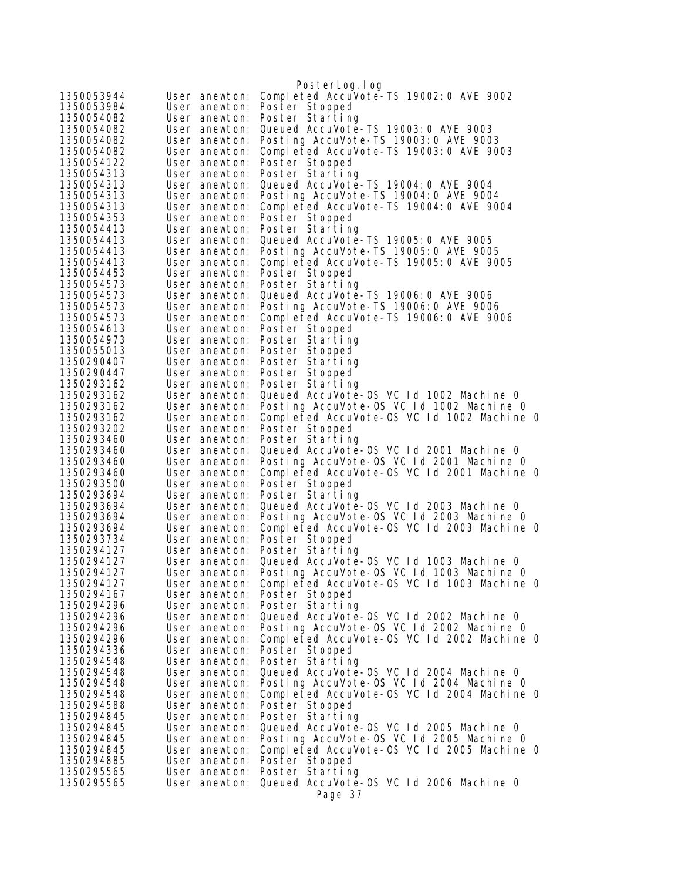|                          |                                | PosterLog.log                                                                                        |  |
|--------------------------|--------------------------------|------------------------------------------------------------------------------------------------------|--|
| 1350053944               | User anewton:                  | Completed AccuVote-TS 19002: 0 AVE 9002                                                              |  |
| 1350053984               | User anewton:                  | Poster Stopped                                                                                       |  |
| 1350054082               | User anewton:                  | Poster Starting                                                                                      |  |
| 1350054082               | User anewton:                  | Queued AccuVote-TS 19003: 0 AVE 9003                                                                 |  |
| 1350054082               | User anewton:                  | Posting AccuVote-TS 19003:0 AVE 9003                                                                 |  |
| 1350054082               | User anewton:                  | Completed AccuVote-TS 19003:0 AVE 9003                                                               |  |
| 1350054122               | User anewton:                  | Poster Stopped                                                                                       |  |
| 1350054313               | User anewton:                  | Poster Starting                                                                                      |  |
| 1350054313               | User anewton:                  | Queued AccuVote-TS 19004: 0 AVE 9004                                                                 |  |
| 1350054313               | User anewton:                  | Posting AccuVote-TS 19004: 0 AVE 9004                                                                |  |
| 1350054313               | User anewton:                  | Completed AccuVote-TS 19004:0 AVE 9004                                                               |  |
| 1350054353               | User anewton:                  | Poster Stopped                                                                                       |  |
| 1350054413<br>1350054413 | User anewton:<br>User anewton: | Poster Starting<br>Queued AccuVote-TS 19005: 0 AVE 9005                                              |  |
| 1350054413               | User anewton:                  | Posting AccuVote-TS 19005: 0 AVE 9005                                                                |  |
| 1350054413               | User anewton:                  | Completed AccuVote-TS 19005:0 AVE 9005                                                               |  |
| 1350054453               | User anewton:                  | Poster Stopped                                                                                       |  |
| 1350054573               | User anewton:                  | Poster Starting                                                                                      |  |
| 1350054573               | User anewton:                  | Queued AccuVote-TS 19006: 0 AVE 9006                                                                 |  |
| 1350054573               | User anewton:                  | Posting AccuVote-TS 19006: 0 AVE 9006                                                                |  |
| 1350054573               | User anewton:                  | Completed AccuVote-TS 19006: 0 AVE 9006                                                              |  |
| 1350054613               | User anewton:                  | Poster Stopped                                                                                       |  |
| 1350054973               | User anewton:                  | Poster Starting                                                                                      |  |
| 1350055013               | User anewton:                  | Poster Stopped                                                                                       |  |
| 1350290407               | User anewton:                  | Poster Starting                                                                                      |  |
| 1350290447               | User anewton:                  | Poster Stopped                                                                                       |  |
| 1350293162               | User anewton:                  | Poster Starting                                                                                      |  |
| 1350293162               | User anewton:                  | Queued AccuVote-0S VC 1d 1002 Machine 0                                                              |  |
| 1350293162<br>1350293162 | User anewton:<br>User anewton: | Posting AccuVote-OS VC Id 1002 Machine O<br>Completed AccuVote-OS VC 1d 1002 Machine 0               |  |
| 1350293202               | User anewton:                  | Poster Stopped                                                                                       |  |
| 1350293460               | User anewton:                  | Poster Starting                                                                                      |  |
| 1350293460               | User anewton:                  | Queued AccuVote-0S VC 1d 2001 Machine 0                                                              |  |
| 1350293460               | User anewton:                  | Posting AccuVote-OS VC Id 2001 Machine O                                                             |  |
| 1350293460               | User anewton:                  | Completed AccuVote-OS VC 1d 2001 Machine 0                                                           |  |
| 1350293500               | User anewton:                  | Poster Stopped                                                                                       |  |
| 1350293694               | User anewton:                  | Poster Starting                                                                                      |  |
| 1350293694               | User anewton:                  | Queued AccuVote-0S VC 1d 2003 Machine 0                                                              |  |
| 1350293694               | User anewton:                  | Posting AccuVote-OS VC Id 2003 Machine O                                                             |  |
| 1350293694               | User anewton:                  | Completed AccuVote-OS VC 1d 2003 Machine 0                                                           |  |
| 1350293734               | User anewton:                  | Poster Stopped                                                                                       |  |
| 1350294127               | User anewton:                  | Poster Starting                                                                                      |  |
| 1350294127               | User anewton:                  | Queued AccuVote-OS VC 1d 1003 Machine 0                                                              |  |
| 1350294127<br>1350294127 | User anewton:                  | User anewton: Posting AccuVote-OS VC Id 1003 Machine 0<br>Completed AccuVote-OS VC 1d 1003 Machine 0 |  |
| 1350294167               |                                | User anewton: Poster Stopped                                                                         |  |
| 1350294296               | User anewton:                  | Poster Starting                                                                                      |  |
| 1350294296               | User anewton:                  | Queued AccuVote-OS VC 1d 2002 Machine 0                                                              |  |
| 1350294296               | User anewton:                  | Posting AccuVote-OS VC Id 2002 Machine O                                                             |  |
| 1350294296               | User anewton:                  | Completed AccuVote-OS VC 1d 2002 Machine 0                                                           |  |
| 1350294336               | User anewton:                  | Poster Stopped                                                                                       |  |
| 1350294548               | User anewton:                  | Poster Starting                                                                                      |  |
| 1350294548               | User anewton:                  | Queued AccuVote-0S VC 1d 2004 Machine 0                                                              |  |
| 1350294548               | User anewton:                  | Posting AccuVote-OS VC Id 2004 Machine O                                                             |  |
| 1350294548               | User anewton:                  | Completed AccuVote-OS VC 1d 2004 Machine 0                                                           |  |
| 1350294588               | User anewton:                  | Poster Stopped                                                                                       |  |
| 1350294845               | User anewton:                  | Poster Starting                                                                                      |  |
| 1350294845               | User anewton:                  | Queued AccuVote-0S VC 1d 2005 Machine 0                                                              |  |
| 1350294845<br>1350294845 | User anewton:<br>User anewton: | Posting AccuVote-OS VC 1d 2005 Machine O<br>Completed AccuVote-OS VC 1d 2005 Machine 0               |  |
| 1350294885               | User anewton:                  | Poster Stopped                                                                                       |  |
| 1350295565               | User anewton:                  | Poster Starting                                                                                      |  |
| 1350295565               | User anewton:                  | Queued AccuVote-0S VC 1d 2006 Machine 0                                                              |  |
|                          |                                | Page 37                                                                                              |  |
|                          |                                |                                                                                                      |  |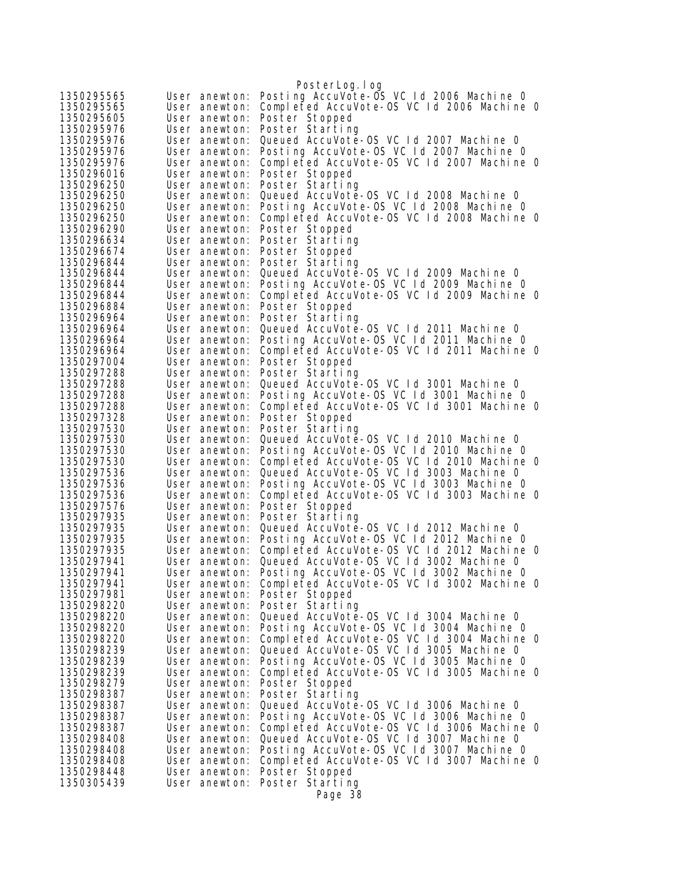|                          |                                | PosterLog.log                                                                         |
|--------------------------|--------------------------------|---------------------------------------------------------------------------------------|
| 1350295565               | User anewton:                  | Posting AccuVote-OS VC 1d 2006 Machine 0                                              |
| 1350295565               | User anewton:                  | Completed AccuVote-OS VC 1d 2006 Machine 0                                            |
| 1350295605               | User anewton:                  | Poster Stopped                                                                        |
| 1350295976               | User anewton:                  | Poster Starting                                                                       |
| 1350295976               | User anewton:                  | Queued AccuVote-OS VC 1d 2007 Machine 0                                               |
| 1350295976               | User anewton:                  | Posting AccuVote-OS VC Id 2007 Machine 0                                              |
| 1350295976               | User anewton:                  | Completed AccuVote-OS VC 1d 2007 Machine 0                                            |
| 1350296016               | User anewton:                  | Poster Stopped                                                                        |
| 1350296250               | User anewton:                  | Poster Starting                                                                       |
| 1350296250               | User anewton:                  | Queued AccuVote-OS VC Id 2008 Machine 0                                               |
| 1350296250               | User anewton:                  | Posting AccuVote-OS VC Id 2008 Machine O                                              |
| 1350296250               | User anewton:                  | Completed AccuVote-OS VC 1d 2008 Machine 0                                            |
| 1350296290               | User anewton:                  | Poster Stopped                                                                        |
| 1350296634               | User anewton:                  | Poster Starting                                                                       |
| 1350296674               | User anewton:                  | Poster Stopped                                                                        |
| 1350296844               | User anewton:                  | Poster Starting                                                                       |
| 1350296844               | User anewton:                  | Queued AccuVote-OS VC 1d 2009 Machine 0                                               |
| 1350296844               | User anewton:                  | Posting AccuVote-OS VC Id 2009 Machine 0                                              |
| 1350296844<br>1350296884 | User anewton:<br>User anewton: | Completed AccuVote-OS VC 1d 2009 Machine 0                                            |
| 1350296964               | User anewton:                  | Poster Stopped<br>Poster Starting                                                     |
| 1350296964               | User anewton:                  | Queued AccuVote-OS VC Id 2011 Machine 0                                               |
| 1350296964               | User anewton:                  | Posting AccuVote-OS VC Id 2011 Machine O                                              |
| 1350296964               | User anewton:                  | Completed AccuVote-OS VC Id 2011 Machine O                                            |
| 1350297004               | User anewton:                  | Poster Stopped                                                                        |
| 1350297288               | User anewton:                  | Poster Starting                                                                       |
| 1350297288               | User anewton:                  | Queued AccuVote-OS VC Id 3001 Machine 0                                               |
| 1350297288               | User anewton:                  | Posting AccuVote-OS VC Id 3001 Machine O                                              |
| 1350297288               | User anewton:                  | Completed AccuVote-OS VC Id 3001 Machine 0                                            |
| 1350297328               | User anewton:                  | Poster Stopped                                                                        |
| 1350297530               | User anewton:                  | Poster Starting                                                                       |
| 1350297530               | User anewton:                  | Queued AccuVote-OS VC Id 2010 Machine 0                                               |
| 1350297530               | User anewton:                  | Posting AccuVote-OS VC Id 2010 Machine O                                              |
| 1350297530               | User anewton:                  | Completed AccuVote-OS VC Id 2010 Machine O                                            |
| 1350297536               | User anewton:                  | Queued AccuVote-OS VC Id 3003 Machine 0                                               |
| 1350297536               | User anewton:                  | Posting AccuVote-OS VC Id 3003 Machine 0                                              |
| 1350297536               | User anewton:                  | Completed AccuVote-OS VC Id 3003 Machine 0                                            |
| 1350297576               | User anewton:                  | Poster Stopped                                                                        |
| 1350297935               | User anewton:                  | Poster Starting                                                                       |
| 1350297935               | User anewton:                  | Queued AccuVote-0S VC Id 2012 Machine 0                                               |
| 1350297935               | User anewton:                  | Posting AccuVote-OS VC Id 2012 Machine O                                              |
| 1350297935<br>1350297941 | User anewton:                  | Completed AccuVote-OS VC 1d 2012 Machine 0<br>Queued AccuVote-OS VC Id 3002 Machine O |
| 1350297941               | User anewton:                  | Posting AccuVote-OS VC Id 3002 Machine O                                              |
| 1350297941               | User anewton:<br>User anewton: | Completed AccuVote-OS VC 1d 3002 Machine 0                                            |
| 1350297981               | User anewton:                  | Poster Stopped                                                                        |
| 1350298220               | User anewton:                  | Poster Starting                                                                       |
| 1350298220               | User anewton:                  | Queued AccuVote-OS VC Id 3004 Machine 0                                               |
| 1350298220               | User anewton:                  | Posting AccuVote-OS VC Id 3004 Machine O                                              |
| 1350298220               | User anewton:                  | Completed AccuVote-OS VC 1d 3004 Machine 0                                            |
| 1350298239               | User anewton:                  | Queued AccuVote-OS VC Id 3005 Machine 0                                               |
| 1350298239               | User anewton:                  | Posting AccuVote-OS VC 1d 3005 Machine 0                                              |
| 1350298239               | User anewton:                  | Completed AccuVote-OS VC 1d 3005 Machine 0                                            |
| 1350298279               | User anewton:                  | Poster Stopped                                                                        |
| 1350298387               | User anewton:                  | Poster Starting                                                                       |
| 1350298387               | User anewton:                  | Queued AccuVote-0S VC Id 3006 Machine 0                                               |
| 1350298387               | User anewton:                  | Posting AccuVote-OS VC Id 3006 Machine O                                              |
| 1350298387               | User anewton:                  | Completed AccuVote-OS VC Id 3006 Machine O                                            |
| 1350298408               | User anewton:                  | Queued AccuVote-OS VC Id 3007 Machine 0                                               |
| 1350298408               | User anewton:                  | Posting AccuVote-OS VC Id 3007 Machine O                                              |
| 1350298408               | User anewton:                  | Completed AccuVote-OS VC Id 3007 Machine 0                                            |
| 1350298448               | User anewton:                  | Poster Stopped                                                                        |
| 1350305439               | User anewton:                  | Poster Starting                                                                       |
|                          |                                | Page 38                                                                               |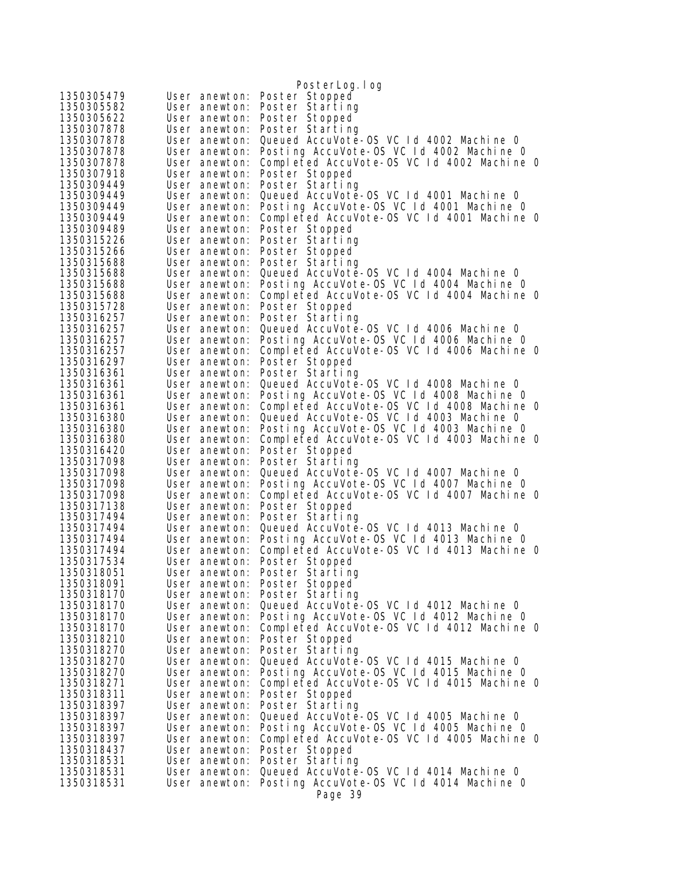| 1350305479<br>Poster Stopped<br>User anewton:<br>Poster Starting<br>User anewton:<br>Poster Stopped<br>User anewton:<br>User anewton:<br>Poster Starting<br>Queued AccuVote-OS VC 1d 4002 Machine 0<br>User anewton:<br>Posting AccuVote-OS VC 1d 4002 Machine 0<br>1350307878<br>User anewton:<br>Completed AccuVote-OS VC 1d 4002 Machine 0<br>1350307878<br>User anewton:<br>1350307918<br>User anewton:<br>Poster Stopped<br>1350309449<br>Poster Starting<br>User anewton:<br>1350309449<br>Queued AccuVote-OS VC 1d 4001 Machine 0<br>User anewton:<br>Posting AccuVote-OS VC Id 4001 Machine O<br>1350309449<br>User anewton:<br>Completed AccuVote-OS VC 1d 4001 Machine 0<br>1350309449<br>User anewton:<br>1350309489<br>User anewton:<br>Poster Stopped<br>1350315226<br>Poster Starting<br>User anewton:<br>1350315266<br>Poster Stopped<br>User anewton:<br>1350315688<br>User anewton:<br>Poster Starting<br>Queued AccuVote-OS VC 1d 4004 Machine 0<br>User anewton:<br>Posting AccuVote-OS VC 1d 4004 Machine 0<br>User anewton:<br>1350315688<br>Completed AccuVote-OS VC 1d 4004 Machine 0<br>User anewton:<br>1350315728<br>User anewton:<br>Poster Stopped<br>Poster Starting<br>1350316257<br>User anewton:<br>Queued AccuVote-0S VC 1d 4006 Machine 0<br>1350316257<br>User anewton:<br>Posting AccuVote-OS VC 1d 4006 Machine 0<br>1350316257<br>User anewton:<br>Completed AccuVote-OS VC 1d 4006 Machine 0<br>1350316257<br>User anewton:<br>1350316297<br>Poster Stopped<br>User anewton:<br>1350316361<br>User anewton:<br>Poster Starting<br>Queued AccuVote-0S VC 1d 4008 Machine 0<br>1350316361<br>User anewton:<br>Posting AccuVote-OS VC 1d 4008 Machine 0<br>1350316361<br>User anewton:<br>Completed AccuVote-OS VC 1d 4008 Machine 0<br>1350316361<br>User anewton:<br>Queued AccuVote-OS VC Id 4003 Machine 0<br>User anewton:<br>Posting AccuVote-OS VC 1d 4003 Machine 0<br>User anewton:<br>Completed AccuVote-OS VC 1d 4003 Machine 0<br>User anewton:<br>Poster Stopped<br>User anewton:<br>1350317098<br>User anewton:<br>Poster Starting<br>Queued AccuVote-OS VC 1d 4007 Machine 0<br>1350317098<br>User anewton:<br>1350317098<br>Posting AccuVote-OS VC 1d 4007 Machine 0<br>User anewton:<br>1350317098<br>Completed AccuVote-OS VC 1d 4007 Machine 0<br>User anewton:<br>Poster Stopped<br>1350317138<br>User anewton:<br>1350317494<br>Poster Starting<br>User anewton:<br>Queued AccuVote-0S VC Id 4013 Machine 0<br>1350317494<br>User anewton:<br>Posting AccuVote-OS VC 1d 4013 Machine 0<br>1350317494<br>User anewton:<br>Completed AccuVote-OS VC 1d 4013 Machine 0<br>User anewton:<br>1350317534<br>Poster Stopped<br>User anewton:<br>User anewton: Poster Starting<br>1350318051<br>User anewton: Poster Stopped<br>1350318091<br>1350318170<br>User anewton: Poster Starting<br>Queued AccuVote-0S VC 1d 4012 Machine 0<br>1350318170<br>User anewton:<br>Posting AccuVote-OS VC 1d 4012 Machine 0<br>1350318170<br>User anewton:<br>Completed AccuVote-OS VC 1d 4012 Machine 0<br>1350318170<br>User anewton:<br>1350318210<br>Poster Stopped<br>User anewton:<br>Poster Starting<br>1350318270<br>User anewton:<br>Queued AccuVote-OS VC 1d 4015 Machine 0<br>1350318270<br>User anewton:<br>Posting AccuVote-OS VC 1d 4015 Machine 0<br>1350318270<br>User anewton:<br>Completed AccuVote-OS VC 1d 4015 Machine 0<br>1350318271<br>User anewton:<br>User anewton:<br>Poster Stopped<br>Poster Starting<br>User anewton:<br>Queued AccuVote-OS VC Id 4005 Machine O<br>User anewton:<br>Posting AccuVote-OS VC 1d 4005 Machine 0<br>1350318397<br>User anewton:<br>1350318397<br>Completed AccuVote-OS VC 1d 4005 Machine 0<br>User anewton:<br>1350318437<br>User anewton:<br>Poster Stopped<br>1350318531<br>User anewton:<br>Poster Starting<br>1350318531<br>Queued AccuVote-OS VC 1d 4014 Machine 0<br>User anewton:<br>Posting AccuVote-OS VC Id 4014 Machine O<br>1350318531<br>User anewton:<br>Page 39 |            | PosterLog.log |
|---------------------------------------------------------------------------------------------------------------------------------------------------------------------------------------------------------------------------------------------------------------------------------------------------------------------------------------------------------------------------------------------------------------------------------------------------------------------------------------------------------------------------------------------------------------------------------------------------------------------------------------------------------------------------------------------------------------------------------------------------------------------------------------------------------------------------------------------------------------------------------------------------------------------------------------------------------------------------------------------------------------------------------------------------------------------------------------------------------------------------------------------------------------------------------------------------------------------------------------------------------------------------------------------------------------------------------------------------------------------------------------------------------------------------------------------------------------------------------------------------------------------------------------------------------------------------------------------------------------------------------------------------------------------------------------------------------------------------------------------------------------------------------------------------------------------------------------------------------------------------------------------------------------------------------------------------------------------------------------------------------------------------------------------------------------------------------------------------------------------------------------------------------------------------------------------------------------------------------------------------------------------------------------------------------------------------------------------------------------------------------------------------------------------------------------------------------------------------------------------------------------------------------------------------------------------------------------------------------------------------------------------------------------------------------------------------------------------------------------------------------------------------------------------------------------------------------------------------------------------------------------------------------------------------------------------------------------------------------------------------------------------------------------------------------------------------------------------------------------------------------------------------------------------------------------------------------------------------------------------------------------------------------------------------------------------------------------------------------------------------------------------------------------------------------------------------------------------------------------------------------------------------------------------------------------------------------------------------------------------------------------------------------------------------------------------------------------------------------------------------------------------------------------------------------------------------------------------------------------------------------------------------------------------------------------------------------------------------------|------------|---------------|
|                                                                                                                                                                                                                                                                                                                                                                                                                                                                                                                                                                                                                                                                                                                                                                                                                                                                                                                                                                                                                                                                                                                                                                                                                                                                                                                                                                                                                                                                                                                                                                                                                                                                                                                                                                                                                                                                                                                                                                                                                                                                                                                                                                                                                                                                                                                                                                                                                                                                                                                                                                                                                                                                                                                                                                                                                                                                                                                                                                                                                                                                                                                                                                                                                                                                                                                                                                                                                                                                                                                                                                                                                                                                                                                                                                                                                                                                                                                                                                                 |            |               |
|                                                                                                                                                                                                                                                                                                                                                                                                                                                                                                                                                                                                                                                                                                                                                                                                                                                                                                                                                                                                                                                                                                                                                                                                                                                                                                                                                                                                                                                                                                                                                                                                                                                                                                                                                                                                                                                                                                                                                                                                                                                                                                                                                                                                                                                                                                                                                                                                                                                                                                                                                                                                                                                                                                                                                                                                                                                                                                                                                                                                                                                                                                                                                                                                                                                                                                                                                                                                                                                                                                                                                                                                                                                                                                                                                                                                                                                                                                                                                                                 | 1350305582 |               |
|                                                                                                                                                                                                                                                                                                                                                                                                                                                                                                                                                                                                                                                                                                                                                                                                                                                                                                                                                                                                                                                                                                                                                                                                                                                                                                                                                                                                                                                                                                                                                                                                                                                                                                                                                                                                                                                                                                                                                                                                                                                                                                                                                                                                                                                                                                                                                                                                                                                                                                                                                                                                                                                                                                                                                                                                                                                                                                                                                                                                                                                                                                                                                                                                                                                                                                                                                                                                                                                                                                                                                                                                                                                                                                                                                                                                                                                                                                                                                                                 | 1350305622 |               |
|                                                                                                                                                                                                                                                                                                                                                                                                                                                                                                                                                                                                                                                                                                                                                                                                                                                                                                                                                                                                                                                                                                                                                                                                                                                                                                                                                                                                                                                                                                                                                                                                                                                                                                                                                                                                                                                                                                                                                                                                                                                                                                                                                                                                                                                                                                                                                                                                                                                                                                                                                                                                                                                                                                                                                                                                                                                                                                                                                                                                                                                                                                                                                                                                                                                                                                                                                                                                                                                                                                                                                                                                                                                                                                                                                                                                                                                                                                                                                                                 | 1350307878 |               |
|                                                                                                                                                                                                                                                                                                                                                                                                                                                                                                                                                                                                                                                                                                                                                                                                                                                                                                                                                                                                                                                                                                                                                                                                                                                                                                                                                                                                                                                                                                                                                                                                                                                                                                                                                                                                                                                                                                                                                                                                                                                                                                                                                                                                                                                                                                                                                                                                                                                                                                                                                                                                                                                                                                                                                                                                                                                                                                                                                                                                                                                                                                                                                                                                                                                                                                                                                                                                                                                                                                                                                                                                                                                                                                                                                                                                                                                                                                                                                                                 | 1350307878 |               |
|                                                                                                                                                                                                                                                                                                                                                                                                                                                                                                                                                                                                                                                                                                                                                                                                                                                                                                                                                                                                                                                                                                                                                                                                                                                                                                                                                                                                                                                                                                                                                                                                                                                                                                                                                                                                                                                                                                                                                                                                                                                                                                                                                                                                                                                                                                                                                                                                                                                                                                                                                                                                                                                                                                                                                                                                                                                                                                                                                                                                                                                                                                                                                                                                                                                                                                                                                                                                                                                                                                                                                                                                                                                                                                                                                                                                                                                                                                                                                                                 |            |               |
|                                                                                                                                                                                                                                                                                                                                                                                                                                                                                                                                                                                                                                                                                                                                                                                                                                                                                                                                                                                                                                                                                                                                                                                                                                                                                                                                                                                                                                                                                                                                                                                                                                                                                                                                                                                                                                                                                                                                                                                                                                                                                                                                                                                                                                                                                                                                                                                                                                                                                                                                                                                                                                                                                                                                                                                                                                                                                                                                                                                                                                                                                                                                                                                                                                                                                                                                                                                                                                                                                                                                                                                                                                                                                                                                                                                                                                                                                                                                                                                 |            |               |
|                                                                                                                                                                                                                                                                                                                                                                                                                                                                                                                                                                                                                                                                                                                                                                                                                                                                                                                                                                                                                                                                                                                                                                                                                                                                                                                                                                                                                                                                                                                                                                                                                                                                                                                                                                                                                                                                                                                                                                                                                                                                                                                                                                                                                                                                                                                                                                                                                                                                                                                                                                                                                                                                                                                                                                                                                                                                                                                                                                                                                                                                                                                                                                                                                                                                                                                                                                                                                                                                                                                                                                                                                                                                                                                                                                                                                                                                                                                                                                                 |            |               |
|                                                                                                                                                                                                                                                                                                                                                                                                                                                                                                                                                                                                                                                                                                                                                                                                                                                                                                                                                                                                                                                                                                                                                                                                                                                                                                                                                                                                                                                                                                                                                                                                                                                                                                                                                                                                                                                                                                                                                                                                                                                                                                                                                                                                                                                                                                                                                                                                                                                                                                                                                                                                                                                                                                                                                                                                                                                                                                                                                                                                                                                                                                                                                                                                                                                                                                                                                                                                                                                                                                                                                                                                                                                                                                                                                                                                                                                                                                                                                                                 |            |               |
|                                                                                                                                                                                                                                                                                                                                                                                                                                                                                                                                                                                                                                                                                                                                                                                                                                                                                                                                                                                                                                                                                                                                                                                                                                                                                                                                                                                                                                                                                                                                                                                                                                                                                                                                                                                                                                                                                                                                                                                                                                                                                                                                                                                                                                                                                                                                                                                                                                                                                                                                                                                                                                                                                                                                                                                                                                                                                                                                                                                                                                                                                                                                                                                                                                                                                                                                                                                                                                                                                                                                                                                                                                                                                                                                                                                                                                                                                                                                                                                 |            |               |
|                                                                                                                                                                                                                                                                                                                                                                                                                                                                                                                                                                                                                                                                                                                                                                                                                                                                                                                                                                                                                                                                                                                                                                                                                                                                                                                                                                                                                                                                                                                                                                                                                                                                                                                                                                                                                                                                                                                                                                                                                                                                                                                                                                                                                                                                                                                                                                                                                                                                                                                                                                                                                                                                                                                                                                                                                                                                                                                                                                                                                                                                                                                                                                                                                                                                                                                                                                                                                                                                                                                                                                                                                                                                                                                                                                                                                                                                                                                                                                                 |            |               |
|                                                                                                                                                                                                                                                                                                                                                                                                                                                                                                                                                                                                                                                                                                                                                                                                                                                                                                                                                                                                                                                                                                                                                                                                                                                                                                                                                                                                                                                                                                                                                                                                                                                                                                                                                                                                                                                                                                                                                                                                                                                                                                                                                                                                                                                                                                                                                                                                                                                                                                                                                                                                                                                                                                                                                                                                                                                                                                                                                                                                                                                                                                                                                                                                                                                                                                                                                                                                                                                                                                                                                                                                                                                                                                                                                                                                                                                                                                                                                                                 |            |               |
|                                                                                                                                                                                                                                                                                                                                                                                                                                                                                                                                                                                                                                                                                                                                                                                                                                                                                                                                                                                                                                                                                                                                                                                                                                                                                                                                                                                                                                                                                                                                                                                                                                                                                                                                                                                                                                                                                                                                                                                                                                                                                                                                                                                                                                                                                                                                                                                                                                                                                                                                                                                                                                                                                                                                                                                                                                                                                                                                                                                                                                                                                                                                                                                                                                                                                                                                                                                                                                                                                                                                                                                                                                                                                                                                                                                                                                                                                                                                                                                 |            |               |
|                                                                                                                                                                                                                                                                                                                                                                                                                                                                                                                                                                                                                                                                                                                                                                                                                                                                                                                                                                                                                                                                                                                                                                                                                                                                                                                                                                                                                                                                                                                                                                                                                                                                                                                                                                                                                                                                                                                                                                                                                                                                                                                                                                                                                                                                                                                                                                                                                                                                                                                                                                                                                                                                                                                                                                                                                                                                                                                                                                                                                                                                                                                                                                                                                                                                                                                                                                                                                                                                                                                                                                                                                                                                                                                                                                                                                                                                                                                                                                                 |            |               |
|                                                                                                                                                                                                                                                                                                                                                                                                                                                                                                                                                                                                                                                                                                                                                                                                                                                                                                                                                                                                                                                                                                                                                                                                                                                                                                                                                                                                                                                                                                                                                                                                                                                                                                                                                                                                                                                                                                                                                                                                                                                                                                                                                                                                                                                                                                                                                                                                                                                                                                                                                                                                                                                                                                                                                                                                                                                                                                                                                                                                                                                                                                                                                                                                                                                                                                                                                                                                                                                                                                                                                                                                                                                                                                                                                                                                                                                                                                                                                                                 |            |               |
|                                                                                                                                                                                                                                                                                                                                                                                                                                                                                                                                                                                                                                                                                                                                                                                                                                                                                                                                                                                                                                                                                                                                                                                                                                                                                                                                                                                                                                                                                                                                                                                                                                                                                                                                                                                                                                                                                                                                                                                                                                                                                                                                                                                                                                                                                                                                                                                                                                                                                                                                                                                                                                                                                                                                                                                                                                                                                                                                                                                                                                                                                                                                                                                                                                                                                                                                                                                                                                                                                                                                                                                                                                                                                                                                                                                                                                                                                                                                                                                 | 1350315688 |               |
|                                                                                                                                                                                                                                                                                                                                                                                                                                                                                                                                                                                                                                                                                                                                                                                                                                                                                                                                                                                                                                                                                                                                                                                                                                                                                                                                                                                                                                                                                                                                                                                                                                                                                                                                                                                                                                                                                                                                                                                                                                                                                                                                                                                                                                                                                                                                                                                                                                                                                                                                                                                                                                                                                                                                                                                                                                                                                                                                                                                                                                                                                                                                                                                                                                                                                                                                                                                                                                                                                                                                                                                                                                                                                                                                                                                                                                                                                                                                                                                 | 1350315688 |               |
|                                                                                                                                                                                                                                                                                                                                                                                                                                                                                                                                                                                                                                                                                                                                                                                                                                                                                                                                                                                                                                                                                                                                                                                                                                                                                                                                                                                                                                                                                                                                                                                                                                                                                                                                                                                                                                                                                                                                                                                                                                                                                                                                                                                                                                                                                                                                                                                                                                                                                                                                                                                                                                                                                                                                                                                                                                                                                                                                                                                                                                                                                                                                                                                                                                                                                                                                                                                                                                                                                                                                                                                                                                                                                                                                                                                                                                                                                                                                                                                 |            |               |
|                                                                                                                                                                                                                                                                                                                                                                                                                                                                                                                                                                                                                                                                                                                                                                                                                                                                                                                                                                                                                                                                                                                                                                                                                                                                                                                                                                                                                                                                                                                                                                                                                                                                                                                                                                                                                                                                                                                                                                                                                                                                                                                                                                                                                                                                                                                                                                                                                                                                                                                                                                                                                                                                                                                                                                                                                                                                                                                                                                                                                                                                                                                                                                                                                                                                                                                                                                                                                                                                                                                                                                                                                                                                                                                                                                                                                                                                                                                                                                                 |            |               |
|                                                                                                                                                                                                                                                                                                                                                                                                                                                                                                                                                                                                                                                                                                                                                                                                                                                                                                                                                                                                                                                                                                                                                                                                                                                                                                                                                                                                                                                                                                                                                                                                                                                                                                                                                                                                                                                                                                                                                                                                                                                                                                                                                                                                                                                                                                                                                                                                                                                                                                                                                                                                                                                                                                                                                                                                                                                                                                                                                                                                                                                                                                                                                                                                                                                                                                                                                                                                                                                                                                                                                                                                                                                                                                                                                                                                                                                                                                                                                                                 |            |               |
|                                                                                                                                                                                                                                                                                                                                                                                                                                                                                                                                                                                                                                                                                                                                                                                                                                                                                                                                                                                                                                                                                                                                                                                                                                                                                                                                                                                                                                                                                                                                                                                                                                                                                                                                                                                                                                                                                                                                                                                                                                                                                                                                                                                                                                                                                                                                                                                                                                                                                                                                                                                                                                                                                                                                                                                                                                                                                                                                                                                                                                                                                                                                                                                                                                                                                                                                                                                                                                                                                                                                                                                                                                                                                                                                                                                                                                                                                                                                                                                 |            |               |
|                                                                                                                                                                                                                                                                                                                                                                                                                                                                                                                                                                                                                                                                                                                                                                                                                                                                                                                                                                                                                                                                                                                                                                                                                                                                                                                                                                                                                                                                                                                                                                                                                                                                                                                                                                                                                                                                                                                                                                                                                                                                                                                                                                                                                                                                                                                                                                                                                                                                                                                                                                                                                                                                                                                                                                                                                                                                                                                                                                                                                                                                                                                                                                                                                                                                                                                                                                                                                                                                                                                                                                                                                                                                                                                                                                                                                                                                                                                                                                                 |            |               |
|                                                                                                                                                                                                                                                                                                                                                                                                                                                                                                                                                                                                                                                                                                                                                                                                                                                                                                                                                                                                                                                                                                                                                                                                                                                                                                                                                                                                                                                                                                                                                                                                                                                                                                                                                                                                                                                                                                                                                                                                                                                                                                                                                                                                                                                                                                                                                                                                                                                                                                                                                                                                                                                                                                                                                                                                                                                                                                                                                                                                                                                                                                                                                                                                                                                                                                                                                                                                                                                                                                                                                                                                                                                                                                                                                                                                                                                                                                                                                                                 |            |               |
|                                                                                                                                                                                                                                                                                                                                                                                                                                                                                                                                                                                                                                                                                                                                                                                                                                                                                                                                                                                                                                                                                                                                                                                                                                                                                                                                                                                                                                                                                                                                                                                                                                                                                                                                                                                                                                                                                                                                                                                                                                                                                                                                                                                                                                                                                                                                                                                                                                                                                                                                                                                                                                                                                                                                                                                                                                                                                                                                                                                                                                                                                                                                                                                                                                                                                                                                                                                                                                                                                                                                                                                                                                                                                                                                                                                                                                                                                                                                                                                 |            |               |
|                                                                                                                                                                                                                                                                                                                                                                                                                                                                                                                                                                                                                                                                                                                                                                                                                                                                                                                                                                                                                                                                                                                                                                                                                                                                                                                                                                                                                                                                                                                                                                                                                                                                                                                                                                                                                                                                                                                                                                                                                                                                                                                                                                                                                                                                                                                                                                                                                                                                                                                                                                                                                                                                                                                                                                                                                                                                                                                                                                                                                                                                                                                                                                                                                                                                                                                                                                                                                                                                                                                                                                                                                                                                                                                                                                                                                                                                                                                                                                                 |            |               |
|                                                                                                                                                                                                                                                                                                                                                                                                                                                                                                                                                                                                                                                                                                                                                                                                                                                                                                                                                                                                                                                                                                                                                                                                                                                                                                                                                                                                                                                                                                                                                                                                                                                                                                                                                                                                                                                                                                                                                                                                                                                                                                                                                                                                                                                                                                                                                                                                                                                                                                                                                                                                                                                                                                                                                                                                                                                                                                                                                                                                                                                                                                                                                                                                                                                                                                                                                                                                                                                                                                                                                                                                                                                                                                                                                                                                                                                                                                                                                                                 |            |               |
|                                                                                                                                                                                                                                                                                                                                                                                                                                                                                                                                                                                                                                                                                                                                                                                                                                                                                                                                                                                                                                                                                                                                                                                                                                                                                                                                                                                                                                                                                                                                                                                                                                                                                                                                                                                                                                                                                                                                                                                                                                                                                                                                                                                                                                                                                                                                                                                                                                                                                                                                                                                                                                                                                                                                                                                                                                                                                                                                                                                                                                                                                                                                                                                                                                                                                                                                                                                                                                                                                                                                                                                                                                                                                                                                                                                                                                                                                                                                                                                 |            |               |
|                                                                                                                                                                                                                                                                                                                                                                                                                                                                                                                                                                                                                                                                                                                                                                                                                                                                                                                                                                                                                                                                                                                                                                                                                                                                                                                                                                                                                                                                                                                                                                                                                                                                                                                                                                                                                                                                                                                                                                                                                                                                                                                                                                                                                                                                                                                                                                                                                                                                                                                                                                                                                                                                                                                                                                                                                                                                                                                                                                                                                                                                                                                                                                                                                                                                                                                                                                                                                                                                                                                                                                                                                                                                                                                                                                                                                                                                                                                                                                                 | 1350316380 |               |
|                                                                                                                                                                                                                                                                                                                                                                                                                                                                                                                                                                                                                                                                                                                                                                                                                                                                                                                                                                                                                                                                                                                                                                                                                                                                                                                                                                                                                                                                                                                                                                                                                                                                                                                                                                                                                                                                                                                                                                                                                                                                                                                                                                                                                                                                                                                                                                                                                                                                                                                                                                                                                                                                                                                                                                                                                                                                                                                                                                                                                                                                                                                                                                                                                                                                                                                                                                                                                                                                                                                                                                                                                                                                                                                                                                                                                                                                                                                                                                                 | 1350316380 |               |
|                                                                                                                                                                                                                                                                                                                                                                                                                                                                                                                                                                                                                                                                                                                                                                                                                                                                                                                                                                                                                                                                                                                                                                                                                                                                                                                                                                                                                                                                                                                                                                                                                                                                                                                                                                                                                                                                                                                                                                                                                                                                                                                                                                                                                                                                                                                                                                                                                                                                                                                                                                                                                                                                                                                                                                                                                                                                                                                                                                                                                                                                                                                                                                                                                                                                                                                                                                                                                                                                                                                                                                                                                                                                                                                                                                                                                                                                                                                                                                                 | 1350316380 |               |
|                                                                                                                                                                                                                                                                                                                                                                                                                                                                                                                                                                                                                                                                                                                                                                                                                                                                                                                                                                                                                                                                                                                                                                                                                                                                                                                                                                                                                                                                                                                                                                                                                                                                                                                                                                                                                                                                                                                                                                                                                                                                                                                                                                                                                                                                                                                                                                                                                                                                                                                                                                                                                                                                                                                                                                                                                                                                                                                                                                                                                                                                                                                                                                                                                                                                                                                                                                                                                                                                                                                                                                                                                                                                                                                                                                                                                                                                                                                                                                                 | 1350316420 |               |
|                                                                                                                                                                                                                                                                                                                                                                                                                                                                                                                                                                                                                                                                                                                                                                                                                                                                                                                                                                                                                                                                                                                                                                                                                                                                                                                                                                                                                                                                                                                                                                                                                                                                                                                                                                                                                                                                                                                                                                                                                                                                                                                                                                                                                                                                                                                                                                                                                                                                                                                                                                                                                                                                                                                                                                                                                                                                                                                                                                                                                                                                                                                                                                                                                                                                                                                                                                                                                                                                                                                                                                                                                                                                                                                                                                                                                                                                                                                                                                                 |            |               |
|                                                                                                                                                                                                                                                                                                                                                                                                                                                                                                                                                                                                                                                                                                                                                                                                                                                                                                                                                                                                                                                                                                                                                                                                                                                                                                                                                                                                                                                                                                                                                                                                                                                                                                                                                                                                                                                                                                                                                                                                                                                                                                                                                                                                                                                                                                                                                                                                                                                                                                                                                                                                                                                                                                                                                                                                                                                                                                                                                                                                                                                                                                                                                                                                                                                                                                                                                                                                                                                                                                                                                                                                                                                                                                                                                                                                                                                                                                                                                                                 |            |               |
|                                                                                                                                                                                                                                                                                                                                                                                                                                                                                                                                                                                                                                                                                                                                                                                                                                                                                                                                                                                                                                                                                                                                                                                                                                                                                                                                                                                                                                                                                                                                                                                                                                                                                                                                                                                                                                                                                                                                                                                                                                                                                                                                                                                                                                                                                                                                                                                                                                                                                                                                                                                                                                                                                                                                                                                                                                                                                                                                                                                                                                                                                                                                                                                                                                                                                                                                                                                                                                                                                                                                                                                                                                                                                                                                                                                                                                                                                                                                                                                 |            |               |
|                                                                                                                                                                                                                                                                                                                                                                                                                                                                                                                                                                                                                                                                                                                                                                                                                                                                                                                                                                                                                                                                                                                                                                                                                                                                                                                                                                                                                                                                                                                                                                                                                                                                                                                                                                                                                                                                                                                                                                                                                                                                                                                                                                                                                                                                                                                                                                                                                                                                                                                                                                                                                                                                                                                                                                                                                                                                                                                                                                                                                                                                                                                                                                                                                                                                                                                                                                                                                                                                                                                                                                                                                                                                                                                                                                                                                                                                                                                                                                                 |            |               |
|                                                                                                                                                                                                                                                                                                                                                                                                                                                                                                                                                                                                                                                                                                                                                                                                                                                                                                                                                                                                                                                                                                                                                                                                                                                                                                                                                                                                                                                                                                                                                                                                                                                                                                                                                                                                                                                                                                                                                                                                                                                                                                                                                                                                                                                                                                                                                                                                                                                                                                                                                                                                                                                                                                                                                                                                                                                                                                                                                                                                                                                                                                                                                                                                                                                                                                                                                                                                                                                                                                                                                                                                                                                                                                                                                                                                                                                                                                                                                                                 |            |               |
|                                                                                                                                                                                                                                                                                                                                                                                                                                                                                                                                                                                                                                                                                                                                                                                                                                                                                                                                                                                                                                                                                                                                                                                                                                                                                                                                                                                                                                                                                                                                                                                                                                                                                                                                                                                                                                                                                                                                                                                                                                                                                                                                                                                                                                                                                                                                                                                                                                                                                                                                                                                                                                                                                                                                                                                                                                                                                                                                                                                                                                                                                                                                                                                                                                                                                                                                                                                                                                                                                                                                                                                                                                                                                                                                                                                                                                                                                                                                                                                 |            |               |
|                                                                                                                                                                                                                                                                                                                                                                                                                                                                                                                                                                                                                                                                                                                                                                                                                                                                                                                                                                                                                                                                                                                                                                                                                                                                                                                                                                                                                                                                                                                                                                                                                                                                                                                                                                                                                                                                                                                                                                                                                                                                                                                                                                                                                                                                                                                                                                                                                                                                                                                                                                                                                                                                                                                                                                                                                                                                                                                                                                                                                                                                                                                                                                                                                                                                                                                                                                                                                                                                                                                                                                                                                                                                                                                                                                                                                                                                                                                                                                                 |            |               |
|                                                                                                                                                                                                                                                                                                                                                                                                                                                                                                                                                                                                                                                                                                                                                                                                                                                                                                                                                                                                                                                                                                                                                                                                                                                                                                                                                                                                                                                                                                                                                                                                                                                                                                                                                                                                                                                                                                                                                                                                                                                                                                                                                                                                                                                                                                                                                                                                                                                                                                                                                                                                                                                                                                                                                                                                                                                                                                                                                                                                                                                                                                                                                                                                                                                                                                                                                                                                                                                                                                                                                                                                                                                                                                                                                                                                                                                                                                                                                                                 | 1350317494 |               |
|                                                                                                                                                                                                                                                                                                                                                                                                                                                                                                                                                                                                                                                                                                                                                                                                                                                                                                                                                                                                                                                                                                                                                                                                                                                                                                                                                                                                                                                                                                                                                                                                                                                                                                                                                                                                                                                                                                                                                                                                                                                                                                                                                                                                                                                                                                                                                                                                                                                                                                                                                                                                                                                                                                                                                                                                                                                                                                                                                                                                                                                                                                                                                                                                                                                                                                                                                                                                                                                                                                                                                                                                                                                                                                                                                                                                                                                                                                                                                                                 |            |               |
|                                                                                                                                                                                                                                                                                                                                                                                                                                                                                                                                                                                                                                                                                                                                                                                                                                                                                                                                                                                                                                                                                                                                                                                                                                                                                                                                                                                                                                                                                                                                                                                                                                                                                                                                                                                                                                                                                                                                                                                                                                                                                                                                                                                                                                                                                                                                                                                                                                                                                                                                                                                                                                                                                                                                                                                                                                                                                                                                                                                                                                                                                                                                                                                                                                                                                                                                                                                                                                                                                                                                                                                                                                                                                                                                                                                                                                                                                                                                                                                 |            |               |
|                                                                                                                                                                                                                                                                                                                                                                                                                                                                                                                                                                                                                                                                                                                                                                                                                                                                                                                                                                                                                                                                                                                                                                                                                                                                                                                                                                                                                                                                                                                                                                                                                                                                                                                                                                                                                                                                                                                                                                                                                                                                                                                                                                                                                                                                                                                                                                                                                                                                                                                                                                                                                                                                                                                                                                                                                                                                                                                                                                                                                                                                                                                                                                                                                                                                                                                                                                                                                                                                                                                                                                                                                                                                                                                                                                                                                                                                                                                                                                                 |            |               |
|                                                                                                                                                                                                                                                                                                                                                                                                                                                                                                                                                                                                                                                                                                                                                                                                                                                                                                                                                                                                                                                                                                                                                                                                                                                                                                                                                                                                                                                                                                                                                                                                                                                                                                                                                                                                                                                                                                                                                                                                                                                                                                                                                                                                                                                                                                                                                                                                                                                                                                                                                                                                                                                                                                                                                                                                                                                                                                                                                                                                                                                                                                                                                                                                                                                                                                                                                                                                                                                                                                                                                                                                                                                                                                                                                                                                                                                                                                                                                                                 |            |               |
|                                                                                                                                                                                                                                                                                                                                                                                                                                                                                                                                                                                                                                                                                                                                                                                                                                                                                                                                                                                                                                                                                                                                                                                                                                                                                                                                                                                                                                                                                                                                                                                                                                                                                                                                                                                                                                                                                                                                                                                                                                                                                                                                                                                                                                                                                                                                                                                                                                                                                                                                                                                                                                                                                                                                                                                                                                                                                                                                                                                                                                                                                                                                                                                                                                                                                                                                                                                                                                                                                                                                                                                                                                                                                                                                                                                                                                                                                                                                                                                 |            |               |
|                                                                                                                                                                                                                                                                                                                                                                                                                                                                                                                                                                                                                                                                                                                                                                                                                                                                                                                                                                                                                                                                                                                                                                                                                                                                                                                                                                                                                                                                                                                                                                                                                                                                                                                                                                                                                                                                                                                                                                                                                                                                                                                                                                                                                                                                                                                                                                                                                                                                                                                                                                                                                                                                                                                                                                                                                                                                                                                                                                                                                                                                                                                                                                                                                                                                                                                                                                                                                                                                                                                                                                                                                                                                                                                                                                                                                                                                                                                                                                                 |            |               |
|                                                                                                                                                                                                                                                                                                                                                                                                                                                                                                                                                                                                                                                                                                                                                                                                                                                                                                                                                                                                                                                                                                                                                                                                                                                                                                                                                                                                                                                                                                                                                                                                                                                                                                                                                                                                                                                                                                                                                                                                                                                                                                                                                                                                                                                                                                                                                                                                                                                                                                                                                                                                                                                                                                                                                                                                                                                                                                                                                                                                                                                                                                                                                                                                                                                                                                                                                                                                                                                                                                                                                                                                                                                                                                                                                                                                                                                                                                                                                                                 |            |               |
|                                                                                                                                                                                                                                                                                                                                                                                                                                                                                                                                                                                                                                                                                                                                                                                                                                                                                                                                                                                                                                                                                                                                                                                                                                                                                                                                                                                                                                                                                                                                                                                                                                                                                                                                                                                                                                                                                                                                                                                                                                                                                                                                                                                                                                                                                                                                                                                                                                                                                                                                                                                                                                                                                                                                                                                                                                                                                                                                                                                                                                                                                                                                                                                                                                                                                                                                                                                                                                                                                                                                                                                                                                                                                                                                                                                                                                                                                                                                                                                 |            |               |
|                                                                                                                                                                                                                                                                                                                                                                                                                                                                                                                                                                                                                                                                                                                                                                                                                                                                                                                                                                                                                                                                                                                                                                                                                                                                                                                                                                                                                                                                                                                                                                                                                                                                                                                                                                                                                                                                                                                                                                                                                                                                                                                                                                                                                                                                                                                                                                                                                                                                                                                                                                                                                                                                                                                                                                                                                                                                                                                                                                                                                                                                                                                                                                                                                                                                                                                                                                                                                                                                                                                                                                                                                                                                                                                                                                                                                                                                                                                                                                                 |            |               |
|                                                                                                                                                                                                                                                                                                                                                                                                                                                                                                                                                                                                                                                                                                                                                                                                                                                                                                                                                                                                                                                                                                                                                                                                                                                                                                                                                                                                                                                                                                                                                                                                                                                                                                                                                                                                                                                                                                                                                                                                                                                                                                                                                                                                                                                                                                                                                                                                                                                                                                                                                                                                                                                                                                                                                                                                                                                                                                                                                                                                                                                                                                                                                                                                                                                                                                                                                                                                                                                                                                                                                                                                                                                                                                                                                                                                                                                                                                                                                                                 |            |               |
|                                                                                                                                                                                                                                                                                                                                                                                                                                                                                                                                                                                                                                                                                                                                                                                                                                                                                                                                                                                                                                                                                                                                                                                                                                                                                                                                                                                                                                                                                                                                                                                                                                                                                                                                                                                                                                                                                                                                                                                                                                                                                                                                                                                                                                                                                                                                                                                                                                                                                                                                                                                                                                                                                                                                                                                                                                                                                                                                                                                                                                                                                                                                                                                                                                                                                                                                                                                                                                                                                                                                                                                                                                                                                                                                                                                                                                                                                                                                                                                 |            |               |
|                                                                                                                                                                                                                                                                                                                                                                                                                                                                                                                                                                                                                                                                                                                                                                                                                                                                                                                                                                                                                                                                                                                                                                                                                                                                                                                                                                                                                                                                                                                                                                                                                                                                                                                                                                                                                                                                                                                                                                                                                                                                                                                                                                                                                                                                                                                                                                                                                                                                                                                                                                                                                                                                                                                                                                                                                                                                                                                                                                                                                                                                                                                                                                                                                                                                                                                                                                                                                                                                                                                                                                                                                                                                                                                                                                                                                                                                                                                                                                                 | 1350318311 |               |
|                                                                                                                                                                                                                                                                                                                                                                                                                                                                                                                                                                                                                                                                                                                                                                                                                                                                                                                                                                                                                                                                                                                                                                                                                                                                                                                                                                                                                                                                                                                                                                                                                                                                                                                                                                                                                                                                                                                                                                                                                                                                                                                                                                                                                                                                                                                                                                                                                                                                                                                                                                                                                                                                                                                                                                                                                                                                                                                                                                                                                                                                                                                                                                                                                                                                                                                                                                                                                                                                                                                                                                                                                                                                                                                                                                                                                                                                                                                                                                                 | 1350318397 |               |
|                                                                                                                                                                                                                                                                                                                                                                                                                                                                                                                                                                                                                                                                                                                                                                                                                                                                                                                                                                                                                                                                                                                                                                                                                                                                                                                                                                                                                                                                                                                                                                                                                                                                                                                                                                                                                                                                                                                                                                                                                                                                                                                                                                                                                                                                                                                                                                                                                                                                                                                                                                                                                                                                                                                                                                                                                                                                                                                                                                                                                                                                                                                                                                                                                                                                                                                                                                                                                                                                                                                                                                                                                                                                                                                                                                                                                                                                                                                                                                                 | 1350318397 |               |
|                                                                                                                                                                                                                                                                                                                                                                                                                                                                                                                                                                                                                                                                                                                                                                                                                                                                                                                                                                                                                                                                                                                                                                                                                                                                                                                                                                                                                                                                                                                                                                                                                                                                                                                                                                                                                                                                                                                                                                                                                                                                                                                                                                                                                                                                                                                                                                                                                                                                                                                                                                                                                                                                                                                                                                                                                                                                                                                                                                                                                                                                                                                                                                                                                                                                                                                                                                                                                                                                                                                                                                                                                                                                                                                                                                                                                                                                                                                                                                                 |            |               |
|                                                                                                                                                                                                                                                                                                                                                                                                                                                                                                                                                                                                                                                                                                                                                                                                                                                                                                                                                                                                                                                                                                                                                                                                                                                                                                                                                                                                                                                                                                                                                                                                                                                                                                                                                                                                                                                                                                                                                                                                                                                                                                                                                                                                                                                                                                                                                                                                                                                                                                                                                                                                                                                                                                                                                                                                                                                                                                                                                                                                                                                                                                                                                                                                                                                                                                                                                                                                                                                                                                                                                                                                                                                                                                                                                                                                                                                                                                                                                                                 |            |               |
|                                                                                                                                                                                                                                                                                                                                                                                                                                                                                                                                                                                                                                                                                                                                                                                                                                                                                                                                                                                                                                                                                                                                                                                                                                                                                                                                                                                                                                                                                                                                                                                                                                                                                                                                                                                                                                                                                                                                                                                                                                                                                                                                                                                                                                                                                                                                                                                                                                                                                                                                                                                                                                                                                                                                                                                                                                                                                                                                                                                                                                                                                                                                                                                                                                                                                                                                                                                                                                                                                                                                                                                                                                                                                                                                                                                                                                                                                                                                                                                 |            |               |
|                                                                                                                                                                                                                                                                                                                                                                                                                                                                                                                                                                                                                                                                                                                                                                                                                                                                                                                                                                                                                                                                                                                                                                                                                                                                                                                                                                                                                                                                                                                                                                                                                                                                                                                                                                                                                                                                                                                                                                                                                                                                                                                                                                                                                                                                                                                                                                                                                                                                                                                                                                                                                                                                                                                                                                                                                                                                                                                                                                                                                                                                                                                                                                                                                                                                                                                                                                                                                                                                                                                                                                                                                                                                                                                                                                                                                                                                                                                                                                                 |            |               |
|                                                                                                                                                                                                                                                                                                                                                                                                                                                                                                                                                                                                                                                                                                                                                                                                                                                                                                                                                                                                                                                                                                                                                                                                                                                                                                                                                                                                                                                                                                                                                                                                                                                                                                                                                                                                                                                                                                                                                                                                                                                                                                                                                                                                                                                                                                                                                                                                                                                                                                                                                                                                                                                                                                                                                                                                                                                                                                                                                                                                                                                                                                                                                                                                                                                                                                                                                                                                                                                                                                                                                                                                                                                                                                                                                                                                                                                                                                                                                                                 |            |               |
|                                                                                                                                                                                                                                                                                                                                                                                                                                                                                                                                                                                                                                                                                                                                                                                                                                                                                                                                                                                                                                                                                                                                                                                                                                                                                                                                                                                                                                                                                                                                                                                                                                                                                                                                                                                                                                                                                                                                                                                                                                                                                                                                                                                                                                                                                                                                                                                                                                                                                                                                                                                                                                                                                                                                                                                                                                                                                                                                                                                                                                                                                                                                                                                                                                                                                                                                                                                                                                                                                                                                                                                                                                                                                                                                                                                                                                                                                                                                                                                 |            |               |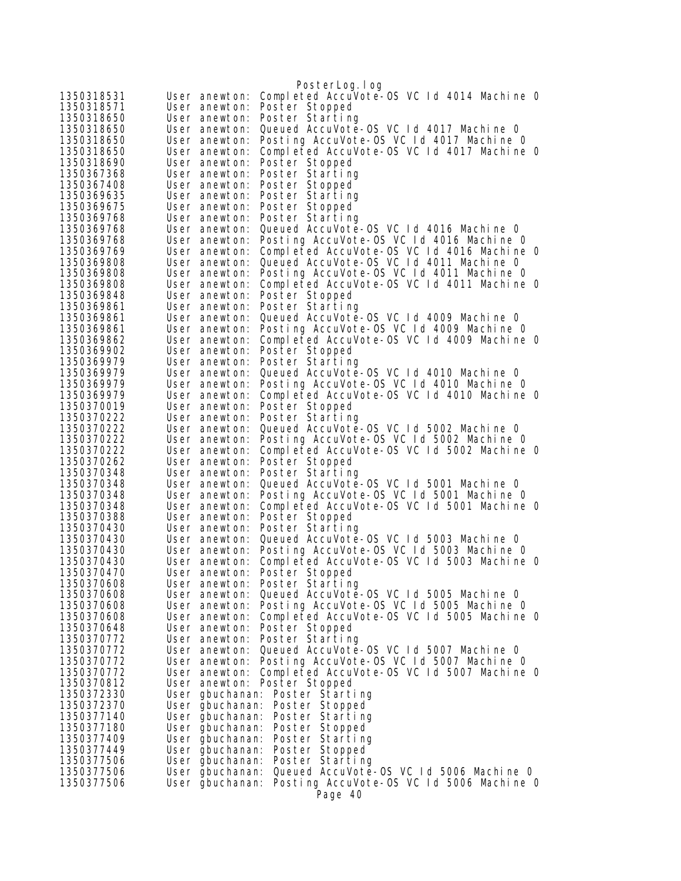|                          |                                    | PosterLog.log                                                                       |
|--------------------------|------------------------------------|-------------------------------------------------------------------------------------|
| 1350318531               | User anewton:                      | Completed AccuVote-OS VC 1d 4014 Machine 0                                          |
| 1350318571               | User anewton:                      | Poster Stopped                                                                      |
| 1350318650               | User anewton:                      | Poster Starting                                                                     |
| 1350318650               | User anewton:                      | Queued AccuVote-OS VC 1d 4017 Machine 0                                             |
| 1350318650               | User anewton:                      | Posting AccuVote-OS VC 1d 4017 Machine 0                                            |
| 1350318650               | User anewton:                      | Completed AccuVote-OS VC 1d 4017 Machine 0                                          |
| 1350318690               | User anewton:                      | Poster Stopped                                                                      |
| 1350367368               | User anewton:                      | Poster Starting                                                                     |
| 1350367408               | User anewton:                      | Poster Stopped                                                                      |
| 1350369635               | User anewton:                      | Poster Starting                                                                     |
| 1350369675               | User anewton:                      | Poster Stopped                                                                      |
| 1350369768               | User anewton:                      | Poster Starting                                                                     |
| 1350369768               | User anewton:                      | Queued AccuVote-0S VC 1d 4016 Machine 0<br>Posting AccuVote-OS VC Id 4016 Machine O |
| 1350369768<br>1350369769 | User anewton:<br>User anewton:     | Completed AccuVote-OS VC 1d 4016 Machine 0                                          |
| 1350369808               | User anewton:                      | Queued AccuVote-OS VC 1d 4011 Machine 0                                             |
| 1350369808               | User anewton:                      | Posting AccuVote-OS VC 1d 4011 Machine 0                                            |
| 1350369808               | User anewton:                      | Completed AccuVote-OS VC 1d 4011 Machine 0                                          |
| 1350369848               | User anewton:                      | Poster Stopped                                                                      |
| 1350369861               | User anewton:                      | Poster Starting                                                                     |
| 1350369861               | User anewton:                      | Queued AccuVote-OS VC 1d 4009 Machine 0                                             |
| 1350369861               | User anewton:                      | Posting AccuVote-OS VC 1d 4009 Machine 0                                            |
| 1350369862               | User anewton:                      | Completed AccuVote-OS VC 1d 4009 Machine 0                                          |
| 1350369902               | User anewton:                      | Poster Stopped                                                                      |
| 1350369979               | User anewton:                      | Poster Starting                                                                     |
| 1350369979               | User anewton:                      | Queued AccuVote-0S VC Id 4010 Machine 0                                             |
| 1350369979               | User anewton:                      | Posting AccuVote-OS VC 1d 4010 Machine 0                                            |
| 1350369979               | User anewton:                      | Completed AccuVote-0S VC 1d 4010 Machine 0                                          |
| 1350370019               | User anewton:                      | Poster Stopped                                                                      |
| 1350370222               | User anewton:                      | Poster Starting                                                                     |
| 1350370222<br>1350370222 | User anewton:<br>User anewton:     | Queued AccuVote-0S VC Id 5002 Machine 0<br>Posting AccuVote-OS VC Id 5002 Machine O |
| 1350370222               | User anewton:                      | Completed AccuVote-OS VC Id 5002 Machine 0                                          |
| 1350370262               | User anewton:                      | Poster Stopped                                                                      |
| 1350370348               | User anewton:                      | Poster Starting                                                                     |
| 1350370348               | User anewton:                      | Queued AccuVote-OS VC 1d 5001 Machine 0                                             |
| 1350370348               | User anewton:                      | Posting AccuVote-OS VC 1d 5001 Machine 0                                            |
| 1350370348               | User anewton:                      | Completed AccuVote-OS VC 1d 5001 Machine 0                                          |
| 1350370388               | User anewton:                      | Poster Stopped                                                                      |
| 1350370430               | User anewton:                      | Poster Starting                                                                     |
| 1350370430               | User anewton:                      | Queued AccuVote-0S VC 1d 5003 Machine 0                                             |
| 1350370430               | User anewton:                      | Posting AccuVote-OS VC 1d 5003 Machine 0                                            |
| 1350370430               | User anewton:                      | Completed AccuVote-OS VC 1d 5003 Machine 0                                          |
| 1350370470               |                                    | User anewton: Poster Stopped<br>User anewton: Poster Starting                       |
| 1350370608<br>1350370608 |                                    | User anewton: Queued AccuVote-OS VC 1d 5005 Machine 0                               |
| 1350370608               |                                    | User anewton: Posting AccuVote-OS VC Id 5005 Machine O                              |
| 1350370608               | User anewton:                      | Completed AccuVote-OS VC Id 5005 Machine O                                          |
| 1350370648               | User anewton: Poster Stopped       |                                                                                     |
| 1350370772               |                                    | User anewton: Poster Starting                                                       |
| 1350370772               | User anewton:                      | Queued AccuVote-OS VC 1d 5007 Machine 0                                             |
| 1350370772               |                                    | User anewton: Posting AccuVote-OS VC Id 5007 Machine 0                              |
| 1350370772               |                                    | User anewton: Completed AccuVote-OS VC 1d 5007 Machine 0                            |
| 1350370812               | User anewton: Poster Stopped       |                                                                                     |
| 1350372330               |                                    | User gbuchanan: Poster Starting                                                     |
| 1350372370               |                                    | User gbuchanan: Poster Stopped                                                      |
| 1350377140               | User gbuchanan:                    | Poster Starting                                                                     |
| 1350377180               |                                    | User gbuchanan: Poster Stopped                                                      |
| 1350377409               | User gbuchanan:                    | Poster Starting                                                                     |
| 1350377449               |                                    | User gbuchanan: Poster Stopped                                                      |
| 1350377506<br>1350377506 |                                    | User gbuchanan: Poster Starting<br>Queued AccuVote-OS VC 1d 5006 Machine 0          |
| 1350377506               | User gbuchanan:<br>User gbuchanan: | Posting AccuVote-OS VC Id 5006 Machine O                                            |
|                          |                                    | Page 40                                                                             |
|                          |                                    |                                                                                     |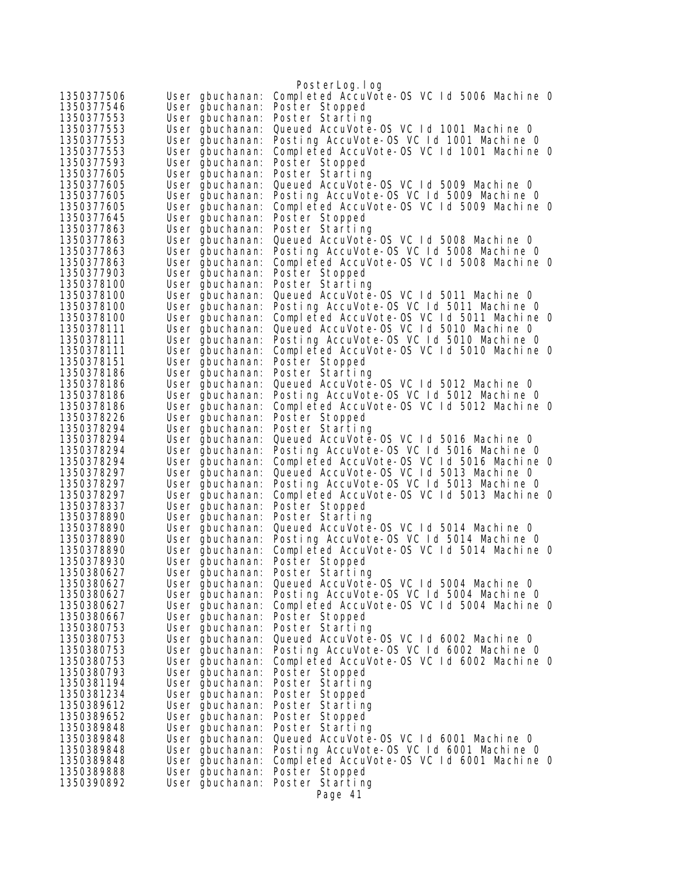|                          |                                    | PosterLog.log                                                                          |
|--------------------------|------------------------------------|----------------------------------------------------------------------------------------|
| 1350377506               | User gbuchanan:                    | Completed AccuVote-0S VC 1d 5006 Machine 0                                             |
| 1350377546               | User gbuchanan:                    | Poster Stopped                                                                         |
| 1350377553               | User gbuchanan:                    | Poster Starting                                                                        |
| 1350377553               | User gbuchanan:                    | Queued AccuVote-0S VC 1d 1001 Machine 0                                                |
| 1350377553               | User gbuchanan:                    | Posting AccuVote-OS VC 1d 1001 Machine 0                                               |
| 1350377553               | User gbuchanan:                    | Completed AccuVote-OS VC 1d 1001 Machine 0                                             |
| 1350377593               | User gbuchanan:                    | Poster Stopped                                                                         |
| 1350377605               | User gbuchanan:                    | Poster Starting                                                                        |
| 1350377605               | User gbuchanan:                    | Queued AccuVote-OS VC 1d 5009 Machine 0                                                |
| 1350377605               | User gbuchanan:                    | Posting AccuVote-OS VC Id 5009 Machine 0                                               |
| 1350377605<br>1350377645 | User gbuchanan:                    | Completed AccuVote-OS VC 1d 5009 Machine 0<br>Poster Stopped                           |
| 1350377863               | User gbuchanan:<br>User gbuchanan: | Poster Starting                                                                        |
| 1350377863               | User gbuchanan:                    | Queued AccuVote-OS VC 1d 5008 Machine 0                                                |
| 1350377863               | User gbuchanan:                    | Posting AccuVote-OS VC Id 5008 Machine 0                                               |
| 1350377863               | User gbuchanan:                    | Completed AccuVote-OS VC 1d 5008 Machine 0                                             |
| 1350377903               | User gbuchanan:                    | Poster Stopped                                                                         |
| 1350378100               | User gbuchanan:                    | Poster Starting                                                                        |
| 1350378100               | User gbuchanan:                    | Queued AccuVote-OS VC 1d 5011 Machine 0                                                |
| 1350378100               | User gbuchanan:                    | Posting AccuVote-OS VC 1d 5011 Machine 0                                               |
| 1350378100               | User gbuchanan:                    | Completed AccuVote-0S VC 1d 5011 Machine 0                                             |
| 1350378111               | User gbuchanan:                    | Queued AccuVote-OS VC 1d 5010 Machine 0                                                |
| 1350378111<br>1350378111 | User gbuchanan:<br>User gbuchanan: | Posting AccuVote-OS VC Id 5010 Machine O<br>Completed AccuVote-OS VC 1d 5010 Machine 0 |
| 1350378151               | User gbuchanan:                    | Poster Stopped                                                                         |
| 1350378186               | User gbuchanan:                    | Poster Starting                                                                        |
| 1350378186               | User gbuchanan:                    | Queued AccuVote-OS VC 1d 5012 Machine 0                                                |
| 1350378186               | User gbuchanan:                    | Posting AccuVote-OS VC 1d 5012 Machine O                                               |
| 1350378186               | User gbuchanan:                    | Completed AccuVote-OS VC 1d 5012 Machine 0                                             |
| 1350378226               | User gbuchanan:                    | Poster Stopped                                                                         |
| 1350378294               | User gbuchanan:                    | Poster Starting                                                                        |
| 1350378294<br>1350378294 | User gbuchanan:                    | Queued AccuVote-0S VC Id 5016 Machine 0<br>Posting AccuVote-OS VC Id 5016 Machine O    |
| 1350378294               | User gbuchanan:<br>User gbuchanan: | Completed AccuVote-OS VC 1d 5016 Machine 0                                             |
| 1350378297               | User gbuchanan:                    | Queued AccuVote-OS VC 1d 5013 Machine 0                                                |
| 1350378297               | User gbuchanan:                    | Posting AccuVote-OS VC 1d 5013 Machine 0                                               |
| 1350378297               | User gbuchanan:                    | Completed AccuVote-OS VC 1d 5013 Machine 0                                             |
| 1350378337               | User gbuchanan:                    | Poster Stopped                                                                         |
| 1350378890               | User gbuchanan:                    | Poster Starting                                                                        |
| 1350378890               | User gbuchanan:                    | Queued AccuVote-0S VC 1d 5014 Machine 0                                                |
| 1350378890<br>1350378890 | User gbuchanan:<br>User ğbuchanan: | Posting AccuVote-OS VC Id 5014 Machine O<br>Completed AccuVote-OS VC Id 5014 Machine O |
| 1350378930               | User gbuchanan:                    | Poster Stopped                                                                         |
| 1350380627               | User gbuchanan:                    | Poster Starting                                                                        |
| 1350380627               | User gbuchanan:                    | Queued AccuVote-OS VC 1d 5004 Machine 0                                                |
| 1350380627               | User gbuchanan:                    | Posting AccuVote-OS VC 1d 5004 Machine 0                                               |
| 1350380627               | User gbuchanan:                    | Completed AccuVote-OS VC Id 5004 Machine O                                             |
| 1350380667               | User gbuchanan:                    | Poster Stopped                                                                         |
| 1350380753               | User gbuchanan:                    | Poster Starting                                                                        |
| 1350380753               | User gbuchanan:                    | Queued AccuVote-OS VC Id 6002 Machine O                                                |
| 1350380753<br>1350380753 | User gbuchanan:                    | Posting AccuVote-OS VC 1d 6002 Machine 0<br>Completed AccuVote-OS VC 1d 6002 Machine 0 |
| 1350380793               | User gbuchanan:<br>User gbuchanan: | Poster Stopped                                                                         |
| 1350381194               | User gbuchanan:                    | Poster Starting                                                                        |
| 1350381234               | User gbuchanan:                    | Poster Stopped                                                                         |
| 1350389612               | User gbuchanan:                    | Poster Starting                                                                        |
| 1350389652               | User gbuchanan:                    | Poster Stopped                                                                         |
| 1350389848               | User gbuchanan:                    | Poster Starting                                                                        |
| 1350389848               | User gbuchanan:                    | Queued AccuVote-OS VC 1d 6001 Machine 0                                                |
| 1350389848               | User gbuchanan:                    | Posting AccuVote-OS VC Id 6001 Machine O<br>Completed AccuVote-OS VC Id 6001 Machine O |
| 1350389848<br>1350389888 | User gbuchanan:<br>User gbuchanan: | Poster Stopped                                                                         |
| 1350390892               | User gbuchanan:                    | Poster Starting                                                                        |
|                          |                                    | Page 41                                                                                |
|                          |                                    |                                                                                        |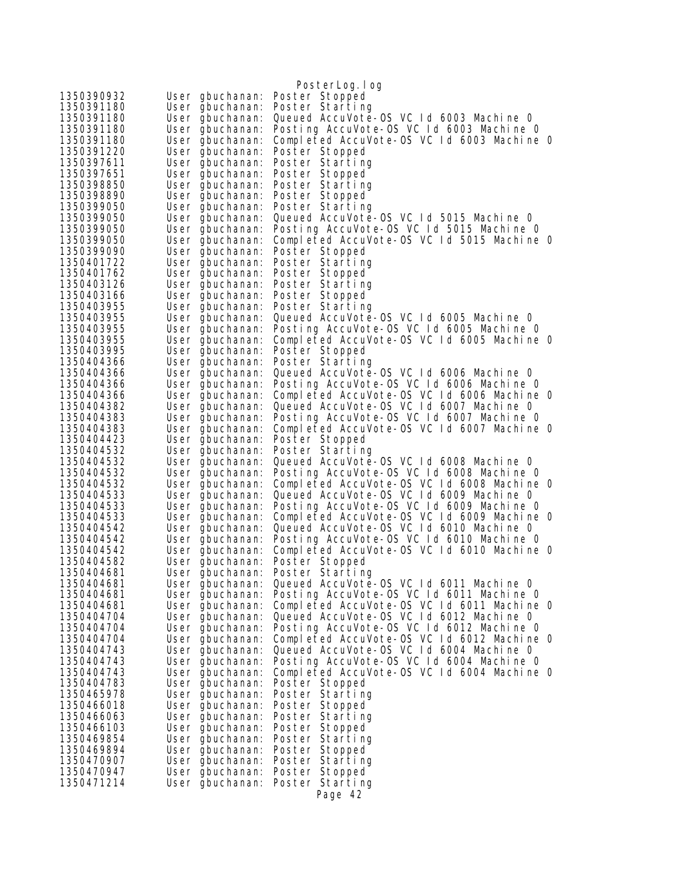|                                                                | PosterLog.log                                                                          |
|----------------------------------------------------------------|----------------------------------------------------------------------------------------|
| 1350390932<br>User gbuchanan:                                  | Poster Stopped                                                                         |
| 1350391180<br>User gbuchanan:                                  | Poster Starting                                                                        |
| 1350391180<br>User gbuchanan:                                  | Queued AccuVote-OS VC Id 6003 Machine 0                                                |
| 1350391180<br>User gbuchanan:                                  | Posting AccuVote-OS VC Id 6003 Machine 0                                               |
| 1350391180<br>User gbuchanan:                                  | Completed AccuVote-OS VC 1d 6003 Machine 0                                             |
| 1350391220<br>User gbuchanan:                                  | Poster Stopped                                                                         |
| 1350397611<br>User gbuchanan:                                  | Poster Starting                                                                        |
| 1350397651<br>User gbuchanan:                                  | Poster Stopped                                                                         |
| 1350398850<br>User gbuchanan:                                  | Poster Starting                                                                        |
| 1350398890<br>User gbuchanan:                                  | Poster Stopped                                                                         |
| 1350399050<br>User gbuchanan:                                  | Poster Starting<br>Queued AccuVote-OS VC 1d 5015 Machine 0                             |
| 1350399050<br>User gbuchanan:<br>1350399050<br>User gbuchanan: | Posting AccuVote-OS VC 1d 5015 Machine 0                                               |
| 1350399050<br>User gbuchanan:                                  | Completed AccuVote-OS VC 1d 5015 Machine 0                                             |
| 1350399090<br>User gbuchanan:                                  | Poster Stopped                                                                         |
| 1350401722<br>User gbuchanan:                                  | Poster Starting                                                                        |
| 1350401762<br>User gbuchanan:                                  | Poster Stopped                                                                         |
| 1350403126<br>User gbuchanan:                                  | Poster Starting                                                                        |
| 1350403166<br>User gbuchanan:                                  | Poster Stopped                                                                         |
| 1350403955<br>User gbuchanan:                                  | Poster Starting                                                                        |
| 1350403955<br>User gbuchanan:                                  | Queued AccuVote-OS VC 1d 6005 Machine 0                                                |
| 1350403955<br>User gbuchanan:                                  | Posting AccuVote-OS VC Id 6005 Machine O                                               |
| 1350403955<br>User gbuchanan:                                  | Completed AccuVote-OS VC 1d 6005 Machine 0                                             |
| 1350403995<br>User gbuchanan:                                  | Poster Stopped                                                                         |
| 1350404366<br>User gbuchanan:<br>1350404366                    | Poster Starting<br>Queued AccuVote-OS VC Id 6006 Machine 0                             |
| User gbuchanan:<br>1350404366<br>User gbuchanan:               | Posting AccuVote-OS VC Id 6006 Machine O                                               |
| 1350404366<br>User gbuchanan:                                  | Completed AccuVote-OS VC 1d 6006 Machine 0                                             |
| 1350404382<br>User gbuchanan:                                  | Queued AccuVote-OS VC Id 6007 Machine 0                                                |
| 1350404383<br>User gbuchanan:                                  | Posting AccuVote-OS VC Id 6007 Machine 0                                               |
| 1350404383<br>User gbuchanan:                                  | Completed AccuVote-OS VC 1d 6007 Machine 0                                             |
| 1350404423<br>User gbuchanan:                                  | Poster Stopped                                                                         |
| 1350404532<br>User gbuchanan:                                  | Poster Starting                                                                        |
| 1350404532<br>User gbuchanan:                                  | Queued AccuVote-OS VC Id 6008 Machine 0                                                |
| 1350404532<br>User gbuchanan:                                  | Posting AccuVote-OS VC Id 6008 Machine 0                                               |
| 1350404532<br>User gbuchanan:<br>1350404533                    | Completed AccuVote-OS VC 1d 6008 Machine 0<br>Queued AccuVote-OS VC Id 6009 Machine 0  |
| User gbuchanan:<br>1350404533<br>User gbuchanan:               | Posting AccuVote-OS VC Id 6009 Machine O                                               |
| 1350404533<br>User gbuchanan:                                  | Completed AccuVote-OS VC 1d 6009 Machine 0                                             |
| 1350404542<br>User gbuchanan:                                  | Queued AccuVote-OS VC Id 6010 Machine 0                                                |
| 1350404542<br>User gbuchanan:                                  | Posting AccuVote-OS VC Id 6010 Machine 0                                               |
| 1350404542<br>User gbuchanan:                                  | Completed AccuVote-OS VC 1d 6010 Machine 0                                             |
| 1350404582<br>User gbuchanan:                                  | Poster Stopped                                                                         |
| 1350404681<br>User gbuchanan:                                  | Poster Starting                                                                        |
| 1350404681<br>User gbuchanan:                                  | Queued AccuVote-0S VC 1d 6011 Machine 0                                                |
| 1350404681<br>User gbuchanan:                                  | Posting AccuVote-OS VC Id 6011 Machine O<br>Completed AccuVote-OS VC 1d 6011 Machine 0 |
| 1350404681<br>User gbuchanan:<br>1350404704<br>User gbuchanan: | Queued AccuVote-OS VC Id 6012 Machine 0                                                |
| 1350404704<br>User gbuchanan:                                  | Posting AccuVote-OS VC Id 6012 Machine O                                               |
| 1350404704<br>User gbuchanan:                                  | Completed AccuVote-OS VC 1d 6012 Machine 0                                             |
| 1350404743<br>User gbuchanan:                                  | Queued AccuVote-OS VC Id 6004 Machine 0                                                |
| 1350404743<br>User gbuchanan:                                  | Posting AccuVote-OS VC Id 6004 Machine 0                                               |
| 1350404743<br>User gbuchanan:                                  | Completed AccuVote-OS VC 1d 6004 Machine 0                                             |
| 1350404783<br>User gbuchanan:                                  | Poster Stopped                                                                         |
| 1350465978<br>User gbuchanan:                                  | Poster Starting                                                                        |
| 1350466018<br>User gbuchanan:                                  | Poster Stopped                                                                         |
| 1350466063<br>User gbuchanan:                                  | Poster Starting                                                                        |
| 1350466103<br>User gbuchanan:<br>1350469854                    | Poster Stopped                                                                         |
| User gbuchanan:<br>1350469894<br>User gbuchanan:               | Poster Starting<br>Poster Stopped                                                      |
| 1350470907<br>User gbuchanan:                                  | Poster Starting                                                                        |
| 1350470947<br>User gbuchanan:                                  | Poster Stopped                                                                         |
| 1350471214<br>User gbuchanan:                                  | Poster Starting                                                                        |
|                                                                | Page 42                                                                                |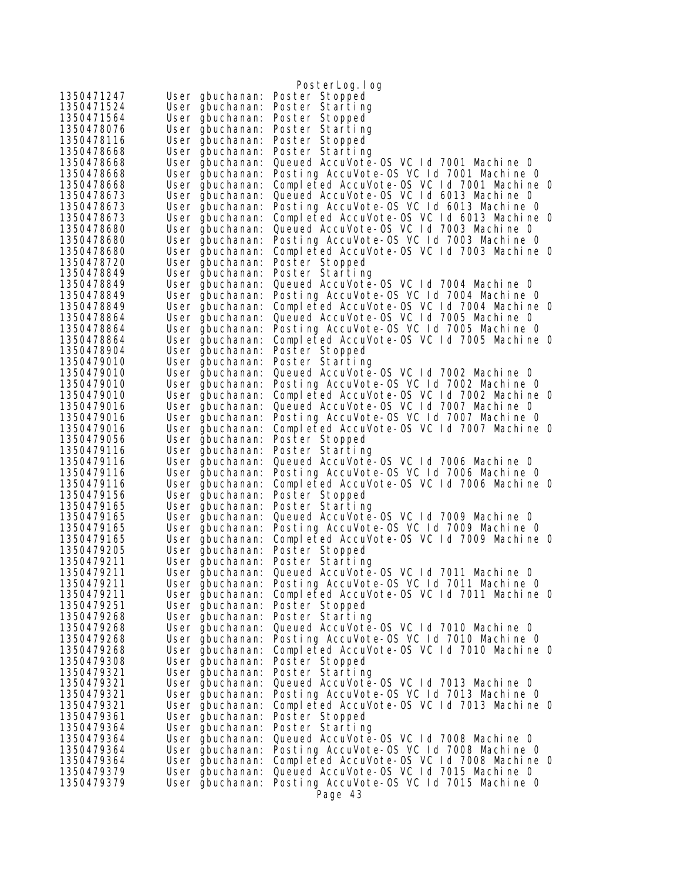|                          |                                    | PosterLog. I og                                                                        |
|--------------------------|------------------------------------|----------------------------------------------------------------------------------------|
| 1350471247               | User gbuchanan:                    | Poster Stopped                                                                         |
| 1350471524               | User gbuchanan:                    | Poster Starting                                                                        |
| 1350471564               | User gbuchanan:                    | Poster Stopped                                                                         |
| 1350478076               | User gbuchanan:                    | Poster Starting                                                                        |
| 1350478116               | User gbuchanan:                    | Poster Stopped                                                                         |
| 1350478668               | User gbuchanan:                    | Poster Starting                                                                        |
| 1350478668               | User gbuchanan:                    | Queued AccuVote-OS VC Id 7001 Machine O                                                |
| 1350478668               | User gbuchanan:                    | Posting AccuVote-OS VC 1d 7001 Machine 0                                               |
| 1350478668               | User gbuchanan:                    | Completed AccuVote-OS VC 1d 7001 Machine 0                                             |
| 1350478673               | User gbuchanan:                    | Queued AccuVote-OS VC 1d 6013 Machine 0                                                |
| 1350478673               | User gbuchanan:                    | Posting AccuVote-OS VC Id 6013 Machine O                                               |
| 1350478673               | User gbuchanan:                    | Completed AccuVote-OS VC 1d 6013 Machine 0                                             |
| 1350478680               | User gbuchanan:                    | Queued AccuVote-OS VC Id 7003 Machine 0<br>Posting AccuVote-OS VC Id 7003 Machine 0    |
| 1350478680<br>1350478680 | User gbuchanan:                    | Completed AccuVote-OS VC 1d 7003 Machine 0                                             |
| 1350478720               | User gbuchanan:<br>User gbuchanan: | Poster Stopped                                                                         |
| 1350478849               | User gbuchanan:                    | Poster Starting                                                                        |
| 1350478849               | User gbuchanan:                    | Queued AccuVote-OS VC 1d 7004 Machine 0                                                |
| 1350478849               | User gbuchanan:                    | Posting AccuVote-OS VC 1d 7004 Machine 0                                               |
| 1350478849               | User gbuchanan:                    | Completed AccuVote-OS VC 1d 7004 Machine 0                                             |
| 1350478864               | User gbuchanan:                    | Queued AccuVote-OS VC Id 7005 Machine 0                                                |
| 1350478864               | User gbuchanan:                    | Posting AccuVote-OS VC 1d 7005 Machine 0                                               |
| 1350478864               | User gbuchanan:                    | Completed AccuVote-OS VC 1d 7005 Machine 0                                             |
| 1350478904               | User gbuchanan:                    | Poster Stopped                                                                         |
| 1350479010               | User gbuchanan:                    | Poster Starting                                                                        |
| 1350479010               | User gbuchanan:                    | Queued AccuVote-0S VC 1d 7002 Machine 0                                                |
| 1350479010               | User gbuchanan:                    | Posting AccuVote-OS VC Id 7002 Machine O                                               |
| 1350479010               | User gbuchanan:                    | Completed AccuVote-OS VC 1d 7002 Machine 0<br>Queued AccuVote-OS VC Id 7007 Machine 0  |
| 1350479016<br>1350479016 | User gbuchanan:<br>User gbuchanan: | Posting AccuVote-OS VC Id 7007 Machine O                                               |
| 1350479016               | User gbuchanan:                    | Completed AccuVote-OS VC 1d 7007 Machine 0                                             |
| 1350479056               | User gbuchanan:                    | Poster Stopped                                                                         |
| 1350479116               | User gbuchanan:                    | Poster Starting                                                                        |
| 1350479116               | User gbuchanan:                    | Queued AccuVote-OS VC 1d 7006 Machine 0                                                |
| 1350479116               | User gbuchanan:                    | Posting AccuVote-OS VC Id 7006 Machine 0                                               |
| 1350479116               | User gbuchanan:                    | Completed AccuVote-OS VC 1d 7006 Machine 0                                             |
| 1350479156               | User gbuchanan:                    | Poster Stopped                                                                         |
| 1350479165               | User gbuchanan:                    | Poster Starting                                                                        |
| 1350479165               | User gbuchanan:                    | Queued AccuVote-0S VC Id 7009 Machine 0                                                |
| 1350479165               | User gbuchanan:                    | Posting AccuVote-OS VC 1d 7009 Machine 0                                               |
| 1350479165<br>1350479205 | User gbuchanan:                    | Completed AccuVote-OS VC 1d 7009 Machine 0                                             |
| 1350479211               | User gbuchanan:<br>User gbuchanan: | Poster Stopped<br>Poster Starting                                                      |
| 1350479211               | User gbuchanan:                    | Queued AccuVote-0S VC Id 7011 Machine 0                                                |
| 1350479211               | User gbuchanan:                    | Posting AccuVote-OS VC Id 7011 Machine O                                               |
| 1350479211               | User gbuchanan:                    | Completed AccuVote-OS VC 1d 7011 Machine 0                                             |
| 1350479251               | User gbuchanan:                    | Poster Stopped                                                                         |
| 1350479268               | User gbuchanan:                    | Poster Starting                                                                        |
| 1350479268               | User gbuchanan:                    | Queued AccuVote-0S VC 1d 7010 Machine 0                                                |
| 1350479268               | User gbuchanan:                    | Posting AccuVote-OS VC Id 7010 Machine 0                                               |
| 1350479268               | User gbuchanan:                    | Completed AccuVote-OS VC 1d 7010 Machine 0                                             |
| 1350479308               | User gbuchanan:                    | Poster Stopped                                                                         |
| 1350479321               | User gbuchanan:                    | Poster Starting                                                                        |
| 1350479321               | User gbuchanan:                    | Queued AccuVote-OS VC 1d 7013 Machine 0                                                |
| 1350479321<br>1350479321 | User gbuchanan:                    | Posting AccuVote-OS VC Id 7013 Machine O<br>Completed AccuVote-OS VC Id 7013 Machine O |
| 1350479361               | User gbuchanan:<br>User gbuchanan: | Poster Stopped                                                                         |
| 1350479364               | User gbuchanan:                    | Poster Starting                                                                        |
| 1350479364               | User gbuchanan:                    | Queued AccuVote-OS VC 1d 7008 Machine 0                                                |
| 1350479364               | User gbuchanan:                    | Posting AccuVote-OS VC Id 7008 Machine 0                                               |
| 1350479364               | User gbuchanan:                    | Completed AccuVote-OS VC 1d 7008 Machine 0                                             |
| 1350479379               | User gbuchanan:                    | Queued AccuVote-OS VC 1d 7015 Machine 0                                                |
| 1350479379               | User gbuchanan:                    | Posting AccuVote-OS VC 1d 7015 Machine 0                                               |
|                          |                                    | Page 43                                                                                |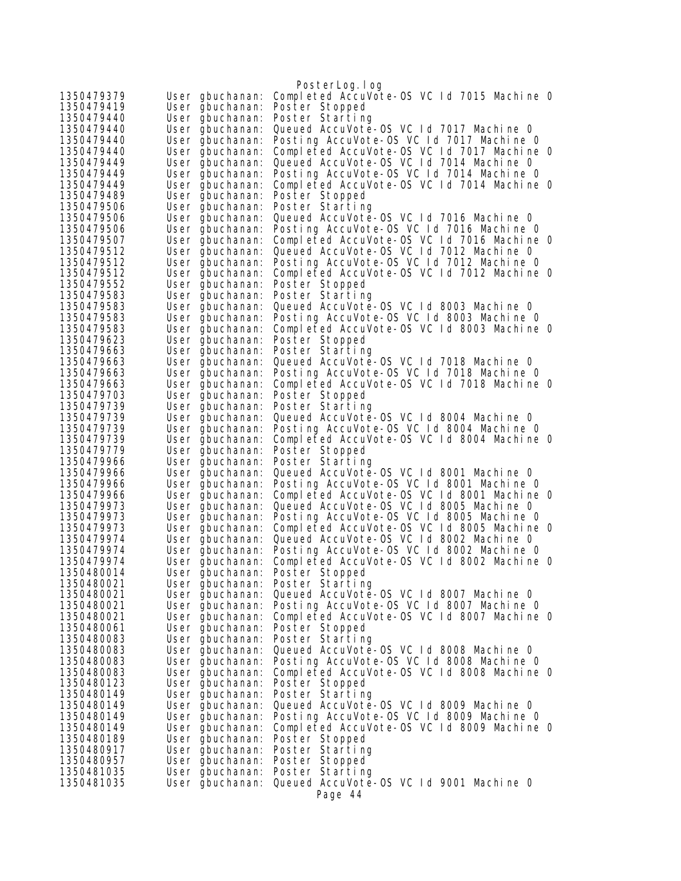|                          |                                    | PosterLog.log                                                                          |
|--------------------------|------------------------------------|----------------------------------------------------------------------------------------|
| 1350479379               | User gbuchanan:                    | Completed AccuVote-0S VC 1d 7015 Machine 0                                             |
| 1350479419               | User gbuchanan:                    | Poster Stopped                                                                         |
| 1350479440               | User gbuchanan:                    | Poster Starting                                                                        |
| 1350479440               | User gbuchanan:                    | Queued AccuVote-0S VC 1d 7017 Machine 0                                                |
| 1350479440               | User gbuchanan:                    | Posting AccuVote-OS VC Id 7017 Machine O                                               |
| 1350479440               | User gbuchanan:                    | Completed AccuVote-OS VC 1d 7017 Machine 0                                             |
| 1350479449               | User gbuchanan:                    | Queued AccuVote-OS VC Id 7014 Machine 0                                                |
| 1350479449               | User gbuchanan:                    | Posting AccuVote-OS VC Id 7014 Machine O                                               |
| 1350479449               | User gbuchanan:                    | Completed AccuVote-OS VC 1d 7014 Machine 0                                             |
| 1350479489               | User gbuchanan:                    | Poster Stopped                                                                         |
| 1350479506               | User gbuchanan:                    | Poster Starting                                                                        |
| 1350479506               | User gbuchanan:                    | Queued AccuVote-OS VC 1d 7016 Machine 0                                                |
| 1350479506               | User gbuchanan:                    | Posting AccuVote-OS VC 1d 7016 Machine O                                               |
| 1350479507               | User gbuchanan:                    | Completed AccuVote-OS VC 1d 7016 Machine 0                                             |
| 1350479512               | User gbuchanan:                    | Queued AccuVote-OS VC 1d 7012 Machine 0                                                |
| 1350479512               | User gbuchanan:                    | Posting AccuVote-OS VC 1d 7012 Machine 0<br>Completed AccuVote-OS VC 1d 7012 Machine O |
| 1350479512<br>1350479552 | User gbuchanan:                    |                                                                                        |
| 1350479583               | User gbuchanan:                    | Poster Stopped<br>Poster Starting                                                      |
| 1350479583               | User gbuchanan:<br>User gbuchanan: | Queued AccuVote-0S VC 1d 8003 Machine 0                                                |
| 1350479583               | User gbuchanan:                    | Posting AccuVote-OS VC 1d 8003 Machine 0                                               |
| 1350479583               | User gbuchanan:                    | Completed AccuVote-OS VC Id 8003 Machine 0                                             |
| 1350479623               | User gbuchanan:                    | Poster Stopped                                                                         |
| 1350479663               | User gbuchanan:                    | Poster Starting                                                                        |
| 1350479663               | User gbuchanan:                    | Queued AccuVote-OS VC 1d 7018 Machine 0                                                |
| 1350479663               | User gbuchanan:                    | Posting AccuVote-OS VC Id 7018 Machine O                                               |
| 1350479663               | User gbuchanan:                    | Completed AccuVote-OS VC Id 7018 Machine O                                             |
| 1350479703               | User gbuchanan:                    | Poster Stopped                                                                         |
| 1350479739               | User gbuchanan:                    | Poster Starting                                                                        |
| 1350479739               | User gbuchanan:                    | Queued AccuVote-OS VC 1d 8004 Machine 0                                                |
| 1350479739               | User gbuchanan:                    | Posting AccuVote-OS VC 1d 8004 Machine 0                                               |
| 1350479739               | User gbuchanan:                    | Completed AccuVote-OS VC 1d 8004 Machine 0                                             |
| 1350479779               | User gbuchanan:                    | Poster Stopped                                                                         |
| 1350479966               | User gbuchanan:                    | Poster Starting                                                                        |
| 1350479966               | User gbuchanan:                    | Queued AccuVote-OS VC 1d 8001 Machine 0                                                |
| 1350479966               | User gbuchanan:                    | Posting AccuVote-OS VC Id 8001 Machine O                                               |
| 1350479966               | User gbuchanan:                    | Completed AccuVote-OS VC 1d 8001 Machine 0                                             |
| 1350479973               | User gbuchanan:                    | Queued AccuVote-OS VC 1d 8005 Machine 0                                                |
| 1350479973               | User gbuchanan:                    | Posting AccuVote-OS VC Id 8005 Machine O                                               |
| 1350479973<br>1350479974 | User gbuchanan:                    | Completed AccuVote-OS VC 1d 8005 Machine 0<br>Queued AccuVote-OS VC 1d 8002 Machine 0  |
| 1350479974               | User gbuchanan:                    | Posting AccuVote-OS VC Id 8002 Machine 0                                               |
| 1350479974               | User gbuchanan:<br>User gbuchanan: | Completed AccuVote-OS VC 1d 8002 Machine 0                                             |
| 1350480014               | User gbuchanan:                    | Poster Stopped                                                                         |
| 1350480021               | User gbuchanan:                    | Poster Starting                                                                        |
| 1350480021               | User gbuchanan:                    | Queued AccuVote-OS VC 1d 8007 Machine 0                                                |
| 1350480021               | User gbuchanan:                    | Posting AccuVote-OS VC Id 8007 Machine O                                               |
| 1350480021               | User gbuchanan:                    | Completed AccuVote-OS VC Id 8007 Machine O                                             |
| 1350480061               | User gbuchanan:                    | Poster Stopped                                                                         |
| 1350480083               | User gbuchanan:                    | Poster Starting                                                                        |
| 1350480083               | User gbuchanan:                    | Queued AccuVote-OS VC Id 8008 Machine 0                                                |
| 1350480083               | User gbuchanan:                    | Posting AccuVote-OS VC Id 8008 Machine 0                                               |
| 1350480083               | User gbuchanan:                    | Completed AccuVote-OS VC 1d 8008 Machine 0                                             |
| 1350480123               | User gbuchanan:                    | Poster Stopped                                                                         |
| 1350480149               | User gbuchanan:                    | Poster Starting                                                                        |
| 1350480149               | User gbuchanan:                    | Queued AccuVote-OS VC Id 8009 Machine O                                                |
| 1350480149               | User gbuchanan:                    | Posting AccuVote-OS VC Id 8009 Machine 0                                               |
| 1350480149               | User gbuchanan:                    | Completed AccuVote-OS VC Id 8009 Machine 0                                             |
| 1350480189               | User gbuchanan:                    | Poster Stopped                                                                         |
| 1350480917               | User gbuchanan:                    | Poster Starting                                                                        |
| 1350480957               | User gbuchanan:                    | Poster Stopped                                                                         |
| 1350481035               | User gbuchanan:                    | Poster Starting                                                                        |
| 1350481035               | User gbuchanan:                    | Queued AccuVote-OS VC 1d 9001 Machine 0                                                |
|                          |                                    | Page 44                                                                                |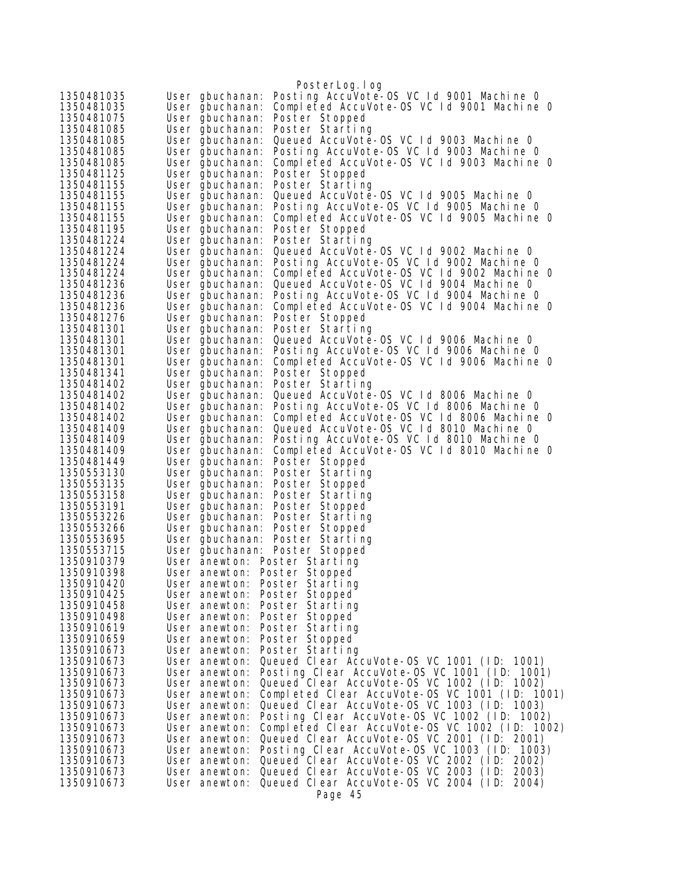|                          |                                    | PosterLog.log                                                  |
|--------------------------|------------------------------------|----------------------------------------------------------------|
| 1350481035               | User gbuchanan:                    | Posting AccuVote-0S VC 1d 9001 Machine 0                       |
| 1350481035               | User gbuchanan:                    | Completed AccuVote-OS VC 1d 9001 Machine 0                     |
| 1350481075               | User gbuchanan:                    | Poster Stopped                                                 |
| 1350481085               | User gbuchanan:                    | Poster Starting                                                |
| 1350481085               | User gbuchanan:                    | Queued AccuVote-OS VC 1d 9003 Machine 0                        |
| 1350481085               | User gbuchanan:                    | Posting AccuVote-OS VC Id 9003 Machine O                       |
| 1350481085               | User gbuchanan:                    | Completed AccuVote-OS VC 1d 9003 Machine 0                     |
| 1350481125               | User gbuchanan:                    | Poster Stopped                                                 |
| 1350481155<br>1350481155 | User gbuchanan:                    | Poster Starting<br>Queued AccuVote-OS VC 1d 9005 Machine 0     |
| 1350481155               | User gbuchanan:<br>User gbuchanan: | Posting AccuVote-OS VC 1d 9005 Machine 0                       |
| 1350481155               | User gbuchanan:                    | Completed AccuVote-OS VC 1d 9005 Machine 0                     |
| 1350481195               | User gbuchanan:                    | Poster Stopped                                                 |
| 1350481224               | User gbuchanan:                    | Poster Starting                                                |
| 1350481224               | User gbuchanan:                    | Queued AccuVote-OS VC Id 9002 Machine 0                        |
| 1350481224               | User gbuchanan:                    | Posting AccuVote-OS VC 1d 9002 Machine 0                       |
| 1350481224               | User gbuchanan:                    | Completed AccuVote-OS VC Id 9002 Machine O                     |
| 1350481236               | User gbuchanan:                    | Queued AccuVote-OS VC Id 9004 Machine 0                        |
| 1350481236               | User gbuchanan:                    | Posting AccuVote-OS VC 1d 9004 Machine 0                       |
| 1350481236               | User gbuchanan:                    | Completed AccuVote-OS VC 1d 9004 Machine 0                     |
| 1350481276               | User gbuchanan:                    | Poster Stopped                                                 |
| 1350481301               | User gbuchanan:                    | Poster Starting                                                |
| 1350481301               | User gbuchanan:                    | Queued AccuVote-OS VC Id 9006 Machine O                        |
| 1350481301               | User gbuchanan:                    | Posting AccuVote-OS VC 1d 9006 Machine 0                       |
| 1350481301               | User gbuchanan:                    | Completed AccuVote-OS VC Id 9006 Machine O                     |
| 1350481341<br>1350481402 | User gbuchanan:                    | Poster Stopped<br>Poster Starting                              |
| 1350481402               | User gbuchanan:<br>User gbuchanan: | Queued AccuVote-OS VC Id 8006 Machine O                        |
| 1350481402               | User gbuchanan:                    | Posting AccuVote-OS VC Id 8006 Machine O                       |
| 1350481402               | User gbuchanan:                    | Completed AccuVote-OS VC Id 8006 Machine 0                     |
| 1350481409               | User gbuchanan:                    | Queued AccuVote-OS VC Id 8010 Machine 0                        |
| 1350481409               | User gbuchanan:                    | Posting AccuVote-OS VC Id 8010 Machine O                       |
| 1350481409               | User gbuchanan:                    | Completed AccuVote-OS VC Id 8010 Machine 0                     |
| 1350481449               | User gbuchanan:                    | Poster Stopped                                                 |
| 1350553130               | User gbuchanan:                    | Poster Starting                                                |
| 1350553135               | User gbuchanan:                    | Poster Stopped                                                 |
| 1350553158               | User gbuchanan:                    | Poster Starting                                                |
| 1350553191<br>1350553226 | User gbuchanan:<br>User gbuchanan: | Poster Stopped<br>Poster Starting                              |
| 1350553266               | User gbuchanan:                    | Poster Stopped                                                 |
| 1350553695               | User gbuchanan:                    | Poster Starting                                                |
| 1350553715               | User gbuchanan:                    | Poster Stopped                                                 |
| 1350910379               | User anewton: Poster Starting      |                                                                |
| 1350910398               | User anewton: Poster Stopped       |                                                                |
| 1350910420               | User anewton: Poster Starting      |                                                                |
| 1350910425               | User anewton:                      | Poster Stopped                                                 |
| 1350910458               | User anewton:                      | Poster Starting                                                |
| 1350910498               | User anewton:                      | Poster Stopped                                                 |
| 1350910619               | User anewton:                      | Poster Starting                                                |
| 1350910659               | User anewton:                      | Poster Stopped                                                 |
| 1350910673<br>1350910673 | User anewton:<br>User anewton:     | Poster Starting<br>Queued Clear AccuVote-OS VC 1001 (ID: 1001) |
| 1350910673               | User anewton:                      | Posting Clear AccuVote-OS VC 1001 (ID: 1001)                   |
| 1350910673               | User anewton:                      | Queued Clear AccuVote-OS VC 1002 (ID: 1002)                    |
| 1350910673               | User anewton:                      | Completed Clear AccuVote-OS VC 1001 (ID: 1001)                 |
| 1350910673               | User anewton:                      | Queued Clear AccuVote-OS VC 1003 (ID: 1003)                    |
| 1350910673               | User anewton:                      | Posting Clear AccuVote-OS VC 1002 (ID: 1002)                   |
| 1350910673               | User anewton:                      | Completed Clear AccuVote-OS VC 1002 (ID: 1002)                 |
| 1350910673               | User anewton:                      | Queued Clear AccuVote-OS VC 2001 (ID: 2001)                    |
| 1350910673               | User anewton:                      | Posting Clear AccuVote-OS VC 1003 (ID: 1003)                   |
| 1350910673               | User anewton:                      | Queued Clear AccuVote-OS VC 2002 (ID:<br>2002)                 |
| 1350910673               | User anewton:                      | Queued Clear AccuVote-OS VC 2003 (ID:<br>2003)                 |
| 1350910673               | User anewton:                      | Queued Clear AccuVote-OS VC 2004 (ID:<br>2004)                 |
|                          |                                    | Page 45                                                        |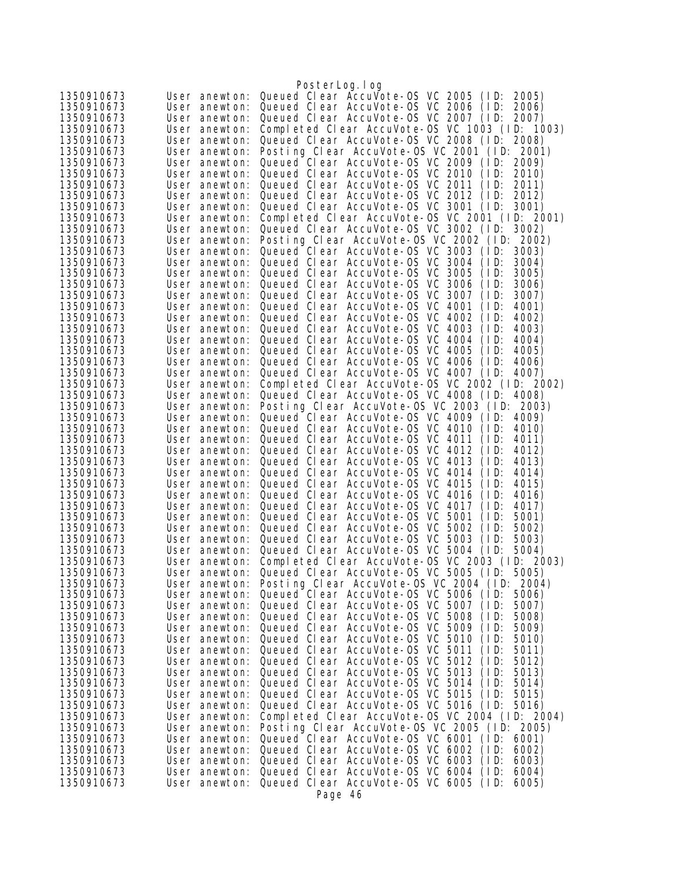|                          |                                | PosterLog.log                                                                                       |
|--------------------------|--------------------------------|-----------------------------------------------------------------------------------------------------|
| 1350910673               | User anewton:                  | Queued Clear AccuVote-OS VC 2005<br>(1D)<br>2005)                                                   |
| 1350910673               | User anewton:                  | Queued Clear AccuVote-0S VC 2006<br>(1D)<br>2006)                                                   |
| 1350910673               | User anewton:                  | Queued Clear AccuVote-OS VC 2007 (ID:<br>2007)                                                      |
| 1350910673               | User anewton:                  | Completed Clear AccuVote-OS VC 1003 (ID: 1003)                                                      |
| 1350910673               | User anewton:                  | Queued Clear AccuVote-OS VC 2008 (ID:<br>2008)                                                      |
| 1350910673               | User anewton:                  | Posting Clear AccuVote-OS VC 2001 (ID: 2001)                                                        |
| 1350910673               | User anewton:                  | Queued Clear AccuVote-0S VC 2009 (ID:<br>2009)                                                      |
| 1350910673               | User anewton:                  | Queued Clear AccuVote-0S VC 2010<br>(1D)<br>2010)                                                   |
| 1350910673               | User anewton:                  | Queued Clear AccuVote-OS VC 2011<br>(1D)<br>2011)                                                   |
| 1350910673               | User anewton:                  | Queued Clear AccuVote-0S VC 2012<br>(1D)<br>2012)                                                   |
| 1350910673               | User anewton:                  | Queued Clear AccuVote-OS VC 3001<br>3001)<br>(1D)                                                   |
| 1350910673               | User anewton:                  | Completed Clear AccuVote-0S VC 2001 (ID: 2001)<br>Queued Clear AccuVote-OS VC 3002 (ID:             |
| 1350910673<br>1350910673 | User anewton:<br>User anewton: | 3002)<br>Posting Clear AccuVote-OS VC 2002 (ID:<br>2002)                                            |
| 1350910673               | User anewton:                  | Queued Clear AccuVote-OS VC 3003<br>(1D)<br>3003)                                                   |
| 1350910673               | User anewton:                  | Queued Clear AccuVote-OS VC 3004<br>3004)<br>(1D)                                                   |
| 1350910673               | User anewton:                  | Queued Clear AccuVote-OS VC 3005<br>(1D)<br>3005)                                                   |
| 1350910673               | User anewton:                  | Queued Clear AccuVote-OS VC 3006<br>3006)<br>(ID:                                                   |
| 1350910673               | User anewton:                  | Queued Clear AccuVote-0S VC 3007<br>(1D)<br>3007)                                                   |
| 1350910673               | User anewton:                  | Queued Clear AccuVote-0S VC 4001<br>(1D)<br>4001)                                                   |
| 1350910673               | User anewton:                  | Queued Clear AccuVote-0S VC 4002<br>(1D)<br>4002)                                                   |
| 1350910673               | User anewton:                  | Queued Clear AccuVote-OS VC 4003<br>(ID:<br>4003)                                                   |
| 1350910673               | User anewton:                  | Queued Clear AccuVote-OS VC 4004<br>4004)<br>(1D)                                                   |
| 1350910673               | User anewton:                  | Queued Clear AccuVote-OS VC 4005<br>(ID:<br>4005)                                                   |
| 1350910673               | User anewton:                  | Queued Clear AccuVote-OS VC 4006<br>(1D)<br>4006)                                                   |
| 1350910673               | User anewton:                  | Queued Clear AccuVote-0S VC 4007<br>(1D)<br>4007)                                                   |
| 1350910673               | User anewton:                  | Completed Clear AccuVote-OS VC 2002 (ID: 2002)                                                      |
| 1350910673<br>1350910673 | User anewton:<br>User anewton: | Queued Clear AccuVote-OS VC 4008 (ID:<br>4008)<br>Posting Clear AccuVote-OS VC 2003 (ID:<br>2003)   |
| 1350910673               | User anewton:                  | Queued Clear AccuVote-OS VC 4009<br>(1D)<br>4009)                                                   |
| 1350910673               | User anewton:                  | Queued Clear AccuVote-OS VC 4010<br>4010)<br>(1D)                                                   |
| 1350910673               | User anewton:                  | Queued Clear AccuVote-OS VC 4011<br>(1D)<br>4011)                                                   |
| 1350910673               | User anewton:                  | Queued Clear AccuVote-OS VC 4012<br>(ID:<br>4012)                                                   |
| 1350910673               | User anewton:                  | Queued Clear AccuVote-OS VC 4013<br>4013)<br>(1D)                                                   |
| 1350910673               | User anewton:                  | Queued Clear AccuVote-OS VC 4014<br>(1D)<br>4014)                                                   |
| 1350910673               | User anewton:                  | Queued Clear AccuVote-OS VC 4015<br>(ID:<br>4015)                                                   |
| 1350910673               | User anewton:                  | Queued Clear AccuVote-0S VC 4016<br>(ID:<br>4016)                                                   |
| 1350910673               | User anewton:                  | Queued Clear AccuVote-OS VC 4017<br>(ID:<br>4017)                                                   |
| 1350910673               | User anewton:                  | Queued Clear AccuVote-OS VC 5001<br>(ID:<br>5001)                                                   |
| 1350910673               | User anewton:                  | Queued Clear AccuVote-0S VC 5002<br>(1D)<br>5002)                                                   |
| 1350910673<br>1350910673 | User anewton:<br>User anewton: | Queued Clear AccuVote-0S VC 5003<br>(1D)<br>5003)<br>Queued Clear AccuVote-OS VC 5004 (ID:          |
| 1350910673               | User anewton:                  | 5004)<br>Completed Clear AccuVote-0S VC 2003 (ID: 2003)                                             |
| 1350910673               | User anewton:                  | Queued Clear AccuVote-OS VC 5005 (ID:<br>5005)                                                      |
| 1350910673               | User anewton:                  | Posting Clear AccuVote-OS VC 2004 (ID: 2004)                                                        |
| 1350910673               | User anewton:                  | Queued Clear AccuVote-OS VC 5006 (ID:<br>5006)                                                      |
| 1350910673               | User anewton:                  | Queued Clear AccuVote-0S VC 5007<br>(1D)<br>5007)                                                   |
| 1350910673               | User anewton:                  | Queued Clear AccuVote-0S VC 5008<br>(1D)<br>5008)                                                   |
| 1350910673               | User anewton:                  | Queued Clear AccuVote-OS VC 5009<br>(1D)<br>5009)                                                   |
| 1350910673               | User anewton:                  | Queued Clear AccuVote-OS VC 5010<br>(1D)<br>5010)                                                   |
| 1350910673               | User anewton:                  | Queued Clear AccuVote-OS VC 5011<br>(1D)<br>5011)                                                   |
| 1350910673               | User anewton:                  | Queued Clear AccuVote-0S VC 5012<br>(1D)<br>5012)                                                   |
| 1350910673               | User anewton:                  | Queued Clear AccuVote-0S VC 5013<br>(1D)<br>5013)                                                   |
| 1350910673               | User anewton:                  | Queued Clear AccuVote-OS VC 5014<br>(1D)<br>5014)                                                   |
| 1350910673<br>1350910673 | User anewton:<br>User anewton: | Queued Clear AccuVote-OS VC 5015<br>(1D)<br>5015)<br>Queued Clear AccuVote-OS VC 5016 (ID:<br>5016) |
| 1350910673               | User anewton:                  | Completed Clear AccuVote-OS VC 2004 (ID: 2004)                                                      |
| 1350910673               | User anewton:                  | Posting Clear AccuVote-OS VC 2005 (ID:<br>2005)                                                     |
| 1350910673               | User anewton:                  | Queued Clear AccuVote-OS VC 6001 (ID:<br>6001)                                                      |
| 1350910673               | User anewton:                  | Queued Clear AccuVote-0S VC 6002<br>(1D)<br>6002)                                                   |
| 1350910673               | User anewton:                  | Queued Clear AccuVote-OS VC 6003<br>(1D)<br>6003)                                                   |
| 1350910673               | User anewton:                  | Queued Clear AccuVote-0S VC 6004<br>6004)<br>(1D)                                                   |
| 1350910673               | User anewton:                  | Queued Clear AccuVote-OS VC 6005 (ID:<br>6005)                                                      |
|                          |                                | Page 46                                                                                             |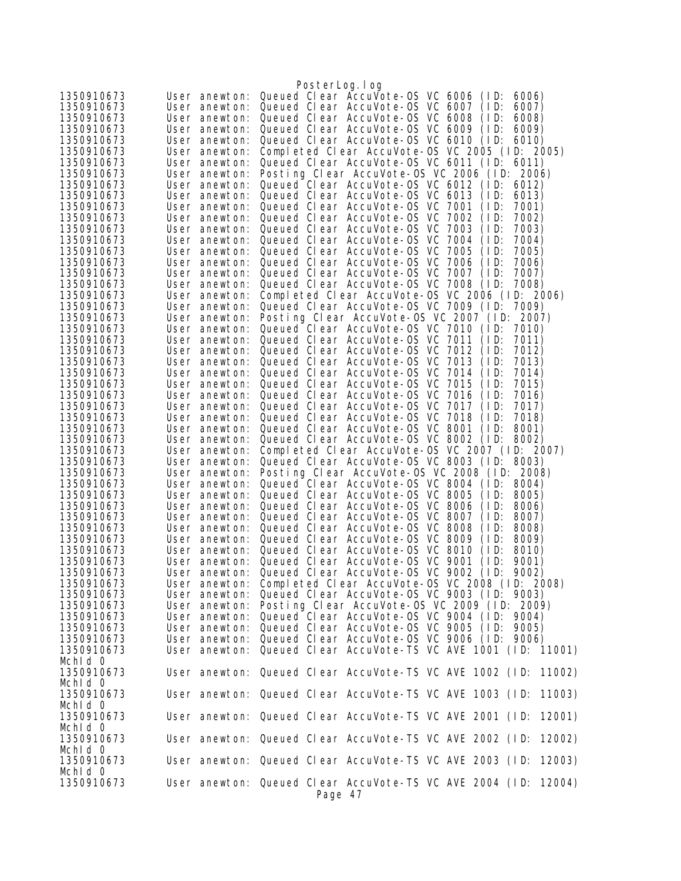|                          |                                | PosterLog.log                                                                                             |
|--------------------------|--------------------------------|-----------------------------------------------------------------------------------------------------------|
| 1350910673               | User anewton:                  | Queued Clear AccuVote-OS VC 6006<br>(1D)<br>6006)                                                         |
| 1350910673               | User anewton:                  | Queued Clear AccuVote-OS VC 6007<br>(1D)<br>6007)                                                         |
| 1350910673               | User anewton:                  | Queued Clear AccuVote-OS VC 6008<br>(1D)<br>6008)                                                         |
| 1350910673               | User anewton:                  | Queued Clear AccuVote-OS VC 6009<br>(1D)<br>6009)                                                         |
| 1350910673               | User anewton:                  | Queued Clear AccuVote-OS VC 6010 (ID:<br>6010)                                                            |
| 1350910673               | User anewton:                  | Completed Clear AccuVote-0S VC 2005 (ID: 2005)                                                            |
| 1350910673               | User anewton:                  | Queued Clear AccuVote-OS VC 6011 (ID: 6011)                                                               |
| 1350910673               | User anewton:                  | Posting Clear AccuVote-OS VC 2006 (ID: 2006)                                                              |
| 1350910673               | User anewton:                  | Queued Clear AccuVote-0S VC 6012 (ID:<br>6012)                                                            |
| 1350910673               | User anewton:                  | Queued Clear AccuVote-OS VC 6013<br>(1D)<br>6013)                                                         |
| 1350910673               | User anewton:                  | Queued Clear AccuVote-0S VC 7001<br>(1D)<br>7001)                                                         |
| 1350910673<br>1350910673 | User anewton:<br>User anewton: | Queued Clear AccuVote-0S VC 7002<br>7002)<br>(1D)<br>Queued Clear AccuVote-OS VC 7003<br>(1D)<br>7003)    |
| 1350910673               | User anewton:                  | Queued Clear AccuVote-0S VC 7004<br>(1D)<br>7004)                                                         |
| 1350910673               | User anewton:                  | Queued Clear AccuVote-0S VC 7005<br>(1D)<br>7005)                                                         |
| 1350910673               | User anewton:                  | Queued Clear AccuVote-0S VC 7006<br>(1D)<br>7006)                                                         |
| 1350910673               | User anewton:                  | Queued Clear AccuVote-0S VC 7007<br>(1D)<br>7007)                                                         |
| 1350910673               | User anewton:                  | Queued Clear AccuVote-OS VC 7008 (ID:<br>7008)                                                            |
| 1350910673               | User anewton:                  | Completed Clear AccuVote-0S VC 2006 (ID: 2006)                                                            |
| 1350910673               | User anewton:                  | Queued Clear AccuVote-OS VC 7009 (ID:<br>7009)                                                            |
| 1350910673               | User anewton:                  | Posting Clear AccuVote-OS VC 2007 (ID: 2007)                                                              |
| 1350910673               | User anewton:                  | Queued Clear AccuVote-0S VC 7010 (ID:<br>7010)                                                            |
| 1350910673               | User anewton:                  | Queued Clear AccuVote-OS VC 7011<br>(1D)<br>7011)                                                         |
| 1350910673               | User anewton:                  | Queued Clear AccuVote-0S VC 7012<br>(1D)<br>7012)                                                         |
| 1350910673               | User anewton:                  | Queued Clear AccuVote-OS VC 7013<br>(1D)<br>7013)                                                         |
| 1350910673               | User anewton:                  | Queued Clear AccuVote-OS VC 7014<br>(1D)<br>7014)                                                         |
| 1350910673               | User anewton:                  | Queued Clear AccuVote-OS VC 7015<br>(1D)<br>7015)                                                         |
| 1350910673               | User anewton:                  | Queued Clear AccuVote-0S VC 7016<br>(1D)<br>7016)                                                         |
| 1350910673               | User anewton:                  | Queued Clear AccuVote-0S VC 7017<br>(1D)<br>7017)                                                         |
| 1350910673               | User anewton:                  | Queued Clear AccuVote-OS VC 7018<br>(1D)<br>7018)<br>Queued Clear AccuVote-0S VC 8001<br>(1D)<br>8001)    |
| 1350910673<br>1350910673 | User anewton:<br>User anewton: | Queued Clear AccuVote-OS VC 8002 (ID:<br>8002)                                                            |
| 1350910673               | User anewton:                  | Completed Clear AccuVote-0S VC 2007 (ID: 2007)                                                            |
| 1350910673               | User anewton:                  | Queued Clear AccuVote-OS VC 8003 (ID:<br>8003)                                                            |
| 1350910673               | User anewton:                  | Posting Clear AccuVote-OS VC 2008 (ID: 2008)                                                              |
| 1350910673               | User anewton:                  | Queued Clear AccuVote-OS VC 8004 (ID:<br>8004)                                                            |
| 1350910673               | User anewton:                  | Queued Clear AccuVote-OS VC 8005<br>(1D)<br>8005)                                                         |
| 1350910673               | User anewton:                  | Queued Clear AccuVote-OS VC 8006<br>(1D)<br>8006)                                                         |
| 1350910673               | User anewton:                  | Queued Clear AccuVote-0S VC 8007<br>(1D)<br>8007)                                                         |
| 1350910673               | User anewton:                  | Queued Clear AccuVote-OS VC 8008<br>(1D)<br>8008)                                                         |
| 1350910673               | User anewton:                  | Queued Clear AccuVote-OS VC 8009<br>(1D)<br>8009)                                                         |
| 1350910673               | User anewton:                  | Queued Clear AccuVote-OS VC 8010<br>(1D)<br>8010)                                                         |
| 1350910673               | User anewton:                  | Queued Clear AccuVote-0S VC 9001<br>(1D)<br>9001)                                                         |
| 1350910673               |                                | User anewton: Queued Clear AccuVote-OS VC 9002 (ID: 9002)                                                 |
| 1350910673               | User anewton:                  | Completed Clear AccuVote-0S VC 2008 (ID: 2008)                                                            |
| 1350910673               |                                | User anewton: Queued Clear AccuVote-OS VC 9003 (ID: 9003)                                                 |
| 1350910673<br>1350910673 | User anewton:                  | User anewton: Posting Clear AccuVote-OS VC 2009 (ID: 2009)<br>Queued Clear AccuVote-OS VC 9004 (ID: 9004) |
| 1350910673               |                                | User anewton: Queued Clear AccuVote-OS VC 9005 (ID: 9005)                                                 |
| 1350910673               |                                | User anewton: Queued Clear AccuVote-OS VC 9006 (ID: 9006)                                                 |
| 1350910673               |                                | User anewton: Queued Clear AccuVote-TS VC AVE 1001 (ID: 11001)                                            |
| Mchid 0                  |                                |                                                                                                           |
| 1350910673               |                                | User anewton: Queued Clear AccuVote-TS VC AVE 1002 (ID: 11002)                                            |
| Mchid 0                  |                                |                                                                                                           |
| 1350910673               |                                | User anewton: Queued Clear AccuVote-TS VC AVE 1003 (ID: 11003)                                            |
| Mchid 0                  |                                |                                                                                                           |
| 1350910673               |                                | User anewton: Queued Clear AccuVote-TS VC AVE 2001 (ID: 12001)                                            |
| Mchid 0                  |                                |                                                                                                           |
| 1350910673               |                                | User anewton: Queued Clear AccuVote-TS VC AVE 2002 (ID:<br>12002)                                         |
| Mchid 0                  |                                |                                                                                                           |
| 1350910673               |                                | User anewton: Queued Clear AccuVote-TS VC AVE 2003 (ID:<br>12003)                                         |
| Mchid 0                  |                                |                                                                                                           |
| 1350910673               |                                | User anewton: Queued Clear AccuVote-TS VC AVE 2004 (ID: 12004)                                            |
|                          |                                | Page 47                                                                                                   |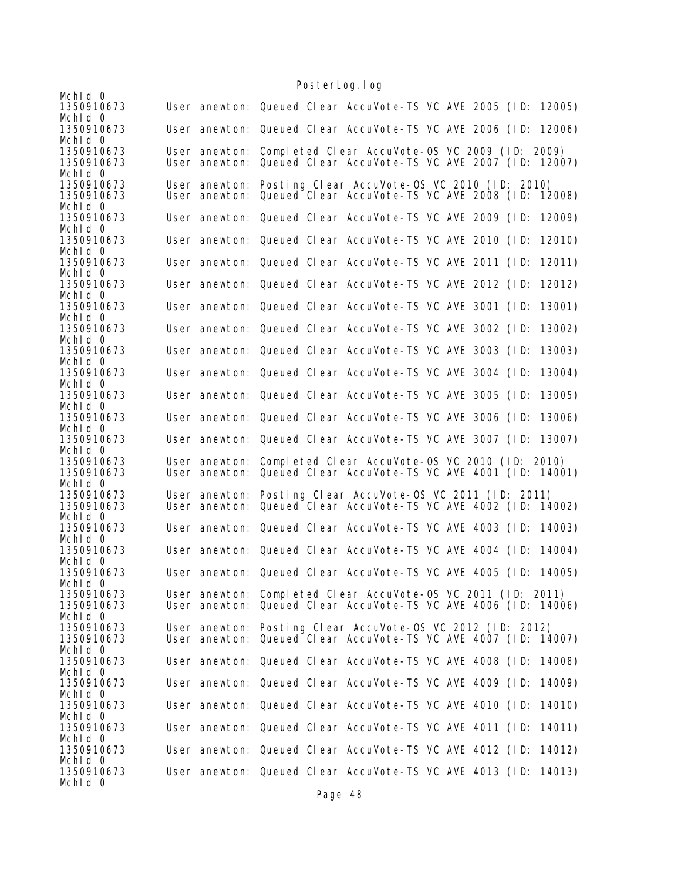|                                     |               | TUSTEL LUY. TUY                                                                                                                |
|-------------------------------------|---------------|--------------------------------------------------------------------------------------------------------------------------------|
| Mchid 0<br>1350910673               |               | User anewton: Queued Clear AccuVote-TS VC AVE 2005 (ID: 12005)                                                                 |
| Mchid 0<br>1350910673<br>Mchid 0    |               | User anewton: Queued Clear AccuVote-TS VC AVE 2006 (ID:<br>12006)                                                              |
| 1350910673<br>1350910673            |               | User anewton: Completed Clear AccuVote-OS VC 2009 (ID: 2009)<br>User anewton: Queued Clear AccuVote-TS VC AVE 2007 (ID: 12007) |
| Mchid 0<br>1350910673<br>1350910673 | User anewton: | User anewton: Posting Clear AccuVote-OS VC 2010 (ID: 2010)<br>Queued Clear AccuVote-TS VC AVE 2008 (ID:<br>12008)              |
| Mchid 0<br>1350910673               |               | User anewton: Queued Clear AccuVote-TS VC AVE 2009 (ID:<br>12009)                                                              |
| Mchid 0<br>1350910673               |               | User anewton: Queued Clear AccuVote-TS VC AVE 2010 (ID:<br>12010)                                                              |
| Mchid 0<br>1350910673               |               | User anewton: Queued Clear AccuVote-TS VC AVE 2011 (ID:<br>12011)                                                              |
| Mchid 0<br>1350910673               |               | User anewton: Queued Clear AccuVote-TS VC AVE 2012 (ID:<br>12012)                                                              |
| Mchid 0<br>1350910673               |               | User anewton: Queued Clear AccuVote-TS VC AVE 3001 (ID:<br>13001)                                                              |
| Mchid 0<br>1350910673               |               | User anewton: Queued Clear AccuVote-TS VC AVE 3002 (ID:<br>13002)                                                              |
| Mchid 0<br>1350910673               |               | User anewton: Queued Clear AccuVote-TS VC AVE 3003 (ID:<br>13003)                                                              |
| Mchid 0<br>1350910673               |               | User anewton: Queued Clear AccuVote-TS VC AVE 3004 (ID:<br>13004)                                                              |
| Mchid 0<br>1350910673               |               | User anewton: Queued Clear AccuVote-TS VC AVE 3005 (ID:<br>13005)                                                              |
| Mchid 0<br>1350910673               |               | User anewton: Queued Clear AccuVote-TS VC AVE 3006 (ID:<br>13006)                                                              |
| Mchid 0<br>1350910673<br>Mchld 0    |               | User anewton: Queued Clear AccuVote-TS VC AVE 3007 (ID:<br>13007)                                                              |
| 1350910673<br>1350910673            |               | User anewton: Completed Clear AccuVote-OS VC 2010 (ID: 2010)<br>User anewton: Queued Clear AccuVote-TS VC AVE 4001 (ID: 14001) |
| Mchid 0<br>1350910673               |               | User anewton: Posting Clear AccuVote-OS VC 2011 (ID: 2011)                                                                     |
| 1350910673<br>Mchld 0               |               | User anewton: Queued Clear AccuVote-TS VC AVE 4002 (ID: 14002)                                                                 |
| 1350910673<br>Mchid 0               |               | User anewton: Queued Clear AccuVote-TS VC AVE 4003 (ID:<br>14003)                                                              |
| 1350910673<br>Mchld 0               |               | User anewton: Queued Clear AccuVote-TS VC AVE 4004 (ID:<br>14004)                                                              |
| 1350910673<br>Mchid 0               |               | User anewton: Queued Clear AccuVote-TS VC AVE 4005 (ID:<br>14005)                                                              |
| 1350910673<br>1350910673            |               | User anewton: Completed Clear AccuVote-OS VC 2011 (ID: 2011)<br>User anewton: Queued Clear AccuVote-TS VC AVE 4006 (ID: 14006) |
| Mchid 0<br>1350910673               |               | User anewton: Posting Clear AccuVote-OS VC 2012 (ID: 2012)                                                                     |
| 1350910673<br>Mchid 0               |               | User anewton: Queued Clear AccuVote-TS VC AVE 4007 (ID: 14007)                                                                 |
| 1350910673<br>Mchid 0               |               | User anewton: Queued Clear AccuVote-TS VC AVE 4008 (ID: 14008)                                                                 |
| 1350910673<br>Mchid 0               |               | User anewton: Queued Clear AccuVote-TS VC AVE 4009 (ID:<br>14009)<br>14010)                                                    |
| 1350910673<br>Mchid 0<br>1350910673 |               | User anewton: Queued Clear AccuVote-TS VC AVE 4010 (ID:<br>User anewton: Queued Clear AccuVote-TS VC AVE 4011 (ID:<br>14011)   |
| Mchid 0<br>1350910673               |               | User anewton: Queued Clear AccuVote-TS VC AVE 4012 (ID:<br>14012)                                                              |
| Mchid 0<br>1350910673               |               | User anewton: Queued Clear AccuVote-TS VC AVE 4013 (ID: 14013)                                                                 |
| Mchid 0                             |               |                                                                                                                                |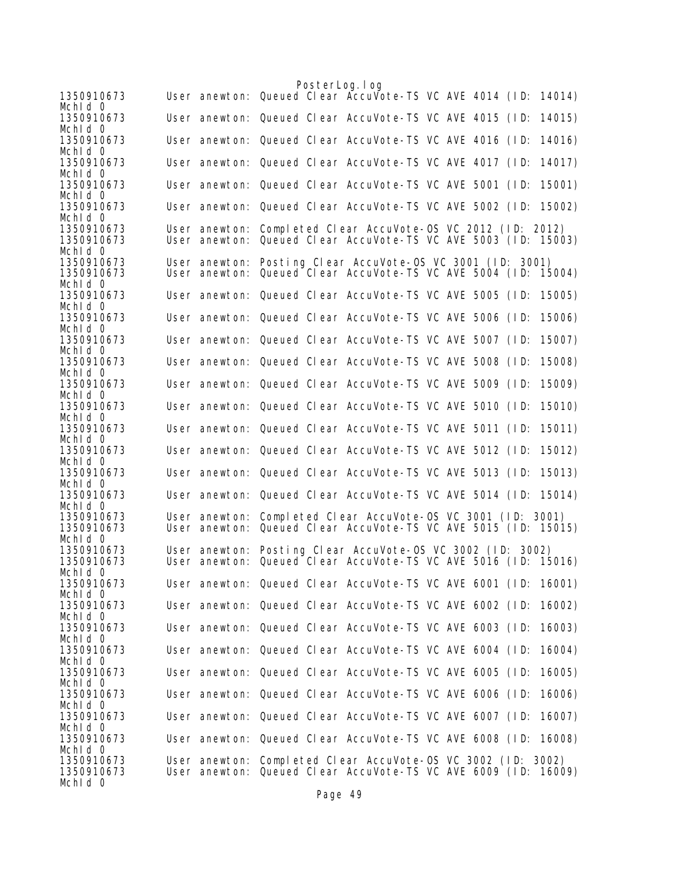| 1350910673            |  | PosterLog.log<br>User anewton: Queued Clear AccuVote-TS VC AVE 4014 (ID: 14014) |  |
|-----------------------|--|---------------------------------------------------------------------------------|--|
| Mchid 0               |  |                                                                                 |  |
| 1350910673            |  | User anewton: Queued Clear AccuVote-TS VC AVE 4015 (ID:<br>14015)               |  |
| Mchid 0               |  |                                                                                 |  |
| 1350910673            |  | User anewton: Queued Clear AccuVote-TS VC AVE 4016 (ID:<br>14016)               |  |
| Mchid 0               |  |                                                                                 |  |
| 1350910673<br>Mchid 0 |  | User anewton: Queued Clear AccuVote-TS VC AVE 4017 (ID:<br>14017)               |  |
| 1350910673            |  | User anewton: Queued Clear AccuVote-TS VC AVE 5001 (ID:<br>15001)               |  |
| Mchid 0               |  |                                                                                 |  |
| 1350910673            |  | User anewton: Queued Clear AccuVote-TS VC AVE 5002 (ID:<br>15002)               |  |
| Mchid 0               |  |                                                                                 |  |
| 1350910673            |  | User anewton: Completed Clear AccuVote-OS VC 2012 (ID: 2012)                    |  |
| 1350910673<br>Mchid 0 |  | User anewton: Queued Clear AccuVote-TS VC AVE 5003 (ID: 15003)                  |  |
| 1350910673            |  | User anewton: Posting Clear AccuVote-OS VC 3001 (ID: 3001)                      |  |
| 1350910673            |  | User anewton: Queued Clear AccuVote-TS VC AVE 5004 (ID: 15004)                  |  |
| Mchid 0               |  |                                                                                 |  |
| 1350910673            |  | User anewton: Queued Clear AccuVote-TS VC AVE 5005 (ID:<br>15005)               |  |
| Mchid 0               |  |                                                                                 |  |
| 1350910673<br>Mchld 0 |  | User anewton: Queued Clear AccuVote-TS VC AVE 5006 (ID:<br>15006)               |  |
| 1350910673            |  | User anewton: Queued Clear AccuVote-TS VC AVE 5007 (ID:<br>15007)               |  |
| Mchid 0               |  |                                                                                 |  |
| 1350910673            |  | User anewton: Queued Clear AccuVote-TS VC AVE 5008 (ID:<br>15008)               |  |
| Mchid 0               |  |                                                                                 |  |
| 1350910673            |  | User anewton: Queued Clear AccuVote-TS VC AVE 5009 (ID:<br>15009)               |  |
| Mchld 0               |  |                                                                                 |  |
| 1350910673<br>Mchid 0 |  | User anewton: Queued Clear AccuVote-TS VC AVE 5010 (ID:<br>15010)               |  |
| 1350910673            |  | User anewton: Queued Clear AccuVote-TS VC AVE 5011 (ID:<br>15011)               |  |
| Mchid 0               |  |                                                                                 |  |
| 1350910673            |  | User anewton: Queued Clear AccuVote-TS VC AVE 5012 (ID:<br>15012)               |  |
| Mchid 0               |  |                                                                                 |  |
| 1350910673            |  | User anewton: Queued Clear AccuVote-TS VC AVE 5013 (ID:<br>15013)               |  |
| Mchid 0<br>1350910673 |  | User anewton: Queued Clear AccuVote-TS VC AVE 5014 (ID:<br>15014)               |  |
| Mchid 0               |  |                                                                                 |  |
| 1350910673            |  | User anewton: Completed Clear AccuVote-OS VC 3001 (ID: 3001)                    |  |
| 1350910673            |  | User anewton: Queued Clear AccuVote-TS VC AVE 5015 (ID: 15015)                  |  |
| Mchid 0               |  |                                                                                 |  |
| 1350910673            |  | User anewton: Posting Clear AccuVote-OS VC 3002 (ID: 3002)                      |  |
| 1350910673<br>Mchid 0 |  | User anewton: Queued Clear AccuVote-TS VC AVE 5016 (ID: 15016)                  |  |
| 1350910673            |  | User anewton: Queued Clear AccuVote-TS VC AVE 6001 (ID: 16001)                  |  |
| Mchid 0               |  |                                                                                 |  |
| 1350910673            |  | User anewton: Queued Clear AccuVote-TS VC AVE 6002 (ID:<br>16002)               |  |
| Mchid 0               |  |                                                                                 |  |
| 1350910673            |  | User anewton: Queued Clear AccuVote-TS VC AVE 6003 (ID:<br>16003)               |  |
| Mchid 0<br>1350910673 |  | User anewton: Queued Clear AccuVote-TS VC AVE 6004 (ID:<br>16004)               |  |
| Mchid 0               |  |                                                                                 |  |
| 1350910673            |  | User anewton: Queued Clear AccuVote-TS VC AVE 6005 (ID:<br>16005)               |  |
| Mchid 0               |  |                                                                                 |  |
| 1350910673            |  | User anewton: Queued Clear AccuVote-TS VC AVE 6006 (ID:<br>16006)               |  |
| Mchid 0               |  |                                                                                 |  |
| 1350910673<br>Mchid 0 |  | User anewton: Queued Clear AccuVote-TS VC AVE 6007 (ID:<br>16007)               |  |
| 1350910673            |  | User anewton: Queued Clear AccuVote-TS VC AVE 6008 (ID: 16008)                  |  |
| Mchid 0               |  |                                                                                 |  |
| 1350910673            |  | User anewton: Completed Clear AccuVote-OS VC 3002 (ID: 3002)                    |  |
| 1350910673            |  | User anewton: Queued Clear AccuVote-TS VC AVE 6009 (ID: 16009)                  |  |
| Mchid 0               |  |                                                                                 |  |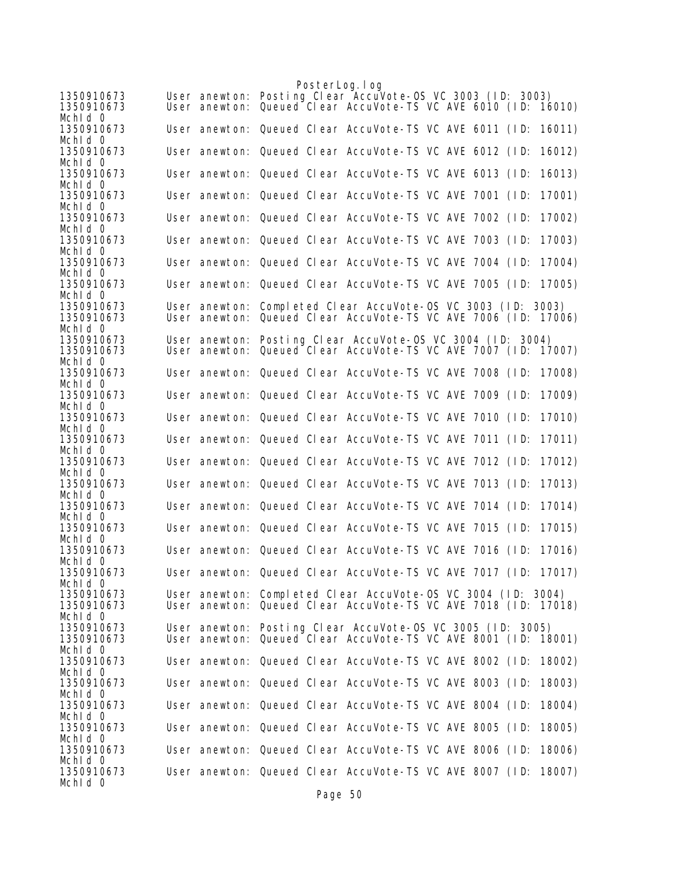|                                     |               | PosterLog. I og |                                                                                                                              |  |  |        |
|-------------------------------------|---------------|-----------------|------------------------------------------------------------------------------------------------------------------------------|--|--|--------|
| 1350910673<br>1350910673<br>Mchid 0 | User anewton: |                 | User anewton: Posting Clear AccuVote-OS VC 3003 (ID: 3003)<br>Queued Clear AccuVote-TS VC AVE 6010 (ID: 16010)               |  |  |        |
| 1350910673                          |               |                 | User anewton: Queued Clear AccuVote-TS VC AVE 6011 (ID:                                                                      |  |  | 16011) |
| Mchid 0<br>1350910673               |               |                 | User anewton: Queued Clear AccuVote-TS VC AVE 6012 (ID:                                                                      |  |  | 16012) |
| Mchid 0<br>1350910673               |               |                 | User anewton: Queued Clear AccuVote-TS VC AVE 6013 (ID:                                                                      |  |  | 16013) |
| Mchid 0<br>1350910673               |               |                 | User anewton: Queued Clear AccuVote-TS VC AVE 7001 (ID:                                                                      |  |  | 17001) |
| Mchid 0<br>1350910673               |               |                 | User anewton: Queued Clear AccuVote-TS VC AVE 7002 (ID:                                                                      |  |  | 17002) |
| Mchld 0<br>1350910673               |               |                 | User anewton: Queued Clear AccuVote-TS VC AVE 7003 (ID:                                                                      |  |  | 17003) |
| Mchid 0<br>1350910673               |               |                 | User anewton: Queued Clear AccuVote-TS VC AVE 7004 (ID:                                                                      |  |  | 17004) |
| Mchid 0<br>1350910673               |               |                 | User anewton: Queued Clear AccuVote-TS VC AVE 7005 (ID:                                                                      |  |  | 17005) |
| Mchid 0<br>1350910673               |               |                 | User anewton: Completed Clear AccuVote-OS VC 3003 (ID: 3003)                                                                 |  |  |        |
| 1350910673<br>Mchid 0               | User anewton: |                 | Queued Clear AccuVote-TS VC AVE 7006 (ID: 17006)                                                                             |  |  |        |
| 1350910673<br>1350910673<br>Mchid 0 |               |                 | User anewton: Posting Clear AccuVote-OS VC 3004 (ID: 3004)<br>User anewton: Queued Clear AccuVote-TS VC AVE 7007 (ID: 17007) |  |  |        |
| 1350910673<br>Mchid 0               |               |                 | User anewton: Queued Clear AccuVote-TS VC AVE 7008 (ID:                                                                      |  |  | 17008) |
| 1350910673<br>Mchid 0               |               |                 | User anewton: Queued Clear AccuVote-TS VC AVE 7009 (ID:                                                                      |  |  | 17009) |
| 1350910673<br>Mchld 0               |               |                 | User anewton: Queued Clear AccuVote-TS VC AVE 7010 (ID:                                                                      |  |  | 17010) |
| 1350910673<br>Mchid 0               |               |                 | User anewton: Queued Clear AccuVote-TS VC AVE 7011 (ID:                                                                      |  |  | 17011) |
| 1350910673                          |               |                 | User anewton: Queued Clear AccuVote-TS VC AVE 7012 (ID:                                                                      |  |  | 17012) |
| Mchid 0<br>1350910673               |               |                 | User anewton: Queued Clear AccuVote-TS VC AVE 7013 (ID:                                                                      |  |  | 17013) |
| Mchld 0<br>1350910673               |               |                 | User anewton: Queued Clear AccuVote-TS VC AVE 7014 (ID:                                                                      |  |  | 17014) |
| Mchid 0<br>1350910673               |               |                 | User anewton: Queued Clear AccuVote-TS VC AVE 7015 (ID:                                                                      |  |  | 17015) |
| Mchid 0<br>1350910673               |               |                 | User anewton: Queued Clear AccuVote-TS VC AVE 7016 (ID:                                                                      |  |  | 17016) |
| Mchid 0<br>1350910673               |               |                 | User anewton: Queued Clear AccuVote-TS VC AVE 7017 (ID: 17017)                                                               |  |  |        |
| Mchid 0<br>1350910673               |               |                 | User anewton: Completed Clear AccuVote-OS VC 3004 (ID: 3004)                                                                 |  |  |        |
| 1350910673<br>Mchid 0               |               |                 | User anewton: Queued Clear AccuVote-TS VC AVE 7018 (ID: 17018)                                                               |  |  |        |
| 1350910673<br>1350910673            |               |                 | User anewton: Posting Clear AccuVote-OS VC 3005 (ID: 3005)<br>User anewton: Queued Clear AccuVote-TS VC AVE 8001 (ID: 18001) |  |  |        |
| Mchid 0<br>1350910673               |               |                 | User anewton: Queued Clear AccuVote-TS VC AVE 8002 (ID: 18002)                                                               |  |  |        |
| Mchid 0<br>1350910673               |               |                 | User anewton: Queued Clear AccuVote-TS VC AVE 8003 (ID:                                                                      |  |  | 18003) |
| Mchid 0<br>1350910673               |               |                 | User anewton: Queued Clear AccuVote-TS VC AVE 8004 (ID:                                                                      |  |  | 18004) |
| Mchid 0<br>1350910673               |               |                 | User anewton: Queued Clear AccuVote-TS VC AVE 8005 (ID:                                                                      |  |  | 18005) |
| Mchid 0<br>1350910673               |               |                 | User anewton: Queued Clear AccuVote-TS VC AVE 8006 (ID:                                                                      |  |  | 18006) |
| Mchid 0<br>1350910673               |               |                 | User anewton: Queued Clear AccuVote-TS VC AVE 8007 (ID: 18007)                                                               |  |  |        |
| Mchid 0                             |               |                 |                                                                                                                              |  |  |        |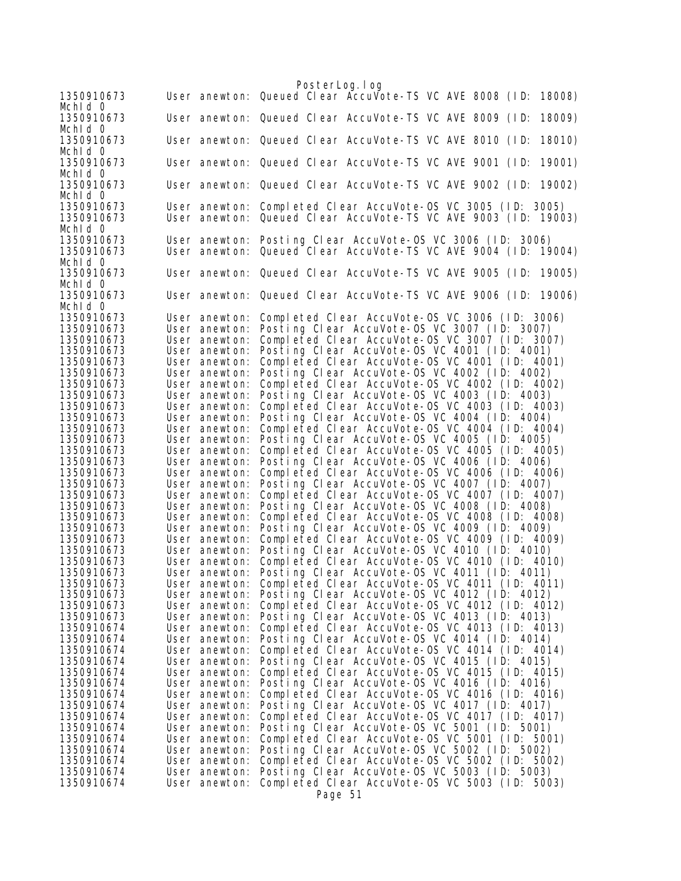PosterLog.log 1350910673 User anewton: Queued Clear AccuVote-TS VC AVE 8008 (ID: 18008) MchId 0<br>1350910673 User anewton: Queued Clear AccuVote-TS VC AVE 8009 (ID: 18009) Mchld 0<br>1350910673 User anewton: Queued Clear AccuVote-TS VC AVE 8010 (ID: 18010) MchId 0<br>1350910673 User anewton: Queued Clear AccuVote-TS VC AVE 9001 (ID: 19001) MchId 0<br>1350910673 User anewton: Queued Clear AccuVote-TS VC AVE 9002 (ID: 19002) Mchld 0<br>1350910673 1350910673 User anewton: Completed Clear AccuVote-OS VC 3005 (ID: 3005) User anewton: Queued Clear AccuVote-TS VC AVE 9003 (ID: 19003) MchId 0 1350910673 User anewton: Posting Clear AccuVote-OS VC 3006 (ID: 3006) User anewton: Queued Clear AccuVote-TS VC AVE 9004 (ID: 19004) Mchld 0<br>1350910673 User anewton: Queued Clear AccuVote-TS VC AVE 9005 (ID: 19005) MchId 0 1350910673 User anewton: Queued Clear AccuVote-TS VC AVE 9006 (ID: 19006) Mchld 0<br>1350910673 1350910673 User anewton: Completed Clear AccuVote-OS VC 3006 (ID: 3006) User anewton: Posting Clear AccuVote-OS VC 3007 (ID: 3007)<br>User anewton: Completed Clear AccuVote-OS VC 3007 (ID: 300<br>User anewton: Posting Clear AccuVote-OS VC 4001 (ID: 4001) 1350910673 User anewton: Completed Clear AccuVote-OS VC 3007 (ID: 3007)<br>1350910673 User anewton: Posting Clear AccuVote-OS VC 4001 (ID: 4001) 1350910673 User anewton: Posting Clear AccuVote-OS VC 4001 (ID: 4001) 1350910673 User anewton: Completed Clear AccuVote-OS VC 4001 (ID: 4001) 1350910673 User anewton: Posting Clear AccuVote-OS VC 4002 (ID: 4002) User anewton: Completed Clear AccuVote-OS VC 4002 (ID: 4002) 1350910673 User anewton: Posting Clear AccuVote-OS VC 4003 (ID: 4003) 1350910673 User anewton: Completed Clear AccuVote-OS VC 4003 (ID: 4003) 1350910673 User anewton: Posting Clear AccuVote-OS VC 4004 (ID: 4004)<br>1350910673 User anewton: Completed Clear AccuVote-OS VC 4004 (ID: 400<br>1350910673 User anewton: Posting Clear AccuVote-OS VC 4005 (ID: 400 1350910673 User anewton: Completed Clear AccuVote-OS VC 4004 (ID: 4004) 1350910673 User anewton: Posting Clear AccuVote-OS VC 4005 (ID: 4005) 1350910673 User anewton: Completed Clear AccuVote-OS VC 4005 (ID: 4005) 1350910673 User anewton: Posting Clear AccuVote-OS VC 4006 (ID: 4006) 1350910673 User anewton: Completed Clear AccuVote-OS VC 4006 (ID: 4006) 1350910673 User anewton: Posting Clear AccuVote-OS VC 4007 (ID: 4007) 1350910673 User anewton: Completed Clear AccuVote-OS VC 4007 (ID: 4007) User anewton: Posting Clear AccuVote-OS VC 4008 (ID: 4008) 1350910673 User anewton: Completed Clear AccuVote-OS VC 4008 (ID: 4008)<br>1350910673 User anewton: Posting Clear AccuVote-OS VC 4009 (ID: 4009)<br>1350910673 User anewton: Completed Clear AccuVote-OS VC 4009 (ID: 40 1350910673 User anewton: Posting Clear AccuVote-OS VC 4009 (ID: 4009) 1350910673 User anewton: Completed Clear AccuVote-OS VC 4009 (ID: 4009)<br>1350910673 User anewton: Posting Clear AccuVote-OS VC 4010 (ID: 4010) 1350910673 User anewton: Posting Clear AccuVote-OS VC 4010 (ID: 4010) 1350910673 User anewton: Completed Clear AccuVote-OS VC 4010 (ID: 4010) Posting Clear AccuVote-OS VC 4011 (ID: 4011) 1350910673 User anewton: Completed Clear AccuVote-OS VC 4011 (ID: 4011) 1350910673 User anewton: Posting Clear AccuVote-OS VC 4012 (ID: 4012) 1350910673 User anewton: Completed Clear AccuVote-OS VC 4012 (ID: 4012)<br>1350910673 User anewton: Posting Clear AccuVote-OS VC 4013 (ID: 4013)<br>1350910674 User anewton: Completed Clear AccuVote-OS VC 4013 (ID: 40 Posting Clear AccuVote-OS VC 4013 (ID: 4013) 1350910674 User anewton: Completed Clear AccuVote-OS VC 4013 (ID: 4013) 1350910674 User anewton: Posting Clear AccuVote-OS VC 4014 (ID: 4014) 1350910674 User anewton: Completed Clear AccuVote-OS VC 4014 (ID: 4014) 1350910674 User anewton: Posting Clear AccuVote-OS VC 4015 (ID: 4015) 1350910674 User anewton: Completed Clear AccuVote-OS VC 4015 (ID: 4015) User anewton: Posting Clear AccuVote-OS VC 4016 (ID: 4016) 1350910674 User anewton: Completed Clear AccuVote-OS VC 4016 (ID: 4016) 1350910674 User anewton: Posting Clear AccuVote-OS VC 4017 (ID: 4017) 1350910674 User anewton: Completed Clear AccuVote-OS VC 4017 (ID: 4017)<br>1350910674 User anewton: Posting Clear AccuVote-OS VC 5001 (ID: 5001)<br>1350910674 User anewton: Completed Clear AccuVote-OS VC 5001 (ID: 1350910674 User anewton: Posting Clear AccuVote-OS VC 5001 (ID:<br>1350910674 User anewton: Completed Clear AccuVote-OS VC 5001 (I 1350910674 User anewton: Completed Clear AccuVote-OS VC 5001 (ID: 5001) 1350910674 User anewton: Posting Clear AccuVote-OS VC 5002 (ID: 5002) 1350910674 User anewton: Completed Clear AccuVote-OS VC 5002 (ID: 5002) User anewton: Posting Clear AccuVote-OS VC 5003 (ID: 5003) 1350910674 User anewton: Completed Clear AccuVote-OS VC 5003 (ID: 5003) Page 51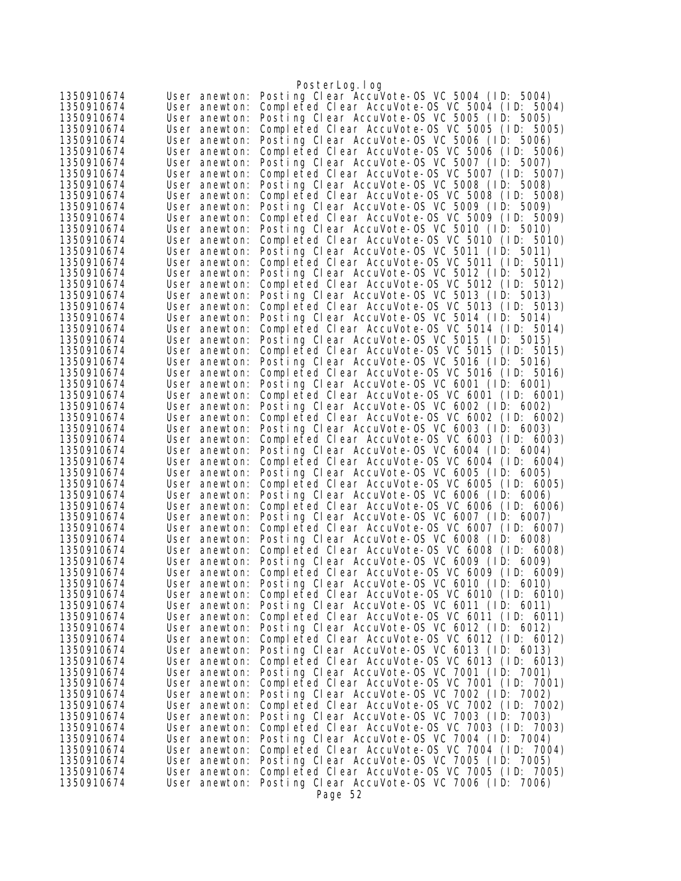|                          |                                | PosterLog.log                                                                                  |
|--------------------------|--------------------------------|------------------------------------------------------------------------------------------------|
| 1350910674               | User anewton:                  | Posting Clear AccuVote-OS VC 5004 (ID: 5004)                                                   |
| 1350910674               | User anewton:                  | Completed Clear AccuVote-OS VC 5004 (ID: 5004)                                                 |
| 1350910674               | User anewton:                  | Posting Clear AccuVote-OS VC 5005 (ID: 5005)                                                   |
| 1350910674               | User anewton:                  | Completed Clear AccuVote-OS VC 5005 (ID: 5005)                                                 |
| 1350910674               | User anewton:                  | Posting Clear AccuVote-OS VC 5006 (ID: 5006)                                                   |
| 1350910674               | User anewton:                  | Completed Clear AccuVote-OS VC 5006 (ID: 5006)                                                 |
| 1350910674               | User anewton:                  | Posting Clear AccuVote-OS VC 5007 (ID: 5007)                                                   |
| 1350910674               | User anewton:                  | Completed Clear AccuVote-OS VC 5007 (ID: 5007)                                                 |
| 1350910674               | User anewton:                  | Posting Clear AccuVote-OS VC 5008 (ID: 5008)                                                   |
| 1350910674               | User anewton:                  | Completed Clear AccuVote-OS VC 5008 (ID: 5008)                                                 |
| 1350910674               | User anewton:                  | Posting Clear AccuVote-OS VC 5009 (ID: 5009)                                                   |
| 1350910674               | User anewton:                  | Completed Clear AccuVote-0S VC 5009 (ID: 5009)                                                 |
| 1350910674               | User anewton:                  | Posting Clear AccuVote-OS VC 5010 (ID: 5010)                                                   |
| 1350910674<br>1350910674 | User anewton:                  | Completed Clear AccuVote-0S VC 5010 (ID: 5010)<br>Posting Clear AccuVote-OS VC 5011 (ID: 5011) |
| 1350910674               | User anewton:<br>User anewton: | Completed Clear AccuVote-OS VC 5011 (ID: 5011)                                                 |
| 1350910674               | User anewton:                  | Posting Clear AccuVote-OS VC 5012 (ID: 5012)                                                   |
| 1350910674               | User anewton:                  | Completed Clear AccuVote-OS VC 5012 (ID: 5012)                                                 |
| 1350910674               | User anewton:                  | Posting Clear AccuVote-OS VC 5013 (ID: 5013)                                                   |
| 1350910674               | User anewton:                  | Completed Clear AccuVote-OS VC 5013 (ID: 5013)                                                 |
| 1350910674               | User anewton:                  | Posting Clear AccuVote-OS VC 5014 (ID: 5014)                                                   |
| 1350910674               | User anewton:                  | Completed Clear AccuVote-OS VC 5014 (ID: 5014)                                                 |
| 1350910674               | User anewton:                  | Posting Clear AccuVote-OS VC 5015 (ID: 5015)                                                   |
| 1350910674               | User anewton:                  | Completed Clear AccuVote-OS VC 5015 (ID: 5015)                                                 |
| 1350910674               | User anewton:                  | Posting Clear AccuVote-OS VC 5016 (ID: 5016)                                                   |
| 1350910674               | User anewton:                  | Completed Clear AccuVote-0S VC 5016 (ID: 5016)                                                 |
| 1350910674               | User anewton:                  | Posting Clear AccuVote-OS VC 6001 (ID: 6001)                                                   |
| 1350910674               | User anewton:                  | Completed Clear AccuVote-OS VC 6001 (ID: 6001)                                                 |
| 1350910674               | User anewton:                  | Posting Clear AccuVote-OS VC 6002 (ID: 6002)                                                   |
| 1350910674               | User anewton:                  | Completed Clear AccuVote-OS VC 6002 (ID: 6002)                                                 |
| 1350910674               | User anewton:                  | Posting Clear AccuVote-OS VC 6003 (ID: 6003)                                                   |
| 1350910674               | User anewton:                  | Completed Clear AccuVote-OS VC 6003 (ID: 6003)                                                 |
| 1350910674               | User anewton:                  | Posting Clear AccuVote-OS VC 6004 (ID: 6004)                                                   |
| 1350910674               | User anewton:                  | Completed Clear AccuVote-OS VC 6004 (ID: 6004)                                                 |
| 1350910674               | User anewton:                  | Posting Clear AccuVote-OS VC 6005 (ID: 6005)                                                   |
| 1350910674               | User anewton:                  | Completed Clear AccuVote-OS VC 6005 (ID: 6005)                                                 |
| 1350910674<br>1350910674 | User anewton:                  | Posting Clear AccuVote-OS VC 6006 (ID: 6006)<br>Completed Clear AccuVote-OS VC 6006 (ID: 6006) |
| 1350910674               | User anewton:<br>User anewton: | Posting Clear AccuVote-OS VC 6007 (ID: 6007)                                                   |
| 1350910674               | User anewton:                  | Completed Clear AccuVote-OS VC 6007 (ID: 6007)                                                 |
| 1350910674               | User anewton:                  | Posting Clear AccuVote-OS VC 6008 (ID: 6008)                                                   |
| 1350910674               | User anewton:                  | Completed Clear AccuVote-0S VC 6008 (ID: 6008)                                                 |
| 1350910674               | User anewton:                  | Posting Clear AccuVote-OS VC 6009 (ID: 6009)                                                   |
| 1350910674               | User anewton:                  | Completed Clear AccuVote-OS VC 6009 (ID: 6009)                                                 |
| 1350910674               | User anewton:                  | Posting Clear AccuVote-OS VC 6010 (ID: 6010)                                                   |
| 1350910674               | User anewton:                  | Completed Clear AccuVote-0S VC 6010 (ID: 6010)                                                 |
| 1350910674               | User anewton:                  | Posting Clear AccuVote-OS VC 6011 (ID: 6011)                                                   |
| 1350910674               | User anewton:                  | Completed Clear AccuVote-OS VC 6011 (ID: 6011)                                                 |
| 1350910674               | User anewton:                  | Posting Clear AccuVote-OS VC 6012 (ID: 6012)                                                   |
| 1350910674               | User anewton:                  | Completed Clear AccuVote-OS VC 6012 (ID: 6012)                                                 |
| 1350910674               | User anewton:                  | Posting Clear AccuVote-OS VC 6013 (ID: 6013)                                                   |
| 1350910674               | User anewton:                  | Completed Clear AccuVote-OS VC 6013 (ID: 6013)                                                 |
| 1350910674               | User anewton:                  | Posting Clear AccuVote-OS VC 7001 (ID: 7001)                                                   |
| 1350910674               | User anewton:                  | Completed Clear AccuVote-OS VC 7001 (ID: 7001)                                                 |
| 1350910674               | User anewton:                  | Posting Clear AccuVote-OS VC 7002 (ID: 7002)                                                   |
| 1350910674               | User anewton:                  | Completed Clear AccuVote-OS VC 7002 (ID: 7002)                                                 |
| 1350910674               | User anewton:                  | Posting Clear AccuVote-OS VC 7003 (ID: 7003)                                                   |
| 1350910674               | User anewton:                  | Completed Clear AccuVote-OS VC 7003 (ID: 7003)                                                 |
| 1350910674<br>1350910674 | User anewton:<br>User anewton: | Posting Clear AccuVote-OS VC 7004 (ID: 7004)<br>Completed Clear AccuVote-0S VC 7004 (ID: 7004) |
| 1350910674               | User anewton:                  | Posting Clear AccuVote-OS VC 7005 (ID: 7005)                                                   |
| 1350910674               | User anewton:                  | Completed Clear AccuVote-OS VC 7005 (ID: 7005)                                                 |
| 1350910674               | User anewton:                  | Posting Clear AccuVote-OS VC 7006 (ID: 7006)                                                   |
|                          |                                | Page 52                                                                                        |
|                          |                                |                                                                                                |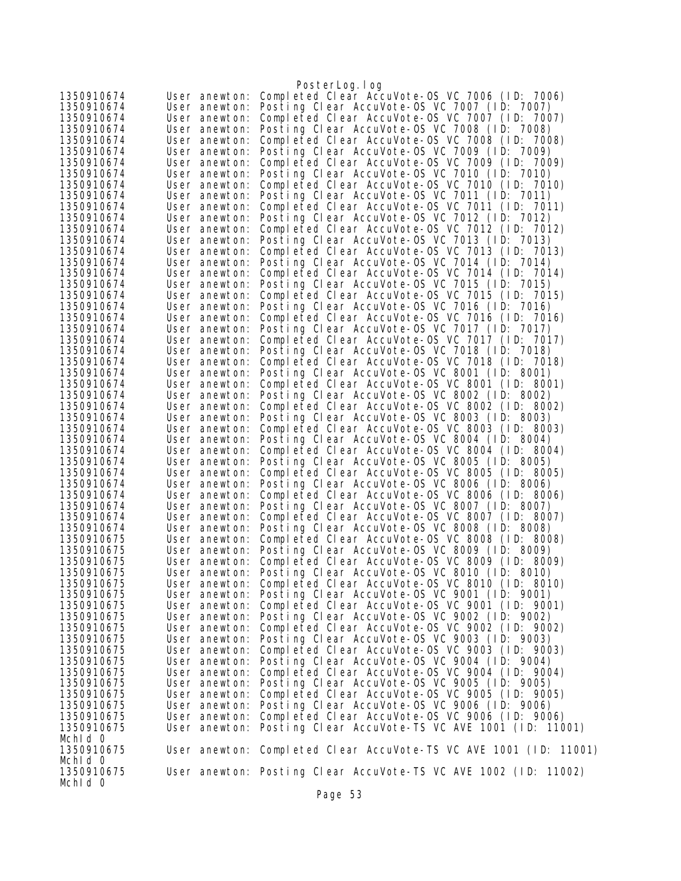|                          |                                | PosterLog.log                                                                                  |
|--------------------------|--------------------------------|------------------------------------------------------------------------------------------------|
| 1350910674               | User anewton:                  | Completed Clear AccuVote-OS VC 7006 (ID: 7006)                                                 |
| 1350910674               | User anewton:                  | Posting Clear AccuVote-OS VC 7007 (ID: 7007)                                                   |
| 1350910674               | User anewton:                  | Completed Clear AccuVote-0S VC 7007 (ID: 7007)                                                 |
| 1350910674               | User anewton:                  | Posting Clear AccuVote-OS VC 7008 (ID: 7008)                                                   |
| 1350910674               | User anewton:                  | Completed Clear AccuVote-OS VC 7008 (ID: 7008)                                                 |
| 1350910674               | User anewton:                  | Posting Clear AccuVote-OS VC 7009 (ID: 7009)                                                   |
| 1350910674               | User anewton:                  | Completed Clear AccuVote-OS VC 7009 (ID: 7009)                                                 |
| 1350910674               | User anewton:                  | Posting Clear AccuVote-OS VC 7010 (ID: 7010)                                                   |
| 1350910674               | User anewton:                  | Completed Clear AccuVote-OS VC 7010 (ID: 7010)                                                 |
| 1350910674<br>1350910674 | User anewton:<br>User anewton: | Posting Clear AccuVote-OS VC 7011 (ID: 7011)<br>Completed Clear AccuVote-OS VC 7011 (ID: 7011) |
| 1350910674               | User anewton:                  | Posting Clear AccuVote-OS VC 7012 (ID: 7012)                                                   |
| 1350910674               | User anewton:                  | Completed Clear AccuVote-OS VC 7012 (ID: 7012)                                                 |
| 1350910674               | User anewton:                  | Posting Clear AccuVote-OS VC 7013 (ID: 7013)                                                   |
| 1350910674               | User anewton:                  | Completed Clear AccuVote-OS VC 7013 (ID: 7013)                                                 |
| 1350910674               | User anewton:                  | Posting Clear AccuVote-OS VC 7014 (ID: 7014)                                                   |
| 1350910674               | User anewton:                  | Completed Clear AccuVote-OS VC 7014 (ID: 7014)                                                 |
| 1350910674               | User anewton:                  | Posting Clear AccuVote-OS VC 7015 (ID: 7015)                                                   |
| 1350910674               | User anewton:                  | Completed Clear AccuVote-OS VC 7015 (ID: 7015)                                                 |
| 1350910674               | User anewton:                  | Posting Clear AccuVote-OS VC 7016 (ID: 7016)                                                   |
| 1350910674               | User anewton:                  | Completed Clear AccuVote-OS VC 7016 (ID: 7016)                                                 |
| 1350910674               | User anewton:                  | Posting Clear AccuVote-OS VC 7017 (ID: 7017)                                                   |
| 1350910674<br>1350910674 | User anewton:                  | Completed Clear AccuVote-OS VC 7017 (ID: 7017)<br>Posting Clear AccuVote-OS VC 7018 (ID: 7018) |
| 1350910674               | User anewton:<br>User anewton: | Completed Clear AccuVote-OS VC 7018 (ID: 7018)                                                 |
| 1350910674               | User anewton:                  | Posting Clear AccuVote-OS VC 8001 (ID: 8001)                                                   |
| 1350910674               | User anewton:                  | Completed Clear AccuVote-OS VC 8001 (ID: 8001)                                                 |
| 1350910674               | User anewton:                  | Posting Clear AccuVote-OS VC 8002 (ID: 8002)                                                   |
| 1350910674               | User anewton:                  | Completed Clear AccuVote-OS VC 8002 (ID: 8002)                                                 |
| 1350910674               | User anewton:                  | Posting Clear AccuVote-OS VC 8003 (ID: 8003)                                                   |
| 1350910674               | User anewton:                  | Completed Clear AccuVote-OS VC 8003 (ID: 8003)                                                 |
| 1350910674               | User anewton:                  | Posting Clear AccuVote-OS VC 8004 (ID: 8004)                                                   |
| 1350910674               | User anewton:                  | Completed Clear AccuVote-OS VC 8004 (ID: 8004)                                                 |
| 1350910674               | User anewton:                  | Posting Clear AccuVote-OS VC 8005 (ID: 8005)                                                   |
| 1350910674               | User anewton:                  | Completed Clear AccuVote-OS VC 8005 (ID: 8005)                                                 |
| 1350910674               | User anewton:                  | Posting Clear AccuVote-OS VC 8006 (ID: 8006)                                                   |
| 1350910674<br>1350910674 | User anewton:<br>User anewton: | Completed Clear AccuVote-OS VC 8006 (ID: 8006)<br>Posting Clear AccuVote-OS VC 8007 (ID: 8007) |
| 1350910674               | User anewton:                  | Completed Clear AccuVote-OS VC 8007 (ID: 8007)                                                 |
| 1350910674               | User anewton:                  | Posting Clear AccuVote-OS VC 8008 (ID: 8008)                                                   |
| 1350910675               | User anewton:                  | Completed Clear AccuVote-OS VC 8008 (ID: 8008)                                                 |
| 1350910675               | User anewton:                  | Posting Clear AccuVote-OS VC 8009 (ID: 8009)                                                   |
| 1350910675               | User anewton:                  | Completed Clear AccuVote-0S VC 8009 (ID: 8009)                                                 |
| 1350910675               |                                | User anewton: Posting Clear AccuVote-OS VC 8010 (ID: 8010)                                     |
| 1350910675               | User anewton:                  | Completed Clear AccuVote-OS VC 8010 (ID: 8010)                                                 |
| 1350910675               |                                | User anewton: Posting Clear AccuVote-OS VC 9001 (ID: 9001)                                     |
| 1350910675               | User anewton:                  | Completed Clear AccuVote-OS VC 9001 (ID: 9001)                                                 |
| 1350910675               | User anewton:                  | Posting Clear AccuVote-OS VC 9002 (ID: 9002)                                                   |
| 1350910675<br>1350910675 | User anewton:<br>User anewton: | Completed Clear AccuVote-OS VC 9002 (ID: 9002)<br>Posting Clear AccuVote-OS VC 9003 (ID: 9003) |
| 1350910675               | User anewton:                  | Completed Clear AccuVote-0S VC 9003 (ID: 9003)                                                 |
| 1350910675               | User anewton:                  | Posting Clear AccuVote-OS VC 9004 (ID: 9004)                                                   |
| 1350910675               | User anewton:                  | Completed Clear AccuVote-0S VC 9004 (ID: 9004)                                                 |
| 1350910675               | User anewton:                  | Posting Clear AccuVote-OS VC 9005 (ID: 9005)                                                   |
| 1350910675               | User anewton:                  | Completed Clear AccuVote-0S VC 9005 (ID: 9005)                                                 |
| 1350910675               | User anewton:                  | Posting Clear AccuVote-OS VC 9006 (ID: 9006)                                                   |
| 1350910675               | User anewton:                  | Completed Clear AccuVote-0S VC 9006 (ID: 9006)                                                 |
| 1350910675               |                                | User anewton: Posting Clear AccuVote-TS VC AVE 1001 (ID: 11001)                                |
| Mchid 0                  |                                |                                                                                                |
| 1350910675               |                                | User anewton: Completed Clear AccuVote-TS VC AVE 1001 (ID: 11001)                              |
| Mchid 0                  |                                |                                                                                                |
| 1350910675<br>Mchid 0    |                                | User anewton: Posting Clear AccuVote-TS VC AVE 1002 (ID: 11002)                                |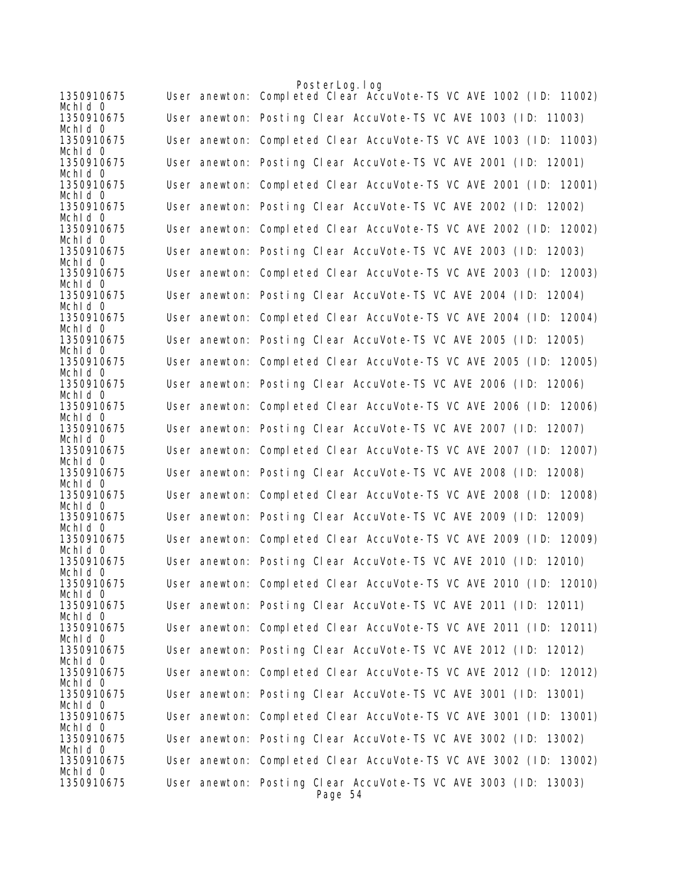|                                  | PosterLog. log                                                             |
|----------------------------------|----------------------------------------------------------------------------|
| 1350910675<br>Mchid 0            | User anewton: Completed Clear AccuVote-TS VC AVE 1002 (ID: 11002)          |
| 1350910675<br>Mchid 0            | User anewton: Posting Clear AccuVote-TS VC AVE 1003 (ID: 11003)            |
| 1350910675<br>Mchid 0            | User anewton: Completed Clear AccuVote-TS VC AVE 1003 (ID: 11003)          |
| 1350910675<br>Mchid 0            | User anewton: Posting Clear AccuVote-TS VC AVE 2001 (ID: 12001)            |
| 1350910675<br>Mchid 0            | User anewton: Completed Clear AccuVote-TS VC AVE 2001 (ID: 12001)          |
| 1350910675                       | User anewton: Posting Clear AccuVote-TS VC AVE 2002 (ID: 12002)            |
| Mchid 0<br>1350910675            | User anewton: Completed Clear AccuVote-TS VC AVE 2002 (ID: 12002)          |
| Mchid 0<br>1350910675            | User anewton: Posting Clear AccuVote-TS VC AVE 2003 (ID: 12003)            |
| Mchid 0<br>1350910675            | User anewton: Completed Clear AccuVote-TS VC AVE 2003 (ID: 12003)          |
| Mchid 0<br>1350910675            | User anewton: Posting Clear AccuVote-TS VC AVE 2004 (ID: 12004)            |
| Mchid 0<br>1350910675            | User anewton: Completed Clear AccuVote-TS VC AVE 2004 (ID: 12004)          |
| Mchid 0<br>1350910675            | User anewton: Posting Clear AccuVote-TS VC AVE 2005 (ID: 12005)            |
| Mchld 0<br>1350910675            | User anewton: Completed Clear AccuVote-TS VC AVE 2005 (ID: 12005)          |
| Mchid 0<br>1350910675            | User anewton: Posting Clear AccuVote-TS VC AVE 2006 (ID: 12006)            |
| Mchid 0<br>1350910675            | User anewton: Completed Clear AccuVote-TS VC AVE 2006 (ID: 12006)          |
| Mchid 0<br>1350910675            | User anewton: Posting Clear AccuVote-TS VC AVE 2007 (ID: 12007)            |
| Mchid 0<br>1350910675            | User anewton: Completed Clear AccuVote-TS VC AVE 2007 (ID: 12007)          |
| Mchid 0<br>1350910675            | User anewton: Posting Clear AccuVote-TS VC AVE 2008 (ID: 12008)            |
| Mchld 0<br>1350910675            | User anewton: Completed Clear AccuVote-TS VC AVE 2008 (ID: 12008)          |
| Mchid 0<br>1350910675            | User anewton: Posting Clear AccuVote-TS VC AVE 2009 (ID: 12009)            |
| Mchid 0<br>1350910675            | User anewton: Completed Clear AccuVote-TS VC AVE 2009 (ID: 12009)          |
| Mchid 0<br>1350910675            | User anewton: Posting Clear AccuVote-TS VC AVE 2010 (ID: 12010)            |
| Mchid 0<br>1350910675            | User anewton: Completed Clear AccuVote-TS VC AVE 2010 (ID: 12010)          |
| Mchid 0<br>1350910675            | User anewton: Posting Clear AccuVote-TS VC AVE 2011 (ID: 12011)            |
| Mchid 0<br>1350910675            | User anewton: Completed Clear AccuVote-TS VC AVE 2011 (ID: 12011)          |
| Mchid 0<br>1350910675<br>Mchid 0 | User anewton: Posting Clear AccuVote-TS VC AVE 2012 (ID: 12012)            |
| 1350910675<br>Mchid 0            | User anewton: Completed Clear AccuVote-TS VC AVE 2012 (ID: 12012)          |
| 1350910675<br>Mchid 0            | User anewton: Posting Clear AccuVote-TS VC AVE 3001 (ID: 13001)            |
| 1350910675<br>Mchid 0            | User anewton: Completed Clear AccuVote-TS VC AVE 3001 (ID: 13001)          |
| 1350910675<br>Mchid 0            | User anewton: Posting Clear AccuVote-TS VC AVE 3002 (ID: 13002)            |
| 1350910675<br>Mchid 0            | User anewton: Completed Clear AccuVote-TS VC AVE 3002 (ID: 13002)          |
| 1350910675                       | User anewton: Posting Clear AccuVote-TS VC AVE 3003 (ID: 13003)<br>Page 54 |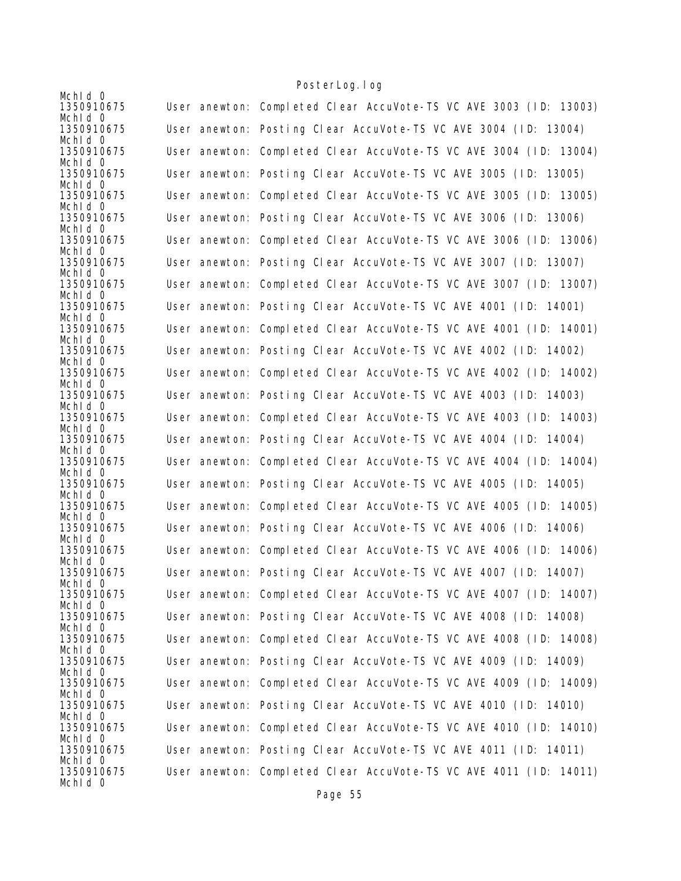| Mchld 0               |                                                                   |
|-----------------------|-------------------------------------------------------------------|
| 1350910675            | User anewton: Completed Clear AccuVote-TS VC AVE 3003 (ID: 13003) |
| Mchid 0               |                                                                   |
| 1350910675            | User anewton: Posting Clear AccuVote-TS VC AVE 3004 (ID: 13004)   |
| Mchid 0               |                                                                   |
| 1350910675            | User anewton: Completed Clear AccuVote-TS VC AVE 3004 (ID: 13004) |
| Mchid 0               |                                                                   |
| 1350910675            | User anewton: Posting Clear AccuVote-TS VC AVE 3005 (ID: 13005)   |
| Mchld 0               |                                                                   |
| 1350910675<br>Mchid 0 | User anewton: Completed Clear AccuVote-TS VC AVE 3005 (ID: 13005) |
| 1350910675            | User anewton: Posting Clear AccuVote-TS VC AVE 3006 (ID: 13006)   |
| Mchid 0               |                                                                   |
| 1350910675            | User anewton: Completed Clear AccuVote-TS VC AVE 3006 (ID: 13006) |
| Mchid 0               |                                                                   |
| 1350910675            | User anewton: Posting Clear AccuVote-TS VC AVE 3007 (ID: 13007)   |
| Mchid 0               |                                                                   |
| 1350910675            | User anewton: Completed Clear AccuVote-TS VC AVE 3007 (ID: 13007) |
| Mchld 0               |                                                                   |
| 1350910675            | User anewton: Posting Clear AccuVote-TS VC AVE 4001 (ID: 14001)   |
| Mchld 0               |                                                                   |
| 1350910675            | User anewton: Completed Clear AccuVote-TS VC AVE 4001 (ID: 14001) |
| Mchid 0               |                                                                   |
| 1350910675            | User anewton: Posting Clear AccuVote-TS VC AVE 4002 (ID: 14002)   |
| Mchid 0               |                                                                   |
| 1350910675<br>Mchid 0 | User anewton: Completed Clear AccuVote-TS VC AVE 4002 (ID: 14002) |
| 1350910675            | User anewton: Posting Clear AccuVote-TS VC AVE 4003 (ID: 14003)   |
| Mchid 0               |                                                                   |
| 1350910675            | User anewton: Completed Clear AccuVote-TS VC AVE 4003 (ID: 14003) |
| Mchid 0               |                                                                   |
| 1350910675            | User anewton: Posting Clear AccuVote-TS VC AVE 4004 (ID: 14004)   |
| Mchid 0               |                                                                   |
| 1350910675            | User anewton: Completed Clear AccuVote-TS VC AVE 4004 (ID: 14004) |
| Mchid 0               |                                                                   |
| 1350910675            | User anewton: Posting Clear AccuVote-TS VC AVE 4005 (ID: 14005)   |
| Mchid 0               |                                                                   |
| 1350910675            | User anewton: Completed Clear AccuVote-TS VC AVE 4005 (ID: 14005) |
| Mchid 0               |                                                                   |
| 1350910675            | User anewton: Posting Clear AccuVote-TS VC AVE 4006 (ID: 14006)   |
| Mchid 0<br>1350910675 | User anewton: Completed Clear AccuVote-TS VC AVE 4006 (ID: 14006) |
| Mchid 0               |                                                                   |
| 1350910675            | User anewton: Posting Clear AccuVote-TS VC AVE 4007 (ID: 14007)   |
| Mchid 0               |                                                                   |
| 1350910675            | User anewton: Completed Clear AccuVote-TS VC AVE 4007 (ID: 14007) |
| Mchid 0               |                                                                   |
| 1350910675            | User anewton: Posting Clear AccuVote-TS VC AVE 4008 (ID: 14008)   |
| Mchid 0               |                                                                   |
| 1350910675            | User anewton: Completed Clear AccuVote-TS VC AVE 4008 (ID: 14008) |
| Mchid 0               |                                                                   |
| 1350910675            | User anewton: Posting Clear AccuVote-TS VC AVE 4009 (ID: 14009)   |
| Mchid 0               |                                                                   |
| 1350910675            | User anewton: Completed Clear AccuVote-TS VC AVE 4009 (ID: 14009) |
| Mchid 0               |                                                                   |
| 1350910675            | User anewton: Posting Clear AccuVote-TS VC AVE 4010 (ID: 14010)   |
| Mchld 0<br>1350910675 | User anewton: Completed Clear AccuVote-TS VC AVE 4010 (ID: 14010) |
| Mchid 0               |                                                                   |
| 1350910675            | User anewton: Posting Clear AccuVote-TS VC AVE 4011 (ID: 14011)   |
| Mchid 0               |                                                                   |
| 1350910675            | User anewton: Completed Clear AccuVote-TS VC AVE 4011 (ID: 14011) |
| Mchid 0               |                                                                   |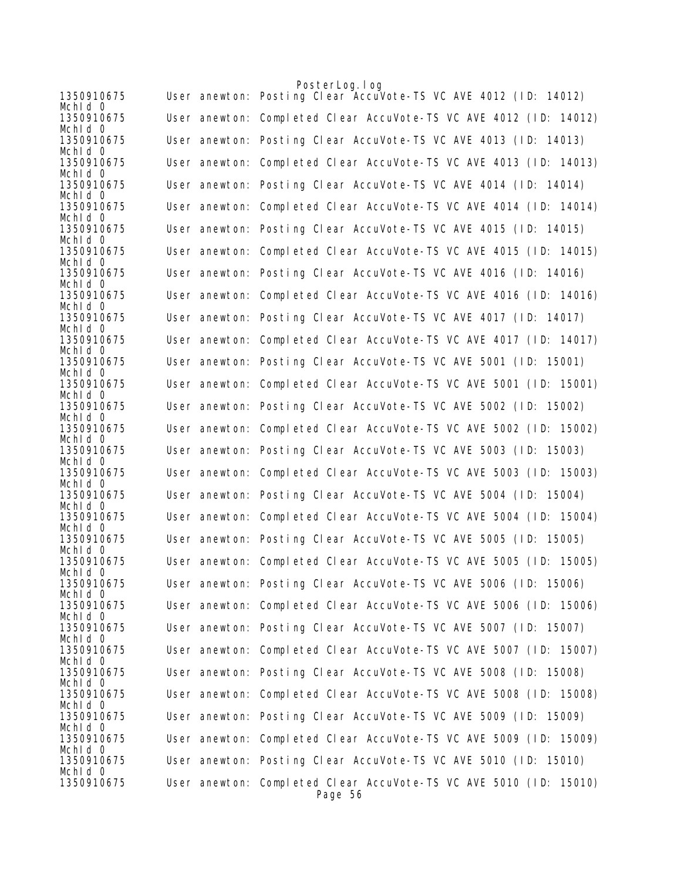|                       | PosterLog. log                                                               |
|-----------------------|------------------------------------------------------------------------------|
| 1350910675<br>Mchid 0 | User anewton: Posting Clear AccuVote-TS VC AVE 4012 (ID: 14012)              |
| 1350910675<br>Mchid 0 | User anewton: Completed Clear AccuVote-TS VC AVE 4012 (ID: 14012)            |
| 1350910675<br>Mchid 0 | User anewton: Posting Clear AccuVote-TS VC AVE 4013 (ID: 14013)              |
| 1350910675<br>Mchid 0 | User anewton: Completed Clear AccuVote-TS VC AVE 4013 (ID: 14013)            |
| 1350910675<br>Mchid 0 | User anewton: Posting Clear AccuVote-TS VC AVE 4014 (ID: 14014)              |
| 1350910675<br>Mchid 0 | User anewton: Completed Clear AccuVote-TS VC AVE 4014 (ID: 14014)            |
| 1350910675<br>Mchid 0 | User anewton: Posting Clear AccuVote-TS VC AVE 4015 (ID: 14015)              |
| 1350910675<br>Mchid 0 | User anewton: Completed Clear AccuVote-TS VC AVE 4015 (ID: 14015)            |
| 1350910675<br>Mchid 0 | User anewton: Posting Clear AccuVote-TS VC AVE 4016 (ID: 14016)              |
| 1350910675<br>Mchid 0 | User anewton: Completed Clear AccuVote-TS VC AVE 4016 (ID: 14016)            |
| 1350910675<br>Mchid 0 | User anewton: Posting Clear AccuVote-TS VC AVE 4017 (ID: 14017)              |
| 1350910675<br>Mchld 0 | User anewton: Completed Clear AccuVote-TS VC AVE 4017 (ID: 14017)            |
| 1350910675<br>Mchid 0 | User anewton: Posting Clear AccuVote-TS VC AVE 5001 (ID: 15001)              |
| 1350910675<br>Mchid 0 | User anewton: Completed Clear AccuVote-TS VC AVE 5001 (ID: 15001)            |
| 1350910675<br>Mchid 0 | User anewton: Posting Clear AccuVote-TS VC AVE 5002 (ID: 15002)              |
| 1350910675<br>Mchid 0 | User anewton: Completed Clear AccuVote-TS VC AVE 5002 (ID: 15002)            |
| 1350910675<br>Mchid 0 | User anewton: Posting Clear AccuVote-TS VC AVE 5003 (ID: 15003)              |
| 1350910675<br>Mchld 0 | User anewton: Completed Clear AccuVote-TS VC AVE 5003 (ID: 15003)            |
| 1350910675<br>Mchid 0 | User anewton: Posting Clear AccuVote-TS VC AVE 5004 (ID: 15004)              |
| 1350910675<br>Mchid 0 | User anewton: Completed Clear AccuVote-TS VC AVE 5004 (ID: 15004)            |
| 1350910675<br>Mchid 0 | User anewton: Posting Clear AccuVote-TS VC AVE 5005 (ID: 15005)              |
| 1350910675<br>Mchid 0 | User anewton: Completed Clear AccuVote-TS VC AVE 5005 (ID: 15005)            |
| 1350910675<br>Mchid 0 | User anewton: Posting Clear AccuVote-TS VC AVE 5006 (ID: 15006)              |
| 1350910675<br>Mchid 0 | User anewton: Completed Clear AccuVote-TS VC AVE 5006 (ID: 15006)            |
| 1350910675<br>Mchid 0 | User anewton: Posting Clear AccuVote-TS VC AVE 5007 (ID: 15007)              |
| 1350910675<br>Mchid 0 | User anewton: Completed Clear AccuVote-TS VC AVE 5007 (ID: 15007)            |
| 1350910675<br>Mchid 0 | User anewton: Posting Clear AccuVote-TS VC AVE 5008 (ID: 15008)              |
| 1350910675<br>Mchid 0 | User anewton: Completed Clear AccuVote-TS VC AVE 5008 (ID: 15008)            |
| 1350910675<br>Mchid 0 | User anewton: Posting Clear AccuVote-TS VC AVE 5009 (ID: 15009)              |
| 1350910675<br>Mchid 0 | User anewton: Completed Clear AccuVote-TS VC AVE 5009 (ID: 15009)            |
| 1350910675<br>Mchid 0 | User anewton: Posting Clear AccuVote-TS VC AVE 5010 (ID: 15010)              |
| 1350910675            | User anewton: Completed Clear AccuVote-TS VC AVE 5010 (ID: 15010)<br>Page 56 |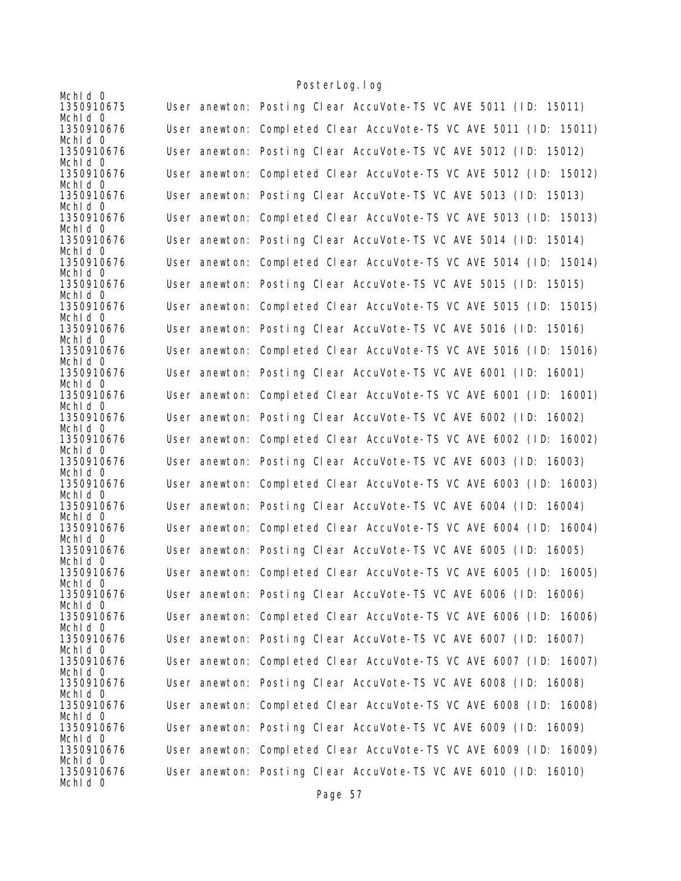|                                     | TUJICI LUYI TUY                                                                                                                      |
|-------------------------------------|--------------------------------------------------------------------------------------------------------------------------------------|
| Mchid 0<br>1350910675               | User anewton: Posting Clear AccuVote-TS VC AVE 5011 (ID: 15011)                                                                      |
| Mchid 0<br>1350910676<br>Mchid 0    | User anewton: Completed Clear AccuVote-TS VC AVE 5011 (ID: 15011)                                                                    |
| 1350910676<br>Mchid 0               | User anewton: Posting Clear AccuVote-TS VC AVE 5012 (ID: 15012)                                                                      |
| 1350910676<br>Mchid 0               | User anewton: Completed Clear AccuVote-TS VC AVE 5012 (ID: 15012)                                                                    |
| 1350910676<br>Mchid 0               | User anewton: Posting Clear AccuVote-TS VC AVE 5013 (ID: 15013)                                                                      |
| 1350910676<br>Mchld 0               | User anewton: Completed Clear AccuVote-TS VC AVE 5013 (ID: 15013)                                                                    |
| 1350910676<br>Mchid 0               | User anewton: Posting Clear AccuVote-TS VC AVE 5014 (ID: 15014)                                                                      |
| 1350910676<br>Mchid 0               | User anewton: Completed Clear AccuVote-TS VC AVE 5014 (ID: 15014)                                                                    |
| 1350910676<br>Mchld 0               | User anewton: Posting Clear AccuVote-TS VC AVE 5015 (ID: 15015)                                                                      |
| 1350910676<br>Mchld 0               | User anewton: Completed Clear AccuVote-TS VC AVE 5015 (ID: 15015)                                                                    |
| 1350910676<br>Mchid 0               | User anewton: Posting Clear AccuVote-TS VC AVE 5016 (ID: 15016)                                                                      |
| 1350910676<br>Mchid 0               | User anewton: Completed Clear AccuVote-TS VC AVE 5016 (ID: 15016)                                                                    |
| 1350910676<br>Mchld 0               | User anewton: Posting Clear AccuVote-TS VC AVE 6001 (ID: 16001)                                                                      |
| 1350910676<br>Mchid 0               | User anewton: Completed Clear AccuVote-TS VC AVE 6001 (ID: 16001)                                                                    |
| 1350910676<br>Mchld 0               | User anewton: Posting Clear AccuVote-TS VC AVE 6002 (ID: 16002)                                                                      |
| 1350910676<br>Mchid 0               | User anewton: Completed Clear AccuVote-TS VC AVE 6002 (ID: 16002)                                                                    |
| 1350910676<br>Mchid 0               | User anewton: Posting Clear AccuVote-TS VC AVE 6003 (ID: 16003)                                                                      |
| 1350910676<br>Mchld 0               | User anewton: Completed Clear AccuVote-TS VC AVE 6003 (ID: 16003)                                                                    |
| 1350910676<br>Mchld 0               | User anewton: Posting Clear AccuVote-TS VC AVE 6004 (ID: 16004)                                                                      |
| 1350910676<br>Mchld 0               | User anewton: Completed Clear AccuVote-TS VC AVE 6004 (ID: 16004)                                                                    |
| 1350910676<br>Mchid 0               | User anewton: Posting Clear AccuVote-TS VC AVE 6005 (ID: 16005)                                                                      |
| 1350910676<br>Mchid 0               | User anewton: Completed Clear AccuVote-TS VC AVE 6005 (ID: 16005)                                                                    |
| 1350910676<br>Mchid 0               | User anewton: Posting Clear AccuVote-TS VC AVE 6006 (ID: 16006)                                                                      |
| 1350910676<br>Mchid 0               | User anewton: Completed Clear AccuVote-TS VC AVE 6006 (ID: 16006)                                                                    |
| 1350910676<br>Mchid 0               | User anewton: Posting Clear AccuVote-TS VC AVE 6007 (ID: 16007)                                                                      |
| 1350910676<br>Mchid 0               | User anewton: Completed Clear AccuVote-TS VC AVE 6007 (ID: 16007)                                                                    |
| 1350910676<br>Mchid 0               | User anewton: Posting Clear AccuVote-TS VC AVE 6008 (ID: 16008)<br>User anewton: Completed Clear AccuVote-TS VC AVE 6008 (ID: 16008) |
| 1350910676<br>Mchid 0<br>1350910676 | User anewton: Posting Clear AccuVote-TS VC AVE 6009 (ID: 16009)                                                                      |
| Mchld 0                             | User anewton: Completed Clear AccuVote-TS VC AVE 6009 (ID: 16009)                                                                    |
| 1350910676<br>Mchid 0               |                                                                                                                                      |
| 1350910676<br>Mchid 0               | User anewton: Posting Clear AccuVote-TS VC AVE 6010 (ID: 16010)                                                                      |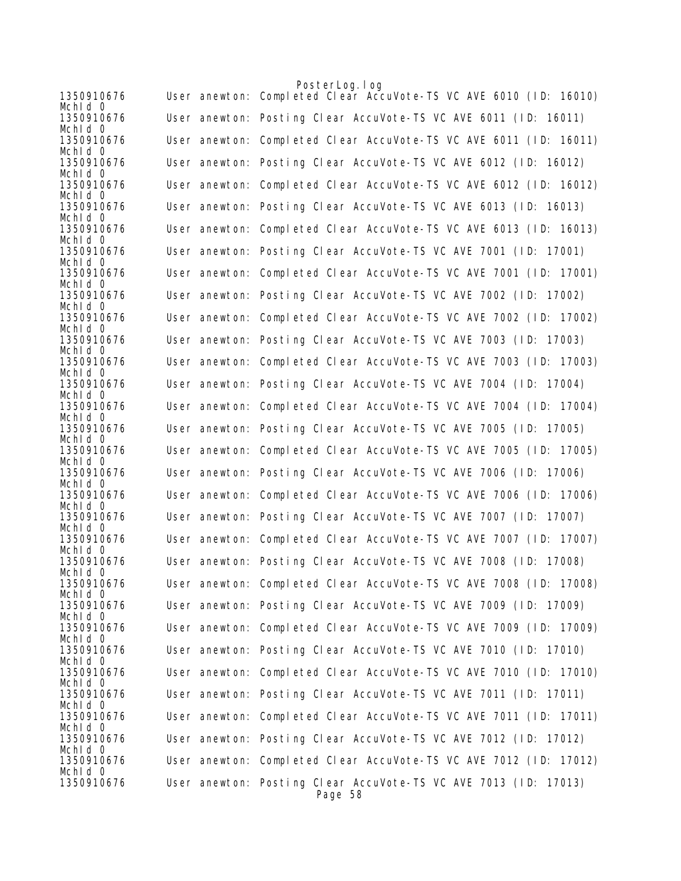|                       | PosterLog.log                                                              |
|-----------------------|----------------------------------------------------------------------------|
| 1350910676<br>Mchid 0 | User anewton: Completed Clear AccuVote-TS VC AVE 6010 (ID: 16010)          |
| 1350910676<br>Mchid 0 | User anewton: Posting Clear AccuVote-TS VC AVE 6011 (ID: 16011)            |
| 1350910676<br>Mchid 0 | User anewton: Completed Clear AccuVote-TS VC AVE 6011 (ID: 16011)          |
| 1350910676            | User anewton: Posting Clear AccuVote-TS VC AVE 6012 (ID: 16012)            |
| Mchid 0<br>1350910676 | User anewton: Completed Clear AccuVote-TS VC AVE 6012 (ID: 16012)          |
| Mchid 0<br>1350910676 | User anewton: Posting Clear AccuVote-TS VC AVE 6013 (ID: 16013)            |
| Mchid 0<br>1350910676 | User anewton: Completed Clear AccuVote-TS VC AVE 6013 (ID: 16013)          |
| Mchid 0<br>1350910676 | User anewton: Posting Clear AccuVote-TS VC AVE 7001 (ID: 17001)            |
| Mchid 0<br>1350910676 | User anewton: Completed Clear AccuVote-TS VC AVE 7001 (ID: 17001)          |
| Mchid 0               |                                                                            |
| 1350910676<br>Mchid 0 | User anewton: Posting Clear AccuVote-TS VC AVE 7002 (ID: 17002)            |
| 1350910676<br>Mchid 0 | User anewton: Completed Clear AccuVote-TS VC AVE 7002 (ID: 17002)          |
| 1350910676            | User anewton: Posting Clear AccuVote-TS VC AVE 7003 (ID: 17003)            |
| Mchid 0<br>1350910676 | User anewton: Completed Clear AccuVote-TS VC AVE 7003 (ID: 17003)          |
| Mchid 0<br>1350910676 | User anewton: Posting Clear AccuVote-TS VC AVE 7004 (ID: 17004)            |
| Mchid 0<br>1350910676 | User anewton: Completed Clear AccuVote-TS VC AVE 7004 (ID: 17004)          |
| Mchid 0<br>1350910676 | User anewton: Posting Clear AccuVote-TS VC AVE 7005 (ID: 17005)            |
| Mchid 0<br>1350910676 | User anewton: Completed Clear AccuVote-TS VC AVE 7005 (ID: 17005)          |
| Mchid 0<br>1350910676 | User anewton: Posting Clear AccuVote-TS VC AVE 7006 (ID: 17006)            |
| Mchid 0               |                                                                            |
| 1350910676<br>Mchid 0 | User anewton: Completed Clear AccuVote-TS VC AVE 7006 (ID: 17006)          |
| 1350910676<br>Mchid 0 | User anewton: Posting Clear AccuVote-TS VC AVE 7007 (ID: 17007)            |
| 1350910676<br>Mchid 0 | User anewton: Completed Clear AccuVote-TS VC AVE 7007 (ID:<br>17007)       |
| 1350910676            | User anewton: Posting Clear AccuVote-TS VC AVE 7008 (ID: 17008)            |
| Mchid O<br>1350910676 | User anewton: Completed Clear AccuVote-TS VC AVE 7008 (ID: 17008)          |
| Mchid 0<br>1350910676 | User anewton: Posting Clear AccuVote-TS VC AVE 7009 (ID: 17009)            |
| Mchid 0<br>1350910676 | User anewton: Completed Clear AccuVote-TS VC AVE 7009 (ID: 17009)          |
| Mchid 0<br>1350910676 | User anewton: Posting Clear AccuVote-TS VC AVE 7010 (ID: 17010)            |
| Mchld 0<br>1350910676 | User anewton: Completed Clear AccuVote-TS VC AVE 7010 (ID: 17010)          |
| Mchid 0<br>1350910676 | User anewton: Posting Clear AccuVote-TS VC AVE 7011 (ID: 17011)            |
| Mchld 0               |                                                                            |
| 1350910676<br>Mchid 0 | User anewton: Completed Clear AccuVote-TS VC AVE 7011 (ID: 17011)          |
| 1350910676<br>Mchid 0 | User anewton: Posting Clear AccuVote-TS VC AVE 7012 (ID: 17012)            |
| 1350910676<br>Mchid 0 | User anewton: Completed Clear AccuVote-TS VC AVE 7012 (ID: 17012)          |
| 1350910676            | User anewton: Posting Clear AccuVote-TS VC AVE 7013 (ID: 17013)<br>Page 58 |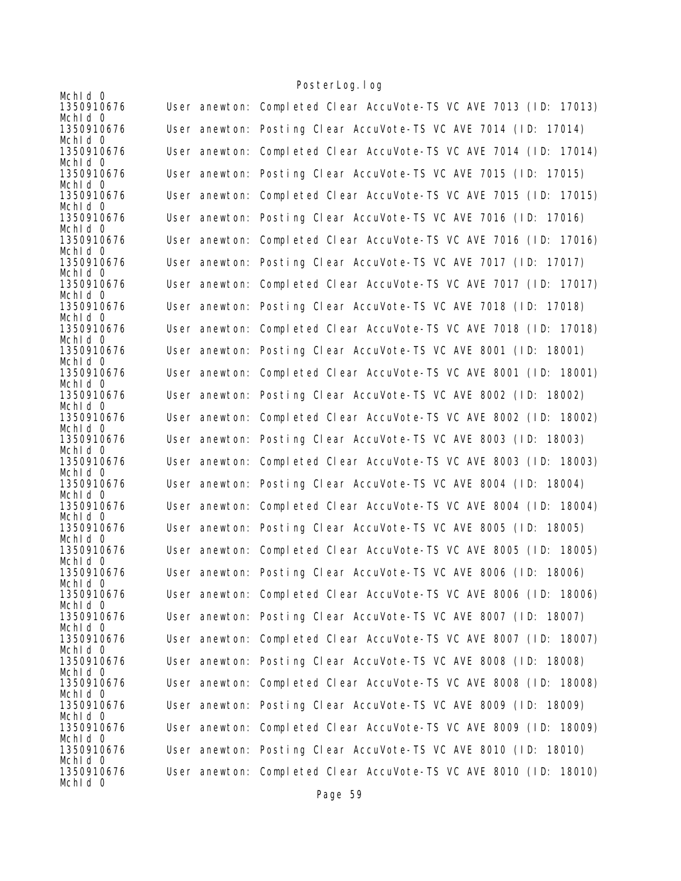| Mchid 0               |                                                                   |
|-----------------------|-------------------------------------------------------------------|
| 1350910676            | User anewton: Completed Clear AccuVote-TS VC AVE 7013 (ID: 17013) |
| Mchid 0               |                                                                   |
| 1350910676            | User anewton: Posting Clear AccuVote-TS VC AVE 7014 (ID: 17014)   |
| Mchid 0               |                                                                   |
| 1350910676            | User anewton: Completed Clear AccuVote-TS VC AVE 7014 (ID: 17014) |
| Mchid 0               |                                                                   |
| 1350910676<br>Mchld 0 | User anewton: Posting Clear AccuVote-TS VC AVE 7015 (ID: 17015)   |
| 1350910676            | User anewton: Completed Clear AccuVote-TS VC AVE 7015 (ID: 17015) |
| Mchid 0               |                                                                   |
| 1350910676            | User anewton: Posting Clear AccuVote-TS VC AVE 7016 (ID: 17016)   |
| Mchld 0               |                                                                   |
| 1350910676            | User anewton: Completed Clear AccuVote-TS VC AVE 7016 (ID: 17016) |
| Mchid 0               |                                                                   |
| 1350910676            | User anewton: Posting Clear AccuVote-TS VC AVE 7017 (ID: 17017)   |
| Mchid 0               |                                                                   |
| 1350910676            | User anewton: Completed Clear AccuVote-TS VC AVE 7017 (ID: 17017) |
| Mchld 0               |                                                                   |
| 1350910676<br>Mchld 0 | User anewton: Posting Clear AccuVote-TS VC AVE 7018 (ID: 17018)   |
| 1350910676            | User anewton: Completed Clear AccuVote-TS VC AVE 7018 (ID: 17018) |
| Mchid 0               |                                                                   |
| 1350910676            | User anewton: Posting Clear AccuVote-TS VC AVE 8001 (ID: 18001)   |
| Mchid 0               |                                                                   |
| 1350910676            | User anewton: Completed Clear AccuVote-TS VC AVE 8001 (ID: 18001) |
| Mchid 0               |                                                                   |
| 1350910676            | User anewton: Posting Clear AccuVote-TS VC AVE 8002 (ID: 18002)   |
| Mchid 0               |                                                                   |
| 1350910676            | User anewton: Completed Clear AccuVote-TS VC AVE 8002 (ID: 18002) |
| Mchid 0<br>1350910676 | User anewton: Posting Clear AccuVote-TS VC AVE 8003 (ID: 18003)   |
| Mchid 0               |                                                                   |
| 1350910676            | User anewton: Completed Clear AccuVote-TS VC AVE 8003 (ID: 18003) |
| Mchid 0               |                                                                   |
| 1350910676            | User anewton: Posting Clear AccuVote-TS VC AVE 8004 (ID: 18004)   |
| Mchid 0               |                                                                   |
| 1350910676            | User anewton: Completed Clear AccuVote-TS VC AVE 8004 (ID: 18004) |
| Mchid 0               |                                                                   |
| 1350910676            | User anewton: Posting Clear AccuVote-TS VC AVE 8005 (ID: 18005)   |
| Mchid 0<br>1350910676 | User anewton: Completed Clear AccuVote-TS VC AVE 8005 (ID: 18005) |
| Mchid 0               |                                                                   |
| 1350910676            | User anewton: Posting Clear AccuVote-TS VC AVE 8006 (ID: 18006)   |
| Mchid 0               |                                                                   |
| 1350910676            | User anewton: Completed Clear AccuVote-TS VC AVE 8006 (ID: 18006) |
| Mchid 0               |                                                                   |
| 1350910676            | User anewton: Posting Clear AccuVote-TS VC AVE 8007 (ID: 18007)   |
| Mchid 0               |                                                                   |
| 1350910676            | User anewton: Completed Clear AccuVote-TS VC AVE 8007 (ID: 18007) |
| Mchid 0               | User anewton: Posting Clear AccuVote-TS VC AVE 8008 (ID: 18008)   |
| 1350910676<br>Mchid 0 |                                                                   |
| 1350910676            | User anewton: Completed Clear AccuVote-TS VC AVE 8008 (ID: 18008) |
| Mchid 0               |                                                                   |
| 1350910676            | User anewton: Posting Clear AccuVote-TS VC AVE 8009 (ID: 18009)   |
| Mchld 0               |                                                                   |
| 1350910676            | User anewton: Completed Clear AccuVote-TS VC AVE 8009 (ID: 18009) |
| Mchid 0               |                                                                   |
| 1350910676            | User anewton: Posting Clear AccuVote-TS VC AVE 8010 (ID: 18010)   |
| Mchid 0               |                                                                   |
| 1350910676<br>Mchid 0 | User anewton: Completed Clear AccuVote-TS VC AVE 8010 (ID: 18010) |
|                       |                                                                   |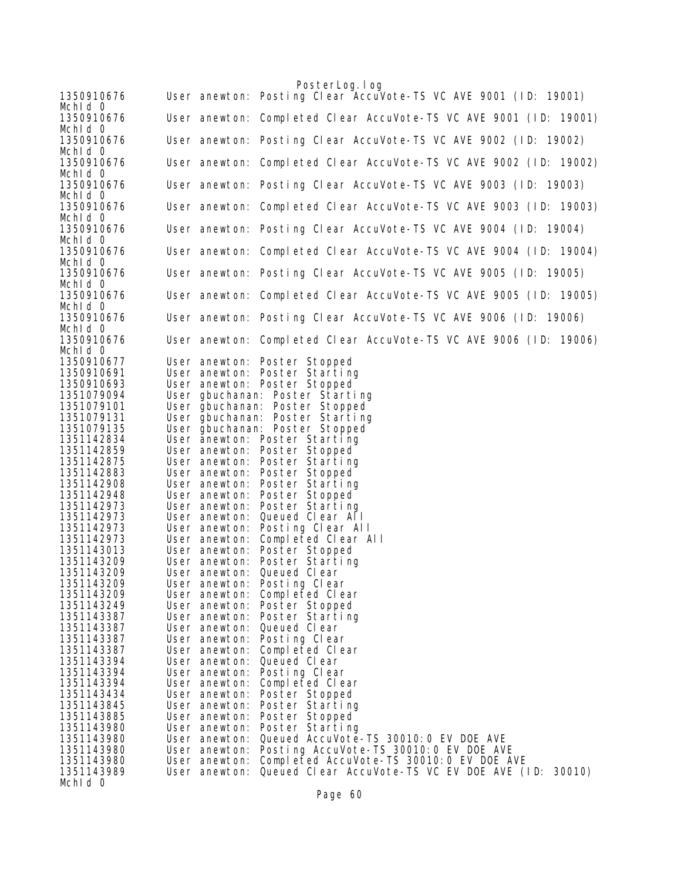|                          |               | PosterLog.log                                                     |
|--------------------------|---------------|-------------------------------------------------------------------|
| 1350910676               |               | User anewton: Posting Clear AccuVote-TS VC AVE 9001 (ID: 19001)   |
| Mchid 0                  |               |                                                                   |
| 1350910676<br>Mchid 0    |               | User anewton: Completed Clear AccuVote-TS VC AVE 9001 (ID: 19001) |
| 1350910676<br>Mchid 0    |               | User anewton: Posting Clear AccuVote-TS VC AVE 9002 (ID: 19002)   |
| 1350910676               |               | User anewton: Completed Clear AccuVote-TS VC AVE 9002 (ID: 19002) |
| Mchid 0<br>1350910676    |               | User anewton: Posting Clear AccuVote-TS VC AVE 9003 (ID: 19003)   |
| Mchid 0<br>1350910676    |               | User anewton: Completed Clear AccuVote-TS VC AVE 9003 (ID: 19003) |
| Mchid 0<br>1350910676    |               | User anewton: Posting Clear AccuVote-TS VC AVE 9004 (ID: 19004)   |
| Mchid 0                  |               |                                                                   |
| 1350910676<br>Mchld 0    |               | User anewton: Completed Clear AccuVote-TS VC AVE 9004 (ID: 19004) |
| 1350910676<br>Mchld 0    |               | User anewton: Posting Clear AccuVote-TS VC AVE 9005 (ID: 19005)   |
| 1350910676<br>Mchid 0    |               | User anewton: Completed Clear AccuVote-TS VC AVE 9005 (ID: 19005) |
| 1350910676               |               | User anewton: Posting Clear AccuVote-TS VC AVE 9006 (ID: 19006)   |
| Mchid 0<br>1350910676    |               | User anewton: Completed Clear AccuVote-TS VC AVE 9006 (ID: 19006) |
| Mchld 0                  |               |                                                                   |
| 1350910677<br>1350910691 |               | User anewton: Poster Stopped<br>User anewton: Poster Starting     |
| 1350910693               |               | User anewton: Poster Stopped                                      |
| 1351079094               |               | User gbuchanan: Poster Starting                                   |
| 1351079101               |               | User gbuchanan: Poster Stopped                                    |
| 1351079131               |               | User gbuchanan: Poster Starting                                   |
| 1351079135               |               |                                                                   |
|                          |               | User gbuchanan: Poster Stopped                                    |
| 1351142834<br>1351142859 |               | User anewton: Poster Starting                                     |
|                          |               | User anewton: Poster Stopped                                      |
| 1351142875               |               | User anewton: Poster Starting<br>User anewton: Poster Stopped     |
| 1351142883               |               |                                                                   |
| 1351142908               |               | User anewton: Poster Starting                                     |
| 1351142948               |               | User anewton: Poster Stopped                                      |
| 1351142973               |               | User anewton: Poster Starting                                     |
| 1351142973<br>1351142973 |               | User anewton: Queued Clear All                                    |
|                          |               | User anewton: Posting Clear All                                   |
| 1351142973               |               | User anewton: Completed Clear All                                 |
| 1351143013<br>1351143209 |               | User anewton: Poster Stopped                                      |
|                          |               | User anewton: Poster Starting                                     |
| 1351143209               |               | User anewton: Queued Clear                                        |
| 1351143209<br>1351143209 |               | User anewton: Posting Clear                                       |
| 1351143249               |               | User anewton: Completed Clear<br>User anewton: Poster Stopped     |
|                          | User anewton: |                                                                   |
| 1351143387<br>1351143387 |               | Poster Starting<br>User anewton: Queued Clear                     |
| 1351143387               |               | User anewton: Posting Clear                                       |
| 1351143387               | User anewton: | Completed Clear                                                   |
| 1351143394               | User anewton: | Queued Clear                                                      |
| 1351143394               |               | User anewton: Posting Clear                                       |
| 1351143394               | User anewton: | Completed Clear                                                   |
| 1351143434               |               | User anewton: Poster Stopped                                      |
| 1351143845               |               | User anewton: Poster Starting                                     |
| 1351143885               | User anewton: | Poster Stopped                                                    |
| 1351143980               |               | User anewton: Poster Starting                                     |
| 1351143980               | User anewton: | Queued AccuVote-TS 30010: 0 EV DOE AVE                            |
| 1351143980               | User anewton: | Posting AccuVote-TS 30010:0 EV DOE AVE                            |
| 1351143980               |               | User anewton: Completed AccuVote-TS 30010:0 EV DOE AVE            |
| 1351143989               |               | User anewton: Queued Clear AccuVote-TS VC EV DOE AVE (ID: 30010)  |
| Mchid 0                  |               |                                                                   |

Page 60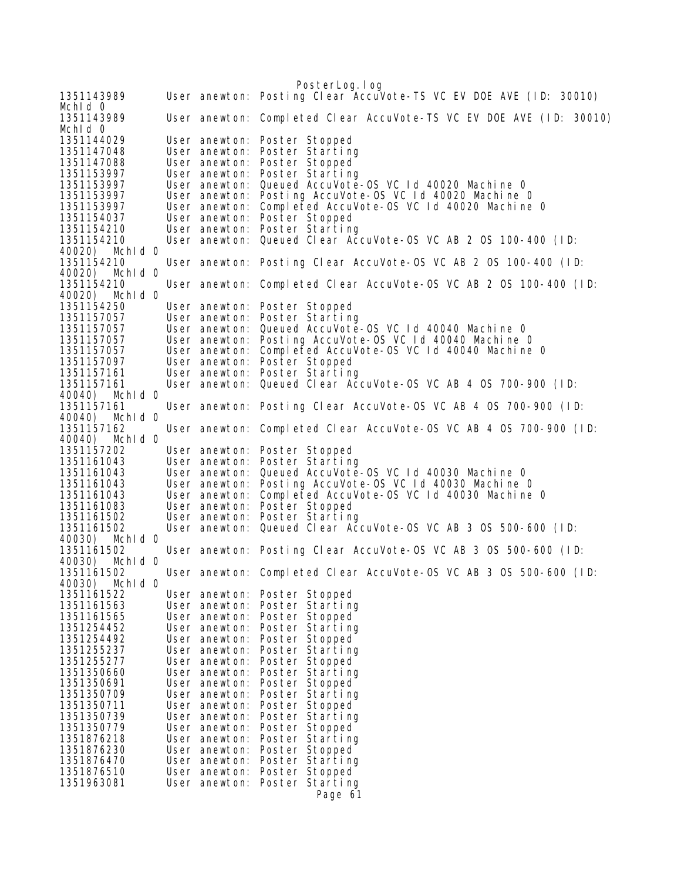PosterLog.log 1351143989 User anewton: Posting Clear AccuVote-TS VC EV DOE AVE (ID: 30010) Mchld 0<br>1351143989 User anewton: Completed Clear AccuVote-TS VC EV DOE AVE (ID: 30010) Mchld 0<br>1351144029 1351144029 User anewton: Poster Stopped 1351147048 User anewton: Poster Starting 1351147088 User anewton: Poster Stopped 1351153997 User anewton: Poster Starting User anewton: Queued AccuVote-OS VC Id 40020 Machine 0 1351153997 User anewton: Posting AccuVote-OS VC Id 40020 Machine 0 1351153997 User anewton: Completed AccuVote-OS VC Id 40020 Machine O<br>1351154037 User anewton: Poster Stopped 1351154037 User anewton: Poster Stopped User anewton: Poster Starting 1351154210 User anewton: Queued Clear AccuVote-OS VC AB 2 OS 100-400 (ID: 40020) MchId 0 1351154210 User anewton: Posting Clear AccuVote-OS VC AB 2 OS 100-400 (ID: 40020) MchId 0 User anewton: Completed Clear AccuVote-OS VC AB 2 OS 100-400 (ID: 40020) MchId 0 1351154250 User anewton: Poster Stopped 1351157057 User anewton: Poster Starting Queued AccuVote-OS VC Id 40040 Machine 0 1351157057 User anewton: Posting AccuVote-OS VC Id 40040 Machine 0 1351157057 User anewton: Completed AccuVote-OS VC Id 40040 Machine 0 1351157097 User anewton: Poster Stopped 1351157161 User anewton: Poster Starting User anewton: Queued Clear AccuVote-OS VC AB 4 OS 700-900 (ID: 40040) MchId 0 1351157161 User anewton: Posting Clear AccuVote-OS VC AB 4 OS 700-900 (ID: 40040) Mchld 0<br>1351157162 User anewton: Completed Clear AccuVote-OS VC AB 4 OS 700-900 (ID: 40040) MchId 0 1351157202 User anewton: Poster Stopped User anewton: Poster Starting 1351161043 User anewton: Queued AccuVote-OS VC Id 40030 Machine 0 User anewton: Posting AccuVote-OS VC Id 40030 Machine 0 1351161043 User anewton: Completed AccuVote-OS VC Id 40030 Machine 0 User anewton: Poster Stopped 1351161502 User anewton: Poster Starting User anewton: Queued Clear AccuVote-OS VC AB 3 OS 500-600 (ID: 40030) MchId 0 1351161502 User anewton: Posting Clear AccuVote-OS VC AB 3 OS 500-600 (ID: Mchid 0 1351161502 User anewton: Completed Clear AccuVote-OS VC AB 3 OS 500-600 (ID: 40030) MchId 0 1351161522 User anewton: Poster Stopped 1351161563 User anewton: Poster Starting<br>1351161565 User anewton: Poster Stopped<br>1351254452 User anewton: Poster Starting<br>1351254492 User anewton: Poster Stopped 1351161565 User anewton: Poster Stopped`<br>1351254452 User anewton: Poster Starting 1351254452 User anewton: Poster Starting 1351254492 User anewton: Poster Stopped 1351255237 User anewton: Poster Starting 1351255277 User anewton: Poster Stopped 1351350660 User anewton: Poster Starting<br>1351350691 User anewton: Poster Stopped User anewton: Poster Stopped 1351350709 User anewton: Poster Starting 1351350711 User anewton: Poster Stopped 1351350739 User anewton: Poster Starting<br>1351350779 User anewton: Poster Stopped<br>1351876218 User anewton: Poster Starting 1351350779 User anewton: Poster Stopped 1351876218 User anewton: Poster Starting 1351876230 User anewton: Poster Stopped 1351876470 User anewton: Poster Starting User anewton: Poster Stopped 1351963081 User anewton: Poster Starting Page 61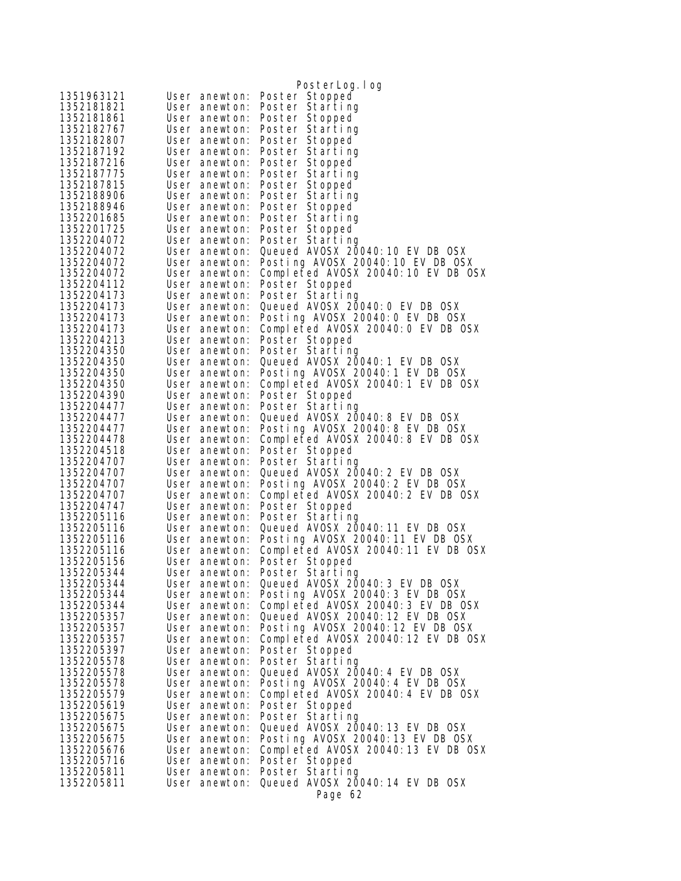| 1351963121               | User anewton:                  | PosterLog.log<br>Poster Stopped                     |
|--------------------------|--------------------------------|-----------------------------------------------------|
| 1352181821               | User anewton:                  | Poster Starting                                     |
| 1352181861               | User anewton:                  | Poster Stopped                                      |
| 1352182767               | User anewton:                  | Poster Starting                                     |
| 1352182807               | User anewton:                  | Poster Stopped                                      |
| 1352187192               | User anewton:                  | Poster Starting                                     |
| 1352187216               | User anewton:                  | Poster Stopped                                      |
| 1352187775               | User anewton:                  | Poster Starting                                     |
| 1352187815               | User anewton:                  | Poster Stopped                                      |
| 1352188906               | User anewton:                  | Poster Starting                                     |
| 1352188946               | User anewton:                  | Poster Stopped                                      |
| 1352201685               | User anewton:                  | Poster Starting                                     |
| 1352201725               | User anewton:                  | Poster Stopped                                      |
| 1352204072<br>1352204072 | User anewton:<br>User anewton: | Poster Starting<br>Queued AVOSX 20040: 10 EV DB OSX |
| 1352204072               | User anewton:                  | Posting AVOSX 20040: 10 EV DB OSX                   |
| 1352204072               | User anewton:                  | Completed AVOSX 20040:10 EV DB OSX                  |
| 1352204112               | User anewton:                  | Poster Stopped                                      |
| 1352204173               | User anewton:                  | Poster Starting                                     |
| 1352204173               | User anewton:                  | Queued AVOSX 20040: 0 EV DB OSX                     |
| 1352204173               | User anewton:                  | Posting AVOSX 20040: 0 EV DB OSX                    |
| 1352204173               | User anewton:                  | Completed AVOSX 20040:0 EV DB OSX                   |
| 1352204213               | User anewton:                  | Poster Stopped                                      |
| 1352204350               | User anewton:                  | Poster Starting                                     |
| 1352204350               | User anewton:                  | Queued AVOSX 20040: 1 EV DB OSX                     |
| 1352204350               | User anewton:                  | Posting AVOSX 20040:1 EV DB OSX                     |
| 1352204350               | User anewton:                  | Completed AVOSX 20040:1 EV DB OSX                   |
| 1352204390               | User anewton:                  | Poster Stopped                                      |
| 1352204477<br>1352204477 | User anewton:<br>User anewton: | Poster Starting<br>Queued AVOSX 20040: 8 EV DB OSX  |
| 1352204477               | User anewton:                  | Posting AVOSX 20040:8 EV DB OSX                     |
| 1352204478               | User anewton:                  | Completed AVOSX 20040:8 EV DB OSX                   |
| 1352204518               | User anewton:                  | Poster Stopped                                      |
| 1352204707               | User anewton:                  | Poster Starting                                     |
| 1352204707               | User anewton:                  | Queued AVOSX 20040: 2 EV DB OSX                     |
| 1352204707               | User anewton:                  | Posting AVOSX 20040: 2 EV DB OSX                    |
| 1352204707               | User anewton:                  | Completed AVOSX 20040: 2 EV DB OSX                  |
| 1352204747               | User anewton:                  | Poster Stopped                                      |
| 1352205116               | User anewton:                  | Poster Starting                                     |
| 1352205116               | User anewton:                  | Queued AVOSX 20040: 11 EV DB OSX                    |
| 1352205116               | User anewton:                  | Posting AVOSX 20040:11 EV DB OSX                    |
| 1352205116<br>1352205156 | User anewton:                  | Completed AVOSX 20040:11 EV DB OSX                  |
| 1352205344               | User anewton:<br>User anewton: | Poster Stopped<br>Poster Starting                   |
| 1352205344               | User anewton:                  | Queued AVOSX 20040: 3 EV DB OSX                     |
| 1352205344               | User anewton:                  | Posting AVOSX 20040: 3 EV DB OSX                    |
| 1352205344               | User anewton:                  | Completed AVOSX 20040:3 EV DB OSX                   |
| 1352205357               | User anewton:                  | Queued AVOSX 20040: 12 EV DB OSX                    |
| 1352205357               | User anewton:                  | Posting AVOSX 20040:12 EV DB OSX                    |
| 1352205357               | User anewton:                  | Completed AVOSX 20040:12 EV DB OSX                  |
| 1352205397               | User anewton:                  | Poster Stopped                                      |
| 1352205578               | User anewton:                  | Poster Starting                                     |
| 1352205578               | User anewton:                  | Queued AVOSX 20040: 4 EV DB OSX                     |
| 1352205578               | User anewton:                  | Posting AVOSX 20040: 4 EV DB OSX                    |
| 1352205579               | User anewton:<br>User anewton: | Completed AVOSX 20040:4 EV DB OSX                   |
| 1352205619<br>1352205675 | User anewton:                  | Poster Stopped<br>Poster Starting                   |
| 1352205675               | User anewton:                  | Queued AVOSX 20040: 13 EV DB OSX                    |
| 1352205675               | User anewton:                  | Posting AVOSX 20040:13 EV DB OSX                    |
| 1352205676               | User anewton:                  | Completed AVOSX 20040:13 EV DB OSX                  |
| 1352205716               | User anewton:                  | Poster Stopped                                      |
| 1352205811               | User anewton:                  | Poster Starting                                     |
| 1352205811               | User anewton:                  | Queued AVOSX 20040: 14 EV DB OSX                    |
|                          |                                | Page 62                                             |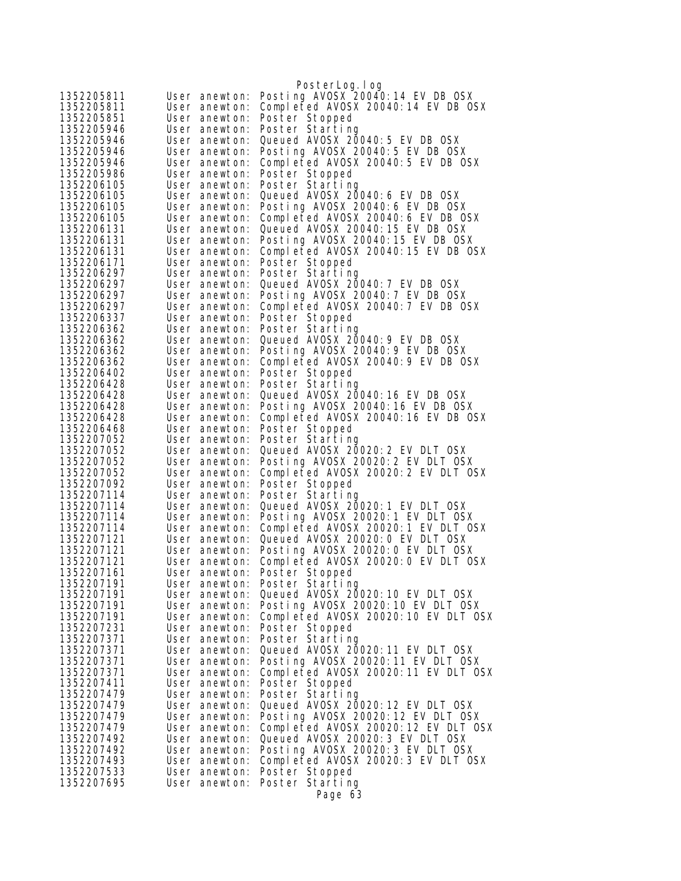|                          |                                | PosterLog.log                                                          |
|--------------------------|--------------------------------|------------------------------------------------------------------------|
| 1352205811               | User anewton:                  | Posting AVOSX 20040:14 EV DB OSX                                       |
| 1352205811               | User anewton:                  | Completed AVOSX 20040:14 EV DB OSX                                     |
| 1352205851               | User anewton:                  | Poster Stopped                                                         |
| 1352205946               | User anewton:                  | Poster Starting                                                        |
| 1352205946               | User anewton:                  | Queued AVOSX 20040: 5 EV DB OSX                                        |
| 1352205946               | User anewton:                  | Posting AVOSX 20040:5 EV DB OSX                                        |
| 1352205946               | User anewton:                  | Completed AVOSX 20040:5 EV DB OSX                                      |
| 1352205986               | User anewton:                  | Poster Stopped                                                         |
| 1352206105               | User anewton:                  | Poster Starting                                                        |
| 1352206105               | User anewton:                  | Queued AVOSX 20040: 6 EV DB OSX<br>Posting AVOSX 20040:6 EV DB OSX     |
| 1352206105               | User anewton:                  | Completed AVOSX 20040:6 EV DB OSX                                      |
| 1352206105<br>1352206131 | User anewton:<br>User anewton: | Queued AVOSX 20040: 15 EV DB OSX                                       |
| 1352206131               | User anewton:                  | Posting AVOSX 20040:15 EV DB OSX                                       |
| 1352206131               | User anewton:                  | Completed AVOSX 20040:15 EV DB OSX                                     |
| 1352206171               | User anewton:                  | Poster Stopped                                                         |
| 1352206297               | User anewton:                  | Poster Starting                                                        |
| 1352206297               | User anewton:                  | Queued AVOSX 20040: 7 EV DB OSX                                        |
| 1352206297               | User anewton:                  | Posting AVOSX 20040: 7 EV DB OSX                                       |
| 1352206297               | User anewton:                  | Completed AVOSX 20040: 7 EV DB OSX                                     |
| 1352206337               | User anewton:                  | Poster Stopped                                                         |
| 1352206362               | User anewton:                  | Poster Starting                                                        |
| 1352206362               | User anewton:                  | Queued AVOSX 20040: 9 EV DB OSX                                        |
| 1352206362               | User anewton:                  | Posting AVOSX 20040:9 EV DB OSX                                        |
| 1352206362               | User anewton:                  | Completed AVOSX 20040:9 EV DB OSX                                      |
| 1352206402<br>1352206428 | User anewton:                  | Poster Stopped<br>Poster Starting                                      |
| 1352206428               | User anewton:<br>User anewton: | Queued AVOSX 20040:16 EV DB OSX                                        |
| 1352206428               | User anewton:                  | Posting AVOSX 20040:16 EV DB OSX                                       |
| 1352206428               | User anewton:                  | Completed AVOSX 20040:16 EV DB OSX                                     |
| 1352206468               | User anewton:                  | Poster Stopped                                                         |
| 1352207052               | User anewton:                  | Poster Starting                                                        |
| 1352207052               | User anewton:                  | Queued AVOSX 20020: 2 EV DLT OSX                                       |
| 1352207052               | User anewton:                  | Posting AVOSX 20020:2 EV DLT OSX                                       |
| 1352207052               | User anewton:                  | Completed AVOSX 20020:2 EV DLT OSX                                     |
| 1352207092               | User anewton:                  | Poster Stopped                                                         |
| 1352207114               | User anewton:                  | Poster Starting                                                        |
| 1352207114               | User anewton:                  | Queued AVOSX 20020: 1 EV DLT OSX                                       |
| 1352207114<br>1352207114 | User anewton:<br>User anewton: | Posting AVOSX 20020:1 EV DLT OSX<br>Completed AVOSX 20020:1 EV DLT OSX |
| 1352207121               | User anewton:                  | Queued AVOSX 20020: 0 EV DLT OSX                                       |
| 1352207121               | User anewton:                  | Posting AVOSX 20020: 0 EV DLT OSX                                      |
| 1352207121               | User anewton:                  | Completed AVOSX 20020:0 EV DLT OSX                                     |
| 1352207161               | User anewton:                  | Poster Stopped                                                         |
| 1352207191               | User anewton:                  | Poster Starting                                                        |
| 1352207191               | User anewton:                  | Queued AVOSX 20020: 10 EV DLT OSX                                      |
| 1352207191               | User anewton:                  | Posting AVOSX 20020:10 EV DLT OSX                                      |
| 1352207191               | User anewton:                  | Completed AVOSX 20020:10 EV DLT OSX                                    |
| 1352207231               | User anewton:                  | Poster Stopped                                                         |
| 1352207371               | User anewton:                  | Poster Starting                                                        |
| 1352207371<br>1352207371 | User anewton:                  | Queued AVOSX 20020: 11 EV DLT OSX<br>Posting AVOSX 20020:11 EV DLT OSX |
| 1352207371               | User anewton:<br>User anewton: | Completed AVOSX 20020:11 EV DLT OSX                                    |
| 1352207411               | User anewton:                  | Poster Stopped                                                         |
| 1352207479               | User anewton:                  | Poster Starting                                                        |
| 1352207479               | User anewton:                  | Queued AVOSX 20020: 12 EV DLT OSX                                      |
| 1352207479               | User anewton:                  | Posting AVOSX 20020:12 EV DLT OSX                                      |
| 1352207479               | User anewton:                  | Completed AVOSX 20020:12 EV DLT OSX                                    |
| 1352207492               | User anewton:                  | Queued AVOSX 20020: 3 EV DLT OSX                                       |
| 1352207492               | User anewton:                  | Posting AVOSX 20020: 3 EV DLT OSX                                      |
| 1352207493               | User anewton:                  | Completed AVOSX 20020:3 EV DLT OSX                                     |
| 1352207533               | User anewton:                  | Poster Stopped                                                         |
| 1352207695               | User anewton:                  | Poster Starting                                                        |
|                          |                                | Page 63                                                                |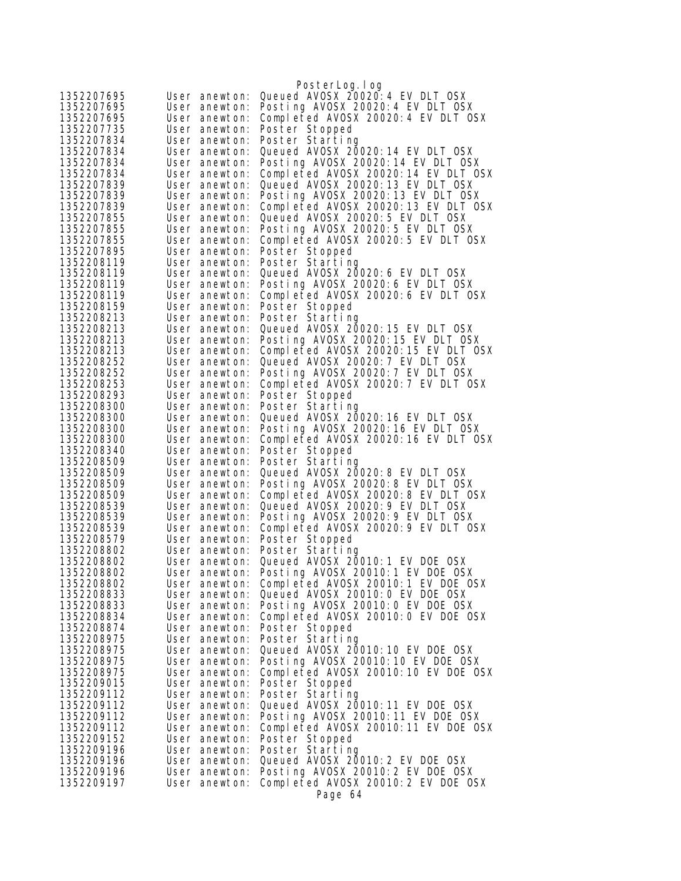|                          |                                | PosterLog.log                                                            |
|--------------------------|--------------------------------|--------------------------------------------------------------------------|
| 1352207695               | User anewton:                  | Queued AVOSX 20020: 4 EV DLT OSX                                         |
| 1352207695               | User anewton:                  | Posting AVOSX 20020:4 EV DLT OSX                                         |
| 1352207695               | User anewton:                  | Completed AVOSX 20020:4 EV DLT OSX                                       |
| 1352207735               | User anewton:                  | Poster Stopped                                                           |
| 1352207834               | User anewton:                  | Poster Starting                                                          |
| 1352207834               | User anewton:                  | Queued AVOSX 20020: 14 EV DLT OSX                                        |
| 1352207834               | User anewton:                  | Posting AVOSX 20020:14 EV DLT OSX                                        |
| 1352207834               | User anewton:                  | Completed AVOSX 20020:14 EV DLT OSX                                      |
| 1352207839               | User anewton:                  | Queued AVOSX 20020: 13 EV DLT OSX                                        |
| 1352207839               | User anewton:                  | Posting AVOSX 20020:13 EV DLT OSX                                        |
| 1352207839               | User anewton:                  | Completed AVOSX 20020:13 EV DLT OSX                                      |
| 1352207855               | User anewton:                  | Queued AVOSX 20020: 5 EV DLT OSX                                         |
| 1352207855<br>1352207855 | User anewton:                  | Posting AVOSX 20020:5 EV DLT OSX                                         |
| 1352207895               | User anewton:<br>User anewton: | Completed AVOSX 20020:5 EV DLT OSX<br>Poster Stopped                     |
| 1352208119               | User anewton:                  | Poster Starting                                                          |
| 1352208119               | User anewton:                  | Queued AVOSX 20020:6 EV DLT OSX                                          |
| 1352208119               | User anewton:                  | Posting AVOSX 20020:6 EV DLT OSX                                         |
| 1352208119               | User anewton:                  | Completed AVOSX 20020:6 EV DLT OSX                                       |
| 1352208159               | User anewton:                  | Poster Stopped                                                           |
| 1352208213               | User anewton:                  | Poster Starting                                                          |
| 1352208213               | User anewton:                  | Queued AVOSX 20020:15 EV DLT OSX                                         |
| 1352208213               | User anewton:                  | Posting AVOSX 20020:15 EV DLT OSX                                        |
| 1352208213               | User anewton:                  | Completed AVOSX 20020:15 EV DLT OSX                                      |
| 1352208252               | User anewton:                  | Queued AVOSX 20020: 7 EV DLT OSX                                         |
| 1352208252               | User anewton:                  | Posting AVOSX 20020: 7 EV DLT OSX                                        |
| 1352208253<br>1352208293 | User anewton:                  | Completed AVOSX 20020:7 EV DLT OSX                                       |
| 1352208300               | User anewton:<br>User anewton: | Poster Stopped<br>Poster Starting                                        |
| 1352208300               | User anewton:                  | Queued AVOSX 20020: 16 EV DLT OSX                                        |
| 1352208300               | User anewton:                  | Posting AVOSX 20020:16 EV DLT OSX                                        |
| 1352208300               | User anewton:                  | Completed AVOSX 20020:16 EV DLT OSX                                      |
| 1352208340               | User anewton:                  | Poster Stopped                                                           |
| 1352208509               | User anewton:                  | Poster Starting                                                          |
| 1352208509               | User anewton:                  | Queued AVOSX 20020: 8 EV DLT OSX                                         |
| 1352208509               | User anewton:                  | Posting AVOSX 20020:8 EV DLT OSX                                         |
| 1352208509               | User anewton:                  | Completed AVOSX 20020:8 EV DLT OSX                                       |
| 1352208539               | User anewton:                  | Queued AVOSX 20020: 9 EV DLT OSX                                         |
| 1352208539               | User anewton:                  | Posting AVOSX 20020: 9 EV DLT OSX<br>Completed AVOSX 20020:9 EV DLT OSX  |
| 1352208539<br>1352208579 | User anewton:<br>User anewton: | Poster Stopped                                                           |
| 1352208802               | User anewton:                  | Poster Starting                                                          |
| 1352208802               | User anewton:                  | Queued AVOSX 20010: 1 EV DOE OSX                                         |
| 1352208802               | User anewton:                  | Posting AVOSX 20010:1 EV DOE OSX                                         |
| 1352208802               | User anewton:                  | Completed AVOSX 20010:1 EV DOE OSX                                       |
| 1352208833               | User anewton:                  | Queued AVOSX 20010: 0 EV DOE OSX                                         |
| 1352208833               | User anewton:                  | Posting AVOSX 20010:0 EV DOE OSX                                         |
| 1352208834               | User anewton:                  | Completed AVOSX 20010:0 EV DOE OSX                                       |
| 1352208874               | User anewton:                  | Poster Stopped                                                           |
| 1352208975               | User anewton:                  | Poster Starting                                                          |
| 1352208975               | User anewton:                  | Queued AVOSX 20010:10 EV DOE OSX                                         |
| 1352208975<br>1352208975 | User anewton:<br>User anewton: | Posting AVOSX 20010:10 EV DOE OSX<br>Completed AVOSX 20010:10 EV DOE OSX |
| 1352209015               | User anewton:                  | Poster Stopped                                                           |
| 1352209112               | User anewton:                  | Poster Starting                                                          |
| 1352209112               | User anewton:                  | Queued AVOSX 20010:11 EV DOE OSX                                         |
| 1352209112               | User anewton:                  | Posting AVOSX 20010:11 EV DOE OSX                                        |
| 1352209112               | User anewton:                  | Completed AVOSX 20010:11 EV DOE OSX                                      |
| 1352209152               | User anewton:                  | Poster Stopped                                                           |
| 1352209196               | User anewton:                  | Poster Starting                                                          |
| 1352209196               | User anewton:                  | Queued AVOSX 20010: 2 EV DOE OSX                                         |
| 1352209196               | User anewton:                  | Posting AVOSX 20010:2 EV DOE OSX                                         |
| 1352209197               | User anewton:                  | Completed AVOSX 20010:2 EV DOE OSX                                       |
|                          |                                | Page 64                                                                  |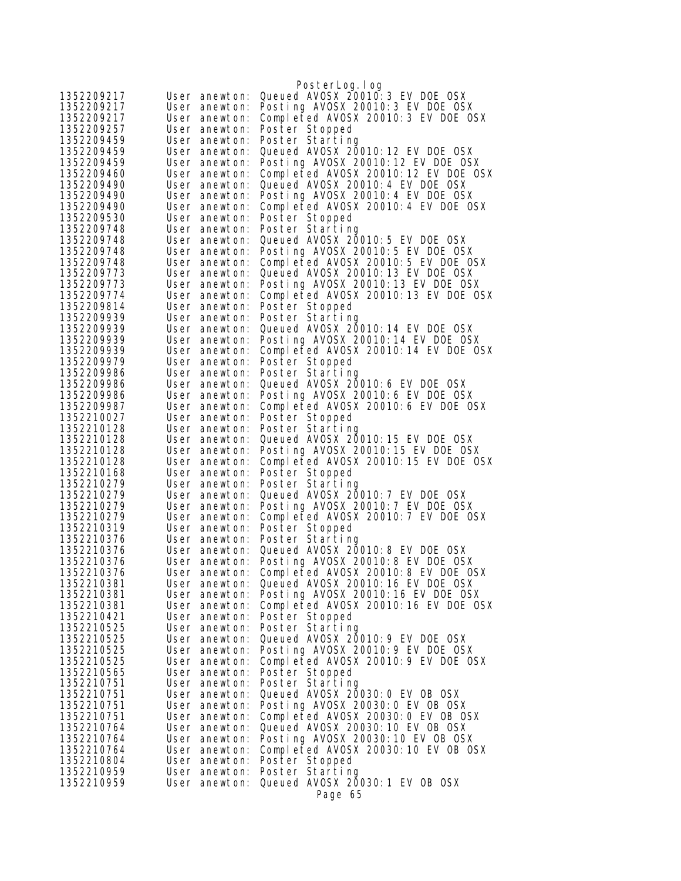|                          |                                | PosterLog. I og                                                        |
|--------------------------|--------------------------------|------------------------------------------------------------------------|
| 1352209217               | User anewton:                  | Queued AVOSX 20010: 3 EV DOE OSX                                       |
| 1352209217               | User anewton:                  | Posting AVOSX 20010: 3 EV DOE OSX                                      |
| 1352209217               | User anewton:                  | Completed AVOSX 20010:3 EV DOE OSX                                     |
| 1352209257               | User anewton:                  | Poster Stopped                                                         |
| 1352209459               | User anewton:                  | Poster Starting                                                        |
| 1352209459               | User anewton:                  | Queued AVOSX 20010:12 EV DOE OSX                                       |
| 1352209459               | User anewton:                  | Posting AVOSX 20010:12 EV DOE OSX                                      |
| 1352209460               | User anewton:                  | Completed AVOSX 20010:12 EV DOE OSX                                    |
| 1352209490               | User anewton:                  | Queued AVOSX 20010: 4 EV DOE OSX                                       |
| 1352209490               | User anewton:                  | Posting AVOSX 20010: 4 EV DOE OSX                                      |
| 1352209490<br>1352209530 | User anewton:<br>User anewton: | Completed AVOSX 20010:4 EV DOE OSX<br>Poster Stopped                   |
| 1352209748               | User anewton:                  | Poster Starting                                                        |
| 1352209748               | User anewton:                  | Queued AVOSX 20010: 5 EV DOE OSX                                       |
| 1352209748               | User anewton:                  | Posting AVOSX 20010:5 EV DOE OSX                                       |
| 1352209748               | User anewton:                  | Completed AVOSX 20010:5 EV DOE OSX                                     |
| 1352209773               | User anewton:                  | Queued AVOSX 20010:13 EV DOE OSX                                       |
| 1352209773               | User anewton:                  | Posting AVOSX 20010:13 EV DOE OSX                                      |
| 1352209774               | User anewton:                  | Completed AVOSX 20010:13 EV DOE OSX                                    |
| 1352209814               | User anewton:                  | Poster Stopped                                                         |
| 1352209939               | User anewton:                  | Poster Starting                                                        |
| 1352209939               | User anewton:                  | Queued AVOSX 20010:14 EV DOE OSX                                       |
| 1352209939               | User anewton:                  | Posting AVOSX 20010:14 EV DOE OSX                                      |
| 1352209939               | User anewton:                  | Completed AVOSX 20010:14 EV DOE OSX                                    |
| 1352209979<br>1352209986 | User anewton:<br>User anewton: | Poster Stopped<br>Poster Starting                                      |
| 1352209986               | User anewton:                  | Queued AVOSX 20010: 6 EV DOE OSX                                       |
| 1352209986               | User anewton:                  | Posting AVOSX 20010:6 EV DOE OSX                                       |
| 1352209987               | User anewton:                  | Completed AVOSX 20010:6 EV DOE OSX                                     |
| 1352210027               | User anewton:                  | Poster Stopped                                                         |
| 1352210128               | User anewton:                  | Poster Starting                                                        |
| 1352210128               | User anewton:                  | Queued AVOSX 20010: 15 EV DOE OSX                                      |
| 1352210128               | User anewton:                  | Posting AVOSX 20010:15 EV DOE OSX                                      |
| 1352210128<br>1352210168 | User anewton:<br>User anewton: | Completed AVOSX 20010:15 EV DOE OSX<br>Poster Stopped                  |
| 1352210279               | User anewton:                  | Poster Starting                                                        |
| 1352210279               | User anewton:                  | Queued AVOSX 20010: 7 EV DOE OSX                                       |
| 1352210279               | User anewton:                  | Posting AVOSX 20010: 7 EV DOE OSX                                      |
| 1352210279               | User anewton:                  | Completed AVOSX 20010: 7 EV DOE OSX                                    |
| 1352210319               | User anewton:                  | Poster Stopped                                                         |
| 1352210376               | User anewton:                  | Poster Starting                                                        |
| 1352210376               | User anewton:                  | Queued AVOSX 20010: 8 EV DOE OSX                                       |
| 1352210376               | User anewton:                  | Posting AVOSX 20010:8 EV DOE OSX                                       |
| 1352210376<br>1352210381 | User anewton:                  | Completed AVOSX 20010:8 EV DOE OSX<br>Queued AVOSX 20010:16 EV DOE OSX |
| 1352210381               | User anewton:<br>User anewton: | Posting AVOSX 20010:16 EV DOE OSX                                      |
| 1352210381               | User anewton:                  | Completed AVOSX 20010:16 EV DOE OSX                                    |
| 1352210421               | User anewton:                  | Poster Stopped                                                         |
| 1352210525               | User anewton:                  | Poster Starting                                                        |
| 1352210525               | User anewton:                  | Queued AVOSX 20010: 9 EV DOE OSX                                       |
| 1352210525               | User anewton:                  | Posting AVOSX 20010: 9 EV DOE OSX                                      |
| 1352210525               | User anewton:                  | Completed AVOSX 20010:9 EV DOE OSX                                     |
| 1352210565               | User anewton:                  | Poster Stopped                                                         |
| 1352210751               | User anewton:                  | Poster Starting                                                        |
| 1352210751<br>1352210751 | User anewton:<br>User anewton: | Queued AVOSX 20030: 0 EV OB OSX<br>Posting AVOSX 20030:0 EV OB OSX     |
| 1352210751               | User anewton:                  | Completed AVOSX 20030:0 EV OB OSX                                      |
| 1352210764               | User anewton:                  | Queued AV0SX 20030: 10 EV 0B 0SX                                       |
| 1352210764               | User anewton:                  | Posting AVOSX 20030:10 EV OB OSX                                       |
| 1352210764               | User anewton:                  | Completed AVOSX 20030:10 EV OB OSX                                     |
| 1352210804               | User anewton:                  | Poster Stopped                                                         |
| 1352210959               | User anewton:                  | Poster Starting                                                        |
| 1352210959               | User anewton:                  | Queued AVOSX 20030: 1 EV OB OSX                                        |
|                          |                                | Page 65                                                                |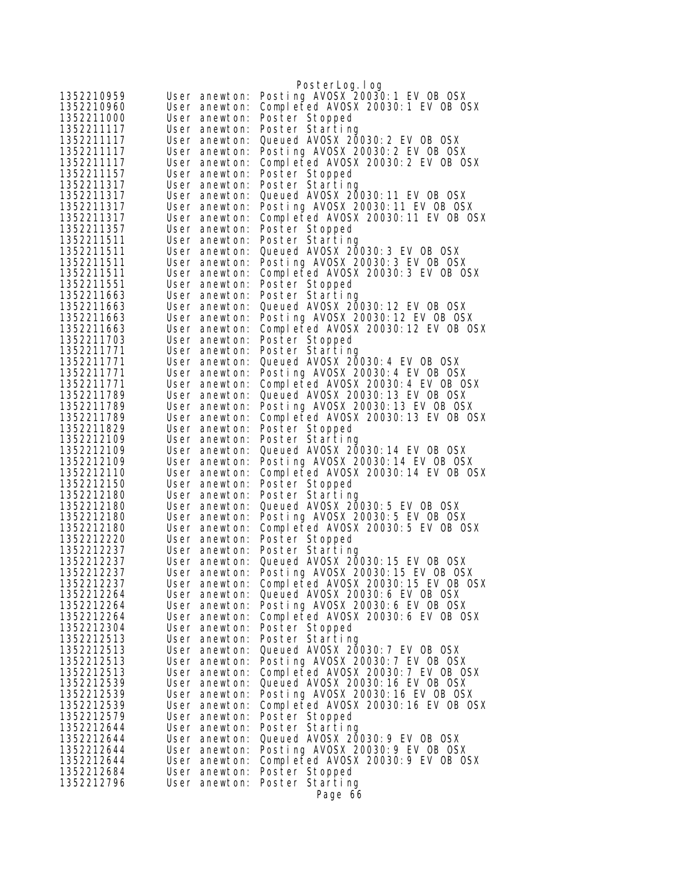|                          |                                | PosterLog.log                                                          |
|--------------------------|--------------------------------|------------------------------------------------------------------------|
| 1352210959               | User anewton:                  | Posting AVOSX 20030:1 EV OB OSX                                        |
| 1352210960               | User anewton:                  | Completed AVOSX 20030:1 EV OB OSX                                      |
| 1352211000               | User anewton:                  | Poster Stopped                                                         |
| 1352211117               | User anewton:                  | Poster Starting                                                        |
| 1352211117               | User anewton:                  | Queued AVOSX 20030: 2 EV OB OSX                                        |
| 1352211117               | User anewton:                  | Posting AVOSX 20030: 2 EV OB OSX                                       |
| 1352211117<br>1352211157 | User anewton:<br>User anewton: | Completed AVOSX 20030:2 EV OB OSX                                      |
| 1352211317               | User anewton:                  | Poster Stopped<br>Poster Starting                                      |
| 1352211317               | User anewton:                  | Queued AVOSX 20030: 11 EV OB OSX                                       |
| 1352211317               | User anewton:                  | Posting AVOSX 20030:11 EV OB OSX                                       |
| 1352211317               | User anewton:                  | Completed AVOSX 20030:11 EV OB OSX                                     |
| 1352211357               | User anewton:                  | Poster Stopped                                                         |
| 1352211511               | User anewton:                  | Poster Starting                                                        |
| 1352211511               | User anewton:                  | Queued AVOSX 20030: 3 EV OB OSX                                        |
| 1352211511<br>1352211511 | User anewton:<br>User anewton: | Posting AVOSX 20030: 3 EV OB OSX                                       |
| 1352211551               | User anewton:                  | Completed AVOSX 20030:3 EV OB OSX<br>Poster Stopped                    |
| 1352211663               | User anewton:                  | Poster Starting                                                        |
| 1352211663               | User anewton:                  | Queued AVOSX 20030: 12 EV OB OSX                                       |
| 1352211663               | User anewton:                  | Posting AVOSX 20030:12 EV OB OSX                                       |
| 1352211663               | User anewton:                  | Completed AVOSX 20030:12 EV OB OSX                                     |
| 1352211703               | User anewton:                  | Poster Stopped                                                         |
| 1352211771               | User anewton:                  | Poster Starting                                                        |
| 1352211771               | User anewton:                  | Queued AVOSX 20030: 4 EV OB OSX                                        |
| 1352211771<br>1352211771 | User anewton:<br>User anewton: | Posting AVOSX 20030: 4 EV OB OSX<br>Completed AVOSX 20030:4 EV OB OSX  |
| 1352211789               | User anewton:                  | Queued AVOSX 20030:13 EV OB OSX                                        |
| 1352211789               | User anewton:                  | Posting AVOSX 20030:13 EV OB OSX                                       |
| 1352211789               | User anewton:                  | Completed AVOSX 20030:13 EV OB OSX                                     |
| 1352211829               | User anewton:                  | Poster Stopped                                                         |
| 1352212109               | User anewton:                  | Poster Starting                                                        |
| 1352212109               | User anewton:                  | Queued AVOSX 20030: 14 EV OB OSX                                       |
| 1352212109<br>1352212110 | User anewton:<br>User anewton: | Posting AVOSX 20030:14 EV OB OSX<br>Completed AVOSX 20030:14 EV OB OSX |
| 1352212150               | User anewton:                  | Poster Stopped                                                         |
| 1352212180               | User anewton:                  | Poster Starting                                                        |
| 1352212180               | User anewton:                  | Queued AVOSX 20030: 5 EV OB OSX                                        |
| 1352212180               | User anewton:                  | Posting AVOSX 20030: 5 EV OB OSX                                       |
| 1352212180               | User anewton:                  | Completed AVOSX 20030:5 EV OB OSX                                      |
| 1352212220               | User anewton:                  | Poster Stopped                                                         |
| 1352212237<br>1352212237 | User anewton:                  | Poster Starting<br>Queued AVOSX 20030: 15 EV OB OSX                    |
| 1352212237               | User anewton:<br>User anewton: | Posting AVOSX 20030:15 EV OB OSX                                       |
| 1352212237               | User anewton:                  | Completed AVOSX 20030:15 EV OB OSX                                     |
| 1352212264               | User anewton:                  | Queued AVOSX 20030: 6 EV OB OSX                                        |
| 1352212264               | User anewton:                  | Posting AVOSX 20030:6 EV OB OSX                                        |
| 1352212264               | User anewton:                  | Completed AVOSX 20030:6 EV OB OSX                                      |
| 1352212304               | User anewton:                  | Poster Stopped                                                         |
| 1352212513               | User anewton:                  | Poster Starting                                                        |
| 1352212513<br>1352212513 | User anewton:<br>User anewton: | Queued AVOSX 20030: 7 EV OB OSX<br>Posting AV0SX 20030: 7 EV 0B 0SX    |
| 1352212513               | User anewton:                  | Completed AVOSX 20030: 7 EV OB OSX                                     |
| 1352212539               | User anewton:                  | Queued AVOSX 20030: 16 EV OB OSX                                       |
| 1352212539               | User anewton:                  | Posting AVOSX 20030:16 EV OB OSX                                       |
| 1352212539               | User anewton:                  | Completed AVOSX 20030:16 EV OB OSX                                     |
| 1352212579               | User anewton:                  | Poster Stopped                                                         |
| 1352212644               | User anewton:                  | Poster Starting                                                        |
| 1352212644<br>1352212644 | User anewton:<br>User anewton: | Queued AV0SX 20030: 9 EV 0B 0SX<br>Posting AVOSX 20030: 9 EV OB OSX    |
| 1352212644               | User anewton:                  | Completed AVOSX 20030:9 EV OB OSX                                      |
| 1352212684               | User anewton:                  | Poster Stopped                                                         |
| 1352212796               | User anewton:                  | Poster Starting                                                        |
|                          |                                | Page 66                                                                |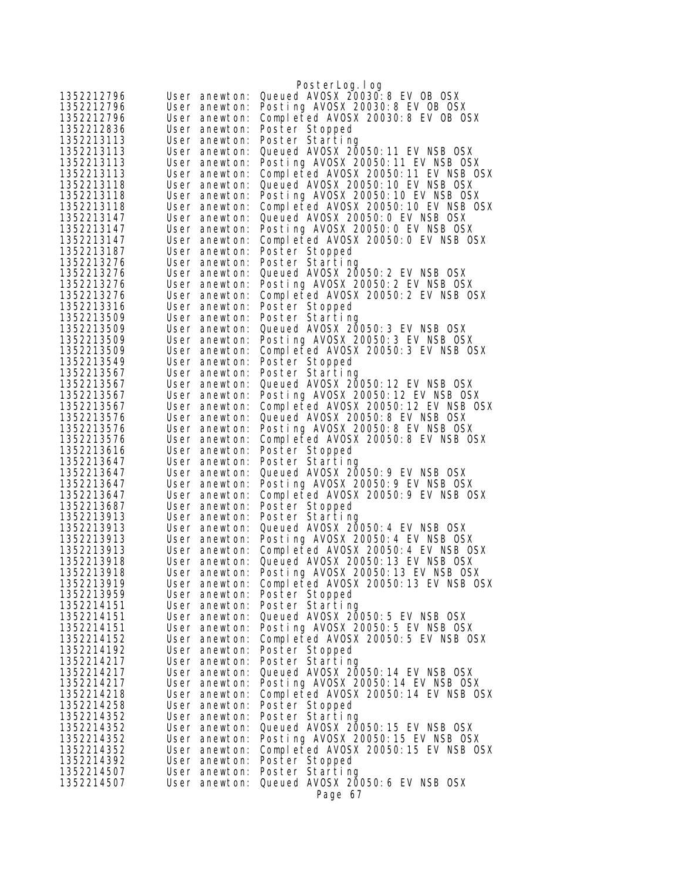|                          |                                | PosterLog.log                                                            |
|--------------------------|--------------------------------|--------------------------------------------------------------------------|
| 1352212796               | User anewton:                  | Queued AV0SX 20030: 8 EV 0B 0SX                                          |
| 1352212796               | User anewton:                  | Posting AVOSX 20030:8 EV OB OSX                                          |
| 1352212796               | User anewton:                  | Completed AVOSX 20030:8 EV OB OSX                                        |
| 1352212836               | User anewton:                  | Poster Stopped                                                           |
| 1352213113               | User anewton:                  | Poster Starting                                                          |
| 1352213113               | User anewton:                  | Queued AVOSX 20050:11 EV NSB OSX                                         |
| 1352213113               | User anewton:                  | Posting AVOSX 20050:11 EV NSB OSX                                        |
| 1352213113               | User anewton:                  | Completed AVOSX 20050:11 EV NSB OSX                                      |
| 1352213118               | User anewton:                  | Queued AVOSX 20050: 10 EV NSB OSX                                        |
| 1352213118<br>1352213118 | User anewton:<br>User anewton: | Posting AVOSX 20050:10 EV NSB OSX<br>Completed AVOSX 20050:10 EV NSB OSX |
| 1352213147               | User anewton:                  | Queued AVOSX 20050: 0 EV NSB OSX                                         |
| 1352213147               | User anewton:                  | Posting AVOSX 20050: 0 EV NSB OSX                                        |
| 1352213147               | User anewton:                  | Completed AVOSX 20050:0 EV NSB OSX                                       |
| 1352213187               | User anewton:                  | Poster Stopped                                                           |
| 1352213276               | User anewton:                  | Poster Starting                                                          |
| 1352213276               | User anewton:                  | Queued AVOSX 20050: 2 EV NSB OSX                                         |
| 1352213276               | User anewton:                  | Posting AVOSX 20050: 2 EV NSB OSX                                        |
| 1352213276               | User anewton:                  | Completed AVOSX 20050:2 EV NSB OSX                                       |
| 1352213316               | User anewton:                  | Poster Stopped                                                           |
| 1352213509<br>1352213509 | User anewton:                  | Poster Starting<br>Queued AVOSX 20050: 3 EV NSB OSX                      |
| 1352213509               | User anewton:<br>User anewton: | Posting AVOSX 20050:3 EV NSB OSX                                         |
| 1352213509               | User anewton:                  | Completed AVOSX 20050:3 EV NSB OSX                                       |
| 1352213549               | User anewton:                  | Poster Stopped                                                           |
| 1352213567               | User anewton:                  | Poster Starting                                                          |
| 1352213567               | User anewton:                  | Queued AVOSX 20050: 12 EV NSB OSX                                        |
| 1352213567               | User anewton:                  | Posting AVOSX 20050:12 EV NSB OSX                                        |
| 1352213567               | User anewton:                  | Completed AVOSX 20050:12 EV NSB OSX                                      |
| 1352213576<br>1352213576 | User anewton:<br>User anewton: | Queued AVOSX 20050: 8 EV NSB OSX<br>Posting AVOSX 20050:8 EV NSB OSX     |
| 1352213576               | User anewton:                  | Completed AVOSX 20050:8 EV NSB OSX                                       |
| 1352213616               | User anewton:                  | Poster Stopped                                                           |
| 1352213647               | User anewton:                  | Poster Starting                                                          |
| 1352213647               | User anewton:                  | Queued AVOSX 20050: 9 EV NSB OSX                                         |
| 1352213647               | User anewton:                  | Posting AVOSX 20050: 9 EV NSB OSX                                        |
| 1352213647               | User anewton:                  | Completed AVOSX 20050:9 EV NSB OSX                                       |
| 1352213687<br>1352213913 | User anewton:                  | Poster Stopped<br>Poster Starting                                        |
| 1352213913               | User anewton:<br>User anewton: | Queued AVOSX 20050: 4 EV NSB OSX                                         |
| 1352213913               | User anewton:                  | Posting AVOSX 20050: 4 EV NSB OSX                                        |
| 1352213913               | User anewton:                  | Completed AVOSX 20050:4 EV NSB OSX                                       |
| 1352213918               | User anewton:                  | Queued AVOSX 20050: 13 EV NSB OSX                                        |
| 1352213918               | User anewton:                  | Posting AVOSX 20050:13 EV NSB OSX                                        |
| 1352213919               | User anewton:                  | Completed AVOSX 20050:13 EV NSB OSX                                      |
| 1352213959<br>1352214151 | User anewton:                  | Poster Stopped                                                           |
| 1352214151               | User anewton:<br>User anewton: | Poster Starting<br>Queued AVOSX 20050: 5 EV NSB OSX                      |
| 1352214151               | User anewton:                  | Posting AVOSX 20050:5 EV NSB OSX                                         |
| 1352214152               | User anewton:                  | Completed AVOSX 20050:5 EV NSB OSX                                       |
| 1352214192               | User anewton:                  | Poster Stopped                                                           |
| 1352214217               | User anewton:                  | Poster Starting                                                          |
| 1352214217               | User anewton:                  | Queued AVOSX 20050: 14 EV NSB OSX                                        |
| 1352214217               | User anewton:                  | Posting AVOSX 20050:14 EV NSB OSX                                        |
| 1352214218               | User anewton:                  | Completed AVOSX 20050:14 EV NSB OSX                                      |
| 1352214258<br>1352214352 | User anewton:<br>User anewton: | Poster Stopped<br>Poster Starting                                        |
| 1352214352               | User anewton:                  | Queued AVOSX 20050: 15 EV NSB OSX                                        |
| 1352214352               | User anewton:                  | Posting AVOSX 20050:15 EV NSB OSX                                        |
| 1352214352               | User anewton:                  | Completed AVOSX 20050:15 EV NSB OSX                                      |
| 1352214392               | User anewton:                  | Poster Stopped                                                           |
| 1352214507               | User anewton:                  | Poster Starting                                                          |
| 1352214507               | User anewton:                  | Queued AVOSX 20050: 6 EV NSB OSX                                         |
|                          |                                | Page 67                                                                  |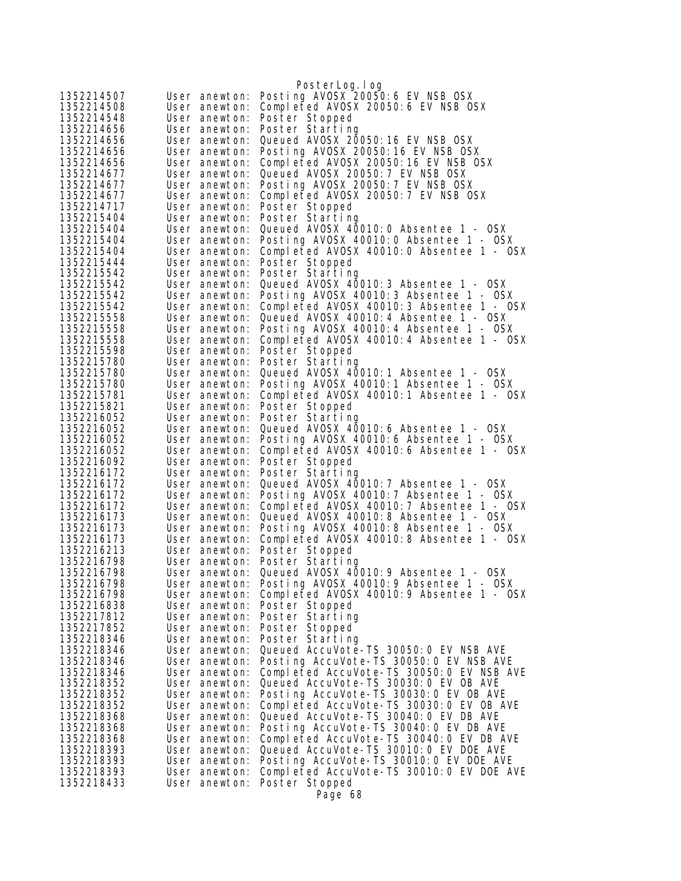|                          |                                | PosterLog.log                                                                      |
|--------------------------|--------------------------------|------------------------------------------------------------------------------------|
| 1352214507               | User anewton:                  | Posting AVOSX 20050:6 EV NSB OSX                                                   |
| 1352214508               | User anewton:                  | Completed AVOSX 20050:6 EV NSB OSX                                                 |
| 1352214548               | User anewton:                  | Poster Stopped                                                                     |
| 1352214656               | User anewton:                  | Poster Starting                                                                    |
| 1352214656               | User anewton:                  | Queued AVOSX 20050: 16 EV NSB OSX                                                  |
| 1352214656               | User anewton:                  | Posting AVOSX 20050:16 EV NSB OSX                                                  |
| 1352214656               | User anewton:                  | Completed AVOSX 20050:16 EV NSB OSX                                                |
| 1352214677               | User anewton:                  | Queued AVOSX 20050: 7 EV NSB OSX                                                   |
| 1352214677               | User anewton:                  | Posting AVOSX 20050: 7 EV NSB OSX                                                  |
| 1352214677               | User anewton:                  | Completed AVOSX 20050: 7 EV NSB OSX                                                |
| 1352214717               | User anewton:                  | Poster Stopped                                                                     |
| 1352215404               | User anewton:                  | Poster Starting                                                                    |
| 1352215404               | User anewton:                  | Queued AVOSX 40010:0 Absentee 1 - OSX                                              |
| 1352215404               | User anewton:                  | Posting AVOSX 40010:0 Absentee 1 - OSX                                             |
| 1352215404<br>1352215444 | User anewton:                  | Completed AVOSX 40010:0 Absentee 1 - OSX                                           |
| 1352215542               | User anewton:<br>User anewton: | Poster Stopped<br>Poster Starting                                                  |
| 1352215542               | User anewton:                  | Queued AVOSX 40010: 3 Absentee 1 - OSX                                             |
| 1352215542               | User anewton:                  | Posting AVOSX 40010:3 Absentee 1 - OSX                                             |
| 1352215542               | User anewton:                  | Completed AVOSX 40010:3 Absentee 1 - OSX                                           |
| 1352215558               | User anewton:                  | Queued AVOSX 40010: 4 Absentee 1 - OSX                                             |
| 1352215558               | User anewton:                  | Posting AVOSX 40010:4 Absentee 1 - OSX                                             |
| 1352215558               | User anewton:                  | Completed AVOSX 40010:4 Absentee 1 - OSX                                           |
| 1352215598               | User anewton:                  | Poster Stopped                                                                     |
| 1352215780               | User anewton:                  | Poster Starting                                                                    |
| 1352215780               | User anewton:                  | Queued AVOSX 40010:1 Absentee 1 - OSX                                              |
| 1352215780               | User anewton:                  | Posting AVOSX 40010:1 Absentee 1 - OSX                                             |
| 1352215781               | User anewton:                  | Completed AVOSX 40010:1 Absentee 1 - OSX                                           |
| 1352215821               | User anewton:                  | Poster Stopped                                                                     |
| 1352216052               | User anewton:                  | Poster Starting                                                                    |
| 1352216052               | User anewton:                  | Queued AVOSX 40010:6 Absentee 1 - OSX                                              |
| 1352216052               | User anewton:                  | Posting AVOSX 40010:6 Absentee 1 - OSX                                             |
| 1352216052               | User anewton:                  | Completed AVOSX 40010:6 Absentee 1 - OSX                                           |
| 1352216092               | User anewton:                  | Poster Stopped                                                                     |
| 1352216172               | User anewton:                  | Poster Starting                                                                    |
| 1352216172               | User anewton:                  | Queued AVOSX 40010: 7 Absentee 1 - OSX                                             |
| 1352216172               | User anewton:                  | Posting AVOSX 40010: 7 Absentee 1 - OSX                                            |
| 1352216172               | User anewton:                  | Completed AVOSX 40010: 7 Absentee 1 - OSX                                          |
| 1352216173               | User anewton:                  | Queued AVOSX 40010:8 Absentee 1 - OSX<br>Posting AVOSX 40010:8 Absentee 1 - OSX    |
| 1352216173<br>1352216173 | User anewton:<br>User anewton: | Completed AVOSX 40010:8 Absentee 1 - OSX                                           |
| 1352216213               | User anewton:                  | Poster Stopped                                                                     |
| 1352216798               | User anewton:                  | Poster Starting                                                                    |
| 1352216798               | User anewton:                  | Queued AVOSX 40010:9 Absentee 1 - OSX                                              |
| 1352216798               | User anewton:                  | Posting AVOSX 40010:9 Absentee 1 - OSX                                             |
| 1352216798               | User anewton:                  | Completed AVOSX 40010:9 Absentee 1 - OSX                                           |
| 1352216838               | User anewton:                  | Poster Stopped                                                                     |
| 1352217812               | User anewton:                  | Poster Starting                                                                    |
| 1352217852               | User anewton:                  | Poster Stopped                                                                     |
| 1352218346               | User anewton:                  | Poster Starting                                                                    |
| 1352218346               | User anewton:                  | Queued AccuVote-TS 30050: 0 EV NSB AVE                                             |
| 1352218346               | User anewton:                  | Posting AccuVote-TS 30050:0 EV NSB AVE                                             |
| 1352218346               | User anewton:                  | Completed AccuVote-TS 30050:0 EV NSB AVE                                           |
| 1352218352               | User anewton:                  | Queued AccuVote-TS 30030: 0 EV OB AVE                                              |
| 1352218352               | User anewton:                  | Posting AccuVote-TS 30030:0 EV OB AVE                                              |
| 1352218352               | User anewton:                  | Completed AccuVote-TS 30030:0 EV OB AVE                                            |
| 1352218368               | User anewton:                  | Queued AccuVote-TS 30040: 0 EV DB AVE                                              |
| 1352218368               | User anewton:                  | Posting AccuVote-TS 30040: 0 EV DB AVE                                             |
| 1352218368               | User anewton:                  | Completed AccuVote-TS 30040: 0 EV DB AVE                                           |
| 1352218393               | User anewton:                  | Queued AccuVote-TS 30010: 0 EV DOE AVE                                             |
| 1352218393<br>1352218393 | User anewton:                  | Posting AccuVote-TS 30010:0 EV DOE AVE<br>Completed AccuVote-TS 30010:0 EV DOE AVE |
| 1352218433               | User anewton:<br>User anewton: |                                                                                    |
|                          |                                | Poster Stopped                                                                     |
|                          |                                | Page 68                                                                            |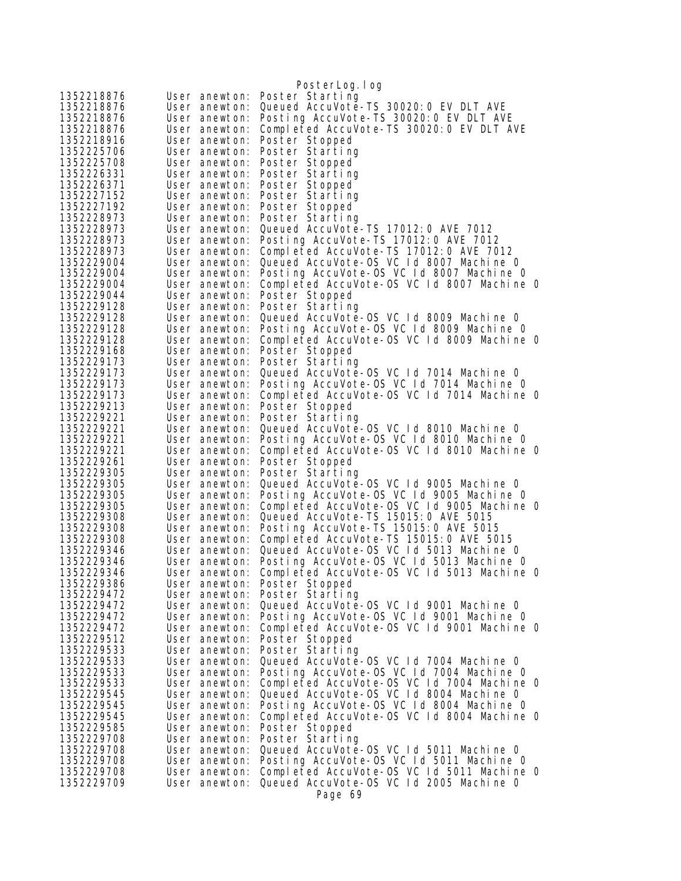| 1352218876<br>Poster Starting<br>User anewton:<br>1352218876<br>Queued AccuVote-TS 30020: 0 EV DLT AVE<br>User anewton:<br>Posting AccuVote-TS 30020:0 EV DLT AVE<br>1352218876<br>User anewton:<br>Completed AccuVote-TS 30020: 0 EV DLT AVE<br>User anewton:<br>Poster Stopped<br>User anewton:<br>Poster Starting<br>User anewton:<br>Poster Stopped<br>User anewton:<br>Poster Starting<br>User anewton:<br>Poster Stopped<br>User anewton:<br>1352227152<br>Poster Starting<br>User anewton:<br>1352227192<br>Poster Stopped<br>User anewton:<br>1352228973<br>Poster Starting<br>User anewton:<br>Queued AccuVote-TS 17012: 0 AVE 7012<br>1352228973<br>User anewton:<br>Posting AccuVote-TS 17012:0 AVE 7012<br>1352228973<br>User anewton:<br>Completed AccuVote-TS 17012:0 AVE 7012<br>1352228973<br>User anewton:<br>Queued AccuVote-OS VC Id 8007 Machine 0<br>1352229004<br>User anewton:<br>1352229004<br>Posting AccuVote-OS VC 1d 8007 Machine 0<br>User anewton:<br>Completed AccuVote-OS VC 1d 8007 Machine 0<br>1352229004<br>User anewton:<br>1352229044<br>User anewton:<br>Poster Stopped<br>1352229128<br>User anewton:<br>Poster Starting<br>1352229128<br>Queued AccuVote-OS VC 1d 8009 Machine 0<br>User anewton:<br>Posting AccuVote-OS VC Id 8009 Machine 0<br>1352229128<br>User anewton:<br>Completed AccuVote-OS VC 1d 8009 Machine 0<br>1352229128<br>User anewton:<br>1352229168<br>Poster Stopped<br>User anewton:<br>1352229173<br>Poster Starting<br>User anewton:<br>Queued AccuVote-OS VC 1d 7014 Machine 0<br>1352229173<br>User anewton:<br>Posting AccuVote-OS VC 1d 7014 Machine O<br>User anewton:<br>Completed AccuVote-OS VC 1d 7014 Machine 0<br>User anewton:<br>User anewton:<br>Poster Stopped<br>Poster Starting<br>User anewton:<br>Queued AccuVote-0S VC 1d 8010 Machine 0<br>User anewton:<br>Posting AccuVote-OS VC Id 8010 Machine O<br>1352229221<br>User anewton:<br>Completed AccuVote-OS VC Id 8010 Machine 0<br>1352229221<br>User anewton:<br>1352229261<br>Poster Stopped<br>User anewton:<br>1352229305<br>Poster Starting<br>User anewton:<br>1352229305<br>Queued AccuVote-OS VC 1d 9005 Machine 0<br>User anewton:<br>Posting AccuVote-OS VC Id 9005 Machine O<br>1352229305<br>User anewton:<br>Completed AccuVote-OS VC 1d 9005 Machine 0<br>1352229305<br>User anewton:<br>Queued AccuVote-TS 15015: 0 AVE 5015<br>1352229308<br>User anewton:<br>Posting AccuVote-TS 15015:0 AVE 5015<br>1352229308<br>User anewton:<br>Completed AccuVote-TS 15015:0 AVE 5015<br>1352229308<br>User anewton:<br>1352229346<br>Queued AccuVote-OS VC 1d 5013 Machine 0<br>User anewton:<br>Posting AccuVote-OS VC 1d 5013 Machine 0<br>1352229346<br>User anewton:<br>1352229346<br>Completed AccuVote-OS VC 1d 5013 Machine O<br>User anewton:<br>1352229386<br>Poster Stopped<br>User anewton:<br>1352229472<br>User anewton:<br>Poster Starting<br>Queued AccuVote-0S VC 1d 9001 Machine 0<br>User anewton:<br>Posting AccuVote-OS VC Id 9001 Machine O<br>User anewton:<br>Completed AccuVote-OS VC Id 9001 Machine O<br>User anewton:<br>Poster Stopped<br>User anewton:<br>1352229533<br>Poster Starting<br>User anewton:<br>1352229533<br>Queued AccuVote-OS VC 1d 7004 Machine 0<br>User anewton:<br>Posting AccuVote-OS VC Id 7004 Machine 0<br>1352229533<br>User anewton:<br>1352229533<br>Completed AccuVote-OS VC 1d 7004 Machine 0<br>User anewton:<br>Queued AccuVote-OS VC 1d 8004 Machine 0<br>1352229545<br>User anewton:<br>Posting AccuVote-OS VC 1d 8004 Machine 0<br>1352229545<br>User anewton:<br>1352229545<br>Completed AccuVote-OS VC 1d 8004 Machine 0<br>User anewton:<br>1352229585<br>User anewton:<br>Poster Stopped<br>1352229708<br>Poster Starting<br>User anewton:<br>1352229708<br>Queued AccuVote-OS VC Id 5011 Machine 0<br>User anewton:<br>Posting AccuVote-OS VC Id 5011 Machine O<br>1352229708<br>User anewton:<br>Completed AccuVote-OS VC 1d 5011 Machine 0<br>1352229708<br>User anewton:<br>Queued AccuVote-OS VC 1d 2005 Machine 0<br>1352229709<br>User anewton:<br>Page 69 |            | PosterLog. I og |
|------------------------------------------------------------------------------------------------------------------------------------------------------------------------------------------------------------------------------------------------------------------------------------------------------------------------------------------------------------------------------------------------------------------------------------------------------------------------------------------------------------------------------------------------------------------------------------------------------------------------------------------------------------------------------------------------------------------------------------------------------------------------------------------------------------------------------------------------------------------------------------------------------------------------------------------------------------------------------------------------------------------------------------------------------------------------------------------------------------------------------------------------------------------------------------------------------------------------------------------------------------------------------------------------------------------------------------------------------------------------------------------------------------------------------------------------------------------------------------------------------------------------------------------------------------------------------------------------------------------------------------------------------------------------------------------------------------------------------------------------------------------------------------------------------------------------------------------------------------------------------------------------------------------------------------------------------------------------------------------------------------------------------------------------------------------------------------------------------------------------------------------------------------------------------------------------------------------------------------------------------------------------------------------------------------------------------------------------------------------------------------------------------------------------------------------------------------------------------------------------------------------------------------------------------------------------------------------------------------------------------------------------------------------------------------------------------------------------------------------------------------------------------------------------------------------------------------------------------------------------------------------------------------------------------------------------------------------------------------------------------------------------------------------------------------------------------------------------------------------------------------------------------------------------------------------------------------------------------------------------------------------------------------------------------------------------------------------------------------------------------------------------------------------------------------------------------------------------------------------------------------------------------------------------------------------------------------------------------------------------------------------------------------------------------------------------------------------------------------------------------------------------------------------------------------------------------------------------------------------------------------------------------------------------------------------------------------------------------------------------------------------------------------------------------------------------------------|------------|-----------------|
|                                                                                                                                                                                                                                                                                                                                                                                                                                                                                                                                                                                                                                                                                                                                                                                                                                                                                                                                                                                                                                                                                                                                                                                                                                                                                                                                                                                                                                                                                                                                                                                                                                                                                                                                                                                                                                                                                                                                                                                                                                                                                                                                                                                                                                                                                                                                                                                                                                                                                                                                                                                                                                                                                                                                                                                                                                                                                                                                                                                                                                                                                                                                                                                                                                                                                                                                                                                                                                                                                                                                                                                                                                                                                                                                                                                                                                                                                                                                                                                                                                                                                    |            |                 |
|                                                                                                                                                                                                                                                                                                                                                                                                                                                                                                                                                                                                                                                                                                                                                                                                                                                                                                                                                                                                                                                                                                                                                                                                                                                                                                                                                                                                                                                                                                                                                                                                                                                                                                                                                                                                                                                                                                                                                                                                                                                                                                                                                                                                                                                                                                                                                                                                                                                                                                                                                                                                                                                                                                                                                                                                                                                                                                                                                                                                                                                                                                                                                                                                                                                                                                                                                                                                                                                                                                                                                                                                                                                                                                                                                                                                                                                                                                                                                                                                                                                                                    |            |                 |
|                                                                                                                                                                                                                                                                                                                                                                                                                                                                                                                                                                                                                                                                                                                                                                                                                                                                                                                                                                                                                                                                                                                                                                                                                                                                                                                                                                                                                                                                                                                                                                                                                                                                                                                                                                                                                                                                                                                                                                                                                                                                                                                                                                                                                                                                                                                                                                                                                                                                                                                                                                                                                                                                                                                                                                                                                                                                                                                                                                                                                                                                                                                                                                                                                                                                                                                                                                                                                                                                                                                                                                                                                                                                                                                                                                                                                                                                                                                                                                                                                                                                                    |            |                 |
|                                                                                                                                                                                                                                                                                                                                                                                                                                                                                                                                                                                                                                                                                                                                                                                                                                                                                                                                                                                                                                                                                                                                                                                                                                                                                                                                                                                                                                                                                                                                                                                                                                                                                                                                                                                                                                                                                                                                                                                                                                                                                                                                                                                                                                                                                                                                                                                                                                                                                                                                                                                                                                                                                                                                                                                                                                                                                                                                                                                                                                                                                                                                                                                                                                                                                                                                                                                                                                                                                                                                                                                                                                                                                                                                                                                                                                                                                                                                                                                                                                                                                    | 1352218876 |                 |
|                                                                                                                                                                                                                                                                                                                                                                                                                                                                                                                                                                                                                                                                                                                                                                                                                                                                                                                                                                                                                                                                                                                                                                                                                                                                                                                                                                                                                                                                                                                                                                                                                                                                                                                                                                                                                                                                                                                                                                                                                                                                                                                                                                                                                                                                                                                                                                                                                                                                                                                                                                                                                                                                                                                                                                                                                                                                                                                                                                                                                                                                                                                                                                                                                                                                                                                                                                                                                                                                                                                                                                                                                                                                                                                                                                                                                                                                                                                                                                                                                                                                                    | 1352218916 |                 |
|                                                                                                                                                                                                                                                                                                                                                                                                                                                                                                                                                                                                                                                                                                                                                                                                                                                                                                                                                                                                                                                                                                                                                                                                                                                                                                                                                                                                                                                                                                                                                                                                                                                                                                                                                                                                                                                                                                                                                                                                                                                                                                                                                                                                                                                                                                                                                                                                                                                                                                                                                                                                                                                                                                                                                                                                                                                                                                                                                                                                                                                                                                                                                                                                                                                                                                                                                                                                                                                                                                                                                                                                                                                                                                                                                                                                                                                                                                                                                                                                                                                                                    | 1352225706 |                 |
|                                                                                                                                                                                                                                                                                                                                                                                                                                                                                                                                                                                                                                                                                                                                                                                                                                                                                                                                                                                                                                                                                                                                                                                                                                                                                                                                                                                                                                                                                                                                                                                                                                                                                                                                                                                                                                                                                                                                                                                                                                                                                                                                                                                                                                                                                                                                                                                                                                                                                                                                                                                                                                                                                                                                                                                                                                                                                                                                                                                                                                                                                                                                                                                                                                                                                                                                                                                                                                                                                                                                                                                                                                                                                                                                                                                                                                                                                                                                                                                                                                                                                    | 1352225708 |                 |
|                                                                                                                                                                                                                                                                                                                                                                                                                                                                                                                                                                                                                                                                                                                                                                                                                                                                                                                                                                                                                                                                                                                                                                                                                                                                                                                                                                                                                                                                                                                                                                                                                                                                                                                                                                                                                                                                                                                                                                                                                                                                                                                                                                                                                                                                                                                                                                                                                                                                                                                                                                                                                                                                                                                                                                                                                                                                                                                                                                                                                                                                                                                                                                                                                                                                                                                                                                                                                                                                                                                                                                                                                                                                                                                                                                                                                                                                                                                                                                                                                                                                                    | 1352226331 |                 |
|                                                                                                                                                                                                                                                                                                                                                                                                                                                                                                                                                                                                                                                                                                                                                                                                                                                                                                                                                                                                                                                                                                                                                                                                                                                                                                                                                                                                                                                                                                                                                                                                                                                                                                                                                                                                                                                                                                                                                                                                                                                                                                                                                                                                                                                                                                                                                                                                                                                                                                                                                                                                                                                                                                                                                                                                                                                                                                                                                                                                                                                                                                                                                                                                                                                                                                                                                                                                                                                                                                                                                                                                                                                                                                                                                                                                                                                                                                                                                                                                                                                                                    | 1352226371 |                 |
|                                                                                                                                                                                                                                                                                                                                                                                                                                                                                                                                                                                                                                                                                                                                                                                                                                                                                                                                                                                                                                                                                                                                                                                                                                                                                                                                                                                                                                                                                                                                                                                                                                                                                                                                                                                                                                                                                                                                                                                                                                                                                                                                                                                                                                                                                                                                                                                                                                                                                                                                                                                                                                                                                                                                                                                                                                                                                                                                                                                                                                                                                                                                                                                                                                                                                                                                                                                                                                                                                                                                                                                                                                                                                                                                                                                                                                                                                                                                                                                                                                                                                    |            |                 |
|                                                                                                                                                                                                                                                                                                                                                                                                                                                                                                                                                                                                                                                                                                                                                                                                                                                                                                                                                                                                                                                                                                                                                                                                                                                                                                                                                                                                                                                                                                                                                                                                                                                                                                                                                                                                                                                                                                                                                                                                                                                                                                                                                                                                                                                                                                                                                                                                                                                                                                                                                                                                                                                                                                                                                                                                                                                                                                                                                                                                                                                                                                                                                                                                                                                                                                                                                                                                                                                                                                                                                                                                                                                                                                                                                                                                                                                                                                                                                                                                                                                                                    |            |                 |
|                                                                                                                                                                                                                                                                                                                                                                                                                                                                                                                                                                                                                                                                                                                                                                                                                                                                                                                                                                                                                                                                                                                                                                                                                                                                                                                                                                                                                                                                                                                                                                                                                                                                                                                                                                                                                                                                                                                                                                                                                                                                                                                                                                                                                                                                                                                                                                                                                                                                                                                                                                                                                                                                                                                                                                                                                                                                                                                                                                                                                                                                                                                                                                                                                                                                                                                                                                                                                                                                                                                                                                                                                                                                                                                                                                                                                                                                                                                                                                                                                                                                                    |            |                 |
|                                                                                                                                                                                                                                                                                                                                                                                                                                                                                                                                                                                                                                                                                                                                                                                                                                                                                                                                                                                                                                                                                                                                                                                                                                                                                                                                                                                                                                                                                                                                                                                                                                                                                                                                                                                                                                                                                                                                                                                                                                                                                                                                                                                                                                                                                                                                                                                                                                                                                                                                                                                                                                                                                                                                                                                                                                                                                                                                                                                                                                                                                                                                                                                                                                                                                                                                                                                                                                                                                                                                                                                                                                                                                                                                                                                                                                                                                                                                                                                                                                                                                    |            |                 |
|                                                                                                                                                                                                                                                                                                                                                                                                                                                                                                                                                                                                                                                                                                                                                                                                                                                                                                                                                                                                                                                                                                                                                                                                                                                                                                                                                                                                                                                                                                                                                                                                                                                                                                                                                                                                                                                                                                                                                                                                                                                                                                                                                                                                                                                                                                                                                                                                                                                                                                                                                                                                                                                                                                                                                                                                                                                                                                                                                                                                                                                                                                                                                                                                                                                                                                                                                                                                                                                                                                                                                                                                                                                                                                                                                                                                                                                                                                                                                                                                                                                                                    |            |                 |
|                                                                                                                                                                                                                                                                                                                                                                                                                                                                                                                                                                                                                                                                                                                                                                                                                                                                                                                                                                                                                                                                                                                                                                                                                                                                                                                                                                                                                                                                                                                                                                                                                                                                                                                                                                                                                                                                                                                                                                                                                                                                                                                                                                                                                                                                                                                                                                                                                                                                                                                                                                                                                                                                                                                                                                                                                                                                                                                                                                                                                                                                                                                                                                                                                                                                                                                                                                                                                                                                                                                                                                                                                                                                                                                                                                                                                                                                                                                                                                                                                                                                                    |            |                 |
|                                                                                                                                                                                                                                                                                                                                                                                                                                                                                                                                                                                                                                                                                                                                                                                                                                                                                                                                                                                                                                                                                                                                                                                                                                                                                                                                                                                                                                                                                                                                                                                                                                                                                                                                                                                                                                                                                                                                                                                                                                                                                                                                                                                                                                                                                                                                                                                                                                                                                                                                                                                                                                                                                                                                                                                                                                                                                                                                                                                                                                                                                                                                                                                                                                                                                                                                                                                                                                                                                                                                                                                                                                                                                                                                                                                                                                                                                                                                                                                                                                                                                    |            |                 |
|                                                                                                                                                                                                                                                                                                                                                                                                                                                                                                                                                                                                                                                                                                                                                                                                                                                                                                                                                                                                                                                                                                                                                                                                                                                                                                                                                                                                                                                                                                                                                                                                                                                                                                                                                                                                                                                                                                                                                                                                                                                                                                                                                                                                                                                                                                                                                                                                                                                                                                                                                                                                                                                                                                                                                                                                                                                                                                                                                                                                                                                                                                                                                                                                                                                                                                                                                                                                                                                                                                                                                                                                                                                                                                                                                                                                                                                                                                                                                                                                                                                                                    |            |                 |
|                                                                                                                                                                                                                                                                                                                                                                                                                                                                                                                                                                                                                                                                                                                                                                                                                                                                                                                                                                                                                                                                                                                                                                                                                                                                                                                                                                                                                                                                                                                                                                                                                                                                                                                                                                                                                                                                                                                                                                                                                                                                                                                                                                                                                                                                                                                                                                                                                                                                                                                                                                                                                                                                                                                                                                                                                                                                                                                                                                                                                                                                                                                                                                                                                                                                                                                                                                                                                                                                                                                                                                                                                                                                                                                                                                                                                                                                                                                                                                                                                                                                                    |            |                 |
|                                                                                                                                                                                                                                                                                                                                                                                                                                                                                                                                                                                                                                                                                                                                                                                                                                                                                                                                                                                                                                                                                                                                                                                                                                                                                                                                                                                                                                                                                                                                                                                                                                                                                                                                                                                                                                                                                                                                                                                                                                                                                                                                                                                                                                                                                                                                                                                                                                                                                                                                                                                                                                                                                                                                                                                                                                                                                                                                                                                                                                                                                                                                                                                                                                                                                                                                                                                                                                                                                                                                                                                                                                                                                                                                                                                                                                                                                                                                                                                                                                                                                    |            |                 |
|                                                                                                                                                                                                                                                                                                                                                                                                                                                                                                                                                                                                                                                                                                                                                                                                                                                                                                                                                                                                                                                                                                                                                                                                                                                                                                                                                                                                                                                                                                                                                                                                                                                                                                                                                                                                                                                                                                                                                                                                                                                                                                                                                                                                                                                                                                                                                                                                                                                                                                                                                                                                                                                                                                                                                                                                                                                                                                                                                                                                                                                                                                                                                                                                                                                                                                                                                                                                                                                                                                                                                                                                                                                                                                                                                                                                                                                                                                                                                                                                                                                                                    |            |                 |
|                                                                                                                                                                                                                                                                                                                                                                                                                                                                                                                                                                                                                                                                                                                                                                                                                                                                                                                                                                                                                                                                                                                                                                                                                                                                                                                                                                                                                                                                                                                                                                                                                                                                                                                                                                                                                                                                                                                                                                                                                                                                                                                                                                                                                                                                                                                                                                                                                                                                                                                                                                                                                                                                                                                                                                                                                                                                                                                                                                                                                                                                                                                                                                                                                                                                                                                                                                                                                                                                                                                                                                                                                                                                                                                                                                                                                                                                                                                                                                                                                                                                                    |            |                 |
|                                                                                                                                                                                                                                                                                                                                                                                                                                                                                                                                                                                                                                                                                                                                                                                                                                                                                                                                                                                                                                                                                                                                                                                                                                                                                                                                                                                                                                                                                                                                                                                                                                                                                                                                                                                                                                                                                                                                                                                                                                                                                                                                                                                                                                                                                                                                                                                                                                                                                                                                                                                                                                                                                                                                                                                                                                                                                                                                                                                                                                                                                                                                                                                                                                                                                                                                                                                                                                                                                                                                                                                                                                                                                                                                                                                                                                                                                                                                                                                                                                                                                    |            |                 |
|                                                                                                                                                                                                                                                                                                                                                                                                                                                                                                                                                                                                                                                                                                                                                                                                                                                                                                                                                                                                                                                                                                                                                                                                                                                                                                                                                                                                                                                                                                                                                                                                                                                                                                                                                                                                                                                                                                                                                                                                                                                                                                                                                                                                                                                                                                                                                                                                                                                                                                                                                                                                                                                                                                                                                                                                                                                                                                                                                                                                                                                                                                                                                                                                                                                                                                                                                                                                                                                                                                                                                                                                                                                                                                                                                                                                                                                                                                                                                                                                                                                                                    |            |                 |
|                                                                                                                                                                                                                                                                                                                                                                                                                                                                                                                                                                                                                                                                                                                                                                                                                                                                                                                                                                                                                                                                                                                                                                                                                                                                                                                                                                                                                                                                                                                                                                                                                                                                                                                                                                                                                                                                                                                                                                                                                                                                                                                                                                                                                                                                                                                                                                                                                                                                                                                                                                                                                                                                                                                                                                                                                                                                                                                                                                                                                                                                                                                                                                                                                                                                                                                                                                                                                                                                                                                                                                                                                                                                                                                                                                                                                                                                                                                                                                                                                                                                                    |            |                 |
|                                                                                                                                                                                                                                                                                                                                                                                                                                                                                                                                                                                                                                                                                                                                                                                                                                                                                                                                                                                                                                                                                                                                                                                                                                                                                                                                                                                                                                                                                                                                                                                                                                                                                                                                                                                                                                                                                                                                                                                                                                                                                                                                                                                                                                                                                                                                                                                                                                                                                                                                                                                                                                                                                                                                                                                                                                                                                                                                                                                                                                                                                                                                                                                                                                                                                                                                                                                                                                                                                                                                                                                                                                                                                                                                                                                                                                                                                                                                                                                                                                                                                    |            |                 |
|                                                                                                                                                                                                                                                                                                                                                                                                                                                                                                                                                                                                                                                                                                                                                                                                                                                                                                                                                                                                                                                                                                                                                                                                                                                                                                                                                                                                                                                                                                                                                                                                                                                                                                                                                                                                                                                                                                                                                                                                                                                                                                                                                                                                                                                                                                                                                                                                                                                                                                                                                                                                                                                                                                                                                                                                                                                                                                                                                                                                                                                                                                                                                                                                                                                                                                                                                                                                                                                                                                                                                                                                                                                                                                                                                                                                                                                                                                                                                                                                                                                                                    | 1352229173 |                 |
|                                                                                                                                                                                                                                                                                                                                                                                                                                                                                                                                                                                                                                                                                                                                                                                                                                                                                                                                                                                                                                                                                                                                                                                                                                                                                                                                                                                                                                                                                                                                                                                                                                                                                                                                                                                                                                                                                                                                                                                                                                                                                                                                                                                                                                                                                                                                                                                                                                                                                                                                                                                                                                                                                                                                                                                                                                                                                                                                                                                                                                                                                                                                                                                                                                                                                                                                                                                                                                                                                                                                                                                                                                                                                                                                                                                                                                                                                                                                                                                                                                                                                    | 1352229173 |                 |
|                                                                                                                                                                                                                                                                                                                                                                                                                                                                                                                                                                                                                                                                                                                                                                                                                                                                                                                                                                                                                                                                                                                                                                                                                                                                                                                                                                                                                                                                                                                                                                                                                                                                                                                                                                                                                                                                                                                                                                                                                                                                                                                                                                                                                                                                                                                                                                                                                                                                                                                                                                                                                                                                                                                                                                                                                                                                                                                                                                                                                                                                                                                                                                                                                                                                                                                                                                                                                                                                                                                                                                                                                                                                                                                                                                                                                                                                                                                                                                                                                                                                                    | 1352229213 |                 |
|                                                                                                                                                                                                                                                                                                                                                                                                                                                                                                                                                                                                                                                                                                                                                                                                                                                                                                                                                                                                                                                                                                                                                                                                                                                                                                                                                                                                                                                                                                                                                                                                                                                                                                                                                                                                                                                                                                                                                                                                                                                                                                                                                                                                                                                                                                                                                                                                                                                                                                                                                                                                                                                                                                                                                                                                                                                                                                                                                                                                                                                                                                                                                                                                                                                                                                                                                                                                                                                                                                                                                                                                                                                                                                                                                                                                                                                                                                                                                                                                                                                                                    | 1352229221 |                 |
|                                                                                                                                                                                                                                                                                                                                                                                                                                                                                                                                                                                                                                                                                                                                                                                                                                                                                                                                                                                                                                                                                                                                                                                                                                                                                                                                                                                                                                                                                                                                                                                                                                                                                                                                                                                                                                                                                                                                                                                                                                                                                                                                                                                                                                                                                                                                                                                                                                                                                                                                                                                                                                                                                                                                                                                                                                                                                                                                                                                                                                                                                                                                                                                                                                                                                                                                                                                                                                                                                                                                                                                                                                                                                                                                                                                                                                                                                                                                                                                                                                                                                    | 1352229221 |                 |
|                                                                                                                                                                                                                                                                                                                                                                                                                                                                                                                                                                                                                                                                                                                                                                                                                                                                                                                                                                                                                                                                                                                                                                                                                                                                                                                                                                                                                                                                                                                                                                                                                                                                                                                                                                                                                                                                                                                                                                                                                                                                                                                                                                                                                                                                                                                                                                                                                                                                                                                                                                                                                                                                                                                                                                                                                                                                                                                                                                                                                                                                                                                                                                                                                                                                                                                                                                                                                                                                                                                                                                                                                                                                                                                                                                                                                                                                                                                                                                                                                                                                                    |            |                 |
|                                                                                                                                                                                                                                                                                                                                                                                                                                                                                                                                                                                                                                                                                                                                                                                                                                                                                                                                                                                                                                                                                                                                                                                                                                                                                                                                                                                                                                                                                                                                                                                                                                                                                                                                                                                                                                                                                                                                                                                                                                                                                                                                                                                                                                                                                                                                                                                                                                                                                                                                                                                                                                                                                                                                                                                                                                                                                                                                                                                                                                                                                                                                                                                                                                                                                                                                                                                                                                                                                                                                                                                                                                                                                                                                                                                                                                                                                                                                                                                                                                                                                    |            |                 |
|                                                                                                                                                                                                                                                                                                                                                                                                                                                                                                                                                                                                                                                                                                                                                                                                                                                                                                                                                                                                                                                                                                                                                                                                                                                                                                                                                                                                                                                                                                                                                                                                                                                                                                                                                                                                                                                                                                                                                                                                                                                                                                                                                                                                                                                                                                                                                                                                                                                                                                                                                                                                                                                                                                                                                                                                                                                                                                                                                                                                                                                                                                                                                                                                                                                                                                                                                                                                                                                                                                                                                                                                                                                                                                                                                                                                                                                                                                                                                                                                                                                                                    |            |                 |
|                                                                                                                                                                                                                                                                                                                                                                                                                                                                                                                                                                                                                                                                                                                                                                                                                                                                                                                                                                                                                                                                                                                                                                                                                                                                                                                                                                                                                                                                                                                                                                                                                                                                                                                                                                                                                                                                                                                                                                                                                                                                                                                                                                                                                                                                                                                                                                                                                                                                                                                                                                                                                                                                                                                                                                                                                                                                                                                                                                                                                                                                                                                                                                                                                                                                                                                                                                                                                                                                                                                                                                                                                                                                                                                                                                                                                                                                                                                                                                                                                                                                                    |            |                 |
|                                                                                                                                                                                                                                                                                                                                                                                                                                                                                                                                                                                                                                                                                                                                                                                                                                                                                                                                                                                                                                                                                                                                                                                                                                                                                                                                                                                                                                                                                                                                                                                                                                                                                                                                                                                                                                                                                                                                                                                                                                                                                                                                                                                                                                                                                                                                                                                                                                                                                                                                                                                                                                                                                                                                                                                                                                                                                                                                                                                                                                                                                                                                                                                                                                                                                                                                                                                                                                                                                                                                                                                                                                                                                                                                                                                                                                                                                                                                                                                                                                                                                    |            |                 |
|                                                                                                                                                                                                                                                                                                                                                                                                                                                                                                                                                                                                                                                                                                                                                                                                                                                                                                                                                                                                                                                                                                                                                                                                                                                                                                                                                                                                                                                                                                                                                                                                                                                                                                                                                                                                                                                                                                                                                                                                                                                                                                                                                                                                                                                                                                                                                                                                                                                                                                                                                                                                                                                                                                                                                                                                                                                                                                                                                                                                                                                                                                                                                                                                                                                                                                                                                                                                                                                                                                                                                                                                                                                                                                                                                                                                                                                                                                                                                                                                                                                                                    |            |                 |
|                                                                                                                                                                                                                                                                                                                                                                                                                                                                                                                                                                                                                                                                                                                                                                                                                                                                                                                                                                                                                                                                                                                                                                                                                                                                                                                                                                                                                                                                                                                                                                                                                                                                                                                                                                                                                                                                                                                                                                                                                                                                                                                                                                                                                                                                                                                                                                                                                                                                                                                                                                                                                                                                                                                                                                                                                                                                                                                                                                                                                                                                                                                                                                                                                                                                                                                                                                                                                                                                                                                                                                                                                                                                                                                                                                                                                                                                                                                                                                                                                                                                                    |            |                 |
|                                                                                                                                                                                                                                                                                                                                                                                                                                                                                                                                                                                                                                                                                                                                                                                                                                                                                                                                                                                                                                                                                                                                                                                                                                                                                                                                                                                                                                                                                                                                                                                                                                                                                                                                                                                                                                                                                                                                                                                                                                                                                                                                                                                                                                                                                                                                                                                                                                                                                                                                                                                                                                                                                                                                                                                                                                                                                                                                                                                                                                                                                                                                                                                                                                                                                                                                                                                                                                                                                                                                                                                                                                                                                                                                                                                                                                                                                                                                                                                                                                                                                    |            |                 |
|                                                                                                                                                                                                                                                                                                                                                                                                                                                                                                                                                                                                                                                                                                                                                                                                                                                                                                                                                                                                                                                                                                                                                                                                                                                                                                                                                                                                                                                                                                                                                                                                                                                                                                                                                                                                                                                                                                                                                                                                                                                                                                                                                                                                                                                                                                                                                                                                                                                                                                                                                                                                                                                                                                                                                                                                                                                                                                                                                                                                                                                                                                                                                                                                                                                                                                                                                                                                                                                                                                                                                                                                                                                                                                                                                                                                                                                                                                                                                                                                                                                                                    |            |                 |
|                                                                                                                                                                                                                                                                                                                                                                                                                                                                                                                                                                                                                                                                                                                                                                                                                                                                                                                                                                                                                                                                                                                                                                                                                                                                                                                                                                                                                                                                                                                                                                                                                                                                                                                                                                                                                                                                                                                                                                                                                                                                                                                                                                                                                                                                                                                                                                                                                                                                                                                                                                                                                                                                                                                                                                                                                                                                                                                                                                                                                                                                                                                                                                                                                                                                                                                                                                                                                                                                                                                                                                                                                                                                                                                                                                                                                                                                                                                                                                                                                                                                                    |            |                 |
|                                                                                                                                                                                                                                                                                                                                                                                                                                                                                                                                                                                                                                                                                                                                                                                                                                                                                                                                                                                                                                                                                                                                                                                                                                                                                                                                                                                                                                                                                                                                                                                                                                                                                                                                                                                                                                                                                                                                                                                                                                                                                                                                                                                                                                                                                                                                                                                                                                                                                                                                                                                                                                                                                                                                                                                                                                                                                                                                                                                                                                                                                                                                                                                                                                                                                                                                                                                                                                                                                                                                                                                                                                                                                                                                                                                                                                                                                                                                                                                                                                                                                    |            |                 |
|                                                                                                                                                                                                                                                                                                                                                                                                                                                                                                                                                                                                                                                                                                                                                                                                                                                                                                                                                                                                                                                                                                                                                                                                                                                                                                                                                                                                                                                                                                                                                                                                                                                                                                                                                                                                                                                                                                                                                                                                                                                                                                                                                                                                                                                                                                                                                                                                                                                                                                                                                                                                                                                                                                                                                                                                                                                                                                                                                                                                                                                                                                                                                                                                                                                                                                                                                                                                                                                                                                                                                                                                                                                                                                                                                                                                                                                                                                                                                                                                                                                                                    |            |                 |
|                                                                                                                                                                                                                                                                                                                                                                                                                                                                                                                                                                                                                                                                                                                                                                                                                                                                                                                                                                                                                                                                                                                                                                                                                                                                                                                                                                                                                                                                                                                                                                                                                                                                                                                                                                                                                                                                                                                                                                                                                                                                                                                                                                                                                                                                                                                                                                                                                                                                                                                                                                                                                                                                                                                                                                                                                                                                                                                                                                                                                                                                                                                                                                                                                                                                                                                                                                                                                                                                                                                                                                                                                                                                                                                                                                                                                                                                                                                                                                                                                                                                                    |            |                 |
|                                                                                                                                                                                                                                                                                                                                                                                                                                                                                                                                                                                                                                                                                                                                                                                                                                                                                                                                                                                                                                                                                                                                                                                                                                                                                                                                                                                                                                                                                                                                                                                                                                                                                                                                                                                                                                                                                                                                                                                                                                                                                                                                                                                                                                                                                                                                                                                                                                                                                                                                                                                                                                                                                                                                                                                                                                                                                                                                                                                                                                                                                                                                                                                                                                                                                                                                                                                                                                                                                                                                                                                                                                                                                                                                                                                                                                                                                                                                                                                                                                                                                    |            |                 |
|                                                                                                                                                                                                                                                                                                                                                                                                                                                                                                                                                                                                                                                                                                                                                                                                                                                                                                                                                                                                                                                                                                                                                                                                                                                                                                                                                                                                                                                                                                                                                                                                                                                                                                                                                                                                                                                                                                                                                                                                                                                                                                                                                                                                                                                                                                                                                                                                                                                                                                                                                                                                                                                                                                                                                                                                                                                                                                                                                                                                                                                                                                                                                                                                                                                                                                                                                                                                                                                                                                                                                                                                                                                                                                                                                                                                                                                                                                                                                                                                                                                                                    | 1352229472 |                 |
|                                                                                                                                                                                                                                                                                                                                                                                                                                                                                                                                                                                                                                                                                                                                                                                                                                                                                                                                                                                                                                                                                                                                                                                                                                                                                                                                                                                                                                                                                                                                                                                                                                                                                                                                                                                                                                                                                                                                                                                                                                                                                                                                                                                                                                                                                                                                                                                                                                                                                                                                                                                                                                                                                                                                                                                                                                                                                                                                                                                                                                                                                                                                                                                                                                                                                                                                                                                                                                                                                                                                                                                                                                                                                                                                                                                                                                                                                                                                                                                                                                                                                    | 1352229472 |                 |
|                                                                                                                                                                                                                                                                                                                                                                                                                                                                                                                                                                                                                                                                                                                                                                                                                                                                                                                                                                                                                                                                                                                                                                                                                                                                                                                                                                                                                                                                                                                                                                                                                                                                                                                                                                                                                                                                                                                                                                                                                                                                                                                                                                                                                                                                                                                                                                                                                                                                                                                                                                                                                                                                                                                                                                                                                                                                                                                                                                                                                                                                                                                                                                                                                                                                                                                                                                                                                                                                                                                                                                                                                                                                                                                                                                                                                                                                                                                                                                                                                                                                                    | 1352229472 |                 |
|                                                                                                                                                                                                                                                                                                                                                                                                                                                                                                                                                                                                                                                                                                                                                                                                                                                                                                                                                                                                                                                                                                                                                                                                                                                                                                                                                                                                                                                                                                                                                                                                                                                                                                                                                                                                                                                                                                                                                                                                                                                                                                                                                                                                                                                                                                                                                                                                                                                                                                                                                                                                                                                                                                                                                                                                                                                                                                                                                                                                                                                                                                                                                                                                                                                                                                                                                                                                                                                                                                                                                                                                                                                                                                                                                                                                                                                                                                                                                                                                                                                                                    | 1352229512 |                 |
|                                                                                                                                                                                                                                                                                                                                                                                                                                                                                                                                                                                                                                                                                                                                                                                                                                                                                                                                                                                                                                                                                                                                                                                                                                                                                                                                                                                                                                                                                                                                                                                                                                                                                                                                                                                                                                                                                                                                                                                                                                                                                                                                                                                                                                                                                                                                                                                                                                                                                                                                                                                                                                                                                                                                                                                                                                                                                                                                                                                                                                                                                                                                                                                                                                                                                                                                                                                                                                                                                                                                                                                                                                                                                                                                                                                                                                                                                                                                                                                                                                                                                    |            |                 |
|                                                                                                                                                                                                                                                                                                                                                                                                                                                                                                                                                                                                                                                                                                                                                                                                                                                                                                                                                                                                                                                                                                                                                                                                                                                                                                                                                                                                                                                                                                                                                                                                                                                                                                                                                                                                                                                                                                                                                                                                                                                                                                                                                                                                                                                                                                                                                                                                                                                                                                                                                                                                                                                                                                                                                                                                                                                                                                                                                                                                                                                                                                                                                                                                                                                                                                                                                                                                                                                                                                                                                                                                                                                                                                                                                                                                                                                                                                                                                                                                                                                                                    |            |                 |
|                                                                                                                                                                                                                                                                                                                                                                                                                                                                                                                                                                                                                                                                                                                                                                                                                                                                                                                                                                                                                                                                                                                                                                                                                                                                                                                                                                                                                                                                                                                                                                                                                                                                                                                                                                                                                                                                                                                                                                                                                                                                                                                                                                                                                                                                                                                                                                                                                                                                                                                                                                                                                                                                                                                                                                                                                                                                                                                                                                                                                                                                                                                                                                                                                                                                                                                                                                                                                                                                                                                                                                                                                                                                                                                                                                                                                                                                                                                                                                                                                                                                                    |            |                 |
|                                                                                                                                                                                                                                                                                                                                                                                                                                                                                                                                                                                                                                                                                                                                                                                                                                                                                                                                                                                                                                                                                                                                                                                                                                                                                                                                                                                                                                                                                                                                                                                                                                                                                                                                                                                                                                                                                                                                                                                                                                                                                                                                                                                                                                                                                                                                                                                                                                                                                                                                                                                                                                                                                                                                                                                                                                                                                                                                                                                                                                                                                                                                                                                                                                                                                                                                                                                                                                                                                                                                                                                                                                                                                                                                                                                                                                                                                                                                                                                                                                                                                    |            |                 |
|                                                                                                                                                                                                                                                                                                                                                                                                                                                                                                                                                                                                                                                                                                                                                                                                                                                                                                                                                                                                                                                                                                                                                                                                                                                                                                                                                                                                                                                                                                                                                                                                                                                                                                                                                                                                                                                                                                                                                                                                                                                                                                                                                                                                                                                                                                                                                                                                                                                                                                                                                                                                                                                                                                                                                                                                                                                                                                                                                                                                                                                                                                                                                                                                                                                                                                                                                                                                                                                                                                                                                                                                                                                                                                                                                                                                                                                                                                                                                                                                                                                                                    |            |                 |
|                                                                                                                                                                                                                                                                                                                                                                                                                                                                                                                                                                                                                                                                                                                                                                                                                                                                                                                                                                                                                                                                                                                                                                                                                                                                                                                                                                                                                                                                                                                                                                                                                                                                                                                                                                                                                                                                                                                                                                                                                                                                                                                                                                                                                                                                                                                                                                                                                                                                                                                                                                                                                                                                                                                                                                                                                                                                                                                                                                                                                                                                                                                                                                                                                                                                                                                                                                                                                                                                                                                                                                                                                                                                                                                                                                                                                                                                                                                                                                                                                                                                                    |            |                 |
|                                                                                                                                                                                                                                                                                                                                                                                                                                                                                                                                                                                                                                                                                                                                                                                                                                                                                                                                                                                                                                                                                                                                                                                                                                                                                                                                                                                                                                                                                                                                                                                                                                                                                                                                                                                                                                                                                                                                                                                                                                                                                                                                                                                                                                                                                                                                                                                                                                                                                                                                                                                                                                                                                                                                                                                                                                                                                                                                                                                                                                                                                                                                                                                                                                                                                                                                                                                                                                                                                                                                                                                                                                                                                                                                                                                                                                                                                                                                                                                                                                                                                    |            |                 |
|                                                                                                                                                                                                                                                                                                                                                                                                                                                                                                                                                                                                                                                                                                                                                                                                                                                                                                                                                                                                                                                                                                                                                                                                                                                                                                                                                                                                                                                                                                                                                                                                                                                                                                                                                                                                                                                                                                                                                                                                                                                                                                                                                                                                                                                                                                                                                                                                                                                                                                                                                                                                                                                                                                                                                                                                                                                                                                                                                                                                                                                                                                                                                                                                                                                                                                                                                                                                                                                                                                                                                                                                                                                                                                                                                                                                                                                                                                                                                                                                                                                                                    |            |                 |
|                                                                                                                                                                                                                                                                                                                                                                                                                                                                                                                                                                                                                                                                                                                                                                                                                                                                                                                                                                                                                                                                                                                                                                                                                                                                                                                                                                                                                                                                                                                                                                                                                                                                                                                                                                                                                                                                                                                                                                                                                                                                                                                                                                                                                                                                                                                                                                                                                                                                                                                                                                                                                                                                                                                                                                                                                                                                                                                                                                                                                                                                                                                                                                                                                                                                                                                                                                                                                                                                                                                                                                                                                                                                                                                                                                                                                                                                                                                                                                                                                                                                                    |            |                 |
|                                                                                                                                                                                                                                                                                                                                                                                                                                                                                                                                                                                                                                                                                                                                                                                                                                                                                                                                                                                                                                                                                                                                                                                                                                                                                                                                                                                                                                                                                                                                                                                                                                                                                                                                                                                                                                                                                                                                                                                                                                                                                                                                                                                                                                                                                                                                                                                                                                                                                                                                                                                                                                                                                                                                                                                                                                                                                                                                                                                                                                                                                                                                                                                                                                                                                                                                                                                                                                                                                                                                                                                                                                                                                                                                                                                                                                                                                                                                                                                                                                                                                    |            |                 |
|                                                                                                                                                                                                                                                                                                                                                                                                                                                                                                                                                                                                                                                                                                                                                                                                                                                                                                                                                                                                                                                                                                                                                                                                                                                                                                                                                                                                                                                                                                                                                                                                                                                                                                                                                                                                                                                                                                                                                                                                                                                                                                                                                                                                                                                                                                                                                                                                                                                                                                                                                                                                                                                                                                                                                                                                                                                                                                                                                                                                                                                                                                                                                                                                                                                                                                                                                                                                                                                                                                                                                                                                                                                                                                                                                                                                                                                                                                                                                                                                                                                                                    |            |                 |
|                                                                                                                                                                                                                                                                                                                                                                                                                                                                                                                                                                                                                                                                                                                                                                                                                                                                                                                                                                                                                                                                                                                                                                                                                                                                                                                                                                                                                                                                                                                                                                                                                                                                                                                                                                                                                                                                                                                                                                                                                                                                                                                                                                                                                                                                                                                                                                                                                                                                                                                                                                                                                                                                                                                                                                                                                                                                                                                                                                                                                                                                                                                                                                                                                                                                                                                                                                                                                                                                                                                                                                                                                                                                                                                                                                                                                                                                                                                                                                                                                                                                                    |            |                 |
|                                                                                                                                                                                                                                                                                                                                                                                                                                                                                                                                                                                                                                                                                                                                                                                                                                                                                                                                                                                                                                                                                                                                                                                                                                                                                                                                                                                                                                                                                                                                                                                                                                                                                                                                                                                                                                                                                                                                                                                                                                                                                                                                                                                                                                                                                                                                                                                                                                                                                                                                                                                                                                                                                                                                                                                                                                                                                                                                                                                                                                                                                                                                                                                                                                                                                                                                                                                                                                                                                                                                                                                                                                                                                                                                                                                                                                                                                                                                                                                                                                                                                    |            |                 |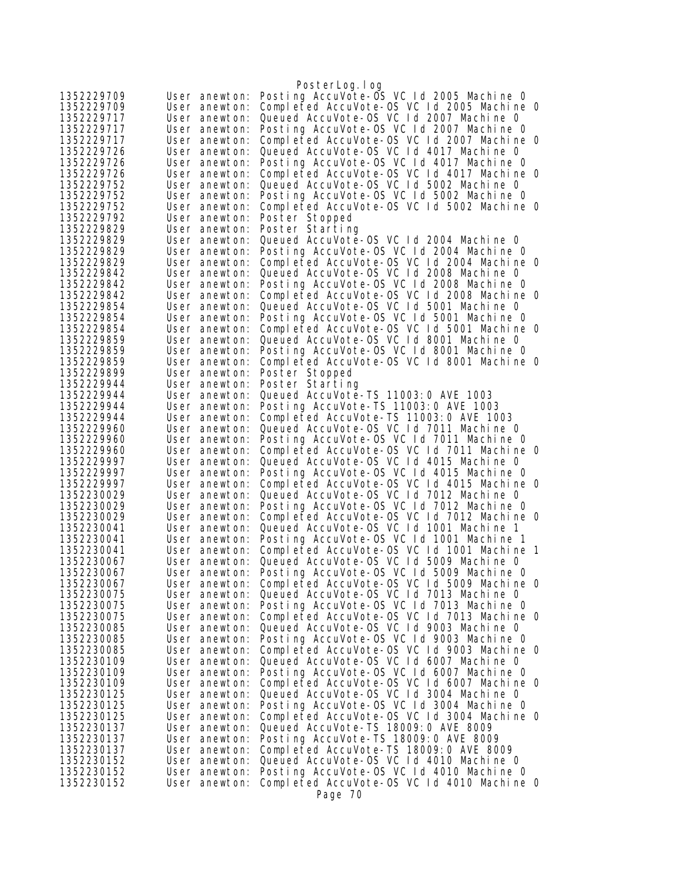|                          |                                | PosterLog.log                                                                          |
|--------------------------|--------------------------------|----------------------------------------------------------------------------------------|
| 1352229709               | User anewton:                  | Posting AccuVote-OS VC 1d 2005 Machine 0                                               |
| 1352229709               | User anewton:                  | Completed AccuVote-OS VC 1d 2005 Machine 0                                             |
| 1352229717               | User anewton:                  | Queued AccuVote-OS VC 1d 2007 Machine 0                                                |
| 1352229717               | User anewton:                  | Posting AccuVote-OS VC 1d 2007 Machine 0                                               |
| 1352229717               | User anewton:                  | Completed AccuVote-0S VC 1d 2007 Machine 0                                             |
| 1352229726               | User anewton:                  | Queued AccuVote-OS VC 1d 4017 Machine 0                                                |
| 1352229726               | User anewton:                  | Posting AccuVote-OS VC 1d 4017 Machine 0                                               |
| 1352229726               | User anewton:                  | Completed AccuVote-OS VC 1d 4017 Machine 0                                             |
| 1352229752<br>1352229752 | User anewton:<br>User anewton: | Queued AccuVote-OS VC Id 5002 Machine 0<br>Posting AccuVote-OS VC Id 5002 Machine O    |
| 1352229752               | User anewton:                  | Completed AccuVote-OS VC Id 5002 Machine 0                                             |
| 1352229792               | User anewton:                  | Poster Stopped                                                                         |
| 1352229829               | User anewton:                  | Poster Starting                                                                        |
| 1352229829               | User anewton:                  | Queued AccuVote-OS VC 1d 2004 Machine 0                                                |
| 1352229829               | User anewton:                  | Posting AccuVote-OS VC Id 2004 Machine O                                               |
| 1352229829               | User anewton:                  | Completed AccuVote-OS VC 1d 2004 Machine 0                                             |
| 1352229842               | User anewton:                  | Queued AccuVote-OS VC 1d 2008 Machine 0                                                |
| 1352229842               | User anewton:                  | Posting AccuVote-OS VC Id 2008 Machine 0                                               |
| 1352229842               | User anewton:                  | Completed AccuVote-OS VC 1d 2008 Machine 0                                             |
| 1352229854               | User anewton:                  | Queued AccuVote-OS VC 1d 5001 Machine 0                                                |
| 1352229854<br>1352229854 | User anewton:                  | Posting AccuVote-OS VC Id 5001 Machine O<br>Completed AccuVote-OS VC 1d 5001 Machine 0 |
| 1352229859               | User anewton:<br>User anewton: | Queued AccuVote-OS VC 1d 8001 Machine 0                                                |
| 1352229859               | User anewton:                  | Posting AccuVote-OS VC 1d 8001 Machine 0                                               |
| 1352229859               | User anewton:                  | Completed AccuVote-OS VC 1d 8001 Machine 0                                             |
| 1352229899               | User anewton:                  | Poster Stopped                                                                         |
| 1352229944               | User anewton:                  | Poster Starting                                                                        |
| 1352229944               | User anewton:                  | Queued AccuVote-TS 11003: 0 AVE 1003                                                   |
| 1352229944               | User anewton:                  | Posting AccuVote-TS 11003:0 AVE 1003                                                   |
| 1352229944               | User anewton:                  | Completed AccuVote-TS 11003:0 AVE 1003                                                 |
| 1352229960               | User anewton:                  | Queued AccuVote-OS VC 1d 7011 Machine 0<br>Posting AccuVote-OS VC Id 7011 Machine O    |
| 1352229960<br>1352229960 | User anewton:<br>User anewton: | Completed AccuVote-OS VC Id 7011 Machine O                                             |
| 1352229997               | User anewton:                  | Queued AccuVote-OS VC 1d 4015 Machine 0                                                |
| 1352229997               | User anewton:                  | Posting AccuVote-OS VC Id 4015 Machine O                                               |
| 1352229997               | User anewton:                  | Completed AccuVote-OS VC 1d 4015 Machine 0                                             |
| 1352230029               | User anewton:                  | Queued AccuVote-OS VC Id 7012 Machine 0                                                |
| 1352230029               | User anewton:                  | Posting AccuVote-OS VC Id 7012 Machine O                                               |
| 1352230029               | User anewton:                  | Completed AccuVote-OS VC 1d 7012 Machine 0                                             |
| 1352230041               | User anewton:                  | Queued AccuVote-OS VC Id 1001 Machine 1<br>Posting AccuVote-OS VC Id 1001 Machine 1    |
| 1352230041<br>1352230041 | User anewton:<br>User anewton: | Completed AccuVote-OS VC 1d 1001 Machine 1                                             |
| 1352230067               | User anewton:                  | Queued AccuVote-OS VC 1d 5009 Machine 0                                                |
| 1352230067               | User anewton:                  | Posting AccuVote-OS VC Id 5009 Machine O                                               |
| 1352230067               | User anewton:                  | Completed AccuVote-OS VC 1d 5009 Machine 0                                             |
| 1352230075               | User anewton:                  | Queued AccuVote-OS VC 1d 7013 Machine 0                                                |
| 1352230075               | User anewton:                  | Posting AccuVote-OS VC 1d 7013 Machine 0                                               |
| 1352230075               | User anewton:                  | Completed AccuVote-OS VC 1d 7013 Machine 0                                             |
| 1352230085               | User anewton:                  | Queued AccuVote-OS VC 1d 9003 Machine 0                                                |
| 1352230085               | User anewton:                  | Posting AccuVote-OS VC Id 9003 Machine 0                                               |
| 1352230085<br>1352230109 | User anewton:<br>User anewton: | Completed AccuVote-OS VC 1d 9003 Machine 0<br>Queued AccuVote-OS VC 1d 6007 Machine 0  |
| 1352230109               | User anewton:                  | Posting AccuVote-OS VC Id 6007 Machine O                                               |
| 1352230109               | User anewton:                  | Completed AccuVote-OS VC 1d 6007 Machine 0                                             |
| 1352230125               | User anewton:                  | Queued AccuVote-OS VC 1d 3004 Machine 0                                                |
| 1352230125               | User anewton:                  | Posting AccuVote-OS VC 1d 3004 Machine 0                                               |
| 1352230125               | User anewton:                  | Completed AccuVote-OS VC 1d 3004 Machine 0                                             |
| 1352230137               | User anewton:                  | Queued AccuVote-TS 18009: 0 AVE 8009                                                   |
| 1352230137               | User anewton:                  | Posting AccuVote-TS 18009: 0 AVE 8009                                                  |
| 1352230137<br>1352230152 | User anewton:<br>User anewton: | Completed AccuVote-TS 18009:0 AVE 8009<br>Queued AccuVote-OS VC 1d 4010 Machine 0      |
| 1352230152               | User anewton:                  | Posting AccuVote-OS VC Id 4010 Machine 0                                               |
| 1352230152               | User anewton:                  | Completed AccuVote-OS VC Id 4010 Machine O                                             |
|                          |                                | Page 70                                                                                |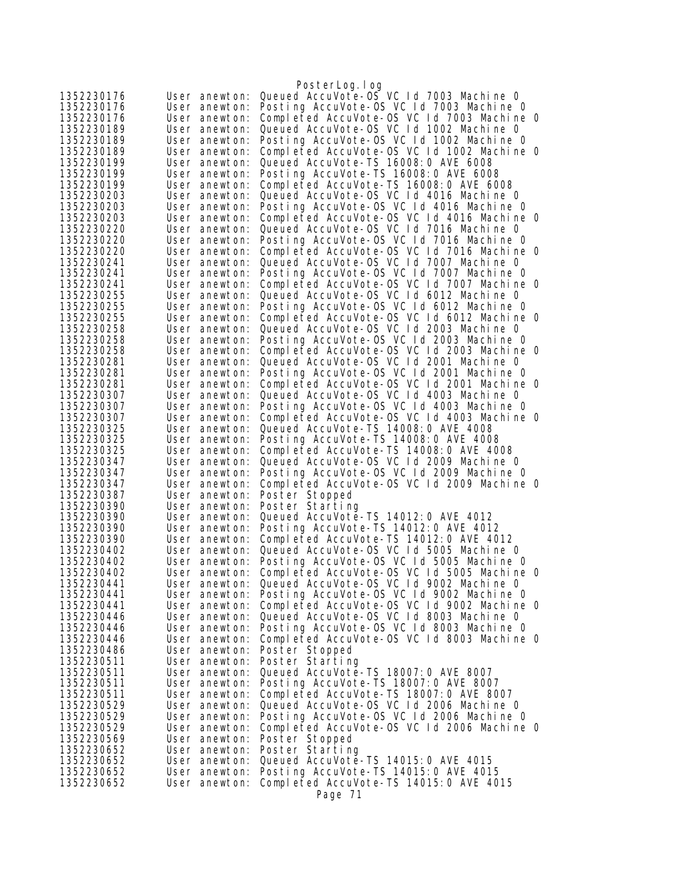|                          |                                | PosterLog.log                                                                          |
|--------------------------|--------------------------------|----------------------------------------------------------------------------------------|
| 1352230176               | User anewton:                  | Queued AccuVote-0S VC 1d 7003 Machine 0                                                |
| 1352230176               | User anewton:                  | Posting AccuVote-OS VC 1d 7003 Machine 0                                               |
| 1352230176               | User anewton:                  | Completed AccuVote-OS VC 1d 7003 Machine 0                                             |
| 1352230189               | User anewton:                  | Queued AccuVote-OS VC Id 1002 Machine 0                                                |
| 1352230189               | User anewton:                  | Posting AccuVote-OS VC Id 1002 Machine O                                               |
| 1352230189               | User anewton:                  | Completed AccuVote-OS VC 1d 1002 Machine 0                                             |
| 1352230199               | User anewton:                  | Queued AccuVote-TS 16008:0 AVE 6008                                                    |
| 1352230199               | User anewton:                  | Posting AccuVote-TS 16008: 0 AVE 6008                                                  |
| 1352230199               | User anewton:                  | Completed AccuVote-TS 16008:0 AVE 6008                                                 |
| 1352230203               | User anewton:                  | Queued AccuVote-OS VC 1d 4016 Machine 0                                                |
| 1352230203               | User anewton:                  | Posting AccuVote-OS VC 1d 4016 Machine 0                                               |
| 1352230203               | User anewton:                  | Completed AccuVote-OS VC 1d 4016 Machine 0                                             |
| 1352230220               | User anewton:                  | Queued AccuVote-OS VC 1d 7016 Machine 0                                                |
| 1352230220               | User anewton:                  | Posting AccuVote-OS VC 1d 7016 Machine 0                                               |
| 1352230220               | User anewton:                  | Completed AccuVote-OS VC 1d 7016 Machine 0                                             |
| 1352230241               | User anewton:                  | Queued AccuVote-OS VC Id 7007 Machine 0<br>Posting AccuVote-OS VC 1d 7007 Machine 0    |
| 1352230241               | User anewton:<br>User anewton: | Completed AccuVote-OS VC 1d 7007 Machine 0                                             |
| 1352230241<br>1352230255 | User anewton:                  | Queued AccuVote-OS VC 1d 6012 Machine 0                                                |
| 1352230255               | User anewton:                  | Posting AccuVote-OS VC Id 6012 Machine 0                                               |
| 1352230255               | User anewton:                  | Completed AccuVote-OS VC 1d 6012 Machine 0                                             |
| 1352230258               | User anewton:                  | Queued AccuVote-OS VC Id 2003 Machine 0                                                |
| 1352230258               | User anewton:                  | Posting AccuVote-OS VC 1d 2003 Machine 0                                               |
| 1352230258               | User anewton:                  | Completed AccuVote-OS VC 1d 2003 Machine 0                                             |
| 1352230281               | User anewton:                  | Queued AccuVote-OS VC Id 2001 Machine 0                                                |
| 1352230281               | User anewton:                  | Posting AccuVote-OS VC Id 2001 Machine O                                               |
| 1352230281               | User anewton:                  | Completed AccuVote-OS VC 1d 2001 Machine 0                                             |
| 1352230307               | User anewton:                  | Queued AccuVote-OS VC Id 4003 Machine 0                                                |
| 1352230307               | User anewton:                  | Posting AccuVote-OS VC 1d 4003 Machine 0                                               |
| 1352230307               | User anewton:                  | Completed AccuVote-OS VC 1d 4003 Machine 0                                             |
| 1352230325               | User anewton:                  | Queued AccuVote-TS 14008: 0 AVE 4008                                                   |
| 1352230325               | User anewton:                  | Posting AccuVote-TS 14008:0 AVE 4008                                                   |
| 1352230325               | User anewton:                  | Completed AccuVote-TS 14008:0 AVE 4008                                                 |
| 1352230347               | User anewton:                  | Queued AccuVote-OS VC Id 2009 Machine 0                                                |
| 1352230347               | User anewton:                  | Posting AccuVote-OS VC 1d 2009 Machine 0                                               |
| 1352230347               | User anewton:                  | Completed AccuVote-OS VC 1d 2009 Machine 0                                             |
| 1352230387               | User anewton:                  | Poster Stopped                                                                         |
| 1352230390               | User anewton:                  | Poster Starting                                                                        |
| 1352230390               | User anewton:                  | Queued AccuVote-TS 14012: 0 AVE 4012                                                   |
| 1352230390               | User anewton:                  | Posting AccuVote-TS 14012:0 AVE 4012                                                   |
| 1352230390               | User anewton:                  | Completed AccuVote-TS 14012:0 AVE 4012                                                 |
| 1352230402               | User anewton:                  | Queued AccuVote-OS VC 1d 5005 Machine 0                                                |
| 1352230402<br>1352230402 | User anewton:                  | Posting AccuVote-OS VC 1d 5005 Machine 0<br>Completed AccuVote-OS VC 1d 5005 Machine 0 |
| 1352230441               | User anewton:<br>User anewton: | Queued AccuVote-OS VC 1d 9002 Machine 0                                                |
| 1352230441               | User anewton:                  | Posting AccuVote-OS VC Id 9002 Machine O                                               |
| 1352230441               | User anewton:                  | Completed AccuVote-OS VC 1d 9002 Machine 0                                             |
| 1352230446               | User anewton:                  | Queued AccuVote-OS VC Id 8003 Machine 0                                                |
| 1352230446               | User anewton:                  | Posting AccuVote-OS VC Id 8003 Machine 0                                               |
| 1352230446               | User anewton:                  | Completed AccuVote-OS VC Id 8003 Machine O                                             |
| 1352230486               | User anewton:                  | Poster Stopped                                                                         |
| 1352230511               | User anewton:                  | Poster Starting                                                                        |
| 1352230511               | User anewton:                  | Queued AccuVote-TS 18007: 0 AVE 8007                                                   |
| 1352230511               | User anewton:                  | Posting AccuVote-TS 18007:0 AVE 8007                                                   |
| 1352230511               | User anewton:                  | Completed AccuVote-TS 18007:0 AVE 8007                                                 |
| 1352230529               | User anewton:                  | Queued AccuVote-OS VC 1d 2006 Machine 0                                                |
| 1352230529               | User anewton:                  | Posting AccuVote-OS VC 1d 2006 Machine 0                                               |
| 1352230529               | User anewton:                  | Completed AccuVote-OS VC 1d 2006 Machine 0                                             |
| 1352230569               | User anewton:                  | Poster Stopped                                                                         |
| 1352230652               | User anewton:                  | Poster Starting                                                                        |
| 1352230652               | User anewton:                  | Queued AccuVote-TS 14015: 0 AVE 4015                                                   |
| 1352230652               | User anewton:                  | Posting AccuVote-TS 14015:0 AVE 4015                                                   |
| 1352230652               | User anewton:                  | Completed AccuVote-TS 14015:0 AVE 4015                                                 |
|                          |                                | Page 71                                                                                |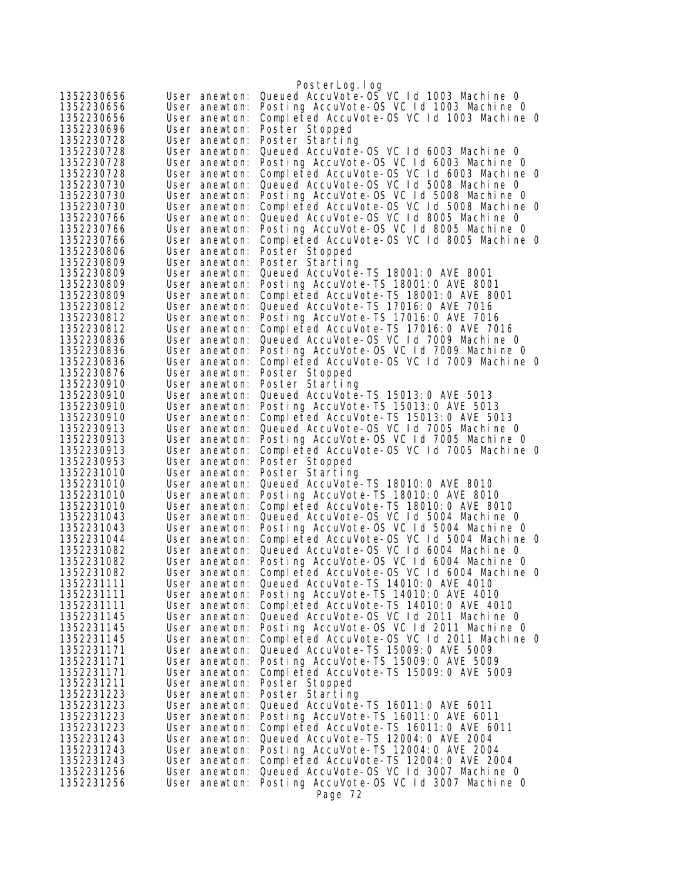|                          |                                | PosterLog.log                                                                         |
|--------------------------|--------------------------------|---------------------------------------------------------------------------------------|
| 1352230656               | User anewton:                  | Queued AccuVote-OS VC 1d 1003 Machine 0                                               |
| 1352230656               | User anewton:                  | Posting AccuVote-OS VC 1d 1003 Machine 0                                              |
| 1352230656               | User anewton:                  | Completed AccuVote-OS VC 1d 1003 Machine 0                                            |
| 1352230696               | User anewton:                  | Poster Stopped                                                                        |
| 1352230728               | User anewton:                  | Poster Starting                                                                       |
| 1352230728               | User anewton:                  | Queued AccuVote-OS VC 1d 6003 Machine 0                                               |
| 1352230728               | User anewton:                  | Posting AccuVote-OS VC Id 6003 Machine 0                                              |
| 1352230728               | User anewton:                  | Completed AccuVote-OS VC Id 6003 Machine O                                            |
| 1352230730               | User anewton:                  | Queued AccuVote-OS VC Id 5008 Machine 0                                               |
| 1352230730               | User anewton:                  | Posting AccuVote-OS VC Id 5008 Machine 0                                              |
| 1352230730               | User anewton:                  | Completed AccuVote-OS VC 1d 5008 Machine 0<br>Queued AccuVote-OS VC Id 8005 Machine 0 |
| 1352230766<br>1352230766 | User anewton:<br>User anewton: | Posting AccuVote-OS VC 1d 8005 Machine 0                                              |
| 1352230766               | User anewton:                  | Completed AccuVote-OS VC 1d 8005 Machine 0                                            |
| 1352230806               | User anewton:                  | Poster Stopped                                                                        |
| 1352230809               | User anewton:                  | Poster Starting                                                                       |
| 1352230809               | User anewton:                  | Queued AccuVote-TS 18001:0 AVE 8001                                                   |
| 1352230809               | User anewton:                  | Posting AccuVote-TS 18001:0 AVE 8001                                                  |
| 1352230809               | User anewton:                  | Completed AccuVote-TS 18001:0 AVE 8001                                                |
| 1352230812               | User anewton:                  | Queued AccuVote-TS 17016: 0 AVE 7016                                                  |
| 1352230812               | User anewton:                  | Posting AccuVote-TS 17016: 0 AVE 7016                                                 |
| 1352230812               | User anewton:                  | Completed AccuVote-TS 17016:0 AVE 7016                                                |
| 1352230836               | User anewton:                  | Queued AccuVote-OS VC Id 7009 Machine 0                                               |
| 1352230836               | User anewton:                  | Posting AccuVote-OS VC 1d 7009 Machine 0                                              |
| 1352230836<br>1352230876 | User anewton:<br>User anewton: | Completed AccuVote-OS VC Id 7009 Machine 0<br>Poster Stopped                          |
| 1352230910               | User anewton:                  | Poster Starting                                                                       |
| 1352230910               | User anewton:                  | Queued AccuVote-TS 15013:0 AVE 5013                                                   |
| 1352230910               | User anewton:                  | Posting AccuVote-TS 15013:0 AVE 5013                                                  |
| 1352230910               | User anewton:                  | Completed AccuVote-TS 15013:0 AVE 5013                                                |
| 1352230913               | User anewton:                  | Queued AccuVote-OS VC Id 7005 Machine 0                                               |
| 1352230913               | User anewton:                  | Posting AccuVote-OS VC 1d 7005 Machine 0                                              |
| 1352230913               | User anewton:                  | Completed AccuVote-OS VC 1d 7005 Machine 0                                            |
| 1352230953               | User anewton:                  | Poster Stopped                                                                        |
| 1352231010<br>1352231010 | User anewton:<br>User anewton: | Poster Starting<br>Queued AccuVote-TS 18010:0 AVE 8010                                |
| 1352231010               | User anewton:                  | Posting AccuVote-TS 18010: 0 AVE 8010                                                 |
| 1352231010               | User anewton:                  | Completed AccuVote-TS 18010:0 AVE 8010                                                |
| 1352231043               | User anewton:                  | Queued AccuVote-OS VC Id 5004 Machine 0                                               |
| 1352231043               | User anewton:                  | Posting AccuVote-OS VC Id 5004 Machine O                                              |
| 1352231044               | User anewton:                  | Completed AccuVote-OS VC 1d 5004 Machine 0                                            |
| 1352231082               | User anewton:                  | Queued AccuVote-OS VC 1d 6004 Machine 0                                               |
| 1352231082               | User anewton:                  | Posting AccuVote-OS VC Id 6004 Machine 0                                              |
| 1352231082               | User anewton:                  | Completed AccuVote-OS VC 1d 6004 Machine 0                                            |
| 1352231111               | User anewton:                  | Queued AccuVote-TS 14010: 0 AVE 4010                                                  |
| 1352231111<br>1352231111 | User anewton:<br>User anewton: | Posting AccuVote-TS 14010:0 AVE 4010<br>Completed AccuVote-TS 14010:0 AVE 4010        |
| 1352231145               | User anewton:                  | Queued AccuVote-OS VC Id 2011 Machine O                                               |
| 1352231145               | User anewton:                  | Posting AccuVote-OS VC 1d 2011 Machine 0                                              |
| 1352231145               | User anewton:                  | Completed AccuVote-OS VC 1d 2011 Machine 0                                            |
| 1352231171               | User anewton:                  | Queued AccuVote-TS 15009: 0 AVE 5009                                                  |
| 1352231171               | User anewton:                  | Posting AccuVote-TS 15009:0 AVE 5009                                                  |
| 1352231171               | User anewton:                  | Completed AccuVote-TS 15009:0 AVE 5009                                                |
| 1352231211               | User anewton:                  | Poster Stopped                                                                        |
| 1352231223               | User anewton:                  | Poster Starting                                                                       |
| 1352231223               | User anewton:                  | Queued AccuVote-TS 16011:0 AVE 6011                                                   |
| 1352231223               | User anewton:                  | Posting AccuVote-TS 16011:0 AVE 6011                                                  |
| 1352231223<br>1352231243 | User anewton:<br>User anewton: | Completed AccuVote-TS 16011:0 AVE 6011<br>Queued AccuVote-TS 12004: 0 AVE 2004        |
| 1352231243               | User anewton:                  | Posting AccuVote-TS 12004: 0 AVE 2004                                                 |
| 1352231243               | User anewton:                  | Completed AccuVote-TS 12004:0 AVE 2004                                                |
| 1352231256               | User anewton:                  | Queued AccuVote-OS VC 1d 3007 Machine 0                                               |
| 1352231256               | User anewton:                  | Posting AccuVote-OS VC Id 3007 Machine O                                              |
|                          |                                | Page 72                                                                               |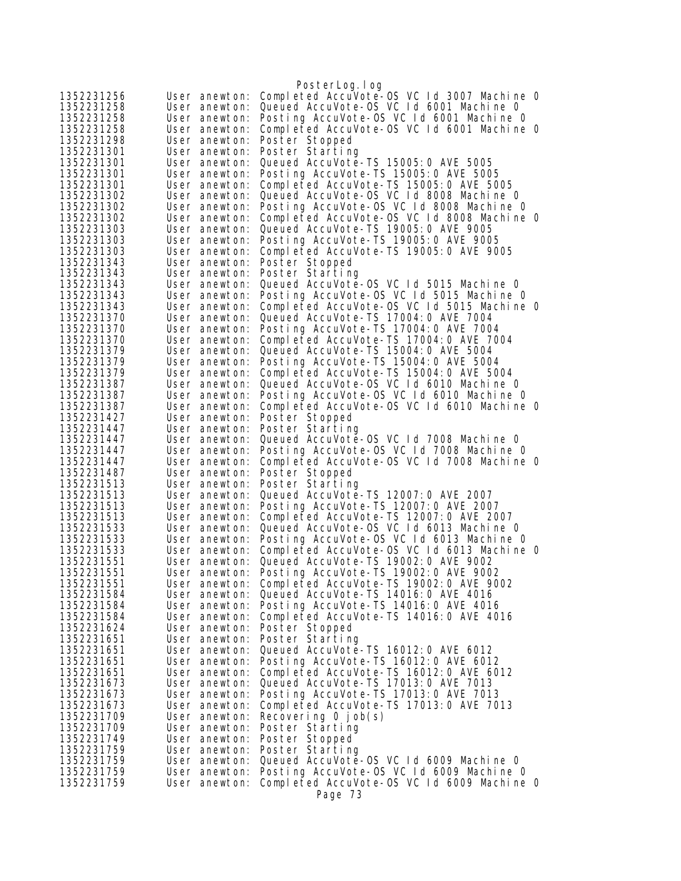| 1352231256               | User anewton:                  | PosterLog.log<br>Completed AccuVote-OS VC 1d 3007 Machine 0                         |
|--------------------------|--------------------------------|-------------------------------------------------------------------------------------|
| 1352231258               | User anewton:                  | Queued AccuVote-OS VC Id 6001 Machine 0                                             |
| 1352231258               | User anewton:                  | Posting AccuVote-OS VC Id 6001 Machine O                                            |
| 1352231258               | User anewton:                  | Completed AccuVote-OS VC Id 6001 Machine O                                          |
| 1352231298               | User anewton:                  | Poster Stopped                                                                      |
| 1352231301               | User anewton:                  | Poster Starting                                                                     |
| 1352231301               | User anewton:                  | Queued AccuVote-TS 15005:0 AVE 5005                                                 |
| 1352231301               | User anewton:                  | Posting AccuVote-TS 15005:0 AVE 5005                                                |
| 1352231301               | User anewton:                  | Completed AccuVote-TS 15005:0 AVE 5005                                              |
| 1352231302               | User anewton:                  | Queued AccuVote-OS VC 1d 8008 Machine 0                                             |
| 1352231302               | User anewton:                  | Posting AccuVote-OS VC 1d 8008 Machine 0                                            |
| 1352231302               | User anewton:                  | Completed AccuVote-OS VC 1d 8008 Machine 0                                          |
| 1352231303               | User anewton:                  | Queued AccuVote-TS 19005: 0 AVE 9005                                                |
| 1352231303               | User anewton:                  | Posting AccuVote-TS 19005: 0 AVE 9005                                               |
| 1352231303<br>1352231343 | User anewton:<br>User anewton: | Completed AccuVote-TS 19005:0 AVE 9005                                              |
| 1352231343               | User anewton:                  | Poster Stopped<br>Poster Starting                                                   |
| 1352231343               | User anewton:                  | Queued AccuVote-OS VC 1d 5015 Machine 0                                             |
| 1352231343               | User anewton:                  | Posting AccuVote-OS VC 1d 5015 Machine 0                                            |
| 1352231343               | User anewton:                  | Completed AccuVote-OS VC 1d 5015 Machine 0                                          |
| 1352231370               | User anewton:                  | Queued AccuVote-TS 17004: 0 AVE 7004                                                |
| 1352231370               | User anewton:                  | Posting AccuVote-TS 17004: 0 AVE 7004                                               |
| 1352231370               | User anewton:                  | Completed AccuVote-TS 17004:0 AVE 7004                                              |
| 1352231379               | User anewton:                  | Queued AccuVote-TS 15004: 0 AVE 5004                                                |
| 1352231379               | User anewton:                  | Posting AccuVote-TS 15004:0 AVE 5004                                                |
| 1352231379               | User anewton:                  | Completed AccuVote-TS 15004: 0 AVE 5004                                             |
| 1352231387               | User anewton:                  | Queued AccuVote-OS VC 1d 6010 Machine 0                                             |
| 1352231387               | User anewton:                  | Posting AccuVote-OS VC Id 6010 Machine 0                                            |
| 1352231387               | User anewton:                  | Completed AccuVote-OS VC 1d 6010 Machine 0                                          |
| 1352231427               | User anewton:                  | Poster Stopped                                                                      |
| 1352231447               | User anewton:                  | Poster Starting                                                                     |
| 1352231447<br>1352231447 | User anewton:<br>User anewton: | Queued AccuVote-OS VC 1d 7008 Machine 0<br>Posting AccuVote-OS VC Id 7008 Machine O |
| 1352231447               | User anewton:                  | Completed AccuVote-OS VC 1d 7008 Machine 0                                          |
| 1352231487               | User anewton:                  | Poster Stopped                                                                      |
| 1352231513               | User anewton:                  | Poster Starting                                                                     |
| 1352231513               | User anewton:                  | Queued AccuVote-TS 12007:0 AVE 2007                                                 |
| 1352231513               | User anewton:                  | Posting AccuVote-TS 12007:0 AVE 2007                                                |
| 1352231513               | User anewton:                  | Completed AccuVote-TS 12007:0 AVE 2007                                              |
| 1352231533               | User anewton:                  | Queued AccuVote-OS VC Id 6013 Machine 0                                             |
| 1352231533               | User anewton:                  | Posting AccuVote-OS VC 1d 6013 Machine 0                                            |
| 1352231533               | User anewton:                  | Completed AccuVote-OS VC 1d 6013 Machine 0                                          |
| 1352231551               | User anewton:                  | Queued AccuVote-TS 19002: 0 AVE 9002                                                |
| 1352231551               | User anewton:                  | Posting AccuVote-TS 19002:0 AVE 9002<br>Completed AccuVote-TS 19002:0 AVE 9002      |
| 1352231551<br>1352231584 | User anewton:<br>User anewton: | Queued AccuVote-TS 14016: 0 AVE 4016                                                |
| 1352231584               | User anewton:                  | Posting AccuVote-TS 14016:0 AVE 4016                                                |
| 1352231584               | User anewton:                  | Completed AccuVote-TS 14016:0 AVE 4016                                              |
| 1352231624               | User anewton:                  | Poster Stopped                                                                      |
| 1352231651               | User anewton:                  | Poster Starting                                                                     |
| 1352231651               | User anewton:                  | Queued AccuVote-TS 16012: 0 AVE 6012                                                |
| 1352231651               | User anewton:                  | Posting AccuVote-TS 16012:0 AVE 6012                                                |
| 1352231651               | User anewton:                  | Completed AccuVote-TS 16012:0 AVE 6012                                              |
| 1352231673               | User anewton:                  | Queued AccuVote-TS 17013:0 AVE 7013                                                 |
| 1352231673               | User anewton:                  | Posting AccuVote-TS 17013:0 AVE 7013                                                |
| 1352231673               | User anewton:                  | Completed AccuVote-TS 17013:0 AVE 7013                                              |
| 1352231709               | User anewton:                  | Recovering $0$ job(s)                                                               |
| 1352231709               | User anewton:                  | Poster Starting                                                                     |
| 1352231749               | User anewton:                  | Poster Stopped                                                                      |
| 1352231759               | User anewton:<br>User anewton: | Poster Starting<br>Queued AccuVote-OS VC 1d 6009 Machine 0                          |
| 1352231759<br>1352231759 | User anewton:                  | Posting AccuVote-OS VC Id 6009 Machine O                                            |
| 1352231759               | User anewton:                  | Completed AccuVote-OS VC Id 6009 Machine 0                                          |
|                          |                                | Page 73                                                                             |
|                          |                                |                                                                                     |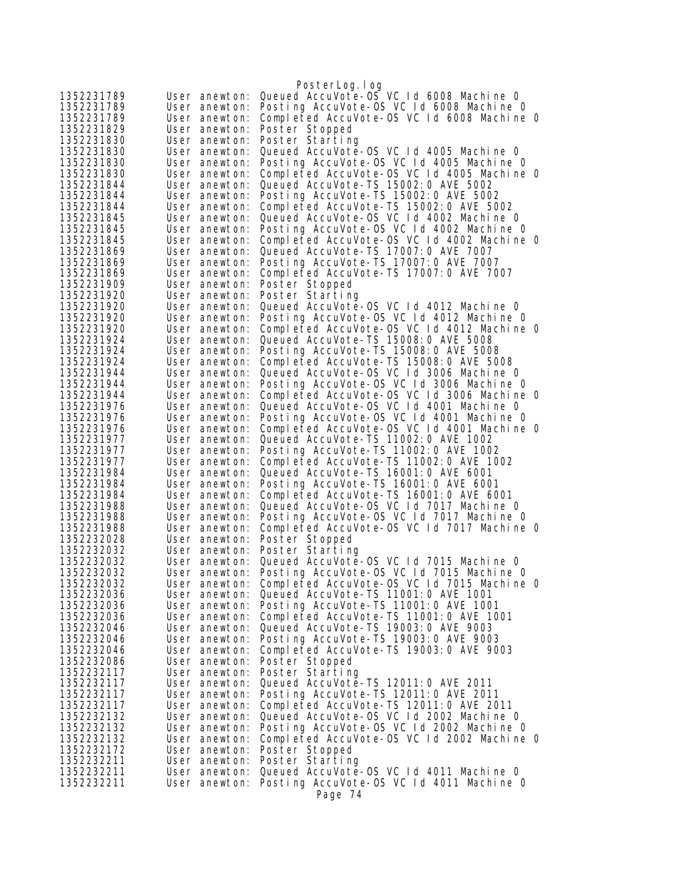|                          |                                | PosterLog.log                                                                     |
|--------------------------|--------------------------------|-----------------------------------------------------------------------------------|
| 1352231789               | User anewton:                  | Queued AccuVote-OS VC 1d 6008 Machine 0                                           |
| 1352231789               | User anewton:                  | Posting AccuVote-OS VC Id 6008 Machine 0                                          |
| 1352231789               | User anewton:                  | Completed AccuVote-OS VC 1d 6008 Machine 0                                        |
| 1352231829               | User anewton:                  | Poster Stopped                                                                    |
| 1352231830               | User anewton:                  | Poster Starting                                                                   |
| 1352231830               | User anewton:                  | Queued AccuVote-OS VC 1d 4005 Machine 0                                           |
| 1352231830               | User anewton:                  | Posting AccuVote-OS VC 1d 4005 Machine 0                                          |
| 1352231830               | User anewton:                  | Completed AccuVote-OS VC 1d 4005 Machine 0                                        |
| 1352231844               | User anewton:                  | Queued AccuVote-TS 15002: 0 AVE 5002                                              |
| 1352231844               | User anewton:                  | Posting AccuVote-TS 15002:0 AVE 5002                                              |
| 1352231844<br>1352231845 | User anewton:<br>User anewton: | Completed AccuVote-TS 15002:0 AVE 5002<br>Queued AccuVote-OS VC Id 4002 Machine O |
| 1352231845               | User anewton:                  | Posting AccuVote-OS VC 1d 4002 Machine 0                                          |
| 1352231845               | User anewton:                  | Completed AccuVote-OS VC 1d 4002 Machine 0                                        |
| 1352231869               | User anewton:                  | Queued AccuVote-TS 17007: 0 AVE 7007                                              |
| 1352231869               | User anewton:                  | Posting AccuVote-TS 17007:0 AVE 7007                                              |
| 1352231869               | User anewton:                  | Completed AccuVote-TS 17007:0 AVE 7007                                            |
| 1352231909               | User anewton:                  | Poster Stopped                                                                    |
| 1352231920               | User anewton:                  | Poster Starting                                                                   |
| 1352231920               | User anewton:                  | Queued AccuVote-0S VC 1d 4012 Machine 0                                           |
| 1352231920               | User anewton:                  | Posting AccuVote-OS VC 1d 4012 Machine 0                                          |
| 1352231920               | User anewton:                  | Completed AccuVote-OS VC 1d 4012 Machine 0                                        |
| 1352231924               | User anewton:                  | Queued AccuVote-TS 15008: 0 AVE 5008                                              |
| 1352231924               | User anewton:                  | Posting AccuVote-TS 15008:0 AVE 5008                                              |
| 1352231924<br>1352231944 | User anewton:<br>User anewton: | Completed AccuVote-TS 15008:0 AVE 5008<br>Queued AccuVote-OS VC 1d 3006 Machine 0 |
| 1352231944               | User anewton:                  | Posting AccuVote-OS VC Id 3006 Machine O                                          |
| 1352231944               | User anewton:                  | Completed AccuVote-OS VC 1d 3006 Machine 0                                        |
| 1352231976               | User anewton:                  | Queued AccuVote-OS VC 1d 4001 Machine 0                                           |
| 1352231976               | User anewton:                  | Posting AccuVote-OS VC 1d 4001 Machine 0                                          |
| 1352231976               | User anewton:                  | Completed AccuVote-OS VC 1d 4001 Machine 0                                        |
| 1352231977               | User anewton:                  | Queued AccuVote-TS 11002: 0 AVE 1002                                              |
| 1352231977               | User anewton:                  | Posting AccuVote-TS 11002:0 AVE 1002                                              |
| 1352231977               | User anewton:                  | Completed AccuVote-TS 11002:0 AVE 1002                                            |
| 1352231984<br>1352231984 | User anewton:<br>User anewton: | Queued AccuVote-TS 16001:0 AVE 6001<br>Posting AccuVote-TS 16001:0 AVE 6001       |
| 1352231984               | User anewton:                  | Completed AccuVote-TS 16001:0 AVE 6001                                            |
| 1352231988               | User anewton:                  | Queued AccuVote-OS VC 1d 7017 Machine 0                                           |
| 1352231988               | User anewton:                  | Posting AccuVote-OS VC Id 7017 Machine O                                          |
| 1352231988               | User anewton:                  | Completed AccuVote-OS VC Id 7017 Machine O                                        |
| 1352232028               | User anewton:                  | Poster Stopped                                                                    |
| 1352232032               | User anewton:                  | Poster Starting                                                                   |
| 1352232032               | User anewton:                  | Queued AccuVote-OS VC 1d 7015 Machine 0                                           |
| 1352232032               | User anewton:                  | Posting AccuVote-OS VC 1d 7015 Machine 0                                          |
| 1352232032               | User anewton:                  | Completed AccuVote-OS VC 1d 7015 Machine 0<br>Queued AccuVote-TS 11001:0 AVE 1001 |
| 1352232036<br>1352232036 | User anewton:<br>User anewton: | Posting AccuVote-TS 11001:0 AVE 1001                                              |
| 1352232036               | User anewton:                  | Completed AccuVote-TS 11001:0 AVE 1001                                            |
| 1352232046               | User anewton:                  | Queued AccuVote-TS 19003: 0 AVE 9003                                              |
| 1352232046               | User anewton:                  | Posting AccuVote-TS 19003:0 AVE 9003                                              |
| 1352232046               | User anewton:                  | Completed AccuVote-TS 19003:0 AVE 9003                                            |
| 1352232086               | User anewton:                  | Poster Stopped                                                                    |
| 1352232117               | User anewton:                  | Poster Starting                                                                   |
| 1352232117               | User anewton:                  | Queued AccuVote-TS 12011:0 AVE 2011                                               |
| 1352232117               | User anewton:                  | Posting AccuVote-TS 12011:0 AVE 2011                                              |
| 1352232117<br>1352232132 | User anewton:<br>User anewton: | Completed AccuVote-TS 12011:0 AVE 2011<br>Queued AccuVote-OS VC 1d 2002 Machine 0 |
| 1352232132               | User anewton:                  | Posting AccuVote-OS VC 1d 2002 Machine 0                                          |
| 1352232132               | User anewton:                  | Completed AccuVote-OS VC 1d 2002 Machine 0                                        |
| 1352232172               | User anewton:                  | Poster Stopped                                                                    |
| 1352232211               | User anewton:                  | Poster Starting                                                                   |
| 1352232211               | User anewton:                  | Queued AccuVote-OS VC 1d 4011 Machine 0                                           |
| 1352232211               | User anewton:                  | Posting AccuVote-OS VC Id 4011 Machine O                                          |
|                          |                                | Page 74                                                                           |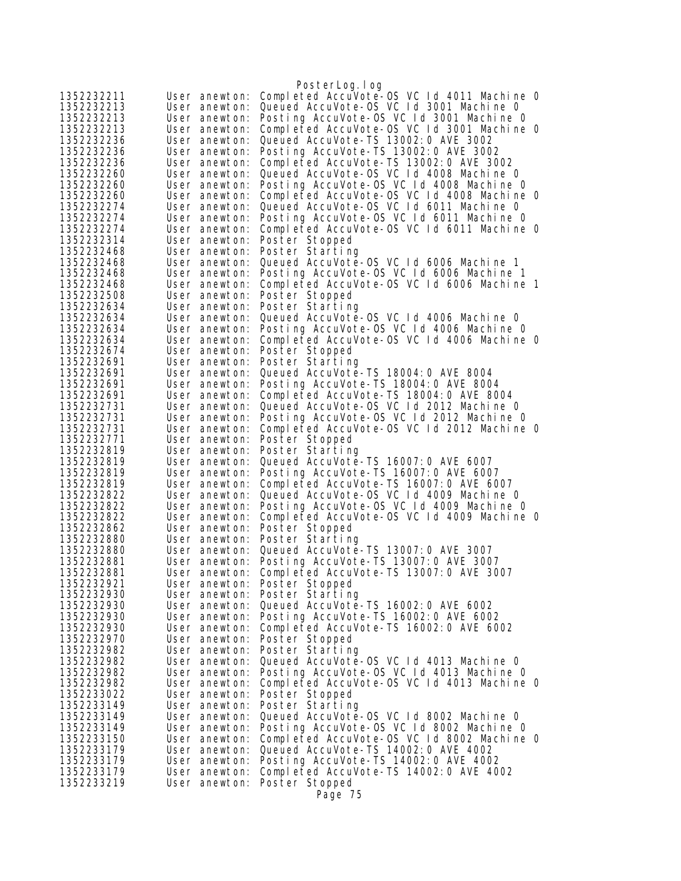|                          |                                | PosterLog.log                                                                                |
|--------------------------|--------------------------------|----------------------------------------------------------------------------------------------|
| 1352232211               | User anewton:                  | Completed AccuVote-OS VC 1d 4011 Machine 0                                                   |
| 1352232213               | User anewton:                  | Queued AccuVote-OS VC Id 3001 Machine 0                                                      |
| 1352232213               | User anewton:                  | Posting AccuVote-OS VC 1d 3001 Machine 0                                                     |
| 1352232213               | User anewton:                  | Completed AccuVote-OS VC Id 3001 Machine O                                                   |
| 1352232236               | User anewton:                  | Queued AccuVote-TS 13002: 0 AVE 3002                                                         |
| 1352232236               | User anewton:                  | Posting AccuVote-TS 13002:0 AVE 3002                                                         |
| 1352232236               | User anewton:                  | Completed AccuVote-TS 13002:0 AVE 3002                                                       |
| 1352232260               | User anewton:                  | Queued AccuVote-OS VC Id 4008 Machine O                                                      |
| 1352232260<br>1352232260 | User anewton:<br>User anewton: | Posting AccuVote-OS VC 1d 4008 Machine 0<br>Completed AccuVote-OS VC Id 4008 Machine 0       |
| 1352232274               | User anewton:                  | Queued AccuVote-OS VC Id 6011 Machine 0                                                      |
| 1352232274               | User anewton:                  | Posting AccuVote-OS VC Id 6011 Machine 0                                                     |
| 1352232274               | User anewton:                  | Completed AccuVote-OS VC 1d 6011 Machine 0                                                   |
| 1352232314               | User anewton:                  | Poster Stopped                                                                               |
| 1352232468               | User anewton:                  | Poster Starting                                                                              |
| 1352232468               | User anewton:                  | Queued AccuVote-0S VC 1d 6006 Machine 1                                                      |
| 1352232468               | User anewton:                  | Posting AccuVote-OS VC 1d 6006 Machine 1                                                     |
| 1352232468               | User anewton:                  | Completed AccuVote-OS VC 1d 6006 Machine 1                                                   |
| 1352232508               | User anewton:                  | Poster Stopped                                                                               |
| 1352232634               | User anewton:                  | Poster Starting                                                                              |
| 1352232634               | User anewton:                  | Queued AccuVote-OS VC 1d 4006 Machine 0                                                      |
| 1352232634<br>1352232634 | User anewton:<br>User anewton: | Posting AccuVote-OS VC 1d 4006 Machine 0<br>Completed AccuVote-OS VC 1d 4006 Machine 0       |
| 1352232674               | User anewton:                  | Poster Stopped                                                                               |
| 1352232691               | User anewton:                  | Poster Starting                                                                              |
| 1352232691               | User anewton:                  | Queued AccuVote-TS 18004: 0 AVE 8004                                                         |
| 1352232691               | User anewton:                  | Posting AccuVote-TS 18004:0 AVE 8004                                                         |
| 1352232691               | User anewton:                  | Completed AccuVote-TS 18004:0 AVE 8004                                                       |
| 1352232731               | User anewton:                  | Queued AccuVote-OS VC Id 2012 Machine 0                                                      |
| 1352232731               | User anewton:                  | Posting AccuVote-OS VC 1d 2012 Machine 0                                                     |
| 1352232731               | User anewton:                  | Completed AccuVote-OS VC 1d 2012 Machine 0                                                   |
| 1352232771               | User anewton:                  | Poster Stopped<br>Poster Starting                                                            |
| 1352232819<br>1352232819 | User anewton:<br>User anewton: | Queued AccuVote-TS 16007: 0 AVE 6007                                                         |
| 1352232819               | User anewton:                  | Posting AccuVote-TS 16007:0 AVE 6007                                                         |
| 1352232819               | User anewton:                  | Completed AccuVote-TS 16007:0 AVE 6007                                                       |
| 1352232822               | User anewton:                  | Queued AccuVote-OS VC Id 4009 Machine 0                                                      |
| 1352232822               | User anewton:                  | Posting AccuVote-OS VC 1d 4009 Machine 0                                                     |
| 1352232822               | User anewton:                  | Completed AccuVote-OS VC 1d 4009 Machine 0                                                   |
| 1352232862               | User anewton:                  | Poster Stopped                                                                               |
| 1352232880               | User anewton:                  | Poster Starting                                                                              |
| 1352232880               | User anewton:                  | Queued AccuVote-TS 13007: 0 AVE 3007                                                         |
| 1352232881<br>1352232881 | User anewton:                  | Posting AccuVote-TS 13007:0 AVE 3007<br>User anewton: Completed AccuVote-TS 13007:0 AVE 3007 |
| 1352232921               |                                | User anewton: Poster Stopped                                                                 |
| 1352232930               |                                | User anewton: Poster Starting                                                                |
| 1352232930               | User anewton:                  | Queued AccuVote-TS 16002: 0 AVE 6002                                                         |
| 1352232930               | User anewton:                  | Posting AccuVote-TS 16002:0 AVE 6002                                                         |
| 1352232930               | User anewton:                  | Completed AccuVote-TS 16002:0 AVE 6002                                                       |
| 1352232970               | User anewton:                  | Poster Stopped                                                                               |
| 1352232982               | User anewton:                  | Poster Starting                                                                              |
| 1352232982               | User anewton:                  | Queued AccuVote-OS VC 1d 4013 Machine 0                                                      |
| 1352232982<br>1352232982 | User anewton:<br>User anewton: | Posting AccuVote-OS VC 1d 4013 Machine 0<br>Completed AccuVote-OS VC 1d 4013 Machine 0       |
| 1352233022               | User anewton:                  | Poster Stopped                                                                               |
| 1352233149               | User anewton:                  | Poster Starting                                                                              |
| 1352233149               | User anewton:                  | Queued AccuVote-OS VC 1d 8002 Machine 0                                                      |
| 1352233149               | User anewton:                  | Posting AccuVote-OS VC Id 8002 Machine O                                                     |
| 1352233150               | User anewton:                  | Completed AccuVote-OS VC Id 8002 Machine O                                                   |
| 1352233179               | User anewton:                  | Queued AccuVote-TS 14002: 0 AVE 4002                                                         |
| 1352233179               | User anewton:                  | Posting AccuVote-TS 14002:0 AVE 4002                                                         |
| 1352233179               | User anewton:                  | Completed AccuVote-TS 14002:0 AVE 4002                                                       |
| 1352233219               | User anewton:                  | Poster Stopped<br>Page 75                                                                    |
|                          |                                |                                                                                              |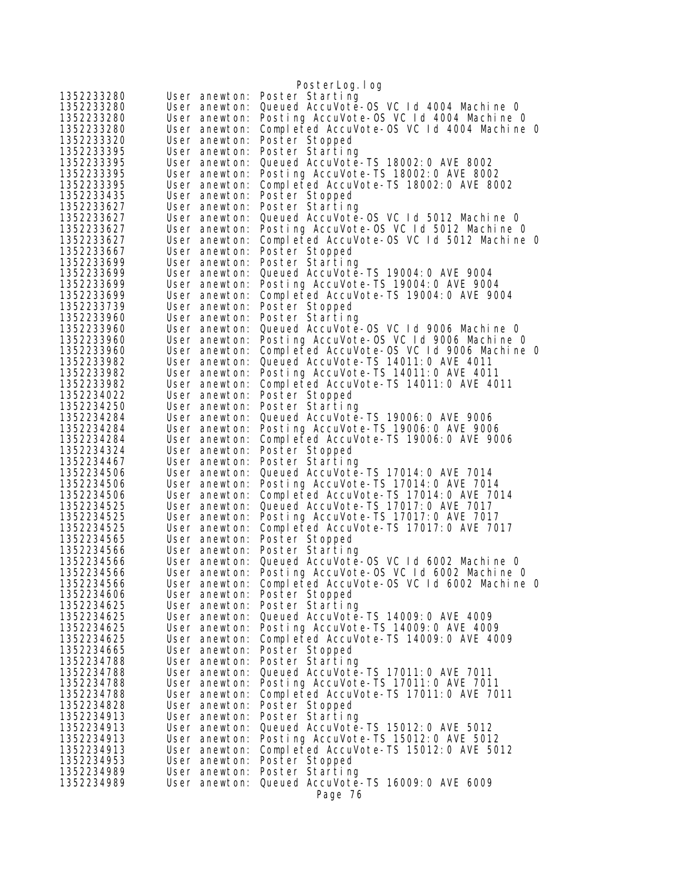|                          |                                | PosterLog.log                                                                   |  |
|--------------------------|--------------------------------|---------------------------------------------------------------------------------|--|
| 1352233280               | User anewton:                  | Poster Starting                                                                 |  |
| 1352233280               | User anewton:                  | Queued AccuVote-0S VC 1d 4004 Machine 0                                         |  |
| 1352233280               | User anewton:                  | Posting AccuVote-OS VC 1d 4004 Machine 0                                        |  |
| 1352233280               | User anewton:                  | Completed AccuVote-OS VC Id 4004 Machine 0                                      |  |
| 1352233320               | User anewton:                  | Poster Stopped                                                                  |  |
| 1352233395               | User anewton:                  | Poster Starting                                                                 |  |
| 1352233395               | User anewton:                  | Queued AccuVote-TS 18002: 0 AVE 8002                                            |  |
| 1352233395               | User anewton:                  | Posting AccuVote-TS 18002:0 AVE 8002                                            |  |
| 1352233395<br>1352233435 | User anewton:<br>User anewton: | Completed AccuVote-TS 18002:0 AVE 8002<br>Poster Stopped                        |  |
| 1352233627               | User anewton:                  | Poster Starting                                                                 |  |
| 1352233627               | User anewton:                  | Queued AccuVote-0S VC Id 5012 Machine 0                                         |  |
| 1352233627               | User anewton:                  | Posting AccuVote-OS VC 1d 5012 Machine 0                                        |  |
| 1352233627               | User anewton:                  | Completed AccuVote-OS VC 1d 5012 Machine 0                                      |  |
| 1352233667               | User anewton:                  | Poster Stopped                                                                  |  |
| 1352233699               | User anewton:                  | Poster Starting                                                                 |  |
| 1352233699               | User anewton:                  | Queued AccuVote-TS 19004: 0 AVE 9004                                            |  |
| 1352233699               | User anewton:                  | Posting AccuVote-TS 19004: 0 AVE 9004                                           |  |
| 1352233699               | User anewton:                  | Completed AccuVote-TS 19004: 0 AVE 9004                                         |  |
| 1352233739<br>1352233960 | User anewton:                  | Poster Stopped                                                                  |  |
| 1352233960               | User anewton:<br>User anewton: | Poster Starting<br>Queued AccuVote-0S VC 1d 9006 Machine 0                      |  |
| 1352233960               | User anewton:                  | Posting AccuVote-OS VC Id 9006 Machine O                                        |  |
| 1352233960               | User anewton:                  | Completed AccuVote-OS VC 1d 9006 Machine 0                                      |  |
| 1352233982               | User anewton:                  | Queued AccuVote-TS 14011:0 AVE 4011                                             |  |
| 1352233982               | User anewton:                  | Posting AccuVote-TS 14011:0 AVE 4011                                            |  |
| 1352233982               | User anewton:                  | Completed AccuVote-TS 14011:0 AVE 4011                                          |  |
| 1352234022               | User anewton:                  | Poster Stopped                                                                  |  |
| 1352234250               | User anewton:                  | Poster Starting                                                                 |  |
| 1352234284<br>1352234284 | User anewton:<br>User anewton: | Queued AccuVote-TS 19006: 0 AVE 9006<br>Posting AccuVote-TS 19006: 0 AVE 9006   |  |
| 1352234284               | User anewton:                  | Completed AccuVote-TS 19006:0 AVE 9006                                          |  |
| 1352234324               | User anewton:                  | Poster Stopped                                                                  |  |
| 1352234467               | User anewton:                  | Poster Starting                                                                 |  |
| 1352234506               | User anewton:                  | Queued AccuVote-TS 17014: 0 AVE 7014                                            |  |
| 1352234506               | User anewton:                  | Posting AccuVote-TS 17014:0 AVE 7014                                            |  |
| 1352234506<br>1352234525 | User anewton:                  | Completed AccuVote-TS 17014: 0 AVE 7014<br>Queued AccuVote-TS 17017: 0 AVE 7017 |  |
| 1352234525               | User anewton:<br>User anewton: | Posting AccuVote-TS 17017:0 AVE 7017                                            |  |
| 1352234525               | User anewton:                  | Completed AccuVote-TS 17017:0 AVE 7017                                          |  |
| 1352234565               | User anewton:                  | Poster Stopped                                                                  |  |
| 1352234566               | User anewton:                  | Poster Starting                                                                 |  |
| 1352234566               | User anewton:                  | Queued AccuVote-OS VC 1d 6002 Machine 0                                         |  |
| 1352234566               |                                | User anewton: Posting AccuVote-OS VC Id 6002 Machine 0                          |  |
| 1352234566               | User anewton:                  | Completed AccuVote-OS VC Id 6002 Machine 0                                      |  |
| 1352234606               |                                | User anewton: Poster Stopped                                                    |  |
| 1352234625<br>1352234625 | User anewton:<br>User anewton: | Poster Starting<br>Queued AccuVote-TS 14009: 0 AVE 4009                         |  |
| 1352234625               |                                | User anewton: Posting AccuVote-TS 14009:0 AVE 4009                              |  |
| 1352234625               | User anewton:                  | Completed AccuVote-TS 14009:0 AVE 4009                                          |  |
| 1352234665               | User anewton:                  | Poster Stopped                                                                  |  |
| 1352234788               | User anewton:                  | Poster Starting                                                                 |  |
| 1352234788               | User anewton:                  | Queued AccuVote-TS 17011: 0 AVE 7011                                            |  |
| 1352234788               | User anewton:                  | Posting AccuVote-TS 17011:0 AVE 7011                                            |  |
| 1352234788               | User anewton:                  | Completed AccuVote-TS 17011:0 AVE 7011                                          |  |
| 1352234828               | User anewton:                  | Poster Stopped                                                                  |  |
| 1352234913<br>1352234913 | User anewton:<br>User anewton: | Poster Starting<br>Queued AccuVote-TS 15012:0 AVE 5012                          |  |
| 1352234913               | User anewton:                  | Posting AccuVote-TS 15012:0 AVE 5012                                            |  |
| 1352234913               | User anewton:                  | Completed AccuVote-TS 15012:0 AVE 5012                                          |  |
| 1352234953               | User anewton:                  | Poster Stopped                                                                  |  |
| 1352234989               | User anewton:                  | Poster Starting                                                                 |  |
| 1352234989               | User anewton:                  | Queued AccuVote-TS 16009: 0 AVE 6009                                            |  |
|                          |                                | Page 76                                                                         |  |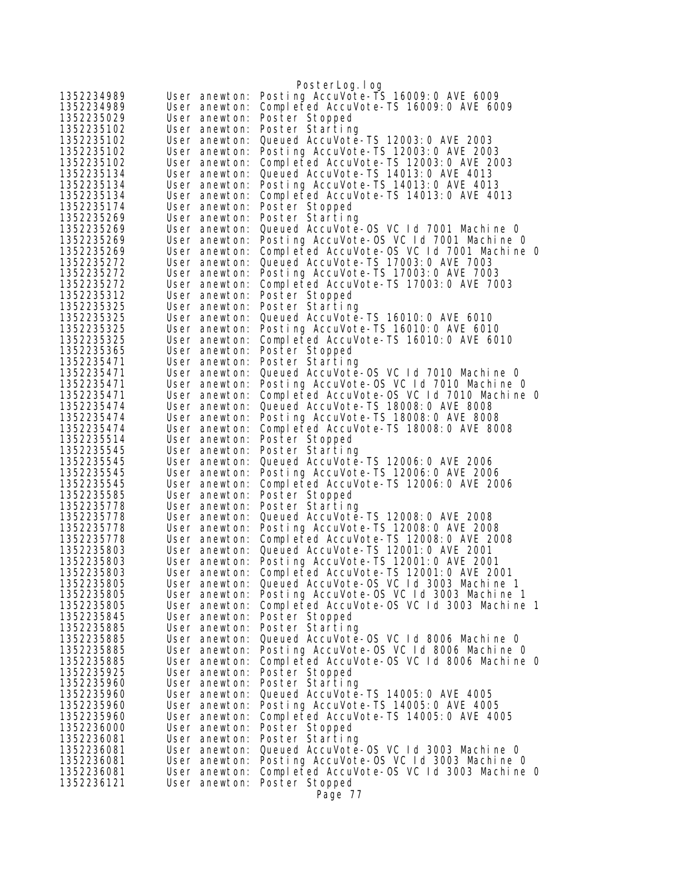|                          |                                | PosterLog.log                                                                       |
|--------------------------|--------------------------------|-------------------------------------------------------------------------------------|
| 1352234989               | User anewton:                  | Posting AccuVote-TS 16009: 0 AVE 6009                                               |
| 1352234989               | User anewton:                  | Completed AccuVote-TS 16009:0 AVE 6009                                              |
| 1352235029               | User anewton:                  | Poster Stopped                                                                      |
| 1352235102               | User anewton:                  | Poster Starting                                                                     |
| 1352235102               | User anewton:                  | Queued AccuVote-TS 12003: 0 AVE 2003                                                |
| 1352235102               | User anewton:                  | Posting AccuVote-TS 12003:0 AVE 2003                                                |
| 1352235102               | User anewton:                  | Completed AccuVote-TS 12003:0 AVE 2003                                              |
| 1352235134               | User anewton:                  | Queued AccuVote-TS 14013: 0 AVE 4013                                                |
| 1352235134               | User anewton:                  | Posting AccuVote-TS 14013:0 AVE 4013                                                |
| 1352235134<br>1352235174 | User anewton:                  | Completed AccuVote-TS 14013:0 AVE 4013                                              |
| 1352235269               | User anewton:<br>User anewton: | Poster Stopped<br>Poster Starting                                                   |
| 1352235269               | User anewton:                  | Queued AccuVote-OS VC 1d 7001 Machine 0                                             |
| 1352235269               | User anewton:                  | Posting AccuVote-OS VC Id 7001 Machine 0                                            |
| 1352235269               | User anewton:                  | Completed AccuVote-OS VC Id 7001 Machine 0                                          |
| 1352235272               | User anewton:                  | Queued AccuVote-TS 17003: 0 AVE 7003                                                |
| 1352235272               | User anewton:                  | Posting AccuVote-TS 17003:0 AVE 7003                                                |
| 1352235272               | User anewton:                  | Completed AccuVote-TS 17003:0 AVE 7003                                              |
| 1352235312               | User anewton:                  | Poster Stopped                                                                      |
| 1352235325               | User anewton:                  | Poster Starting                                                                     |
| 1352235325               | User anewton:                  | Queued AccuVote-TS 16010: 0 AVE 6010                                                |
| 1352235325               | User anewton:                  | Posting AccuVote-TS 16010: 0 AVE 6010                                               |
| 1352235325               | User anewton:                  | Completed AccuVote-TS 16010:0 AVE 6010                                              |
| 1352235365               | User anewton:<br>User anewton: | Poster Stopped                                                                      |
| 1352235471<br>1352235471 | User anewton:                  | Poster Starting<br>Queued AccuVote-0S VC 1d 7010 Machine 0                          |
| 1352235471               | User anewton:                  | Posting AccuVote-OS VC Id 7010 Machine O                                            |
| 1352235471               | User anewton:                  | Completed AccuVote-OS VC 1d 7010 Machine 0                                          |
| 1352235474               | User anewton:                  | Queued AccuVote-TS 18008:0 AVE 8008                                                 |
| 1352235474               | User anewton:                  | Posting AccuVote-TS 18008: 0 AVE 8008                                               |
| 1352235474               | User anewton:                  | Completed AccuVote-TS 18008:0 AVE 8008                                              |
| 1352235514               | User anewton:                  | Poster Stopped                                                                      |
| 1352235545               | User anewton:                  | Poster Starting                                                                     |
| 1352235545               | User anewton:                  | Queued AccuVote-TS 12006: 0 AVE 2006                                                |
| 1352235545<br>1352235545 | User anewton:<br>User anewton: | Posting AccuVote-TS 12006: 0 AVE 2006<br>Completed AccuVote-TS 12006: 0 AVE 2006    |
| 1352235585               | User anewton:                  | Poster Stopped                                                                      |
| 1352235778               | User anewton:                  | Poster Starting                                                                     |
| 1352235778               | User anewton:                  | Queued AccuVote-TS 12008: 0 AVE 2008                                                |
| 1352235778               | User anewton:                  | Posting AccuVote-TS 12008: 0 AVE 2008                                               |
| 1352235778               | User anewton:                  | Completed AccuVote-TS 12008:0 AVE 2008                                              |
| 1352235803               | User anewton:                  | Queued AccuVote-TS 12001:0 AVE 2001                                                 |
| 1352235803               | User anewton:                  | Posting AccuVote-TS 12001:0 AVE 2001                                                |
| 1352235803               | User anewton:                  | Completed AccuVote-TS 12001:0 AVE 2001                                              |
| 1352235805               | User anewton:                  | Queued AccuVote-OS VC Id 3003 Machine 1                                             |
| 1352235805<br>1352235805 | User anewton:                  | User anewton: Posting AccuVote-OS VC 1d 3003 Machine 1                              |
| 1352235845               | User anewton:                  | Completed AccuVote-OS VC 1d 3003 Machine 1<br>Poster Stopped                        |
| 1352235885               | User anewton:                  | Poster Starting                                                                     |
| 1352235885               | User anewton:                  | Queued AccuVote-OS VC 1d 8006 Machine 0                                             |
| 1352235885               | User anewton:                  | Posting AccuVote-OS VC 1d 8006 Machine 0                                            |
| 1352235885               | User anewton:                  | Completed AccuVote-OS VC 1d 8006 Machine 0                                          |
| 1352235925               | User anewton:                  | Poster Stopped                                                                      |
| 1352235960               | User anewton:                  | Poster Starting                                                                     |
| 1352235960               | User anewton:                  | Queued AccuVote-TS 14005: 0 AVE 4005                                                |
| 1352235960               | User anewton:                  | Posting AccuVote-TS 14005:0 AVE 4005                                                |
| 1352235960               | User anewton:                  | Completed AccuVote-TS 14005:0 AVE 4005                                              |
| 1352236000               | User anewton:                  | Poster Stopped                                                                      |
| 1352236081<br>1352236081 | User anewton:<br>User anewton: | Poster Starting                                                                     |
| 1352236081               | User anewton:                  | Queued AccuVote-OS VC Id 3003 Machine 0<br>Posting AccuVote-OS VC Id 3003 Machine O |
| 1352236081               | User anewton:                  | Completed AccuVote-OS VC 1d 3003 Machine 0                                          |
| 1352236121               | User anewton:                  | Poster Stopped                                                                      |
|                          |                                | Page 77                                                                             |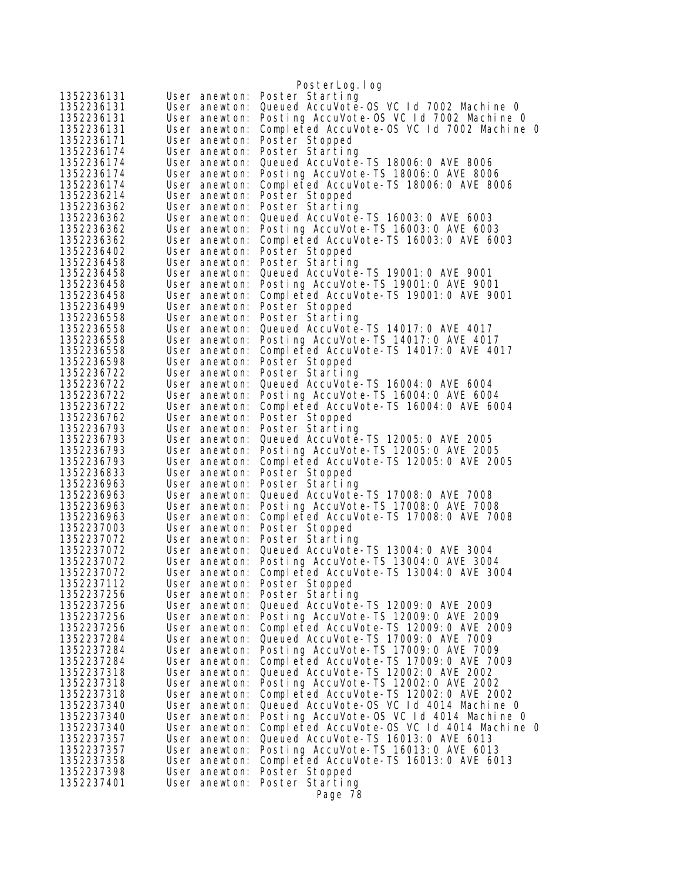|                          |                                | PosterLog.log                                                                  |
|--------------------------|--------------------------------|--------------------------------------------------------------------------------|
| 1352236131               | User anewton:                  | Poster Starting                                                                |
| 1352236131               | User anewton:                  | Queued AccuVote-0S VC Id 7002 Machine 0                                        |
| 1352236131               | User anewton:                  | Posting AccuVote-OS VC Id 7002 Machine 0                                       |
| 1352236131               | User anewton:                  | Completed AccuVote-OS VC Id 7002 Machine 0                                     |
| 1352236171               | User anewton:                  | Poster Stopped                                                                 |
| 1352236174               | User anewton:                  | Poster Starting                                                                |
| 1352236174               | User anewton:                  | Queued AccuVote-TS 18006:0 AVE 8006                                            |
| 1352236174               | User anewton:                  | Posting AccuVote-TS 18006: 0 AVE 8006                                          |
| 1352236174               | User anewton:                  | Completed AccuVote-TS 18006:0 AVE 8006                                         |
| 1352236214               | User anewton:                  | Poster Stopped                                                                 |
| 1352236362               | User anewton:                  | Poster Starting                                                                |
| 1352236362               | User anewton:                  | Queued AccuVote-TS 16003: 0 AVE 6003                                           |
| 1352236362               | User anewton:                  | Posting AccuVote-TS 16003:0 AVE 6003                                           |
| 1352236362               | User anewton:                  | Completed AccuVote-TS 16003:0 AVE 6003                                         |
| 1352236402               | User anewton:                  | Poster Stopped                                                                 |
| 1352236458<br>1352236458 | User anewton:<br>User anewton: | Poster Starting<br>Queued AccuVote-TS 19001:0 AVE 9001                         |
| 1352236458               | User anewton:                  | Posting AccuVote-TS 19001:0 AVE 9001                                           |
| 1352236458               | User anewton:                  | Completed AccuVote-TS 19001:0 AVE 9001                                         |
| 1352236499               | User anewton:                  | Poster Stopped                                                                 |
| 1352236558               | User anewton:                  | Poster Starting                                                                |
| 1352236558               | User anewton:                  | Queued AccuVote-TS 14017: 0 AVE 4017                                           |
| 1352236558               | User anewton:                  | Posting AccuVote-TS 14017:0 AVE 4017                                           |
| 1352236558               | User anewton:                  | Completed AccuVote-TS 14017: 0 AVE 4017                                        |
| 1352236598               | User anewton:                  | Poster Stopped                                                                 |
| 1352236722               | User anewton:                  | Poster Starting                                                                |
| 1352236722               | User anewton:                  | Queued AccuVote-TS 16004: 0 AVE 6004                                           |
| 1352236722               | User anewton:                  | Posting AccuVote-TS 16004:0 AVE 6004                                           |
| 1352236722               | User anewton:                  | Completed AccuVote-TS 16004:0 AVE 6004                                         |
| 1352236762               | User anewton:                  | Poster Stopped                                                                 |
| 1352236793               | User anewton:                  | Poster Starting                                                                |
| 1352236793               | User anewton:                  | Queued AccuVote-TS 12005: 0 AVE 2005                                           |
| 1352236793               | User anewton:                  | Posting AccuVote-TS 12005:0 AVE 2005                                           |
| 1352236793               | User anewton:                  | Completed AccuVote-TS 12005:0 AVE 2005                                         |
| 1352236833<br>1352236963 | User anewton:<br>User anewton: | Poster Stopped<br>Poster Starting                                              |
| 1352236963               | User anewton:                  | Queued AccuVote-TS 17008: 0 AVE 7008                                           |
| 1352236963               | User anewton:                  | Posting AccuVote-TS 17008:0 AVE 7008                                           |
| 1352236963               | User anewton:                  | Completed AccuVote-TS 17008:0 AVE 7008                                         |
| 1352237003               | User anewton:                  | Poster Stopped                                                                 |
| 1352237072               | User anewton:                  | Poster Starting                                                                |
| 1352237072               | User anewton:                  | Queued AccuVote-TS 13004: 0 AVE 3004                                           |
| 1352237072               | User anewton:                  | Posting AccuVote-TS 13004:0 AVE 3004                                           |
| 1352237072               | User anewton:                  | Completed AccuVote-TS 13004:0 AVE 3004                                         |
| 1352237112               | User anewton:                  | Poster Stopped                                                                 |
| 1352237256               | User anewton:                  | Poster Starting                                                                |
| 1352237256               | User anewton:                  | Queued AccuVote-TS 12009: 0 AVE 2009                                           |
| 1352237256               | User anewton:                  | Posting AccuVote-TS 12009: 0 AVE 2009                                          |
| 1352237256               | User anewton:                  | Completed AccuVote-TS 12009:0 AVE 2009                                         |
| 1352237284               | User anewton:                  | Queued AccuVote-TS 17009: 0 AVE 7009                                           |
| 1352237284               | User anewton:                  | Posting AccuVote-TS 17009: 0 AVE 7009                                          |
| 1352237284               | User anewton:                  | Completed AccuVote-TS 17009:0 AVE 7009<br>Queued AccuVote-TS 12002: 0 AVE 2002 |
| 1352237318<br>1352237318 | User anewton:<br>User anewton: | Posting AccuVote-TS 12002:0 AVE 2002                                           |
| 1352237318               | User anewton:                  | Completed AccuVote-TS 12002:0 AVE 2002                                         |
| 1352237340               | User anewton:                  | Queued AccuVote-OS VC 1d 4014 Machine 0                                        |
| 1352237340               | User anewton:                  | Posting AccuVote-OS VC 1d 4014 Machine 0                                       |
| 1352237340               | User anewton:                  | Completed AccuVote-OS VC 1d 4014 Machine 0                                     |
| 1352237357               | User anewton:                  | Queued AccuVote-TS 16013: 0 AVE 6013                                           |
| 1352237357               | User anewton:                  | Posting AccuVote-TS 16013:0 AVE 6013                                           |
| 1352237358               | User anewton:                  | Completed AccuVote-TS 16013:0 AVE 6013                                         |
| 1352237398               | User anewton:                  | Poster Stopped                                                                 |
| 1352237401               | User anewton:                  | Poster Starting                                                                |
|                          |                                | Page 78                                                                        |
|                          |                                |                                                                                |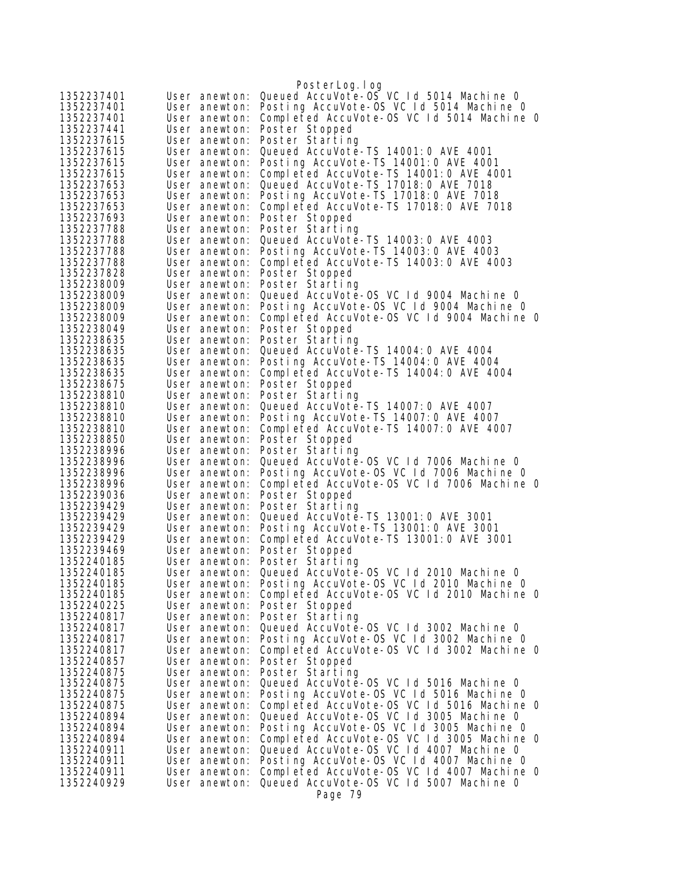| 1352237401<br>User anewton:                                | PosterLog.log<br>Queued AccuVote-OS VC 1d 5014 Machine 0                            |
|------------------------------------------------------------|-------------------------------------------------------------------------------------|
| 1352237401<br>User anewton:                                | Posting AccuVote-OS VC 1d 5014 Machine O                                            |
| 1352237401<br>User anewton:                                | Completed AccuVote-OS VC 1d 5014 Machine 0                                          |
| 1352237441<br>User anewton:                                | Poster Stopped                                                                      |
| 1352237615<br>User anewton:                                | Poster Starting                                                                     |
| 1352237615<br>User anewton:                                | Queued AccuVote-TS 14001:0 AVE 4001                                                 |
| 1352237615<br>User anewton:                                | Posting AccuVote-TS 14001:0 AVE 4001                                                |
| 1352237615<br>User anewton:                                | Completed AccuVote-TS 14001:0 AVE 4001                                              |
| 1352237653<br>User anewton:                                | Queued AccuVote-TS 17018: 0 AVE 7018                                                |
| 1352237653<br>User anewton:                                | Posting AccuVote-TS 17018:0 AVE 7018                                                |
| 1352237653<br>User anewton:                                | Completed AccuVote-TS 17018:0 AVE 7018                                              |
| 1352237693<br>User anewton:                                | Poster Stopped                                                                      |
| 1352237788<br>User anewton:                                | Poster Starting                                                                     |
| 1352237788<br>User anewton:<br>1352237788<br>User anewton: | Queued AccuVote-TS 14003:0 AVE 4003<br>Posting AccuVote-TS 14003:0 AVE 4003         |
| 1352237788<br>User anewton:                                | Completed AccuVote-TS 14003:0 AVE 4003                                              |
| 1352237828<br>User anewton:                                | Poster Stopped                                                                      |
| 1352238009<br>User anewton:                                | Poster Starting                                                                     |
| 1352238009<br>User anewton:                                | Queued AccuVote-OS VC Id 9004 Machine 0                                             |
| 1352238009<br>User anewton:                                | Posting AccuVote-OS VC Id 9004 Machine O                                            |
| 1352238009<br>User anewton:                                | Completed AccuVote-OS VC 1d 9004 Machine 0                                          |
| 1352238049<br>User anewton:                                | Poster Stopped                                                                      |
| 1352238635<br>User anewton:                                | Poster Starting                                                                     |
| 1352238635<br>User anewton:                                | Queued AccuVote-TS 14004: 0 AVE 4004                                                |
| 1352238635<br>User anewton:                                | Posting AccuVote-TS 14004: 0 AVE 4004                                               |
| 1352238635<br>User anewton:                                | Completed AccuVote-TS 14004:0 AVE 4004                                              |
| 1352238675<br>User anewton:                                | Poster Stopped                                                                      |
| 1352238810<br>User anewton:                                | Poster Starting                                                                     |
| 1352238810<br>User anewton:                                | Queued AccuVote-TS 14007:0 AVE 4007<br>Posting AccuVote-TS 14007:0 AVE 4007         |
| 1352238810<br>User anewton:<br>1352238810<br>User anewton: | Completed AccuVote-TS 14007:0 AVE 4007                                              |
| 1352238850<br>User anewton:                                | Poster Stopped                                                                      |
| 1352238996<br>User anewton:                                | Poster Starting                                                                     |
| 1352238996<br>User anewton:                                | Queued AccuVote-OS VC 1d 7006 Machine 0                                             |
| 1352238996<br>User anewton:                                | Posting AccuVote-OS VC 1d 7006 Machine 0                                            |
| 1352238996<br>User anewton:                                | Completed AccuVote-OS VC 1d 7006 Machine 0                                          |
| 1352239036<br>User anewton:                                | Poster Stopped                                                                      |
| 1352239429<br>User anewton:                                | Poster Starting                                                                     |
| 1352239429<br>User anewton:                                | Queued AccuVote-TS 13001:0 AVE 3001                                                 |
| 1352239429<br>User anewton:                                | Posting AccuVote-TS 13001:0 AVE 3001                                                |
| 1352239429<br>User anewton:                                | Completed AccuVote-TS 13001:0 AVE 3001                                              |
| 1352239469<br>User anewton:                                | Poster Stopped                                                                      |
| 1352240185<br>User anewton:<br>1352240185                  | Poster Starting<br>Queued AccuVote-0S VC Id 2010 Machine 0                          |
| User anewton:<br>1352240185<br>User anewton:               | Posting AccuVote-OS VC Id 2010 Machine O                                            |
| 1352240185<br>User anewton:                                | Completed AccuVote-0S VC 1d 2010 Machine 0                                          |
| 1352240225<br>User anewton:                                | Poster Stopped                                                                      |
| 1352240817<br>User anewton:                                | Poster Starting                                                                     |
| 1352240817<br>User anewton:                                | Queued AccuVote-OS VC 1d 3002 Machine 0                                             |
| 1352240817<br>User anewton:                                | Posting AccuVote-OS VC Id 3002 Machine 0                                            |
| 1352240817<br>User anewton:                                | Completed AccuVote-0S VC 1d 3002 Machine 0                                          |
| 1352240857<br>User anewton:                                | Poster Stopped                                                                      |
| 1352240875<br>User anewton:                                | Poster Starting                                                                     |
| 1352240875<br>User anewton:                                | Queued AccuVote-OS VC 1d 5016 Machine 0                                             |
| 1352240875<br>User anewton:                                | Posting AccuVote-OS VC 1d 5016 Machine 0                                            |
| 1352240875<br>User anewton:                                | Completed AccuVote-OS VC 1d 5016 Machine 0                                          |
| 1352240894<br>User anewton:                                | Queued AccuVote-OS VC 1d 3005 Machine 0<br>Posting AccuVote-OS VC 1d 3005 Machine 0 |
| 1352240894<br>User anewton:<br>1352240894<br>User anewton: | Completed AccuVote-OS VC 1d 3005 Machine 0                                          |
| 1352240911<br>User anewton:                                | Queued AccuVote-OS VC 1d 4007 Machine 0                                             |
| 1352240911<br>User anewton:                                | Posting AccuVote-OS VC 1d 4007 Machine 0                                            |
| 1352240911<br>User anewton:                                | Completed AccuVote-OS VC 1d 4007 Machine 0                                          |
| 1352240929<br>User anewton:                                | Queued AccuVote-OS VC 1d 5007 Machine 0                                             |
|                                                            | Page 79                                                                             |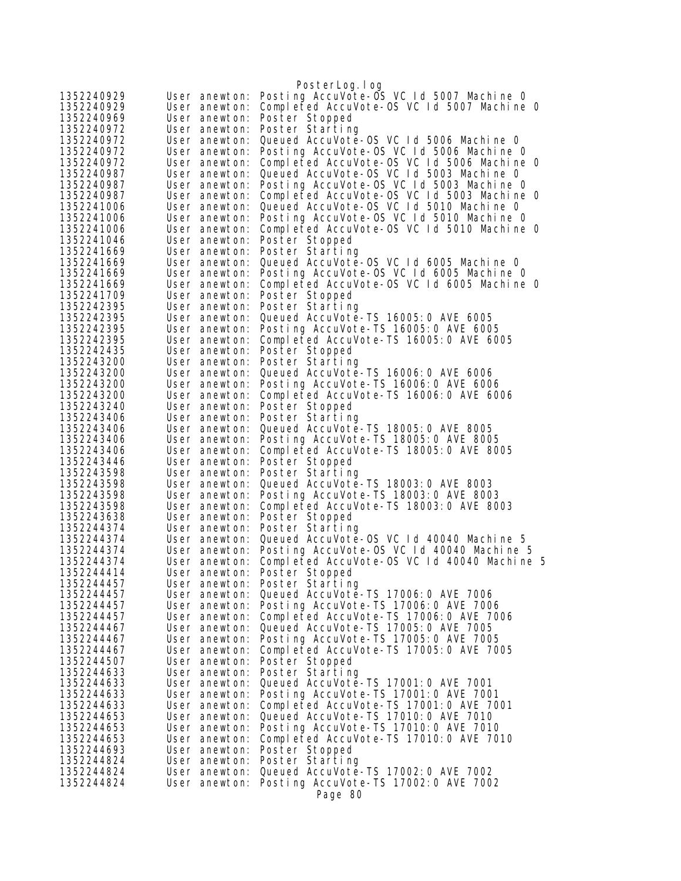|                          |                                | PosterLog.log                                                                  |
|--------------------------|--------------------------------|--------------------------------------------------------------------------------|
| 1352240929               | User anewton:                  | Posting AccuVote-OS VC 1d 5007 Machine 0                                       |
| 1352240929               | User anewton:                  | Completed AccuVote-OS VC 1d 5007 Machine 0                                     |
| 1352240969               | User anewton:                  | Poster Stopped                                                                 |
| 1352240972               | User anewton:                  | Poster Starting                                                                |
| 1352240972               | User anewton:                  | Queued AccuVote-OS VC 1d 5006 Machine 0                                        |
| 1352240972               | User anewton:                  | Posting AccuVote-OS VC 1d 5006 Machine 0                                       |
| 1352240972               | User anewton:                  | Completed AccuVote-OS VC 1d 5006 Machine 0                                     |
| 1352240987               | User anewton:                  | Queued AccuVote-OS VC 1d 5003 Machine 0                                        |
| 1352240987               | User anewton:                  | Posting AccuVote-OS VC 1d 5003 Machine 0                                       |
| 1352240987               | User anewton:                  | Completed AccuVote-OS VC Id 5003 Machine O                                     |
| 1352241006               | User anewton:                  | Queued AccuVote-OS VC Id 5010 Machine 0                                        |
| 1352241006               | User anewton:                  | Posting AccuVote-OS VC 1d 5010 Machine 0                                       |
| 1352241006               | User anewton:                  | Completed AccuVote-OS VC Id 5010 Machine O                                     |
| 1352241046               | User anewton:                  | Poster Stopped                                                                 |
| 1352241669<br>1352241669 | User anewton:                  | Poster Starting<br>Queued AccuVote-OS VC 1d 6005 Machine 0                     |
| 1352241669               | User anewton:<br>User anewton: | Posting AccuVote-OS VC 1d 6005 Machine O                                       |
| 1352241669               | User anewton:                  | Completed AccuVote-OS VC 1d 6005 Machine 0                                     |
| 1352241709               | User anewton:                  | Poster Stopped                                                                 |
| 1352242395               | User anewton:                  | Poster Starting                                                                |
| 1352242395               | User anewton:                  | Queued AccuVote-TS 16005: 0 AVE 6005                                           |
| 1352242395               | User anewton:                  | Posting AccuVote-TS 16005:0 AVE 6005                                           |
| 1352242395               | User anewton:                  | Completed AccuVote-TS 16005:0 AVE 6005                                         |
| 1352242435               | User anewton:                  | Poster Stopped                                                                 |
| 1352243200               | User anewton:                  | Poster Starting                                                                |
| 1352243200               | User anewton:                  | Queued AccuVote-TS 16006: 0 AVE 6006                                           |
| 1352243200               | User anewton:                  | Posting AccuVote-TS 16006: 0 AVE 6006                                          |
| 1352243200               | User anewton:                  | Completed AccuVote-TS 16006:0 AVE 6006                                         |
| 1352243240               | User anewton:                  | Poster Stopped                                                                 |
| 1352243406               | User anewton:                  | Poster Starting                                                                |
| 1352243406               | User anewton:                  | Queued AccuVote-TS 18005: 0 AVE 8005                                           |
| 1352243406               | User anewton:                  | Posting AccuVote-TS 18005: 0 AVE 8005                                          |
| 1352243406               | User anewton:                  | Completed AccuVote-TS 18005:0 AVE 8005                                         |
| 1352243446               | User anewton:                  | Poster Stopped                                                                 |
| 1352243598               | User anewton:                  | Poster Starting                                                                |
| 1352243598               | User anewton:                  | Queued AccuVote-TS 18003: 0 AVE 8003                                           |
| 1352243598<br>1352243598 | User anewton:<br>User anewton: | Posting AccuVote-TS 18003:0 AVE 8003<br>Completed AccuVote-TS 18003:0 AVE 8003 |
| 1352243638               | User anewton:                  | Poster Stopped                                                                 |
| 1352244374               | User anewton:                  | Poster Starting                                                                |
| 1352244374               | User anewton:                  | Queued AccuVote-OS VC 1d 40040 Machine 5                                       |
| 1352244374               | User anewton:                  | Posting AccuVote-OS VC 1d 40040 Machine 5                                      |
| 1352244374               | User anewton:                  | Completed AccuVote-OS VC 1d 40040 Machine 5                                    |
| 1352244414               | User anewton:                  | Poster Stopped                                                                 |
| 1352244457               |                                | User anewton: Poster Starting                                                  |
| 1352244457               | User anewton:                  | Queued AccuVote-TS 17006: 0 AVE 7006                                           |
| 1352244457               | User anewton:                  | Posting AccuVote-TS 17006: 0 AVE 7006                                          |
| 1352244457               | User anewton:                  | Completed AccuVote-TS 17006:0 AVE 7006                                         |
| 1352244467               | User anewton:                  | Queued AccuVote-TS 17005: 0 AVE 7005                                           |
| 1352244467               | User anewton:                  | Posting AccuVote-TS 17005:0 AVE 7005                                           |
| 1352244467               | User anewton:                  | Completed AccuVote-TS 17005:0 AVE 7005                                         |
| 1352244507               | User anewton:                  | Poster Stopped                                                                 |
| 1352244633               | User anewton:                  | Poster Starting                                                                |
| 1352244633               | User anewton:                  | Queued AccuVote-TS 17001:0 AVE 7001                                            |
| 1352244633               | User anewton:                  | Posting AccuVote-TS 17001:0 AVE 7001                                           |
| 1352244633               | User anewton:                  | Completed AccuVote-TS 17001:0 AVE 7001                                         |
| 1352244653<br>1352244653 | User anewton:                  | Queued AccuVote-TS 17010: 0 AVE 7010<br>Posting AccuVote-TS 17010: 0 AVE 7010  |
| 1352244653               | User anewton:<br>User anewton: | Completed AccuVote-TS 17010: 0 AVE 7010                                        |
| 1352244693               | User anewton:                  | Poster Stopped                                                                 |
| 1352244824               | User anewton:                  | Poster Starting                                                                |
| 1352244824               | User anewton:                  | Queued AccuVote-TS 17002: 0 AVE 7002                                           |
| 1352244824               | User anewton:                  | Posting AccuVote-TS 17002:0 AVE 7002                                           |
|                          |                                | Page 80                                                                        |
|                          |                                |                                                                                |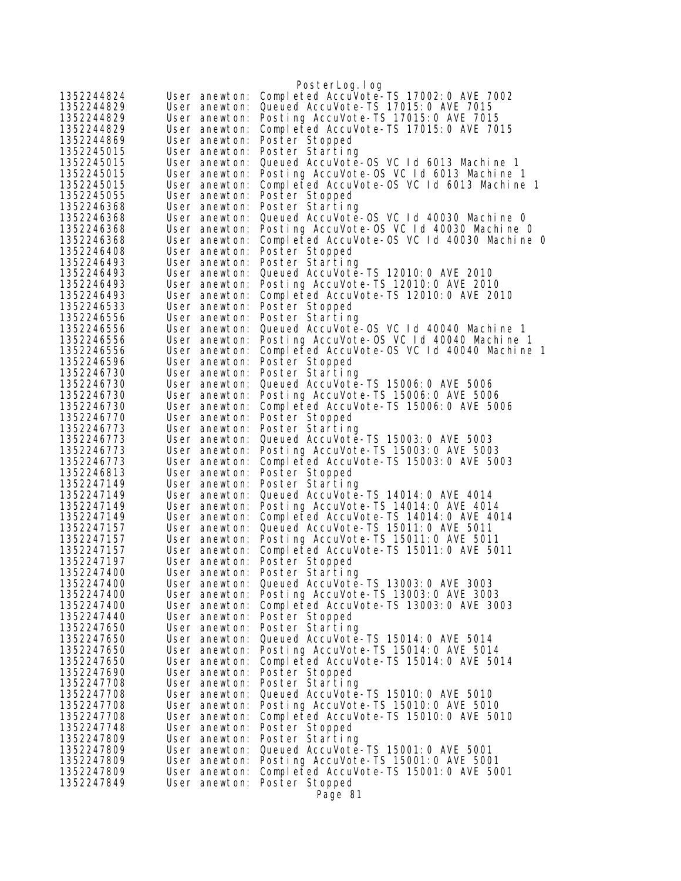| 1352244824               | User anewton:                  | PosterLog.log<br>Completed AccuVote-TS 17002: 0 AVE 7002                       |
|--------------------------|--------------------------------|--------------------------------------------------------------------------------|
| 1352244829               | User anewton:                  | Queued AccuVote-TS 17015: 0 AVE 7015                                           |
| 1352244829               | User anewton:                  | Posting AccuVote-TS 17015:0 AVE 7015                                           |
| 1352244829               | User anewton:                  | Completed AccuVote-TS 17015:0 AVE 7015                                         |
| 1352244869               | User anewton:                  | Poster Stopped                                                                 |
| 1352245015               | User anewton:                  | Poster Starting                                                                |
| 1352245015               | User anewton:                  | Queued AccuVote-OS VC 1d 6013 Machine 1                                        |
| 1352245015               | User anewton:                  | Posting AccuVote-OS VC Id 6013 Machine 1                                       |
| 1352245015               | User anewton:                  | Completed AccuVote-OS VC 1d 6013 Machine 1                                     |
| 1352245055               | User anewton:                  | Poster Stopped                                                                 |
| 1352246368               | User anewton:                  | Poster Starting                                                                |
| 1352246368               | User anewton:                  | Queued AccuVote-OS VC 1d 40030 Machine 0                                       |
| 1352246368               | User anewton:                  | Posting AccuVote-OS VC 1d 40030 Machine 0                                      |
| 1352246368               | User anewton:                  | Completed AccuVote-OS VC 1d 40030 Machine 0                                    |
| 1352246408               | User anewton:                  | Poster Stopped                                                                 |
| 1352246493               | User anewton:                  | Poster Starting                                                                |
| 1352246493               | User anewton:                  | Queued AccuVote-TS 12010: 0 AVE 2010                                           |
| 1352246493               | User anewton:                  | Posting AccuVote-TS 12010: 0 AVE 2010                                          |
| 1352246493               | User anewton:                  | Completed AccuVote-TS 12010:0 AVE 2010                                         |
| 1352246533<br>1352246556 | User anewton:                  | Poster Stopped<br>Poster Starting                                              |
| 1352246556               | User anewton:<br>User anewton: | Queued AccuVote-0S VC Id 40040 Machine 1                                       |
| 1352246556               | User anewton:                  | Posting AccuVote-OS VC Id 40040 Machine 1                                      |
| 1352246556               | User anewton:                  | Completed AccuVote-OS VC Id 40040 Machine 1                                    |
| 1352246596               | User anewton:                  | Poster Stopped                                                                 |
| 1352246730               | User anewton:                  | Poster Starting                                                                |
| 1352246730               | User anewton:                  | Queued AccuVote-TS 15006: 0 AVE 5006                                           |
| 1352246730               | User anewton:                  | Posting AccuVote-TS 15006:0 AVE 5006                                           |
| 1352246730               | User anewton:                  | Completed AccuVote-TS 15006:0 AVE 5006                                         |
| 1352246770               | User anewton:                  | Poster Stopped                                                                 |
| 1352246773               | User anewton:                  | Poster Starting                                                                |
| 1352246773               | User anewton:                  | Queued AccuVote-TS 15003: 0 AVE 5003                                           |
| 1352246773               | User anewton:                  | Posting AccuVote-TS 15003:0 AVE 5003                                           |
| 1352246773               | User anewton:                  | Completed AccuVote-TS 15003:0 AVE 5003                                         |
| 1352246813               | User anewton:                  | Poster Stopped                                                                 |
| 1352247149               | User anewton:                  | Poster Starting                                                                |
| 1352247149               | User anewton:                  | Queued AccuVote-TS 14014: 0 AVE 4014                                           |
| 1352247149               | User anewton:                  | Posting AccuVote-TS 14014: 0 AVE 4014                                          |
| 1352247149               | User anewton:                  | Completed AccuVote-TS 14014: 0 AVE 4014                                        |
| 1352247157<br>1352247157 | User anewton:<br>User anewton: | Queued AccuVote-TS 15011:0 AVE 5011<br>Posting AccuVote-TS 15011:0 AVE 5011    |
| 1352247157               | User anewton:                  | Completed AccuVote-TS 15011:0 AVE 5011                                         |
| 1352247197               | User anewton:                  | Poster Stopped                                                                 |
| 1352247400               |                                | User anewton: Poster Starting                                                  |
| 1352247400               |                                | User anewton: Queued AccuVote-TS 13003:0 AVE 3003                              |
| 1352247400               |                                | User anewton: Posting AccuVote-TS 13003:0 AVE 3003                             |
| 1352247400               |                                | User anewton: Completed AccuVote-TS 13003: 0 AVE 3003                          |
| 1352247440               | User anewton:                  | Poster Stopped                                                                 |
| 1352247650               | User anewton:                  | Poster Starting                                                                |
| 1352247650               | User anewton:                  | Queued AccuVote-TS 15014: 0 AVE 5014                                           |
| 1352247650               | User anewton:                  | Posting AccuVote-TS 15014:0 AVE 5014                                           |
| 1352247650               | User anewton:                  | Completed AccuVote-TS 15014:0 AVE 5014                                         |
| 1352247690               | User anewton:                  | Poster Stopped                                                                 |
| 1352247708               | User anewton:                  | Poster Starting                                                                |
| 1352247708               | User anewton:                  | Queued AccuVote-TS 15010: 0 AVE 5010                                           |
| 1352247708               | User anewton:                  | Posting AccuVote-TS 15010:0 AVE 5010                                           |
| 1352247708               | User anewton:                  | Completed AccuVote-TS 15010:0 AVE 5010                                         |
| 1352247748               | User anewton:                  | Poster Stopped                                                                 |
| 1352247809               | User anewton:                  | Poster Starting                                                                |
| 1352247809<br>1352247809 | User anewton:<br>User anewton: | Queued AccuVote-TS 15001:0 AVE 5001                                            |
| 1352247809               | User anewton:                  | Posting AccuVote-TS 15001:0 AVE 5001<br>Completed AccuVote-TS 15001:0 AVE 5001 |
| 1352247849               | User anewton:                  | Poster Stopped                                                                 |
|                          |                                |                                                                                |
|                          |                                | Page 81                                                                        |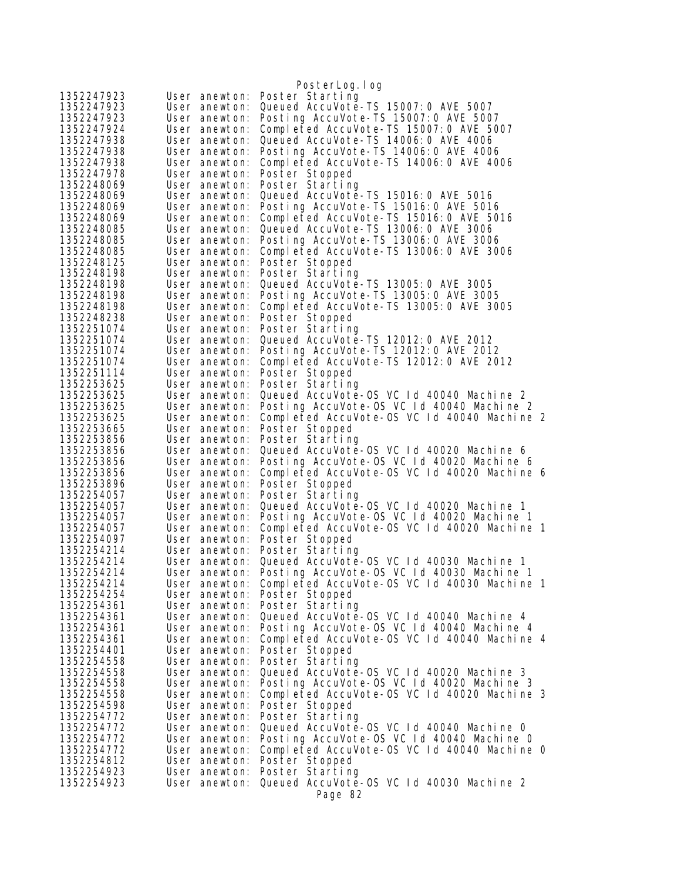|                          |                                | PosterLog.log                                                                                       |
|--------------------------|--------------------------------|-----------------------------------------------------------------------------------------------------|
| 1352247923               | User anewton:                  | Poster Starting                                                                                     |
| 1352247923               | User anewton:                  | Queued AccuVote-TS 15007: 0 AVE 5007                                                                |
| 1352247923               | User anewton:                  | Posting AccuVote-TS 15007:0 AVE 5007                                                                |
| 1352247924               | User anewton:                  | Completed AccuVote-TS 15007:0 AVE 5007                                                              |
| 1352247938               | User anewton:                  | Queued AccuVote-TS 14006:0 AVE 4006                                                                 |
| 1352247938               | User anewton:                  | Posting AccuVote-TS 14006:0 AVE 4006                                                                |
| 1352247938               | User anewton:                  | Completed AccuVote-TS 14006:0 AVE 4006                                                              |
| 1352247978               | User anewton:                  | Poster Stopped                                                                                      |
| 1352248069               | User anewton:                  | Poster Starting                                                                                     |
| 1352248069               | User anewton:                  | Queued AccuVote-TS 15016: 0 AVE 5016                                                                |
| 1352248069               | User anewton:                  | Posting AccuVote-TS 15016:0 AVE 5016                                                                |
| 1352248069<br>1352248085 | User anewton:<br>User anewton: | Completed AccuVote-TS 15016:0 AVE 5016<br>Queued AccuVote-TS 13006: 0 AVE 3006                      |
| 1352248085               | User anewton:                  | Posting AccuVote-TS 13006:0 AVE 3006                                                                |
| 1352248085               | User anewton:                  | Completed AccuVote-TS 13006:0 AVE 3006                                                              |
| 1352248125               | User anewton:                  | Poster Stopped                                                                                      |
| 1352248198               | User anewton:                  | Poster Starting                                                                                     |
| 1352248198               | User anewton:                  | Queued AccuVote-TS 13005: 0 AVE 3005                                                                |
| 1352248198               | User anewton:                  | Posting AccuVote-TS 13005:0 AVE 3005                                                                |
| 1352248198               | User anewton:                  | Completed AccuVote-TS 13005:0 AVE 3005                                                              |
| 1352248238               | User anewton:                  | Poster Stopped                                                                                      |
| 1352251074               | User anewton:                  | Poster Starting                                                                                     |
| 1352251074               | User anewton:                  | Queued AccuVote-TS 12012: 0 AVE 2012                                                                |
| 1352251074               | User anewton:                  | Posting AccuVote-TS 12012:0 AVE 2012                                                                |
| 1352251074               | User anewton:                  | Completed AccuVote-TS 12012:0 AVE 2012                                                              |
| 1352251114               | User anewton:                  | Poster Stopped                                                                                      |
| 1352253625               | User anewton:                  | Poster Starting                                                                                     |
| 1352253625               | User anewton:                  | Queued AccuVote-0S VC 1d 40040 Machine 2<br>Posting AccuVote-OS VC Id 40040 Machine 2               |
| 1352253625<br>1352253625 | User anewton:<br>User anewton: | Completed AccuVote-OS VC 1d 40040 Machine 2                                                         |
| 1352253665               | User anewton:                  | Poster Stopped                                                                                      |
| 1352253856               | User anewton:                  | Poster Starting                                                                                     |
| 1352253856               | User anewton:                  | Queued AccuVote-0S VC 1d 40020 Machine 6                                                            |
| 1352253856               | User anewton:                  | Posting AccuVote-OS VC 1d 40020 Machine 6                                                           |
| 1352253856               | User anewton:                  | Completed AccuVote-OS VC 1d 40020 Machine 6                                                         |
| 1352253896               | User anewton:                  | Poster Stopped                                                                                      |
| 1352254057               | User anewton:                  | Poster Starting                                                                                     |
| 1352254057               | User anewton:                  | Queued AccuVote-0S VC 1d 40020 Machine 1                                                            |
| 1352254057               | User anewton:                  | Posting AccuVote-OS VC Id 40020 Machine 1                                                           |
| 1352254057               | User anewton:                  | Completed AccuVote-OS VC 1d 40020 Machine 1                                                         |
| 1352254097               | User anewton:                  | Poster Stopped                                                                                      |
| 1352254214               | User anewton:                  | Poster Starting                                                                                     |
| 1352254214<br>1352254214 | User anewton:                  | Queued AccuVote-OS VC 1d 40030 Machine 1<br>User anewton: Posting AccuVote-OS VC Id 40030 Machine 1 |
| 1352254214               | User anewton:                  | Completed AccuVote-OS VC 1d 40030 Machine 1                                                         |
| 1352254254               | User anewton:                  | Poster Stopped                                                                                      |
| 1352254361               | User anewton:                  | Poster Starting                                                                                     |
| 1352254361               | User anewton:                  | Queued AccuVote-OS VC 1d 40040 Machine 4                                                            |
| 1352254361               | User anewton:                  | Posting AccuVote-OS VC 1d 40040 Machine 4                                                           |
| 1352254361               | User anewton:                  | Completed AccuVote-OS VC 1d 40040 Machine 4                                                         |
| 1352254401               | User anewton:                  | Poster Stopped                                                                                      |
| 1352254558               | User anewton:                  | Poster Starting                                                                                     |
| 1352254558               | User anewton:                  | Queued AccuVote-0S VC 1d 40020 Machine 3                                                            |
| 1352254558               | User anewton:                  | Posting AccuVote-OS VC 1d 40020 Machine 3                                                           |
| 1352254558               | User anewton:                  | Completed AccuVote-OS VC 1d 40020 Machine 3                                                         |
| 1352254598               | User anewton:                  | Poster Stopped                                                                                      |
| 1352254772               | User anewton:                  | Poster Starting                                                                                     |
| 1352254772<br>1352254772 | User anewton:<br>User anewton: | Queued AccuVote-0S VC 1d 40040 Machine 0<br>Posting AccuVote-OS VC Id 40040 Machine 0               |
| 1352254772               | User anewton:                  | Completed AccuVote-OS VC 1d 40040 Machine 0                                                         |
| 1352254812               | User anewton:                  | Poster Stopped                                                                                      |
| 1352254923               |                                | User anewton: Poster Starting                                                                       |
| 1352254923               | User anewton:                  | Queued AccuVote-0S VC 1d 40030 Machine 2                                                            |
|                          |                                | Page 82                                                                                             |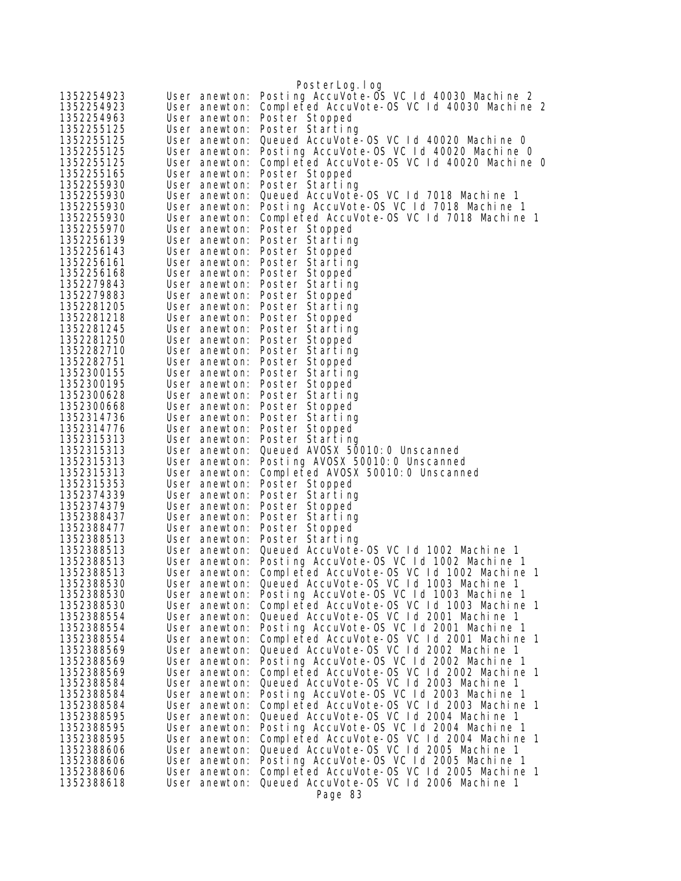|                          |                                | PosterLog. I og                                                                        |
|--------------------------|--------------------------------|----------------------------------------------------------------------------------------|
| 1352254923               | User anewton:                  | Posting AccuVote-OS VC 1d 40030 Machine 2                                              |
| 1352254923               | User anewton:                  | Completed AccuVote-OS VC 1d 40030 Machine 2                                            |
| 1352254963               | User anewton:                  | Poster Stopped                                                                         |
| 1352255125               | User anewton:                  | Poster Starting                                                                        |
| 1352255125               | User anewton:                  | Queued AccuVote-OS VC 1d 40020 Machine 0                                               |
| 1352255125               | User anewton:                  | Posting AccuVote-OS VC 1d 40020 Machine 0                                              |
| 1352255125               | User anewton:                  | Completed AccuVote-OS VC 1d 40020 Machine 0                                            |
| 1352255165               | User anewton:                  | Poster Stopped                                                                         |
| 1352255930               | User anewton:                  | Poster Starting                                                                        |
| 1352255930               | User anewton:                  | Queued AccuVote-0S VC 1d 7018 Machine 1                                                |
| 1352255930               |                                | User anewton: Posting AccuVote-OS VC 1d 7018 Machine 1                                 |
| 1352255930               | User anewton:                  | Completed AccuVote-OS VC 1d 7018 Machine 1                                             |
| 1352255970               | User anewton:                  | Poster Stopped                                                                         |
| 1352256139               | User anewton:                  | Poster Starting                                                                        |
| 1352256143               | User anewton:                  | Poster Stopped                                                                         |
| 1352256161               |                                | User anewton: Poster Starting                                                          |
| 1352256168               |                                | User anewton: Poster Stopped                                                           |
| 1352279843               | User anewton:                  | Poster Starting                                                                        |
| 1352279883               | User anewton:                  | Poster Stopped                                                                         |
| 1352281205               | User anewton:                  | Poster Starting                                                                        |
| 1352281218               |                                | User anewton: Poster Stopped                                                           |
| 1352281245               |                                | User anewton: Poster Starting                                                          |
| 1352281250               |                                | User anewton: Poster Stopped                                                           |
| 1352282710               | User anewton:                  | Poster Starting                                                                        |
| 1352282751               | User anewton:                  | Poster Stopped                                                                         |
| 1352300155<br>1352300195 | User anewton:                  | Poster Starting                                                                        |
| 1352300628               | User anewton:<br>User anewton: | Poster Stopped<br>Poster Starting                                                      |
| 1352300668               |                                | User anewton: Poster Stopped                                                           |
| 1352314736               | User anewton:                  | Poster Starting                                                                        |
| 1352314776               | User anewton:                  | Poster Stopped                                                                         |
| 1352315313               |                                | User anewton: Poster Starting                                                          |
| 1352315313               | User anewton:                  | Queued AVOSX 50010: 0 Unscanned                                                        |
| 1352315313               | User anewton:                  | Posting AVOSX 50010:0 Unscanned                                                        |
| 1352315313               | User anewton:                  | Completed AVOSX 50010:0 Unscanned                                                      |
| 1352315353               | User anewton:                  | Poster Stopped                                                                         |
| 1352374339               | User anewton:                  | Poster Starting                                                                        |
| 1352374379               | User anewton:                  | Poster Stopped                                                                         |
| 1352388437               | User anewton:                  | Poster Starting                                                                        |
| 1352388477               |                                | User anewton: Poster Stopped                                                           |
| 1352388513               |                                | User anewton: Poster Starting                                                          |
| 1352388513               | User anewton:                  | Queued AccuVote-0S VC 1d 1002 Machine 1                                                |
| 1352388513               | User anewton:                  | Posting AccuVote-OS VC 1d 1002 Machine 1                                               |
| 1352388513               |                                | User anewton: Completed AccuVote-OS VC 1d 1002 Machine 1                               |
| 1352388530               | User anewton:                  | Queued AccuVote-0S VC 1d 1003 Machine 1                                                |
| 1352388530               | User anewton:                  | Posting AccuVote-OS VC 1d 1003 Machine 1                                               |
| 1352388530               | User anewton:                  | Completed AccuVote-OS VC 1d 1003 Machine 1                                             |
| 1352388554               | User anewton:                  | Queued AccuVote-OS VC Id 2001 Machine 1                                                |
| 1352388554<br>1352388554 | User anewton:<br>User anewton: | Posting AccuVote-OS VC Id 2001 Machine 1<br>Completed AccuVote-OS VC 1d 2001 Machine 1 |
| 1352388569               |                                | Queued AccuVote-OS VC Id 2002 Machine 1                                                |
| 1352388569               | User anewton:<br>User anewton: | Posting AccuVote-OS VC 1d 2002 Machine 1                                               |
| 1352388569               | User anewton:                  | Completed AccuVote-OS VC 1d 2002 Machine 1                                             |
| 1352388584               | User anewton:                  | Queued AccuVote-OS VC 1d 2003 Machine 1                                                |
| 1352388584               | User anewton:                  | Posting AccuVote-OS VC 1d 2003 Machine 1                                               |
| 1352388584               | User anewton:                  | Completed AccuVote-OS VC 1d 2003 Machine 1                                             |
| 1352388595               | User anewton:                  | Queued AccuVote-OS VC 1d 2004 Machine 1                                                |
| 1352388595               | User anewton:                  | Posting AccuVote-OS VC 1d 2004 Machine 1                                               |
| 1352388595               | User anewton:                  | Completed AccuVote-OS VC Id 2004 Machine 1                                             |
| 1352388606               | User anewton:                  | Queued AccuVote-OS VC 1d 2005 Machine 1                                                |
| 1352388606               | User anewton:                  | Posting AccuVote-OS VC 1d 2005 Machine 1                                               |
| 1352388606               | User anewton:                  | Completed AccuVote-0S VC 1d 2005 Machine 1                                             |
| 1352388618               | User anewton:                  | Queued AccuVote-OS VC 1d 2006 Machine 1                                                |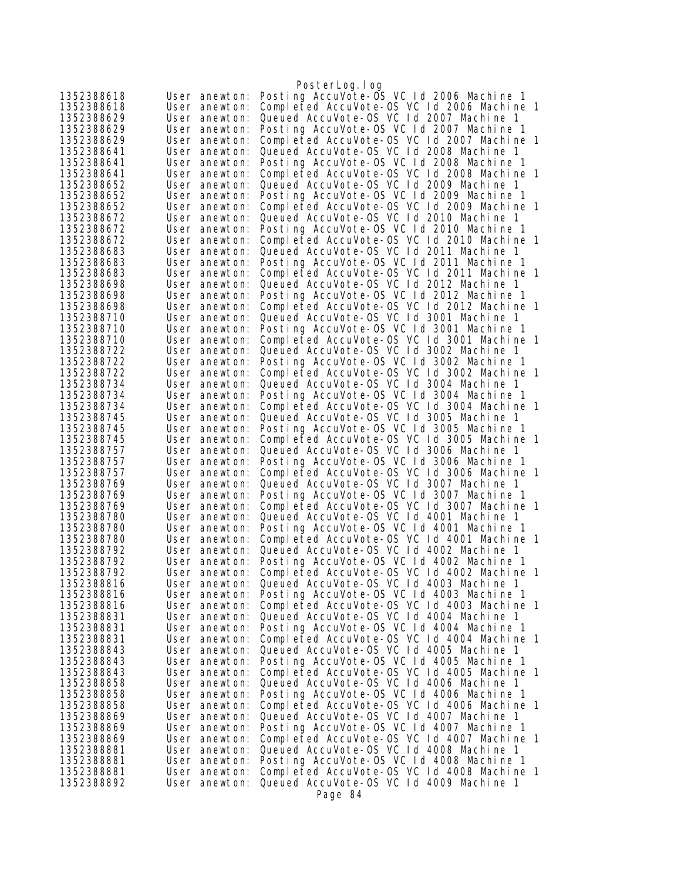|                          |                                | PosterLog.log                                                                          |
|--------------------------|--------------------------------|----------------------------------------------------------------------------------------|
| 1352388618               | User anewton:                  | Posting AccuVote-OS VC 1d 2006 Machine 1                                               |
| 1352388618               | User anewton:                  | Completed AccuVote-OS VC Id 2006 Machine 1                                             |
| 1352388629               | User anewton:                  | Queued AccuVote-OS VC 1d 2007 Machine 1                                                |
| 1352388629               | User anewton:                  | Posting AccuVote-OS VC Id 2007 Machine 1                                               |
| 1352388629               | User anewton:                  | Completed AccuVote-0S VC 1d 2007 Machine 1                                             |
| 1352388641               | User anewton:                  | Queued AccuVote-0S VC 1d 2008 Machine 1                                                |
| 1352388641               | User anewton:                  | Posting AccuVote-OS VC Id 2008 Machine 1                                               |
| 1352388641               | User anewton:                  | Completed AccuVote-OS VC 1d 2008 Machine 1                                             |
| 1352388652               | User anewton:<br>User anewton: | Queued AccuVote-OS VC Id 2009 Machine 1<br>Posting AccuVote-OS VC Id 2009 Machine 1    |
| 1352388652<br>1352388652 | User anewton:                  | Completed AccuVote-OS VC 1d 2009 Machine 1                                             |
| 1352388672               | User anewton:                  | Queued AccuVote-0S VC Id 2010 Machine 1                                                |
| 1352388672               | User anewton:                  | Posting AccuVote-OS VC 1d 2010 Machine 1                                               |
| 1352388672               | User anewton:                  | Completed AccuVote-OS VC 1d 2010 Machine 1                                             |
| 1352388683               | User anewton:                  | Queued AccuVote-OS VC Id 2011 Machine 1                                                |
| 1352388683               | User anewton:                  | Posting AccuVote-OS VC Id 2011 Machine 1                                               |
| 1352388683               | User anewton:                  | Completed AccuVote-OS VC Id 2011 Machine 1                                             |
| 1352388698               | User anewton:                  | Queued AccuVote-OS VC Id 2012 Machine 1                                                |
| 1352388698               | User anewton:                  | Posting AccuVote-OS VC 1d 2012 Machine 1                                               |
| 1352388698               | User anewton:                  | Completed AccuVote-OS VC 1d 2012 Machine 1                                             |
| 1352388710               | User anewton:                  | Queued AccuVote-OS VC Id 3001 Machine 1                                                |
| 1352388710               | User anewton:                  | Posting AccuVote-OS VC Id 3001 Machine 1                                               |
| 1352388710               | User anewton:                  | Completed AccuVote-OS VC 1d 3001 Machine 1                                             |
| 1352388722               | User anewton:                  | Queued AccuVote-OS VC 1d 3002 Machine 1                                                |
| 1352388722               | User anewton:                  | Posting AccuVote-OS VC Id 3002 Machine 1                                               |
| 1352388722               | User anewton:                  | Completed AccuVote-OS VC Id 3002 Machine 1                                             |
| 1352388734               | User anewton:<br>User anewton: | Queued AccuVote-OS VC Id 3004 Machine 1<br>Posting AccuVote-OS VC Id 3004 Machine 1    |
| 1352388734<br>1352388734 | User anewton:                  | Completed AccuVote-OS VC 1d 3004 Machine 1                                             |
| 1352388745               | User anewton:                  | Queued AccuVote-OS VC Id 3005 Machine 1                                                |
| 1352388745               | User anewton:                  | Posting AccuVote-OS VC 1d 3005 Machine 1                                               |
| 1352388745               | User anewton:                  | Completed AccuVote-OS VC 1d 3005 Machine 1                                             |
| 1352388757               | User anewton:                  | Queued AccuVote-OS VC Id 3006 Machine 1                                                |
| 1352388757               | User anewton:                  | Posting AccuVote-OS VC Id 3006 Machine 1                                               |
| 1352388757               | User anewton:                  | Completed AccuVote-OS VC 1d 3006 Machine 1                                             |
| 1352388769               | User anewton:                  | Queued AccuVote-OS VC 1d 3007 Machine 1                                                |
| 1352388769               | User anewton:                  | Posting AccuVote-OS VC Id 3007 Machine 1                                               |
| 1352388769               | User anewton:                  | Completed AccuVote-OS VC 1d 3007 Machine 1                                             |
| 1352388780               | User anewton:                  | Queued AccuVote-OS VC 1d 4001 Machine 1                                                |
| 1352388780               | User anewton:                  | Posting AccuVote-OS VC 1d 4001 Machine 1                                               |
| 1352388780               | User anewton:                  | Completed AccuVote-OS VC 1d 4001 Machine 1                                             |
| 1352388792               | User anewton:                  | Queued AccuVote-OS VC Id 4002 Machine 1                                                |
| 1352388792<br>1352388792 | User anewton:<br>User anewton: | Posting AccuVote-OS VC 1d 4002 Machine 1<br>Completed AccuVote-OS VC 1d 4002 Machine 1 |
| 1352388816               | User anewton:                  | Queued AccuVote-OS VC 1d 4003 Machine 1                                                |
| 1352388816               | User anewton:                  | Posting AccuVote-OS VC 1d 4003 Machine 1                                               |
| 1352388816               | User anewton:                  | Completed AccuVote-OS VC 1d 4003 Machine 1                                             |
| 1352388831               | User anewton:                  | Queued AccuVote-OS VC 1d 4004 Machine 1                                                |
| 1352388831               | User anewton:                  | Posting AccuVote-OS VC 1d 4004 Machine 1                                               |
| 1352388831               | User anewton:                  | Completed AccuVote-OS VC 1d 4004 Machine 1                                             |
| 1352388843               | User anewton:                  | Queued AccuVote-OS VC Id 4005 Machine 1                                                |
| 1352388843               | User anewton:                  | Posting AccuVote-OS VC 1d 4005 Machine 1                                               |
| 1352388843               | User anewton:                  | Completed AccuVote-0S VC 1d 4005 Machine 1                                             |
| 1352388858               | User anewton:                  | Queued AccuVote-OS VC 1d 4006 Machine 1                                                |
| 1352388858               | User anewton:                  | Posting AccuVote-OS VC 1d 4006 Machine 1                                               |
| 1352388858               | User anewton:                  | Completed AccuVote-OS VC 1d 4006 Machine 1                                             |
| 1352388869               | User anewton:                  | Queued AccuVote-OS VC 1d 4007 Machine 1                                                |
| 1352388869               | User anewton:                  | Posting AccuVote-OS VC 1d 4007 Machine 1<br>Completed AccuVote-OS VC 1d 4007 Machine 1 |
| 1352388869<br>1352388881 | User anewton:<br>User anewton: | Queued AccuVote-OS VC Id 4008 Machine 1                                                |
| 1352388881               | User anewton:                  | Posting AccuVote-OS VC Id 4008 Machine 1                                               |
| 1352388881               | User anewton:                  | Completed AccuVote-OS VC Id 4008 Machine 1                                             |
| 1352388892               | User anewton:                  | Queued AccuVote-OS VC 1d 4009 Machine 1                                                |
|                          |                                | Page 84                                                                                |
|                          |                                |                                                                                        |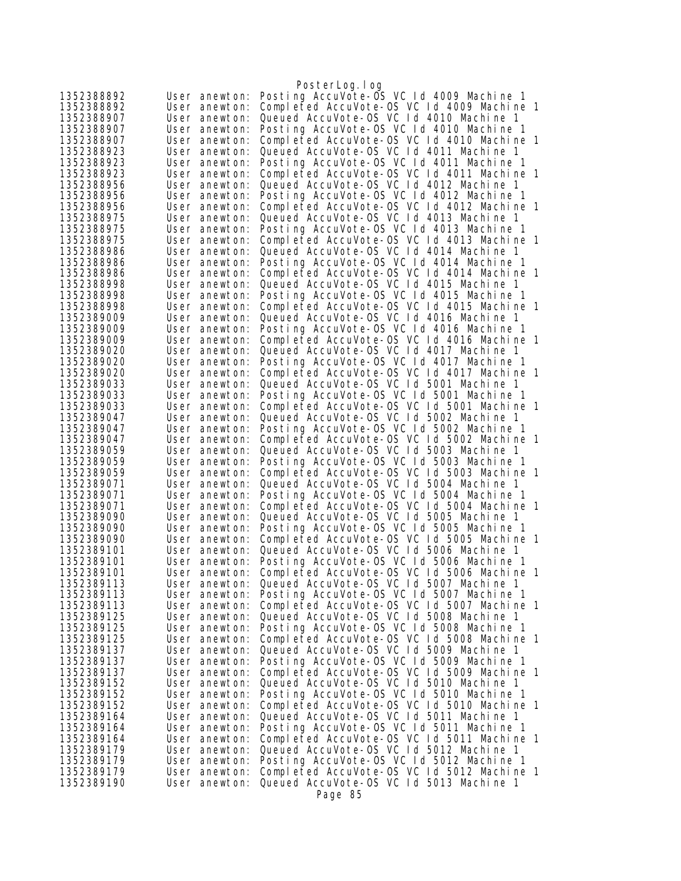|                          |                                | PosterLog.log                                                                          |
|--------------------------|--------------------------------|----------------------------------------------------------------------------------------|
| 1352388892               | User anewton:                  | Posting AccuVote-OS VC 1d 4009 Machine 1                                               |
| 1352388892               | User anewton:                  | Completed AccuVote-OS VC 1d 4009 Machine 1                                             |
| 1352388907               | User anewton:                  | Queued AccuVote-OS VC 1d 4010 Machine 1                                                |
| 1352388907               | User anewton:                  | Posting AccuVote-OS VC 1d 4010 Machine 1                                               |
| 1352388907               | User anewton:                  | Completed AccuVote-OS VC 1d 4010 Machine 1                                             |
| 1352388923               | User anewton:                  | Queued AccuVote-OS VC 1d 4011 Machine 1                                                |
| 1352388923               | User anewton:                  | Posting AccuVote-OS VC Id 4011 Machine 1                                               |
| 1352388923               | User anewton:                  | Completed AccuVote-OS VC 1d 4011 Machine 1                                             |
| 1352388956               | User anewton:                  | Queued AccuVote-OS VC Id 4012 Machine 1                                                |
| 1352388956               | User anewton:                  | Posting AccuVote-OS VC 1d 4012 Machine 1                                               |
| 1352388956               | User anewton:                  | Completed AccuVote-OS VC 1d 4012 Machine 1                                             |
| 1352388975               | User anewton:                  | Queued AccuVote-OS VC Id 4013 Machine 1                                                |
| 1352388975               | User anewton:                  | Posting AccuVote-OS VC 1d 4013 Machine 1                                               |
| 1352388975               | User anewton:                  | Completed AccuVote-OS VC 1d 4013 Machine 1                                             |
| 1352388986               | User anewton:                  | Queued AccuVote-OS VC 1d 4014 Machine 1                                                |
| 1352388986               | User anewton:                  | Posting AccuVote-OS VC 1d 4014 Machine 1                                               |
| 1352388986               | User anewton:                  | Completed AccuVote-OS VC Id 4014 Machine 1                                             |
| 1352388998               | User anewton:                  | Queued AccuVote-OS VC 1d 4015 Machine 1                                                |
| 1352388998               | User anewton:                  | Posting AccuVote-OS VC 1d 4015 Machine 1<br>Completed AccuVote-OS VC 1d 4015 Machine 1 |
| 1352388998<br>1352389009 | User anewton:                  | Queued AccuVote-OS VC 1d 4016 Machine 1                                                |
| 1352389009               | User anewton:<br>User anewton: | Posting AccuVote-OS VC 1d 4016 Machine 1                                               |
| 1352389009               | User anewton:                  | Completed AccuVote-OS VC 1d 4016 Machine 1                                             |
| 1352389020               | User anewton:                  | Queued AccuVote-OS VC 1d 4017 Machine 1                                                |
| 1352389020               | User anewton:                  | Posting AccuVote-OS VC 1d 4017 Machine 1                                               |
| 1352389020               | User anewton:                  | Completed AccuVote-OS VC 1d 4017 Machine 1                                             |
| 1352389033               | User anewton:                  | Queued AccuVote-0S VC 1d 5001 Machine 1                                                |
| 1352389033               | User anewton:                  | Posting AccuVote-OS VC Id 5001 Machine 1                                               |
| 1352389033               | User anewton:                  | Completed AccuVote-OS VC 1d 5001 Machine 1                                             |
| 1352389047               | User anewton:                  | Queued AccuVote-OS VC Id 5002 Machine 1                                                |
| 1352389047               | User anewton:                  | Posting AccuVote-OS VC 1d 5002 Machine 1                                               |
| 1352389047               | User anewton:                  | Completed AccuVote-OS VC 1d 5002 Machine 1                                             |
| 1352389059               | User anewton:                  | Queued AccuVote-OS VC Id 5003 Machine 1                                                |
| 1352389059               | User anewton:                  | Posting AccuVote-OS VC Id 5003 Machine 1                                               |
| 1352389059               | User anewton:                  | Completed AccuVote-OS VC 1d 5003 Machine 1                                             |
| 1352389071               | User anewton:                  | Queued AccuVote-OS VC 1d 5004 Machine 1                                                |
| 1352389071               | User anewton:                  | Posting AccuVote-OS VC 1d 5004 Machine 1                                               |
| 1352389071               | User anewton:                  | Completed AccuVote-OS VC 1d 5004 Machine 1                                             |
| 1352389090               | User anewton:                  | Queued AccuVote-0S VC 1d 5005 Machine 1                                                |
| 1352389090               | User anewton:                  | Posting AccuVote-OS VC 1d 5005 Machine 1                                               |
| 1352389090               | User anewton:                  | Completed AccuVote-OS VC 1d 5005 Machine 1                                             |
| 1352389101<br>1352389101 | User anewton:                  | Queued AccuVote-OS VC 1d 5006 Machine 1                                                |
|                          | User anewton:                  | Posting AccuVote-OS VC 1d 5006 Machine 1                                               |
| 1352389101<br>1352389113 | User anewton:<br>User anewton: | Completed AccuVote-OS VC 1d 5006 Machine 1<br>Queued AccuVote-0S VC 1d 5007 Machine 1  |
| 1352389113               | User anewton:                  | Posting AccuVote-OS VC Id 5007 Machine 1                                               |
| 1352389113               | User anewton:                  | Completed AccuVote-OS VC 1d 5007 Machine 1                                             |
| 1352389125               | User anewton:                  | Queued AccuVote-OS VC 1d 5008 Machine 1                                                |
| 1352389125               | User anewton:                  | Posting AccuVote-OS VC 1d 5008 Machine 1                                               |
| 1352389125               | User anewton:                  | Completed AccuVote-0S VC 1d 5008 Machine 1                                             |
| 1352389137               | User anewton:                  | Queued AccuVote-OS VC Id 5009 Machine 1                                                |
| 1352389137               | User anewton:                  | Posting AccuVote-OS VC 1d 5009 Machine 1                                               |
| 1352389137               | User anewton:                  | Completed AccuVote-0S VC 1d 5009 Machine 1                                             |
| 1352389152               | User anewton:                  | Queued AccuVote-0S VC 1d 5010 Machine 1                                                |
| 1352389152               | User anewton:                  | Posting AccuVote-OS VC Id 5010 Machine 1                                               |
| 1352389152               | User anewton:                  | Completed AccuVote-OS VC 1d 5010 Machine 1                                             |
| 1352389164               | User anewton:                  | Queued AccuVote-OS VC Id 5011 Machine 1                                                |
| 1352389164               | User anewton:                  | Posting AccuVote-OS VC 1d 5011 Machine 1                                               |
| 1352389164               | User anewton:                  | Completed AccuVote-OS VC Id 5011 Machine 1                                             |
| 1352389179               | User anewton:                  | Queued AccuVote-OS VC 1d 5012 Machine 1                                                |
| 1352389179               | User anewton:                  | Posting AccuVote-OS VC 1d 5012 Machine 1                                               |
| 1352389179               | User anewton:                  | Completed AccuVote-OS VC 1d 5012 Machine 1                                             |
| 1352389190               | User anewton:                  | Queued AccuVote-OS VC 1d 5013 Machine 1                                                |
|                          |                                | Page 85                                                                                |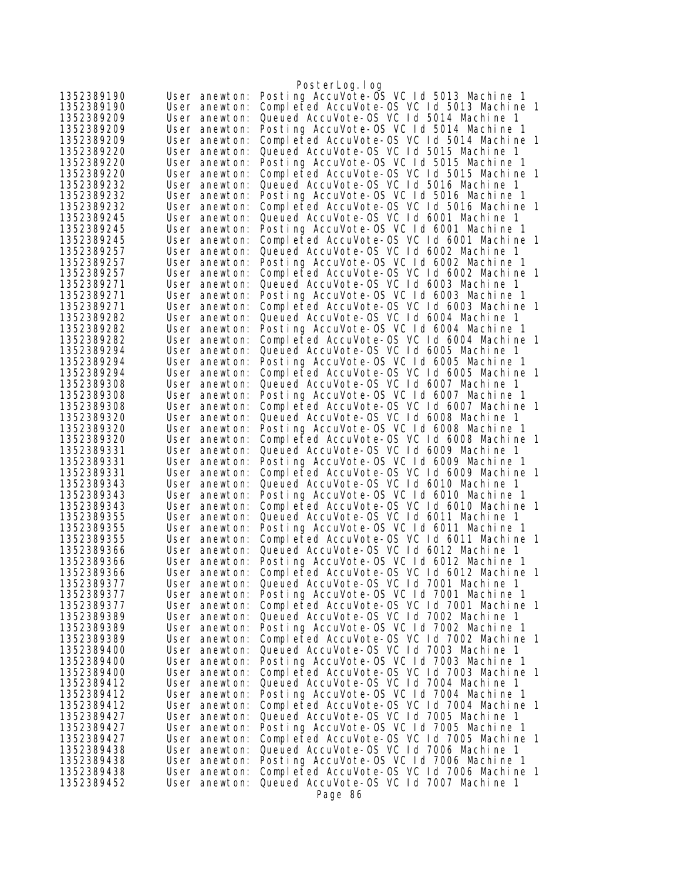|                          |                                | PosterLog.log                                                                          |  |
|--------------------------|--------------------------------|----------------------------------------------------------------------------------------|--|
| 1352389190               | User anewton:                  | Posting AccuVote-OS VC 1d 5013 Machine 1                                               |  |
| 1352389190               | User anewton:                  | Completed AccuVote-0S VC 1d 5013 Machine 1                                             |  |
| 1352389209               | User anewton:                  | Queued AccuVote-OS VC Id 5014 Machine 1                                                |  |
| 1352389209               | User anewton:                  | Posting AccuVote-OS VC 1d 5014 Machine 1                                               |  |
| 1352389209               | User anewton:                  | Completed AccuVote-OS VC 1d 5014 Machine 1                                             |  |
| 1352389220               | User anewton:                  | Queued AccuVote-OS VC Id 5015 Machine 1<br>Posting AccuVote-OS VC 1d 5015 Machine 1    |  |
| 1352389220<br>1352389220 | User anewton:<br>User anewton: | Completed AccuVote-OS VC 1d 5015 Machine 1                                             |  |
| 1352389232               | User anewton:                  | Queued AccuVote-OS VC Id 5016 Machine 1                                                |  |
| 1352389232               | User anewton:                  | Posting AccuVote-OS VC 1d 5016 Machine 1                                               |  |
| 1352389232               | User anewton:                  | Completed AccuVote-OS VC 1d 5016 Machine 1                                             |  |
| 1352389245               | User anewton:                  | Queued AccuVote-OS VC Id 6001 Machine 1                                                |  |
| 1352389245               | User anewton:                  | Posting AccuVote-OS VC 1d 6001 Machine 1                                               |  |
| 1352389245               | User anewton:                  | Completed AccuVote-0S VC 1d 6001 Machine 1                                             |  |
| 1352389257               | User anewton:                  | Queued AccuVote-0S VC 1d 6002 Machine 1                                                |  |
| 1352389257               | User anewton:                  | Posting AccuVote-OS VC Id 6002 Machine 1                                               |  |
| 1352389257               | User anewton:                  | Completed AccuVote-0S VC 1d 6002 Machine 1                                             |  |
| 1352389271               | User anewton:                  | Queued AccuVote-OS VC Id 6003 Machine 1                                                |  |
| 1352389271               | User anewton:                  | Posting AccuVote-OS VC 1d 6003 Machine 1                                               |  |
| 1352389271               | User anewton:                  | Completed AccuVote-OS VC 1d 6003 Machine 1<br>Queued AccuVote-OS VC 1d 6004 Machine 1  |  |
| 1352389282<br>1352389282 | User anewton:<br>User anewton: | Posting AccuVote-OS VC Id 6004 Machine 1                                               |  |
| 1352389282               | User anewton:                  | Completed AccuVote-0S VC 1d 6004 Machine 1                                             |  |
| 1352389294               | User anewton:                  | Queued AccuVote-OS VC 1d 6005 Machine 1                                                |  |
| 1352389294               | User anewton:                  | Posting AccuVote-OS VC 1d 6005 Machine 1                                               |  |
| 1352389294               | User anewton:                  | Completed AccuVote-OS VC 1d 6005 Machine 1                                             |  |
| 1352389308               | User anewton:                  | Queued AccuVote-OS VC Id 6007 Machine 1                                                |  |
| 1352389308               | User anewton:                  | Posting AccuVote-OS VC Id 6007 Machine 1                                               |  |
| 1352389308               | User anewton:                  | Completed AccuVote-OS VC 1d 6007 Machine 1                                             |  |
| 1352389320               | User anewton:                  | Queued AccuVote-0S VC 1d 6008 Machine 1                                                |  |
| 1352389320<br>1352389320 | User anewton:<br>User anewton: | Posting AccuVote-OS VC Id 6008 Machine 1<br>Completed AccuVote-0S VC 1d 6008 Machine 1 |  |
| 1352389331               | User anewton:                  | Queued AccuVote-OS VC 1d 6009 Machine 1                                                |  |
| 1352389331               | User anewton:                  | Posting AccuVote-OS VC 1d 6009 Machine 1                                               |  |
| 1352389331               | User anewton:                  | Completed AccuVote-OS VC 1d 6009 Machine 1                                             |  |
| 1352389343               | User anewton:                  | Queued AccuVote-OS VC 1d 6010 Machine 1                                                |  |
| 1352389343               | User anewton:                  | Posting AccuVote-OS VC 1d 6010 Machine 1                                               |  |
| 1352389343               | User anewton:                  | Completed AccuVote-OS VC 1d 6010 Machine 1                                             |  |
| 1352389355               | User anewton:                  | Queued AccuVote-OS VC 1d 6011 Machine 1                                                |  |
| 1352389355               | User anewton:<br>User anewton: | Posting AccuVote-OS VC 1d 6011 Machine 1<br>Completed AccuVote-OS VC 1d 6011 Machine 1 |  |
| 1352389355<br>1352389366 | User anewton:                  | Queued AccuVote-OS VC 1d 6012 Machine 1                                                |  |
| 1352389366               | User anewton:                  | Posting AccuVote-OS VC 1d 6012 Machine 1                                               |  |
| 1352389366               | User anewton:                  | Completed AccuVote-OS VC Id 6012 Machine 1                                             |  |
| 1352389377               | User anewton:                  | Queued AccuVote-OS VC Id 7001 Machine 1                                                |  |
| 1352389377               | User anewton:                  | Posting AccuVote-OS VC 1d 7001 Machine 1                                               |  |
| 1352389377               | User anewton:                  | Completed AccuVote-OS VC Id 7001 Machine 1                                             |  |
| 1352389389               | User anewton:                  | Queued AccuVote-OS VC Id 7002 Machine 1                                                |  |
| 1352389389               | User anewton:                  | Posting AccuVote-OS VC 1d 7002 Machine 1                                               |  |
| 1352389389               | User anewton:                  | Completed AccuVote-OS VC 1d 7002 Machine 1                                             |  |
| 1352389400<br>1352389400 | User anewton:<br>User anewton: | Queued AccuVote-OS VC Id 7003 Machine 1<br>Posting AccuVote-OS VC 1d 7003 Machine 1    |  |
| 1352389400               | User anewton:                  | Completed AccuVote-OS VC 1d 7003 Machine 1                                             |  |
| 1352389412               | User anewton:                  | Queued AccuVote-OS VC 1d 7004 Machine 1                                                |  |
| 1352389412               | User anewton:                  | Posting AccuVote-OS VC 1d 7004 Machine 1                                               |  |
| 1352389412               | User anewton:                  | Completed AccuVote-OS VC 1d 7004 Machine 1                                             |  |
| 1352389427               | User anewton:                  | Queued AccuVote-OS VC Id 7005 Machine 1                                                |  |
| 1352389427               | User anewton:                  | Posting AccuVote-OS VC 1d 7005 Machine 1                                               |  |
| 1352389427               | User anewton:                  | Completed AccuVote-OS VC 1d 7005 Machine 1                                             |  |
| 1352389438               | User anewton:                  | Queued AccuVote-OS VC Id 7006 Machine 1                                                |  |
| 1352389438               | User anewton:                  | Posting AccuVote-OS VC 1d 7006 Machine 1                                               |  |
| 1352389438<br>1352389452 | User anewton:<br>User anewton: | Completed AccuVote-OS VC 1d 7006 Machine 1<br>Queued AccuVote-OS VC 1d 7007 Machine 1  |  |
|                          |                                | Page 86                                                                                |  |
|                          |                                |                                                                                        |  |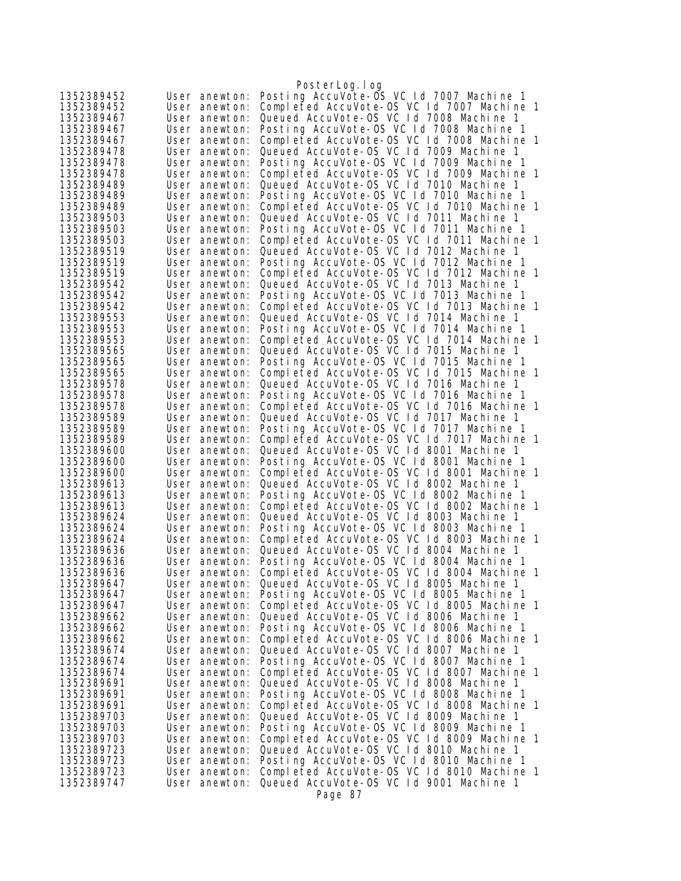|                          |                                | PosterLog.log                                                                          |  |
|--------------------------|--------------------------------|----------------------------------------------------------------------------------------|--|
| 1352389452               | User anewton:                  | Posting AccuVote-OS VC 1d 7007 Machine 1                                               |  |
| 1352389452               | User anewton:                  | Completed AccuVote-OS VC 1d 7007 Machine 1                                             |  |
| 1352389467               | User anewton:                  | Queued AccuVote-0S VC 1d 7008 Machine 1                                                |  |
| 1352389467               | User anewton:                  | Posting AccuVote-OS VC 1d 7008 Machine 1                                               |  |
| 1352389467               | User anewton:                  | Completed AccuVote-0S VC 1d 7008 Machine 1                                             |  |
| 1352389478               | User anewton:                  | Queued AccuVote-0S VC 1d 7009 Machine 1                                                |  |
| 1352389478               | User anewton:                  | Posting AccuVote-OS VC 1d 7009 Machine 1                                               |  |
| 1352389478               | User anewton:                  | Completed AccuVote-OS VC 1d 7009 Machine 1                                             |  |
| 1352389489               | User anewton:                  | Queued AccuVote-0S VC 1d 7010 Machine 1                                                |  |
| 1352389489<br>1352389489 | User anewton:                  | Posting AccuVote-OS VC Id 7010 Machine 1<br>Completed AccuVote-OS VC 1d 7010 Machine 1 |  |
| 1352389503               | User anewton:<br>User anewton: | Queued AccuVote-OS VC 1d 7011 Machine 1                                                |  |
| 1352389503               | User anewton:                  | Posting AccuVote-OS VC 1d 7011 Machine 1                                               |  |
| 1352389503               | User anewton:                  | Completed AccuVote-OS VC 1d 7011 Machine 1                                             |  |
| 1352389519               | User anewton:                  | Queued AccuVote-0S VC 1d 7012 Machine 1                                                |  |
| 1352389519               | User anewton:                  | Posting AccuVote-OS VC Id 7012 Machine 1                                               |  |
| 1352389519               | User anewton:                  | Completed AccuVote-OS VC Id 7012 Machine 1                                             |  |
| 1352389542               | User anewton:                  | Queued AccuVote-OS VC 1d 7013 Machine 1                                                |  |
| 1352389542               | User anewton:                  | Posting AccuVote-OS VC 1d 7013 Machine 1                                               |  |
| 1352389542               | User anewton:                  | Completed AccuVote-OS VC 1d 7013 Machine 1                                             |  |
| 1352389553               | User anewton:                  | Queued AccuVote-OS VC 1d 7014 Machine 1                                                |  |
| 1352389553               | User anewton:                  | Posting AccuVote-OS VC 1d 7014 Machine 1                                               |  |
| 1352389553               | User anewton:                  | Completed AccuVote-OS VC 1d 7014 Machine 1                                             |  |
| 1352389565               | User anewton:                  | Queued AccuVote-OS VC 1d 7015 Machine 1                                                |  |
| 1352389565               | User anewton:                  | Posting AccuVote-OS VC 1d 7015 Machine 1                                               |  |
| 1352389565               | User anewton:                  | Completed AccuVote-OS VC 1d 7015 Machine 1<br>Queued AccuVote-OS VC Id 7016 Machine 1  |  |
| 1352389578<br>1352389578 | User anewton:<br>User anewton: | Posting AccuVote-OS VC Id 7016 Machine 1                                               |  |
| 1352389578               | User anewton:                  | Completed AccuVote-OS VC 1d 7016 Machine 1                                             |  |
| 1352389589               | User anewton:                  | Queued AccuVote-OS VC 1d 7017 Machine 1                                                |  |
| 1352389589               | User anewton:                  | Posting AccuVote-OS VC 1d 7017 Machine 1                                               |  |
| 1352389589               | User anewton:                  | Completed AccuVote-OS VC 1d 7017 Machine 1                                             |  |
| 1352389600               | User anewton:                  | Queued AccuVote-0S VC 1d 8001 Machine 1                                                |  |
| 1352389600               | User anewton:                  | Posting AccuVote-OS VC 1d 8001 Machine 1                                               |  |
| 1352389600               | User anewton:                  | Completed AccuVote-OS VC 1d 8001 Machine 1                                             |  |
| 1352389613               | User anewton:                  | Queued AccuVote-OS VC 1d 8002 Machine 1                                                |  |
| 1352389613               | User anewton:                  | Posting AccuVote-OS VC Id 8002 Machine 1                                               |  |
| 1352389613               | User anewton:                  | Completed AccuVote-OS VC 1d 8002 Machine 1                                             |  |
| 1352389624               | User anewton:                  | Queued AccuVote-OS VC 1d 8003 Machine 1<br>Posting AccuVote-OS VC Id 8003 Machine 1    |  |
| 1352389624<br>1352389624 | User anewton:<br>User anewton: | Completed AccuVote-OS VC 1d 8003 Machine 1                                             |  |
| 1352389636               | User anewton:                  | Queued AccuVote-OS VC 1d 8004 Machine 1                                                |  |
| 1352389636               | User anewton:                  | Posting AccuVote-OS VC 1d 8004 Machine 1                                               |  |
| 1352389636               | User anewton:                  | Completed AccuVote-OS VC Id 8004 Machine 1                                             |  |
| 1352389647               | User anewton:                  | Queued AccuVote-OS VC 1d 8005 Machine 1                                                |  |
| 1352389647               | User anewton:                  | Posting AccuVote-OS VC 1d 8005 Machine 1                                               |  |
| 1352389647               | User anewton:                  | Completed AccuVote-OS VC 1d 8005 Machine 1                                             |  |
| 1352389662               | User anewton:                  | Queued AccuVote-OS VC Id 8006 Machine 1                                                |  |
| 1352389662               | User anewton:                  | Posting AccuVote-OS VC 1d 8006 Machine 1                                               |  |
| 1352389662               | User anewton:                  | Completed AccuVote-OS VC 1d 8006 Machine 1                                             |  |
| 1352389674               | User anewton:                  | Queued AccuVote-OS VC Id 8007 Machine 1                                                |  |
| 1352389674               | User anewton:                  | Posting AccuVote-OS VC 1d 8007 Machine 1                                               |  |
| 1352389674<br>1352389691 | User anewton:<br>User anewton: | Completed AccuVote-OS VC 1d 8007 Machine 1<br>Queued AccuVote-OS VC 1d 8008 Machine 1  |  |
| 1352389691               | User anewton:                  | Posting AccuVote-OS VC Id 8008 Machine 1                                               |  |
| 1352389691               | User anewton:                  | Completed AccuVote-OS VC 1d 8008 Machine 1                                             |  |
| 1352389703               | User anewton:                  | Queued AccuVote-OS VC Id 8009 Machine 1                                                |  |
| 1352389703               | User anewton:                  | Posting AccuVote-OS VC 1d 8009 Machine 1                                               |  |
| 1352389703               | User anewton:                  | Completed AccuVote-OS VC 1d 8009 Machine 1                                             |  |
| 1352389723               | User anewton:                  | Queued AccuVote-OS VC Id 8010 Machine 1                                                |  |
| 1352389723               | User anewton:                  | Posting AccuVote-OS VC Id 8010 Machine 1                                               |  |
| 1352389723               | User anewton:                  | Completed AccuVote-OS VC 1d 8010 Machine 1                                             |  |
| 1352389747               | User anewton:                  | Queued AccuVote-OS VC 1d 9001 Machine 1                                                |  |
|                          |                                | Page 87                                                                                |  |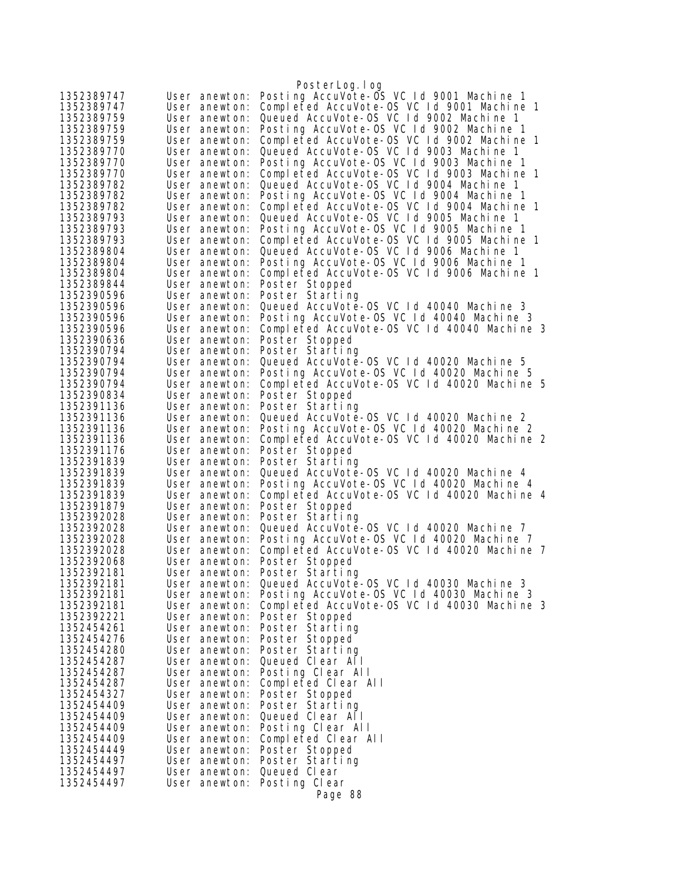|                          |                                | PosterLog.log                                                                         |
|--------------------------|--------------------------------|---------------------------------------------------------------------------------------|
| 1352389747               | User anewton:                  | Posting AccuVote-OS VC 1d 9001 Machine 1                                              |
| 1352389747               | User anewton:                  | Completed AccuVote-OS VC 1d 9001 Machine 1                                            |
| 1352389759               | User anewton:                  | Queued AccuVote-OS VC 1d 9002 Machine 1                                               |
| 1352389759               | User anewton:                  | Posting AccuVote-OS VC 1d 9002 Machine 1                                              |
| 1352389759               | User anewton:                  | Completed AccuVote-OS VC Id 9002 Machine 1                                            |
| 1352389770               | User anewton:                  | Queued AccuVote-OS VC 1d 9003 Machine 1                                               |
| 1352389770               | User anewton:                  | Posting AccuVote-OS VC Id 9003 Machine 1                                              |
| 1352389770               | User anewton:                  | Completed AccuVote-OS VC 1d 9003 Machine 1                                            |
| 1352389782               | User anewton:                  | Queued AccuVote-OS VC 1d 9004 Machine 1                                               |
| 1352389782               | User anewton:                  | Posting AccuVote-OS VC Id 9004 Machine 1                                              |
| 1352389782               | User anewton:                  | Completed AccuVote-OS VC 1d 9004 Machine 1                                            |
| 1352389793               | User anewton:                  | Queued AccuVote-OS VC 1d 9005 Machine 1                                               |
| 1352389793               | User anewton:                  | Posting AccuVote-OS VC 1d 9005 Machine 1                                              |
| 1352389793<br>1352389804 | User anewton:<br>User anewton: | Completed AccuVote-OS VC 1d 9005 Machine 1<br>Queued AccuVote-OS VC 1d 9006 Machine 1 |
| 1352389804               | User anewton:                  | Posting AccuVote-OS VC 1d 9006 Machine 1                                              |
| 1352389804               | User anewton:                  | Completed AccuVote-OS VC Id 9006 Machine 1                                            |
| 1352389844               | User anewton:                  | Poster Stopped                                                                        |
| 1352390596               | User anewton:                  | Poster Starting                                                                       |
| 1352390596               | User anewton:                  | Queued AccuVote-0S VC 1d 40040 Machine 3                                              |
| 1352390596               | User anewton:                  | Posting AccuVote-OS VC 1d 40040 Machine 3                                             |
| 1352390596               | User anewton:                  | Completed AccuVote-OS VC 1d 40040 Machine 3                                           |
| 1352390636               | User anewton:                  | Poster Stopped                                                                        |
| 1352390794               | User anewton:                  | Poster Starting                                                                       |
| 1352390794               | User anewton:                  | Queued AccuVote-0S VC 1d 40020 Machine 5                                              |
| 1352390794               | User anewton:                  | Posting AccuVote-OS VC Id 40020 Machine 5                                             |
| 1352390794               | User anewton:                  | Completed AccuVote-OS VC Id 40020 Machine 5                                           |
| 1352390834               | User anewton:                  | Poster Stopped                                                                        |
| 1352391136               | User anewton:                  | Poster Starting                                                                       |
| 1352391136               | User anewton:                  | Queued AccuVote-0S VC 1d 40020 Machine 2                                              |
| 1352391136               | User anewton:                  | Posting AccuVote-OS VC 1d 40020 Machine 2                                             |
| 1352391136               | User anewton:                  | Completed AccuVote-OS VC 1d 40020 Machine 2                                           |
| 1352391176               | User anewton:                  | Poster Stopped                                                                        |
| 1352391839               | User anewton:                  | Poster Starting                                                                       |
| 1352391839               | User anewton:                  | Queued AccuVote-OS VC 1d 40020 Machine 4                                              |
| 1352391839               | User anewton:                  | Posting AccuVote-OS VC 1d 40020 Machine 4                                             |
| 1352391839               | User anewton:                  | Completed AccuVote-OS VC 1d 40020 Machine 4                                           |
| 1352391879<br>1352392028 | User anewton:<br>User anewton: | Poster Stopped<br>Poster Starting                                                     |
| 1352392028               | User anewton:                  | Queued AccuVote-0S VC 1d 40020 Machine 7                                              |
| 1352392028               | User anewton:                  | Posting AccuVote-OS VC 1d 40020 Machine 7                                             |
| 1352392028               | User anewton:                  | Completed AccuVote-OS VC 1d 40020 Machine 7                                           |
| 1352392068               | User anewton:                  | Poster Stopped                                                                        |
| 1352392181               | User anewton:                  | Poster Starting                                                                       |
| 1352392181               | User anewton:                  | Queued AccuVote-0S VC 1d 40030 Machine 3                                              |
| 1352392181               | User anewton:                  | Posting AccuVote-OS VC Id 40030 Machine 3                                             |
| 1352392181               | User anewton:                  | Completed AccuVote-OS VC 1d 40030 Machine 3                                           |
| 1352392221               | User anewton:                  | Poster Stopped                                                                        |
| 1352454261               | User anewton:                  | Poster Starting                                                                       |
| 1352454276               | User anewton:                  | Poster Stopped                                                                        |
| 1352454280               | User anewton:                  | Poster Starting                                                                       |
| 1352454287               | User anewton:                  | Queued Clear All                                                                      |
| 1352454287               | User anewton:                  | Posting Clear All                                                                     |
| 1352454287               | User anewton:                  | Completed Clear All                                                                   |
| 1352454327               | User anewton:                  | Poster Stopped                                                                        |
| 1352454409               | User anewton:                  | Poster Starting                                                                       |
| 1352454409               | User anewton:                  | Queued Clear All                                                                      |
| 1352454409               | User anewton:                  | Posting Clear All                                                                     |
| 1352454409               | User anewton:                  | Completed Clear All                                                                   |
| 1352454449               | User anewton:                  | Poster Stopped<br>Poster Starting                                                     |
| 1352454497<br>1352454497 | User anewton:<br>User anewton: | Queued Clear                                                                          |
| 1352454497               | User anewton:                  | Posting Clear                                                                         |
|                          |                                | Page 88                                                                               |
|                          |                                |                                                                                       |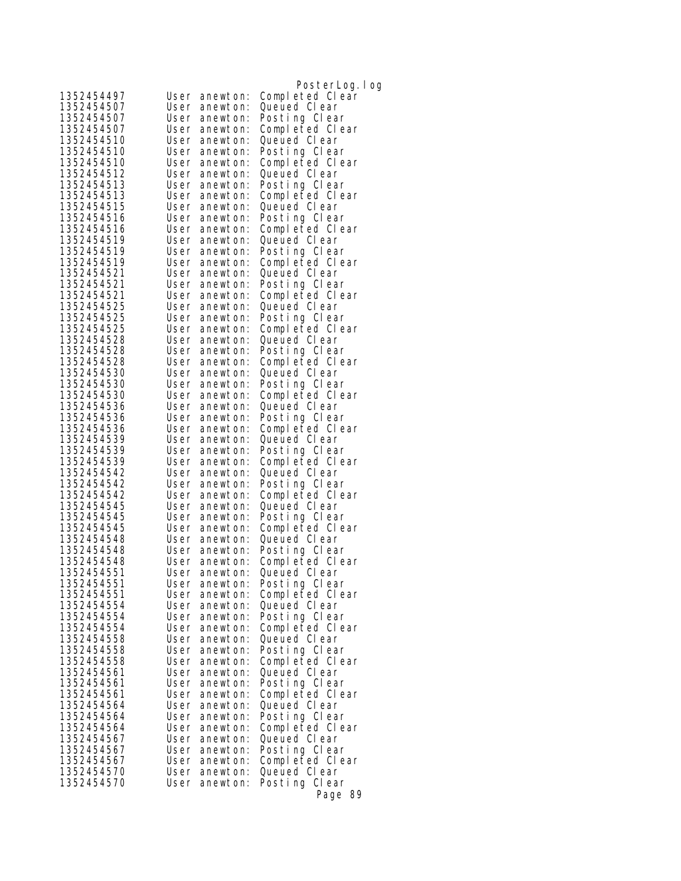|                          |              |                           | PosterLog. I og                  |
|--------------------------|--------------|---------------------------|----------------------------------|
| 1352454497               |              | User anewton:             | Completed Clear                  |
| 1352454507               | User         | anewton:                  | Queued Clear                     |
| 1352454507               | User         | anewton:                  | Posting Clear                    |
| 1352454507               | User         | anewton:                  | Completed Clear                  |
| 1352454510               |              | User anewton:             | Queued Clear                     |
| 1352454510               |              | User anewton:             | Posting Clear                    |
| 1352454510               | User         | anewton:                  | Completed Clear                  |
| 1352454512               | User         | anewton:                  | Queued Clear                     |
| 1352454513               |              | User anewton:             | Posting Clear                    |
| 1352454513               | User         | anewton:                  | Completed Clear                  |
| 1352454515               |              | User anewton:             | Queued Clear                     |
| 1352454516               |              | User anewton:             | Posting Clear                    |
| 1352454516               | User         | anewton:                  | Completed Clear                  |
| 1352454519<br>1352454519 | User         | anewton:<br>User anewton: | Queued Clear<br>Posting Clear    |
| 1352454519               |              | User anewton:             | Completed Clear                  |
| 1352454521               |              | User anewton:             | Queued Clear                     |
| 1352454521               | User         | anewton:                  | Posting Clear                    |
| 1352454521               | User         | anewton:                  | Completed Clear                  |
| 1352454525               | User         | anewton:                  | Queued Clear                     |
| 1352454525               |              | User anewton:             | Posting Clear                    |
| 1352454525               |              | User anewton:             | Completed Clear                  |
| 1352454528               |              | User anewton:             | Queued Clear                     |
| 1352454528               | User         | anewton:                  | Posting Clear                    |
| 1352454528               |              | User anewton:             | Completed Clear                  |
| 1352454530               | User         | anewton:                  | Queued Clear                     |
| 1352454530               |              | User anewton:             | Posting Clear                    |
| 1352454530               |              | User anewton:             | Completed Clear                  |
| 1352454536<br>1352454536 | User         | anewton:                  | Queued Clear                     |
| 1352454536               | User         | anewton:<br>User anewton: | Posting Clear<br>Completed Clear |
| 1352454539               | User         | anewton:                  | Queued Clear                     |
| 1352454539               | User         | anewton:                  | Posting Clear                    |
| 1352454539               |              | User anewton:             | Completed Clear                  |
| 1352454542               | User         | anewton:                  | Queued Clear                     |
| 1352454542               | User         | anewton:                  | Posting Clear                    |
| 1352454542               | User         | anewton:                  | Completed Clear                  |
| 1352454545               | User         | anewton:                  | Queued Clear                     |
| 1352454545               | User         | anewton:                  | Posting Clear                    |
| 1352454545               |              | User anewton:             | Completed Clear                  |
| 1352454548               |              | User anewton:             | Queued CI ear                    |
| 1352454548<br>1352454548 | User         | anewton:<br>anewton:      | Posting Clear                    |
| 1352454551               | User         | User anewton:             | Completed Clear<br>Queued Clear  |
| 1352454551               |              | User anewton:             | Posting Clear                    |
| 1352454551               |              | User anewton:             | Completed Clear                  |
| 1352454554               |              | User anewton:             | Queued CI ear                    |
| 1352454554               | User         | anewton:                  | Posting Clear                    |
| 1352454554               |              | User anewton:             | Completed Clear                  |
| 1352454558               | User         | anewton:                  | Queued Clear                     |
| 1352454558               | User         | anewton:                  | Posting Clear                    |
| 1352454558               | User         | anewton:                  | Completed Clear                  |
| 1352454561               | User         | anewton:                  | Queued CI ear                    |
| 1352454561               | User         | anewton:                  | Posting Clear                    |
| 1352454561<br>1352454564 | User         | anewton:                  | Completed Clear                  |
| 1352454564               | User<br>User | anewton:<br>anewton:      | Queued Clear<br>Posting Clear    |
| 1352454564               | User         | anewton:                  | Completed Clear                  |
| 1352454567               |              | User anewton:             | Queued Clear                     |
| 1352454567               | User         | anewton:                  | Posting Clear                    |
| 1352454567               |              | User anewton:             | Completed Clear                  |
| 1352454570               | User         | anewton:                  | Queued Clear                     |
| 1352454570               | User         | anewton:                  | Posting Clear                    |
|                          |              |                           | Page 89                          |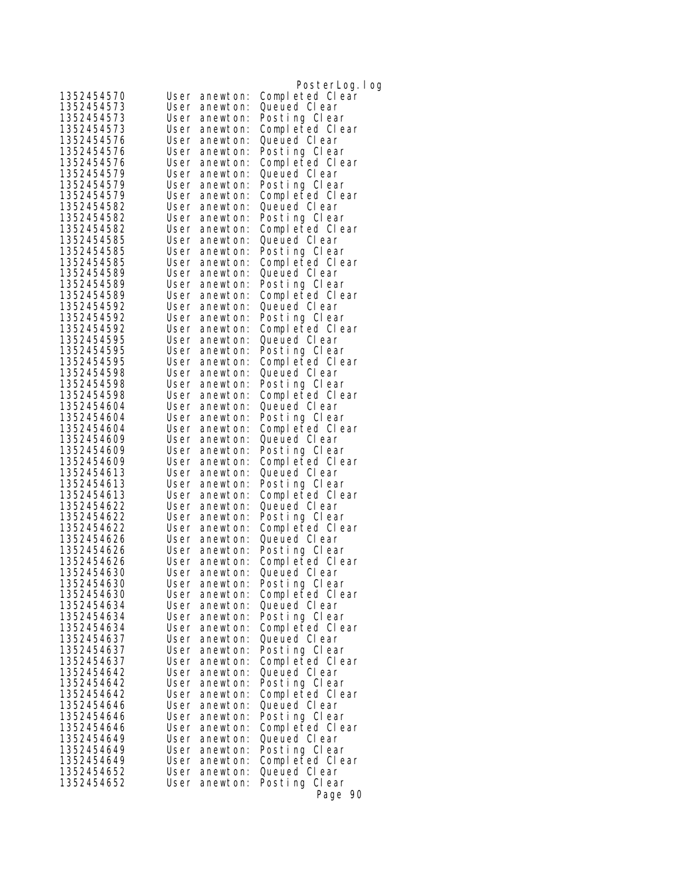|                          |                                      | PosterLog.log                    |
|--------------------------|--------------------------------------|----------------------------------|
| 1352454570               | User anewton:                        | Completed Clear                  |
| 1352454573               | User<br>anewton:                     | Queued Clear                     |
| 1352454573               | User anewton:                        | Posting Clear                    |
| 1352454573               | User anewton:                        | Completed Clear                  |
| 1352454576               | User anewton:                        | Queued CI ear                    |
| 1352454576               | User anewton:                        | Posting Clear                    |
| 1352454576               | User anewton:                        | Completed Clear                  |
| 1352454579               | User anewton:                        | Queued Clear                     |
| 1352454579               | User anewton:                        | Posting Clear                    |
| 1352454579               | User anewton:                        | Completed Clear                  |
| 1352454582               | User anewton:                        | Queued Clear                     |
| 1352454582               | User anewton:                        | Posting Clear                    |
| 1352454582<br>1352454585 | User anewton:                        | Completed Clear                  |
| 1352454585               | User anewton:<br>User anewton:       | Queued Clear<br>Posting Clear    |
| 1352454585               | User anewton:                        | Completed Clear                  |
| 1352454589               | User anewton:                        | Queued Clear                     |
| 1352454589               | User anewton:                        | Posting Clear                    |
| 1352454589               | User anewton:                        | Completed Clear                  |
| 1352454592               | User anewton:                        | Queued Clear                     |
| 1352454592               | User anewton:                        | Posting Clear                    |
| 1352454592               | User anewton:                        | Completed Clear                  |
| 1352454595               | User anewton:                        | Queued Clear                     |
| 1352454595               | User anewton:                        | Posting Clear                    |
| 1352454595               | User anewton:                        | Completed Clear                  |
| 1352454598               | User anewton:                        | Queued Clear                     |
| 1352454598               | User anewton:                        | Posting Clear                    |
| 1352454598               | User anewton:                        | Completed Clear<br>Queued Clear  |
| 1352454604<br>1352454604 | User anewton:<br>User anewton:       | Posting Clear                    |
| 1352454604               | User anewton:                        | Completed Clear                  |
| 1352454609               | User anewton:                        | Queued Clear                     |
| 1352454609               | User anewton:                        | Posting Clear                    |
| 1352454609               | User anewton:                        | Completed Clear                  |
| 1352454613               | User<br>anewton:                     | Queued Clear                     |
| 1352454613               | User anewton:                        | Posting Clear                    |
| 1352454613               | User anewton:                        | Completed Clear                  |
| 1352454622               | User anewton:                        | Queued Clear                     |
| 1352454622               | User anewton:                        | Posting Clear                    |
| 1352454622               | User anewton:                        | Completed Clear                  |
| 1352454626<br>1352454626 | User anewton:<br>User anewton:       | Queued CI ear                    |
| 1352454626               | User<br>anewton:                     | Posting Clear<br>Completed Clear |
| 1352454630               | User anewton:                        | Queued Clear                     |
| 1352454630               | User anewton:                        | Posting Clear                    |
| 1352454630               | User anewton:                        | Completed Clear                  |
| 1352454634               | User anewton:                        | Queued CI ear                    |
| 1352454634               | User anewton:                        | Posting Clear                    |
| 1352454634               | User anewton:                        | Completed Clear                  |
| 1352454637               | User anewton:                        | Queued Clear                     |
| 1352454637               | User<br>anewton:                     | Posting Clear                    |
| 1352454637               | User<br>anewton:                     | Completed Clear                  |
| 1352454642               | User<br>anewton:                     | Queued CI ear                    |
| 1352454642               | User<br>anewton:                     | Posting Clear                    |
| 1352454642<br>1352454646 | User<br>anewton:<br>User<br>anewton: | Completed Clear<br>Queued Clear  |
| 1352454646               | User<br>anewton:                     | Posting Clear                    |
| 1352454646               | User<br>anewton:                     | Completed Clear                  |
| 1352454649               | User anewton:                        | Queued CI ear                    |
| 1352454649               | User<br>anewton:                     | Posting Clear                    |
| 1352454649               | User anewton:                        | Completed Clear                  |
| 1352454652               | User<br>anewton:                     | Queued Clear                     |
| 1352454652               | User<br>anewton:                     | Posting Clear                    |
|                          |                                      | Page 90                          |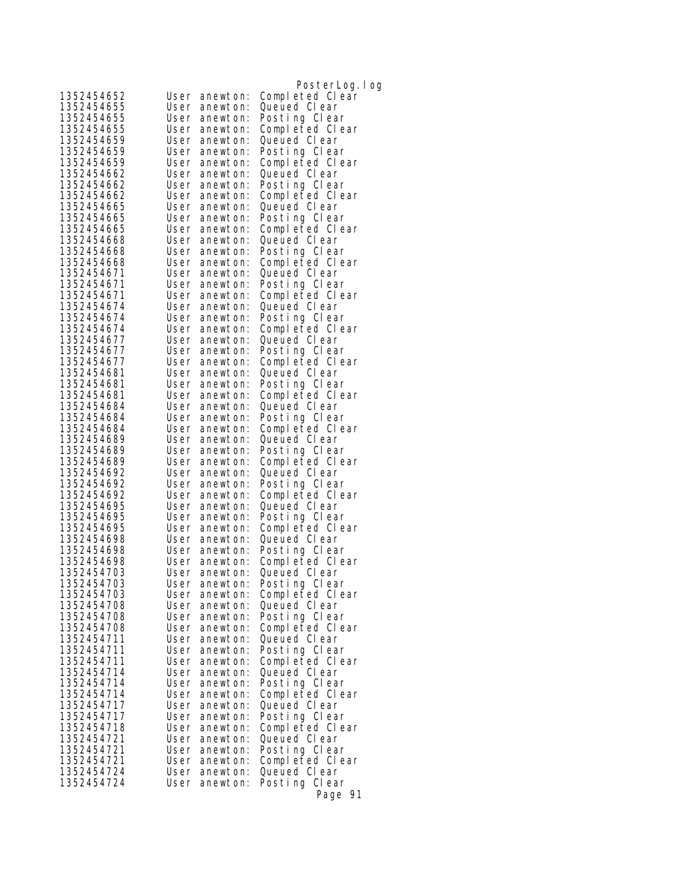|                          |      |                                | PosterLog.log                   |
|--------------------------|------|--------------------------------|---------------------------------|
| 1352454652               |      | User anewton:                  | Completed Clear                 |
| 1352454655               |      | User anewton:                  | Queued Clear                    |
| 1352454655               |      | User anewton:                  | Posting Clear                   |
| 1352454655               |      | User anewton:                  | Completed Clear                 |
| 1352454659               |      | User anewton:                  | Queued Clear                    |
| 1352454659               |      | User anewton:                  | Posting Clear                   |
| 1352454659               |      | User anewton:                  | Completed Clear                 |
| 1352454662               |      | User anewton:                  | Queued Clear                    |
| 1352454662               |      | User anewton:                  | Posting Clear                   |
| 1352454662<br>1352454665 |      | User anewton:<br>User anewton: | Completed Clear<br>Queued Clear |
| 1352454665               |      | User anewton:                  | Posting Clear                   |
| 1352454665               |      | User anewton:                  | Completed Clear                 |
| 1352454668               |      | User anewton:                  | Queued Clear                    |
| 1352454668               |      | User anewton:                  | Posting Clear                   |
| 1352454668               |      | User anewton:                  | Completed Clear                 |
| 1352454671               |      | User anewton:                  | Queued Clear                    |
| 1352454671               |      | User anewton:                  | Posting Clear                   |
| 1352454671               |      | User anewton:                  | Completed Clear                 |
| 1352454674               |      | User anewton:                  | Queued Clear                    |
| 1352454674               |      | User anewton:                  | Posting Clear                   |
| 1352454674<br>1352454677 |      | User anewton:<br>User anewton: | Completed Clear<br>Queued Clear |
| 1352454677               |      | User anewton:                  | Posting Clear                   |
| 1352454677               |      | User anewton:                  | Completed Clear                 |
| 1352454681               |      | User anewton:                  | Queued Clear                    |
| 1352454681               |      | User anewton:                  | Posting Clear                   |
| 1352454681               |      | User anewton:                  | Completed Clear                 |
| 1352454684               |      | User anewton:                  | Queued Clear                    |
| 1352454684               |      | User anewton:                  | Posting Clear                   |
| 1352454684               |      | User anewton:                  | Completed Clear                 |
| 1352454689<br>1352454689 |      | User anewton:<br>User anewton: | Queued Clear<br>Posting Clear   |
| 1352454689               |      | User anewton:                  | Completed Clear                 |
| 1352454692               |      | User anewton:                  | Queued Clear                    |
| 1352454692               |      | User anewton:                  | Posting Clear                   |
| 1352454692               |      | User anewton:                  | Completed Clear                 |
| 1352454695               |      | User anewton:                  | Queued Clear                    |
| 1352454695               |      | User anewton:                  | Posting Clear                   |
| 1352454695<br>1352454698 |      | User anewton:                  | Completed Clear                 |
| 1352454698               |      | User anewton:<br>User anewton: | Queued Clear<br>Posting Clear   |
| 1352454698               | User | anewton:                       | Completed Clear                 |
| 1352454703               |      | User anewton:                  | Queued Clear                    |
| 1352454703               |      | User anewton:                  | Posting Clear                   |
| 1352454703               |      | User anewton:                  | Completed Clear                 |
| 1352454708               |      | User anewton:                  | Queued Clear                    |
| 1352454708               |      | User anewton:                  | Posting Clear                   |
| 1352454708               |      | User anewton:                  | Completed Clear                 |
| 1352454711<br>1352454711 |      | User anewton:<br>User anewton: | Queued Clear<br>Posting Clear   |
| 1352454711               |      | User anewton:                  | Completed Clear                 |
| 1352454714               |      | User anewton:                  | Queued Clear                    |
| 1352454714               |      | User anewton:                  | Posting Clear                   |
| 1352454714               |      | User anewton:                  | Completed Clear                 |
| 1352454717               |      | User anewton:                  | Queued Clear                    |
| 1352454717               |      | User anewton:                  | Posting Clear                   |
| 1352454718               |      | User anewton:                  | Completed Clear                 |
| 1352454721<br>1352454721 |      | User anewton:<br>User anewton: | Queued Clear<br>Posting Clear   |
| 1352454721               |      | User anewton:                  | Completed Clear                 |
| 1352454724               |      | User anewton:                  | Queued Clear                    |
| 1352454724               | User | anewton:                       | Posting Clear                   |
|                          |      |                                | Page 91                         |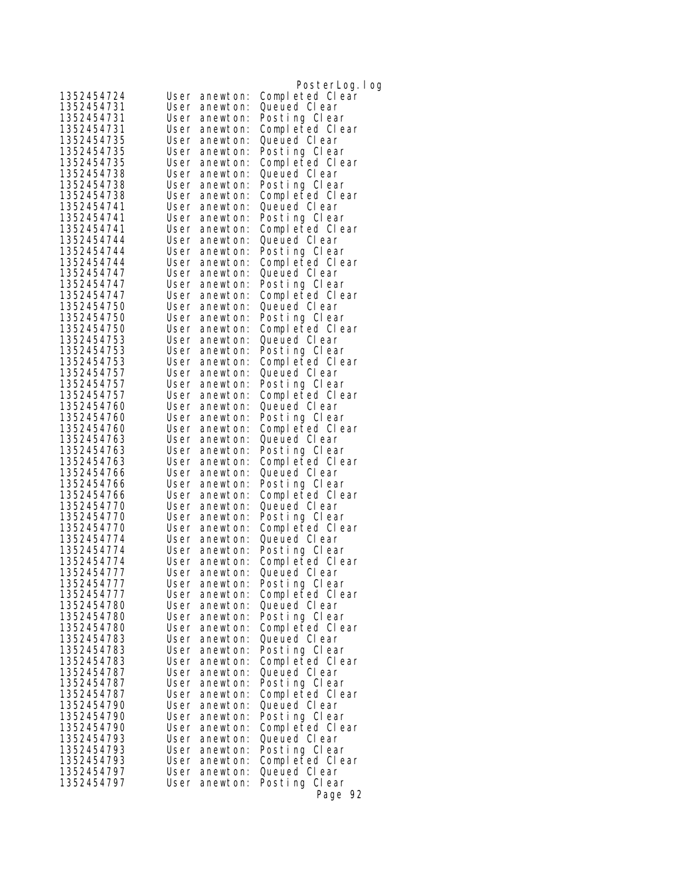|                          |              |                           | PosterLog. I og                 |
|--------------------------|--------------|---------------------------|---------------------------------|
| 1352454724               |              | User anewton:             | Completed Clear                 |
| 1352454731               | User         | anewton:                  | Queued CI ear                   |
| 1352454731               | User         | anewton:                  | Posting Clear                   |
| 1352454731               | User         | anewton:                  | Completed Clear                 |
| 1352454735               |              | User anewton:             | Queued Clear                    |
| 1352454735               | User         | anewton:                  | Posting Clear                   |
| 1352454735               | User         | anewton:                  | Completed Clear                 |
| 1352454738               | User         | anewton:                  | Queued Clear                    |
| 1352454738               | User         | anewton:                  | Posting Clear                   |
| 1352454738               | User         | anewton:                  | Completed Clear                 |
| 1352454741               |              | User anewton:             | Queued Clear                    |
| 1352454741               |              | User anewton:             | Posting Clear                   |
| 1352454741               | User         | anewton:                  | Completed Clear                 |
| 1352454744               | User         | anewton:                  | Queued Clear                    |
| 1352454744               |              | User anewton:             | Posting Clear                   |
| 1352454744               |              | User anewton:             | Completed Clear                 |
| 1352454747               | User         | anewton:                  | Queued Clear                    |
| 1352454747               | User         | anewton:                  | Posting Clear                   |
| 1352454747<br>1352454750 | User<br>User | anewton:                  | Completed Clear                 |
| 1352454750               |              | anewton:<br>User anewton: | Queued Clear<br>Posting Clear   |
| 1352454750               |              | User anewton:             | Completed Clear                 |
| 1352454753               | User         | anewton:                  | Queued Clear                    |
| 1352454753               | User         | anewton:                  | Posting Clear                   |
| 1352454753               | User         | anewton:                  | Completed Clear                 |
| 1352454757               | User         | anewton:                  | Queued Clear                    |
| 1352454757               |              | User anewton:             | Posting Clear                   |
| 1352454757               |              | User anewton:             | Completed Clear                 |
| 1352454760               | User         | anewton:                  | Queued Clear                    |
| 1352454760               | User         | anewton:                  | Posting Clear                   |
| 1352454760               | User         | anewton:                  | Completed Clear                 |
| 1352454763               | User         | anewton:                  | Queued Clear                    |
| 1352454763               | User         | anewton:                  | Posting Clear                   |
| 1352454763               |              | User anewton:             | Completed Clear                 |
| 1352454766               | User         | anewton:                  | Queued Clear                    |
| 1352454766               | User         | anewton:                  | Posting Clear                   |
| 1352454766               | User         | anewton:                  | Completed Clear                 |
| 1352454770               | User         | anewton:                  | Queued Clear                    |
| 1352454770               | User         | anewton:                  | Posting Clear                   |
| 1352454770               |              | User anewton:             | Completed Clear                 |
| 1352454774               | User         | anewton:                  | Queued Clear                    |
| 1352454774<br>1352454774 | User<br>User | anewton:<br>anewton:      | Posting Clear                   |
| 1352454777               |              | User anewton:             | Completed Clear<br>Queued Clear |
| 1352454777               |              | User anewton:             | Posting Clear                   |
| 1352454777               |              | User anewton:             | Completed Clear                 |
| 1352454780               |              | User anewton:             | Queued CI ear                   |
| 1352454780               | User         | anewton:                  | Posting Clear                   |
| 1352454780               |              | User anewton:             | Completed Clear                 |
| 1352454783               | User         | anewton:                  | Queued CI ear                   |
| 1352454783               | User         | anewton:                  | Posting Clear                   |
| 1352454783               | User         | anewton:                  | Completed Clear                 |
| 1352454787               | User         | anewton:                  | Queued Clear                    |
| 1352454787               | User         | anewton:                  | Posting Clear                   |
| 1352454787               |              | User anewton:             | Completed Clear                 |
| 1352454790               | User         | anewton:                  | Queued Clear                    |
| 1352454790               | User         | anewton:                  | Posting Clear                   |
| 1352454790               | User         | anewton:                  | Completed Clear                 |
| 1352454793               | User         | anewton:                  | Queued Clear                    |
| 1352454793               | User         | anewton:                  | Posting Clear                   |
| 1352454793               |              | User anewton:             | Completed Clear                 |
| 1352454797               | User         | anewton:                  | Queued Clear                    |
| 1352454797               | User         | anewton:                  | Posting Clear                   |
|                          |              |                           | Page 92                         |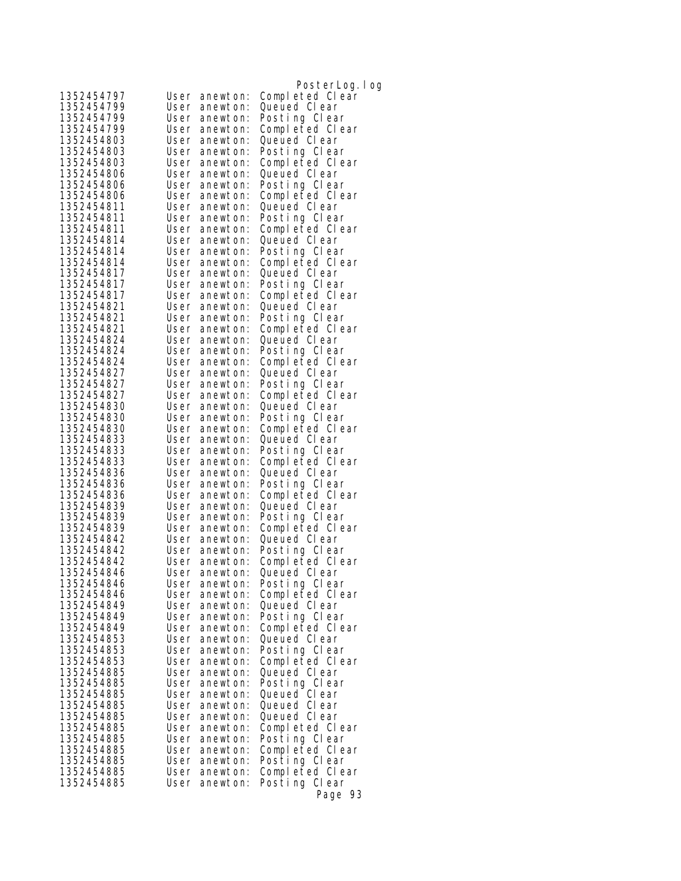|                          |              |                                | PosterLog.log                    |
|--------------------------|--------------|--------------------------------|----------------------------------|
| 1352454797               |              | User anewton:                  | Completed Clear                  |
| 1352454799               | User         | anewton:                       | Queued Clear                     |
| 1352454799               |              | User anewton:                  | Posting Clear                    |
| 1352454799               |              | User anewton:                  | Completed Clear                  |
| 1352454803               |              | User anewton:                  | Queued Clear                     |
| 1352454803               |              | User anewton:                  | Posting Clear                    |
| 1352454803               |              | User anewton:                  | Completed Clear                  |
| 1352454806               |              | User anewton:                  | Queued Clear                     |
| 1352454806               |              | User anewton:                  | Posting Clear                    |
| 1352454806               |              | User anewton:                  | Completed Clear                  |
| 1352454811               |              | User anewton:                  | Queued Clear                     |
| 1352454811               |              | User anewton:                  | Posting Clear                    |
| 1352454811<br>1352454814 |              | User anewton:                  | Completed Clear                  |
| 1352454814               |              | User anewton:<br>User anewton: | Queued Clear<br>Posting Clear    |
| 1352454814               |              | User anewton:                  | Completed Clear                  |
| 1352454817               |              | User anewton:                  | Queued Clear                     |
| 1352454817               |              | User anewton:                  | Posting Clear                    |
| 1352454817               |              | User anewton:                  | Completed Clear                  |
| 1352454821               |              | User anewton:                  | Queued Clear                     |
| 1352454821               |              | User anewton:                  | Posting Clear                    |
| 1352454821               |              | User anewton:                  | Completed Clear                  |
| 1352454824               |              | User anewton:                  | Queued Clear                     |
| 1352454824               |              | User anewton:                  | Posting Clear                    |
| 1352454824               |              | User anewton:                  | Completed Clear                  |
| 1352454827               |              | User anewton:                  | Queued Clear                     |
| 1352454827               |              | User anewton:                  | Posting Clear                    |
| 1352454827               |              | User anewton:                  | Completed Clear<br>Queued Clear  |
| 1352454830<br>1352454830 |              | User anewton:<br>User anewton: | Posting Clear                    |
| 1352454830               |              | User anewton:                  | Completed Clear                  |
| 1352454833               | User         | anewton:                       | Queued Clear                     |
| 1352454833               |              | User anewton:                  | Posting Clear                    |
| 1352454833               |              | User anewton:                  | Completed Clear                  |
| 1352454836               | User         | anewton:                       | Queued Clear                     |
| 1352454836               |              | User anewton:                  | Posting Clear                    |
| 1352454836               |              | User anewton:                  | Completed Clear                  |
| 1352454839               |              | User anewton:                  | Queued Clear                     |
| 1352454839               |              | User anewton:                  | Posting Clear                    |
| 1352454839               |              | User anewton:                  | Completed Clear                  |
| 1352454842               |              | User anewton:                  | Queued Clear                     |
| 1352454842<br>1352454842 | User         | User anewton:<br>anewton:      | Posting Clear<br>Completed Clear |
| 1352454846               |              | User anewton:                  | Queued Clear                     |
| 1352454846               |              | User anewton:                  | Posting Clear                    |
| 1352454846               |              | User anewton:                  | Completed Clear                  |
| 1352454849               |              | User anewton:                  | Queued CI ear                    |
| 1352454849               |              | User anewton:                  | Posting Clear                    |
| 1352454849               |              | User anewton:                  | Completed Clear                  |
| 1352454853               |              | User anewton:                  | Queued CI ear                    |
| 1352454853               | User         | anewton:                       | Posting Clear                    |
| 1352454853               | User         | anewton:                       | Completed Clear                  |
| 1352454885               | User         | anewton:                       | Queued CI ear                    |
| 1352454885               | User         | anewton:                       | Posting Clear                    |
| 1352454885<br>1352454885 | User<br>User | anewton:<br>anewton:           | Queued Clear<br>Queued CI ear    |
| 1352454885               | User         | anewton:                       | Queued Clear                     |
| 1352454885               | User         | anewton:                       | Completed Clear                  |
| 1352454885               |              | User anewton:                  | Posting Clear                    |
| 1352454885               | User         | anewton:                       | Completed Clear                  |
| 1352454885               | User         | anewton:                       | Posting Clear                    |
| 1352454885               | User         | anewton:                       | Completed Clear                  |
| 1352454885               | User         | anewton:                       | Posting Clear                    |
|                          |              |                                | Page 93                          |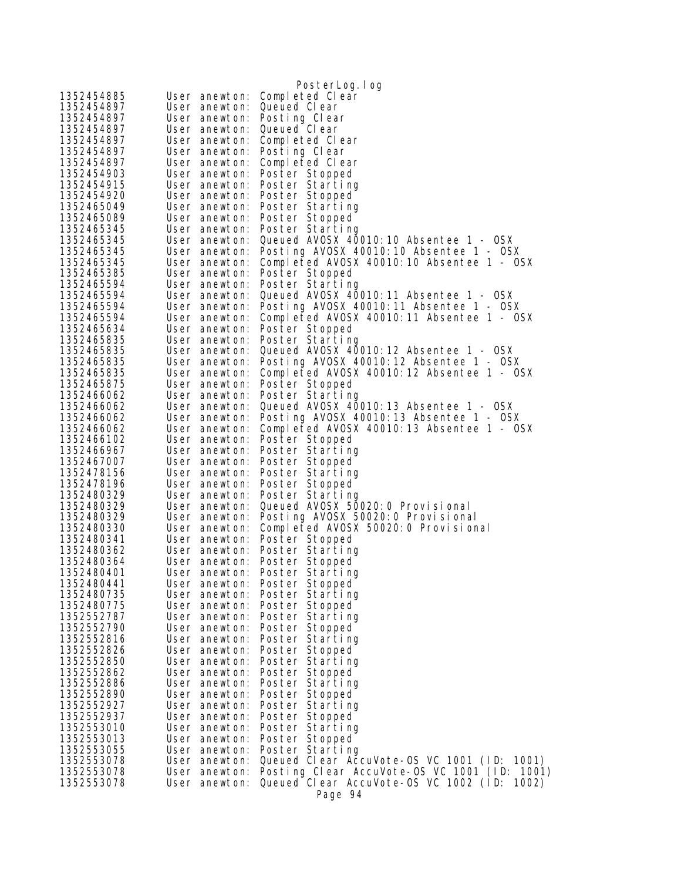|                          |                                | PosterLog.log                                                             |
|--------------------------|--------------------------------|---------------------------------------------------------------------------|
| 1352454885               | User anewton:                  | Completed Clear                                                           |
| 1352454897               | User anewton:                  | Queued Clear                                                              |
| 1352454897               | User anewton:                  | Posting Clear                                                             |
| 1352454897               | User anewton:                  | Queued Clear                                                              |
| 1352454897               | User anewton:                  | Completed Clear                                                           |
| 1352454897               | User anewton:                  | Posting Clear                                                             |
| 1352454897               | User anewton:                  | Completed Clear                                                           |
| 1352454903               | User anewton:                  | Poster Stopped                                                            |
| 1352454915               | User anewton:                  | Poster Starting                                                           |
| 1352454920               | User anewton:                  | Poster Stopped                                                            |
| 1352465049               | User anewton:                  | Poster Starting                                                           |
| 1352465089               | User anewton:                  | Poster Stopped                                                            |
| 1352465345               | User anewton:                  | Poster Starting                                                           |
| 1352465345               | User anewton:                  | Queued AVOSX 40010:10 Absentee 1 - OSX                                    |
| 1352465345               | User anewton:                  | Posting AVOSX 40010:10 Absentee 1 - OSX                                   |
| 1352465345<br>1352465385 | User anewton:                  | Completed AVOSX 40010:10 Absentee 1 - OSX                                 |
| 1352465594               | User anewton:<br>User anewton: | Poster Stopped<br>Poster Starting                                         |
| 1352465594               | User anewton:                  | Queued AVOSX 40010:11 Absentee 1 - OSX                                    |
| 1352465594               | User anewton:                  | Posting AVOSX 40010:11 Absentee 1 - OSX                                   |
| 1352465594               | User anewton:                  | Completed AVOSX 40010:11 Absentee 1 - OSX                                 |
| 1352465634               | User anewton:                  | Poster Stopped                                                            |
| 1352465835               | User anewton:                  | Poster Starting                                                           |
| 1352465835               | User anewton:                  | Queued AVOSX 40010:12 Absentee 1 - OSX                                    |
| 1352465835               | User anewton:                  | Posting AVOSX 40010:12 Absentee 1 - OSX                                   |
| 1352465835               | User anewton:                  | Completed AVOSX 40010:12 Absentee 1 - OSX                                 |
| 1352465875               | User anewton:                  | Poster Stopped                                                            |
| 1352466062               | User anewton:                  | Poster Starting                                                           |
| 1352466062               | User anewton:                  | Queued AVOSX 40010:13 Absentee 1 - OSX                                    |
| 1352466062               | User anewton:                  | Posting AVOSX 40010:13 Absentee 1 - OSX                                   |
| 1352466062               | User anewton:                  | Completed AVOSX 40010:13 Absentee 1 - OSX                                 |
| 1352466102               | User anewton:                  | Poster Stopped                                                            |
| 1352466967               | User anewton:                  | Poster Starting                                                           |
| 1352467007               | User anewton:                  | Poster Stopped                                                            |
| 1352478156               | User anewton:                  | Poster Starting                                                           |
| 1352478196               | User anewton:                  | Poster Stopped                                                            |
| 1352480329               | User anewton:                  | Poster Starting                                                           |
| 1352480329               | User anewton:                  | Queued AVOSX 50020: 0 Provisional                                         |
| 1352480329<br>1352480330 | User anewton:<br>User anewton: | Posting AVOSX 50020: 0 Provisional<br>Completed AVOSX 50020:0 Provisional |
| 1352480341               | User anewton:                  | Poster Stopped                                                            |
| 1352480362               | User anewton:                  | Poster Starting                                                           |
| 1352480364               | User anewton:                  | Poster Stopped                                                            |
| 1352480401               | User anewton:                  | Poster Starting                                                           |
| 1352480441               | User anewton:                  | Poster Stopped                                                            |
| 1352480735               | User anewton:                  | Poster Starting                                                           |
| 1352480775               | User anewton:                  | Poster Stopped                                                            |
| 1352552787               | User anewton:                  | Poster Starting                                                           |
| 1352552790               | User anewton:                  | Poster Stopped                                                            |
| 1352552816               | User anewton:                  | Poster Starting                                                           |
| 1352552826               | User anewton:                  | Poster Stopped                                                            |
| 1352552850               | User anewton:                  | Poster Starting                                                           |
| 1352552862               | User anewton:                  | Poster Stopped                                                            |
| 1352552886               | User anewton:                  | Poster Starting                                                           |
| 1352552890               | User anewton:                  | Poster Stopped                                                            |
| 1352552927               | User anewton:                  | Poster Starting                                                           |
| 1352552937               | User anewton:                  | Poster Stopped                                                            |
| 1352553010               | User anewton:                  | Poster Starting                                                           |
| 1352553013<br>1352553055 | User anewton:<br>User anewton: | Poster Stopped<br>Poster Starting                                         |
| 1352553078               | User anewton:                  | Queued Clear AccuVote-OS VC 1001 (ID: 1001)                               |
| 1352553078               | User anewton:                  | Posting Clear AccuVote-OS VC 1001 (ID: 1001)                              |
| 1352553078               | User anewton:                  | Queued Clear AccuVote-OS VC 1002 (ID: 1002)                               |
|                          |                                | Page 94                                                                   |
|                          |                                |                                                                           |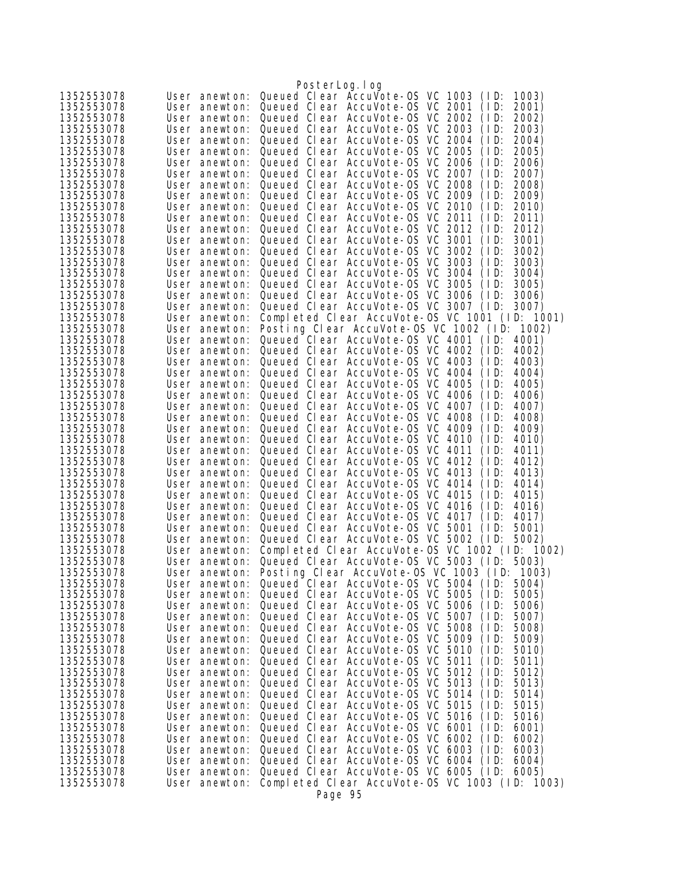|                          |                                | PosterLog.log                                                                                          |  |
|--------------------------|--------------------------------|--------------------------------------------------------------------------------------------------------|--|
| 1352553078               | User anewton:                  | Queued Clear AccuVote-0S VC 1003<br>(1D)<br>1003)                                                      |  |
| 1352553078               | User anewton:                  | Queued Clear AccuVote-0S VC 2001<br>(1D)<br>2001)                                                      |  |
| 1352553078               | User anewton:                  | Queued Clear AccuVote-OS VC 2002<br>(1D)<br>2002)                                                      |  |
| 1352553078               | User anewton:                  | Queued Clear AccuVote-OS VC 2003<br>2003)<br>(1D)                                                      |  |
| 1352553078               | User anewton:                  | Queued Clear AccuVote-0S VC 2004<br>(1D)<br>2004)                                                      |  |
| 1352553078               | User anewton:                  | Queued Clear AccuVote-0S VC 2005<br>(ID:<br>2005)                                                      |  |
| 1352553078               | User anewton:                  | Queued Clear AccuVote-0S VC 2006<br>(1D)<br>2006)                                                      |  |
| 1352553078               | User anewton:                  | Queued Clear AccuVote-OS VC 2007<br>(1D)<br>2007)                                                      |  |
| 1352553078               | User anewton:                  | Queued Clear AccuVote-OS VC 2008<br>(1D)<br>2008)                                                      |  |
| 1352553078               | User anewton:                  | Queued Clear AccuVote-0S VC 2009<br>(1D)<br>2009)                                                      |  |
| 1352553078               | User anewton:                  | Queued Clear AccuVote-0S VC 2010<br>2010)<br>(1D)                                                      |  |
| 1352553078               | User anewton:                  | Queued Clear AccuVote-OS VC 2011<br>(1D)<br>2011)                                                      |  |
| 1352553078               | User anewton:                  | Queued Clear AccuVote-OS VC 2012<br>(ID:<br>2012)<br>Queued Clear AccuVote-0S VC 3001<br>(1D)          |  |
| 1352553078<br>1352553078 | User anewton:<br>User anewton: | 3001)<br>Queued Clear AccuVote-OS VC 3002<br>3002)<br>(1D)                                             |  |
| 1352553078               | User anewton:                  | Queued Clear AccuVote-OS VC 3003<br>(1D)<br>3003)                                                      |  |
| 1352553078               | User anewton:                  | Queued Clear AccuVote-0S VC 3004<br>(1D)<br>3004)                                                      |  |
| 1352553078               | User anewton:                  | Queued Clear AccuVote-0S VC 3005<br>3005)<br>(1D)                                                      |  |
| 1352553078               | User anewton:                  | Queued Clear AccuVote-OS VC 3006<br>3006)<br>(1D)                                                      |  |
| 1352553078               | User anewton:                  | Queued Clear AccuVote-OS VC 3007<br>(1D)<br>3007)                                                      |  |
| 1352553078               | User anewton:                  | Completed Clear AccuVote-0S VC 1001 (ID: 1001)                                                         |  |
| 1352553078               | User anewton:                  | Posting Clear AccuVote-OS VC 1002 (ID: 1002)                                                           |  |
| 1352553078               | User anewton:                  | Queued Clear AccuVote-OS VC 4001 (ID:<br>4001)                                                         |  |
| 1352553078               | User anewton:                  | Queued Clear AccuVote-0S VC 4002<br>(1D)<br>4002)                                                      |  |
| 1352553078               | User anewton:                  | Queued Clear AccuVote-OS VC 4003<br>(1D)<br>4003)                                                      |  |
| 1352553078               | User anewton:                  | Queued Clear AccuVote-OS VC 4004<br>(1D)<br>4004)                                                      |  |
| 1352553078               | User anewton:                  | Queued Clear AccuVote-0S VC 4005<br>(1D)<br>4005)                                                      |  |
| 1352553078               | User anewton:                  | Queued Clear AccuVote-OS VC 4006<br>4006)<br>(ID:                                                      |  |
| 1352553078               | User anewton:                  | Queued Clear AccuVote-OS VC 4007<br>(1D)<br>4007)                                                      |  |
| 1352553078<br>1352553078 | User anewton:<br>User anewton: | Queued Clear AccuVote-OS VC 4008<br>(ID:<br>4008)<br>Queued Clear AccuVote-OS VC 4009<br>(1D)<br>4009) |  |
| 1352553078               | User anewton:                  | Queued Clear AccuVote-OS VC 4010<br>(1D)<br>4010)                                                      |  |
| 1352553078               | User anewton:                  | Queued Clear AccuVote-0S VC 4011<br>(1D)<br>4011)                                                      |  |
| 1352553078               | User anewton:                  | Queued Clear AccuVote-OS VC 4012<br>4012)<br>(1D)                                                      |  |
| 1352553078               | User anewton:                  | Queued Clear AccuVote-0S VC 4013<br>(1D)<br>4013)                                                      |  |
| 1352553078               | User anewton:                  | Queued Clear AccuVote-OS VC 4014<br>(1D)<br>4014)                                                      |  |
| 1352553078               | User anewton:                  | Queued Clear AccuVote-OS VC 4015<br>(1D)<br>4015)                                                      |  |
| 1352553078               | User anewton:                  | Queued Clear AccuVote-OS VC 4016<br>4016)<br>(1D)                                                      |  |
| 1352553078               | User anewton:                  | Queued Clear AccuVote-OS VC 4017<br>(1D)<br>4017)                                                      |  |
| 1352553078               | User anewton:                  | Queued Clear AccuVote-0S VC 5001<br>5001)<br>(1D)                                                      |  |
| 1352553078               | User anewton:                  | Queued Clear AccuVote-OS VC 5002 (ID:<br>5002)                                                         |  |
| 1352553078               | User anewton:<br>User anewton: | Completed Clear AccuVote-OS VC 1002 (ID: 1002)                                                         |  |
| 1352553078<br>1352553078 | User anewton:                  | Queued Clear AccuVote-OS VC 5003 (ID:<br>5003)<br>Posting Clear AccuVote-OS VC 1003 (ID:<br>1003)      |  |
| 1352553078               | User anewton:                  | Queued Clear AccuVote-0S VC 5004 (ID:<br>5004)                                                         |  |
| 1352553078               | User anewton:                  | Queued Clear AccuVote-0S VC 5005<br>(1D)<br>5005)                                                      |  |
| 1352553078               | User anewton:                  | Queued Clear AccuVote-0S VC 5006<br>(1D)<br>5006)                                                      |  |
| 1352553078               | User anewton:                  | Queued Clear AccuVote-0S VC 5007<br>(1D)<br>5007)                                                      |  |
| 1352553078               | User anewton:                  | Queued Clear AccuVote-0S VC 5008<br>(1D)<br>5008)                                                      |  |
| 1352553078               | User anewton:                  | Queued Clear AccuVote-OS VC 5009<br>(1D)<br>5009)                                                      |  |
| 1352553078               | User anewton:                  | Queued Clear AccuVote-0S VC 5010<br>(1D)<br>5010)                                                      |  |
| 1352553078               | User anewton:                  | Queued Clear AccuVote-OS VC 5011<br>(1D)<br>5011)                                                      |  |
| 1352553078               | User anewton:                  | Queued Clear AccuVote-OS VC 5012<br>(1D)<br>5012)                                                      |  |
| 1352553078               | User anewton:                  | Queued Clear AccuVote-OS VC 5013<br>5013)<br>(1D)                                                      |  |
| 1352553078<br>1352553078 | User anewton:<br>User anewton: | Queued Clear AccuVote-0S VC 5014<br>(1D)<br>5014)<br>Queued Clear AccuVote-0S VC 5015<br>(1D)          |  |
| 1352553078               | User anewton:                  | 5015)<br>Queued Clear AccuVote-0S VC 5016<br>(1D)<br>5016)                                             |  |
| 1352553078               | User anewton:                  | Queued Clear AccuVote-OS VC 6001<br>(1D)<br>6001)                                                      |  |
| 1352553078               | User anewton:                  | Queued Clear AccuVote-OS VC 6002<br>(1D)<br>6002)                                                      |  |
| 1352553078               | User anewton:                  | Queued Clear AccuVote-0S VC 6003<br>6003)<br>(1D)                                                      |  |
| 1352553078               | User anewton:                  | Queued Clear AccuVote-OS VC 6004<br>(1D)<br>6004)                                                      |  |
| 1352553078               | User anewton:                  | Queued Clear AccuVote-0S VC 6005 (ID: 6005)                                                            |  |
| 1352553078               | User anewton:                  | Completed Clear AccuVote-OS VC 1003 (ID: 1003)                                                         |  |
|                          |                                | Page 95                                                                                                |  |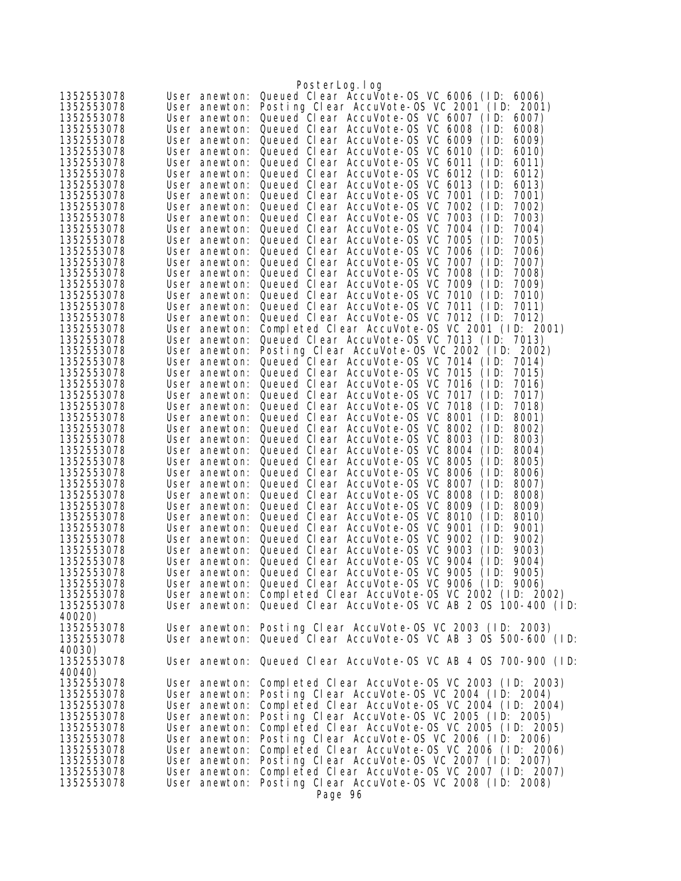|                          |                                | PosterLog.log                                                                                 |
|--------------------------|--------------------------------|-----------------------------------------------------------------------------------------------|
| 1352553078               | User anewton:                  | Queued Clear AccuVote-OS VC 6006 (ID:<br>6006)                                                |
| 1352553078               | User anewton:                  | Posting Clear AccuVote-OS VC 2001 (ID: 2001)                                                  |
| 1352553078               | User anewton:                  | Queued Clear AccuVote-OS VC 6007 (ID:<br>6007)                                                |
| 1352553078               | User anewton:                  | Queued Clear AccuVote-OS VC 6008<br>(1D)<br>6008)                                             |
| 1352553078               | User anewton:                  | Queued Clear AccuVote-OS VC 6009<br>(1D)<br>6009)                                             |
| 1352553078               | User anewton:                  | Queued Clear AccuVote-0S VC 6010<br>6010)<br>(1D)                                             |
| 1352553078               | User anewton:                  | Queued Clear AccuVote-0S VC 6011<br>(1D)<br>6011)                                             |
| 1352553078               | User anewton:                  | Queued Clear AccuVote-OS VC 6012<br>(1D)<br>6012)                                             |
| 1352553078               | User anewton:                  | Queued Clear AccuVote-OS VC 6013<br>(1D)<br>6013)                                             |
| 1352553078               | User anewton:                  | Queued Clear AccuVote-OS VC 7001<br>(1D)<br>7001)                                             |
| 1352553078               | User anewton:                  | Queued Clear AccuVote-OS VC<br>7002<br>(1D)<br>7002)                                          |
| 1352553078               | User anewton:                  | Queued Clear AccuVote-0S VC 7003<br>(1D)<br>7003)                                             |
| 1352553078               | User anewton:                  | Queued Clear AccuVote-0S VC 7004<br>(1D)<br>7004)                                             |
| 1352553078               | User anewton:                  | Queued Clear AccuVote-OS VC<br>7005<br>(1D)<br>7005)                                          |
| 1352553078               | User anewton:                  | Queued Clear AccuVote-OS VC 7006<br>(1D)<br>7006)                                             |
| 1352553078               | User anewton:                  | Queued Clear AccuVote-0S VC 7007<br>7007)<br>(1D)                                             |
| 1352553078               | User anewton:                  | Queued Clear AccuVote-0S VC 7008<br>(1D)<br>7008)                                             |
| 1352553078               | User anewton:                  | Queued Clear AccuVote-0S VC 7009<br>(1D)<br>7009)                                             |
| 1352553078               | User anewton:                  | Queued Clear AccuVote-OS VC 7010<br>(1D)<br>7010)                                             |
| 1352553078               | User anewton:                  | Queued Clear AccuVote-0S VC 7011<br>(1D)<br>7011)                                             |
| 1352553078               | User anewton:                  | Queued Clear AccuVote-OS VC 7012 (ID: 7012)                                                   |
| 1352553078               | User anewton:                  | Completed Clear AccuVote-OS VC 2001 (ID: 2001)                                                |
| 1352553078               | User anewton:                  | Queued Clear AccuVote-OS VC 7013 (ID: 7013)                                                   |
| 1352553078               | User anewton:                  | Posting Clear AccuVote-OS VC 2002 (ID: 2002)                                                  |
| 1352553078               | User anewton:                  | Queued Clear AccuVote-OS VC 7014 (ID:<br>7014)                                                |
| 1352553078               | User anewton:                  | Queued Clear AccuVote-0S VC 7015<br>(1D)<br>7015)                                             |
| 1352553078               | User anewton:                  | Queued Clear AccuVote-0S VC 7016<br>(1D)<br>7016)                                             |
| 1352553078               | User anewton:                  | Queued Clear AccuVote-0S VC 7017<br>(1D)<br>7017)                                             |
| 1352553078               | User anewton:                  | Queued Clear AccuVote-OS VC 7018<br>(1D)<br>7018)                                             |
| 1352553078               | User anewton:                  | Queued Clear AccuVote-OS VC 8001<br>(1D)<br>8001)                                             |
| 1352553078               | User anewton:                  | Queued Clear AccuVote-0S VC 8002<br>8002)<br>(1D)                                             |
| 1352553078               | User anewton:                  | Queued Clear AccuVote-OS VC 8003<br>(1D)<br>8003)                                             |
| 1352553078               | User anewton:                  | Queued Clear AccuVote-OS VC 8004<br>(1D)<br>8004)                                             |
| 1352553078               | User anewton:                  | Queued Clear AccuVote-0S VC 8005<br>(1D)<br>8005)                                             |
| 1352553078<br>1352553078 | User anewton:                  | Queued Clear AccuVote-OS VC 8006<br>(1D)<br>8006)<br>Queued Clear AccuVote-OS VC 8007<br>(1D) |
| 1352553078               | User anewton:<br>User anewton: | 8007)<br>Queued Clear AccuVote-0S VC 8008<br>(1D)<br>8008)                                    |
| 1352553078               | User anewton:                  | Queued Clear AccuVote-OS VC 8009<br>(1D)<br>8009)                                             |
| 1352553078               | User anewton:                  | Queued Clear AccuVote-OS VC 8010<br>(1D)<br>8010)                                             |
| 1352553078               | User anewton:                  | Queued Clear AccuVote-OS VC 9001<br>(1D)<br>9001)                                             |
| 1352553078               |                                | User anewton: Queued Clear AccuVote-OS VC 9002<br>(1D)<br>9002)                               |
| 1352553078               | User anewton:                  | Queued Clear AccuVote-OS VC 9003<br>(1D)<br>9003)                                             |
| 1352553078               |                                | User anewton: Queued Clear AccuVote-OS VC 9004<br>(1D)<br>9004)                               |
| 1352553078               |                                | User anewton: Queued Clear AccuVote-OS VC 9005 (ID:<br>9005)                                  |
| 1352553078               |                                | User anewton: Queued Clear AccuVote-OS VC 9006 (ID: 9006)                                     |
| 1352553078               |                                | User anewton: Completed Clear AccuVote-OS VC 2002 (ID: 2002)                                  |
| 1352553078               |                                | User anewton: Queued Clear AccuVote-OS VC AB 2 OS 100-400 (ID:                                |
| 40020)                   |                                |                                                                                               |
| 1352553078               |                                | User anewton: Posting Clear AccuVote-OS VC 2003 (ID: 2003)                                    |
| 1352553078               |                                | User anewton: Queued Clear AccuVote-OS VC AB 3 OS 500-600 (ID:                                |
| 40030)                   |                                |                                                                                               |
| 1352553078               |                                | User anewton: Queued Clear AccuVote-OS VC AB 4 OS 700-900 (ID:                                |
| 40040)                   |                                |                                                                                               |
| 1352553078               | User anewton:                  | Completed Clear AccuVote-0S VC 2003 (ID: 2003)                                                |
| 1352553078               | User anewton:                  | Posting Clear AccuVote-OS VC 2004 (ID: 2004)                                                  |
| 1352553078               | User anewton:                  | Completed Clear AccuVote-0S VC 2004 (ID: 2004)                                                |
| 1352553078               | User anewton:                  | Posting Clear AccuVote-OS VC 2005 (ID: 2005)                                                  |
| 1352553078               | User anewton:                  | Completed Clear AccuVote-OS VC 2005 (ID: 2005)                                                |
| 1352553078               | User anewton:                  | Posting Clear AccuVote-OS VC 2006 (ID: 2006)                                                  |
| 1352553078               | User anewton:                  | Completed Clear AccuVote-0S VC 2006 (ID: 2006)                                                |
| 1352553078               | User anewton:                  | Posting Clear AccuVote-OS VC 2007 (ID: 2007)                                                  |
| 1352553078               | User anewton:                  | Completed Clear AccuVote-OS VC 2007 (ID: 2007)                                                |
| 1352553078               | User anewton:                  | Posting Clear AccuVote-OS VC 2008 (ID: 2008)                                                  |
|                          |                                | Page 96                                                                                       |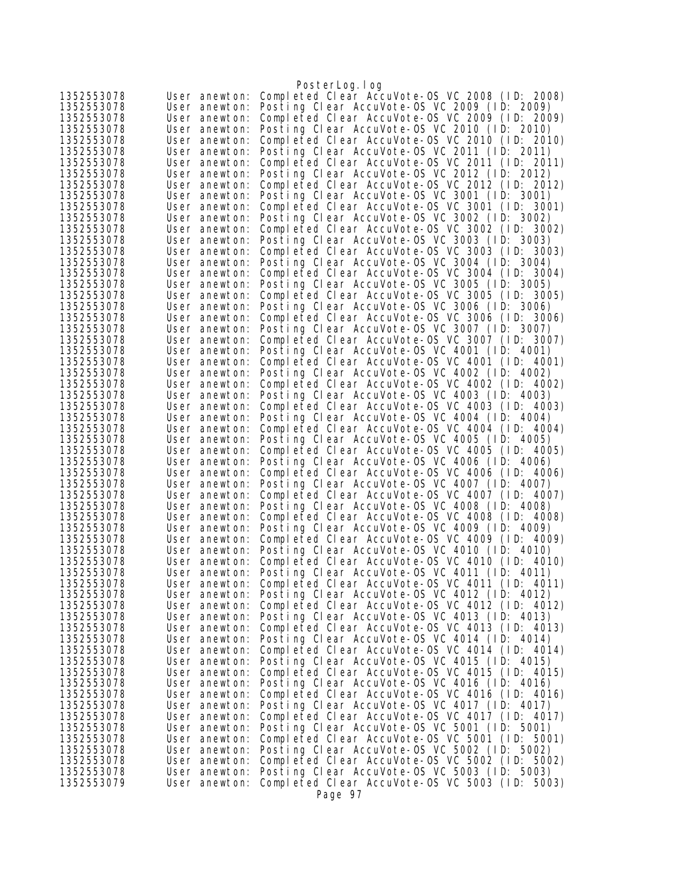|                          |                                | PosterLog.log                                                                                  |
|--------------------------|--------------------------------|------------------------------------------------------------------------------------------------|
| 1352553078               | User anewton:                  | Completed Clear AccuVote-OS VC 2008 (ID: 2008)                                                 |
| 1352553078               | User anewton:                  | Posting Clear AccuVote-OS VC 2009 (ID: 2009)                                                   |
| 1352553078               | User anewton:                  | Completed Clear AccuVote-OS VC 2009 (ID: 2009)                                                 |
| 1352553078               | User anewton:                  | Posting Clear AccuVote-OS VC 2010 (ID: 2010)                                                   |
| 1352553078               | User anewton:                  | Completed Clear AccuVote-0S VC 2010 (ID: 2010)                                                 |
| 1352553078               | User anewton:                  | Posting Clear AccuVote-OS VC 2011 (ID: 2011)                                                   |
| 1352553078               | User anewton:                  | Completed Clear AccuVote-OS VC 2011 (ID: 2011)                                                 |
| 1352553078               | User anewton:                  | Posting Clear AccuVote-OS VC 2012 (ID: 2012)<br>Completed Clear AccuVote-OS VC 2012 (ID: 2012) |
| 1352553078<br>1352553078 | User anewton:<br>User anewton: | Posting Clear AccuVote-OS VC 3001 (ID: 3001)                                                   |
| 1352553078               | User anewton:                  | Completed Clear AccuVote-OS VC 3001 (ID: 3001)                                                 |
| 1352553078               | User anewton:                  | Posting Clear AccuVote-OS VC 3002 (ID: 3002)                                                   |
| 1352553078               | User anewton:                  | Completed Clear AccuVote-OS VC 3002 (ID: 3002)                                                 |
| 1352553078               | User anewton:                  | Posting Clear AccuVote-OS VC 3003 (ID: 3003)                                                   |
| 1352553078               | User anewton:                  | Completed Clear AccuVote-OS VC 3003 (ID: 3003)                                                 |
| 1352553078               | User anewton:                  | Posting Clear AccuVote-OS VC 3004 (ID: 3004)                                                   |
| 1352553078               | User anewton:                  | Completed Clear AccuVote-OS VC 3004 (ID: 3004)                                                 |
| 1352553078               | User anewton:                  | Posting Clear AccuVote-OS VC 3005 (ID: 3005)                                                   |
| 1352553078               | User anewton:                  | Completed Clear AccuVote-OS VC 3005 (ID: 3005)                                                 |
| 1352553078               | User anewton:                  | Posting Clear AccuVote-OS VC 3006 (ID: 3006)                                                   |
| 1352553078               | User anewton:                  | Completed Clear AccuVote-0S VC 3006 (ID: 3006)                                                 |
| 1352553078               | User anewton:                  | Posting Clear AccuVote-OS VC 3007 (ID: 3007)                                                   |
| 1352553078<br>1352553078 | User anewton:<br>User anewton: | Completed Clear AccuVote-OS VC 3007 (ID: 3007)<br>Posting Clear AccuVote-OS VC 4001 (ID: 4001) |
| 1352553078               | User anewton:                  | Completed Clear AccuVote-OS VC 4001 (ID: 4001)                                                 |
| 1352553078               | User anewton:                  | Posting Clear AccuVote-OS VC 4002 (ID: 4002)                                                   |
| 1352553078               | User anewton:                  | Completed Clear AccuVote-OS VC 4002 (ID: 4002)                                                 |
| 1352553078               | User anewton:                  | Posting Clear AccuVote-OS VC 4003 (ID: 4003)                                                   |
| 1352553078               | User anewton:                  | Completed Clear AccuVote-OS VC 4003 (ID: 4003)                                                 |
| 1352553078               | User anewton:                  | Posting Clear AccuVote-OS VC 4004 (ID: 4004)                                                   |
| 1352553078               | User anewton:                  | Completed Clear AccuVote-OS VC 4004 (ID: 4004)                                                 |
| 1352553078               | User anewton:                  | Posting Clear AccuVote-OS VC 4005 (ID: 4005)                                                   |
| 1352553078               | User anewton:                  | Completed Clear AccuVote-OS VC 4005 (ID: 4005)                                                 |
| 1352553078<br>1352553078 | User anewton:<br>User anewton: | Posting Clear AccuVote-OS VC 4006 (ID: 4006)<br>Completed Clear AccuVote-0S VC 4006 (ID: 4006) |
| 1352553078               | User anewton:                  | Posting Clear AccuVote-OS VC 4007 (ID: 4007)                                                   |
| 1352553078               | User anewton:                  | Completed Clear AccuVote-OS VC 4007 (ID: 4007)                                                 |
| 1352553078               | User anewton:                  | Posting Clear AccuVote-OS VC 4008 (ID: 4008)                                                   |
| 1352553078               | User anewton:                  | Completed Clear AccuVote-OS VC 4008 (ID: 4008)                                                 |
| 1352553078               | User anewton:                  | Posting Clear AccuVote-OS VC 4009 (ID: 4009)                                                   |
| 1352553078               | User anewton:                  | Completed Clear AccuVote-OS VC 4009 (ID: 4009)                                                 |
| 1352553078               | User anewton:                  | Posting Clear AccuVote-OS VC 4010 (ID: 4010)                                                   |
| 1352553078               | User anewton:                  | Completed Clear AccuVote-OS VC 4010 (ID: 4010)<br>Posting Clear AccuVote-OS VC 4011 (ID: 4011) |
| 1352553078<br>1352553078 | User anewton:<br>User anewton: | Completed Clear AccuVote-OS VC 4011 (ID: 4011)                                                 |
| 1352553078               | User anewton:                  | Posting Clear AccuVote-OS VC 4012 (ID: 4012)                                                   |
| 1352553078               | User anewton:                  | Completed Clear AccuVote-OS VC 4012 (ID: 4012)                                                 |
| 1352553078               | User anewton:                  | Posting Clear AccuVote-OS VC 4013 (ID: 4013)                                                   |
| 1352553078               | User anewton:                  | Completed Clear AccuVote-OS VC 4013 (ID: 4013)                                                 |
| 1352553078               | User anewton:                  | Posting Clear AccuVote-OS VC 4014 (ID: 4014)                                                   |
| 1352553078               | User anewton:                  | Completed Clear AccuVote-OS VC 4014 (ID: 4014)                                                 |
| 1352553078               | User anewton:                  | Posting Clear AccuVote-OS VC 4015 (ID: 4015)                                                   |
| 1352553078<br>1352553078 | User anewton:                  | Completed Clear AccuVote-OS VC 4015 (ID: 4015)                                                 |
| 1352553078               | User anewton:<br>User anewton: | Posting Clear AccuVote-OS VC 4016 (ID: 4016)<br>Completed Clear AccuVote-0S VC 4016 (ID: 4016) |
| 1352553078               | User anewton:                  | Posting Clear AccuVote-OS VC 4017 (ID: 4017)                                                   |
| 1352553078               | User anewton:                  | Completed Clear AccuVote-0S VC 4017 (ID: 4017)                                                 |
| 1352553078               | User anewton:                  | Posting Clear AccuVote-OS VC 5001 (ID: 5001)                                                   |
| 1352553078               | User anewton:                  | Completed Clear AccuVote-OS VC 5001 (ID: 5001)                                                 |
| 1352553078               | User anewton:                  | Posting Clear AccuVote-OS VC 5002 (ID: 5002)                                                   |
| 1352553078               | User anewton:                  | Completed Clear AccuVote-OS VC 5002 (ID: 5002)                                                 |
| 1352553078<br>1352553079 | User anewton:                  | Posting Clear AccuVote-OS VC 5003 (ID: 5003)                                                   |
|                          | User anewton:                  | Completed Clear AccuVote-OS VC 5003 (ID: 5003)<br>Page 97                                      |
|                          |                                |                                                                                                |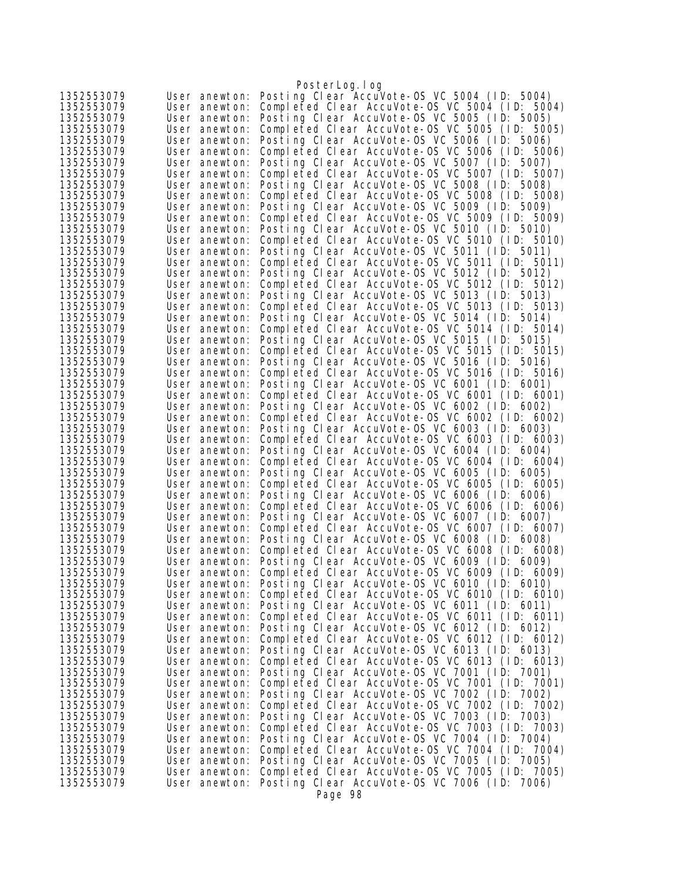|                          |                                | PosterLog.log                                                                                  |
|--------------------------|--------------------------------|------------------------------------------------------------------------------------------------|
| 1352553079               | User anewton:                  | Posting Clear AccuVote-OS VC 5004 (ID: 5004)                                                   |
| 1352553079               | User anewton:                  | Completed Clear AccuVote-OS VC 5004 (ID: 5004)                                                 |
| 1352553079               | User anewton:                  | Posting Clear AccuVote-OS VC 5005 (ID: 5005)                                                   |
| 1352553079               | User anewton:                  | Completed Clear AccuVote-OS VC 5005 (ID: 5005)                                                 |
| 1352553079               | User anewton:                  | Posting Clear AccuVote-OS VC 5006 (ID: 5006)                                                   |
| 1352553079               | User anewton:                  | Completed Clear AccuVote-OS VC 5006 (ID: 5006)                                                 |
| 1352553079<br>1352553079 | User anewton:                  | Posting Clear AccuVote-OS VC 5007 (ID: 5007)                                                   |
|                          | User anewton:                  | Completed Clear AccuVote-OS VC 5007 (ID: 5007)<br>Posting Clear AccuVote-OS VC 5008 (ID: 5008) |
| 1352553079<br>1352553079 | User anewton:<br>User anewton: | Completed Clear AccuVote-OS VC 5008 (ID: 5008)                                                 |
| 1352553079               | User anewton:                  | Posting Clear AccuVote-OS VC 5009 (ID: 5009)                                                   |
| 1352553079               | User anewton:                  | Completed Clear AccuVote-0S VC 5009 (ID: 5009)                                                 |
| 1352553079               | User anewton:                  | Posting Clear AccuVote-OS VC 5010 (ID: 5010)                                                   |
| 1352553079               | User anewton:                  | Completed Clear AccuVote-0S VC 5010 (ID: 5010)                                                 |
| 1352553079               | User anewton:                  | Posting Clear AccuVote-OS VC 5011 (ID: 5011)                                                   |
| 1352553079               | User anewton:                  | Completed Clear AccuVote-OS VC 5011 (ID: 5011)                                                 |
| 1352553079               | User anewton:                  | Posting Clear AccuVote-OS VC 5012 (ID: 5012)                                                   |
| 1352553079               | User anewton:                  | Completed Clear AccuVote-OS VC 5012 (ID: 5012)                                                 |
| 1352553079               | User anewton:                  | Posting Clear AccuVote-OS VC 5013 (ID: 5013)                                                   |
| 1352553079               | User anewton:                  | Completed Clear AccuVote-OS VC 5013 (ID: 5013)                                                 |
| 1352553079               | User anewton:                  | Posting Clear AccuVote-OS VC 5014 (ID: 5014)                                                   |
| 1352553079               | User anewton:                  | Completed Clear AccuVote-OS VC 5014 (ID: 5014)                                                 |
| 1352553079               | User anewton:                  | Posting Clear AccuVote-OS VC 5015 (ID: 5015)                                                   |
| 1352553079<br>1352553079 | User anewton:<br>User anewton: | Completed Clear AccuVote-OS VC 5015 (ID: 5015)<br>Posting Clear AccuVote-OS VC 5016 (ID: 5016) |
| 1352553079               | User anewton:                  | Completed Clear AccuVote-OS VC 5016 (ID: 5016)                                                 |
| 1352553079               | User anewton:                  | Posting Clear AccuVote-OS VC 6001 (ID: 6001)                                                   |
| 1352553079               | User anewton:                  | Completed Clear AccuVote-OS VC 6001 (ID: 6001)                                                 |
| 1352553079               | User anewton:                  | Posting Clear AccuVote-OS VC 6002 (ID: 6002)                                                   |
| 1352553079               | User anewton:                  | Completed Clear AccuVote-OS VC 6002 (ID: 6002)                                                 |
| 1352553079               | User anewton:                  | Posting Clear AccuVote-OS VC 6003 (ID: 6003)                                                   |
| 1352553079               | User anewton:                  | Completed Clear AccuVote-OS VC 6003 (ID: 6003)                                                 |
| 1352553079               | User anewton:                  | Posting Clear AccuVote-OS VC 6004 (ID: 6004)                                                   |
| 1352553079               | User anewton:                  | Completed Clear AccuVote-OS VC 6004 (ID: 6004)                                                 |
| 1352553079               | User anewton:                  | Posting Clear AccuVote-OS VC 6005 (ID: 6005)                                                   |
| 1352553079<br>1352553079 | User anewton:                  | Completed Clear AccuVote-OS VC 6005 (ID: 6005)<br>Posting Clear AccuVote-OS VC 6006 (ID: 6006) |
| 1352553079               | User anewton:<br>User anewton: | Completed Clear AccuVote-OS VC 6006 (ID: 6006)                                                 |
| 1352553079               | User anewton:                  | Posting Clear AccuVote-OS VC 6007 (ID: 6007)                                                   |
| 1352553079               | User anewton:                  | Completed Clear AccuVote-OS VC 6007 (ID: 6007)                                                 |
| 1352553079               | User anewton:                  | Posting Clear AccuVote-OS VC 6008 (ID: 6008)                                                   |
| 1352553079               | User anewton:                  | Completed Clear AccuVote-0S VC 6008 (ID: 6008)                                                 |
| 1352553079               | User anewton:                  | Posting Clear AccuVote-OS VC 6009 (ID: 6009)                                                   |
| 1352553079               | User anewton:                  | Completed Clear AccuVote-OS VC 6009 (ID: 6009)                                                 |
| 1352553079               | User anewton:                  | Posting Clear AccuVote-OS VC 6010 (ID: 6010)                                                   |
| 1352553079               | User anewton:                  | Completed Clear AccuVote-0S VC 6010 (ID: 6010)                                                 |
| 1352553079               | User anewton:                  | Posting Clear AccuVote-OS VC 6011 (ID: 6011)                                                   |
| 1352553079               | User anewton:                  | Completed Clear AccuVote-0S VC 6011 (ID: 6011)                                                 |
| 1352553079<br>1352553079 | User anewton:<br>User anewton: | Posting Clear AccuVote-OS VC 6012 (ID: 6012)<br>Completed Clear AccuVote-OS VC 6012 (ID: 6012) |
| 1352553079               | User anewton:                  | Posting Clear AccuVote-OS VC 6013 (ID: 6013)                                                   |
| 1352553079               | User anewton:                  | Completed Clear AccuVote-OS VC 6013 (ID: 6013)                                                 |
| 1352553079               | User anewton:                  | Posting Clear AccuVote-OS VC 7001 (ID: 7001)                                                   |
| 1352553079               | User anewton:                  | Completed Clear AccuVote-OS VC 7001 (ID: 7001)                                                 |
| 1352553079               | User anewton:                  | Posting Clear AccuVote-OS VC 7002 (ID: 7002)                                                   |
| 1352553079               | User anewton:                  | Completed Clear AccuVote-OS VC 7002 (ID: 7002)                                                 |
| 1352553079               | User anewton:                  | Posting Clear AccuVote-OS VC 7003 (ID: 7003)                                                   |
| 1352553079               | User anewton:                  | Completed Clear AccuVote-OS VC 7003 (ID: 7003)                                                 |
| 1352553079               | User anewton:                  | Posting Clear AccuVote-OS VC 7004 (ID: 7004)                                                   |
| 1352553079               | User anewton:                  | Completed Clear AccuVote-OS VC 7004 (ID: 7004)                                                 |
| 1352553079               | User anewton:                  | Posting Clear AccuVote-OS VC 7005 (ID: 7005)                                                   |
| 1352553079<br>1352553079 | User anewton:<br>User anewton: | Completed Clear AccuVote-OS VC 7005 (ID: 7005)<br>Posting Clear AccuVote-OS VC 7006 (ID: 7006) |
|                          |                                | Page 98                                                                                        |
|                          |                                |                                                                                                |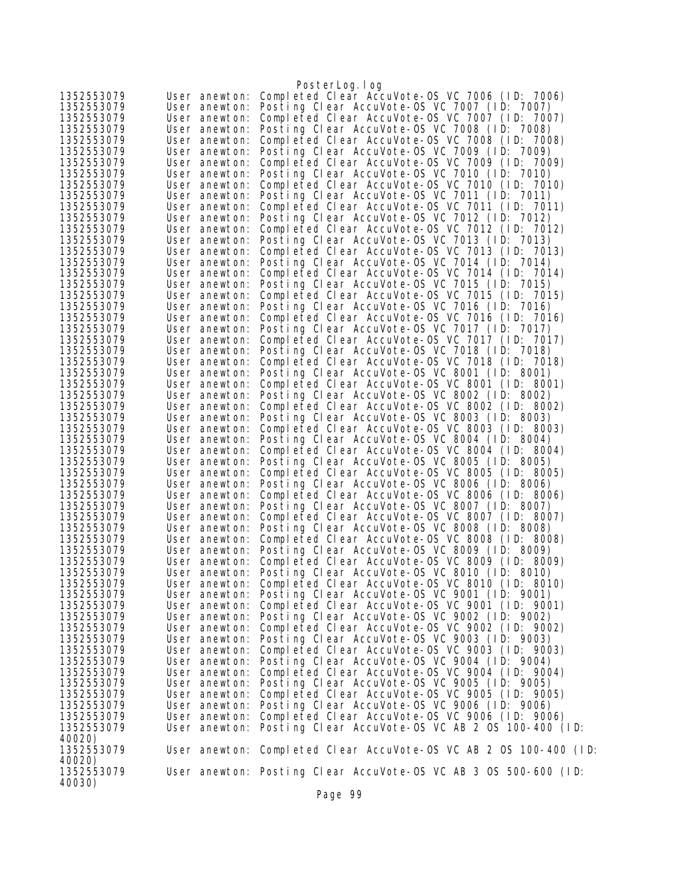|                          |                                | PosterLog.log                                                                                  |
|--------------------------|--------------------------------|------------------------------------------------------------------------------------------------|
| 1352553079               | User anewton:                  | Completed Clear AccuVote-0S VC 7006 (ID: 7006)                                                 |
| 1352553079               | User anewton:                  | Posting Clear AccuVote-OS VC 7007 (ID: 7007)                                                   |
| 1352553079               | User anewton:                  | Completed Clear AccuVote-0S VC 7007 (ID: 7007)                                                 |
| 1352553079               | User anewton:                  | Posting Clear AccuVote-OS VC 7008 (ID: 7008)                                                   |
| 1352553079               | User anewton:                  | Completed Clear AccuVote-OS VC 7008 (ID: 7008)                                                 |
| 1352553079               | User anewton:                  | Posting Clear AccuVote-OS VC 7009 (ID: 7009)                                                   |
| 1352553079               | User anewton:                  | Completed Clear AccuVote-OS VC 7009 (ID: 7009)                                                 |
| 1352553079               | User anewton:                  | Posting Clear AccuVote-OS VC 7010 (ID: 7010)                                                   |
| 1352553079               | User anewton:                  | Completed Clear AccuVote-OS VC 7010 (ID: 7010)                                                 |
| 1352553079               | User anewton:                  | Posting Clear AccuVote-OS VC 7011 (ID: 7011)                                                   |
| 1352553079               | User anewton:                  | Completed Clear AccuVote-OS VC 7011 (ID: 7011)                                                 |
| 1352553079               | User anewton:                  | Posting Clear AccuVote-OS VC 7012 (ID: 7012)                                                   |
| 1352553079               | User anewton:                  | Completed Clear AccuVote-OS VC 7012 (ID: 7012)                                                 |
| 1352553079               | User anewton:                  | Posting Clear AccuVote-OS VC 7013 (ID: 7013)                                                   |
| 1352553079               | User anewton:                  | Completed Clear AccuVote-OS VC 7013 (ID: 7013)                                                 |
| 1352553079               | User anewton:                  | Posting Clear AccuVote-OS VC 7014 (ID: 7014)                                                   |
| 1352553079               | User anewton:                  | Completed Clear AccuVote-OS VC 7014 (ID: 7014)                                                 |
| 1352553079               | User anewton:                  | Posting Clear AccuVote-OS VC 7015 (ID: 7015)                                                   |
| 1352553079               | User anewton:                  | Completed Clear AccuVote-OS VC 7015 (ID: 7015)                                                 |
| 1352553079               | User anewton:                  | Posting Clear AccuVote-OS VC 7016 (ID: 7016)                                                   |
| 1352553079               | User anewton:                  | Completed Clear AccuVote-OS VC 7016 (ID: 7016)                                                 |
| 1352553079               | User anewton:                  | Posting Clear AccuVote-OS VC 7017 (ID: 7017)                                                   |
| 1352553079               | User anewton:                  | Completed Clear AccuVote-OS VC 7017 (ID: 7017)                                                 |
| 1352553079               | User anewton:                  | Posting Clear AccuVote-OS VC 7018 (ID: 7018)                                                   |
| 1352553079               | User anewton:                  | Completed Clear AccuVote-OS VC 7018 (ID: 7018)                                                 |
| 1352553079               | User anewton:<br>User anewton: | Posting Clear AccuVote-OS VC 8001 (ID: 8001)<br>Completed Clear AccuVote-OS VC 8001 (ID: 8001) |
| 1352553079<br>1352553079 | User anewton:                  | Posting Clear AccuVote-OS VC 8002 (ID: 8002)                                                   |
| 1352553079               | User anewton:                  | Completed Clear AccuVote-OS VC 8002 (ID: 8002)                                                 |
| 1352553079               | User anewton:                  | Posting Clear AccuVote-OS VC 8003 (ID: 8003)                                                   |
| 1352553079               | User anewton:                  | Completed Clear AccuVote-OS VC 8003 (ID: 8003)                                                 |
| 1352553079               | User anewton:                  | Posting Clear AccuVote-OS VC 8004 (ID: 8004)                                                   |
| 1352553079               | User anewton:                  | Completed Clear AccuVote-OS VC 8004 (ID: 8004)                                                 |
| 1352553079               | User anewton:                  | Posting Clear AccuVote-OS VC 8005 (ID: 8005)                                                   |
| 1352553079               | User anewton:                  | Completed Clear AccuVote-OS VC 8005 (ID: 8005)                                                 |
| 1352553079               | User anewton:                  | Posting Clear AccuVote-OS VC 8006 (ID: 8006)                                                   |
| 1352553079               | User anewton:                  | Completed Clear AccuVote-OS VC 8006 (ID: 8006)                                                 |
| 1352553079               | User anewton:                  | Posting Clear AccuVote-OS VC 8007 (ID: 8007)                                                   |
| 1352553079               | User anewton:                  | Completed Clear AccuVote-OS VC 8007 (ID: 8007)                                                 |
| 1352553079               | User anewton:                  | Posting Clear AccuVote-OS VC 8008 (ID: 8008)                                                   |
| 1352553079               | User anewton:                  | Completed Clear AccuVote-OS VC 8008 (ID: 8008)                                                 |
| 1352553079               | User anewton:                  | Posting Clear AccuVote-OS VC 8009 (ID: 8009)                                                   |
| 1352553079               | User anewton:                  | Completed Clear AccuVote-0S VC 8009 (ID: 8009)                                                 |
| 1352553079               |                                | User anewton: Posting Clear AccuVote-OS VC 8010 (ID: 8010)                                     |
| 1352553079               | User anewton:                  | Completed Clear AccuVote-OS VC 8010 (ID: 8010)                                                 |
| 1352553079               |                                | User anewton: Posting Clear AccuVote-OS VC 9001 (ID: 9001)                                     |
| 1352553079               | User anewton:                  | Completed Clear AccuVote-OS VC 9001 (ID: 9001)<br>Posting Clear AccuVote-OS VC 9002 (ID: 9002) |
| 1352553079<br>1352553079 | User anewton:<br>User anewton: | Completed Clear AccuVote-OS VC 9002 (ID: 9002)                                                 |
| 1352553079               | User anewton:                  | Posting Clear AccuVote-OS VC 9003 (ID: 9003)                                                   |
| 1352553079               | User anewton:                  | Completed Clear AccuVote-0S VC 9003 (ID: 9003)                                                 |
| 1352553079               | User anewton:                  | Posting Clear AccuVote-OS VC 9004 (ID: 9004)                                                   |
| 1352553079               | User anewton:                  | Completed Clear AccuVote-0S VC 9004 (ID: 9004)                                                 |
| 1352553079               | User anewton:                  | Posting Clear AccuVote-OS VC 9005 (ID: 9005)                                                   |
| 1352553079               | User anewton:                  | Completed Clear AccuVote-OS VC 9005 (ID: 9005)                                                 |
| 1352553079               | User anewton:                  | Posting Clear AccuVote-OS VC 9006 (ID: 9006)                                                   |
| 1352553079               | User anewton:                  | Completed Clear AccuVote-0S VC 9006 (ID: 9006)                                                 |
| 1352553079               | User anewton:                  | Posting Clear AccuVote-OS VC AB 2 OS 100-400 (ID:                                              |
| 40020)                   |                                |                                                                                                |
| 1352553079               |                                | User anewton: Completed Clear AccuVote-OS VC AB 2 OS 100-400 (ID:                              |
| 40020)                   |                                |                                                                                                |
| 1352553079               |                                | User anewton: Posting Clear AccuVote-OS VC AB 3 OS 500-600 (ID:                                |
| 40030)                   |                                | $D_{\alpha\alpha\alpha}$ 00                                                                    |
|                          |                                |                                                                                                |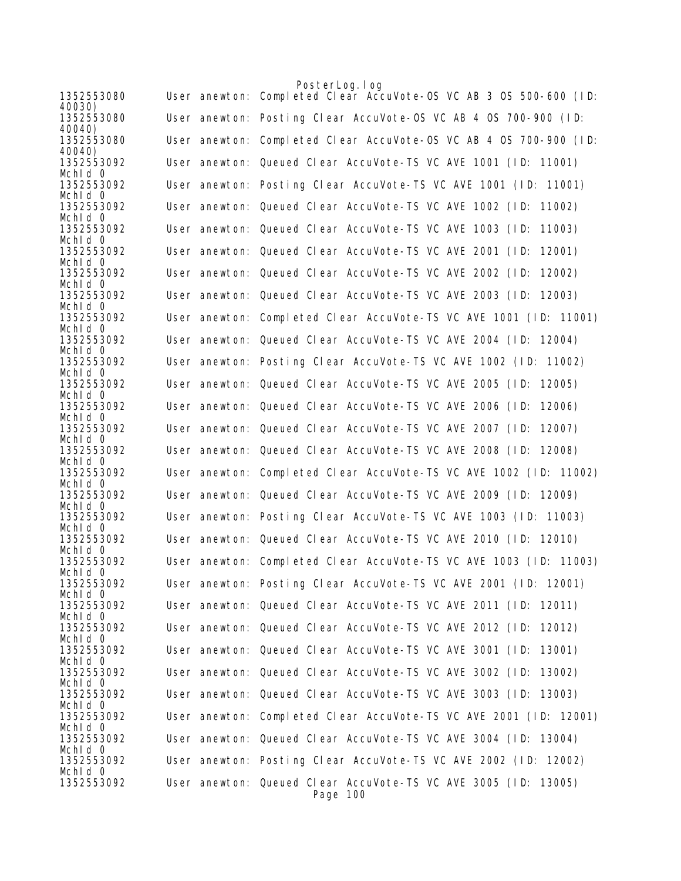|                       | PosterLog. I og                                                            |
|-----------------------|----------------------------------------------------------------------------|
| 1352553080<br>40030)  | User anewton: Completed Clear AccuVote-0S VC AB 3 0S 500-600 (ID:          |
| 1352553080<br>40040)  | User anewton: Posting Clear AccuVote-OS VC AB 4 OS 700-900 (ID:            |
| 1352553080<br>40040)  | User anewton: Completed Clear AccuVote-OS VC AB 4 OS 700-900 (ID:          |
| 1352553092<br>Mchid 0 | User anewton: Queued Clear AccuVote-TS VC AVE 1001 (ID: 11001)             |
| 1352553092<br>Mchid 0 | User anewton: Posting Clear AccuVote-TS VC AVE 1001 (ID: 11001)            |
| 1352553092<br>Mchid 0 | User anewton: Queued Clear AccuVote-TS VC AVE 1002 (ID: 11002)             |
| 1352553092<br>Mchid 0 | User anewton: Queued Clear AccuVote-TS VC AVE 1003 (ID:<br>11003)          |
| 1352553092<br>Mchid 0 | User anewton: Queued Clear AccuVote-TS VC AVE 2001 (ID:<br>12001)          |
| 1352553092<br>Mchid 0 | User anewton: Queued Clear AccuVote-TS VC AVE 2002 (ID:<br>12002)          |
| 1352553092<br>Mchid 0 | User anewton: Queued Clear AccuVote-TS VC AVE 2003 (ID: 12003)             |
| 1352553092<br>Mchid 0 | User anewton: Completed Clear AccuVote-TS VC AVE 1001 (ID: 11001)          |
| 1352553092<br>Mchid 0 | User anewton: Queued Clear AccuVote-TS VC AVE 2004 (ID: 12004)             |
| 1352553092<br>Mchid 0 | User anewton: Posting Clear AccuVote-TS VC AVE 1002 (ID: 11002)            |
| 1352553092<br>Mchld 0 | User anewton: Queued Clear AccuVote-TS VC AVE 2005 (ID: 12005)             |
| 1352553092<br>Mchid 0 | User anewton: Queued Clear AccuVote-TS VC AVE 2006 (ID:<br>12006)          |
| 1352553092<br>Mchid 0 | User anewton: Queued Clear AccuVote-TS VC AVE 2007 (ID:<br>12007)          |
| 1352553092<br>Mchid 0 | User anewton: Queued Clear AccuVote-TS VC AVE 2008 (ID: 12008)             |
| 1352553092<br>Mchid 0 | User anewton: Completed Clear AccuVote-TS VC AVE 1002 (ID: 11002)          |
| 1352553092<br>Mchid 0 | User anewton: Queued Clear AccuVote-TS VC AVE 2009 (ID: 12009)             |
| 1352553092<br>Mchid 0 | User anewton: Posting Clear AccuVote-TS VC AVE 1003 (ID: 11003)            |
| 1352553092<br>Mchid 0 | User anewton: Queued Clear AccuVote-TS VC AVE 2010 (ID: 12010)             |
| 1352553092<br>Mchid 0 | User anewton: Completed Clear AccuVote-TS VC AVE 1003 (ID: 11003)          |
| 1352553092<br>Mchid 0 | User anewton: Posting Clear AccuVote-TS VC AVE 2001 (ID: 12001)            |
| 1352553092<br>Mchid 0 | User anewton: Queued Clear AccuVote-TS VC AVE 2011 (ID: 12011)             |
| 1352553092<br>Mchid 0 | User anewton: Queued Clear AccuVote-TS VC AVE 2012 (ID: 12012)             |
| 1352553092<br>Mchid 0 | User anewton: Queued Clear AccuVote-TS VC AVE 3001 (ID: 13001)             |
| 1352553092<br>Mchld 0 | User anewton: Queued Clear AccuVote-TS VC AVE 3002 (ID: 13002)             |
| 1352553092<br>Mchid 0 | User anewton: Queued Clear AccuVote-TS VC AVE 3003 (ID: 13003)             |
| 1352553092<br>Mchid 0 | User anewton: Completed Clear AccuVote-TS VC AVE 2001 (ID: 12001)          |
| 1352553092<br>Mchid 0 | User anewton: Queued Clear AccuVote-TS VC AVE 3004 (ID: 13004)             |
| 1352553092<br>Mchid 0 | User anewton: Posting Clear AccuVote-TS VC AVE 2002 (ID: 12002)            |
| 1352553092            | User anewton: Queued Clear AccuVote-TS VC AVE 3005 (ID: 13005)<br>Page 100 |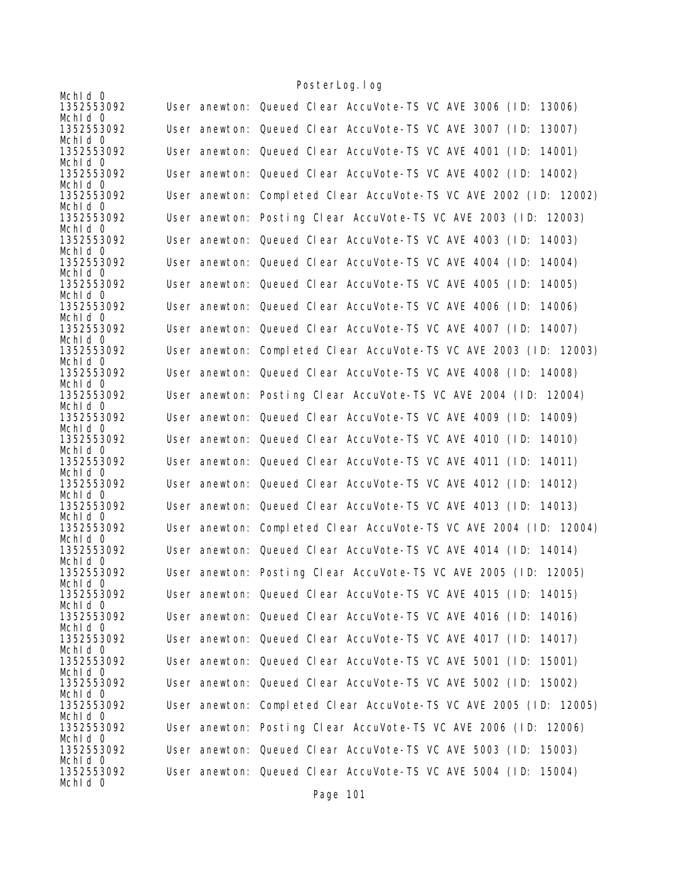|                       | <u>i obitci Lugarug</u>                                           |
|-----------------------|-------------------------------------------------------------------|
| Mchid 0<br>1352553092 | User anewton: Queued Clear AccuVote-TS VC AVE 3006 (ID: 13006)    |
| Mchid 0<br>1352553092 | User anewton: Queued Clear AccuVote-TS VC AVE 3007 (ID:<br>13007) |
| Mchid 0               |                                                                   |
| 1352553092<br>Mchid 0 | User anewton: Queued Clear AccuVote-TS VC AVE 4001 (ID: 14001)    |
| 1352553092<br>Mchld 0 | User anewton: Queued Clear AccuVote-TS VC AVE 4002 (ID: 14002)    |
| 1352553092<br>Mchld 0 | User anewton: Completed Clear AccuVote-TS VC AVE 2002 (ID: 12002) |
| 1352553092<br>Mchid 0 | User anewton: Posting Clear AccuVote-TS VC AVE 2003 (ID: 12003)   |
| 1352553092            | User anewton: Queued Clear AccuVote-TS VC AVE 4003 (ID: 14003)    |
| Mchld 0<br>1352553092 | User anewton: Queued Clear AccuVote-TS VC AVE 4004 (ID:<br>14004) |
| Mchid 0<br>1352553092 | User anewton: Queued Clear AccuVote-TS VC AVE 4005 (ID: 14005)    |
| Mchid 0               |                                                                   |
| 1352553092<br>Mchld 0 | User anewton: Queued Clear AccuVote-TS VC AVE 4006 (ID: 14006)    |
| 1352553092<br>Mchid 0 | User anewton: Queued Clear AccuVote-TS VC AVE 4007 (ID: 14007)    |
| 1352553092            | User anewton: Completed Clear AccuVote-TS VC AVE 2003 (ID: 12003) |
| Mchid 0<br>1352553092 | User anewton: Queued Clear AccuVote-TS VC AVE 4008 (ID: 14008)    |
| Mchld 0<br>1352553092 | User anewton: Posting Clear AccuVote-TS VC AVE 2004 (ID: 12004)   |
| Mchid 0<br>1352553092 | User anewton: Queued Clear AccuVote-TS VC AVE 4009 (ID: 14009)    |
| Mchid 0               |                                                                   |
| 1352553092<br>Mchld 0 | User anewton: Queued Clear AccuVote-TS VC AVE 4010 (ID: 14010)    |
| 1352553092<br>Mchid 0 | User anewton: Queued Clear AccuVote-TS VC AVE 4011 (ID: 14011)    |
| 1352553092<br>Mchid 0 | User anewton: Queued Clear AccuVote-TS VC AVE 4012 (ID:<br>14012) |
| 1352553092            | User anewton: Queued Clear AccuVote-TS VC AVE 4013 (ID: 14013)    |
| Mchld 0<br>1352553092 | User anewton: Completed Clear AccuVote-TS VC AVE 2004 (ID: 12004) |
| Mchld 0<br>1352553092 | User anewton: Queued Clear AccuVote-TS VC AVE 4014 (ID: 14014)    |
| Mchld 0               |                                                                   |
| 1352553092<br>Mchid 0 | User anewton: Posting Clear AccuVote-TS VC AVE 2005 (ID: 12005)   |
| 1352553092<br>Mchid 0 | User anewton: Queued Clear AccuVote-TS VC AVE 4015 (ID: 14015)    |
| 1352553092<br>Mchid 0 | User anewton: Queued Clear AccuVote-TS VC AVE 4016 (ID: 14016)    |
| 1352553092            | User anewton: Queued Clear AccuVote-TS VC AVE 4017 (ID: 14017)    |
| Mchid 0<br>1352553092 | User anewton: Queued Clear AccuVote-TS VC AVE 5001 (ID: 15001)    |
| Mchid 0<br>1352553092 | User anewton: Queued Clear AccuVote-TS VC AVE 5002 (ID: 15002)    |
| Mchid 0<br>1352553092 | User anewton: Completed Clear AccuVote-TS VC AVE 2005 (ID: 12005) |
| Mchid 0               |                                                                   |
| 1352553092<br>Mchid 0 | User anewton: Posting Clear AccuVote-TS VC AVE 2006 (ID: 12006)   |
| 1352553092<br>Mchid 0 | User anewton: Queued Clear AccuVote-TS VC AVE 5003 (ID: 15003)    |
| 1352553092<br>Mchid 0 | User anewton: Queued Clear AccuVote-TS VC AVE 5004 (ID: 15004)    |
|                       |                                                                   |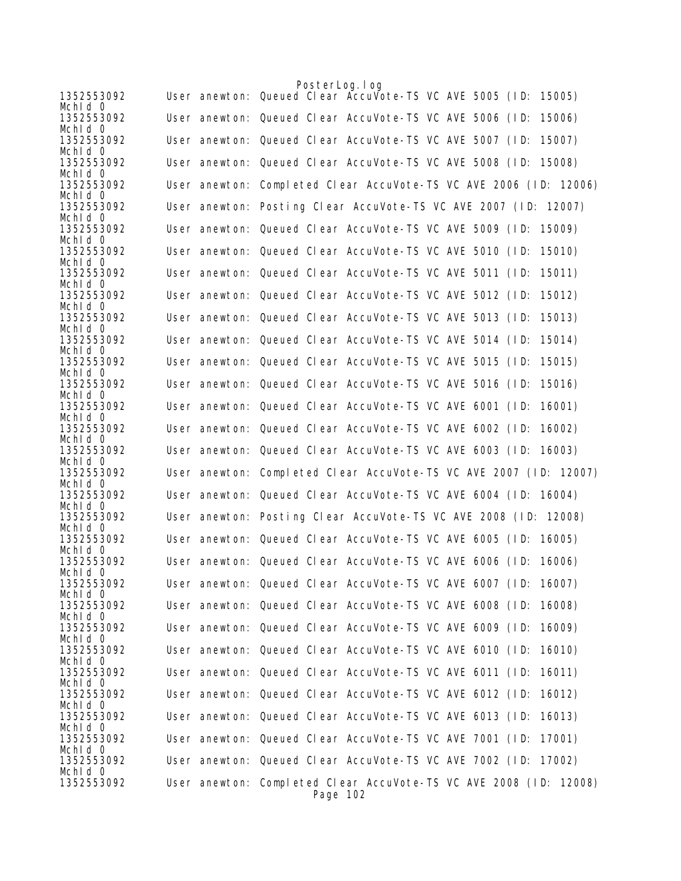|                       |  | PosterLog. I og                                                               |
|-----------------------|--|-------------------------------------------------------------------------------|
| 1352553092<br>Mchid 0 |  | User anewton: Queued Clear Accuvote-TS VC AVE 5005 (ID:<br>15005)             |
| 1352553092<br>Mchld 0 |  | User anewton: Queued Clear AccuVote-TS VC AVE 5006 (ID:<br>15006)             |
| 1352553092<br>Mchid 0 |  | User anewton: Queued Clear AccuVote-TS VC AVE 5007 (ID:<br>15007)             |
| 1352553092            |  | User anewton: Queued Clear AccuVote-TS VC AVE 5008 (ID: 15008)                |
| Mchid 0<br>1352553092 |  | User anewton: Completed Clear AccuVote-TS VC AVE 2006 (ID: 12006)             |
| Mchld 0<br>1352553092 |  | User anewton: Posting Clear AccuVote-TS VC AVE 2007 (ID: 12007)               |
| Mchid 0<br>1352553092 |  | User anewton: Queued Clear AccuVote-TS VC AVE 5009 (ID:<br>15009)             |
| Mchld 0<br>1352553092 |  | User anewton: Queued Clear AccuVote-TS VC AVE 5010 (ID:<br>15010)             |
| Mchid 0               |  |                                                                               |
| 1352553092<br>Mchid 0 |  | User anewton: Queued Clear AccuVote-TS VC AVE 5011 (ID: 15011)                |
| 1352553092<br>Mchid 0 |  | User anewton: Queued Clear AccuVote-TS VC AVE 5012 (ID:<br>15012)             |
| 1352553092<br>Mchid 0 |  | User anewton: Queued Clear AccuVote-TS VC AVE 5013 (ID:<br>15013)             |
| 1352553092<br>Mchid 0 |  | User anewton: Queued Clear AccuVote-TS VC AVE 5014 (ID:<br>15014)             |
| 1352553092            |  | User anewton: Queued Clear AccuVote-TS VC AVE 5015 (ID:<br>15015)             |
| Mchid 0<br>1352553092 |  | User anewton: Queued Clear AccuVote-TS VC AVE 5016 (ID:<br>15016)             |
| Mchid 0<br>1352553092 |  | User anewton: Queued Clear AccuVote-TS VC AVE 6001 (ID:<br>16001)             |
| Mchid 0<br>1352553092 |  | User anewton: Queued Clear AccuVote-TS VC AVE 6002 (ID:<br>16002)             |
| Mchld 0<br>1352553092 |  | User anewton: Queued Clear AccuVote-TS VC AVE 6003 (ID: 16003)                |
| Mchid 0<br>1352553092 |  | User anewton: Completed Clear AccuVote-TS VC AVE 2007 (ID: 12007)             |
| Mchid 0<br>1352553092 |  | User anewton: Queued Clear AccuVote-TS VC AVE 6004 (ID: 16004)                |
| Mchid 0               |  |                                                                               |
| 1352553092<br>Mchid 0 |  | User anewton: Posting Clear AccuVote-TS VC AVE 2008 (ID: 12008)               |
| 1352553092<br>Mchid 0 |  | User anewton: Queued Clear AccuVote-TS VC AVE 6005 (ID: 16005)                |
| 1352553092<br>Mchid 0 |  | User anewton: Queued Clear AccuVote-TS VC AVE 6006 (ID:<br>16006)             |
| 1352553092<br>Mchid 0 |  | User anewton: Queued Clear AccuVote-TS VC AVE 6007 (ID: 16007)                |
| 1352553092            |  | User anewton: Queued Clear AccuVote-TS VC AVE 6008 (ID: 16008)                |
| Mchid 0<br>1352553092 |  | User anewton: Queued Clear AccuVote-TS VC AVE 6009 (ID: 16009)                |
| Mchid O<br>1352553092 |  | User anewton: Queued Clear AccuVote-TS VC AVE 6010 (ID: 16010)                |
| Mchid 0<br>1352553092 |  | User anewton: Queued Clear AccuVote-TS VC AVE 6011 (ID: 16011)                |
| Mchid 0<br>1352553092 |  | User anewton: Queued Clear AccuVote-TS VC AVE 6012 (ID: 16012)                |
| Mchid 0               |  |                                                                               |
| 1352553092<br>Mchid 0 |  | User anewton: Queued Clear AccuVote-TS VC AVE 6013 (ID: 16013)                |
| 1352553092<br>Mchid 0 |  | User anewton: Queued Clear AccuVote-TS VC AVE 7001 (ID: 17001)                |
| 1352553092<br>Mchid 0 |  | User anewton: Queued Clear AccuVote-TS VC AVE 7002 (ID: 17002)                |
| 1352553092            |  | User anewton: Completed Clear AccuVote-TS VC AVE 2008 (ID: 12008)<br>Page 102 |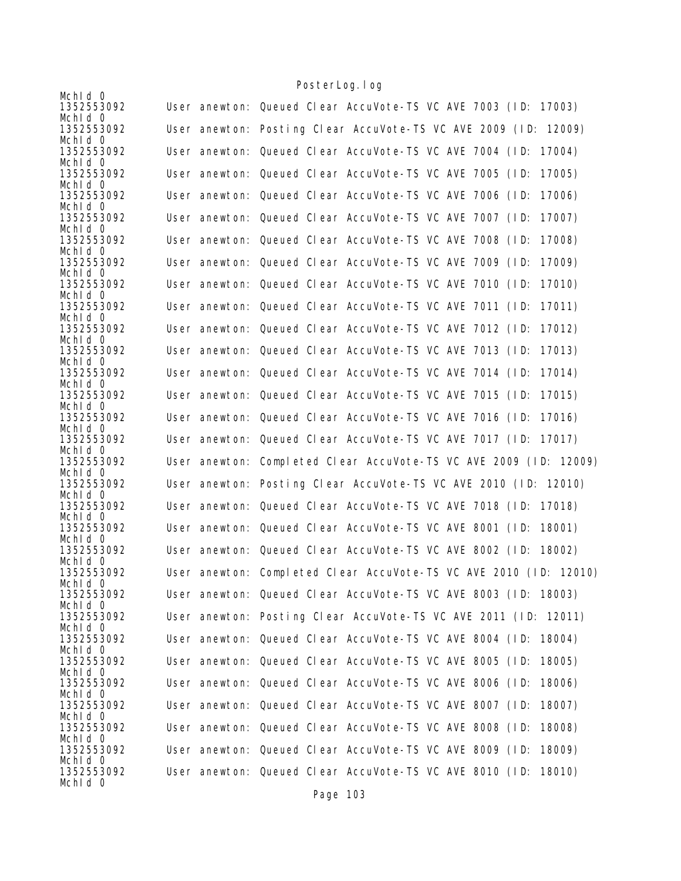|                       | <u>i obitci Lugarug</u>                                           |
|-----------------------|-------------------------------------------------------------------|
| Mchid 0<br>1352553092 | User anewton: Queued Clear AccuVote-TS VC AVE 7003 (ID: 17003)    |
| Mchid 0<br>1352553092 | User anewton: Posting Clear AccuVote-TS VC AVE 2009 (ID: 12009)   |
| Mchid 0<br>1352553092 | User anewton: Queued Clear AccuVote-TS VC AVE 7004 (ID: 17004)    |
| Mchid 0               |                                                                   |
| 1352553092<br>Mchld 0 | User anewton: Queued Clear AccuVote-TS VC AVE 7005 (ID:<br>17005) |
| 1352553092<br>Mchld 0 | User anewton: Queued Clear AccuVote-TS VC AVE 7006 (ID:<br>17006) |
| 1352553092<br>Mchid 0 | User anewton: Queued Clear AccuVote-TS VC AVE 7007 (ID:<br>17007) |
| 1352553092            | User anewton: Queued Clear AccuVote-TS VC AVE 7008 (ID:<br>17008) |
| Mchid 0<br>1352553092 | User anewton: Queued Clear AccuVote-TS VC AVE 7009 (ID:<br>17009) |
| Mchid 0<br>1352553092 | User anewton: Queued Clear AccuVote-TS VC AVE 7010 (ID:<br>17010) |
| Mchid 0<br>1352553092 | User anewton: Queued Clear AccuVote-TS VC AVE 7011 (ID:<br>17011) |
| Mchld 0               |                                                                   |
| 1352553092<br>Mchid 0 | User anewton: Queued Clear AccuVote-TS VC AVE 7012 (ID:<br>17012) |
| 1352553092<br>Mchld 0 | User anewton: Queued Clear AccuVote-TS VC AVE 7013 (ID:<br>17013) |
| 1352553092<br>Mchld 0 | User anewton: Queued Clear AccuVote-TS VC AVE 7014 (ID:<br>17014) |
| 1352553092            | User anewton: Queued Clear AccuVote-TS VC AVE 7015 (ID:<br>17015) |
| Mchid 0<br>1352553092 | User anewton: Queued Clear AccuVote-TS VC AVE 7016 (ID:<br>17016) |
| Mchid 0<br>1352553092 | User anewton: Queued Clear AccuVote-TS VC AVE 7017 (ID: 17017)    |
| Mchld 0<br>1352553092 | User anewton: Completed Clear AccuVote-TS VC AVE 2009 (ID: 12009) |
| Mchid 0<br>1352553092 | User anewton: Posting Clear AccuVote-TS VC AVE 2010 (ID: 12010)   |
| Mchid 0<br>1352553092 | User anewton: Queued Clear AccuVote-TS VC AVE 7018 (ID: 17018)    |
| Mchld 0               |                                                                   |
| 1352553092<br>Mchld 0 | User anewton: Queued Clear AccuVote-TS VC AVE 8001 (ID: 18001)    |
| 1352553092<br>Mchid 0 | User anewton: Queued Clear AccuVote-TS VC AVE 8002 (ID: 18002)    |
| 1352553092<br>Mchid 0 | User anewton: Completed Clear AccuVote-TS VC AVE 2010 (ID: 12010) |
| 1352553092            | User anewton: Queued Clear AccuVote-TS VC AVE 8003 (ID: 18003)    |
| Mchid 0<br>1352553092 | User anewton: Posting Clear AccuVote-TS VC AVE 2011 (ID: 12011)   |
| Mchid 0<br>1352553092 | User anewton: Queued Clear AccuVote-TS VC AVE 8004 (ID: 18004)    |
| Mchid 0<br>1352553092 | User anewton: Queued Clear AccuVote-TS VC AVE 8005 (ID:<br>18005) |
| Mchid 0<br>1352553092 | User anewton: Queued Clear AccuVote-TS VC AVE 8006 (ID:<br>18006) |
| Mchid 0               |                                                                   |
| 1352553092<br>Mchld 0 | User anewton: Queued Clear AccuVote-TS VC AVE 8007 (ID:<br>18007) |
| 1352553092<br>Mchid 0 | User anewton: Queued Clear AccuVote-TS VC AVE 8008 (ID:<br>18008) |
| 1352553092<br>Mchld 0 | User anewton: Queued Clear AccuVote-TS VC AVE 8009 (ID:<br>18009) |
| 1352553092<br>Mchid 0 | User anewton: Queued Clear AccuVote-TS VC AVE 8010 (ID: 18010)    |

Page 103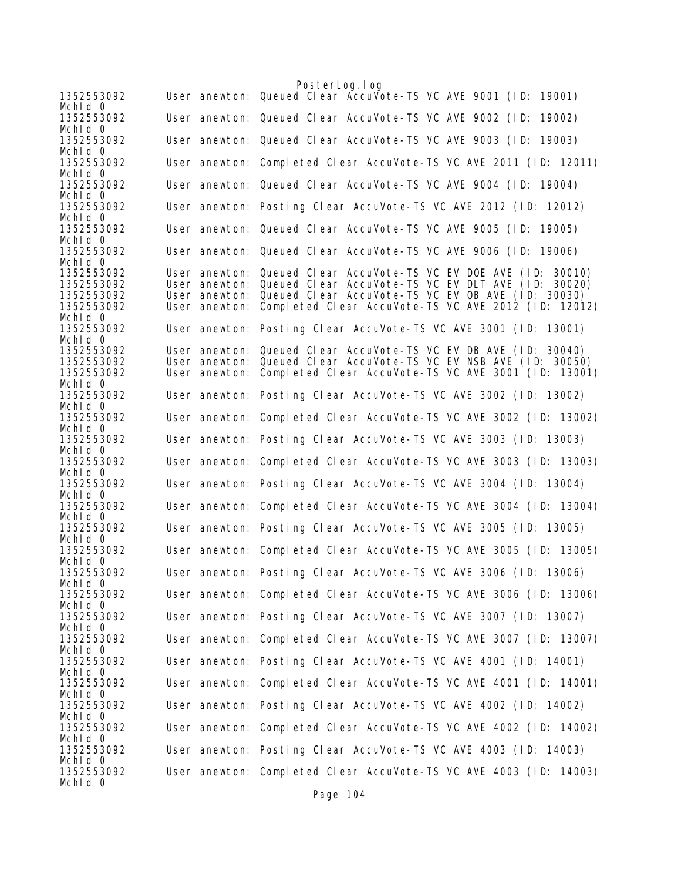PosterLog.log 1352553092 User anewton: Queued Clear AccuVote-TS VC AVE 9001 (ID: 19001) Mchld 0<br>1352553092 User anewton: Queued Clear AccuVote-TS VC AVE 9002 (ID: 19002) Mchld 0<br>1352553092 User anewton: Queued Clear AccuVote-TS VC AVE 9003 (ID: 19003) Mchld 0<br>1352553092 User anewton: Completed Clear AccuVote-TS VC AVE 2011 (ID: 12011) Mchld 0<br>1352553092 User anewton: Queued Clear AccuVote-TS VC AVE 9004 (ID: 19004) Mchld 0<br>1352553092 User anewton: Posting Clear AccuVote-TS VC AVE 2012 (ID: 12012) Mchld 0<br>1352553092 User anewton: Queued Clear AccuVote-TS VC AVE 9005 (ID: 19005) Mchld 0<br>1352553092 User anewton: Queued Clear AccuVote-TS VC AVE 9006 (ID: 19006) Mchld 0<br>1352553092 1352553092 User anewton: Queued Clear AccuVote-TS VC EV DOE AVE (ID: 30010) User anewton: Queued Clear AccuVote-TS VC EV DLT AVE (ID: 30020) 1352553092 User anewton: Queued Clear AccuVote-TS VC EV OB AVE (ID: 30030) 1352553092 User anewton: Completed Clear AccuVote-TS VC AVE 2012 (ID: 12012) Mchld 0<br>1352553092 User anewton: Posting Clear AccuVote-TS VC AVE 3001 (ID: 13001) Mchld 0<br>1352553092 1352553092 User anewton: Queued Clear AccuVote-TS VC EV DB AVE (ID: 30040) 1352553092 User anewton: Queued Clear AccuVote-TS VC EV NSB AVE (ID: 30050) User anewton: Completed Clear AccuVote-TS VC AVE 3001 (ID: 13001) Mch<sub>Id</sub> 0 1352553092 User anewton: Posting Clear AccuVote-TS VC AVE 3002 (ID: 13002) MchId 0<br>1352553092 User anewton: Completed Clear AccuVote-TS VC AVE 3002 (ID: 13002) Mch<sub>Id</sub> 0 1352553092 User anewton: Posting Clear AccuVote-TS VC AVE 3003 (ID: 13003) Mchld 0<br>1352553092 User anewton: Completed Clear AccuVote-TS VC AVE 3003 (ID: 13003) Mchld 0<br>1352553092 User anewton: Posting Clear AccuVote-TS VC AVE 3004 (ID: 13004) Mchld 0<br>1352553092 User anewton: Completed Clear AccuVote-TS VC AVE 3004 (ID: 13004) Mch<sub>Id</sub> 0 1352553092 User anewton: Posting Clear AccuVote-TS VC AVE 3005 (ID: 13005) Mchld 0<br>1352553092 User anewton: Completed Clear AccuVote-TS VC AVE 3005 (ID: 13005) Mchld 0<br>1352553092 User anewton: Posting Clear AccuVote-TS VC AVE 3006 (ID: 13006) MchId 0 1352553092 User anewton: Completed Clear AccuVote-TS VC AVE 3006 (ID: 13006) MchId 0<br>1352553092 User anewton: Posting Clear AccuVote-TS VC AVE 3007 (ID: 13007) MchId 0 1352553092 User anewton: Completed Clear AccuVote-TS VC AVE 3007 (ID: 13007) Mchld 0<br>1352553092 User anewton: Posting Clear AccuVote-TS VC AVE 4001 (ID: 14001) Mchld 0<br>1352553092 User anewton: Completed Clear AccuVote-TS VC AVE 4001 (ID: 14001) Mchld 0<br>1352553092 User anewton: Posting Clear AccuVote-TS VC AVE 4002 (ID: 14002) Mchld 0<br>1352553092 User anewton: Completed Clear AccuVote-TS VC AVE 4002 (ID: 14002) Mchld 0<br>1352553092 User anewton: Posting Clear AccuVote-TS VC AVE 4003 (ID: 14003) Mchld 0<br>1352553092 User anewton: Completed Clear AccuVote-TS VC AVE 4003 (ID: 14003) MchId 0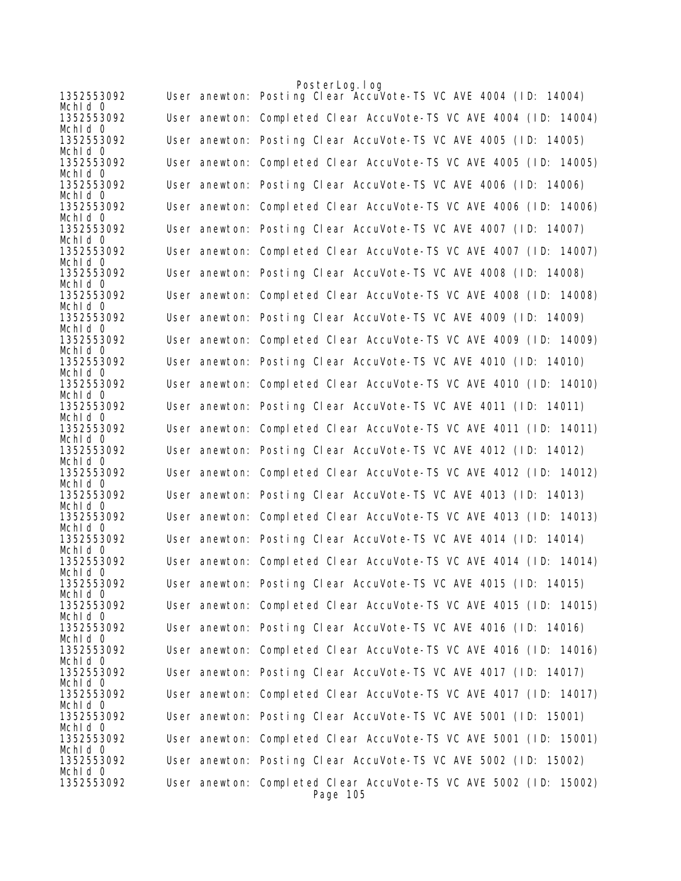|                              | PosterLog.log                                                                 |
|------------------------------|-------------------------------------------------------------------------------|
| 1352553092<br>Mchid 0        | User anewton: Posting Clear AccuVote-TS VC AVE 4004 (ID: 14004)               |
| 1352553092<br>Mchid 0        | User anewton: Completed Clear AccuVote-TS VC AVE 4004 (ID: 14004)             |
| 1352553092<br>Mchid O        | User anewton: Posting Clear AccuVote-TS VC AVE 4005 (ID: 14005)               |
| 1352553092<br>Mchid 0        | User anewton: Completed Clear AccuVote-TS VC AVE 4005 (ID: 14005)             |
| 1352553092<br>Mchid 0        | User anewton: Posting Clear AccuVote-TS VC AVE 4006 (ID: 14006)               |
| 1352553092<br>Mchid 0        | User anewton: Completed Clear AccuVote-TS VC AVE 4006 (ID: 14006)             |
| 1352553092<br>Mchid 0        | User anewton: Posting Clear AccuVote-TS VC AVE 4007 (ID: 14007)               |
| 1352553092<br>Mchid 0        | User anewton: Completed Clear AccuVote-TS VC AVE 4007 (ID: 14007)             |
| 1352553092<br>Mchid O        | User anewton: Posting Clear AccuVote-TS VC AVE 4008 (ID: 14008)               |
| 1352553092<br>Mchid 0        | User anewton: Completed Clear AccuVote-TS VC AVE 4008 (ID: 14008)             |
| 1352553092<br>Mchid 0        | User anewton: Posting Clear AccuVote-TS VC AVE 4009 (ID: 14009)               |
| 1352553092<br>Mchld 0        | User anewton: Completed Clear AccuVote-TS VC AVE 4009 (ID: 14009)             |
| 1352553092<br>Mchid 0        | User anewton: Posting Clear AccuVote-TS VC AVE 4010 (ID: 14010)               |
| 1352553092<br>Mchid O        | User anewton: Completed Clear AccuVote-TS VC AVE 4010 (ID: 14010)             |
| 1352553092<br>Mchid 0        | User anewton: Posting Clear AccuVote-TS VC AVE 4011 (ID: 14011)               |
| 1352553092<br>Mchid 0        | User anewton: Completed Clear AccuVote-TS VC AVE 4011 (ID: 14011)             |
| 1352553092<br>Mchid 0        | User anewton: Posting Clear AccuVote-TS VC AVE 4012 (ID: 14012)               |
| 1352553092<br>Mchid 0        | User anewton: Completed Clear AccuVote-TS VC AVE 4012 (ID: 14012)             |
| 1352553092<br>Mchld 0        | User anewton: Posting Clear AccuVote-TS VC AVE 4013 (ID: 14013)               |
| 1352553092<br>Mchid 0        | User anewton: Completed Clear AccuVote-TS VC AVE 4013 (ID: 14013)             |
| 1352553092<br>Mchid 0        | User anewton: Posting Clear AccuVote-TS VC AVE 4014 (ID: 14014)               |
| 1352553092<br>Mchid $\Omega$ | User anewton: Completed Clear AccuVote-TS VC AVE 4014 (ID: 14014)             |
| 1352553092<br>Mchid 0        | User anewton: Posting Clear AccuVote-TS VC AVE 4015 (ID: 14015)               |
| 1352553092<br>Mchid 0        | User anewton: Completed Clear AccuVote-TS VC AVE 4015 (ID: 14015)             |
| 1352553092<br>Mchid 0        | User anewton: Posting Clear AccuVote-TS VC AVE 4016 (ID: 14016)               |
| 1352553092<br>Mchid 0        | User anewton: Completed Clear AccuVote-TS VC AVE 4016 (ID: 14016)             |
| 1352553092<br>Mchid 0        | User anewton: Posting Clear AccuVote-TS VC AVE 4017 (ID: 14017)               |
| 1352553092<br>Mchld 0        | User anewton: Completed Clear AccuVote-TS VC AVE 4017 (ID: 14017)             |
| 1352553092<br>Mchid 0        | User anewton: Posting Clear AccuVote-TS VC AVE 5001 (ID: 15001)               |
| 1352553092<br>Mchid 0        | User anewton: Completed Clear AccuVote-TS VC AVE 5001 (ID: 15001)             |
| 1352553092<br>Mchid 0        | User anewton: Posting Clear AccuVote-TS VC AVE 5002 (ID: 15002)               |
| 1352553092                   | User anewton: Completed Clear AccuVote-TS VC AVE 5002 (ID: 15002)<br>Page 105 |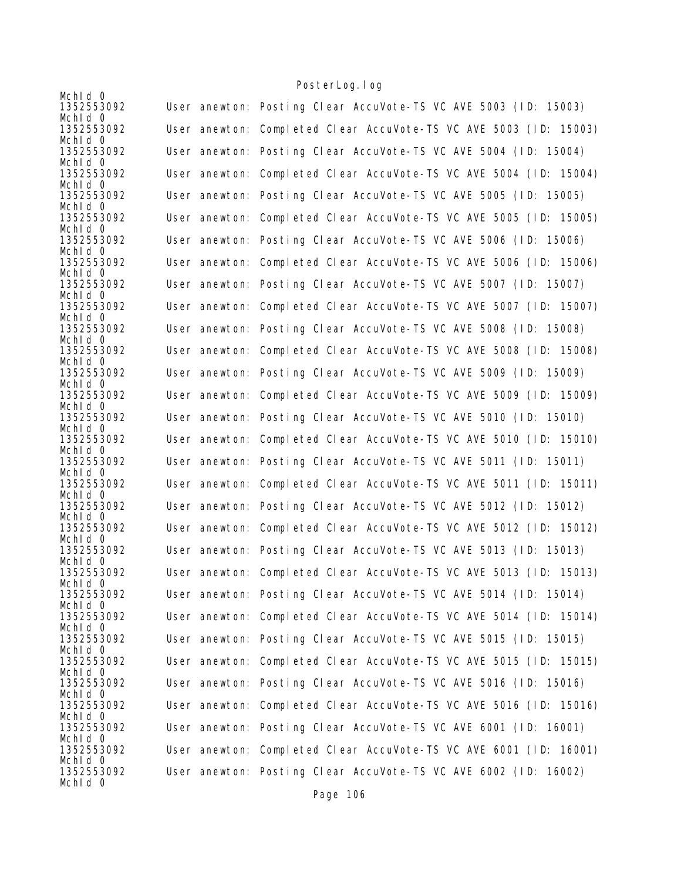| Mchid 0               |                                                                   |
|-----------------------|-------------------------------------------------------------------|
| 1352553092<br>Mchid 0 | User anewton: Posting Clear AccuVote-TS VC AVE 5003 (ID: 15003)   |
| 1352553092<br>Mchid 0 | User anewton: Completed Clear AccuVote-TS VC AVE 5003 (ID: 15003) |
| 1352553092<br>Mchld 0 | User anewton: Posting Clear AccuVote-TS VC AVE 5004 (ID: 15004)   |
| 1352553092<br>Mchld 0 | User anewton: Completed Clear AccuVote-TS VC AVE 5004 (ID: 15004) |
| 1352553092<br>Mchid 0 | User anewton: Posting Clear AccuVote-TS VC AVE 5005 (ID: 15005)   |
| 1352553092<br>Mchid 0 | User anewton: Completed Clear AccuVote-TS VC AVE 5005 (ID: 15005) |
| 1352553092<br>Mchid 0 | User anewton: Posting Clear AccuVote-TS VC AVE 5006 (ID: 15006)   |
| 1352553092<br>Mchid 0 | User anewton: Completed Clear AccuVote-TS VC AVE 5006 (ID: 15006) |
| 1352553092<br>Mchid 0 | User anewton: Posting Clear AccuVote-TS VC AVE 5007 (ID: 15007)   |
| 1352553092<br>Mchid 0 | User anewton: Completed Clear AccuVote-TS VC AVE 5007 (ID: 15007) |
| 1352553092<br>Mchid 0 | User anewton: Posting Clear AccuVote-TS VC AVE 5008 (ID: 15008)   |
| 1352553092<br>Mchld 0 | User anewton: Completed Clear AccuVote-TS VC AVE 5008 (ID: 15008) |
| 1352553092            | User anewton: Posting Clear AccuVote-TS VC AVE 5009 (ID: 15009)   |
| Mchid 0<br>1352553092 | User anewton: Completed Clear AccuVote-TS VC AVE 5009 (ID: 15009) |
| Mchid 0<br>1352553092 | User anewton: Posting Clear AccuVote-TS VC AVE 5010 (ID: 15010)   |
| Mchid 0<br>1352553092 | User anewton: Completed Clear AccuVote-TS VC AVE 5010 (ID: 15010) |
| Mchld 0<br>1352553092 | User anewton: Posting Clear AccuVote-TS VC AVE 5011 (ID: 15011)   |
| Mchid 0<br>1352553092 | User anewton: Completed Clear AccuVote-TS VC AVE 5011 (ID: 15011) |
| Mchld 0<br>1352553092 | User anewton: Posting Clear AccuVote-TS VC AVE 5012 (ID: 15012)   |
| Mchid 0<br>1352553092 | User anewton: Completed Clear AccuVote-TS VC AVE 5012 (ID: 15012) |
| Mchid 0<br>1352553092 | User anewton: Posting Clear AccuVote-TS VC AVE 5013 (ID: 15013)   |
| Mchld 0<br>1352553092 | User anewton: Completed Clear AccuVote-TS VC AVE 5013 (ID: 15013) |
| Mchid 0<br>1352553092 | User anewton: Posting Clear AccuVote-TS VC AVE 5014 (ID: 15014)   |
| Mchid 0<br>1352553092 | User anewton: Completed Clear AccuVote-TS VC AVE 5014 (ID: 15014) |
| Mchid 0<br>1352553092 | User anewton: Posting Clear AccuVote-TS VC AVE 5015 (ID: 15015)   |
| Mchld 0<br>1352553092 | User anewton: Completed Clear AccuVote-TS VC AVE 5015 (ID: 15015) |
| Mchid 0<br>1352553092 | User anewton: Posting Clear AccuVote-TS VC AVE 5016 (ID: 15016)   |
| Mchid 0<br>1352553092 | User anewton: Completed Clear AccuVote-TS VC AVE 5016 (ID: 15016) |
| Mchld 0<br>1352553092 | User anewton: Posting Clear AccuVote-TS VC AVE 6001 (ID: 16001)   |
| Mchid 0<br>1352553092 | User anewton: Completed Clear AccuVote-TS VC AVE 6001 (ID: 16001) |
| Mchid 0<br>1352553092 | User anewton: Posting Clear AccuVote-TS VC AVE 6002 (ID: 16002)   |
| Mchid 0               |                                                                   |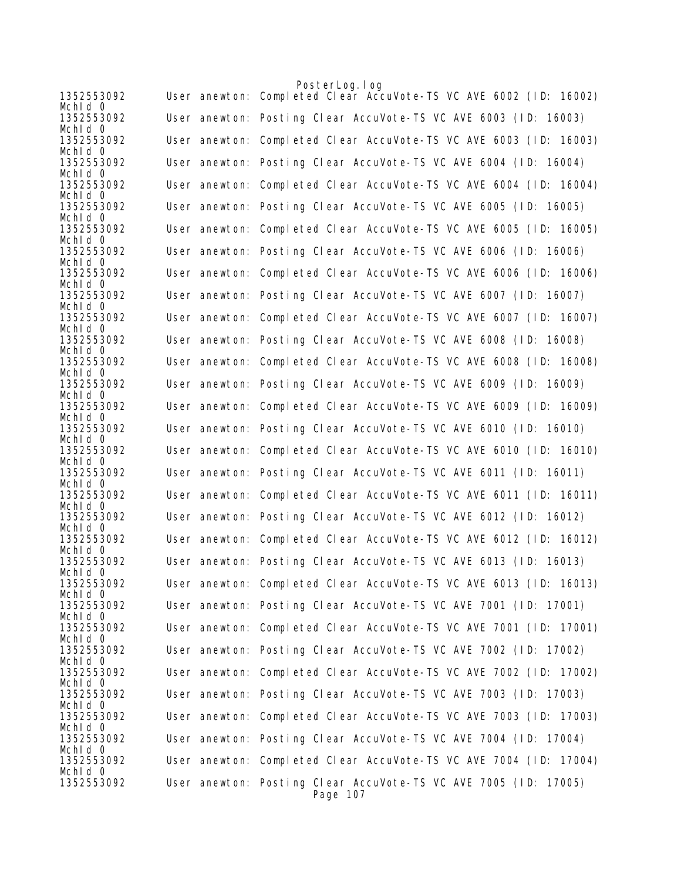|                       | PosterLog.log                                                               |
|-----------------------|-----------------------------------------------------------------------------|
| 1352553092<br>Mchid 0 | User anewton: Completed Clear AccuVote-TS VC AVE 6002 (ID: 16002)           |
| 1352553092<br>Mchid 0 | User anewton: Posting Clear AccuVote-TS VC AVE 6003 (ID: 16003)             |
| 1352553092<br>Mchid O | User anewton: Completed Clear AccuVote-TS VC AVE 6003 (ID: 16003)           |
| 1352553092<br>Mchid 0 | User anewton: Posting Clear AccuVote-TS VC AVE 6004 (ID: 16004)             |
| 1352553092<br>Mchid 0 | User anewton: Completed Clear AccuVote-TS VC AVE 6004 (ID: 16004)           |
| 1352553092<br>Mchid O | User anewton: Posting Clear AccuVote-TS VC AVE 6005 (ID: 16005)             |
| 1352553092<br>Mchid 0 | User anewton: Completed Clear AccuVote-TS VC AVE 6005 (ID: 16005)           |
| 1352553092<br>Mchid 0 | User anewton: Posting Clear AccuVote-TS VC AVE 6006 (ID: 16006)             |
| 1352553092<br>Mchid O | User anewton: Completed Clear AccuVote-TS VC AVE 6006 (ID: 16006)           |
| 1352553092<br>Mchid 0 | User anewton: Posting Clear AccuVote-TS VC AVE 6007 (ID: 16007)             |
| 1352553092<br>Mchid 0 | User anewton: Completed Clear AccuVote-TS VC AVE 6007 (ID: 16007)           |
| 1352553092<br>Mchld 0 | User anewton: Posting Clear AccuVote-TS VC AVE 6008 (ID: 16008)             |
| 1352553092<br>Mchid 0 | User anewton: Completed Clear AccuVote-TS VC AVE 6008 (ID: 16008)           |
| 1352553092<br>Mchid 0 | User anewton: Posting Clear AccuVote-TS VC AVE 6009 (ID: 16009)             |
| 1352553092<br>Mchid 0 | User anewton: Completed Clear AccuVote-TS VC AVE 6009 (ID: 16009)           |
| 1352553092<br>Mchid 0 | User anewton: Posting Clear AccuVote-TS VC AVE 6010 (ID: 16010)             |
| 1352553092<br>Mchid 0 | User anewton: Completed Clear AccuVote-TS VC AVE 6010 (ID: 16010)           |
| 1352553092<br>Mchld 0 | User anewton: Posting Clear AccuVote-TS VC AVE 6011 (ID: 16011)             |
| 1352553092<br>Mchld 0 | User anewton: Completed Clear AccuVote-TS VC AVE 6011 (ID: 16011)           |
| 1352553092<br>Mchid 0 | User anewton: Posting Clear AccuVote-TS VC AVE 6012 (ID: 16012)             |
| 1352553092<br>Mchid 0 | User anewton: Completed Clear AccuVote-TS VC AVE 6012 (ID: 16012)           |
| 1352553092<br>Mchid O | User anewton: Posting Clear AccuVote-TS VC AVE 6013 (ID: 16013)             |
| 1352553092<br>Mchid 0 | User anewton: Completed Clear AccuVote-TS VC AVE 6013 (ID: 16013)           |
| 1352553092<br>Mchid 0 | User anewton: Posting Clear AccuVote-TS VC AVE 7001 (ID: 17001)             |
| 1352553092<br>Mchid 0 | User anewton: Completed Clear AccuVote-TS VC AVE 7001 (ID: 17001)           |
| 1352553092<br>Mchid 0 | User anewton: Posting Clear AccuVote-TS VC AVE 7002 (ID: 17002)             |
| 1352553092<br>Mchid 0 | User anewton: Completed Clear AccuVote-TS VC AVE 7002 (ID: 17002)           |
| 1352553092<br>Mchld 0 | User anewton: Posting Clear AccuVote-TS VC AVE 7003 (ID: 17003)             |
| 1352553092<br>Mchid 0 | User anewton: Completed Clear AccuVote-TS VC AVE 7003 (ID: 17003)           |
| 1352553092<br>Mchid 0 | User anewton: Posting Clear AccuVote-TS VC AVE 7004 (ID: 17004)             |
| 1352553092<br>Mchid O | User anewton: Completed Clear AccuVote-TS VC AVE 7004 (ID: 17004)           |
| 1352553092            | User anewton: Posting Clear AccuVote-TS VC AVE 7005 (ID: 17005)<br>Page 107 |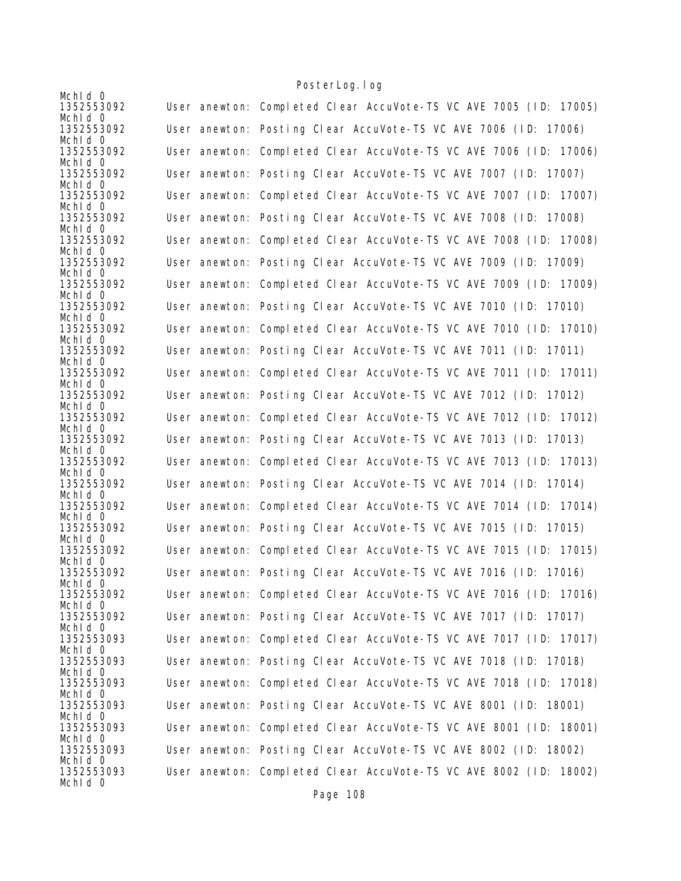| Mchid 0               |                                                                   |
|-----------------------|-------------------------------------------------------------------|
| 1352553092            | User anewton: Completed Clear AccuVote-TS VC AVE 7005 (ID: 17005) |
| Mchid 0<br>1352553092 |                                                                   |
| Mchid 0               | User anewton: Posting Clear AccuVote-TS VC AVE 7006 (ID: 17006)   |
| 1352553092            | User anewton: Completed Clear AccuVote-TS VC AVE 7006 (ID: 17006) |
| Mchid 0               |                                                                   |
| 1352553092            | User anewton: Posting Clear AccuVote-TS VC AVE 7007 (ID: 17007)   |
| Mchld 0<br>1352553092 | User anewton: Completed Clear AccuVote-TS VC AVE 7007 (ID: 17007) |
| Mchid 0               |                                                                   |
| 1352553092            | User anewton: Posting Clear AccuVote-TS VC AVE 7008 (ID: 17008)   |
| Mchid 0               |                                                                   |
| 1352553092<br>Mchid 0 | User anewton: Completed Clear AccuVote-TS VC AVE 7008 (ID: 17008) |
| 1352553092            | User anewton: Posting Clear AccuVote-TS VC AVE 7009 (ID: 17009)   |
| Mchid 0               |                                                                   |
| 1352553092            | User anewton: Completed Clear AccuVote-TS VC AVE 7009 (ID: 17009) |
| Mchid 0               |                                                                   |
| 1352553092<br>Mchid 0 | User anewton: Posting Clear AccuVote-TS VC AVE 7010 (ID: 17010)   |
| 1352553092            | User anewton: Completed Clear AccuVote-TS VC AVE 7010 (ID: 17010) |
| Mchid 0               |                                                                   |
| 1352553092            | User anewton: Posting Clear AccuVote-TS VC AVE 7011 (ID: 17011)   |
| Mchid 0<br>1352553092 |                                                                   |
| Mchid 0               | User anewton: Completed Clear AccuVote-TS VC AVE 7011 (ID: 17011) |
| 1352553092            | User anewton: Posting Clear AccuVote-TS VC AVE 7012 (ID: 17012)   |
| Mchid 0               |                                                                   |
| 1352553092            | User anewton: Completed Clear AccuVote-TS VC AVE 7012 (ID: 17012) |
| Mchid 0<br>1352553092 | User anewton: Posting Clear AccuVote-TS VC AVE 7013 (ID: 17013)   |
| Mchld 0               |                                                                   |
| 1352553092            | User anewton: Completed Clear AccuVote-TS VC AVE 7013 (ID: 17013) |
| Mchid 0               |                                                                   |
| 1352553092<br>Mchld 0 | User anewton: Posting Clear AccuVote-TS VC AVE 7014 (ID: 17014)   |
| 1352553092            | User anewton: Completed Clear AccuVote-TS VC AVE 7014 (ID: 17014) |
| Mchid 0               |                                                                   |
| 1352553092            | User anewton: Posting Clear AccuVote-TS VC AVE 7015 (ID: 17015)   |
| Mchid 0               | User anewton: Completed Clear AccuVote-TS VC AVE 7015 (ID: 17015) |
| 1352553092<br>Mchld 0 |                                                                   |
| 1352553092            | User anewton: Posting Clear AccuVote-TS VC AVE 7016 (ID: 17016)   |
| Mchid 0               |                                                                   |
| 1352553092            | User anewton: Completed Clear AccuVote-TS VC AVE 7016 (ID: 17016) |
| Mchid 0<br>1352553092 | User anewton: Posting Clear AccuVote-TS VC AVE 7017 (ID: 17017)   |
| Mchid 0               |                                                                   |
| 1352553093            | User anewton: Completed Clear AccuVote-TS VC AVE 7017 (ID: 17017) |
| Mchld 0               |                                                                   |
| 1352553093<br>Mchld 0 | User anewton: Posting Clear AccuVote-TS VC AVE 7018 (ID: 17018)   |
| 1352553093            | User anewton: Completed Clear AccuVote-TS VC AVE 7018 (ID: 17018) |
| Mchid 0               |                                                                   |
| 1352553093            | User anewton: Posting Clear AccuVote-TS VC AVE 8001 (ID: 18001)   |
| Mchld 0               |                                                                   |
| 1352553093<br>Mchid 0 | User anewton: Completed Clear AccuVote-TS VC AVE 8001 (ID: 18001) |
| 1352553093            | User anewton: Posting Clear AccuVote-TS VC AVE 8002 (ID: 18002)   |
| Mchid 0               |                                                                   |
| 1352553093            | User anewton: Completed Clear AccuVote-TS VC AVE 8002 (ID: 18002) |
| Mchid 0               |                                                                   |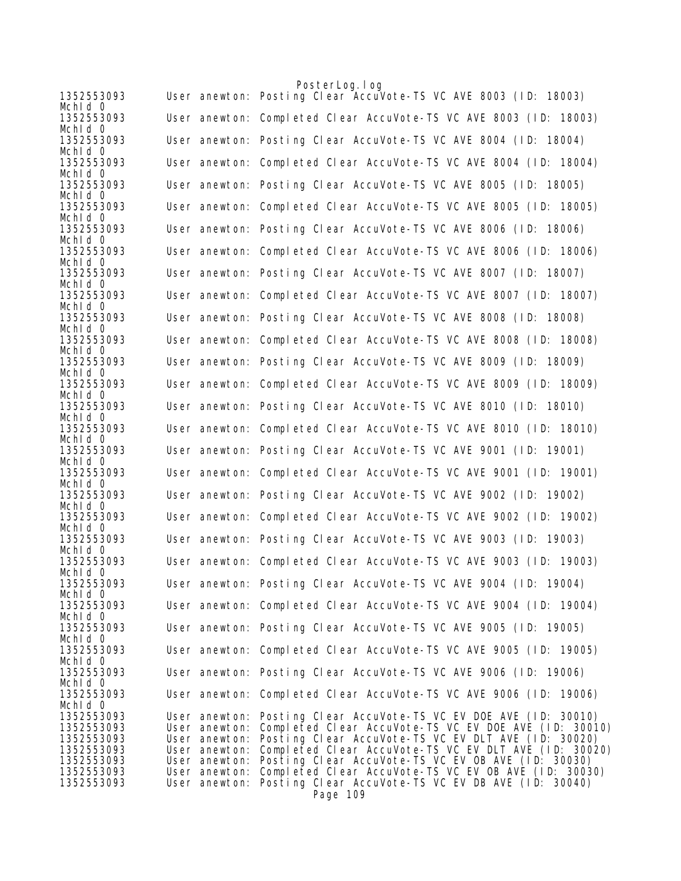|                          | PosterLog.log                                                                                                                           |
|--------------------------|-----------------------------------------------------------------------------------------------------------------------------------------|
| 1352553093               | User anewton: Posting Clear AccuVote-TS VC AVE 8003 (ID: 18003)                                                                         |
| Mchid 0                  |                                                                                                                                         |
| 1352553093<br>Mchid O    | User anewton: Completed Clear AccuVote-TS VC AVE 8003 (ID: 18003)                                                                       |
| 1352553093<br>Mchid 0    | User anewton: Posting Clear AccuVote-TS VC AVE 8004 (ID: 18004)                                                                         |
| 1352553093<br>Mchid 0    | User anewton: Completed Clear AccuVote-TS VC AVE 8004 (ID: 18004)                                                                       |
| 1352553093<br>Mchid 0    | User anewton: Posting Clear AccuVote-TS VC AVE 8005 (ID: 18005)                                                                         |
| 1352553093               | User anewton: Completed Clear AccuVote-TS VC AVE 8005 (ID: 18005)                                                                       |
| Mchid 0<br>1352553093    | User anewton: Posting Clear AccuVote-TS VC AVE 8006 (ID: 18006)                                                                         |
| Mchid 0<br>1352553093    | User anewton: Completed Clear AccuVote-TS VC AVE 8006 (ID: 18006)                                                                       |
| Mchid 0<br>1352553093    | User anewton: Posting Clear AccuVote-TS VC AVE 8007 (ID: 18007)                                                                         |
| Mchld 0<br>1352553093    | User anewton: Completed Clear AccuVote-TS VC AVE 8007 (ID: 18007)                                                                       |
| Mchid 0<br>1352553093    | User anewton: Posting Clear AccuVote-TS VC AVE 8008 (ID: 18008)                                                                         |
| Mchid 0                  |                                                                                                                                         |
| 1352553093<br>Mchid 0    | User anewton: Completed Clear AccuVote-TS VC AVE 8008 (ID: 18008)                                                                       |
| 1352553093<br>Mchid 0    | User anewton: Posting Clear AccuVote-TS VC AVE 8009 (ID: 18009)                                                                         |
| 1352553093<br>Mchld 0    | User anewton: Completed Clear AccuVote-TS VC AVE 8009 (ID: 18009)                                                                       |
| 1352553093<br>Mchid 0    | User anewton: Posting Clear AccuVote-TS VC AVE 8010 (ID: 18010)                                                                         |
| 1352553093<br>Mchid 0    | User anewton: Completed Clear AccuVote-TS VC AVE 8010 (ID: 18010)                                                                       |
| 1352553093               | User anewton: Posting Clear AccuVote-TS VC AVE 9001 (ID: 19001)                                                                         |
| Mchid 0<br>1352553093    | User anewton: Completed Clear AccuVote-TS VC AVE 9001 (ID: 19001)                                                                       |
| Mchid O<br>1352553093    | User anewton: Posting Clear AccuVote-TS VC AVE 9002 (ID: 19002)                                                                         |
| Mchid 0<br>1352553093    | User anewton: Completed Clear AccuVote-TS VC AVE 9002 (ID: 19002)                                                                       |
| Mchid 0<br>1352553093    | User anewton: Posting Clear AccuVote-TS VC AVE 9003 (ID: 19003)                                                                         |
| Mchid 0<br>1352553093    | User anewton: Completed Clear AccuVote-TS VC AVE 9003 (ID: 19003)                                                                       |
| Mchid 0<br>1352553093    | User anewton: Posting Clear AccuVote-TS VC AVE 9004 (ID: 19004)                                                                         |
| Mchid O<br>1352553093    | User anewton: Completed Clear AccuVote-TS VC AVE 9004 (ID: 19004)                                                                       |
| Mchid 0<br>1352553093    | User anewton: Posting Clear AccuVote-TS VC AVE 9005 (ID: 19005)                                                                         |
| Mchid 0                  |                                                                                                                                         |
| 1352553093<br>Mchid O    | User anewton: Completed Clear AccuVote-TS VC AVE 9005 (ID: 19005)                                                                       |
| 1352553093<br>Mchid 0    | User anewton: Posting Clear AccuVote-TS VC AVE 9006 (ID: 19006)                                                                         |
| 1352553093<br>Mchid 0    | User anewton: Completed Clear AccuVote-TS VC AVE 9006 (ID: 19006)                                                                       |
| 1352553093               | User anewton: Posting Clear AccuVote-TS VC EV DOE AVE (ID: 30010)                                                                       |
| 1352553093               | User anewton: Completed Clear AccuVote-TS VC EV DOE AVE (ID: 30010)                                                                     |
| 1352553093               | User anewton: Posting Clear AccuVote-TS VC EV DLT AVE (ID: 30020)                                                                       |
| 1352553093<br>1352553093 | User anewton: Completed Clear AccuVote-TS VC EV DLT AVE (ID: 30020)<br>User anewton: Posting Clear AccuVote-TS VC EV OB AVE (ID: 30030) |
| 1352553093               | User anewton: Completed Clear AccuVote-TS VC EV OB AVE (ID: 30030)                                                                      |
| 1352553093               | User anewton: Posting Clear AccuVote-TS VC EV DB AVE (ID: 30040)                                                                        |
|                          | Page 109                                                                                                                                |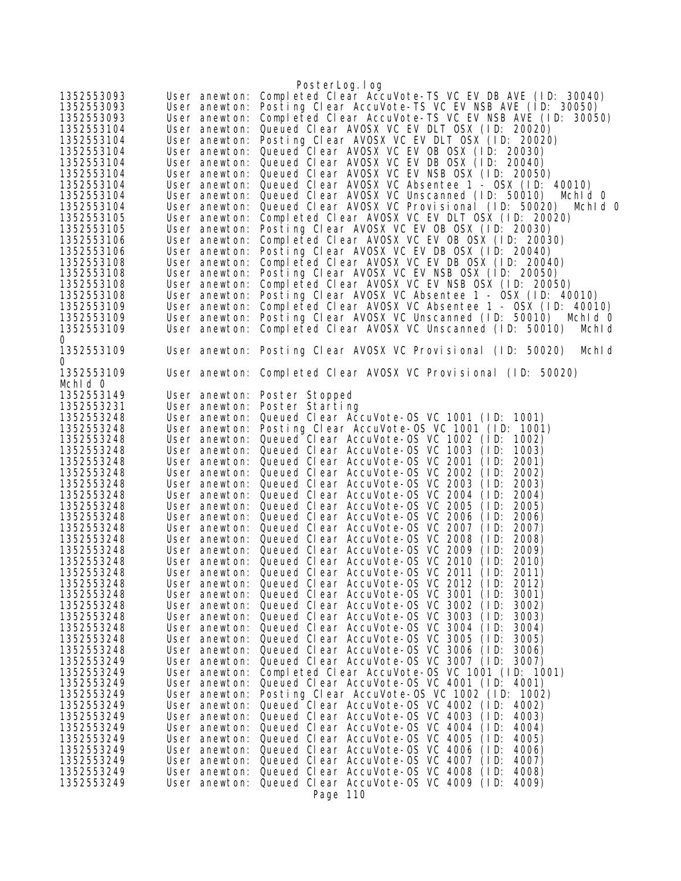| 1352553093<br>1352553093<br>1352553093<br>1352553104<br>1352553104<br>1352553104<br>1352553104<br>1352553104<br>1352553104<br>1352553104<br>1352553104<br>1352553105<br>1352553105<br>1352553106<br>1352553106<br>1352553108<br>1352553108<br>1352553108<br>1352553108<br>1352553109<br>1352553109 | User anewton:<br>User anewton:<br>User anewton:<br>User anewton:<br>User anewton:<br>User anewton:<br>User anewton:<br>User anewton:<br>User anewton:<br>User anewton:<br>User anewton:<br>User anewton:<br>User anewton:<br>User anewton:<br>User anewton:<br>User anewton:<br>User anewton:<br>User anewton:<br>User anewton:<br>User anewton:<br>User anewton: | PosterLog. I og<br>Completed Clear AccuVote-TS VC EV DB AVE (ID: 30040)<br>Posting Clear AccuVote-TS VC EV NSB AVE (ID: 30050)<br>Completed Clear AccuVote-TS VC EV NSB AVE (ID:<br>30050)<br>Queued Clear AVOSX VC EV DLT OSX (ID: 20020)<br>Posting Clear AVOSX VC EV DLT OSX (ID: 20020)<br>Queued Clear AVOSX VC EV OB OSX (ID: 20030)<br>Queued Clear AVOSX VC EV DB OSX (ID: 20040)<br>Queued Clear AVOSX VC EV NSB OSX (ID: 20050)<br>Queued Clear AVOSX VC Absentee 1 - OSX (ID: 40010)<br>Queued Clear AVOSX VC Unscanned (ID: 50010)<br>Mchid 0<br>Queued Clear AVOSX VC Provisional (ID: 50020)<br>Mchld O<br>Completed Clear AVOSX VC EV DLT OSX (ID: 20020)<br>Posting Clear AVOSX VC EV OB OSX (ID: 20030)<br>Completed Clear AVOSX VC EV OB OSX (ID: 20030)<br>Posting Clear AVOSX VC EV DB OSX (ID: 20040)<br>Completed Clear AVOSX VC EV DB OSX (ID: 20040)<br>Posting Clear AVOSX VC EV NSB OSX (ID: 20050)<br>Completed Clear AVOSX VC EV NSB OSX (ID: 20050)<br>Posting Clear AVOSX VC Absentee 1 - OSX (ID: 40010)<br>Completed Clear AVOSX VC Absentee 1 - OSX (ID: 40010)<br>Posting Clear AVOSX VC Unscanned (ID: 50010)<br>Mchid 0 |
|----------------------------------------------------------------------------------------------------------------------------------------------------------------------------------------------------------------------------------------------------------------------------------------------------|-------------------------------------------------------------------------------------------------------------------------------------------------------------------------------------------------------------------------------------------------------------------------------------------------------------------------------------------------------------------|-------------------------------------------------------------------------------------------------------------------------------------------------------------------------------------------------------------------------------------------------------------------------------------------------------------------------------------------------------------------------------------------------------------------------------------------------------------------------------------------------------------------------------------------------------------------------------------------------------------------------------------------------------------------------------------------------------------------------------------------------------------------------------------------------------------------------------------------------------------------------------------------------------------------------------------------------------------------------------------------------------------------------------------------------------------------------------------------------------------------------------------------------------------|
| 1352553109                                                                                                                                                                                                                                                                                         | User anewton:                                                                                                                                                                                                                                                                                                                                                     | Completed Clear AVOSX VC Unscanned (ID: 50010)<br>Mchl d                                                                                                                                                                                                                                                                                                                                                                                                                                                                                                                                                                                                                                                                                                                                                                                                                                                                                                                                                                                                                                                                                                    |
| 0                                                                                                                                                                                                                                                                                                  |                                                                                                                                                                                                                                                                                                                                                                   |                                                                                                                                                                                                                                                                                                                                                                                                                                                                                                                                                                                                                                                                                                                                                                                                                                                                                                                                                                                                                                                                                                                                                             |
| 1352553109<br>0                                                                                                                                                                                                                                                                                    |                                                                                                                                                                                                                                                                                                                                                                   | User anewton: Posting Clear AVOSX VC Provisional (ID: 50020)<br>MchI d                                                                                                                                                                                                                                                                                                                                                                                                                                                                                                                                                                                                                                                                                                                                                                                                                                                                                                                                                                                                                                                                                      |
| 1352553109                                                                                                                                                                                                                                                                                         |                                                                                                                                                                                                                                                                                                                                                                   | User anewton: Completed Clear AVOSX VC Provisional (ID: 50020)                                                                                                                                                                                                                                                                                                                                                                                                                                                                                                                                                                                                                                                                                                                                                                                                                                                                                                                                                                                                                                                                                              |
| Mchid 0                                                                                                                                                                                                                                                                                            |                                                                                                                                                                                                                                                                                                                                                                   |                                                                                                                                                                                                                                                                                                                                                                                                                                                                                                                                                                                                                                                                                                                                                                                                                                                                                                                                                                                                                                                                                                                                                             |
| 1352553149                                                                                                                                                                                                                                                                                         | User anewton:                                                                                                                                                                                                                                                                                                                                                     | Poster Stopped                                                                                                                                                                                                                                                                                                                                                                                                                                                                                                                                                                                                                                                                                                                                                                                                                                                                                                                                                                                                                                                                                                                                              |
| 1352553231<br>1352553248                                                                                                                                                                                                                                                                           | User anewton:<br>User anewton:                                                                                                                                                                                                                                                                                                                                    | Poster Starting<br>Queued Clear AccuVote-OS VC 1001 (ID:<br>1001)                                                                                                                                                                                                                                                                                                                                                                                                                                                                                                                                                                                                                                                                                                                                                                                                                                                                                                                                                                                                                                                                                           |
| 1352553248                                                                                                                                                                                                                                                                                         | User anewton:                                                                                                                                                                                                                                                                                                                                                     | Posting Clear AccuVote-OS VC 1001 (ID: 1001)                                                                                                                                                                                                                                                                                                                                                                                                                                                                                                                                                                                                                                                                                                                                                                                                                                                                                                                                                                                                                                                                                                                |
| 1352553248                                                                                                                                                                                                                                                                                         | User anewton:                                                                                                                                                                                                                                                                                                                                                     | Queued Clear AccuVote-OS VC 1002 (ID:<br>1002)                                                                                                                                                                                                                                                                                                                                                                                                                                                                                                                                                                                                                                                                                                                                                                                                                                                                                                                                                                                                                                                                                                              |
| 1352553248                                                                                                                                                                                                                                                                                         | User anewton:                                                                                                                                                                                                                                                                                                                                                     | Queued Clear AccuVote-OS VC 1003<br>(1D)<br>1003)                                                                                                                                                                                                                                                                                                                                                                                                                                                                                                                                                                                                                                                                                                                                                                                                                                                                                                                                                                                                                                                                                                           |
| 1352553248                                                                                                                                                                                                                                                                                         | User anewton:                                                                                                                                                                                                                                                                                                                                                     | Queued Clear AccuVote-OS VC 2001<br>2001)<br>(1D)                                                                                                                                                                                                                                                                                                                                                                                                                                                                                                                                                                                                                                                                                                                                                                                                                                                                                                                                                                                                                                                                                                           |
| 1352553248                                                                                                                                                                                                                                                                                         | User anewton:                                                                                                                                                                                                                                                                                                                                                     | Queued Clear AccuVote-OS VC 2002<br>(1D)<br>2002)                                                                                                                                                                                                                                                                                                                                                                                                                                                                                                                                                                                                                                                                                                                                                                                                                                                                                                                                                                                                                                                                                                           |
| 1352553248                                                                                                                                                                                                                                                                                         | User anewton:                                                                                                                                                                                                                                                                                                                                                     | Queued Clear AccuVote-OS VC 2003<br>(1D)<br>2003)                                                                                                                                                                                                                                                                                                                                                                                                                                                                                                                                                                                                                                                                                                                                                                                                                                                                                                                                                                                                                                                                                                           |
| 1352553248                                                                                                                                                                                                                                                                                         | User anewton:                                                                                                                                                                                                                                                                                                                                                     | Queued Clear AccuVote-OS VC 2004<br>(1D)<br>2004)                                                                                                                                                                                                                                                                                                                                                                                                                                                                                                                                                                                                                                                                                                                                                                                                                                                                                                                                                                                                                                                                                                           |
| 1352553248                                                                                                                                                                                                                                                                                         | User anewton:                                                                                                                                                                                                                                                                                                                                                     | Queued Clear AccuVote-OS VC 2005<br>2005)<br>(1D)                                                                                                                                                                                                                                                                                                                                                                                                                                                                                                                                                                                                                                                                                                                                                                                                                                                                                                                                                                                                                                                                                                           |
| 1352553248                                                                                                                                                                                                                                                                                         | User anewton:                                                                                                                                                                                                                                                                                                                                                     | Queued Clear AccuVote-0S VC 2006<br>(1D)<br>2006)                                                                                                                                                                                                                                                                                                                                                                                                                                                                                                                                                                                                                                                                                                                                                                                                                                                                                                                                                                                                                                                                                                           |
| 1352553248                                                                                                                                                                                                                                                                                         | User anewton:                                                                                                                                                                                                                                                                                                                                                     | Queued Clear AccuVote-0S VC 2007<br>(1D)<br>2007)                                                                                                                                                                                                                                                                                                                                                                                                                                                                                                                                                                                                                                                                                                                                                                                                                                                                                                                                                                                                                                                                                                           |
| 1352553248                                                                                                                                                                                                                                                                                         | User anewton:                                                                                                                                                                                                                                                                                                                                                     | Queued Clear AccuVote-0S VC 2008<br>2008)<br>(1D)                                                                                                                                                                                                                                                                                                                                                                                                                                                                                                                                                                                                                                                                                                                                                                                                                                                                                                                                                                                                                                                                                                           |
| 1352553248                                                                                                                                                                                                                                                                                         | User anewton:                                                                                                                                                                                                                                                                                                                                                     | Queued Clear AccuVote-OS VC 2009<br>(1D)<br>2009)                                                                                                                                                                                                                                                                                                                                                                                                                                                                                                                                                                                                                                                                                                                                                                                                                                                                                                                                                                                                                                                                                                           |
| 1352553248                                                                                                                                                                                                                                                                                         | User anewton:                                                                                                                                                                                                                                                                                                                                                     | Queued Clear AccuVote-OS VC 2010<br>(1D)<br>2010)                                                                                                                                                                                                                                                                                                                                                                                                                                                                                                                                                                                                                                                                                                                                                                                                                                                                                                                                                                                                                                                                                                           |
| 1352553248                                                                                                                                                                                                                                                                                         | User anewton:                                                                                                                                                                                                                                                                                                                                                     | Queued Clear AccuVote-OS VC 2011 (ID:<br>2011)                                                                                                                                                                                                                                                                                                                                                                                                                                                                                                                                                                                                                                                                                                                                                                                                                                                                                                                                                                                                                                                                                                              |
| 1352553248                                                                                                                                                                                                                                                                                         | User anewton:                                                                                                                                                                                                                                                                                                                                                     | Queued Clear AccuVote-OS VC 2012<br>2012)<br>(1D)                                                                                                                                                                                                                                                                                                                                                                                                                                                                                                                                                                                                                                                                                                                                                                                                                                                                                                                                                                                                                                                                                                           |
| 1352553248                                                                                                                                                                                                                                                                                         | User anewton:                                                                                                                                                                                                                                                                                                                                                     | Queued Clear AccuVote-OS VC 3001<br>(1D)<br>3001)                                                                                                                                                                                                                                                                                                                                                                                                                                                                                                                                                                                                                                                                                                                                                                                                                                                                                                                                                                                                                                                                                                           |
| 1352553248                                                                                                                                                                                                                                                                                         | User anewton:                                                                                                                                                                                                                                                                                                                                                     | Queued Clear AccuVote-OS VC 3002<br>(1D)<br>3002)                                                                                                                                                                                                                                                                                                                                                                                                                                                                                                                                                                                                                                                                                                                                                                                                                                                                                                                                                                                                                                                                                                           |
| 1352553248                                                                                                                                                                                                                                                                                         | User anewton:                                                                                                                                                                                                                                                                                                                                                     | Queued Clear AccuVote-OS VC 3003<br>(1D)<br>3003)                                                                                                                                                                                                                                                                                                                                                                                                                                                                                                                                                                                                                                                                                                                                                                                                                                                                                                                                                                                                                                                                                                           |
| 1352553248                                                                                                                                                                                                                                                                                         | User anewton:                                                                                                                                                                                                                                                                                                                                                     | Queued Clear AccuVote-OS VC 3004<br>(1D)<br>3004)                                                                                                                                                                                                                                                                                                                                                                                                                                                                                                                                                                                                                                                                                                                                                                                                                                                                                                                                                                                                                                                                                                           |
| 1352553248                                                                                                                                                                                                                                                                                         | User anewton:                                                                                                                                                                                                                                                                                                                                                     | Queued Clear AccuVote-0S VC 3005<br>(1D)<br>3005)                                                                                                                                                                                                                                                                                                                                                                                                                                                                                                                                                                                                                                                                                                                                                                                                                                                                                                                                                                                                                                                                                                           |
| 1352553248<br>1352553249                                                                                                                                                                                                                                                                           | User anewton:<br>User anewton:                                                                                                                                                                                                                                                                                                                                    | Queued Clear AccuVote-OS VC 3006 (ID:<br>3006)<br>Queued Clear AccuVote-OS VC 3007 (ID:<br>3007)                                                                                                                                                                                                                                                                                                                                                                                                                                                                                                                                                                                                                                                                                                                                                                                                                                                                                                                                                                                                                                                            |
| 1352553249                                                                                                                                                                                                                                                                                         | User anewton:                                                                                                                                                                                                                                                                                                                                                     | Completed Clear AccuVote-OS VC 1001 (ID: 1001)                                                                                                                                                                                                                                                                                                                                                                                                                                                                                                                                                                                                                                                                                                                                                                                                                                                                                                                                                                                                                                                                                                              |
| 1352553249                                                                                                                                                                                                                                                                                         | User anewton:                                                                                                                                                                                                                                                                                                                                                     | Queued Clear AccuVote-OS VC 4001 (ID: 4001)                                                                                                                                                                                                                                                                                                                                                                                                                                                                                                                                                                                                                                                                                                                                                                                                                                                                                                                                                                                                                                                                                                                 |
| 1352553249                                                                                                                                                                                                                                                                                         | User anewton:                                                                                                                                                                                                                                                                                                                                                     | Posting Clear AccuVote-OS VC 1002 (ID: 1002)                                                                                                                                                                                                                                                                                                                                                                                                                                                                                                                                                                                                                                                                                                                                                                                                                                                                                                                                                                                                                                                                                                                |
| 1352553249                                                                                                                                                                                                                                                                                         | User anewton:                                                                                                                                                                                                                                                                                                                                                     | Queued Clear AccuVote-OS VC 4002 (ID:<br>4002)                                                                                                                                                                                                                                                                                                                                                                                                                                                                                                                                                                                                                                                                                                                                                                                                                                                                                                                                                                                                                                                                                                              |
| 1352553249                                                                                                                                                                                                                                                                                         | User anewton:                                                                                                                                                                                                                                                                                                                                                     | Queued Clear AccuVote-OS VC 4003<br>4003)<br>(1D)                                                                                                                                                                                                                                                                                                                                                                                                                                                                                                                                                                                                                                                                                                                                                                                                                                                                                                                                                                                                                                                                                                           |
| 1352553249                                                                                                                                                                                                                                                                                         | User anewton:                                                                                                                                                                                                                                                                                                                                                     | Queued Clear AccuVote-OS VC 4004<br>(1D)<br>4004)                                                                                                                                                                                                                                                                                                                                                                                                                                                                                                                                                                                                                                                                                                                                                                                                                                                                                                                                                                                                                                                                                                           |
| 1352553249                                                                                                                                                                                                                                                                                         | User anewton:                                                                                                                                                                                                                                                                                                                                                     | Queued Clear AccuVote-OS VC 4005<br>(1D)<br>4005)                                                                                                                                                                                                                                                                                                                                                                                                                                                                                                                                                                                                                                                                                                                                                                                                                                                                                                                                                                                                                                                                                                           |
| 1352553249                                                                                                                                                                                                                                                                                         | User anewton:                                                                                                                                                                                                                                                                                                                                                     | Queued Clear AccuVote-OS VC 4006<br>(1D)<br>4006)                                                                                                                                                                                                                                                                                                                                                                                                                                                                                                                                                                                                                                                                                                                                                                                                                                                                                                                                                                                                                                                                                                           |
| 1352553249                                                                                                                                                                                                                                                                                         | User anewton:                                                                                                                                                                                                                                                                                                                                                     | Queued Clear AccuVote-OS VC 4007<br>(1D)<br>4007)                                                                                                                                                                                                                                                                                                                                                                                                                                                                                                                                                                                                                                                                                                                                                                                                                                                                                                                                                                                                                                                                                                           |
| 1352553249                                                                                                                                                                                                                                                                                         | User anewton:                                                                                                                                                                                                                                                                                                                                                     | Queued Clear AccuVote-OS VC 4008<br>(1D)<br>4008)                                                                                                                                                                                                                                                                                                                                                                                                                                                                                                                                                                                                                                                                                                                                                                                                                                                                                                                                                                                                                                                                                                           |
| 1352553249                                                                                                                                                                                                                                                                                         | User anewton:                                                                                                                                                                                                                                                                                                                                                     | Queued Clear AccuVote-OS VC 4009 (ID:<br>4009)                                                                                                                                                                                                                                                                                                                                                                                                                                                                                                                                                                                                                                                                                                                                                                                                                                                                                                                                                                                                                                                                                                              |
|                                                                                                                                                                                                                                                                                                    |                                                                                                                                                                                                                                                                                                                                                                   | Page 110                                                                                                                                                                                                                                                                                                                                                                                                                                                                                                                                                                                                                                                                                                                                                                                                                                                                                                                                                                                                                                                                                                                                                    |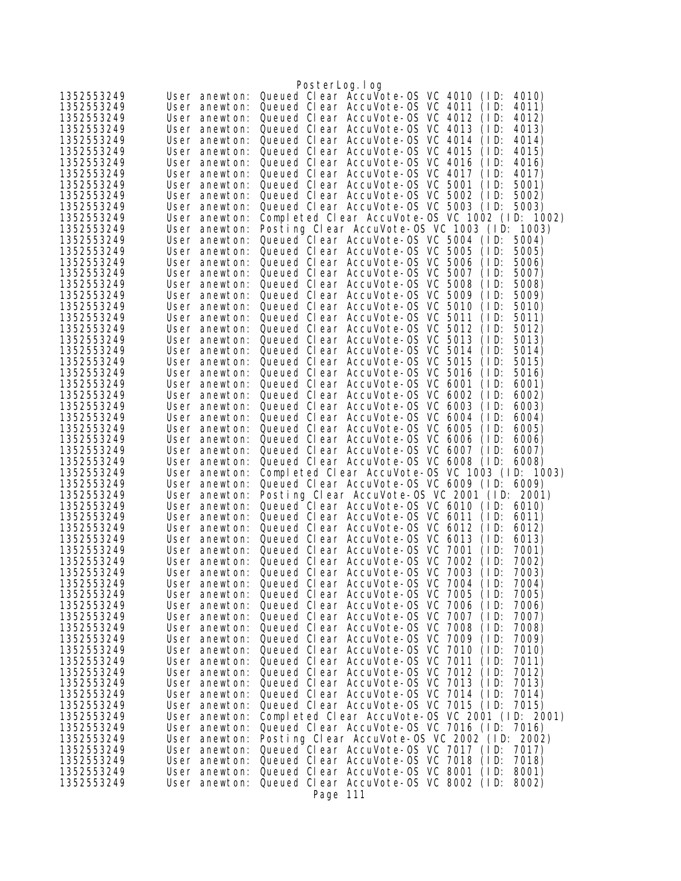|                          |                                | PosterLog.log                                                                                          |
|--------------------------|--------------------------------|--------------------------------------------------------------------------------------------------------|
| 1352553249               | User anewton:                  | Queued Clear AccuVote-OS VC 4010<br>(1D)<br>4010)                                                      |
| 1352553249               | User anewton:                  | Queued Clear AccuVote-OS VC 4011<br>(1D)<br>4011)                                                      |
| 1352553249               | User anewton:                  | Queued Clear AccuVote-OS VC 4012<br>(1D)<br>4012)                                                      |
| 1352553249               | User anewton:                  | Queued Clear AccuVote-OS VC 4013<br>4013)<br>(1D)                                                      |
| 1352553249               | User anewton:                  | Queued Clear AccuVote-OS VC 4014<br>(1D)<br>4014)                                                      |
| 1352553249               | User anewton:                  | Queued Clear AccuVote-OS VC 4015<br>(ID:<br>4015)                                                      |
| 1352553249               | User anewton:                  | Queued Clear AccuVote-OS VC 4016<br>(1D)<br>4016)                                                      |
| 1352553249               | User anewton:                  | Queued Clear AccuVote-OS VC 4017<br>(1D)<br>4017)                                                      |
| 1352553249               | User anewton:                  | Queued Clear AccuVote-0S VC 5001<br>(1D)<br>5001)                                                      |
| 1352553249               | User anewton:                  | Queued Clear AccuVote-OS VC 5002<br>(1D)<br>5002)                                                      |
| 1352553249               | User anewton:                  | Queued Clear AccuVote-0S VC 5003<br>(1D)<br>5003)                                                      |
| 1352553249               | User anewton:                  | Completed Clear AccuVote-0S VC 1002 (ID: 1002)                                                         |
| 1352553249<br>1352553249 | User anewton:<br>User anewton: | Posting Clear AccuVote-OS VC 1003 (ID: 1003)<br>Queued Clear AccuVote-0S VC 5004 (ID:<br>5004)         |
| 1352553249               | User anewton:                  | Queued Clear AccuVote-0S VC 5005<br>(1D)<br>5005)                                                      |
| 1352553249               | User anewton:                  | Queued Clear AccuVote-0S VC 5006<br>(ID:<br>5006)                                                      |
| 1352553249               | User anewton:                  | Queued Clear AccuVote-0S VC 5007<br>(1D)<br>5007)                                                      |
| 1352553249               | User anewton:                  | Queued Clear AccuVote-0S VC 5008<br>(1D)<br>5008)                                                      |
| 1352553249               | User anewton:                  | Queued Clear AccuVote-0S VC 5009<br>(1D)<br>5009)                                                      |
| 1352553249               | User anewton:                  | Queued Clear AccuVote-0S VC 5010<br>(1D)<br>5010)                                                      |
| 1352553249               | User anewton:                  | Queued Clear AccuVote-0S VC 5011<br>(1D)<br>5011)                                                      |
| 1352553249               | User anewton:                  | Queued Clear AccuVote-OS VC 5012<br>5012)<br>(1D)                                                      |
| 1352553249               | User anewton:                  | Queued Clear AccuVote-OS VC 5013<br>(1D)<br>5013)                                                      |
| 1352553249               | User anewton:                  | Queued Clear AccuVote-OS VC 5014<br>(1D)<br>5014)                                                      |
| 1352553249               | User anewton:                  | Queued Clear AccuVote-OS VC 5015<br>5015)<br>(ID:                                                      |
| 1352553249               | User anewton:                  | Queued Clear AccuVote-0S VC 5016<br>(1D)<br>5016)                                                      |
| 1352553249               | User anewton:                  | Queued Clear AccuVote-0S VC 6001<br>(1D)<br>6001)                                                      |
| 1352553249<br>1352553249 | User anewton:<br>User anewton: | Queued Clear AccuVote-0S VC 6002<br>(1D)<br>6002)<br>Queued Clear AccuVote-OS VC 6003<br>(1D)<br>6003) |
| 1352553249               | User anewton:                  | Queued Clear AccuVote-OS VC 6004<br>(ID:<br>6004)                                                      |
| 1352553249               | User anewton:                  | Queued Clear AccuVote-OS VC 6005<br>(1D)<br>6005)                                                      |
| 1352553249               | User anewton:                  | Queued Clear AccuVote-OS VC 6006<br>(1D)<br>6006)                                                      |
| 1352553249               | User anewton:                  | Queued Clear AccuVote-OS VC 6007<br>(1D)<br>6007)                                                      |
| 1352553249               | User anewton:                  | Queued Clear AccuVote-OS VC 6008 (ID:<br>6008)                                                         |
| 1352553249               | User anewton:                  | Completed Clear AccuVote-0S VC 1003 (ID: 1003)                                                         |
| 1352553249               | User anewton:                  | Queued Clear AccuVote-OS VC 6009 (ID:<br>6009)                                                         |
| 1352553249               | User anewton:                  | Posting Clear AccuVote-OS VC 2001 (ID: 2001)                                                           |
| 1352553249               | User anewton:                  | Queued Clear AccuVote-OS VC 6010 (ID:<br>6010)                                                         |
| 1352553249               | User anewton:                  | Queued Clear AccuVote-0S VC 6011<br>(1D)<br>6011)                                                      |
| 1352553249               | User anewton:                  | Queued Clear AccuVote-OS VC 6012<br>(1D)<br>6012)                                                      |
| 1352553249<br>1352553249 | User anewton:<br>User anewton: | Queued Clear AccuVote-OS VC 6013<br>(1D)<br>6013)<br>Queued Clear AccuVote-0S VC 7001<br>(1D)<br>7001) |
| 1352553249               | User anewton:                  | Queued Clear AccuVote-0S VC 7002<br>(1D)<br>7002)                                                      |
| 1352553249               |                                | User anewton: Queued Clear AccuVote-OS VC 7003 (ID:<br>7003)                                           |
| 1352553249               | User anewton:                  | Queued Clear AccuVote-0S VC 7004<br>(1D)<br>7004)                                                      |
| 1352553249               | User anewton:                  | Queued Clear AccuVote-0S VC 7005<br>(1D)<br>7005)                                                      |
| 1352553249               | User anewton:                  | Queued Clear AccuVote-0S VC 7006<br>(1D)<br>7006)                                                      |
| 1352553249               | User anewton:                  | Queued Clear AccuVote-0S VC 7007<br>(1D)<br>7007)                                                      |
| 1352553249               | User anewton:                  | Queued Clear AccuVote-0S VC 7008<br>(1D)<br>7008)                                                      |
| 1352553249               | User anewton:                  | Queued Clear AccuVote-0S VC 7009<br>(1D)<br>7009)                                                      |
| 1352553249               | User anewton:                  | Queued Clear AccuVote-0S VC 7010<br>(1D)<br>7010)                                                      |
| 1352553249               | User anewton:                  | Queued Clear AccuVote-0S VC 7011<br>(1D)<br>7011)                                                      |
| 1352553249               | User anewton:                  | Queued Clear AccuVote-0S VC 7012<br>(1D)<br>7012)                                                      |
| 1352553249<br>1352553249 | User anewton:<br>User anewton: | Queued Clear AccuVote-0S VC 7013<br>7013)<br>(1D)<br>Queued Clear AccuVote-0S VC 7014<br>(1D)<br>7014) |
| 1352553249               | User anewton:                  | Queued Clear AccuVote-OS VC 7015 (ID:<br>7015)                                                         |
| 1352553249               | User anewton:                  | Completed Clear AccuVote-OS VC 2001 (ID: 2001)                                                         |
| 1352553249               | User anewton:                  | Queued Clear AccuVote-OS VC 7016 (ID:<br>7016)                                                         |
| 1352553249               | User anewton:                  | Posting Clear AccuVote-OS VC 2002 (ID: 2002)                                                           |
| 1352553249               | User anewton:                  | Queued Clear AccuVote-OS VC 7017 (ID:<br>7017)                                                         |
| 1352553249               | User anewton:                  | Queued Clear AccuVote-OS VC 7018 (ID:<br>7018)                                                         |
| 1352553249               | User anewton:                  | Queued Clear AccuVote-OS VC 8001 (ID:<br>8001)                                                         |
| 1352553249               | User anewton:                  | Queued Clear AccuVote-OS VC 8002 (ID:<br>8002)                                                         |
|                          |                                | Page 111                                                                                               |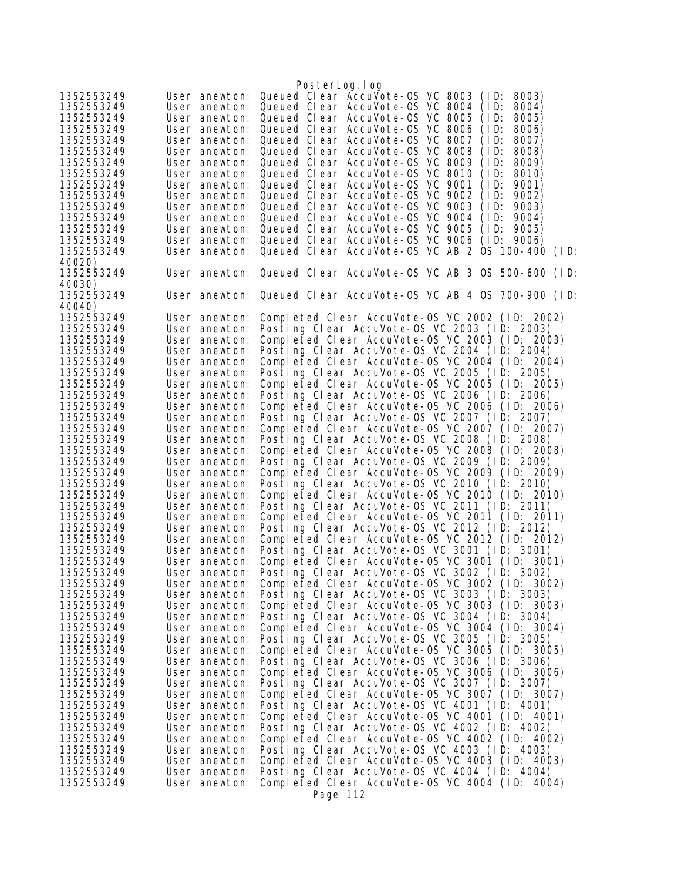|                          |                                | PosterLog.log                                                                                  |
|--------------------------|--------------------------------|------------------------------------------------------------------------------------------------|
| 1352553249               | User anewton:                  | Queued Clear Accuvote-0S VC 8003<br>(1D)<br>8003)                                              |
| 1352553249               | User anewton:                  | Queued Clear AccuVote-OS VC 8004<br>(1D)<br>8004)                                              |
| 1352553249               | User anewton:                  | Queued Clear AccuVote-OS VC 8005<br>(1D)<br>8005)                                              |
| 1352553249               | User anewton:                  | Queued Clear AccuVote-OS VC 8006<br>(1D)<br>8006)                                              |
| 1352553249               | User anewton:                  | Queued Clear AccuVote-OS VC 8007<br>(1D)<br>8007)                                              |
| 1352553249               | User anewton:                  | Queued Clear AccuVote-OS VC 8008<br>(1D)<br>8008)                                              |
| 1352553249               | User anewton:                  | Queued Clear AccuVote-OS VC 8009<br>(1D)<br>8009)                                              |
| 1352553249               | User anewton:                  | Queued Clear AccuVote-OS VC 8010<br>8010)<br>(1D)                                              |
| 1352553249               | User anewton:                  | Queued Clear AccuVote-OS VC 9001<br>(1D)<br>9001)                                              |
| 1352553249               | User anewton:                  | Queued Clear AccuVote-OS VC 9002<br>9002)<br>(1D)                                              |
| 1352553249               |                                | User anewton: Queued Clear AccuVote-OS VC 9003<br>(1D)<br>9003)                                |
| 1352553249               | User anewton:                  | Queued Clear AccuVote-OS VC 9004<br>(1D)<br>9004)                                              |
| 1352553249               | User anewton:                  | Queued Clear AccuVote-OS VC 9005<br>(1D)<br>9005)<br>Queued Clear AccuVote-0S VC 9006          |
| 1352553249<br>1352553249 | User anewton:<br>User anewton: | (1D)<br>9006)<br>Queued Clear AccuVote-OS VC AB 2 OS 100-400 (ID:                              |
| 40020)                   |                                |                                                                                                |
| 1352553249               |                                | User anewton: Queued Clear AccuVote-OS VC AB 3 OS 500-600 (ID:                                 |
| 40030)                   |                                |                                                                                                |
| 1352553249               |                                | User anewton: Queued Clear AccuVote-OS VC AB 4 0S 700-900 (ID:                                 |
| 40040)                   |                                |                                                                                                |
| 1352553249               | User anewton:                  | Completed Clear AccuVote-0S VC 2002 (ID: 2002)                                                 |
| 1352553249               | User anewton:                  | Posting Clear AccuVote-OS VC 2003 (ID: 2003)                                                   |
| 1352553249               | User anewton:                  | Completed Clear AccuVote-OS VC 2003 (ID: 2003)                                                 |
| 1352553249               | User anewton:                  | Posting Clear AccuVote-OS VC 2004 (ID: 2004)                                                   |
| 1352553249               | User anewton:                  | Completed Clear AccuVote-OS VC 2004 (ID: 2004)                                                 |
| 1352553249               | User anewton:                  | Posting Clear AccuVote-OS VC 2005 (ID: 2005)                                                   |
| 1352553249               | User anewton:                  | Completed Clear AccuVote-OS VC 2005 (ID: 2005)                                                 |
| 1352553249               | User anewton:                  | Posting Clear AccuVote-OS VC 2006 (ID: 2006)                                                   |
| 1352553249               | User anewton:                  | Completed Clear AccuVote-OS VC 2006 (ID: 2006)                                                 |
| 1352553249               | User anewton:                  | Posting Clear AccuVote-OS VC 2007 (ID: 2007)                                                   |
| 1352553249               | User anewton:                  | Completed Clear AccuVote-0S VC 2007 (ID: 2007)                                                 |
| 1352553249               | User anewton:                  | Posting Clear AccuVote-OS VC 2008 (ID: 2008)                                                   |
| 1352553249               | User anewton:                  | Completed Clear AccuVote-OS VC 2008 (ID: 2008)                                                 |
| 1352553249               | User anewton:                  | Posting Clear AccuVote-OS VC 2009 (ID: 2009)                                                   |
| 1352553249               | User anewton:                  | Completed Clear AccuVote-OS VC 2009 (ID: 2009)                                                 |
| 1352553249               | User anewton:                  | Posting Clear AccuVote-OS VC 2010 (ID: 2010)                                                   |
| 1352553249               | User anewton:                  | Completed Clear AccuVote-OS VC 2010 (ID: 2010)                                                 |
| 1352553249               | User anewton:                  | Posting Clear AccuVote-OS VC 2011 (ID: 2011)<br>Completed Clear AccuVote-OS VC 2011 (ID: 2011) |
| 1352553249<br>1352553249 | User anewton:<br>User anewton: | Posting Clear AccuVote-OS VC 2012 (ID: 2012)                                                   |
| 1352553249               | User anewton:                  | Completed Clear AccuVote-OS VC 2012 (ID: 2012)                                                 |
| 1352553249               | User anewton:                  | Posting Clear AccuVote-OS VC 3001 (ID: 3001)                                                   |
| 1352553249               | User anewton:                  | Completed Clear AccuVote-OS VC 3001 (ID: 3001)                                                 |
| 1352553249               | User anewton:                  | Posting Clear AccuVote-OS VC 3002 (ID: 3002)                                                   |
| 1352553249               | User anewton:                  | Completed Clear AccuVote-OS VC 3002 (ID: 3002)                                                 |
| 1352553249               | User anewton:                  | Posting Clear AccuVote-OS VC 3003 (ID: 3003)                                                   |
| 1352553249               | User anewton:                  | Completed Clear AccuVote-0S VC 3003 (ID: 3003)                                                 |
| 1352553249               | User anewton:                  | Posting Clear AccuVote-OS VC 3004 (ID: 3004)                                                   |
| 1352553249               | User anewton:                  | Completed Clear AccuVote-OS VC 3004 (ID: 3004)                                                 |
| 1352553249               | User anewton:                  | Posting Clear AccuVote-OS VC 3005 (ID: 3005)                                                   |
| 1352553249               | User anewton:                  | Completed Clear AccuVote-0S VC 3005 (ID: 3005)                                                 |
| 1352553249               | User anewton:                  | Posting Clear AccuVote-OS VC 3006 (ID: 3006)                                                   |
| 1352553249               | User anewton:                  | Completed Clear AccuVote-OS VC 3006 (ID: 3006)                                                 |
| 1352553249               | User anewton:                  | Posting Clear AccuVote-OS VC 3007 (ID: 3007)                                                   |
| 1352553249               | User anewton:                  | Completed Clear AccuVote-0S VC 3007 (ID: 3007)                                                 |
| 1352553249               | User anewton:                  | Posting Clear AccuVote-OS VC 4001 (ID: 4001)                                                   |
| 1352553249               | User anewton:                  | Completed Clear AccuVote-0S VC 4001 (ID: 4001)                                                 |
| 1352553249               | User anewton:                  | Posting Clear AccuVote-OS VC 4002 (ID: 4002)                                                   |
| 1352553249               | User anewton:                  | Completed Clear AccuVote-OS VC 4002 (ID: 4002)                                                 |
| 1352553249               | User anewton:                  | Posting Clear AccuVote-OS VC 4003 (ID: 4003)                                                   |
| 1352553249               | User anewton:                  | Completed Clear AccuVote-OS VC 4003 (ID: 4003)                                                 |
| 1352553249               | User anewton:                  | Posting Clear AccuVote-OS VC 4004 (ID: 4004)                                                   |
| 1352553249               | User anewton:                  | Completed Clear AccuVote-OS VC 4004 (ID: 4004)                                                 |
|                          |                                | Page 112                                                                                       |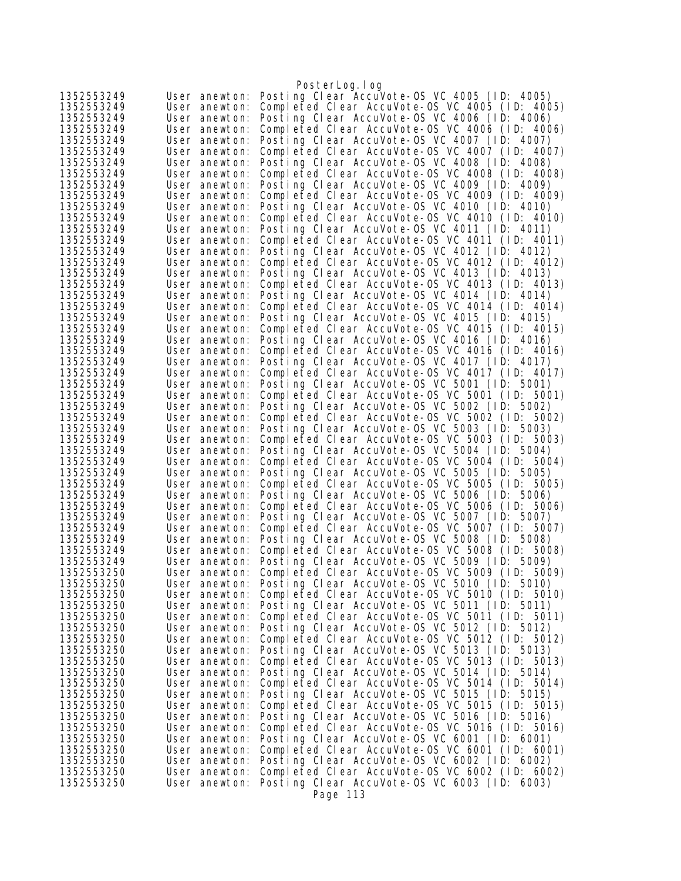|                          |                                | PosterLog.log                                                                                  |
|--------------------------|--------------------------------|------------------------------------------------------------------------------------------------|
| 1352553249               | User anewton:                  | Posting Clear AccuVote-OS VC 4005 (ID: 4005)                                                   |
| 1352553249               | User anewton:                  | Completed Clear AccuVote-OS VC 4005 (ID: 4005)                                                 |
| 1352553249               | User anewton:                  | Posting Clear AccuVote-OS VC 4006 (ID: 4006)                                                   |
| 1352553249               | User anewton:                  | Completed Clear AccuVote-OS VC 4006 (ID: 4006)                                                 |
| 1352553249               | User anewton:                  | Posting Clear AccuVote-OS VC 4007 (ID: 4007)                                                   |
| 1352553249               | User anewton:                  | Completed Clear AccuVote-OS VC 4007 (ID: 4007)                                                 |
| 1352553249               | User anewton:                  | Posting Clear AccuVote-OS VC 4008 (ID: 4008)                                                   |
| 1352553249               | User anewton:                  | Completed Clear AccuVote-OS VC 4008 (ID: 4008)                                                 |
| 1352553249<br>1352553249 | User anewton:<br>User anewton: | Posting Clear AccuVote-OS VC 4009 (ID: 4009)<br>Completed Clear AccuVote-OS VC 4009 (ID: 4009) |
| 1352553249               | User anewton:                  | Posting Clear AccuVote-OS VC 4010 (ID: 4010)                                                   |
| 1352553249               | User anewton:                  | Completed Clear AccuVote-OS VC 4010 (ID: 4010)                                                 |
| 1352553249               | User anewton:                  | Posting Clear AccuVote-OS VC 4011 (ID: 4011)                                                   |
| 1352553249               | User anewton:                  | Completed Clear AccuVote-OS VC 4011 (ID: 4011)                                                 |
| 1352553249               | User anewton:                  | Posting Clear AccuVote-OS VC 4012 (ID: 4012)                                                   |
| 1352553249               | User anewton:                  | Completed Clear AccuVote-OS VC 4012 (ID: 4012)                                                 |
| 1352553249               | User anewton:                  | Posting Clear AccuVote-OS VC 4013 (ID: 4013)                                                   |
| 1352553249               | User anewton:                  | Completed Clear AccuVote-OS VC 4013 (ID: 4013)                                                 |
| 1352553249               | User anewton:                  | Posting Clear AccuVote-OS VC 4014 (ID: 4014)                                                   |
| 1352553249               | User anewton:                  | Completed Clear AccuVote-OS VC 4014 (ID: 4014)                                                 |
| 1352553249               | User anewton:                  | Posting Clear AccuVote-OS VC 4015 (ID: 4015)                                                   |
| 1352553249               | User anewton:                  | Completed Clear AccuVote-OS VC 4015 (ID: 4015)                                                 |
| 1352553249               | User anewton:                  | Posting Clear AccuVote-OS VC 4016 (ID: 4016)                                                   |
| 1352553249               | User anewton:                  | Completed Clear AccuVote-OS VC 4016 (ID: 4016)                                                 |
| 1352553249<br>1352553249 | User anewton:                  | Posting Clear AccuVote-OS VC 4017 (ID: 4017)<br>Completed Clear AccuVote-OS VC 4017 (ID: 4017) |
| 1352553249               | User anewton:<br>User anewton: | Posting Clear AccuVote-OS VC 5001 (ID: 5001)                                                   |
| 1352553249               | User anewton:                  | Completed Clear AccuVote-0S VC 5001 (ID: 5001)                                                 |
| 1352553249               | User anewton:                  | Posting Clear AccuVote-OS VC 5002 (ID: 5002)                                                   |
| 1352553249               | User anewton:                  | Completed Clear AccuVote-OS VC 5002 (ID: 5002)                                                 |
| 1352553249               | User anewton:                  | Posting Clear AccuVote-OS VC 5003 (ID: 5003)                                                   |
| 1352553249               | User anewton:                  | Completed Clear AccuVote-OS VC 5003 (ID: 5003)                                                 |
| 1352553249               | User anewton:                  | Posting Clear AccuVote-OS VC 5004 (ID: 5004)                                                   |
| 1352553249               | User anewton:                  | Completed Clear AccuVote-OS VC 5004 (ID: 5004)                                                 |
| 1352553249               | User anewton:                  | Posting Clear AccuVote-OS VC 5005 (ID: 5005)                                                   |
| 1352553249               | User anewton:                  | Completed Clear AccuVote-OS VC 5005 (ID: 5005)                                                 |
| 1352553249               | User anewton:                  | Posting Clear AccuVote-OS VC 5006 (ID: 5006)                                                   |
| 1352553249<br>1352553249 | User anewton:                  | Completed Clear AccuVote-OS VC 5006 (ID: 5006)<br>Posting Clear AccuVote-OS VC 5007 (ID: 5007) |
| 1352553249               | User anewton:<br>User anewton: | Completed Clear AccuVote-OS VC 5007 (ID: 5007)                                                 |
| 1352553249               | User anewton:                  | Posting Clear AccuVote-OS VC 5008 (ID: 5008)                                                   |
| 1352553249               | User anewton:                  | Completed Clear AccuVote-0S VC 5008 (ID: 5008)                                                 |
| 1352553249               | User anewton:                  | Posting Clear AccuVote-OS VC 5009 (ID: 5009)                                                   |
| 1352553250               | User anewton:                  | Completed Clear AccuVote-OS VC 5009 (ID: 5009)                                                 |
| 1352553250               | User anewton:                  | Posting Clear AccuVote-OS VC 5010 (ID: 5010)                                                   |
| 1352553250               | User anewton:                  | Completed Clear AccuVote-OS VC 5010 (ID: 5010)                                                 |
| 1352553250               | User anewton:                  | Posting Clear AccuVote-OS VC 5011 (ID: 5011)                                                   |
| 1352553250               | User anewton:                  | Completed Clear AccuVote-0S VC 5011 (ID: 5011)                                                 |
| 1352553250               | User anewton:                  | Posting Clear AccuVote-OS VC 5012 (ID: 5012)                                                   |
| 1352553250               | User anewton:                  | Completed Clear AccuVote-OS VC 5012 (ID: 5012)                                                 |
| 1352553250               | User anewton:                  | Posting Clear AccuVote-OS VC 5013 (ID: 5013)                                                   |
| 1352553250               | User anewton:                  | Completed Clear AccuVote-OS VC 5013 (ID: 5013)<br>Posting Clear AccuVote-OS VC 5014 (ID: 5014) |
| 1352553250<br>1352553250 | User anewton:<br>User anewton: | Completed Clear AccuVote-OS VC 5014 (ID: 5014)                                                 |
| 1352553250               | User anewton:                  | Posting Clear AccuVote-OS VC 5015 (ID: 5015)                                                   |
| 1352553250               | User anewton:                  | Completed Clear AccuVote-OS VC 5015 (ID: 5015)                                                 |
| 1352553250               | User anewton:                  | Posting Clear AccuVote-OS VC 5016 (ID: 5016)                                                   |
| 1352553250               | User anewton:                  | Completed Clear AccuVote-OS VC 5016 (ID: 5016)                                                 |
| 1352553250               | User anewton:                  | Posting Clear AccuVote-OS VC 6001 (ID: 6001)                                                   |
| 1352553250               | User anewton:                  | Completed Clear AccuVote-OS VC 6001 (ID: 6001)                                                 |
| 1352553250               | User anewton:                  | Posting Clear AccuVote-OS VC 6002 (ID: 6002)                                                   |
| 1352553250               | User anewton:                  | Completed Clear AccuVote-OS VC 6002 (ID: 6002)                                                 |
| 1352553250               | User anewton:                  | Posting Clear AccuVote-OS VC 6003 (ID: 6003)                                                   |
|                          |                                | Page 113                                                                                       |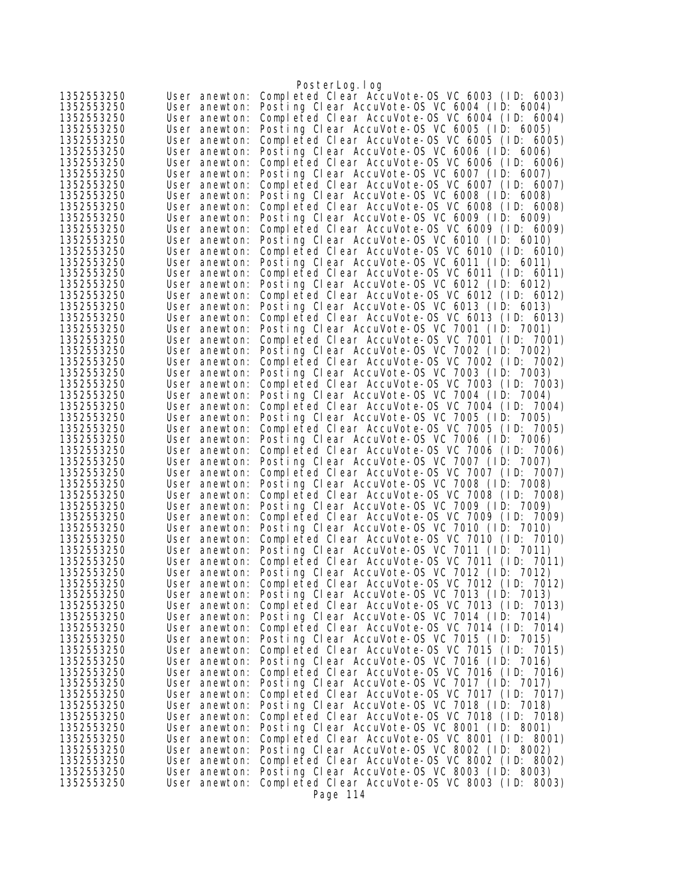|                          |                                | PosterLog.log                                                                                  |
|--------------------------|--------------------------------|------------------------------------------------------------------------------------------------|
| 1352553250               | User anewton:                  | Completed Clear AccuVote-0S VC 6003 (ID: 6003)                                                 |
| 1352553250               | User anewton:                  | Posting Clear AccuVote-OS VC 6004 (ID: 6004)                                                   |
| 1352553250               | User anewton:                  | Completed Clear AccuVote-OS VC 6004 (ID: 6004)                                                 |
| 1352553250               | User anewton:                  | Posting Clear AccuVote-OS VC 6005 (ID: 6005)                                                   |
| 1352553250               | User anewton:                  | Completed Clear AccuVote-0S VC 6005 (ID: 6005)                                                 |
| 1352553250               | User anewton:                  | Posting Clear AccuVote-OS VC 6006 (ID: 6006)                                                   |
| 1352553250               | User anewton:                  | Completed Clear AccuVote-OS VC 6006 (ID: 6006)                                                 |
| 1352553250               | User anewton:                  | Posting Clear AccuVote-OS VC 6007 (ID: 6007)<br>Completed Clear AccuVote-OS VC 6007 (ID: 6007) |
| 1352553250<br>1352553250 | User anewton:<br>User anewton: | Posting Clear AccuVote-OS VC 6008 (ID: 6008)                                                   |
| 1352553250               | User anewton:                  | Completed Clear AccuVote-OS VC 6008 (ID: 6008)                                                 |
| 1352553250               | User anewton:                  | Posting Clear AccuVote-OS VC 6009 (ID: 6009)                                                   |
| 1352553250               | User anewton:                  | Completed Clear AccuVote-OS VC 6009 (ID: 6009)                                                 |
| 1352553250               | User anewton:                  | Posting Clear AccuVote-OS VC 6010 (ID: 6010)                                                   |
| 1352553250               | User anewton:                  | Completed Clear AccuVote-OS VC 6010 (ID: 6010)                                                 |
| 1352553250               | User anewton:                  | Posting Clear AccuVote-OS VC 6011 (ID: 6011)                                                   |
| 1352553250               | User anewton:                  | Completed Clear AccuVote-OS VC 6011 (ID: 6011)                                                 |
| 1352553250               | User anewton:                  | Posting Clear AccuVote-OS VC 6012 (ID: 6012)                                                   |
| 1352553250               | User anewton:                  | Completed Clear AccuVote-OS VC 6012 (ID: 6012)                                                 |
| 1352553250               | User anewton:                  | Posting Clear AccuVote-OS VC 6013 (ID: 6013)                                                   |
| 1352553250               | User anewton:                  | Completed Clear AccuVote-OS VC 6013 (ID: 6013)                                                 |
| 1352553250               | User anewton:                  | Posting Clear AccuVote-OS VC 7001 (ID: 7001)                                                   |
| 1352553250               | User anewton:                  | Completed Clear AccuVote-0S VC 7001 (ID: 7001)                                                 |
| 1352553250<br>1352553250 | User anewton:                  | Posting Clear AccuVote-OS VC 7002 (ID: 7002)<br>Completed Clear AccuVote-OS VC 7002 (ID: 7002) |
| 1352553250               | User anewton:<br>User anewton: | Posting Clear AccuVote-OS VC 7003 (ID: 7003)                                                   |
| 1352553250               | User anewton:                  | Completed Clear AccuVote-OS VC 7003 (ID: 7003)                                                 |
| 1352553250               | User anewton:                  | Posting Clear AccuVote-OS VC 7004 (ID: 7004)                                                   |
| 1352553250               | User anewton:                  | Completed Clear AccuVote-OS VC 7004 (ID: 7004)                                                 |
| 1352553250               | User anewton:                  | Posting Clear AccuVote-OS VC 7005 (ID: 7005)                                                   |
| 1352553250               | User anewton:                  | Completed Clear AccuVote-OS VC 7005 (ID: 7005)                                                 |
| 1352553250               | User anewton:                  | Posting Clear AccuVote-OS VC 7006 (ID: 7006)                                                   |
| 1352553250               | User anewton:                  | Completed Clear AccuVote-OS VC 7006 (ID: 7006)                                                 |
| 1352553250               | User anewton:                  | Posting Clear AccuVote-OS VC 7007 (ID:<br>7007)                                                |
| 1352553250               | User anewton:                  | Completed Clear AccuVote-0S VC 7007 (ID: 7007)                                                 |
| 1352553250               | User anewton:                  | Posting Clear AccuVote-OS VC 7008 (ID: 7008)                                                   |
| 1352553250<br>1352553250 | User anewton:                  | Completed Clear AccuVote-0S VC 7008 (ID: 7008)                                                 |
| 1352553250               | User anewton:<br>User anewton: | Posting Clear AccuVote-OS VC 7009 (ID: 7009)<br>Completed Clear AccuVote-OS VC 7009 (ID: 7009) |
| 1352553250               | User anewton:                  | Posting Clear AccuVote-OS VC 7010 (ID: 7010)                                                   |
| 1352553250               | User anewton:                  | Completed Clear AccuVote-OS VC 7010 (ID: 7010)                                                 |
| 1352553250               | User anewton:                  | Posting Clear AccuVote-OS VC 7011 (ID: 7011)                                                   |
| 1352553250               | User anewton:                  | Completed Clear AccuVote-OS VC 7011 (ID: 7011)                                                 |
| 1352553250               | User anewton:                  | Posting Clear AccuVote-OS VC 7012 (ID: 7012)                                                   |
| 1352553250               | User anewton:                  | Completed Clear AccuVote-OS VC 7012 (ID: 7012)                                                 |
| 1352553250               | User anewton:                  | Posting Clear AccuVote-OS VC 7013 (ID: 7013)                                                   |
| 1352553250               | User anewton:                  | Completed Clear AccuVote-OS VC 7013 (ID: 7013)                                                 |
| 1352553250               | User anewton:                  | Posting Clear AccuVote-OS VC 7014 (ID: 7014)                                                   |
| 1352553250               | User anewton:                  | Completed Clear AccuVote-OS VC 7014 (ID: 7014)                                                 |
| 1352553250               | User anewton:                  | Posting Clear AccuVote-OS VC 7015 (ID: 7015)                                                   |
| 1352553250<br>1352553250 | User anewton:<br>User anewton: | Completed Clear AccuVote-OS VC 7015 (ID: 7015)<br>Posting Clear AccuVote-OS VC 7016 (ID: 7016) |
| 1352553250               | User anewton:                  | Completed Clear AccuVote-0S VC 7016 (ID: 7016)                                                 |
| 1352553250               | User anewton:                  | Posting Clear AccuVote-OS VC 7017 (ID: 7017)                                                   |
| 1352553250               | User anewton:                  | Completed Clear AccuVote-OS VC 7017 (ID: 7017)                                                 |
| 1352553250               | User anewton:                  | Posting Clear AccuVote-OS VC 7018 (ID: 7018)                                                   |
| 1352553250               | User anewton:                  | Completed Clear AccuVote-OS VC 7018 (ID: 7018)                                                 |
| 1352553250               | User anewton:                  | Posting Clear AccuVote-OS VC 8001 (ID: 8001)                                                   |
| 1352553250               | User anewton:                  | Completed Clear AccuVote-OS VC 8001 (ID: 8001)                                                 |
| 1352553250               | User anewton:                  | Posting Clear AccuVote-OS VC 8002 (ID: 8002)                                                   |
| 1352553250               | User anewton:                  | Completed Clear AccuVote-OS VC 8002 (ID: 8002)                                                 |
| 1352553250               | User anewton:                  | Posting Clear AccuVote-OS VC 8003 (ID: 8003)                                                   |
| 1352553250               | User anewton:                  | Completed Clear AccuVote-OS VC 8003 (ID: 8003)                                                 |
|                          |                                | Page 114                                                                                       |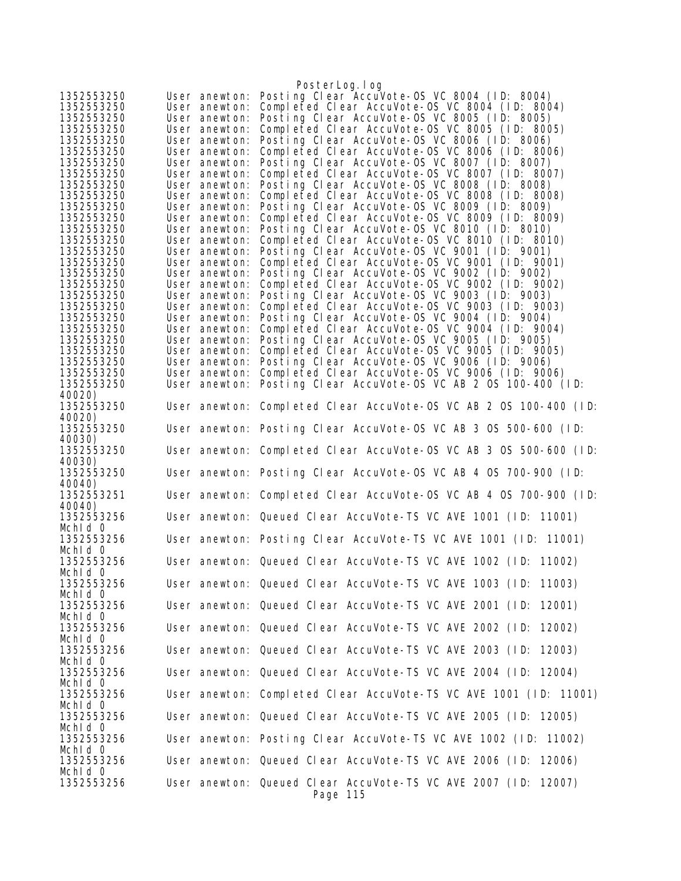| User anewton: Posting Clear AccuVote-OS VC 8004 (ID: 8004)<br>1352553250<br>Completed Clear AccuVote-OS VC 8004 (ID: 8004)<br>1352553250<br>User anewton:<br>Posting Clear AccuVote-OS VC 8005 (ID: 8005)<br>1352553250<br>User anewton:<br>Completed Clear AccuVote-0S VC 8005 (ID: 8005)<br>1352553250<br>User anewton:<br>Posting Clear AccuVote-OS VC 8006 (ID: 8006)<br>1352553250<br>User anewton:<br>Completed Clear AccuVote-0S VC 8006 (ID: 8006)<br>1352553250<br>User anewton:<br>Posting Clear AccuVote-OS VC 8007 (ID: 8007)<br>1352553250<br>User anewton:<br>Completed Clear AccuVote-OS VC 8007 (ID: 8007)<br>1352553250<br>User anewton:<br>Posting Clear AccuVote-OS VC 8008 (ID: 8008)<br>1352553250<br>User anewton:<br>Completed Clear AccuVote-OS VC 8008 (ID: 8008)<br>1352553250<br>User anewton:<br>Posting Clear AccuVote-OS VC 8009 (ID: 8009)<br>1352553250<br>User anewton:<br>Completed Clear AccuVote-OS VC 8009 (ID: 8009)<br>1352553250<br>User anewton:<br>Posting Clear AccuVote-OS VC 8010 (ID: 8010)<br>1352553250<br>User anewton:<br>Completed Clear AccuVote-0S VC 8010 (ID: 8010)<br>1352553250<br>User anewton:<br>Posting Clear AccuVote-OS VC 9001 (ID: 9001)<br>1352553250<br>User anewton:<br>Completed Clear AccuVote-0S VC 9001 (ID: 9001)<br>1352553250<br>User anewton:<br>Posting Clear AccuVote-OS VC 9002 (ID: 9002)<br>1352553250<br>User anewton:<br>Completed Clear AccuVote-OS VC 9002 (ID: 9002)<br>1352553250<br>User anewton:<br>Posting Clear AccuVote-OS VC 9003 (ID: 9003)<br>1352553250<br>User anewton:<br>Completed Clear AccuVote-OS VC 9003 (ID: 9003)<br>1352553250<br>User anewton:<br>Posting Clear AccuVote-OS VC 9004 (ID: 9004)<br>1352553250<br>User anewton:<br>User anewton: Completed Clear AccuVote-OS VC 9004 (ID: 9004)<br>1352553250<br>Posting Clear AccuVote-OS VC 9005 (ID: 9005)<br>1352553250<br>User anewton:<br>Completed Clear AccuVote-0S VC 9005 (ID: 9005)<br>1352553250<br>User anewton:<br>Posting Clear AccuVote-OS VC 9006 (ID: 9006)<br>1352553250<br>User anewton:<br>Completed Clear AccuVote-OS VC 9006 (ID: 9006)<br>1352553250<br>User anewton:<br>Posting Clear AccuVote-OS VC AB 2 OS 100-400 (ID:<br>1352553250<br>User anewton:<br>40020)<br>1352553250<br>User anewton: Completed Clear AccuVote-OS VC AB 2 OS 100-400 (ID:<br>40020)<br>1352553250<br>User anewton: Posting Clear AccuVote-OS VC AB 3 OS 500-600 (ID:<br>40030)<br>User anewton: Completed Clear AccuVote-OS VC AB 3 OS 500-600 (ID:<br>1352553250<br>40030)<br>1352553250<br>User anewton: Posting Clear AccuVote-OS VC AB 4 OS 700-900 (ID:<br>40040)<br>1352553251<br>User anewton: Completed Clear AccuVote-OS VC AB 4 OS 700-900 (ID:<br>40040)<br>1352553256<br>User anewton: Queued Clear AccuVote-TS VC AVE 1001 (ID: 11001)<br>Mchid 0<br>1352553256<br>User anewton: Posting Clear AccuVote-TS VC AVE 1001 (ID: 11001)<br>Mchid 0<br>1352553256<br>User anewton: Queued Clear AccuVote-TS VC AVE 1002 (ID: 11002)<br>Mchld O<br>User anewton: Queued Clear AccuVote-TS VC AVE 1003 (ID: 11003)<br>Mchid 0<br>User anewton: Queued Clear AccuVote-TS VC AVE 2001 (ID: 12001)<br>1352553256<br>Mchid 0<br>User anewton: Queued Clear AccuVote-TS VC AVE 2002 (ID: 12002)<br>1352553256<br>Mchid 0<br>1352553256<br>User anewton: Queued Clear AccuVote-TS VC AVE 2003 (ID: 12003)<br>Mchid 0<br>User anewton: Queued Clear AccuVote-TS VC AVE 2004 (ID: 12004)<br>1352553256<br>User anewton: Completed Clear AccuVote-TS VC AVE 1001 (ID: 11001)<br>1352553256<br>User anewton: Queued Clear AccuVote-TS VC AVE 2005 (ID: 12005)<br>Mchid 0<br>1352553256<br>User anewton: Posting Clear AccuVote-TS VC AVE 1002 (ID: 11002)<br>Mchid 0<br>User anewton: Queued Clear AccuVote-TS VC AVE 2006 (ID: 12006)<br>1352553256<br>Mchid 0<br>1352553256<br>User anewton: Queued Clear AccuVote-TS VC AVE 2007 (ID: 12007)<br>Page 115 |            | PosterLog.log |
|----------------------------------------------------------------------------------------------------------------------------------------------------------------------------------------------------------------------------------------------------------------------------------------------------------------------------------------------------------------------------------------------------------------------------------------------------------------------------------------------------------------------------------------------------------------------------------------------------------------------------------------------------------------------------------------------------------------------------------------------------------------------------------------------------------------------------------------------------------------------------------------------------------------------------------------------------------------------------------------------------------------------------------------------------------------------------------------------------------------------------------------------------------------------------------------------------------------------------------------------------------------------------------------------------------------------------------------------------------------------------------------------------------------------------------------------------------------------------------------------------------------------------------------------------------------------------------------------------------------------------------------------------------------------------------------------------------------------------------------------------------------------------------------------------------------------------------------------------------------------------------------------------------------------------------------------------------------------------------------------------------------------------------------------------------------------------------------------------------------------------------------------------------------------------------------------------------------------------------------------------------------------------------------------------------------------------------------------------------------------------------------------------------------------------------------------------------------------------------------------------------------------------------------------------------------------------------------------------------------------------------------------------------------------------------------------------------------------------------------------------------------------------------------------------------------------------------------------------------------------------------------------------------------------------------------------------------------------------------------------------------------------------------------------------------------------------------------------------------------------------------------------------------------------------------------------------------------------------------------------------------------------------------------------------------------------------------------------------------------------------------------------------------------------------------------------------------------------------------------------------------------------------------------------------------------------------------------------------------------------------------------------------------------------------------------------------------------------------------------------------------------------------------------------------------------------------------------------------------------------------------------------------------------------|------------|---------------|
|                                                                                                                                                                                                                                                                                                                                                                                                                                                                                                                                                                                                                                                                                                                                                                                                                                                                                                                                                                                                                                                                                                                                                                                                                                                                                                                                                                                                                                                                                                                                                                                                                                                                                                                                                                                                                                                                                                                                                                                                                                                                                                                                                                                                                                                                                                                                                                                                                                                                                                                                                                                                                                                                                                                                                                                                                                                                                                                                                                                                                                                                                                                                                                                                                                                                                                                                                                                                                                                                                                                                                                                                                                                                                                                                                                                                                                                                                                                      |            |               |
|                                                                                                                                                                                                                                                                                                                                                                                                                                                                                                                                                                                                                                                                                                                                                                                                                                                                                                                                                                                                                                                                                                                                                                                                                                                                                                                                                                                                                                                                                                                                                                                                                                                                                                                                                                                                                                                                                                                                                                                                                                                                                                                                                                                                                                                                                                                                                                                                                                                                                                                                                                                                                                                                                                                                                                                                                                                                                                                                                                                                                                                                                                                                                                                                                                                                                                                                                                                                                                                                                                                                                                                                                                                                                                                                                                                                                                                                                                                      |            |               |
|                                                                                                                                                                                                                                                                                                                                                                                                                                                                                                                                                                                                                                                                                                                                                                                                                                                                                                                                                                                                                                                                                                                                                                                                                                                                                                                                                                                                                                                                                                                                                                                                                                                                                                                                                                                                                                                                                                                                                                                                                                                                                                                                                                                                                                                                                                                                                                                                                                                                                                                                                                                                                                                                                                                                                                                                                                                                                                                                                                                                                                                                                                                                                                                                                                                                                                                                                                                                                                                                                                                                                                                                                                                                                                                                                                                                                                                                                                                      |            |               |
|                                                                                                                                                                                                                                                                                                                                                                                                                                                                                                                                                                                                                                                                                                                                                                                                                                                                                                                                                                                                                                                                                                                                                                                                                                                                                                                                                                                                                                                                                                                                                                                                                                                                                                                                                                                                                                                                                                                                                                                                                                                                                                                                                                                                                                                                                                                                                                                                                                                                                                                                                                                                                                                                                                                                                                                                                                                                                                                                                                                                                                                                                                                                                                                                                                                                                                                                                                                                                                                                                                                                                                                                                                                                                                                                                                                                                                                                                                                      |            |               |
|                                                                                                                                                                                                                                                                                                                                                                                                                                                                                                                                                                                                                                                                                                                                                                                                                                                                                                                                                                                                                                                                                                                                                                                                                                                                                                                                                                                                                                                                                                                                                                                                                                                                                                                                                                                                                                                                                                                                                                                                                                                                                                                                                                                                                                                                                                                                                                                                                                                                                                                                                                                                                                                                                                                                                                                                                                                                                                                                                                                                                                                                                                                                                                                                                                                                                                                                                                                                                                                                                                                                                                                                                                                                                                                                                                                                                                                                                                                      |            |               |
|                                                                                                                                                                                                                                                                                                                                                                                                                                                                                                                                                                                                                                                                                                                                                                                                                                                                                                                                                                                                                                                                                                                                                                                                                                                                                                                                                                                                                                                                                                                                                                                                                                                                                                                                                                                                                                                                                                                                                                                                                                                                                                                                                                                                                                                                                                                                                                                                                                                                                                                                                                                                                                                                                                                                                                                                                                                                                                                                                                                                                                                                                                                                                                                                                                                                                                                                                                                                                                                                                                                                                                                                                                                                                                                                                                                                                                                                                                                      |            |               |
|                                                                                                                                                                                                                                                                                                                                                                                                                                                                                                                                                                                                                                                                                                                                                                                                                                                                                                                                                                                                                                                                                                                                                                                                                                                                                                                                                                                                                                                                                                                                                                                                                                                                                                                                                                                                                                                                                                                                                                                                                                                                                                                                                                                                                                                                                                                                                                                                                                                                                                                                                                                                                                                                                                                                                                                                                                                                                                                                                                                                                                                                                                                                                                                                                                                                                                                                                                                                                                                                                                                                                                                                                                                                                                                                                                                                                                                                                                                      |            |               |
|                                                                                                                                                                                                                                                                                                                                                                                                                                                                                                                                                                                                                                                                                                                                                                                                                                                                                                                                                                                                                                                                                                                                                                                                                                                                                                                                                                                                                                                                                                                                                                                                                                                                                                                                                                                                                                                                                                                                                                                                                                                                                                                                                                                                                                                                                                                                                                                                                                                                                                                                                                                                                                                                                                                                                                                                                                                                                                                                                                                                                                                                                                                                                                                                                                                                                                                                                                                                                                                                                                                                                                                                                                                                                                                                                                                                                                                                                                                      |            |               |
|                                                                                                                                                                                                                                                                                                                                                                                                                                                                                                                                                                                                                                                                                                                                                                                                                                                                                                                                                                                                                                                                                                                                                                                                                                                                                                                                                                                                                                                                                                                                                                                                                                                                                                                                                                                                                                                                                                                                                                                                                                                                                                                                                                                                                                                                                                                                                                                                                                                                                                                                                                                                                                                                                                                                                                                                                                                                                                                                                                                                                                                                                                                                                                                                                                                                                                                                                                                                                                                                                                                                                                                                                                                                                                                                                                                                                                                                                                                      |            |               |
|                                                                                                                                                                                                                                                                                                                                                                                                                                                                                                                                                                                                                                                                                                                                                                                                                                                                                                                                                                                                                                                                                                                                                                                                                                                                                                                                                                                                                                                                                                                                                                                                                                                                                                                                                                                                                                                                                                                                                                                                                                                                                                                                                                                                                                                                                                                                                                                                                                                                                                                                                                                                                                                                                                                                                                                                                                                                                                                                                                                                                                                                                                                                                                                                                                                                                                                                                                                                                                                                                                                                                                                                                                                                                                                                                                                                                                                                                                                      |            |               |
|                                                                                                                                                                                                                                                                                                                                                                                                                                                                                                                                                                                                                                                                                                                                                                                                                                                                                                                                                                                                                                                                                                                                                                                                                                                                                                                                                                                                                                                                                                                                                                                                                                                                                                                                                                                                                                                                                                                                                                                                                                                                                                                                                                                                                                                                                                                                                                                                                                                                                                                                                                                                                                                                                                                                                                                                                                                                                                                                                                                                                                                                                                                                                                                                                                                                                                                                                                                                                                                                                                                                                                                                                                                                                                                                                                                                                                                                                                                      |            |               |
|                                                                                                                                                                                                                                                                                                                                                                                                                                                                                                                                                                                                                                                                                                                                                                                                                                                                                                                                                                                                                                                                                                                                                                                                                                                                                                                                                                                                                                                                                                                                                                                                                                                                                                                                                                                                                                                                                                                                                                                                                                                                                                                                                                                                                                                                                                                                                                                                                                                                                                                                                                                                                                                                                                                                                                                                                                                                                                                                                                                                                                                                                                                                                                                                                                                                                                                                                                                                                                                                                                                                                                                                                                                                                                                                                                                                                                                                                                                      |            |               |
|                                                                                                                                                                                                                                                                                                                                                                                                                                                                                                                                                                                                                                                                                                                                                                                                                                                                                                                                                                                                                                                                                                                                                                                                                                                                                                                                                                                                                                                                                                                                                                                                                                                                                                                                                                                                                                                                                                                                                                                                                                                                                                                                                                                                                                                                                                                                                                                                                                                                                                                                                                                                                                                                                                                                                                                                                                                                                                                                                                                                                                                                                                                                                                                                                                                                                                                                                                                                                                                                                                                                                                                                                                                                                                                                                                                                                                                                                                                      |            |               |
|                                                                                                                                                                                                                                                                                                                                                                                                                                                                                                                                                                                                                                                                                                                                                                                                                                                                                                                                                                                                                                                                                                                                                                                                                                                                                                                                                                                                                                                                                                                                                                                                                                                                                                                                                                                                                                                                                                                                                                                                                                                                                                                                                                                                                                                                                                                                                                                                                                                                                                                                                                                                                                                                                                                                                                                                                                                                                                                                                                                                                                                                                                                                                                                                                                                                                                                                                                                                                                                                                                                                                                                                                                                                                                                                                                                                                                                                                                                      |            |               |
|                                                                                                                                                                                                                                                                                                                                                                                                                                                                                                                                                                                                                                                                                                                                                                                                                                                                                                                                                                                                                                                                                                                                                                                                                                                                                                                                                                                                                                                                                                                                                                                                                                                                                                                                                                                                                                                                                                                                                                                                                                                                                                                                                                                                                                                                                                                                                                                                                                                                                                                                                                                                                                                                                                                                                                                                                                                                                                                                                                                                                                                                                                                                                                                                                                                                                                                                                                                                                                                                                                                                                                                                                                                                                                                                                                                                                                                                                                                      |            |               |
|                                                                                                                                                                                                                                                                                                                                                                                                                                                                                                                                                                                                                                                                                                                                                                                                                                                                                                                                                                                                                                                                                                                                                                                                                                                                                                                                                                                                                                                                                                                                                                                                                                                                                                                                                                                                                                                                                                                                                                                                                                                                                                                                                                                                                                                                                                                                                                                                                                                                                                                                                                                                                                                                                                                                                                                                                                                                                                                                                                                                                                                                                                                                                                                                                                                                                                                                                                                                                                                                                                                                                                                                                                                                                                                                                                                                                                                                                                                      |            |               |
|                                                                                                                                                                                                                                                                                                                                                                                                                                                                                                                                                                                                                                                                                                                                                                                                                                                                                                                                                                                                                                                                                                                                                                                                                                                                                                                                                                                                                                                                                                                                                                                                                                                                                                                                                                                                                                                                                                                                                                                                                                                                                                                                                                                                                                                                                                                                                                                                                                                                                                                                                                                                                                                                                                                                                                                                                                                                                                                                                                                                                                                                                                                                                                                                                                                                                                                                                                                                                                                                                                                                                                                                                                                                                                                                                                                                                                                                                                                      |            |               |
|                                                                                                                                                                                                                                                                                                                                                                                                                                                                                                                                                                                                                                                                                                                                                                                                                                                                                                                                                                                                                                                                                                                                                                                                                                                                                                                                                                                                                                                                                                                                                                                                                                                                                                                                                                                                                                                                                                                                                                                                                                                                                                                                                                                                                                                                                                                                                                                                                                                                                                                                                                                                                                                                                                                                                                                                                                                                                                                                                                                                                                                                                                                                                                                                                                                                                                                                                                                                                                                                                                                                                                                                                                                                                                                                                                                                                                                                                                                      |            |               |
|                                                                                                                                                                                                                                                                                                                                                                                                                                                                                                                                                                                                                                                                                                                                                                                                                                                                                                                                                                                                                                                                                                                                                                                                                                                                                                                                                                                                                                                                                                                                                                                                                                                                                                                                                                                                                                                                                                                                                                                                                                                                                                                                                                                                                                                                                                                                                                                                                                                                                                                                                                                                                                                                                                                                                                                                                                                                                                                                                                                                                                                                                                                                                                                                                                                                                                                                                                                                                                                                                                                                                                                                                                                                                                                                                                                                                                                                                                                      |            |               |
|                                                                                                                                                                                                                                                                                                                                                                                                                                                                                                                                                                                                                                                                                                                                                                                                                                                                                                                                                                                                                                                                                                                                                                                                                                                                                                                                                                                                                                                                                                                                                                                                                                                                                                                                                                                                                                                                                                                                                                                                                                                                                                                                                                                                                                                                                                                                                                                                                                                                                                                                                                                                                                                                                                                                                                                                                                                                                                                                                                                                                                                                                                                                                                                                                                                                                                                                                                                                                                                                                                                                                                                                                                                                                                                                                                                                                                                                                                                      |            |               |
|                                                                                                                                                                                                                                                                                                                                                                                                                                                                                                                                                                                                                                                                                                                                                                                                                                                                                                                                                                                                                                                                                                                                                                                                                                                                                                                                                                                                                                                                                                                                                                                                                                                                                                                                                                                                                                                                                                                                                                                                                                                                                                                                                                                                                                                                                                                                                                                                                                                                                                                                                                                                                                                                                                                                                                                                                                                                                                                                                                                                                                                                                                                                                                                                                                                                                                                                                                                                                                                                                                                                                                                                                                                                                                                                                                                                                                                                                                                      |            |               |
|                                                                                                                                                                                                                                                                                                                                                                                                                                                                                                                                                                                                                                                                                                                                                                                                                                                                                                                                                                                                                                                                                                                                                                                                                                                                                                                                                                                                                                                                                                                                                                                                                                                                                                                                                                                                                                                                                                                                                                                                                                                                                                                                                                                                                                                                                                                                                                                                                                                                                                                                                                                                                                                                                                                                                                                                                                                                                                                                                                                                                                                                                                                                                                                                                                                                                                                                                                                                                                                                                                                                                                                                                                                                                                                                                                                                                                                                                                                      |            |               |
|                                                                                                                                                                                                                                                                                                                                                                                                                                                                                                                                                                                                                                                                                                                                                                                                                                                                                                                                                                                                                                                                                                                                                                                                                                                                                                                                                                                                                                                                                                                                                                                                                                                                                                                                                                                                                                                                                                                                                                                                                                                                                                                                                                                                                                                                                                                                                                                                                                                                                                                                                                                                                                                                                                                                                                                                                                                                                                                                                                                                                                                                                                                                                                                                                                                                                                                                                                                                                                                                                                                                                                                                                                                                                                                                                                                                                                                                                                                      |            |               |
|                                                                                                                                                                                                                                                                                                                                                                                                                                                                                                                                                                                                                                                                                                                                                                                                                                                                                                                                                                                                                                                                                                                                                                                                                                                                                                                                                                                                                                                                                                                                                                                                                                                                                                                                                                                                                                                                                                                                                                                                                                                                                                                                                                                                                                                                                                                                                                                                                                                                                                                                                                                                                                                                                                                                                                                                                                                                                                                                                                                                                                                                                                                                                                                                                                                                                                                                                                                                                                                                                                                                                                                                                                                                                                                                                                                                                                                                                                                      |            |               |
|                                                                                                                                                                                                                                                                                                                                                                                                                                                                                                                                                                                                                                                                                                                                                                                                                                                                                                                                                                                                                                                                                                                                                                                                                                                                                                                                                                                                                                                                                                                                                                                                                                                                                                                                                                                                                                                                                                                                                                                                                                                                                                                                                                                                                                                                                                                                                                                                                                                                                                                                                                                                                                                                                                                                                                                                                                                                                                                                                                                                                                                                                                                                                                                                                                                                                                                                                                                                                                                                                                                                                                                                                                                                                                                                                                                                                                                                                                                      |            |               |
|                                                                                                                                                                                                                                                                                                                                                                                                                                                                                                                                                                                                                                                                                                                                                                                                                                                                                                                                                                                                                                                                                                                                                                                                                                                                                                                                                                                                                                                                                                                                                                                                                                                                                                                                                                                                                                                                                                                                                                                                                                                                                                                                                                                                                                                                                                                                                                                                                                                                                                                                                                                                                                                                                                                                                                                                                                                                                                                                                                                                                                                                                                                                                                                                                                                                                                                                                                                                                                                                                                                                                                                                                                                                                                                                                                                                                                                                                                                      |            |               |
|                                                                                                                                                                                                                                                                                                                                                                                                                                                                                                                                                                                                                                                                                                                                                                                                                                                                                                                                                                                                                                                                                                                                                                                                                                                                                                                                                                                                                                                                                                                                                                                                                                                                                                                                                                                                                                                                                                                                                                                                                                                                                                                                                                                                                                                                                                                                                                                                                                                                                                                                                                                                                                                                                                                                                                                                                                                                                                                                                                                                                                                                                                                                                                                                                                                                                                                                                                                                                                                                                                                                                                                                                                                                                                                                                                                                                                                                                                                      |            |               |
|                                                                                                                                                                                                                                                                                                                                                                                                                                                                                                                                                                                                                                                                                                                                                                                                                                                                                                                                                                                                                                                                                                                                                                                                                                                                                                                                                                                                                                                                                                                                                                                                                                                                                                                                                                                                                                                                                                                                                                                                                                                                                                                                                                                                                                                                                                                                                                                                                                                                                                                                                                                                                                                                                                                                                                                                                                                                                                                                                                                                                                                                                                                                                                                                                                                                                                                                                                                                                                                                                                                                                                                                                                                                                                                                                                                                                                                                                                                      |            |               |
|                                                                                                                                                                                                                                                                                                                                                                                                                                                                                                                                                                                                                                                                                                                                                                                                                                                                                                                                                                                                                                                                                                                                                                                                                                                                                                                                                                                                                                                                                                                                                                                                                                                                                                                                                                                                                                                                                                                                                                                                                                                                                                                                                                                                                                                                                                                                                                                                                                                                                                                                                                                                                                                                                                                                                                                                                                                                                                                                                                                                                                                                                                                                                                                                                                                                                                                                                                                                                                                                                                                                                                                                                                                                                                                                                                                                                                                                                                                      |            |               |
|                                                                                                                                                                                                                                                                                                                                                                                                                                                                                                                                                                                                                                                                                                                                                                                                                                                                                                                                                                                                                                                                                                                                                                                                                                                                                                                                                                                                                                                                                                                                                                                                                                                                                                                                                                                                                                                                                                                                                                                                                                                                                                                                                                                                                                                                                                                                                                                                                                                                                                                                                                                                                                                                                                                                                                                                                                                                                                                                                                                                                                                                                                                                                                                                                                                                                                                                                                                                                                                                                                                                                                                                                                                                                                                                                                                                                                                                                                                      |            |               |
|                                                                                                                                                                                                                                                                                                                                                                                                                                                                                                                                                                                                                                                                                                                                                                                                                                                                                                                                                                                                                                                                                                                                                                                                                                                                                                                                                                                                                                                                                                                                                                                                                                                                                                                                                                                                                                                                                                                                                                                                                                                                                                                                                                                                                                                                                                                                                                                                                                                                                                                                                                                                                                                                                                                                                                                                                                                                                                                                                                                                                                                                                                                                                                                                                                                                                                                                                                                                                                                                                                                                                                                                                                                                                                                                                                                                                                                                                                                      |            |               |
|                                                                                                                                                                                                                                                                                                                                                                                                                                                                                                                                                                                                                                                                                                                                                                                                                                                                                                                                                                                                                                                                                                                                                                                                                                                                                                                                                                                                                                                                                                                                                                                                                                                                                                                                                                                                                                                                                                                                                                                                                                                                                                                                                                                                                                                                                                                                                                                                                                                                                                                                                                                                                                                                                                                                                                                                                                                                                                                                                                                                                                                                                                                                                                                                                                                                                                                                                                                                                                                                                                                                                                                                                                                                                                                                                                                                                                                                                                                      |            |               |
|                                                                                                                                                                                                                                                                                                                                                                                                                                                                                                                                                                                                                                                                                                                                                                                                                                                                                                                                                                                                                                                                                                                                                                                                                                                                                                                                                                                                                                                                                                                                                                                                                                                                                                                                                                                                                                                                                                                                                                                                                                                                                                                                                                                                                                                                                                                                                                                                                                                                                                                                                                                                                                                                                                                                                                                                                                                                                                                                                                                                                                                                                                                                                                                                                                                                                                                                                                                                                                                                                                                                                                                                                                                                                                                                                                                                                                                                                                                      |            |               |
|                                                                                                                                                                                                                                                                                                                                                                                                                                                                                                                                                                                                                                                                                                                                                                                                                                                                                                                                                                                                                                                                                                                                                                                                                                                                                                                                                                                                                                                                                                                                                                                                                                                                                                                                                                                                                                                                                                                                                                                                                                                                                                                                                                                                                                                                                                                                                                                                                                                                                                                                                                                                                                                                                                                                                                                                                                                                                                                                                                                                                                                                                                                                                                                                                                                                                                                                                                                                                                                                                                                                                                                                                                                                                                                                                                                                                                                                                                                      |            |               |
|                                                                                                                                                                                                                                                                                                                                                                                                                                                                                                                                                                                                                                                                                                                                                                                                                                                                                                                                                                                                                                                                                                                                                                                                                                                                                                                                                                                                                                                                                                                                                                                                                                                                                                                                                                                                                                                                                                                                                                                                                                                                                                                                                                                                                                                                                                                                                                                                                                                                                                                                                                                                                                                                                                                                                                                                                                                                                                                                                                                                                                                                                                                                                                                                                                                                                                                                                                                                                                                                                                                                                                                                                                                                                                                                                                                                                                                                                                                      |            |               |
|                                                                                                                                                                                                                                                                                                                                                                                                                                                                                                                                                                                                                                                                                                                                                                                                                                                                                                                                                                                                                                                                                                                                                                                                                                                                                                                                                                                                                                                                                                                                                                                                                                                                                                                                                                                                                                                                                                                                                                                                                                                                                                                                                                                                                                                                                                                                                                                                                                                                                                                                                                                                                                                                                                                                                                                                                                                                                                                                                                                                                                                                                                                                                                                                                                                                                                                                                                                                                                                                                                                                                                                                                                                                                                                                                                                                                                                                                                                      |            |               |
|                                                                                                                                                                                                                                                                                                                                                                                                                                                                                                                                                                                                                                                                                                                                                                                                                                                                                                                                                                                                                                                                                                                                                                                                                                                                                                                                                                                                                                                                                                                                                                                                                                                                                                                                                                                                                                                                                                                                                                                                                                                                                                                                                                                                                                                                                                                                                                                                                                                                                                                                                                                                                                                                                                                                                                                                                                                                                                                                                                                                                                                                                                                                                                                                                                                                                                                                                                                                                                                                                                                                                                                                                                                                                                                                                                                                                                                                                                                      |            |               |
|                                                                                                                                                                                                                                                                                                                                                                                                                                                                                                                                                                                                                                                                                                                                                                                                                                                                                                                                                                                                                                                                                                                                                                                                                                                                                                                                                                                                                                                                                                                                                                                                                                                                                                                                                                                                                                                                                                                                                                                                                                                                                                                                                                                                                                                                                                                                                                                                                                                                                                                                                                                                                                                                                                                                                                                                                                                                                                                                                                                                                                                                                                                                                                                                                                                                                                                                                                                                                                                                                                                                                                                                                                                                                                                                                                                                                                                                                                                      |            |               |
|                                                                                                                                                                                                                                                                                                                                                                                                                                                                                                                                                                                                                                                                                                                                                                                                                                                                                                                                                                                                                                                                                                                                                                                                                                                                                                                                                                                                                                                                                                                                                                                                                                                                                                                                                                                                                                                                                                                                                                                                                                                                                                                                                                                                                                                                                                                                                                                                                                                                                                                                                                                                                                                                                                                                                                                                                                                                                                                                                                                                                                                                                                                                                                                                                                                                                                                                                                                                                                                                                                                                                                                                                                                                                                                                                                                                                                                                                                                      |            |               |
|                                                                                                                                                                                                                                                                                                                                                                                                                                                                                                                                                                                                                                                                                                                                                                                                                                                                                                                                                                                                                                                                                                                                                                                                                                                                                                                                                                                                                                                                                                                                                                                                                                                                                                                                                                                                                                                                                                                                                                                                                                                                                                                                                                                                                                                                                                                                                                                                                                                                                                                                                                                                                                                                                                                                                                                                                                                                                                                                                                                                                                                                                                                                                                                                                                                                                                                                                                                                                                                                                                                                                                                                                                                                                                                                                                                                                                                                                                                      |            |               |
|                                                                                                                                                                                                                                                                                                                                                                                                                                                                                                                                                                                                                                                                                                                                                                                                                                                                                                                                                                                                                                                                                                                                                                                                                                                                                                                                                                                                                                                                                                                                                                                                                                                                                                                                                                                                                                                                                                                                                                                                                                                                                                                                                                                                                                                                                                                                                                                                                                                                                                                                                                                                                                                                                                                                                                                                                                                                                                                                                                                                                                                                                                                                                                                                                                                                                                                                                                                                                                                                                                                                                                                                                                                                                                                                                                                                                                                                                                                      | 1352553256 |               |
|                                                                                                                                                                                                                                                                                                                                                                                                                                                                                                                                                                                                                                                                                                                                                                                                                                                                                                                                                                                                                                                                                                                                                                                                                                                                                                                                                                                                                                                                                                                                                                                                                                                                                                                                                                                                                                                                                                                                                                                                                                                                                                                                                                                                                                                                                                                                                                                                                                                                                                                                                                                                                                                                                                                                                                                                                                                                                                                                                                                                                                                                                                                                                                                                                                                                                                                                                                                                                                                                                                                                                                                                                                                                                                                                                                                                                                                                                                                      |            |               |
|                                                                                                                                                                                                                                                                                                                                                                                                                                                                                                                                                                                                                                                                                                                                                                                                                                                                                                                                                                                                                                                                                                                                                                                                                                                                                                                                                                                                                                                                                                                                                                                                                                                                                                                                                                                                                                                                                                                                                                                                                                                                                                                                                                                                                                                                                                                                                                                                                                                                                                                                                                                                                                                                                                                                                                                                                                                                                                                                                                                                                                                                                                                                                                                                                                                                                                                                                                                                                                                                                                                                                                                                                                                                                                                                                                                                                                                                                                                      |            |               |
|                                                                                                                                                                                                                                                                                                                                                                                                                                                                                                                                                                                                                                                                                                                                                                                                                                                                                                                                                                                                                                                                                                                                                                                                                                                                                                                                                                                                                                                                                                                                                                                                                                                                                                                                                                                                                                                                                                                                                                                                                                                                                                                                                                                                                                                                                                                                                                                                                                                                                                                                                                                                                                                                                                                                                                                                                                                                                                                                                                                                                                                                                                                                                                                                                                                                                                                                                                                                                                                                                                                                                                                                                                                                                                                                                                                                                                                                                                                      |            |               |
|                                                                                                                                                                                                                                                                                                                                                                                                                                                                                                                                                                                                                                                                                                                                                                                                                                                                                                                                                                                                                                                                                                                                                                                                                                                                                                                                                                                                                                                                                                                                                                                                                                                                                                                                                                                                                                                                                                                                                                                                                                                                                                                                                                                                                                                                                                                                                                                                                                                                                                                                                                                                                                                                                                                                                                                                                                                                                                                                                                                                                                                                                                                                                                                                                                                                                                                                                                                                                                                                                                                                                                                                                                                                                                                                                                                                                                                                                                                      |            |               |
|                                                                                                                                                                                                                                                                                                                                                                                                                                                                                                                                                                                                                                                                                                                                                                                                                                                                                                                                                                                                                                                                                                                                                                                                                                                                                                                                                                                                                                                                                                                                                                                                                                                                                                                                                                                                                                                                                                                                                                                                                                                                                                                                                                                                                                                                                                                                                                                                                                                                                                                                                                                                                                                                                                                                                                                                                                                                                                                                                                                                                                                                                                                                                                                                                                                                                                                                                                                                                                                                                                                                                                                                                                                                                                                                                                                                                                                                                                                      |            |               |
|                                                                                                                                                                                                                                                                                                                                                                                                                                                                                                                                                                                                                                                                                                                                                                                                                                                                                                                                                                                                                                                                                                                                                                                                                                                                                                                                                                                                                                                                                                                                                                                                                                                                                                                                                                                                                                                                                                                                                                                                                                                                                                                                                                                                                                                                                                                                                                                                                                                                                                                                                                                                                                                                                                                                                                                                                                                                                                                                                                                                                                                                                                                                                                                                                                                                                                                                                                                                                                                                                                                                                                                                                                                                                                                                                                                                                                                                                                                      |            |               |
|                                                                                                                                                                                                                                                                                                                                                                                                                                                                                                                                                                                                                                                                                                                                                                                                                                                                                                                                                                                                                                                                                                                                                                                                                                                                                                                                                                                                                                                                                                                                                                                                                                                                                                                                                                                                                                                                                                                                                                                                                                                                                                                                                                                                                                                                                                                                                                                                                                                                                                                                                                                                                                                                                                                                                                                                                                                                                                                                                                                                                                                                                                                                                                                                                                                                                                                                                                                                                                                                                                                                                                                                                                                                                                                                                                                                                                                                                                                      |            |               |
|                                                                                                                                                                                                                                                                                                                                                                                                                                                                                                                                                                                                                                                                                                                                                                                                                                                                                                                                                                                                                                                                                                                                                                                                                                                                                                                                                                                                                                                                                                                                                                                                                                                                                                                                                                                                                                                                                                                                                                                                                                                                                                                                                                                                                                                                                                                                                                                                                                                                                                                                                                                                                                                                                                                                                                                                                                                                                                                                                                                                                                                                                                                                                                                                                                                                                                                                                                                                                                                                                                                                                                                                                                                                                                                                                                                                                                                                                                                      | Mchid 0    |               |
|                                                                                                                                                                                                                                                                                                                                                                                                                                                                                                                                                                                                                                                                                                                                                                                                                                                                                                                                                                                                                                                                                                                                                                                                                                                                                                                                                                                                                                                                                                                                                                                                                                                                                                                                                                                                                                                                                                                                                                                                                                                                                                                                                                                                                                                                                                                                                                                                                                                                                                                                                                                                                                                                                                                                                                                                                                                                                                                                                                                                                                                                                                                                                                                                                                                                                                                                                                                                                                                                                                                                                                                                                                                                                                                                                                                                                                                                                                                      | 1352553256 |               |
|                                                                                                                                                                                                                                                                                                                                                                                                                                                                                                                                                                                                                                                                                                                                                                                                                                                                                                                                                                                                                                                                                                                                                                                                                                                                                                                                                                                                                                                                                                                                                                                                                                                                                                                                                                                                                                                                                                                                                                                                                                                                                                                                                                                                                                                                                                                                                                                                                                                                                                                                                                                                                                                                                                                                                                                                                                                                                                                                                                                                                                                                                                                                                                                                                                                                                                                                                                                                                                                                                                                                                                                                                                                                                                                                                                                                                                                                                                                      | Mchid 0    |               |
|                                                                                                                                                                                                                                                                                                                                                                                                                                                                                                                                                                                                                                                                                                                                                                                                                                                                                                                                                                                                                                                                                                                                                                                                                                                                                                                                                                                                                                                                                                                                                                                                                                                                                                                                                                                                                                                                                                                                                                                                                                                                                                                                                                                                                                                                                                                                                                                                                                                                                                                                                                                                                                                                                                                                                                                                                                                                                                                                                                                                                                                                                                                                                                                                                                                                                                                                                                                                                                                                                                                                                                                                                                                                                                                                                                                                                                                                                                                      |            |               |
|                                                                                                                                                                                                                                                                                                                                                                                                                                                                                                                                                                                                                                                                                                                                                                                                                                                                                                                                                                                                                                                                                                                                                                                                                                                                                                                                                                                                                                                                                                                                                                                                                                                                                                                                                                                                                                                                                                                                                                                                                                                                                                                                                                                                                                                                                                                                                                                                                                                                                                                                                                                                                                                                                                                                                                                                                                                                                                                                                                                                                                                                                                                                                                                                                                                                                                                                                                                                                                                                                                                                                                                                                                                                                                                                                                                                                                                                                                                      |            |               |
|                                                                                                                                                                                                                                                                                                                                                                                                                                                                                                                                                                                                                                                                                                                                                                                                                                                                                                                                                                                                                                                                                                                                                                                                                                                                                                                                                                                                                                                                                                                                                                                                                                                                                                                                                                                                                                                                                                                                                                                                                                                                                                                                                                                                                                                                                                                                                                                                                                                                                                                                                                                                                                                                                                                                                                                                                                                                                                                                                                                                                                                                                                                                                                                                                                                                                                                                                                                                                                                                                                                                                                                                                                                                                                                                                                                                                                                                                                                      |            |               |
|                                                                                                                                                                                                                                                                                                                                                                                                                                                                                                                                                                                                                                                                                                                                                                                                                                                                                                                                                                                                                                                                                                                                                                                                                                                                                                                                                                                                                                                                                                                                                                                                                                                                                                                                                                                                                                                                                                                                                                                                                                                                                                                                                                                                                                                                                                                                                                                                                                                                                                                                                                                                                                                                                                                                                                                                                                                                                                                                                                                                                                                                                                                                                                                                                                                                                                                                                                                                                                                                                                                                                                                                                                                                                                                                                                                                                                                                                                                      |            |               |
|                                                                                                                                                                                                                                                                                                                                                                                                                                                                                                                                                                                                                                                                                                                                                                                                                                                                                                                                                                                                                                                                                                                                                                                                                                                                                                                                                                                                                                                                                                                                                                                                                                                                                                                                                                                                                                                                                                                                                                                                                                                                                                                                                                                                                                                                                                                                                                                                                                                                                                                                                                                                                                                                                                                                                                                                                                                                                                                                                                                                                                                                                                                                                                                                                                                                                                                                                                                                                                                                                                                                                                                                                                                                                                                                                                                                                                                                                                                      |            |               |
|                                                                                                                                                                                                                                                                                                                                                                                                                                                                                                                                                                                                                                                                                                                                                                                                                                                                                                                                                                                                                                                                                                                                                                                                                                                                                                                                                                                                                                                                                                                                                                                                                                                                                                                                                                                                                                                                                                                                                                                                                                                                                                                                                                                                                                                                                                                                                                                                                                                                                                                                                                                                                                                                                                                                                                                                                                                                                                                                                                                                                                                                                                                                                                                                                                                                                                                                                                                                                                                                                                                                                                                                                                                                                                                                                                                                                                                                                                                      |            |               |
|                                                                                                                                                                                                                                                                                                                                                                                                                                                                                                                                                                                                                                                                                                                                                                                                                                                                                                                                                                                                                                                                                                                                                                                                                                                                                                                                                                                                                                                                                                                                                                                                                                                                                                                                                                                                                                                                                                                                                                                                                                                                                                                                                                                                                                                                                                                                                                                                                                                                                                                                                                                                                                                                                                                                                                                                                                                                                                                                                                                                                                                                                                                                                                                                                                                                                                                                                                                                                                                                                                                                                                                                                                                                                                                                                                                                                                                                                                                      |            |               |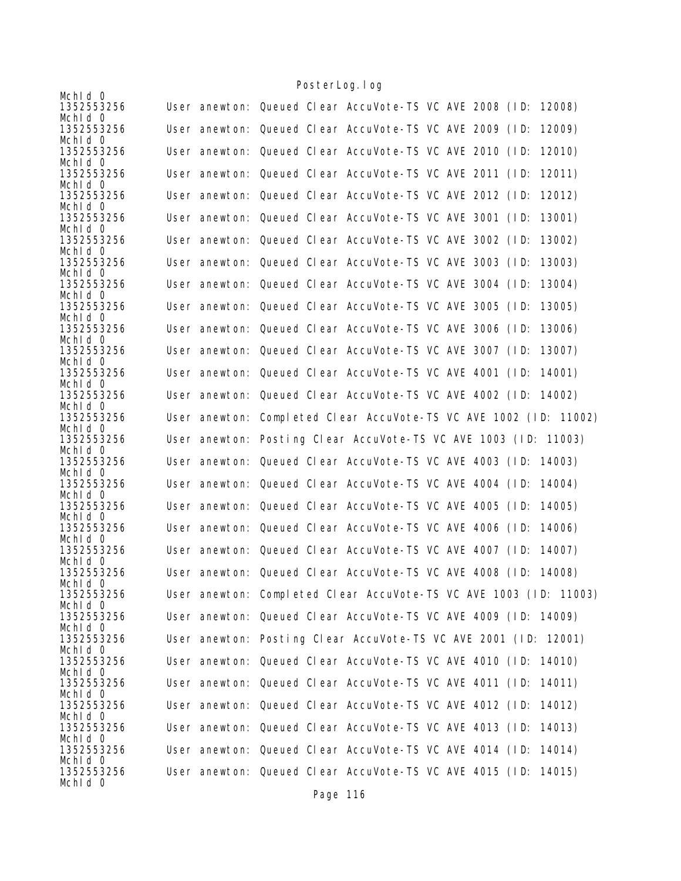|                                     | <u>i obitci Lugarug</u>                                                                                                          |
|-------------------------------------|----------------------------------------------------------------------------------------------------------------------------------|
| Mchid 0<br>1352553256               | User anewton: Queued Clear AccuVote-TS VC AVE 2008 (ID: 12008)                                                                   |
| Mchid 0<br>1352553256               | User anewton: Queued Clear AccuVote-TS VC AVE 2009 (ID:<br>12009)                                                                |
| Mchid 0<br>1352553256               | User anewton: Queued Clear AccuVote-TS VC AVE 2010 (ID:<br>12010)                                                                |
| Mchid 0<br>1352553256               | User anewton: Queued Clear AccuVote-TS VC AVE 2011 (ID:<br>12011)                                                                |
| Mchld 0                             |                                                                                                                                  |
| 1352553256<br>Mchid 0               | User anewton: Queued Clear AccuVote-TS VC AVE 2012 (ID:<br>12012)                                                                |
| 1352553256<br>Mchid 0               | User anewton: Queued Clear AccuVote-TS VC AVE 3001 (ID:<br>13001)                                                                |
| 1352553256<br>Mchld 0               | User anewton: Queued Clear AccuVote-TS VC AVE 3002 (ID:<br>13002)                                                                |
| 1352553256<br>Mchid 0               | User anewton: Queued Clear AccuVote-TS VC AVE 3003 (ID:<br>13003)                                                                |
| 1352553256                          | User anewton: Queued Clear AccuVote-TS VC AVE 3004 (ID:<br>13004)                                                                |
| Mchid 0<br>1352553256               | User anewton: Queued Clear AccuVote-TS VC AVE 3005 (ID:<br>13005)                                                                |
| Mchid 0<br>1352553256               | User anewton: Queued Clear AccuVote-TS VC AVE 3006 (ID:<br>13006)                                                                |
| Mchid 0<br>1352553256               | User anewton: Queued Clear AccuVote-TS VC AVE 3007 (ID:<br>13007)                                                                |
| Mchid 0                             |                                                                                                                                  |
| 1352553256<br>Mchld 0               | User anewton: Queued Clear AccuVote-TS VC AVE 4001 (ID:<br>14001)                                                                |
| 1352553256<br>Mchid 0               | User anewton: Queued Clear AccuVote-TS VC AVE 4002 (ID: 14002)                                                                   |
| 1352553256<br>Mchid 0               | User anewton: Completed Clear AccuVote-TS VC AVE 1002 (ID: 11002)                                                                |
| 1352553256<br>Mchld 0               | User anewton: Posting Clear AccuVote-TS VC AVE 1003 (ID: 11003)                                                                  |
| 1352553256                          | User anewton: Queued Clear AccuVote-TS VC AVE 4003 (ID: 14003)                                                                   |
| Mchid 0<br>1352553256               | User anewton: Queued Clear AccuVote-TS VC AVE 4004 (ID:<br>14004)                                                                |
| Mchld 0<br>1352553256               | User anewton: Queued Clear AccuVote-TS VC AVE 4005 (ID:<br>14005)                                                                |
| Mchld 0<br>1352553256               | User anewton: Queued Clear AccuVote-TS VC AVE 4006 (ID: 14006)                                                                   |
| Mchid 0<br>1352553256               | User anewton: Queued Clear AccuVote-TS VC AVE 4007 (ID:<br>14007)                                                                |
| Mchid 0<br>1352553256               | User anewton: Queued Clear AccuVote-TS VC AVE 4008 (ID: 14008)                                                                   |
| Mchid 0                             |                                                                                                                                  |
| 1352553256<br>Mchid 0               | User anewton: Completed Clear AccuVote-TS VC AVE 1003 (ID: 11003)                                                                |
| 1352553256<br>Mchid 0               | User anewton: Queued Clear AccuVote-TS VC AVE 4009 (ID: 14009)                                                                   |
| 1352553256<br>Mchid 0               | User anewton: Posting Clear AccuVote-TS VC AVE 2001 (ID: 12001)                                                                  |
| 1352553256<br>Mchid 0               | User anewton: Queued Clear AccuVote-TS VC AVE 4010 (ID: 14010)                                                                   |
| 1352553256                          | User anewton: Queued Clear AccuVote-TS VC AVE 4011 (ID: 14011)                                                                   |
| Mchld 0<br>1352553256               | User anewton: Queued Clear AccuVote-TS VC AVE 4012 (ID: 14012)                                                                   |
| Mchid 0<br>1352553256               | User anewton: Queued Clear AccuVote-TS VC AVE 4013 (ID: 14013)                                                                   |
| Mchid 0                             |                                                                                                                                  |
|                                     |                                                                                                                                  |
| 1352553256<br>Mchid 0<br>1352553256 | User anewton: Queued Clear AccuVote-TS VC AVE 4014 (ID: 14014)<br>User anewton: Queued Clear AccuVote-TS VC AVE 4015 (ID: 14015) |

Page 116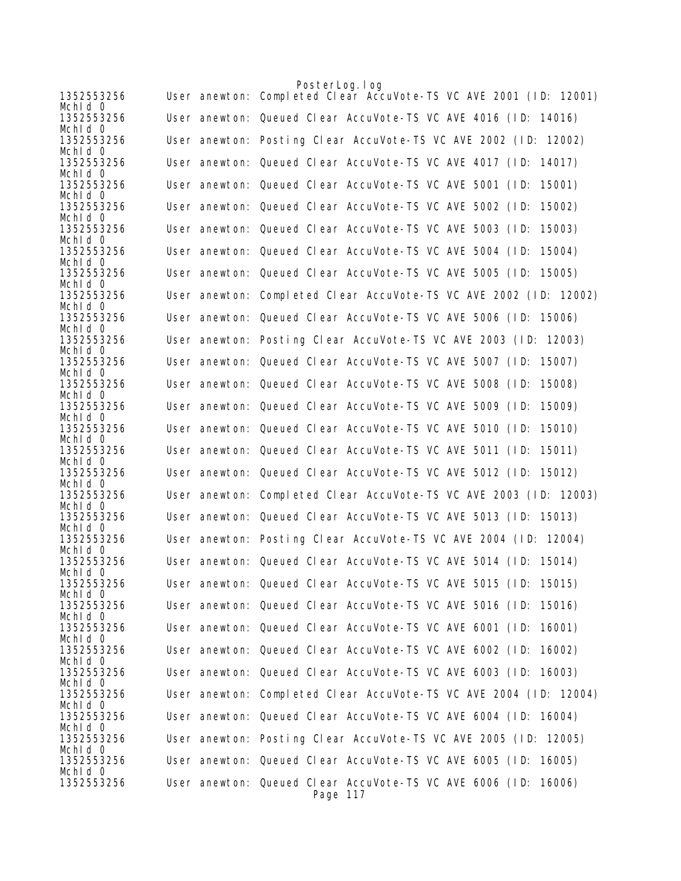|                       | PosterLog. I og                                                            |
|-----------------------|----------------------------------------------------------------------------|
| 1352553256<br>Mchid 0 | User anewton: Completed Clear AccuVote-TS VC AVE 2001 (ID: 12001)          |
| 1352553256<br>Mchid 0 | User anewton: Queued Clear AccuVote-TS VC AVE 4016 (ID: 14016)             |
| 1352553256<br>Mchid 0 | User anewton: Posting Clear AccuVote-TS VC AVE 2002 (ID: 12002)            |
| 1352553256<br>Mchid 0 | User anewton: Queued Clear AccuVote-TS VC AVE 4017 (ID: 14017)             |
| 1352553256<br>Mchid 0 | User anewton: Queued Clear AccuVote-TS VC AVE 5001 (ID:<br>15001)          |
| 1352553256<br>Mchid 0 | User anewton: Queued Clear AccuVote-TS VC AVE 5002 (ID:<br>15002)          |
| 1352553256<br>Mchld 0 | User anewton: Queued Clear AccuVote-TS VC AVE 5003 (ID:<br>15003)          |
| 1352553256<br>Mchid 0 | User anewton: Queued Clear AccuVote-TS VC AVE 5004 (ID:<br>15004)          |
| 1352553256<br>Mchld 0 | User anewton: Queued Clear AccuVote-TS VC AVE 5005 (ID: 15005)             |
| 1352553256<br>Mchid O | User anewton: Completed Clear AccuVote-TS VC AVE 2002 (ID: 12002)          |
| 1352553256<br>Mchid 0 | User anewton: Queued Clear AccuVote-TS VC AVE 5006 (ID: 15006)             |
| 1352553256<br>Mchid 0 | User anewton: Posting Clear AccuVote-TS VC AVE 2003 (ID: 12003)            |
| 1352553256<br>Mchid 0 | User anewton: Queued Clear AccuVote-TS VC AVE 5007 (ID:<br>15007)          |
| 1352553256<br>Mchid 0 | User anewton: Queued Clear AccuVote-TS VC AVE 5008 (ID:<br>15008)          |
| 1352553256<br>Mchid 0 | User anewton: Queued Clear AccuVote-TS VC AVE 5009 (ID:<br>15009)          |
| 1352553256<br>Mchid 0 | User anewton: Queued Clear AccuVote-TS VC AVE 5010 (ID:<br>15010)          |
| 1352553256<br>Mchid 0 | User anewton: Queued Clear AccuVote-TS VC AVE 5011 (ID:<br>15011)          |
| 1352553256<br>Mchid 0 | User anewton: Queued Clear AccuVote-TS VC AVE 5012 (ID: 15012)             |
| 1352553256<br>Mchid 0 | User anewton: Completed Clear AccuVote-TS VC AVE 2003 (ID: 12003)          |
| 1352553256<br>Mchld 0 | User anewton: Queued Clear AccuVote-TS VC AVE 5013 (ID: 15013)             |
| 1352553256<br>Mchid 0 | User anewton: Posting Clear AccuVote-TS VC AVE 2004 (ID: 12004)            |
| 1352553256<br>Mchid O | User anewton: Queued Clear AccuVote-TS VC AVE 5014 (ID: 15014)             |
| 1352553256<br>Mchid 0 | User anewton: Queued Clear AccuVote-TS VC AVE 5015 (ID: 15015)             |
| 1352553256<br>Mchid 0 | User anewton: Queued Clear AccuVote-TS VC AVE 5016 (ID: 15016)             |
| 1352553256<br>Mchid 0 | User anewton: Queued Clear AccuVote-TS VC AVE 6001 (ID: 16001)             |
| 1352553256<br>Mchid 0 | User anewton: Queued Clear AccuVote-TS VC AVE 6002 (ID: 16002)             |
| 1352553256<br>Mchid 0 | User anewton: Queued Clear AccuVote-TS VC AVE 6003 (ID: 16003)             |
| 1352553256<br>Mchld 0 | User anewton: Completed Clear AccuVote-TS VC AVE 2004 (ID: 12004)          |
| 1352553256<br>Mchld 0 | User anewton: Queued Clear AccuVote-TS VC AVE 6004 (ID: 16004)             |
| 1352553256<br>Mchid 0 | User anewton: Posting Clear AccuVote-TS VC AVE 2005 (ID: 12005)            |
| 1352553256<br>Mchid 0 | User anewton: Queued Clear AccuVote-TS VC AVE 6005 (ID: 16005)             |
| 1352553256            | User anewton: Queued Clear AccuVote-TS VC AVE 6006 (ID: 16006)<br>Page 117 |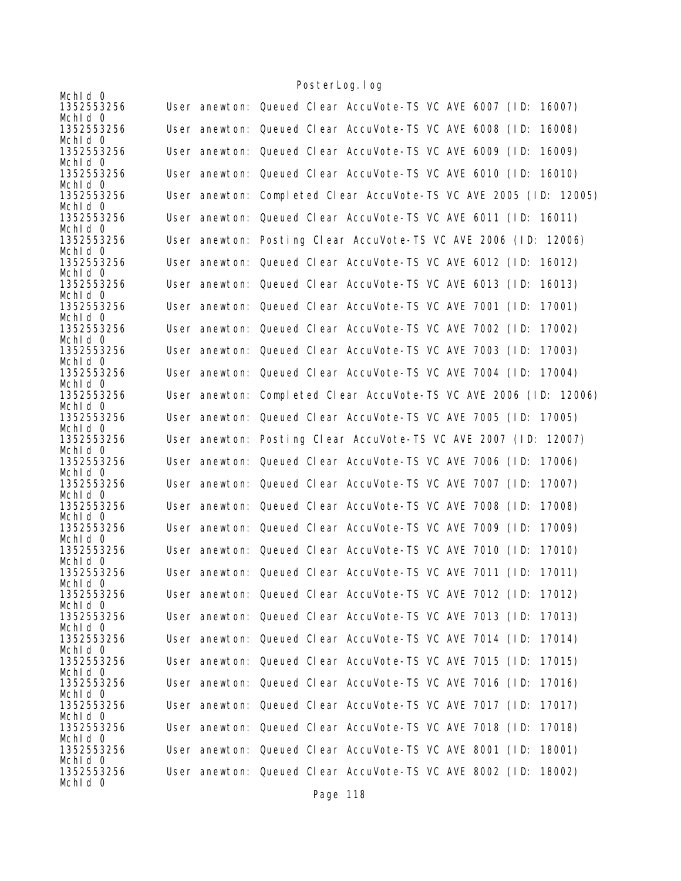|                       |  | <u>i obitci Lugarug</u>                                           |
|-----------------------|--|-------------------------------------------------------------------|
| Mchid 0<br>1352553256 |  | User anewton: Queued Clear AccuVote-TS VC AVE 6007 (ID: 16007)    |
| Mchid 0<br>1352553256 |  | User anewton: Queued Clear AccuVote-TS VC AVE 6008 (ID:<br>16008) |
| Mchid 0<br>1352553256 |  | User anewton: Queued Clear AccuVote-TS VC AVE 6009 (ID: 16009)    |
| Mchid 0<br>1352553256 |  | User anewton: Queued Clear AccuVote-TS VC AVE 6010 (ID: 16010)    |
| Mchld 0<br>1352553256 |  | User anewton: Completed Clear AccuVote-TS VC AVE 2005 (ID: 12005) |
| Mchid 0<br>1352553256 |  | User anewton: Queued Clear AccuVote-TS VC AVE 6011 (ID: 16011)    |
| Mchid 0<br>1352553256 |  | User anewton: Posting Clear AccuVote-TS VC AVE 2006 (ID: 12006)   |
| Mchld 0<br>1352553256 |  | User anewton: Queued Clear AccuVote-TS VC AVE 6012 (ID: 16012)    |
| Mchid 0<br>1352553256 |  | User anewton: Queued Clear AccuVote-TS VC AVE 6013 (ID:<br>16013) |
| Mchid 0<br>1352553256 |  | User anewton: Queued Clear AccuVote-TS VC AVE 7001 (ID:<br>17001) |
| Mchid 0<br>1352553256 |  | User anewton: Queued Clear AccuVote-TS VC AVE 7002 (ID:<br>17002) |
| Mchid 0<br>1352553256 |  | User anewton: Queued Clear AccuVote-TS VC AVE 7003 (ID:<br>17003) |
| Mchld 0<br>1352553256 |  | User anewton: Queued Clear AccuVote-TS VC AVE 7004 (ID: 17004)    |
| Mchld 0<br>1352553256 |  | User anewton: Completed Clear AccuVote-TS VC AVE 2006 (ID: 12006) |
| Mchid 0<br>1352553256 |  | User anewton: Queued Clear AccuVote-TS VC AVE 7005 (ID: 17005)    |
| Mchid 0<br>1352553256 |  | User anewton: Posting Clear AccuVote-TS VC AVE 2007 (ID: 12007)   |
| Mchld 0<br>1352553256 |  | User anewton: Queued Clear AccuVote-TS VC AVE 7006 (ID: 17006)    |
| Mchid 0<br>1352553256 |  | 17007)                                                            |
| Mchld 0               |  | User anewton: Queued Clear AccuVote-TS VC AVE 7007 (ID:           |
| 1352553256<br>Mchld 0 |  | User anewton: Queued Clear AccuVote-TS VC AVE 7008 (ID:<br>17008) |
| 1352553256<br>Mchid 0 |  | User anewton: Queued Clear AccuVote-TS VC AVE 7009 (ID:<br>17009) |
| 1352553256<br>Mchld 0 |  | User anewton: Queued Clear AccuVote-TS VC AVE 7010 (ID:<br>17010) |
| 1352553256<br>Mchid 0 |  | User anewton: Queued Clear AccuVote-TS VC AVE 7011 (ID: 17011)    |
| 1352553256<br>Mchid 0 |  | User anewton: Queued Clear AccuVote-TS VC AVE 7012 (ID: 17012)    |
| 1352553256<br>Mchid 0 |  | User anewton: Queued Clear AccuVote-TS VC AVE 7013 (ID: 17013)    |
| 1352553256<br>Mchid 0 |  | User anewton: Queued Clear AccuVote-TS VC AVE 7014 (ID: 17014)    |
| 1352553256<br>Mchid 0 |  | User anewton: Queued Clear AccuVote-TS VC AVE 7015 (ID: 17015)    |
| 1352553256<br>Mchid 0 |  | User anewton: Queued Clear AccuVote-TS VC AVE 7016 (ID:<br>17016) |
| 1352553256<br>Mchld 0 |  | User anewton: Queued Clear AccuVote-TS VC AVE 7017 (ID: 17017)    |
| 1352553256<br>Mchid 0 |  | User anewton: Queued Clear AccuVote-TS VC AVE 7018 (ID:<br>17018) |
| 1352553256<br>Mchld 0 |  | User anewton: Queued Clear AccuVote-TS VC AVE 8001 (ID:<br>18001) |
| 1352553256<br>Mchid 0 |  | User anewton: Queued Clear AccuVote-TS VC AVE 8002 (ID: 18002)    |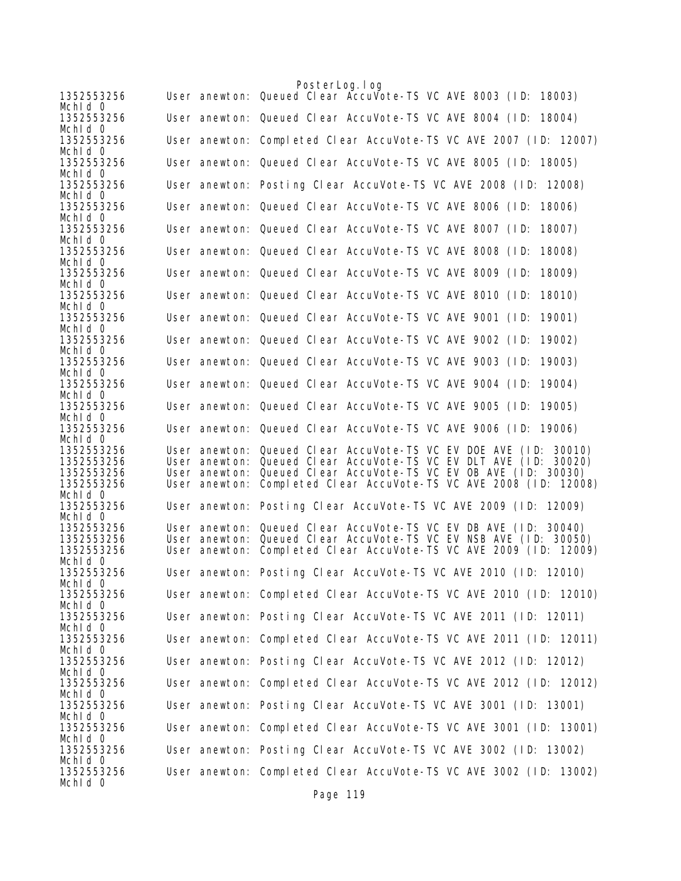|                          |               | PosterLog. I og                                                                                                                     |
|--------------------------|---------------|-------------------------------------------------------------------------------------------------------------------------------------|
| 1352553256<br>Mchld 0    |               | User anewton: Queued Clear AccuVote-TS VC AVE 8003 (ID: 18003)                                                                      |
| 1352553256<br>Mchid 0    |               | User anewton: Queued Clear AccuVote-TS VC AVE 8004 (ID: 18004)                                                                      |
| 1352553256<br>Mchid 0    |               | User anewton: Completed Clear AccuVote-TS VC AVE 2007 (ID: 12007)                                                                   |
| 1352553256<br>Mchid 0    |               | User anewton: Queued Clear AccuVote-TS VC AVE 8005 (ID: 18005)                                                                      |
| 1352553256<br>Mchid 0    |               | User anewton: Posting Clear AccuVote-TS VC AVE 2008 (ID: 12008)                                                                     |
| 1352553256<br>Mchld 0    |               | User anewton: Queued Clear AccuVote-TS VC AVE 8006 (ID: 18006)                                                                      |
| 1352553256<br>Mchld 0    |               | User anewton: Queued Clear AccuVote-TS VC AVE 8007 (ID:<br>18007)                                                                   |
| 1352553256<br>Mchid 0    |               | User anewton: Queued Clear AccuVote-TS VC AVE 8008 (ID:<br>18008)                                                                   |
| 1352553256<br>Mchld 0    |               | User anewton: Queued Clear AccuVote-TS VC AVE 8009 (ID:<br>18009)                                                                   |
| 1352553256<br>Mchid 0    |               | User anewton: Queued Clear AccuVote-TS VC AVE 8010 (ID:<br>18010)                                                                   |
| 1352553256<br>Mchid 0    |               | User anewton: Queued Clear AccuVote-TS VC AVE 9001 (ID:<br>19001)                                                                   |
| 1352553256<br>Mchid 0    |               | User anewton: Queued Clear AccuVote-TS VC AVE 9002 (ID:<br>19002)                                                                   |
| 1352553256<br>Mchid 0    |               | User anewton: Queued Clear AccuVote-TS VC AVE 9003 (ID:<br>19003)                                                                   |
| 1352553256<br>Mchid 0    |               | User anewton: Queued Clear AccuVote-TS VC AVE 9004 (ID:<br>19004)                                                                   |
| 1352553256<br>Mchid 0    |               | User anewton: Queued Clear AccuVote-TS VC AVE 9005 (ID:<br>19005)                                                                   |
| 1352553256<br>Mchid 0    |               | User anewton: Queued Clear AccuVote-TS VC AVE 9006 (ID: 19006)                                                                      |
| 1352553256               |               | User anewton: Queued Clear AccuVote-TS VC EV DOE AVE (ID: 30010)                                                                    |
| 1352553256<br>1352553256 | User anewton: | Queued Clear AccuVote-TS VC EV DLT AVE (ID: 30020)<br>User anewton: Queued Clear AccuVote-TS VC EV OB AVE (ID: 30030)               |
| 1352553256               | User anewton: | Completed Clear AccuVote-TS VC AVE 2008 (ID: 12008)                                                                                 |
| Mchid 0                  |               |                                                                                                                                     |
| 1352553256<br>Mchid 0    |               | User anewton: Posting Clear AccuVote-TS VC AVE 2009 (ID: 12009)                                                                     |
| 1352553256               |               | User anewton: Queued Clear AccuVote-TS VC EV DB AVE (ID: 30040)<br>User anewton: Queued Clear AccuVote-TS VC EV NSB AVE (ID: 30050) |
| 1352553256<br>1352553256 | User anewton: | Completed Clear AccuVote-TS VC AVE 2009 (ID: 12009)                                                                                 |
| Mchid 0                  |               |                                                                                                                                     |
| 1352553256<br>Mchld O    |               | User anewton: Posting Clear AccuVote-TS VC AVE 2010 (ID: 12010)                                                                     |
| 1352553256<br>Mchid 0    |               | User anewton: Completed Clear AccuVote-TS VC AVE 2010 (ID: 12010)                                                                   |
| 1352553256<br>Mchld 0    |               | User anewton: Posting Clear AccuVote-TS VC AVE 2011 (ID: 12011)                                                                     |
| 1352553256<br>Mchid 0    |               | User anewton: Completed Clear AccuVote-TS VC AVE 2011 (ID: 12011)                                                                   |
| 1352553256<br>Mchid 0    |               | User anewton: Posting Clear AccuVote-TS VC AVE 2012 (ID: 12012)                                                                     |
| 1352553256<br>Mchid 0    |               | User anewton: Completed Clear AccuVote-TS VC AVE 2012 (ID: 12012)                                                                   |
| 1352553256<br>Mchld 0    |               | User anewton: Posting Clear AccuVote-TS VC AVE 3001 (ID: 13001)                                                                     |
| 1352553256<br>Mchid 0    |               | User anewton: Completed Clear AccuVote-TS VC AVE 3001 (ID: 13001)                                                                   |
| 1352553256<br>Mchld 0    |               | User anewton: Posting Clear AccuVote-TS VC AVE 3002 (ID: 13002)                                                                     |
| 1352553256<br>Mchid 0    |               | User anewton: Completed Clear AccuVote-TS VC AVE 3002 (ID: 13002)                                                                   |
|                          |               | $D_{0}a_{0}$ 110                                                                                                                    |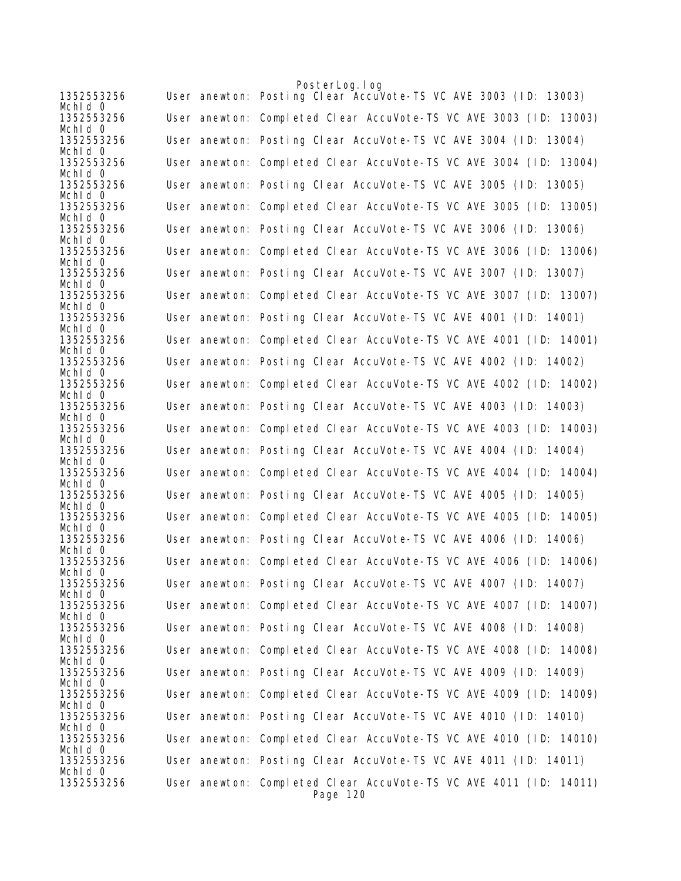|                       | PosterLog. log                                                                |
|-----------------------|-------------------------------------------------------------------------------|
| 1352553256<br>Mchid 0 | User anewton: Posting Clear AccuVote-TS VC AVE 3003 (ID: 13003)               |
| 1352553256<br>Mchid 0 | User anewton: Completed Clear AccuVote-TS VC AVE 3003 (ID: 13003)             |
| 1352553256<br>Mchid 0 | User anewton: Posting Clear AccuVote-TS VC AVE 3004 (ID: 13004)               |
| 1352553256<br>Mchid O | User anewton: Completed Clear AccuVote-TS VC AVE 3004 (ID: 13004)             |
| 1352553256<br>Mchid 0 | User anewton: Posting Clear AccuVote-TS VC AVE 3005 (ID: 13005)               |
| 1352553256<br>Mchid 0 | User anewton: Completed Clear AccuVote-TS VC AVE 3005 (ID: 13005)             |
| 1352553256<br>Mchld 0 | User anewton: Posting Clear AccuVote-TS VC AVE 3006 (ID: 13006)               |
| 1352553256<br>Mchid 0 | User anewton: Completed Clear AccuVote-TS VC AVE 3006 (ID: 13006)             |
| 1352553256<br>Mchld 0 | User anewton: Posting Clear AccuVote-TS VC AVE 3007 (ID: 13007)               |
| 1352553256<br>Mchid O | User anewton: Completed Clear AccuVote-TS VC AVE 3007 (ID: 13007)             |
| 1352553256<br>Mchid 0 | User anewton: Posting Clear AccuVote-TS VC AVE 4001 (ID: 14001)               |
| 1352553256<br>Mchid 0 | User anewton: Completed Clear AccuVote-TS VC AVE 4001 (ID: 14001)             |
| 1352553256<br>Mchid 0 | User anewton: Posting Clear AccuVote-TS VC AVE 4002 (ID: 14002)               |
| 1352553256<br>Mchid 0 | User anewton: Completed Clear AccuVote-TS VC AVE 4002 (ID: 14002)             |
| 1352553256<br>Mchid 0 | User anewton: Posting Clear AccuVote-TS VC AVE 4003 (ID: 14003)               |
| 1352553256<br>Mchid 0 | User anewton: Completed Clear AccuVote-TS VC AVE 4003 (ID: 14003)             |
| 1352553256<br>Mchid 0 | User anewton: Posting Clear AccuVote-TS VC AVE 4004 (ID: 14004)               |
| 1352553256<br>Mchid 0 | User anewton: Completed Clear AccuVote-TS VC AVE 4004 (ID: 14004)             |
| 1352553256<br>Mchid 0 | User anewton: Posting Clear AccuVote-TS VC AVE 4005 (ID: 14005)               |
| 1352553256<br>Mchld 0 | User anewton: Completed Clear AccuVote-TS VC AVE 4005 (ID: 14005)             |
| 1352553256<br>Mchid 0 | User anewton: Posting Clear AccuVote-TS VC AVE 4006 (ID: 14006)               |
| 1352553256<br>Mchid 0 | User anewton: Completed Clear AccuVote-TS VC AVE 4006 (ID: 14006)             |
| 1352553256<br>Mchid 0 | User anewton: Posting Clear AccuVote-TS VC AVE 4007 (ID: 14007)               |
| 1352553256<br>Mchid 0 | User anewton: Completed Clear AccuVote-TS VC AVE 4007 (ID: 14007)             |
| 1352553256<br>Mchid 0 | User anewton: Posting Clear AccuVote-TS VC AVE 4008 (ID: 14008)               |
| 1352553256<br>Mchid 0 | User anewton: Completed Clear AccuVote-TS VC AVE 4008 (ID: 14008)             |
| 1352553256<br>Mchid O | User anewton: Posting Clear AccuVote-TS VC AVE 4009 (ID: 14009)               |
| 1352553256<br>Mchid 0 | User anewton: Completed Clear AccuVote-TS VC AVE 4009 (ID: 14009)             |
| 1352553256<br>Mchid 0 | User anewton: Posting Clear AccuVote-TS VC AVE 4010 (ID: 14010)               |
| 1352553256<br>Mchld 0 | User anewton: Completed Clear AccuVote-TS VC AVE 4010 (ID: 14010)             |
| 1352553256<br>Mchid 0 | User anewton: Posting Clear AccuVote-TS VC AVE 4011 (ID: 14011)               |
| 1352553256            | User anewton: Completed Clear AccuVote-TS VC AVE 4011 (ID: 14011)<br>Page 120 |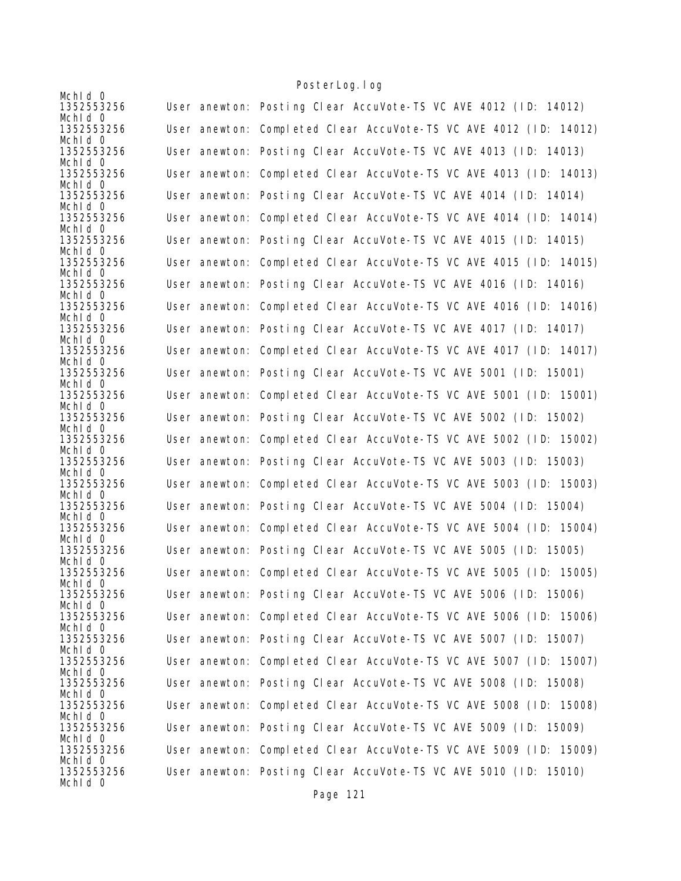| Mchid 0                          |                                                                   |
|----------------------------------|-------------------------------------------------------------------|
| 1352553256                       | User anewton: Posting Clear AccuVote-TS VC AVE 4012 (ID: 14012)   |
| Mchid 0<br>1352553256            | User anewton: Completed Clear AccuVote-TS VC AVE 4012 (ID: 14012) |
| Mchid 0<br>1352553256            | User anewton: Posting Clear AccuVote-TS VC AVE 4013 (ID: 14013)   |
| Mchid 0<br>1352553256<br>Mchld 0 | User anewton: Completed Clear AccuVote-TS VC AVE 4013 (ID: 14013) |
| 1352553256<br>Mchid 0            | User anewton: Posting Clear AccuVote-TS VC AVE 4014 (ID: 14014)   |
| 1352553256<br>Mchid 0            | User anewton: Completed Clear AccuVote-TS VC AVE 4014 (ID: 14014) |
| 1352553256<br>Mchld 0            | User anewton: Posting Clear AccuVote-TS VC AVE 4015 (ID: 14015)   |
| 1352553256<br>Mchid 0            | User anewton: Completed Clear AccuVote-TS VC AVE 4015 (ID: 14015) |
| 1352553256<br>Mchid 0            | User anewton: Posting Clear AccuVote-TS VC AVE 4016 (ID: 14016)   |
| 1352553256<br>Mchld 0            | User anewton: Completed Clear AccuVote-TS VC AVE 4016 (ID: 14016) |
| 1352553256<br>Mchid 0            | User anewton: Posting Clear AccuVote-TS VC AVE 4017 (ID: 14017)   |
| 1352553256<br>Mchid 0            | User anewton: Completed Clear AccuVote-TS VC AVE 4017 (ID: 14017) |
| 1352553256<br>Mchid 0            | User anewton: Posting Clear AccuVote-TS VC AVE 5001 (ID: 15001)   |
| 1352553256<br>Mchid 0            | User anewton: Completed Clear AccuVote-TS VC AVE 5001 (ID: 15001) |
| 1352553256<br>Mchid 0            | User anewton: Posting Clear AccuVote-TS VC AVE 5002 (ID: 15002)   |
| 1352553256<br>Mchld 0            | User anewton: Completed Clear AccuVote-TS VC AVE 5002 (ID: 15002) |
| 1352553256<br>Mchid 0            | User anewton: Posting Clear AccuVote-TS VC AVE 5003 (ID: 15003)   |
| 1352553256<br>Mchid 0            | User anewton: Completed Clear AccuVote-TS VC AVE 5003 (ID: 15003) |
| 1352553256<br>Mchid 0            | User anewton: Posting Clear AccuVote-TS VC AVE 5004 (ID: 15004)   |
| 1352553256<br>Mchid 0            | User anewton: Completed Clear AccuVote-TS VC AVE 5004 (ID: 15004) |
| 1352553256<br>Mchld 0            | User anewton: Posting Clear AccuVote-TS VC AVE 5005 (ID: 15005)   |
| 1352553256<br>Mchid 0            | User anewton: Completed Clear AccuVote-TS VC AVE 5005 (ID: 15005) |
| 1352553256<br>Mchid 0            | User anewton: Posting Clear AccuVote-TS VC AVE 5006 (ID: 15006)   |
| 1352553256<br>Mchid 0            | User anewton: Completed Clear AccuVote-TS VC AVE 5006 (ID: 15006) |
| 1352553256<br>Mchld 0            | User anewton: Posting Clear AccuVote-TS VC AVE 5007 (ID: 15007)   |
| 1352553256<br>Mchld 0            | User anewton: Completed Clear AccuVote-TS VC AVE 5007 (ID: 15007) |
| 1352553256<br>Mchid 0            | User anewton: Posting Clear AccuVote-TS VC AVE 5008 (ID: 15008)   |
| 1352553256<br>Mchld 0            | User anewton: Completed Clear AccuVote-TS VC AVE 5008 (ID: 15008) |
| 1352553256<br>Mchid 0            | User anewton: Posting Clear AccuVote-TS VC AVE 5009 (ID: 15009)   |
| 1352553256<br>Mchid 0            | User anewton: Completed Clear AccuVote-TS VC AVE 5009 (ID: 15009) |
| 1352553256<br>Mchid 0            | User anewton: Posting Clear AccuVote-TS VC AVE 5010 (ID: 15010)   |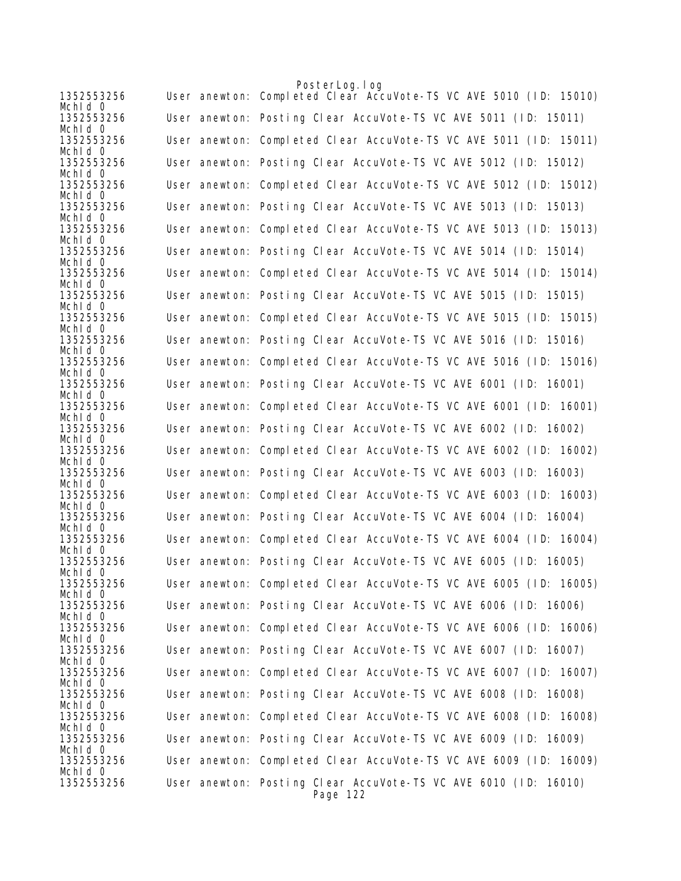|                       | PosterLog.log                                                               |
|-----------------------|-----------------------------------------------------------------------------|
| 1352553256<br>Mchid 0 | User anewton: Completed Clear AccuVote-TS VC AVE 5010 (ID: 15010)           |
| 1352553256<br>Mchld 0 | User anewton: Posting Clear AccuVote-TS VC AVE 5011 (ID: 15011)             |
| 1352553256<br>Mchid 0 | User anewton: Completed Clear AccuVote-TS VC AVE 5011 (ID: 15011)           |
| 1352553256            | User anewton: Posting Clear AccuVote-TS VC AVE 5012 (ID: 15012)             |
| Mchid 0<br>1352553256 | User anewton: Completed Clear AccuVote-TS VC AVE 5012 (ID: 15012)           |
| Mchld 0<br>1352553256 | User anewton: Posting Clear AccuVote-TS VC AVE 5013 (ID: 15013)             |
| Mchid 0<br>1352553256 | User anewton: Completed Clear AccuVote-TS VC AVE 5013 (ID: 15013)           |
| Mchid 0<br>1352553256 | User anewton: Posting Clear AccuVote-TS VC AVE 5014 (ID: 15014)             |
| Mchid 0<br>1352553256 | User anewton: Completed Clear AccuVote-TS VC AVE 5014 (ID: 15014)           |
| Mchid 0               |                                                                             |
| 1352553256<br>Mchid 0 | User anewton: Posting Clear AccuVote-TS VC AVE 5015 (ID: 15015)             |
| 1352553256<br>Mchid 0 | User anewton: Completed Clear AccuVote-TS VC AVE 5015 (ID: 15015)           |
| 1352553256<br>Mchid 0 | User anewton: Posting Clear AccuVote-TS VC AVE 5016 (ID: 15016)             |
| 1352553256            | User anewton: Completed Clear AccuVote-TS VC AVE 5016 (ID: 15016)           |
| Mchid 0<br>1352553256 | User anewton: Posting Clear AccuVote-TS VC AVE 6001 (ID: 16001)             |
| Mchid 0<br>1352553256 | User anewton: Completed Clear AccuVote-TS VC AVE 6001 (ID: 16001)           |
| Mchid 0<br>1352553256 | User anewton: Posting Clear AccuVote-TS VC AVE 6002 (ID: 16002)             |
| Mchld 0<br>1352553256 | User anewton: Completed Clear AccuVote-TS VC AVE 6002 (ID: 16002)           |
| Mchid 0<br>1352553256 | User anewton: Posting Clear AccuVote-TS VC AVE 6003 (ID: 16003)             |
| Mchid 0               |                                                                             |
| 1352553256<br>Mchld 0 | User anewton: Completed Clear AccuVote-TS VC AVE 6003 (ID: 16003)           |
| 1352553256<br>Mchid 0 | User anewton: Posting Clear AccuVote-TS VC AVE 6004 (ID: 16004)             |
| 1352553256<br>Mchid 0 | User anewton: Completed Clear AccuVote-TS VC AVE 6004 (ID: 16004)           |
| 1352553256<br>Mchid O | User anewton: Posting Clear AccuVote-TS VC AVE 6005 (ID: 16005)             |
| 1352553256<br>Mchid 0 | User anewton: Completed Clear AccuVote-TS VC AVE 6005 (ID: 16005)           |
| 1352553256            | User anewton: Posting Clear AccuVote-TS VC AVE 6006 (ID: 16006)             |
| Mchld 0<br>1352553256 | User anewton: Completed Clear AccuVote-TS VC AVE 6006 (ID: 16006)           |
| Mchid 0<br>1352553256 | User anewton: Posting Clear AccuVote-TS VC AVE 6007 (ID: 16007)             |
| Mchid 0<br>1352553256 | User anewton: Completed Clear AccuVote-TS VC AVE 6007 (ID: 16007)           |
| Mchid 0<br>1352553256 | User anewton: Posting Clear AccuVote-TS VC AVE 6008 (ID: 16008)             |
| Mchld 0<br>1352553256 | User anewton: Completed Clear AccuVote-TS VC AVE 6008 (ID: 16008)           |
| Mchid 0               |                                                                             |
| 1352553256<br>Mchid 0 | User anewton: Posting Clear AccuVote-TS VC AVE 6009 (ID: 16009)             |
| 1352553256<br>Mchid 0 | User anewton: Completed Clear AccuVote-TS VC AVE 6009 (ID: 16009)           |
| 1352553256            | User anewton: Posting Clear AccuVote-TS VC AVE 6010 (ID: 16010)<br>Page 122 |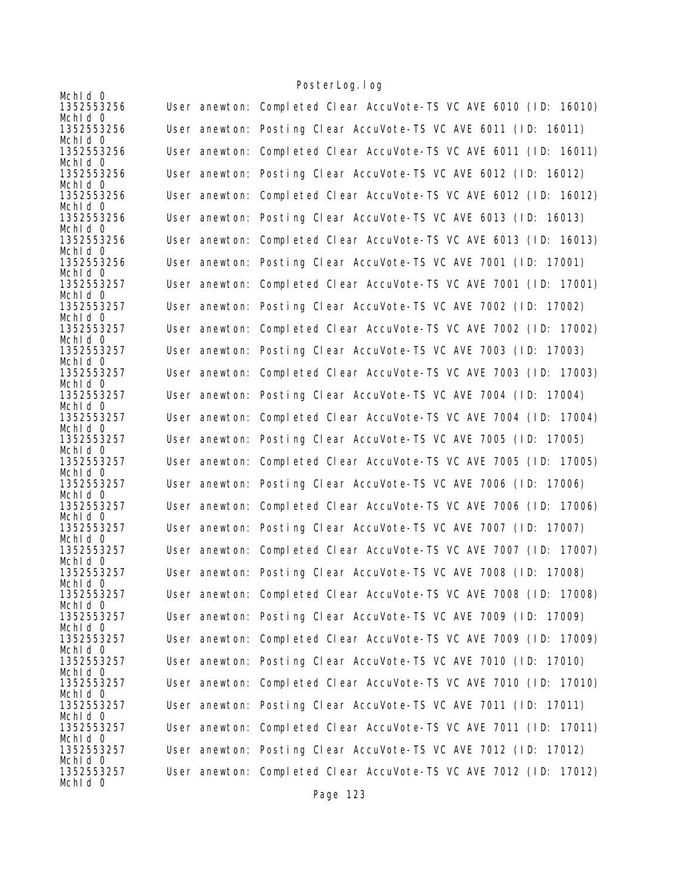| Mchid 0                          |                                                                   |
|----------------------------------|-------------------------------------------------------------------|
| 1352553256                       | User anewton: Completed Clear AccuVote-TS VC AVE 6010 (ID: 16010) |
| Mchid 0<br>1352553256<br>Mchid 0 | User anewton: Posting Clear AccuVote-TS VC AVE 6011 (ID: 16011)   |
| 1352553256<br>Mchld 0            | User anewton: Completed Clear AccuVote-TS VC AVE 6011 (ID: 16011) |
| 1352553256<br>Mchld 0            | User anewton: Posting Clear AccuVote-TS VC AVE 6012 (ID: 16012)   |
| 1352553256<br>Mchid 0            | User anewton: Completed Clear AccuVote-TS VC AVE 6012 (ID: 16012) |
| 1352553256<br>Mchid 0            | User anewton: Posting Clear AccuVote-TS VC AVE 6013 (ID: 16013)   |
| 1352553256<br>Mchid 0            | User anewton: Completed Clear AccuVote-TS VC AVE 6013 (ID: 16013) |
| 1352553256<br>Mchid 0            | User anewton: Posting Clear AccuVote-TS VC AVE 7001 (ID: 17001)   |
| 1352553257<br>Mchid 0            | User anewton: Completed Clear AccuVote-TS VC AVE 7001 (ID: 17001) |
| 1352553257<br>Mchid 0            | User anewton: Posting Clear AccuVote-TS VC AVE 7002 (ID: 17002)   |
| 1352553257<br>Mchid 0            | User anewton: Completed Clear AccuVote-TS VC AVE 7002 (ID: 17002) |
| 1352553257<br>Mchid 0            | User anewton: Posting Clear AccuVote-TS VC AVE 7003 (ID: 17003)   |
| 1352553257<br>Mchid 0            | User anewton: Completed Clear AccuVote-TS VC AVE 7003 (ID: 17003) |
| 1352553257<br>Mchid 0            | User anewton: Posting Clear AccuVote-TS VC AVE 7004 (ID: 17004)   |
| 1352553257<br>Mchid 0            | User anewton: Completed Clear AccuVote-TS VC AVE 7004 (ID: 17004) |
| 1352553257<br>Mchld 0            | User anewton: Posting Clear AccuVote-TS VC AVE 7005 (ID: 17005)   |
| 1352553257<br>Mchid 0            | User anewton: Completed Clear AccuVote-TS VC AVE 7005 (ID: 17005) |
| 1352553257<br>Mchid 0            | User anewton: Posting Clear AccuVote-TS VC AVE 7006 (ID: 17006)   |
| 1352553257<br>Mchid 0            | User anewton: Completed Clear AccuVote-TS VC AVE 7006 (ID: 17006) |
| 1352553257<br>Mchid 0            | User anewton: Posting Clear AccuVote-TS VC AVE 7007 (ID: 17007)   |
| 1352553257<br>Mchid 0            | User anewton: Completed Clear AccuVote-TS VC AVE 7007 (ID: 17007) |
| 1352553257<br>Mchid 0            | User anewton: Posting Clear AccuVote-TS VC AVE 7008 (ID: 17008)   |
| 1352553257<br>Mchid 0            | User anewton: Completed Clear AccuVote-TS VC AVE 7008 (ID: 17008) |
| 1352553257<br>Mchid 0            | User anewton: Posting Clear AccuVote-TS VC AVE 7009 (ID: 17009)   |
| 1352553257<br>Mchld 0            | User anewton: Completed Clear AccuVote-TS VC AVE 7009 (ID: 17009) |
| 1352553257<br>Mchid 0            | User anewton: Posting Clear AccuVote-TS VC AVE 7010 (ID: 17010)   |
| 1352553257<br>Mchid 0            | User anewton: Completed Clear AccuVote-TS VC AVE 7010 (ID: 17010) |
| 1352553257<br>Mchld 0            | User anewton: Posting Clear AccuVote-TS VC AVE 7011 (ID: 17011)   |
| 1352553257<br>Mchid 0            | User anewton: Completed Clear AccuVote-TS VC AVE 7011 (ID: 17011) |
| 1352553257<br>Mchid 0            | User anewton: Posting Clear AccuVote-TS VC AVE 7012 (ID: 17012)   |
| 1352553257<br>Mchid 0            | User anewton: Completed Clear AccuVote-TS VC AVE 7012 (ID: 17012) |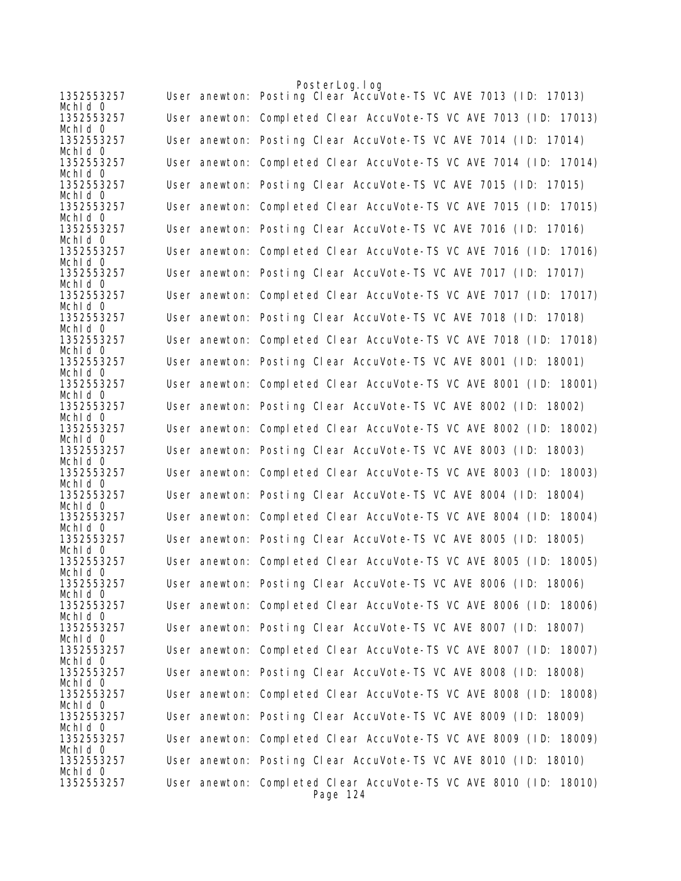|                       | PosterLog.log                                                                 |
|-----------------------|-------------------------------------------------------------------------------|
| 1352553257<br>Mchid 0 | User anewton: Posting Clear AccuVote-TS VC AVE 7013 (ID: 17013)               |
| 1352553257<br>Mchid 0 | User anewton: Completed Clear AccuVote-TS VC AVE 7013 (ID: 17013)             |
| 1352553257<br>Mchid 0 | User anewton: Posting Clear AccuVote-TS VC AVE 7014 (ID: 17014)               |
| 1352553257<br>Mchid 0 | User anewton: Completed Clear AccuVote-TS VC AVE 7014 (ID: 17014)             |
| 1352553257<br>Mchid 0 | User anewton: Posting Clear AccuVote-TS VC AVE 7015 (ID: 17015)               |
| 1352553257<br>Mchid 0 | User anewton: Completed Clear AccuVote-TS VC AVE 7015 (ID: 17015)             |
| 1352553257<br>Mchld 0 | User anewton: Posting Clear AccuVote-TS VC AVE 7016 (ID: 17016)               |
| 1352553257<br>Mchid 0 | User anewton: Completed Clear AccuVote-TS VC AVE 7016 (ID: 17016)             |
| 1352553257<br>Mchid 0 | User anewton: Posting Clear AccuVote-TS VC AVE 7017 (ID: 17017)               |
| 1352553257<br>Mchid 0 | User anewton: Completed Clear AccuVote-TS VC AVE 7017 (ID: 17017)             |
| 1352553257<br>Mchid 0 | User anewton: Posting Clear AccuVote-TS VC AVE 7018 (ID: 17018)               |
| 1352553257<br>Mchld 0 | User anewton: Completed Clear AccuVote-TS VC AVE 7018 (ID: 17018)             |
| 1352553257<br>Mchid 0 | User anewton: Posting Clear AccuVote-TS VC AVE 8001 (ID: 18001)               |
| 1352553257<br>Mchid 0 | User anewton: Completed Clear AccuVote-TS VC AVE 8001 (ID: 18001)             |
| 1352553257<br>Mchid 0 | User anewton: Posting Clear AccuVote-TS VC AVE 8002 (ID: 18002)               |
| 1352553257<br>Mchid 0 | User anewton: Completed Clear AccuVote-TS VC AVE 8002 (ID: 18002)             |
| 1352553257<br>Mchid 0 | User anewton: Posting Clear AccuVote-TS VC AVE 8003 (ID: 18003)               |
| 1352553257<br>Mchid O | User anewton: Completed Clear AccuVote-TS VC AVE 8003 (ID: 18003)             |
| 1352553257<br>Mchid 0 | User anewton: Posting Clear AccuVote-TS VC AVE 8004 (ID: 18004)               |
| 1352553257<br>Mchld 0 | User anewton: Completed Clear AccuVote-TS VC AVE 8004 (ID: 18004)             |
| 1352553257<br>Mchid 0 | User anewton: Posting Clear AccuVote-TS VC AVE 8005 (ID: 18005)               |
| 1352553257<br>Mchid 0 | User anewton: Completed Clear AccuVote-TS VC AVE 8005 (ID: 18005)             |
| 1352553257<br>Mchid O | User anewton: Posting Clear AccuVote-TS VC AVE 8006 (ID: 18006)               |
| 1352553257<br>Mchid O | User anewton: Completed Clear AccuVote-TS VC AVE 8006 (ID: 18006)             |
| 1352553257<br>Mchid 0 | User anewton: Posting Clear AccuVote-TS VC AVE 8007 (ID: 18007)               |
| 1352553257<br>Mchid 0 | User anewton: Completed Clear AccuVote-TS VC AVE 8007 (ID: 18007)             |
| 1352553257<br>Mchid O | User anewton: Posting Clear AccuVote-TS VC AVE 8008 (ID: 18008)               |
| 1352553257<br>Mchld O | User anewton: Completed Clear AccuVote-TS VC AVE 8008 (ID: 18008)             |
| 1352553257<br>Mchid O | User anewton: Posting Clear AccuVote-TS VC AVE 8009 (ID: 18009)               |
| 1352553257<br>Mchld O | User anewton: Completed Clear AccuVote-TS VC AVE 8009 (ID: 18009)             |
| 1352553257<br>Mchid 0 | User anewton: Posting Clear AccuVote-TS VC AVE 8010 (ID: 18010)               |
| 1352553257            | User anewton: Completed Clear AccuVote-TS VC AVE 8010 (ID: 18010)<br>Page 124 |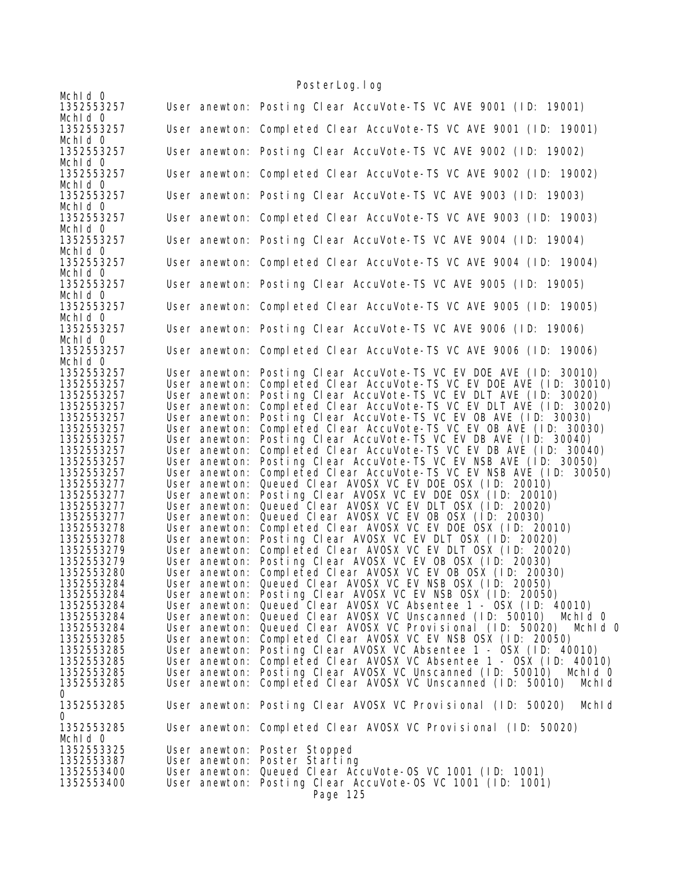| Mchid 0               |               | $103101$ Log. $109$                                                    |
|-----------------------|---------------|------------------------------------------------------------------------|
| 1352553257            |               | User anewton: Posting Clear AccuVote-TS VC AVE 9001 (ID: 19001)        |
| Mchid 0<br>1352553257 |               | User anewton: Completed Clear AccuVote-TS VC AVE 9001 (ID: 19001)      |
| Mchid 0<br>1352553257 |               | User anewton: Posting Clear AccuVote-TS VC AVE 9002 (ID: 19002)        |
| Mchid 0<br>1352553257 |               | User anewton: Completed Clear AccuVote-TS VC AVE 9002 (ID: 19002)      |
| Mchid 0<br>1352553257 |               | User anewton: Posting Clear AccuVote-TS VC AVE 9003 (ID: 19003)        |
| Mchid 0<br>1352553257 |               | User anewton: Completed Clear AccuVote-TS VC AVE 9003 (ID: 19003)      |
| Mchid 0               |               |                                                                        |
| 1352553257<br>Mchid 0 |               | User anewton: Posting Clear AccuVote-TS VC AVE 9004 (ID: 19004)        |
| 1352553257<br>Mchid 0 |               | User anewton: Completed Clear AccuVote-TS VC AVE 9004 (ID: 19004)      |
| 1352553257<br>Mchld 0 |               | User anewton: Posting Clear AccuVote-TS VC AVE 9005 (ID: 19005)        |
| 1352553257<br>Mchid 0 |               | User anewton: Completed Clear AccuVote-TS VC AVE 9005 (ID: 19005)      |
| 1352553257            |               | User anewton: Posting Clear AccuVote-TS VC AVE 9006 (ID: 19006)        |
| Mchid 0<br>1352553257 |               | User anewton: Completed Clear AccuVote-TS VC AVE 9006 (ID: 19006)      |
| Mchld 0               |               |                                                                        |
| 1352553257            | User anewton: | Posting Clear AccuVote-TS VC EV DOE AVE (ID: 30010)                    |
| 1352553257            | User anewton: | Completed Clear AccuVote-TS VC EV DOE AVE (ID: 30010)                  |
| 1352553257            | User anewton: | Posting Clear AccuVote-TS VC EV DLT AVE (ID: 30020)                    |
| 1352553257            | User anewton: | Completed Clear AccuVote-TS VC EV DLT AVE (ID: 30020)                  |
| 1352553257            | User anewton: | Posting Clear AccuVote-TS VC EV OB AVE (ID: 30030)                     |
| 1352553257            | User anewton: | Completed Clear AccuVote-TS VC EV OB AVE (ID: 30030)                   |
| 1352553257            | User anewton: | Posting Clear AccuVote-TS VC EV DB AVE (ID: 30040)                     |
| 1352553257            | User anewton: | Completed Clear AccuVote-TS VC EV DB AVE (ID: 30040)                   |
| 1352553257            | User anewton: | Posting Clear AccuVote-TS VC EV NSB AVE (ID: 30050)                    |
| 1352553257            | User anewton: | Completed Clear AccuVote-TS VC EV NSB AVE (ID: 30050)                  |
| 1352553277            | User anewton: | Queued Clear AVOSX VC EV DOE OSX (ID: 20010)                           |
| 1352553277            | User anewton: | Posting Clear AVOSX VC EV DOE OSX (ID: 20010)                          |
| 1352553277            | User anewton: | Queued Clear AVOSX VC EV DLT OSX (ID: 20020)                           |
| 1352553277            | User anewton: | Queued Clear AVOSX VC EV OB OSX (ID: 20030)                            |
| 1352553278            | User anewton: | Completed Clear AVOSX VC EV DOE OSX (ID: 20010)                        |
| 1352553278            | User anewton: | Posting Clear AVOSX VC EV DLT OSX (ID: 20020)                          |
| 1352553279            | User anewton: | Completed Clear AVOSX VC EV DLT OSX (ID: 20020)                        |
| 1352553279            | User anewton: | Posting Clear AVOSX VC EV OB OSX (ID: 20030)                           |
| 1352553280            | User anewton: | Completed Clear AVOSX VC EV OB OSX (ID: 20030)                         |
| 1352553284            | User anewton: | Queued Clear AVOSX VC EV NSB OSX (ID: 20050)                           |
| 1352553284            |               | User anewton: Posting Clear AVOSX VC EV NSB OSX (ID: 20050)            |
| 1352553284            |               | User anewton: Queued Clear AVOSX VC Absentee 1 - OSX (ID: 40010)       |
| 1352553284            |               | User anewton: Queued Clear AVOSX VC Unscanned (ID: 50010)<br>Mchid 0   |
| 1352553284            |               | User anewton: Queued Clear AVOSX VC Provisional (ID: 50020) Mchld 0    |
| 1352553285            |               | User anewton: Completed Clear AVOSX VC EV NSB OSX (ID: 20050)          |
| 1352553285            | User anewton: | Posting Clear AVOSX VC Absentee 1 - OSX (ID: 40010)                    |
| 1352553285            | User anewton: | Completed Clear AVOSX VC Absentee 1 - OSX (ID: 40010)                  |
| 1352553285            | User anewton: | Posting Clear AVOSX VC Unscanned (ID: 50010) Mchld 0                   |
| 1352553285<br>0       | User anewton: | Completed Clear AVOSX VC Unscanned (ID: 50010)<br>Mchld                |
| 1352553285<br>0       |               | User anewton: Posting Clear AVOSX VC Provisional (ID: 50020)<br>Mchld  |
| 1352553285<br>Mchid 0 |               | User anewton: Completed Clear AVOSX VC Provisional (ID: 50020)         |
| 1352553325            |               | User anewton: Poster Stopped                                           |
| 1352553387            |               | User anewton: Poster Starting                                          |
| 1352553400            |               | User anewton: Queued Clear AccuVote-OS VC 1001 (ID: 1001)              |
| 1352553400            |               | User anewton: Posting Clear AccuVote-OS VC 1001 (ID: 1001)<br>Page 125 |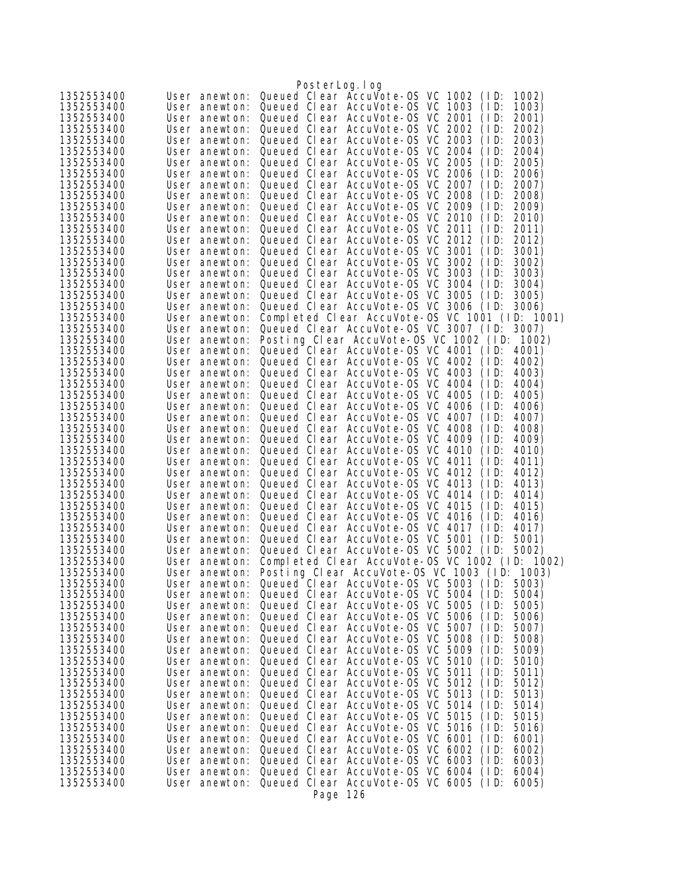|                          |                                | PosterLog.log                                                                                          |
|--------------------------|--------------------------------|--------------------------------------------------------------------------------------------------------|
| 1352553400               | User anewton:                  | Queued Clear AccuVote-0S VC 1002<br>(1D)<br>1002)                                                      |
| 1352553400               | User anewton:                  | Queued Clear AccuVote-OS VC 1003<br>1003)<br>(1D)                                                      |
| 1352553400               | User anewton:                  | Queued Clear AccuVote-OS VC 2001<br>(1D)<br>2001)                                                      |
| 1352553400               | User anewton:                  | Queued Clear AccuVote-OS VC 2002<br>(1D)<br>2002)                                                      |
| 1352553400               | User anewton:                  | Queued Clear AccuVote-OS VC 2003<br>(1D)<br>2003)                                                      |
| 1352553400               | User anewton:                  | Queued Clear AccuVote-OS VC 2004<br>2004)<br>(ID:                                                      |
| 1352553400               | User anewton:                  | Queued Clear AccuVote-OS VC 2005<br>(ID:<br>2005)                                                      |
| 1352553400               | User anewton:                  | Queued Clear AccuVote-OS VC 2006<br>(1D)<br>2006)                                                      |
| 1352553400               | User anewton:                  | Queued Clear AccuVote-0S VC 2007<br>(1D)<br>2007)                                                      |
| 1352553400               | User anewton:                  | Queued Clear AccuVote-OS VC 2008<br>(ID:<br>2008)                                                      |
| 1352553400               | User anewton:                  | Queued Clear AccuVote-OS VC 2009<br>(1D)<br>2009)                                                      |
| 1352553400               | User anewton:<br>User anewton: | Queued Clear AccuVote-OS VC 2010<br>(1D)<br>2010)<br>Queued Clear AccuVote-OS VC 2011<br>(1D)<br>2011) |
| 1352553400<br>1352553400 | User anewton:                  | Queued Clear AccuVote-OS VC 2012<br>(1D)<br>2012)                                                      |
| 1352553400               | User anewton:                  | Queued Clear AccuVote-OS VC 3001<br>(1D)<br>3001)                                                      |
| 1352553400               | User anewton:                  | Queued Clear AccuVote-OS VC 3002<br>(1D)<br>3002)                                                      |
| 1352553400               | User anewton:                  | Queued Clear AccuVote-OS VC 3003<br>3003)<br>(1D)                                                      |
| 1352553400               | User anewton:                  | Queued Clear AccuVote-OS VC 3004<br>3004)<br>(1D)                                                      |
| 1352553400               | User anewton:                  | Queued Clear AccuVote-OS VC 3005<br>(1D)<br>3005)                                                      |
| 1352553400               | User anewton:                  | Queued Clear AccuVote-OS VC 3006<br>3006)<br>(1D)                                                      |
| 1352553400               | User anewton:                  | Completed Clear AccuVote-0S VC 1001 (ID: 1001)                                                         |
| 1352553400               | User anewton:                  | Queued Clear AccuVote-OS VC 3007 (ID:<br>3007)                                                         |
| 1352553400               | User anewton:                  | Posting Clear AccuVote-OS VC 1002 (ID:<br>1002)                                                        |
| 1352553400               | User anewton:                  | Queued Clear AccuVote-OS VC 4001<br>(1D)<br>4001)                                                      |
| 1352553400               | User anewton:                  | Queued Clear AccuVote-0S VC 4002<br>(1D)<br>4002)                                                      |
| 1352553400               | User anewton:                  | Queued Clear AccuVote-OS VC 4003<br>(1D)<br>4003)                                                      |
| 1352553400<br>1352553400 | User anewton:<br>User anewton: | Queued Clear AccuVote-0S VC 4004<br>(ID:<br>4004)<br>Queued Clear AccuVote-OS VC 4005<br>(1D)<br>4005) |
| 1352553400               | User anewton:                  | Queued Clear AccuVote-OS VC 4006<br>(1D)<br>4006)                                                      |
| 1352553400               | User anewton:                  | Queued Clear AccuVote-OS VC 4007<br>(1D)<br>4007)                                                      |
| 1352553400               | User anewton:                  | Queued Clear AccuVote-0S VC 4008<br>(ID:<br>4008)                                                      |
| 1352553400               | User anewton:                  | Queued Clear AccuVote-OS VC 4009<br>(1D)<br>4009)                                                      |
| 1352553400               | User anewton:                  | Queued Clear AccuVote-OS VC 4010<br>(1D)<br>4010)                                                      |
| 1352553400               | User anewton:                  | Queued Clear AccuVote-0S VC 4011<br>4011)<br>(ID:                                                      |
| 1352553400               | User anewton:                  | Queued Clear AccuVote-0S VC 4012<br>(1D)<br>4012)                                                      |
| 1352553400               | User anewton:                  | Queued Clear AccuVote-OS VC 4013<br>(1D)<br>4013)                                                      |
| 1352553400               | User anewton:                  | Queued Clear AccuVote-OS VC 4014<br>(1D)<br>4014)                                                      |
| 1352553400               | User anewton:                  | Queued Clear AccuVote-OS VC 4015<br>4015)<br>(1D)                                                      |
| 1352553400               | User anewton:                  | Queued Clear AccuVote-0S VC 4016<br>(1D)<br>4016)                                                      |
| 1352553400<br>1352553400 | User anewton:<br>User anewton: | Queued Clear AccuVote-OS VC 4017<br>(1D)<br>4017)<br>Queued Clear AccuVote-0S VC 5001<br>(1D)<br>5001) |
| 1352553400               | User anewton:                  | Queued Clear AccuVote-OS VC 5002 (ID:<br>5002)                                                         |
| 1352553400               | User anewton:                  | Completed Clear AccuVote-0S VC 1002 (ID: 1002)                                                         |
| 1352553400               |                                | User anewton: Posting Clear AccuVote-OS VC 1003 (ID: 1003)                                             |
| 1352553400               | User anewton:                  | Queued Clear AccuVote-0S VC 5003<br>(1D)<br>5003)                                                      |
| 1352553400               | User anewton:                  | Queued Clear AccuVote-0S VC 5004<br>(1D)<br>5004)                                                      |
| 1352553400               | User anewton:                  | Queued Clear AccuVote-0S VC 5005<br>(1D)<br>5005)                                                      |
| 1352553400               | User anewton:                  | Queued Clear AccuVote-0S VC 5006<br>(1D)<br>5006)                                                      |
| 1352553400               | User anewton:                  | Queued Clear AccuVote-0S VC 5007<br>(1D)<br>5007)                                                      |
| 1352553400               | User anewton:                  | Queued Clear AccuVote-0S VC 5008<br>(1D)<br>5008)                                                      |
| 1352553400               | User anewton:                  | Queued Clear AccuVote-OS VC 5009<br>(1D)<br>5009)                                                      |
| 1352553400               | User anewton:                  | Queued Clear AccuVote-0S VC 5010<br>(1D)<br>5010)                                                      |
| 1352553400<br>1352553400 | User anewton:<br>User anewton: | Queued Clear AccuVote-0S VC 5011<br>(1D)<br>5011)<br>Queued Clear AccuVote-0S VC 5012<br>(1D)<br>5012) |
| 1352553400               | User anewton:                  | Queued Clear AccuVote-OS VC 5013<br>(1D)<br>5013)                                                      |
| 1352553400               | User anewton:                  | Queued Clear AccuVote-0S VC 5014<br>5014)<br>(1D)                                                      |
| 1352553400               | User anewton:                  | Queued Clear AccuVote-0S VC 5015<br>(1D)<br>5015)                                                      |
| 1352553400               | User anewton:                  | Queued Clear AccuVote-OS VC 5016<br>(1D)<br>5016)                                                      |
| 1352553400               | User anewton:                  | Queued Clear AccuVote-0S VC 6001<br>(1D)<br>6001)                                                      |
| 1352553400               | User anewton:                  | Queued Clear AccuVote-0S VC 6002<br>(1D)<br>6002)                                                      |
| 1352553400               | User anewton:                  | Queued Clear AccuVote-OS VC 6003<br>(1D)<br>6003)                                                      |
| 1352553400               | User anewton:                  | Queued Clear AccuVote-OS VC 6004<br>(1D)<br>6004)                                                      |
| 1352553400               | User anewton:                  | Queued Clear AccuVote-OS VC 6005 (ID:<br>6005)                                                         |
|                          |                                | Page 126                                                                                               |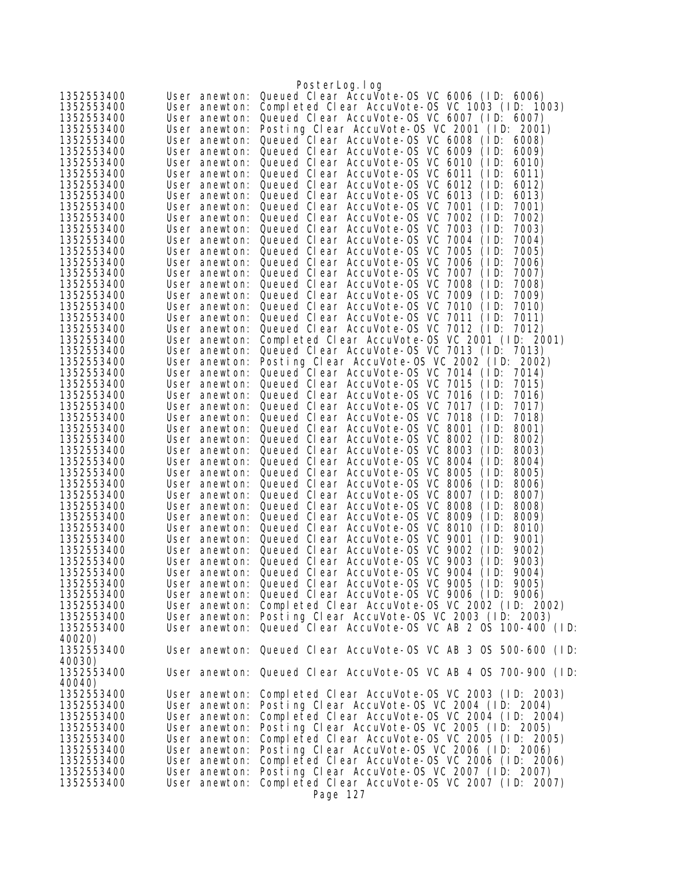|            |               | PosterLog.log                                                   |
|------------|---------------|-----------------------------------------------------------------|
| 1352553400 | User anewton: | Queued Clear AccuVote-OS VC 6006 (ID: 6006)                     |
| 1352553400 | User anewton: | Completed Clear AccuVote-0S VC 1003 (ID: 1003)                  |
| 1352553400 | User anewton: | Queued Clear AccuVote-OS VC 6007 (ID: 6007)                     |
| 1352553400 | User anewton: | Posting Clear AccuVote-OS VC 2001 (ID: 2001)                    |
| 1352553400 | User anewton: | Queued Clear AccuVote-OS VC 6008 (ID:<br>6008)                  |
| 1352553400 | User anewton: | Queued Clear AccuVote-OS VC 6009<br>(1D)<br>6009)               |
| 1352553400 | User anewton: | Queued Clear AccuVote-OS VC 6010<br>(1D)<br>6010)               |
| 1352553400 | User anewton: | Queued Clear AccuVote-OS VC 6011<br>(1D)<br>6011)               |
| 1352553400 | User anewton: | Queued Clear AccuVote-OS VC 6012<br>(1D)<br>6012)               |
| 1352553400 | User anewton: | Queued Clear AccuVote-OS VC 6013<br>(1D)<br>6013)               |
| 1352553400 | User anewton: | Queued Clear AccuVote-OS VC 7001<br>(1D)<br>7001)               |
| 1352553400 | User anewton: | Queued Clear AccuVote-OS VC 7002<br>7002)<br>(1D)               |
| 1352553400 | User anewton: | Queued Clear AccuVote-OS VC 7003<br>(1D)<br>7003)               |
| 1352553400 | User anewton: | Queued Clear AccuVote-OS VC<br>7004<br>(1D)<br>7004)            |
| 1352553400 | User anewton: | Queued Clear AccuVote-OS VC 7005<br>(1D)<br>7005)               |
| 1352553400 | User anewton: | Queued Clear AccuVote-OS VC 7006<br>(1D)<br>7006)               |
| 1352553400 | User anewton: | Queued Clear AccuVote-OS VC 7007<br>(1D)<br>7007)               |
| 1352553400 | User anewton: | Queued Clear AccuVote-0S VC 7008<br>(1D)<br>7008)               |
| 1352553400 | User anewton: | Queued Clear AccuVote-OS VC 7009<br>(1D)<br>7009)               |
| 1352553400 | User anewton: | Queued Clear AccuVote-0S VC 7010<br>(1D)<br>7010)               |
| 1352553400 | User anewton: | Queued Clear AccuVote-OS VC 7011<br>(1D)<br>7011)               |
| 1352553400 | User anewton: | Queued Clear AccuVote-OS VC 7012 (ID:<br>7012)                  |
| 1352553400 | User anewton: | Completed Clear AccuVote-0S VC 2001 (ID: 2001)                  |
| 1352553400 | User anewton: | Queued Clear AccuVote-0S VC 7013 (ID: 7013)                     |
| 1352553400 | User anewton: | Posting Clear AccuVote-OS VC 2002 (ID: 2002)                    |
| 1352553400 | User anewton: | Queued Clear AccuVote-OS VC 7014 (ID:<br>7014)                  |
| 1352553400 | User anewton: | Queued Clear AccuVote-OS VC 7015<br>(1D)<br>7015)               |
| 1352553400 | User anewton: | Queued Clear AccuVote-OS VC 7016<br>(1D)<br>7016)               |
| 1352553400 | User anewton: | Queued Clear AccuVote-0S VC 7017<br>(1D)<br>7017)               |
| 1352553400 | User anewton: | Queued Clear AccuVote-OS VC 7018<br>(1D)<br>7018)               |
| 1352553400 | User anewton: | Queued Clear AccuVote-0S VC 8001<br>(1D)<br>8001)               |
| 1352553400 | User anewton: | Queued Clear AccuVote-0S VC 8002<br>(1D)<br>8002)               |
| 1352553400 | User anewton: | Queued Clear AccuVote-OS VC 8003<br>(1D)<br>8003)               |
| 1352553400 | User anewton: | Queued Clear AccuVote-OS VC 8004<br>8004)<br>(1D)               |
| 1352553400 | User anewton: | Queued Clear AccuVote-0S VC 8005<br>8005)<br>(1D)               |
| 1352553400 | User anewton: | Queued Clear AccuVote-OS VC 8006<br>(1D)<br>8006)               |
| 1352553400 | User anewton: | Queued Clear AccuVote-0S VC 8007<br>(1D)<br>8007)               |
| 1352553400 | User anewton: | Queued Clear AccuVote-OS VC 8008<br>(1D)<br>8008)               |
| 1352553400 | User anewton: | Queued Clear AccuVote-OS VC 8009<br>(1D)<br>8009)               |
| 1352553400 | User anewton: | Queued Clear AccuVote-OS VC 8010<br>(1D)<br>8010)               |
| 1352553400 |               | User anewton: Queued Clear AccuVote-OS VC 9001<br>(1D)<br>9001) |
| 1352553400 | User anewton: | Queued Clear AccuVote-OS VC 9002<br>(1D)<br>9002)               |
| 1352553400 |               | User anewton: Queued Clear AccuVote-OS VC 9003<br>(1D)<br>9003) |
| 1352553400 |               | User anewton: Queued Clear AccuVote-OS VC 9004 (ID: 9004)       |
| 1352553400 |               | User anewton: Queued Clear AccuVote-OS VC 9005 (ID: 9005)       |
| 1352553400 |               | User anewton: Queued Clear AccuVote-OS VC 9006 (ID: 9006)       |
| 1352553400 |               | User anewton: Completed Clear AccuVote-OS VC 2002 (ID: 2002)    |
| 1352553400 |               | User anewton: Posting Clear AccuVote-OS VC 2003 (ID: 2003)      |
| 1352553400 |               | User anewton: Queued Clear AccuVote-OS VC AB 2 0S 100-400 (ID:  |
| 40020)     |               |                                                                 |
| 1352553400 |               | User anewton: Queued Clear AccuVote-OS VC AB 3 OS 500-600 (ID:  |
| 40030)     |               |                                                                 |
| 1352553400 |               | User anewton: Queued Clear AccuVote-OS VC AB 4 0S 700-900 (ID:  |
| 40040)     |               |                                                                 |
| 1352553400 | User anewton: | Completed Clear AccuVote-OS VC 2003 (ID: 2003)                  |
| 1352553400 | User anewton: | Posting Clear AccuVote-OS VC 2004 (ID: 2004)                    |
| 1352553400 | User anewton: | Completed Clear AccuVote-OS VC 2004 (ID: 2004)                  |
| 1352553400 | User anewton: | Posting Clear AccuVote-OS VC 2005 (ID: 2005)                    |
| 1352553400 | User anewton: | Completed Clear AccuVote-OS VC 2005 (ID: 2005)                  |
| 1352553400 | User anewton: | Posting Clear AccuVote-OS VC 2006 (ID: 2006)                    |
| 1352553400 | User anewton: | Completed Clear AccuVote-OS VC 2006 (ID: 2006)                  |
| 1352553400 | User anewton: | Posting Clear AccuVote-OS VC 2007 (ID: 2007)                    |
| 1352553400 | User anewton: | Completed Clear AccuVote-OS VC 2007 (ID: 2007)                  |
|            |               | Page 127                                                        |
|            |               |                                                                 |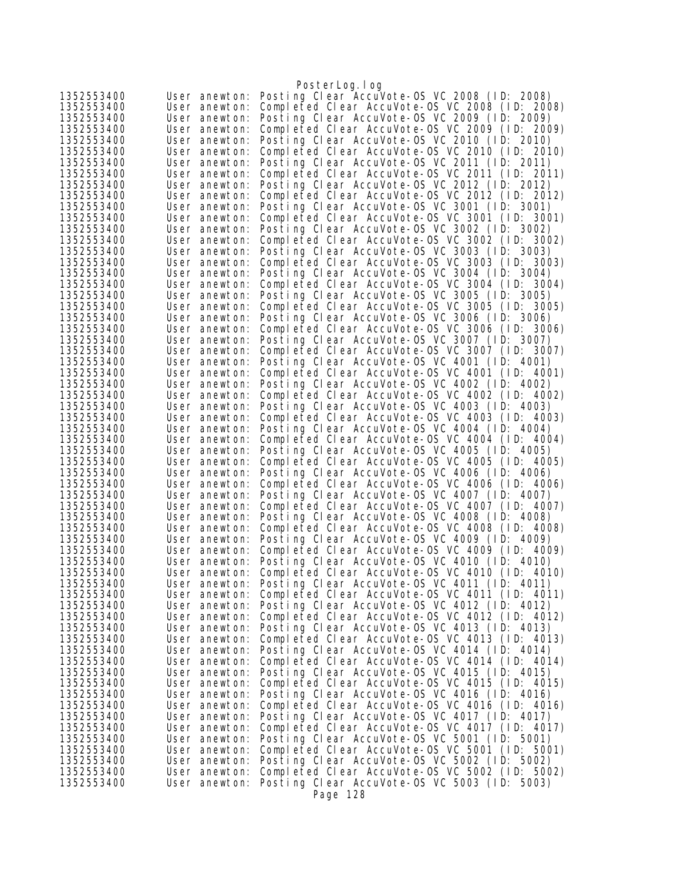|                          |                                | PosterLog.log                                                                                  |
|--------------------------|--------------------------------|------------------------------------------------------------------------------------------------|
| 1352553400               | User anewton:                  | Posting Clear AccuVote-OS VC 2008 (ID: 2008)                                                   |
| 1352553400               | User anewton:                  | Completed Clear AccuVote-OS VC 2008 (ID: 2008)                                                 |
| 1352553400               | User anewton:                  | Posting Clear AccuVote-OS VC 2009 (ID: 2009)                                                   |
| 1352553400               | User anewton:                  | Completed Clear AccuVote-OS VC 2009 (ID: 2009)                                                 |
| 1352553400               | User anewton:                  | Posting Clear AccuVote-OS VC 2010 (ID: 2010)                                                   |
| 1352553400               | User anewton:                  | Completed Clear AccuVote-OS VC 2010 (ID: 2010)                                                 |
| 1352553400               | User anewton:                  | Posting Clear AccuVote-OS VC 2011 (ID: 2011)                                                   |
| 1352553400               | User anewton:                  | Completed Clear AccuVote-OS VC 2011 (ID: 2011)                                                 |
| 1352553400               | User anewton:                  | Posting Clear AccuVote-OS VC 2012 (ID: 2012)                                                   |
| 1352553400               | User anewton:                  | Completed Clear AccuVote-OS VC 2012 (ID: 2012)                                                 |
| 1352553400               | User anewton:                  | Posting Clear AccuVote-OS VC 3001 (ID: 3001)                                                   |
| 1352553400               | User anewton:                  | Completed Clear AccuVote-0S VC 3001 (ID: 3001)                                                 |
| 1352553400               | User anewton:                  | Posting Clear AccuVote-OS VC 3002 (ID:<br>3002)                                                |
| 1352553400               | User anewton:                  | Completed Clear AccuVote-0S VC 3002 (ID: 3002)                                                 |
| 1352553400<br>1352553400 | User anewton:                  | Posting Clear AccuVote-OS VC 3003 (ID: 3003)<br>Completed Clear AccuVote-OS VC 3003 (ID: 3003) |
| 1352553400               | User anewton:<br>User anewton: | Posting Clear AccuVote-OS VC 3004 (ID: 3004)                                                   |
| 1352553400               | User anewton:                  | Completed Clear AccuVote-OS VC 3004 (ID: 3004)                                                 |
| 1352553400               | User anewton:                  | Posting Clear AccuVote-OS VC 3005 (ID: 3005)                                                   |
| 1352553400               | User anewton:                  | Completed Clear AccuVote-OS VC 3005 (ID:<br>3005)                                              |
| 1352553400               | User anewton:                  | Posting Clear AccuVote-OS VC 3006 (ID: 3006)                                                   |
| 1352553400               | User anewton:                  | Completed Clear AccuVote-OS VC 3006 (ID: 3006)                                                 |
| 1352553400               | User anewton:                  | Posting Clear AccuVote-OS VC 3007 (ID: 3007)                                                   |
| 1352553400               | User anewton:                  | Completed Clear AccuVote-OS VC 3007 (ID: 3007)                                                 |
| 1352553400               | User anewton:                  | Posting Clear AccuVote-OS VC 4001 (ID: 4001)                                                   |
| 1352553400               | User anewton:                  | Completed Clear AccuVote-0S VC 4001 (ID: 4001)                                                 |
| 1352553400               | User anewton:                  | Posting Clear AccuVote-OS VC 4002 (ID: 4002)                                                   |
| 1352553400               | User anewton:                  | Completed Clear AccuVote-OS VC 4002 (ID: 4002)                                                 |
| 1352553400               | User anewton:                  | Posting Clear AccuVote-OS VC 4003 (ID: 4003)                                                   |
| 1352553400               | User anewton:                  | Completed Clear AccuVote-OS VC 4003 (ID: 4003)                                                 |
| 1352553400               | User anewton:                  | Posting Clear AccuVote-OS VC 4004 (ID: 4004)                                                   |
| 1352553400               | User anewton:                  | Completed Clear AccuVote-OS VC 4004 (ID: 4004)                                                 |
| 1352553400               | User anewton:                  | Posting Clear AccuVote-OS VC 4005 (ID: 4005)                                                   |
| 1352553400               | User anewton:                  | Completed Clear AccuVote-OS VC 4005 (ID: 4005)                                                 |
| 1352553400               | User anewton:                  | Posting Clear AccuVote-OS VC 4006 (ID: 4006)                                                   |
| 1352553400               | User anewton:                  | Completed Clear AccuVote-OS VC 4006 (ID: 4006)                                                 |
| 1352553400               | User anewton:                  | Posting Clear AccuVote-OS VC 4007 (ID: 4007)                                                   |
| 1352553400               | User anewton:                  | Completed Clear AccuVote-OS VC 4007 (ID: 4007)                                                 |
| 1352553400<br>1352553400 | User anewton:                  | Posting Clear AccuVote-OS VC 4008 (ID: 4008)                                                   |
| 1352553400               | User anewton:<br>User anewton: | Completed Clear AccuVote-OS VC 4008 (ID: 4008)<br>Posting Clear AccuVote-OS VC 4009 (ID: 4009) |
| 1352553400               | User anewton:                  | Completed Clear AccuVote-OS VC 4009 (ID: 4009)                                                 |
| 1352553400               | User anewton:                  | Posting Clear AccuVote-OS VC 4010 (ID: 4010)                                                   |
| 1352553400               | User anewton:                  | Completed Clear AccuVote-OS VC 4010 (ID: 4010)                                                 |
| 1352553400               | User anewton:                  | Posting Clear AccuVote-OS VC 4011 (ID: 4011)                                                   |
| 1352553400               | User anewton:                  | Completed Clear AccuVote-OS VC 4011 (ID: 4011)                                                 |
| 1352553400               | User anewton:                  | Posting Clear AccuVote-OS VC 4012 (ID: 4012)                                                   |
| 1352553400               | User anewton:                  | Completed Clear AccuVote-0S VC 4012 (ID: 4012)                                                 |
| 1352553400               | User anewton:                  | Posting Clear AccuVote-OS VC 4013 (ID: 4013)                                                   |
| 1352553400               | User anewton:                  | Completed Clear AccuVote-OS VC 4013 (ID: 4013)                                                 |
| 1352553400               | User anewton:                  | Posting Clear AccuVote-OS VC 4014 (ID: 4014)                                                   |
| 1352553400               | User anewton:                  | Completed Clear AccuVote-OS VC 4014 (ID: 4014)                                                 |
| 1352553400               | User anewton:                  | Posting Clear AccuVote-OS VC 4015 (ID: 4015)                                                   |
| 1352553400               | User anewton:                  | Completed Clear AccuVote-OS VC 4015 (ID: 4015)                                                 |
| 1352553400               | User anewton:                  | Posting Clear AccuVote-OS VC 4016 (ID: 4016)                                                   |
| 1352553400               | User anewton:                  | Completed Clear AccuVote-OS VC 4016 (ID: 4016)                                                 |
| 1352553400               | User anewton:                  | Posting Clear AccuVote-OS VC 4017 (ID: 4017)                                                   |
| 1352553400               | User anewton:                  | Completed Clear AccuVote-OS VC 4017 (ID: 4017)                                                 |
| 1352553400               | User anewton:                  | Posting Clear AccuVote-OS VC 5001 (ID: 5001)                                                   |
| 1352553400               | User anewton:                  | Completed Clear AccuVote-OS VC 5001 (ID: 5001)                                                 |
| 1352553400               | User anewton:                  | Posting Clear AccuVote-OS VC 5002 (ID: 5002)<br>Completed Clear AccuVote-0S VC 5002 (ID: 5002) |
| 1352553400<br>1352553400 | User anewton:<br>User anewton: | Posting Clear AccuVote-OS VC 5003 (ID: 5003)                                                   |
|                          |                                | Page 128                                                                                       |
|                          |                                |                                                                                                |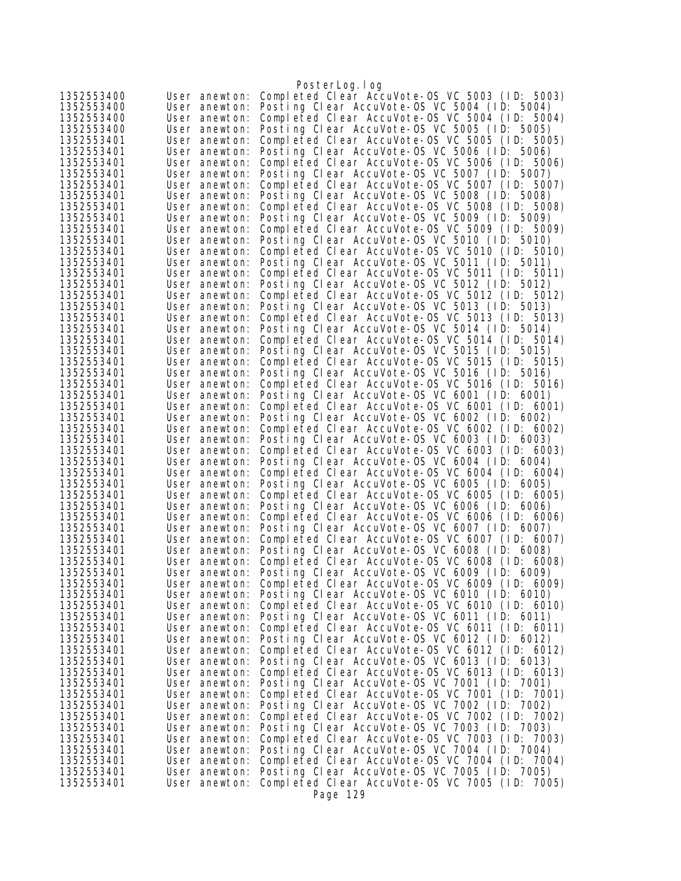|                          |                                | PosterLog.log                                                                                  |
|--------------------------|--------------------------------|------------------------------------------------------------------------------------------------|
| 1352553400               | User anewton:                  | Completed Clear AccuVote-OS VC 5003 (ID: 5003)                                                 |
| 1352553400               | User anewton:                  | Posting Clear AccuVote-OS VC 5004 (ID: 5004)                                                   |
| 1352553400               | User anewton:                  | Completed Clear AccuVote-0S VC 5004 (ID: 5004)                                                 |
| 1352553400               | User anewton:                  | Posting Clear AccuVote-OS VC 5005 (ID: 5005)                                                   |
| 1352553401               | User anewton:                  | Completed Clear AccuVote-0S VC 5005 (ID: 5005)                                                 |
| 1352553401<br>1352553401 | User anewton:<br>User anewton: | Posting Clear AccuVote-OS VC 5006 (ID: 5006)<br>Completed Clear AccuVote-0S VC 5006 (ID: 5006) |
| 1352553401               | User anewton:                  | Posting Clear AccuVote-OS VC 5007 (ID: 5007)                                                   |
| 1352553401               | User anewton:                  | Completed Clear AccuVote-OS VC 5007 (ID: 5007)                                                 |
| 1352553401               | User anewton:                  | Posting Clear AccuVote-OS VC 5008 (ID: 5008)                                                   |
| 1352553401               | User anewton:                  | Completed Clear AccuVote-OS VC 5008 (ID: 5008)                                                 |
| 1352553401               | User anewton:                  | Posting Clear AccuVote-OS VC 5009 (ID: 5009)                                                   |
| 1352553401               | User anewton:                  | Completed Clear AccuVote-OS VC 5009 (ID: 5009)                                                 |
| 1352553401               | User anewton:                  | Posting Clear AccuVote-OS VC 5010 (ID: 5010)                                                   |
| 1352553401               | User anewton:                  | Completed Clear AccuVote-OS VC 5010 (ID: 5010)                                                 |
| 1352553401<br>1352553401 | User anewton:                  | Posting Clear AccuVote-OS VC 5011 (ID: 5011)<br>Completed Clear AccuVote-OS VC 5011 (ID: 5011) |
| 1352553401               | User anewton:<br>User anewton: | Posting Clear AccuVote-OS VC 5012 (ID: 5012)                                                   |
| 1352553401               | User anewton:                  | Completed Clear AccuVote-OS VC 5012 (ID: 5012)                                                 |
| 1352553401               | User anewton:                  | Posting Clear AccuVote-OS VC 5013 (ID: 5013)                                                   |
| 1352553401               | User anewton:                  | Completed Clear AccuVote-OS VC 5013 (ID: 5013)                                                 |
| 1352553401               | User anewton:                  | Posting Clear AccuVote-OS VC 5014 (ID: 5014)                                                   |
| 1352553401               | User anewton:                  | Completed Clear AccuVote-OS VC 5014 (ID: 5014)                                                 |
| 1352553401               | User anewton:                  | Posting Clear AccuVote-OS VC 5015 (ID: 5015)                                                   |
| 1352553401               | User anewton:                  | Completed Clear AccuVote-OS VC 5015 (ID: 5015)                                                 |
| 1352553401               | User anewton:                  | Posting Clear AccuVote-OS VC 5016 (ID: 5016)                                                   |
| 1352553401<br>1352553401 | User anewton:                  | Completed Clear AccuVote-OS VC 5016 (ID: 5016)<br>Posting Clear AccuVote-OS VC 6001 (ID: 6001) |
| 1352553401               | User anewton:<br>User anewton: | Completed Clear AccuVote-OS VC 6001 (ID: 6001)                                                 |
| 1352553401               | User anewton:                  | Posting Clear AccuVote-OS VC 6002 (ID: 6002)                                                   |
| 1352553401               | User anewton:                  | Completed Clear AccuVote-OS VC 6002 (ID: 6002)                                                 |
| 1352553401               | User anewton:                  | Posting Clear AccuVote-OS VC 6003 (ID: 6003)                                                   |
| 1352553401               | User anewton:                  | Completed Clear AccuVote-OS VC 6003 (ID: 6003)                                                 |
| 1352553401               | User anewton:                  | Posting Clear AccuVote-OS VC 6004 (ID: 6004)                                                   |
| 1352553401               | User anewton:                  | Completed Clear AccuVote-OS VC 6004 (ID: 6004)                                                 |
| 1352553401               | User anewton:                  | Posting Clear AccuVote-OS VC 6005 (ID: 6005)                                                   |
| 1352553401<br>1352553401 | User anewton:<br>User anewton: | Completed Clear AccuVote-0S VC 6005 (ID: 6005)<br>Posting Clear AccuVote-OS VC 6006 (ID: 6006) |
| 1352553401               | User anewton:                  | Completed Clear AccuVote-OS VC 6006 (ID: 6006)                                                 |
| 1352553401               | User anewton:                  | Posting Clear AccuVote-OS VC 6007 (ID: 6007)                                                   |
| 1352553401               | User anewton:                  | Completed Clear AccuVote-OS VC 6007 (ID: 6007)                                                 |
| 1352553401               | User anewton:                  | Posting Clear AccuVote-OS VC 6008 (ID: 6008)                                                   |
| 1352553401               | User anewton:                  | Completed Clear AccuVote-OS VC 6008 (ID: 6008)                                                 |
| 1352553401               | User anewton:                  | Posting Clear AccuVote-OS VC 6009 (ID: 6009)                                                   |
| 1352553401               | User anewton:                  | Completed Clear AccuVote-OS VC 6009 (ID: 6009)                                                 |
| 1352553401               | User anewton:                  | Posting Clear AccuVote-OS VC 6010 (ID: 6010)                                                   |
| 1352553401<br>1352553401 | User anewton:<br>User anewton: | Completed Clear AccuVote-OS VC 6010 (ID: 6010)<br>Posting Clear AccuVote-OS VC 6011 (ID: 6011) |
| 1352553401               | User anewton:                  | Completed Clear AccuVote-OS VC 6011 (ID: 6011)                                                 |
| 1352553401               | User anewton:                  | Posting Clear AccuVote-OS VC 6012 (ID: 6012)                                                   |
| 1352553401               | User anewton:                  | Completed Clear AccuVote-0S VC 6012 (ID: 6012)                                                 |
| 1352553401               | User anewton:                  | Posting Clear AccuVote-OS VC 6013 (ID: 6013)                                                   |
| 1352553401               | User anewton:                  | Completed Clear AccuVote-OS VC 6013 (ID: 6013)                                                 |
| 1352553401               | User anewton:                  | Posting Clear AccuVote-OS VC 7001 (ID: 7001)                                                   |
| 1352553401               | User anewton:                  | Completed Clear AccuVote-0S VC 7001 (ID: 7001)                                                 |
| 1352553401               | User anewton:                  | Posting Clear AccuVote-OS VC 7002 (ID: 7002)                                                   |
| 1352553401<br>1352553401 | User anewton:<br>User anewton: | Completed Clear AccuVote-0S VC 7002 (ID: 7002)<br>Posting Clear AccuVote-OS VC 7003 (ID: 7003) |
| 1352553401               | User anewton:                  | Completed Clear AccuVote-OS VC 7003 (ID: 7003)                                                 |
| 1352553401               | User anewton:                  | Posting Clear AccuVote-OS VC 7004 (ID: 7004)                                                   |
| 1352553401               | User anewton:                  | Completed Clear AccuVote-OS VC 7004 (ID: 7004)                                                 |
| 1352553401               | User anewton:                  | Posting Clear AccuVote-OS VC 7005 (ID: 7005)                                                   |
| 1352553401               | User anewton:                  | Completed Clear AccuVote-OS VC 7005 (ID: 7005)                                                 |
|                          |                                | Page 129                                                                                       |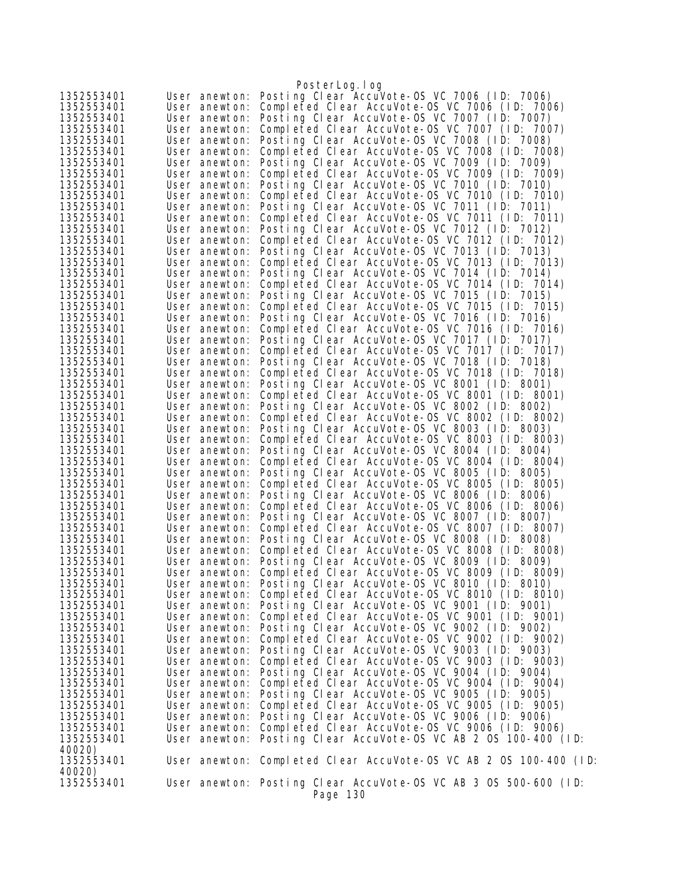|                          |                                | PosterLog.log                                                                                                |
|--------------------------|--------------------------------|--------------------------------------------------------------------------------------------------------------|
| 1352553401               | User anewton:                  | Posting Clear AccuVote-OS VC 7006 (ID: 7006)                                                                 |
| 1352553401               | User anewton:                  | Completed Clear AccuVote-OS VC 7006 (ID: 7006)                                                               |
| 1352553401               | User anewton:                  | Posting Clear AccuVote-OS VC 7007 (ID: 7007)                                                                 |
| 1352553401               | User anewton:                  | Completed Clear AccuVote-OS VC 7007 (ID: 7007)                                                               |
| 1352553401               | User anewton:                  | Posting Clear AccuVote-OS VC 7008 (ID: 7008)                                                                 |
| 1352553401               | User anewton:                  | Completed Clear AccuVote-OS VC 7008 (ID: 7008)                                                               |
| 1352553401               | User anewton:                  | Posting Clear AccuVote-OS VC 7009 (ID: 7009)                                                                 |
| 1352553401               | User anewton:                  | Completed Clear AccuVote-OS VC 7009 (ID: 7009)                                                               |
| 1352553401               | User anewton:                  | Posting Clear AccuVote-OS VC 7010 (ID: 7010)                                                                 |
| 1352553401               | User anewton:                  | Completed Clear AccuVote-OS VC 7010 (ID: 7010)                                                               |
| 1352553401               | User anewton:                  | Posting Clear AccuVote-OS VC 7011 (ID: 7011)                                                                 |
| 1352553401               | User anewton:                  | Completed Clear AccuVote-0S VC 7011 (ID: 7011)                                                               |
| 1352553401<br>1352553401 | User anewton:<br>User anewton: | Posting Clear AccuVote-OS VC 7012 (ID: 7012)<br>Completed Clear AccuVote-0S VC 7012 (ID: 7012)               |
| 1352553401               | User anewton:                  | Posting Clear AccuVote-OS VC 7013 (ID: 7013)                                                                 |
| 1352553401               | User anewton:                  | Completed Clear AccuVote-OS VC 7013 (ID: 7013)                                                               |
| 1352553401               | User anewton:                  | Posting Clear AccuVote-OS VC 7014 (ID: 7014)                                                                 |
| 1352553401               | User anewton:                  | Completed Clear AccuVote-OS VC 7014 (ID: 7014)                                                               |
| 1352553401               | User anewton:                  | Posting Clear AccuVote-OS VC 7015 (ID: 7015)                                                                 |
| 1352553401               | User anewton:                  | Completed Clear AccuVote-OS VC 7015 (ID: 7015)                                                               |
| 1352553401               | User anewton:                  | Posting Clear AccuVote-OS VC 7016 (ID: 7016)                                                                 |
| 1352553401               | User anewton:                  | Completed Clear AccuVote-OS VC 7016 (ID: 7016)                                                               |
| 1352553401               | User anewton:                  | Posting Clear AccuVote-OS VC 7017 (ID: 7017)                                                                 |
| 1352553401               | User anewton:                  | Completed Clear AccuVote-OS VC 7017 (ID: 7017)                                                               |
| 1352553401               | User anewton:                  | Posting Clear AccuVote-OS VC 7018 (ID: 7018)                                                                 |
| 1352553401               | User anewton:                  | Completed Clear AccuVote-OS VC 7018 (ID: 7018)                                                               |
| 1352553401               | User anewton:                  | Posting Clear AccuVote-OS VC 8001 (ID: 8001)<br>Completed Clear AccuVote-OS VC 8001 (ID: 8001)               |
| 1352553401<br>1352553401 | User anewton:<br>User anewton: | Posting Clear AccuVote-OS VC 8002 (ID: 8002)                                                                 |
| 1352553401               | User anewton:                  | Completed Clear AccuVote-OS VC 8002 (ID: 8002)                                                               |
| 1352553401               | User anewton:                  | Posting Clear AccuVote-OS VC 8003 (ID: 8003)                                                                 |
| 1352553401               | User anewton:                  | Completed Clear AccuVote-OS VC 8003 (ID: 8003)                                                               |
| 1352553401               | User anewton:                  | Posting Clear AccuVote-OS VC 8004 (ID: 8004)                                                                 |
| 1352553401               | User anewton:                  | Completed Clear AccuVote-OS VC 8004 (ID: 8004)                                                               |
| 1352553401               | User anewton:                  | Posting Clear AccuVote-OS VC 8005 (ID: 8005)                                                                 |
| 1352553401               | User anewton:                  | Completed Clear AccuVote-OS VC 8005 (ID: 8005)                                                               |
| 1352553401               | User anewton:                  | Posting Clear AccuVote-OS VC 8006 (ID: 8006)                                                                 |
| 1352553401               | User anewton:                  | Completed Clear AccuVote-OS VC 8006 (ID: 8006)                                                               |
| 1352553401               | User anewton:                  | Posting Clear AccuVote-OS VC 8007 (ID: 8007)                                                                 |
| 1352553401<br>1352553401 | User anewton:                  | Completed Clear AccuVote-OS VC 8007 (ID: 8007)<br>User anewton: Posting Clear AccuVote-OS VC 8008 (ID: 8008) |
| 1352553401               | User anewton:                  | Completed Clear AccuVote-OS VC 8008 (ID: 8008)                                                               |
| 1352553401               | User anewton:                  | Posting Clear AccuVote-OS VC 8009 (ID: 8009)                                                                 |
| 1352553401               |                                | User anewton: Completed Clear AccuVote-OS VC 8009 (ID: 8009)                                                 |
| 1352553401               | User anewton:                  | Posting Clear AccuVote-OS VC 8010 (ID: 8010)                                                                 |
| 1352553401               |                                | User anewton: Completed Clear AccuVote-OS VC 8010 (ID: 8010)                                                 |
| 1352553401               |                                | User anewton: Posting Clear AccuVote-OS VC 9001 (ID: 9001)                                                   |
| 1352553401               | User anewton:                  | Completed Clear AccuVote-OS VC 9001 (ID: 9001)                                                               |
| 1352553401               |                                | User anewton: Posting Clear AccuVote-OS VC 9002 (ID: 9002)                                                   |
| 1352553401               | User anewton:                  | Completed Clear AccuVote-OS VC 9002 (ID: 9002)                                                               |
| 1352553401               | User anewton:                  | Posting Clear AccuVote-OS VC 9003 (ID: 9003)                                                                 |
| 1352553401               | User anewton:                  | Completed Clear AccuVote-OS VC 9003 (ID: 9003)<br>User anewton: Posting Clear AccuVote-OS VC 9004 (ID: 9004) |
| 1352553401<br>1352553401 | User anewton:                  | Completed Clear AccuVote-OS VC 9004 (ID: 9004)                                                               |
| 1352553401               |                                | User anewton: Posting Clear AccuVote-OS VC 9005 (ID: 9005)                                                   |
| 1352553401               | User anewton:                  | Completed Clear AccuVote-OS VC 9005 (ID: 9005)                                                               |
| 1352553401               | User anewton:                  | Posting Clear AccuVote-OS VC 9006 (ID: 9006)                                                                 |
| 1352553401               | User anewton:                  | Completed Clear AccuVote-OS VC 9006 (ID: 9006)                                                               |
| 1352553401               | User anewton:                  | Posting Clear AccuVote-OS VC AB 2 OS 100-400 (ID:                                                            |
| 40020)                   |                                |                                                                                                              |
| 1352553401               |                                | User anewton: Completed Clear AccuVote-OS VC AB 2 OS 100-400 (ID:                                            |
| 40020)                   |                                |                                                                                                              |
| 1352553401               |                                | User anewton: Posting Clear AccuVote-OS VC AB 3 OS 500-600 (ID:<br>Page 130                                  |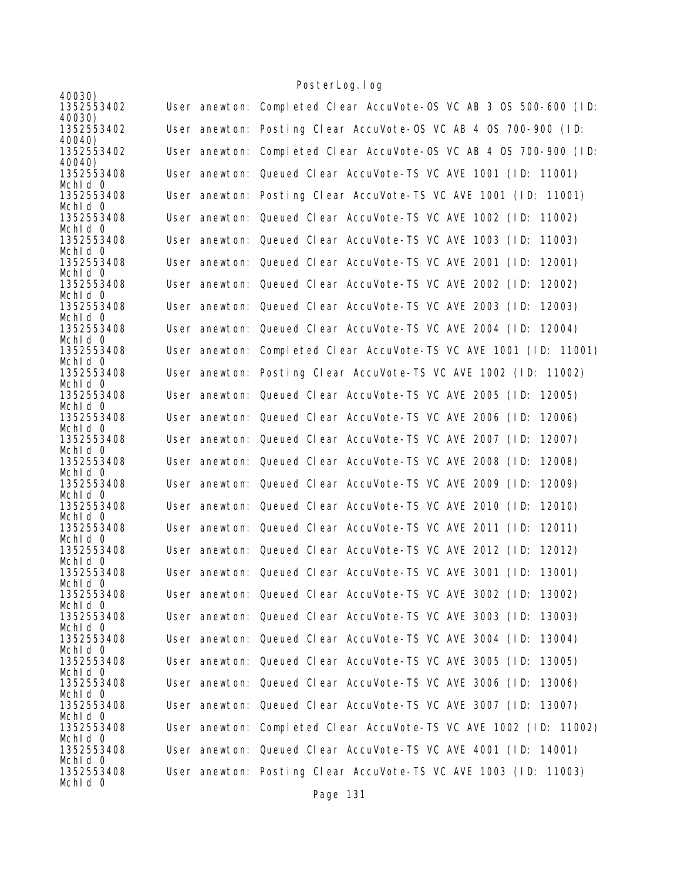| 40030)                          |                                                                   |
|---------------------------------|-------------------------------------------------------------------|
| 1352553402                      | User anewton: Completed Clear AccuVote-0S VC AB 3 0S 500-600 (ID: |
| 40030)<br>1352553402            | User anewton: Posting Clear AccuVote-OS VC AB 4 OS 700-900 (ID:   |
| 40040)<br>1352553402            | User anewton: Completed Clear AccuVote-OS VC AB 4 OS 700-900 (ID: |
| 40040)<br>1352553408<br>Mchld 0 | User anewton: Queued Clear AccuVote-TS VC AVE 1001 (ID: 11001)    |
| 1352553408<br>Mchid 0           | User anewton: Posting Clear AccuVote-TS VC AVE 1001 (ID: 11001)   |
| 1352553408<br>Mchid 0           | User anewton: Queued Clear AccuVote-TS VC AVE 1002 (ID: 11002)    |
| 1352553408<br>Mchld 0           | User anewton: Queued Clear AccuVote-TS VC AVE 1003 (ID: 11003)    |
| 1352553408<br>Mchid 0           | User anewton: Queued Clear AccuVote-TS VC AVE 2001 (ID: 12001)    |
| 1352553408<br>Mchld 0           | User anewton: Queued Clear AccuVote-TS VC AVE 2002 (ID:<br>12002) |
| 1352553408<br>Mchld 0           | User anewton: Queued Clear AccuVote-TS VC AVE 2003 (ID: 12003)    |
| 1352553408<br>Mchid 0           | User anewton: Queued Clear AccuVote-TS VC AVE 2004 (ID: 12004)    |
| 1352553408<br>Mchld 0           | User anewton: Completed Clear AccuVote-TS VC AVE 1001 (ID: 11001) |
| 1352553408<br>Mchld 0           | User anewton: Posting Clear AccuVote-TS VC AVE 1002 (ID: 11002)   |
| 1352553408<br>Mchid 0           | User anewton: Queued Clear AccuVote-TS VC AVE 2005 (ID: 12005)    |
| 1352553408<br>Mchld 0           | User anewton: Queued Clear AccuVote-TS VC AVE 2006 (ID:<br>12006) |
| 1352553408<br>Mchid 0           | User anewton: Queued Clear AccuVote-TS VC AVE 2007 (ID:<br>12007) |
| 1352553408<br>Mchid 0           | User anewton: Queued Clear AccuVote-TS VC AVE 2008 (ID:<br>12008) |
| 1352553408<br>Mchld 0           | User anewton: Queued Clear AccuVote-TS VC AVE 2009 (ID:<br>12009) |
| 1352553408<br>Mchid 0           | User anewton: Queued Clear AccuVote-TS VC AVE 2010 (ID:<br>12010) |
| 1352553408<br>Mchld 0           | User anewton: Queued Clear AccuVote-TS VC AVE 2011 (ID: 12011)    |
| 1352553408<br>Mchid 0           | User anewton: Queued Clear AccuVote-TS VC AVE 2012 (ID:<br>12012) |
| 1352553408<br>Mchid 0           | User anewton: Queued Clear AccuVote-TS VC AVE 3001 (ID: 13001)    |
| 1352553408<br>Mchid 0           | User anewton: Queued Clear AccuVote-TS VC AVE 3002 (ID: 13002)    |
| 1352553408<br>Mchid O           | User anewton: Queued Clear AccuVote-TS VC AVE 3003 (ID: 13003)    |
| 1352553408<br>Mchld 0           | User anewton: Queued Clear AccuVote-TS VC AVE 3004 (ID:<br>13004) |
| 1352553408<br>Mchid 0           | User anewton: Queued Clear AccuVote-TS VC AVE 3005 (ID: 13005)    |
| 1352553408<br>Mchid 0           | User anewton: Queued Clear AccuVote-TS VC AVE 3006 (ID:<br>13006) |
| 1352553408<br>Mchld 0           | User anewton: Queued Clear AccuVote-TS VC AVE 3007 (ID: 13007)    |
| 1352553408<br>Mchid 0           | User anewton: Completed Clear AccuVote-TS VC AVE 1002 (ID: 11002) |
| 1352553408<br>Mchid 0           | User anewton: Queued Clear AccuVote-TS VC AVE 4001 (ID: 14001)    |
| 1352553408<br>Mchid 0           | User anewton: Posting Clear AccuVote-TS VC AVE 1003 (ID: 11003)   |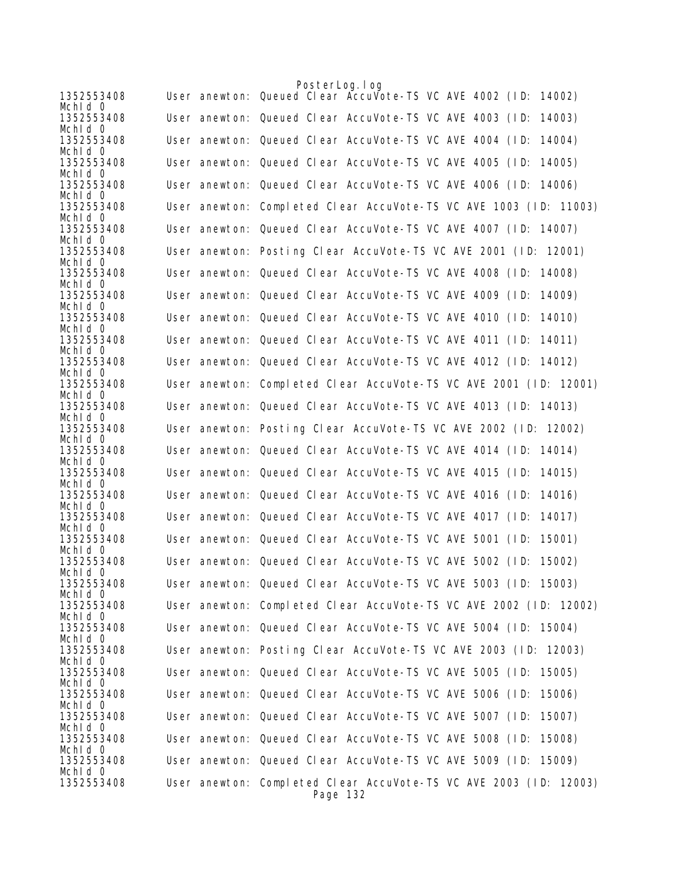| 1352553408<br>Mchid 0 | PosterLog. I og<br>User anewton: Queued Clear AccuVote-TS VC AVE 4002 (ID: 14002) |
|-----------------------|-----------------------------------------------------------------------------------|
| 1352553408<br>Mchid 0 | User anewton: Queued Clear AccuVote-TS VC AVE 4003 (ID:<br>14003)                 |
| 1352553408<br>Mchid 0 | User anewton: Queued Clear AccuVote-TS VC AVE 4004 (ID:<br>14004)                 |
| 1352553408<br>Mchid 0 | User anewton: Queued Clear AccuVote-TS VC AVE 4005 (ID:<br>14005)                 |
| 1352553408<br>Mchid 0 | User anewton: Queued Clear AccuVote-TS VC AVE 4006 (ID: 14006)                    |
| 1352553408<br>Mchid 0 | User anewton: Completed Clear AccuVote-TS VC AVE 1003 (ID: 11003)                 |
| 1352553408<br>Mchid 0 | User anewton: Queued Clear AccuVote-TS VC AVE 4007 (ID: 14007)                    |
| 1352553408<br>Mchld 0 | User anewton: Posting Clear AccuVote-TS VC AVE 2001 (ID: 12001)                   |
| 1352553408<br>Mchid 0 | User anewton: Queued Clear AccuVote-TS VC AVE 4008 (ID: 14008)                    |
| 1352553408<br>Mchid 0 | User anewton: Queued Clear AccuVote-TS VC AVE 4009 (ID:<br>14009)                 |
| 1352553408<br>Mchid 0 | User anewton: Queued Clear AccuVote-TS VC AVE 4010 (ID:<br>14010)                 |
| 1352553408<br>Mchid 0 | User anewton: Queued Clear AccuVote-TS VC AVE 4011 (ID: 14011)                    |
| 1352553408<br>Mchid 0 | User anewton: Queued Clear AccuVote-TS VC AVE 4012 (ID: 14012)                    |
| 1352553408<br>Mchid 0 | User anewton: Completed Clear AccuVote-TS VC AVE 2001 (ID: 12001)                 |
| 1352553408<br>Mchid 0 | User anewton: Queued Clear AccuVote-TS VC AVE 4013 (ID: 14013)                    |
| 1352553408<br>Mchld 0 | User anewton: Posting Clear AccuVote-TS VC AVE 2002 (ID: 12002)                   |
| 1352553408<br>Mchid 0 | User anewton: Queued Clear AccuVote-TS VC AVE 4014 (ID: 14014)                    |
| 1352553408<br>Mchid 0 | User anewton: Queued Clear AccuVote-TS VC AVE 4015 (ID:<br>14015)                 |
| 1352553408<br>Mchid 0 | User anewton: Queued Clear AccuVote-TS VC AVE 4016 (ID:<br>14016)                 |
| 1352553408<br>Mchid 0 | User anewton: Queued Clear AccuVote-TS VC AVE 4017 (ID:<br>14017)                 |
| 1352553408<br>Mchid 0 | User anewton: Queued Clear AccuVote-TS VC AVE 5001 (ID:<br>15001)                 |
| 1352553408<br>Mchid 0 | User anewton: Queued Clear AccuVote-TS VC AVE 5002 (ID:<br>15002)                 |
| 1352553408<br>Mchld O | User anewton: Queued Clear AccuVote-TS VC AVE 5003 (ID: 15003)                    |
| 1352553408<br>Mchid 0 | User anewton: Completed Clear AccuVote-TS VC AVE 2002 (ID: 12002)                 |
| 1352553408<br>Mchid 0 | User anewton: Queued Clear AccuVote-TS VC AVE 5004 (ID: 15004)                    |
| 1352553408<br>Mchld O | User anewton: Posting Clear AccuVote-TS VC AVE 2003 (ID: 12003)                   |
| 1352553408<br>Mchid 0 | User anewton: Queued Clear AccuVote-TS VC AVE 5005 (ID: 15005)                    |
| 1352553408<br>Mchid O | User anewton: Queued Clear AccuVote-TS VC AVE 5006 (ID:<br>15006)                 |
| 1352553408<br>Mchld 0 | User anewton: Queued Clear AccuVote-TS VC AVE 5007 (ID: 15007)                    |
| 1352553408<br>Mchid 0 | User anewton: Queued Clear AccuVote-TS VC AVE 5008 (ID: 15008)                    |
| 1352553408<br>Mchid 0 | User anewton: Queued Clear AccuVote-TS VC AVE 5009 (ID: 15009)                    |
| 1352553408            | User anewton: Completed Clear AccuVote-TS VC AVE 2003 (ID: 12003)<br>Page 132     |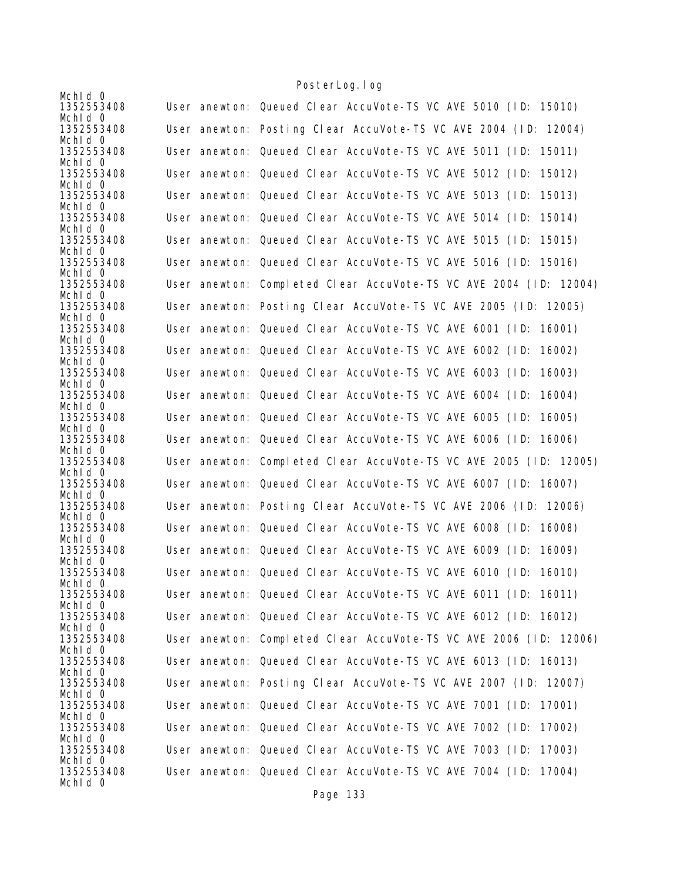|                       | <u>i obitci Lugarug</u>                                           |
|-----------------------|-------------------------------------------------------------------|
| Mchid 0<br>1352553408 | User anewton: Queued Clear AccuVote-TS VC AVE 5010 (ID: 15010)    |
| Mchid 0               |                                                                   |
| 1352553408<br>Mchid 0 | User anewton: Posting Clear AccuVote-TS VC AVE 2004 (ID: 12004)   |
| 1352553408            | User anewton: Queued Clear AccuVote-TS VC AVE 5011 (ID: 15011)    |
| Mchid 0<br>1352553408 | User anewton: Queued Clear AccuVote-TS VC AVE 5012 (ID:<br>15012) |
| Mchld 0<br>1352553408 | User anewton: Queued Clear AccuVote-TS VC AVE 5013 (ID:<br>15013) |
| Mchld 0               |                                                                   |
| 1352553408<br>Mchid 0 | User anewton: Queued Clear AccuVote-TS VC AVE 5014 (ID:<br>15014) |
| 1352553408            | User anewton: Queued Clear AccuVote-TS VC AVE 5015 (ID:<br>15015) |
| Mchld 0<br>1352553408 | User anewton: Queued Clear AccuVote-TS VC AVE 5016 (ID: 15016)    |
| Mchid 0               |                                                                   |
| 1352553408            | User anewton: Completed Clear AccuVote-TS VC AVE 2004 (ID: 12004) |
| Mchid 0<br>1352553408 | User anewton: Posting Clear AccuVote-TS VC AVE 2005 (ID: 12005)   |
| Mchld 0<br>1352553408 | User anewton: Queued Clear AccuVote-TS VC AVE 6001 (ID: 16001)    |
| Mchid 0               |                                                                   |
| 1352553408            | User anewton: Queued Clear AccuVote-TS VC AVE 6002 (ID: 16002)    |
| Mchid 0<br>1352553408 | User anewton: Queued Clear AccuVote-TS VC AVE 6003 (ID:<br>16003) |
| Mchld 0               |                                                                   |
| 1352553408<br>Mchid 0 | User anewton: Queued Clear AccuVote-TS VC AVE 6004 (ID:<br>16004) |
| 1352553408            | User anewton: Queued Clear AccuVote-TS VC AVE 6005 (ID:<br>16005) |
| Mchid 0<br>1352553408 | User anewton: Queued Clear AccuVote-TS VC AVE 6006 (ID: 16006)    |
| Mchld 0<br>1352553408 | User anewton: Completed Clear AccuVote-TS VC AVE 2005 (ID: 12005) |
| Mchid 0               |                                                                   |
| 1352553408<br>Mchid 0 | User anewton: Queued Clear AccuVote-TS VC AVE 6007 (ID: 16007)    |
| 1352553408<br>Mchld 0 | User anewton: Posting Clear AccuVote-TS VC AVE 2006 (ID: 12006)   |
| 1352553408            | User anewton: Queued Clear AccuVote-TS VC AVE 6008 (ID: 16008)    |
| Mchid 0<br>1352553408 | User anewton: Queued Clear AccuVote-TS VC AVE 6009 (ID:<br>16009) |
| Mchid 0               |                                                                   |
| 1352553408<br>Mchid 0 | User anewton: Queued Clear AccuVote-TS VC AVE 6010 (ID: 16010)    |
| 1352553408            | User anewton: Queued Clear AccuVote-TS VC AVE 6011 (ID: 16011)    |
| Mchid 0<br>1352553408 | User anewton: Queued Clear AccuVote-TS VC AVE 6012 (ID: 16012)    |
| Mchid 0               |                                                                   |
| 1352553408<br>Mchid 0 | User anewton: Completed Clear AccuVote-TS VC AVE 2006 (ID: 12006) |
| 1352553408<br>Mchid 0 | User anewton: Queued Clear AccuVote-TS VC AVE 6013 (ID: 16013)    |
| 1352553408            | User anewton: Posting Clear AccuVote-TS VC AVE 2007 (ID: 12007)   |
| Mchid 0<br>1352553408 | User anewton: Queued Clear AccuVote-TS VC AVE 7001 (ID: 17001)    |
| Mchid 0               |                                                                   |
| 1352553408<br>Mchid 0 | User anewton: Queued Clear AccuVote-TS VC AVE 7002 (ID:<br>17002) |
| 1352553408            | User anewton: Queued Clear AccuVote-TS VC AVE 7003 (ID:<br>17003) |
| Mchid 0<br>1352553408 | User anewton: Queued Clear AccuVote-TS VC AVE 7004 (ID: 17004)    |
| Mchid 0               |                                                                   |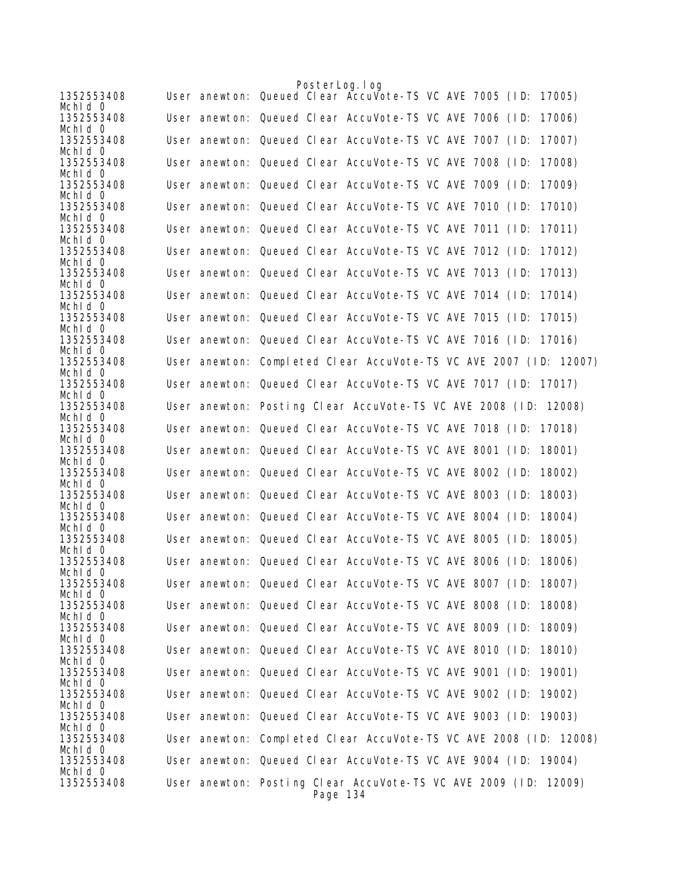|                       |  | PosterLog. I og |                                                                   |  |  |        |
|-----------------------|--|-----------------|-------------------------------------------------------------------|--|--|--------|
| 1352553408<br>Mchid 0 |  |                 | User anewton: Queued Clear Accuvote-TS VC AVE 7005 (ID:           |  |  | 17005) |
| 1352553408            |  |                 | User anewton: Queued Clear AccuVote-TS VC AVE 7006 (ID:           |  |  | 17006) |
| Mchid 0<br>1352553408 |  |                 | User anewton: Queued Clear AccuVote-TS VC AVE 7007 (ID:           |  |  | 17007) |
| Mchid 0<br>1352553408 |  |                 | User anewton: Queued Clear AccuVote-TS VC AVE 7008 (ID:           |  |  | 17008) |
| Mchid 0<br>1352553408 |  |                 | User anewton: Queued Clear AccuVote-TS VC AVE 7009 (ID:           |  |  | 17009) |
| Mchid 0               |  |                 |                                                                   |  |  |        |
| 1352553408<br>Mchid 0 |  |                 | User anewton: Queued Clear AccuVote-TS VC AVE 7010 (ID:           |  |  | 17010) |
| 1352553408<br>Mchid 0 |  |                 | User anewton: Queued Clear AccuVote-TS VC AVE 7011 (ID:           |  |  | 17011) |
| 1352553408<br>Mchid 0 |  |                 | User anewton: Queued Clear AccuVote-TS VC AVE 7012 (ID:           |  |  | 17012) |
| 1352553408<br>Mchld 0 |  |                 | User anewton: Queued Clear AccuVote-TS VC AVE 7013 (ID: 17013)    |  |  |        |
| 1352553408            |  |                 | User anewton: Queued Clear AccuVote-TS VC AVE 7014 (ID:           |  |  | 17014) |
| Mchid 0<br>1352553408 |  |                 | User anewton: Queued Clear AccuVote-TS VC AVE 7015 (ID:           |  |  | 17015) |
| Mchld 0<br>1352553408 |  |                 | User anewton: Queued Clear AccuVote-TS VC AVE 7016 (ID: 17016)    |  |  |        |
| Mchld 0<br>1352553408 |  |                 | User anewton: Completed Clear AccuVote-TS VC AVE 2007 (ID: 12007) |  |  |        |
| Mchid 0               |  |                 |                                                                   |  |  |        |
| 1352553408<br>Mchld 0 |  |                 | User anewton: Queued Clear AccuVote-TS VC AVE 7017 (ID: 17017)    |  |  |        |
| 1352553408<br>Mchld 0 |  |                 | User anewton: Posting Clear AccuVote-TS VC AVE 2008 (ID: 12008)   |  |  |        |
| 1352553408<br>Mchid 0 |  |                 | User anewton: Queued Clear AccuVote-TS VC AVE 7018 (ID: 17018)    |  |  |        |
| 1352553408            |  |                 | User anewton: Queued Clear AccuVote-TS VC AVE 8001 (ID:           |  |  | 18001) |
| Mchld 0<br>1352553408 |  |                 | User anewton: Queued Clear AccuVote-TS VC AVE 8002 (ID:           |  |  | 18002) |
| Mchid 0<br>1352553408 |  |                 | User anewton: Queued Clear AccuVote-TS VC AVE 8003 (ID:           |  |  | 18003) |
| Mchid 0<br>1352553408 |  |                 | User anewton: Queued Clear AccuVote-TS VC AVE 8004 (ID:           |  |  | 18004) |
| Mchld 0               |  |                 |                                                                   |  |  |        |
| 1352553408<br>Mchid 0 |  |                 | User anewton: Queued Clear AccuVote-TS VC AVE 8005 (ID:           |  |  | 18005) |
| 1352553408<br>Mchid 0 |  |                 | User anewton: Queued Clear AccuVote-TS VC AVE 8006 (ID:           |  |  | 18006) |
| 1352553408<br>Mchid 0 |  |                 | User anewton: Queued Clear AccuVote-TS VC AVE 8007 (ID: 18007)    |  |  |        |
| 1352553408            |  |                 | User anewton: Queued Clear AccuVote-TS VC AVE 8008 (ID: 18008)    |  |  |        |
| Mchid 0<br>1352553408 |  |                 | User anewton: Queued Clear AccuVote-TS VC AVE 8009 (ID:           |  |  | 18009) |
| Mchid 0<br>1352553408 |  |                 | User anewton: Queued Clear AccuVote-TS VC AVE 8010 (ID:           |  |  | 18010) |
| Mchid 0<br>1352553408 |  |                 | User anewton: Queued Clear AccuVote-TS VC AVE 9001 (ID:           |  |  | 19001) |
| Mchld 0               |  |                 |                                                                   |  |  |        |
| 1352553408<br>Mchid 0 |  |                 | User anewton: Queued Clear AccuVote-TS VC AVE 9002 (ID: 19002)    |  |  |        |
| 1352553408<br>Mchid 0 |  |                 | User anewton: Queued Clear AccuVote-TS VC AVE 9003 (ID: 19003)    |  |  |        |
| 1352553408<br>Mchid 0 |  |                 | User anewton: Completed Clear AccuVote-TS VC AVE 2008 (ID: 12008) |  |  |        |
| 1352553408            |  |                 | User anewton: Queued Clear AccuVote-TS VC AVE 9004 (ID: 19004)    |  |  |        |
| Mchid 0<br>1352553408 |  |                 | User anewton: Posting Clear AccuVote-TS VC AVE 2009 (ID: 12009)   |  |  |        |
|                       |  | Page 134        |                                                                   |  |  |        |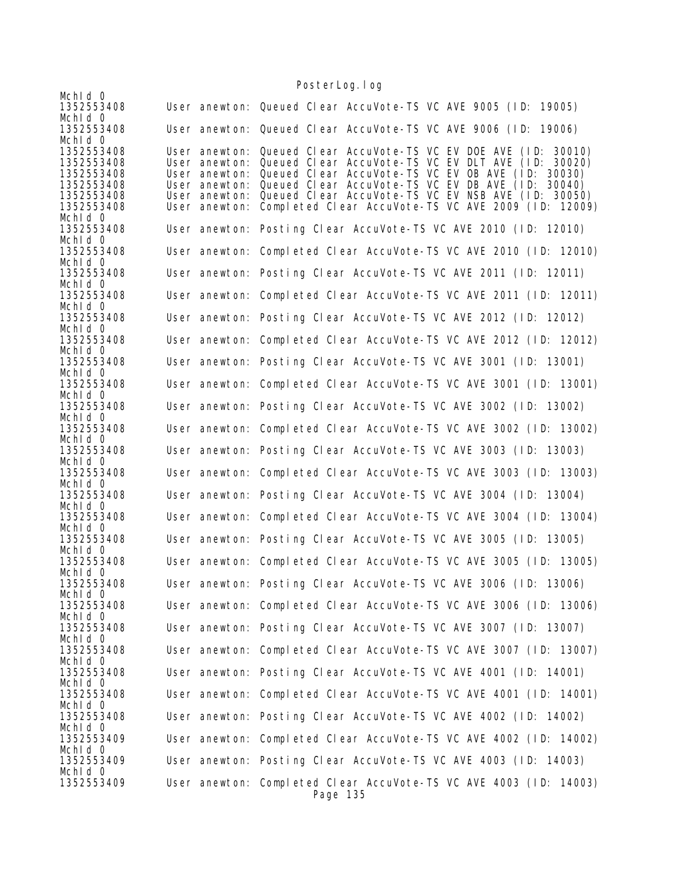Mchld 0<br>1352553408 User anewton: Queued Clear AccuVote-TS VC AVE 9005 (ID: 19005) Mchld 0<br>1352553408 User anewton: Queued Clear AccuVote-TS VC AVE 9006 (ID: 19006) Mchld 0<br>1352553408 1352553408 User anewton: Queued Clear AccuVote-TS VC EV DOE AVE (ID: 30010) 1352553408 User anewton: Queued Clear AccuVote-TS VC EV DLT AVE (ID: 30020) 1352553408 User anewton: Queued Clear AccuVote-TS VC EV OB AVE (ID: 30030) User anewton: Queued Clear AccuVote-TS VC EV DB AVE (ID: 30040) 1352553408 User anewton: Queued Clear AccuVote-TS VC EV NSB AVE (ID: 30050) User anewton: Completed Clear AccuVote-TS VC AVE 2009 (ID: 12009) Mchld 0<br>1352553408 User anewton: Posting Clear AccuVote-TS VC AVE 2010 (ID: 12010) Mchld 0<br>1352553408 User anewton: Completed Clear AccuVote-TS VC AVE 2010 (ID: 12010) Mchld 0<br>1352553408 User anewton: Posting Clear AccuVote-TS VC AVE 2011 (ID: 12011) MchId 0 1352553408 User anewton: Completed Clear AccuVote-TS VC AVE 2011 (ID: 12011) Mchld 0<br>1352553408 User anewton: Posting Clear AccuVote-TS VC AVE 2012 (ID: 12012) Mch<sub>Id</sub> 0 1352553408 User anewton: Completed Clear AccuVote-TS VC AVE 2012 (ID: 12012) Mchld 0<br>1352553408 User anewton: Posting Clear AccuVote-TS VC AVE 3001 (ID: 13001) Mchld 0<br>1352553408 User anewton: Completed Clear AccuVote-TS VC AVE 3001 (ID: 13001) MchId 0 1352553408 User anewton: Posting Clear AccuVote-TS VC AVE 3002 (ID: 13002) Mchld 0<br>1352553408 User anewton: Completed Clear AccuVote-TS VC AVE 3002 (ID: 13002) Mchld 0<br>1352553408 User anewton: Posting Clear AccuVote-TS VC AVE 3003 (ID: 13003) Mchld 0<br>1352553408 User anewton: Completed Clear AccuVote-TS VC AVE 3003 (ID: 13003) Mchld 0<br>1352553408 User anewton: Posting Clear AccuVote-TS VC AVE 3004 (ID: 13004) MchId 0 1352553408 User anewton: Completed Clear AccuVote-TS VC AVE 3004 (ID: 13004) Mchld 0<br>1352553408 User anewton: Posting Clear AccuVote-TS VC AVE 3005 (ID: 13005) Mchld 0<br>1352553408 User anewton: Completed Clear AccuVote-TS VC AVE 3005 (ID: 13005) MchId 0 1352553408 User anewton: Posting Clear AccuVote-TS VC AVE 3006 (ID: 13006) Mchld 0<br>1352553408 User anewton: Completed Clear AccuVote-TS VC AVE 3006 (ID: 13006) Mch<sub>Id</sub> 0 1352553408 User anewton: Posting Clear AccuVote-TS VC AVE 3007 (ID: 13007) Mchld 0<br>1352553408 User anewton: Completed Clear AccuVote-TS VC AVE 3007 (ID: 13007) Mchld 0<br>1352553408 User anewton: Posting Clear AccuVote-TS VC AVE 4001 (ID: 14001) MchId 0 1352553408 User anewton: Completed Clear AccuVote-TS VC AVE 4001 (ID: 14001) Mchld 0<br>1352553408 User anewton: Posting Clear AccuVote-TS VC AVE 4002 (ID: 14002) Mchld 0<br>1352553409 User anewton: Completed Clear AccuVote-TS VC AVE 4002 (ID: 14002) Mchld 0<br>1352553409 User anewton: Posting Clear AccuVote-TS VC AVE 4003 (ID: 14003) Mchld 0<br>1352553409 User anewton: Completed Clear AccuVote-TS VC AVE 4003 (ID: 14003) Page 135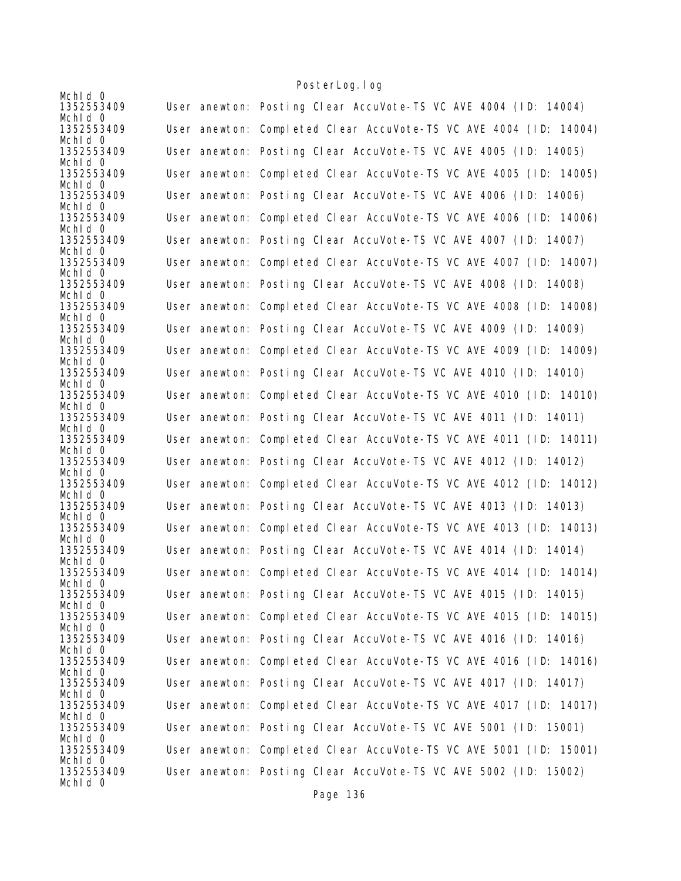|                       | TUJICI LUYI TUY                                                   |
|-----------------------|-------------------------------------------------------------------|
| Mchid 0<br>1352553409 | User anewton: Posting Clear AccuVote-TS VC AVE 4004 (ID: 14004)   |
| Mchid 0<br>1352553409 | User anewton: Completed Clear AccuVote-TS VC AVE 4004 (ID: 14004) |
| Mchid 0<br>1352553409 | User anewton: Posting Clear AccuVote-TS VC AVE 4005 (ID: 14005)   |
| Mchid 0<br>1352553409 | User anewton: Completed Clear AccuVote-TS VC AVE 4005 (ID: 14005) |
| Mchid 0<br>1352553409 | User anewton: Posting Clear AccuVote-TS VC AVE 4006 (ID: 14006)   |
| Mchld 0<br>1352553409 | User anewton: Completed Clear AccuVote-TS VC AVE 4006 (ID: 14006) |
| Mchld 0<br>1352553409 | User anewton: Posting Clear AccuVote-TS VC AVE 4007 (ID: 14007)   |
| Mchid 0<br>1352553409 | User anewton: Completed Clear AccuVote-TS VC AVE 4007 (ID: 14007) |
| Mchid 0<br>1352553409 | User anewton: Posting Clear AccuVote-TS VC AVE 4008 (ID: 14008)   |
| Mchld 0               |                                                                   |
| 1352553409<br>Mchld 0 | User anewton: Completed Clear AccuVote-TS VC AVE 4008 (ID: 14008) |
| 1352553409<br>Mchid 0 | User anewton: Posting Clear AccuVote-TS VC AVE 4009 (ID: 14009)   |
| 1352553409<br>Mchid 0 | User anewton: Completed Clear AccuVote-TS VC AVE 4009 (ID: 14009) |
| 1352553409<br>Mchld 0 | User anewton: Posting Clear AccuVote-TS VC AVE 4010 (ID: 14010)   |
| 1352553409<br>Mchid 0 | User anewton: Completed Clear AccuVote-TS VC AVE 4010 (ID: 14010) |
| 1352553409            | User anewton: Posting Clear AccuVote-TS VC AVE 4011 (ID: 14011)   |
| Mchid 0<br>1352553409 | User anewton: Completed Clear AccuVote-TS VC AVE 4011 (ID: 14011) |
| Mchld 0<br>1352553409 | User anewton: Posting Clear AccuVote-TS VC AVE 4012 (ID: 14012)   |
| Mchid 0<br>1352553409 | User anewton: Completed Clear AccuVote-TS VC AVE 4012 (ID: 14012) |
| Mchid 0<br>1352553409 | User anewton: Posting Clear AccuVote-TS VC AVE 4013 (ID: 14013)   |
| Mchid 0<br>1352553409 | User anewton: Completed Clear AccuVote-TS VC AVE 4013 (ID: 14013) |
| Mchid 0<br>1352553409 | User anewton: Posting Clear AccuVote-TS VC AVE 4014 (ID: 14014)   |
| Mchld 0<br>1352553409 | User anewton: Completed Clear AccuVote-TS VC AVE 4014 (ID: 14014) |
| Mchid 0<br>1352553409 | User anewton: Posting Clear AccuVote-TS VC AVE 4015 (ID: 14015)   |
| Mchid 0<br>1352553409 | User anewton: Completed Clear AccuVote-TS VC AVE 4015 (ID: 14015) |
| Mchid 0<br>1352553409 | User anewton: Posting Clear AccuVote-TS VC AVE 4016 (ID: 14016)   |
| Mchid 0<br>1352553409 | User anewton: Completed Clear AccuVote-TS VC AVE 4016 (ID: 14016) |
| Mchid 0<br>1352553409 | User anewton: Posting Clear AccuVote-TS VC AVE 4017 (ID: 14017)   |
| Mchid 0<br>1352553409 | User anewton: Completed Clear AccuVote-TS VC AVE 4017 (ID: 14017) |
| Mchid 0<br>1352553409 | User anewton: Posting Clear AccuVote-TS VC AVE 5001 (ID: 15001)   |
| Mchid 0               |                                                                   |
| 1352553409<br>Mchid 0 | User anewton: Completed Clear AccuVote-TS VC AVE 5001 (ID: 15001) |
| 1352553409<br>Mchid 0 | User anewton: Posting Clear AccuVote-TS VC AVE 5002 (ID: 15002)   |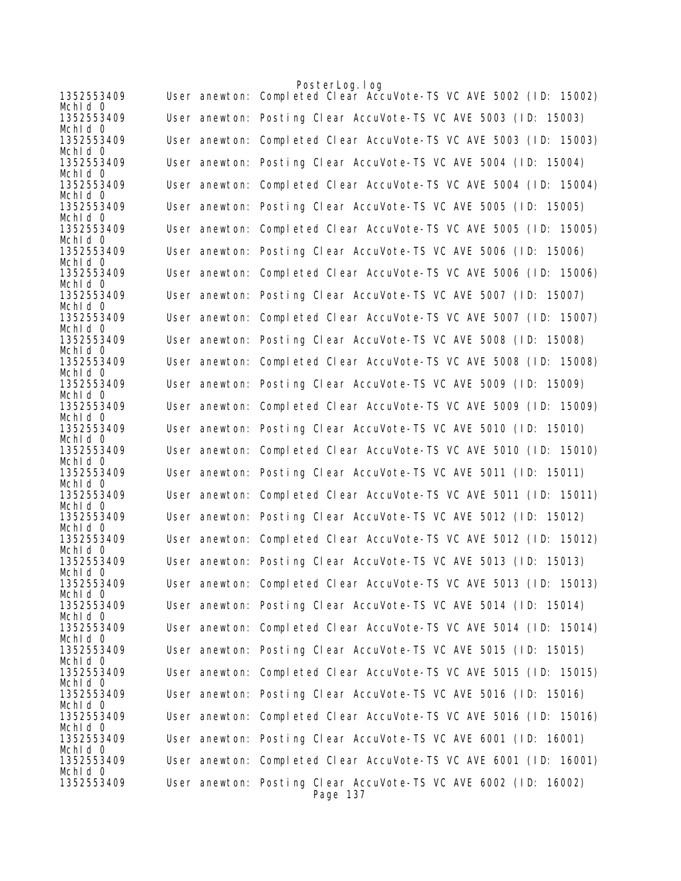|                       | PosterLog.log                                                               |
|-----------------------|-----------------------------------------------------------------------------|
| 1352553409<br>Mchid 0 | User anewton: Completed Clear AccuVote-TS VC AVE 5002 (ID: 15002)           |
| 1352553409<br>Mchid 0 | User anewton: Posting Clear AccuVote-TS VC AVE 5003 (ID: 15003)             |
| 1352553409<br>Mchid O | User anewton: Completed Clear AccuVote-TS VC AVE 5003 (ID: 15003)           |
| 1352553409<br>Mchid 0 | User anewton: Posting Clear AccuVote-TS VC AVE 5004 (ID: 15004)             |
| 1352553409<br>Mchid 0 | User anewton: Completed Clear AccuVote-TS VC AVE 5004 (ID: 15004)           |
| 1352553409<br>Mchid 0 | User anewton: Posting Clear AccuVote-TS VC AVE 5005 (ID: 15005)             |
| 1352553409<br>Mchid 0 | User anewton: Completed Clear AccuVote-TS VC AVE 5005 (ID: 15005)           |
| 1352553409<br>Mchid 0 | User anewton: Posting Clear AccuVote-TS VC AVE 5006 (ID: 15006)             |
| 1352553409<br>Mchid O | User anewton: Completed Clear AccuVote-TS VC AVE 5006 (ID: 15006)           |
| 1352553409<br>Mchid 0 | User anewton: Posting Clear AccuVote-TS VC AVE 5007 (ID: 15007)             |
| 1352553409<br>Mchid 0 | User anewton: Completed Clear AccuVote-TS VC AVE 5007 (ID: 15007)           |
| 1352553409<br>Mchld 0 | User anewton: Posting Clear AccuVote-TS VC AVE 5008 (ID: 15008)             |
| 1352553409<br>Mchid 0 | User anewton: Completed Clear AccuVote-TS VC AVE 5008 (ID: 15008)           |
| 1352553409<br>Mchid 0 | User anewton: Posting Clear AccuVote-TS VC AVE 5009 (ID: 15009)             |
| 1352553409<br>Mchid 0 | User anewton: Completed Clear AccuVote-TS VC AVE 5009 (ID: 15009)           |
| 1352553409<br>Mchid 0 | User anewton: Posting Clear AccuVote-TS VC AVE 5010 (ID: 15010)             |
| 1352553409<br>Mchid 0 | User anewton: Completed Clear AccuVote-TS VC AVE 5010 (ID: 15010)           |
| 1352553409<br>Mchid 0 | User anewton: Posting Clear AccuVote-TS VC AVE 5011 (ID: 15011)             |
| 1352553409<br>Mchld 0 | User anewton: Completed Clear AccuVote-TS VC AVE 5011 (ID: 15011)           |
| 1352553409<br>Mchid 0 | User anewton: Posting Clear AccuVote-TS VC AVE 5012 (ID: 15012)             |
| 1352553409<br>Mchid 0 | User anewton: Completed Clear AccuVote-TS VC AVE 5012 (ID: 15012)           |
| 1352553409<br>Mchid O | User anewton: Posting Clear AccuVote-TS VC AVE 5013 (ID: 15013)             |
| 1352553409<br>Mchid 0 | User anewton: Completed Clear AccuVote-TS VC AVE 5013 (ID: 15013)           |
| 1352553409<br>Mchid 0 | User anewton: Posting Clear AccuVote-TS VC AVE 5014 (ID: 15014)             |
| 1352553409<br>Mchid 0 | User anewton: Completed Clear AccuVote-TS VC AVE 5014 (ID: 15014)           |
| 1352553409<br>Mchid 0 | User anewton: Posting Clear AccuVote-TS VC AVE 5015 (ID: 15015)             |
| 1352553409<br>Mchid 0 | User anewton: Completed Clear AccuVote-TS VC AVE 5015 (ID: 15015)           |
| 1352553409<br>Mchld 0 | User anewton: Posting Clear AccuVote-TS VC AVE 5016 (ID: 15016)             |
| 1352553409<br>Mchid 0 | User anewton: Completed Clear AccuVote-TS VC AVE 5016 (ID: 15016)           |
| 1352553409            | User anewton: Posting Clear AccuVote-TS VC AVE 6001 (ID: 16001)             |
| Mchid 0<br>1352553409 | User anewton: Completed Clear AccuVote-TS VC AVE 6001 (ID: 16001)           |
| Mchid O<br>1352553409 | User anewton: Posting Clear AccuVote-TS VC AVE 6002 (ID: 16002)<br>Page 137 |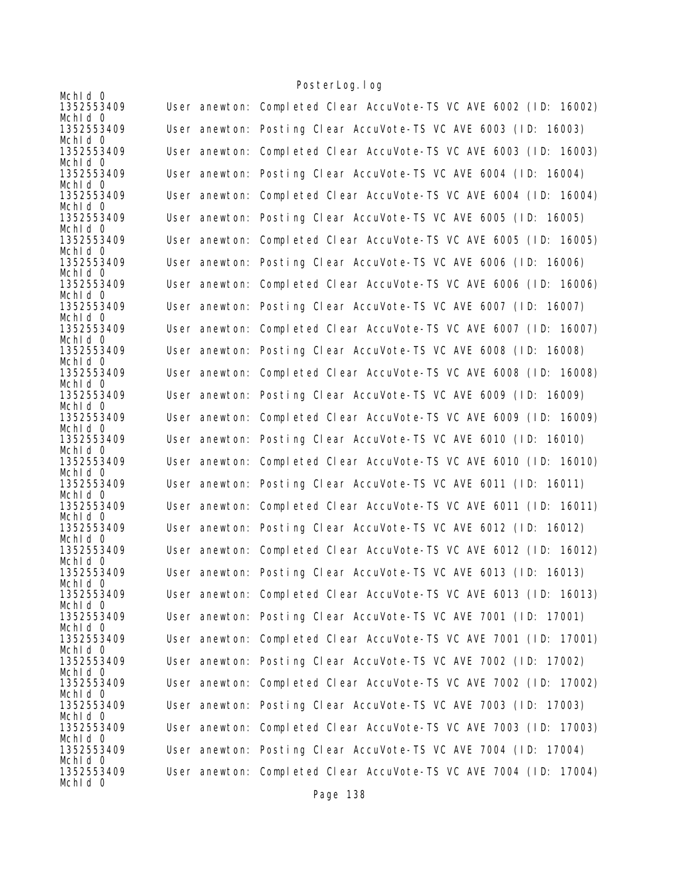| Mchid 0               |                                                                   |
|-----------------------|-------------------------------------------------------------------|
| 1352553409            | User anewton: Completed Clear AccuVote-TS VC AVE 6002 (ID: 16002) |
| Mchid 0<br>1352553409 | User anewton: Posting Clear AccuVote-TS VC AVE 6003 (ID: 16003)   |
| Mchid 0               |                                                                   |
| 1352553409            | User anewton: Completed Clear AccuVote-TS VC AVE 6003 (ID: 16003) |
| Mchld 0               |                                                                   |
| 1352553409<br>Mchld 0 | User anewton: Posting Clear AccuVote-TS VC AVE 6004 (ID: 16004)   |
| 1352553409            | User anewton: Completed Clear AccuVote-TS VC AVE 6004 (ID: 16004) |
| Mchid 0               |                                                                   |
| 1352553409            | User anewton: Posting Clear AccuVote-TS VC AVE 6005 (ID: 16005)   |
| Mchid 0               |                                                                   |
| 1352553409<br>Mchid 0 | User anewton: Completed Clear AccuVote-TS VC AVE 6005 (ID: 16005) |
| 1352553409            | User anewton: Posting Clear AccuVote-TS VC AVE 6006 (ID: 16006)   |
| Mchid 0               |                                                                   |
| 1352553409            | User anewton: Completed Clear AccuVote-TS VC AVE 6006 (ID: 16006) |
| Mchid 0<br>1352553409 | User anewton: Posting Clear AccuVote-TS VC AVE 6007 (ID: 16007)   |
| Mchid 0               |                                                                   |
| 1352553409            | User anewton: Completed Clear AccuVote-TS VC AVE 6007 (ID: 16007) |
| Mchid 0               |                                                                   |
| 1352553409<br>Mchid 0 | User anewton: Posting Clear AccuVote-TS VC AVE 6008 (ID: 16008)   |
| 1352553409            | User anewton: Completed Clear AccuVote-TS VC AVE 6008 (ID: 16008) |
| Mchid 0               |                                                                   |
| 1352553409            | User anewton: Posting Clear AccuVote-TS VC AVE 6009 (ID: 16009)   |
| Mchid 0<br>1352553409 | User anewton: Completed Clear AccuVote-TS VC AVE 6009 (ID: 16009) |
| Mchld 0               |                                                                   |
| 1352553409            | User anewton: Posting Clear AccuVote-TS VC AVE 6010 (ID: 16010)   |
| Mchid 0               |                                                                   |
| 1352553409<br>Mchid 0 | User anewton: Completed Clear AccuVote-TS VC AVE 6010 (ID: 16010) |
| 1352553409            | User anewton: Posting Clear AccuVote-TS VC AVE 6011 (ID: 16011)   |
| Mchid 0               |                                                                   |
| 1352553409            | User anewton: Completed Clear AccuVote-TS VC AVE 6011 (ID: 16011) |
| Mchid 0<br>1352553409 | User anewton: Posting Clear AccuVote-TS VC AVE 6012 (ID: 16012)   |
| Mchid 0               |                                                                   |
| 1352553409            | User anewton: Completed Clear AccuVote-TS VC AVE 6012 (ID: 16012) |
| Mchid 0               |                                                                   |
| 1352553409<br>Mchid 0 | User anewton: Posting Clear AccuVote-TS VC AVE 6013 (ID: 16013)   |
| 1352553409            | User anewton: Completed Clear AccuVote-TS VC AVE 6013 (ID: 16013) |
| Mchid 0               |                                                                   |
| 1352553409            | User anewton: Posting Clear AccuVote-TS VC AVE 7001 (ID: 17001)   |
| Mchid 0<br>1352553409 | User anewton: Completed Clear AccuVote-TS VC AVE 7001 (ID: 17001) |
| Mchld 0               |                                                                   |
| 1352553409            | User anewton: Posting Clear AccuVote-TS VC AVE 7002 (ID: 17002)   |
| Mchld 0               |                                                                   |
| 1352553409<br>Mchid 0 | User anewton: Completed Clear AccuVote-TS VC AVE 7002 (ID: 17002) |
| 1352553409            | User anewton: Posting Clear AccuVote-TS VC AVE 7003 (ID: 17003)   |
| Mchld 0               |                                                                   |
| 1352553409            | User anewton: Completed Clear AccuVote-TS VC AVE 7003 (ID: 17003) |
| Mchid 0<br>1352553409 |                                                                   |
| Mchid 0               | User anewton: Posting Clear AccuVote-TS VC AVE 7004 (ID: 17004)   |
| 1352553409            | User anewton: Completed Clear AccuVote-TS VC AVE 7004 (ID: 17004) |
| Mchid 0               |                                                                   |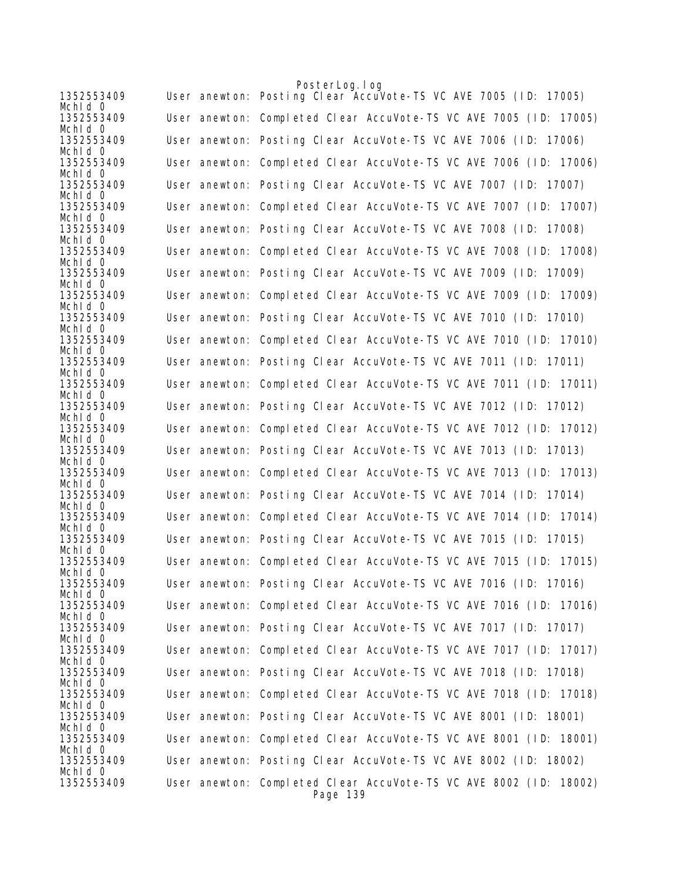|                       | PosterLog.log                                                                 |
|-----------------------|-------------------------------------------------------------------------------|
| 1352553409<br>Mchid 0 | User anewton: Posting Clear AccuVote-TS VC AVE 7005 (ID: 17005)               |
| 1352553409<br>Mchid 0 | User anewton: Completed Clear AccuVote-TS VC AVE 7005 (ID: 17005)             |
| 1352553409<br>Mchid 0 | User anewton: Posting Clear AccuVote-TS VC AVE 7006 (ID: 17006)               |
| 1352553409<br>Mchld 0 | User anewton: Completed Clear AccuVote-TS VC AVE 7006 (ID: 17006)             |
| 1352553409<br>Mchid 0 | User anewton: Posting Clear AccuVote-TS VC AVE 7007 (ID: 17007)               |
| 1352553409<br>Mchid 0 | User anewton: Completed Clear AccuVote-TS VC AVE 7007 (ID: 17007)             |
| 1352553409<br>Mchld 0 | User anewton: Posting Clear AccuVote-TS VC AVE 7008 (ID: 17008)               |
| 1352553409<br>Mchid 0 | User anewton: Completed Clear AccuVote-TS VC AVE 7008 (ID: 17008)             |
| 1352553409<br>Mchid 0 | User anewton: Posting Clear AccuVote-TS VC AVE 7009 (ID: 17009)               |
| 1352553409<br>Mchid 0 | User anewton: Completed Clear AccuVote-TS VC AVE 7009 (ID: 17009)             |
| 1352553409<br>Mchid 0 | User anewton: Posting Clear AccuVote-TS VC AVE 7010 (ID: 17010)               |
| 1352553409<br>Mchld 0 | User anewton: Completed Clear AccuVote-TS VC AVE 7010 (ID: 17010)             |
| 1352553409<br>Mchid 0 | User anewton: Posting Clear AccuVote-TS VC AVE 7011 (ID: 17011)               |
| 1352553409<br>Mchid 0 | User anewton: Completed Clear AccuVote-TS VC AVE 7011 (ID: 17011)             |
| 1352553409<br>Mchid 0 | User anewton: Posting Clear AccuVote-TS VC AVE 7012 (ID: 17012)               |
| 1352553409<br>Mchid 0 | User anewton: Completed Clear AccuVote-TS VC AVE 7012 (ID: 17012)             |
| 1352553409<br>Mchid 0 | User anewton: Posting Clear AccuVote-TS VC AVE 7013 (ID: 17013)               |
| 1352553409<br>Mchid O | User anewton: Completed Clear AccuVote-TS VC AVE 7013 (ID: 17013)             |
| 1352553409<br>Mchid 0 | User anewton: Posting Clear AccuVote-TS VC AVE 7014 (ID: 17014)               |
| 1352553409<br>Mchid 0 | User anewton: Completed Clear AccuVote-TS VC AVE 7014 (ID: 17014)             |
| 1352553409<br>Mchid 0 | User anewton: Posting Clear AccuVote-TS VC AVE 7015 (ID: 17015)               |
| 1352553409<br>Mchid 0 | User anewton: Completed Clear AccuVote-TS VC AVE 7015 (ID: 17015)             |
| 1352553409<br>Mchid 0 | User anewton: Posting Clear AccuVote-TS VC AVE 7016 (ID: 17016)               |
| 1352553409<br>Mchid O | User anewton: Completed Clear AccuVote-TS VC AVE 7016 (ID: 17016)             |
| 1352553409<br>Mchid 0 | User anewton: Posting Clear AccuVote-TS VC AVE 7017 (ID: 17017)               |
| 1352553409<br>Mchid 0 | User anewton: Completed Clear AccuVote-TS VC AVE 7017 (ID: 17017)             |
| 1352553409<br>Mchid 0 | User anewton: Posting Clear AccuVote-TS VC AVE 7018 (ID: 17018)               |
| 1352553409<br>Mchid 0 | User anewton: Completed Clear AccuVote-TS VC AVE 7018 (ID: 17018)             |
| 1352553409<br>Mchid O | User anewton: Posting Clear AccuVote-TS VC AVE 8001 (ID: 18001)               |
| 1352553409<br>Mchid 0 | User anewton: Completed Clear AccuVote-TS VC AVE 8001 (ID: 18001)             |
| 1352553409<br>Mchid 0 | User anewton: Posting Clear AccuVote-TS VC AVE 8002 (ID: 18002)               |
| 1352553409            | User anewton: Completed Clear AccuVote-TS VC AVE 8002 (ID: 18002)<br>Page 139 |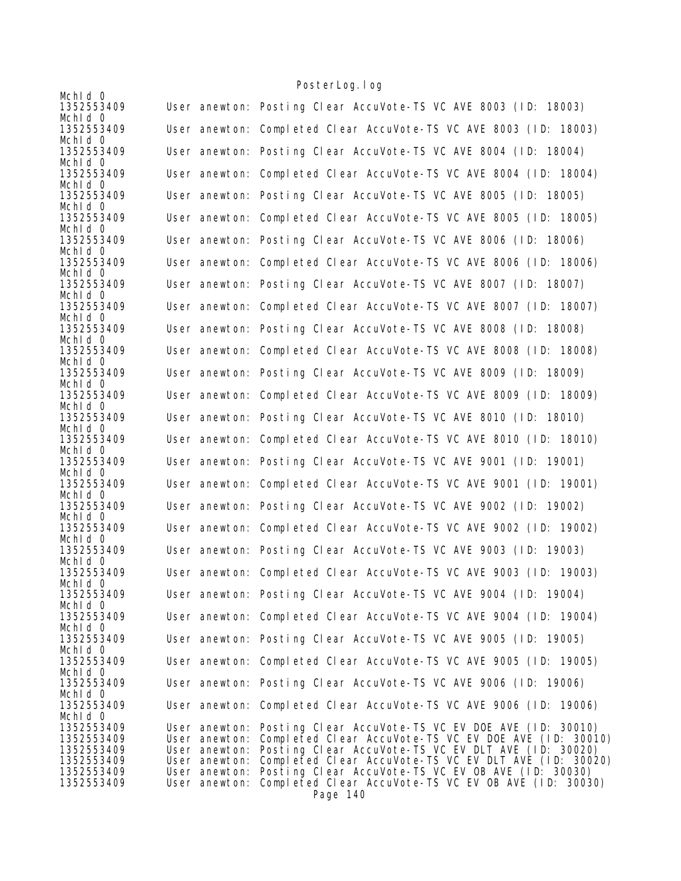| Mchid 0                  |               |                                                                                                                                         |
|--------------------------|---------------|-----------------------------------------------------------------------------------------------------------------------------------------|
| 1352553409               |               | User anewton: Posting Clear AccuVote-TS VC AVE 8003 (ID: 18003)                                                                         |
| Mchid 0<br>1352553409    |               | User anewton: Completed Clear AccuVote-TS VC AVE 8003 (ID: 18003)                                                                       |
| Mchid 0                  |               |                                                                                                                                         |
| 1352553409               |               | User anewton: Posting Clear AccuVote-TS VC AVE 8004 (ID: 18004)                                                                         |
| Mchid 0<br>1352553409    |               | User anewton: Completed Clear AccuVote-TS VC AVE 8004 (ID: 18004)                                                                       |
| Mchld 0                  |               |                                                                                                                                         |
| 1352553409<br>Mchid 0    |               | User anewton: Posting Clear AccuVote-TS VC AVE 8005 (ID: 18005)                                                                         |
| 1352553409<br>Mchid 0    |               | User anewton: Completed Clear AccuVote-TS VC AVE 8005 (ID: 18005)                                                                       |
| 1352553409               |               | User anewton: Posting Clear AccuVote-TS VC AVE 8006 (ID: 18006)                                                                         |
| Mchid 0<br>1352553409    |               | User anewton: Completed Clear AccuVote-TS VC AVE 8006 (ID: 18006)                                                                       |
| Mchid 0<br>1352553409    |               | User anewton: Posting Clear AccuVote-TS VC AVE 8007 (ID: 18007)                                                                         |
| Mchid 0                  |               |                                                                                                                                         |
| 1352553409<br>Mchid 0    |               | User anewton: Completed Clear AccuVote-TS VC AVE 8007 (ID: 18007)                                                                       |
| 1352553409               |               | User anewton: Posting Clear AccuVote-TS VC AVE 8008 (ID: 18008)                                                                         |
| Mchid 0<br>1352553409    |               | User anewton: Completed Clear AccuVote-TS VC AVE 8008 (ID: 18008)                                                                       |
| Mchid 0                  |               |                                                                                                                                         |
| 1352553409<br>Mchid 0    |               | User anewton: Posting Clear AccuVote-TS VC AVE 8009 (ID: 18009)                                                                         |
| 1352553409               |               | User anewton: Completed Clear AccuVote-TS VC AVE 8009 (ID: 18009)                                                                       |
| Mchid 0<br>1352553409    |               | User anewton: Posting Clear AccuVote-TS VC AVE 8010 (ID: 18010)                                                                         |
| Mchid 0<br>1352553409    |               | User anewton: Completed Clear AccuVote-TS VC AVE 8010 (ID: 18010)                                                                       |
| Mchid 0<br>1352553409    |               | User anewton: Posting Clear AccuVote-TS VC AVE 9001 (ID: 19001)                                                                         |
| Mchid 0<br>1352553409    |               | User anewton: Completed Clear AccuVote-TS VC AVE 9001 (ID: 19001)                                                                       |
| Mchid 0<br>1352553409    |               | User anewton: Posting Clear AccuVote-TS VC AVE 9002 (ID: 19002)                                                                         |
| Mchid 0                  |               |                                                                                                                                         |
| 1352553409<br>Mchid 0    |               | User anewton: Completed Clear AccuVote-TS VC AVE 9002 (ID: 19002)                                                                       |
| 1352553409               |               | User anewton: Posting Clear AccuVote-TS VC AVE 9003 (ID: 19003)                                                                         |
| Mchid 0<br>1352553409    |               | User anewton: Completed Clear AccuVote-TS VC AVE 9003 (ID: 19003)                                                                       |
| Mchid 0<br>1352553409    |               | User anewton: Posting Clear AccuVote-TS VC AVE 9004 (ID: 19004)                                                                         |
| Mchid 0                  |               |                                                                                                                                         |
| 1352553409<br>Mchid 0    |               | User anewton: Completed Clear AccuVote-TS VC AVE 9004 (ID: 19004)                                                                       |
| 1352553409               |               | User anewton: Posting Clear AccuVote-TS VC AVE 9005 (ID: 19005)                                                                         |
| Mchid 0<br>1352553409    |               | User anewton: Completed Clear AccuVote-TS VC AVE 9005 (ID: 19005)                                                                       |
| Mchid 0<br>1352553409    |               | User anewton: Posting Clear AccuVote-TS VC AVE 9006 (ID: 19006)                                                                         |
| Mchid 0                  |               |                                                                                                                                         |
| 1352553409<br>Mchid 0    |               | User anewton: Completed Clear AccuVote-TS VC AVE 9006 (ID: 19006)                                                                       |
| 1352553409               |               | User anewton: Posting Clear AccuVote-TS VC EV DOE AVE (ID: 30010)                                                                       |
| 1352553409               |               | User anewton: Completed Clear AccuVote-TS VC EV DOE AVE (ID: 30010)                                                                     |
| 1352553409               | User anewton: | Posting Clear AccuVote-TS VC EV DLT AVE (ID: 30020)                                                                                     |
| 1352553409<br>1352553409 |               | User anewton: Completed Clear AccuVote-TS VC EV DLT AVE (ID: 30020)<br>User anewton: Posting Clear AccuVote-TS VC EV OB AVE (ID: 30030) |
| 1352553409               | User anewton: | Completed Clear AccuVote-TS VC EV OB AVE (ID: 30030)                                                                                    |
|                          |               | Page 140                                                                                                                                |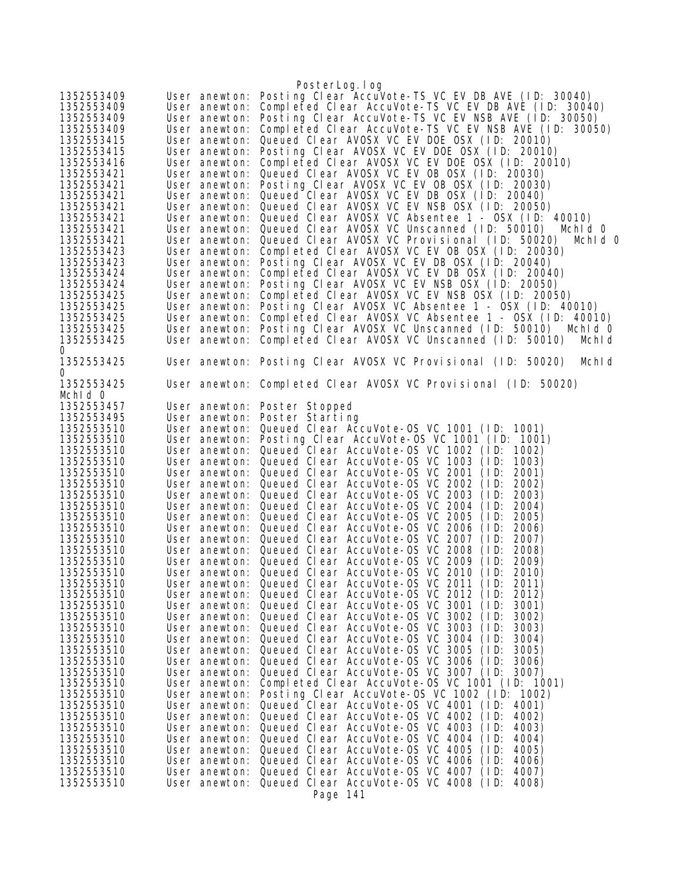| 1352553409<br>1352553409<br>1352553409<br>1352553409<br>1352553415<br>1352553415<br>1352553416<br>1352553421<br>1352553421<br>1352553421 | User anewton:<br>User anewton:<br>User anewton:<br>User anewton:<br>User anewton:<br>User anewton:<br>User anewton:<br>User anewton:<br>User anewton:<br>User anewton: | PosterLog.log<br>Posting Clear AccuVote-TS VC EV DB AVE (ID: 30040)<br>Completed Clear AccuVote-TS VC EV DB AVE (ID: 30040)<br>Posting Clear AccuVote-TS VC EV NSB AVE (ID: 30050)<br>Completed Clear AccuVote-TS VC EV NSB AVE (ID: 30050)<br>Queued Clear AVOSX VC EV DOE OSX (ID: 20010)<br>Posting Clear AVOSX VC EV DOE OSX (ID: 20010)<br>Completed Clear AVOSX VC EV DOE OSX (ID: 20010)<br>Queued Clear AVOSX VC EV OB OSX (ID: 20030)<br>Posting Clear AVOSX VC EV OB OSX (ID: 20030)<br>Queued Clear AVOSX VC EV DB OSX (ID: 20040) |
|------------------------------------------------------------------------------------------------------------------------------------------|------------------------------------------------------------------------------------------------------------------------------------------------------------------------|-----------------------------------------------------------------------------------------------------------------------------------------------------------------------------------------------------------------------------------------------------------------------------------------------------------------------------------------------------------------------------------------------------------------------------------------------------------------------------------------------------------------------------------------------|
| 1352553421<br>1352553421                                                                                                                 | User anewton:<br>User anewton:                                                                                                                                         | Queued Clear AVOSX VC EV NSB OSX (ID: 20050)<br>Queued Clear AVOSX VC Absentee 1 - OSX (ID: 40010)                                                                                                                                                                                                                                                                                                                                                                                                                                            |
| 1352553421                                                                                                                               | User anewton:                                                                                                                                                          | Queued Clear AVOSX VC Unscanned (ID: 50010)<br>Mchid 0                                                                                                                                                                                                                                                                                                                                                                                                                                                                                        |
| 1352553421<br>1352553423                                                                                                                 | User anewton:<br>User anewton:                                                                                                                                         | Queued Clear AVOSX VC Provisional (ID: 50020)<br>Mchid 0<br>Completed Clear AVOSX VC EV OB OSX (ID: 20030)                                                                                                                                                                                                                                                                                                                                                                                                                                    |
| 1352553423<br>1352553424<br>1352553424                                                                                                   | User anewton:<br>User anewton:<br>User anewton:                                                                                                                        | Posting Clear AVOSX VC EV DB OSX (ID: 20040)<br>Completed Clear AVOSX VC EV DB OSX (ID: 20040)<br>Posting Clear AVOSX VC EV NSB OSX (ID: 20050)                                                                                                                                                                                                                                                                                                                                                                                               |
| 1352553425                                                                                                                               | User anewton:                                                                                                                                                          | Completed Clear AVOSX VC EV NSB OSX (ID: 20050)                                                                                                                                                                                                                                                                                                                                                                                                                                                                                               |
| 1352553425<br>1352553425                                                                                                                 | User anewton:<br>User anewton:                                                                                                                                         | Posting Clear AVOSX VC Absentee 1 - OSX (ID: 40010)<br>Completed Clear AVOSX VC Absentee 1 - OSX (ID: 40010)                                                                                                                                                                                                                                                                                                                                                                                                                                  |
| 1352553425                                                                                                                               | User anewton:                                                                                                                                                          | Posting Clear AVOSX VC Unscanned (ID: 50010)<br>Mchid 0                                                                                                                                                                                                                                                                                                                                                                                                                                                                                       |
| 1352553425                                                                                                                               | User anewton:                                                                                                                                                          | Completed Clear AVOSX VC Unscanned (ID: 50010)<br>Mchl d                                                                                                                                                                                                                                                                                                                                                                                                                                                                                      |
| 0<br>1352553425<br>0                                                                                                                     |                                                                                                                                                                        | User anewton: Posting Clear AVOSX VC Provisional (ID: 50020)<br>Mchl d                                                                                                                                                                                                                                                                                                                                                                                                                                                                        |
| 1352553425<br>Mchid 0                                                                                                                    |                                                                                                                                                                        | User anewton: Completed Clear AVOSX VC Provisional (ID: 50020)                                                                                                                                                                                                                                                                                                                                                                                                                                                                                |
| 1352553457                                                                                                                               | User anewton:                                                                                                                                                          | Poster Stopped                                                                                                                                                                                                                                                                                                                                                                                                                                                                                                                                |
| 1352553495                                                                                                                               | User anewton:                                                                                                                                                          | Poster Starting                                                                                                                                                                                                                                                                                                                                                                                                                                                                                                                               |
| 1352553510                                                                                                                               | User anewton:                                                                                                                                                          | Queued Clear AccuVote-OS VC 1001 (ID: 1001)                                                                                                                                                                                                                                                                                                                                                                                                                                                                                                   |
| 1352553510<br>1352553510                                                                                                                 | User anewton:<br>User anewton:                                                                                                                                         | Posting Clear AccuVote-OS VC 1001 (ID: 1001)<br>Queued Clear AccuVote-OS VC 1002 (ID:<br>1002)                                                                                                                                                                                                                                                                                                                                                                                                                                                |
| 1352553510                                                                                                                               | User anewton:                                                                                                                                                          | Queued Clear AccuVote-OS VC 1003<br>(1D)<br>1003)                                                                                                                                                                                                                                                                                                                                                                                                                                                                                             |
| 1352553510                                                                                                                               | User anewton:                                                                                                                                                          | Queued Clear AccuVote-OS VC 2001<br>2001)<br>(1D)                                                                                                                                                                                                                                                                                                                                                                                                                                                                                             |
| 1352553510                                                                                                                               | User anewton:                                                                                                                                                          | Queued Clear AccuVote-OS VC 2002<br>(1D)<br>2002)                                                                                                                                                                                                                                                                                                                                                                                                                                                                                             |
| 1352553510                                                                                                                               | User anewton:                                                                                                                                                          | Queued Clear AccuVote-OS VC 2003<br>2003)<br>(1D)                                                                                                                                                                                                                                                                                                                                                                                                                                                                                             |
| 1352553510                                                                                                                               | User anewton:<br>User anewton:                                                                                                                                         | Queued Clear AccuVote-OS VC 2004<br>(1D)<br>2004)<br>Queued Clear AccuVote-0S VC 2005<br>(1D)<br>2005)                                                                                                                                                                                                                                                                                                                                                                                                                                        |
| 1352553510<br>1352553510                                                                                                                 | User anewton:                                                                                                                                                          | Queued Clear AccuVote-OS VC 2006<br>(1D)<br>2006)                                                                                                                                                                                                                                                                                                                                                                                                                                                                                             |
| 1352553510                                                                                                                               | User anewton:                                                                                                                                                          | Queued Clear AccuVote-OS VC 2007<br>(1D)<br>2007)                                                                                                                                                                                                                                                                                                                                                                                                                                                                                             |
| 1352553510                                                                                                                               | User anewton:                                                                                                                                                          | Queued Clear AccuVote-OS VC 2008<br>(1D)<br>2008)                                                                                                                                                                                                                                                                                                                                                                                                                                                                                             |
| 1352553510                                                                                                                               | User anewton:                                                                                                                                                          | Queued Clear AccuVote-OS VC 2009<br>(1D)<br>2009)                                                                                                                                                                                                                                                                                                                                                                                                                                                                                             |
| 1352553510                                                                                                                               | User anewton:                                                                                                                                                          | Queued Clear AccuVote-OS VC 2010 (ID:<br>2010)                                                                                                                                                                                                                                                                                                                                                                                                                                                                                                |
| 1352553510<br>1352553510                                                                                                                 | User anewton:<br>User anewton:                                                                                                                                         | Queued Clear AccuVote-OS VC 2011<br>(1D)<br>2011)<br>Queued Clear AccuVote-0S VC 2012<br>(1D)<br>2012)                                                                                                                                                                                                                                                                                                                                                                                                                                        |
| 1352553510                                                                                                                               | User anewton:                                                                                                                                                          | Queued Clear AccuVote-OS VC 3001<br>(1D)<br>3001)                                                                                                                                                                                                                                                                                                                                                                                                                                                                                             |
| 1352553510                                                                                                                               | User anewton:                                                                                                                                                          | Queued Clear AccuVote-OS VC 3002<br>(1D)<br>3002)                                                                                                                                                                                                                                                                                                                                                                                                                                                                                             |
| 1352553510                                                                                                                               | User anewton:                                                                                                                                                          | Queued Clear AccuVote-OS VC 3003<br>(1D)<br>3003)                                                                                                                                                                                                                                                                                                                                                                                                                                                                                             |
| 1352553510                                                                                                                               | User anewton:                                                                                                                                                          | Queued Clear AccuVote-OS VC 3004<br>(1D)<br>3004)<br>(1D)                                                                                                                                                                                                                                                                                                                                                                                                                                                                                     |
| 1352553510<br>1352553510                                                                                                                 | User anewton:<br>User anewton:                                                                                                                                         | Queued Clear AccuVote-OS VC 3005<br>3005)<br>Queued Clear AccuVote-0S VC 3006<br>(1D)<br>3006)                                                                                                                                                                                                                                                                                                                                                                                                                                                |
| 1352553510                                                                                                                               | User anewton:                                                                                                                                                          | Queued Clear AccuVote-OS VC 3007 (ID:<br>3007)                                                                                                                                                                                                                                                                                                                                                                                                                                                                                                |
| 1352553510                                                                                                                               | User anewton:                                                                                                                                                          | Completed Clear AccuVote-OS VC 1001 (ID: 1001)                                                                                                                                                                                                                                                                                                                                                                                                                                                                                                |
| 1352553510                                                                                                                               | User anewton:                                                                                                                                                          | Posting Clear AccuVote-OS VC 1002 (ID: 1002)                                                                                                                                                                                                                                                                                                                                                                                                                                                                                                  |
| 1352553510                                                                                                                               | User anewton:                                                                                                                                                          | Queued Clear AccuVote-OS VC 4001 (ID:<br>4001)<br>Queued Clear AccuVote-OS VC 4002 (ID:                                                                                                                                                                                                                                                                                                                                                                                                                                                       |
| 1352553510<br>1352553510                                                                                                                 | User anewton:<br>User anewton:                                                                                                                                         | 4002)<br>Queued Clear AccuVote-OS VC 4003<br>(1D)<br>4003)                                                                                                                                                                                                                                                                                                                                                                                                                                                                                    |
| 1352553510                                                                                                                               | User anewton:                                                                                                                                                          | Queued Clear AccuVote-OS VC 4004<br>(1D)<br>4004)                                                                                                                                                                                                                                                                                                                                                                                                                                                                                             |
| 1352553510                                                                                                                               | User anewton:                                                                                                                                                          | Queued Clear AccuVote-OS VC 4005<br>(1D)<br>4005)                                                                                                                                                                                                                                                                                                                                                                                                                                                                                             |
| 1352553510                                                                                                                               | User anewton:                                                                                                                                                          | Queued Clear AccuVote-OS VC 4006<br>(1D)<br>4006)                                                                                                                                                                                                                                                                                                                                                                                                                                                                                             |
| 1352553510<br>1352553510                                                                                                                 | User anewton:<br>User anewton:                                                                                                                                         | Queued Clear AccuVote-OS VC 4007 (ID:<br>4007)<br>Queued Clear AccuVote-OS VC 4008 (ID:<br>4008)                                                                                                                                                                                                                                                                                                                                                                                                                                              |
|                                                                                                                                          |                                                                                                                                                                        | Page 141                                                                                                                                                                                                                                                                                                                                                                                                                                                                                                                                      |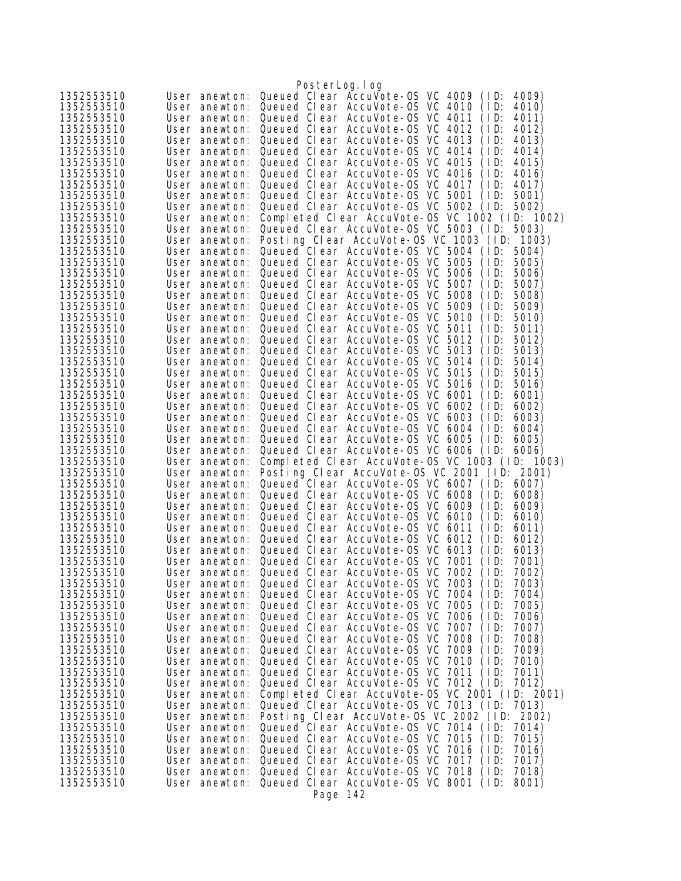|                          |                                | PosterLog.log                                                                                          |
|--------------------------|--------------------------------|--------------------------------------------------------------------------------------------------------|
| 1352553510               | User anewton:                  | Queued Clear AccuVote-OS VC 4009<br>4009)<br>(1D)                                                      |
| 1352553510               | User anewton:                  | Queued Clear AccuVote-OS VC 4010<br>4010)<br>(1D)                                                      |
| 1352553510               | User anewton:                  | Queued Clear AccuVote-0S VC 4011<br>(1D)<br>4011)                                                      |
| 1352553510               | User anewton:                  | Queued Clear AccuVote-OS VC 4012<br>(1D)<br>4012)                                                      |
| 1352553510               | User anewton:                  | Queued Clear AccuVote-OS VC 4013<br>(1D)<br>4013)                                                      |
| 1352553510               | User anewton:                  | Queued Clear AccuVote-0S VC 4014<br>(1D)<br>4014)                                                      |
| 1352553510<br>1352553510 | User anewton:<br>User anewton: | Queued Clear AccuVote-OS VC 4015<br>(ID:<br>4015)<br>Queued Clear AccuVote-OS VC 4016<br>(1D)<br>4016) |
| 1352553510               | User anewton:                  | Queued Clear AccuVote-OS VC 4017<br>4017)<br>(1D)                                                      |
| 1352553510               | User anewton:                  | Queued Clear AccuVote-0S VC 5001<br>(1D)<br>5001)                                                      |
| 1352553510               | User anewton:                  | Queued Clear AccuVote-OS VC 5002 (ID:<br>5002)                                                         |
| 1352553510               | User anewton:                  | Completed Clear AccuVote-0S VC 1002 (ID: 1002)                                                         |
| 1352553510               | User anewton:                  | Queued Clear AccuVote-OS VC 5003 (ID:<br>5003)                                                         |
| 1352553510               | User anewton:                  | Posting Clear AccuVote-OS VC 1003 (ID:<br>1003)                                                        |
| 1352553510               | User anewton:                  | Queued Clear AccuVote-0S VC 5004 (ID:<br>5004)                                                         |
| 1352553510<br>1352553510 | User anewton:<br>User anewton: | Queued Clear AccuVote-OS VC 5005<br>(1D)<br>5005)<br>Queued Clear AccuVote-0S VC 5006<br>(1D)<br>5006) |
| 1352553510               | User anewton:                  | Queued Clear AccuVote-0S VC 5007<br>(ID:<br>5007)                                                      |
| 1352553510               | User anewton:                  | Queued Clear AccuVote-0S VC 5008<br>(ID:<br>5008)                                                      |
| 1352553510               | User anewton:                  | Queued Clear AccuVote-OS VC<br>5009<br>(1D)<br>5009)                                                   |
| 1352553510               | User anewton:                  | Queued Clear AccuVote-0S VC 5010<br>(ID:<br>5010)                                                      |
| 1352553510               | User anewton:                  | Queued Clear AccuVote-0S VC 5011<br>5011)<br>(1D)                                                      |
| 1352553510               | User anewton:                  | Queued Clear AccuVote-0S VC 5012<br>(1D)<br>5012)                                                      |
| 1352553510               | User anewton:                  | Queued Clear AccuVote-0S VC 5013<br>(ID:<br>5013)                                                      |
| 1352553510<br>1352553510 | User anewton:<br>User anewton: | Queued Clear AccuVote-OS VC 5014<br>(1D)<br>5014)<br>Queued Clear AccuVote-OS VC 5015<br>(1D)<br>5015) |
| 1352553510               | User anewton:                  | Queued Clear AccuVote-0S VC 5016<br>(ID:<br>5016)                                                      |
| 1352553510               | User anewton:                  | Queued Clear AccuVote-OS VC 6001<br>(1D)<br>6001)                                                      |
| 1352553510               | User anewton:                  | Queued Clear AccuVote-0S VC 6002<br>(1D)<br>6002)                                                      |
| 1352553510               | User anewton:                  | Queued Clear AccuVote-0S VC 6003<br>(ID:<br>6003)                                                      |
| 1352553510               | User anewton:                  | Queued Clear AccuVote-OS VC 6004<br>(ID:<br>6004)                                                      |
| 1352553510               | User anewton:                  | Queued Clear AccuVote-OS VC 6005<br>(1D)<br>6005)                                                      |
| 1352553510               | User anewton:                  | Queued Clear AccuVote-OS VC 6006<br>6006)<br>(1D)                                                      |
| 1352553510<br>1352553510 | User anewton:<br>User anewton: | Completed Clear AccuVote-0S VC 1003 (ID: 1003)<br>Posting Clear AccuVote-OS VC 2001 (ID: 2001)         |
| 1352553510               | User anewton:                  | Queued Clear AccuVote-OS VC 6007<br>(1D)<br>6007)                                                      |
| 1352553510               | User anewton:                  | Queued Clear AccuVote-OS VC 6008<br>(1D)<br>6008)                                                      |
| 1352553510               | User anewton:                  | Queued Clear AccuVote-OS VC 6009<br>(1D)<br>6009)                                                      |
| 1352553510               | User anewton:                  | Queued Clear AccuVote-0S VC 6010<br>(1D)<br>6010)                                                      |
| 1352553510               | User anewton:                  | Queued Clear AccuVote-OS VC 6011<br>(ID:<br>6011)                                                      |
| 1352553510               | User anewton:                  | Queued Clear AccuVote-OS VC 6012<br>(1D)<br>6012)                                                      |
| 1352553510<br>1352553510 | User anewton:<br>User anewton: | Queued Clear AccuVote-OS VC 6013<br>(1D)<br>6013)<br>Queued Clear AccuVote-OS VC 7001<br>(1D)<br>7001) |
| 1352553510               |                                | User anewton: Queued Clear AccuVote-OS VC 7002 (ID:<br>7002)                                           |
| 1352553510               | User anewton:                  | Queued Clear AccuVote-OS VC 7003<br>(1D)<br>7003)                                                      |
| 1352553510               | User anewton:                  | Queued Clear AccuVote-OS VC 7004<br>(1D)<br>7004)                                                      |
| 1352553510               | User anewton:                  | Queued Clear AccuVote-0S VC 7005<br>(1D)<br>7005)                                                      |
| 1352553510               | User anewton:                  | Queued Clear AccuVote-0S VC 7006<br>(1D)<br>7006)                                                      |
| 1352553510               | User anewton:                  | Queued Clear AccuVote-0S VC 7007<br>(1D)<br>7007)                                                      |
| 1352553510               | User anewton:                  | Queued Clear AccuVote-0S VC 7008<br>(1D)<br>7008)<br>Queued Clear AccuVote-0S VC 7009<br>(1D)          |
| 1352553510<br>1352553510 | User anewton:<br>User anewton: | 7009)<br>Queued Clear AccuVote-0S VC 7010<br>(1D)<br>7010)                                             |
| 1352553510               | User anewton:                  | Queued Clear AccuVote-OS VC 7011<br>(1D)<br>7011)                                                      |
| 1352553510               | User anewton:                  | Queued Clear AccuVote-OS VC 7012 (ID:<br>7012)                                                         |
| 1352553510               | User anewton:                  | Completed Clear AccuVote-0S VC 2001 (ID: 2001)                                                         |
| 1352553510               | User anewton:                  | Queued Clear AccuVote-OS VC 7013 (ID: 7013)                                                            |
| 1352553510               | User anewton:                  | Posting Clear AccuVote-OS VC 2002 (ID: 2002)                                                           |
| 1352553510               | User anewton:                  | Queued Clear AccuVote-OS VC 7014 (ID:<br>7014)                                                         |
| 1352553510<br>1352553510 | User anewton:<br>User anewton: | Queued Clear AccuVote-OS VC 7015 (ID:<br>7015)<br>Queued Clear AccuVote-OS VC 7016<br>(1D)<br>7016)    |
| 1352553510               | User anewton:                  | Queued Clear AccuVote-OS VC 7017<br>(1D)<br>7017)                                                      |
| 1352553510               | User anewton:                  | Queued Clear AccuVote-OS VC 7018<br>(1D)<br>7018)                                                      |
| 1352553510               | User anewton:                  | Queued Clear AccuVote-OS VC 8001 (ID:<br>8001)                                                         |
|                          |                                | Page 142                                                                                               |
|                          |                                |                                                                                                        |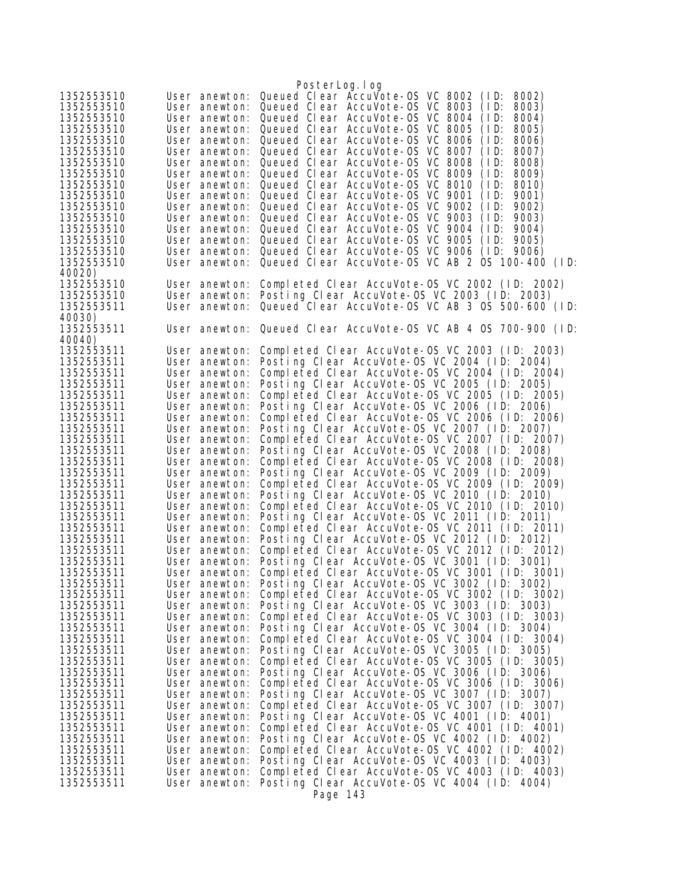| 8002)                                                                                          |
|------------------------------------------------------------------------------------------------|
| 8003)                                                                                          |
| 8004)                                                                                          |
| 8005)                                                                                          |
| 8006)                                                                                          |
| 8007)                                                                                          |
| 8008)                                                                                          |
| 8009)                                                                                          |
| 8010)                                                                                          |
| 9001)                                                                                          |
| 9002)                                                                                          |
| 9003)                                                                                          |
| 9004)                                                                                          |
| 9005)                                                                                          |
| 9006)                                                                                          |
| Queued Clear AccuVote-OS VC AB 2 OS 100-400 (ID:                                               |
| Completed Clear AccuVote-0S VC 2002 (ID: 2002)                                                 |
| Posting Clear AccuVote-OS VC 2003 (ID: 2003)                                                   |
| Queued Clear AccuVote-OS VC AB 3 OS 500-600 (ID:                                               |
|                                                                                                |
| User anewton: Queued Clear AccuVote-OS VC AB 4 OS 700-900 (ID:                                 |
|                                                                                                |
| Completed Clear AccuVote-0S VC 2003 (ID: 2003)                                                 |
| Posting Clear AccuVote-OS VC 2004 (ID: 2004)                                                   |
| Completed Clear AccuVote-OS VC 2004 (ID: 2004)                                                 |
| Posting Clear AccuVote-OS VC 2005 (ID: 2005)                                                   |
| Completed Clear AccuVote-0S VC 2005 (ID: 2005)                                                 |
| Posting Clear AccuVote-OS VC 2006 (ID: 2006)                                                   |
| Completed Clear AccuVote-0S VC 2006 (ID: 2006)                                                 |
| Posting Clear AccuVote-OS VC 2007 (ID: 2007)                                                   |
| Completed Clear AccuVote-0S VC 2007 (ID: 2007)                                                 |
| Posting Clear AccuVote-OS VC 2008 (ID: 2008)                                                   |
| Completed Clear AccuVote-OS VC 2008 (ID: 2008)                                                 |
| Posting Clear AccuVote-OS VC 2009 (ID: 2009)                                                   |
| Completed Clear AccuVote-OS VC 2009 (ID: 2009)                                                 |
| Posting Clear AccuVote-OS VC 2010 (ID: 2010)<br>Completed Clear AccuVote-OS VC 2010 (ID: 2010) |
| Posting Clear AccuVote-OS VC 2011 (ID: 2011)                                                   |
| Completed Clear AccuVote-OS VC 2011 (ID: 2011)                                                 |
| Posting Clear AccuVote-OS VC 2012 (ID: 2012)                                                   |
| Completed Clear AccuVote-OS VC 2012 (ID: 2012)                                                 |
| Posting Clear AccuVote-OS VC 3001 (ID: 3001)                                                   |
| Completed Clear AccuVote-OS VC 3001 (ID: 3001)                                                 |
| Posting Clear AccuVote-OS VC 3002 (ID: 3002)                                                   |
| Completed Clear AccuVote-0S VC 3002 (ID: 3002)                                                 |
| Posting Clear AccuVote-OS VC 3003 (ID: 3003)                                                   |
| Completed Clear AccuVote-0S VC 3003 (ID: 3003)                                                 |
| Posting Clear AccuVote-OS VC 3004 (ID: 3004)                                                   |
| Completed Clear AccuVote-OS VC 3004 (ID: 3004)                                                 |
| Posting Clear AccuVote-OS VC 3005 (ID: 3005)                                                   |
| Completed Clear AccuVote-0S VC 3005 (ID: 3005)                                                 |
| Posting Clear AccuVote-OS VC 3006 (ID: 3006)                                                   |
| Completed Clear AccuVote-OS VC 3006 (ID: 3006)<br>Posting Clear AccuVote-OS VC 3007 (ID: 3007) |
| Completed Clear AccuVote-OS VC 3007 (ID: 3007)                                                 |
| Posting Clear AccuVote-OS VC 4001 (ID: 4001)                                                   |
| Completed Clear AccuVote-OS VC 4001 (ID: 4001)                                                 |
| Posting Clear AccuVote-OS VC 4002 (ID: 4002)                                                   |
|                                                                                                |
|                                                                                                |
| Completed Clear AccuVote-OS VC 4002 (ID: 4002)                                                 |
| Posting Clear AccuVote-OS VC 4003 (ID: 4003)                                                   |
| Completed Clear AccuVote-0S VC 4003 (ID: 4003)<br>Posting Clear AccuVote-OS VC 4004 (ID: 4004) |
|                                                                                                |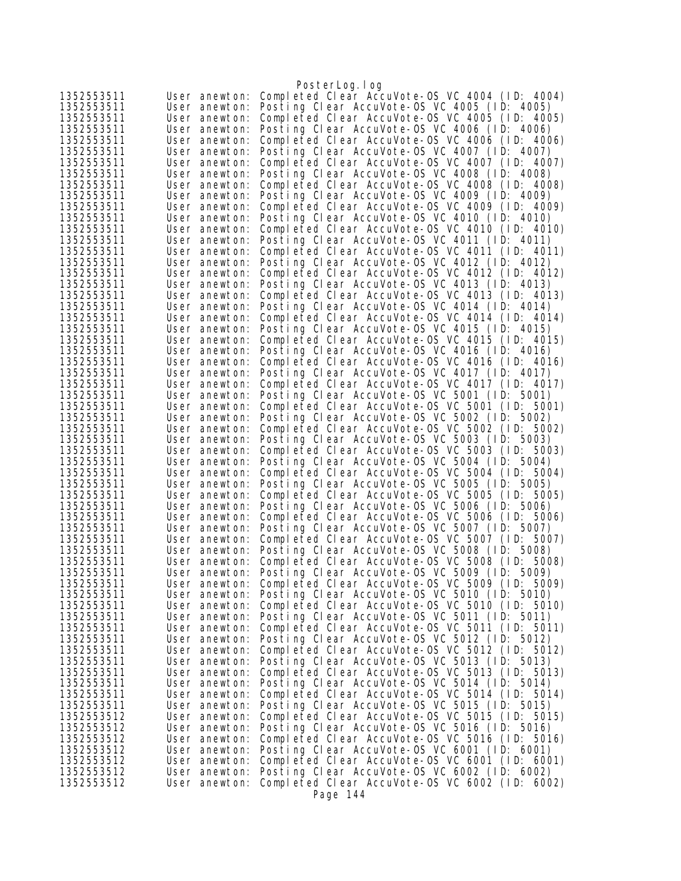|                          |                                | PosterLog.log                                                                                  |
|--------------------------|--------------------------------|------------------------------------------------------------------------------------------------|
| 1352553511               | User anewton:                  | Completed Clear AccuVote-OS VC 4004 (ID: 4004)                                                 |
| 1352553511               | User anewton:                  | Posting Clear AccuVote-OS VC 4005 (ID: 4005)                                                   |
| 1352553511               | User anewton:                  | Completed Clear AccuVote-OS VC 4005 (ID: 4005)                                                 |
| 1352553511               | User anewton:                  | Posting Clear AccuVote-OS VC 4006 (ID: 4006)                                                   |
| 1352553511               | User anewton:                  | Completed Clear AccuVote-OS VC 4006 (ID: 4006)                                                 |
| 1352553511<br>1352553511 | User anewton:<br>User anewton: | Posting Clear AccuVote-OS VC 4007 (ID: 4007)<br>Completed Clear AccuVote-OS VC 4007 (ID: 4007) |
| 1352553511               | User anewton:                  | Posting Clear AccuVote-OS VC 4008 (ID: 4008)                                                   |
| 1352553511               | User anewton:                  | Completed Clear AccuVote-OS VC 4008 (ID: 4008)                                                 |
| 1352553511               | User anewton:                  | Posting Clear AccuVote-OS VC 4009 (ID: 4009)                                                   |
| 1352553511               | User anewton:                  | Completed Clear AccuVote-OS VC 4009 (ID: 4009)                                                 |
| 1352553511               | User anewton:                  | Posting Clear AccuVote-OS VC 4010 (ID: 4010)                                                   |
| 1352553511               | User anewton:                  | Completed Clear AccuVote-OS VC 4010 (ID: 4010)                                                 |
| 1352553511               | User anewton:                  | Posting Clear AccuVote-OS VC 4011 (ID: 4011)                                                   |
| 1352553511               | User anewton:                  | Completed Clear AccuVote-OS VC 4011 (ID: 4011)                                                 |
| 1352553511<br>1352553511 | User anewton:                  | Posting Clear AccuVote-OS VC 4012 (ID: 4012)<br>Completed Clear AccuVote-OS VC 4012 (ID: 4012) |
| 1352553511               | User anewton:<br>User anewton: | Posting Clear AccuVote-OS VC 4013 (ID: 4013)                                                   |
| 1352553511               | User anewton:                  | Completed Clear AccuVote-OS VC 4013 (ID: 4013)                                                 |
| 1352553511               | User anewton:                  | Posting Clear AccuVote-OS VC 4014 (ID: 4014)                                                   |
| 1352553511               | User anewton:                  | Completed Clear AccuVote-OS VC 4014 (ID: 4014)                                                 |
| 1352553511               | User anewton:                  | Posting Clear AccuVote-OS VC 4015 (ID: 4015)                                                   |
| 1352553511               | User anewton:                  | Completed Clear AccuVote-OS VC 4015 (ID: 4015)                                                 |
| 1352553511               | User anewton:                  | Posting Clear AccuVote-OS VC 4016 (ID: 4016)                                                   |
| 1352553511               | User anewton:                  | Completed Clear AccuVote-OS VC 4016 (ID: 4016)                                                 |
| 1352553511               | User anewton:                  | Posting Clear AccuVote-OS VC 4017 (ID: 4017)                                                   |
| 1352553511               | User anewton:                  | Completed Clear AccuVote-OS VC 4017 (ID: 4017)<br>Posting Clear AccuVote-OS VC 5001 (ID: 5001) |
| 1352553511<br>1352553511 | User anewton:<br>User anewton: | Completed Clear AccuVote-0S VC 5001 (ID: 5001)                                                 |
| 1352553511               | User anewton:                  | Posting Clear AccuVote-OS VC 5002 (ID: 5002)                                                   |
| 1352553511               | User anewton:                  | Completed Clear AccuVote-OS VC 5002 (ID: 5002)                                                 |
| 1352553511               | User anewton:                  | Posting Clear AccuVote-OS VC 5003 (ID: 5003)                                                   |
| 1352553511               | User anewton:                  | Completed Clear AccuVote-OS VC 5003 (ID: 5003)                                                 |
| 1352553511               | User anewton:                  | Posting Clear AccuVote-OS VC 5004 (ID: 5004)                                                   |
| 1352553511               | User anewton:                  | Completed Clear AccuVote-0S VC 5004 (ID: 5004)                                                 |
| 1352553511               | User anewton:                  | Posting Clear AccuVote-OS VC 5005 (ID: 5005)                                                   |
| 1352553511<br>1352553511 | User anewton:                  | Completed Clear AccuVote-OS VC 5005 (ID: 5005)<br>Posting Clear AccuVote-OS VC 5006 (ID: 5006) |
| 1352553511               | User anewton:<br>User anewton: | Completed Clear AccuVote-0S VC 5006 (ID: 5006)                                                 |
| 1352553511               | User anewton:                  | Posting Clear AccuVote-OS VC 5007 (ID: 5007)                                                   |
| 1352553511               | User anewton:                  | Completed Clear AccuVote-OS VC 5007 (ID: 5007)                                                 |
| 1352553511               | User anewton:                  | Posting Clear AccuVote-OS VC 5008 (ID: 5008)                                                   |
| 1352553511               | User anewton:                  | Completed Clear AccuVote-OS VC 5008 (ID: 5008)                                                 |
| 1352553511               | User anewton:                  | Posting Clear AccuVote-OS VC 5009 (ID: 5009)                                                   |
| 1352553511               | User anewton:                  | Completed Clear AccuVote-OS VC 5009 (ID: 5009)                                                 |
| 1352553511               | User anewton:                  | Posting Clear AccuVote-OS VC 5010 (ID: 5010)                                                   |
| 1352553511<br>1352553511 | User anewton:<br>User anewton: | Completed Clear AccuVote-OS VC 5010 (ID: 5010)<br>Posting Clear AccuVote-OS VC 5011 (ID: 5011) |
| 1352553511               | User anewton:                  | Completed Clear AccuVote-OS VC 5011 (ID: 5011)                                                 |
| 1352553511               | User anewton:                  | Posting Clear AccuVote-OS VC 5012 (ID: 5012)                                                   |
| 1352553511               | User anewton:                  | Completed Clear AccuVote-0S VC 5012 (ID: 5012)                                                 |
| 1352553511               | User anewton:                  | Posting Clear AccuVote-OS VC 5013 (ID: 5013)                                                   |
| 1352553511               | User anewton:                  | Completed Clear AccuVote-0S VC 5013 (ID: 5013)                                                 |
| 1352553511               | User anewton:                  | Posting Clear AccuVote-OS VC 5014 (ID: 5014)                                                   |
| 1352553511               | User anewton:                  | Completed Clear AccuVote-0S VC 5014 (ID: 5014)                                                 |
| 1352553511               | User anewton:                  | Posting Clear AccuVote-OS VC 5015 (ID: 5015)                                                   |
| 1352553512<br>1352553512 | User anewton:<br>User anewton: | Completed Clear AccuVote-0S VC 5015 (ID: 5015)<br>Posting Clear AccuVote-OS VC 5016 (ID: 5016) |
| 1352553512               | User anewton:                  | Completed Clear AccuVote-OS VC 5016 (ID: 5016)                                                 |
| 1352553512               | User anewton:                  | Posting Clear AccuVote-OS VC 6001 (ID: 6001)                                                   |
| 1352553512               | User anewton:                  | Completed Clear AccuVote-OS VC 6001 (ID: 6001)                                                 |
| 1352553512               | User anewton:                  | Posting Clear AccuVote-OS VC 6002 (ID: 6002)                                                   |
| 1352553512               | User anewton:                  | Completed Clear AccuVote-OS VC 6002 (ID: 6002)                                                 |
|                          |                                | Page 144                                                                                       |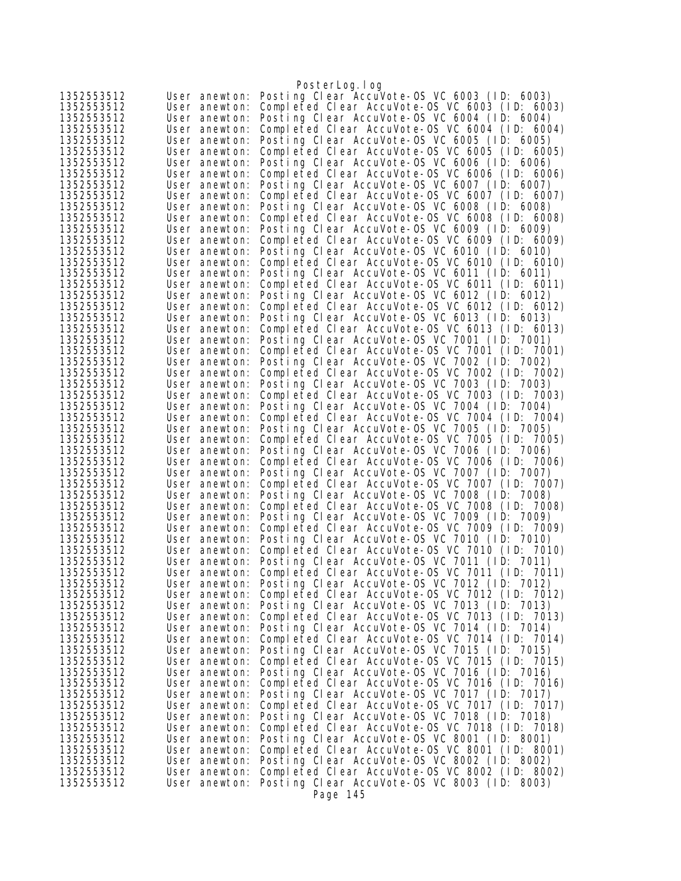|                          |                                | PosterLog.log                                                                                     |
|--------------------------|--------------------------------|---------------------------------------------------------------------------------------------------|
| 1352553512               | User anewton:                  | Posting Clear AccuVote-OS VC 6003 (ID: 6003)                                                      |
| 1352553512               | User anewton:                  | Completed Clear AccuVote-OS VC 6003 (ID: 6003)                                                    |
| 1352553512               | User anewton:                  | Posting Clear AccuVote-OS VC 6004 (ID: 6004)                                                      |
| 1352553512               | User anewton:                  | Completed Clear AccuVote-OS VC 6004 (ID: 6004)                                                    |
| 1352553512               | User anewton:                  | Posting Clear AccuVote-OS VC 6005 (ID: 6005)                                                      |
| 1352553512<br>1352553512 | User anewton:<br>User anewton: | Completed Clear AccuVote-OS VC 6005 (ID: 6005)<br>Posting Clear AccuVote-OS VC 6006 (ID: 6006)    |
| 1352553512               | User anewton:                  | Completed Clear AccuVote-OS VC 6006 (ID: 6006)                                                    |
| 1352553512               | User anewton:                  | Posting Clear AccuVote-OS VC 6007 (ID: 6007)                                                      |
| 1352553512               | User anewton:                  | Completed Clear AccuVote-0S VC 6007 (ID: 6007)                                                    |
| 1352553512               | User anewton:                  | Posting Clear AccuVote-OS VC 6008 (ID: 6008)                                                      |
| 1352553512               | User anewton:                  | Completed Clear AccuVote-0S VC 6008 (ID: 6008)                                                    |
| 1352553512               | User anewton:                  | Posting Clear AccuVote-OS VC 6009 (ID: 6009)                                                      |
| 1352553512               | User anewton:                  | Completed Clear AccuVote-OS VC 6009 (ID: 6009)                                                    |
| 1352553512               | User anewton:                  | Posting Clear AccuVote-OS VC 6010 (ID: 6010)                                                      |
| 1352553512<br>1352553512 | User anewton:                  | Completed Clear AccuVote-OS VC 6010 (ID: 6010)<br>Posting Clear AccuVote-OS VC 6011 (ID: 6011)    |
| 1352553512               | User anewton:<br>User anewton: | Completed Clear AccuVote-OS VC 6011 (ID: 6011)                                                    |
| 1352553512               | User anewton:                  | Posting Clear AccuVote-OS VC 6012 (ID: 6012)                                                      |
| 1352553512               | User anewton:                  | Completed Clear AccuVote-OS VC 6012 (ID: 6012)                                                    |
| 1352553512               | User anewton:                  | Posting Clear AccuVote-OS VC 6013 (ID: 6013)                                                      |
| 1352553512               | User anewton:                  | Completed Clear AccuVote-OS VC 6013 (ID: 6013)                                                    |
| 1352553512               | User anewton:                  | Posting Clear AccuVote-OS VC 7001 (ID: 7001)                                                      |
| 1352553512               | User anewton:                  | Completed Clear AccuVote-0S VC 7001 (ID: 7001)                                                    |
| 1352553512               | User anewton:                  | Posting Clear AccuVote-OS VC 7002 (ID:<br>7002)                                                   |
| 1352553512               | User anewton:                  | Completed Clear AccuVote-0S VC 7002 (ID: 7002)                                                    |
| 1352553512<br>1352553512 | User anewton:<br>User anewton: | Posting Clear AccuVote-OS VC 7003 (ID: 7003)<br>Completed Clear AccuVote-OS VC 7003 (ID: 7003)    |
| 1352553512               | User anewton:                  | Posting Clear AccuVote-OS VC 7004 (ID: 7004)                                                      |
| 1352553512               | User anewton:                  | Completed Clear AccuVote-OS VC 7004 (ID: 7004)                                                    |
| 1352553512               | User anewton:                  | Posting Clear AccuVote-OS VC 7005 (ID:<br>7005)                                                   |
| 1352553512               | User anewton:                  | Completed Clear AccuVote-OS VC 7005 (ID: 7005)                                                    |
| 1352553512               | User anewton:                  | Posting Clear AccuVote-OS VC 7006 (ID: 7006)                                                      |
| 1352553512               | User anewton:                  | Completed Clear AccuVote-OS VC 7006 (ID: 7006)                                                    |
| 1352553512               | User anewton:                  | Posting Clear AccuVote-OS VC 7007 (ID: 7007)                                                      |
| 1352553512               | User anewton:                  | Completed Clear AccuVote-OS VC 7007 (ID: 7007)                                                    |
| 1352553512<br>1352553512 | User anewton:<br>User anewton: | Posting Clear AccuVote-OS VC 7008 (ID:<br>7008)<br>Completed Clear AccuVote-OS VC 7008 (ID: 7008) |
| 1352553512               | User anewton:                  | Posting Clear AccuVote-OS VC 7009 (ID: 7009)                                                      |
| 1352553512               | User anewton:                  | Completed Clear AccuVote-OS VC 7009 (ID: 7009)                                                    |
| 1352553512               | User anewton:                  | Posting Clear AccuVote-OS VC 7010 (ID: 7010)                                                      |
| 1352553512               | User anewton:                  | Completed Clear AccuVote-0S VC 7010 (ID: 7010)                                                    |
| 1352553512               | User anewton:                  | Posting Clear AccuVote-OS VC 7011 (ID: 7011)                                                      |
| 1352553512               | User anewton:                  | Completed Clear AccuVote-OS VC 7011 (ID: 7011)                                                    |
| 1352553512               | User anewton:                  | Posting Clear AccuVote-OS VC 7012 (ID: 7012)                                                      |
| 1352553512<br>1352553512 | User anewton:<br>User anewton: | Completed Clear AccuVote-OS VC 7012 (ID: 7012)<br>Posting Clear AccuVote-OS VC 7013 (ID: 7013)    |
| 1352553512               | User anewton:                  | Completed Clear AccuVote-OS VC 7013 (ID: 7013)                                                    |
| 1352553512               | User anewton:                  | Posting Clear AccuVote-OS VC 7014 (ID: 7014)                                                      |
| 1352553512               | User anewton:                  | Completed Clear AccuVote-OS VC 7014 (ID: 7014)                                                    |
| 1352553512               | User anewton:                  | Posting Clear AccuVote-OS VC 7015 (ID: 7015)                                                      |
| 1352553512               | User anewton:                  | Completed Clear AccuVote-OS VC 7015 (ID: 7015)                                                    |
| 1352553512               | User anewton:                  | Posting Clear AccuVote-OS VC 7016 (ID: 7016)                                                      |
| 1352553512               | User anewton:                  | Completed Clear AccuVote-OS VC 7016 (ID: 7016)                                                    |
| 1352553512               | User anewton:                  | Posting Clear AccuVote-OS VC 7017 (ID: 7017)                                                      |
| 1352553512<br>1352553512 | User anewton:<br>User anewton: | Completed Clear AccuVote-OS VC 7017 (ID: 7017)<br>Posting Clear AccuVote-OS VC 7018 (ID: 7018)    |
| 1352553512               | User anewton:                  | Completed Clear AccuVote-OS VC 7018 (ID: 7018)                                                    |
| 1352553512               | User anewton:                  | Posting Clear AccuVote-OS VC 8001 (ID: 8001)                                                      |
| 1352553512               | User anewton:                  | Completed Clear AccuVote-OS VC 8001 (ID: 8001)                                                    |
| 1352553512               | User anewton:                  | Posting Clear AccuVote-OS VC 8002 (ID: 8002)                                                      |
| 1352553512               | User anewton:                  | Completed Clear AccuVote-OS VC 8002 (ID: 8002)                                                    |
| 1352553512               | User anewton:                  | Posting Clear AccuVote-OS VC 8003 (ID: 8003)                                                      |
|                          |                                | Page 145                                                                                          |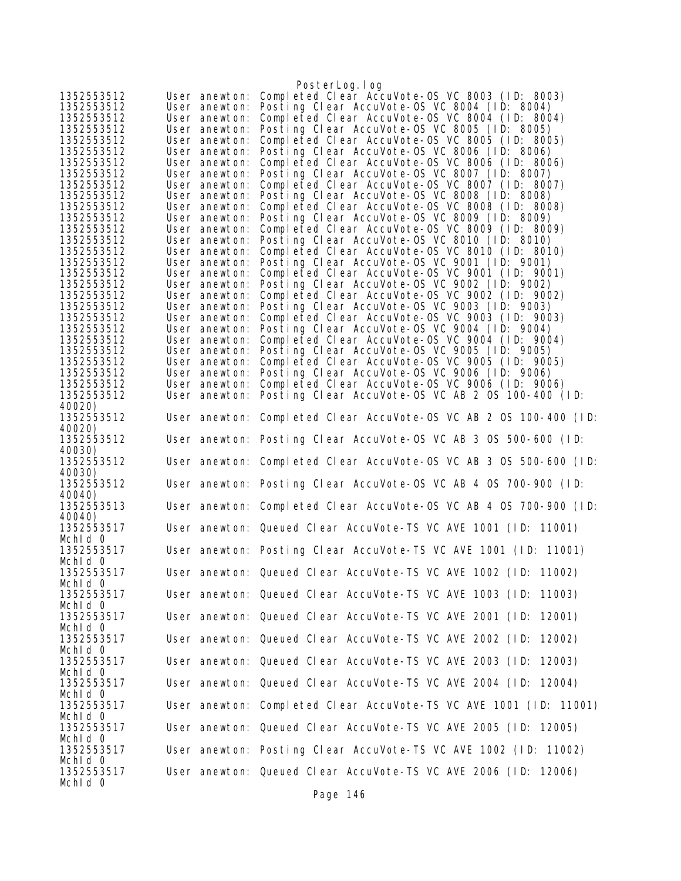|                          |                                | PosterLog.log                                                                                  |
|--------------------------|--------------------------------|------------------------------------------------------------------------------------------------|
| 1352553512               |                                | User anewton: Completed Clear AccuVote-OS VC 8003 (ID: 8003)                                   |
| 1352553512               |                                | User anewton: Posting Clear AccuVote-OS VC 8004 (ID: 8004)                                     |
| 1352553512               | User anewton:                  | Completed Clear AccuVote-0S VC 8004 (ID: 8004)                                                 |
| 1352553512               |                                | User anewton: Posting Clear AccuVote-OS VC 8005 (ID: 8005)                                     |
| 1352553512               | User anewton:                  | Completed Clear AccuVote-0S VC 8005 (ID: 8005)                                                 |
| 1352553512               | User anewton:                  | Posting Clear AccuVote-OS VC 8006 (ID: 8006)                                                   |
| 1352553512               | User anewton:                  | Completed Clear AccuVote-OS VC 8006 (ID: 8006)                                                 |
| 1352553512               | User anewton:                  | Posting Clear AccuVote-OS VC 8007 (ID: 8007)                                                   |
| 1352553512               | User anewton:                  | Completed Clear AccuVote-OS VC 8007 (ID: 8007)                                                 |
| 1352553512               |                                | User anewton: Posting Clear AccuVote-OS VC 8008 (ID: 8008)                                     |
| 1352553512               | User anewton:                  | Completed Clear AccuVote-OS VC 8008 (ID: 8008)                                                 |
| 1352553512               | User anewton:                  | Posting Clear AccuVote-OS VC 8009 (ID: 8009)                                                   |
| 1352553512               | User anewton:                  | Completed Clear AccuVote-OS VC 8009 (ID: 8009)                                                 |
| 1352553512               | User anewton:                  | Posting Clear AccuVote-OS VC 8010 (ID: 8010)                                                   |
| 1352553512               | User anewton:                  | Completed Clear AccuVote-OS VC 8010 (ID: 8010)                                                 |
| 1352553512               |                                | User anewton: Posting Clear AccuVote-OS VC 9001 (ID: 9001)                                     |
| 1352553512               |                                | User anewton: Completed Clear AccuVote-OS VC 9001 (ID: 9001)                                   |
| 1352553512<br>1352553512 | User anewton:<br>User anewton: | Posting Clear AccuVote-OS VC 9002 (ID: 9002)<br>Completed Clear AccuVote-0S VC 9002 (ID: 9002) |
| 1352553512               |                                | User anewton: Posting Clear AccuVote-OS VC 9003 (ID: 9003)                                     |
| 1352553512               | User anewton:                  | Completed Clear AccuVote-0S VC 9003 (ID: 9003)                                                 |
| 1352553512               |                                | User anewton: Posting Clear AccuVote-OS VC 9004 (ID: 9004)                                     |
| 1352553512               |                                | User anewton: Completed Clear AccuVote-OS VC 9004 (ID: 9004)                                   |
| 1352553512               |                                | User anewton: Posting Clear AccuVote-OS VC 9005 (ID: 9005)                                     |
| 1352553512               | User anewton:                  | Completed Clear AccuVote-OS VC 9005 (ID: 9005)                                                 |
| 1352553512               |                                | User anewton: Posting Clear AccuVote-OS VC 9006 (ID: 9006)                                     |
| 1352553512               | User anewton:                  | Completed Clear AccuVote-OS VC 9006 (ID: 9006)                                                 |
| 1352553512               |                                | User anewton: Posting Clear AccuVote-OS VC AB 2 OS 100-400 (ID:                                |
| 40020)                   |                                |                                                                                                |
| 1352553512               |                                | User anewton: Completed Clear AccuVote-OS VC AB 2 OS 100-400 (ID:                              |
| 40020)                   |                                |                                                                                                |
| 1352553512               |                                | User anewton: Posting Clear AccuVote-OS VC AB 3 OS 500-600 (ID:                                |
| 40030)                   |                                |                                                                                                |
| 1352553512               |                                | User anewton: Completed Clear AccuVote-OS VC AB 3 OS 500-600 (ID:                              |
| 40030)                   |                                |                                                                                                |
| 1352553512               |                                | User anewton: Posting Clear AccuVote-OS VC AB 4 OS 700-900 (ID:                                |
| 40040)                   |                                |                                                                                                |
| 1352553513               |                                | User anewton: Completed Clear AccuVote-OS VC AB 4 OS 700-900 (ID:                              |
| 40040)                   |                                |                                                                                                |
| 1352553517               |                                | User anewton: Queued Clear AccuVote-TS VC AVE 1001 (ID: 11001)                                 |
| Mchid 0                  |                                |                                                                                                |
| 1352553517               |                                | User anewton: Posting Clear AccuVote-TS VC AVE 1001 (ID: 11001)                                |
| Mchld O                  |                                |                                                                                                |
| 1352553517               |                                | User anewton: Queued Clear AccuVote-TS VC AVE 1002 (ID: 11002)                                 |
| Mchid 0                  |                                |                                                                                                |
| 1352553517               |                                | User anewton: Queued Clear AccuVote-TS VC AVE 1003 (ID: 11003)                                 |
| Mchid 0<br>1352553517    |                                | User anewton: Queued Clear AccuVote-TS VC AVE 2001 (ID: 12001)                                 |
| Mchid 0                  |                                |                                                                                                |
| 1352553517               |                                | User anewton: Queued Clear AccuVote-TS VC AVE 2002 (ID: 12002)                                 |
| Mchid 0                  |                                |                                                                                                |
| 1352553517               |                                | User anewton: Queued Clear AccuVote-TS VC AVE 2003 (ID: 12003)                                 |
| Mchid 0                  |                                |                                                                                                |
| 1352553517               |                                | User anewton: Queued Clear AccuVote-TS VC AVE 2004 (ID: 12004)                                 |
| Mchid 0                  |                                |                                                                                                |
| 1352553517               |                                | User anewton: Completed Clear AccuVote-TS VC AVE 1001 (ID: 11001)                              |
| Mchid 0                  |                                |                                                                                                |
| 1352553517               |                                | User anewton: Queued Clear AccuVote-TS VC AVE 2005 (ID: 12005)                                 |
| Mchid 0                  |                                |                                                                                                |
| 1352553517               |                                | User anewton: Posting Clear AccuVote-TS VC AVE 1002 (ID: 11002)                                |
| Mchid 0                  |                                |                                                                                                |
| 1352553517               |                                | User anewton: Queued Clear AccuVote-TS VC AVE 2006 (ID: 12006)                                 |
| Mchid 0                  |                                |                                                                                                |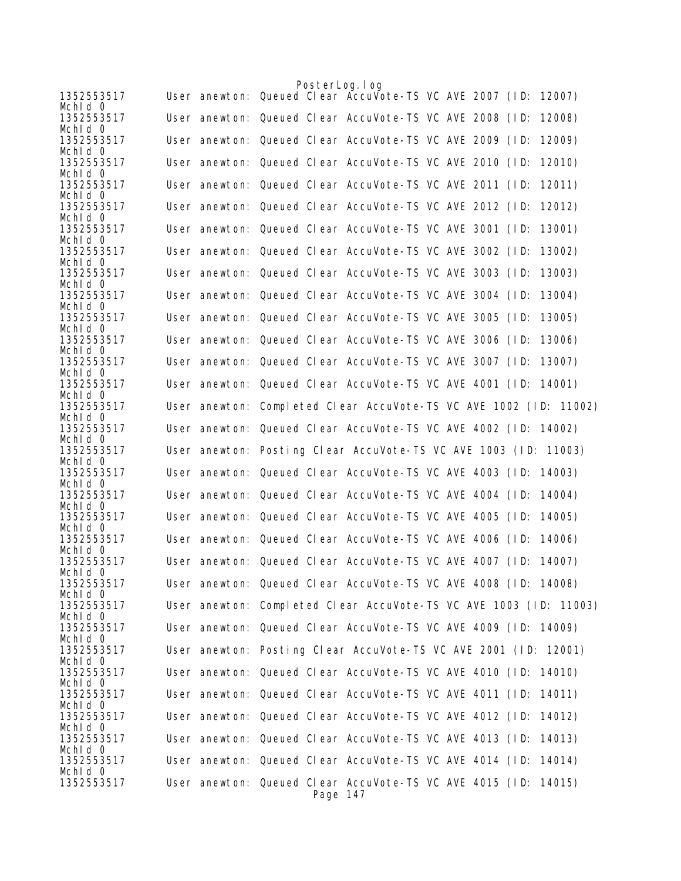|                       | PosterLog. I og                                                            |
|-----------------------|----------------------------------------------------------------------------|
| 1352553517<br>Mchid 0 | User anewton: Queued Clear AccuVote-TS VC AVE 2007 (ID:<br>12007)          |
| 1352553517            | User anewton: Queued Clear AccuVote-TS VC AVE 2008 (ID:<br>12008)          |
| Mchid 0<br>1352553517 | User anewton: Queued Clear AccuVote-TS VC AVE 2009 (ID:<br>12009)          |
| Mchid 0               |                                                                            |
| 1352553517<br>Mchid 0 | User anewton: Queued Clear AccuVote-TS VC AVE 2010 (ID:<br>12010)          |
| 1352553517<br>Mchid 0 | User anewton: Queued Clear AccuVote-TS VC AVE 2011 (ID:<br>12011)          |
| 1352553517            | User anewton: Queued Clear AccuVote-TS VC AVE 2012 (ID:<br>12012)          |
| Mchid 0<br>1352553517 | User anewton: Queued Clear AccuVote-TS VC AVE 3001 (ID:<br>13001)          |
| Mchid 0<br>1352553517 | User anewton: Queued Clear AccuVote-TS VC AVE 3002 (ID:<br>13002)          |
| Mchid 0               |                                                                            |
| 1352553517<br>Mchid 0 | User anewton: Queued Clear AccuVote-TS VC AVE 3003 (ID: 13003)             |
| 1352553517<br>Mchid 0 | User anewton: Queued Clear AccuVote-TS VC AVE 3004 (ID:<br>13004)          |
| 1352553517            | User anewton: Queued Clear AccuVote-TS VC AVE 3005 (ID:<br>13005)          |
| Mchid 0<br>1352553517 | User anewton: Queued Clear AccuVote-TS VC AVE 3006 (ID: 13006)             |
| Mchid 0               |                                                                            |
| 1352553517<br>Mchid 0 | User anewton: Queued Clear AccuVote-TS VC AVE 3007 (ID:<br>13007)          |
| 1352553517<br>Mchld 0 | User anewton: Queued Clear AccuVote-TS VC AVE 4001 (ID: 14001)             |
| 1352553517            | User anewton: Completed Clear AccuVote-TS VC AVE 1002 (ID: 11002)          |
| Mchld 0<br>1352553517 | User anewton: Queued Clear AccuVote-TS VC AVE 4002 (ID: 14002)             |
| Mchid 0<br>1352553517 | User anewton: Posting Clear AccuVote-TS VC AVE 1003 (ID: 11003)            |
| Mchld 0               |                                                                            |
| 1352553517<br>Mchid 0 | User anewton: Queued Clear AccuVote-TS VC AVE 4003 (ID: 14003)             |
| 1352553517<br>Mchid 0 | User anewton: Queued Clear AccuVote-TS VC AVE 4004 (ID: 14004)             |
| 1352553517            | User anewton: Queued Clear AccuVote-TS VC AVE 4005 (ID:<br>14005)          |
| Mchld 0<br>1352553517 | User anewton: Queued Clear AccuVote-TS VC AVE 4006 (ID: 14006)             |
| Mchid 0<br>1352553517 | User anewton: Queued Clear AccuVote-TS VC AVE 4007 (ID: 14007)             |
| Mchid 0               |                                                                            |
| 1352553517<br>Mchid 0 | User anewton: Queued Clear AccuVote-TS VC AVE 4008 (ID: 14008)             |
| 1352553517<br>Mchid 0 | User anewton: Completed Clear AccuVote-TS VC AVE 1003 (ID: 11003)          |
| 1352553517            | User anewton: Queued Clear AccuVote-TS VC AVE 4009 (ID: 14009)             |
| Mchid 0<br>1352553517 | User anewton: Posting Clear AccuVote-TS VC AVE 2001 (ID: 12001)            |
| Mchld 0<br>1352553517 | User anewton: Queued Clear AccuVote-TS VC AVE 4010 (ID: 14010)             |
| Mchid 0               |                                                                            |
| 1352553517<br>Mchid 0 | User anewton: Queued Clear AccuVote-TS VC AVE 4011 (ID: 14011)             |
| 1352553517<br>Mchid 0 | User anewton: Queued Clear AccuVote-TS VC AVE 4012 (ID: 14012)             |
| 1352553517            | User anewton: Queued Clear AccuVote-TS VC AVE 4013 (ID: 14013)             |
| Mchid 0<br>1352553517 | User anewton: Queued Clear AccuVote-TS VC AVE 4014 (ID: 14014)             |
| Mchld 0               |                                                                            |
| 1352553517            | User anewton: Queued Clear AccuVote-TS VC AVE 4015 (ID: 14015)<br>Page 147 |
|                       |                                                                            |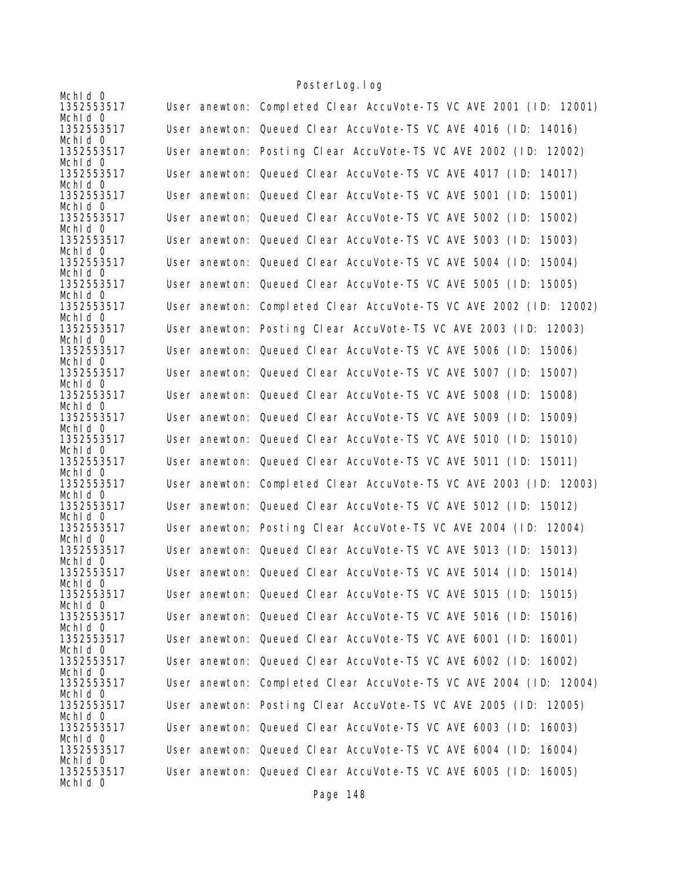| Mchid 0               |                                                                   |
|-----------------------|-------------------------------------------------------------------|
| 1352553517            | User anewton: Completed Clear AccuVote-TS VC AVE 2001 (ID: 12001) |
| Mchid 0               |                                                                   |
| 1352553517            | User anewton: Queued Clear AccuVote-TS VC AVE 4016 (ID: 14016)    |
| Mchid 0               |                                                                   |
| 1352553517            | User anewton: Posting Clear AccuVote-TS VC AVE 2002 (ID: 12002)   |
| Mchid 0               |                                                                   |
| 1352553517            | User anewton: Queued Clear AccuVote-TS VC AVE 4017 (ID: 14017)    |
| Mchld 0               |                                                                   |
| 1352553517            | User anewton: Queued Clear AccuVote-TS VC AVE 5001 (ID:<br>15001) |
| Mchid 0               |                                                                   |
| 1352553517            | User anewton: Queued Clear AccuVote-TS VC AVE 5002 (ID:<br>15002) |
| Mchid 0               |                                                                   |
| 1352553517            | User anewton: Queued Clear AccuVote-TS VC AVE 5003 (ID:<br>15003) |
| Mchld 0<br>1352553517 | User anewton: Queued Clear AccuVote-TS VC AVE 5004 (ID: 15004)    |
| Mchid 0               |                                                                   |
| 1352553517            | User anewton: Queued Clear AccuVote-TS VC AVE 5005 (ID: 15005)    |
| Mchid 0               |                                                                   |
| 1352553517            | User anewton: Completed Clear AccuVote-TS VC AVE 2002 (ID: 12002) |
| Mchld 0               |                                                                   |
| 1352553517            | User anewton: Posting Clear AccuVote-TS VC AVE 2003 (ID: 12003)   |
| Mchld 0               |                                                                   |
| 1352553517            | User anewton: Queued Clear AccuVote-TS VC AVE 5006 (ID: 15006)    |
| Mchld 0               |                                                                   |
| 1352553517            | User anewton: Queued Clear AccuVote-TS VC AVE 5007 (ID:<br>15007) |
| Mchld 0               |                                                                   |
| 1352553517            | User anewton: Queued Clear AccuVote-TS VC AVE 5008 (ID:<br>15008) |
| Mchid 0<br>1352553517 | User anewton: Queued Clear AccuVote-TS VC AVE 5009 (ID:<br>15009) |
| Mchid 0               |                                                                   |
| 1352553517            | User anewton: Queued Clear AccuVote-TS VC AVE 5010 (ID: 15010)    |
| Mchid 0               |                                                                   |
| 1352553517            | User anewton: Queued Clear AccuVote-TS VC AVE 5011 (ID: 15011)    |
| Mchid 0               |                                                                   |
| 1352553517            | User anewton: Completed Clear AccuVote-TS VC AVE 2003 (ID: 12003) |
| Mchld 0               |                                                                   |
| 1352553517            | User anewton: Queued Clear AccuVote-TS VC AVE 5012 (ID: 15012)    |
| Mchid 0               |                                                                   |
| 1352553517<br>Mchid 0 | User anewton: Posting Clear AccuVote-TS VC AVE 2004 (ID: 12004)   |
| 1352553517            | User anewton: Queued Clear AccuVote-TS VC AVE 5013 (ID: 15013)    |
| Mchld 0               |                                                                   |
| 1352553517            | User anewton: Queued Clear AccuVote-TS VC AVE 5014 (ID: 15014)    |
| Mchid 0               |                                                                   |
| 1352553517            | User anewton: Queued Clear AccuVote-TS VC AVE 5015 (ID: 15015)    |
| Mchid 0               |                                                                   |
| 1352553517            | User anewton: Queued Clear AccuVote-TS VC AVE 5016 (ID: 15016)    |
| Mchid 0               |                                                                   |
| 1352553517            | User anewton: Queued Clear AccuVote-TS VC AVE 6001 (ID: 16001)    |
| Mchld 0<br>1352553517 | User anewton: Queued Clear AccuVote-TS VC AVE 6002 (ID: 16002)    |
| Mchid 0               |                                                                   |
| 1352553517            | User anewton: Completed Clear AccuVote-TS VC AVE 2004 (ID: 12004) |
| Mchid 0               |                                                                   |
| 1352553517            | User anewton: Posting Clear AccuVote-TS VC AVE 2005 (ID: 12005)   |
| Mchld 0               |                                                                   |
| 1352553517            | User anewton: Queued Clear AccuVote-TS VC AVE 6003 (ID: 16003)    |
| Mchld 0               |                                                                   |
| 1352553517            | User anewton: Queued Clear AccuVote-TS VC AVE 6004 (ID: 16004)    |
| Mchid 0               |                                                                   |
| 1352553517<br>Mchid 0 | User anewton: Queued Clear AccuVote-TS VC AVE 6005 (ID: 16005)    |
|                       |                                                                   |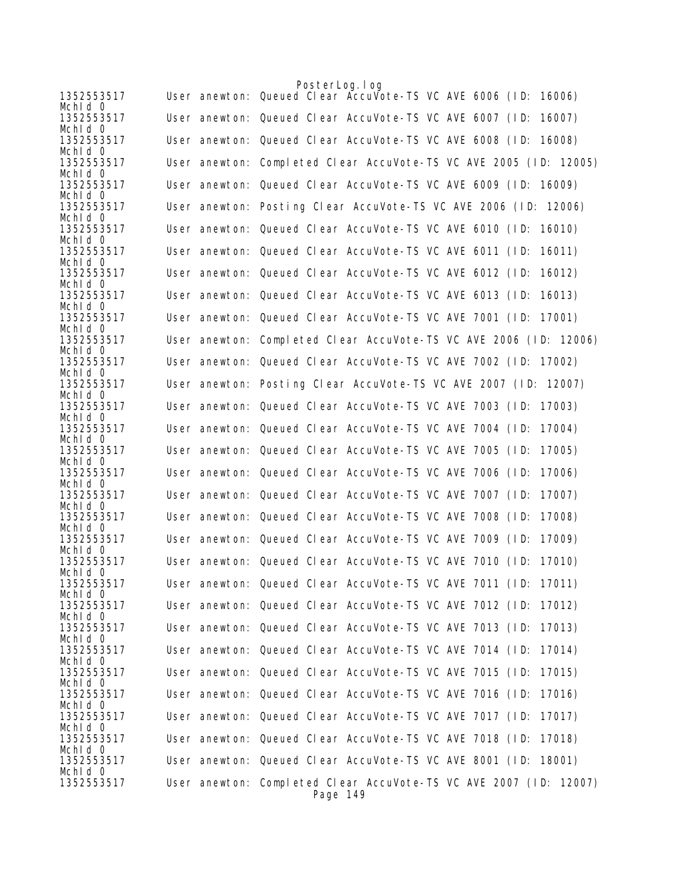|                       | PosterLog. I og                                                               |
|-----------------------|-------------------------------------------------------------------------------|
| 1352553517<br>Mchid 0 | User anewton: Queued Clear Accuvote-TS VC AVE 6006 (ID:<br>16006)             |
| 1352553517<br>Mchid 0 | User anewton: Queued Clear AccuVote-TS VC AVE 6007 (ID:<br>16007)             |
| 1352553517<br>Mchid 0 | User anewton: Queued Clear AccuVote-TS VC AVE 6008 (ID: 16008)                |
| 1352553517<br>Mchid 0 | User anewton: Completed Clear AccuVote-TS VC AVE 2005 (ID: 12005)             |
| 1352553517            | User anewton: Queued Clear AccuVote-TS VC AVE 6009 (ID: 16009)                |
| Mchid 0<br>1352553517 | User anewton: Posting Clear AccuVote-TS VC AVE 2006 (ID: 12006)               |
| Mchld 0<br>1352553517 | User anewton: Queued Clear AccuVote-TS VC AVE 6010 (ID:<br>16010)             |
| Mchld 0<br>1352553517 | User anewton: Queued Clear AccuVote-TS VC AVE 6011 (ID:<br>16011)             |
| Mchid 0<br>1352553517 | User anewton: Queued Clear AccuVote-TS VC AVE 6012 (ID: 16012)                |
| Mchid 0<br>1352553517 | User anewton: Queued Clear AccuVote-TS VC AVE 6013 (ID:<br>16013)             |
| Mchid 0<br>1352553517 | User anewton: Queued Clear AccuVote-TS VC AVE 7001 (ID: 17001)                |
| Mchid 0               |                                                                               |
| 1352553517<br>Mchid 0 | User anewton: Completed Clear AccuVote-TS VC AVE 2006 (ID: 12006)             |
| 1352553517<br>Mchld 0 | User anewton: Queued Clear AccuVote-TS VC AVE 7002 (ID: 17002)                |
| 1352553517<br>Mchid 0 | User anewton: Posting Clear AccuVote-TS VC AVE 2007 (ID: 12007)               |
| 1352553517<br>Mchid 0 | User anewton: Queued Clear AccuVote-TS VC AVE 7003 (ID: 17003)                |
| 1352553517<br>Mchid 0 | User anewton: Queued Clear AccuVote-TS VC AVE 7004 (ID:<br>17004)             |
| 1352553517            | User anewton: Queued Clear AccuVote-TS VC AVE 7005 (ID:<br>17005)             |
| Mchid 0<br>1352553517 | User anewton: Queued Clear AccuVote-TS VC AVE 7006 (ID:<br>17006)             |
| Mchid O<br>1352553517 | User anewton: Queued Clear AccuVote-TS VC AVE 7007 (ID:<br>17007)             |
| Mchid 0<br>1352553517 | User anewton: Queued Clear AccuVote-TS VC AVE 7008 (ID:<br>17008)             |
| Mchid 0<br>1352553517 | User anewton: Queued Clear AccuVote-TS VC AVE 7009 (ID:<br>17009)             |
| Mchid 0<br>1352553517 | User anewton: Queued Clear AccuVote-TS VC AVE 7010 (ID:<br>17010)             |
| Mchid 0<br>1352553517 | User anewton: Queued Clear AccuVote-TS VC AVE 7011 (ID: 17011)                |
| Mchid 0<br>1352553517 | User anewton: Queued Clear AccuVote-TS VC AVE 7012 (ID: 17012)                |
| Mchid 0<br>1352553517 | User anewton: Queued Clear AccuVote-TS VC AVE 7013 (ID: 17013)                |
| Mchid 0               | User anewton: Queued Clear AccuVote-TS VC AVE 7014 (ID: 17014)                |
| 1352553517<br>Mchid 0 |                                                                               |
| 1352553517<br>Mchid 0 | User anewton: Queued Clear AccuVote-TS VC AVE 7015 (ID: 17015)                |
| 1352553517<br>Mchid 0 | User anewton: Queued Clear AccuVote-TS VC AVE 7016 (ID: 17016)                |
| 1352553517<br>Mchid 0 | User anewton: Queued Clear AccuVote-TS VC AVE 7017 (ID:<br>17017)             |
| 1352553517<br>Mchid 0 | User anewton: Queued Clear AccuVote-TS VC AVE 7018 (ID: 17018)                |
| 1352553517<br>Mchid 0 | User anewton: Queued Clear AccuVote-TS VC AVE 8001 (ID: 18001)                |
| 1352553517            | User anewton: Completed Clear AccuVote-TS VC AVE 2007 (ID: 12007)<br>Page 149 |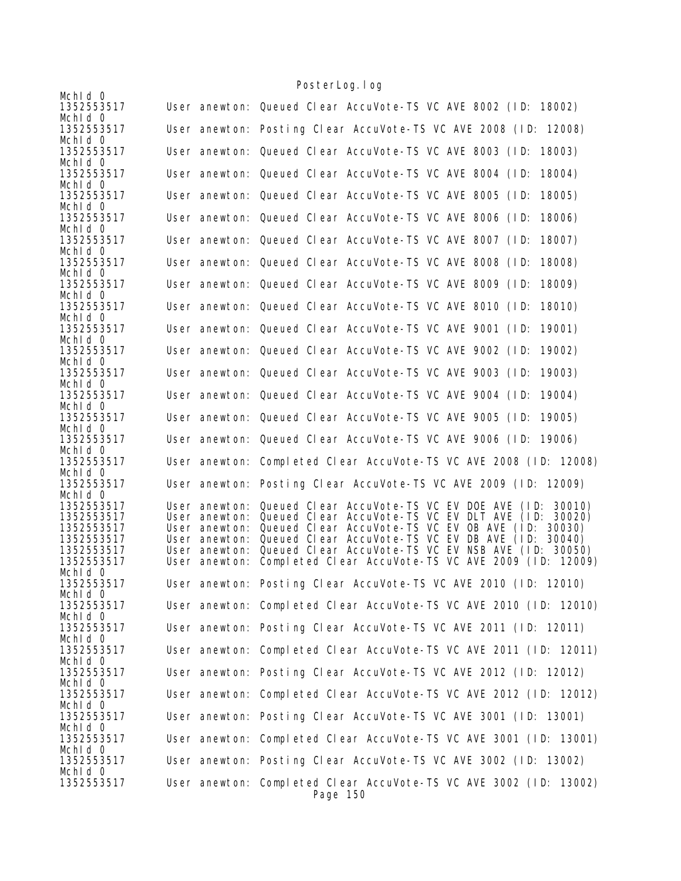| Mchid 0               | TUJICI LUYI TUY                                                               |
|-----------------------|-------------------------------------------------------------------------------|
| 1352553517<br>Mchld 0 | User anewton: Queued Clear AccuVote-TS VC AVE 8002 (ID: 18002)                |
| 1352553517<br>Mchid 0 | User anewton: Posting Clear AccuVote-TS VC AVE 2008 (ID: 12008)               |
| 1352553517            | User anewton: Queued Clear AccuVote-TS VC AVE 8003 (ID: 18003)                |
| Mchid 0<br>1352553517 | User anewton: Queued Clear AccuVote-TS VC AVE 8004 (ID:<br>18004)             |
| Mchid 0<br>1352553517 | User anewton: Queued Clear AccuVote-TS VC AVE 8005 (ID:<br>18005)             |
| Mchid 0<br>1352553517 | User anewton: Queued Clear AccuVote-TS VC AVE 8006 (ID:<br>18006)             |
| Mchid 0<br>1352553517 | User anewton: Queued Clear AccuVote-TS VC AVE 8007 (ID:<br>18007)             |
| Mchid 0<br>1352553517 | User anewton: Queued Clear AccuVote-TS VC AVE 8008 (ID:<br>18008)             |
| Mchid 0<br>1352553517 | User anewton: Queued Clear AccuVote-TS VC AVE 8009 (ID:<br>18009)             |
| Mchid 0<br>1352553517 | User anewton: Queued Clear AccuVote-TS VC AVE 8010 (ID:<br>18010)             |
| Mchld 0<br>1352553517 | User anewton: Queued Clear AccuVote-TS VC AVE 9001 (ID:<br>19001)             |
| Mchid 0<br>1352553517 | User anewton: Queued Clear AccuVote-TS VC AVE 9002 (ID:<br>19002)             |
| Mchid 0<br>1352553517 | User anewton: Queued Clear AccuVote-TS VC AVE 9003 (ID:<br>19003)             |
| Mchld 0<br>1352553517 | User anewton: Queued Clear AccuVote-TS VC AVE 9004 (ID:<br>19004)             |
| Mchid 0<br>1352553517 | User anewton: Queued Clear AccuVote-TS VC AVE 9005 (ID:<br>19005)             |
| Mchld 0<br>1352553517 | User anewton: Queued Clear AccuVote-TS VC AVE 9006 (ID: 19006)                |
| Mchld 0<br>1352553517 | User anewton: Completed Clear AccuVote-TS VC AVE 2008 (ID: 12008)             |
| Mchid 0<br>1352553517 | User anewton: Posting Clear AccuVote-TS VC AVE 2009 (ID: 12009)               |
| Mchid 0<br>1352553517 | User anewton: Queued Clear AccuVote-TS VC EV DOE AVE (ID: 30010)              |
|                       |                                                                               |
| 1352553517            | User anewton: Queued Clear AccuVote-TS VC EV DLT AVE (ID:<br>30020)           |
| 1352553517            | User anewton: Queued Clear AccuVote-TS VC EV OB AVE (ID: 30030)               |
| 1352553517            | User anewton: Queued Clear AccuVote-TS VC EV DB AVE (1D: 30040)               |
| 1352553517            | User anewton: Queued Clear AccuVote-TS VC EV NSB AVE (ID: 30050)              |
| 1352553517            | User anewton: Completed Clear AccuVote-TS VC AVE 2009 (ID: 12009)             |
| Mchid 0<br>1352553517 | User anewton: Posting Clear AccuVote-TS VC AVE 2010 (ID: 12010)               |
| Mchid 0<br>1352553517 | User anewton: Completed Clear AccuVote-TS VC AVE 2010 (ID: 12010)             |
| Mchid O               |                                                                               |
| 1352553517<br>Mchid 0 | User anewton: Posting Clear AccuVote-TS VC AVE 2011 (ID: 12011)               |
| 1352553517<br>Mchid 0 | User anewton: Completed Clear AccuVote-TS VC AVE 2011 (ID: 12011)             |
| 1352553517<br>Mchid 0 | User anewton: Posting Clear AccuVote-TS VC AVE 2012 (ID: 12012)               |
| 1352553517<br>Mchid 0 | User anewton: Completed Clear AccuVote-TS VC AVE 2012 (ID: 12012)             |
| 1352553517<br>Mchid 0 | User anewton: Posting Clear AccuVote-TS VC AVE 3001 (ID: 13001)               |
| 1352553517<br>Mchid 0 | User anewton: Completed Clear AccuVote-TS VC AVE 3001 (ID: 13001)             |
| 1352553517<br>Mchid 0 | User anewton: Posting Clear AccuVote-TS VC AVE 3002 (ID: 13002)               |
| 1352553517            | User anewton: Completed Clear AccuVote-TS VC AVE 3002 (ID: 13002)<br>Page 150 |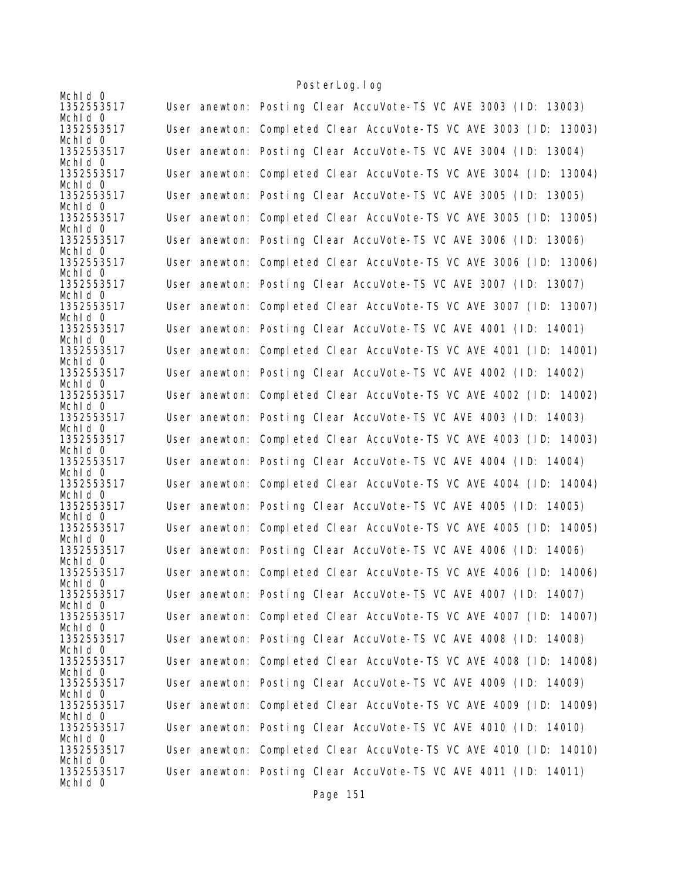| Mchid 0                          |                                                                   |
|----------------------------------|-------------------------------------------------------------------|
| 1352553517                       | User anewton: Posting Clear AccuVote-TS VC AVE 3003 (ID: 13003)   |
| Mchid 0<br>1352553517            | User anewton: Completed Clear AccuVote-TS VC AVE 3003 (ID: 13003) |
| Mchid 0<br>1352553517<br>Mchld 0 | User anewton: Posting Clear AccuVote-TS VC AVE 3004 (ID: 13004)   |
| 1352553517<br>Mchld 0            | User anewton: Completed Clear AccuVote-TS VC AVE 3004 (ID: 13004) |
| 1352553517<br>Mchid 0            | User anewton: Posting Clear AccuVote-TS VC AVE 3005 (ID: 13005)   |
| 1352553517<br>Mchid 0            | User anewton: Completed Clear AccuVote-TS VC AVE 3005 (ID: 13005) |
| 1352553517<br>Mchid 0            | User anewton: Posting Clear AccuVote-TS VC AVE 3006 (ID: 13006)   |
| 1352553517<br>Mchid 0            | User anewton: Completed Clear AccuVote-TS VC AVE 3006 (ID: 13006) |
| 1352553517<br>Mchid 0            | User anewton: Posting Clear AccuVote-TS VC AVE 3007 (ID: 13007)   |
| 1352553517<br>Mchid 0            | User anewton: Completed Clear AccuVote-TS VC AVE 3007 (ID: 13007) |
| 1352553517<br>Mchid 0            | User anewton: Posting Clear AccuVote-TS VC AVE 4001 (ID: 14001)   |
| 1352553517<br>Mchid 0            | User anewton: Completed Clear AccuVote-TS VC AVE 4001 (ID: 14001) |
| 1352553517<br>Mchid 0            | User anewton: Posting Clear AccuVote-TS VC AVE 4002 (ID: 14002)   |
| 1352553517<br>Mchid 0            | User anewton: Completed Clear AccuVote-TS VC AVE 4002 (ID: 14002) |
| 1352553517<br>Mchid 0            | User anewton: Posting Clear AccuVote-TS VC AVE 4003 (ID: 14003)   |
| 1352553517<br>Mchld 0            | User anewton: Completed Clear AccuVote-TS VC AVE 4003 (ID: 14003) |
| 1352553517<br>Mchid 0            | User anewton: Posting Clear AccuVote-TS VC AVE 4004 (ID: 14004)   |
| 1352553517<br>Mchid 0            | User anewton: Completed Clear AccuVote-TS VC AVE 4004 (ID: 14004) |
| 1352553517<br>Mchid 0            | User anewton: Posting Clear AccuVote-TS VC AVE 4005 (ID: 14005)   |
| 1352553517<br>Mchid 0            | User anewton: Completed Clear AccuVote-TS VC AVE 4005 (ID: 14005) |
| 1352553517<br>Mchid 0            | User anewton: Posting Clear AccuVote-TS VC AVE 4006 (ID: 14006)   |
| 1352553517<br>Mchid 0            | User anewton: Completed Clear AccuVote-TS VC AVE 4006 (ID: 14006) |
| 1352553517<br>Mchid 0            | User anewton: Posting Clear AccuVote-TS VC AVE 4007 (ID: 14007)   |
| 1352553517<br>Mchid 0            | User anewton: Completed Clear AccuVote-TS VC AVE 4007 (ID: 14007) |
| 1352553517<br>Mchld 0            | User anewton: Posting Clear AccuVote-TS VC AVE 4008 (ID: 14008)   |
| 1352553517<br>Mchid 0            | User anewton: Completed Clear AccuVote-TS VC AVE 4008 (ID: 14008) |
| 1352553517<br>Mchid 0            | User anewton: Posting Clear AccuVote-TS VC AVE 4009 (ID: 14009)   |
| 1352553517<br>Mchld 0            | User anewton: Completed Clear AccuVote-TS VC AVE 4009 (ID: 14009) |
| 1352553517<br>Mchid 0            | User anewton: Posting Clear AccuVote-TS VC AVE 4010 (ID: 14010)   |
| 1352553517<br>Mchid 0            | User anewton: Completed Clear AccuVote-TS VC AVE 4010 (ID: 14010) |
| 1352553517<br>Mchid 0            | User anewton: Posting Clear AccuVote-TS VC AVE 4011 (ID: 14011)   |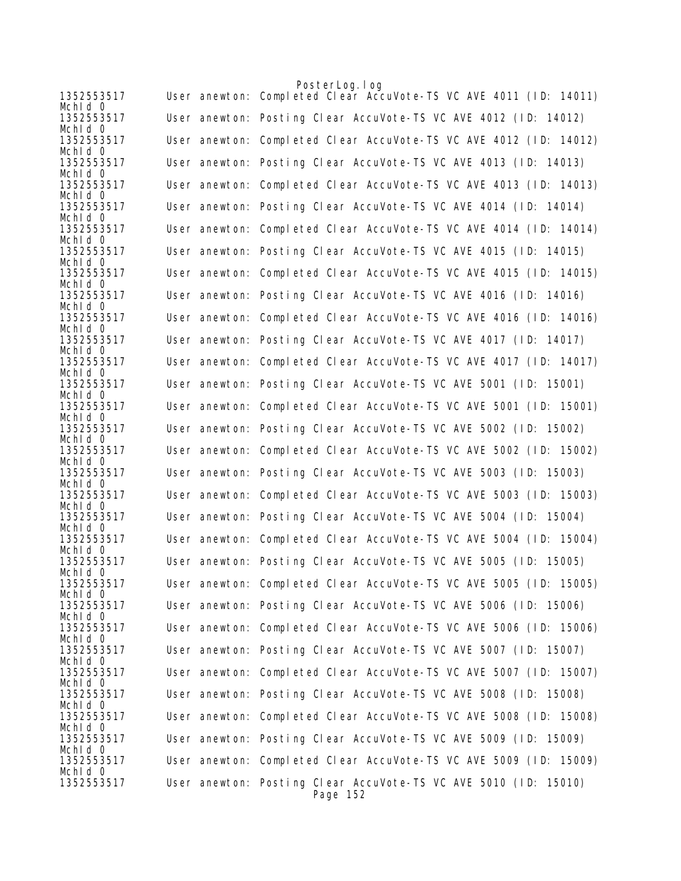|                       | PosterLog. log                                                              |
|-----------------------|-----------------------------------------------------------------------------|
| 1352553517<br>Mchid 0 | User anewton: Completed Clear AccuVote-TS VC AVE 4011 (ID: 14011)           |
| 1352553517<br>Mchid 0 | User anewton: Posting Clear AccuVote-TS VC AVE 4012 (ID: 14012)             |
| 1352553517<br>Mchid 0 | User anewton: Completed Clear AccuVote-TS VC AVE 4012 (ID: 14012)           |
| 1352553517            | User anewton: Posting Clear AccuVote-TS VC AVE 4013 (ID: 14013)             |
| Mchid O<br>1352553517 | User anewton: Completed Clear AccuVote-TS VC AVE 4013 (ID: 14013)           |
| Mchid 0<br>1352553517 | User anewton: Posting Clear AccuVote-TS VC AVE 4014 (ID: 14014)             |
| Mchld 0<br>1352553517 | User anewton: Completed Clear AccuVote-TS VC AVE 4014 (ID: 14014)           |
| Mchid O<br>1352553517 | User anewton: Posting Clear AccuVote-TS VC AVE 4015 (ID: 14015)             |
| Mchid 0<br>1352553517 | User anewton: Completed Clear AccuVote-TS VC AVE 4015 (ID: 14015)           |
| Mchld 0<br>1352553517 | User anewton: Posting Clear AccuVote-TS VC AVE 4016 (ID: 14016)             |
| Mchid O<br>1352553517 | User anewton: Completed Clear AccuVote-TS VC AVE 4016 (ID: 14016)           |
| Mchid 0               |                                                                             |
| 1352553517<br>Mchid 0 | User anewton: Posting Clear AccuVote-TS VC AVE 4017 (ID: 14017)             |
| 1352553517<br>Mchid 0 | User anewton: Completed Clear AccuVote-TS VC AVE 4017 (ID: 14017)           |
| 1352553517<br>Mchid O | User anewton: Posting Clear AccuVote-TS VC AVE 5001 (ID: 15001)             |
| 1352553517<br>Mchld 0 | User anewton: Completed Clear AccuVote-TS VC AVE 5001 (ID: 15001)           |
| 1352553517<br>Mchid 0 | User anewton: Posting Clear AccuVote-TS VC AVE 5002 (ID: 15002)             |
| 1352553517            | User anewton: Completed Clear AccuVote-TS VC AVE 5002 (ID: 15002)           |
| Mchid 0<br>1352553517 | User anewton: Posting Clear AccuVote-TS VC AVE 5003 (ID: 15003)             |
| Mchld 0<br>1352553517 | User anewton: Completed Clear AccuVote-TS VC AVE 5003 (ID: 15003)           |
| Mchid 0<br>1352553517 | User anewton: Posting Clear AccuVote-TS VC AVE 5004 (ID: 15004)             |
| Mchld 0<br>1352553517 | User anewton: Completed Clear AccuVote-TS VC AVE 5004 (ID: 15004)           |
| Mchid 0<br>1352553517 | User anewton: Posting Clear AccuVote-TS VC AVE 5005 (ID: 15005)             |
| Mchid 0<br>1352553517 | User anewton: Completed Clear AccuVote-TS VC AVE 5005 (ID: 15005)           |
| Mchid 0<br>1352553517 | User anewton: Posting Clear AccuVote-TS VC AVE 5006 (ID: 15006)             |
| Mchid 0               |                                                                             |
| 1352553517<br>Mchid 0 | User anewton: Completed Clear AccuVote-TS VC AVE 5006 (ID: 15006)           |
| 1352553517<br>Mchid 0 | User anewton: Posting Clear AccuVote-TS VC AVE 5007 (ID: 15007)             |
| 1352553517<br>Mchid 0 | User anewton: Completed Clear AccuVote-TS VC AVE 5007 (ID: 15007)           |
| 1352553517<br>Mchid 0 | User anewton: Posting Clear AccuVote-TS VC AVE 5008 (ID: 15008)             |
| 1352553517<br>Mchid 0 | User anewton: Completed Clear AccuVote-TS VC AVE 5008 (ID: 15008)           |
| 1352553517<br>Mchid 0 | User anewton: Posting Clear AccuVote-TS VC AVE 5009 (ID: 15009)             |
| 1352553517            | User anewton: Completed Clear AccuVote-TS VC AVE 5009 (ID: 15009)           |
| Mchid 0<br>1352553517 | User anewton: Posting Clear AccuVote-TS VC AVE 5010 (ID: 15010)<br>Page 152 |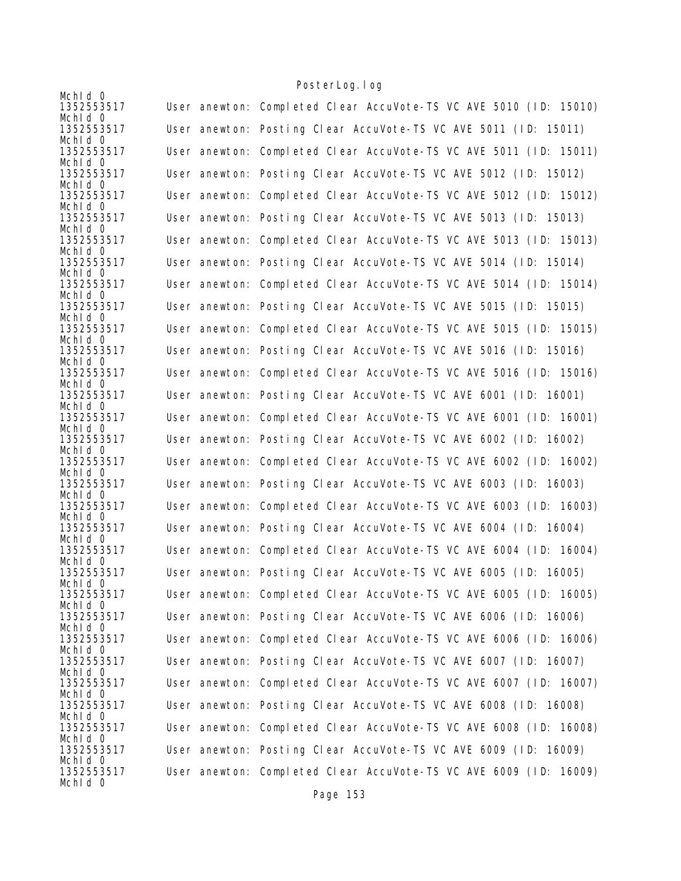| Mchid 0               |                                                                   |
|-----------------------|-------------------------------------------------------------------|
| 1352553517            | User anewton: Completed Clear AccuVote-TS VC AVE 5010 (ID: 15010) |
| Mchid 0<br>1352553517 | User anewton: Posting Clear AccuVote-TS VC AVE 5011 (ID: 15011)   |
| Mchid 0<br>1352553517 | User anewton: Completed Clear AccuVote-TS VC AVE 5011 (ID: 15011) |
| Mchld 0<br>1352553517 | User anewton: Posting Clear AccuVote-TS VC AVE 5012 (ID: 15012)   |
| Mchld 0<br>1352553517 | User anewton: Completed Clear AccuVote-TS VC AVE 5012 (ID: 15012) |
| Mchid 0<br>1352553517 | User anewton: Posting Clear AccuVote-TS VC AVE 5013 (ID: 15013)   |
| Mchid 0<br>1352553517 | User anewton: Completed Clear AccuVote-TS VC AVE 5013 (ID: 15013) |
| Mchid 0<br>1352553517 | User anewton: Posting Clear AccuVote-TS VC AVE 5014 (ID: 15014)   |
| Mchid 0<br>1352553517 | User anewton: Completed Clear AccuVote-TS VC AVE 5014 (ID: 15014) |
| Mchid 0<br>1352553517 | User anewton: Posting Clear AccuVote-TS VC AVE 5015 (ID: 15015)   |
| Mchid 0               |                                                                   |
| 1352553517<br>Mchid 0 | User anewton: Completed Clear AccuVote-TS VC AVE 5015 (ID: 15015) |
| 1352553517<br>Mchid 0 | User anewton: Posting Clear AccuVote-TS VC AVE 5016 (ID: 15016)   |
| 1352553517<br>Mchid 0 | User anewton: Completed Clear AccuVote-TS VC AVE 5016 (ID: 15016) |
| 1352553517<br>Mchid 0 | User anewton: Posting Clear AccuVote-TS VC AVE 6001 (ID: 16001)   |
| 1352553517<br>Mchid 0 | User anewton: Completed Clear AccuVote-TS VC AVE 6001 (ID: 16001) |
| 1352553517<br>Mchld 0 | User anewton: Posting Clear AccuVote-TS VC AVE 6002 (ID: 16002)   |
| 1352553517            | User anewton: Completed Clear AccuVote-TS VC AVE 6002 (ID: 16002) |
| Mchid 0<br>1352553517 | User anewton: Posting Clear AccuVote-TS VC AVE 6003 (ID: 16003)   |
| Mchid 0<br>1352553517 | User anewton: Completed Clear AccuVote-TS VC AVE 6003 (ID: 16003) |
| Mchld 0<br>1352553517 | User anewton: Posting Clear AccuVote-TS VC AVE 6004 (ID: 16004)   |
| Mchid 0<br>1352553517 | User anewton: Completed Clear AccuVote-TS VC AVE 6004 (ID: 16004) |
| Mchid 0<br>1352553517 | User anewton: Posting Clear AccuVote-TS VC AVE 6005 (ID: 16005)   |
| Mchid 0<br>1352553517 | User anewton: Completed Clear AccuVote-TS VC AVE 6005 (ID: 16005) |
| Mchid 0<br>1352553517 | User anewton: Posting Clear AccuVote-TS VC AVE 6006 (ID: 16006)   |
| Mchid 0<br>1352553517 | User anewton: Completed Clear AccuVote-TS VC AVE 6006 (ID: 16006) |
| Mchld 0<br>1352553517 | User anewton: Posting Clear AccuVote-TS VC AVE 6007 (ID: 16007)   |
| Mchid 0<br>1352553517 | User anewton: Completed Clear AccuVote-TS VC AVE 6007 (ID: 16007) |
| Mchid 0<br>1352553517 | User anewton: Posting Clear AccuVote-TS VC AVE 6008 (ID: 16008)   |
| Mchld 0<br>1352553517 | User anewton: Completed Clear AccuVote-TS VC AVE 6008 (ID: 16008) |
| Mchid 0<br>1352553517 | User anewton: Posting Clear AccuVote-TS VC AVE 6009 (ID: 16009)   |
| Mchid 0<br>1352553517 | User anewton: Completed Clear AccuVote-TS VC AVE 6009 (ID: 16009) |
| Mchid 0               |                                                                   |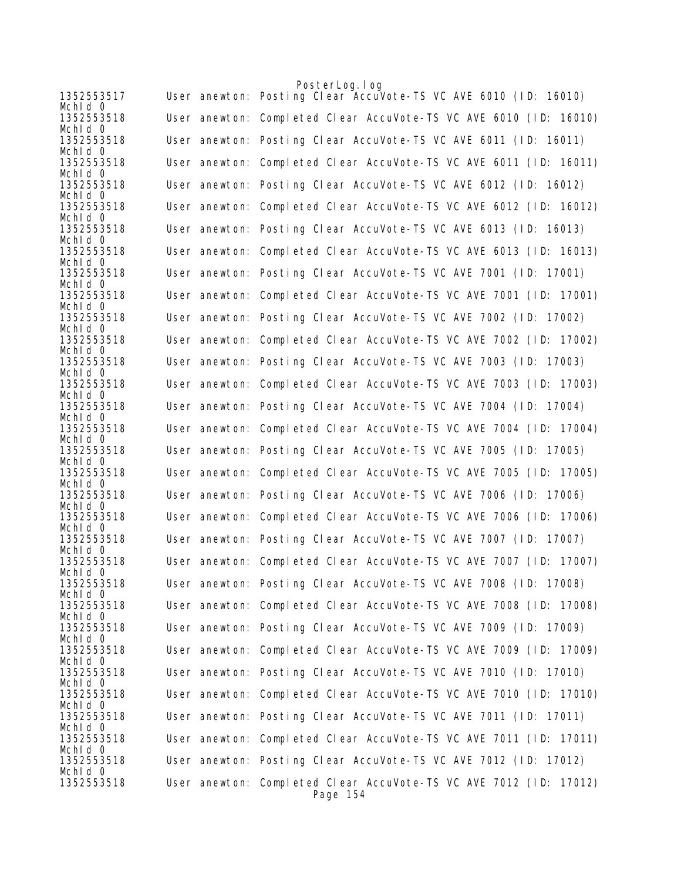|                       | PosterLog.log                                                     |
|-----------------------|-------------------------------------------------------------------|
| 1352553517<br>Mchid 0 | User anewton: Posting Clear AccuVote-TS VC AVE 6010 (ID: 16010)   |
| 1352553518<br>Mchid 0 | User anewton: Completed Clear AccuVote-TS VC AVE 6010 (ID: 16010) |
| 1352553518<br>Mchld 0 | User anewton: Posting Clear AccuVote-TS VC AVE 6011 (ID: 16011)   |
| 1352553518            | User anewton: Completed Clear AccuVote-TS VC AVE 6011 (ID: 16011) |
| Mchid 0<br>1352553518 | User anewton: Posting Clear AccuVote-TS VC AVE 6012 (ID: 16012)   |
| Mchid 0<br>1352553518 | User anewton: Completed Clear AccuVote-TS VC AVE 6012 (ID: 16012) |
| Mchid 0<br>1352553518 | User anewton: Posting Clear AccuVote-TS VC AVE 6013 (ID: 16013)   |
| Mchid 0<br>1352553518 | User anewton: Completed Clear AccuVote-TS VC AVE 6013 (ID: 16013) |
| Mchid 0               | User anewton: Posting Clear AccuVote-TS VC AVE 7001 (ID: 17001)   |
| 1352553518<br>Mchid O |                                                                   |
| 1352553518<br>Mchid 0 | User anewton: Completed Clear AccuVote-TS VC AVE 7001 (ID: 17001) |
| 1352553518<br>Mchld 0 | User anewton: Posting Clear AccuVote-TS VC AVE 7002 (ID: 17002)   |
| 1352553518<br>Mchld 0 | User anewton: Completed Clear AccuVote-TS VC AVE 7002 (ID: 17002) |
| 1352553518<br>Mchid 0 | User anewton: Posting Clear AccuVote-TS VC AVE 7003 (ID: 17003)   |
| 1352553518            | User anewton: Completed Clear AccuVote-TS VC AVE 7003 (ID: 17003) |
| Mchld 0<br>1352553518 | User anewton: Posting Clear AccuVote-TS VC AVE 7004 (ID: 17004)   |
| Mchid O<br>1352553518 | User anewton: Completed Clear AccuVote-TS VC AVE 7004 (ID: 17004) |
| Mchid 0<br>1352553518 | User anewton: Posting Clear AccuVote-TS VC AVE 7005 (ID: 17005)   |
| Mchid 0<br>1352553518 | User anewton: Completed Clear AccuVote-TS VC AVE 7005 (ID: 17005) |
| Mchld 0<br>1352553518 | User anewton: Posting Clear AccuVote-TS VC AVE 7006 (ID: 17006)   |
| Mchid 0<br>1352553518 | User anewton: Completed Clear AccuVote-TS VC AVE 7006 (ID: 17006) |
| Mchid 0<br>1352553518 | User anewton: Posting Clear AccuVote-TS VC AVE 7007 (ID: 17007)   |
| Mchld 0<br>1352553518 | User anewton: Completed Clear AccuVote-TS VC AVE 7007 (ID: 17007) |
| Mchid 0               |                                                                   |
| 1352553518<br>Mchld 0 | User anewton: Posting Clear AccuVote-TS VC AVE 7008 (ID: 17008)   |
| 1352553518<br>Mchld 0 | User anewton: Completed Clear AccuVote-TS VC AVE 7008 (ID: 17008) |
| 1352553518<br>Mchid 0 | User anewton: Posting Clear AccuVote-TS VC AVE 7009 (ID: 17009)   |
| 1352553518<br>Mchid 0 | User anewton: Completed Clear AccuVote-TS VC AVE 7009 (ID: 17009) |
| 1352553518<br>Mchid 0 | User anewton: Posting Clear AccuVote-TS VC AVE 7010 (ID: 17010)   |
| 1352553518<br>Mchid 0 | User anewton: Completed Clear AccuVote-TS VC AVE 7010 (ID: 17010) |
| 1352553518            | User anewton: Posting Clear AccuVote-TS VC AVE 7011 (ID: 17011)   |
| Mchid O<br>1352553518 | User anewton: Completed Clear AccuVote-TS VC AVE 7011 (ID: 17011) |
| Mchid 0<br>1352553518 | User anewton: Posting Clear AccuVote-TS VC AVE 7012 (ID: 17012)   |
| Mchid 0<br>1352553518 | User anewton: Completed Clear AccuVote-TS VC AVE 7012 (ID: 17012) |
|                       | Page 154                                                          |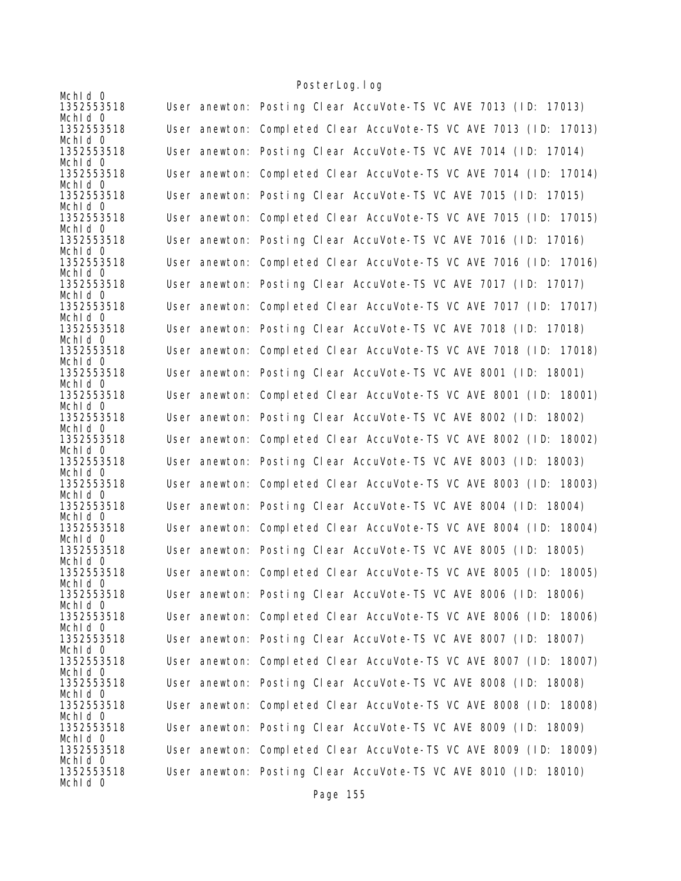| Mchid 0               |                                                                   |
|-----------------------|-------------------------------------------------------------------|
| 1352553518<br>Mchid 0 | User anewton: Posting Clear AccuVote-TS VC AVE 7013 (ID: 17013)   |
| 1352553518<br>Mchid 0 | User anewton: Completed Clear AccuVote-TS VC AVE 7013 (ID: 17013) |
| 1352553518<br>Mchid 0 | User anewton: Posting Clear AccuVote-TS VC AVE 7014 (ID: 17014)   |
| 1352553518<br>Mchld 0 | User anewton: Completed Clear AccuVote-TS VC AVE 7014 (ID: 17014) |
| 1352553518<br>Mchid 0 | User anewton: Posting Clear AccuVote-TS VC AVE 7015 (ID: 17015)   |
| 1352553518<br>Mchid 0 | User anewton: Completed Clear AccuVote-TS VC AVE 7015 (ID: 17015) |
| 1352553518<br>Mchid 0 | User anewton: Posting Clear AccuVote-TS VC AVE 7016 (ID: 17016)   |
| 1352553518<br>Mchid 0 | User anewton: Completed Clear AccuVote-TS VC AVE 7016 (ID: 17016) |
| 1352553518<br>Mchid 0 | User anewton: Posting Clear AccuVote-TS VC AVE 7017 (ID: 17017)   |
| 1352553518<br>Mchid 0 | User anewton: Completed Clear AccuVote-TS VC AVE 7017 (ID: 17017) |
| 1352553518<br>Mchid 0 | User anewton: Posting Clear AccuVote-TS VC AVE 7018 (ID: 17018)   |
| 1352553518<br>Mchid 0 | User anewton: Completed Clear AccuVote-TS VC AVE 7018 (ID: 17018) |
| 1352553518<br>Mchid 0 | User anewton: Posting Clear AccuVote-TS VC AVE 8001 (ID: 18001)   |
| 1352553518<br>Mchid 0 | User anewton: Completed Clear AccuVote-TS VC AVE 8001 (ID: 18001) |
| 1352553518<br>Mchid 0 | User anewton: Posting Clear AccuVote-TS VC AVE 8002 (ID: 18002)   |
| 1352553518<br>Mchld 0 | User anewton: Completed Clear AccuVote-TS VC AVE 8002 (ID: 18002) |
| 1352553518<br>Mchid 0 | User anewton: Posting Clear AccuVote-TS VC AVE 8003 (ID: 18003)   |
| 1352553518<br>Mchid 0 | User anewton: Completed Clear AccuVote-TS VC AVE 8003 (ID: 18003) |
| 1352553518<br>Mchid 0 | User anewton: Posting Clear AccuVote-TS VC AVE 8004 (ID: 18004)   |
| 1352553518<br>Mchid 0 | User anewton: Completed Clear AccuVote-TS VC AVE 8004 (ID: 18004) |
| 1352553518<br>Mchld 0 | User anewton: Posting Clear AccuVote-TS VC AVE 8005 (ID: 18005)   |
| 1352553518<br>Mchid 0 | User anewton: Completed Clear AccuVote-TS VC AVE 8005 (ID: 18005) |
| 1352553518<br>Mchid 0 | User anewton: Posting Clear AccuVote-TS VC AVE 8006 (ID: 18006)   |
| 1352553518<br>Mchid 0 | User anewton: Completed Clear AccuVote-TS VC AVE 8006 (ID: 18006) |
| 1352553518<br>Mchld 0 | User anewton: Posting Clear AccuVote-TS VC AVE 8007 (ID: 18007)   |
| 1352553518<br>Mchid 0 | User anewton: Completed Clear AccuVote-TS VC AVE 8007 (ID: 18007) |
| 1352553518<br>Mchid 0 | User anewton: Posting Clear AccuVote-TS VC AVE 8008 (ID: 18008)   |
| 1352553518<br>Mchld 0 | User anewton: Completed Clear AccuVote-TS VC AVE 8008 (ID: 18008) |
| 1352553518<br>Mchid 0 | User anewton: Posting Clear AccuVote-TS VC AVE 8009 (ID: 18009)   |
| 1352553518<br>Mchid 0 | User anewton: Completed Clear AccuVote-TS VC AVE 8009 (ID: 18009) |
| 1352553518<br>Mchid 0 | User anewton: Posting Clear AccuVote-TS VC AVE 8010 (ID: 18010)   |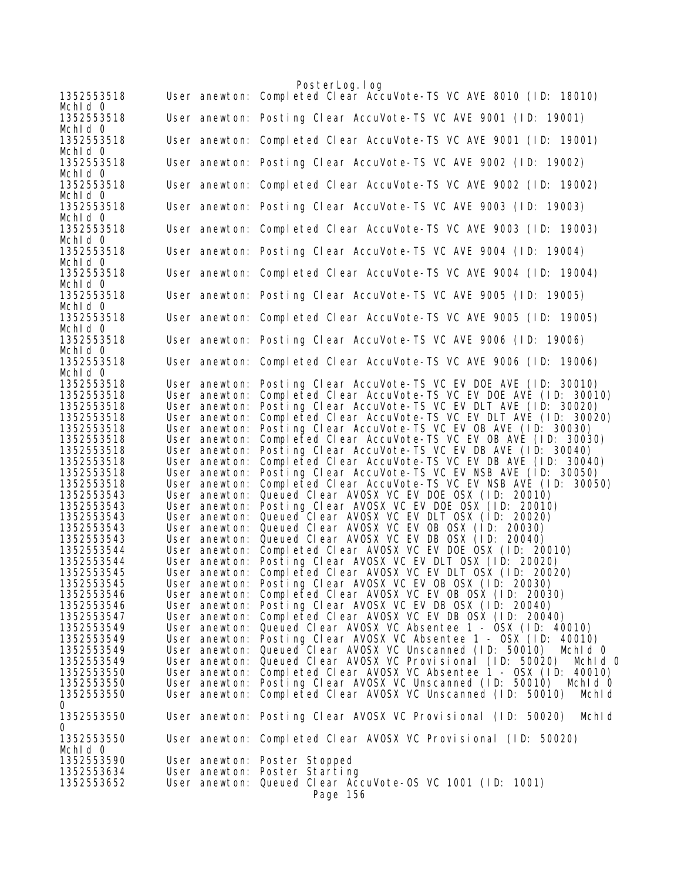|                          |                                | PosterLog.log                                                                                                |
|--------------------------|--------------------------------|--------------------------------------------------------------------------------------------------------------|
| 1352553518<br>Mchid 0    |                                | User anewton: Completed Clear AccuVote-TS VC AVE 8010 (ID: 18010)                                            |
| 1352553518<br>Mchid 0    |                                | User anewton: Posting Clear AccuVote-TS VC AVE 9001 (ID: 19001)                                              |
| 1352553518<br>Mchid 0    |                                | User anewton: Completed Clear AccuVote-TS VC AVE 9001 (ID: 19001)                                            |
| 1352553518<br>Mchid 0    |                                | User anewton: Posting Clear AccuVote-TS VC AVE 9002 (ID: 19002)                                              |
| 1352553518<br>Mchid 0    |                                | User anewton: Completed Clear AccuVote-TS VC AVE 9002 (ID: 19002)                                            |
| 1352553518<br>Mchid 0    |                                | User anewton: Posting Clear AccuVote-TS VC AVE 9003 (ID: 19003)                                              |
| 1352553518<br>Mchid 0    |                                | User anewton: Completed Clear AccuVote-TS VC AVE 9003 (ID: 19003)                                            |
| 1352553518<br>Mchid 0    |                                | User anewton: Posting Clear AccuVote-TS VC AVE 9004 (ID: 19004)                                              |
| 1352553518<br>Mchid 0    |                                | User anewton: Completed Clear AccuVote-TS VC AVE 9004 (ID: 19004)                                            |
| 1352553518<br>Mchid 0    |                                | User anewton: Posting Clear AccuVote-TS VC AVE 9005 (ID: 19005)                                              |
| 1352553518<br>Mchid 0    |                                | User anewton: Completed Clear AccuVote-TS VC AVE 9005 (ID: 19005)                                            |
| 1352553518<br>Mchid 0    |                                | User anewton: Posting Clear AccuVote-TS VC AVE 9006 (ID: 19006)                                              |
| 1352553518<br>Mchid 0    |                                | User anewton: Completed Clear AccuVote-TS VC AVE 9006 (ID: 19006)                                            |
| 1352553518               | User anewton:                  | Posting Clear AccuVote-TS VC EV DOE AVE (ID: 30010)                                                          |
| 1352553518<br>1352553518 | User anewton:<br>User anewton: | Completed Clear AccuVote-TS VC EV DOE AVE (ID: 30010)<br>Posting Clear AccuVote-TS VC EV DLT AVE (ID: 30020) |
| 1352553518               | User anewton:                  | Completed Clear AccuVote-TS VC EV DLT AVE (ID: 30020)                                                        |
| 1352553518               | User anewton:                  | Posting Clear AccuVote-TS VC EV OB AVE (ID: 30030)                                                           |
| 1352553518               | User anewton:                  | Completed Clear AccuVote-TS VC EV OB AVE (ID: 30030)                                                         |
| 1352553518               | User anewton:                  | Posting Clear AccuVote-TS VC EV DB AVE (ID: 30040)                                                           |
| 1352553518               | User anewton:                  | Completed Clear AccuVote-TS VC EV DB AVE (ID: 30040)                                                         |
| 1352553518               | User anewton:                  | Posting Clear AccuVote-TS VC EV NSB AVE (ID: 30050)                                                          |
| 1352553518               | User anewton:                  | Completed Clear AccuVote-TS VC EV NSB AVE (ID: 30050)                                                        |
| 1352553543               | User anewton:                  | Queued Clear AVOSX VC EV DOE OSX (ID: 20010)                                                                 |
| 1352553543               | User anewton:                  | Posting Clear AVOSX VC EV DOE OSX (ID: 20010)                                                                |
| 1352553543               | User anewton:                  | Queued Clear AVOSX VC EV DLT OSX (ID: 20020)                                                                 |
| 1352553543               | User anewton:                  | Queued Clear AVOSX VC EV OB OSX (ID: 20030)                                                                  |
| 1352553543               | User anewton:                  | Queued Clear AVOSX VC EV DB OSX (ID: 20040)                                                                  |
| 1352553544               | User anewton:                  | Completed Clear AVOSX VC EV DOE OSX (ID: 20010)                                                              |
| 1352553544               | User anewton:                  | Posting Clear AVOSX VC EV DLT OSX (ID: 20020)                                                                |
| 1352553545               | User anewton:                  | Completed Clear AVOSX VC EV DLT OSX (ID: 20020)                                                              |
| 1352553545               | User anewton:                  | Posting Clear AVOSX VC EV OB OSX (ID: 20030)                                                                 |
| 1352553546               |                                | User anewton: Completed Clear AVOSX VC EV OB OSX (ID: 20030)                                                 |
| 1352553546               |                                | User anewton: Posting Clear AVOSX VC EV DB OSX (ID: 20040)                                                   |
| 1352553547               | User anewton:                  | Completed Clear AVOSX VC EV DB OSX (ID: 20040)                                                               |
| 1352553549               |                                | User anewton: Queued Clear AVOSX VC Absentee 1 - OSX (ID: 40010)                                             |
| 1352553549               |                                | User anewton: Posting Clear AVOSX VC Absentee 1 - OSX (ID: 40010)                                            |
| 1352553549               | User anewton:                  | Queued Clear AVOSX VC Unscanned (ID: 50010)<br>Mchid 0                                                       |
| 1352553549               |                                | User anewton: Queued Clear AVOSX VC Provisional (ID: 50020)<br>Mchld O                                       |
| 1352553550               |                                | User anewton: Completed Clear AVOSX VC Absentee 1 - OSX (ID: 40010)                                          |
| 1352553550               |                                | User anewton: Posting Clear AVOSX VC Unscanned (ID: 50010)<br>Mchid 0                                        |
| 1352553550<br>0          | User anewton:                  | Completed Clear AVOSX VC Unscanned (ID: 50010)<br>MchI d                                                     |
| 1352553550<br>0          |                                | User anewton: Posting Clear AVOSX VC Provisional (ID: 50020)<br>Mchld                                        |
| 1352553550<br>Mchid 0    |                                | User anewton: Completed Clear AVOSX VC Provisional (ID: 50020)                                               |
| 1352553590               |                                | User anewton: Poster Stopped                                                                                 |
| 1352553634               |                                | User anewton: Poster Starting                                                                                |
| 1352553652               |                                | User anewton: Queued Clear AccuVote-OS VC 1001 (ID: 1001)<br>Page 156                                        |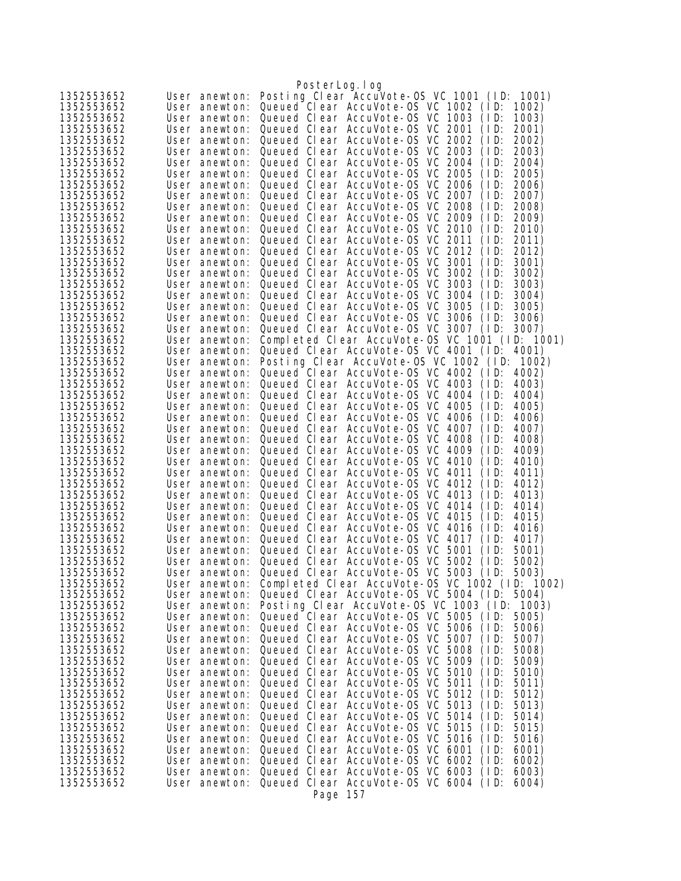|                          |                                | PosterLog.log                                                                                          |
|--------------------------|--------------------------------|--------------------------------------------------------------------------------------------------------|
| 1352553652               | User anewton:                  | Posting Clear AccuVote-OS VC 1001 (ID:<br>1001)                                                        |
| 1352553652               | User anewton:                  | Queued Clear AccuVote-OS VC 1002 (ID:<br>1002)                                                         |
| 1352553652               | User anewton:                  | Queued Clear AccuVote-0S VC 1003<br>(1D)<br>1003)                                                      |
| 1352553652               | User anewton:                  | Queued Clear AccuVote-OS VC 2001<br>2001)<br>(1D)                                                      |
| 1352553652               | User anewton:                  | Queued Clear AccuVote-0S VC 2002<br>(1D)<br>2002)                                                      |
| 1352553652               | User anewton:                  | Queued Clear AccuVote-OS VC 2003<br>(1D)<br>2003)                                                      |
| 1352553652               | User anewton:                  | Queued Clear AccuVote-OS VC 2004<br>2004)<br>(1D)                                                      |
| 1352553652               | User anewton:                  | Queued Clear AccuVote-OS VC 2005<br>(1D)<br>2005)                                                      |
| 1352553652               | User anewton:                  | Queued Clear AccuVote-0S VC 2006<br>(1D)<br>2006)<br>2007)                                             |
| 1352553652<br>1352553652 | User anewton:<br>User anewton: | Queued Clear AccuVote-0S VC 2007<br>(ID:<br>Queued Clear AccuVote-0S VC 2008<br>2008)<br>(1D)          |
| 1352553652               | User anewton:                  | Queued Clear AccuVote-OS VC 2009<br>2009)<br>(1D)                                                      |
| 1352553652               | User anewton:                  | Queued Clear AccuVote-OS VC 2010<br>(1D)<br>2010)                                                      |
| 1352553652               | User anewton:                  | Queued Clear AccuVote-OS VC 2011<br>(1D)<br>2011)                                                      |
| 1352553652               | User anewton:                  | Queued Clear AccuVote-OS VC 2012<br>2012)<br>(1D)                                                      |
| 1352553652               | User anewton:                  | Queued Clear AccuVote-OS VC 3001<br>(1D)<br>3001)                                                      |
| 1352553652               | User anewton:                  | Queued Clear AccuVote-OS VC 3002<br>3002)<br>(1D)                                                      |
| 1352553652               | User anewton:                  | Queued Clear AccuVote-OS VC<br>3003<br>3003)<br>(1D)                                                   |
| 1352553652               | User anewton:                  | Queued Clear AccuVote-OS VC 3004<br>(1D)<br>3004)                                                      |
| 1352553652               | User anewton:                  | Queued Clear AccuVote-0S VC 3005<br>3005)<br>(1D)                                                      |
| 1352553652               | User anewton:                  | Queued Clear AccuVote-OS VC 3006<br>3006)<br>(1D)                                                      |
| 1352553652               | User anewton:                  | Queued Clear AccuVote-OS VC 3007 (ID:<br>3007)                                                         |
| 1352553652               | User anewton:                  | Completed Clear AccuVote-0S VC 1001 (ID: 1001)                                                         |
| 1352553652               | User anewton:                  | Queued Clear AccuVote-OS VC 4001 (ID:<br>4001)                                                         |
| 1352553652               | User anewton:                  | Posting Clear AccuVote-OS VC 1002 (ID: 1002)<br>Queued Clear AccuVote-OS VC 4002 (ID:                  |
| 1352553652<br>1352553652 | User anewton:<br>User anewton: | 4002)<br>Queued Clear AccuVote-OS VC 4003<br>(1D)<br>4003)                                             |
| 1352553652               | User anewton:                  | Queued Clear AccuVote-OS VC 4004<br>(1D)<br>4004)                                                      |
| 1352553652               | User anewton:                  | Queued Clear AccuVote-OS VC 4005<br>(1D)<br>4005)                                                      |
| 1352553652               | User anewton:                  | Queued Clear AccuVote-OS VC 4006<br>(ID:<br>4006)                                                      |
| 1352553652               | User anewton:                  | Queued Clear AccuVote-0S VC 4007<br>(1D)<br>4007)                                                      |
| 1352553652               | User anewton:                  | Queued Clear AccuVote-0S VC 4008<br>(1D)<br>4008)                                                      |
| 1352553652               | User anewton:                  | Queued Clear AccuVote-OS VC 4009<br>(1D)<br>4009)                                                      |
| 1352553652               | User anewton:                  | Queued Clear AccuVote-OS VC 4010<br>(1D)<br>4010)                                                      |
| 1352553652               | User anewton:                  | Queued Clear AccuVote-OS VC 4011<br>(1D)<br>4011)                                                      |
| 1352553652               | User anewton:                  | Queued Clear AccuVote-OS VC 4012<br>(1D)<br>4012)                                                      |
| 1352553652               | User anewton:                  | Queued Clear AccuVote-OS VC 4013<br>(1D)<br>4013)<br>(1D)                                              |
| 1352553652<br>1352553652 | User anewton:<br>User anewton: | Queued Clear AccuVote-OS VC 4014<br>4014)<br>Queued Clear AccuVote-OS VC 4015<br>(ID:<br>4015)         |
| 1352553652               | User anewton:                  | Queued Clear AccuVote-OS VC 4016<br>(1D)<br>4016)                                                      |
| 1352553652               | User anewton:                  | Queued Clear AccuVote-OS VC 4017<br>(1D)<br>4017)                                                      |
| 1352553652               | User anewton:                  | Queued Clear AccuVote-0S VC 5001<br>(1D)<br>5001)                                                      |
| 1352553652               | User anewton:                  | Queued Clear AccuVote-0S VC 5002<br>(1D)<br>5002)                                                      |
| 1352553652               | User anewton:                  | Queued Clear AccuVote-OS VC 5003 (ID:<br>5003)                                                         |
| 1352553652               | User anewton:                  | Completed Clear AccuVote-OS VC 1002 (ID: 1002)                                                         |
| 1352553652               | User anewton:                  | Queued Clear AccuVote-OS VC 5004 (ID: 5004)                                                            |
| 1352553652               | User anewton:                  | Posting Clear AccuVote-OS VC 1003 (ID: 1003)                                                           |
| 1352553652               | User anewton:                  | Queued Clear AccuVote-0S VC 5005 (ID:<br>5005)                                                         |
| 1352553652               | User anewton:                  | Queued Clear AccuVote-OS VC 5006<br>(1D)<br>5006)                                                      |
| 1352553652               | User anewton:<br>User anewton: | Queued Clear AccuVote-0S VC 5007<br>(1D)<br>5007)                                                      |
| 1352553652<br>1352553652 | User anewton:                  | Queued Clear AccuVote-0S VC 5008<br>(1D)<br>5008)<br>Queued Clear AccuVote-OS VC 5009<br>(1D)<br>5009) |
| 1352553652               | User anewton:                  | Queued Clear AccuVote-OS VC 5010<br>(1D)<br>5010)                                                      |
| 1352553652               | User anewton:                  | Queued Clear AccuVote-OS VC 5011<br>(1D)<br>5011)                                                      |
| 1352553652               | User anewton:                  | Queued Clear AccuVote-OS VC 5012<br>(1D)<br>5012)                                                      |
| 1352553652               | User anewton:                  | Queued Clear AccuVote-OS VC 5013<br>(1D)<br>5013)                                                      |
| 1352553652               | User anewton:                  | Queued Clear AccuVote-0S VC 5014<br>(1D)<br>5014)                                                      |
| 1352553652               | User anewton:                  | Queued Clear AccuVote-0S VC 5015<br>(1D)<br>5015)                                                      |
| 1352553652               | User anewton:                  | Queued Clear AccuVote-OS VC 5016<br>(1D)<br>5016)                                                      |
| 1352553652               | User anewton:                  | Queued Clear AccuVote-0S VC 6001<br>6001)<br>(1D)                                                      |
| 1352553652               | User anewton:                  | Queued Clear AccuVote-0S VC 6002<br>(1D)<br>6002)                                                      |
| 1352553652               | User anewton:                  | Queued Clear AccuVote-0S VC 6003<br>(1D)<br>6003)                                                      |
| 1352553652               | User anewton:                  | Queued Clear AccuVote-OS VC 6004 (ID:<br>6004)                                                         |
|                          |                                | Page 157                                                                                               |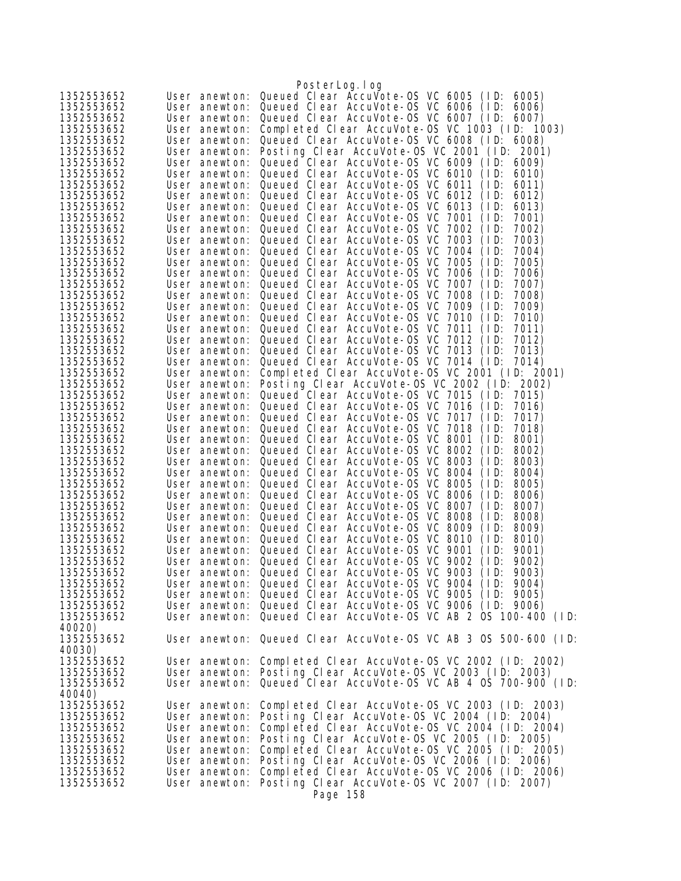|                          |                                | PosterLog.log                                                                                          |
|--------------------------|--------------------------------|--------------------------------------------------------------------------------------------------------|
| 1352553652               | User anewton:                  | Queued Clear AccuVote-OS VC 6005<br>(1D)<br>6005)                                                      |
| 1352553652               | User anewton:                  | Queued Clear AccuVote-OS VC 6006 (ID:<br>6006)                                                         |
| 1352553652               | User anewton:                  | Queued Clear AccuVote-OS VC 6007 (ID:<br>6007)                                                         |
| 1352553652               | User anewton:                  | Completed Clear AccuVote-OS VC 1003 (ID: 1003)                                                         |
| 1352553652               | User anewton:                  | Queued Clear AccuVote-0S VC 6008 (ID: 6008)                                                            |
| 1352553652               | User anewton:                  | Posting Clear AccuVote-OS VC 2001 (ID: 2001)                                                           |
| 1352553652               | User anewton:                  | Queued Clear AccuVote-OS VC 6009 (ID:<br>6009)                                                         |
| 1352553652               | User anewton:                  | Queued Clear AccuVote-OS VC 6010<br>(1D)<br>6010)                                                      |
| 1352553652               | User anewton:                  | Queued Clear AccuVote-0S VC 6011<br>(1D)<br>6011)                                                      |
| 1352553652               | User anewton:                  | Queued Clear AccuVote-OS VC 6012<br>(1D)<br>6012)                                                      |
| 1352553652               | User anewton:                  | Queued Clear AccuVote-OS VC 6013<br>(1D)<br>6013)                                                      |
| 1352553652               | User anewton:                  | Queued Clear AccuVote-0S VC 7001<br>(1D)<br>7001)                                                      |
| 1352553652               | User anewton:                  | Queued Clear AccuVote-OS VC 7002<br>(1D)<br>7002)                                                      |
| 1352553652               | User anewton:                  | Queued Clear AccuVote-OS VC<br>7003<br>(1D)<br>7003)                                                   |
| 1352553652               | User anewton:                  | Queued Clear AccuVote-OS VC 7004<br>(1D)<br>7004)                                                      |
| 1352553652               | User anewton:                  | Queued Clear AccuVote-0S VC 7005<br>7005)<br>(1D)                                                      |
| 1352553652               | User anewton:                  | Queued Clear AccuVote-0S VC 7006<br>(1D)<br>7006)                                                      |
| 1352553652               | User anewton:                  | Queued Clear AccuVote-OS VC 7007<br>(1D)<br>7007)                                                      |
| 1352553652               | User anewton:                  | Queued Clear AccuVote-OS VC 7008<br>7008)<br>(1D)                                                      |
| 1352553652               | User anewton:                  | Queued Clear AccuVote-OS VC<br>7009<br>(1D)<br>7009)                                                   |
| 1352553652               | User anewton:                  | Queued Clear AccuVote-OS VC 7010<br>(1D)<br>7010)                                                      |
| 1352553652               | User anewton:                  | Queued Clear AccuVote-0S VC 7011<br>7011)<br>(1D)                                                      |
| 1352553652               | User anewton:                  | Queued Clear AccuVote-OS VC 7012<br>(1D)<br>7012)                                                      |
| 1352553652               | User anewton:                  | Queued Clear AccuVote-OS VC 7013<br>(1D)<br>7013)                                                      |
| 1352553652               | User anewton:                  | Queued Clear AccuVote-OS VC 7014 (ID:<br>7014)                                                         |
| 1352553652               | User anewton:                  | Completed Clear AccuVote-0S VC 2001 (ID: 2001)                                                         |
| 1352553652               | User anewton:                  | Posting Clear AccuVote-OS VC 2002 (ID: 2002)                                                           |
| 1352553652               | User anewton:                  | Queued Clear AccuVote-OS VC 7015 (ID:<br>7015)                                                         |
| 1352553652<br>1352553652 | User anewton:                  | Queued Clear AccuVote-OS VC 7016<br>7016)<br>(1D)<br>Queued Clear AccuVote-OS VC 7017<br>(1D)<br>7017) |
| 1352553652               | User anewton:<br>User anewton: | Queued Clear AccuVote-0S VC 7018<br>(1D)<br>7018)                                                      |
| 1352553652               | User anewton:                  | Queued Clear AccuVote-OS VC 8001<br>(1D)<br>8001)                                                      |
| 1352553652               | User anewton:                  | Queued Clear AccuVote-OS VC 8002<br>(1D)<br>8002)                                                      |
| 1352553652               | User anewton:                  | Queued Clear AccuVote-0S VC 8003<br>8003)<br>(1D)                                                      |
| 1352553652               | User anewton:                  | Queued Clear AccuVote-0S VC 8004<br>(1D)<br>8004)                                                      |
| 1352553652               | User anewton:                  | Queued Clear AccuVote-0S VC 8005<br>(1D)<br>8005)                                                      |
| 1352553652               | User anewton:                  | Queued Clear AccuVote-0S VC 8006<br>(1D)<br>8006)                                                      |
| 1352553652               | User anewton:                  | Queued Clear AccuVote-OS VC 8007<br>(1D)<br>8007)                                                      |
| 1352553652               | User anewton:                  | Queued Clear AccuVote-OS VC 8008<br>(1D)<br>8008)                                                      |
| 1352553652               | User anewton:                  | Queued Clear AccuVote-OS VC 8009<br>(1D)<br>8009)                                                      |
| 1352553652               |                                | User anewton: Queued Clear AccuVote-OS VC 8010<br>(1D)<br>8010)                                        |
| 1352553652               | User anewton:                  | Queued Clear AccuVote-OS VC 9001<br>(1D)<br>9001)                                                      |
| 1352553652               |                                | User anewton: Queued Clear AccuVote-OS VC 9002<br>(1D)<br>9002)                                        |
| 1352553652               |                                | User anewton: Queued Clear AccuVote-OS VC 9003 (ID:<br>9003)                                           |
| 1352553652               |                                | User anewton: Queued Clear AccuVote-OS VC 9004 (ID: 9004)                                              |
| 1352553652               |                                | User anewton: Queued Clear AccuVote-OS VC 9005 (ID: 9005)                                              |
| 1352553652               |                                | User anewton: Queued Clear AccuVote-OS VC 9006 (ID: 9006)                                              |
| 1352553652               |                                | User anewton: Queued Clear AccuVote-OS VC AB 2 OS 100-400 (ID:                                         |
| 40020)                   |                                |                                                                                                        |
| 1352553652               |                                | User anewton: Queued Clear AccuVote-OS VC AB 3 OS 500-600 (ID:                                         |
| 40030)                   |                                |                                                                                                        |
| 1352553652               |                                | User anewton: Completed Clear AccuVote-OS VC 2002 (ID: 2002)                                           |
| 1352553652               |                                | User anewton: Posting Clear AccuVote-OS VC 2003 (ID: 2003)                                             |
| 1352553652               | User anewton:                  | Queued Clear AccuVote-OS VC AB 4 OS 700-900 (ID:                                                       |
| 40040)                   |                                |                                                                                                        |
| 1352553652               | User anewton:                  | Completed Clear AccuVote-0S VC 2003 (ID: 2003)                                                         |
| 1352553652<br>1352553652 | User anewton:                  | Posting Clear AccuVote-OS VC 2004 (ID: 2004)<br>Completed Clear AccuVote-0S VC 2004 (ID: 2004)         |
| 1352553652               | User anewton:<br>User anewton: | Posting Clear AccuVote-OS VC 2005 (ID: 2005)                                                           |
| 1352553652               |                                | Completed Clear AccuVote-0S VC 2005 (ID: 2005)                                                         |
| 1352553652               | User anewton:<br>User anewton: | Posting Clear AccuVote-OS VC 2006 (ID: 2006)                                                           |
| 1352553652               | User anewton:                  | Completed Clear AccuVote-0S VC 2006 (ID: 2006)                                                         |
| 1352553652               | User anewton:                  | Posting Clear AccuVote-OS VC 2007 (ID: 2007)                                                           |
|                          |                                | Page 158                                                                                               |
|                          |                                |                                                                                                        |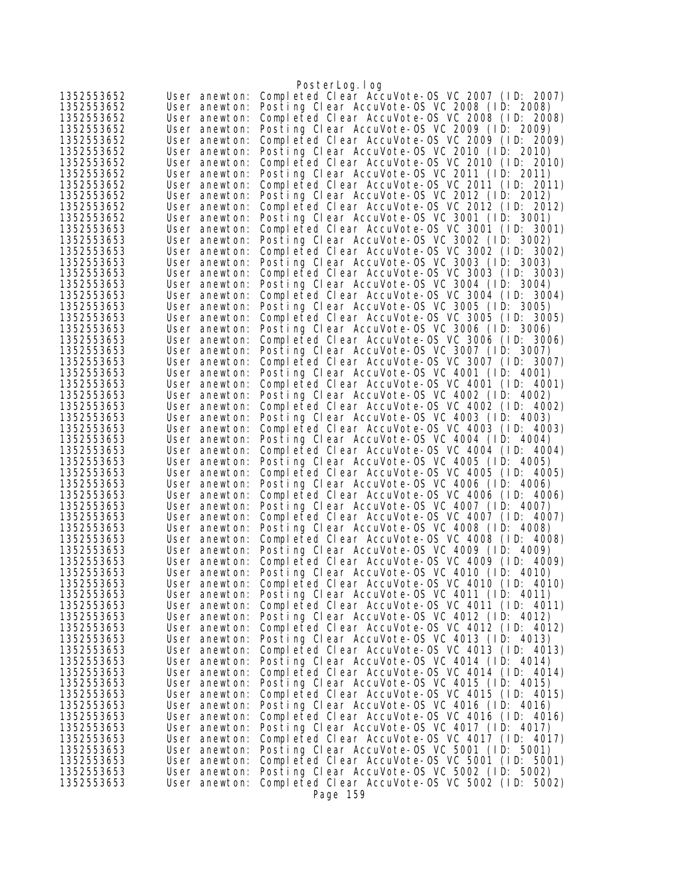|                          |                                | PosterLog.log                                                                                  |
|--------------------------|--------------------------------|------------------------------------------------------------------------------------------------|
| 1352553652               | User anewton:                  | Completed Clear AccuVote-0S VC 2007 (ID: 2007)                                                 |
| 1352553652               | User anewton:                  | Posting Clear AccuVote-OS VC 2008 (ID: 2008)                                                   |
| 1352553652               | User anewton:                  | Completed Clear AccuVote-0S VC 2008 (ID: 2008)                                                 |
| 1352553652               | User anewton:                  | Posting Clear AccuVote-OS VC 2009 (ID: 2009)                                                   |
| 1352553652               | User anewton:                  | Completed Clear AccuVote-0S VC 2009 (ID: 2009)                                                 |
| 1352553652               | User anewton:                  | Posting Clear AccuVote-OS VC 2010 (ID: 2010)                                                   |
| 1352553652               | User anewton:                  | Completed Clear AccuVote-OS VC 2010 (ID: 2010)                                                 |
| 1352553652               | User anewton:                  | Posting Clear AccuVote-OS VC 2011 (ID: 2011)                                                   |
| 1352553652               | User anewton:                  | Completed Clear AccuVote-OS VC 2011 (ID: 2011)                                                 |
| 1352553652               | User anewton:                  | Posting Clear AccuVote-OS VC 2012 (ID: 2012)                                                   |
| 1352553652               | User anewton:                  | Completed Clear AccuVote-OS VC 2012 (ID: 2012)                                                 |
| 1352553652               | User anewton:                  | Posting Clear AccuVote-OS VC 3001 (ID: 3001)                                                   |
| 1352553653<br>1352553653 | User anewton:                  | Completed Clear AccuVote-OS VC 3001 (ID: 3001)<br>Posting Clear AccuVote-OS VC 3002 (ID: 3002) |
| 1352553653               | User anewton:<br>User anewton: | Completed Clear AccuVote-OS VC 3002 (ID: 3002)                                                 |
| 1352553653               | User anewton:                  | Posting Clear AccuVote-OS VC 3003 (ID: 3003)                                                   |
| 1352553653               | User anewton:                  | Completed Clear AccuVote-OS VC 3003 (ID: 3003)                                                 |
| 1352553653               | User anewton:                  | Posting Clear AccuVote-OS VC 3004 (ID: 3004)                                                   |
| 1352553653               | User anewton:                  | Completed Clear AccuVote-OS VC 3004 (ID: 3004)                                                 |
| 1352553653               | User anewton:                  | Posting Clear AccuVote-OS VC 3005 (ID: 3005)                                                   |
| 1352553653               | User anewton:                  | Completed Clear AccuVote-OS VC 3005 (ID: 3005)                                                 |
| 1352553653               | User anewton:                  | Posting Clear AccuVote-OS VC 3006 (ID: 3006)                                                   |
| 1352553653               | User anewton:                  | Completed Clear AccuVote-0S VC 3006 (ID: 3006)                                                 |
| 1352553653               | User anewton:                  | Posting Clear AccuVote-OS VC 3007 (ID: 3007)                                                   |
| 1352553653               | User anewton:                  | Completed Clear AccuVote-OS VC 3007 (ID: 3007)                                                 |
| 1352553653               | User anewton:                  | Posting Clear AccuVote-OS VC 4001 (ID: 4001)                                                   |
| 1352553653               | User anewton:                  | Completed Clear AccuVote-OS VC 4001 (ID: 4001)                                                 |
| 1352553653               | User anewton:                  | Posting Clear AccuVote-OS VC 4002 (ID: 4002)                                                   |
| 1352553653               | User anewton:                  | Completed Clear AccuVote-OS VC 4002 (ID: 4002)                                                 |
| 1352553653               | User anewton:                  | Posting Clear AccuVote-OS VC 4003 (ID: 4003)                                                   |
| 1352553653               | User anewton:                  | Completed Clear AccuVote-OS VC 4003 (ID: 4003)                                                 |
| 1352553653               | User anewton:                  | Posting Clear AccuVote-OS VC 4004 (ID: 4004)                                                   |
| 1352553653               | User anewton:                  | Completed Clear AccuVote-OS VC 4004 (ID: 4004)                                                 |
| 1352553653               | User anewton:                  | Posting Clear AccuVote-OS VC 4005 (ID: 4005)                                                   |
| 1352553653               | User anewton:                  | Completed Clear AccuVote-0S VC 4005 (ID: 4005)                                                 |
| 1352553653               | User anewton:                  | Posting Clear AccuVote-OS VC 4006 (ID: 4006)                                                   |
| 1352553653               | User anewton:                  | Completed Clear AccuVote-OS VC 4006 (ID: 4006)                                                 |
| 1352553653<br>1352553653 | User anewton:                  | Posting Clear AccuVote-OS VC 4007 (ID: 4007)<br>Completed Clear AccuVote-OS VC 4007 (ID: 4007) |
| 1352553653               | User anewton:<br>User anewton: | Posting Clear AccuVote-OS VC 4008 (ID: 4008)                                                   |
| 1352553653               | User anewton:                  | Completed Clear AccuVote-0S VC 4008 (ID: 4008)                                                 |
| 1352553653               | User anewton:                  | Posting Clear AccuVote-OS VC 4009 (ID: 4009)                                                   |
| 1352553653               | User anewton:                  | Completed Clear AccuVote-OS VC 4009 (ID: 4009)                                                 |
| 1352553653               | User anewton:                  | Posting Clear AccuVote-OS VC 4010 (ID: 4010)                                                   |
| 1352553653               | User anewton:                  | Completed Clear AccuVote-OS VC 4010 (ID: 4010)                                                 |
| 1352553653               | User anewton:                  | Posting Clear AccuVote-OS VC 4011 (ID: 4011)                                                   |
| 1352553653               | User anewton:                  | Completed Clear AccuVote-OS VC 4011 (ID: 4011)                                                 |
| 1352553653               | User anewton:                  | Posting Clear AccuVote-OS VC 4012 (ID: 4012)                                                   |
| 1352553653               | User anewton:                  | Completed Clear AccuVote-OS VC 4012 (ID: 4012)                                                 |
| 1352553653               | User anewton:                  | Posting Clear AccuVote-OS VC 4013 (ID: 4013)                                                   |
| 1352553653               | User anewton:                  | Completed Clear AccuVote-OS VC 4013 (ID: 4013)                                                 |
| 1352553653               | User anewton:                  | Posting Clear AccuVote-OS VC 4014 (ID: 4014)                                                   |
| 1352553653               | User anewton:                  | Completed Clear AccuVote-OS VC 4014 (ID: 4014)                                                 |
| 1352553653               | User anewton:                  | Posting Clear AccuVote-OS VC 4015 (ID: 4015)                                                   |
| 1352553653               | User anewton:                  | Completed Clear AccuVote-OS VC 4015 (ID: 4015)                                                 |
| 1352553653               | User anewton:                  | Posting Clear AccuVote-OS VC 4016 (ID: 4016)                                                   |
| 1352553653               | User anewton:                  | Completed Clear AccuVote-OS VC 4016 (ID: 4016)                                                 |
| 1352553653               | User anewton:                  | Posting Clear AccuVote-OS VC 4017 (ID: 4017)                                                   |
| 1352553653               | User anewton:                  | Completed Clear AccuVote-OS VC 4017 (ID: 4017)<br>Posting Clear AccuVote-OS VC 5001 (ID: 5001) |
| 1352553653<br>1352553653 | User anewton:<br>User anewton: | Completed Clear AccuVote-OS VC 5001 (ID: 5001)                                                 |
| 1352553653               | User anewton:                  | Posting Clear AccuVote-OS VC 5002 (ID: 5002)                                                   |
| 1352553653               | User anewton:                  | Completed Clear AccuVote-OS VC 5002 (ID: 5002)                                                 |
|                          |                                | Page 159                                                                                       |
|                          |                                |                                                                                                |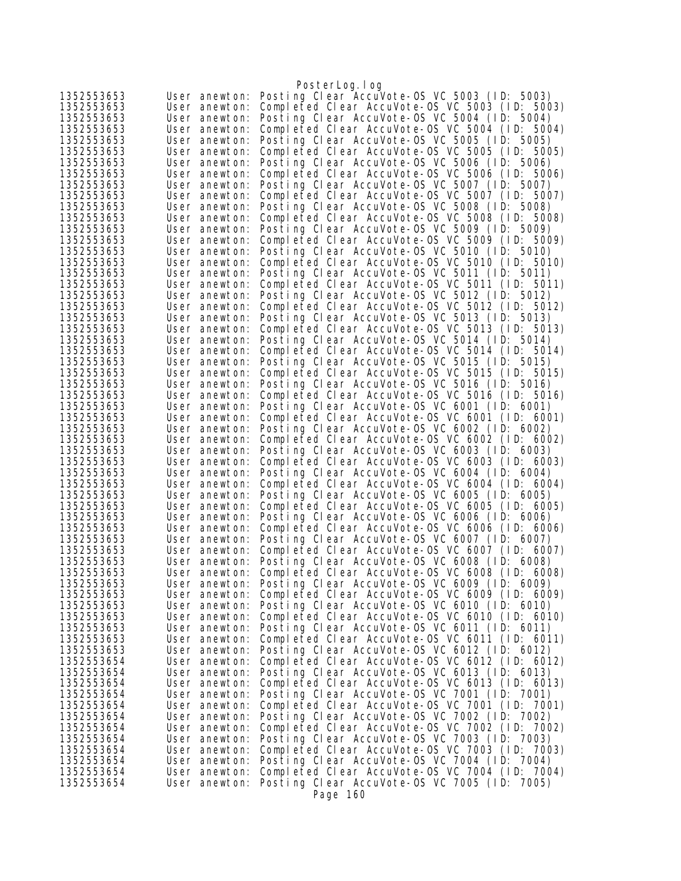|                          |                                | PosterLog.log                                                                                  |
|--------------------------|--------------------------------|------------------------------------------------------------------------------------------------|
| 1352553653               | User anewton:                  | Posting Clear AccuVote-OS VC 5003 (ID: 5003)                                                   |
| 1352553653               | User anewton:                  | Completed Clear AccuVote-OS VC 5003 (ID: 5003)                                                 |
| 1352553653               | User anewton:                  | Posting Clear AccuVote-OS VC 5004 (ID: 5004)                                                   |
| 1352553653               | User anewton:                  | Completed Clear AccuVote-OS VC 5004 (ID: 5004)                                                 |
| 1352553653               | User anewton:                  | Posting Clear AccuVote-OS VC 5005 (ID: 5005)                                                   |
| 1352553653<br>1352553653 | User anewton:<br>User anewton: | Completed Clear AccuVote-OS VC 5005 (ID: 5005)<br>Posting Clear AccuVote-OS VC 5006 (ID: 5006) |
| 1352553653               | User anewton:                  | Completed Clear AccuVote-OS VC 5006 (ID: 5006)                                                 |
| 1352553653               | User anewton:                  | Posting Clear AccuVote-OS VC 5007 (ID: 5007)                                                   |
| 1352553653               | User anewton:                  | Completed Clear AccuVote-0S VC 5007 (ID: 5007)                                                 |
| 1352553653               | User anewton:                  | Posting Clear AccuVote-OS VC 5008 (ID: 5008)                                                   |
| 1352553653               | User anewton:                  | Completed Clear AccuVote-0S VC 5008 (ID: 5008)                                                 |
| 1352553653               | User anewton:                  | Posting Clear AccuVote-OS VC 5009 (ID: 5009)                                                   |
| 1352553653               | User anewton:                  | Completed Clear AccuVote-0S VC 5009 (ID: 5009)                                                 |
| 1352553653               | User anewton:                  | Posting Clear AccuVote-OS VC 5010 (ID: 5010)                                                   |
| 1352553653<br>1352553653 | User anewton:                  | Completed Clear AccuVote-OS VC 5010 (ID: 5010)<br>Posting Clear AccuVote-OS VC 5011 (ID: 5011) |
| 1352553653               | User anewton:<br>User anewton: | Completed Clear AccuVote-OS VC 5011 (ID: 5011)                                                 |
| 1352553653               | User anewton:                  | Posting Clear AccuVote-OS VC 5012 (ID: 5012)                                                   |
| 1352553653               | User anewton:                  | Completed Clear AccuVote-OS VC 5012 (ID: 5012)                                                 |
| 1352553653               | User anewton:                  | Posting Clear AccuVote-OS VC 5013 (ID: 5013)                                                   |
| 1352553653               | User anewton:                  | Completed Clear AccuVote-OS VC 5013 (ID: 5013)                                                 |
| 1352553653               | User anewton:                  | Posting Clear AccuVote-OS VC 5014 (ID: 5014)                                                   |
| 1352553653               | User anewton:                  | Completed Clear AccuVote-OS VC 5014 (ID: 5014)                                                 |
| 1352553653               | User anewton:                  | Posting Clear AccuVote-OS VC 5015 (ID: 5015)                                                   |
| 1352553653               | User anewton:                  | Completed Clear AccuVote-0S VC 5015 (ID: 5015)                                                 |
| 1352553653<br>1352553653 | User anewton:                  | Posting Clear AccuVote-OS VC 5016 (ID: 5016)<br>Completed Clear AccuVote-OS VC 5016 (ID: 5016) |
| 1352553653               | User anewton:<br>User anewton: | Posting Clear AccuVote-OS VC 6001 (ID: 6001)                                                   |
| 1352553653               | User anewton:                  | Completed Clear AccuVote-0S VC 6001 (ID: 6001)                                                 |
| 1352553653               | User anewton:                  | Posting Clear AccuVote-OS VC 6002 (ID: 6002)                                                   |
| 1352553653               | User anewton:                  | Completed Clear AccuVote-OS VC 6002 (ID: 6002)                                                 |
| 1352553653               | User anewton:                  | Posting Clear AccuVote-OS VC 6003 (ID: 6003)                                                   |
| 1352553653               | User anewton:                  | Completed Clear AccuVote-OS VC 6003 (ID: 6003)                                                 |
| 1352553653               | User anewton:                  | Posting Clear AccuVote-OS VC 6004 (ID: 6004)                                                   |
| 1352553653               | User anewton:                  | Completed Clear AccuVote-OS VC 6004 (ID: 6004)                                                 |
| 1352553653<br>1352553653 | User anewton:<br>User anewton: | Posting Clear AccuVote-OS VC 6005 (ID: 6005)<br>Completed Clear AccuVote-OS VC 6005 (ID: 6005) |
| 1352553653               | User anewton:                  | Posting Clear AccuVote-OS VC 6006 (ID: 6006)                                                   |
| 1352553653               | User anewton:                  | Completed Clear AccuVote-OS VC 6006 (ID: 6006)                                                 |
| 1352553653               | User anewton:                  | Posting Clear AccuVote-OS VC 6007 (ID: 6007)                                                   |
| 1352553653               | User anewton:                  | Completed Clear AccuVote-OS VC 6007 (ID: 6007)                                                 |
| 1352553653               | User anewton:                  | Posting Clear AccuVote-OS VC 6008 (ID: 6008)                                                   |
| 1352553653               | User anewton:                  | Completed Clear AccuVote-OS VC 6008 (ID: 6008)                                                 |
| 1352553653               | User anewton:                  | Posting Clear AccuVote-OS VC 6009 (ID: 6009)                                                   |
| 1352553653               | User anewton:                  | Completed Clear AccuVote-0S VC 6009 (ID: 6009)                                                 |
| 1352553653<br>1352553653 | User anewton:<br>User anewton: | Posting Clear AccuVote-OS VC 6010 (ID: 6010)<br>Completed Clear AccuVote-0S VC 6010 (ID: 6010) |
| 1352553653               | User anewton:                  | Posting Clear AccuVote-OS VC 6011 (ID: 6011)                                                   |
| 1352553653               | User anewton:                  | Completed Clear AccuVote-OS VC 6011 (ID: 6011)                                                 |
| 1352553653               | User anewton:                  | Posting Clear AccuVote-OS VC 6012 (ID: 6012)                                                   |
| 1352553654               | User anewton:                  | Completed Clear AccuVote-OS VC 6012 (ID: 6012)                                                 |
| 1352553654               | User anewton:                  | Posting Clear AccuVote-OS VC 6013 (ID: 6013)                                                   |
| 1352553654               | User anewton:                  | Completed Clear AccuVote-OS VC 6013 (ID: 6013)                                                 |
| 1352553654               | User anewton:                  | Posting Clear AccuVote-OS VC 7001 (ID: 7001)                                                   |
| 1352553654               | User anewton:                  | Completed Clear AccuVote-OS VC 7001 (ID: 7001)                                                 |
| 1352553654<br>1352553654 | User anewton:<br>User anewton: | Posting Clear AccuVote-OS VC 7002 (ID: 7002)<br>Completed Clear AccuVote-OS VC 7002 (ID: 7002) |
| 1352553654               | User anewton:                  | Posting Clear AccuVote-OS VC 7003 (ID: 7003)                                                   |
| 1352553654               | User anewton:                  | Completed Clear AccuVote-OS VC 7003 (ID: 7003)                                                 |
| 1352553654               | User anewton:                  | Posting Clear AccuVote-OS VC 7004 (ID: 7004)                                                   |
| 1352553654               | User anewton:                  | Completed Clear AccuVote-OS VC 7004 (ID: 7004)                                                 |
| 1352553654               | User anewton:                  | Posting Clear AccuVote-OS VC 7005 (ID: 7005)                                                   |
|                          |                                | Page 160                                                                                       |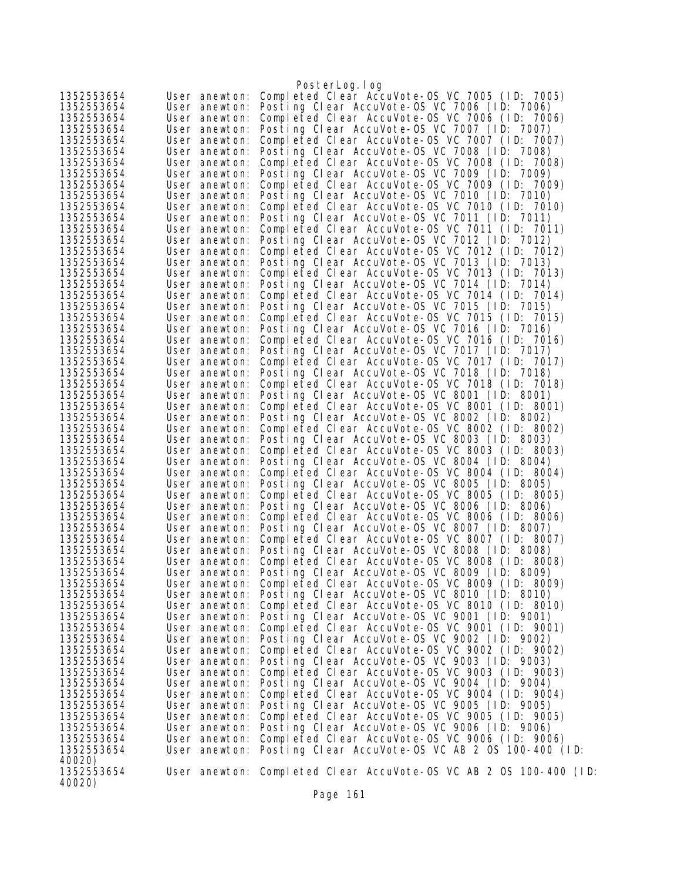|                          |                                | PosterLog.log                                                                                  |
|--------------------------|--------------------------------|------------------------------------------------------------------------------------------------|
| 1352553654               | User anewton:                  | Completed Clear AccuVote-0S VC 7005 (ID: 7005)                                                 |
| 1352553654               |                                | User anewton: Posting Clear AccuVote-OS VC 7006 (ID: 7006)                                     |
| 1352553654               | User anewton:                  | Completed Clear AccuVote-OS VC 7006 (ID: 7006)                                                 |
| 1352553654               | User anewton:                  | Posting Clear AccuVote-OS VC 7007 (ID: 7007)                                                   |
| 1352553654               | User anewton:                  | Completed Clear AccuVote-0S VC 7007 (ID: 7007)                                                 |
| 1352553654               | User anewton:                  | Posting Clear AccuVote-OS VC 7008 (ID: 7008)                                                   |
| 1352553654               | User anewton:                  | Completed Clear AccuVote-OS VC 7008 (ID: 7008)                                                 |
| 1352553654               | User anewton:                  | Posting Clear AccuVote-OS VC 7009 (ID: 7009)                                                   |
| 1352553654               | User anewton:                  | Completed Clear AccuVote-OS VC 7009 (ID: 7009)                                                 |
| 1352553654               | User anewton:                  | Posting Clear AccuVote-OS VC 7010 (ID: 7010)                                                   |
| 1352553654               | User anewton:                  | Completed Clear AccuVote-OS VC 7010 (ID: 7010)                                                 |
| 1352553654               | User anewton:                  | Posting Clear AccuVote-OS VC 7011 (ID: 7011)                                                   |
| 1352553654               | User anewton:                  | Completed Clear AccuVote-OS VC 7011 (ID: 7011)                                                 |
| 1352553654               | User anewton:                  | Posting Clear AccuVote-OS VC 7012 (ID: 7012)                                                   |
| 1352553654               | User anewton:                  | Completed Clear AccuVote-OS VC 7012 (ID: 7012)                                                 |
| 1352553654               | User anewton:                  | Posting Clear AccuVote-OS VC 7013 (ID: 7013)                                                   |
| 1352553654               | User anewton:                  | Completed Clear AccuVote-OS VC 7013 (ID: 7013)                                                 |
| 1352553654               | User anewton:                  | Posting Clear AccuVote-OS VC 7014 (ID: 7014)                                                   |
| 1352553654               | User anewton:                  | Completed Clear AccuVote-OS VC 7014 (ID: 7014)                                                 |
| 1352553654               | User anewton:                  | Posting Clear AccuVote-OS VC 7015 (ID: 7015)                                                   |
| 1352553654               | User anewton:                  | Completed Clear AccuVote-OS VC 7015 (ID: 7015)                                                 |
| 1352553654               | User anewton:                  | Posting Clear AccuVote-OS VC 7016 (ID: 7016)                                                   |
| 1352553654               | User anewton:                  | Completed Clear AccuVote-OS VC 7016 (ID: 7016)                                                 |
| 1352553654               | User anewton:                  | Posting Clear AccuVote-OS VC 7017 (ID: 7017)                                                   |
| 1352553654               | User anewton:                  | Completed Clear AccuVote-OS VC 7017 (ID: 7017)                                                 |
| 1352553654               | User anewton:                  | Posting Clear AccuVote-OS VC 7018 (ID: 7018)                                                   |
| 1352553654               | User anewton:                  | Completed Clear AccuVote-OS VC 7018 (ID: 7018)                                                 |
| 1352553654               | User anewton:                  | Posting Clear AccuVote-OS VC 8001 (ID: 8001)                                                   |
| 1352553654               | User anewton:                  | Completed Clear AccuVote-OS VC 8001 (ID: 8001)                                                 |
| 1352553654               | User anewton:                  | Posting Clear AccuVote-OS VC 8002 (ID: 8002)                                                   |
| 1352553654               | User anewton:                  | Completed Clear AccuVote-OS VC 8002 (ID: 8002)                                                 |
| 1352553654               | User anewton:                  | Posting Clear AccuVote-OS VC 8003 (ID: 8003)                                                   |
| 1352553654<br>1352553654 | User anewton:                  | Completed Clear AccuVote-OS VC 8003 (ID: 8003)<br>Posting Clear AccuVote-OS VC 8004 (ID: 8004) |
| 1352553654               | User anewton:                  | Completed Clear AccuVote-0S VC 8004 (ID: 8004)                                                 |
| 1352553654               | User anewton:<br>User anewton: | Posting Clear AccuVote-OS VC 8005 (ID: 8005)                                                   |
| 1352553654               | User anewton:                  | Completed Clear AccuVote-OS VC 8005 (ID: 8005)                                                 |
| 1352553654               | User anewton:                  | Posting Clear AccuVote-OS VC 8006 (ID: 8006)                                                   |
| 1352553654               | User anewton:                  | Completed Clear AccuVote-OS VC 8006 (ID: 8006)                                                 |
| 1352553654               |                                | User anewton: Posting Clear AccuVote-OS VC 8007 (ID: 8007)                                     |
| 1352553654               | User anewton:                  | Completed Clear AccuVote-OS VC 8007 (ID: 8007)                                                 |
| 1352553654               | User anewton:                  | Posting Clear AccuVote-OS VC 8008 (ID: 8008)                                                   |
| 1352553654               | User anewton:                  | Completed Clear AccuVote-OS VC 8008 (ID: 8008)                                                 |
| 1352553654               | User anewton:                  | Posting Clear AccuVote-OS VC 8009 (ID: 8009)                                                   |
| 1352553654               | User anewton:                  | Completed Clear AccuVote-OS VC 8009 (ID: 8009)                                                 |
| 1352553654               |                                | User anewton: Posting Clear AccuVote-OS VC 8010 (ID: 8010)                                     |
| 1352553654               | User anewton:                  | Completed Clear AccuVote-0S VC 8010 (ID: 8010)                                                 |
| 1352553654               | User anewton:                  | Posting Clear AccuVote-OS VC 9001 (ID: 9001)                                                   |
| 1352553654               | User anewton:                  | Completed Clear AccuVote-OS VC 9001 (ID: 9001)                                                 |
| 1352553654               | User anewton:                  | Posting Clear AccuVote-OS VC 9002 (ID: 9002)                                                   |
| 1352553654               | User anewton:                  | Completed Clear AccuVote-OS VC 9002 (ID: 9002)                                                 |
| 1352553654               | User anewton:                  | Posting Clear AccuVote-OS VC 9003 (ID: 9003)                                                   |
| 1352553654               | User anewton:                  | Completed Clear AccuVote-OS VC 9003 (ID: 9003)                                                 |
| 1352553654               |                                | User anewton: Posting Clear AccuVote-OS VC 9004 (ID: 9004)                                     |
| 1352553654               | User anewton:                  | Completed Clear AccuVote-0S VC 9004 (ID: 9004)                                                 |
| 1352553654               | User anewton:                  | Posting Clear AccuVote-OS VC 9005 (ID: 9005)                                                   |
| 1352553654               | User anewton:                  | Completed Clear AccuVote-OS VC 9005 (ID: 9005)                                                 |
| 1352553654               | User anewton:                  | Posting Clear AccuVote-OS VC 9006 (ID: 9006)                                                   |
| 1352553654               | User anewton:                  | Completed Clear AccuVote-OS VC 9006 (ID: 9006)                                                 |
| 1352553654               | User anewton:                  | Posting Clear AccuVote-OS VC AB 2 OS 100-400 (ID:                                              |
| 40020)                   |                                |                                                                                                |
| 1352553654               |                                | User anewton: Completed Clear AccuVote-OS VC AB 2 OS 100-400 (ID:                              |
| 40020)                   |                                |                                                                                                |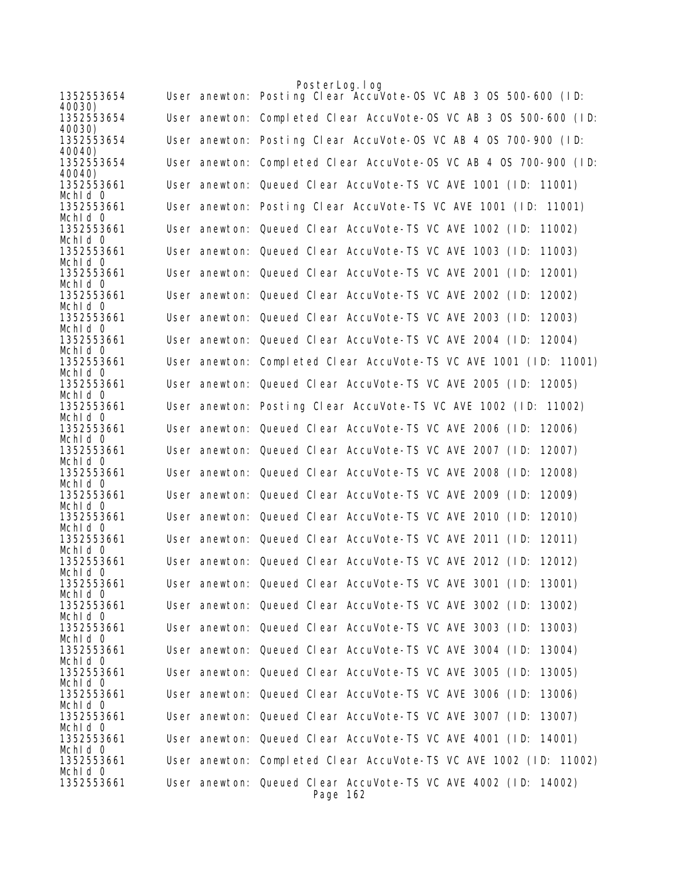|                       |  | PosterLog. I og                                                   |
|-----------------------|--|-------------------------------------------------------------------|
| 1352553654<br>40030)  |  | User anewton: Posting Clear Accuvote-OS VC AB 3 OS 500-600 (ID:   |
| 1352553654<br>40030)  |  | User anewton: Completed Clear AccuVote-OS VC AB 3 OS 500-600 (ID: |
| 1352553654<br>40040)  |  | User anewton: Posting Clear AccuVote-OS VC AB 4 OS 700-900 (ID:   |
| 1352553654<br>40040)  |  | User anewton: Completed Clear AccuVote-OS VC AB 4 OS 700-900 (ID: |
| 1352553661<br>Mchid 0 |  | User anewton: Queued Clear AccuVote-TS VC AVE 1001 (ID: 11001)    |
| 1352553661<br>Mchld 0 |  | User anewton: Posting Clear AccuVote-TS VC AVE 1001 (ID: 11001)   |
| 1352553661            |  | User anewton: Queued Clear AccuVote-TS VC AVE 1002 (ID: 11002)    |
| Mchid 0<br>1352553661 |  | User anewton: Queued Clear AccuVote-TS VC AVE 1003 (ID:<br>11003) |
| Mchld 0<br>1352553661 |  | User anewton: Queued Clear AccuVote-TS VC AVE 2001 (ID:<br>12001) |
| Mchld 0<br>1352553661 |  | User anewton: Queued Clear AccuVote-TS VC AVE 2002 (ID:<br>12002) |
| Mchid 0<br>1352553661 |  | User anewton: Queued Clear AccuVote-TS VC AVE 2003 (ID:<br>12003) |
| Mchid 0<br>1352553661 |  | User anewton: Queued Clear AccuVote-TS VC AVE 2004 (ID: 12004)    |
| Mchid 0<br>1352553661 |  | User anewton: Completed Clear AccuVote-TS VC AVE 1001 (ID: 11001) |
| Mchid 0<br>1352553661 |  | User anewton: Queued Clear AccuVote-TS VC AVE 2005 (ID: 12005)    |
| Mchld 0<br>1352553661 |  | User anewton: Posting Clear AccuVote-TS VC AVE 1002 (ID: 11002)   |
| Mchid O<br>1352553661 |  | User anewton: Queued Clear AccuVote-TS VC AVE 2006 (ID: 12006)    |
| Mchid 0<br>1352553661 |  | User anewton: Queued Clear AccuVote-TS VC AVE 2007 (ID:<br>12007) |
| Mchid 0<br>1352553661 |  | User anewton: Queued Clear AccuVote-TS VC AVE 2008 (ID:<br>12008) |
| Mchid O<br>1352553661 |  | 12009)                                                            |
| Mchld 0               |  | User anewton: Queued Clear AccuVote-TS VC AVE 2009 (ID:           |
| 1352553661<br>Mchid 0 |  | User anewton: Queued Clear AccuVote-TS VC AVE 2010 (ID:<br>12010) |
| 1352553661<br>Mchid 0 |  | User anewton: Queued Clear AccuVote-TS VC AVE 2011 (ID:<br>12011) |
| 1352553661<br>Mchid 0 |  | User anewton: Queued Clear AccuVote-TS VC AVE 2012 (ID: 12012)    |
| 1352553661<br>Mchid 0 |  | User anewton: Queued Clear AccuVote-TS VC AVE 3001 (ID: 13001)    |
| 1352553661<br>Mchid 0 |  | User anewton: Queued Clear AccuVote-TS VC AVE 3002 (ID: 13002)    |
| 1352553661<br>Mchid 0 |  | User anewton: Queued Clear AccuVote-TS VC AVE 3003 (ID: 13003)    |
| 1352553661<br>Mchid 0 |  | User anewton: Queued Clear AccuVote-TS VC AVE 3004 (ID:<br>13004) |
| 1352553661<br>Mchld 0 |  | User anewton: Queued Clear AccuVote-TS VC AVE 3005 (ID:<br>13005) |
| 1352553661            |  | User anewton: Queued Clear AccuVote-TS VC AVE 3006 (ID: 13006)    |
| Mchid 0<br>1352553661 |  | User anewton: Queued Clear AccuVote-TS VC AVE 3007 (ID:<br>13007) |
| Mchid 0<br>1352553661 |  | User anewton: Queued Clear AccuVote-TS VC AVE 4001 (ID: 14001)    |
| Mchid 0<br>1352553661 |  | User anewton: Completed Clear AccuVote-TS VC AVE 1002 (ID: 11002) |
| Mchid 0<br>1352553661 |  | User anewton: Queued Clear AccuVote-TS VC AVE 4002 (ID: 14002)    |
|                       |  | Page 162                                                          |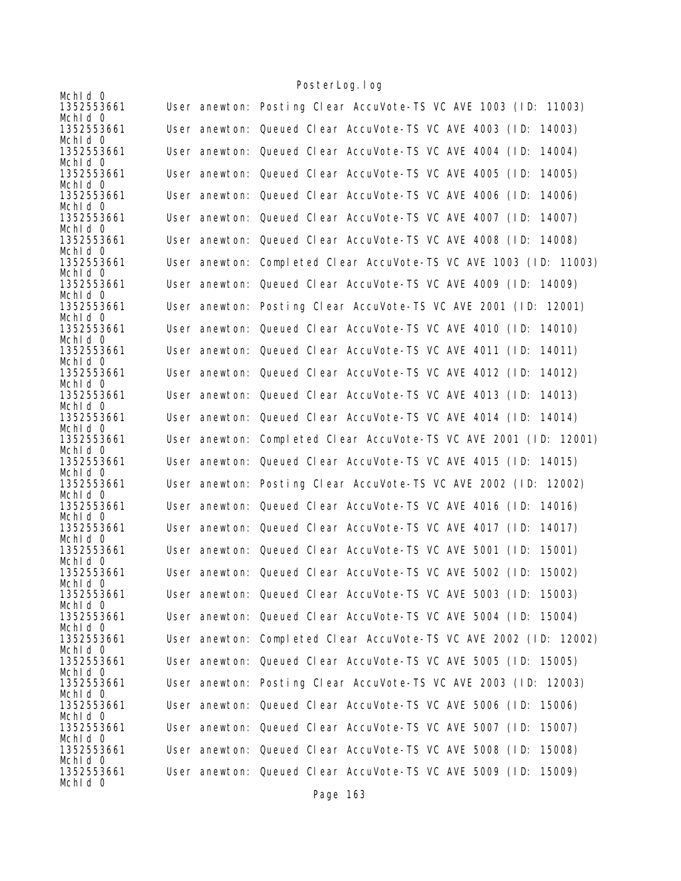|                       | TUSTUL LUY. TUY                                                   |
|-----------------------|-------------------------------------------------------------------|
| Mchid 0<br>1352553661 | User anewton: Posting Clear AccuVote-TS VC AVE 1003 (ID: 11003)   |
| Mchid 0<br>1352553661 | User anewton: Queued Clear AccuVote-TS VC AVE 4003 (ID: 14003)    |
| Mchid 0               |                                                                   |
| 1352553661<br>Mchid 0 | User anewton: Queued Clear AccuVote-TS VC AVE 4004 (ID: 14004)    |
| 1352553661            | User anewton: Queued Clear AccuVote-TS VC AVE 4005 (ID:<br>14005) |
| Mchid 0<br>1352553661 | User anewton: Queued Clear AccuVote-TS VC AVE 4006 (ID:<br>14006) |
| Mchid 0<br>1352553661 |                                                                   |
| Mchid 0               | User anewton: Queued Clear AccuVote-TS VC AVE 4007 (ID: 14007)    |
| 1352553661<br>Mchld 0 | User anewton: Queued Clear AccuVote-TS VC AVE 4008 (ID: 14008)    |
| 1352553661            | User anewton: Completed Clear AccuVote-TS VC AVE 1003 (ID: 11003) |
| Mchid 0<br>1352553661 | User anewton: Queued Clear AccuVote-TS VC AVE 4009 (ID: 14009)    |
| Mchid 0               |                                                                   |
| 1352553661<br>Mchld 0 | User anewton: Posting Clear AccuVote-TS VC AVE 2001 (ID: 12001)   |
| 1352553661<br>Mchid 0 | User anewton: Queued Clear AccuVote-TS VC AVE 4010 (ID: 14010)    |
| 1352553661            | User anewton: Queued Clear AccuVote-TS VC AVE 4011 (ID: 14011)    |
| Mchld 0<br>1352553661 | User anewton: Queued Clear AccuVote-TS VC AVE 4012 (ID: 14012)    |
| Mchid 0               |                                                                   |
| 1352553661<br>Mchid 0 | User anewton: Queued Clear AccuVote-TS VC AVE 4013 (ID:<br>14013) |
| 1352553661<br>Mchid 0 | User anewton: Queued Clear AccuVote-TS VC AVE 4014 (ID: 14014)    |
| 1352553661            | User anewton: Completed Clear AccuVote-TS VC AVE 2001 (ID: 12001) |
| Mchid 0<br>1352553661 | User anewton: Queued Clear AccuVote-TS VC AVE 4015 (ID: 14015)    |
| Mchid 0<br>1352553661 | User anewton: Posting Clear AccuVote-TS VC AVE 2002 (ID: 12002)   |
| Mchld 0               |                                                                   |
| 1352553661<br>Mchld 0 | User anewton: Queued Clear AccuVote-TS VC AVE 4016 (ID: 14016)    |
| 1352553661            | User anewton: Queued Clear AccuVote-TS VC AVE 4017 (ID: 14017)    |
| Mchid 0<br>1352553661 | User anewton: Queued Clear AccuVote-TS VC AVE 5001 (ID:<br>15001) |
| Mchid 0<br>1352553661 | User anewton: Queued Clear AccuVote-TS VC AVE 5002 (ID: 15002)    |
| Mchid 0               |                                                                   |
| 1352553661<br>Mchid 0 | User anewton: Queued Clear AccuVote-TS VC AVE 5003 (ID: 15003)    |
| 1352553661<br>Mchid 0 | User anewton: Queued Clear AccuVote-TS VC AVE 5004 (ID: 15004)    |
| 1352553661            | User anewton: Completed Clear AccuVote-TS VC AVE 2002 (ID: 12002) |
| Mchid 0<br>1352553661 | User anewton: Queued Clear AccuVote-TS VC AVE 5005 (ID: 15005)    |
| Mchid 0               |                                                                   |
| 1352553661<br>Mchid 0 | User anewton: Posting Clear AccuVote-TS VC AVE 2003 (ID: 12003)   |
| 1352553661<br>Mchid 0 | User anewton: Queued Clear AccuVote-TS VC AVE 5006 (ID: 15006)    |
| 1352553661            | User anewton: Queued Clear AccuVote-TS VC AVE 5007 (ID: 15007)    |
| Mchid 0<br>1352553661 | User anewton: Queued Clear AccuVote-TS VC AVE 5008 (ID:<br>15008) |
| Mchid 0               |                                                                   |
| 1352553661<br>Mchid 0 | User anewton: Queued Clear AccuVote-TS VC AVE 5009 (ID: 15009)    |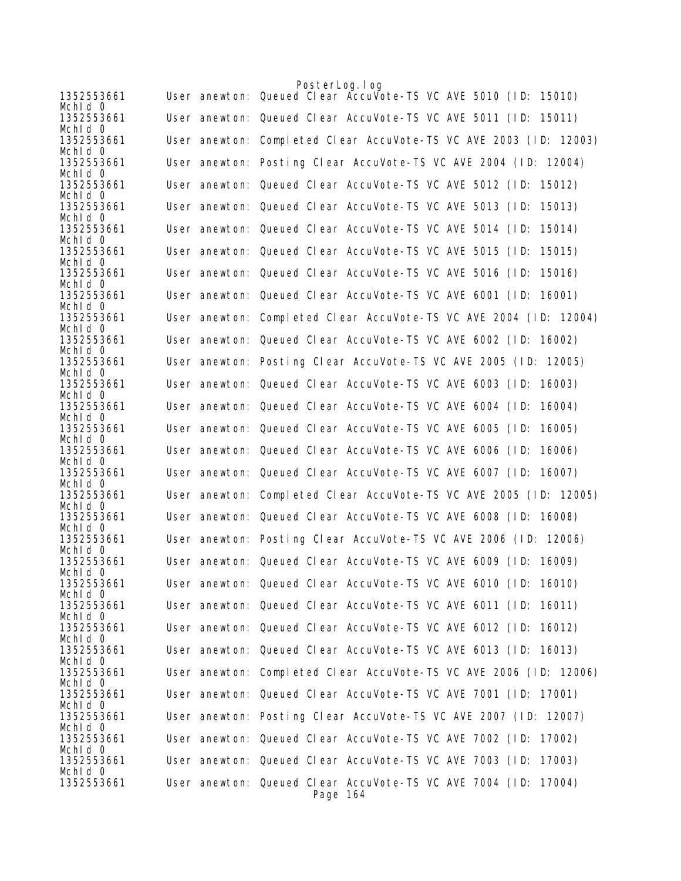| 1352553661            | PosterLog.log<br>User anewton: Queued Clear Accuvote-TS VC AVE 5010 (ID:<br>15010) |
|-----------------------|------------------------------------------------------------------------------------|
| Mchid 0               |                                                                                    |
| 1352553661<br>Mchid 0 | User anewton: Queued Clear AccuVote-TS VC AVE 5011 (ID: 15011)                     |
| 1352553661<br>Mchid 0 | User anewton: Completed Clear AccuVote-TS VC AVE 2003 (ID: 12003)                  |
| 1352553661            | User anewton: Posting Clear AccuVote-TS VC AVE 2004 (ID: 12004)                    |
| Mchid 0<br>1352553661 | User anewton: Queued Clear AccuVote-TS VC AVE 5012 (ID: 15012)                     |
| Mchld 0<br>1352553661 | User anewton: Queued Clear AccuVote-TS VC AVE 5013 (ID:<br>15013)                  |
| Mchld 0<br>1352553661 | User anewton: Queued Clear AccuVote-TS VC AVE 5014 (ID:<br>15014)                  |
| Mchid 0               |                                                                                    |
| 1352553661<br>Mchid 0 | User anewton: Queued Clear AccuVote-TS VC AVE 5015 (ID:<br>15015)                  |
| 1352553661<br>Mchld 0 | User anewton: Queued Clear AccuVote-TS VC AVE 5016 (ID: 15016)                     |
| 1352553661<br>Mchid 0 | User anewton: Queued Clear AccuVote-TS VC AVE 6001 (ID:<br>16001)                  |
| 1352553661            | User anewton: Completed Clear AccuVote-TS VC AVE 2004 (ID: 12004)                  |
| Mchid 0<br>1352553661 | User anewton: Queued Clear AccuVote-TS VC AVE 6002 (ID: 16002)                     |
| Mchld 0<br>1352553661 | User anewton: Posting Clear AccuVote-TS VC AVE 2005 (ID: 12005)                    |
| Mchld 0<br>1352553661 | User anewton: Queued Clear AccuVote-TS VC AVE 6003 (ID: 16003)                     |
| Mchid 0               |                                                                                    |
| 1352553661<br>Mchld 0 | User anewton: Queued Clear AccuVote-TS VC AVE 6004 (ID:<br>16004)                  |
| 1352553661<br>Mchid 0 | User anewton: Queued Clear AccuVote-TS VC AVE 6005 (ID:<br>16005)                  |
| 1352553661            | User anewton: Queued Clear AccuVote-TS VC AVE 6006 (ID:<br>16006)                  |
| Mchid 0<br>1352553661 | User anewton: Queued Clear AccuVote-TS VC AVE 6007 (ID: 16007)                     |
| Mchid 0<br>1352553661 | User anewton: Completed Clear AccuVote-TS VC AVE 2005 (ID: 12005)                  |
| Mchid 0<br>1352553661 | User anewton: Queued Clear AccuVote-TS VC AVE 6008 (ID: 16008)                     |
| Mchid 0               |                                                                                    |
| 1352553661<br>Mchid 0 | User anewton: Posting Clear AccuVote-TS VC AVE 2006 (ID: 12006)                    |
| 1352553661<br>Mchid 0 | User anewton: Queued Clear AccuVote-TS VC AVE 6009 (ID: 16009)                     |
| 1352553661<br>Mchid 0 | User anewton: Queued Clear AccuVote-TS VC AVE 6010 (ID: 16010)                     |
| 1352553661            | User anewton: Queued Clear AccuVote-TS VC AVE 6011 (ID: 16011)                     |
| Mchid O<br>1352553661 | User anewton: Queued Clear AccuVote-TS VC AVE 6012 (ID: 16012)                     |
| Mchid 0<br>1352553661 | User anewton: Queued Clear AccuVote-TS VC AVE 6013 (ID: 16013)                     |
| Mchid 0<br>1352553661 | User anewton: Completed Clear AccuVote-TS VC AVE 2006 (ID: 12006)                  |
| Mchid 0               |                                                                                    |
| 1352553661<br>Mchid 0 | User anewton: Queued Clear AccuVote-TS VC AVE 7001 (ID: 17001)                     |
| 1352553661<br>Mchid 0 | User anewton: Posting Clear AccuVote-TS VC AVE 2007 (ID: 12007)                    |
| 1352553661            | User anewton: Queued Clear AccuVote-TS VC AVE 7002 (ID: 17002)                     |
| Mchid 0<br>1352553661 | User anewton: Queued Clear AccuVote-TS VC AVE 7003 (ID: 17003)                     |
| Mchid 0<br>1352553661 | User anewton: Queued Clear AccuVote-TS VC AVE 7004 (ID: 17004)                     |
|                       | Page 164                                                                           |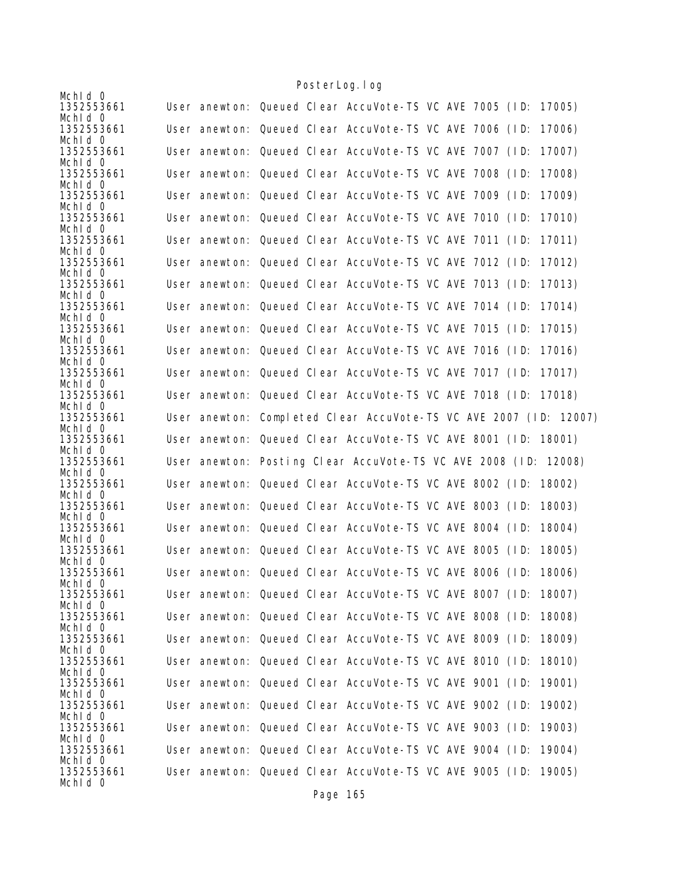|                                     |  |  | TUSTEL LUY. TUY                                                                                                           |  |  |        |
|-------------------------------------|--|--|---------------------------------------------------------------------------------------------------------------------------|--|--|--------|
| Mchid 0<br>1352553661               |  |  | User anewton: Queued Clear AccuVote-TS VC AVE 7005 (ID:                                                                   |  |  | 17005) |
| Mchid 0<br>1352553661               |  |  | User anewton: Queued Clear AccuVote-TS VC AVE 7006 (ID:                                                                   |  |  | 17006) |
| Mchid 0                             |  |  |                                                                                                                           |  |  |        |
| 1352553661<br>Mchld 0               |  |  | User anewton: Queued Clear AccuVote-TS VC AVE 7007 (ID:                                                                   |  |  | 17007) |
| 1352553661<br>Mchid 0               |  |  | User anewton: Queued Clear AccuVote-TS VC AVE 7008 (ID:                                                                   |  |  | 17008) |
| 1352553661                          |  |  | User anewton: Queued Clear AccuVote-TS VC AVE 7009 (ID:                                                                   |  |  | 17009) |
| Mchid 0<br>1352553661               |  |  | User anewton: Queued Clear AccuVote-TS VC AVE 7010 (ID:                                                                   |  |  | 17010) |
| Mchld 0<br>1352553661               |  |  | User anewton: Queued Clear AccuVote-TS VC AVE 7011 (ID:                                                                   |  |  | 17011) |
| Mchid 0<br>1352553661               |  |  | User anewton: Queued Clear AccuVote-TS VC AVE 7012 (ID:                                                                   |  |  | 17012) |
| Mchid 0<br>1352553661               |  |  | User anewton: Queued Clear AccuVote-TS VC AVE 7013 (ID:                                                                   |  |  | 17013) |
| Mchld 0                             |  |  |                                                                                                                           |  |  |        |
| 1352553661<br>Mchid 0               |  |  | User anewton: Queued Clear AccuVote-TS VC AVE 7014 (ID:                                                                   |  |  | 17014) |
| 1352553661                          |  |  | User anewton: Queued Clear AccuVote-TS VC AVE 7015 (ID:                                                                   |  |  | 17015) |
| Mchid 0<br>1352553661               |  |  | User anewton: Queued Clear AccuVote-TS VC AVE 7016 (ID:                                                                   |  |  | 17016) |
| Mchid 0<br>1352553661               |  |  | User anewton: Queued Clear AccuVote-TS VC AVE 7017 (ID:                                                                   |  |  | 17017) |
| Mchid 0<br>1352553661               |  |  | User anewton: Queued Clear AccuVote-TS VC AVE 7018 (ID: 17018)                                                            |  |  |        |
| Mchid 0<br>1352553661               |  |  | User anewton: Completed Clear AccuVote-TS VC AVE 2007 (ID: 12007)                                                         |  |  |        |
| Mchld 0<br>1352553661               |  |  | User anewton: Queued Clear AccuVote-TS VC AVE 8001 (ID: 18001)                                                            |  |  |        |
|                                     |  |  |                                                                                                                           |  |  |        |
| Mchld 0                             |  |  |                                                                                                                           |  |  |        |
| 1352553661<br>Mchid 0               |  |  | User anewton: Posting Clear AccuVote-TS VC AVE 2008 (ID: 12008)                                                           |  |  |        |
| 1352553661                          |  |  | User anewton: Queued Clear AccuVote-TS VC AVE 8002 (ID:                                                                   |  |  | 18002) |
| Mchld 0<br>1352553661               |  |  | User anewton: Queued Clear AccuVote-TS VC AVE 8003 (ID:                                                                   |  |  | 18003) |
| Mchld 0<br>1352553661               |  |  | User anewton: Queued Clear AccuVote-TS VC AVE 8004 (ID:                                                                   |  |  | 18004) |
| Mchid 0<br>1352553661               |  |  | User anewton: Queued Clear AccuVote-TS VC AVE 8005 (ID:                                                                   |  |  | 18005) |
| Mchld 0                             |  |  |                                                                                                                           |  |  |        |
| 1352553661<br>Mchid O               |  |  | User anewton: Queued Clear AccuVote-TS VC AVE 8006 (ID: 18006)                                                            |  |  |        |
| 1352553661<br>Mchid 0               |  |  | User anewton: Queued Clear AccuVote-TS VC AVE 8007 (ID: 18007)                                                            |  |  |        |
| 1352553661                          |  |  | User anewton: Queued Clear AccuVote-TS VC AVE 8008 (ID:                                                                   |  |  | 18008) |
| Mchid 0<br>1352553661               |  |  | User anewton: Queued Clear AccuVote-TS VC AVE 8009 (ID: 18009)                                                            |  |  |        |
| Mchid 0<br>1352553661               |  |  | User anewton: Queued Clear AccuVote-TS VC AVE 8010 (ID:                                                                   |  |  | 18010) |
| Mchid 0<br>1352553661               |  |  | User anewton: Queued Clear AccuVote-TS VC AVE 9001 (ID:                                                                   |  |  | 19001) |
| Mchid 0<br>1352553661               |  |  | User anewton: Queued Clear AccuVote-TS VC AVE 9002 (ID:                                                                   |  |  | 19002) |
| Mchid 0<br>1352553661               |  |  | User anewton: Queued Clear AccuVote-TS VC AVE 9003 (ID: 19003)                                                            |  |  |        |
| Mchid 0                             |  |  |                                                                                                                           |  |  |        |
| 1352553661<br>Mchid 0<br>1352553661 |  |  | User anewton: Queued Clear AccuVote-TS VC AVE 9004 (ID:<br>User anewton: Queued Clear AccuVote-TS VC AVE 9005 (ID: 19005) |  |  | 19004) |

Page 165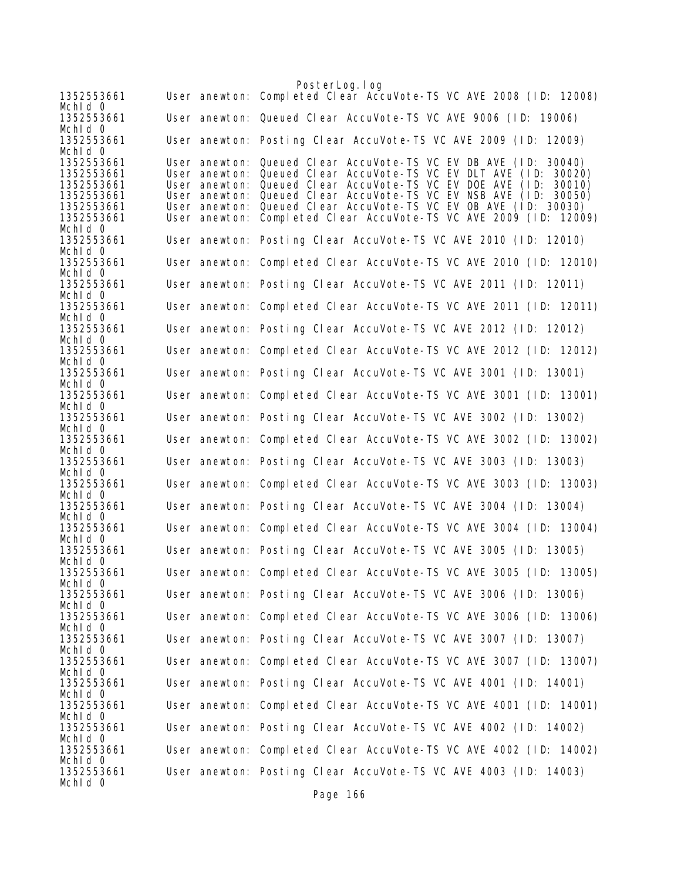PosterLog.log 1352553661 User anewton: Completed Clear AccuVote-TS VC AVE 2008 (ID: 12008) MchId 0<br>1352553661 User anewton: Queued Clear AccuVote-TS VC AVE 9006 (ID: 19006) Mchld 0<br>1352553661 User anewton: Posting Clear AccuVote-TS VC AVE 2009 (ID: 12009) Mchld 0<br>1352553661 1352553661 User anewton: Queued Clear AccuVote-TS VC EV DB AVE (ID: 30040) 1352553661 User anewton: Queued Clear AccuVote-TS VC EV DLT AVE (ID: 30020) User anewton: Queued Clear AccuVote-TS VC EV DOE AVE (ID: 30010) 1352553661 User anewton: Queued Clear AccuVote-TS VC EV NSB AVE (ID: 30050) 1352553661 User anewton: Queued Clear AccuVote-TS VC EV OB AVE (ID: 30030) User anewton: Completed Clear AccuVote-TS VC AVE 2009 (ID: 12009) MchId 0 1352553661 User anewton: Posting Clear AccuVote-TS VC AVE 2010 (ID: 12010) MchId 0<br>1352553661 User anewton: Completed Clear AccuVote-TS VC AVE 2010 (ID: 12010) Mch<sub>Id</sub> 0 1352553661 User anewton: Posting Clear AccuVote-TS VC AVE 2011 (ID: 12011) MchId 0 1352553661 User anewton: Completed Clear AccuVote-TS VC AVE 2011 (ID: 12011) Mchld 0<br>1352553661 User anewton: Posting Clear AccuVote-TS VC AVE 2012 (ID: 12012) MchId 0 1352553661 User anewton: Completed Clear AccuVote-TS VC AVE 2012 (ID: 12012) Mchld 0<br>1352553661 User anewton: Posting Clear AccuVote-TS VC AVE 3001 (ID: 13001) Mch<sub>Id</sub> 0 1352553661 User anewton: Completed Clear AccuVote-TS VC AVE 3001 (ID: 13001) MchId 0<br>1352553661 User anewton: Posting Clear AccuVote-TS VC AVE 3002 (ID: 13002) Mch<sub>Id</sub> 0 1352553661 User anewton: Completed Clear AccuVote-TS VC AVE 3002 (ID: 13002) Mchld 0<br>1352553661 User anewton: Posting Clear AccuVote-TS VC AVE 3003 (ID: 13003) Mchld 0<br>1352553661 User anewton: Completed Clear AccuVote-TS VC AVE 3003 (ID: 13003) Mchld 0<br>1352553661 User anewton: Posting Clear AccuVote-TS VC AVE 3004 (ID: 13004) Mch<sub>Id</sub> 0 1352553661 User anewton: Completed Clear AccuVote-TS VC AVE 3004 (ID: 13004) MchId 0<br>1352553661 User anewton: Posting Clear AccuVote-TS VC AVE 3005 (ID: 13005) MchId 0 1352553661 User anewton: Completed Clear AccuVote-TS VC AVE 3005 (ID: 13005) MchId 0 1352553661 User anewton: Posting Clear AccuVote-TS VC AVE 3006 (ID: 13006) MchId 0<br>1352553661 User anewton: Completed Clear AccuVote-TS VC AVE 3006 (ID: 13006) MchId 0 1352553661 User anewton: Posting Clear AccuVote-TS VC AVE 3007 (ID: 13007) Mchld 0<br>1352553661 User anewton: Completed Clear AccuVote-TS VC AVE 3007 (ID: 13007) Mchld 0<br>1352553661 User anewton: Posting Clear AccuVote-TS VC AVE 4001 (ID: 14001) Mchld 0<br>1352553661 User anewton: Completed Clear AccuVote-TS VC AVE 4001 (ID: 14001) Mchld 0<br>1352553661 User anewton: Posting Clear AccuVote-TS VC AVE 4002 (ID: 14002) Mchld 0<br>1352553661 User anewton: Completed Clear AccuVote-TS VC AVE 4002 (ID: 14002) Mchld 0<br>1352553661 User anewton: Posting Clear AccuVote-TS VC AVE 4003 (ID: 14003) MchId 0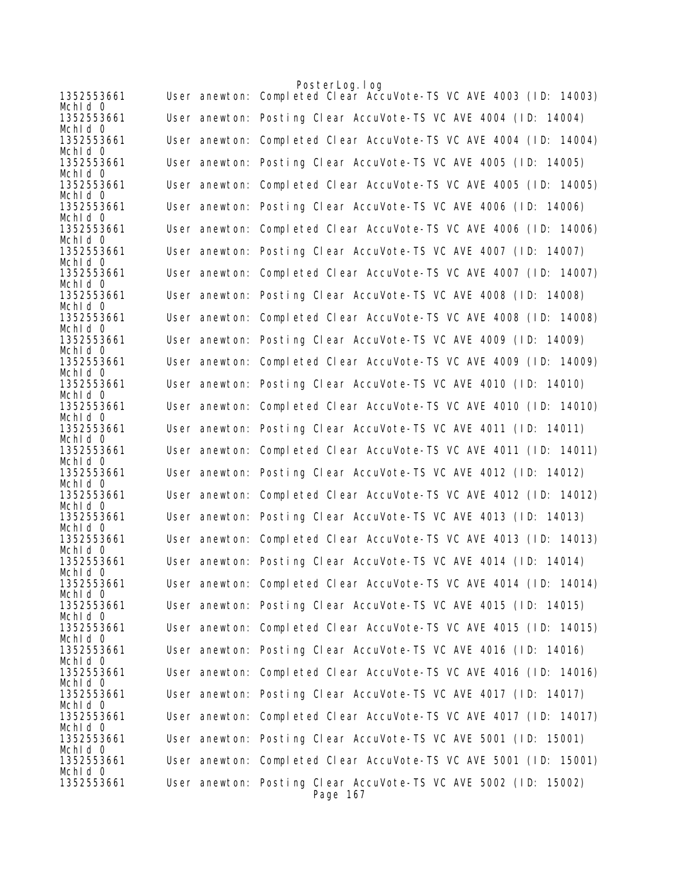|                       | PosterLog.log                                                               |
|-----------------------|-----------------------------------------------------------------------------|
| 1352553661<br>Mchid 0 | User anewton: Completed Clear AccuVote-TS VC AVE 4003 (ID: 14003)           |
| 1352553661<br>Mchld 0 | User anewton: Posting Clear AccuVote-TS VC AVE 4004 (ID: 14004)             |
| 1352553661<br>Mchid 0 | User anewton: Completed Clear AccuVote-TS VC AVE 4004 (ID: 14004)           |
| 1352553661            | User anewton: Posting Clear AccuVote-TS VC AVE 4005 (ID: 14005)             |
| Mchid 0<br>1352553661 | User anewton: Completed Clear AccuVote-TS VC AVE 4005 (ID: 14005)           |
| Mchld 0<br>1352553661 | User anewton: Posting Clear AccuVote-TS VC AVE 4006 (ID: 14006)             |
| Mchid 0<br>1352553661 | User anewton: Completed Clear AccuVote-TS VC AVE 4006 (ID: 14006)           |
| Mchid 0<br>1352553661 | User anewton: Posting Clear AccuVote-TS VC AVE 4007 (ID: 14007)             |
| Mchid 0<br>1352553661 | User anewton: Completed Clear AccuVote-TS VC AVE 4007 (ID: 14007)           |
| Mchid 0               |                                                                             |
| 1352553661<br>Mchid 0 | User anewton: Posting Clear AccuVote-TS VC AVE 4008 (ID: 14008)             |
| 1352553661<br>Mchid 0 | User anewton: Completed Clear AccuVote-TS VC AVE 4008 (ID: 14008)           |
| 1352553661<br>Mchid 0 | User anewton: Posting Clear AccuVote-TS VC AVE 4009 (ID: 14009)             |
| 1352553661<br>Mchid 0 | User anewton: Completed Clear AccuVote-TS VC AVE 4009 (ID: 14009)           |
| 1352553661            | User anewton: Posting Clear AccuVote-TS VC AVE 4010 (ID: 14010)             |
| Mchid 0<br>1352553661 | User anewton: Completed Clear AccuVote-TS VC AVE 4010 (ID: 14010)           |
| Mchid 0<br>1352553661 | User anewton: Posting Clear AccuVote-TS VC AVE 4011 (ID: 14011)             |
| Mchid 0<br>1352553661 | User anewton: Completed Clear AccuVote-TS VC AVE 4011 (ID: 14011)           |
| Mchid 0<br>1352553661 | User anewton: Posting Clear AccuVote-TS VC AVE 4012 (ID: 14012)             |
| Mchid 0<br>1352553661 | User anewton: Completed Clear AccuVote-TS VC AVE 4012 (ID: 14012)           |
| Mchid 0               |                                                                             |
| 1352553661<br>Mchid 0 | User anewton: Posting Clear AccuVote-TS VC AVE 4013 (ID: 14013)             |
| 1352553661<br>Mchid 0 | User anewton: Completed Clear AccuVote-TS VC AVE 4013 (ID: 14013)           |
| 1352553661<br>Mchid O | User anewton: Posting Clear AccuVote-TS VC AVE 4014 (ID: 14014)             |
| 1352553661<br>Mchid 0 | User anewton: Completed Clear AccuVote-TS VC AVE 4014 (ID: 14014)           |
| 1352553661<br>Mchid 0 | User anewton: Posting Clear AccuVote-TS VC AVE 4015 (ID: 14015)             |
| 1352553661            | User anewton: Completed Clear AccuVote-TS VC AVE 4015 (ID: 14015)           |
| Mchid 0<br>1352553661 | User anewton: Posting Clear AccuVote-TS VC AVE 4016 (ID: 14016)             |
| Mchid 0<br>1352553661 | User anewton: Completed Clear AccuVote-TS VC AVE 4016 (ID: 14016)           |
| Mchid 0<br>1352553661 | User anewton: Posting Clear AccuVote-TS VC AVE 4017 (ID: 14017)             |
| Mchld 0<br>1352553661 | User anewton: Completed Clear AccuVote-TS VC AVE 4017 (ID: 14017)           |
| Mchid 0<br>1352553661 | User anewton: Posting Clear AccuVote-TS VC AVE 5001 (ID: 15001)             |
| Mchid 0<br>1352553661 | User anewton: Completed Clear AccuVote-TS VC AVE 5001 (ID: 15001)           |
| Mchid 0               |                                                                             |
| 1352553661            | User anewton: Posting Clear AccuVote-TS VC AVE 5002 (ID: 15002)<br>Page 167 |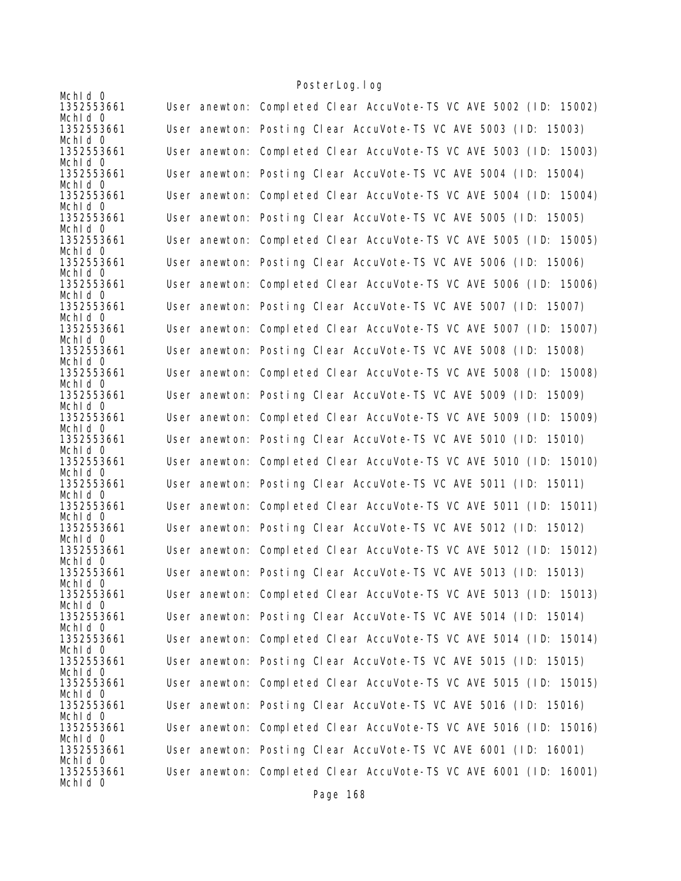| Mchid 0               |                                                                   |
|-----------------------|-------------------------------------------------------------------|
| 1352553661            | User anewton: Completed Clear AccuVote-TS VC AVE 5002 (ID: 15002) |
| Mchid 0<br>1352553661 | User anewton: Posting Clear AccuVote-TS VC AVE 5003 (ID: 15003)   |
| Mchid 0               |                                                                   |
| 1352553661            | User anewton: Completed Clear AccuVote-TS VC AVE 5003 (ID: 15003) |
| Mchid 0<br>1352553661 | User anewton: Posting Clear AccuVote-TS VC AVE 5004 (ID: 15004)   |
| Mchld 0               |                                                                   |
| 1352553661            | User anewton: Completed Clear AccuVote-TS VC AVE 5004 (ID: 15004) |
| Mchid 0<br>1352553661 | User anewton: Posting Clear AccuVote-TS VC AVE 5005 (ID: 15005)   |
| Mchid 0               |                                                                   |
| 1352553661            | User anewton: Completed Clear AccuVote-TS VC AVE 5005 (ID: 15005) |
| Mchid 0<br>1352553661 | User anewton: Posting Clear AccuVote-TS VC AVE 5006 (ID: 15006)   |
| Mchid 0               |                                                                   |
| 1352553661            | User anewton: Completed Clear AccuVote-TS VC AVE 5006 (ID: 15006) |
| Mchid 0<br>1352553661 | User anewton: Posting Clear AccuVote-TS VC AVE 5007 (ID: 15007)   |
| Mchid 0               |                                                                   |
| 1352553661            | User anewton: Completed Clear AccuVote-TS VC AVE 5007 (ID: 15007) |
| Mchid 0<br>1352553661 | User anewton: Posting Clear AccuVote-TS VC AVE 5008 (ID: 15008)   |
| Mchid 0               |                                                                   |
| 1352553661            | User anewton: Completed Clear AccuVote-TS VC AVE 5008 (ID: 15008) |
| Mchid 0<br>1352553661 | User anewton: Posting Clear AccuVote-TS VC AVE 5009 (ID: 15009)   |
| Mchid 0               |                                                                   |
| 1352553661            | User anewton: Completed Clear AccuVote-TS VC AVE 5009 (ID: 15009) |
| Mchid 0<br>1352553661 | User anewton: Posting Clear AccuVote-TS VC AVE 5010 (ID: 15010)   |
| Mchld 0               |                                                                   |
| 1352553661            | User anewton: Completed Clear AccuVote-TS VC AVE 5010 (ID: 15010) |
| Mchid 0<br>1352553661 | User anewton: Posting Clear AccuVote-TS VC AVE 5011 (ID: 15011)   |
| Mchld 0               |                                                                   |
| 1352553661<br>Mchid 0 | User anewton: Completed Clear AccuVote-TS VC AVE 5011 (ID: 15011) |
| 1352553661            | User anewton: Posting Clear AccuVote-TS VC AVE 5012 (ID: 15012)   |
| Mchid 0               |                                                                   |
| 1352553661<br>Mchld 0 | User anewton: Completed Clear AccuVote-TS VC AVE 5012 (ID: 15012) |
| 1352553661            | User anewton: Posting Clear AccuVote-TS VC AVE 5013 (ID: 15013)   |
| Mchid 0               |                                                                   |
| 1352553661<br>Mchid 0 | User anewton: Completed Clear AccuVote-TS VC AVE 5013 (ID: 15013) |
| 1352553661            | User anewton: Posting Clear AccuVote-TS VC AVE 5014 (ID: 15014)   |
| Mchid 0               |                                                                   |
| 1352553661<br>Mchld 0 | User anewton: Completed Clear AccuVote-TS VC AVE 5014 (ID: 15014) |
| 1352553661            | User anewton: Posting Clear AccuVote-TS VC AVE 5015 (ID: 15015)   |
| Mchld 0<br>1352553661 | User anewton: Completed Clear AccuVote-TS VC AVE 5015 (ID: 15015) |
| Mchid 0               |                                                                   |
| 1352553661            | User anewton: Posting Clear AccuVote-TS VC AVE 5016 (ID: 15016)   |
| Mchld 0<br>1352553661 | User anewton: Completed Clear AccuVote-TS VC AVE 5016 (ID: 15016) |
| Mchid 0               |                                                                   |
| 1352553661            | User anewton: Posting Clear AccuVote-TS VC AVE 6001 (ID: 16001)   |
| Mchid 0<br>1352553661 | User anewton: Completed Clear AccuVote-TS VC AVE 6001 (ID: 16001) |
| Mchid 0               |                                                                   |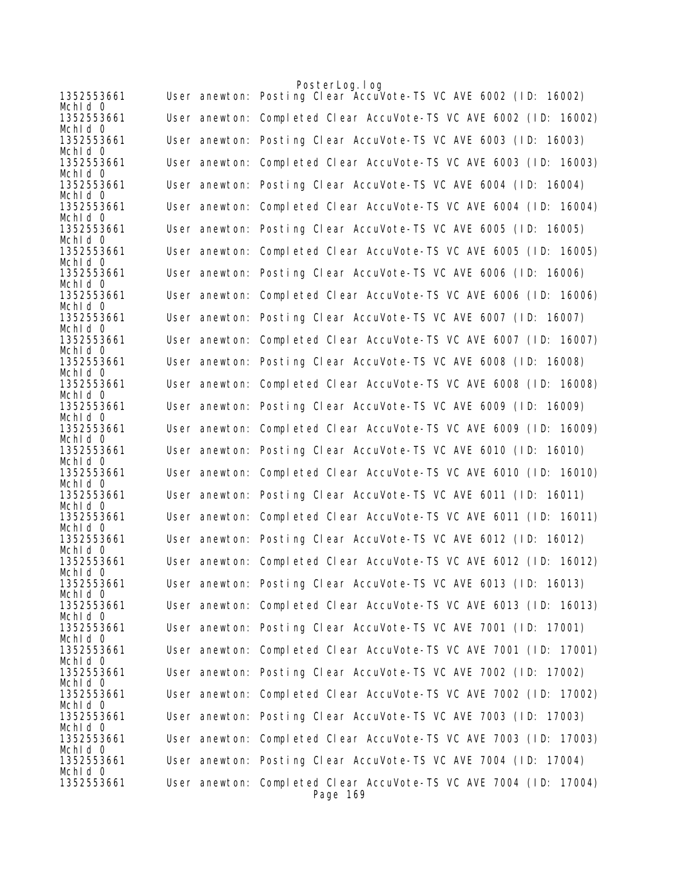|                       | PosterLog. I og                                                               |
|-----------------------|-------------------------------------------------------------------------------|
| 1352553661<br>Mchid 0 | User anewton: Posting Clear AccuVote-TS VC AVE 6002 (ID: 16002)               |
| 1352553661<br>Mchid 0 | User anewton: Completed Clear AccuVote-TS VC AVE 6002 (ID: 16002)             |
| 1352553661<br>Mchid 0 | User anewton: Posting Clear AccuVote-TS VC AVE 6003 (ID: 16003)               |
| 1352553661<br>Mchid O | User anewton: Completed Clear AccuVote-TS VC AVE 6003 (ID: 16003)             |
| 1352553661<br>Mchid 0 | User anewton: Posting Clear AccuVote-TS VC AVE 6004 (ID: 16004)               |
| 1352553661<br>Mchid 0 | User anewton: Completed Clear AccuVote-TS VC AVE 6004 (ID: 16004)             |
| 1352553661<br>Mchld 0 | User anewton: Posting Clear AccuVote-TS VC AVE 6005 (ID: 16005)               |
| 1352553661<br>Mchid 0 | User anewton: Completed Clear AccuVote-TS VC AVE 6005 (ID: 16005)             |
| 1352553661<br>Mchld 0 | User anewton: Posting Clear AccuVote-TS VC AVE 6006 (ID: 16006)               |
| 1352553661<br>Mchid O | User anewton: Completed Clear AccuVote-TS VC AVE 6006 (ID: 16006)             |
| 1352553661<br>Mchid 0 | User anewton: Posting Clear AccuVote-TS VC AVE 6007 (ID: 16007)               |
| 1352553661<br>Mchid 0 | User anewton: Completed Clear AccuVote-TS VC AVE 6007 (ID: 16007)             |
| 1352553661<br>Mchid 0 | User anewton: Posting Clear AccuVote-TS VC AVE 6008 (ID: 16008)               |
| 1352553661<br>Mchid 0 | User anewton: Completed Clear AccuVote-TS VC AVE 6008 (ID: 16008)             |
| 1352553661<br>Mchid 0 | User anewton: Posting Clear AccuVote-TS VC AVE 6009 (ID: 16009)               |
| 1352553661<br>Mchid 0 | User anewton: Completed Clear AccuVote-TS VC AVE 6009 (ID: 16009)             |
| 1352553661<br>Mchid 0 | User anewton: Posting Clear AccuVote-TS VC AVE 6010 (ID: 16010)               |
| 1352553661<br>Mchld 0 | User anewton: Completed Clear AccuVote-TS VC AVE 6010 (ID: 16010)             |
| 1352553661<br>Mchid 0 | User anewton: Posting Clear AccuVote-TS VC AVE 6011 (ID: 16011)               |
| 1352553661<br>Mchld 0 | User anewton: Completed Clear AccuVote-TS VC AVE 6011 (ID: 16011)             |
| 1352553661<br>Mchid 0 | User anewton: Posting Clear AccuVote-TS VC AVE 6012 (ID: 16012)               |
| 1352553661<br>Mchid 0 | User anewton: Completed Clear AccuVote-TS VC AVE 6012 (ID: 16012)             |
| 1352553661<br>Mchid 0 | User anewton: Posting Clear AccuVote-TS VC AVE 6013 (ID: 16013)               |
| 1352553661<br>Mchid O | User anewton: Completed Clear AccuVote-TS VC AVE 6013 (ID: 16013)             |
| 1352553661<br>Mchid 0 | User anewton: Posting Clear AccuVote-TS VC AVE 7001 (ID: 17001)               |
| 1352553661<br>Mchid 0 | User anewton: Completed Clear AccuVote-TS VC AVE 7001 (ID: 17001)             |
| 1352553661<br>Mchid 0 | User anewton: Posting Clear AccuVote-TS VC AVE 7002 (ID: 17002)               |
| 1352553661<br>Mchid 0 | User anewton: Completed Clear AccuVote-TS VC AVE 7002 (ID: 17002)             |
| 1352553661<br>Mchid 0 | User anewton: Posting Clear AccuVote-TS VC AVE 7003 (ID: 17003)               |
| 1352553661<br>Mchid 0 | User anewton: Completed Clear AccuVote-TS VC AVE 7003 (ID: 17003)             |
| 1352553661<br>Mchid 0 | User anewton: Posting Clear AccuVote-TS VC AVE 7004 (ID: 17004)               |
| 1352553661            | User anewton: Completed Clear AccuVote-TS VC AVE 7004 (ID: 17004)<br>Page 169 |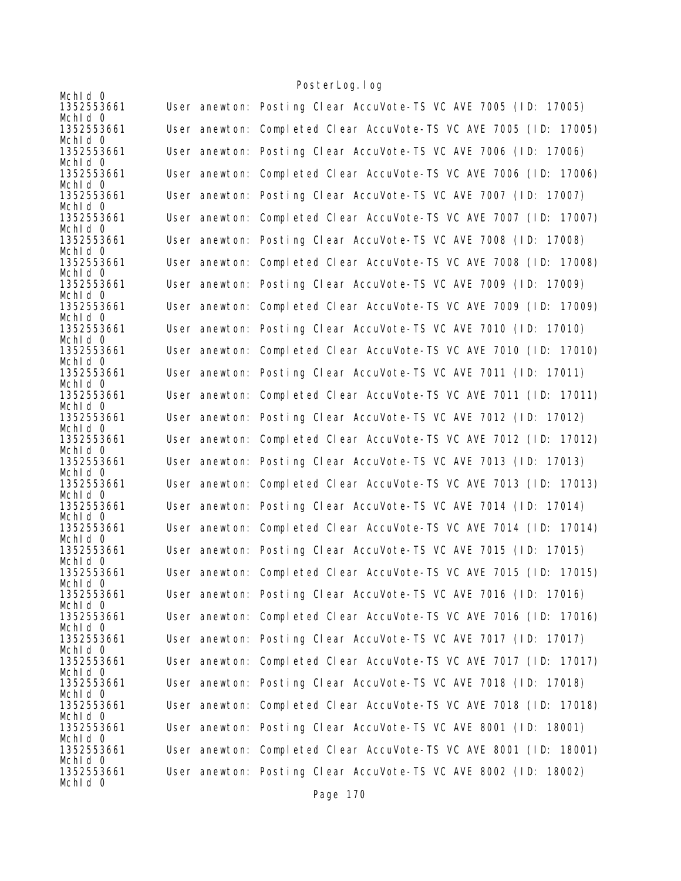| Mchid 0                          |                                                                   |
|----------------------------------|-------------------------------------------------------------------|
| 1352553661                       | User anewton: Posting Clear AccuVote-TS VC AVE 7005 (ID: 17005)   |
| Mchid 0<br>1352553661            | User anewton: Completed Clear AccuVote-TS VC AVE 7005 (ID: 17005) |
| Mchid 0<br>1352553661            | User anewton: Posting Clear AccuVote-TS VC AVE 7006 (ID: 17006)   |
| Mchid 0<br>1352553661            | User anewton: Completed Clear AccuVote-TS VC AVE 7006 (ID: 17006) |
| Mchld 0<br>1352553661<br>Mchid 0 | User anewton: Posting Clear AccuVote-TS VC AVE 7007 (ID: 17007)   |
| 1352553661<br>Mchid 0            | User anewton: Completed Clear AccuVote-TS VC AVE 7007 (ID: 17007) |
| 1352553661<br>Mchld 0            | User anewton: Posting Clear AccuVote-TS VC AVE 7008 (ID: 17008)   |
| 1352553661<br>Mchid 0            | User anewton: Completed Clear AccuVote-TS VC AVE 7008 (ID: 17008) |
| 1352553661<br>Mchid 0            | User anewton: Posting Clear AccuVote-TS VC AVE 7009 (ID: 17009)   |
| 1352553661<br>Mchld 0            | User anewton: Completed Clear AccuVote-TS VC AVE 7009 (ID: 17009) |
| 1352553661<br>Mchid 0            | User anewton: Posting Clear AccuVote-TS VC AVE 7010 (ID: 17010)   |
| 1352553661<br>Mchid 0            | User anewton: Completed Clear AccuVote-TS VC AVE 7010 (ID: 17010) |
| 1352553661<br>Mchid 0            | User anewton: Posting Clear AccuVote-TS VC AVE 7011 (ID: 17011)   |
| 1352553661<br>Mchid 0            | User anewton: Completed Clear AccuVote-TS VC AVE 7011 (ID: 17011) |
| 1352553661<br>Mchid 0            | User anewton: Posting Clear AccuVote-TS VC AVE 7012 (ID: 17012)   |
| 1352553661<br>Mchld 0            | User anewton: Completed Clear AccuVote-TS VC AVE 7012 (ID: 17012) |
| 1352553661<br>Mchid 0            | User anewton: Posting Clear AccuVote-TS VC AVE 7013 (ID: 17013)   |
| 1352553661<br>Mchld 0            | User anewton: Completed Clear AccuVote-TS VC AVE 7013 (ID: 17013) |
| 1352553661<br>Mchid 0            | User anewton: Posting Clear AccuVote-TS VC AVE 7014 (ID: 17014)   |
| 1352553661<br>Mchid 0            | User anewton: Completed Clear AccuVote-TS VC AVE 7014 (ID: 17014) |
| 1352553661<br>Mchld 0            | User anewton: Posting Clear AccuVote-TS VC AVE 7015 (ID: 17015)   |
| 1352553661<br>Mchid 0            | User anewton: Completed Clear AccuVote-TS VC AVE 7015 (ID: 17015) |
| 1352553661<br>Mchid 0            | User anewton: Posting Clear AccuVote-TS VC AVE 7016 (ID: 17016)   |
| 1352553661<br>Mchid 0            | User anewton: Completed Clear AccuVote-TS VC AVE 7016 (ID: 17016) |
| 1352553661<br>Mchld 0            | User anewton: Posting Clear AccuVote-TS VC AVE 7017 (ID: 17017)   |
| 1352553661<br>Mchld 0            | User anewton: Completed Clear AccuVote-TS VC AVE 7017 (ID: 17017) |
| 1352553661<br>Mchid 0            | User anewton: Posting Clear AccuVote-TS VC AVE 7018 (ID: 17018)   |
| 1352553661<br>Mchld 0            | User anewton: Completed Clear AccuVote-TS VC AVE 7018 (ID: 17018) |
| 1352553661<br>Mchid 0            | User anewton: Posting Clear AccuVote-TS VC AVE 8001 (ID: 18001)   |
| 1352553661<br>Mchid 0            | User anewton: Completed Clear AccuVote-TS VC AVE 8001 (ID: 18001) |
| 1352553661<br>Mchid 0            | User anewton: Posting Clear AccuVote-TS VC AVE 8002 (ID: 18002)   |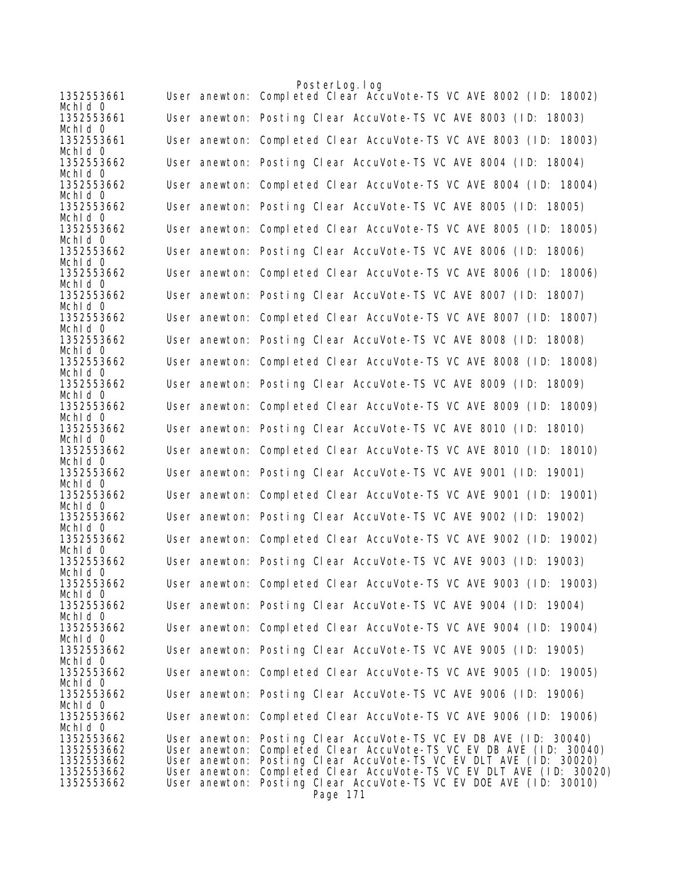|                          | PosterLog.log                                                                                                                            |
|--------------------------|------------------------------------------------------------------------------------------------------------------------------------------|
| 1352553661<br>Mchid 0    | User anewton: Completed Clear AccuVote-TS VC AVE 8002 (ID: 18002)                                                                        |
| 1352553661<br>Mchid 0    | User anewton: Posting Clear AccuVote-TS VC AVE 8003 (ID: 18003)                                                                          |
| 1352553661               | User anewton: Completed Clear AccuVote-TS VC AVE 8003 (ID: 18003)                                                                        |
| Mchid 0<br>1352553662    | User anewton: Posting Clear AccuVote-TS VC AVE 8004 (ID: 18004)                                                                          |
| Mchid 0<br>1352553662    | User anewton: Completed Clear AccuVote-TS VC AVE 8004 (ID: 18004)                                                                        |
| Mchid 0                  |                                                                                                                                          |
| 1352553662<br>Mchid 0    | User anewton: Posting Clear AccuVote-TS VC AVE 8005 (ID: 18005)                                                                          |
| 1352553662<br>Mchld 0    | User anewton: Completed Clear AccuVote-TS VC AVE 8005 (ID: 18005)                                                                        |
| 1352553662               | User anewton: Posting Clear AccuVote-TS VC AVE 8006 (ID: 18006)                                                                          |
| Mchid 0<br>1352553662    | User anewton: Completed Clear AccuVote-TS VC AVE 8006 (ID: 18006)                                                                        |
| Mchid 0<br>1352553662    | User anewton: Posting Clear AccuVote-TS VC AVE 8007 (ID: 18007)                                                                          |
| Mchid 0<br>1352553662    | User anewton: Completed Clear AccuVote-TS VC AVE 8007 (ID: 18007)                                                                        |
| Mchid 0                  |                                                                                                                                          |
| 1352553662<br>Mchid 0    | User anewton: Posting Clear AccuVote-TS VC AVE 8008 (ID: 18008)                                                                          |
| 1352553662<br>Mchld 0    | User anewton: Completed Clear AccuVote-TS VC AVE 8008 (ID: 18008)                                                                        |
| 1352553662               | User anewton: Posting Clear AccuVote-TS VC AVE 8009 (ID: 18009)                                                                          |
| Mchid 0<br>1352553662    | User anewton: Completed Clear AccuVote-TS VC AVE 8009 (ID: 18009)                                                                        |
| Mchld 0<br>1352553662    | User anewton: Posting Clear AccuVote-TS VC AVE 8010 (ID: 18010)                                                                          |
| Mchld 0<br>1352553662    | User anewton: Completed Clear AccuVote-TS VC AVE 8010 (ID: 18010)                                                                        |
| Mchid 0<br>1352553662    | User anewton: Posting Clear AccuVote-TS VC AVE 9001 (ID: 19001)                                                                          |
| Mchid 0<br>1352553662    | User anewton: Completed Clear AccuVote-TS VC AVE 9001 (ID: 19001)                                                                        |
| Mchid 0<br>1352553662    | User anewton: Posting Clear AccuVote-TS VC AVE 9002 (ID: 19002)                                                                          |
| Mchid 0<br>1352553662    | User anewton: Completed Clear AccuVote-TS VC AVE 9002 (ID: 19002)                                                                        |
| Mchid 0                  |                                                                                                                                          |
| 1352553662<br>Mchid 0    | User anewton: Posting Clear AccuVote-TS VC AVE 9003 (ID: 19003)                                                                          |
| 1352553662<br>Mchid 0    | User anewton: Completed Clear AccuVote-TS VC AVE 9003 (ID: 19003)                                                                        |
| 1352553662<br>Mchid 0    | User anewton: Posting Clear AccuVote-TS VC AVE 9004 (ID: 19004)                                                                          |
| 1352553662               | User anewton: Completed Clear AccuVote-TS VC AVE 9004 (ID: 19004)                                                                        |
| Mchid O<br>1352553662    | User anewton: Posting Clear AccuVote-TS VC AVE 9005 (ID: 19005)                                                                          |
| Mchid 0<br>1352553662    | User anewton: Completed Clear AccuVote-TS VC AVE 9005 (ID: 19005)                                                                        |
| Mchid 0<br>1352553662    | User anewton: Posting Clear AccuVote-TS VC AVE 9006 (ID: 19006)                                                                          |
| Mchid 0<br>1352553662    | User anewton: Completed Clear AccuVote-TS VC AVE 9006 (ID: 19006)                                                                        |
| Mchid 0<br>1352553662    | User anewton: Posting Clear AccuVote-TS VC EV DB AVE (ID: 30040)                                                                         |
| 1352553662               | User anewton: Completed Clear AccuVote-TS VC EV DB AVE (ID: 30040)                                                                       |
| 1352553662<br>1352553662 | User anewton: Posting Clear AccuVote-TS VC EV DLT AVE (ID: 30020)<br>User anewton: Completed Clear AccuVote-TS VC EV DLT AVE (ID: 30020) |
| 1352553662               | User anewton: Posting Clear AccuVote-TS VC EV DOE AVE (ID: 30010)<br>Page 171                                                            |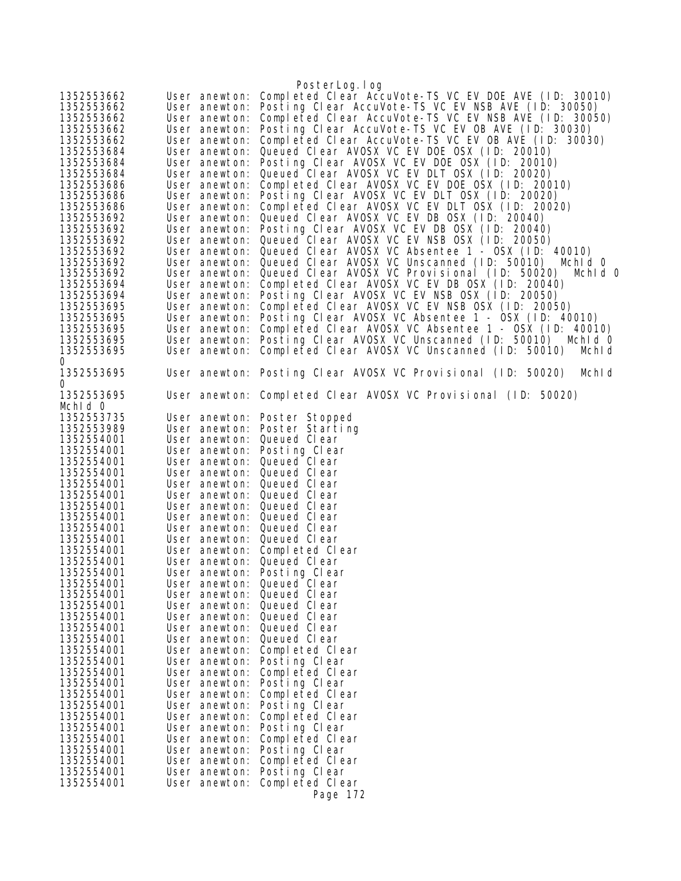|                          |                            | PosterLog.log                                                          |
|--------------------------|----------------------------|------------------------------------------------------------------------|
| 1352553662               | User anewton:              | Completed Clear AccuVote-TS VC EV DOE AVE (ID: 30010)                  |
| 1352553662               | User anewton:              | Posting Clear AccuVote-TS VC EV NSB AVE (ID: 30050)                    |
| 1352553662               | User anewton:              | Completed Clear AccuVote-TS VC EV NSB AVE (ID: 30050)                  |
| 1352553662               | User anewton:              | Posting Clear AccuVote-TS VC EV OB AVE (ID: 30030)                     |
| 1352553662               | User anewton:              | Completed Clear AccuVote-TS VC EV OB AVE (ID: 30030)                   |
| 1352553684               | User anewton:              | Queued Clear AVOSX VC EV DOE OSX (ID: 20010)                           |
| 1352553684               | User anewton:              | Posting Clear AVOSX VC EV DOE OSX (ID: 20010)                          |
| 1352553684               | User anewton:              | Queued Clear AVOSX VC EV DLT OSX (ID: 20020)                           |
| 1352553686               | User anewton:              | Completed Clear AVOSX VC EV DOE OSX (ID: 20010)                        |
| 1352553686               | User anewton:              | Posting Clear AVOSX VC EV DLT OSX (ID: 20020)                          |
| 1352553686               | User anewton:              | Completed Clear AVOSX VC EV DLT OSX (ID: 20020)                        |
| 1352553692               | User anewton:              | Queued Clear AVOSX VC EV DB OSX (ID: 20040)                            |
| 1352553692               | User anewton:              | Posting Clear AVOSX VC EV DB OSX (ID: 20040)                           |
| 1352553692               | User anewton:              | Queued Clear AVOSX VC EV NSB OSX (ID: 20050)                           |
| 1352553692               | User anewton:              | Queued Clear AVOSX VC Absentee 1 - OSX (ID: 40010)                     |
| 1352553692               | User anewton:              | Queued Clear AVOSX VC Unscanned (ID: 50010)<br>Mchid 0                 |
| 1352553692               | User anewton:              | Queued Clear AVOSX VC Provisional (ID: 50020)<br>Mchid 0               |
| 1352553694               | User anewton:              | Completed Clear AVOSX VC EV DB OSX (ID: 20040)                         |
| 1352553694               | User anewton:              | Posting Clear AVOSX VC EV NSB OSX (ID: 20050)                          |
| 1352553695               | User anewton:              | Completed Clear AVOSX VC EV NSB OSX (ID: 20050)                        |
| 1352553695               | User anewton:              | Posting Clear AVOSX VC Absentee 1 - OSX (ID: 40010)                    |
| 1352553695               | User anewton:              | Completed Clear AVOSX VC Absentee 1 - OSX (ID: 40010)                  |
| 1352553695               | User anewton:              | Posting Clear AVOSX VC Unscanned (ID: 50010) Mchld 0                   |
| 1352553695               | User anewton:              | Completed Clear AVOSX VC Unscanned (ID: 50010)<br>MchI d               |
| 0                        |                            |                                                                        |
| 1352553695               |                            | User anewton: Posting Clear AVOSX VC Provisional (ID: 50020)<br>Mchi d |
| 0                        |                            |                                                                        |
| 1352553695               |                            | User anewton: Completed Clear AVOSX VC Provisional (ID: 50020)         |
| Mchid 0                  |                            |                                                                        |
| 1352553735               |                            | User anewton: Poster Stopped                                           |
| 1352553989               |                            | User anewton: Poster Starting                                          |
| 1352554001               | User anewton:              | Queued Clear                                                           |
| 1352554001               | User anewton:              | Posting Clear                                                          |
| 1352554001               | User anewton: Queued Clear |                                                                        |
| 1352554001               | User anewton: Queued Clear |                                                                        |
| 1352554001               | User anewton: Queued Clear |                                                                        |
| 1352554001               | User anewton: Queued Clear |                                                                        |
| 1352554001               | User anewton: Queued Clear |                                                                        |
| 1352554001<br>1352554001 | User anewton: Queued Clear |                                                                        |
|                          | User anewton: Queued Clear |                                                                        |
| 1352554001<br>1352554001 | User anewton: Queued Clear |                                                                        |
| 1352554001               | User anewton: Queued Clear | User anewton: Completed Clear                                          |
| 1352554001               | User anewton:              | Posting Clear                                                          |
| 1352554001               | User anewton: Queued Clear |                                                                        |
| 1352554001               | User anewton: Queued Clear |                                                                        |
| 1352554001               | User anewton: Queued Clear |                                                                        |
| 1352554001               | User anewton: Queued Clear |                                                                        |
| 1352554001               | User anewton: Queued Clear |                                                                        |
| 1352554001               | User anewton: Queued Clear |                                                                        |
| 1352554001               |                            | User anewton: Completed Clear                                          |
| 1352554001               |                            | User anewton: Posting Clear                                            |
| 1352554001               |                            | User anewton: Completed Clear                                          |
| 1352554001               |                            | User anewton: Posting Clear                                            |
| 1352554001               |                            | User anewton: Completed Clear                                          |
| 1352554001               |                            | User anewton: Posting Clear                                            |
| 1352554001               |                            | User anewton: Completed Clear                                          |
| 1352554001               |                            | User anewton: Posting Clear                                            |
| 1352554001               | User anewton:              | Completed Clear                                                        |
| 1352554001               |                            | User anewton: Posting Clear                                            |
| 1352554001               |                            | User anewton: Completed Clear                                          |
| 1352554001               | User anewton:              | Posting Clear                                                          |
| 1352554001               |                            | User anewton: Completed Clear                                          |
|                          |                            | Page 172                                                               |
|                          |                            |                                                                        |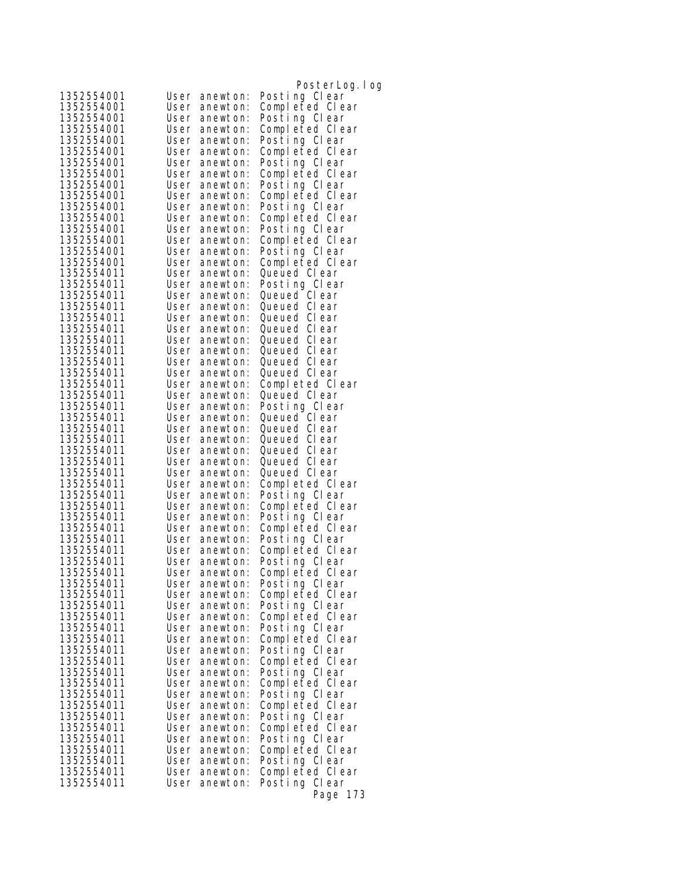|                          |                                      | PosterLog. I og                  |
|--------------------------|--------------------------------------|----------------------------------|
| 1352554001               | User<br>anewton:                     | Posting Clear                    |
| 1352554001               | User<br>anewton:                     | Completed Clear                  |
| 1352554001               | User<br>anewton:                     | Posting Clear                    |
| 1352554001               | User<br>anewton:                     | Completed Clear                  |
| 1352554001               | User<br>anewton:                     | Posting Clear                    |
| 1352554001               | User<br>anewton:                     | Completed Clear                  |
| 1352554001               | User<br>anewton:                     | Posting Clear                    |
| 1352554001               | User<br>anewton:                     | Completed Clear                  |
| 1352554001<br>1352554001 | User<br>anewton:<br>User             | Posting Clear                    |
| 1352554001               | anewton:<br>User<br>anewton:         | Completed Clear<br>Posting Clear |
| 1352554001               | User<br>anewton:                     | Completed Clear                  |
| 1352554001               | User<br>anewton:                     | Posting Clear                    |
| 1352554001               | User<br>anewton:                     | Completed Clear                  |
| 1352554001               | User<br>anewton:                     | Posting Clear                    |
| 1352554001               | User<br>anewton:                     | Completed Clear                  |
| 1352554011               | User<br>anewton:                     | Queued Clear                     |
| 1352554011               | User<br>anewton:                     | Posting Clear                    |
| 1352554011               | User<br>anewton:                     | Queued Clear                     |
| 1352554011               | User<br>anewton:                     | Queued Clear                     |
| 1352554011<br>1352554011 | User<br>anewton:                     | Queued Clear                     |
| 1352554011               | User<br>anewton:<br>User<br>anewton: | Queued Clear<br>Queued Clear     |
| 1352554011               | User<br>anewton:                     | Queued Clear                     |
| 1352554011               | User<br>anewton:                     | Queued Clear                     |
| 1352554011               | anewton:<br>User                     | Queued CI ear                    |
| 1352554011               | User<br>anewton:                     | Completed Clear                  |
| 1352554011               | User<br>anewton:                     | Queued Clear                     |
| 1352554011               | User<br>anewton:                     | Posting Clear                    |
| 1352554011               | User<br>anewton:                     | Queued Clear                     |
| 1352554011               | User<br>anewton:                     | Queued CI ear                    |
| 1352554011<br>1352554011 | User<br>anewton:<br>User<br>anewton: | Queued CI ear<br>Queued Clear    |
| 1352554011               | User<br>anewton:                     | Queued CI ear                    |
| 1352554011               | User<br>anewton:                     | Queued CI ear                    |
| 1352554011               | User<br>anewton:                     | Completed Clear                  |
| 1352554011               | User<br>anewton:                     | Posting Clear                    |
| 1352554011               | User<br>anewton:                     | Completed Clear                  |
| 1352554011               | User<br>anewton:                     | Posting Clear                    |
| 1352554011<br>1352554011 | User<br>anewton:                     | Completed Clear                  |
| 1352554011               | User<br>anewton:<br>User<br>anewton: | Posting Clear<br>Completed Clear |
| 1352554011               | User<br>anewton:                     | Posting Clear                    |
| 1352554011               | User anewton:                        | Completed Clear                  |
| 1352554011               | User<br>anewton:                     | Posting Clear                    |
| 1352554011               | User<br>anewton:                     | Completed Clear                  |
| 1352554011               | User anewton:                        | Posting Clear                    |
| 1352554011               | User<br>anewton:                     | Completed Clear                  |
| 1352554011               | User anewton:                        | Posting Clear                    |
| 1352554011               | User<br>anewton:                     | Completed Clear                  |
| 1352554011<br>1352554011 | anewton:<br>User<br>User<br>anewton: | Posting Clear<br>Completed Clear |
| 1352554011               | User<br>anewton:                     | Posting Clear                    |
| 1352554011               | User<br>anewton:                     | Completed Clear                  |
| 1352554011               | User<br>anewton:                     | Posting Clear                    |
| 1352554011               | User<br>anewton:                     | Completed Clear                  |
| 1352554011               | User<br>anewton:                     | Posting Clear                    |
| 1352554011               | User<br>anewton:                     | Completed Clear                  |
| 1352554011               | User<br>anewton:                     | Posting Clear                    |
| 1352554011<br>1352554011 | User<br>anewton:<br>User<br>anewton: | Completed Clear<br>Posting Clear |
| 1352554011               | User<br>anewton:                     | Completed Clear                  |
| 1352554011               | User<br>anewton:                     | Posting Clear                    |
|                          |                                      | Page 173                         |
|                          |                                      |                                  |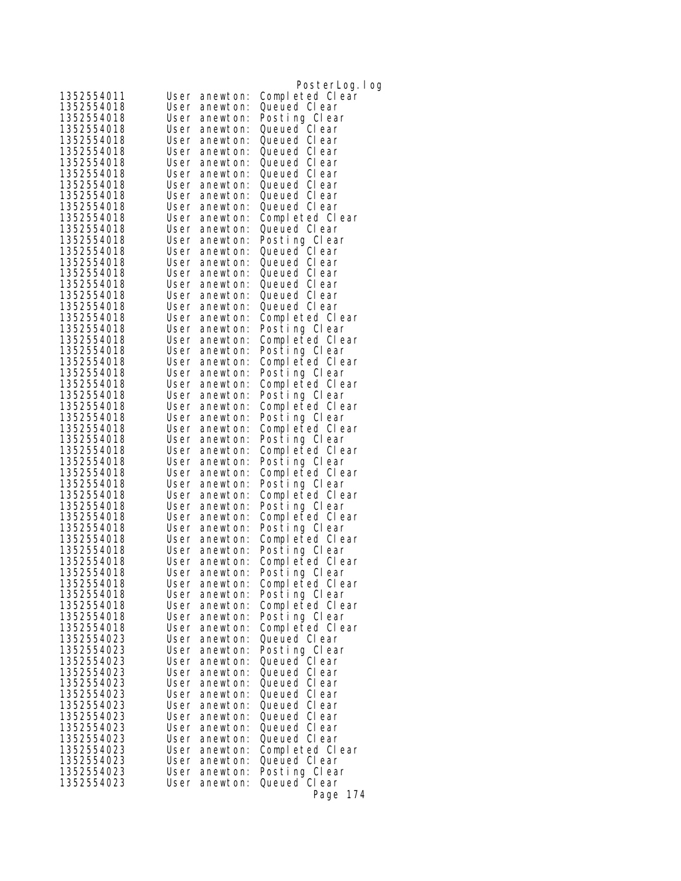| 1352554011               | User         | anewton:             | PosterLog.log<br>Completed Clear |
|--------------------------|--------------|----------------------|----------------------------------|
| 1352554018               | User         | anewton:             | Queued CI ear                    |
| 1352554018               | User         | anewton:             | Posting Clear                    |
| 1352554018               | User         | anewton:             | Queued Clear                     |
| 1352554018               |              | User anewton:        | Queued CI ear                    |
| 1352554018               | User         | anewton:             | Queued Clear                     |
| 1352554018               | User         | anewton:             | Queued Clear                     |
| 1352554018               | User         | anewton:             | Queued Clear                     |
| 1352554018               | User         | anewton:             | Queued CI ear                    |
| 1352554018               | User         | anewton:             | Queued Clear                     |
| 1352554018               | User         | anewton:             | Queued CI ear                    |
| 1352554018               | User         | anewton:             | Completed Clear                  |
| 1352554018               | User         | anewton:             | Queued Clear                     |
| 1352554018               | User         | anewton:             | Posting Clear                    |
| 1352554018               | User         | anewton:             | Queued Clear                     |
| 1352554018               | User         | anewton:             | Queued Clear                     |
| 1352554018               | User         | anewton:             | Queued Clear                     |
| 1352554018               | User         | anewton:             | Queued Clear                     |
| 1352554018               | User         | anewton:             | Queued Clear                     |
| 1352554018               | User         | anewton:             | Queued Clear                     |
| 1352554018               | User         | anewton:             | Completed Clear                  |
| 1352554018               | User         | anewton:             | Posting Clear                    |
| 1352554018               | User         | anewton:             | Completed Clear                  |
| 1352554018               | User         | anewton:             | Posting Clear                    |
| 1352554018               | User         | anewton:             | Completed Clear                  |
| 1352554018               | User         | anewton:             | Posting Clear                    |
| 1352554018               |              | User anewton:        | Completed Clear                  |
| 1352554018               | User         | anewton:             | Posting Clear                    |
| 1352554018               | User         | anewton:             | Completed Clear                  |
| 1352554018               | User         | anewton:             | Posting Clear                    |
| 1352554018               | User         | anewton:             | Completed Clear                  |
| 1352554018               | User         | anewton:             | Posting Clear                    |
| 1352554018<br>1352554018 | User<br>User | anewton:             | Completed Clear                  |
| 1352554018               | User         | anewton:<br>anewton: | Posting Clear<br>Completed Clear |
| 1352554018               | User         | anewton:             | Posting Clear                    |
| 1352554018               | User         | anewton:             | Completed Clear                  |
| 1352554018               | User         | anewton:             | Posting Clear                    |
| 1352554018               | User         | anewton:             | Completed Clear                  |
| 1352554018               |              | User anewton:        | Posting Clear                    |
| 1352554018               | User         | anewton:             | Completed Clear                  |
| 1352554018               | User         | anewton:             | Posting Clear                    |
| 1352554018               | User         | anewton:             | Completed Clear                  |
| 1352554018               |              | User anewton:        | Posting Clear                    |
| 1352554018               |              | User anewton:        | Completed Clear                  |
| 1352554018               |              | User anewton:        | Posting Clear                    |
| 1352554018               | User         | anewton:             | Completed Clear                  |
| 1352554018               | User         | anewton:             | Posting Clear                    |
| 1352554018               |              | User anewton:        | Completed Clear                  |
| 1352554023               | User         | anewton:             | Queued Clear                     |
| 1352554023               | User         | anewton:             | Posting Clear                    |
| 1352554023               | User         | anewton:             | Queued CI ear                    |
| 1352554023               | User         | anewton:             | Queued Clear                     |
| 1352554023               | User         | anewton:             | Queued CI ear                    |
| 1352554023               | User         | anewton:             | Queued CI ear                    |
| 1352554023               | User         | anewton:             | Queued CI ear                    |
| 1352554023               | User         | anewton:             | Queued Clear                     |
| 1352554023               | User         | anewton:             | Queued CI ear                    |
| 1352554023               | User         | anewton:             | Queued CI ear                    |
| 1352554023               | User         | anewton:             | Completed Clear                  |
| 1352554023               | User         | anewton:             | Queued Clear                     |
| 1352554023               | User         | anewton:             | Posting Clear                    |
| 1352554023               | User         | anewton:             | Queued Clear                     |
|                          |              |                      | Page 174                         |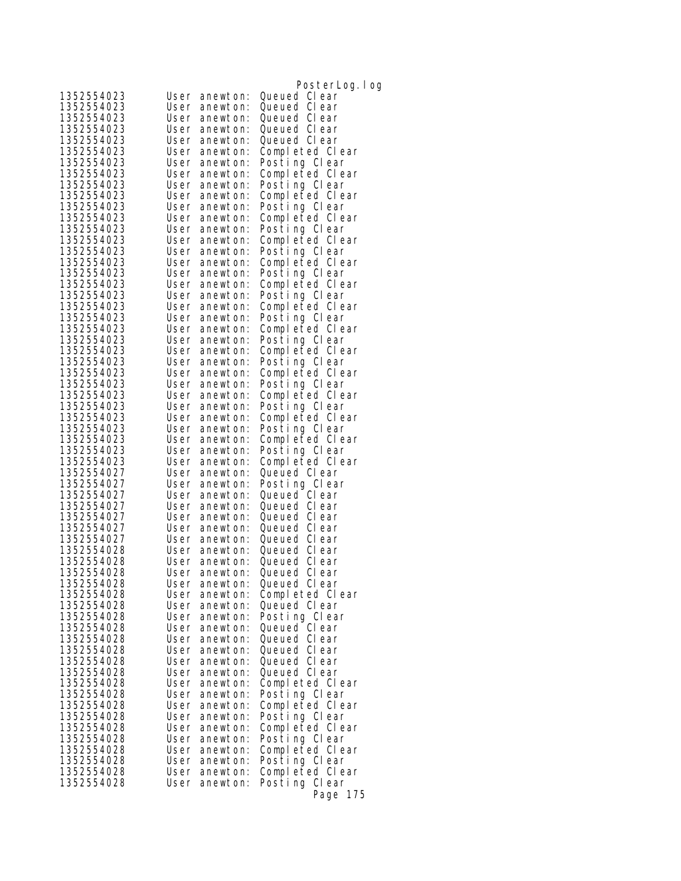|                          |              |                           | PosterLog. I og                  |
|--------------------------|--------------|---------------------------|----------------------------------|
| 1352554023               | User         | anewton:                  | Queued Clear                     |
| 1352554023               | User         | anewton:                  | Queued Clear                     |
| 1352554023               | User         | anewton:                  | Queued CI ear                    |
| 1352554023               | User         | anewton:                  | Queued Clear                     |
| 1352554023               | User         | anewton:                  | Queued CI ear                    |
| 1352554023               | User         | anewton:                  | Completed Clear                  |
| 1352554023               | User         | anewton:                  | Posting Clear                    |
| 1352554023               | User         | anewton:                  | Completed Clear                  |
| 1352554023               | User         | anewton:                  | Posting Clear                    |
| 1352554023               | User         | anewton:                  | Completed Clear                  |
| 1352554023               | User         | anewton:                  | Posting Clear                    |
| 1352554023               | User         | anewton:                  | Completed Clear                  |
| 1352554023               | User         | anewton:                  | Posting Clear                    |
| 1352554023               | User         | anewton:                  | Completed Clear                  |
| 1352554023               | User         | anewton:                  | Posting Clear                    |
| 1352554023               | User         | anewton:                  | Completed Clear                  |
| 1352554023               | User         | anewton:                  | Posting Clear                    |
| 1352554023               | User         | anewton:                  | Completed Clear                  |
| 1352554023               | User         | anewton:                  | Posting Clear                    |
| 1352554023               | User         | anewton:                  | Completed Clear                  |
| 1352554023               | User         | anewton:                  | Posting Clear                    |
| 1352554023               | User         | anewton:                  | Completed Clear                  |
| 1352554023               | User         | anewton:                  | Posting Clear                    |
| 1352554023               | User         | anewton:                  | Completed Clear                  |
| 1352554023               | User         | anewton:                  | Posting Clear                    |
| 1352554023               | User         | anewton:                  | Completed Clear                  |
| 1352554023               | User         | anewton:                  | Posting Clear                    |
| 1352554023               | User         | anewton:                  | Completed Clear                  |
| 1352554023<br>1352554023 | User<br>User | anewton:                  | Posting Clear                    |
| 1352554023               | User         | anewton:<br>anewton:      | Completed Clear<br>Posting Clear |
| 1352554023               | User         | anewton:                  | Completed Clear                  |
| 1352554023               | User         | anewton:                  | Posting Clear                    |
| 1352554023               | User         | anewton:                  | Completed Clear                  |
| 1352554027               | User         | anewton:                  | Queued Clear                     |
| 1352554027               | User         | anewton:                  | Posting Clear                    |
| 1352554027               | User         | anewton:                  | Queued Clear                     |
| 1352554027               | User         | anewton:                  | Queued CI ear                    |
| 1352554027               | User         | anewton:                  | Queued Clear                     |
| 1352554027               | User         | anewton:                  | Queued Clear                     |
| 1352554027               | User         | anewton:                  | Queued CI ear                    |
| 1352554028               | User         | anewton:                  | Queued CI ear                    |
| 1352554028               | User         | anewton:                  | Queued Clear                     |
| 1352554028               |              | User anewton:             | Queued Clear                     |
| 1352554028               | User         | anewton:                  | Queued CI ear                    |
| 1352554028               | User         | anewton:                  | Completed Clear                  |
| 1352554028               |              | User anewton:             | Queued Clear                     |
| 1352554028               | User         | anewton:                  | Posting Clear                    |
| 1352554028               |              | User anewton:             | Queued Clear                     |
| 1352554028               | User         | anewton:                  | Queued Clear                     |
| 1352554028               | User         | anewton:                  | Queued Clear                     |
| 1352554028<br>1352554028 | User         | anewton:<br>anewton:      | Queued Clear<br>Queued CI ear    |
| 1352554028               | User<br>User |                           | Completed Clear                  |
| 1352554028               |              | anewton:<br>User anewton: | Posting Clear                    |
| 1352554028               | User         | anewton:                  | Completed Clear                  |
| 1352554028               | User         | anewton:                  | Posting Clear                    |
| 1352554028               | User         | anewton:                  | Completed Clear                  |
| 1352554028               | User         | anewton:                  | Posting Clear                    |
| 1352554028               | User         | anewton:                  | Completed Clear                  |
| 1352554028               | User         | anewton:                  | Posting Clear                    |
| 1352554028               | User         | anewton:                  | Completed Clear                  |
| 1352554028               | User         | anewton:                  | Posting Clear                    |
|                          |              |                           | Page 175                         |
|                          |              |                           |                                  |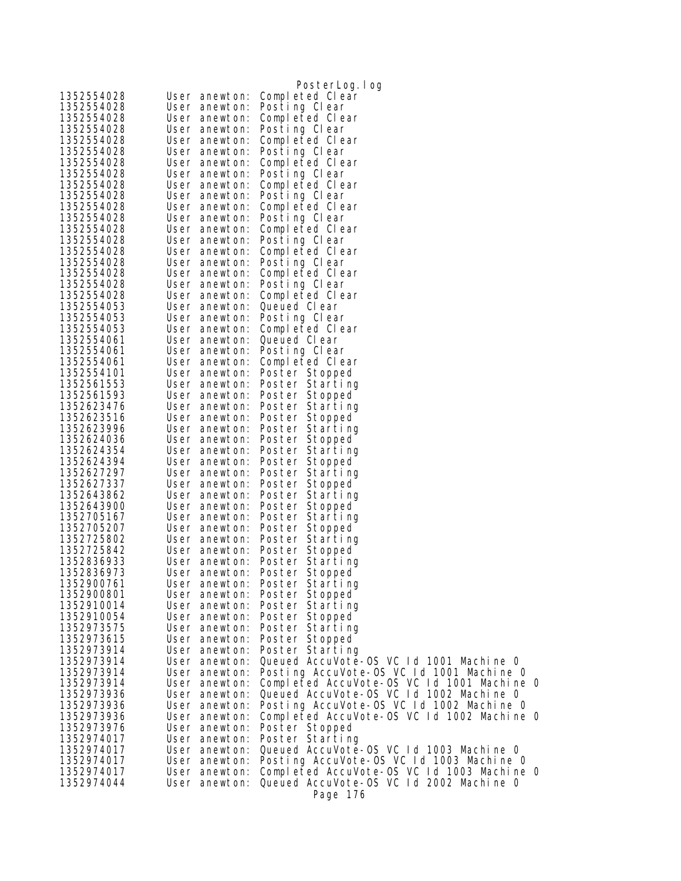|                          |                                | PosterLog.log                                              |
|--------------------------|--------------------------------|------------------------------------------------------------|
| 1352554028               | User anewton:                  | Completed Clear                                            |
| 1352554028               | User anewton:                  | Posting Clear                                              |
| 1352554028               | User anewton:                  | Completed Clear                                            |
| 1352554028               | User anewton:                  | Posting Clear                                              |
| 1352554028               | User anewton:                  | Completed Clear                                            |
| 1352554028               | User anewton:                  | Posting Clear                                              |
| 1352554028               | User anewton:                  | Completed Clear                                            |
| 1352554028               | User anewton:                  | Posting Clear                                              |
| 1352554028               | User anewton:                  | Completed Clear                                            |
| 1352554028               | User anewton:                  | Posting Clear                                              |
| 1352554028               | User anewton:                  | Completed Clear                                            |
| 1352554028               | User anewton:                  | Posting Clear                                              |
| 1352554028               | User anewton:                  | Completed Clear                                            |
| 1352554028               | User anewton:                  | Posting Clear                                              |
| 1352554028               | User anewton:                  | Completed Clear                                            |
| 1352554028<br>1352554028 | User anewton:                  | Posting Clear                                              |
| 1352554028               | User anewton:                  | Completed Clear                                            |
|                          | User anewton:                  | Posting Clear                                              |
| 1352554028<br>1352554053 | User anewton:                  | Completed Clear<br>Queued Clear                            |
| 1352554053               | User anewton:<br>User anewton: | Posting Clear                                              |
| 1352554053               | User anewton:                  | Completed Clear                                            |
| 1352554061               | User anewton:                  | Queued Clear                                               |
| 1352554061               | User anewton:                  | Posting Clear                                              |
| 1352554061               | User anewton:                  | Completed Clear                                            |
| 1352554101               | User anewton:                  | Poster Stopped                                             |
| 1352561553               | User anewton:                  | Poster Starting                                            |
| 1352561593               | User anewton:                  | Poster Stopped                                             |
| 1352623476               | User anewton:                  | Poster Starting                                            |
| 1352623516               | User anewton:                  | Poster Stopped                                             |
| 1352623996               | User anewton:                  | Poster Starting                                            |
| 1352624036               | User anewton:                  | Poster Stopped                                             |
| 1352624354               | User anewton:                  | Poster Starting                                            |
| 1352624394               | User anewton:                  | Poster Stopped                                             |
| 1352627297               | User anewton:                  | Poster Starting                                            |
| 1352627337               | User anewton:                  | Poster Stopped                                             |
| 1352643862               | User anewton:                  | Poster Starting                                            |
| 1352643900               | User anewton:                  | Poster Stopped                                             |
| 1352705167               | User anewton:                  | Poster Starting                                            |
| 1352705207               | User anewton:                  | Poster Stopped                                             |
| 1352725802               | User anewton:                  | Poster Starting                                            |
| 1352725842               | User anewton:                  | Poster Stopped                                             |
| 1352836933               | User anewton:                  | Poster Starting                                            |
| 1352836973               | User anewton:                  | Poster Stopped                                             |
| 1352900761               | User anewton:                  | Poster Starting                                            |
| 1352900801               | User anewton:                  | Poster Stopped                                             |
| 1352910014               | User anewton:                  | Poster Starting                                            |
| 1352910054               | User anewton:                  | Poster Stopped                                             |
| 1352973575               | User anewton:                  | Poster Starting                                            |
| 1352973615               | User anewton:                  | Poster Stopped                                             |
| 1352973914               | User anewton:                  | Poster Starting<br>Queued AccuVote-OS VC 1d 1001 Machine 0 |
| 1352973914<br>1352973914 | User anewton:<br>User anewton: | Posting AccuVote-OS VC 1d 1001 Machine 0                   |
| 1352973914               | User anewton:                  | Completed AccuVote-OS VC 1d 1001 Machine 0                 |
| 1352973936               | User anewton:                  | Queued AccuVote-OS VC Id 1002 Machine 0                    |
| 1352973936               | User anewton:                  | Posting AccuVote-OS VC 1d 1002 Machine 0                   |
| 1352973936               | User anewton:                  | Completed AccuVote-OS VC 1d 1002 Machine 0                 |
| 1352973976               | User anewton:                  | Poster Stopped                                             |
| 1352974017               | User anewton:                  | Poster Starting                                            |
| 1352974017               | User anewton:                  | Queued AccuVote-OS VC 1d 1003 Machine 0                    |
| 1352974017               | User anewton:                  | Posting AccuVote-OS VC 1d 1003 Machine 0                   |
| 1352974017               | User anewton:                  | Completed AccuVote-OS VC 1d 1003 Machine 0                 |
| 1352974044               | User anewton:                  | Queued AccuVote-OS VC 1d 2002 Machine 0                    |
|                          |                                | Page 176                                                   |
|                          |                                |                                                            |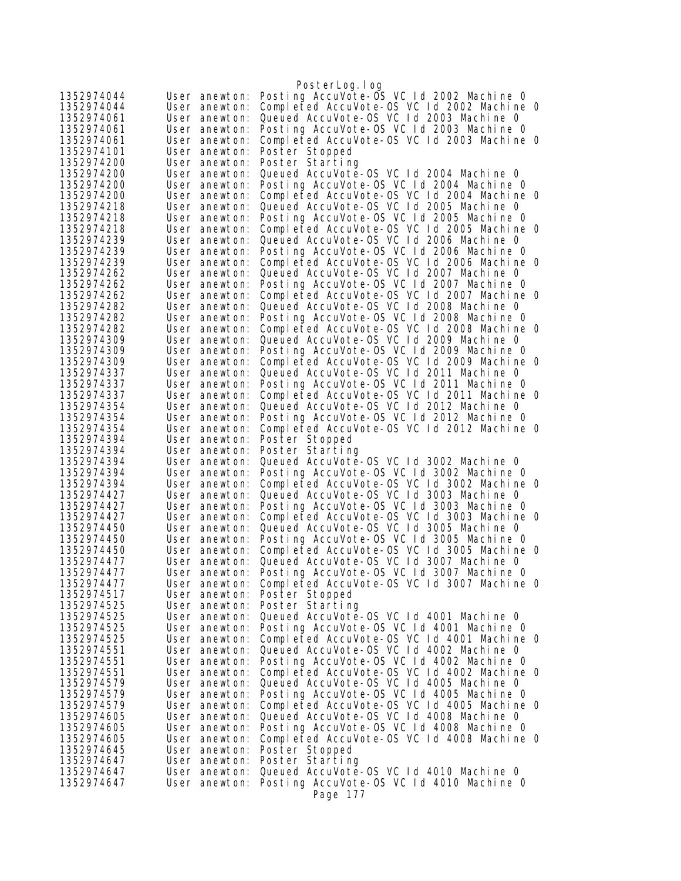| 1352974044               | User anewton:                  | PosterLog.log<br>Posting AccuVote-OS VC Id 2002 Machine 0                              |
|--------------------------|--------------------------------|----------------------------------------------------------------------------------------|
| 1352974044               | User anewton:                  | Completed AccuVote-OS VC Id 2002 Machine O                                             |
| 1352974061               | User anewton:                  | Queued AccuVote-OS VC Id 2003 Machine 0                                                |
| 1352974061               | User anewton:                  | Posting AccuVote-OS VC Id 2003 Machine 0                                               |
| 1352974061               | User anewton:                  | Completed AccuVote-OS VC Id 2003 Machine O                                             |
| 1352974101               | User anewton:                  | Poster Stopped                                                                         |
| 1352974200               | User anewton:                  | Poster Starting                                                                        |
| 1352974200               | User anewton:                  | Queued AccuVote-OS VC Id 2004 Machine O                                                |
| 1352974200               | User anewton:                  | Posting AccuVote-OS VC Id 2004 Machine O                                               |
| 1352974200               | User anewton:                  | Completed AccuVote-OS VC 1d 2004 Machine 0                                             |
| 1352974218               | User anewton:                  | Queued AccuVote-OS VC Id 2005 Machine O                                                |
| 1352974218               | User anewton:                  | Posting AccuVote-OS VC Id 2005 Machine O                                               |
| 1352974218<br>1352974239 | User anewton:<br>User anewton: | Completed AccuVote-OS VC 1d 2005 Machine 0<br>Queued AccuVote-OS VC Id 2006 Machine O  |
| 1352974239               | User anewton:                  | Posting AccuVote-OS VC Id 2006 Machine O                                               |
| 1352974239               | User anewton:                  | Completed AccuVote-OS VC 1d 2006 Machine 0                                             |
| 1352974262               | User anewton:                  | Queued AccuVote-OS VC Id 2007 Machine 0                                                |
| 1352974262               | User anewton:                  | Posting AccuVote-OS VC Id 2007 Machine 0                                               |
| 1352974262               | User anewton:                  | Completed AccuVote-OS VC 1d 2007 Machine 0                                             |
| 1352974282               | User anewton:                  | Queued AccuVote-OS VC Id 2008 Machine 0                                                |
| 1352974282               | User anewton:                  | Posting AccuVote-OS VC Id 2008 Machine O                                               |
| 1352974282               | User anewton:                  | Completed AccuVote-OS VC 1d 2008 Machine 0                                             |
| 1352974309               | User anewton:                  | Queued AccuVote-OS VC Id 2009 Machine O                                                |
| 1352974309               | User anewton:                  | Posting AccuVote-OS VC Id 2009 Machine 0                                               |
| 1352974309               | User anewton:                  | Completed AccuVote-OS VC 1d 2009 Machine 0                                             |
| 1352974337               | User anewton:                  | Queued AccuVote-OS VC Id 2011 Machine O                                                |
| 1352974337<br>1352974337 | User anewton:                  | Posting AccuVote-OS VC Id 2011 Machine O<br>Completed AccuVote-OS VC Id 2011 Machine O |
| 1352974354               | User anewton:<br>User anewton: | Queued AccuVote-OS VC Id 2012 Machine O                                                |
| 1352974354               | User anewton:                  | Posting AccuVote-OS VC Id 2012 Machine O                                               |
| 1352974354               | User anewton:                  | Completed AccuVote-OS VC Id 2012 Machine O                                             |
| 1352974394               | User anewton:                  | Poster Stopped                                                                         |
| 1352974394               | User anewton:                  | Poster Starting                                                                        |
| 1352974394               | User anewton:                  | Queued AccuVote-OS VC Id 3002 Machine 0                                                |
| 1352974394               | User anewton:                  | Posting AccuVote-OS VC Id 3002 Machine 0                                               |
| 1352974394               | User anewton:                  | Completed AccuVote-OS VC Id 3002 Machine O                                             |
| 1352974427               | User anewton:                  | Queued AccuVote-OS VC Id 3003 Machine 0                                                |
| 1352974427<br>1352974427 | User anewton:<br>User anewton: | Posting AccuVote-OS VC Id 3003 Machine O<br>Completed AccuVote-OS VC Id 3003 Machine 0 |
| 1352974450               | User anewton:                  | Queued AccuVote-OS VC Id 3005 Machine 0                                                |
| 1352974450               | User anewton:                  | Posting AccuVote-OS VC Id 3005 Machine 0                                               |
| 1352974450               | User anewton:                  | Completed AccuVote-OS VC Id 3005 Machine O                                             |
| 1352974477               | User anewton:                  | Queued AccuVote-OS VC Id 3007 Machine 0                                                |
| 1352974477               | User anewton:                  | Posting AccuVote-OS VC Id 3007 Machine 0                                               |
| 1352974477               | User anewton:                  | Completed AccuVote-OS VC Id 3007 Machine 0                                             |
| 1352974517               | User anewton:                  | Poster Stopped                                                                         |
| 1352974525               | User anewton:                  | Poster Starting                                                                        |
| 1352974525               | User anewton:                  | Queued AccuVote-OS VC 1d 4001 Machine 0                                                |
| 1352974525               | User anewton:                  | Posting AccuVote-OS VC 1d 4001 Machine 0                                               |
| 1352974525               | User anewton:                  | Completed AccuVote-OS VC 1d 4001 Machine 0                                             |
| 1352974551<br>1352974551 | User anewton:<br>User anewton: | Queued AccuVote-OS VC Id 4002 Machine 0<br>Posting AccuVote-OS VC 1d 4002 Machine 0    |
| 1352974551               | User anewton:                  | Completed AccuVote-OS VC 1d 4002 Machine 0                                             |
| 1352974579               | User anewton:                  | Queued AccuVote-OS VC Id 4005 Machine 0                                                |
| 1352974579               | User anewton:                  | Posting AccuVote-OS VC 1d 4005 Machine 0                                               |
| 1352974579               | User anewton:                  | Completed AccuVote-OS VC Id 4005 Machine 0                                             |
| 1352974605               | User anewton:                  | Queued AccuVote-OS VC Id 4008 Machine 0                                                |
| 1352974605               | User anewton:                  | Posting AccuVote-OS VC 1d 4008 Machine 0                                               |
| 1352974605               | User anewton:                  | Completed AccuVote-OS VC 1d 4008 Machine 0                                             |
| 1352974645               | User anewton:                  | Poster Stopped                                                                         |
| 1352974647               | User anewton:                  | Poster Starting                                                                        |
| 1352974647               | User anewton:                  | Queued AccuVote-OS VC 1d 4010 Machine 0                                                |
| 1352974647               | User anewton:                  | Posting AccuVote-OS VC Id 4010 Machine O<br>Page 177                                   |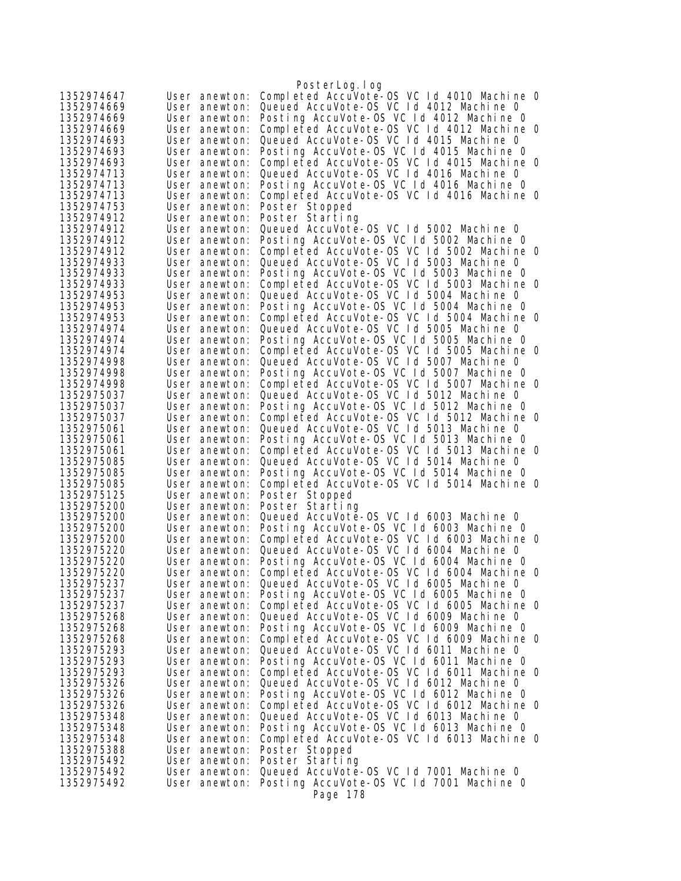| Completed AccuVote-0S VC 1d 4010 Machine 0<br>1352974647<br>User anewton:<br>Queued AccuVote-OS VC Id 4012 Machine 0<br>1352974669<br>User anewton:<br>Posting AccuVote-OS VC Id 4012 Machine O<br>1352974669<br>User anewton:<br>Completed AccuVote-OS VC Id 4012 Machine O<br>1352974669<br>User anewton:<br>Queued AccuVote-OS VC Id 4015 Machine 0<br>1352974693<br>User anewton:<br>Posting AccuVote-OS VC Id 4015 Machine O<br>1352974693<br>User anewton:<br>Completed AccuVote-OS VC 1d 4015 Machine 0<br>1352974693<br>User anewton:<br>Queued AccuVote-OS VC Id 4016 Machine O<br>1352974713<br>User anewton:<br>Posting AccuVote-OS VC Id 4016 Machine O<br>1352974713<br>User anewton:<br>Completed AccuVote-OS VC 1d 4016 Machine 0<br>1352974713<br>User anewton:<br>1352974753<br>Poster Stopped<br>User anewton:<br>1352974912<br>Poster Starting<br>User anewton:<br>Queued AccuVote-OS VC Id 5002 Machine 0<br>1352974912<br>User anewton:<br>Posting AccuVote-OS VC Id 5002 Machine O<br>1352974912<br>User anewton:<br>Completed AccuVote-OS VC Id 5002 Machine O<br>1352974912<br>User anewton:<br>Queued AccuVote-OS VC 1d 5003 Machine 0<br>1352974933<br>User anewton:<br>Posting AccuVote-OS VC Id 5003 Machine 0<br>1352974933<br>User anewton:<br>Completed AccuVote-OS VC Id 5003 Machine O<br>1352974933<br>User anewton:<br>Queued AccuVote-OS VC Id 5004 Machine 0<br>1352974953<br>User anewton:<br>Posting AccuVote-OS VC Id 5004 Machine 0<br>1352974953<br>User anewton:<br>Completed AccuVote-OS VC Id 5004 Machine 0<br>1352974953<br>User anewton:<br>Queued AccuVote-OS VC Id 5005 Machine O<br>1352974974<br>User anewton:<br>Posting AccuVote-OS VC Id 5005 Machine O<br>User anewton:<br>1352974974<br>Completed AccuVote-OS VC Id 5005 Machine O<br>User anewton:<br>Queued AccuVote-OS VC Id 5007 Machine O<br>1352974998<br>User anewton:<br>Posting AccuVote-OS VC Id 5007 Machine O<br>1352974998<br>User anewton:<br>1352974998<br>Completed AccuVote-OS VC Id 5007 Machine O<br>User anewton:<br>Queued AccuVote-OS VC Id 5012 Machine 0<br>1352975037<br>User anewton:<br>Posting AccuVote-OS VC Id 5012 Machine O<br>1352975037<br>User anewton:<br>1352975037<br>Completed AccuVote-OS VC 1d 5012 Machine O<br>User anewton:<br>Queued AccuVote-OS VC 1d 5013 Machine 0<br>1352975061<br>User anewton:<br>Posting AccuVote-OS VC Id 5013 Machine O<br>1352975061<br>User anewton:<br>Completed AccuVote-OS VC Id 5013 Machine O<br>1352975061<br>User anewton:<br>Queued AccuVote-OS VC Id 5014 Machine O<br>1352975085<br>User anewton:<br>Posting AccuVote-OS VC Id 5014 Machine O<br>1352975085<br>User anewton:<br>Completed AccuVote-OS VC Id 5014 Machine O<br>1352975085<br>User anewton:<br>1352975125<br>User anewton:<br>Poster Stopped<br>1352975200<br>Poster Starting<br>User anewton:<br>Queued AccuVote-OS VC Id 6003 Machine 0<br>1352975200<br>User anewton:<br>Posting AccuVote-OS VC Id 6003 Machine 0<br>1352975200<br>User anewton:<br>Completed AccuVote-OS VC 1d 6003 Machine 0<br>1352975200<br>User anewton:<br>Queued AccuVote-OS VC Id 6004 Machine 0<br>1352975220<br>User anewton:<br>Posting AccuVote-OS VC Id 6004 Machine O<br>1352975220<br>User anewton:<br>1352975220<br>Completed AccuVote-OS VC Id 6004 Machine 0<br>User anewton:<br>Queued AccuVote-OS VC 1d 6005 Machine 0<br>1352975237<br>User anewton:<br>Posting AccuVote-OS VC 1d 6005 Machine O<br>1352975237<br>User anewton:<br>Completed AccuVote-OS VC Id 6005 Machine O<br>1352975237<br>User anewton:<br>Queued AccuVote-OS VC Id 6009 Machine O<br>1352975268<br>User anewton:<br>Posting AccuVote-OS VC Id 6009 Machine O<br>1352975268<br>User anewton:<br>Completed AccuVote-OS VC 1d 6009 Machine 0<br>1352975268<br>User anewton:<br>Queued AccuVote-OS VC Id 6011 Machine 0<br>1352975293<br>User anewton:<br>Posting AccuVote-OS VC 1d 6011 Machine 0<br>1352975293<br>User anewton:<br>Completed AccuVote-OS VC 1d 6011 Machine 0<br>User anewton:<br>Queued AccuVote-OS VC Id 6012 Machine 0<br>User anewton:<br>Posting AccuVote-OS VC 1d 6012 Machine 0<br>User anewton:<br>Completed AccuVote-OS VC Id 6012 Machine O<br>1352975326<br>User anewton:<br>Queued AccuVote-OS VC Id 6013 Machine 0<br>1352975348<br>User anewton:<br>Posting AccuVote-OS VC 1d 6013 Machine 0<br>1352975348<br>User anewton:<br>Completed AccuVote-OS VC 1d 6013 Machine 0<br>1352975348<br>User anewton:<br>1352975388<br>Poster Stopped<br>User anewton:<br>1352975492<br>Poster Starting<br>User anewton:<br>1352975492<br>Queued AccuVote-OS VC 1d 7001 Machine O<br>User anewton:<br>Posting AccuVote-OS VC Id 7001 Machine O<br>1352975492<br>User anewton:<br>Page 178 |            | PosterLog.log |
|---------------------------------------------------------------------------------------------------------------------------------------------------------------------------------------------------------------------------------------------------------------------------------------------------------------------------------------------------------------------------------------------------------------------------------------------------------------------------------------------------------------------------------------------------------------------------------------------------------------------------------------------------------------------------------------------------------------------------------------------------------------------------------------------------------------------------------------------------------------------------------------------------------------------------------------------------------------------------------------------------------------------------------------------------------------------------------------------------------------------------------------------------------------------------------------------------------------------------------------------------------------------------------------------------------------------------------------------------------------------------------------------------------------------------------------------------------------------------------------------------------------------------------------------------------------------------------------------------------------------------------------------------------------------------------------------------------------------------------------------------------------------------------------------------------------------------------------------------------------------------------------------------------------------------------------------------------------------------------------------------------------------------------------------------------------------------------------------------------------------------------------------------------------------------------------------------------------------------------------------------------------------------------------------------------------------------------------------------------------------------------------------------------------------------------------------------------------------------------------------------------------------------------------------------------------------------------------------------------------------------------------------------------------------------------------------------------------------------------------------------------------------------------------------------------------------------------------------------------------------------------------------------------------------------------------------------------------------------------------------------------------------------------------------------------------------------------------------------------------------------------------------------------------------------------------------------------------------------------------------------------------------------------------------------------------------------------------------------------------------------------------------------------------------------------------------------------------------------------------------------------------------------------------------------------------------------------------------------------------------------------------------------------------------------------------------------------------------------------------------------------------------------------------------------------------------------------------------------------------------------------------------------------------------------------------------------------------------------------------------------------------------------------------------------------------------------------------------------------------------------------------------------------------------------------------------------------------------------------------------------------------------------------------------------------------------------------------------------------------------------------------------------------------------------------------------------------------------------------------------------------------------------------------------------------------------------------------------------------------------------------------------------------------------------------------------------------------------------------|------------|---------------|
|                                                                                                                                                                                                                                                                                                                                                                                                                                                                                                                                                                                                                                                                                                                                                                                                                                                                                                                                                                                                                                                                                                                                                                                                                                                                                                                                                                                                                                                                                                                                                                                                                                                                                                                                                                                                                                                                                                                                                                                                                                                                                                                                                                                                                                                                                                                                                                                                                                                                                                                                                                                                                                                                                                                                                                                                                                                                                                                                                                                                                                                                                                                                                                                                                                                                                                                                                                                                                                                                                                                                                                                                                                                                                                                                                                                                                                                                                                                                                                                                                                                                                                                                                                                                                                                                                                                                                                                                                                                                                                                                                                                                                                                                                                                                 |            |               |
|                                                                                                                                                                                                                                                                                                                                                                                                                                                                                                                                                                                                                                                                                                                                                                                                                                                                                                                                                                                                                                                                                                                                                                                                                                                                                                                                                                                                                                                                                                                                                                                                                                                                                                                                                                                                                                                                                                                                                                                                                                                                                                                                                                                                                                                                                                                                                                                                                                                                                                                                                                                                                                                                                                                                                                                                                                                                                                                                                                                                                                                                                                                                                                                                                                                                                                                                                                                                                                                                                                                                                                                                                                                                                                                                                                                                                                                                                                                                                                                                                                                                                                                                                                                                                                                                                                                                                                                                                                                                                                                                                                                                                                                                                                                                 |            |               |
|                                                                                                                                                                                                                                                                                                                                                                                                                                                                                                                                                                                                                                                                                                                                                                                                                                                                                                                                                                                                                                                                                                                                                                                                                                                                                                                                                                                                                                                                                                                                                                                                                                                                                                                                                                                                                                                                                                                                                                                                                                                                                                                                                                                                                                                                                                                                                                                                                                                                                                                                                                                                                                                                                                                                                                                                                                                                                                                                                                                                                                                                                                                                                                                                                                                                                                                                                                                                                                                                                                                                                                                                                                                                                                                                                                                                                                                                                                                                                                                                                                                                                                                                                                                                                                                                                                                                                                                                                                                                                                                                                                                                                                                                                                                                 |            |               |
|                                                                                                                                                                                                                                                                                                                                                                                                                                                                                                                                                                                                                                                                                                                                                                                                                                                                                                                                                                                                                                                                                                                                                                                                                                                                                                                                                                                                                                                                                                                                                                                                                                                                                                                                                                                                                                                                                                                                                                                                                                                                                                                                                                                                                                                                                                                                                                                                                                                                                                                                                                                                                                                                                                                                                                                                                                                                                                                                                                                                                                                                                                                                                                                                                                                                                                                                                                                                                                                                                                                                                                                                                                                                                                                                                                                                                                                                                                                                                                                                                                                                                                                                                                                                                                                                                                                                                                                                                                                                                                                                                                                                                                                                                                                                 |            |               |
|                                                                                                                                                                                                                                                                                                                                                                                                                                                                                                                                                                                                                                                                                                                                                                                                                                                                                                                                                                                                                                                                                                                                                                                                                                                                                                                                                                                                                                                                                                                                                                                                                                                                                                                                                                                                                                                                                                                                                                                                                                                                                                                                                                                                                                                                                                                                                                                                                                                                                                                                                                                                                                                                                                                                                                                                                                                                                                                                                                                                                                                                                                                                                                                                                                                                                                                                                                                                                                                                                                                                                                                                                                                                                                                                                                                                                                                                                                                                                                                                                                                                                                                                                                                                                                                                                                                                                                                                                                                                                                                                                                                                                                                                                                                                 |            |               |
|                                                                                                                                                                                                                                                                                                                                                                                                                                                                                                                                                                                                                                                                                                                                                                                                                                                                                                                                                                                                                                                                                                                                                                                                                                                                                                                                                                                                                                                                                                                                                                                                                                                                                                                                                                                                                                                                                                                                                                                                                                                                                                                                                                                                                                                                                                                                                                                                                                                                                                                                                                                                                                                                                                                                                                                                                                                                                                                                                                                                                                                                                                                                                                                                                                                                                                                                                                                                                                                                                                                                                                                                                                                                                                                                                                                                                                                                                                                                                                                                                                                                                                                                                                                                                                                                                                                                                                                                                                                                                                                                                                                                                                                                                                                                 |            |               |
|                                                                                                                                                                                                                                                                                                                                                                                                                                                                                                                                                                                                                                                                                                                                                                                                                                                                                                                                                                                                                                                                                                                                                                                                                                                                                                                                                                                                                                                                                                                                                                                                                                                                                                                                                                                                                                                                                                                                                                                                                                                                                                                                                                                                                                                                                                                                                                                                                                                                                                                                                                                                                                                                                                                                                                                                                                                                                                                                                                                                                                                                                                                                                                                                                                                                                                                                                                                                                                                                                                                                                                                                                                                                                                                                                                                                                                                                                                                                                                                                                                                                                                                                                                                                                                                                                                                                                                                                                                                                                                                                                                                                                                                                                                                                 |            |               |
|                                                                                                                                                                                                                                                                                                                                                                                                                                                                                                                                                                                                                                                                                                                                                                                                                                                                                                                                                                                                                                                                                                                                                                                                                                                                                                                                                                                                                                                                                                                                                                                                                                                                                                                                                                                                                                                                                                                                                                                                                                                                                                                                                                                                                                                                                                                                                                                                                                                                                                                                                                                                                                                                                                                                                                                                                                                                                                                                                                                                                                                                                                                                                                                                                                                                                                                                                                                                                                                                                                                                                                                                                                                                                                                                                                                                                                                                                                                                                                                                                                                                                                                                                                                                                                                                                                                                                                                                                                                                                                                                                                                                                                                                                                                                 |            |               |
|                                                                                                                                                                                                                                                                                                                                                                                                                                                                                                                                                                                                                                                                                                                                                                                                                                                                                                                                                                                                                                                                                                                                                                                                                                                                                                                                                                                                                                                                                                                                                                                                                                                                                                                                                                                                                                                                                                                                                                                                                                                                                                                                                                                                                                                                                                                                                                                                                                                                                                                                                                                                                                                                                                                                                                                                                                                                                                                                                                                                                                                                                                                                                                                                                                                                                                                                                                                                                                                                                                                                                                                                                                                                                                                                                                                                                                                                                                                                                                                                                                                                                                                                                                                                                                                                                                                                                                                                                                                                                                                                                                                                                                                                                                                                 |            |               |
|                                                                                                                                                                                                                                                                                                                                                                                                                                                                                                                                                                                                                                                                                                                                                                                                                                                                                                                                                                                                                                                                                                                                                                                                                                                                                                                                                                                                                                                                                                                                                                                                                                                                                                                                                                                                                                                                                                                                                                                                                                                                                                                                                                                                                                                                                                                                                                                                                                                                                                                                                                                                                                                                                                                                                                                                                                                                                                                                                                                                                                                                                                                                                                                                                                                                                                                                                                                                                                                                                                                                                                                                                                                                                                                                                                                                                                                                                                                                                                                                                                                                                                                                                                                                                                                                                                                                                                                                                                                                                                                                                                                                                                                                                                                                 |            |               |
|                                                                                                                                                                                                                                                                                                                                                                                                                                                                                                                                                                                                                                                                                                                                                                                                                                                                                                                                                                                                                                                                                                                                                                                                                                                                                                                                                                                                                                                                                                                                                                                                                                                                                                                                                                                                                                                                                                                                                                                                                                                                                                                                                                                                                                                                                                                                                                                                                                                                                                                                                                                                                                                                                                                                                                                                                                                                                                                                                                                                                                                                                                                                                                                                                                                                                                                                                                                                                                                                                                                                                                                                                                                                                                                                                                                                                                                                                                                                                                                                                                                                                                                                                                                                                                                                                                                                                                                                                                                                                                                                                                                                                                                                                                                                 |            |               |
|                                                                                                                                                                                                                                                                                                                                                                                                                                                                                                                                                                                                                                                                                                                                                                                                                                                                                                                                                                                                                                                                                                                                                                                                                                                                                                                                                                                                                                                                                                                                                                                                                                                                                                                                                                                                                                                                                                                                                                                                                                                                                                                                                                                                                                                                                                                                                                                                                                                                                                                                                                                                                                                                                                                                                                                                                                                                                                                                                                                                                                                                                                                                                                                                                                                                                                                                                                                                                                                                                                                                                                                                                                                                                                                                                                                                                                                                                                                                                                                                                                                                                                                                                                                                                                                                                                                                                                                                                                                                                                                                                                                                                                                                                                                                 |            |               |
|                                                                                                                                                                                                                                                                                                                                                                                                                                                                                                                                                                                                                                                                                                                                                                                                                                                                                                                                                                                                                                                                                                                                                                                                                                                                                                                                                                                                                                                                                                                                                                                                                                                                                                                                                                                                                                                                                                                                                                                                                                                                                                                                                                                                                                                                                                                                                                                                                                                                                                                                                                                                                                                                                                                                                                                                                                                                                                                                                                                                                                                                                                                                                                                                                                                                                                                                                                                                                                                                                                                                                                                                                                                                                                                                                                                                                                                                                                                                                                                                                                                                                                                                                                                                                                                                                                                                                                                                                                                                                                                                                                                                                                                                                                                                 |            |               |
|                                                                                                                                                                                                                                                                                                                                                                                                                                                                                                                                                                                                                                                                                                                                                                                                                                                                                                                                                                                                                                                                                                                                                                                                                                                                                                                                                                                                                                                                                                                                                                                                                                                                                                                                                                                                                                                                                                                                                                                                                                                                                                                                                                                                                                                                                                                                                                                                                                                                                                                                                                                                                                                                                                                                                                                                                                                                                                                                                                                                                                                                                                                                                                                                                                                                                                                                                                                                                                                                                                                                                                                                                                                                                                                                                                                                                                                                                                                                                                                                                                                                                                                                                                                                                                                                                                                                                                                                                                                                                                                                                                                                                                                                                                                                 |            |               |
|                                                                                                                                                                                                                                                                                                                                                                                                                                                                                                                                                                                                                                                                                                                                                                                                                                                                                                                                                                                                                                                                                                                                                                                                                                                                                                                                                                                                                                                                                                                                                                                                                                                                                                                                                                                                                                                                                                                                                                                                                                                                                                                                                                                                                                                                                                                                                                                                                                                                                                                                                                                                                                                                                                                                                                                                                                                                                                                                                                                                                                                                                                                                                                                                                                                                                                                                                                                                                                                                                                                                                                                                                                                                                                                                                                                                                                                                                                                                                                                                                                                                                                                                                                                                                                                                                                                                                                                                                                                                                                                                                                                                                                                                                                                                 |            |               |
|                                                                                                                                                                                                                                                                                                                                                                                                                                                                                                                                                                                                                                                                                                                                                                                                                                                                                                                                                                                                                                                                                                                                                                                                                                                                                                                                                                                                                                                                                                                                                                                                                                                                                                                                                                                                                                                                                                                                                                                                                                                                                                                                                                                                                                                                                                                                                                                                                                                                                                                                                                                                                                                                                                                                                                                                                                                                                                                                                                                                                                                                                                                                                                                                                                                                                                                                                                                                                                                                                                                                                                                                                                                                                                                                                                                                                                                                                                                                                                                                                                                                                                                                                                                                                                                                                                                                                                                                                                                                                                                                                                                                                                                                                                                                 |            |               |
|                                                                                                                                                                                                                                                                                                                                                                                                                                                                                                                                                                                                                                                                                                                                                                                                                                                                                                                                                                                                                                                                                                                                                                                                                                                                                                                                                                                                                                                                                                                                                                                                                                                                                                                                                                                                                                                                                                                                                                                                                                                                                                                                                                                                                                                                                                                                                                                                                                                                                                                                                                                                                                                                                                                                                                                                                                                                                                                                                                                                                                                                                                                                                                                                                                                                                                                                                                                                                                                                                                                                                                                                                                                                                                                                                                                                                                                                                                                                                                                                                                                                                                                                                                                                                                                                                                                                                                                                                                                                                                                                                                                                                                                                                                                                 |            |               |
|                                                                                                                                                                                                                                                                                                                                                                                                                                                                                                                                                                                                                                                                                                                                                                                                                                                                                                                                                                                                                                                                                                                                                                                                                                                                                                                                                                                                                                                                                                                                                                                                                                                                                                                                                                                                                                                                                                                                                                                                                                                                                                                                                                                                                                                                                                                                                                                                                                                                                                                                                                                                                                                                                                                                                                                                                                                                                                                                                                                                                                                                                                                                                                                                                                                                                                                                                                                                                                                                                                                                                                                                                                                                                                                                                                                                                                                                                                                                                                                                                                                                                                                                                                                                                                                                                                                                                                                                                                                                                                                                                                                                                                                                                                                                 |            |               |
|                                                                                                                                                                                                                                                                                                                                                                                                                                                                                                                                                                                                                                                                                                                                                                                                                                                                                                                                                                                                                                                                                                                                                                                                                                                                                                                                                                                                                                                                                                                                                                                                                                                                                                                                                                                                                                                                                                                                                                                                                                                                                                                                                                                                                                                                                                                                                                                                                                                                                                                                                                                                                                                                                                                                                                                                                                                                                                                                                                                                                                                                                                                                                                                                                                                                                                                                                                                                                                                                                                                                                                                                                                                                                                                                                                                                                                                                                                                                                                                                                                                                                                                                                                                                                                                                                                                                                                                                                                                                                                                                                                                                                                                                                                                                 |            |               |
|                                                                                                                                                                                                                                                                                                                                                                                                                                                                                                                                                                                                                                                                                                                                                                                                                                                                                                                                                                                                                                                                                                                                                                                                                                                                                                                                                                                                                                                                                                                                                                                                                                                                                                                                                                                                                                                                                                                                                                                                                                                                                                                                                                                                                                                                                                                                                                                                                                                                                                                                                                                                                                                                                                                                                                                                                                                                                                                                                                                                                                                                                                                                                                                                                                                                                                                                                                                                                                                                                                                                                                                                                                                                                                                                                                                                                                                                                                                                                                                                                                                                                                                                                                                                                                                                                                                                                                                                                                                                                                                                                                                                                                                                                                                                 |            |               |
|                                                                                                                                                                                                                                                                                                                                                                                                                                                                                                                                                                                                                                                                                                                                                                                                                                                                                                                                                                                                                                                                                                                                                                                                                                                                                                                                                                                                                                                                                                                                                                                                                                                                                                                                                                                                                                                                                                                                                                                                                                                                                                                                                                                                                                                                                                                                                                                                                                                                                                                                                                                                                                                                                                                                                                                                                                                                                                                                                                                                                                                                                                                                                                                                                                                                                                                                                                                                                                                                                                                                                                                                                                                                                                                                                                                                                                                                                                                                                                                                                                                                                                                                                                                                                                                                                                                                                                                                                                                                                                                                                                                                                                                                                                                                 |            |               |
|                                                                                                                                                                                                                                                                                                                                                                                                                                                                                                                                                                                                                                                                                                                                                                                                                                                                                                                                                                                                                                                                                                                                                                                                                                                                                                                                                                                                                                                                                                                                                                                                                                                                                                                                                                                                                                                                                                                                                                                                                                                                                                                                                                                                                                                                                                                                                                                                                                                                                                                                                                                                                                                                                                                                                                                                                                                                                                                                                                                                                                                                                                                                                                                                                                                                                                                                                                                                                                                                                                                                                                                                                                                                                                                                                                                                                                                                                                                                                                                                                                                                                                                                                                                                                                                                                                                                                                                                                                                                                                                                                                                                                                                                                                                                 | 1352974974 |               |
|                                                                                                                                                                                                                                                                                                                                                                                                                                                                                                                                                                                                                                                                                                                                                                                                                                                                                                                                                                                                                                                                                                                                                                                                                                                                                                                                                                                                                                                                                                                                                                                                                                                                                                                                                                                                                                                                                                                                                                                                                                                                                                                                                                                                                                                                                                                                                                                                                                                                                                                                                                                                                                                                                                                                                                                                                                                                                                                                                                                                                                                                                                                                                                                                                                                                                                                                                                                                                                                                                                                                                                                                                                                                                                                                                                                                                                                                                                                                                                                                                                                                                                                                                                                                                                                                                                                                                                                                                                                                                                                                                                                                                                                                                                                                 |            |               |
|                                                                                                                                                                                                                                                                                                                                                                                                                                                                                                                                                                                                                                                                                                                                                                                                                                                                                                                                                                                                                                                                                                                                                                                                                                                                                                                                                                                                                                                                                                                                                                                                                                                                                                                                                                                                                                                                                                                                                                                                                                                                                                                                                                                                                                                                                                                                                                                                                                                                                                                                                                                                                                                                                                                                                                                                                                                                                                                                                                                                                                                                                                                                                                                                                                                                                                                                                                                                                                                                                                                                                                                                                                                                                                                                                                                                                                                                                                                                                                                                                                                                                                                                                                                                                                                                                                                                                                                                                                                                                                                                                                                                                                                                                                                                 |            |               |
|                                                                                                                                                                                                                                                                                                                                                                                                                                                                                                                                                                                                                                                                                                                                                                                                                                                                                                                                                                                                                                                                                                                                                                                                                                                                                                                                                                                                                                                                                                                                                                                                                                                                                                                                                                                                                                                                                                                                                                                                                                                                                                                                                                                                                                                                                                                                                                                                                                                                                                                                                                                                                                                                                                                                                                                                                                                                                                                                                                                                                                                                                                                                                                                                                                                                                                                                                                                                                                                                                                                                                                                                                                                                                                                                                                                                                                                                                                                                                                                                                                                                                                                                                                                                                                                                                                                                                                                                                                                                                                                                                                                                                                                                                                                                 |            |               |
|                                                                                                                                                                                                                                                                                                                                                                                                                                                                                                                                                                                                                                                                                                                                                                                                                                                                                                                                                                                                                                                                                                                                                                                                                                                                                                                                                                                                                                                                                                                                                                                                                                                                                                                                                                                                                                                                                                                                                                                                                                                                                                                                                                                                                                                                                                                                                                                                                                                                                                                                                                                                                                                                                                                                                                                                                                                                                                                                                                                                                                                                                                                                                                                                                                                                                                                                                                                                                                                                                                                                                                                                                                                                                                                                                                                                                                                                                                                                                                                                                                                                                                                                                                                                                                                                                                                                                                                                                                                                                                                                                                                                                                                                                                                                 |            |               |
|                                                                                                                                                                                                                                                                                                                                                                                                                                                                                                                                                                                                                                                                                                                                                                                                                                                                                                                                                                                                                                                                                                                                                                                                                                                                                                                                                                                                                                                                                                                                                                                                                                                                                                                                                                                                                                                                                                                                                                                                                                                                                                                                                                                                                                                                                                                                                                                                                                                                                                                                                                                                                                                                                                                                                                                                                                                                                                                                                                                                                                                                                                                                                                                                                                                                                                                                                                                                                                                                                                                                                                                                                                                                                                                                                                                                                                                                                                                                                                                                                                                                                                                                                                                                                                                                                                                                                                                                                                                                                                                                                                                                                                                                                                                                 |            |               |
|                                                                                                                                                                                                                                                                                                                                                                                                                                                                                                                                                                                                                                                                                                                                                                                                                                                                                                                                                                                                                                                                                                                                                                                                                                                                                                                                                                                                                                                                                                                                                                                                                                                                                                                                                                                                                                                                                                                                                                                                                                                                                                                                                                                                                                                                                                                                                                                                                                                                                                                                                                                                                                                                                                                                                                                                                                                                                                                                                                                                                                                                                                                                                                                                                                                                                                                                                                                                                                                                                                                                                                                                                                                                                                                                                                                                                                                                                                                                                                                                                                                                                                                                                                                                                                                                                                                                                                                                                                                                                                                                                                                                                                                                                                                                 |            |               |
|                                                                                                                                                                                                                                                                                                                                                                                                                                                                                                                                                                                                                                                                                                                                                                                                                                                                                                                                                                                                                                                                                                                                                                                                                                                                                                                                                                                                                                                                                                                                                                                                                                                                                                                                                                                                                                                                                                                                                                                                                                                                                                                                                                                                                                                                                                                                                                                                                                                                                                                                                                                                                                                                                                                                                                                                                                                                                                                                                                                                                                                                                                                                                                                                                                                                                                                                                                                                                                                                                                                                                                                                                                                                                                                                                                                                                                                                                                                                                                                                                                                                                                                                                                                                                                                                                                                                                                                                                                                                                                                                                                                                                                                                                                                                 |            |               |
|                                                                                                                                                                                                                                                                                                                                                                                                                                                                                                                                                                                                                                                                                                                                                                                                                                                                                                                                                                                                                                                                                                                                                                                                                                                                                                                                                                                                                                                                                                                                                                                                                                                                                                                                                                                                                                                                                                                                                                                                                                                                                                                                                                                                                                                                                                                                                                                                                                                                                                                                                                                                                                                                                                                                                                                                                                                                                                                                                                                                                                                                                                                                                                                                                                                                                                                                                                                                                                                                                                                                                                                                                                                                                                                                                                                                                                                                                                                                                                                                                                                                                                                                                                                                                                                                                                                                                                                                                                                                                                                                                                                                                                                                                                                                 |            |               |
|                                                                                                                                                                                                                                                                                                                                                                                                                                                                                                                                                                                                                                                                                                                                                                                                                                                                                                                                                                                                                                                                                                                                                                                                                                                                                                                                                                                                                                                                                                                                                                                                                                                                                                                                                                                                                                                                                                                                                                                                                                                                                                                                                                                                                                                                                                                                                                                                                                                                                                                                                                                                                                                                                                                                                                                                                                                                                                                                                                                                                                                                                                                                                                                                                                                                                                                                                                                                                                                                                                                                                                                                                                                                                                                                                                                                                                                                                                                                                                                                                                                                                                                                                                                                                                                                                                                                                                                                                                                                                                                                                                                                                                                                                                                                 |            |               |
|                                                                                                                                                                                                                                                                                                                                                                                                                                                                                                                                                                                                                                                                                                                                                                                                                                                                                                                                                                                                                                                                                                                                                                                                                                                                                                                                                                                                                                                                                                                                                                                                                                                                                                                                                                                                                                                                                                                                                                                                                                                                                                                                                                                                                                                                                                                                                                                                                                                                                                                                                                                                                                                                                                                                                                                                                                                                                                                                                                                                                                                                                                                                                                                                                                                                                                                                                                                                                                                                                                                                                                                                                                                                                                                                                                                                                                                                                                                                                                                                                                                                                                                                                                                                                                                                                                                                                                                                                                                                                                                                                                                                                                                                                                                                 |            |               |
|                                                                                                                                                                                                                                                                                                                                                                                                                                                                                                                                                                                                                                                                                                                                                                                                                                                                                                                                                                                                                                                                                                                                                                                                                                                                                                                                                                                                                                                                                                                                                                                                                                                                                                                                                                                                                                                                                                                                                                                                                                                                                                                                                                                                                                                                                                                                                                                                                                                                                                                                                                                                                                                                                                                                                                                                                                                                                                                                                                                                                                                                                                                                                                                                                                                                                                                                                                                                                                                                                                                                                                                                                                                                                                                                                                                                                                                                                                                                                                                                                                                                                                                                                                                                                                                                                                                                                                                                                                                                                                                                                                                                                                                                                                                                 |            |               |
|                                                                                                                                                                                                                                                                                                                                                                                                                                                                                                                                                                                                                                                                                                                                                                                                                                                                                                                                                                                                                                                                                                                                                                                                                                                                                                                                                                                                                                                                                                                                                                                                                                                                                                                                                                                                                                                                                                                                                                                                                                                                                                                                                                                                                                                                                                                                                                                                                                                                                                                                                                                                                                                                                                                                                                                                                                                                                                                                                                                                                                                                                                                                                                                                                                                                                                                                                                                                                                                                                                                                                                                                                                                                                                                                                                                                                                                                                                                                                                                                                                                                                                                                                                                                                                                                                                                                                                                                                                                                                                                                                                                                                                                                                                                                 |            |               |
|                                                                                                                                                                                                                                                                                                                                                                                                                                                                                                                                                                                                                                                                                                                                                                                                                                                                                                                                                                                                                                                                                                                                                                                                                                                                                                                                                                                                                                                                                                                                                                                                                                                                                                                                                                                                                                                                                                                                                                                                                                                                                                                                                                                                                                                                                                                                                                                                                                                                                                                                                                                                                                                                                                                                                                                                                                                                                                                                                                                                                                                                                                                                                                                                                                                                                                                                                                                                                                                                                                                                                                                                                                                                                                                                                                                                                                                                                                                                                                                                                                                                                                                                                                                                                                                                                                                                                                                                                                                                                                                                                                                                                                                                                                                                 |            |               |
|                                                                                                                                                                                                                                                                                                                                                                                                                                                                                                                                                                                                                                                                                                                                                                                                                                                                                                                                                                                                                                                                                                                                                                                                                                                                                                                                                                                                                                                                                                                                                                                                                                                                                                                                                                                                                                                                                                                                                                                                                                                                                                                                                                                                                                                                                                                                                                                                                                                                                                                                                                                                                                                                                                                                                                                                                                                                                                                                                                                                                                                                                                                                                                                                                                                                                                                                                                                                                                                                                                                                                                                                                                                                                                                                                                                                                                                                                                                                                                                                                                                                                                                                                                                                                                                                                                                                                                                                                                                                                                                                                                                                                                                                                                                                 |            |               |
|                                                                                                                                                                                                                                                                                                                                                                                                                                                                                                                                                                                                                                                                                                                                                                                                                                                                                                                                                                                                                                                                                                                                                                                                                                                                                                                                                                                                                                                                                                                                                                                                                                                                                                                                                                                                                                                                                                                                                                                                                                                                                                                                                                                                                                                                                                                                                                                                                                                                                                                                                                                                                                                                                                                                                                                                                                                                                                                                                                                                                                                                                                                                                                                                                                                                                                                                                                                                                                                                                                                                                                                                                                                                                                                                                                                                                                                                                                                                                                                                                                                                                                                                                                                                                                                                                                                                                                                                                                                                                                                                                                                                                                                                                                                                 |            |               |
|                                                                                                                                                                                                                                                                                                                                                                                                                                                                                                                                                                                                                                                                                                                                                                                                                                                                                                                                                                                                                                                                                                                                                                                                                                                                                                                                                                                                                                                                                                                                                                                                                                                                                                                                                                                                                                                                                                                                                                                                                                                                                                                                                                                                                                                                                                                                                                                                                                                                                                                                                                                                                                                                                                                                                                                                                                                                                                                                                                                                                                                                                                                                                                                                                                                                                                                                                                                                                                                                                                                                                                                                                                                                                                                                                                                                                                                                                                                                                                                                                                                                                                                                                                                                                                                                                                                                                                                                                                                                                                                                                                                                                                                                                                                                 |            |               |
|                                                                                                                                                                                                                                                                                                                                                                                                                                                                                                                                                                                                                                                                                                                                                                                                                                                                                                                                                                                                                                                                                                                                                                                                                                                                                                                                                                                                                                                                                                                                                                                                                                                                                                                                                                                                                                                                                                                                                                                                                                                                                                                                                                                                                                                                                                                                                                                                                                                                                                                                                                                                                                                                                                                                                                                                                                                                                                                                                                                                                                                                                                                                                                                                                                                                                                                                                                                                                                                                                                                                                                                                                                                                                                                                                                                                                                                                                                                                                                                                                                                                                                                                                                                                                                                                                                                                                                                                                                                                                                                                                                                                                                                                                                                                 |            |               |
|                                                                                                                                                                                                                                                                                                                                                                                                                                                                                                                                                                                                                                                                                                                                                                                                                                                                                                                                                                                                                                                                                                                                                                                                                                                                                                                                                                                                                                                                                                                                                                                                                                                                                                                                                                                                                                                                                                                                                                                                                                                                                                                                                                                                                                                                                                                                                                                                                                                                                                                                                                                                                                                                                                                                                                                                                                                                                                                                                                                                                                                                                                                                                                                                                                                                                                                                                                                                                                                                                                                                                                                                                                                                                                                                                                                                                                                                                                                                                                                                                                                                                                                                                                                                                                                                                                                                                                                                                                                                                                                                                                                                                                                                                                                                 |            |               |
|                                                                                                                                                                                                                                                                                                                                                                                                                                                                                                                                                                                                                                                                                                                                                                                                                                                                                                                                                                                                                                                                                                                                                                                                                                                                                                                                                                                                                                                                                                                                                                                                                                                                                                                                                                                                                                                                                                                                                                                                                                                                                                                                                                                                                                                                                                                                                                                                                                                                                                                                                                                                                                                                                                                                                                                                                                                                                                                                                                                                                                                                                                                                                                                                                                                                                                                                                                                                                                                                                                                                                                                                                                                                                                                                                                                                                                                                                                                                                                                                                                                                                                                                                                                                                                                                                                                                                                                                                                                                                                                                                                                                                                                                                                                                 |            |               |
|                                                                                                                                                                                                                                                                                                                                                                                                                                                                                                                                                                                                                                                                                                                                                                                                                                                                                                                                                                                                                                                                                                                                                                                                                                                                                                                                                                                                                                                                                                                                                                                                                                                                                                                                                                                                                                                                                                                                                                                                                                                                                                                                                                                                                                                                                                                                                                                                                                                                                                                                                                                                                                                                                                                                                                                                                                                                                                                                                                                                                                                                                                                                                                                                                                                                                                                                                                                                                                                                                                                                                                                                                                                                                                                                                                                                                                                                                                                                                                                                                                                                                                                                                                                                                                                                                                                                                                                                                                                                                                                                                                                                                                                                                                                                 |            |               |
|                                                                                                                                                                                                                                                                                                                                                                                                                                                                                                                                                                                                                                                                                                                                                                                                                                                                                                                                                                                                                                                                                                                                                                                                                                                                                                                                                                                                                                                                                                                                                                                                                                                                                                                                                                                                                                                                                                                                                                                                                                                                                                                                                                                                                                                                                                                                                                                                                                                                                                                                                                                                                                                                                                                                                                                                                                                                                                                                                                                                                                                                                                                                                                                                                                                                                                                                                                                                                                                                                                                                                                                                                                                                                                                                                                                                                                                                                                                                                                                                                                                                                                                                                                                                                                                                                                                                                                                                                                                                                                                                                                                                                                                                                                                                 |            |               |
|                                                                                                                                                                                                                                                                                                                                                                                                                                                                                                                                                                                                                                                                                                                                                                                                                                                                                                                                                                                                                                                                                                                                                                                                                                                                                                                                                                                                                                                                                                                                                                                                                                                                                                                                                                                                                                                                                                                                                                                                                                                                                                                                                                                                                                                                                                                                                                                                                                                                                                                                                                                                                                                                                                                                                                                                                                                                                                                                                                                                                                                                                                                                                                                                                                                                                                                                                                                                                                                                                                                                                                                                                                                                                                                                                                                                                                                                                                                                                                                                                                                                                                                                                                                                                                                                                                                                                                                                                                                                                                                                                                                                                                                                                                                                 |            |               |
|                                                                                                                                                                                                                                                                                                                                                                                                                                                                                                                                                                                                                                                                                                                                                                                                                                                                                                                                                                                                                                                                                                                                                                                                                                                                                                                                                                                                                                                                                                                                                                                                                                                                                                                                                                                                                                                                                                                                                                                                                                                                                                                                                                                                                                                                                                                                                                                                                                                                                                                                                                                                                                                                                                                                                                                                                                                                                                                                                                                                                                                                                                                                                                                                                                                                                                                                                                                                                                                                                                                                                                                                                                                                                                                                                                                                                                                                                                                                                                                                                                                                                                                                                                                                                                                                                                                                                                                                                                                                                                                                                                                                                                                                                                                                 |            |               |
|                                                                                                                                                                                                                                                                                                                                                                                                                                                                                                                                                                                                                                                                                                                                                                                                                                                                                                                                                                                                                                                                                                                                                                                                                                                                                                                                                                                                                                                                                                                                                                                                                                                                                                                                                                                                                                                                                                                                                                                                                                                                                                                                                                                                                                                                                                                                                                                                                                                                                                                                                                                                                                                                                                                                                                                                                                                                                                                                                                                                                                                                                                                                                                                                                                                                                                                                                                                                                                                                                                                                                                                                                                                                                                                                                                                                                                                                                                                                                                                                                                                                                                                                                                                                                                                                                                                                                                                                                                                                                                                                                                                                                                                                                                                                 |            |               |
|                                                                                                                                                                                                                                                                                                                                                                                                                                                                                                                                                                                                                                                                                                                                                                                                                                                                                                                                                                                                                                                                                                                                                                                                                                                                                                                                                                                                                                                                                                                                                                                                                                                                                                                                                                                                                                                                                                                                                                                                                                                                                                                                                                                                                                                                                                                                                                                                                                                                                                                                                                                                                                                                                                                                                                                                                                                                                                                                                                                                                                                                                                                                                                                                                                                                                                                                                                                                                                                                                                                                                                                                                                                                                                                                                                                                                                                                                                                                                                                                                                                                                                                                                                                                                                                                                                                                                                                                                                                                                                                                                                                                                                                                                                                                 |            |               |
|                                                                                                                                                                                                                                                                                                                                                                                                                                                                                                                                                                                                                                                                                                                                                                                                                                                                                                                                                                                                                                                                                                                                                                                                                                                                                                                                                                                                                                                                                                                                                                                                                                                                                                                                                                                                                                                                                                                                                                                                                                                                                                                                                                                                                                                                                                                                                                                                                                                                                                                                                                                                                                                                                                                                                                                                                                                                                                                                                                                                                                                                                                                                                                                                                                                                                                                                                                                                                                                                                                                                                                                                                                                                                                                                                                                                                                                                                                                                                                                                                                                                                                                                                                                                                                                                                                                                                                                                                                                                                                                                                                                                                                                                                                                                 |            |               |
|                                                                                                                                                                                                                                                                                                                                                                                                                                                                                                                                                                                                                                                                                                                                                                                                                                                                                                                                                                                                                                                                                                                                                                                                                                                                                                                                                                                                                                                                                                                                                                                                                                                                                                                                                                                                                                                                                                                                                                                                                                                                                                                                                                                                                                                                                                                                                                                                                                                                                                                                                                                                                                                                                                                                                                                                                                                                                                                                                                                                                                                                                                                                                                                                                                                                                                                                                                                                                                                                                                                                                                                                                                                                                                                                                                                                                                                                                                                                                                                                                                                                                                                                                                                                                                                                                                                                                                                                                                                                                                                                                                                                                                                                                                                                 |            |               |
|                                                                                                                                                                                                                                                                                                                                                                                                                                                                                                                                                                                                                                                                                                                                                                                                                                                                                                                                                                                                                                                                                                                                                                                                                                                                                                                                                                                                                                                                                                                                                                                                                                                                                                                                                                                                                                                                                                                                                                                                                                                                                                                                                                                                                                                                                                                                                                                                                                                                                                                                                                                                                                                                                                                                                                                                                                                                                                                                                                                                                                                                                                                                                                                                                                                                                                                                                                                                                                                                                                                                                                                                                                                                                                                                                                                                                                                                                                                                                                                                                                                                                                                                                                                                                                                                                                                                                                                                                                                                                                                                                                                                                                                                                                                                 | 1352975293 |               |
|                                                                                                                                                                                                                                                                                                                                                                                                                                                                                                                                                                                                                                                                                                                                                                                                                                                                                                                                                                                                                                                                                                                                                                                                                                                                                                                                                                                                                                                                                                                                                                                                                                                                                                                                                                                                                                                                                                                                                                                                                                                                                                                                                                                                                                                                                                                                                                                                                                                                                                                                                                                                                                                                                                                                                                                                                                                                                                                                                                                                                                                                                                                                                                                                                                                                                                                                                                                                                                                                                                                                                                                                                                                                                                                                                                                                                                                                                                                                                                                                                                                                                                                                                                                                                                                                                                                                                                                                                                                                                                                                                                                                                                                                                                                                 | 1352975326 |               |
|                                                                                                                                                                                                                                                                                                                                                                                                                                                                                                                                                                                                                                                                                                                                                                                                                                                                                                                                                                                                                                                                                                                                                                                                                                                                                                                                                                                                                                                                                                                                                                                                                                                                                                                                                                                                                                                                                                                                                                                                                                                                                                                                                                                                                                                                                                                                                                                                                                                                                                                                                                                                                                                                                                                                                                                                                                                                                                                                                                                                                                                                                                                                                                                                                                                                                                                                                                                                                                                                                                                                                                                                                                                                                                                                                                                                                                                                                                                                                                                                                                                                                                                                                                                                                                                                                                                                                                                                                                                                                                                                                                                                                                                                                                                                 | 1352975326 |               |
|                                                                                                                                                                                                                                                                                                                                                                                                                                                                                                                                                                                                                                                                                                                                                                                                                                                                                                                                                                                                                                                                                                                                                                                                                                                                                                                                                                                                                                                                                                                                                                                                                                                                                                                                                                                                                                                                                                                                                                                                                                                                                                                                                                                                                                                                                                                                                                                                                                                                                                                                                                                                                                                                                                                                                                                                                                                                                                                                                                                                                                                                                                                                                                                                                                                                                                                                                                                                                                                                                                                                                                                                                                                                                                                                                                                                                                                                                                                                                                                                                                                                                                                                                                                                                                                                                                                                                                                                                                                                                                                                                                                                                                                                                                                                 |            |               |
|                                                                                                                                                                                                                                                                                                                                                                                                                                                                                                                                                                                                                                                                                                                                                                                                                                                                                                                                                                                                                                                                                                                                                                                                                                                                                                                                                                                                                                                                                                                                                                                                                                                                                                                                                                                                                                                                                                                                                                                                                                                                                                                                                                                                                                                                                                                                                                                                                                                                                                                                                                                                                                                                                                                                                                                                                                                                                                                                                                                                                                                                                                                                                                                                                                                                                                                                                                                                                                                                                                                                                                                                                                                                                                                                                                                                                                                                                                                                                                                                                                                                                                                                                                                                                                                                                                                                                                                                                                                                                                                                                                                                                                                                                                                                 |            |               |
|                                                                                                                                                                                                                                                                                                                                                                                                                                                                                                                                                                                                                                                                                                                                                                                                                                                                                                                                                                                                                                                                                                                                                                                                                                                                                                                                                                                                                                                                                                                                                                                                                                                                                                                                                                                                                                                                                                                                                                                                                                                                                                                                                                                                                                                                                                                                                                                                                                                                                                                                                                                                                                                                                                                                                                                                                                                                                                                                                                                                                                                                                                                                                                                                                                                                                                                                                                                                                                                                                                                                                                                                                                                                                                                                                                                                                                                                                                                                                                                                                                                                                                                                                                                                                                                                                                                                                                                                                                                                                                                                                                                                                                                                                                                                 |            |               |
|                                                                                                                                                                                                                                                                                                                                                                                                                                                                                                                                                                                                                                                                                                                                                                                                                                                                                                                                                                                                                                                                                                                                                                                                                                                                                                                                                                                                                                                                                                                                                                                                                                                                                                                                                                                                                                                                                                                                                                                                                                                                                                                                                                                                                                                                                                                                                                                                                                                                                                                                                                                                                                                                                                                                                                                                                                                                                                                                                                                                                                                                                                                                                                                                                                                                                                                                                                                                                                                                                                                                                                                                                                                                                                                                                                                                                                                                                                                                                                                                                                                                                                                                                                                                                                                                                                                                                                                                                                                                                                                                                                                                                                                                                                                                 |            |               |
|                                                                                                                                                                                                                                                                                                                                                                                                                                                                                                                                                                                                                                                                                                                                                                                                                                                                                                                                                                                                                                                                                                                                                                                                                                                                                                                                                                                                                                                                                                                                                                                                                                                                                                                                                                                                                                                                                                                                                                                                                                                                                                                                                                                                                                                                                                                                                                                                                                                                                                                                                                                                                                                                                                                                                                                                                                                                                                                                                                                                                                                                                                                                                                                                                                                                                                                                                                                                                                                                                                                                                                                                                                                                                                                                                                                                                                                                                                                                                                                                                                                                                                                                                                                                                                                                                                                                                                                                                                                                                                                                                                                                                                                                                                                                 |            |               |
|                                                                                                                                                                                                                                                                                                                                                                                                                                                                                                                                                                                                                                                                                                                                                                                                                                                                                                                                                                                                                                                                                                                                                                                                                                                                                                                                                                                                                                                                                                                                                                                                                                                                                                                                                                                                                                                                                                                                                                                                                                                                                                                                                                                                                                                                                                                                                                                                                                                                                                                                                                                                                                                                                                                                                                                                                                                                                                                                                                                                                                                                                                                                                                                                                                                                                                                                                                                                                                                                                                                                                                                                                                                                                                                                                                                                                                                                                                                                                                                                                                                                                                                                                                                                                                                                                                                                                                                                                                                                                                                                                                                                                                                                                                                                 |            |               |
|                                                                                                                                                                                                                                                                                                                                                                                                                                                                                                                                                                                                                                                                                                                                                                                                                                                                                                                                                                                                                                                                                                                                                                                                                                                                                                                                                                                                                                                                                                                                                                                                                                                                                                                                                                                                                                                                                                                                                                                                                                                                                                                                                                                                                                                                                                                                                                                                                                                                                                                                                                                                                                                                                                                                                                                                                                                                                                                                                                                                                                                                                                                                                                                                                                                                                                                                                                                                                                                                                                                                                                                                                                                                                                                                                                                                                                                                                                                                                                                                                                                                                                                                                                                                                                                                                                                                                                                                                                                                                                                                                                                                                                                                                                                                 |            |               |
|                                                                                                                                                                                                                                                                                                                                                                                                                                                                                                                                                                                                                                                                                                                                                                                                                                                                                                                                                                                                                                                                                                                                                                                                                                                                                                                                                                                                                                                                                                                                                                                                                                                                                                                                                                                                                                                                                                                                                                                                                                                                                                                                                                                                                                                                                                                                                                                                                                                                                                                                                                                                                                                                                                                                                                                                                                                                                                                                                                                                                                                                                                                                                                                                                                                                                                                                                                                                                                                                                                                                                                                                                                                                                                                                                                                                                                                                                                                                                                                                                                                                                                                                                                                                                                                                                                                                                                                                                                                                                                                                                                                                                                                                                                                                 |            |               |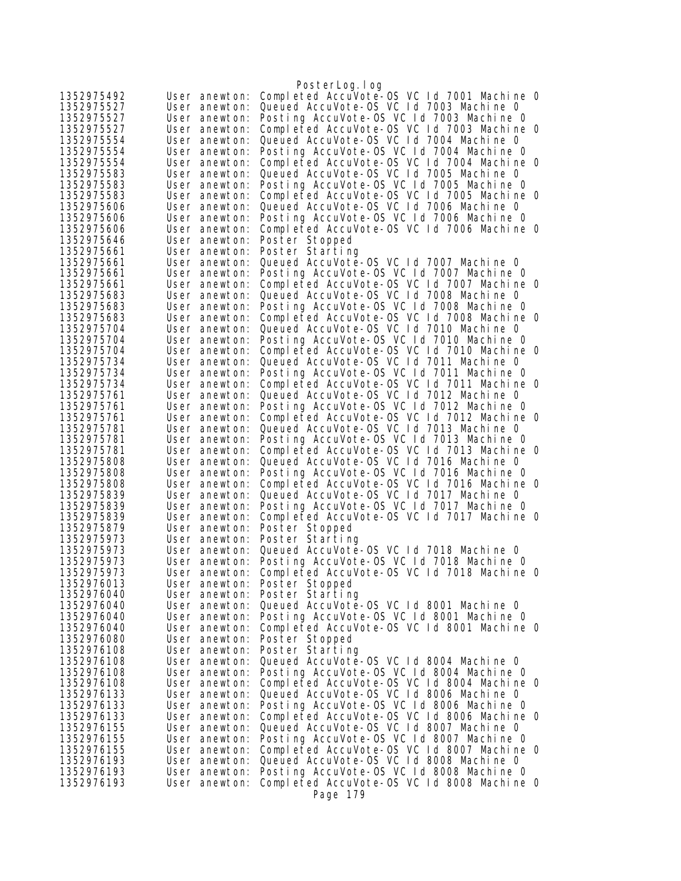|                          |                                | PosterLog.log                                                                         |
|--------------------------|--------------------------------|---------------------------------------------------------------------------------------|
| 1352975492               | User anewton:                  | Completed AccuVote-0S VC 1d 7001 Machine 0                                            |
| 1352975527               | User anewton:                  | Queued AccuVote-OS VC Id 7003 Machine 0                                               |
| 1352975527               | User anewton:                  | Posting AccuVote-OS VC Id 7003 Machine 0                                              |
| 1352975527               | User anewton:                  | Completed AccuVote-OS VC Id 7003 Machine O                                            |
| 1352975554               | User anewton:                  | Queued AccuVote-OS VC Id 7004 Machine 0                                               |
| 1352975554               | User anewton:                  | Posting AccuVote-OS VC Id 7004 Machine 0                                              |
| 1352975554               | User anewton:                  | Completed AccuVote-OS VC Id 7004 Machine O                                            |
| 1352975583               | User anewton:                  | Queued AccuVote-OS VC Id 7005 Machine 0                                               |
| 1352975583               | User anewton:                  | Posting AccuVote-OS VC Id 7005 Machine O                                              |
| 1352975583               | User anewton:                  | Completed AccuVote-OS VC 1d 7005 Machine 0                                            |
| 1352975606               | User anewton:                  | Queued AccuVote-OS VC 1d 7006 Machine 0                                               |
| 1352975606               | User anewton:                  | Posting AccuVote-OS VC Id 7006 Machine O                                              |
| 1352975606               | User anewton:                  | Completed AccuVote-OS VC Id 7006 Machine O                                            |
| 1352975646               | User anewton:                  | Poster Stopped                                                                        |
| 1352975661<br>1352975661 | User anewton:<br>User anewton: | Poster Starting<br>Queued AccuVote-OS VC Id 7007 Machine 0                            |
| 1352975661               | User anewton:                  | Posting AccuVote-OS VC Id 7007 Machine 0                                              |
| 1352975661               | User anewton:                  | Completed AccuVote-OS VC 1d 7007 Machine 0                                            |
| 1352975683               | User anewton:                  | Queued AccuVote-OS VC Id 7008 Machine 0                                               |
| 1352975683               | User anewton:                  | Posting AccuVote-OS VC Id 7008 Machine O                                              |
| 1352975683               | User anewton:                  | Completed AccuVote-OS VC 1d 7008 Machine 0                                            |
| 1352975704               | User anewton:                  | Queued AccuVote-OS VC Id 7010 Machine O                                               |
| 1352975704               | User anewton:                  | Posting AccuVote-OS VC Id 7010 Machine O                                              |
| 1352975704               | User anewton:                  | Completed AccuVote-OS VC 1d 7010 Machine 0                                            |
| 1352975734               | User anewton:                  | Queued AccuVote-OS VC Id 7011 Machine 0                                               |
| 1352975734               | User anewton:                  | Posting AccuVote-OS VC Id 7011 Machine O                                              |
| 1352975734               | User anewton:                  | Completed AccuVote-OS VC 1d 7011 Machine 0                                            |
| 1352975761               | User anewton:                  | Queued AccuVote-OS VC Id 7012 Machine 0                                               |
| 1352975761               | User anewton:                  | Posting AccuVote-OS VC Id 7012 Machine O                                              |
| 1352975761               | User anewton:                  | Completed AccuVote-OS VC 1d 7012 Machine 0                                            |
| 1352975781<br>1352975781 | User anewton:                  | Queued AccuVote-OS VC Id 7013 Machine O<br>Posting AccuVote-OS VC Id 7013 Machine O   |
| 1352975781               | User anewton:<br>User anewton: | Completed AccuVote-OS VC Id 7013 Machine O                                            |
| 1352975808               | User anewton:                  | Queued AccuVote-OS VC Id 7016 Machine O                                               |
| 1352975808               | User anewton:                  | Posting AccuVote-OS VC Id 7016 Machine O                                              |
| 1352975808               | User anewton:                  | Completed AccuVote-OS VC 1d 7016 Machine 0                                            |
| 1352975839               | User anewton:                  | Queued AccuVote-OS VC Id 7017 Machine 0                                               |
| 1352975839               | User anewton:                  | Posting AccuVote-OS VC 1d 7017 Machine 0                                              |
| 1352975839               | User anewton:                  | Completed AccuVote-OS VC 1d 7017 Machine 0                                            |
| 1352975879               | User anewton:                  | Poster Stopped                                                                        |
| 1352975973               | User anewton:                  | Poster Starting                                                                       |
| 1352975973               | User anewton:                  | Queued AccuVote-OS VC 1d 7018 Machine 0                                               |
| 1352975973               | User anewton:                  | Posting AccuVote-OS VC Id 7018 Machine O                                              |
| 1352975973               | User anewton:                  | Completed AccuVote-OS VC 1d 7018 Machine 0                                            |
| 1352976013               | User anewton:                  | Poster Stopped                                                                        |
| 1352976040<br>1352976040 | User anewton:<br>User anewton: | Poster Starting<br>Queued AccuVote-0S VC 1d 8001 Machine 0                            |
| 1352976040               | User anewton:                  | Posting AccuVote-OS VC Id 8001 Machine 0                                              |
| 1352976040               | User anewton:                  | Completed AccuVote-OS VC 1d 8001 Machine 0                                            |
| 1352976080               | User anewton:                  | Poster Stopped                                                                        |
| 1352976108               | User anewton:                  | Poster Starting                                                                       |
| 1352976108               | User anewton:                  | Queued AccuVote-OS VC Id 8004 Machine 0                                               |
| 1352976108               | User anewton:                  | Posting AccuVote-OS VC Id 8004 Machine 0                                              |
| 1352976108               | User anewton:                  | Completed AccuVote-OS VC 1d 8004 Machine 0                                            |
| 1352976133               | User anewton:                  | Queued AccuVote-OS VC Id 8006 Machine 0                                               |
| 1352976133               | User anewton:                  | Posting AccuVote-OS VC Id 8006 Machine 0                                              |
| 1352976133               | User anewton:                  | Completed AccuVote-OS VC 1d 8006 Machine 0                                            |
| 1352976155               | User anewton:                  | Queued AccuVote-OS VC Id 8007 Machine 0                                               |
| 1352976155               | User anewton:                  | Posting AccuVote-OS VC Id 8007 Machine 0                                              |
| 1352976155               | User anewton:                  | Completed AccuVote-OS VC 1d 8007 Machine 0<br>Queued AccuVote-OS VC Id 8008 Machine 0 |
| 1352976193<br>1352976193 | User anewton:<br>User anewton: | Posting AccuVote-OS VC Id 8008 Machine 0                                              |
| 1352976193               | User anewton:                  | Completed AccuVote-OS VC 1d 8008 Machine 0                                            |
|                          |                                | Page 179                                                                              |
|                          |                                |                                                                                       |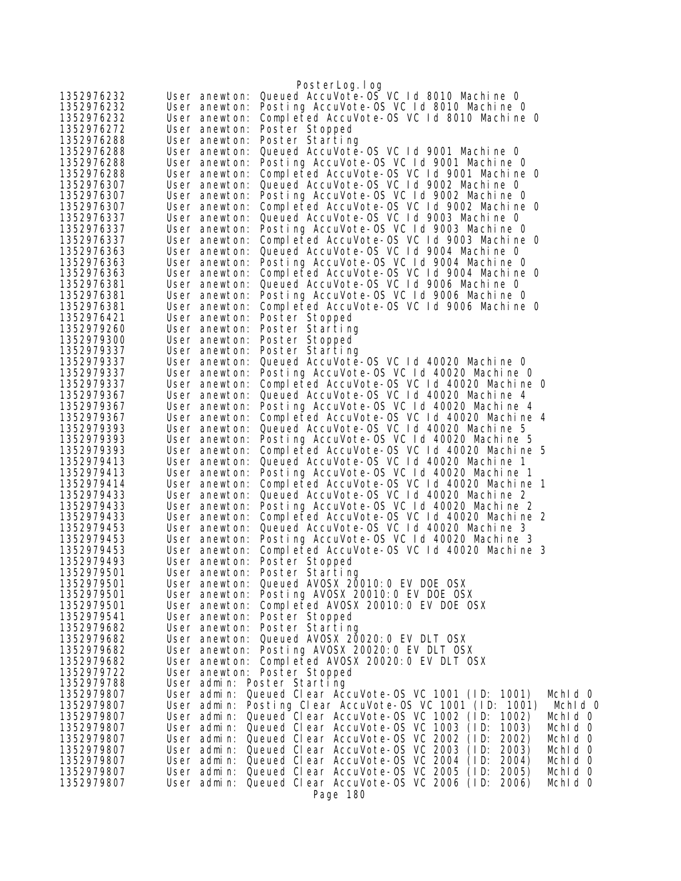| 1352976232               | PosterLog.log<br>Queued AccuVote-OS VC 1d 8010 Machine 0<br>User anewton:                                                                    |
|--------------------------|----------------------------------------------------------------------------------------------------------------------------------------------|
| 1352976232               | Posting AccuVote-OS VC Id 8010 Machine O<br>User anewton:                                                                                    |
| 1352976232               | Completed AccuVote-OS VC 1d 8010 Machine 0<br>User anewton:                                                                                  |
| 1352976272               | Poster Stopped<br>User anewton:                                                                                                              |
| 1352976288               | Poster Starting<br>User anewton:                                                                                                             |
| 1352976288               | Queued AccuVote-0S VC 1d 9001 Machine 0<br>User anewton:                                                                                     |
| 1352976288               | Posting AccuVote-OS VC Id 9001 Machine O<br>User anewton:                                                                                    |
| 1352976288               | Completed AccuVote-OS VC Id 9001 Machine O<br>User anewton:                                                                                  |
| 1352976307               | Queued AccuVote-OS VC Id 9002 Machine 0<br>User anewton:                                                                                     |
| 1352976307               | Posting AccuVote-OS VC Id 9002 Machine O<br>User anewton:                                                                                    |
| 1352976307               | Completed AccuVote-OS VC Id 9002 Machine O<br>User anewton:                                                                                  |
| 1352976337               | Queued AccuVote-OS VC Id 9003 Machine O<br>User anewton:                                                                                     |
| 1352976337               | Posting AccuVote-OS VC Id 9003 Machine O<br>User anewton:                                                                                    |
| 1352976337               | Completed AccuVote-OS VC Id 9003 Machine O<br>User anewton:                                                                                  |
| 1352976363               | Queued AccuVote-OS VC Id 9004 Machine O<br>User anewton:                                                                                     |
| 1352976363               | Posting AccuVote-OS VC Id 9004 Machine O<br>User anewton:                                                                                    |
| 1352976363               | Completed AccuVote-OS VC Id 9004 Machine O<br>User anewton:                                                                                  |
| 1352976381               | Queued AccuVote-OS VC Id 9006 Machine 0<br>User anewton:                                                                                     |
| 1352976381               | Posting AccuVote-OS VC 1d 9006 Machine 0<br>User anewton:                                                                                    |
| 1352976381<br>1352976421 | Completed AccuVote-OS VC 1d 9006 Machine 0<br>User anewton:                                                                                  |
| 1352979260               | Poster Stopped<br>User anewton:<br>Poster Starting<br>User anewton:                                                                          |
| 1352979300               | Poster Stopped<br>User anewton:                                                                                                              |
| 1352979337               | Poster Starting<br>User anewton:                                                                                                             |
| 1352979337               | Queued AccuVote-OS VC Id 40020 Machine 0<br>User anewton:                                                                                    |
| 1352979337               | Posting AccuVote-OS VC 1d 40020 Machine 0<br>User anewton:                                                                                   |
| 1352979337               | Completed AccuVote-OS VC 1d 40020 Machine 0<br>User anewton:                                                                                 |
| 1352979367               | Queued AccuVote-OS VC Id 40020 Machine 4<br>User anewton:                                                                                    |
| 1352979367               | Posting AccuVote-OS VC 1d 40020 Machine 4<br>User anewton:                                                                                   |
| 1352979367               | Completed AccuVote-OS VC 1d 40020 Machine 4<br>User anewton:                                                                                 |
| 1352979393               | Queued AccuVote-OS VC Id 40020 Machine 5<br>User anewton:                                                                                    |
| 1352979393               | Posting AccuVote-OS VC Id 40020 Machine 5<br>User anewton:                                                                                   |
| 1352979393               | Completed AccuVote-OS VC Id 40020 Machine 5<br>User anewton:                                                                                 |
| 1352979413               | Queued AccuVote-OS VC 1d 40020 Machine 1<br>User anewton:                                                                                    |
| 1352979413               | Posting AccuVote-OS VC 1d 40020 Machine 1<br>User anewton:                                                                                   |
| 1352979414               | Completed AccuVote-OS VC 1d 40020 Machine 1<br>User anewton:                                                                                 |
| 1352979433               | Queued AccuVote-OS VC 1d 40020 Machine 2<br>User anewton:<br>Posting AccuVote-OS VC Id 40020 Machine 2                                       |
| 1352979433<br>1352979433 | User anewton:<br>Completed AccuVote-OS VC 1d 40020 Machine 2<br>User anewton:                                                                |
| 1352979453               | Queued AccuVote-OS VC 1d 40020 Machine 3<br>User anewton:                                                                                    |
| 1352979453               | Posting AccuVote-OS VC 1d 40020 Machine 3<br>User anewton:                                                                                   |
| 1352979453               | Completed AccuVote-OS VC 1d 40020 Machine 3<br>User anewton:                                                                                 |
| 1352979493               | Poster Stopped<br>User anewton:                                                                                                              |
| 1352979501               | User anewton: Poster Starting                                                                                                                |
| 1352979501               | User anewton: Queued AVOSX 20010:0 EV DOE OSX                                                                                                |
| 1352979501               | Posting AVOSX 20010:0 EV DOE OSX<br>User anewton:                                                                                            |
| 1352979501               | Completed AVOSX 20010:0 EV DOE OSX<br>User anewton:                                                                                          |
| 1352979541               | User anewton:<br>Poster Stopped                                                                                                              |
| 1352979682               | User anewton: Poster Starting                                                                                                                |
| 1352979682               | Queued AVOSX 20020: 0 EV DLT OSX<br>User anewton:                                                                                            |
| 1352979682               | Posting AVOSX 20020: 0 EV DLT OSX<br>User anewton:                                                                                           |
| 1352979682               | Completed AVOSX 20020:0 EV DLT OSX<br>User anewton:                                                                                          |
| 1352979722               | User anewton: Poster Stopped                                                                                                                 |
| 1352979788               | User admin: Poster Starting                                                                                                                  |
| 1352979807<br>1352979807 | User admin: Queued Clear AccuVote-OS VC 1001 (ID: 1001)<br>Mchid O                                                                           |
| 1352979807               | User admin: Posting Clear AccuVote-OS VC 1001 (ID: 1001)<br>Mchid 0<br>Queued Clear AccuVote-0S VC 1002 (ID: 1002)<br>User admin:<br>Mchid 0 |
| 1352979807               | User admin: Queued Clear AccuVote-OS VC 1003 (ID:<br>1003)<br>Mchid 0                                                                        |
| 1352979807               | User admin: Queued Clear AccuVote-OS VC 2002 (ID:<br>2002)<br>Mchid 0                                                                        |
| 1352979807               | Queued Clear AccuVote-OS VC 2003<br>User admin:<br>(1D)<br>2003)<br>Mchid 0                                                                  |
| 1352979807               | User admin: Queued Clear AccuVote-OS VC 2004 (ID:<br>2004)<br>Mchid 0                                                                        |
| 1352979807               | User admin: Queued Clear AccuVote-OS VC 2005 (ID: 2005)<br>Mchid 0                                                                           |
| 1352979807               | Queued Clear AccuVote-OS VC 2006 (ID: 2006)<br>Mchid 0<br>User admin:                                                                        |
|                          | Page 180                                                                                                                                     |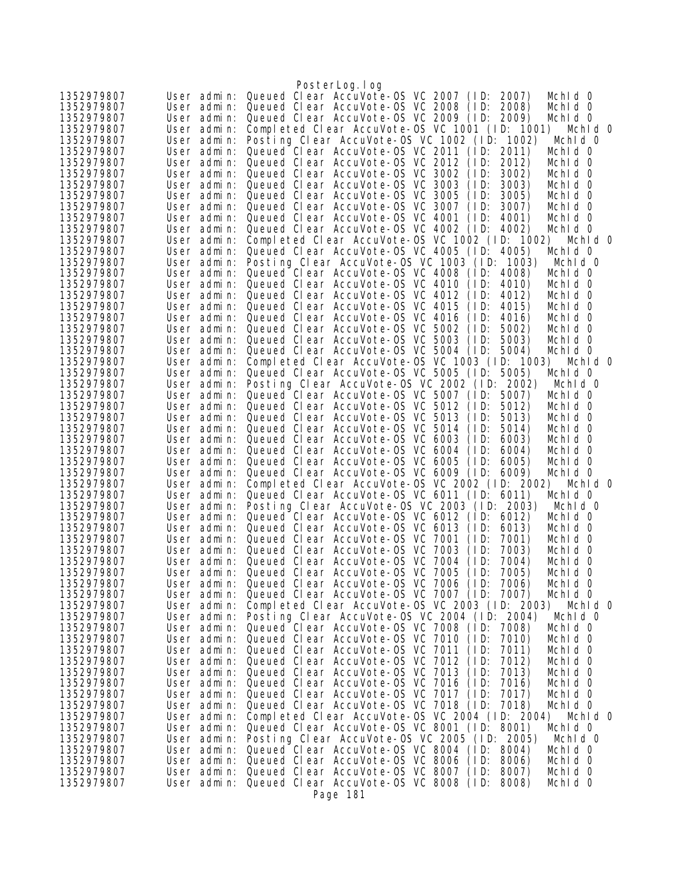|                          |             | PosterLog.log                                                                                                                               |
|--------------------------|-------------|---------------------------------------------------------------------------------------------------------------------------------------------|
| 1352979807               |             | User admin: Queued Clear AccuVote-OS VC 2007 (ID: 2007)<br>Mchid 0                                                                          |
| 1352979807               |             | User admin: Queued Clear AccuVote-OS VC 2008 (ID:<br>2008)<br>Mchid 0                                                                       |
| 1352979807               | User admin: | Queued Clear AccuVote-0S VC 2009 (ID: 2009)<br>Mchid 0                                                                                      |
| 1352979807               | User admin: | Completed Clear AccuVote-0S VC 1001 (ID: 1001)<br>Mchid 0                                                                                   |
| 1352979807               |             | User admin: Posting Clear AccuVote-OS VC 1002 (ID: 1002)<br>Mchid 0                                                                         |
| 1352979807               |             | User admin: Queued Clear AccuVote-OS VC 2011 (ID:<br>2011)<br>Mchid 0                                                                       |
| 1352979807               |             | User admin: Queued Clear AccuVote-OS VC 2012<br>(1D)<br>2012)<br>Mchid 0                                                                    |
| 1352979807               |             | User admin: Queued Clear AccuVote-OS VC 3002<br>3002)<br>(1D)<br>Mchid 0                                                                    |
| 1352979807               |             | User admin: Queued Clear AccuVote-OS VC 3003<br>(1D)<br>3003)<br>Mchid 0                                                                    |
| 1352979807               |             | User admin: Queued Clear AccuVote-OS VC 3005<br>(1D)<br>3005)<br>Mchid 0                                                                    |
| 1352979807               |             | User admin: Queued Clear AccuVote-OS VC 3007<br>(1D)<br>3007)<br>Mchid 0                                                                    |
| 1352979807               |             | User admin: Queued Clear AccuVote-OS VC 4001<br>(1D)<br>4001)<br>Mchid 0                                                                    |
| 1352979807               |             | User admin: Queued Clear AccuVote-OS VC 4002 (ID:<br>4002)<br>Mchid 0                                                                       |
| 1352979807               |             | User admin: Completed Clear AccuVote-OS VC 1002 (ID: 1002)<br>Mchid 0                                                                       |
| 1352979807               |             | User admin: Queued Clear AccuVote-OS VC 4005 (ID:<br>4005)<br>Mchid 0                                                                       |
| 1352979807<br>1352979807 | User admin: | Posting Clear AccuVote-OS VC 1003 (ID:<br>1003)<br>Mchid 0<br>User admin: Queued Clear AccuVote-OS VC 4008 (ID: 4008)<br>Mchid 0            |
| 1352979807               |             | User admin: Queued Clear AccuVote-OS VC 4010 (ID:<br>4010)<br>Mchid 0                                                                       |
| 1352979807               |             | User admin: Queued Clear AccuVote-OS VC 4012<br>(1D)<br>4012)<br>Mchid 0                                                                    |
| 1352979807               |             | User admin: Queued Clear AccuVote-OS VC 4015<br>(1D)<br>4015)<br>Mchid 0                                                                    |
| 1352979807               |             | User admin: Queued Clear AccuVote-OS VC 4016<br>(1D)<br>4016)<br>Mchid 0                                                                    |
| 1352979807               |             | User admin: Queued Clear AccuVote-OS VC 5002<br>(1D)<br>5002)<br>Mchid 0                                                                    |
| 1352979807               |             | User admin: Queued Clear AccuVote-OS VC 5003 (ID:<br>5003)<br>Mchid 0                                                                       |
| 1352979807               | User admin: | Queued Clear AccuVote-OS VC 5004 (ID:<br>5004)<br>Mchid 0                                                                                   |
| 1352979807               | User admin: | Completed Clear AccuVote-0S VC 1003 (ID: 1003)<br>Mchid 0                                                                                   |
| 1352979807               |             | User admin: Queued Clear AccuVote-OS VC 5005 (ID:<br>5005)<br>Mchid 0                                                                       |
| 1352979807               |             | User admin: Posting Clear AccuVote-OS VC 2002 (ID: 2002)<br>Mchid 0                                                                         |
| 1352979807               | User admin: | Queued Clear AccuVote-OS VC 5007 (ID:<br>5007)<br>Mchid 0                                                                                   |
| 1352979807               |             | User admin: Queued Clear AccuVote-OS VC 5012<br>(1D)<br>5012)<br>Mchid 0                                                                    |
| 1352979807               | User admin: | Queued Clear AccuVote-OS VC 5013<br>(1D)<br>5013)<br>Mchid 0                                                                                |
| 1352979807               |             | User admin: Queued Clear AccuVote-OS VC 5014<br>(1D)<br>5014)<br>Mchid 0                                                                    |
| 1352979807               |             | User admin: Queued Clear AccuVote-OS VC 6003<br>(1D: 6003)<br>Mchid 0                                                                       |
| 1352979807               |             | User admin: Queued Clear AccuVote-OS VC 6004<br>(1D)<br>6004)<br>Mchid 0                                                                    |
| 1352979807               |             | User admin: Queued Clear AccuVote-OS VC 6005<br>(1D)<br>6005)<br>Mchid 0                                                                    |
| 1352979807               |             | User admin: Queued Clear AccuVote-0S VC 6009 (ID: 6009)<br>Mchid 0                                                                          |
| 1352979807               | User admin: | Completed Clear AccuVote-OS VC 2002 (ID: 2002)<br>Mchid 0                                                                                   |
| 1352979807               | User admin: | Queued Clear AccuVote-OS VC 6011 (ID: 6011)<br>Mchid 0                                                                                      |
| 1352979807               |             | User admin: Posting Clear AccuVote-OS VC 2003 (ID: 2003)<br>Mchid 0                                                                         |
| 1352979807               | User admin: | Queued Clear AccuVote-OS VC 6012 (ID: 6012)<br>Mchid 0                                                                                      |
| 1352979807               |             | User admin: Queued Clear AccuVote-OS VC 6013<br>(1D)<br>6013)<br>Mchid 0                                                                    |
| 1352979807               |             | User admin: Queued Clear AccuVote-OS VC 7001<br>(1D)<br>7001)<br>Mchid 0                                                                    |
| 1352979807               |             | User admin: Queued Clear AccuVote-OS VC 7003<br>(1D)<br>7003)<br>Mchid 0                                                                    |
| 1352979807               |             | User admin: Queued Clear AccuVote-OS VC 7004 (ID:<br>7004)<br>Mchid 0                                                                       |
| 1352979807<br>1352979807 |             | User admin: Queued Clear AccuVote-OS VC 7005 (ID:<br>7005)<br>Mchid 0<br>User admin: Queued Clear AccuVote-OS VC 7006 (ID: 7006)<br>Mchid O |
| 1352979807               |             | User admin: Queued Clear AccuVote-OS VC 7007 (ID: 7007)<br>Mchid 0                                                                          |
| 1352979807               |             | User admin: Completed Clear AccuVote-OS VC 2003 (ID: 2003)<br>Mchid 0                                                                       |
| 1352979807               | User admin: | Posting Clear AccuVote-OS VC 2004 (ID: 2004)<br>Mchid 0                                                                                     |
| 1352979807               |             | User admin: Queued Clear AccuVote-0S VC 7008 (ID: 7008)<br>Mchid 0                                                                          |
| 1352979807               |             | User admin: Queued Clear AccuVote-OS VC 7010 (ID:<br>7010)<br>Mchid 0                                                                       |
| 1352979807               | User admin: | Queued Clear AccuVote-OS VC 7011<br>(1D)<br>7011)<br>Mchid O                                                                                |
| 1352979807               |             | User admin: Queued Clear AccuVote-OS VC 7012<br>(1D)<br>7012)<br>Mchid O                                                                    |
| 1352979807               |             | User admin: Queued Clear AccuVote-OS VC 7013<br>(1D)<br>7013)<br>Mchid 0                                                                    |
| 1352979807               |             | User admin: Queued Clear AccuVote-OS VC 7016<br>(1D)<br>7016)<br>Mchid O                                                                    |
| 1352979807               |             | User admin: Queued Clear AccuVote-OS VC 7017 (ID:<br>7017)<br>Mchid 0                                                                       |
| 1352979807               | User admin: | Queued Clear AccuVote-OS VC 7018 (ID:<br>7018)<br>Mchid 0                                                                                   |
| 1352979807               | User admin: | Completed Clear AccuVote-OS VC 2004 (ID: 2004)<br>Mchid 0                                                                                   |
| 1352979807               | User admin: | Queued Clear AccuVote-OS VC 8001 (ID: 8001)<br>Mchid 0                                                                                      |
| 1352979807               | User admin: | Posting Clear AccuVote-OS VC 2005 (ID: 2005)<br>Mchid 0                                                                                     |
| 1352979807               | User admin: | Queued Clear AccuVote-OS VC 8004 (ID: 8004)<br>Mchid 0                                                                                      |
| 1352979807               |             | User admin: Queued Clear AccuVote-OS VC 8006 (ID: 8006)<br>Mchid O                                                                          |
| 1352979807               |             | User admin: Queued Clear AccuVote-OS VC 8007 (ID: 8007)<br>Mchid 0                                                                          |
| 1352979807               |             | User admin: Queued Clear AccuVote-OS VC 8008 (ID: 8008)<br>Mchid 0                                                                          |
|                          |             | Page 181                                                                                                                                    |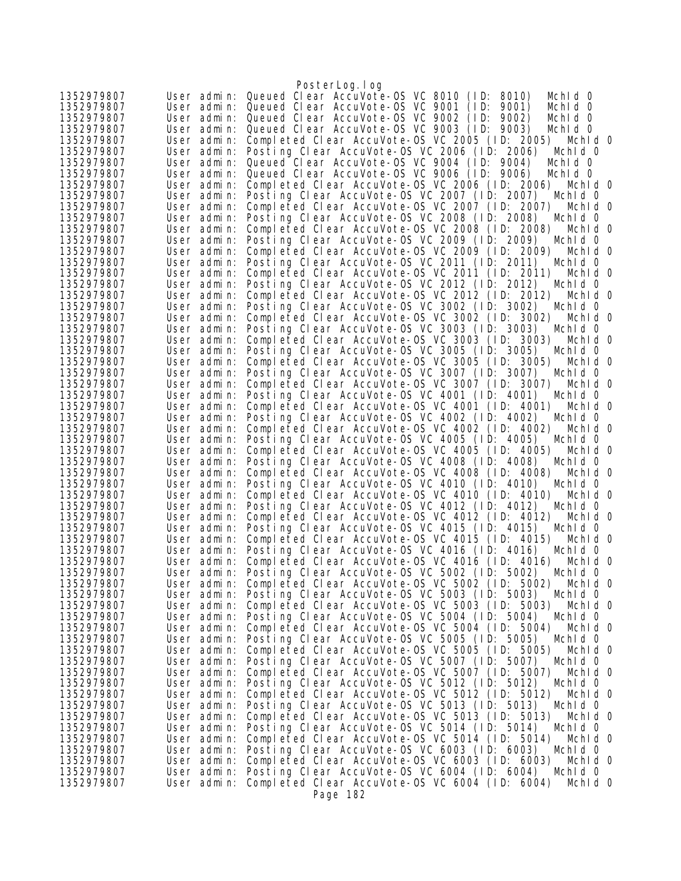|                          |                            | PosterLog. I og                                                                                           |
|--------------------------|----------------------------|-----------------------------------------------------------------------------------------------------------|
| 1352979807               |                            | User admin: Queued Clear AccuVote-OS VC 8010 (ID: 8010)<br>Mchid 0                                        |
| 1352979807               |                            | User admin: Queued Clear AccuVote-OS VC 9001 (ID:<br>9001)<br>Mchid 0                                     |
| 1352979807               | User admin:                | Queued Clear AccuVote-OS VC 9002 (ID:<br>9002)<br>Mchid 0                                                 |
| 1352979807               | User admin:                | Queued Clear AccuVote-OS VC 9003 (ID: 9003)<br>Mchid 0                                                    |
| 1352979807               | User admin:                | Completed Clear AccuVote-OS VC 2005 (ID: 2005) Mchid 0                                                    |
| 1352979807               | User admin:                | Posting Clear AccuVote-OS VC 2006 (ID: 2006)<br>Mchid 0                                                   |
| 1352979807               | User admin:                | Queued Clear AccuVote-OS VC 9004 (ID: 9004)<br>Mchid 0                                                    |
| 1352979807               |                            | User admin: Queued Clear AccuVote-OS VC 9006 (ID:<br>9006)<br>Mchid 0                                     |
| 1352979807               | User admin:                | Completed Clear AccuVote-OS VC 2006 (ID: 2006)<br>Mchid O                                                 |
| 1352979807               | User admin:                | Posting Clear AccuVote-OS VC 2007 (ID: 2007)<br>Mchid 0                                                   |
| 1352979807               | User admin:                | Completed Clear AccuVote-OS VC 2007 (ID: 2007)<br>Mchid 0                                                 |
| 1352979807               | User admin:                | Posting Clear AccuVote-OS VC 2008 (ID: 2008)<br>Mchid 0                                                   |
| 1352979807               | User admin:                | Completed Clear AccuVote-OS VC 2008 (ID: 2008)<br>Mchid O                                                 |
| 1352979807               | User admin:                | Posting Clear AccuVote-OS VC 2009 (ID: 2009)<br>Mchid 0                                                   |
| 1352979807               | User admin:                | Completed Clear AccuVote-OS VC 2009 (ID: 2009)<br>Mchid 0                                                 |
| 1352979807               | User admin:                | Posting Clear AccuVote-OS VC 2011 (ID: 2011)<br>Mchid 0                                                   |
| 1352979807               | User admin:                | Completed Clear AccuVote-OS VC 2011 (ID: 2011)<br>Mchid O                                                 |
| 1352979807               | User admin:                | Posting Clear AccuVote-OS VC 2012 (ID: 2012)<br>Mchid 0                                                   |
| 1352979807               | User admin:                | Completed Clear AccuVote-OS VC 2012 (ID: 2012)<br>Mchid O                                                 |
| 1352979807               | User admin:                | Posting Clear AccuVote-OS VC 3002 (ID: 3002)<br>Mchid 0<br>Completed Clear AccuVote-OS VC 3002 (ID: 3002) |
| 1352979807<br>1352979807 | User admin:<br>User admin: | Mchid 0<br>Posting Clear AccuVote-OS VC 3003 (ID: 3003)<br>Mchid 0                                        |
| 1352979807               | User admin:                | Completed Clear AccuVote-0S VC 3003 (ID: 3003)<br>Mchid O                                                 |
| 1352979807               | User admin:                | Posting Clear AccuVote-OS VC 3005 (ID: 3005)<br>Mchid 0                                                   |
| 1352979807               | User admin:                | Completed Clear AccuVote-OS VC 3005 (ID: 3005)<br>Mchid O                                                 |
| 1352979807               | User admin:                | Posting Clear AccuVote-OS VC 3007 (ID: 3007)<br>Mchid O                                                   |
| 1352979807               | User admin:                | Completed Clear AccuVote-OS VC 3007 (ID: 3007)<br>Mchid 0                                                 |
| 1352979807               | User admin:                | Posting Clear AccuVote-OS VC 4001 (ID: 4001)<br>Mchid 0                                                   |
| 1352979807               | User admin:                | Completed Clear AccuVote-OS VC 4001 (ID: 4001)<br>Mchid 0                                                 |
| 1352979807               | User admin:                | Posting Clear AccuVote-OS VC 4002 (ID: 4002)<br>Mchid 0                                                   |
| 1352979807               | User admin:                | Completed Clear AccuVote-OS VC 4002 (ID: 4002)<br>Mchid O                                                 |
| 1352979807               | User admin:                | Posting Clear AccuVote-OS VC 4005 (ID: 4005)<br>Mchid 0                                                   |
| 1352979807               | User admin:                | Completed Clear AccuVote-OS VC 4005 (ID: 4005)<br>Mchid 0                                                 |
| 1352979807               | User admin:                | Posting Clear AccuVote-OS VC 4008 (ID: 4008)<br>Mchid 0                                                   |
| 1352979807               | User admin:                | Completed Clear AccuVote-OS VC 4008 (ID: 4008)<br>Mchid O                                                 |
| 1352979807               | User admin:                | Posting Clear AccuVote-OS VC 4010 (ID: 4010)<br>Mchid 0                                                   |
| 1352979807               | User admin:                | Completed Clear AccuVote-OS VC 4010 (ID: 4010)<br>Mchid O                                                 |
| 1352979807               | User admin:                | Posting Clear AccuVote-OS VC 4012 (ID: 4012)<br>Mchid 0                                                   |
| 1352979807               | User admin:                | Completed Clear AccuVote-0S VC 4012 (ID: 4012)<br>Mchid 0                                                 |
| 1352979807               | User admin:                | Posting Clear AccuVote-OS VC 4015 (ID: 4015)<br>Mchid 0                                                   |
| 1352979807               | User admin:                | Completed Clear AccuVote-OS VC 4015 (ID: 4015)<br>Mchid O                                                 |
| 1352979807               | User admin:                | Posting Clear AccuVote-OS VC 4016 (ID: 4016)<br>Mchid 0                                                   |
| 1352979807               | User admin:                | Completed Clear AccuVote-OS VC 4016 (ID: 4016)<br>Mchld O                                                 |
| 1352979807               | User admin:                | Posting Clear AccuVote-OS VC 5002 (ID: 5002)<br>Mchid 0                                                   |
| 1352979807               |                            | User admin: Completed Clear AccuVote-OS VC 5002 (ID: 5002)<br>Mchld O                                     |
| 1352979807               | User admin:                | Posting Clear AccuVote-OS VC 5003 (ID: 5003)<br>Mchid 0                                                   |
| 1352979807               | User admin:                | Completed Clear AccuVote-OS VC 5003 (ID: 5003)<br>Mchid 0<br>Posting Clear AccuVote-OS VC 5004 (ID: 5004) |
| 1352979807               | User admin:                | Mchid 0<br>Completed Clear AccuVote-OS VC 5004 (ID: 5004)                                                 |
| 1352979807<br>1352979807 | User admin:<br>User admin: | Mchid O<br>Posting Clear AccuVote-OS VC 5005 (ID: 5005)<br>Mchid 0                                        |
| 1352979807               | User admin:                | Completed Clear AccuVote-OS VC 5005 (ID: 5005)<br>Mchid 0                                                 |
| 1352979807               | User admin:                | Posting Clear AccuVote-OS VC 5007 (ID: 5007)<br>Mchid 0                                                   |
| 1352979807               | User admin:                | Completed Clear AccuVote-0S VC 5007 (ID: 5007)<br>Mchid 0                                                 |
| 1352979807               | User admin:                | Posting Clear AccuVote-OS VC 5012 (ID: 5012)<br>Mchid 0                                                   |
| 1352979807               | User admin:                | Completed Clear AccuVote-OS VC 5012 (ID: 5012)<br>Mchid 0                                                 |
| 1352979807               | User admin:                | Posting Clear AccuVote-OS VC 5013 (ID: 5013)<br>Mchid 0                                                   |
| 1352979807               | User admin:                | Completed Clear AccuVote-OS VC 5013 (ID: 5013)<br>Mchid 0                                                 |
| 1352979807               | User admin:                | Posting Clear AccuVote-OS VC 5014 (ID: 5014)<br>Mchid 0                                                   |
| 1352979807               | User admin:                | Completed Clear AccuVote-OS VC 5014 (ID: 5014)<br>Mchid 0                                                 |
| 1352979807               | User admin:                | Posting Clear AccuVote-OS VC 6003 (ID: 6003)<br>Mchid 0                                                   |
| 1352979807               | User admin:                | Completed Clear AccuVote-OS VC 6003 (ID: 6003)<br>Mchid 0                                                 |
| 1352979807               | User admin:                | Posting Clear AccuVote-OS VC 6004 (ID: 6004)<br>Mchid 0                                                   |
| 1352979807               | User admin:                | Completed Clear AccuVote-OS VC 6004 (ID: 6004)<br>Mchid O                                                 |
|                          |                            | Page 182                                                                                                  |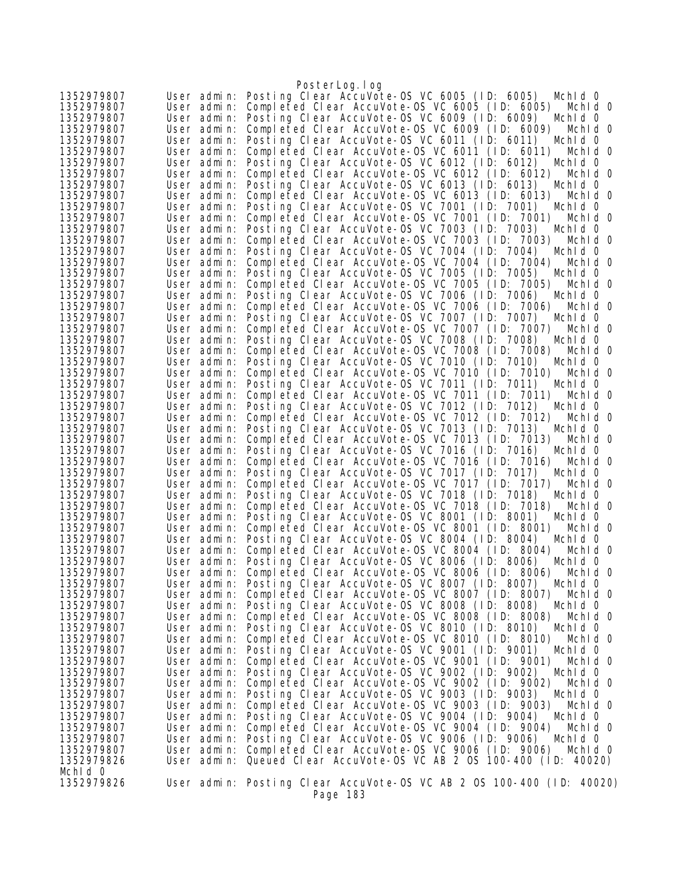|                          |                            | PosterLog.log                                                                                                        |
|--------------------------|----------------------------|----------------------------------------------------------------------------------------------------------------------|
| 1352979807               |                            | User admin: Posting Clear AccuVote-OS VC 6005 (ID: 6005)<br>Mchid 0                                                  |
| 1352979807               |                            | User admin: Completed Clear AccuVote-OS VC 6005 (ID: 6005)<br>Mchid 0                                                |
| 1352979807               | User admin:                | Posting Clear AccuVote-OS VC 6009 (ID: 6009)<br>Mchid 0                                                              |
| 1352979807               | User admin:                | Completed Clear AccuVote-OS VC 6009 (ID: 6009)<br>Mchid 0                                                            |
| 1352979807               |                            | User admin: Posting Clear AccuVote-OS VC 6011 (ID: 6011)<br>Mchid 0                                                  |
| 1352979807               | User admin:                | Completed Clear AccuVote-OS VC 6011 (ID: 6011)<br>Mchid 0                                                            |
| 1352979807               |                            | User admin: Posting Clear AccuVote-OS VC 6012 (ID: 6012)<br>Mchid 0                                                  |
| 1352979807               | User admin:                | Completed Clear AccuVote-OS VC 6012 (ID: 6012)<br>Mchid 0                                                            |
| 1352979807               | User admin:                | Posting Clear AccuVote-OS VC 6013 (ID: 6013)<br>Mchid 0                                                              |
| 1352979807               | User admin:                | Completed Clear AccuVote-OS VC 6013 (ID: 6013)<br>Mchid 0                                                            |
| 1352979807               |                            | User admin: Posting Clear AccuVote-OS VC 7001 (ID: 7001)<br>Mchid 0                                                  |
| 1352979807               | User admin:                | Completed Clear AccuVote-0S VC 7001 (ID: 7001)<br>Mchid 0<br>Posting Clear AccuVote-OS VC 7003 (ID: 7003)            |
| 1352979807<br>1352979807 | User admin:<br>User admin: | Mchid 0<br>Completed Clear AccuVote-0S VC 7003 (ID: 7003)                                                            |
| 1352979807               | User admin:                | Mchid 0<br>Posting Clear AccuVote-OS VC 7004 (ID: 7004)<br>Mchid 0                                                   |
| 1352979807               | User admin:                | Completed Clear AccuVote-OS VC 7004 (ID: 7004)<br>Mchid 0                                                            |
| 1352979807               | User admin:                | Posting Clear AccuVote-OS VC 7005 (ID: 7005)<br>Mchid 0                                                              |
| 1352979807               | User admin:                | Completed Clear AccuVote-OS VC 7005 (ID: 7005)<br>Mchid 0                                                            |
| 1352979807               | User admin:                | Posting Clear AccuVote-0S VC 7006 (ID: 7006)<br>Mchid 0                                                              |
| 1352979807               | User admin:                | Completed Clear AccuVote-OS VC 7006 (ID: 7006)<br>Mchid 0                                                            |
| 1352979807               | User admin:                | Posting Clear AccuVote-OS VC 7007 (ID: 7007)<br>Mchid 0                                                              |
| 1352979807               | User admin:                | Completed Clear AccuVote-OS VC 7007 (ID: 7007)<br>Mchid 0                                                            |
| 1352979807               | User admin:                | Posting Clear AccuVote-OS VC 7008 (ID: 7008)<br>Mchid O                                                              |
| 1352979807               | User admin:                | Completed Clear AccuVote-OS VC 7008 (ID: 7008)<br>Mchid 0                                                            |
| 1352979807               |                            | User admin: Posting Clear AccuVote-OS VC 7010 (ID: 7010)<br>Mchid 0                                                  |
| 1352979807               |                            | User admin: Completed Clear AccuVote-OS VC 7010 (ID: 7010)<br>Mchid 0                                                |
| 1352979807               | User admin:                | Posting Clear AccuVote-OS VC 7011 (ID: 7011)<br>Mchid 0                                                              |
| 1352979807               | User admin:                | Completed Clear AccuVote-OS VC 7011 (ID: 7011)<br>Mchid 0                                                            |
| 1352979807               | User admin:                | Posting Clear AccuVote-OS VC 7012 (ID: 7012)<br>Mchid 0                                                              |
| 1352979807               | User admin:                | Completed Clear AccuVote-0S VC 7012 (ID: 7012)<br>Mchid 0                                                            |
| 1352979807               | User admin:                | Posting Clear AccuVote-OS VC 7013 (ID: 7013)<br>Mchid 0                                                              |
| 1352979807               | User admin:                | Completed Clear AccuVote-0S VC 7013 (ID: 7013)<br>Mchid 0                                                            |
| 1352979807               | User admin:                | Posting Clear AccuVote-OS VC 7016 (ID: 7016)<br>Mchid 0                                                              |
| 1352979807               | User admin:                | Completed Clear AccuVote-0S VC 7016 (ID: 7016)<br>Mchid 0                                                            |
| 1352979807               | User admin:<br>User admin: | Posting Clear AccuVote-OS VC 7017 (ID: 7017)<br>Mchid 0                                                              |
| 1352979807<br>1352979807 | User admin:                | Completed Clear AccuVote-OS VC 7017 (ID: 7017)<br>Mchid 0<br>Posting Clear AccuVote-OS VC 7018 (ID: 7018)<br>Mchid 0 |
| 1352979807               | User admin:                | Completed Clear AccuVote-OS VC 7018 (ID: 7018)<br>Mchid 0                                                            |
| 1352979807               | User admin:                | Posting Clear AccuVote-OS VC 8001 (ID: 8001)<br>Mchid 0                                                              |
| 1352979807               | User admin:                | Completed Clear AccuVote-OS VC 8001 (ID: 8001)<br>Mchid 0                                                            |
| 1352979807               | User admin:                | Posting Clear AccuVote-OS VC 8004 (ID: 8004)<br>Mchid 0                                                              |
| 1352979807               | User admin:                | Completed Clear AccuVote-OS VC 8004 (ID: 8004)<br>Mchid 0                                                            |
| 1352979807               |                            | User admin: Posting Clear AccuVote-OS VC 8006 (ID: 8006)<br>Mchid 0                                                  |
| 1352979807               | User admin:                | Completed Clear AccuVote-0S VC 8006 (ID: 8006)<br>Mchid O                                                            |
| 1352979807               |                            | User admin: Posting Clear AccuVote-OS VC 8007 (ID: 8007)<br>Mchid 0                                                  |
| 1352979807               |                            | User admin: Completed Clear AccuVote-OS VC 8007 (ID: 8007)<br>Mchid 0                                                |
| 1352979807               |                            | User admin: Posting Clear AccuVote-OS VC 8008 (ID: 8008)<br>Mchid 0                                                  |
| 1352979807               |                            | User admin: Completed Clear AccuVote-OS VC 8008 (ID: 8008)<br>Mchid 0                                                |
| 1352979807               |                            | User admin: Posting Clear AccuVote-OS VC 8010 (ID: 8010)<br>Mchid 0                                                  |
| 1352979807               | User admin:                | Completed Clear AccuVote-OS VC 8010 (ID: 8010)<br>Mchid 0                                                            |
| 1352979807               | User admin:                | Posting Clear AccuVote-0S VC 9001 (ID: 9001)<br>Mchid 0                                                              |
| 1352979807               | User admin:                | Completed Clear AccuVote-OS VC 9001 (ID: 9001)<br>Mchid 0                                                            |
| 1352979807               | User admin:                | Posting Clear AccuVote-OS VC 9002 (ID: 9002)<br>Mchid 0                                                              |
| 1352979807               | User admin:                | Completed Clear AccuVote-OS VC 9002 (ID: 9002)<br>Mchid 0                                                            |
| 1352979807<br>1352979807 | User admin:<br>User admin: | Posting Clear AccuVote-OS VC 9003 (ID: 9003)<br>Mchid 0<br>Completed Clear AccuVote-OS VC 9003 (ID: 9003)<br>Mchid 0 |
| 1352979807               | User admin:                | Posting Clear AccuVote-OS VC 9004 (ID: 9004)<br>Mchid 0                                                              |
| 1352979807               |                            | User admin: Completed Clear AccuVote-OS VC 9004 (ID: 9004)<br>Mchid 0                                                |
| 1352979807               | User admin:                | Posting Clear AccuVote-OS VC 9006 (ID: 9006)<br>Mchid 0                                                              |
| 1352979807               | User admin:                | Completed Clear AccuVote-OS VC 9006 (ID: 9006)<br>Mchid 0                                                            |
| 1352979826               |                            | User admin: Queued Clear AccuVote-OS VC AB 2 OS 100-400 (1D: 40020)                                                  |
| Mchld O                  |                            |                                                                                                                      |
| 1352979826               |                            | User admin: Posting Clear AccuVote-OS VC AB 2 OS 100-400 (ID: 40020)                                                 |
|                          |                            | Page 183                                                                                                             |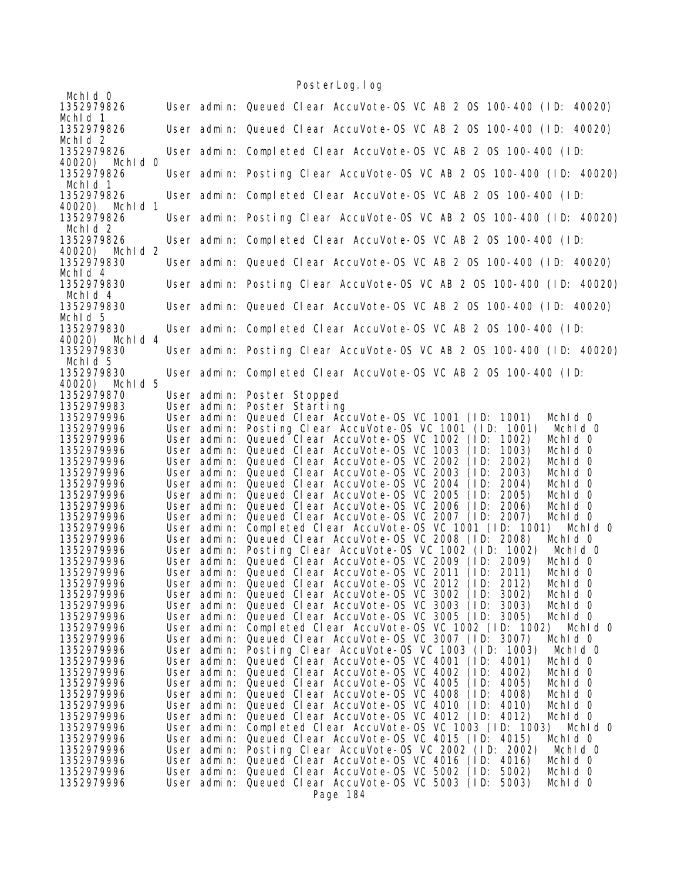## PosterLog.log

|                                  |  |                            | FUSTEL LUY. I UY                                                                                                                         |
|----------------------------------|--|----------------------------|------------------------------------------------------------------------------------------------------------------------------------------|
| Mchid O<br>1352979826            |  |                            | User admin: Queued Clear AccuVote-OS VC AB 2 OS 100-400 (ID: 40020)                                                                      |
| Mchid 1                          |  |                            |                                                                                                                                          |
| 1352979826                       |  |                            | User admin: Queued Clear AccuVote-OS VC AB 2 OS 100-400 (ID: 40020)                                                                      |
| Mchid <sub>2</sub>               |  |                            |                                                                                                                                          |
| 1352979826                       |  |                            | User admin: Completed Clear AccuVote-OS VC AB 2 OS 100-400 (ID:                                                                          |
| 40020) Mchld 0<br>1352979826     |  |                            | User admin: Posting Clear AccuVote-OS VC AB 2 OS 100-400 (ID: 40020)                                                                     |
| Mchid 1                          |  |                            |                                                                                                                                          |
| 1352979826                       |  |                            | User admin: Completed Clear AccuVote-OS VC AB 2 OS 100-400 (ID:                                                                          |
| 40020)<br>Mchid 1                |  |                            |                                                                                                                                          |
| 1352979826                       |  |                            | User admin: Posting Clear AccuVote-OS VC AB 2 OS 100-400 (ID: 40020)                                                                     |
| Mchid <sub>2</sub><br>1352979826 |  |                            | User admin: Completed Clear AccuVote-OS VC AB 2 OS 100-400 (ID:                                                                          |
| 40020) Mchld 2                   |  |                            |                                                                                                                                          |
| 1352979830                       |  |                            | User admin: Queued Clear AccuVote-OS VC AB 2 OS 100-400 (ID: 40020)                                                                      |
| Mchid <sub>4</sub>               |  |                            |                                                                                                                                          |
| 1352979830                       |  |                            | User admin: Posting Clear AccuVote-OS VC AB 2 OS 100-400 (ID: 40020)                                                                     |
| Mchid 4                          |  |                            |                                                                                                                                          |
| 1352979830<br>Mchid 5            |  |                            | User admin: Queued Clear AccuVote-OS VC AB 2 OS 100-400 (ID: 40020)                                                                      |
| 1352979830                       |  |                            | User admin: Completed Clear AccuVote-OS VC AB 2 OS 100-400 (ID:                                                                          |
| 40020) Mchld 4                   |  |                            |                                                                                                                                          |
| 1352979830                       |  |                            | User admin: Posting Clear AccuVote-OS VC AB 2 OS 100-400 (ID: 40020)                                                                     |
| Mchid 5                          |  |                            |                                                                                                                                          |
| 1352979830                       |  |                            | User admin: Completed Clear AccuVote-OS VC AB 2 OS 100-400 (ID:                                                                          |
| Mchld 5<br>40020)<br>1352979870  |  | User admin:                | Poster Stopped                                                                                                                           |
| 1352979983                       |  | User admin:                | Poster Starting                                                                                                                          |
| 1352979996                       |  | User admin:                | Queued Clear AccuVote-0S VC 1001 (ID: 1001)<br>Mchid 0                                                                                   |
| 1352979996                       |  | User admin:                | Posting Clear AccuVote-OS VC 1001 (ID: 1001)<br>Mchid 0                                                                                  |
| 1352979996                       |  | User admin:                | Queued Clear AccuVote-OS VC 1002 (ID:<br>Mchid 0<br>1002)                                                                                |
| 1352979996                       |  | User admin:                | Queued Clear AccuVote-0S VC 1003<br>1003)<br>Mchid 0<br>(1D)                                                                             |
| 1352979996                       |  | User admin:                | Queued Clear AccuVote-0S VC 2002<br>2002)<br>Mchid 0<br>(1D)                                                                             |
| 1352979996<br>1352979996         |  | User admin:                | Queued Clear AccuVote-OS VC 2003<br>2003)<br>Mchid 0<br>(1D)<br>User admin: Queued Clear AccuVote-OS VC 2004<br>2004)<br>Mchid 0<br>(1D) |
| 1352979996                       |  | User admin:                | Queued Clear AccuVote-OS VC 2005<br>Mchid 0<br>(1D)<br>2005)                                                                             |
| 1352979996                       |  | User admin:                | Queued Clear AccuVote-OS VC 2006<br>Mchid 0<br>(1D)<br>2006)                                                                             |
| 1352979996                       |  | User admin:                | Queued Clear AccuVote-OS VC 2007 (ID:<br>2007)<br>Mchid 0                                                                                |
| 1352979996                       |  | User admin:                | Completed Clear AccuVote-0S VC 1001 (ID: 1001)<br>Mchid 0                                                                                |
| 1352979996                       |  | User admin:                | Queued Clear AccuVote-0S VC 2008 (ID: 2008)<br>Mchid 0                                                                                   |
| 1352979996                       |  | User admin:                | Posting Clear AccuVote-OS VC 1002 (ID: 1002)<br>Mchid 0                                                                                  |
| 1352979996                       |  | User admin:                | Queued Clear AccuVote-OS VC 2009 (ID:<br>Mchld 0<br>2009)                                                                                |
| 1352979996<br>1352979996         |  | User admin:                | Queued Clear AccuVote-OS VC 2011 (ID:<br>2011)<br>Mchid 0<br>User admin: Queued Clear AccuVote-OS VC 2012 (ID: 2012)<br>Mchid 0          |
| 1352979996                       |  | User admin:                | Queued Clear AccuVote-OS VC 3002 (ID: 3002)<br>Mchid 0                                                                                   |
| 1352979996                       |  | User admin:                | Queued Clear AccuVote-OS VC 3003 (ID: 3003)<br>Mchid 0                                                                                   |
| 1352979996                       |  | User admin:                | Queued Clear AccuVote-0S VC 3005 (ID: 3005)<br>Mchid 0                                                                                   |
| 1352979996                       |  | User admin:                | Completed Clear AccuVote-0S VC 1002 (ID: 1002)<br>Mchid 0                                                                                |
| 1352979996                       |  | User admin:                | Queued Clear AccuVote-0S VC 3007 (ID: 3007)<br>Mchid 0                                                                                   |
| 1352979996                       |  | User admin:                | Posting Clear AccuVote-OS VC 1003 (ID: 1003)<br>Mchid 0<br>Queued Clear AccuVote-OS VC 4001 (ID:                                         |
| 1352979996<br>1352979996         |  | User admin:<br>User admin: | Mchid 0<br>4001)<br>Queued Clear AccuVote-OS VC 4002 (ID:<br>4002)<br>Mchid 0                                                            |
| 1352979996                       |  | User admin:                | Queued Clear AccuVote-OS VC 4005<br>(1D)<br>4005)<br>Mchid 0                                                                             |
| 1352979996                       |  | User admin:                | Queued Clear AccuVote-OS VC 4008 (ID:<br>4008)<br>Mchid 0                                                                                |
| 1352979996                       |  | User admin:                | Queued Clear AccuVote-OS VC 4010 (ID:<br>4010)<br>Mchid 0                                                                                |
| 1352979996                       |  | User admin:                | Queued Clear AccuVote-OS VC 4012 (ID: 4012)<br>Mchid 0                                                                                   |
| 1352979996                       |  | User admin:                | Completed Clear AccuVote-OS VC 1003 (ID: 1003)<br>Mchid 0                                                                                |
| 1352979996<br>1352979996         |  | User admin:<br>User admin: | Queued Clear AccuVote-OS VC 4015 (ID: 4015)<br>Mchid 0<br>Posting Clear AccuVote-OS VC 2002 (ID: 2002)<br>Mchid 0                        |
| 1352979996                       |  | User admin:                | Queued Clear AccuVote-OS VC 4016 (ID: 4016)<br>Mchid 0                                                                                   |
| 1352979996                       |  | User admin:                | Queued Clear AccuVote-OS VC 5002 (ID: 5002)<br>Mchid 0                                                                                   |
| 1352979996                       |  | User admin:                | Queued Clear AccuVote-OS VC 5003 (ID: 5003)<br>Mchid 0                                                                                   |
|                                  |  |                            | Page 184                                                                                                                                 |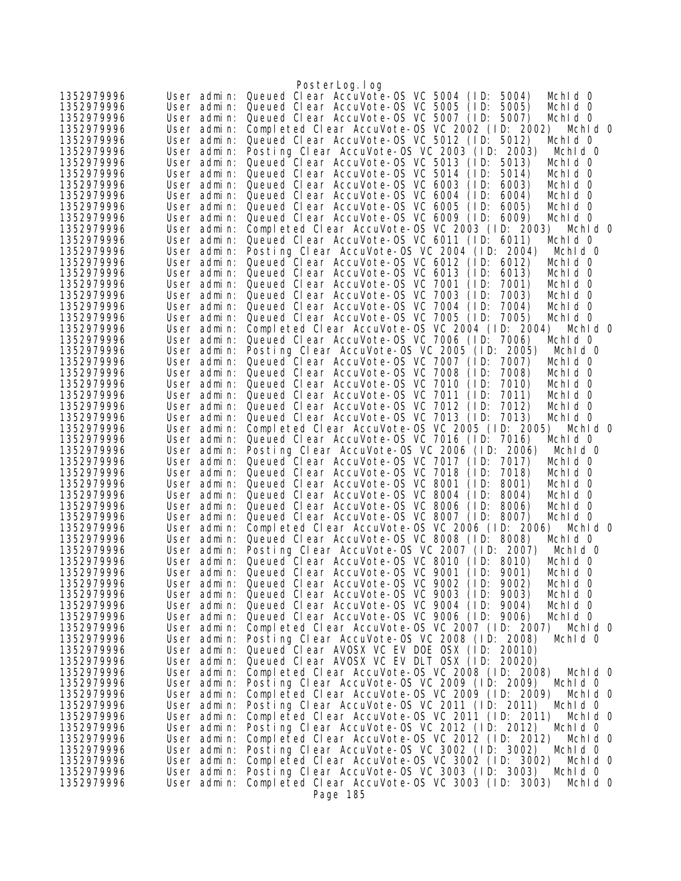|                          |                            | PosterLog.log                                                                                                          |  |
|--------------------------|----------------------------|------------------------------------------------------------------------------------------------------------------------|--|
| 1352979996               | User admin:                | Queued Clear AccuVote-OS VC 5004 (ID:<br>5004)<br>Mchid 0                                                              |  |
| 1352979996               | User admin:                | Queued Clear AccuVote-OS VC 5005 (ID:<br>5005)<br>Mchid 0                                                              |  |
| 1352979996               | User admin:                | Queued Clear AccuVote-OS VC 5007 (ID:<br>5007)<br>Mchid 0                                                              |  |
| 1352979996               | User admin:                | Completed Clear AccuVote-OS VC 2002 (ID: 2002)<br>Mchid 0                                                              |  |
| 1352979996               | User admin:                | Queued Clear AccuVote-OS VC 5012 (ID: 5012)<br>Mchid 0                                                                 |  |
| 1352979996               | User admin:                | Posting Clear AccuVote-OS VC 2003 (ID: 2003)<br>Mchid 0                                                                |  |
| 1352979996<br>1352979996 | User admin:                | Queued Clear AccuVote-OS VC 5013 (ID:<br>5013)<br>Mchid 0<br>Queued Clear AccuVote-OS VC 5014                          |  |
| 1352979996               | User admin:<br>User admin: | (1D)<br>5014)<br>Mchid 0<br>Queued Clear AccuVote-0S VC 6003<br>(1D: 6003)<br>Mchid 0                                  |  |
| 1352979996               | User admin:                | Queued Clear AccuVote-OS VC 6004<br>(1D: 6004)<br>Mchid 0                                                              |  |
| 1352979996               | User admin:                | Queued Clear AccuVote-OS VC 6005<br>(1D: 6005)<br>Mchid 0                                                              |  |
| 1352979996               | User admin:                | Queued Clear AccuVote-0S VC 6009 (ID: 6009)<br>Mchid O                                                                 |  |
| 1352979996               | User admin:                | Completed Clear AccuVote-OS VC 2003 (ID: 2003)<br>Mchid O                                                              |  |
| 1352979996               | User admin:                | Queued Clear AccuVote-OS VC 6011 (ID: 6011)<br>Mchid 0                                                                 |  |
| 1352979996               |                            | User admin: Posting Clear AccuVote-OS VC 2004 (ID: 2004)<br>Mchid 0                                                    |  |
| 1352979996               | User admin:                | Queued Clear AccuVote-OS VC 6012 (ID: 6012)<br>Mchid 0                                                                 |  |
| 1352979996               | User admin:                | Queued Clear AccuVote-OS VC 6013<br>(1D)<br>6013)<br>Mchid 0                                                           |  |
| 1352979996               | User admin:                | Queued Clear AccuVote-0S VC 7001<br>(1D)<br>7001)<br>Mchid 0<br>Queued Clear AccuVote-OS VC 7003<br>(1D)<br>7003)      |  |
| 1352979996<br>1352979996 | User admin:<br>User admin: | Mchid 0<br>Queued Clear AccuVote-OS VC 7004<br>(1D)<br>7004)<br>Mchid 0                                                |  |
| 1352979996               |                            | User admin: Queued Clear AccuVote-OS VC 7005 (ID:<br>7005)<br>Mchid O                                                  |  |
| 1352979996               | User admin:                | Completed Clear AccuVote-OS VC 2004 (ID: 2004)<br>Mchid 0                                                              |  |
| 1352979996               | User admin:                | Queued Clear AccuVote-OS VC 7006 (ID: 7006)<br>Mchid 0                                                                 |  |
| 1352979996               | User admin:                | Posting Clear AccuVote-OS VC 2005 (ID: 2005)<br>Mchid 0                                                                |  |
| 1352979996               | User admin:                | Queued Clear AccuVote-0S VC 7007 (ID:<br>7007)<br>Mchid 0                                                              |  |
| 1352979996               | User admin:                | Queued Clear AccuVote-OS VC 7008<br>(1D)<br>7008)<br>Mchid 0                                                           |  |
| 1352979996               | User admin:                | Queued Clear AccuVote-OS VC 7010<br>(1D)<br>7010)<br>Mchid 0                                                           |  |
| 1352979996               | User admin:                | Queued Clear AccuVote-0S VC 7011<br>(1D)<br>7011)<br>Mchid 0                                                           |  |
| 1352979996               | User admin:                | Queued Clear AccuVote-OS VC 7012<br>(1D)<br>7012)<br>Mchid 0                                                           |  |
| 1352979996<br>1352979996 | User admin:<br>User admin: | Queued Clear AccuVote-OS VC 7013 (ID:<br>7013)<br>Mchid O<br>Completed Clear AccuVote-OS VC 2005 (ID: 2005)<br>Mchid O |  |
| 1352979996               | User admin:                | Queued Clear AccuVote-OS VC 7016 (ID: 7016)<br>Mchid 0                                                                 |  |
| 1352979996               | User admin:                | Posting Clear AccuVote-OS VC 2006 (ID: 2006)<br>Mchid 0                                                                |  |
| 1352979996               | User admin:                | Queued Clear AccuVote-OS VC 7017 (ID: 7017)<br>Mchid 0                                                                 |  |
| 1352979996               | User admin:                | Queued Clear AccuVote-0S VC 7018<br>(1D)<br>7018)<br>Mchid 0                                                           |  |
| 1352979996               | User admin:                | Queued Clear AccuVote-0S VC 8001<br>(1D)<br>8001)<br>Mchid 0                                                           |  |
| 1352979996               | User admin:                | Queued Clear AccuVote-OS VC 8004<br>(1D: 8004)<br>Mchid 0                                                              |  |
| 1352979996               |                            | User admin: Queued Clear AccuVote-OS VC 8006<br>(1D: 8006)<br>Mchid 0                                                  |  |
| 1352979996               | User admin:                | Queued Clear AccuVote-OS VC 8007 (ID: 8007)<br>Mchid 0                                                                 |  |
| 1352979996<br>1352979996 | User admin:                | Completed Clear AccuVote-OS VC 2006 (ID: 2006)<br>Mchid O<br>User admin: Queued Clear AccuVote-OS VC 8008 (ID: 8008)   |  |
| 1352979996               |                            | Mchid 0<br>User admin: Posting Clear AccuVote-OS VC 2007 (ID: 2007)<br>Mchid 0                                         |  |
| 1352979996               |                            | User admin: Queued Clear AccuVote-OS VC 8010 (ID: 8010)<br>Mchid 0                                                     |  |
| 1352979996               |                            | User admin: Queued Clear AccuVote-OS VC 9001 (ID: 9001)<br>Mchid 0                                                     |  |
| 1352979996               |                            | User admin: Queued Clear AccuVote-0S VC 9002 (ID: 9002)<br>Mchid 0                                                     |  |
| 1352979996               |                            | User admin: Queued Clear AccuVote-OS VC 9003 (ID: 9003)<br>Mchid 0                                                     |  |
| 1352979996               |                            | User admin: Queued Clear AccuVote-OS VC 9004 (ID: 9004)<br>Mchid 0                                                     |  |
| 1352979996               | User admin:                | Queued Clear AccuVote-OS VC 9006 (ID: 9006)<br>Mchid 0                                                                 |  |
| 1352979996               | User admin:                | Completed Clear AccuVote-OS VC 2007 (ID: 2007) Mchid 0                                                                 |  |
| 1352979996               | User admin:                | Posting Clear AccuVote-0S VC 2008 (ID: 2008)<br>Mchid 0                                                                |  |
| 1352979996               | User admin:                | Queued Clear AVOSX VC EV DOE OSX (ID: 20010)                                                                           |  |
| 1352979996<br>1352979996 | User admin:<br>User admin: | Queued Clear AVOSX VC EV DLT OSX (ID: 20020)<br>Completed Clear AccuVote-OS VC 2008 (ID: 2008)<br>Mchid 0              |  |
| 1352979996               | User admin:                | Posting Clear AccuVote-OS VC 2009 (ID: 2009)<br>Mchid 0                                                                |  |
| 1352979996               | User admin:                | Completed Clear AccuVote-0S VC 2009 (ID: 2009)<br>Mchid O                                                              |  |
| 1352979996               | User admin:                | Posting Clear AccuVote-OS VC 2011 (ID: 2011)<br>Mchid 0                                                                |  |
| 1352979996               | User admin:                | Completed Clear AccuVote-OS VC 2011 (ID: 2011)<br>Mchid 0                                                              |  |
| 1352979996               | User admin:                | Posting Clear AccuVote-OS VC 2012 (ID: 2012)<br>Mchid 0                                                                |  |
| 1352979996               | User admin:                | Completed Clear AccuVote-OS VC 2012 (ID: 2012)<br>Mchid 0                                                              |  |
| 1352979996               | User admin:                | Posting Clear AccuVote-OS VC 3002 (ID: 3002)<br>Mchid 0                                                                |  |
| 1352979996               | User admin:                | Completed Clear AccuVote-OS VC 3002 (ID: 3002)<br>Mchid 0                                                              |  |
| 1352979996<br>1352979996 | User admin:                | Posting Clear AccuVote-OS VC 3003 (ID: 3003)<br>Mchid 0<br>Completed Clear AccuVote-OS VC 3003 (ID: 3003)              |  |
|                          | User admin:                | Mchid 0<br>Page 185                                                                                                    |  |
|                          |                            |                                                                                                                        |  |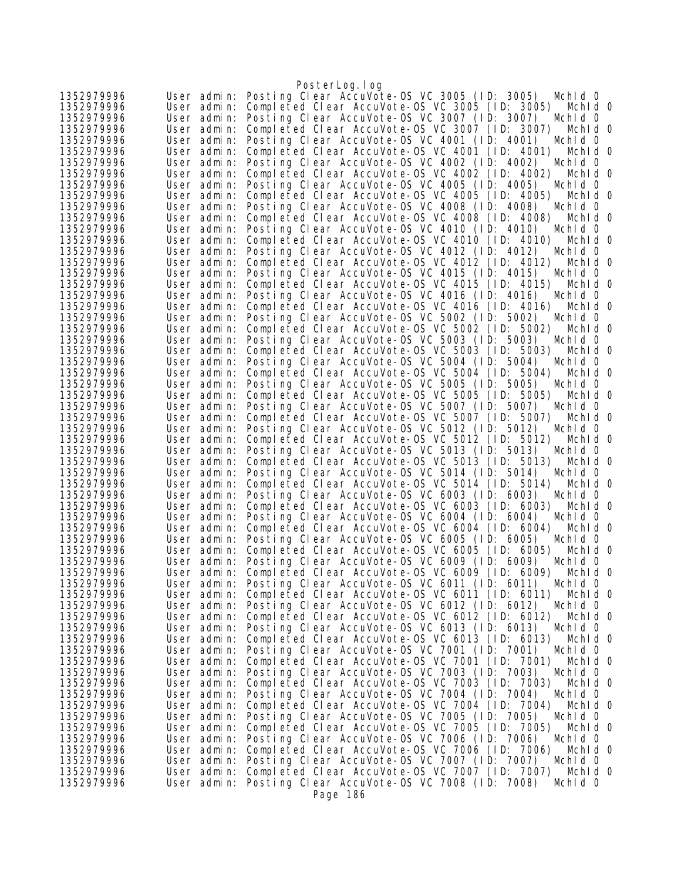|                          |                            | PosterLog.log                                                                                                        |
|--------------------------|----------------------------|----------------------------------------------------------------------------------------------------------------------|
| 1352979996               |                            | User admin: Posting Clear AccuVote-OS VC 3005 (ID: 3005)<br>Mchid 0                                                  |
| 1352979996               | User admin:                | Completed Clear AccuVote-OS VC 3005 (ID: 3005)<br>Mchid 0                                                            |
| 1352979996               | User admin:                | Posting Clear AccuVote-OS VC 3007 (ID: 3007)<br>Mchid 0                                                              |
| 1352979996               | User admin:                | Completed Clear AccuVote-0S VC 3007 (ID: 3007)<br>Mchid 0                                                            |
| 1352979996               | User admin:                | Posting Clear AccuVote-OS VC 4001 (ID: 4001)<br>Mchid 0                                                              |
| 1352979996<br>1352979996 | User admin:<br>User admin: | Completed Clear AccuVote-OS VC 4001 (ID: 4001)<br>Mchid 0<br>Posting Clear AccuVote-OS VC 4002 (ID: 4002)<br>Mchid 0 |
| 1352979996               | User admin:                | Completed Clear AccuVote-OS VC 4002 (ID: 4002)<br>Mchid 0                                                            |
| 1352979996               | User admin:                | Posting Clear AccuVote-OS VC 4005 (ID: 4005)<br>Mchid 0                                                              |
| 1352979996               | User admin:                | Completed Clear AccuVote-0S VC 4005 (ID: 4005)<br>Mchid 0                                                            |
| 1352979996               | User admin:                | Posting Clear AccuVote-OS VC 4008 (ID: 4008)<br>Mchid 0                                                              |
| 1352979996               | User admin:                | Completed Clear AccuVote-0S VC 4008 (ID: 4008)<br>Mchid 0                                                            |
| 1352979996               | User admin:                | Posting Clear AccuVote-OS VC 4010 (ID: 4010)<br>Mchid 0                                                              |
| 1352979996               | User admin:                | Completed Clear AccuVote-OS VC 4010 (ID: 4010)<br>Mchid 0                                                            |
| 1352979996               | User admin:                | Posting Clear AccuVote-OS VC 4012 (ID: 4012)<br>Mchid 0                                                              |
| 1352979996               | User admin:                | Completed Clear AccuVote-OS VC 4012 (ID: 4012)<br>Mchid 0                                                            |
| 1352979996               | User admin:                | Posting Clear AccuVote-OS VC 4015 (ID: 4015)<br>Mchid 0                                                              |
| 1352979996<br>1352979996 | User admin:<br>User admin: | Completed Clear AccuVote-OS VC 4015 (ID: 4015)<br>Mchid 0<br>Posting Clear AccuVote-OS VC 4016 (ID: 4016)<br>Mchid 0 |
| 1352979996               | User admin:                | Completed Clear AccuVote-OS VC 4016 (ID: 4016)<br>Mchid 0                                                            |
| 1352979996               | User admin:                | Posting Clear AccuVote-OS VC 5002 (ID: 5002)<br>Mchid 0                                                              |
| 1352979996               | User admin:                | Completed Clear AccuVote-OS VC 5002 (ID: 5002)<br>Mchid 0                                                            |
| 1352979996               | User admin:                | Posting Clear AccuVote-OS VC 5003 (ID: 5003)<br>Mchid 0                                                              |
| 1352979996               | User admin:                | Completed Clear AccuVote-0S VC 5003 (ID: 5003)<br>Mchid 0                                                            |
| 1352979996               | User admin:                | Posting Clear AccuVote-OS VC 5004 (ID: 5004)<br>Mchid 0                                                              |
| 1352979996               | User admin:                | Completed Clear AccuVote-0S VC 5004 (ID: 5004)<br>Mchid 0                                                            |
| 1352979996               | User admin:                | Posting Clear AccuVote-OS VC 5005 (ID: 5005)<br>Mchid 0                                                              |
| 1352979996               | User admin:                | Completed Clear AccuVote-0S VC 5005 (ID: 5005)<br>Mchid 0                                                            |
| 1352979996               | User admin:                | Posting Clear AccuVote-OS VC 5007 (ID: 5007)<br>Mchid 0                                                              |
| 1352979996<br>1352979996 | User admin:<br>User admin: | Completed Clear AccuVote-0S VC 5007 (ID: 5007)<br>Mchid 0<br>Posting Clear AccuVote-OS VC 5012 (ID: 5012)<br>Mchid 0 |
| 1352979996               | User admin:                | Completed Clear AccuVote-OS VC 5012 (ID: 5012)<br>Mchid 0                                                            |
| 1352979996               | User admin:                | Posting Clear AccuVote-OS VC 5013 (ID: 5013)<br>Mchid 0                                                              |
| 1352979996               | User admin:                | Completed Clear AccuVote-OS VC 5013 (ID: 5013)<br>Mchid 0                                                            |
| 1352979996               | User admin:                | Posting Clear AccuVote-OS VC 5014 (ID: 5014)<br>Mchid 0                                                              |
| 1352979996               | User admin:                | Completed Clear AccuVote-OS VC 5014 (ID: 5014)<br>Mchid 0                                                            |
| 1352979996               | User admin:                | Posting Clear AccuVote-OS VC 6003 (ID: 6003)<br>Mchid 0                                                              |
| 1352979996               | User admin:                | Completed Clear AccuVote-OS VC 6003 (ID: 6003)<br>Mchid 0                                                            |
| 1352979996               | User admin:                | Posting Clear AccuVote-OS VC 6004 (ID: 6004)<br>Mchid 0                                                              |
| 1352979996               | User admin:                | Completed Clear AccuVote-OS VC 6004 (ID: 6004)<br>Mchid 0                                                            |
| 1352979996<br>1352979996 | User admin:<br>User admin: | Posting Clear AccuVote-OS VC 6005 (ID: 6005)<br>Mchid 0<br>Completed Clear AccuVote-OS VC 6005 (ID: 6005)<br>Mchid 0 |
| 1352979996               | User admin:                | Posting Clear AccuVote-OS VC 6009 (ID: 6009)<br>Mchid 0                                                              |
| 1352979996               | User admin:                | Completed Clear AccuVote-OS VC 6009 (ID: 6009)<br>Mchid 0                                                            |
| 1352979996               |                            | User admin: Posting Clear AccuVote-OS VC 6011 (ID: 6011)<br>Mchid O                                                  |
| 1352979996               | User admin:                | Completed Clear AccuVote-OS VC 6011 (ID: 6011)<br>Mchid 0                                                            |
| 1352979996               | User admin:                | Posting Clear AccuVote-OS VC 6012 (ID: 6012)<br>Mchid 0                                                              |
| 1352979996               | User admin:                | Completed Clear AccuVote-0S VC 6012 (ID: 6012)<br>Mchid 0                                                            |
| 1352979996               | User admin:                | Posting Clear AccuVote-OS VC 6013 (ID: 6013)<br>Mchid 0                                                              |
| 1352979996               | User admin:                | Completed Clear AccuVote-OS VC 6013 (ID: 6013)<br>Mchid 0                                                            |
| 1352979996               | User admin:                | Posting Clear AccuVote-OS VC 7001 (ID: 7001)<br>Mchid 0                                                              |
| 1352979996               | User admin:<br>User admin: | Completed Clear AccuVote-OS VC 7001 (ID: 7001)<br>Mchid 0<br>Posting Clear AccuVote-OS VC 7003 (ID: 7003)            |
| 1352979996<br>1352979996 | User admin:                | Mchid 0<br>Completed Clear AccuVote-0S VC 7003 (ID: 7003)<br>Mchid 0                                                 |
| 1352979996               | User admin:                | Posting Clear AccuVote-OS VC 7004 (ID: 7004)<br>Mchid 0                                                              |
| 1352979996               | User admin:                | Completed Clear AccuVote-OS VC 7004 (ID: 7004)<br>Mchid 0                                                            |
| 1352979996               | User admin:                | Posting Clear AccuVote-OS VC 7005 (ID: 7005)<br>Mchid 0                                                              |
| 1352979996               | User admin:                | Completed Clear AccuVote-OS VC 7005 (ID: 7005)<br>Mchid 0                                                            |
| 1352979996               | User admin:                | Posting Clear AccuVote-0S VC 7006 (ID: 7006)<br>Mchid 0                                                              |
| 1352979996               | User admin:                | Completed Clear AccuVote-0S VC 7006 (ID: 7006)<br>Mchid 0                                                            |
| 1352979996               | User admin:                | Posting Clear AccuVote-OS VC 7007 (ID: 7007)<br>Mchid 0                                                              |
| 1352979996               | User admin:                | Completed Clear AccuVote-OS VC 7007 (ID: 7007)<br>Mchid 0                                                            |
| 1352979996               | User admin:                | Posting Clear AccuVote-OS VC 7008 (ID: 7008)<br>Mchid 0                                                              |
|                          |                            | Page 186                                                                                                             |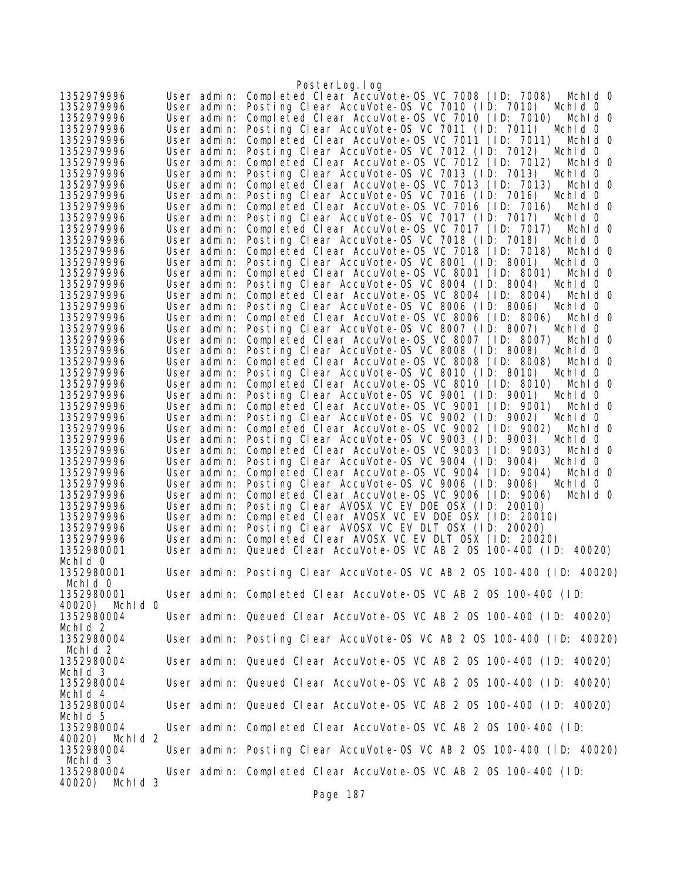|                                  |                            | PosterLog. I og                                                                                                      |
|----------------------------------|----------------------------|----------------------------------------------------------------------------------------------------------------------|
| 1352979996                       | User admin:                | Completed Clear AccuVote-0S VC 7008 (ID: 7008)<br>Mchid 0                                                            |
| 1352979996                       | User admin:                | Posting Clear AccuVote-OS VC 7010 (ID: 7010)<br>Mchid 0                                                              |
| 1352979996                       | User admin:                | Completed Clear AccuVote-0S VC 7010 (ID: 7010)<br>Mchid 0                                                            |
| 1352979996                       | User admin:                | Posting Clear AccuVote-OS VC 7011 (ID: 7011)<br>Mchid 0                                                              |
| 1352979996                       | User admin:                | Completed Clear AccuVote-OS VC 7011 (ID: 7011)<br>Mchid 0                                                            |
| 1352979996                       | User admin:                | Posting Clear AccuVote-OS VC 7012 (ID: 7012)<br>Mchid 0                                                              |
| 1352979996                       | User admin:                | Completed Clear AccuVote-0S VC 7012 (ID: 7012)<br>Mchid 0                                                            |
| 1352979996<br>1352979996         | User admin:<br>User admin: | Posting Clear AccuVote-OS VC 7013 (ID: 7013)<br>Mchid 0<br>Completed Clear AccuVote-OS VC 7013 (ID: 7013)<br>Mchid 0 |
| 1352979996                       | User admin:                | Posting Clear AccuVote-OS VC 7016 (ID: 7016)<br>Mchid 0                                                              |
| 1352979996                       | User admin:                | Completed Clear AccuVote-OS VC 7016 (ID: 7016)<br>Mchid 0                                                            |
| 1352979996                       | User admin:                | Posting Clear AccuVote-OS VC 7017 (ID: 7017)<br>Mchid 0                                                              |
| 1352979996                       | User admin:                | Completed Clear AccuVote-OS VC 7017 (ID: 7017)<br>Mchid 0                                                            |
| 1352979996                       | User admin:                | Posting Clear AccuVote-OS VC 7018 (ID: 7018)<br>Mchid 0                                                              |
| 1352979996                       | User admin:                | Completed Clear AccuVote-OS VC 7018 (ID: 7018)<br>Mchid 0                                                            |
| 1352979996                       | User admin:                | Posting Clear AccuVote-OS VC 8001 (ID: 8001)<br>Mchid 0                                                              |
| 1352979996                       | User admin:                | Completed Clear AccuVote-OS VC 8001 (ID: 8001)<br>Mchid 0                                                            |
| 1352979996                       | User admin:                | Posting Clear AccuVote-OS VC 8004 (ID: 8004)<br>Mchid 0                                                              |
| 1352979996<br>1352979996         | User admin:<br>User admin: | Completed Clear AccuVote-0S VC 8004 (ID: 8004)<br>Mchid 0<br>Posting Clear AccuVote-OS VC 8006 (ID: 8006)<br>Mchid 0 |
| 1352979996                       | User admin:                | Completed Clear AccuVote-OS VC 8006 (ID: 8006)<br>Mchid 0                                                            |
| 1352979996                       | User admin:                | Posting Clear AccuVote-OS VC 8007 (ID: 8007)<br>Mchid O                                                              |
| 1352979996                       | User admin:                | Completed Clear AccuVote-0S VC 8007 (ID: 8007)<br>Mchid 0                                                            |
| 1352979996                       | User admin:                | Posting Clear AccuVote-OS VC 8008 (ID: 8008)<br>Mchid O                                                              |
| 1352979996                       | User admin:                | Completed Clear AccuVote-0S VC 8008 (ID: 8008)<br>Mchid 0                                                            |
| 1352979996                       | User admin:                | Posting Clear AccuVote-OS VC 8010 (ID: 8010)<br>Mchid 0                                                              |
| 1352979996                       | User admin:                | Completed Clear AccuVote-OS VC 8010 (ID: 8010)<br>Mchid 0                                                            |
| 1352979996                       | User admin:                | Posting Clear AccuVote-OS VC 9001 (ID: 9001)<br>Mchid 0                                                              |
| 1352979996                       | User admin:                | Completed Clear AccuVote-OS VC 9001 (ID: 9001)<br>Mchid 0                                                            |
| 1352979996<br>1352979996         | User admin:<br>User admin: | Posting Clear AccuVote-OS VC 9002 (ID: 9002)<br>Mchid 0<br>Completed Clear AccuVote-OS VC 9002 (ID: 9002)<br>Mchid 0 |
| 1352979996                       | User admin:                | Posting Clear AccuVote-OS VC 9003 (ID: 9003)<br>Mchid 0                                                              |
| 1352979996                       | User admin:                | Completed Clear AccuVote-OS VC 9003 (ID: 9003)<br>Mchid 0                                                            |
| 1352979996                       | User admin:                | Posting Clear AccuVote-OS VC 9004 (ID: 9004)<br>Mchid 0                                                              |
| 1352979996                       | User admin:                | Completed Clear AccuVote-OS VC 9004 (ID: 9004)<br>Mchid 0                                                            |
| 1352979996                       | User admin:                | Posting Clear AccuVote-OS VC 9006 (ID: 9006)<br>Mchid 0                                                              |
| 1352979996                       | User admin:                | Completed Clear AccuVote-0S VC 9006 (ID: 9006)<br>Mchid 0                                                            |
| 1352979996                       | User admin:                | Posting Clear AVOSX VC EV DOE OSX (ID: 20010)                                                                        |
| 1352979996                       | User admin:                | Completed Clear AVOSX VC EV DOE OSX (ID: 20010)                                                                      |
| 1352979996                       | User admin:                | Posting Clear AVOSX VC EV DLT OSX (ID: 20020)<br>Completed Clear AVOSX VC EV DLT OSX (ID: 20020)                     |
| 1352979996<br>1352980001         | User admin:<br>User admin: | Queued Clear AccuVote-0S VC AB 2 0S 100-400 (ID: 40020)                                                              |
| Mchid 0                          |                            |                                                                                                                      |
| 1352980001                       |                            | User admin: Posting Clear AccuVote-OS VC AB 2 OS 100-400 (ID: 40020)                                                 |
| Mchid 0                          |                            |                                                                                                                      |
| 1352980001                       |                            | User admin: Completed Clear AccuVote-OS VC AB 2 OS 100-400 (ID:                                                      |
| 40020) Mchld 0                   |                            |                                                                                                                      |
| 1352980004                       |                            | User admin: Queued Clear AccuVote-OS VC AB 2 OS 100-400 (ID: 40020)                                                  |
| Mchid <sub>2</sub>               |                            |                                                                                                                      |
| 1352980004                       |                            | User admin: Posting Clear AccuVote-OS VC AB 2 OS 100-400 (ID: 40020)                                                 |
| Mchid <sub>2</sub><br>1352980004 |                            | User admin: Queued Clear AccuVote-OS VC AB 2 OS 100-400 (ID: 40020)                                                  |
| Mchid 3                          |                            |                                                                                                                      |
| 1352980004                       |                            | User admin: Queued Clear AccuVote-OS VC AB 2 OS 100-400 (ID: 40020)                                                  |
| Mchid <sub>4</sub>               |                            |                                                                                                                      |
| 1352980004                       |                            | User admin: Queued Clear AccuVote-OS VC AB 2 0S 100-400 (ID: 40020)                                                  |
| Mchid 5                          |                            |                                                                                                                      |
| 1352980004                       |                            | User admin: Completed Clear AccuVote-OS VC AB 2 OS 100-400 (ID:                                                      |
| 40020) Mchld 2                   |                            |                                                                                                                      |
| 1352980004                       |                            | User admin: Posting Clear AccuVote-OS VC AB 2 OS 100-400 (ID: 40020)                                                 |
| Mchid 3<br>1352980004            |                            | User admin: Completed Clear AccuVote-OS VC AB 2 OS 100-400 (ID:                                                      |
| Mchld 3<br>40020)                |                            |                                                                                                                      |
|                                  |                            |                                                                                                                      |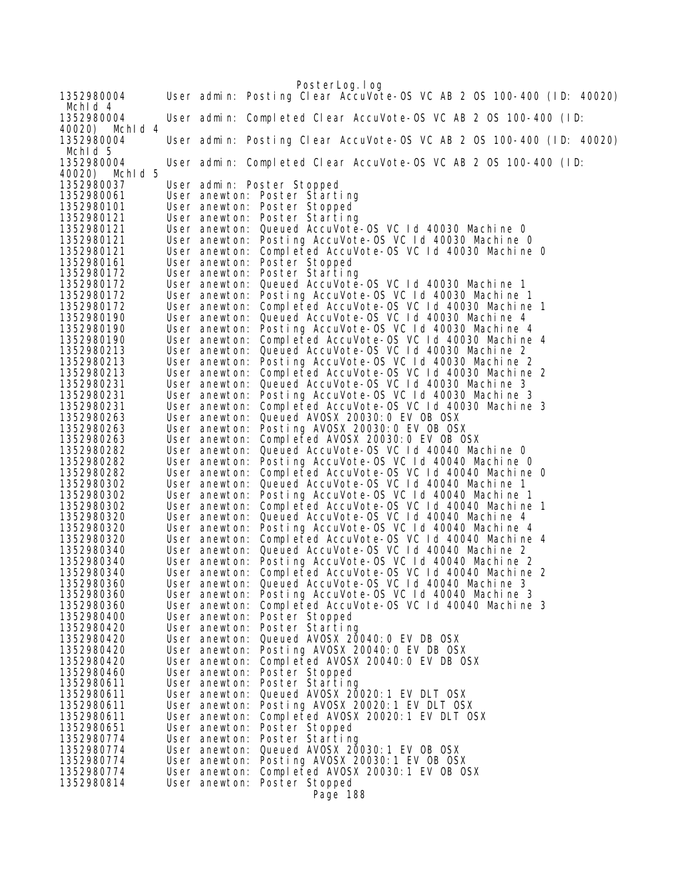PosterLog.log 1352980004 User admin: Posting Clear AccuVote-OS VC AB 2 OS 100-400 (ID: 40020) MchId 4<br>1352980004 1352980004 User admin: Completed Clear AccuVote-OS VC AB 2 OS 100-400 (ID: 40020) MchId 4 User admin: Posting Clear AccuVote-OS VC AB 2 OS 100-400 (ID: 40020) MchId 5<br>1352980004 User admin: Completed Clear AccuVote-OS VC AB 2 OS 100-400 (ID: 40020) MchId 5 User admin: Poster Stopped 1352980061 User anewton: Poster Starting 1352980101 User anewton: Poster Stopped 1352980121 User anewton: Poster Starting 1352980121 User anewton: Queued AccuVote-OS VC Id 40030 Machine 0 1352980121 User anewton: Posting AccuVote-OS VC Id 40030 Machine 0 1352980121 User anewton: Completed AccuVote-OS VC Id 40030 Machine 0 1352980161 User anewton: Poster Stopped 1352980172 User anewton: Poster Starting User anewton: Queued AccuVote-OS VC Id 40030 Machine 1 1352980172 User anewton: Posting AccuVote-OS VC Id 40030 Machine 1 1352980172 User anewton: Completed AccuVote-OS VC Id 40030 Machine 1 1352980190 User anewton: Queued AccuVote-OS VC Id 40030 Machine 4 1352980190 User anewton: Posting AccuVote-OS VC Id 40030 Machine 4 1352980190 User anewton: Completed AccuVote-OS VC Id 40030 Machine 4 1352980190 User anewton: Completed AccuVote-OS VC Id 40030 Machine 4<br>1352980213 User anewton: Queued AccuVote-OS VC Id 40030 Machine 2<br>1352980213 User anewton: Posting AccuVote-OS VC Id 40030 Machine 2 1352980213 User anewton: Posting AccuVote-OS VC Id 40030 Machine 2 1352980213 User anewton: Completed AccuVote-OS VC Id 40030 Machine 2 User anewton: Queued AccuVote-OS VC Id 40030 Machine 3 1352980231 User anewton: Posting AccuVote-OS VC Id 40030 Machine 3 1352980231 User anewton: Completed AccuVote-OS VC Id 40030 Machine 3<br>1352980263 User anewton: Queued AVOSX 20030:0 EV OB OSX<br>1352980263 User anewton: Posting AVOSX 20030:0 EV OB OSX<br>1352980263 User anewton: 1352980263 User anewton: Queued AVOSX 20030:0 EV OB OSX 1352980263 User anewton: Posting AVOSX 20030:0 EV OB OSX 1352980263 User anewton: Completed AVOSX 20030:0 EV OB OSX 1352980282 User anewton: Queued AccuVote-OS VC Id 40040 Machine 0 1352980282 User anewton: Posting AccuVote-OS VC Id 40040 Machine 0 1352980282 User anewton: Completed AccuVote-OS VC Id 40040 Machine 0 1352980302 User anewton: Queued AccuVote-OS VC Id 40040 Machine 1 1352980302 User anewton: Posting AccuVote-OS VC Id 40040 Machine 1 1352980302 User anewton: Completed AccuVote-OS VC Id 40040 Machine 1 1352980320 User anewton: Queued AccuVote-OS VC Id 40040 Machine 4 1352980320 User anewton: Posting AccuVote-OS VC Id 40040 Machine 4 1352980320 User anewton: Completed AccuVote-OS VC Id 40040 Machine 4 1352980340 User anewton: Queued AccuVote-OS VC Id 40040 Machine 2 1352980340 User anewton: Posting AccuVote-OS VC Id 40040 Machine 2 1352980340 User anewton: Completed AccuVote-OS VC Id 40040 Machine 2 1352980360 User anewton: Queued AccuVote-OS VC Id 40040 Machine 3 1352980360 User anewton: Posting AccuVote-OS VC Id 40040 Machine 3 1352980360 User anewton: Completed AccuVote-OS VC Id 40040 Machine 3<br>1352980400 User anewton: Poster Stopped<br>1352980420 User anewton: Poster Starting<br>1352980420 User anewton: Queued AVOSX 20040:0 EV DB OSX 1352980400 User anewton: Poster Stopped 1352980420 User anewton: Poster Starting 1352980420 User anewton: Queued AVOSX 20040:0 EV DB OSX 1352980420 User anewton: Posting AVOSX 20040:0 EV DB OSX 1352980420 User anewton: Completed AVOSX 20040:0 EV DB OSX 1352980460 User anewton: Poster Stopped 1352980611 User anewton: Poster Starting 1352980611 User anewton: Queued AVOSX 20020:1 EV DLT OSX 1352980611 User anewton: Posting AVOSX 20020:1 EV DLT OSX 1352980611 User anewton: Completed AVOSX 20020:1 EV DLT OSX 1352980651 User anewton: Poster Stopped 1352980774 User anewton: Poster Starting 1352980774 User anewton: Queued AVOSX 20030:1 EV OB OSX 1352980774 User anewton: Posting AVOSX 20030:1 EV OB OSX User anewton: Completed AVOSX 20030:1 EV OB OSX 1352980814 User anewton: Poster Stopped Page 188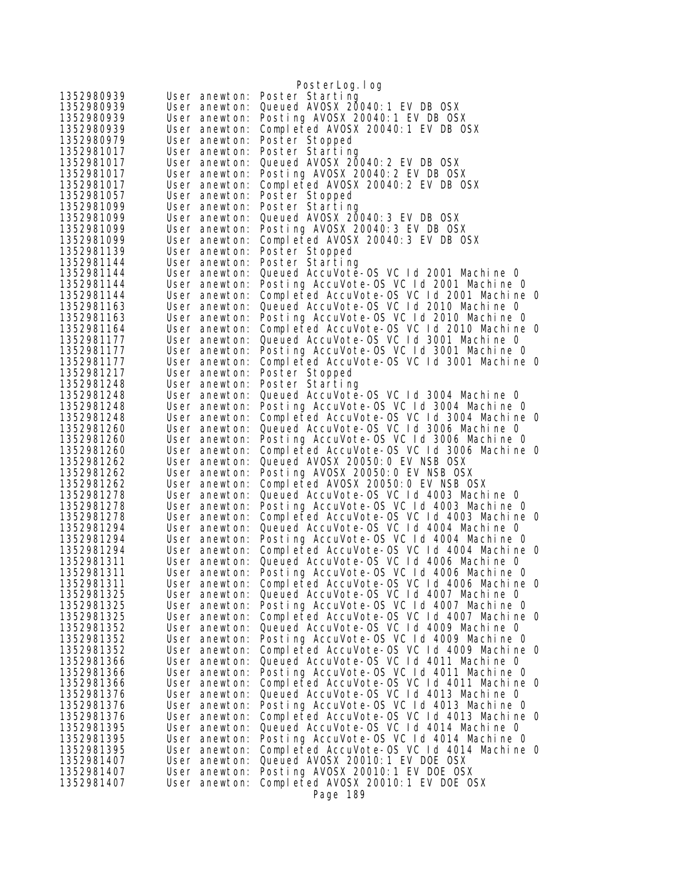|                          |                                | PosterLog.log                                                                         |
|--------------------------|--------------------------------|---------------------------------------------------------------------------------------|
| 1352980939               | User anewton:                  | Poster Starting                                                                       |
| 1352980939               | User anewton:                  | Queued AVOSX 20040: 1 EV DB OSX                                                       |
| 1352980939               | User anewton:                  | Posting AVOSX 20040:1 EV DB OSX                                                       |
| 1352980939               | User anewton:                  | Completed AVOSX 20040:1 EV DB OSX                                                     |
| 1352980979               | User anewton:                  | Poster Stopped                                                                        |
| 1352981017               | User anewton:                  | Poster Starting                                                                       |
| 1352981017               | User anewton:                  | Queued AVOSX 20040: 2 EV DB OSX                                                       |
| 1352981017               | User anewton:                  | Posting AVOSX 20040: 2 EV DB OSX                                                      |
| 1352981017               | User anewton:                  | Completed AVOSX 20040:2 EV DB OSX                                                     |
| 1352981057               | User anewton:                  | Poster Stopped                                                                        |
| 1352981099               | User anewton:                  | Poster Starting                                                                       |
| 1352981099               | User anewton:                  | Queued AVOSX 20040: 3 EV DB OSX                                                       |
| 1352981099               | User anewton:                  | Posting AVOSX 20040: 3 EV DB OSX                                                      |
| 1352981099               | User anewton:                  | Completed AVOSX 20040:3 EV DB OSX                                                     |
| 1352981139               | User anewton:                  | Poster Stopped                                                                        |
| 1352981144               | User anewton:                  | Poster Starting                                                                       |
| 1352981144               | User anewton:                  | Queued AccuVote-OS VC 1d 2001 Machine 0                                               |
| 1352981144<br>1352981144 | User anewton:                  | Posting AccuVote-OS VC Id 2001 Machine 0                                              |
| 1352981163               | User anewton:                  | Completed AccuVote-OS VC 1d 2001 Machine 0<br>Queued AccuVote-OS VC Id 2010 Machine O |
| 1352981163               | User anewton:<br>User anewton: | Posting AccuVote-OS VC Id 2010 Machine O                                              |
| 1352981164               | User anewton:                  | Completed AccuVote-OS VC Id 2010 Machine 0                                            |
| 1352981177               | User anewton:                  | Queued AccuVote-OS VC Id 3001 Machine 0                                               |
| 1352981177               | User anewton:                  | Posting AccuVote-OS VC Id 3001 Machine 0                                              |
| 1352981177               | User anewton:                  | Completed AccuVote-OS VC Id 3001 Machine 0                                            |
| 1352981217               | User anewton:                  | Poster Stopped                                                                        |
| 1352981248               | User anewton:                  | Poster Starting                                                                       |
| 1352981248               | User anewton:                  | Queued AccuVote-OS VC Id 3004 Machine 0                                               |
| 1352981248               | User anewton:                  | Posting AccuVote-OS VC Id 3004 Machine 0                                              |
| 1352981248               | User anewton:                  | Completed AccuVote-OS VC 1d 3004 Machine 0                                            |
| 1352981260               | User anewton:                  | Queued AccuVote-OS VC Id 3006 Machine 0                                               |
| 1352981260               | User anewton:                  | Posting AccuVote-OS VC Id 3006 Machine 0                                              |
| 1352981260               | User anewton:                  | Completed AccuVote-OS VC 1d 3006 Machine 0                                            |
| 1352981262               | User anewton:                  | Queued AVOSX 20050: 0 EV NSB OSX                                                      |
| 1352981262               | User anewton:                  | Posting AVOSX 20050:0 EV NSB OSX                                                      |
| 1352981262               | User anewton:                  | Completed AVOSX 20050:0 EV NSB OSX                                                    |
| 1352981278               | User anewton:                  | Queued AccuVote-OS VC Id 4003 Machine 0                                               |
| 1352981278               | User anewton:                  | Posting AccuVote-OS VC Id 4003 Machine O                                              |
| 1352981278               | User anewton:                  | Completed AccuVote-OS VC 1d 4003 Machine 0<br>Queued AccuVote-OS VC Id 4004 Machine 0 |
| 1352981294<br>1352981294 | User anewton:                  | Posting AccuVote-OS VC Id 4004 Machine 0                                              |
| 1352981294               | User anewton:<br>User anewton: | Completed AccuVote-OS VC 1d 4004 Machine 0                                            |
| 1352981311               | User anewton:                  | Queued AccuVote-OS VC 1d 4006 Machine 0                                               |
| 1352981311               | User anewton:                  | Posting AccuVote-OS VC Id 4006 Machine 0                                              |
| 1352981311               | User anewton:                  | Completed AccuVote-OS VC 1d 4006 Machine 0                                            |
| 1352981325               | User anewton:                  | Queued AccuVote-OS VC Id 4007 Machine 0                                               |
| 1352981325               | User anewton:                  | Posting AccuVote-OS VC 1d 4007 Machine 0                                              |
| 1352981325               | User anewton:                  | Completed AccuVote-OS VC 1d 4007 Machine 0                                            |
| 1352981352               | User anewton:                  | Queued AccuVote-OS VC 1d 4009 Machine 0                                               |
| 1352981352               | User anewton:                  | Posting AccuVote-OS VC Id 4009 Machine 0                                              |
| 1352981352               | User anewton:                  | Completed AccuVote-OS VC 1d 4009 Machine 0                                            |
| 1352981366               | User anewton:                  | Queued AccuVote-OS VC Id 4011 Machine 0                                               |
| 1352981366               | User anewton:                  | Posting AccuVote-OS VC Id 4011 Machine O                                              |
| 1352981366               | User anewton:                  | Completed AccuVote-OS VC 1d 4011 Machine 0                                            |
| 1352981376               | User anewton:                  | Queued AccuVote-OS VC Id 4013 Machine O                                               |
| 1352981376               | User anewton:                  | Posting AccuVote-OS VC Id 4013 Machine 0                                              |
| 1352981376               | User anewton:                  | Completed AccuVote-OS VC 1d 4013 Machine O                                            |
| 1352981395               | User anewton:                  | Queued AccuVote-OS VC 1d 4014 Machine 0                                               |
| 1352981395               | User anewton:                  | Posting AccuVote-OS VC Id 4014 Machine O                                              |
| 1352981395<br>1352981407 | User anewton:<br>User anewton: | Completed AccuVote-OS VC 1d 4014 Machine 0<br>Queued AVOSX 20010: 1 EV DOE OSX        |
| 1352981407               | User anewton:                  | Posting AVOSX 20010:1 EV DOE OSX                                                      |
| 1352981407               | User anewton:                  | Completed AVOSX 20010:1 EV DOE OSX                                                    |
|                          |                                | Page 189                                                                              |
|                          |                                |                                                                                       |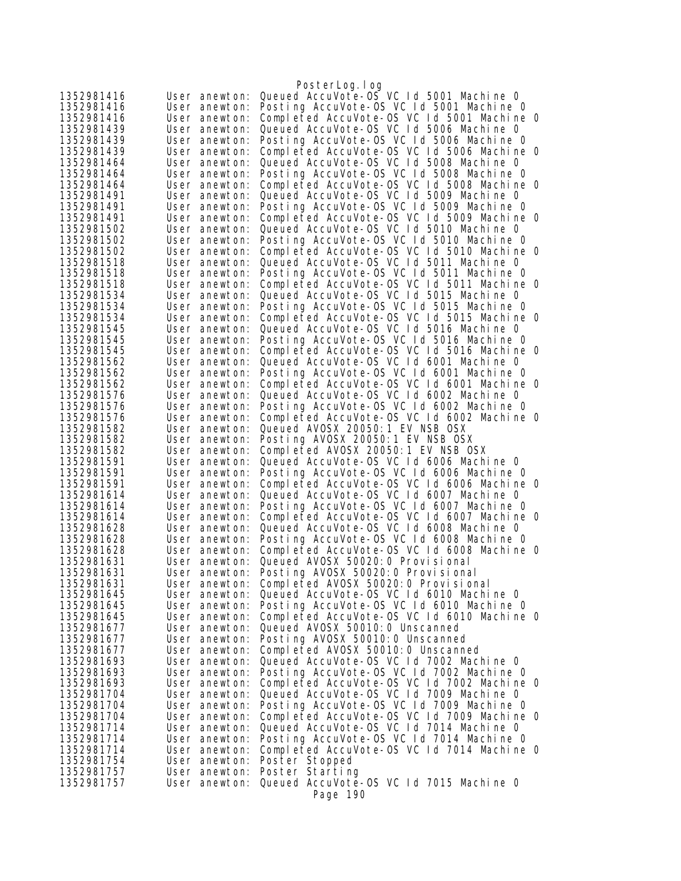|                          |                                | PosterLog.log                                                                          |
|--------------------------|--------------------------------|----------------------------------------------------------------------------------------|
| 1352981416               | User anewton:                  | Queued AccuVote-OS VC 1d 5001 Machine 0                                                |
| 1352981416               | User anewton:                  | Posting AccuVote-OS VC Id 5001 Machine 0                                               |
| 1352981416               | User anewton:                  | Completed AccuVote-OS VC Id 5001 Machine O                                             |
| 1352981439               | User anewton:                  | Queued AccuVote-OS VC Id 5006 Machine O                                                |
| 1352981439               | User anewton:                  | Posting AccuVote-OS VC Id 5006 Machine O                                               |
| 1352981439               | User anewton:                  | Completed AccuVote-OS VC Id 5006 Machine O                                             |
| 1352981464               | User anewton:                  | Queued AccuVote-OS VC Id 5008 Machine 0                                                |
| 1352981464               | User anewton:                  | Posting AccuVote-OS VC Id 5008 Machine 0                                               |
| 1352981464               | User anewton:                  | Completed AccuVote-OS VC Id 5008 Machine O                                             |
| 1352981491               | User anewton:                  | Queued AccuVote-OS VC Id 5009 Machine 0                                                |
| 1352981491               | User anewton:                  | Posting AccuVote-OS VC Id 5009 Machine 0                                               |
| 1352981491               | User anewton:                  | Completed AccuVote-OS VC Id 5009 Machine 0                                             |
| 1352981502               | User anewton:                  | Queued AccuVote-OS VC Id 5010 Machine O                                                |
| 1352981502<br>1352981502 | User anewton:                  | Posting AccuVote-OS VC Id 5010 Machine O<br>Completed AccuVote-OS VC Id 5010 Machine O |
| 1352981518               | User anewton:<br>User anewton: | Queued AccuVote-OS VC 1d 5011 Machine 0                                                |
| 1352981518               | User anewton:                  | Posting AccuVote-OS VC 1d 5011 Machine 0                                               |
| 1352981518               | User anewton:                  | Completed AccuVote-OS VC Id 5011 Machine O                                             |
| 1352981534               | User anewton:                  | Queued AccuVote-OS VC Id 5015 Machine O                                                |
| 1352981534               | User anewton:                  | Posting AccuVote-OS VC Id 5015 Machine O                                               |
| 1352981534               | User anewton:                  | Completed AccuVote-OS VC 1d 5015 Machine 0                                             |
| 1352981545               | User anewton:                  | Queued AccuVote-OS VC Id 5016 Machine O                                                |
| 1352981545               | User anewton:                  | Posting AccuVote-OS VC Id 5016 Machine O                                               |
| 1352981545               | User anewton:                  | Completed AccuVote-OS VC 1d 5016 Machine 0                                             |
| 1352981562               | User anewton:                  | Queued AccuVote-OS VC Id 6001 Machine 0                                                |
| 1352981562               | User anewton:                  | Posting AccuVote-OS VC Id 6001 Machine O                                               |
| 1352981562               | User anewton:                  | Completed AccuVote-OS VC Id 6001 Machine O                                             |
| 1352981576               | User anewton:                  | Queued AccuVote-OS VC Id 6002 Machine O                                                |
| 1352981576               | User anewton:                  | Posting AccuVote-OS VC Id 6002 Machine 0                                               |
| 1352981576               | User anewton:                  | Completed AccuVote-OS VC 1d 6002 Machine 0                                             |
| 1352981582               | User anewton:                  | Queued AVOSX 20050: 1 EV NSB OSX                                                       |
| 1352981582               | User anewton:                  | Posting AVOSX 20050:1 EV NSB OSX                                                       |
| 1352981582               | User anewton:                  | Completed AVOSX 20050:1 EV NSB OSX                                                     |
| 1352981591               | User anewton:                  | Queued AccuVote-OS VC Id 6006 Machine O                                                |
| 1352981591               | User anewton:                  | Posting AccuVote-OS VC Id 6006 Machine 0                                               |
| 1352981591               | User anewton:                  | Completed AccuVote-OS VC 1d 6006 Machine 0                                             |
| 1352981614<br>1352981614 | User anewton:                  | Queued AccuVote-OS VC Id 6007 Machine 0<br>Posting AccuVote-OS VC Id 6007 Machine O    |
| 1352981614               | User anewton:<br>User anewton: | Completed AccuVote-OS VC Id 6007 Machine 0                                             |
| 1352981628               | User anewton:                  | Queued AccuVote-OS VC 1d 6008 Machine 0                                                |
| 1352981628               | User anewton:                  | Posting AccuVote-OS VC Id 6008 Machine O                                               |
| 1352981628               | User anewton:                  | Completed AccuVote-OS VC Id 6008 Machine 0                                             |
| 1352981631               | User anewton:                  | Queued AVOSX 50020: 0 Provisional                                                      |
| 1352981631               | User anewton:                  | Posting AVOSX 50020:0 Provisional                                                      |
| 1352981631               | User anewton:                  | Completed AVOSX 50020: 0 Provisional                                                   |
| 1352981645               | User anewton:                  | Queued AccuVote-OS VC Id 6010 Machine O                                                |
| 1352981645               | User anewton:                  | Posting AccuVote-OS VC Id 6010 Machine 0                                               |
| 1352981645               | User anewton:                  | Completed AccuVote-OS VC 1d 6010 Machine 0                                             |
| 1352981677               | User anewton:                  | Queued AVOSX 50010: 0 Unscanned                                                        |
| 1352981677               | User anewton:                  | Posting AVOSX 50010:0 Unscanned                                                        |
| 1352981677               | User anewton:                  | Completed AVOSX 50010:0 Unscanned                                                      |
| 1352981693               | User anewton:                  | Queued AccuVote-OS VC Id 7002 Machine 0                                                |
| 1352981693               | User anewton:                  | Posting AccuVote-OS VC Id 7002 Machine O                                               |
| 1352981693               | User anewton:                  | Completed AccuVote-OS VC Id 7002 Machine 0                                             |
| 1352981704               | User anewton:                  | Queued AccuVote-OS VC Id 7009 Machine 0                                                |
| 1352981704               | User anewton:                  | Posting AccuVote-OS VC Id 7009 Machine 0                                               |
| 1352981704               | User anewton:                  | Completed AccuVote-OS VC Id 7009 Machine 0                                             |
| 1352981714               | User anewton:                  | Queued AccuVote-OS VC Id 7014 Machine O                                                |
| 1352981714               | User anewton:                  | Posting AccuVote-OS VC Id 7014 Machine O<br>Completed AccuVote-OS VC Id 7014 Machine O |
| 1352981714<br>1352981754 | User anewton:<br>User anewton: | Poster Stopped                                                                         |
| 1352981757               | User anewton:                  | Poster Starting                                                                        |
| 1352981757               | User anewton:                  | Queued AccuVote-OS VC 1d 7015 Machine O                                                |
|                          |                                | Page 190                                                                               |
|                          |                                |                                                                                        |